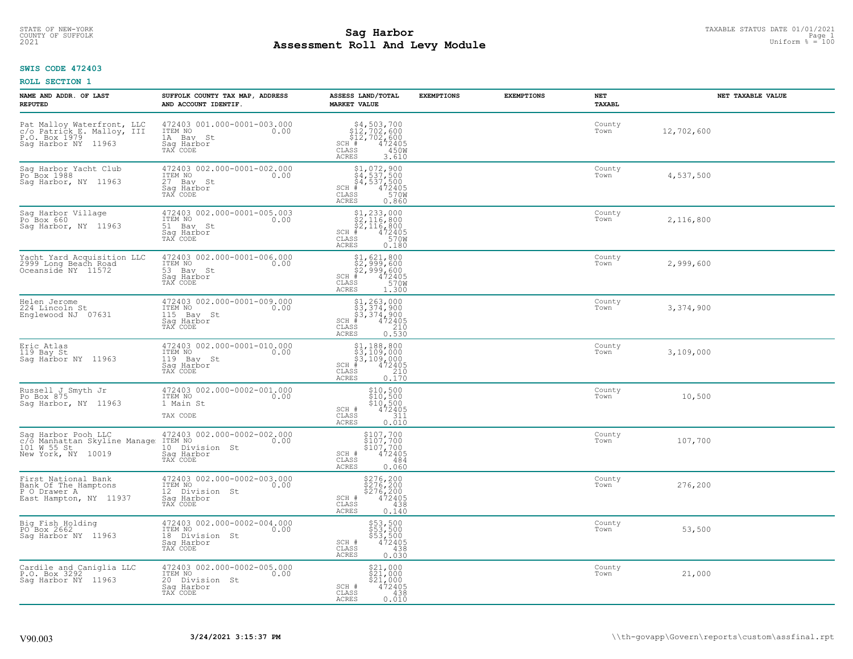# STATE OF NEW-YORK TAXABLE STATUS DATE 01/01/2021<br>COUNTY OF SUFFOLK Page 1 2 and 2012 **Assessment Roll And Levy Module Example 2021** Uniform  $\frac{1}{8} = 100$

#### **SWIS CODE 472403**

| NAME AND ADDR. OF LAST<br><b>REPUTED</b>                                                         | SUFFOLK COUNTY TAX MAP, ADDRESS<br>AND ACCOUNT IDENTIF.                                    | ASSESS LAND/TOTAL<br><b>MARKET VALUE</b>                                                                                                            | <b>EXEMPTIONS</b> | <b>EXEMPTIONS</b> | NET<br>TAXABL  | NET TAXABLE VALUE |
|--------------------------------------------------------------------------------------------------|--------------------------------------------------------------------------------------------|-----------------------------------------------------------------------------------------------------------------------------------------------------|-------------------|-------------------|----------------|-------------------|
| Pat Malloy Waterfront, LLC<br>c/o Patrick E. Malloy, III<br>P.O. Box 1979<br>Sag Harbor NY 11963 | 472403 001.000-0001-003.000<br>ITEM NO<br>0.00<br>1A Bay St<br>Sag Harbor<br>TAX CODE      | \$4,503,700<br>\$12,702,600<br>\$12,702,600<br># 472405<br>$SCH$ $#$<br>$\mathtt{CLASS}$<br>450W<br><b>ACRES</b><br>3.610                           |                   |                   | County<br>Town | 12,702,600        |
| Sag Harbor Yacht Club<br>Po <sup>Box</sup> 1988<br>Sag Harbor, NY 11963                          | 472403 002.000-0001-002.000<br>TTEM NO 0.00<br>27 Bay St<br>Saq Harbor<br>TAX CODE         | $$1,072,900$<br>$$4,537,500$<br>$$4,537,500$<br>$$4,537,500$<br>$$472405$<br>$SCH$ #<br>CLASS<br>570W<br><b>ACRES</b><br>0.860                      |                   |                   | County<br>Town | 4,537,500         |
| Sag Harbor Village<br>Po Box 660<br>Saq Harbor, NY 11963                                         | 472403 002.000-0001-005.003<br>TTEM NO 0.00<br>51 Bay St<br>Saq Harbor<br>TAX CODE         | $$2,116,800$<br>$$2,116,800$<br>$$2,116,800$<br>$472405$<br>$$35$<br>$$700$<br>$SCH$ #<br>CLASS<br>ACRES<br>0.180                                   |                   |                   | County<br>Town | 2,116,800         |
| Yacht Yard Acquisition LLC<br>2999 Long Beach Road<br>Oceanside NY 11572                         | 472403 002.000-0001-006.000<br>ITEM NO<br>0.00<br>53 Bay St<br>Saq Harbor<br>TAX CODE      | $$2,999,600$<br>$$2,999,600$<br>$$2,999,600$<br>$$472405$<br>$$5700$<br>SCH #<br>CLASS<br><b>ACRES</b><br>1.300                                     |                   |                   | County<br>Town | 2,999,600         |
| Helen Jerome<br>224 Lincoln St<br>Englewood NJ 07631                                             | 472403 002.000-0001-009.000<br>ITEM NO<br>115 Bay St<br>0.00<br>Sag Harbor<br>TAX CODE     | $$1, 263, 000$<br>$$3, 374, 900$<br>$$3, 374, 900$<br>$$472405$<br>$SCH$ #<br>CLASS<br>210<br>0.530<br><b>ACRES</b>                                 |                   |                   | County<br>Town | 3,374,900         |
| Eric Atlas<br>119 Bay St<br>Saq Harbor NY 11963                                                  | 472403 002.000-0001-010.000<br>ITEM NO<br>0.00<br>119 Bay St<br>Saq Harbor<br>TAX CODE     | $$1, 188, 800$<br>$$3, 109, 000$<br>$$3, 109, 000$<br>$$472405$<br>$SCH$ #<br>CLASS<br>$\begin{bmatrix} 210 \\ 0.170 \end{bmatrix}$<br><b>ACRES</b> |                   |                   | County<br>Town | 3,109,000         |
| Russell J Smyth Jr<br>Po Box 875<br>Sag Harbor, NY 11963                                         | 472403 002.000-0002-001.000<br>ITEM NO<br>0.00<br>1 Main St<br>TAX CODE                    | $$10,500$<br>$$10,500$<br>$$10,500$<br>SCH #<br>472405<br>311<br>CLASS<br>0.010<br>ACRES                                                            |                   |                   | County<br>Town | 10,500            |
| Sag Harbor Pooh LLC<br>c/o Manhattan Skyline Manage ITEM NO<br>101 W 55 St<br>New York, NY 10019 | 472403 002.000-0002-002.000<br>0.00<br>10 Division St<br>Saq Harbor<br>TAX CODE            | \$107,700<br>\$107,700<br>\$107,700<br>472405<br>SCH #<br>CLASS<br>484<br>0.060<br><b>ACRES</b>                                                     |                   |                   | County<br>Town | 107,700           |
| First National Bank<br>Bank Of The Hamptons<br>P O Drawer A<br>East Hampton, NY 11937            | 472403 002.000-0002-003.000<br>ITEM NO<br>0.00<br>12 Division St<br>Sag Harbor<br>TAX CODE | \$276,200<br>\$276,200<br>\$276,200<br>\$276,200<br>SCH #<br>CLASS<br>438<br>0.140<br><b>ACRES</b>                                                  |                   |                   | County<br>Town | 276,200           |
| Big Fish Holding<br>PO Box 2662<br>Saq Harbor NY 11963                                           | 472403 002.000-0002-004.000<br>ITEM NO<br>0.00<br>18 Division St<br>Saq Harbor<br>TAX CODE | \$53,500<br>\$53,500<br>\$53,500<br>\$5472405<br>SCH #<br>CLASS<br>438<br><b>ACRES</b><br>0.030                                                     |                   |                   | County<br>Town | 53,500            |
| Cardile and Caniglia LLC<br>P.O. Box 3292<br>Saq Harbor NY 11963                                 | 472403 002.000-0002-005.000<br>ITEM NO<br>0.00<br>20 Division St<br>Saq Harbor<br>TAX CODE | \$21,000<br>\$21,000<br>\$21,000<br>SCH #<br>472405<br>CLASS<br>438<br><b>ACRES</b><br>0.010                                                        |                   |                   | County<br>Town | 21,000            |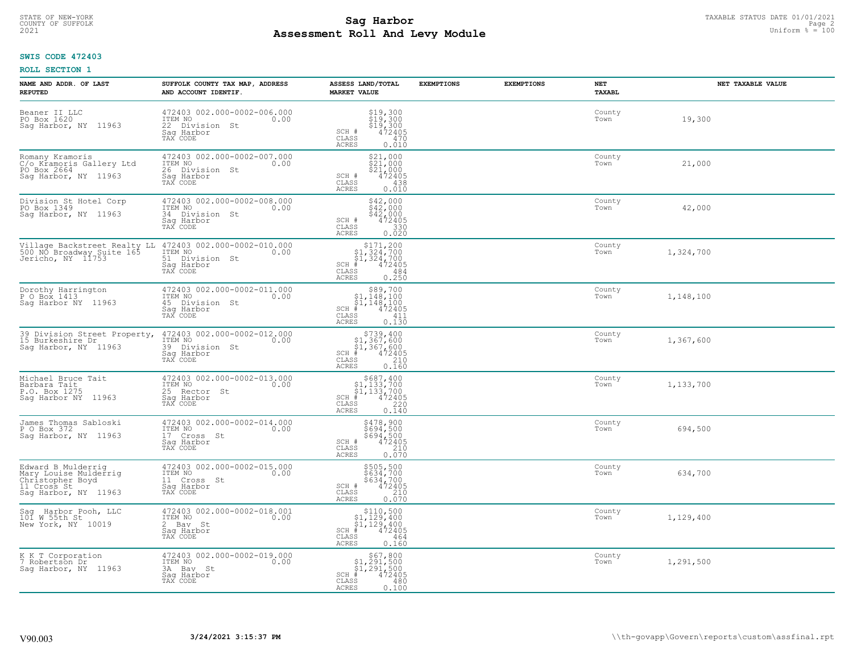# STATE OF NEW-YORK TAXABLE STATUS DATE 01/01/2021<br>COUNTY OF SUFFOLK Page 2 **Assessment Roll And Levy Module Example 2021** Uniform  $\frac{100}{2021}$

## **SWIS CODE 472403**

| NAME AND ADDR. OF LAST<br><b>REPUTED</b>                                                               | SUFFOLK COUNTY TAX MAP, ADDRESS<br>AND ACCOUNT IDENTIF.                                                                                                      | ASSESS LAND/TOTAL<br><b>MARKET VALUE</b>                                                                                           | <b>EXEMPTIONS</b> | <b>EXEMPTIONS</b> | NET<br>TAXABL  | NET TAXABLE VALUE |
|--------------------------------------------------------------------------------------------------------|--------------------------------------------------------------------------------------------------------------------------------------------------------------|------------------------------------------------------------------------------------------------------------------------------------|-------------------|-------------------|----------------|-------------------|
| Beaner II LLC<br>PO Box 1620<br>Sag Harbor, NY 11963                                                   | 472403 002.000-0002-006.000<br>ITEM NO<br>0.00<br>22 Division St<br>Saq Harbor<br>TAX CODE                                                                   | $$19,300$<br>$$19,300$<br>$$19,300$<br>$$19,300$<br>$472405$<br>SCH #<br>CLASS<br>470<br><b>ACRES</b><br>0.010                     |                   |                   | County<br>Town | 19,300            |
| Romany Kramoris<br>C/o Kramoris Gallery Ltd<br>PO Box 2664<br>Sag Harbor, NY 11963                     | 472403 002.000-0002-007.000<br>ITEM NO<br>0.00<br>26 Division St<br>Saq Harbor<br>TAX CODE                                                                   | \$21,000<br>\$21,000<br>\$21,000<br>SCH #<br>472405<br>CLASS<br>438<br>0.010<br><b>ACRES</b>                                       |                   |                   | County<br>Town | 21,000            |
| Division St Hotel Corp<br>PO Box 1349<br>Sag Harbor, NY 11963                                          | 472403 002.000-0002-008.000<br>ITEM NO<br>0.00<br>34 Division St<br>Saq Harbor<br>TAX CODE                                                                   | $$42,000$<br>$$42,000$<br>$$42,000$<br>SCH #<br>472405<br>$\mathtt{CLASS}$<br>330<br>0.020<br><b>ACRES</b>                         |                   |                   | County<br>Town | 42,000            |
|                                                                                                        | Village Backstreet Realty LL 472403 002.000-0002-010.000<br>500 NO Broadway Suite 165 1TEM NO 100 Jericho, NY 11753 51 Division St<br>Saq Harbor<br>TAX CODE | $$171,200$<br>$$1,324,700$<br>$$1,324,700$<br>$*1,324,700$<br>$*1,472405$<br>$SCH$ #<br>CLASS<br>484<br>ACRES<br>0.250             |                   |                   | County<br>Town | 1,324,700         |
| Dorothy Harrington<br>P O Box 1413<br>Sag Harbor NY 11963                                              | 472403 002.000-0002-011.000<br>ITEM NO<br>0.00<br>45 Division St<br>Saq Harbor<br>TAX CODE                                                                   | $\begin{array}{c} $89,700 $1,148,100 $1,148,100 # 472405 \end{array}$<br>$SCH$ #<br>CLASS<br>411<br><b>ACRES</b><br>0.130          |                   |                   | County<br>Town | 1,148,100         |
| 39 Division Street Property,<br>15 Burkeshire Dr<br>Sag Harbor, NY 11963                               | 472403 002.000-0002-012.000<br>ITEM NO<br>0.00<br>39 Division St<br>Sag Harbor<br>TAX CODE                                                                   | $$739,400$<br>$$1,367,600$<br>$$1,367,600$<br>$*1$<br>$472405$<br>$SCH$ #<br>210<br>$\mathtt{CLASS}$<br>0.160<br><b>ACRES</b>      |                   |                   | County<br>Town | 1,367,600         |
| Michael Bruce Tait<br>Barbara Tait<br>P.O. Box 1275<br>Saq Harbor NY 11963                             | 472403 002.000-0002-013.000<br>ITEM NO<br>0.00<br>25 Rector St<br>Saq Harbor<br>TAX CODE                                                                     | $$687, 400$<br>$$1, 133, 700$<br>$$1, 133, 700$<br>$*1$<br>$*12405$<br>$SCH$ #<br>CLASS<br>220<br>0.140<br><b>ACRES</b>            |                   |                   | County<br>Town | 1,133,700         |
| James Thomas Sabloski<br>P O Box 372<br>Saq Harbor, NY 11963                                           | 472403 002.000-0002-014.000<br>TTEM NO 0.00<br>17 Cross St<br>Saq Harbor<br>TAX CODE                                                                         | \$478,900<br>\$694,500<br>\$694,500<br>472405<br>SCH #<br>CLASS<br>210<br><b>ACRES</b><br>0.070                                    |                   |                   | County<br>Town | 694,500           |
| Edward B Mulderrig<br>Mary Louise Mulderrig<br>Christopher Boyd<br>11 Cross St<br>Saq Harbor, NY 11963 | 472403 002.000-0002-015.000<br>TTEM NO 0.00<br>11 Cross St<br>Sag Harbor<br>TAX CODE                                                                         | \$505,500<br>\$634,700<br>\$634,700<br>SCH #<br>472405<br>CLASS<br>210<br><b>ACRES</b><br>0.070                                    |                   |                   | County<br>Town | 634,700           |
| Sag Harbor Pooh, LLC<br>101 W 55th St<br>New York, NY 10019                                            | 472403 002.000-0002-018.001<br>ITEM NO<br>0.00<br>2 Bay St<br>Saq Harbor<br>TAX CODE                                                                         | \$110,500<br>$\begin{array}{l} $1,129,400 \ $1,129,400 \ $4,42405 \end{array}$<br>$SCH$ #<br>CLASS<br>464<br><b>ACRES</b><br>0.160 |                   |                   | County<br>Town | 1,129,400         |
| K K T Corporation<br>7 Robertson Dr<br>Saq Harbor, NY 11963                                            | 472403 002.000-0002-019.000<br>ITEM NO<br>0.00<br>3A Bay St<br>Saq Harbor<br>TAX CODE                                                                        | $$1,291,500$<br>$$1,291,500$<br>$$1,291,500$<br>$SCH$ #<br>472405<br>CLASS<br>480<br>0.100<br><b>ACRES</b>                         |                   |                   | County<br>Town | 1,291,500         |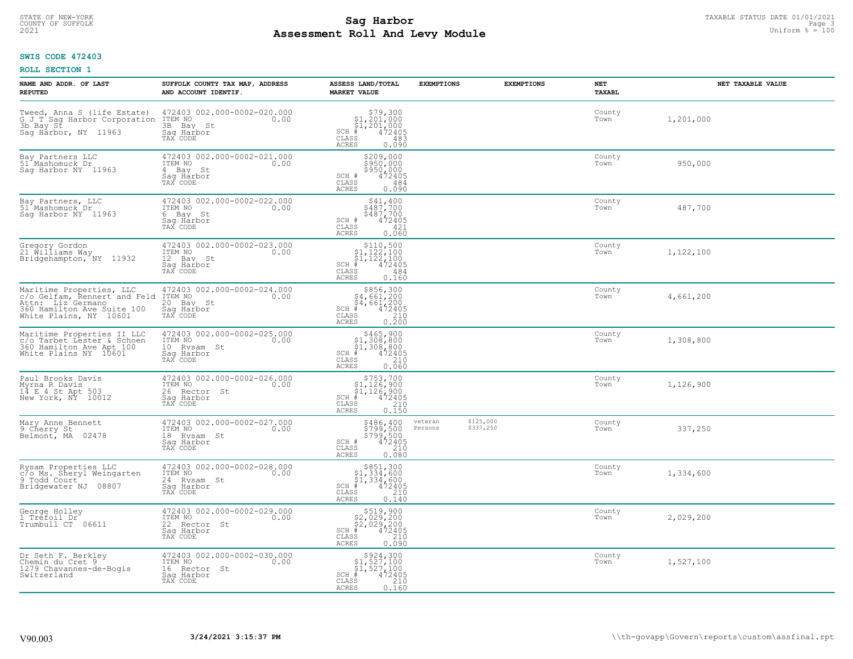## **SWIS CODE 472403**

| NAME AND ADDR. OF LAST<br><b>REPUTED</b>                                                                                              | SUFFOLK COUNTY TAX MAP, ADDRESS<br>AND ACCOUNT IDENTIF.                                                                                  | ASSESS LAND/TOTAL<br><b>MARKET VALUE</b>                                                                                                                    | <b>EXEMPTIONS</b>                            | <b>EXEMPTIONS</b> | NET<br>TAXABL  | NET TAXABLE VALUE |
|---------------------------------------------------------------------------------------------------------------------------------------|------------------------------------------------------------------------------------------------------------------------------------------|-------------------------------------------------------------------------------------------------------------------------------------------------------------|----------------------------------------------|-------------------|----------------|-------------------|
| 3b Bay St<br>Saq Harbor, NY 11963                                                                                                     | Tweed, Anna S (life Estate) 472403 002.000-0002-020.000 G J_T Sag Harbor Corporation ITEM NO 0.00<br>3B Bay St<br>Saq Harbor<br>TAX CODE | $$79,300$<br>$$1,201,000$<br>$$1,201,000$<br>$*$ 472405<br>$SCH$ #<br>CLASS<br>483<br><b>ACRES</b><br>0.090                                                 |                                              |                   | County<br>Town | 1,201,000         |
| Bay Partners LLC<br>51 Mashomuck Dr<br>Sag Harbor NY 11963                                                                            | 472403 002.000-0002-021.000<br>ITEM NO<br>0.00<br>4 Bay St<br>Sag Harbor<br>TAX CODE                                                     | \$209,000<br>\$950,000<br>\$950,000<br>SCH #<br>472405<br>CLASS<br>484<br>0.090<br>ACRES                                                                    |                                              |                   | County<br>Town | 950,000           |
| Bay Partners, LLC<br>51 Mashomuck Dr.<br>Saq Harbor NY 11963                                                                          | 472403 002.000-0002-022.000<br>ITEM NO<br>0.00<br>6 Bay St<br>Saq Harbor<br>TAX CODE                                                     | \$41,400<br>\$487,700<br>\$487,700<br>472405<br>SCH #<br>CLASS<br>421<br>0.060<br>ACRES                                                                     |                                              |                   | County<br>Town | 487,700           |
| Gregory Gordon<br>21 Williams Way<br>Bridgehampton, NY 11932                                                                          | 472403 002.000-0002-023.000<br>TTEM NO 0.00<br>0.00<br>12 Bay St<br>Saq Harbor<br>TAX CODE                                               | $\begin{array}{c} $110,500 $1,122,100 $1,122,100 # 472405 \end{array}$<br>$SCH$ #<br>$\mathtt{CLASS}$<br>484<br><b>ACRES</b><br>0.160                       |                                              |                   | County<br>Town | 1,122,100         |
| Maritime Properties, LLC<br>c/o Gelfam, Rennert and Feld<br>Attn: Liz Germano<br>360 Hamilton Ave Suite 100<br>White Plains, NY 10601 | 472403 002.000-0002-024.000<br>ITEM NO<br>0.00<br>20 Bay St<br>Saq Harbor<br>TAX CODE                                                    | $\begin{array}{r} 5856,300 \\ 54,661,200 \\ 54,661,200 \\ \pm \\ 472405 \\ \text{ss} \\ 210 \\ \text{ss} \\ 0.200 \end{array}$<br>$SCH$ #<br>CLASS<br>ACRES |                                              |                   | County<br>Town | 4,661,200         |
| Maritime Properties II LLC<br>c/o Tarbet Lester & Schoen<br>360 Hamilton Ave Apt 100<br>White Plains NY 10601                         | 472403 002.000-0002-025.000<br>ITEM NO<br>0.00<br>10 Rysam St<br>Saq Harbor<br>TAX CODE                                                  | $$465,900$<br>$$1,308,800$<br>$$1,308,800$<br>$*1,308,800$<br>$*1,472405$<br>$SCH$ #<br>CLASS<br>210<br>0.060<br><b>ACRES</b>                               |                                              |                   | County<br>Town | 1,308,800         |
| Paul Brooks Davis<br>Myrna R Davis<br>14 E 4 St Apt 503<br>New York, NY 10012                                                         | 472403 002.000-0002-026.000<br>ITEM NO<br>0.00<br>26 Rector St<br>Saq Harbor<br>TAX CODE                                                 | $$753,700$<br>$$1,126,900$<br>$$1,126,900$<br>$$472405$<br>$SCH$ #<br>CLASS<br>210<br>0.150<br><b>ACRES</b>                                                 |                                              |                   | County<br>Town | 1,126,900         |
| Mary Anne Bennett<br>9 Cherry St<br>Belmont, MA 02478                                                                                 | 472403 002.000-0002-027.000<br>10.00 0.00<br>18 Rysam St<br>Saq Harbor<br>TAX CODE                                                       | \$486,400<br>\$799,500<br>\$799,500<br>\$799,500<br>SCH #<br>$\mathtt{CLASS}$<br>210<br><b>ACRES</b><br>0.080                                               | \$125,000<br>veteran<br>Persons<br>\$337,250 |                   | County<br>Town | 337,250           |
| Rysam Properties LLC<br>c/o Ms. Sheryl Weingarten<br>9 Todd Court<br>Bridgewater NJ 08807                                             | 472403 002.000-0002-028.000<br>TTEM NO 0.00<br>24 Rysam St<br>Saq Harbor<br>TAX CODE                                                     | $$851,300$<br>$$1,334,600$<br>$$1,334,600$<br>$SCH$ #<br>472405<br>CLASS<br>210<br><b>ACRES</b><br>0.140                                                    |                                              |                   | County<br>Town | 1,334,600         |
| George Holley<br>1 Tréfoil Dr<br>Trumbull CT 06611                                                                                    | 472403 002.000-0002-029.000<br>ITEM NO<br>0.00<br>22 Rector St<br>Saq Harbor<br>TAX CODE                                                 | $$519,900$<br>$$2,029,200$<br>$$2,029,200$<br>$$472405$<br>$SCH$ #<br>CLASS<br>210<br><b>ACRES</b><br>0.090                                                 |                                              |                   | County<br>Town | 2,029,200         |
| Dr Seth F. Berkley<br>Chemin du Cret 9<br>1279 Chavannes-de-Bogis<br>Switzerland                                                      | 472403 002.000-0002-030.000<br>ITEM NO<br>0.00<br>16 Rector St<br>Saq Harbor<br>TAX CODE                                                 | $\begin{array}{c} $924,300 \\ $1,527,100 \\ $1,527,100 \end{array}$<br>$SCH$ #<br>472405<br>CLASS<br>210<br>0.160<br>ACRES                                  |                                              |                   | County<br>Town | 1,527,100         |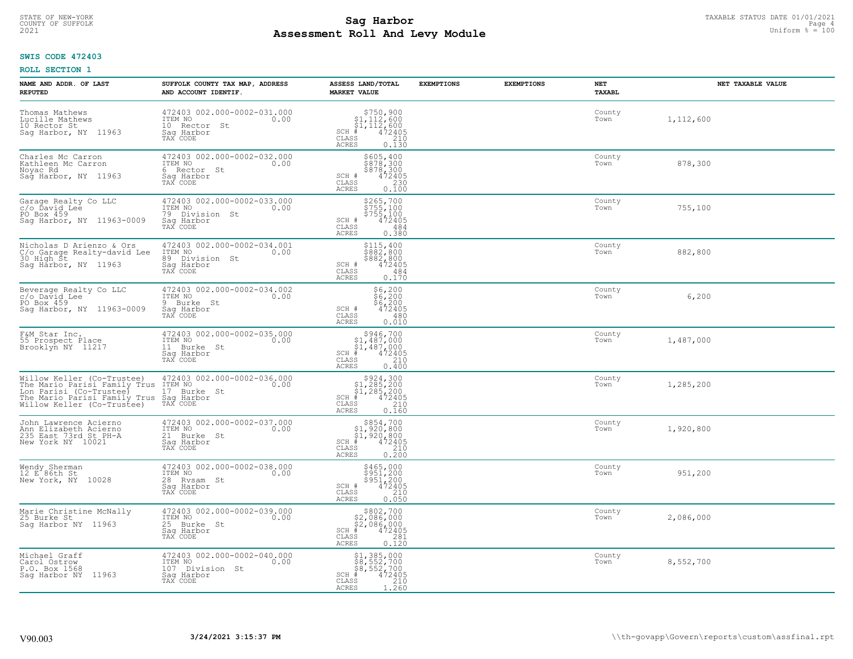## **SWIS CODE 472403**

| NAME AND ADDR. OF LAST<br><b>REPUTED</b>                                                                                                                                                                   | SUFFOLK COUNTY TAX MAP, ADDRESS<br>AND ACCOUNT IDENTIF.                                     | ASSESS LAND/TOTAL<br><b>MARKET VALUE</b>                                                                             | <b>EXEMPTIONS</b> | <b>EXEMPTIONS</b> | NET<br><b>TAXABL</b> | NET TAXABLE VALUE |
|------------------------------------------------------------------------------------------------------------------------------------------------------------------------------------------------------------|---------------------------------------------------------------------------------------------|----------------------------------------------------------------------------------------------------------------------|-------------------|-------------------|----------------------|-------------------|
| Thomas Mathews<br>Lucille Mathews<br>10 Rector St<br>Sag Harbor, NY 11963                                                                                                                                  | 472403 002.000-0002-031.000<br>ITEM NO<br>0.00<br>10 Rector St<br>Saq Harbor<br>TAX CODE    | $$750,900$<br>$$1,112,600$<br>$$1,112,600$<br>$#$<br>$472405$<br>$$210$<br>$SCH$ #<br>CLASS<br><b>ACRES</b><br>0.130 |                   |                   | County<br>Town       | 1,112,600         |
| Charles Mc Carron<br>Kathleen Mc Carron<br>Noyac Rd<br>Sag Harbor, NY 11963                                                                                                                                | 472403 002.000-0002-032.000<br>ITEM NO<br>0.00<br>6 Rector St<br>Saq Harbor<br>TAX CODE     | \$605,400<br>\$878,300<br>\$878,300<br>SCH #<br>472405<br>CLASS<br>230<br>0.100<br><b>ACRES</b>                      |                   |                   | County<br>Town       | 878,300           |
| Garage Realty Co LLC<br>c/o Ďavid Lee<br>PO Box 459<br>Saq Harbor, NY 11963-0009                                                                                                                           | 472403 002.000-0002-033.000<br>ITEM NO<br>0.00<br>79 Division St<br>Saq Harbor<br>TAX CODE  | \$265,700<br>$\frac{5755}{5755}$ , 100<br>$\frac{5755}{472405}$<br>SCH #<br>CLASS<br>484<br>0.380<br>ACRES           |                   |                   | County<br>Town       | 755,100           |
| Nicholas D Arienzo & Ors<br>C/o Garage Realty-david Lee<br>30 High St<br>Sag Harbor, NY 11963                                                                                                              | 472403 002.000-0002-034.001<br>ITEM NO<br>0.00<br>89 Division St<br>Saq Harbor<br>TAX CODE  | \$115,400<br>\$882,800<br>\$882,800<br>472405<br>SCH #<br>CLASS<br>484<br><b>ACRES</b><br>0.170                      |                   |                   | County<br>Town       | 882,800           |
| Beverage Realty Co LLC<br>c/o David Lee<br>PO Box 459<br>Sag Harbor, NY 11963-0009                                                                                                                         | 472403 002.000-0002-034.002<br>ITEM NO<br>0.00<br>9 Burke St<br>Saq Harbor<br>TAX CODE      | \$6,200<br>$\frac{56}{6}$ , 200<br>\$6, 200<br>472405<br>SCH #<br>$\mathtt{CLASS}$<br>480<br>0.010<br><b>ACRES</b>   |                   |                   | County<br>Town       | 6,200             |
| F&M Star Inc.<br>55 Prospect Place<br>Brooklyn NY 11217                                                                                                                                                    | 472403 002.000-0002-035.000<br>ITEM NO<br>0.00<br>11 Burke St<br>Sag Harbor<br>TAX CODE     | $$946,700\n$1,487,000\n$1,487,000\n# 472405\n$5\n$210$<br>$SCH$ #<br>CLASS<br>0.400<br><b>ACRES</b>                  |                   |                   | County<br>Town       | 1,487,000         |
| Willow Keller (Co-Trustee) 472403 002.000<br>The Mario Parisi Family Trus ITEM NO<br>Lon Parisi (Co-Trustee) 17 Burke St<br>The Mario Parisi Family Trus Sag Harbor<br>Willow Keller (Co-Trustee) TAX CODE | 472403 002.000-0002-036.000<br>0.00                                                         | $$324,30051,285,20051,285,200+ 472405$<br>$SCH$ #<br>CLASS<br>210<br>0.160<br><b>ACRES</b>                           |                   |                   | County<br>Town       | 1,285,200         |
| John Lawrence Acierno<br>Ann Elizabeth Acierno<br>235 East 73rd St PH-A<br>New York NY 10021                                                                                                               | 472403 002.000-0002-037.000<br>TTEM NO 0.00<br>21 Burke St<br>Saq Harbor<br>TAX CODE        | $$854,700$<br>$$1,920,800$<br>$$1,920,800$<br>$$472405$<br>SCH #<br>CLASS<br>210<br><b>ACRES</b><br>0.200            |                   |                   | County<br>Town       | 1,920,800         |
| Wendy Sherman<br>12 E 86th St<br>New York, NY 10028                                                                                                                                                        | 472403 002.000-0002-038.000<br>10.00 0.00<br>28 Rysam St<br>Saq Harbor<br>TAX CODE          | \$465,000<br>\$951,200<br>\$951,200<br>SCH #<br>472405<br>CLASS<br>210<br><b>ACRES</b><br>0.050                      |                   |                   | County<br>Town       | 951,200           |
| Marie Christine McNally<br>25 Burke St<br>Sag Harbor NY 11963                                                                                                                                              | 472403 002.000-0002-039.000<br>ITEM NO<br>0.00<br>25 Burke St<br>Sag Harbor<br>TAX CODE     | $$802,700\n$2,086,000\n$2,086,000\n# 472405\n85\n281\n281$<br>$SCH$ #<br>CLASS<br>0.120<br><b>ACRES</b>              |                   |                   | County<br>Town       | 2,086,000         |
| Michael Graff<br>Carol Ostrow<br>P.O. Box 1568<br>Sag Harbor NY 11963                                                                                                                                      | 472403 002.000-0002-040.000<br>ITEM NO<br>0.00<br>107 Division St<br>Sag Harbor<br>TAX CODE | \$1,385,000<br>\$8,552,700<br>\$8,552,700<br>$SCH$ #<br>472405<br>CLASS<br>210<br>1,260<br><b>ACRES</b>              |                   |                   | County<br>Town       | 8,552,700         |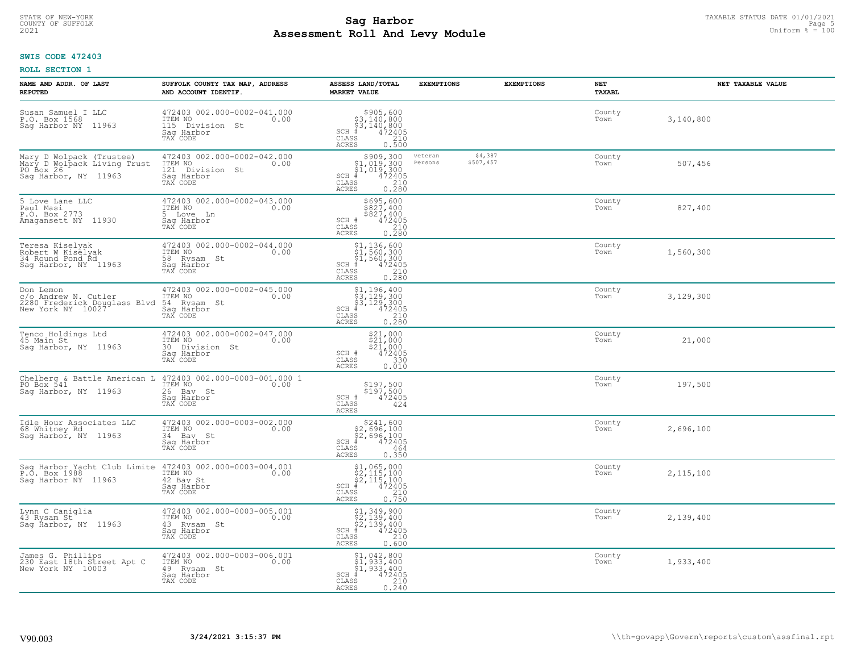## **SWIS CODE 472403**

| NAME AND ADDR. OF LAST<br><b>REPUTED</b>                                                     | SUFFOLK COUNTY TAX MAP, ADDRESS<br>AND ACCOUNT IDENTIF.                                     | ASSESS LAND/TOTAL<br><b>MARKET VALUE</b>                                                                                                 | <b>EXEMPTIONS</b>  |                      | <b>EXEMPTIONS</b> | <b>NET</b><br>TAXABL | NET TAXABLE VALUE |
|----------------------------------------------------------------------------------------------|---------------------------------------------------------------------------------------------|------------------------------------------------------------------------------------------------------------------------------------------|--------------------|----------------------|-------------------|----------------------|-------------------|
| Susan Samuel I LLC<br>P.O. Box 1568<br>Sag Harbor NY<br>11963                                | 472403 002.000-0002-041.000<br>ITEM NO<br>0.00<br>115 Division St<br>Sag Harbor<br>TAX CODE | $$3,140,800$<br>$$3,140,800$<br>$$472405$<br>$$42405$<br>$$210$<br>$SCH$ #<br>CLASS<br>ACRES<br>0.500                                    |                    |                      |                   | County<br>Town       | 3,140,800         |
| Mary D Wolpack (Trustee)<br>Mary D Wolpack Living Trust<br>PO Box 26<br>Sag Harbor, NY 11963 | 472403 002.000-0002-042.000<br>ITEM NO<br>121 Division St<br>0.00<br>Sag Harbor<br>TAX CODE | $$909,300$<br>$$1,019,300$<br>$$1,019,300$<br>$$472405$<br>SCH #<br>CLASS<br>$\begin{array}{c} 210 \\ 0.280 \end{array}$<br><b>ACRES</b> | veteran<br>Persons | \$4,387<br>\$507,457 |                   | County<br>Town       | 507,456           |
| 5 Love Lane LLC<br>Paul Masi<br>P.O. Box 2773<br>Amagansett NY 11930                         | 472403 002.000-0002-043.000<br>ITEM NO<br>0.00<br>5 Love Ln<br>Sag Harbor<br>TAX CODE       | \$695,600<br>\$827,400<br>\$827,400<br>SCH #<br>472405<br>CLASS<br>0.210<br>ACRES                                                        |                    |                      |                   | County<br>Town       | 827,400           |
| Teresa Kiselyak<br>Robert W Kiselyak<br>34 Round Pond Rd<br>Sag Harbor, NY 11963             | 472403 002.000-0002-044.000<br>ITEM NO<br>0.00<br>58 Rysam St<br>Saq Harbor<br>TAX CODE     | $$1,136,600$<br>$$1,560,300$<br>$$1,560,300$<br>$472405$<br>$32405$<br>$210$<br>$SCH$ #<br>CLASS<br>0.280<br>ACRES                       |                    |                      |                   | County<br>Town       | 1,560,300         |
| Don Lemon<br>C/O Andrew N. Cutler<br>2280 Frederick Douglass Blvd<br>New York NY 10027       | 472403 002.000-0002-045.000<br>ITEM NO<br>0.00<br>54 Rysam St<br>Saq Harbor<br>TAX CODE     | \$1,196,400<br>\$3,129,300<br>\$3,129,300<br>#472405<br>$SCH$ #<br>CLASS<br>210<br>0.280<br>ACRES                                        |                    |                      |                   | County<br>Town       | 3,129,300         |
| Tenco Holdings Ltd<br>45 Main St<br>Saq Harbor, NY 11963                                     | 472403 002.000-0002-047.000<br>ITEM NO<br>0.00<br>30 Division St<br>Sag Harbor<br>TAX CODE  | $$21,000$<br>$$21,000$<br>$$21,000$<br>$$2472405$<br>SCH #<br>CLASS<br>330<br>0.010<br>ACRES                                             |                    |                      |                   | County<br>Town       | 21,000            |
| Chelberg & Battle American L<br>PO Box 541<br>Sag Harbor, NY 11963                           | 472403 002.000-0003-001.000 1<br>ITEM NO<br>0.00<br>26 Bay St<br>Sag Harbor<br>TAX CODE     | \$197,500<br>\$197,500<br>472405<br>SCH #<br>CLASS<br>424<br>ACRES                                                                       |                    |                      |                   | County<br>Town       | 197,500           |
| Idle Hour Associates LLC<br>68 Whitney Rd<br>Sag Harbor, NY 11963                            | 472403 002.000-0003-002.000<br>ITEM NO<br>0.00<br>34 Bay St<br>Saq Harbor<br>TAX CODE       | $$241,600$<br>$$2,696,100$<br>$$2,696,100$<br>$$472405$<br>$SCH$ #<br>CLASS<br>464<br>ACRES<br>0.350                                     |                    |                      |                   | County<br>Town       | 2,696,100         |
| Sag Harbor Yacht Club Limite<br>P.O. Box 1988<br>Sag Harbor NY 11963                         | 472403 002.000-0003-004.001<br>ITEM NO<br>0.00<br>42 Bay St<br>Saq Harbor<br>TAX CODE       | $$1,065,000$<br>$$2,115,100$<br>$$2,115,100$<br>$$2,115,100$<br>SCH #<br>472405<br>CLASS<br>$\frac{210}{0.750}$<br>ACRES                 |                    |                      |                   | County<br>Town       | 2,115,100         |
| Lynn C Caniglia<br>43 Rysam St<br>Sag Ĥarbor, NY 11963                                       | 472403 002.000-0003-005.001<br>ITEM NO<br>0.00<br>43 Rysam St<br>Sag Harbor<br>TAX CODE     | $$2,139,900$<br>$$2,139,400$<br>$$2,139,400$<br>$472405$<br>$$2,10$<br>SCH #<br>CLASS<br>0.600<br><b>ACRES</b>                           |                    |                      |                   | County<br>Town       | 2,139,400         |
| James G. Phillips<br>230 East 18th Street Apt C<br>New York NY 10003                         | 472403 002.000-0003-006.001<br>ITEM NO<br>0.00<br>49 Rysam St<br>Saq Harbor<br>TAX CODE     | $$1, 042, 800$<br>$$1, 933, 400$<br>$$1, 933, 400$<br>$$472405$<br>SCH #<br>210<br>CLASS<br>0.240<br>ACRES                               |                    |                      |                   | County<br>Town       | 1,933,400         |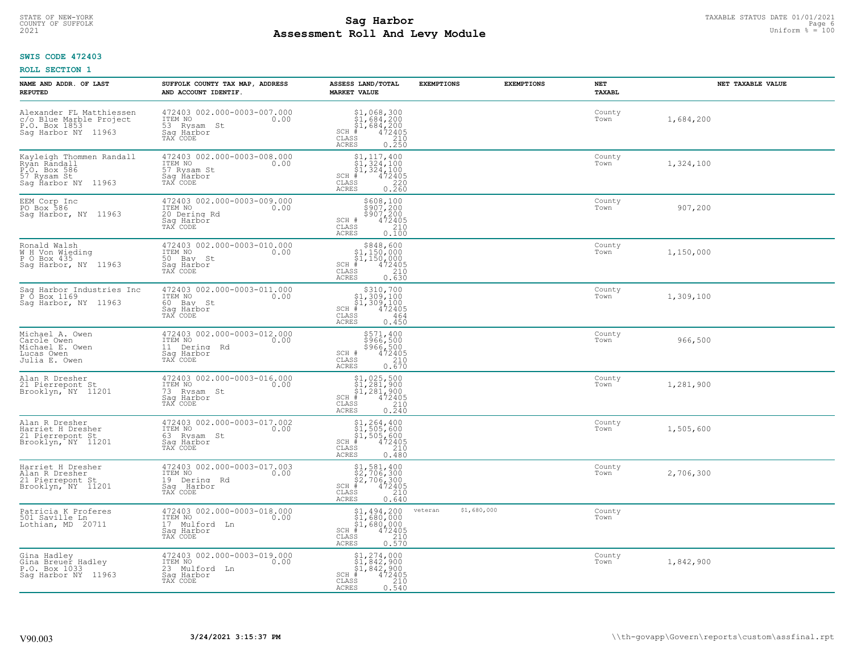## **SWIS CODE 472403**

| NAME AND ADDR. OF LAST<br><b>REPUTED</b>                                                       | SUFFOLK COUNTY TAX MAP, ADDRESS<br>AND ACCOUNT IDENTIF.                                   | ASSESS LAND/TOTAL<br><b>MARKET VALUE</b>                                                                                                | <b>EXEMPTIONS</b>      | <b>EXEMPTIONS</b> | NET<br><b>TAXABL</b> | NET TAXABLE VALUE |
|------------------------------------------------------------------------------------------------|-------------------------------------------------------------------------------------------|-----------------------------------------------------------------------------------------------------------------------------------------|------------------------|-------------------|----------------------|-------------------|
| Alexander FL Matthiessen<br>c/o Blue Marble Project<br>P.O. Box 1853<br>Sag Harbor NY 11963    | 472403 002.000-0003-007.000<br>ITEM NO<br>0.00<br>53 Rysam St<br>Saq Harbor<br>TAX CODE   | $$1,068,300$<br>$$1,684,200$<br>$$1,684,200$<br>$472405$<br>$$210$<br>$$210$<br>$SCH$ #<br>CLASS<br><b>ACRES</b><br>0.250               |                        |                   | County<br>Town       | 1,684,200         |
| Kayleigh Thommen Randall<br>Ryan Randall<br>P.O. Box 586<br>57 Rysam St<br>Sag Harbor NY 11963 | 472403 002.000-0003-008.000<br>ITEM NO<br>0.00<br>57 Rysam St<br>Saq Harbor<br>TAX CODE   | $\begin{array}{c} 51,117,400 \\ 51,324,100 \\ 51,324,100 \end{array}$<br>$SCH$ #<br>472405<br>CLASS<br>$0.220$<br>0.260<br><b>ACRES</b> |                        |                   | County<br>Town       | 1,324,100         |
| EEM Corp Inc<br>PO Box 586<br>Saq Harbor, NY 11963                                             | 472403 002.000-0003-009.000<br>ITEM NO<br>0.00<br>20 Dering Rd<br>Saq Harbor<br>TAX CODE  | \$608,100<br>\$907,200<br>\$907,200<br>472405<br>SCH #<br>CLASS<br>210<br>0.100<br>ACRES                                                |                        |                   | County<br>Town       | 907,200           |
| Ronald Walsh<br>W H Von Wieding<br>P O Box 435<br>Saq Harbor, NY 11963                         | 472403 002.000-0003-010.000<br>ITEM NO<br>0.00<br>50 Bay St<br>Saq Harbor<br>TAX CODE     | $$848,600$<br>$$1,150,000$<br>$$1,150,000$<br>$*$<br>$472405$<br>$SCH$ #<br>CLASS<br>210<br>ACRES<br>0.630                              |                        |                   | County<br>Town       | 1,150,000         |
| Sag Harbor Industries Inc<br>P 0 Box 1169<br>Sag Harbor, NY 11963                              | 472403 002.000-0003-011.000<br>ITEM NO<br>0.00<br>60 Bay St<br>Saq Harbor<br>TAX CODE     | \$310,700<br>$\begin{array}{l} 51,309,100 \\ 51,309,100 \\ \pm 472405 \end{array}$<br>$SCH$ #<br>CLASS<br>464<br>0.450<br><b>ACRES</b>  |                        |                   | County<br>Town       | 1,309,100         |
| Michael A. Owen<br>Carole Owen<br>Michael E. Owen<br>Lucas Owen<br>Julia E. Owen               | 472403 002.000-0003-012.000<br>ITEM NO<br>0.00<br>11 Dering Rd<br>Sag Harbor<br>TAX CODE  | \$571,400<br>\$966,500<br>\$966,500<br>472405<br>SCH #<br>CLASS<br>210<br>0.670<br><b>ACRES</b>                                         |                        |                   | County<br>Town       | 966,500           |
| Alan R Dresher<br>21 Pierrepont St<br>Brooklyn, NY 11201                                       | 472403 002.000-0003-016.000<br>ITEM NO<br>0.00<br>73 Rysam St<br>Saq Harbor<br>TAX CODE   | $$1,025,500$<br>$$1,281,900$<br>$$1,281,900$<br>$$472405$<br>$SCH$ #<br>CLASS<br>210<br>0.240<br><b>ACRES</b>                           |                        |                   | County<br>Town       | 1,281,900         |
| Alan R Dresher<br>Harriet H Dresher<br>21 Pierrepont St<br>Brooklyn, NY 11201                  | 472403 002.000-0003-017.002<br>TTEM NO 0.00<br>63 Rysam St<br>Saq Harbor<br>TAX CODE      | $$1, 264, 400$<br>$$1, 505, 600$<br>$$1, 505, 600$<br>$*$ 472405<br>$SCH$ #<br>CLASS<br>210<br>ACRES<br>0.480                           |                        |                   | County<br>Town       | 1,505,600         |
| Harriet H Dresher<br>Alan R Dresher<br>21 Pierrepont St<br>Brooklyn, NY 11201                  | 472403 002.000-0003-017.003<br>1TEM NO 0.00<br>19 Dering Rd<br>Saq Harbor<br>TAX CODE     | \$1,581,400<br>\$2,706,300<br>\$2,706,300<br>SCH #<br>472405<br>210<br>CLASS<br><b>ACRES</b><br>0.640                                   |                        |                   | County<br>Town       | 2,706,300         |
| Patricia K Proferes<br>501 Saville Ln<br>Lothian, MD 20711                                     | 472403 002.000-0003-018.000<br>ITEM NO<br>0.00<br>17 Mulford Ln<br>Saq Harbor<br>TAX CODE | \$1,494,200<br>\$1,680,000<br>\$1,680,000<br>$\frac{472405}{210}$<br>$SCH$ #<br>CLASS<br><b>ACRES</b><br>0.570                          | \$1,680,000<br>veteran |                   | County<br>Town       |                   |
| Gina Hadley<br>Gina Breuer Hadley<br>P.O. Box 1033<br>Saq Harbor NY 11963                      | 472403 002.000-0003-019.000<br>ITEM NO<br>0.00<br>23 Mulford Ln<br>Saq Harbor<br>TAX CODE | $$1, 274, 000$<br>$$1, 842, 900$<br>$$1, 842, 900$<br>SCH #<br>472405<br>CLASS<br>210<br><b>ACRES</b><br>0.540                          |                        |                   | County<br>Town       | 1,842,900         |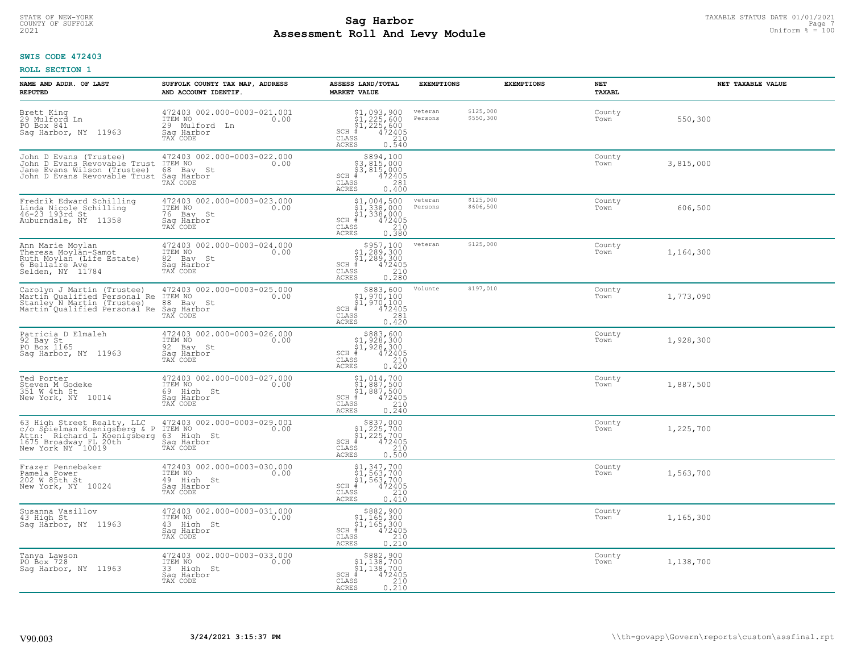## **SWIS CODE 472403**

| NAME AND ADDR. OF LAST<br><b>REPUTED</b>                                                                                                | SUFFOLK COUNTY TAX MAP, ADDRESS<br>AND ACCOUNT IDENTIF.                                      | ASSESS LAND/TOTAL<br><b>MARKET VALUE</b>                                                                               | <b>EXEMPTIONS</b>  | <b>EXEMPTIONS</b>      | NET<br><b>TAXABL</b> | NET TAXABLE VALUE |
|-----------------------------------------------------------------------------------------------------------------------------------------|----------------------------------------------------------------------------------------------|------------------------------------------------------------------------------------------------------------------------|--------------------|------------------------|----------------------|-------------------|
| Brett King<br>29 Mulford Ln<br>PO Box 841<br>Sag Harbor, NY 11963                                                                       | 472403 002.000-0003-021.001<br>ITEM NO<br>0.00<br>29 Mulford<br>Ln<br>Saq Harbor<br>TAX CODE | $$1, 093, 900$<br>$$1, 225, 600$<br>$$1, 225, 600$<br>$472405$<br>$$210$<br>$SCH$ #<br>CLASS<br><b>ACRES</b><br>0.540  | veteran<br>Persons | \$125,000<br>\$550,300 | County<br>Town       | 550,300           |
| John D Evans (Trustee)<br>John D Evans Revovable Trust<br>Jane Evans Wilson (Trustee)<br>John D Evans Revovable Trust Saq Harbor        | 472403 002.000-0003-022.000<br>ITEM NO<br>0.00<br>68 Bay St<br>TAX CODE                      | \$894,100<br>\$3,815,000<br>\$3,815,000<br>SCH #<br>472405<br>CLASS<br>281<br><b>ACRES</b><br>0.400                    |                    |                        | County<br>Town       | 3,815,000         |
| Fredrik Edward Schilling<br>Linda Nicole Schilling<br>46-23 193rd St<br>Auburndale, NY 11358                                            | 472403 002.000-0003-023.000<br>ITEM NO<br>0.00<br>76 Bay St<br>Saq Harbor<br>TAX CODE        | \$1,004,500<br>\$1,338,000<br>\$1,338,000<br>$SCH$ #<br>472405<br>CLASS<br>210<br><b>ACRES</b><br>0.380                | veteran<br>Persons | \$125,000<br>\$606,500 | County<br>Town       | 606,500           |
| Ann Marie Moylan<br>Theresa Moylan-Samot<br>Ruth Moylan (Life Estate)<br>6 Bellaire Ave<br>Selden, NY 11784                             | 472403 002.000-0003-024.000<br>ITEM NO<br>0.00<br>82 Bay St<br>Saq Harbor<br>TAX CODE        | \$957,100<br>$$1,289,300$<br>$$1,289,300$<br>$472405$<br>SCH #<br>CLASS<br>210<br>$0, \overline{280}$<br><b>ACRES</b>  | veteran            | \$125,000              | County<br>Town       | 1,164,300         |
| Carolyn J Martin (Trustee)<br>Martin Oualified Personal Re<br>Stanley N Martin (Trustee)<br>Martin Qualified Personal Re                | 472403 002.000-0003-025.000<br>ITEM NO<br>0.00<br>88 Bay St<br>Saq Harbor<br>TAX CODE        | $$883,600$<br>$$1,970,100$<br>$$1,970,100$<br>$*$ 472405<br>$SCH$ #<br>CLASS<br>281<br><b>ACRES</b><br>0.420           | Volunte            | \$197,010              | County<br>Town       | 1,773,090         |
| Patricia D Elmaleh<br>92 Bay St<br>PO Box 1165<br>Saq Harbor, NY 11963                                                                  | 472403 002.000-0003-026.000<br>ITEM NO<br>0.00<br>92 Bay St<br>Sag Harbor<br>TAX CODE        | $$883,600$<br>$$1,928,300$<br>$$1,928,300$<br>$$472405$<br>SCH<br>. #<br>210<br>CLASS<br>0.420<br><b>ACRES</b>         |                    |                        | County<br>Town       | 1,928,300         |
| Ted Porter<br>Steven M Godeke<br>351 W 4th St<br>New York, NY 10014                                                                     | 472403 002.000-0003-027.000<br>ITEM NO<br>0.00<br>69 High St<br>Saq Harbor<br>TAX CODE       | $$1,014,700$<br>$$1,887,500$<br>$$1,887,500$<br>$$472405$<br>SCH #<br>$\mathtt{CLASS}$<br>210<br><b>ACRES</b><br>0.240 |                    |                        | County<br>Town       | 1,887,500         |
| 63 High Street Realty, LLC<br>c/o Spielman Koenigsberg & P<br>Attn: Richard L Koenigsberg<br>1675 Broadway FL 20th<br>New York NY 10019 | 472403 002.000-0003-029.001<br>0.00 0.00<br>63 High St<br>Saq Harbor<br>TAX CODE             | $$837,000$<br>$$1,225,700$<br>$$1,225,700$<br>$$472405$<br>SCH #<br>CLASS<br>210<br><b>ACRES</b><br>0.500              |                    |                        | County<br>Town       | 1,225,700         |
| Frazer Pennebaker<br>Pamela Power<br>202 W 85th St<br>New York, NY 10024                                                                | 472403 002.000-0003-030.000<br>TTEM NO 0.00<br>49 High St<br>Saq Harbor<br>TAX CODE          | $$1,347,700$<br>$$1,563,700$<br>$$1,563,700$<br>$*$ 472405<br>$SCH$ #<br>CLASS<br>210<br>ACRES<br>0.410                |                    |                        | County<br>Town       | 1,563,700         |
| Susanna Vasillov<br>43 High St<br>Sag Harbor, NY 11963                                                                                  | 472403 002.000-0003-031.000<br>ITEM NO<br>0.00<br>43 High St<br>Sag Harbor<br>TAX CODE       | $$882,900$<br>$$1,165,300$<br>$$1,165,300$<br>$$472405$<br>SCH<br>CLASS<br>210<br><b>ACRES</b><br>0.210                |                    |                        | County<br>Town       | 1,165,300         |
| Tanya Lawson<br>PO Box 728<br>Saq Harbor, NY 11963                                                                                      | 472403 002.000-0003-033.000<br>ITEM NO<br>0.00<br>33 High St<br>Sag Harbor<br>TAX CODE       | \$882,900<br>\$1,138,700<br>\$1,138,700<br>$SCH$ #<br>472405<br>CLASS<br>$\frac{210}{0.210}$<br><b>ACRES</b>           |                    |                        | County<br>Town       | 1,138,700         |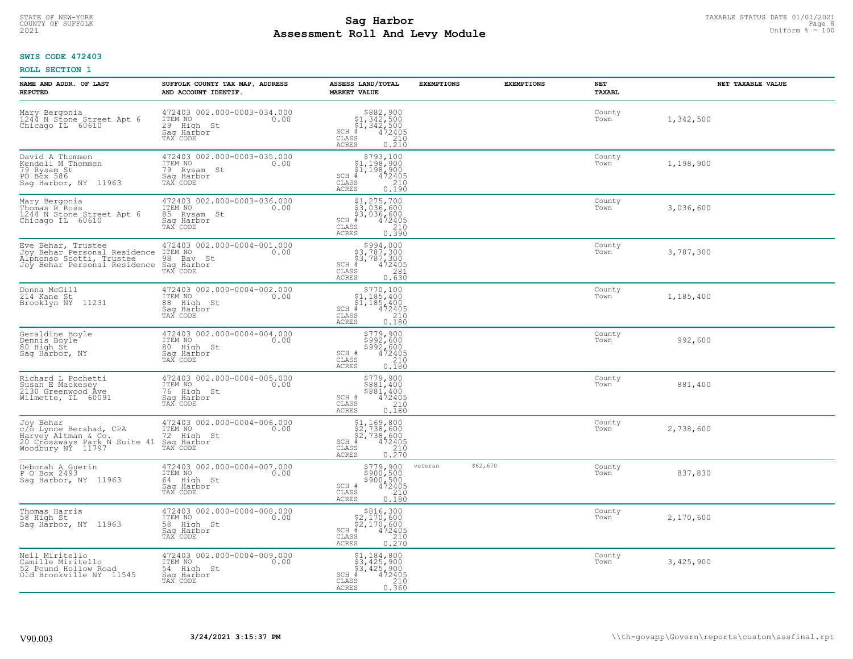## **SWIS CODE 472403**

| NAME AND ADDR. OF LAST<br><b>REPUTED</b>                                                                        | SUFFOLK COUNTY TAX MAP, ADDRESS<br>AND ACCOUNT IDENTIF.                                 | ASSESS LAND/TOTAL<br><b>MARKET VALUE</b>                                                                                                                                                                   | <b>EXEMPTIONS</b>   | <b>EXEMPTIONS</b> | NET<br><b>TAXABL</b> | NET TAXABLE VALUE |
|-----------------------------------------------------------------------------------------------------------------|-----------------------------------------------------------------------------------------|------------------------------------------------------------------------------------------------------------------------------------------------------------------------------------------------------------|---------------------|-------------------|----------------------|-------------------|
| Mary Bergonia<br>1244 N Stone Street Apt 6<br>Chicago IL 60610                                                  | 472403 002.000-0003-034.000<br>ITEM NO<br>0.00<br>29 High St<br>Saq Harbor<br>TAX CODE  | $$882,900$<br>$$1,342,500$<br>$$1,342,500$<br>$472405$<br>$$210$<br>$$210$<br>$SCH$ #<br>CLASS<br><b>ACRES</b><br>0.210                                                                                    |                     |                   | County<br>Town       | 1,342,500         |
| David A Thommen<br>Kendell M Thommen<br>79 Rysam St<br>PO B <sub>O</sub> x 586<br>Sag Harbor, NY 11963          | 472403 002.000-0003-035.000<br>ITEM NO<br>0.00<br>79 Rysam St<br>Saq Harbor<br>TAX CODE | $$793,100$<br>$$1,198,900$<br>$$1,198,900$<br>$$472405$<br>$SCH$ #<br>CLASS<br>$\frac{210}{0.190}$<br><b>ACRES</b>                                                                                         |                     |                   | County<br>Town       | 1,198,900         |
| Mary Bergonia<br>Thomas R Ross<br>1244 N Stone Street Apt 6<br>Chicago IL 60610                                 | 472403 002.000-0003-036.000<br>ITEM NO<br>0.00<br>85 Rysam St<br>Sag Harbor<br>TAX CODE | \$1,275,700<br>\$3,036,600<br>\$3,036,600<br>#472405<br>$SCH$ #<br>CLASS<br>210<br>0.390<br><b>ACRES</b>                                                                                                   |                     |                   | County<br>Town       | 3,036,600         |
| Eve Behar, Trustee<br>Joy Behar Personal Residence<br>Alphonso Scotti, Trustee<br>Joy Behar Personal Residence  | 472403 002.000-0004-001.000<br>ITEM NO<br>0.00<br>98 Bay St<br>Saq Harbor<br>TAX CODE   | $\begin{array}{c} $994,000 $3,787,300 $43,787,300 # 472405 \end{array}$<br>$SCH$ #<br>CLASS<br>281<br>0.630<br>ACRES                                                                                       |                     |                   | County<br>Town       | 3,787,300         |
| Donna McGill<br>214 Kane St<br>Brooklyn NY 11231                                                                | 472403 002.000-0004-002.000<br>ITEM NO<br>0.00<br>88 High St<br>Saq Harbor<br>TAX CODE  | \$770,100<br>$\begin{array}{r} 51,185,400 \\ 51,185,400 \\ +242405 \end{array}$<br>$SCH$ #<br>CLASS<br>210<br><b>ACRES</b><br>0.180                                                                        |                     |                   | County<br>Town       | 1,185,400         |
| Geraldine Boyle<br>Dennis Boyle <sup>-</sup><br>80 High St<br>Saq Harbor, NY                                    | 472403 002.000-0004-004.000<br>ITEM NO<br>0.00<br>80 High St<br>Saq Harbor<br>TAX CODE  | \$779,900<br>\$992,600<br>\$992,600<br>\$992,600<br>SCH #<br>210<br>$\mathtt{CLASS}$<br>0.180<br>ACRES                                                                                                     |                     |                   | County<br>Town       | 992,600           |
| Richard L Pochetti<br>Susan E Mackesey<br>2130 Greenwood Ave<br>Wilmette, IL 60091                              | 472403 002.000-0004-005.000<br>ITEM NO<br>0.00<br>76 High St<br>Saq Harbor<br>TAX CODE  | $$779,900$<br>$$881,400$<br>$$881,400$<br>$472405$<br>SCH #<br>$\begin{array}{c} 210 \\ 0.180 \end{array}$<br>$\mathtt{CLASS}$<br><b>ACRES</b>                                                             |                     |                   | County<br>Town       | 881,400           |
| Joy Behar<br>c/o Lynne Bershad, CPA<br>Harvey Altman & Co.<br>20 Crossways Park N Suite 41<br>Woodbury NY 11797 | 472403 002.000-0004-006.000<br>ITEM NO<br>0.00<br>72 High St<br>Sag Harbor<br>TAX CODE  | \$1,169,800<br>\$2,738,600<br>\$2,738,600<br>#472405<br>$SCH$ #<br>CLASS<br>210<br><b>ACRES</b><br>0.270                                                                                                   |                     |                   | County<br>Town       | 2,738,600         |
| Deborah A Guerin<br>P O Box 2493<br>Saq Harbor, NY 11963                                                        | 472403 002.000-0004-007.000<br>TTEM NO 0.00<br>64 High St<br>Saq Harbor<br>TAX CODE     | \$779,900<br>\$900,500<br>\$900,500<br>\$900,500<br>SCH #<br>CLASS<br>210<br><b>ACRES</b><br>0.180                                                                                                         | \$62,670<br>veteran |                   | County<br>Town       | 837,830           |
| Thomas Harris<br>58 High St<br>Sag Harbor, NY 11963                                                             | 472403 002.000-0004-008.000<br>ITEM NO<br>0.00<br>58 High St<br>Saq Harbor<br>TAX CODE  | $\begin{array}{r}  \  \  \,  \, 8816,300 \\  \  \, 22,170,600 \\  \  \, 22,170,600 \\  \  \  \, 472405 \\  \  \  \, 85 \\  \  \  \, 85 \\  \  \  \, 0.270 \end{array}$<br>$SCH$ #<br>CLASS<br><b>ACRES</b> |                     |                   | County<br>Town       | 2,170,600         |
| Neil Miritello<br>Camille Miritello<br>52 Pound Hollow Road<br>Old Brookville NY 11545                          | 472403 002.000-0004-009.000<br>ITEM NO<br>0.00<br>54 High St<br>Sag Harbor<br>TAX CODE  | \$1,184,800<br>\$3,425,900<br>\$3,425,900<br>$SCH$ #<br>472405<br>CLASS<br>210<br><b>ACRES</b><br>0.360                                                                                                    |                     |                   | County<br>Town       | 3,425,900         |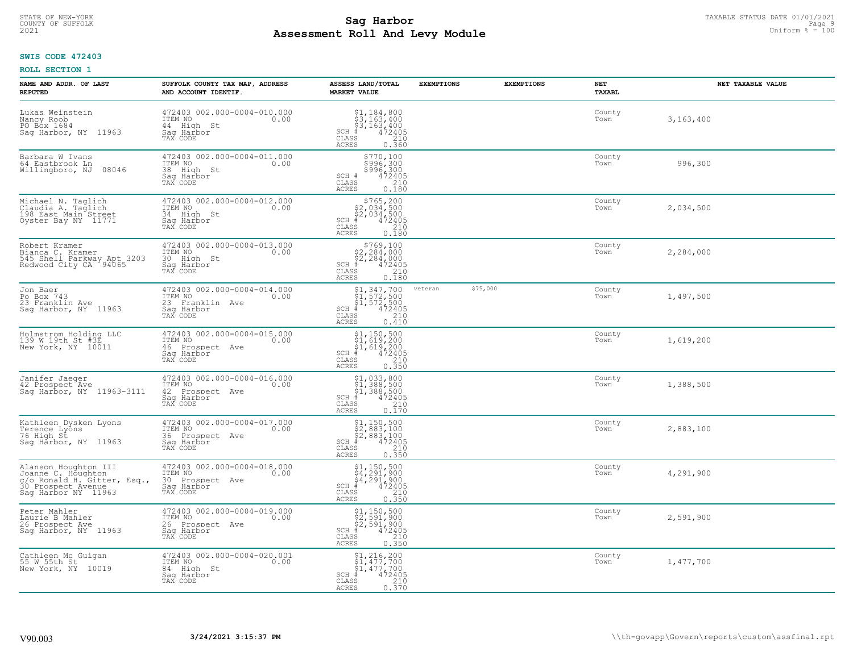## **SWIS CODE 472403**

| NAME AND ADDR. OF LAST<br><b>REPUTED</b>                                                                               | SUFFOLK COUNTY TAX MAP, ADDRESS<br>AND ACCOUNT IDENTIF.                                        | ASSESS LAND/TOTAL<br><b>MARKET VALUE</b>                                                                                                                                                                                                                                | <b>EXEMPTIONS</b> | <b>EXEMPTIONS</b> | NET<br><b>TAXABL</b> | NET TAXABLE VALUE |
|------------------------------------------------------------------------------------------------------------------------|------------------------------------------------------------------------------------------------|-------------------------------------------------------------------------------------------------------------------------------------------------------------------------------------------------------------------------------------------------------------------------|-------------------|-------------------|----------------------|-------------------|
| Lukas Weinstein<br>Nancy Roob<br>PO Box 1684<br>Sag Harbor, NY 11963                                                   | 472403 002.000-0004-010.000<br>ITEM NO<br>0.00<br>44 High St<br>Saq Harbor<br>TAX CODE         | $$3,184,800$<br>$$3,163,400$<br>$$3,163,400$<br>$472405$<br>$$210$<br>$SCH$ #<br>CLASS<br><b>ACRES</b><br>0.360                                                                                                                                                         |                   |                   | County<br>Town       | 3,163,400         |
| Barbara W Ivans<br>64 Eastbrook Ln<br>08046<br>Willingboro, NJ                                                         | 472403 002.000-0004-011.000<br>ITEM NO<br>0.00<br>38 High St<br>Saq Harbor<br>TAX CODE         | \$770,100<br>\$996,300<br>\$996,300<br>SCH #<br>472405<br>CLASS<br>210<br>0.180<br><b>ACRES</b>                                                                                                                                                                         |                   |                   | County<br>Town       | 996,300           |
| Michael N. Taglich<br>Claudia A. Taglich<br>198 East Main Street<br>Oyster Bay NY 11771                                | 472403 002.000-0004-012.000<br>ITEM NO<br>0.00<br>34 High St<br>Sag Harbor<br>TAX CODE         | $$765, 200$<br>$$2, 034, 500$<br>$$2, 034, 500$<br>$$472405$<br>$SCH$ #<br>CLASS<br>210<br>0.180<br>ACRES                                                                                                                                                               |                   |                   | County<br>Town       | 2,034,500         |
| Robert Kramer<br>Bianca C. Kramer<br>545 Shell Parkway Apt 3203<br>Redwood City CA 94065                               | 472403 002.000-0004-013.000<br>ITEM NO<br>0.00<br>30 High St<br>Saq Harbor<br>TAX CODE         | $SCH$ #<br>CLASS<br><b>ACRES</b><br>0.180                                                                                                                                                                                                                               |                   |                   | County<br>Town       | 2,284,000         |
| Jon Baer<br>Po Box 743<br>23 Franklin Ave<br>Sag Harbor, NY 11963                                                      | 472403 002.000-0004-014.000<br>ITEM NO<br>0.00<br>23 Franklin Ave<br>Saq Harbor<br>TAX CODE    | $\begin{array}{c} \text{\small $51$, $347$, $700$} \\ \text{\small $51$, $572$, $500$} \\ \text{\small $51$, $572$, $500$} \\ \text{\small $4$ & $472405$} \\ \text{\small $58$ & $210$} \\ \text{\small $58$ & $0.410$} \end{array}$<br>SCH #<br>CLASS<br><b>ACRES</b> | veteran           | \$75,000          | County<br>Town       | 1,497,500         |
| Holmstrom Holding LLC<br>139 W 19th St #3E<br>New York, NY 10011                                                       | 472403 002.000-0004-015.000<br>ITEM NO<br>0.00<br>46 Prospect Ave<br>Sag Harbor<br>TAX CODE    | $$1, 150, 500$<br>$$1, 619, 200$<br>$$1, 619, 200$<br>$$472405$<br>SCH<br>. #<br>210<br>CLASS<br><b>ACRES</b><br>0.350                                                                                                                                                  |                   |                   | County<br>Town       | 1,619,200         |
| Janifer Jaeger<br>42 Prospect Ave<br>Sag Harbor, NY 11963-3111                                                         | 472403 002.000-0004-016.000<br>ITEM NO<br>0.00<br>42 Prospect Ave<br>Saq Harbor<br>TAX CODE    | \$1,033,800<br>\$1,388,500<br>\$1,388,500<br>#472405<br>$SCH$ #<br>CLASS<br>210<br>0.170<br><b>ACRES</b>                                                                                                                                                                |                   |                   | County<br>Town       | 1,388,500         |
| Kathleen Dysken Lyons<br>Terence Lyons<br>76 High St<br>Sag Harbor, NY 11963                                           | 472403 002.000-0004-017.000<br>TTEM NO 0.00<br>36 Prospect<br>Ave<br>Saq Harbor<br>TAX CODE    | $$2,883,100$<br>$$2,883,100$<br>$$2,883,100$<br>$*$<br>$*$<br>$*$<br>$*$<br>$*$<br>SCH<br>CLASS<br>210<br><b>ACRES</b><br>0.350                                                                                                                                         |                   |                   | County<br>Town       | 2,883,100         |
| Alanson Houghton III<br>Joanne C. Houghton<br>C/O Ronald H. Gitter, Esq.,<br>30 Prospect Avenue<br>Saq Harbor NY 11963 | 472403 002.000-0004-018.000<br>ITEM NO 0.00<br>30 Prospect Ave<br>Saq Harbor<br>TAX CODE       | $$4,291,900$<br>$$4,291,900$<br>$$4,291,900$<br>SCH<br>472405<br>CLASS<br>210<br><b>ACRES</b><br>0.350                                                                                                                                                                  |                   |                   | County<br>Town       | 4,291,900         |
| Peter Mahler<br>Laurie B Mahler<br>26 Prospect Ave<br>Sag Harbor, NY 11963                                             | 472403 002.000-0004-019.000<br>ITEM NO<br>0.00<br>26<br>Prospect Ave<br>Saq Harbor<br>TAX CODE | \$1,150,500<br>\$2,591,900<br>\$2,591,900<br>472405<br>$SCH$ #<br>CLASS<br>210<br><b>ACRES</b><br>0.350                                                                                                                                                                 |                   |                   | County<br>Town       | 2,591,900         |
| Cathleen Mc Guigan<br>55 W 55th St<br>New York, NY 10019                                                               | 472403 002.000-0004-020.001<br>ITEM NO<br>0.00<br>84 High St<br>Saq Harbor<br>TAX CODE         | $$1, 216, 200$<br>$$1, 477, 700$<br>$$1, 477, 700$<br>$SCH$ #<br>472405<br>CLASS<br>210<br>0.370<br><b>ACRES</b>                                                                                                                                                        |                   |                   | County<br>Town       | 1,477,700         |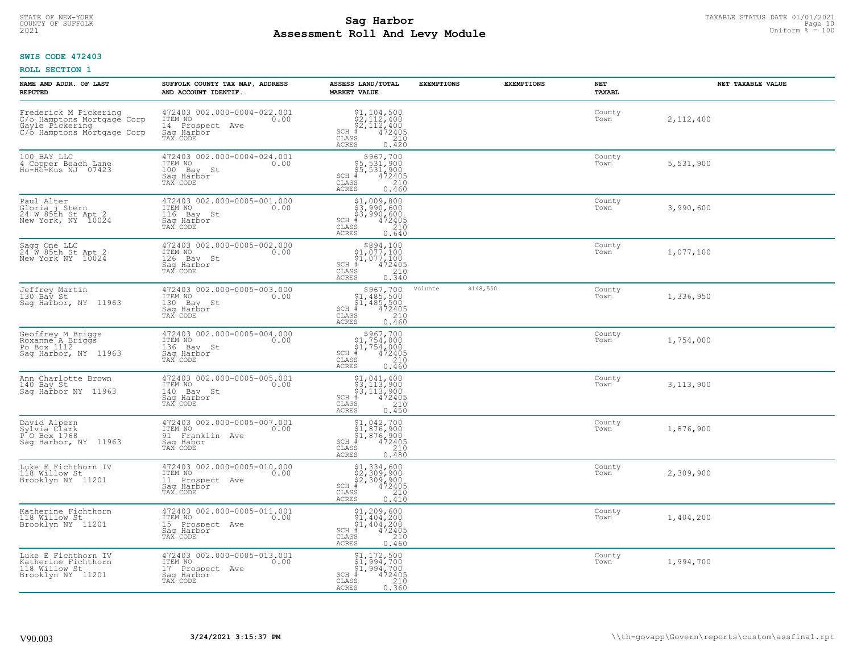#### **Sag Harbor** TAXABLE STATUS DATE 01/01/2021<br>
Poll and Louis Module **Assessment Roll And Levy Module Example 2021** Uniform  $\frac{1}{8}$  = 100 COUNTY OF SUFFOLK **Example 2018 COUNTY OF SUFFOLK** Page 10

## **SWIS CODE 472403**

| NAME AND ADDR. OF LAST<br><b>REPUTED</b>                                                             | SUFFOLK COUNTY TAX MAP, ADDRESS<br>AND ACCOUNT IDENTIF.                                        | ASSESS LAND/TOTAL<br><b>MARKET VALUE</b>                                                                                                           | <b>EXEMPTIONS</b> | <b>EXEMPTIONS</b> | NET<br><b>TAXABL</b> | NET TAXABLE VALUE |
|------------------------------------------------------------------------------------------------------|------------------------------------------------------------------------------------------------|----------------------------------------------------------------------------------------------------------------------------------------------------|-------------------|-------------------|----------------------|-------------------|
| Frederick M Pickering<br>C/o Hamptons Mortgage Corp<br>Gayle Pickering<br>C/o Hamptons Mortgage Corp | 472403 002.000-0004-022.001<br>ITEM NO<br>0.00<br>14 Prospect<br>Ave<br>Saq Harbor<br>TAX CODE | $$2,1104,500$<br>$$2,112,400$<br>$$2,112,400$<br>$$472405$<br>$SCH$ #<br>CLASS<br>210<br><b>ACRES</b><br>0.420                                     |                   |                   | County<br>Town       | 2,112,400         |
| 100 BAY LLC<br>4 Copper Beach Lane<br>Ho-Ho-Kus NJ 07423                                             | 472403 002.000-0004-024.001<br>ITEM NO<br>0.00<br>100 Bay St<br>Saq Harbor<br>TAX CODE         | $$967,700$<br>$$5,531,900$<br>$$5,531,900$<br>$$472405$<br>$SCH$ #<br>CLASS<br>210<br>0.460<br><b>ACRES</b>                                        |                   |                   | County<br>Town       | 5,531,900         |
| Paul Alter<br>Gloria j Stern<br>24 W 85th St Apt 2<br>New York, NY 10024                             | 472403 002.000-0005-001.000<br>ITEM NO<br>0.00<br>116<br>Bay St<br>Sag Harbor<br>TAX CODE      | $$1,009,800$<br>$$3,990,600$<br>$$3,990,600$<br>$$472405$<br>$SCH$ #<br>CLASS<br>210<br>0.640<br>ACRES                                             |                   |                   | County<br>Town       | 3,990,600         |
| Sagg One LLC<br>24 W 85th St Apt 2<br>New York NY 10024                                              | 472403 002.000-0005-002.000<br>ITEM NO<br>0.00<br>126 Bay St<br>Saq Harbor<br>TAX CODE         | $\begin{array}{r} $894,100 $1,077,100 $1,077,100 # 472405 ts 210$<br>$SCH$ #<br>CLASS<br><b>ACRES</b><br>0.340                                     |                   |                   | County<br>Town       | 1,077,100         |
| Jeffrey Martin<br>130 Bay St<br>Saq Harbor, NY 11963                                                 | 472403 002.000-0005-003.000<br>ITEM NO<br>0.00<br>130<br>Bay St<br>Saq Harbor<br>TAX CODE      | \$967,700<br>$\begin{array}{r} 51,485,500 \\ 51,485,500 \\ * & 472405 \\ * & 210 \end{array}$<br>SCH<br>$\mathtt{CLASS}$<br><b>ACRES</b><br>0.460  | Volunte           | \$148,550         | County<br>Town       | 1,336,950         |
| Geoffrey M Briggs<br>Roxanne A Briggs<br>Po Box 1112<br>Saq Harbor, NY 11963                         | 472403 002.000-0005-004.000<br>ITEM NO<br>0.00<br>136<br>Bay St<br>Sag Harbor<br>TAX CODE      | $\begin{array}{c} $967,700\n$1,754,000\n$1,754,000\n#1 472405 \end{array}$<br>SCH<br>CLASS<br>210<br>0.460<br><b>ACRES</b>                         |                   |                   | County<br>Town       | 1,754,000         |
| Ann Charlotte Brown<br>140 Bay St<br>Saq Harbor NY 11963                                             | 472403 002.000-0005-005.001<br>ITEM NO<br>0.00<br>140<br>Bay St<br>Saq Harbor<br>TAX CODE      | $\begin{array}{l} $1,041,400 \ $3,113,900 \ $3,113,900 \ $4,113,900 \ \end{array}$<br>$_{\rm SCH}$<br>. #<br>CLASS<br>210<br>0.450<br><b>ACRES</b> |                   |                   | County<br>Town       | 3,113,900         |
| David Alpern<br>Sylvia Clark<br>P O Box 1768<br>Sag Harbor, NY 11963                                 | 472403 002.000-0005-007.001<br>1TEM NO 0.00<br>91 Franklin Ave<br>Saq Habor<br>TAX CODE        | $$1,042,700$<br>$$1,876,900$<br>$$1,876,900$<br>$*$ 472405<br>SCH<br>CLASS<br>210<br><b>ACRES</b><br>0.480                                         |                   |                   | County<br>Town       | 1,876,900         |
| Luke E Fichthorn IV<br>118 Willow St<br>Brooklyn NY 11201                                            | 472403 002.000-0005-010.000<br>TTEM NO 0.00<br>11 Prospect Ave<br>Saq Harbor<br>TAX CODE       | $$2,334,600$<br>$$2,309,900$<br>$$2,309,900$<br>$*$<br>$*$<br>$*$<br>$*$<br>SCH<br>CLASS<br>210<br><b>ACRES</b><br>0.410                           |                   |                   | County<br>Town       | 2,309,900         |
| Katherine Fichthorn<br>118 Willow St<br>Brooklyn NY 11201                                            | 472403 002.000-0005-011.001<br>ITEM NO<br>0.00<br>15<br>Prospect Ave<br>Saq Harbor<br>TAX CODE | $$1, 209, 600$<br>$$1, 404, 200$<br>$$1, 404, 200$<br>$$472405$<br>SCH<br>210<br>CLASS<br><b>ACRES</b><br>0.460                                    |                   |                   | County<br>Town       | 1,404,200         |
| Luke E Fichthorn IV<br>Katherine Fichthorn<br>118 Willow St<br>Brooklyn NY 11201                     | 472403 002.000-0005-013.001<br>ITEM NO<br>0.00<br>17 Prospect Ave<br>Saq Harbor<br>TAX CODE    | \$1,172,500<br>\$1,994,700<br>\$1,994,700<br>SCH<br>472405<br>- #<br>CLASS<br>210<br><b>ACRES</b><br>0.360                                         |                   |                   | County<br>Town       | 1,994,700         |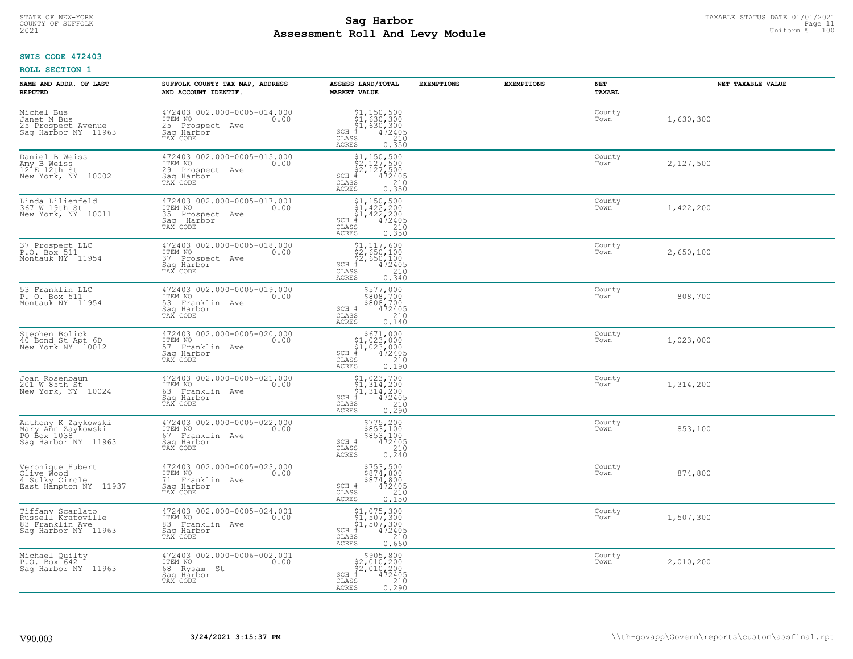#### **Sag Harbor** TAXABLE STATUS DATE 01/01/2021<br>
Poll and Louis Module **Assessment Roll And Levy Module Example 2021** Uniform  $\frac{1}{8}$  = 100 COUNTY OF SUFFOLK **Example 2018 COUNTY OF SUFFOLK** Page 11

## **SWIS CODE 472403**

| NAME AND ADDR. OF LAST<br><b>REPUTED</b>                                         | SUFFOLK COUNTY TAX MAP, ADDRESS<br>AND ACCOUNT IDENTIF.                                           | ASSESS LAND/TOTAL<br><b>MARKET VALUE</b>                                                                                             | <b>EXEMPTIONS</b> | <b>EXEMPTIONS</b> | NET<br><b>TAXABL</b> | NET TAXABLE VALUE |
|----------------------------------------------------------------------------------|---------------------------------------------------------------------------------------------------|--------------------------------------------------------------------------------------------------------------------------------------|-------------------|-------------------|----------------------|-------------------|
| Michel Bus<br>Janet M Bus<br>25 Prospect Avenue<br>Sag Harbor NY 11963           | 472403 002.000-0005-014.000<br>ITEM NO<br>0.00<br>25 Prospect<br>Ave<br>Saq Harbor<br>TAX CODE    | $SCH$ #<br>CLASS<br><b>ACRES</b><br>0.350                                                                                            |                   |                   | County<br>Town       | 1,630,300         |
| Daniel B Weiss<br>Amy B Weiss<br>12 E 12th St<br>New York, NY<br>10002           | 472403 002.000-0005-015.000<br>ITEM NO<br>0.00<br>29 Prospect Ave<br>Saq Harbor<br>TAX CODE       | $$2, 150, 500$<br>$$2, 127, 500$<br>$$2, 127, 500$<br>$$472405$<br>$SCH$ #<br>CLASS<br>210<br>0.350<br><b>ACRES</b>                  |                   |                   | County<br>Town       | 2,127,500         |
| Linda Lilienfeld<br>367 W 19th St<br>New York, NY 10011                          | 472403 002.000-0005-017.001<br>ITEM NO<br>0.00<br>35 Prospect<br>Ave<br>Sag<br>Harbor<br>TAX CODE | $$1, 150, 500$<br>$$1, 422, 200$<br>$$1, 422, 200$<br>$$422, 200$<br>$472405$<br>$SCH$ #<br>CLASS<br>0.350<br>ACRES                  |                   |                   | County<br>Town       | 1,422,200         |
| 37 Prospect LLC<br>P.O. Box 511<br>Montauk NY 11954                              | 472403 002.000-0005-018.000<br>ITEM NO<br>0.00<br>37 Prospect Ave<br>Saq Harbor<br>TAX CODE       | \$1,117,600<br>\$2,650,100<br>\$2,650,100<br>$SCH$ #<br>$\frac{47\bar{2}\tilde{4}\tilde{0}5}{210}$<br>CLASS<br><b>ACRES</b><br>0.340 |                   |                   | County<br>Town       | 2,650,100         |
| 53 Franklin LLC<br>P. O. Box 511<br>Montauk NY 11954                             | 472403 002.000-0005-019.000<br>ITEM NO<br>0.00<br>53 Franklin Ave<br>Saq Harbor<br>TAX CODE       | \$577,000<br>\$808,700<br>\$808,700<br>SCH #<br>472405<br>210<br>CLASS<br><b>ACRES</b><br>0.140                                      |                   |                   | County<br>Town       | 808,700           |
| Stephen Bolick<br>40 Bond St Apt 6D<br>New York NY 10012                         | 472403 002.000-0005-020.000<br>ITEM NO<br>0.00<br>57 Franklin Ave<br>Sag Harbor<br>TAX CODE       | $$671,000$<br>$$1,023,000$<br>$$1,023,000$<br>$*1$<br>$472405$<br>SCH #<br>CLASS<br>210<br>0.190<br><b>ACRES</b>                     |                   |                   | County<br>Town       | 1,023,000         |
| Joan Rosenbaum<br>201 W 85th St<br>New York, NY 10024                            | 472403 002.000-0005-021.000<br>ITEM NO<br>0.00<br>63 Franklin Ave<br>Saq Harbor<br>TAX CODE       | $$1,023,700$<br>$$1,314,200$<br>$$1,314,200$<br>$$472405$<br>$SCH$ #<br>CLASS<br>210<br>0.290<br><b>ACRES</b>                        |                   |                   | County<br>Town       | 1,314,200         |
| Anthony K Zaykowski<br>Mary Ann Zaykowski<br>PO Box 1038<br>Sag Harbor NY 11963  | 472403 002.000-0005-022.000<br>TTEM NO 0.00<br>67 Franklin Ave<br>Saq Harbor<br>TAX CODE          | \$775,200<br>\$853,100<br>\$853,100<br>472405<br>SCH #<br>CLASS<br>210<br><b>ACRES</b><br>0.240                                      |                   |                   | County<br>Town       | 853,100           |
| Veronique Hubert<br>Clive Wood<br>4 Sulky Circle<br>East Hampton NY 11937        | 472403 002.000-0005-023.000<br>ITEM NO<br>0.00<br>71 Franklin Ave<br>Saq Harbor<br>TAX CODE       | \$753,500<br>\$874,800<br>\$874,800<br>SCH #<br>472405<br>CLASS<br>210<br><b>ACRES</b><br>0.150                                      |                   |                   | County<br>Town       | 874,800           |
| Tiffany Scarlato<br>Russell Kratoville<br>83 Franklin Ave<br>Saq Harbor NY 11963 | 472403 002.000-0005-024.001<br>ITEM NO<br>0.00<br>83 Franklin Ave<br>Sag Harbor<br>TAX CODE       | $$1, 075, 300$<br>$$1, 507, 300$<br>$$1, 507, 300$<br>$*1, 507, 300$<br>$*1, 472405$<br>SCH<br>CLASS<br>210<br><b>ACRES</b><br>0.660 |                   |                   | County<br>Town       | 1,507,300         |
| Michael Quilty<br>P.O. Box 642<br>Saq Harbor NY 11963                            | 472403 002.000-0006-002.001<br>ITEM NO<br>0.00<br>68 Rysam St<br>Sag Harbor<br>TAX CODE           | $\begin{array}{c} $905, 800 \\ $2, 010, 200 \\ $2, 010, 200 \end{array}$<br>$SCH$ #<br>472405<br>CLASS<br>0.290<br><b>ACRES</b>      |                   |                   | County<br>Town       | 2,010,200         |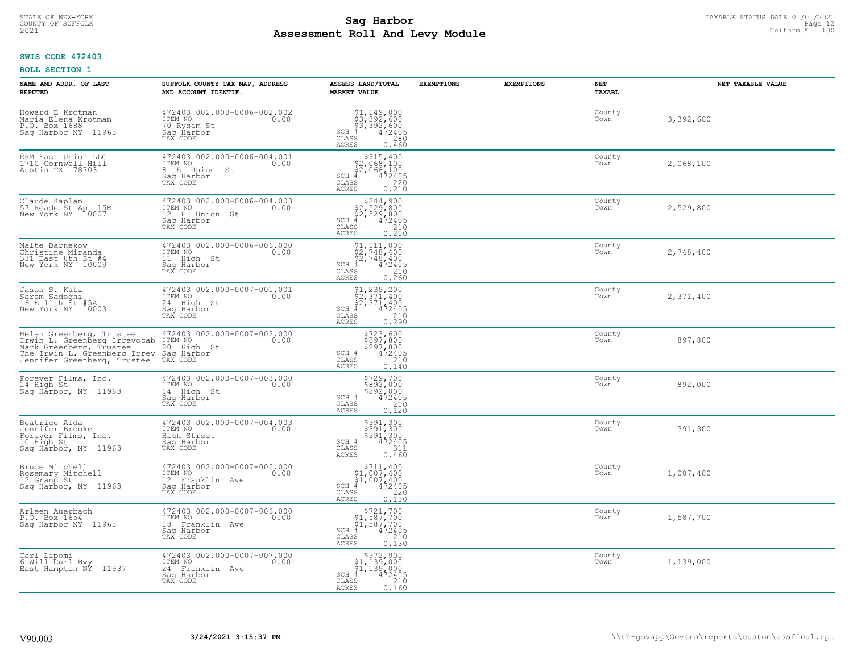# TAXABLE STATUS DATE 01/01/2021<br>COUNTY OF SUFFOLK Page 12 **Assessment Roll And Levy Module Example 2021** Uniform  $\frac{1}{8}$  = 100

## **SWIS CODE 472403**

| NAME AND ADDR. OF LAST<br><b>REPUTED</b>                                                                                                           | SUFFOLK COUNTY TAX MAP, ADDRESS<br>AND ACCOUNT IDENTIF.                                                   | ASSESS LAND/TOTAL<br><b>MARKET VALUE</b>                                                                                                     | <b>EXEMPTIONS</b> | <b>EXEMPTIONS</b> | NET<br><b>TAXABL</b> | NET TAXABLE VALUE |
|----------------------------------------------------------------------------------------------------------------------------------------------------|-----------------------------------------------------------------------------------------------------------|----------------------------------------------------------------------------------------------------------------------------------------------|-------------------|-------------------|----------------------|-------------------|
| Howard E Krotman<br>Maria Elena Krotman<br>P.O. Box 1688<br>11963<br>Saq Harbor NY                                                                 | 472403 002.000-0006-002.002<br>ITEM NO<br>0.00<br>70 Rysam St<br>Saq Harbor<br>TAX CODE                   | $$3,392,600$<br>$$3,392,600$<br>$$3,392,600$<br>$*$<br>$472405$<br>$*$<br>$280$<br>$SCH$ #<br>CLASS<br><b>ACRES</b><br>0.460                 |                   |                   | County<br>Town       | 3,392,600         |
| RRM East Union LLC<br>1710 Cornwell Hill<br>Austin TX 78703                                                                                        | 472403 002.000-0006-004.001<br>ITEM NO<br>0.00<br>E Union St<br>8<br>Saq Harbor<br>TAX CODE               | $$2,068,100$<br>$$2,068,100$<br>$$2,068,100$<br>$$472405$<br>$SCH$ #<br>CLASS<br>$\begin{array}{c} 220 \\ 0.210 \end{array}$<br><b>ACRES</b> |                   |                   | County<br>Town       | 2,068,100         |
| Claude Kaplan<br>57 Reade St Apt 15B<br>New York NY 10007                                                                                          | 472403 002.000-0006-004.003<br>ITEM NO<br>0.00<br>12 <sup>°</sup><br>E Union St<br>Sag Harbor<br>TAX CODE | $$844,900$<br>$$2,529,800$<br>$$2,529,800$<br>$$472405$<br>$SCH$ #<br>CLASS<br>$\frac{210}{0.200}$<br><b>ACRES</b>                           |                   |                   | County<br>Town       | 2,529,800         |
| Malte Barnekow<br>Christine Miranda<br>331 East 8th St #4<br>New York NY 10009                                                                     | 472403 002.000-0006-006.000<br>ITEM NO<br>0.00<br>11 High St<br>Saq Harbor<br>TAX CODE                    | $$2,748,400$<br>$$2,748,400$<br>$$2,748,400$<br>$472405$<br>$$210$<br>$SCH$ #<br>CLASS<br>0, 260<br><b>ACRES</b>                             |                   |                   | County<br>Town       | 2,748,400         |
| Jason S. Katz<br>Sarem Sadeghi<br>16 E 11th St #5A<br>New York NY 10003                                                                            | 472403 002.000-0007-001.001<br>ITEM NO<br>0.00<br>24 High St<br>Saq Harbor<br>TAX CODE                    | \$1,239,200<br>\$2,371,400<br>\$2,371,400<br>$SCH$ #<br>$\frac{472405}{210}$<br>$\mathtt{CLASS}$<br>0.290<br><b>ACRES</b>                    |                   |                   | County<br>Town       | 2,371,400         |
| Helen Greenberg, Trustee<br>Irwin L. Greenberg Irrevocab<br>Mark Greenberg, Trustee<br>The Irwin L. Greenberg Irrev<br>Jennifer Greenberg, Trustee | 472403 002.000-0007-002.000<br>ITEM NO<br>0.00<br>20 High St<br>Saq Harbor<br>TAX CODE                    | \$723,600<br>\$897,800<br>\$897,800<br>\$897,800<br>SCH #<br>CLASS<br>210<br>0.140<br><b>ACRES</b>                                           |                   |                   | County<br>Town       | 897,800           |
| Forever Films, Inc.<br>14 High St<br>Saq Harbor, NY 11963                                                                                          | 472403 002.000-0007-003.000<br>ITEM NO<br>0.00<br>14 High St<br>Saq Harbor<br>TAX CODE                    | \$729,700<br>\$892,000<br>\$892,000<br>472405<br>SCH #<br>CLASS<br>210<br>0.120<br><b>ACRES</b>                                              |                   |                   | County<br>Town       | 892,000           |
| Beatrice Alda<br>Jennifer Brooke<br>Forever Films, Inc.<br>10 High St<br>Sag Harbor, NY 11963                                                      | 472403 002.000-0007-004.003<br>1TEM NO 0.00<br>High Street<br>Saq Harbor<br>TAX CODE                      | \$391,300<br>\$391,300<br>\$391,300<br>472405<br>SCH #<br>CLASS<br>311<br><b>ACRES</b><br>0.460                                              |                   |                   | County<br>Town       | 391,300           |
| Bruce Mitchell<br>Rosemary Mitchell<br>12 Grand St<br>Saq Harbor, NY 11963                                                                         | 472403 002.000-0007-005.000<br>TTEM NO 0.00<br>12 Franklin Ave<br>Saq Harbor<br>TAX CODE                  | $\begin{array}{r} $711,400 $1,007,400 $1,007,400 # 472405 \end{array}$<br>SCH<br>CLASS<br>220<br><b>ACRES</b><br>0.130                       |                   |                   | County<br>Town       | 1,007,400         |
| Arleen Auerbach<br>P.O. Box 1654<br>Sag Harbor NY 11963                                                                                            | 472403 002.000-0007-006.000<br>ITEM NO<br>0.00<br>18<br>Franklin Ave<br>Saq Harbor<br>TAX CODE            | $$721,700$<br>$$1,587,700$<br>$$1,587,700$<br>$*$ 472405<br>SCH<br>210<br>CLASS<br><b>ACRES</b><br>0.130                                     |                   |                   | County<br>Town       | 1,587,700         |
| Carl Lipomi<br>6 Will Curl Hwy<br>East Hampton NY 11937                                                                                            | 472403 002.000-0007-007.000<br>ITEM NO<br>0.00<br>24 Franklin Ave<br>Sag Harbor<br>TAX CODE               | \$972,900<br>\$1,139,000<br>\$1,139,000<br>$SCH$ #<br>472405<br>CLASS<br>210<br><b>ACRES</b><br>0.160                                        |                   |                   | County<br>Town       | 1,139,000         |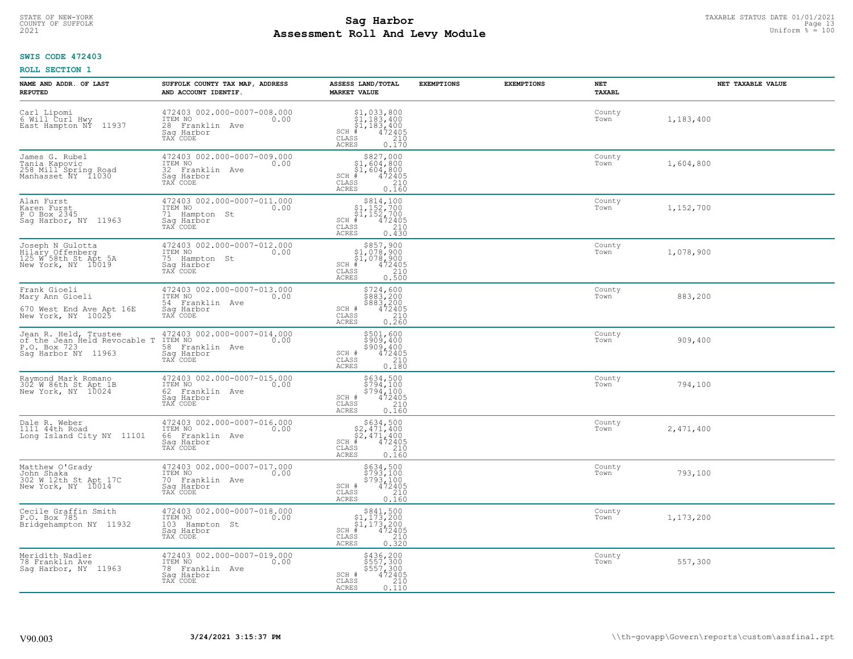# TAXABLE STATUS DATE 01/01/2021<br>COUNTY OF SUFFOLK Page 13 **Assessment Roll And Levy Module Example 2021** Uniform  $\frac{1}{8}$  = 100

## **SWIS CODE 472403**

| NAME AND ADDR. OF LAST<br><b>REPUTED</b>                                                     | SUFFOLK COUNTY TAX MAP, ADDRESS<br>AND ACCOUNT IDENTIF.                                        | ASSESS LAND/TOTAL<br><b>MARKET VALUE</b>                                                                                                  | <b>EXEMPTIONS</b> | <b>EXEMPTIONS</b> | <b>NET</b><br>TAXABL | NET TAXABLE VALUE |
|----------------------------------------------------------------------------------------------|------------------------------------------------------------------------------------------------|-------------------------------------------------------------------------------------------------------------------------------------------|-------------------|-------------------|----------------------|-------------------|
| Carl Lipomi<br>6 Will Curl Hwy<br>East Hampton NÝ<br>11937                                   | 472403 002.000-0007-008.000<br>ITEM NO<br>0.00<br>28 Franklin Ave<br>Saq Harbor<br>TAX CODE    | $$1, 033, 800$<br>$$1, 183, 400$<br>$$1, 183, 400$<br>$472405$<br>$$210$<br>$SCH$ #<br>CLASS<br>ACRES<br>0.170                            |                   |                   | County<br>Town       | 1,183,400         |
| James G. Rubel<br>Tania Kapovic<br>258 Mill Spring Road<br>Manhasset NY 11030                | 472403 002.000-0007-009.000<br>ITEM NO<br>0.00<br>32 Franklin Ave<br>Saq Harbor<br>TAX CODE    | \$827,000<br>$$1,604,800$<br>$$1,604,800$<br>$\frac{472405}{210}$<br>$SCH$ #<br>CLASS<br><b>ACRES</b><br>0.160                            |                   |                   | County<br>Town       | 1,604,800         |
| Alan Furst<br>Karen Furst<br>P O Box 2345<br>Saq Harbor, NY 11963                            | 472403 002.000-0007-011.000<br>ITEM NO<br>0.00<br>71 Hampton St<br>Sag Harbor<br>TAX CODE      | $$814, 100$<br>$$1, 152, 700$<br>$$1, 152, 700$<br>$$1, 152, 700$<br>$SCH$ #<br>472405<br>210<br>CLASS<br>0.430<br>ACRES                  |                   |                   | County<br>Town       | 1,152,700         |
| Joseph N Gulotta<br>Hilary Offenberg<br>125 W 58th St Apt 5A<br>New York, NY 10019           | 472403 002.000-0007-012.000<br>TTEM NO 0.00<br>75 Hampton St<br>Saq Harbor<br>TAX CODE         | $$857,900$<br>$$1,078,900$<br>$$1,078,900$<br>$$1,078,900$<br>$SCH$ #<br>$72405$<br>$210$<br>0.500<br>CLASS<br>ACRES                      |                   |                   | County<br>Town       | 1,078,900         |
| Frank Gioeli<br>Mary Ann Gioeli<br>670 West End Ave Apt 16E<br>New York, NY 10025            | 472403 002.000-0007-013.000<br>ITEM NO<br>0.00<br>54 Franklin Ave<br>Saq Harbor<br>TAX CODE    | \$724,600<br>$\frac{26837200}{88837200}$<br>\$883,200<br>472405<br>210<br>SCH #<br>CLASS<br>0.260<br><b>ACRES</b>                         |                   |                   | County<br>Town       | 883,200           |
| Jean R. Held, Trustee<br>of the Jean Held Revocable T<br>P.O. Box 723<br>Saq Harbor NY 11963 | 472403 002.000-0007-014.000<br>ITEM NO<br>0.00<br>58 Franklin Ave<br>Saq Harbor<br>TAX CODE    | \$501,600<br>\$909,400<br>\$909,400<br>472405<br>SCH #<br>210<br>CLASS<br><b>ACRES</b><br>0.180                                           |                   |                   | County<br>Town       | 909,400           |
| Raymond Mark Romano<br>302 W 86th St Apt 1B<br>New York, NY 10024                            | 472403 002.000-0007-015.000<br>ITEM NO<br>0.00<br>62<br>Franklin Ave<br>Saq Harbor<br>TAX CODE | \$634,500<br>\$794,100<br>\$794,100<br>472405<br>SCH #<br>CLASS<br>210<br><b>ACRES</b><br>0.160                                           |                   |                   | County<br>Town       | 794,100           |
| Dale R. Weber<br>1111 44th Road<br>Long Island City NY 11101                                 | 472403 002.000-0007-016.000<br>TTEM NO 0.00<br>66 Franklin Ave<br>Saq Harbor<br>TAX CODE       | $$634,500$<br>$$2,471,400$<br>$$2,471,400$<br>$*$ $472405$<br>$SCH$ #<br>CLASS<br>210<br><b>ACRES</b><br>0.160                            |                   |                   | County<br>Town       | 2,471,400         |
| Matthew O'Grady<br>John Shaka<br>302 W 12th St Apt 17C<br>New York, NY 10014                 | 472403 002.000-0007-017.000<br>TTEM NO 0.00<br>70 Franklin Ave<br>Saq Harbor<br>TAX CODE       | \$634,500<br>\$793,100<br>\$793,100<br>472405<br>SCH #<br>CLASS<br>210<br>ACRES<br>0.160                                                  |                   |                   | County<br>Town       | 793,100           |
| Cecile Graffin Smith<br>P.O. Box 785<br>Bridgehampton NY 11932                               | 472403 002.000-0007-018.000<br>ITEM NO<br>0.00<br>103 Hampton St<br>Sag Harbor<br>TAX CODE     | $\begin{array}{r} $841,500\n$1,173,200\n$1,173,200\n# 472405\n5 \end{array}$<br>SCH #<br>$\mathtt{CLASS}$<br>210<br>0.320<br><b>ACRES</b> |                   |                   | County<br>Town       | 1,173,200         |
| Meridith Nadler<br>78 Franklin Ave<br>Saq Harbor, NY 11963                                   | 472403 002.000-0007-019.000<br>ITEM NO<br>0.00<br>78 Franklin Ave<br>Sag Harbor<br>TAX CODE    | \$436,200<br>\$557,300<br>\$557,300<br>472405<br>SCH #<br>210<br>CLASS<br><b>ACRES</b><br>0.110                                           |                   |                   | County<br>Town       | 557,300           |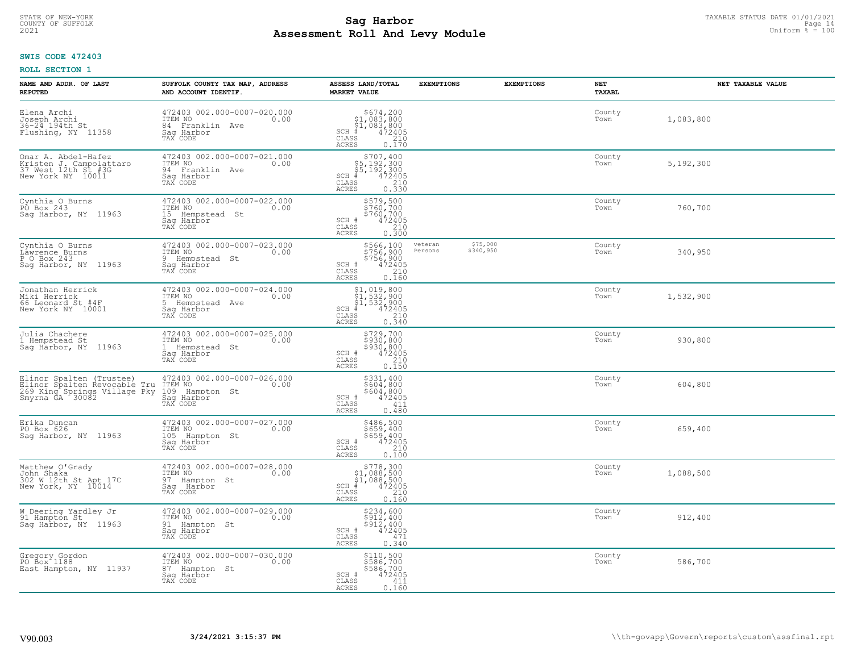#### **Sag Harbor** TAXABLE STATUS DATE 01/01/2021<br>
Poll and Louis Module **Assessment Roll And Levy Module Example 2021** Uniform  $\frac{1}{8}$  = 100 COUNTY OF SUFFOLK **Example 2018 COUNTY OF SUFFOLK** Page 14

## **SWIS CODE 472403**

| NAME AND ADDR. OF LAST<br><b>REPUTED</b>                                                                    | SUFFOLK COUNTY TAX MAP, ADDRESS<br>AND ACCOUNT IDENTIF.                                               | ASSESS LAND/TOTAL<br><b>MARKET VALUE</b>                                                                                                | <b>EXEMPTIONS</b>  | <b>EXEMPTIONS</b>     | NET<br>TAXABL  | NET TAXABLE VALUE |
|-------------------------------------------------------------------------------------------------------------|-------------------------------------------------------------------------------------------------------|-----------------------------------------------------------------------------------------------------------------------------------------|--------------------|-----------------------|----------------|-------------------|
| Elena Archi<br>Joseph Archi<br>36-24 194th St<br>Flushing, NY 11358                                         | 472403 002.000-0007-020.000<br>ITEM NO<br>0.00<br>84 Franklin Ave<br>Saq Harbor<br>TAX CODE           | $$674, 200$<br>$$1, 083, 800$<br>$$1, 083, 800$<br>$472405$<br>$$210$<br>$$210$<br>$SCH$ #<br>CLASS<br>ACRES<br>0.170                   |                    |                       | County<br>Town | 1,083,800         |
| Omar A. Abdel-Hafez<br>Kristen J. Campolattaro<br>37 West 12th St #3G<br>New York NY 10011                  | 472403 002.000-0007-021.000<br>ITEM NO<br>0.00<br>94 Franklin Ave<br>Saq Harbor<br>TAX CODE           | \$707,400<br>$$5,192,300$<br>$$5,192,300$<br>$$472405$<br>$35$<br>$$210$<br>$0.330$<br>$SCH$ #<br>CLASS<br><b>ACRES</b>                 |                    |                       | County<br>Town | 5,192,300         |
| Cynthia O Burns<br>PO Box 243<br>Sag Harbor, NY 11963                                                       | 472403 002.000-0007-022.000<br>ITEM NO<br>0.00<br>15 Hempstead St<br>Saq Harbor<br>TAX CODE           | \$579,500<br>\$760,700<br>$$7\bar{6}\check{0}\acute{2}\acute{2}\check{0}\check{0}$<br>SCH #<br>472405<br>210<br>CLASS<br>0.300<br>ACRES |                    |                       | County<br>Town | 760,700           |
| Cynthia O Burns<br>Lawrence Burns<br>P O Box 243<br>Sag Harbor, NY 11963                                    | 472403 002.000-0007-023.000<br>ITEM NO<br>0.00<br>9 Hempstead St<br>Saq Harbor<br>TAX CODE            | \$566,100<br>\$756,900<br>$\frac{5756}{900}$ , 900<br>472405<br>210<br>SCH #<br>CLASS<br>ACRES<br>0.160                                 | veteran<br>Persons | \$75,000<br>\$340,950 | County<br>Town | 340,950           |
| Jonathan Herrick<br>Miki Herrick<br>66 Leonard St #4F<br>New York NY 10001                                  | 472403 002.000-0007-024.000<br>ITEM NO<br>0.00<br>5 Hempstead Ave<br>Saq Harbor<br>TAX CODE           | $$1, 019, 800$<br>$$1, 532, 900$<br>$$1, 532, 900$<br>$472405$<br>$35$<br>$210$<br>$SCH$ #<br>$\mathtt{CLASS}$<br><b>ACRES</b><br>0.340 |                    |                       | County<br>Town | 1,532,900         |
| Julia Chachere<br>1 Hempstead St<br>Sag Harbor, NY 11963                                                    | 472403 002.000-0007-025.000<br>ITEM NO<br>0.00<br>1 Hempstead St<br>Sag Harbor<br>TAX CODE            | \$729,700<br>\$930,800<br>\$930,800<br>\$930,800<br>SCH #<br>210<br>CLASS<br>0.150<br><b>ACRES</b>                                      |                    |                       | County<br>Town | 930,800           |
| Elinor Spalten (Trustee)<br>Elinor Spalten Revocable Tru<br>269 King Springs Village Pky<br>Smyrna GA 30082 | 472403 002.000-0007-026.000<br>ITEM NO<br>109 Ha<br>0.00<br>Hampton St<br>Saq Harbor<br>TAX CODE      | \$331,400<br>$$604, 800$<br>$$604, 800$<br>$472405$<br>SCH #<br>$\mathtt{CLASS}$<br>411<br><b>ACRES</b><br>0.480                        |                    |                       | County<br>Town | 604,800           |
| Erika Duncan<br>PO Box 626<br>Sag Harbor, NY 11963                                                          | $\frac{472403}{1 \text{TEM NO}} 002.000 - 0007 - 027.000$<br>105 Hampton St<br>Saq Harbor<br>TAX CODE | \$486,500<br>\$659,400<br>\$659,400<br>472405<br>SCH #<br>CLASS<br>210<br><b>ACRES</b><br>0.100                                         |                    |                       | County<br>Town | 659,400           |
| Matthew O'Grady<br>John Shaka<br>302 W 12th St Apt 17C<br>New York, NY 10014                                | 472403 002.000-0007-028.000<br>0.00 0.00<br>97 Hampton St<br>Saq Harbor<br>TAX CODE                   | $\begin{array}{c} $778,300 $1,088,500 $4,088,500 # 472405 \end{array}$<br>SCH #<br>CLASS<br>210<br>ACRES<br>0.160                       |                    |                       | County<br>Town | 1,088,500         |
| W Deering Yardley Jr<br>91 Hampton St<br>Sag Harbor, NY 11963                                               | 472403 002.000-0007-029.000<br>ITEM NO<br>0.00<br>91 Hampton St<br>Saq Harbor<br>TAX CODE             | \$234,600<br>\$912,400<br>\$912,400<br>$SCH$ $#$<br>472405<br>CLASS<br>471<br><b>ACRES</b><br>0.340                                     |                    |                       | County<br>Town | 912,400           |
| Gregory Gordon<br>PO Box 1188<br>East Hampton, NY 11937                                                     | 472403 002.000-0007-030.000<br>ITEM NO<br>0.00<br>87 Hampton St<br>Sag Harbor<br>TAX CODE             | \$110,500<br>\$586,700<br>\$586,700<br>SCH #<br>472405<br>CLASS<br>411<br><b>ACRES</b><br>0.160                                         |                    |                       | County<br>Town | 586,700           |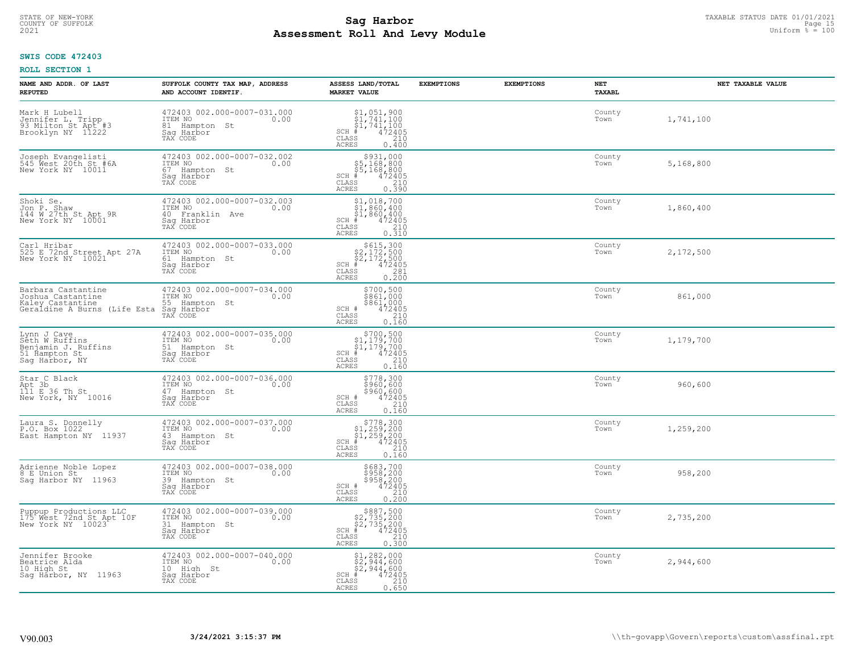# TAXABLE STATUS DATE 01/01/2021<br>COUNTY OF SUFFOLK Page 15 **Assessment Roll And Levy Module Example 2021** Uniform  $\frac{1}{8}$  = 100

## **SWIS CODE 472403**

| NAME AND ADDR. OF LAST<br><b>REPUTED</b>                                                                          | SUFFOLK COUNTY TAX MAP, ADDRESS<br>AND ACCOUNT IDENTIF.                                     | ASSESS LAND/TOTAL<br><b>MARKET VALUE</b>                                                                                                                                                        | <b>EXEMPTIONS</b> | <b>EXEMPTIONS</b> | <b>NET</b><br>TAXABL | NET TAXABLE VALUE |
|-------------------------------------------------------------------------------------------------------------------|---------------------------------------------------------------------------------------------|-------------------------------------------------------------------------------------------------------------------------------------------------------------------------------------------------|-------------------|-------------------|----------------------|-------------------|
| Mark H Lubell<br>Jennifer L. Tripp<br>93 Milton St Apt #3<br>Brooklyn NY 11222                                    | 472403 002.000-0007-031.000<br>ITEM NO<br>0.00<br>81 Hampton St<br>Saq Harbor<br>TAX CODE   | $$1,051,900$<br>$$1,741,100$<br>$$1,741,100$<br>$*$<br>$*$<br>$*$<br>$*$<br>$SCH$ #<br>CLASS<br>210<br>ACRES<br>0.400                                                                           |                   |                   | County<br>Town       | 1,741,100         |
| Joseph Evangelisti<br>545 West 20th St #6A<br>New York NY 10011                                                   | 472403 002.000-0007-032.002<br>ITEM NO<br>0.00<br>67 Hampton St<br>Sag Harbor<br>TAX CODE   | $\begin{array}{r}  \  \  \, 5931,000 \\  \  \, 55,168,800 \\  \  \, 55,168,800 \\  \  \  \, 472405 \\  \  \, 85 & 210 \\  \  \, 210 & \end{array}$<br>$SCH$ #<br>CLASS<br>0.390<br><b>ACRES</b> |                   |                   | County<br>Town       | 5,168,800         |
| Shoki Se.<br>Jon P. Shaw<br>144 W 27th St Apt 9R<br>New York NY 10001                                             | 472403 002.000-0007-032.003<br>ITEM NO<br>0.00<br>40 Franklin Ave<br>Sag Harbor<br>TAX CODE | $$1,018,700$<br>$$1,860,400$<br>$$1,860,400$<br>SCH #<br>472405<br>210<br>CLASS<br>0.310<br>ACRES                                                                                               |                   |                   | County<br>Town       | 1,860,400         |
| Carl Hribar<br>525 E 72nd Street Apt 27A<br>New York NY 10021                                                     | 472403 002.000-0007-033.000<br>ITEM NO<br>0.00<br>61 Hampton St<br>Saq Harbor<br>TAX CODE   | $$615,300$<br>$$2,172,500$<br>$$2,172,500$<br>$472405$<br>$$281$<br>$$281$<br>$SCH$ #<br>CLASS<br><b>ACRES</b><br>0.200                                                                         |                   |                   | County<br>Town       | 2,172,500         |
| Barbara Castantine<br>Joshua Castantine<br>Kaley Castantine 55 Hampton<br>Geraldine A Burns (Life Esta Saq Harbor | 472403 002.000-0007-034.000<br>ITEM NO<br>0.00<br>55 Hampton St<br>TAX CODE                 | \$700,500<br>\$861,000<br>\$861,000<br>472405<br>SCH #<br>CLASS<br>210<br>0.160<br><b>ACRES</b>                                                                                                 |                   |                   | County<br>Town       | 861,000           |
| Lynn J Cave<br>Seth W Ruffins<br>Benjamin J. Ruffins<br>51 Hampton St<br>Saq Harbor, NY                           | 472403 002.000-0007-035.000<br>ITEM NO<br>0.00<br>51 Hampton St<br>Saq Harbor<br>TAX CODE   | $$700,500$<br>$$1,179,700$<br>$$1,179,700$<br>$*$ 472405<br>$SCH$ #<br>210<br>CLASS<br>0.160<br><b>ACRES</b>                                                                                    |                   |                   | County<br>Town       | 1,179,700         |
| Star C Black<br>Apt 3b<br>111 E 36 Th St<br>New York, NY 10016                                                    | 472403 002.000-0007-036.000<br>TTEM NO 0.00<br>47 Hampton St<br>Sag Harbor<br>TAX CODE      | \$778,300<br>\$960,600<br>\$960,600<br>\$960,600<br>SCH #<br>CLASS<br>210<br><b>ACRES</b><br>0.160                                                                                              |                   |                   | County<br>Town       | 960,600           |
| Laura S. Donnelly<br>P.O. Box 1022<br>East Hampton NY 11937                                                       | 472403 002.000-0007-037.000<br>ITEM NO 0.00<br>43 Hampton St<br>Saq Harbor<br>TAX CODE      | $\begin{array}{r} 5778,300 \\ 51,259,200 \\ 51,259,200 \\ \pm 472405 \\ \end{array}$<br>$SCH$ #<br>CLASS<br><b>ACRES</b><br>0.160                                                               |                   |                   | County<br>Town       | 1,259,200         |
| Adrienne Noble Lopez<br>8 E Union St<br>Saq Harbor NY 11963                                                       | 472403 002.000-0007-038.000<br>0.00 0.00<br>39 Hampton St<br>Saq Harbor<br>TAX CODE         | \$683,700<br>\$958,200<br>\$958,200<br>SCH #<br>472405<br>CLASS<br>210<br><b>ACRES</b><br>0.200                                                                                                 |                   |                   | County<br>Town       | 958,200           |
| Puppup Productions LLC<br>175 West 72nd St Apt 10F<br>New York NY 10023                                           | 472403 002.000-0007-039.000<br>ITEM NO<br>0.00<br>31 Hampton St<br>Saq Harbor<br>TAX CODE   | $$887,500$<br>$$2,735,200$<br>$$2,735,200$<br>$$472405$<br>$SCH$ #<br>CLASS<br>210<br><b>ACRES</b><br>0.300                                                                                     |                   |                   | County<br>Town       | 2,735,200         |
| Jennifer Brooke<br>Beatrice Alda<br>10 High St<br>Saq Harbor, NY 11963                                            | 472403 002.000-0007-040.000<br>ITEM NO<br>0.00<br>10 High St<br>Saq Harbor<br>TAX CODE      | $$2, 282, 000$<br>$$2, 944, 600$<br>$$2, 944, 600$<br>$SCH$ #<br>472405<br>CLASS<br>210<br><b>ACRES</b><br>0.650                                                                                |                   |                   | County<br>Town       | 2,944,600         |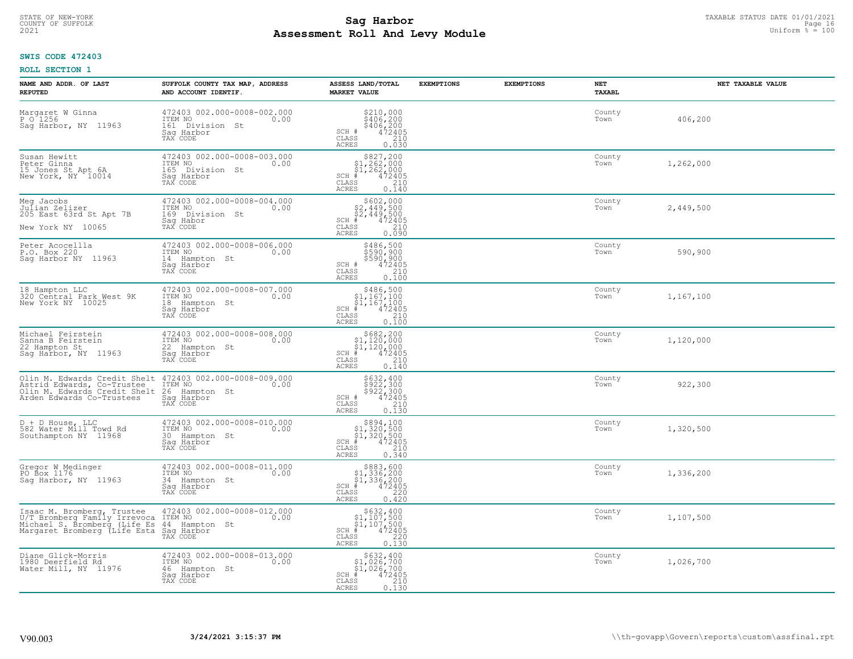#### **Sag Harbor** TAXABLE STATUS DATE 01/01/2021<br>
Poll and Louis Module **Assessment Roll And Levy Module Example 2021** Uniform  $\frac{1}{8}$  = 100 COUNTY OF SUFFOLK **Example 2018 COUNTY OF SUFFOLK** Page 16

## **SWIS CODE 472403**

| NAME AND ADDR. OF LAST<br><b>REPUTED</b>                                                                                   | SUFFOLK COUNTY TAX MAP, ADDRESS<br>AND ACCOUNT IDENTIF.                                          | ASSESS LAND/TOTAL<br><b>MARKET VALUE</b>                                                                                       | <b>EXEMPTIONS</b> | <b>EXEMPTIONS</b> | NET<br><b>TAXABL</b> | NET TAXABLE VALUE |
|----------------------------------------------------------------------------------------------------------------------------|--------------------------------------------------------------------------------------------------|--------------------------------------------------------------------------------------------------------------------------------|-------------------|-------------------|----------------------|-------------------|
| Margaret W Ginna<br>P 0 1256<br>Sag Harbor, NY 11963                                                                       | 472403 002.000-0008-002.000<br>ITEM NO<br>0.00<br>161 Division<br>– St<br>Saq Harbor<br>TAX CODE | $$210,000\n$406,200\n$406,200\n472405\n210$<br>SCH #<br>CLASS<br><b>ACRES</b><br>0.030                                         |                   |                   | County<br>Town       | 406,200           |
| Susan Hewitt<br>Peter Ginna<br>15 Jones St Apt 6A<br>New York, NY 10014                                                    | 472403 002.000-0008-003.000<br>ITEM NO<br>0.00<br>165 Division St<br>Saq Harbor<br>TAX CODE      | $$827, 200$<br>$$1, 262, 000$<br>$$1, 262, 000$<br>$SCH$ #<br>472405<br>CLASS<br>210<br>0.140<br><b>ACRES</b>                  |                   |                   | County<br>Town       | 1,262,000         |
| Meg Jacobs<br>Julian Zelizer<br>205 East 63rd St Apt 7B<br>New York NY 10065                                               | 472403 002.000-0008-004.000<br>ITEM NO<br>0.00<br>169 Division St<br>Saq Habor<br>TAX CODE       | $$602,000$<br>$$2,449,500$<br>$$2,449,500$<br>$$472405$<br>$SCH$ #<br>CLASS<br>210<br>0.090<br><b>ACRES</b>                    |                   |                   | County<br>Town       | 2,449,500         |
| Peter Acocellla<br>P.O. Box 220<br>Saq Harbor NY 11963                                                                     | 472403 002.000-0008-006.000<br>TTEM NO 0.00<br>14 Hampton St<br>Saq Harbor<br>TAX CODE           | \$486,500<br>\$590,900<br>\$590,900<br>472405<br>SCH #<br>CLASS<br>210<br><b>ACRES</b><br>0.100                                |                   |                   | County<br>Town       | 590,900           |
| 18 Hampton LLC<br>320 Central Park West 9K<br>New York NY 10025                                                            | 472403 002.000-0008-007.000<br>ITEM NO<br>0.00<br>18 Hampton St<br>Saq Harbor<br>TAX CODE        | $$486,500$<br>$$1,167,100$<br>$$1,167,100$<br>$*$<br>$*$<br>$472405$<br>$SCH$ #<br>CLASS<br>210<br><b>ACRES</b><br>0.100       |                   |                   | County<br>Town       | 1,167,100         |
| Michael Feirstein<br>Sanna B Feirstein<br>22 Hampton St<br>Saq Harbor, NY 11963                                            | 472403 002.000-0008-008.000<br>ITEM NO<br>0.00<br>22 Hampton St<br>Sag Harbor<br>TAX CODE        | $$682, 200$<br>$$1, 120, 000$<br>$$1, 120, 000$<br>$4$<br>$472405$<br>$$210$<br>$SCH$ #<br>CLASS<br>0.140<br><b>ACRES</b>      |                   |                   | County<br>Town       | 1,120,000         |
| Olin M. Edwards Credit Shelt<br>Astrid Edwards, Co-Trustee<br>Olin M. Edwards Credit Shelt<br>Arden Edwards Co-Trustees    | 472403 002.000-0008-009.000<br>ITEM NO<br>0.00<br>26<br>Hampton St<br>Saq Harbor<br>TAX CODE     | \$632,400<br>\$922,300<br>\$922,300<br>472405<br>SCH #<br>CLASS<br>$\frac{210}{0.130}$<br><b>ACRES</b>                         |                   |                   | County<br>Town       | 922,300           |
| D + D House, LLC<br>582 Water Mill Towd Rd<br>Southampton NY 11968                                                         | 472403 002.000-0008-010.000<br>ITEM NO<br>0.00<br>30 Hampton St<br>Saq Harbor<br>TAX CODE        | $$894,100$<br>$$1,320,500$<br>$$1,320,500$<br>$*1,320,500$<br>$*1,320,500$<br>$SCH$ #<br>CLASS<br>210<br><b>ACRES</b><br>0.340 |                   |                   | County<br>Town       | 1,320,500         |
| Gregor W Medinger<br>PO Box 1176<br>Saq Harbor, NY 11963                                                                   | 472403 002.000-0008-011.000<br>ITEM NO 0.00<br>34 Hampton St<br>Saq Harbor<br>TAX CODE           | $$883,600$<br>$$1,336,200$<br>$$1,336,200$<br>$*1,336,200$<br>$*1,472405$<br>$SCH$ #<br>CLASS<br>220<br><b>ACRES</b><br>0.420  |                   |                   | County<br>Town       | 1,336,200         |
| Isaac M. Bromberg, Trustee<br>U/T Bromberg Family Irrevoca<br>Michael S. Bromberg (Life Es<br>Margaret Bromberg (Life Esta | 472403 002.000-0008-012.000<br>ITEM NO<br>0.00<br>44 Hampton<br>St<br>Saq Harbor<br>TAX CODE     | $$632, 400$<br>$$1, 107, 500$<br>$$1, 107, 500$<br>$472405$<br>$$220$<br>SCH #<br>CLASS<br>0.130<br><b>ACRES</b>               |                   |                   | County<br>Town       | 1,107,500         |
| Diane Glick-Morris<br>1980 Deerfield Rd<br>Water Mill, NY 11976                                                            | 472403 002.000-0008-013.000<br>ITEM NO<br>0.00<br>46 Hampton St<br>Sag Harbor<br>TAX CODE        | \$632,400<br>\$1,026,700<br>\$1,026,700<br>$SCH$ #<br>472405<br>CLASS<br>$\frac{210}{0.130}$<br><b>ACRES</b>                   |                   |                   | County<br>Town       | 1,026,700         |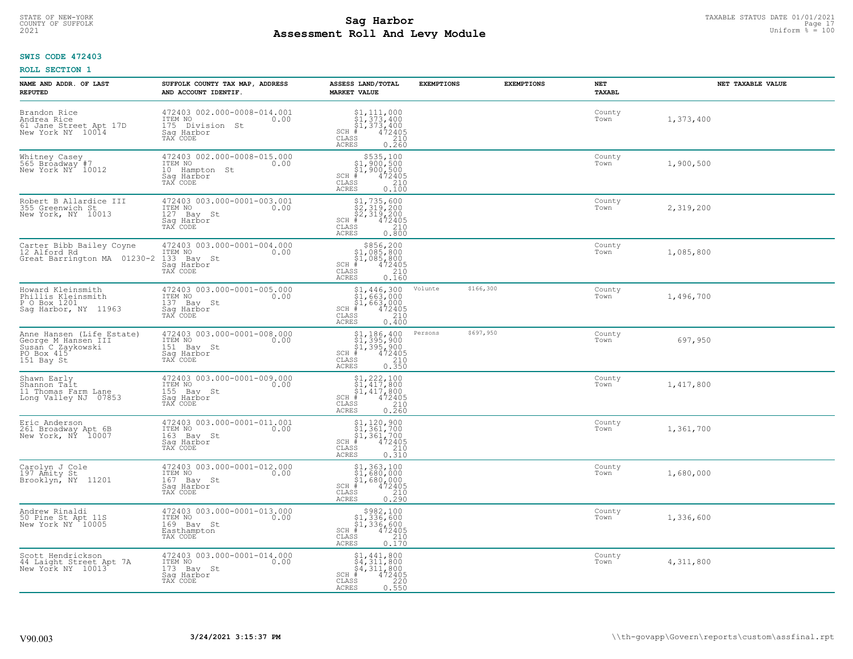# TAXABLE STATUS DATE 01/01/2021<br>COUNTY OF SUFFOLK Page 17 **Assessment Roll And Levy Module Example 2021** Uniform  $\frac{1}{8}$  = 100

## **SWIS CODE 472403**

| NAME AND ADDR. OF LAST<br><b>REPUTED</b>                                                          | SUFFOLK COUNTY TAX MAP, ADDRESS<br>AND ACCOUNT IDENTIF.                                     | ASSESS LAND/TOTAL<br><b>MARKET VALUE</b>                                                                                                                                                                                                                 | <b>EXEMPTIONS</b>    | <b>EXEMPTIONS</b> | NET<br><b>TAXABL</b> | NET TAXABLE VALUE |
|---------------------------------------------------------------------------------------------------|---------------------------------------------------------------------------------------------|----------------------------------------------------------------------------------------------------------------------------------------------------------------------------------------------------------------------------------------------------------|----------------------|-------------------|----------------------|-------------------|
| Brandon Rice<br>Andrea Rice<br>61 Jane Street Apt 17D<br>New York NY 10014                        | 472403 002.000-0008-014.001<br>ITEM NO<br>0.00<br>175 Division St<br>Saq Harbor<br>TAX CODE | $$1, 111, 000$<br>$$1, 373, 400$<br>$$1, 373, 400$<br>$472405$<br>$$210$<br>$SCH$ #<br>CLASS<br><b>ACRES</b><br>0.260                                                                                                                                    |                      |                   | County<br>Town       | 1,373,400         |
| Whitney Casey<br>565 Broadway #7<br>New York NY 10012                                             | 472403 002.000-0008-015.000<br>ITEM NO<br>0.00<br>10 Hampton St<br>Saq Harbor<br>TAX CODE   | \$535,100<br>\$1,900,500<br>\$1,900,500<br>$SCH$ #<br>472405<br>CLASS<br>210<br>0.100<br>ACRES                                                                                                                                                           |                      |                   | County<br>Town       | 1,900,500         |
| Robert B Allardice III<br>355 Greenwich St<br>New York, NY 10013                                  | 472403 003.000-0001-003.001<br>ITEM NO<br>0.00<br>127 Bay St<br>Saq Harbor<br>TAX CODE      | $$1, 735, 600$<br>$$2, 319, 200$<br>$$2, 319, 200$<br>$$472405$<br>$SCH$ #<br>CLASS<br>210<br>0.800<br>ACRES                                                                                                                                             |                      |                   | County<br>Town       | 2,319,200         |
| Carter Bibb Bailey Coyne<br>12 Alford Rd<br>Great Barrington MA 01230-2                           | 472403 003.000-0001-004.000<br>ITEM NO<br>0.00<br>133 Bay St<br>Saq Harbor<br>TAX CODE      | $$856, 200$<br>$$1, 085, 800$<br>$$1, 085, 800$<br>$*$ $472405$<br>$SCH$ #<br>CLASS<br>210<br>ACRES<br>0.160                                                                                                                                             |                      |                   | County<br>Town       | 1,085,800         |
| Howard Kleinsmith<br>Phillis Kleinsmith<br>P O Box 1201<br>Sag Harbor, NY 11963                   | 472403 003.000-0001-005.000<br>ITEM NO<br>0.00<br>137 Bay St<br>Saq Harbor<br>TAX CODE      | $\begin{array}{c} \text{\$1$, 446$, 300} \\ \text{\$1$, 663,000} \\ \text{\$1$, 663,000} \\ \text{\$1$, 663,000} \\ \text{\$1$, 663,000} \\ \text{\$1$}, 2405 \\ \text{\$10$}, 210 \\ \text{\$10$}, 400 \end{array}$<br>$SCH$ #<br>CLASS<br><b>ACRES</b> | \$166,300<br>Volunte |                   | County<br>Town       | 1,496,700         |
| Anne Hansen (Life Estate)<br>Ceorge M Hansen III<br>Susan C Zaykowski<br>PO Box 415<br>151 Bay St | 472403 003.000-0001-008.000<br>ITEM NO<br>151 Bay St<br>0.00<br>Saq Harbor<br>TAX CODE      | $$1, 186, 400$<br>$$1, 395, 900$<br>$$1, 395, 900$<br>$$472405$<br>$SCH$ #<br>CLASS<br>210<br>0.350<br><b>ACRES</b>                                                                                                                                      | Persons<br>\$697,950 |                   | County<br>Town       | 697,950           |
| Shawn Early<br>Shannon Tait<br>11 Thomas Farm Lane<br>Long Valley NJ 07853                        | 472403 003.000-0001-009.000<br>ITEM NO<br>0.00<br>155 Bay St<br>Saq Harbor<br>TAX CODE      | $$1, 222, 100$<br>$$1, 417, 800$<br>$$1, 417, 800$<br>$$417, 800$<br>$472405$<br>$SCH$ #<br>CLASS<br>210<br>0.260<br><b>ACRES</b>                                                                                                                        |                      |                   | County<br>Town       | 1,417,800         |
| Eric Anderson<br>261 Broadway Apt 6B<br>New York, NY 10007                                        | 472403 003.000-0001-011.001<br>TTEM NO 0.00<br>163 Bay St<br>Saq Harbor<br>TAX CODE         | $$1, 120, 900$<br>$$1, 361, 700$<br>$$1, 361, 700$<br>$*$ 472405<br>$SCH$ #<br>CLASS<br>210<br>ACRES<br>0.310                                                                                                                                            |                      |                   | County<br>Town       | 1,361,700         |
| Carolyn J Cole<br>197 Amity St<br>Brooklyn, NY 11201                                              | 472403 003.000-0001-012.000<br>TTEM NO 0.00<br>167 Bay St<br>Saq Harbor<br>TAX CODE         | $$1,363,100$<br>$$1,680,000$<br>$$1,680,000$<br>$*$<br>$*$ 472405<br>SCH #<br>CLASS<br>210<br><b>ACRES</b><br>0.290                                                                                                                                      |                      |                   | County<br>Town       | 1,680,000         |
| Andrew Rinaldi<br>50 Pine St Apt 11S<br>New York NY 10005                                         | 472403 003.000-0001-013.000<br>ITEM NO<br>0.00<br>169 Bay St<br>Easthampton<br>TAX CODE     | $$982,100$<br>$$1,336,600$<br>$$1,336,600$<br>$*1,336,600$<br>$*1,472405$<br>$SCH$ #<br>CLASS<br>210<br><b>ACRES</b><br>0.170                                                                                                                            |                      |                   | County<br>Town       | 1,336,600         |
| Scott Hendrickson<br>44 Laight Street Apt 7A<br>New York NY 10013                                 | 472403 003.000-0001-014.000<br>ITEM NO<br>0.00<br>173 Bay St<br>Saq Harbor<br>TAX CODE      | $$1,441,800$<br>$$4,311,800$<br>$$4,311,800$<br>$$4,311,800$<br>SCH #<br>472405<br>CLASS<br>220<br>0.550<br><b>ACRES</b>                                                                                                                                 |                      |                   | County<br>Town       | 4,311,800         |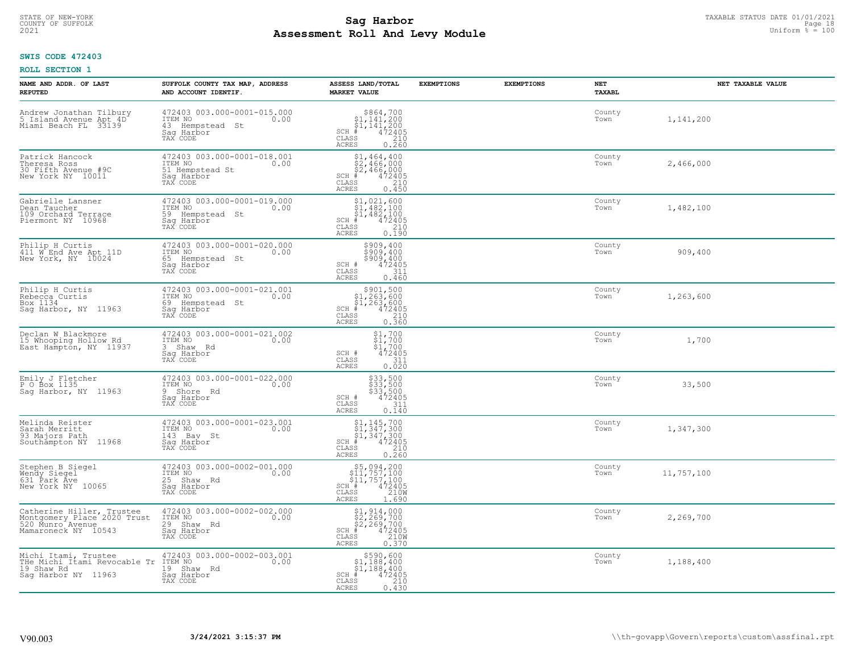#### **Sag Harbor** TAXABLE STATUS DATE 01/01/2021<br>
Poll and Louis Module **Assessment Roll And Levy Module Example 2021** Uniform  $\frac{1}{8}$  = 100 COUNTY OF SUFFOLK **Example 2018 COUNTY OF SUFFOLK** Page 18

## **SWIS CODE 472403**

| NAME AND ADDR. OF LAST<br><b>REPUTED</b>                                                            | SUFFOLK COUNTY TAX MAP, ADDRESS<br>AND ACCOUNT IDENTIF.                                        | ASSESS LAND/TOTAL<br><b>MARKET VALUE</b>                                                                              | <b>EXEMPTIONS</b> | <b>EXEMPTIONS</b> | <b>NET</b><br><b>TAXABL</b> | NET TAXABLE VALUE |
|-----------------------------------------------------------------------------------------------------|------------------------------------------------------------------------------------------------|-----------------------------------------------------------------------------------------------------------------------|-------------------|-------------------|-----------------------------|-------------------|
| Andrew Jonathan Tilbury<br>5 Island Avenue Apt 4D<br>Miami Beach FL 33139                           | 472403 003.000-0001-015.000<br>ITEM NO<br>0.00<br>43 Hempstead<br>St<br>Saq Harbor<br>TAX CODE | $$864,700$<br>$$1,141,200$<br>$$1,141,200$<br>$472405$<br>$$210$<br>$SCH$ #<br>CLASS<br><b>ACRES</b><br>0.260         |                   |                   | County<br>Town              | 1,141,200         |
| Patrick Hancock<br>Theresa Ross<br>30 Fifth Avenue #9C<br>New York NY 10011                         | 472403 003.000-0001-018.001<br>ITEM NO<br>0.00<br>51 Hempstead St<br>Saq Harbor<br>TAX CODE    | $$2, 464, 400$<br>$$2, 466, 000$<br>$$2, 466, 000$<br>$$472495$<br>$SCH$ #<br>CLASS<br>210<br>0.450<br><b>ACRES</b>   |                   |                   | County<br>Town              | 2,466,000         |
| Gabrielle Lansner<br>Dean Taucher<br>109 Orchard Terrace<br>Piermont NY 10968                       | 472403 003.000-0001-019.000<br>ITEM NO<br>0.00<br>59 Hempstead St<br>Saq Harbor<br>TAX CODE    | $$1,021,600$<br>$$1,482,100$<br>$$1,482,100$<br>$$1,482,100$<br>$472405$<br>$SCH$ #<br>CLASS<br>210<br>0.190<br>ACRES |                   |                   | County<br>Town              | 1,482,100         |
| Philip H Curtis<br>411 W End Ave Apt 11D<br>New York, NY 10024                                      | 472403 003.000-0001-020.000<br>ITEM NO<br>0.00<br>65 Hempstead St<br>Saq Harbor<br>TAX CODE    | $$909, 400$<br>$$909, 400$<br>$$909,400$<br>$472405$<br>SCH #<br>CLASS<br>311<br><b>ACRES</b><br>0.460                |                   |                   | County<br>Town              | 909,400           |
| Philip H Curtis<br>Rebecca Curtis<br>Box 1134<br>Sag Harbor, NY 11963                               | 472403 003.000-0001-021.001<br>ITEM NO<br>0.00<br>69 Hempstead St<br>Saq Harbor<br>TAX CODE    | $$301,500\n$1,263,600\n$1,263,600\n# 472405\n 210\n 210$<br>$SCH$ #<br>CLASS<br>0.360<br>ACRES                        |                   |                   | County<br>Town              | 1,263,600         |
| Declan W Blackmore<br>15 Whooping Hollow Rd<br>East Hampton, NY 11937                               | 472403 003.000-0001-021.002<br>ITEM NO<br>0.00<br>3 Shaw Rd<br>Saq Harbor<br>TAX CODE          | $\begin{array}{c} 51,700 \\ 51,700 \\ 472405 \end{array}$<br>$SCH$ #<br>CLASS<br>311<br>0.020<br><b>ACRES</b>         |                   |                   | County<br>Town              | 1,700             |
| Emily J Fletcher<br>P O Box 1135<br>Sag Harbor, NY 11963                                            | 472403 003.000-0001-022.000<br>ITEM NO<br>0.00<br>9 Shore Rd<br>Saq Harbor<br>TAX CODE         | \$33,500<br>\$33,500<br>\$33,500<br>\$472405<br>SCH #<br>CLASS<br>311<br>0.140<br><b>ACRES</b>                        |                   |                   | County<br>Town              | 33,500            |
| Melinda Reister<br>Sarah Merritt<br>93 Majors Path<br>Southampton NY 11968                          | 472403 003.000-0001-023.001<br>TTEM NO 0.00<br>143 Bay St<br>Saq Harbor<br>TAX CODE            | $$1, 145, 700$<br>$$1, 347, 300$<br>$$1, 347, 300$<br>$$472405$<br>$SCH$ #<br>CLASS<br>210<br><b>ACRES</b><br>0.260   |                   |                   | County<br>Town              | 1,347,300         |
| Stephen B Siegel<br>Wendy Siegel<br>631 Park Ave<br>New York NY 10065                               | 472403 003.000-0002-001.000<br>TTEM NO 0.00<br>25 Shaw Rd<br>Saq Harbor<br>TAX CODE            | $55,094,200\n$11,757,100\n$11,757,100\n# 472405\n% 210M\nASS 210M$<br>SCH #<br>CLASS<br><b>ACRES</b><br>1.690         |                   |                   | County<br>Town              | 11,757,100        |
| Catherine Hiller, Trustee<br>Montgomery Place 2020 Trust<br>520 Munro Avenue<br>Mamaroneck NY 10543 | 472403 003.000-0002-002.000<br>ITEM NO<br>0.00<br>29 Shaw Rd<br>Saq Harbor<br>TAX CODE         | \$1,914,000<br>\$2,269,700<br>\$2,269,700<br>#472405<br>$SCH$ #<br>210W<br>CLASS<br><b>ACRES</b><br>0.370             |                   |                   | County<br>Town              | 2,269,700         |
| Michi Itami, Trustee<br>THe Michi Itami Revocable Tr ITEM NO<br>19 Shaw Rd<br>Saq Harbor NY 11963   | 472403 003.000-0002-003.001<br>0.00<br>19 Shaw Rd<br>Saq Harbor<br>TAX CODE                    | $$590,600$<br>$$1,188,400$<br>$$1,188,400$<br>$$472405$<br>$SCH$ #<br>CLASS<br>210<br>0.430<br>ACRES                  |                   |                   | County<br>Town              | 1,188,400         |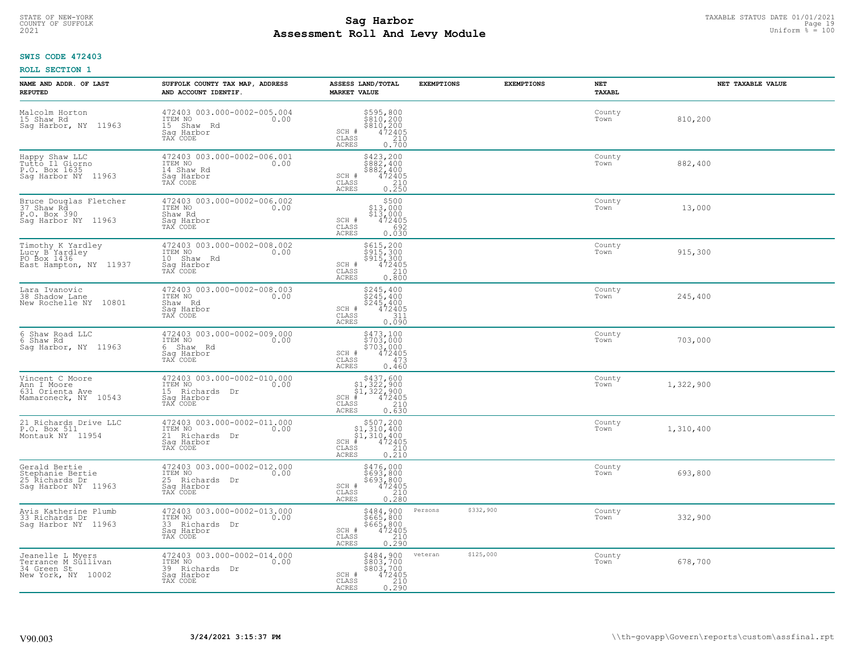#### **Sag Harbor** TAXABLE STATUS DATE 01/01/2021<br>
Poll and Louis Module **Assessment Roll And Levy Module Example 2021** Uniform  $\frac{1}{8}$  = 100 COUNTY OF SUFFOLK **Example 2018 COUNTY OF SUFFOLK** Page 19

## **SWIS CODE 472403**

| NAME AND ADDR. OF LAST<br><b>REPUTED</b>                                     | SUFFOLK COUNTY TAX MAP, ADDRESS<br>AND ACCOUNT IDENTIF.                                    | ASSESS LAND/TOTAL<br><b>MARKET VALUE</b>                                                                                       | <b>EXEMPTIONS</b>    | <b>EXEMPTIONS</b> | NET<br>TAXABL  | NET TAXABLE VALUE |
|------------------------------------------------------------------------------|--------------------------------------------------------------------------------------------|--------------------------------------------------------------------------------------------------------------------------------|----------------------|-------------------|----------------|-------------------|
| Malcolm Horton<br>15 Shaw Rd<br>Sag Harbor, NY 11963                         | 472403 003.000-0002-005.004<br>ITEM NO<br>0.00<br>15 Shaw Rd<br>Saq Harbor<br>TAX CODE     | \$595,800<br>\$810,200<br>\$810,200<br>472405<br>210<br>SCH #<br>CLASS<br><b>ACRES</b><br>0.700                                |                      |                   | County<br>Town | 810,200           |
| Happy Shaw LLC<br>Tutto Il Giorno<br>P.O. Box 1635<br>Saq Harbor NY 11963    | 472403 003.000-0002-006.001<br>ITEM NO<br>0.00<br>14 Shaw Rd<br>Saq Harbor<br>TAX CODE     | \$423,200<br>\$882,400<br>\$882,400<br>SCH #<br>472405<br>CLASS<br>$\frac{210}{0.250}$<br>ACRES                                |                      |                   | County<br>Town | 882,400           |
| Bruce Douglas Fletcher<br>37 Shaw Rd<br>P.O. Box 390<br>Saq Harbor NY 11963  | 472403 003.000-0002-006.002<br>ITEM NO<br>0.00<br>Shaw Rd<br>Saq Harbor<br>TAX CODE        | \$500<br>\$13,000<br>\$13,000<br>SCH #<br>472405<br>CLASS<br>692<br>0.030<br>ACRES                                             |                      |                   | County<br>Town | 13,000            |
| Timothy K Yardley<br>Lucy B Yardley<br>PO Box 1436<br>East Hampton, NY 11937 | 472403 003.000-0002-008.002<br>ITEM NO<br>0.00<br>10 Shaw Rd<br>Saq Harbor<br>TAX CODE     | \$615,200<br>\$915,300<br>\$915,300<br>SCH #<br>$\frac{472405}{210}$<br>CLASS<br><b>ACRES</b><br>0.800                         |                      |                   | County<br>Town | 915,300           |
| Lara Ivanovic<br>38 Shadow Lane<br>New Rochelle NY 10801                     | 472403 003.000-0002-008.003<br>ITEM NO<br>0.00<br>Shaw Rd<br>Saq Harbor<br>TAX CODE        | \$245,400<br>\$245,400<br>$$245, 400$<br>$472405$<br>SCH #<br>311<br>CLASS<br>0.090<br>ACRES                                   |                      |                   | County<br>Town | 245,400           |
| 6 Shaw Road LLC<br>6 Shaw Rd<br>Sag Harbor, NY 11963                         | 472403 003.000-0002-009.000<br>ITEM NO<br>0.00<br>6 Shaw Rd<br>Saq Harbor<br>TAX CODE      | \$473,100<br>\$703,000<br>\$703,000<br>472405<br>SCH #<br>CLASS<br>473<br><b>ACRES</b><br>0.460                                |                      |                   | County<br>Town | 703,000           |
| Vincent C Moore<br>Ann I Moore<br>631 Orienta Ave<br>Mamaroneck, NY 10543    | 472403 003.000-0002-010.000<br>ITEM NO<br>0.00<br>15 Richards Dr<br>Saq Harbor<br>TAX CODE | $$437,600$<br>$$1,322,900$<br>$$1,322,900$<br>$$472405$<br>$SCH$ #<br>CLASS<br>210<br>0.630<br>ACRES                           |                      |                   | County<br>Town | 1,322,900         |
| 21 Richards Drive LLC<br>P.O. Box 511<br>Montauk NY 11954                    | 472403 003.000-0002-011.000<br>TTEM NO 0.00<br>21 Richards Dr<br>Saq Harbor<br>TAX CODE    | $$507,200\n$1,310,400\n$1,310,400\n# 472405\n 210\n 210$<br>$SCH$ #<br>CLASS<br>0.210<br>ACRES                                 |                      |                   | County<br>Town | 1,310,400         |
| Gerald Bertie<br>Stephanie Bertie<br>25 Richards Dr<br>Sag Harbor NY 11963   | 472403 003.000-0002-012.000<br>ITEM NO<br>25 Richards Dr<br>Saq Harbor<br>TAX CODE         | \$476,000<br>\$693,800<br>\$693,800<br>SCH #<br>$472405$<br>210<br>CLASS<br>ACRES<br>0.280                                     |                      |                   | County<br>Town | 693,800           |
| Avis Katherine Plumb<br>33 Richards Dr<br>Saq Harbor NY 11963                | 472403 003.000-0002-013.000<br>ITEM NO<br>0.00<br>33 Richards Dr<br>Saq Harbor<br>TAX CODE | \$484,900<br>\$665,800<br>\$665,800<br>472405<br>SCH #<br>$\begin{array}{c} 210 \\ 0.290 \end{array}$<br>CLASS<br><b>ACRES</b> | Persons<br>\$332,900 |                   | County<br>Town | 332,900           |
| Jeanelle L Myers<br>Terrance M Sullivan<br>34 Green St<br>New York, NY 10002 | 472403 003.000-0002-014.000<br>ITEM NO<br>0.00<br>39 Richards Dr<br>Saq Harbor<br>TAX CODE | \$484,900<br>\$803,700<br>\$803,700<br>$\begin{array}{r} 472405 \\ 210 \\ 0.290 \end{array}$<br>SCH #<br>CLASS<br>ACRES        | \$125,000<br>veteran |                   | County<br>Town | 678,700           |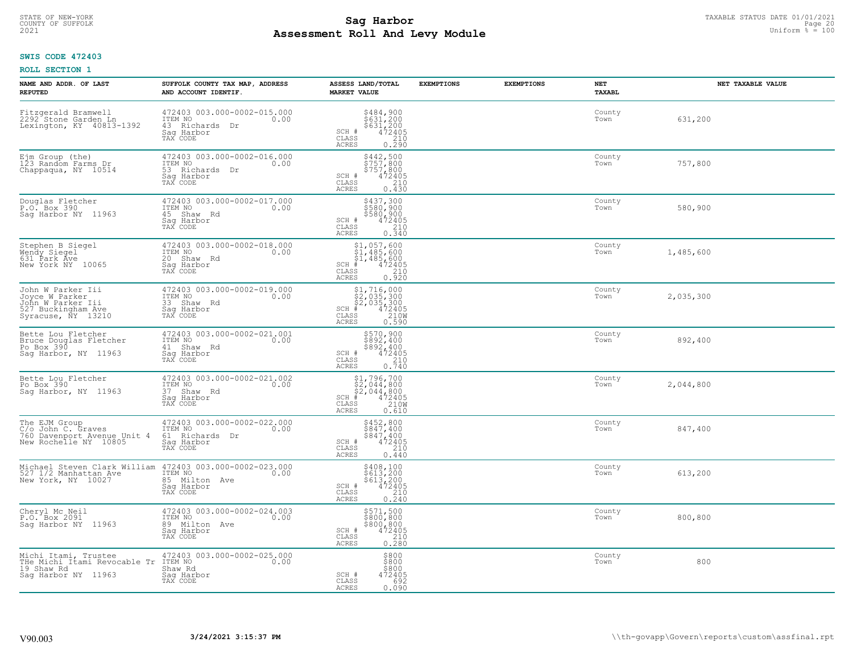# TAXABLE STATUS DATE 01/01/2021<br>COUNTY OF SUFFOLK Page 20 COUNTY OF SUFFOLK Page 20 **Assessment Roll And Levy Module Example 2021** Uniform  $\frac{1}{8}$  = 100

## **SWIS CODE 472403**

| NAME AND ADDR. OF LAST<br><b>REPUTED</b>                                                                              | SUFFOLK COUNTY TAX MAP, ADDRESS<br>AND ACCOUNT IDENTIF.                                                                                                                       | ASSESS LAND/TOTAL<br><b>MARKET VALUE</b>                                                                                         | <b>EXEMPTIONS</b> | <b>EXEMPTIONS</b><br>NET<br><b>TAXABL</b> | NET TAXABLE VALUE |
|-----------------------------------------------------------------------------------------------------------------------|-------------------------------------------------------------------------------------------------------------------------------------------------------------------------------|----------------------------------------------------------------------------------------------------------------------------------|-------------------|-------------------------------------------|-------------------|
| Fitzgerald Bramwell<br>2292 Stone Garden Ln<br>Lexington, KY 40813-1392                                               | 472403 003.000-0002-015.000<br>ITEM NO<br>0.00<br>43 Richards Dr<br>Saq Harbor<br>TAX CODE                                                                                    | \$484,900<br>\$631,200<br>\$631,200<br>472405<br>SCH #<br>CLASS<br>210<br>ACRES<br>0.290                                         |                   | County<br>Town                            | 631,200           |
| Ejm Group (the)<br>123 Random Farms Dr<br>Chappaqua, NY 10514                                                         | 472403 003.000-0002-016.000<br>ITEM NO<br>0.00<br>53 Richards Dr<br>Sag Harbor<br>TAX CODE                                                                                    | $$442,500$<br>$$757,800$<br>\$757,800<br>SCH #<br>472405<br>210<br>CLASS<br>ACRES<br>0.430                                       |                   | County<br>Town                            | 757,800           |
| Douglas Fletcher<br>P.O. Box 390<br>Saq Harbor NY 11963                                                               | 472403 003.000-0002-017.000<br>ITEM NO<br>0.00<br>45 Shaw Rd<br>Saq Harbor<br>TAX CODE                                                                                        | \$437,300<br>\$580,900<br>\$580,900<br>472405<br>$SCH$ #<br>CLASS<br>$\begin{array}{c} 210 \\ 0.340 \end{array}$<br><b>ACRES</b> |                   | County<br>Town                            | 580,900           |
| Stephen B Siegel<br>Wendy Siegel<br>631 Park Ave<br>New York NY 10065                                                 | 472403 003.000-0002-018.000<br>TTEM NO 0.00<br>20 Shaw Rd<br>Sag Harbor<br>TAX CODE                                                                                           | $$1,057,600$<br>$$1,485,600$<br>$$1,485,600$<br>$$1,485,600$<br>$SCH$ #<br>472405<br>CLASS<br>210<br>ACRES<br>0.920              |                   | County<br>Town                            | 1,485,600         |
| John W Parker Iii<br>Joyce W Parker<br>John W Parker Iii<br>527 Buckingham Ave<br>Syracuse, NY 13210                  | 472403 003.000-0002-019.000<br>10.00 0.00<br>33 Shaw Rd<br>Saq Harbor<br>TAX CODE                                                                                             | $$1, 716, 000$<br>$$2, 035, 300$<br>$$2, 035, 300$<br>$472405$<br>$$2100$<br>$$2100$<br>$SCH$ #<br>CLASS<br>ACRES<br>0.590       |                   | County<br>Town                            | 2,035,300         |
| Bette Lou Fletcher<br>Bruce Douglas Fletcher<br>Po Box 390<br>Sag Harbor, NY 11963                                    | 472403 003.000-0002-021.001<br>ITEM NO<br>0.00<br>41 Shaw Rd<br>Sag Harbor<br>TAX CODE                                                                                        | \$570,900<br>\$892,400<br>\$892,400<br>SCH #<br>$472405$<br>210<br>CLASS<br>0.740<br>ACRES                                       |                   | County<br>Town                            | 892,400           |
| Bette Lou Fletcher<br>Po Box 390<br>Sag Harbor, NY 11963                                                              | 472403 003.000-0002-021.002<br>ITEM NO<br>0.00<br>37 Shaw Rd<br>Sag Harbor<br>TAX CODE                                                                                        | $$2,044,800$<br>$$2,044,800$<br>$$472405$<br>$$58$<br>$$210W$<br>$SCH$ #<br>CLASS<br>ACRES<br>0.610                              |                   | County<br>Town                            | 2,044,800         |
| The EJM Group<br>C/O John C. Graves<br>760 Davenport Avenue Unit 4 61 Richards Dr<br>New Rochelle NY 10805 530 Harbor | 472403 003.000-0002-022.000<br>ITEM NO<br>0.00<br>TAX CODE                                                                                                                    | \$452,800<br>\$847,400<br>\$847,400<br>472405<br>SCH #<br>CLASS<br>210<br>ACRES<br>0.440                                         |                   | County<br>Town                            | 847,400           |
|                                                                                                                       | Michael Steven Clark William 472403 003.000-0002-023.000<br>527 1/2 Manhattan Ave ITEM NO<br>New York, NY 10027 85 Milton Ave 0.00<br>85 Milton Ave<br>Sag Harbor<br>TAX CODE | \$408,100<br>\$613,200<br>\$613,200<br>472405<br>SCH #<br>CLASS<br>210<br>ACRES<br>0.240                                         |                   | County<br>Town                            | 613,200           |
| Cheryl Mc Neil<br>P.O. Box 2091<br>Sag Harbor NY 11963                                                                | 472403 003.000-0002-024.003<br>ITEM NO<br>0.00<br>89 Milton Ave<br>Sag Harbor<br>TAX CODE                                                                                     | \$571,500<br>\$800,800<br>\$800,800<br>SCH #<br>$\frac{472405}{210}$<br>CLASS<br>0.280<br>ACRES                                  |                   | County<br>Town                            | 800,800           |
| Michi Itami, Trustee 472403<br>THe Michi Itami Revocable Tr ITEM NO<br>19 Shaw Rd<br>Sag Harbor NY 11963              | 472403 003.000-0002-025.000<br>0.00<br>Shaw Rd<br>Sag Harbor<br>TAX CODE                                                                                                      | \$800<br>\$800<br>\$800<br>SCH #<br>472405<br>CLASS<br>692<br><b>ACRES</b><br>0.090                                              |                   | County<br>Town                            | 800               |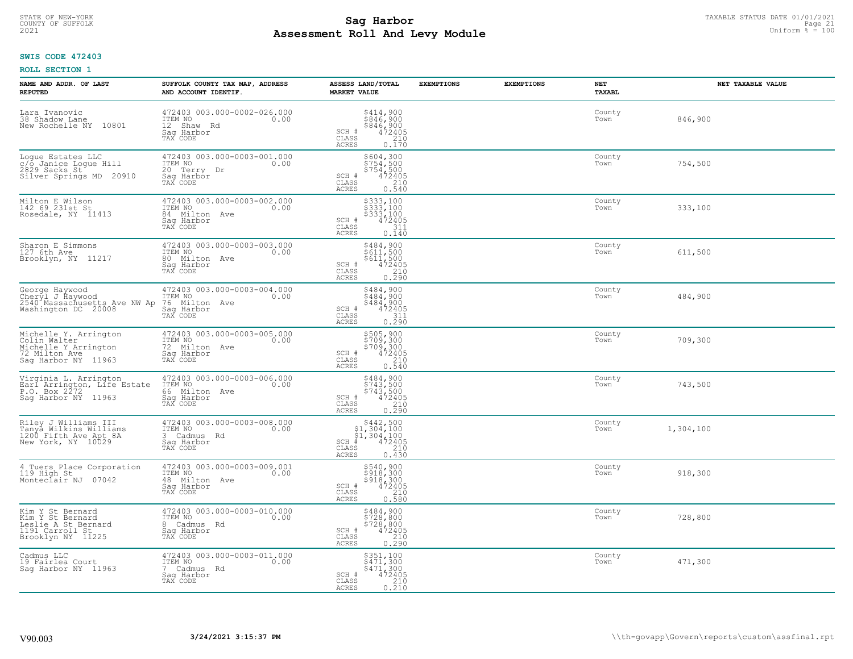# TAXABLE STATUS DATE 01/01/2021<br>COUNTY OF SUFFOLK Page 21 COUNTY OF SUFFOLK Page 21 **Assessment Roll And Levy Module Example 2021** Uniform  $\frac{1}{8}$  = 100

## **SWIS CODE 472403**

| NAME AND ADDR. OF LAST<br><b>REPUTED</b>                                                                                                              | SUFFOLK COUNTY TAX MAP, ADDRESS<br>AND ACCOUNT IDENTIF.                                             | ASSESS LAND/TOTAL<br><b>MARKET VALUE</b>                                                             | <b>EXEMPTIONS</b><br><b>EXEMPTIONS</b> | NET<br>TAXABL  | NET TAXABLE VALUE |
|-------------------------------------------------------------------------------------------------------------------------------------------------------|-----------------------------------------------------------------------------------------------------|------------------------------------------------------------------------------------------------------|----------------------------------------|----------------|-------------------|
| Lara Ivanovic<br>38 Shadow Lane<br>New Rochelle NY 10801                                                                                              | 472403 003.000-0002-026.000<br>ITEM NO<br>0.00<br>12 Shaw Rd<br>Saq Harbor<br>TAX CODE              | \$414,900<br>$\frac{3846}{900}$<br>$\frac{472405}{472405}$<br>SCH #<br>CLASS<br>ACRES<br>0.170       |                                        | County<br>Town | 846,900           |
| Logue Estates LLC<br>c/o Janice Logue Hill<br>2829 Sacks St<br>Silver Springs MD 20910                                                                | 472403 003.000-0003-001.000<br>ITEM NO 0.00<br>20 Terry Dr<br>Saq Harbor<br>TAX CODE                | \$604,300<br>\$754,500<br>\$754,500<br>SCH #<br>472405<br>CLASS<br>$\frac{210}{0.540}$<br>ACRES      |                                        | County<br>Town | 754,500           |
| Milton E Wilson<br>142 69 231st St<br>Rosedale, NY 11413                                                                                              | 472403 003.000-0003-002.000<br>TTEM NO 0.00<br>84 Milton Ave<br>Sag Harbor<br>TAX CODE              | \$333,100<br>\$333,100<br>\$333,100<br>472405<br>SCH #<br>CLASS<br>311<br>0.140<br>ACRES             |                                        | County<br>Town | 333,100           |
| Sharon E Simmons<br>127 6th Ave<br>Brooklyn, NY 11217                                                                                                 | 472403 003.000-0003-003.000<br>ITEM NO 0.00<br>80 Milton Ave<br>Saq Harbor<br>TAX CODE              | \$484,900<br>\$611,500<br>\$611,500<br>472405<br>210<br>SCH #<br>$\mathtt{CLASS}$<br>0.290<br>ACRES  |                                        | County<br>Town | 611,500           |
| George Haywood at 172403 003.000-0<br>Cheryl J Haywood 11EM NO 102540<br>2540 Massachusetts Ave NW Ap 76 Milton Ave<br>Washington DC 20008 Sag Harbor | 472403 003.000-0003-004.000<br>ITEM NO 0.00<br>0.00<br>Saq Harbor<br>TAX CODE                       | \$484,900<br>3484,900<br>$$484,900$<br>$472405$<br>$311$<br>SCH #<br>CLASS<br>0.290<br>ACRES         |                                        | County<br>Town | 484,900           |
| Michelle Y. Arrington<br>Colin Walter [1975]<br>Michelle Y Arrington<br>72 Milton Ave<br>Sag Harbor NY 11963                                          | 472403 003.000-0003-005.000<br>ITEM NO<br>TEM NO<br>72 Milton Ave<br>Sag Harbor<br>0.00<br>TAX CODE | \$505,900<br>\$709,300<br>\$709,300<br>\$72405<br>SCH #<br>CLASS<br>210<br><b>ACRES</b><br>0.540     |                                        | County<br>Town | 709,300           |
| Virginia L. Arrington<br>Earl Arrington, Life Estate<br>P.O. Box 2272<br>Sag Harbor NY 11963                                                          | 472403 003.000-0003-006.000<br>10.00 0.00<br>66 Milton Ave<br>Saq Harbor<br>TAX CODE                | \$484,900<br>\$743,500<br>\$743,500<br>472405<br>SCH #<br>CLASS<br>210<br>0.290<br>ACRES             |                                        | County<br>Town | 743,500           |
| Riley J Williams III<br>Tanya Wilkins Williams<br>1200 Fifth Ave Apt 8A<br>New York, NY 10029                                                         | 472403 003.000-0003-008.000<br>10.00 0.00<br>3 Cadmus Rd<br>Saq Harbor<br>TAX CODE                  | $$442,50051,304,10051,304,100+1,472405$<br>$SCH$ #<br>CLASS<br>210<br>ACRES<br>0.430                 |                                        | County<br>Town | 1,304,100         |
| 4 Tuers Place Corporation<br>119 High St<br>Monteclair NJ 07042                                                                                       | 472403 003.000-0003-009.001<br>ITEM NO 0.00<br>48 Milton Ave<br>Saq Harbor<br>TAX CODE              | \$540,900<br>\$918,300<br>\$918,300<br>SCH #<br>472405<br>CLASS<br>210<br>ACRES<br>0.580             |                                        | County<br>Town | 918,300           |
| Kim Y St Bernard<br>Kim Y St Bernard<br>Leslie A St Bernard<br>1191 Carroll St<br>Brooklyn NY 11225                                                   | 472403 003.000-0003-010.000<br>ITEM NO<br>0.00<br>8 Cadmus Rd<br>Sag Harbor<br>TAX CODE             | \$484,900<br>\$728,800<br>$$7\bar{28}'$ , $800$<br>472405<br>210<br>SCH #<br>CLASS<br>ACRES<br>0.290 |                                        | County<br>Town | 728,800           |
| Cadmus LLC<br>19 Fairlea Court<br>Saq Harbor NY 11963                                                                                                 | 472403 003.000-0003-011.000<br>ITEM NO<br>0.00<br>7 Cadmus Rd<br>Sag Harbor<br>TAX CODE             | \$351,100<br>\$471,300<br>\$471,300<br>472405<br>$SCH$ #<br>$\frac{210}{0.210}$<br>CLASS<br>ACRES    |                                        | County<br>Town | 471,300           |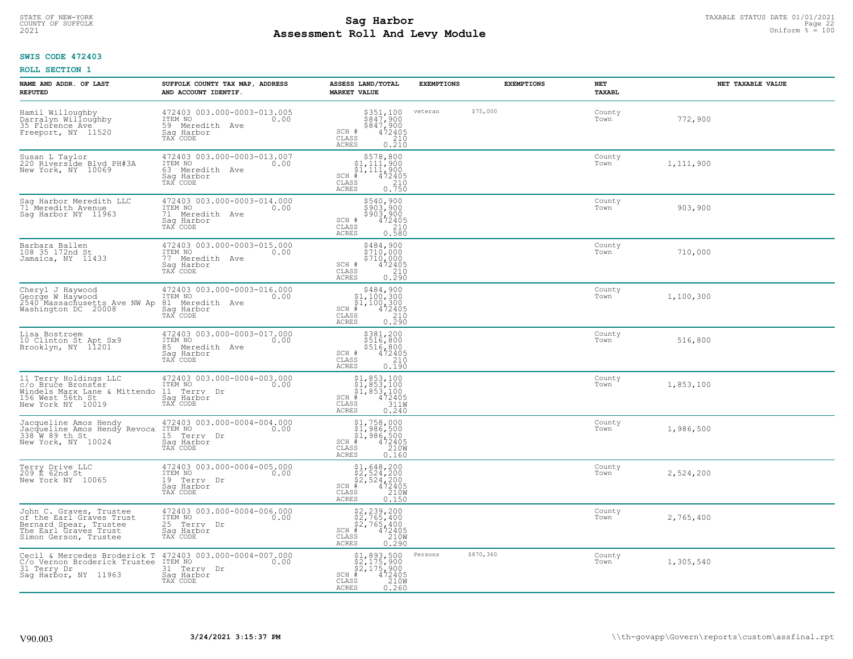# TAXABLE STATUS DATE 01/01/2021<br>COUNTY OF SUFFOLK Page 22 Page 22 **Assessment Roll And Levy Module Example 2021** Uniform  $\frac{1}{8}$  = 100

## **SWIS CODE 472403**

| NAME AND ADDR. OF LAST<br><b>REPUTED</b>                                                                                        | SUFFOLK COUNTY TAX MAP, ADDRESS<br>AND ACCOUNT IDENTIF.                                     | ASSESS LAND/TOTAL<br><b>MARKET VALUE</b>                                                                                                                                                                      | <b>EXEMPTIONS</b>    | <b>EXEMPTIONS</b> | NET<br>TAXABL  | NET TAXABLE VALUE |
|---------------------------------------------------------------------------------------------------------------------------------|---------------------------------------------------------------------------------------------|---------------------------------------------------------------------------------------------------------------------------------------------------------------------------------------------------------------|----------------------|-------------------|----------------|-------------------|
| Hamil Willoughby<br>Darralyn Willoughby<br>35 Florence Ave <sup>1</sup><br>Freeport, NY 11520                                   | 472403 003.000-0003-013.005<br>ITEM NO<br>0.00<br>59 Meredith Ave<br>Saq Harbor<br>TAX CODE | \$351,100<br>$\frac{1}{2847}$ , 900<br>$\frac{1}{2847}$ , 900<br>$\frac{472405}{2995}$<br>SCH #<br>CLASS<br>$\begin{array}{c} 210 \\ 0.210 \end{array}$<br><b>ACRES</b>                                       | veteran              | \$75,000          | County<br>Town | 772,900           |
| Susan L Taylor<br>220 Riverside Blvd PH#3A<br>New York, NY 10069                                                                | 472403 003.000-0003-013.007<br>ITEM NO<br>0.00<br>63 Meredith Ave<br>Sag Harbor<br>TAX CODE | $\begin{array}{r}  \  \  \, 5578,800\\  \  \, 51,111,900\\  \  \, 51,111,900\\  \  \  \, 472405\\  \  \  \, 85\\  \  \  \, 210\\  \  \, 25\\  \  \  \, 0.750\\ \end{array}$<br>SCH #<br>CLASS<br><b>ACRES</b> |                      |                   | County<br>Town | 1,111,900         |
| Sag Harbor Meredith LLC<br>71 Meredith Avenue<br>Sag Harbor NY 11963                                                            | 472403 003.000-0003-014.000<br>ITEM NO<br>0.00<br>71 Meredith Ave<br>Sag Harbor<br>TAX CODE | \$540,900<br>$\frac{3903,900}{903,900}$<br>$\frac{472405}{210}$<br>SCH #<br>CLASS<br>0.580<br><b>ACRES</b>                                                                                                    |                      |                   | County<br>Town | 903,900           |
| Barbara Ballen<br>108 35 172nd St<br>Jamaica, NY 11433                                                                          | 472403 003.000-0003-015.000<br>ITEM NO<br>0.00<br>77 Meredith Ave<br>Saq Harbor<br>TAX CODE | $$484,900$<br>$$710,000$<br>$$710,000$<br>472405<br>210<br>SCH #<br>CLASS<br>0.290<br>ACRES                                                                                                                   |                      |                   | County<br>Town | 710,000           |
| Cheryl J Haywood<br>George W Haywood<br>2540 Massachusetts Ave NW Ap<br>Washington DC 20008                                     | 472403 003.000-0003-016.000<br>ITEM NO<br>0.00<br>81 Meredith Ave<br>Saq Harbor<br>TAX CODE | \$484,900<br>$\begin{array}{r} 51,100,300 \\ 51,100,300 \\ * & 472405 \\ * & 210 \\ * & 210 \end{array}$<br>$SCH$ #<br>CLASS<br>0.290<br>ACRES                                                                |                      |                   | County<br>Town | 1,100,300         |
| Lisa Bostroem<br>10 Clinton St Apt Sx9<br>Brooklyn, NY 11201                                                                    | 472403 003.000-0003-017.000<br>ITEM NO<br>0.00<br>85 Meredith Ave<br>Saq Harbor<br>TAX CODE | \$381,200<br>\$516,800<br>\$516,800<br>472405<br>SCH #<br>CLASS<br>210<br><b>ACRES</b><br>0.190                                                                                                               |                      |                   | County<br>Town | 516,800           |
| 11 Terry Holdings LLC<br>c/o Bruce Bronster<br>Windels Marx Lane & Mittendo<br>156 West 56th St<br>New York NY 10019            | 472403 003.000-0004-003.000<br>ITEM NO<br>0.00<br>11 Terry Dr<br>Saq Harbor<br>TAX CODE     | $$1, 853, 100$<br>$$1, 853, 100$<br>$$1, 853, 100$<br>$472405$<br>$3110$<br>$3110$<br>$SCH$ #<br>$\mathtt{CLASS}$<br><b>ACRES</b><br>0.240                                                                    |                      |                   | County<br>Town | 1,853,100         |
| Jacqueline Amos Hendy<br>Jacqueline Amos Hendy Revoca<br>338 W 89 th St<br>New York, NY 10024                                   | 472403 003.000-0004-004.000<br>ITEM NO 0.00<br>15 Terry Dr<br>Saq Harbor<br>TAX CODE        | \$1,758,000<br>\$1,986,500<br>\$1,986,500<br># 472405<br>\$5 210M<br>$SCH$ #<br>CLASS<br><b>ACRES</b><br>0.160                                                                                                |                      |                   | County<br>Town | 1,986,500         |
| Terry Drive LLC<br>209 E 62nd St<br>New York NY 10065                                                                           | 472403 003.000-0004-005.000<br>TTEM NO 0.00<br>19 Terry Dr<br>Saq Harbor<br>TAX CODE        | $$2,524,200$<br>$$2,524,200$<br>$$472405$<br>$$210M$<br>$$210M$<br>SCH #<br>CLASS<br><b>ACRES</b><br>0.150                                                                                                    |                      |                   | County<br>Town | 2,524,200         |
| John C. Graves, Trustee<br>of the Earl Graves Trust<br>Bernard Spear, Trustee<br>The Earl Graves Trust<br>Simon Gerson, Trustee | 472403 003.000-0004-006.000<br>ITEM NO<br>0.00<br>25 Terry Dr<br>Sag Harbor<br>TAX CODE     | $$2, 239, 200$<br>$$2, 765, 400$<br>$$2, 765, 400$<br>$472405$<br>$$2100$<br>$$2100$<br>$SCH$ #<br>$\mathtt{CLASS}$<br><b>ACRES</b><br>0.290                                                                  |                      |                   | County<br>Town | 2,765,400         |
| Cecil & Mercedes Broderick T<br>C/o Vernon Broderick Trustee ITEM NO<br>31 Terry Dr<br>Saq Harbor, NY 11963                     | 472403 003.000-0004-007.000<br>0.00<br>31 Terry Dr<br>Saq Harbor<br>TAX CODE                | $$2,175,900$<br>$$2,175,900$<br>$$2,175,900$<br>$472405$<br>$$2100$<br>$SCH$ #<br>$\mathtt{CLASS}$<br><b>ACRES</b><br>0.260                                                                                   | \$870,360<br>Persons |                   | County<br>Town | 1,305,540         |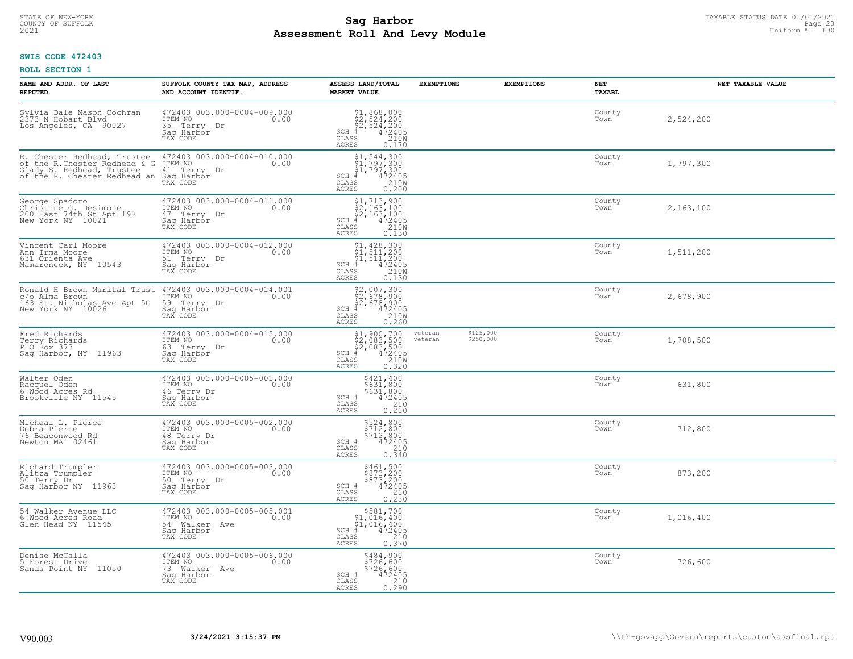# TAXABLE STATUS DATE 01/01/2021<br>COUNTY OF SUFFOLK Page 23 COUNTY OF SUFFOLK Page 23 **Assessment Roll And Levy Module Example 2021** Uniform  $\frac{1}{8}$  = 100

## **SWIS CODE 472403**

| NAME AND ADDR. OF LAST<br><b>REPUTED</b>                                                                                                        | SUFFOLK COUNTY TAX MAP, ADDRESS<br>AND ACCOUNT IDENTIF.                                      | ASSESS LAND/TOTAL<br><b>MARKET VALUE</b>                                                                                                                                                                                                                                                                    | <b>EXEMPTIONS</b>  | <b>EXEMPTIONS</b>      | NET<br><b>TAXABL</b> | NET TAXABLE VALUE |
|-------------------------------------------------------------------------------------------------------------------------------------------------|----------------------------------------------------------------------------------------------|-------------------------------------------------------------------------------------------------------------------------------------------------------------------------------------------------------------------------------------------------------------------------------------------------------------|--------------------|------------------------|----------------------|-------------------|
| Sylvia Dale Mason Cochran<br>2373 N Hobart Blvd<br>Los Angeles, CA 90027                                                                        | 472403 003.000-0004-009.000<br>ITEM NO<br>0.00<br>35 Terry Dr<br>Saq Harbor<br>TAX CODE      | $$2,524,200$<br>$$2,524,200$<br>$$472405$<br>$$210M$<br>$$210M$<br>SCH #<br>CLASS<br>ACRES<br>0.170                                                                                                                                                                                                         |                    |                        | County<br>Town       | 2,524,200         |
| R. Chester Redhead, Trustee<br>of the R.Chester Redhead & G<br>Glady S. Redhead, Trustee<br>of the R. Chester Redhead an Sag Harbor<br>TAX CODE | 472403 003.000-0004-010.000<br>ITEM NO<br>0.00<br>41 Terry Dr                                | $\begin{array}{l} \text{\small $51$, $544$, $300$} \\ \text{\small $51$, $797$, $300$} \\ \text{\small $51$, $797$, $300$} \\ \text{\small $4$ & $472405$} \\ \text{\small $88$ & $210 \text{W}$} \\ \text{\small $85$ & $0.200$} \end{array}$<br>$SCH$ #<br>CLASS<br>ACRES                                 |                    |                        | County<br>Town       | 1,797,300         |
| George Spadoro<br>Christine G. Desimone<br>200 East 74th St Apt 19B<br>New York NY 10021                                                        | 472403 003.000-0004-011.000<br>ITEM NO<br>0.00<br>47 Terry Dr<br>Sag Harbor<br>TAX CODE      | $\begin{array}{l} \begin{array}{c} \text{\$1$, 713$, 900} \\ \text{\$2$, 163, 100} \\ \text{\$2$, 163, 100} \\ \text{\$4$} \\ \text{\$8$} \\ \text{\$8$} \\ \text{\$8$} \\ \text{\$8$} \\ \text{\$9$} \\ \text{\$100} \\ \text{\$130} \\ \text{\$130} \end{array} \end{array}$<br>$SCH$ #<br>CLASS<br>ACRES |                    |                        | County<br>Town       | 2,163,100         |
| Vincent Carl Moore<br>Ann Irma Moore<br>631 Orienta Ave<br>Mamaroneck, NY 10543                                                                 | 472403 003.000-0004-012.000<br>ITEM NO<br>0.00<br>51 Terry Dr<br>Saq Harbor<br>TAX CODE      | $\begin{array}{l} \begin{array}{c} \text{\$1,428,300} \\ \text{\$1,511,200} \\ \text{\$1,511,200} \\ \text{\$1,511,200} \\ \text{\$1,2405} \\ \text{\$1,2405} \\ \text{\$10W} \\ \text{\$10W} \\ \text{\$10W} \\ \text{\$130} \end{array} \end{array}$<br>$SCH$ #<br>CLASS<br><b>ACRES</b>                  |                    |                        | County<br>Town       | 1,511,200         |
| Ronald H Brown Marital Trust<br>c/o Alma Brown<br>163 St. Nicholas Ave Apt 5G<br>New York NY 10026                                              | 472403 003.000-0004-014.001<br>ITEM NO<br>0.00<br>59 Terry Dr<br>Saq Harbor<br>TAX CODE      | $$2,007,300$<br>$$2,678,900$<br>$$2,678,900$<br>$$472405$<br>$$2100$<br>$SCH$ #<br>CLASS<br>ACRES<br>0.260                                                                                                                                                                                                  |                    |                        | County<br>Town       | 2,678,900         |
| Fred Richards<br>Terry Richards<br>P 0 Box 373<br>Sag Harbor, NY 11963                                                                          | 472403 003.000-0004-015.000<br>ITEM NO<br>0.00<br>63 Terry Dr<br>Saq Harbor<br>TAX CODE      | $$2,083,500$<br>$$2,083,500$<br>$$2,083,500$<br>$$472405$<br>$$2100$<br>$SCH$ #<br>CLASS<br>0.320<br><b>ACRES</b>                                                                                                                                                                                           | veteran<br>veteran | \$125,000<br>\$250,000 | County<br>Town       | 1,708,500         |
| Walter Oden<br>Racquel Oden<br>6 Wood Acres Rd<br>Brookville NY 11545                                                                           | 472403 003.000-0005-001.000<br>ITEM NO 0.00<br>46 Terry Dr<br>Sag Harbor<br>TAX CODE         | \$421,400<br>\$631,800<br>\$631,800<br>472405<br>SCH #<br>CLASS<br>$\frac{210}{0.210}$<br>ACRES                                                                                                                                                                                                             |                    |                        | County<br>Town       | 631,800           |
| Micheal L. Pierce<br>Debra Pierce<br>76 Beaconwood Rd<br>Newton MA 02461                                                                        | 472403 003.000-0005-002.000<br>10.00 0.00<br>48 Terry Dr<br>Saq Harbor<br>TAX CODE           | \$524,800<br>\$712,800<br>\$712,800<br>SCH #<br>472405<br>210<br>CLASS<br>ACRES<br>0.340                                                                                                                                                                                                                    |                    |                        | County<br>Town       | 712,800           |
| Richard Trumpler<br>Alitza Trumpler<br>50 Terry Dr<br>Sag Harbor NY 11963                                                                       | 472403 003.000-0005-003.000<br>TTEM NO 0.00<br>0.00<br>50 Terry Dr<br>Saq Harbor<br>TAX CODE | \$461,500<br>\$873,200<br>\$873,200<br>SCH #<br>472405<br>CLASS<br>210<br><b>ACRES</b><br>0.230                                                                                                                                                                                                             |                    |                        | County<br>Town       | 873,200           |
| 54 Walker Avenue LLC<br>6 Wood Acres Road<br>Glen Head NY 11545                                                                                 | 472403 003.000-0005-005.001<br>ITEM NO<br>0.00<br>54 Walker Ave<br>Saq Harbor<br>TAX CODE    | \$581,700<br>\$1,016,400<br>\$1,016,400<br>#472405<br>$SCH$ #<br>CLASS<br>210<br><b>ACRES</b><br>0.370                                                                                                                                                                                                      |                    |                        | County<br>Town       | 1,016,400         |
| Denise McCalla<br>5 Forest Drive<br>Sands Point NY 11050                                                                                        | 472403 003.000-0005-006.000<br>ITEM NO<br>0.00<br>73 Walker Ave<br>Saq Harbor<br>TAX CODE    | \$484,900<br>\$726,600<br>\$726,600<br>SCH #<br>472405<br>CLASS<br>210<br>ACRES<br>0.290                                                                                                                                                                                                                    |                    |                        | County<br>Town       | 726,600           |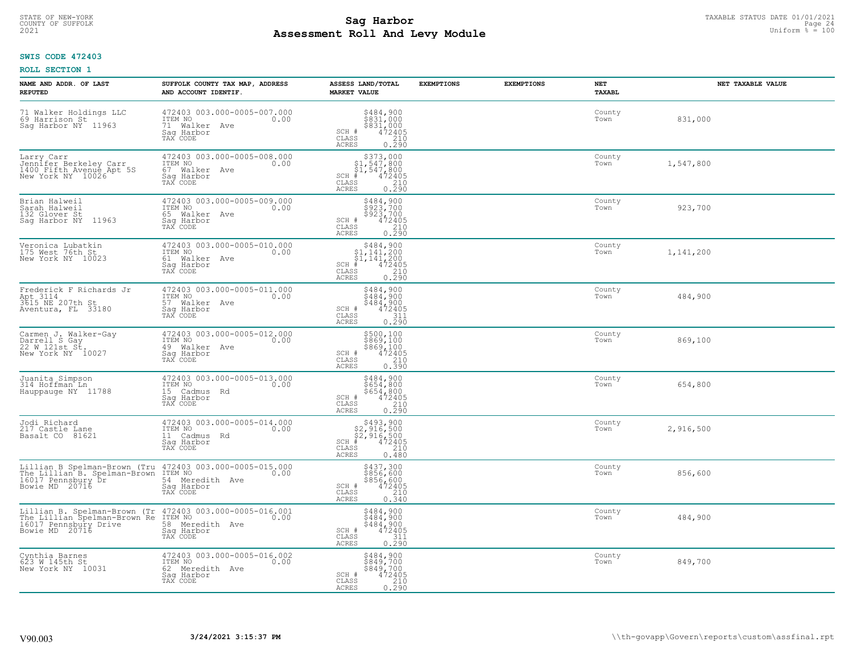# TAXABLE STATUS DATE 01/01/2021<br>COUNTY OF SUFFOLK Page 24 **Assessment Roll And Levy Module Example 2021** Uniform  $\frac{1}{8}$  = 100

## **SWIS CODE 472403**

| NAME AND ADDR. OF LAST<br><b>REPUTED</b>                                                                                                                              | SUFFOLK COUNTY TAX MAP, ADDRESS<br>AND ACCOUNT IDENTIF.                                   | ASSESS LAND/TOTAL<br><b>MARKET VALUE</b>                                                                                                                      | <b>EXEMPTIONS</b> | <b>EXEMPTIONS</b> | NET<br><b>TAXABL</b> | NET TAXABLE VALUE |
|-----------------------------------------------------------------------------------------------------------------------------------------------------------------------|-------------------------------------------------------------------------------------------|---------------------------------------------------------------------------------------------------------------------------------------------------------------|-------------------|-------------------|----------------------|-------------------|
| 71 Walker Holdings LLC<br>69 Harrison St<br>Saq Harbor NY 11963                                                                                                       | 472403 003.000-0005-007.000<br>ITEM NO<br>0.00<br>71 Walker Ave<br>Saq Harbor<br>TAX CODE | $\begin{array}{c} 5484, 900 \\ 5831, 000 \\ 5831, 000 \\ 472405 \\ 210 \end{array}$<br>SCH #<br>CLASS<br><b>ACRES</b><br>0.290                                |                   |                   | County<br>Town       | 831,000           |
| Larry Carr<br>Jennifer Berkeley Carr<br>1400 Fifth Avenue Apt 5S<br>New York NY 10026                                                                                 | 472403 003.000-0005-008.000<br>ITEM NO<br>0.00<br>67 Walker Ave<br>Saq Harbor<br>TAX CODE | $\begin{array}{r} $373,000\n$1,547,800\n$1,547,800\n#1472405\n\end{array}$<br>$SCH$ #<br>CLASS<br>$\begin{array}{c} 210 \\ 0.290 \end{array}$<br><b>ACRES</b> |                   |                   | County<br>Town       | 1,547,800         |
| Brian Halweil<br>Sarah Halweil<br>132 Glover St<br>Saq Harbor NY 11963                                                                                                | 472403 003.000-0005-009.000<br>ITEM NO<br>0.00<br>65 Walker Ave<br>Sag Harbor<br>TAX CODE | \$484,900<br>\$923,700<br>\$923,700<br>SCH #<br>472405<br>CLASS<br>$\begin{array}{c} 210 \\ 0.290 \end{array}$<br><b>ACRES</b>                                |                   |                   | County<br>Town       | 923,700           |
| Veronica Lubatkin<br>175 West 76th St<br>New York NY 10023                                                                                                            | 472403 003.000-0005-010.000<br>ITEM NO<br>0.00<br>61 Walker Ave<br>Saq Harbor<br>TAX CODE | $$484,900$<br>$$1,141,200$<br>$$1,141,200$<br>$*$<br>$472405$<br>SCH #<br>CLASS<br>$\frac{210}{0.290}$<br>ACRES                                               |                   |                   | County<br>Town       | 1,141,200         |
| Frederick F Richards Jr<br>Apt 3114<br>3615 NE 207th St<br>Aventura, FL 33180                                                                                         | 472403 003.000-0005-011.000<br>ITEM NO<br>0.00<br>57 Walker Ave<br>Saq Harbor<br>TAX CODE | \$484,900<br>5484,900<br>5484.900<br>SCH #<br>472405<br>CLASS<br>311<br>0.290<br><b>ACRES</b>                                                                 |                   |                   | County<br>Town       | 484,900           |
| Carmen J. Walker-Gay<br>Darrell S Gay<br>22 W 121st St.<br>New York NY 10027                                                                                          | 472403 003.000-0005-012.000<br>ITEM NO<br>0.00<br>49 Walker Ave<br>Sag Harbor<br>TAX CODE | \$500,100<br>\$869,100<br>\$869,100<br>\$472405<br>\$210<br>SCH #<br>CLASS<br><b>ACRES</b><br>0.390                                                           |                   |                   | County<br>Town       | 869,100           |
| Juanita Simpson<br>314 Hoffman Ln<br>Hauppauge NY 11788                                                                                                               | 472403 003.000-0005-013.000<br>ITEM NO<br>0.00<br>15 Cadmus Rd<br>Saq Harbor<br>TAX CODE  | \$484,900<br>\$654,800<br>$$654, 800$<br>472405<br>210<br>SCH #<br>CLASS<br>0.290<br><b>ACRES</b>                                                             |                   |                   | County<br>Town       | 654,800           |
| Jodi Richard<br>217 Castle Lane<br>Basalt CO 81621                                                                                                                    | 472403 003.000-0005-014.000<br>ITEM NO<br>0.00<br>11 Cadmus Rd<br>Sag Harbor<br>TAX CODE  | $$493,900$<br>$$2,916,500$<br>$$2,916,500$<br>$$472405$<br>$SCH$ #<br>CLASS<br>210<br><b>ACRES</b><br>0.480                                                   |                   |                   | County<br>Town       | 2,916,500         |
| Lillian B Spelman-Brown (Tru 472403 003.000-0005-015.000<br>The Lillian B. Spelman-Brown TTEM NO<br>16017 Pennsbury Dr. 54 Mer<br>Bowie MD 20716 Sag Har              | 0.00<br>54 Meredith Ave<br>Saq Harbor<br>TAX CODE                                         | \$437,300<br>\$856,600<br>\$856,600<br>SCH #<br>472405<br>CLASS<br>210<br><b>ACRES</b><br>0.340                                                               |                   |                   | County<br>Town       | 856,600           |
| Lillian B. Spelman-Brown (Tr 472403 003.000-0005-016.001<br>The Lillian Spelman-Brown Re ITEM NO 0.00<br>16017 Pennsbury Drive 58 Meredith Ave 0.00<br>Bowie MD 20716 | Sag Harbor<br>TAX CODE                                                                    | $5484,900$<br>$5484,900$<br>$5484,900$<br>$472405$<br>$311$<br>SCH #<br>CLASS<br><b>ACRES</b><br>0.290                                                        |                   |                   | County<br>Town       | 484,900           |
| Cynthia Barnes<br>623 W 145th St<br>New York NY 10031                                                                                                                 | 472403 003.000-0005-016.002<br>ITEM NO 0.00<br>62 Meredith Ave<br>Saq Harbor<br>TAX CODE  | \$484,900<br>\$849,700<br>\$849,700<br>SCH #<br>472405<br>$\overline{210}$<br>CLASS<br><b>ACRES</b><br>0.290                                                  |                   |                   | County<br>Town       | 849,700           |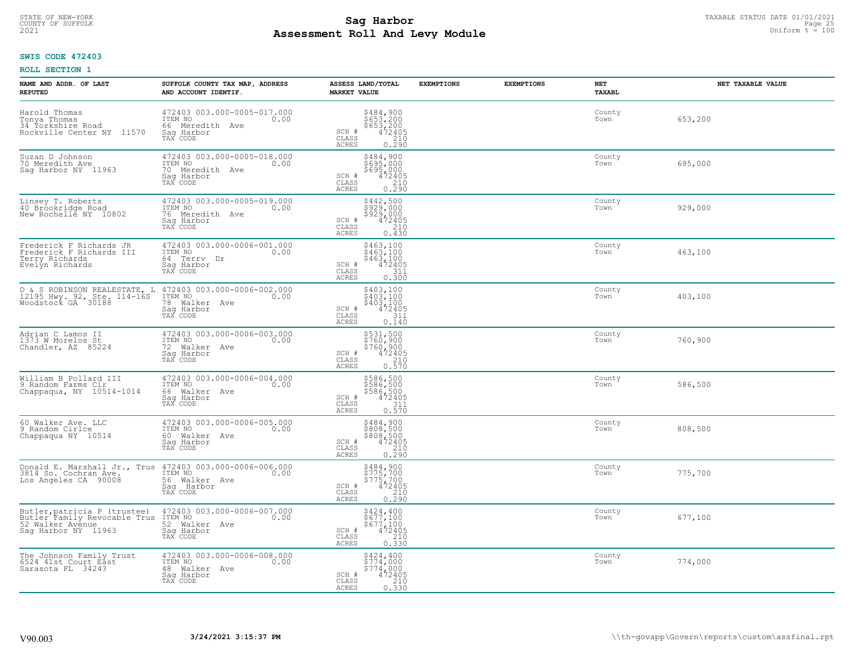# TAXABLE STATUS DATE 01/01/2021<br>COUNTY OF SUFFOLK Page 25 **Assessment Roll And Levy Module Example 2021** Uniform  $\frac{1}{8}$  = 100

## **SWIS CODE 472403**

| NAME AND ADDR. OF LAST<br><b>REPUTED</b>                                                                | SUFFOLK COUNTY TAX MAP, ADDRESS<br>AND ACCOUNT IDENTIF.                                        | ASSESS LAND/TOTAL<br><b>MARKET VALUE</b>                                                                                                             | <b>EXEMPTIONS</b> | <b>EXEMPTIONS</b> | <b>NET</b><br>TAXABL | NET TAXABLE VALUE |
|---------------------------------------------------------------------------------------------------------|------------------------------------------------------------------------------------------------|------------------------------------------------------------------------------------------------------------------------------------------------------|-------------------|-------------------|----------------------|-------------------|
| Harold Thomas<br>Tonya Thomas<br>34 Yorkshire Road<br>Rockville Center NY 11570                         | 472403 003.000-0005-017.000<br>ITEM NO<br>0.00<br>66 Meredith Ave<br>Saq Harbor<br>TAX CODE    | \$484,900<br>\$653,200<br>\$653,200<br>472405<br>210<br>SCH #<br>CLASS<br><b>ACRES</b><br>0.290                                                      |                   |                   | County<br>Town       | 653,200           |
| Suzan D Johnson<br>70 Meredith Ave<br>Saq Harbor NY 11963                                               | 472403 003.000-0005-018.000<br>ITEM NO<br>0.00<br>70 Meredith Ave<br>Saq Harbor<br>TAX CODE    | \$484,900<br>\$695,000<br>\$695,000<br>$\begin{array}{r} \n 472405 \\  \hline\n 210 \\  \hline\n 0.290\n \end{array}$<br>SCH #<br>CLASS<br>ACRES     |                   |                   | County<br>Town       | 695,000           |
| Linsey T. Roberts<br>40 Brookridge Road<br>New Rochelle NY 10802                                        | 472403 003.000-0005-019.000<br>ITEM NO<br>0.00<br>76<br>Meredith Ave<br>Saq Harbor<br>TAX CODE | \$442,500<br>\$929,000<br>\$929,000<br>SCH #<br>$\frac{472405}{210}$<br>$\mathtt{CLASS}$<br>0.430<br>ACRES                                           |                   |                   | County<br>Town       | 929,000           |
| Frederick F Richards JR<br>Frederick F Richards III<br>Terry Richards<br>Evelyn Richards                | 472403 003.000-0006-001.000<br>ITEM NO<br>0.00<br>64 Terry Dr<br>Saq Harbor<br>TAX CODE        | $\begin{array}{r} 5463,100 \\ 5463,100 \\ 5463,100 \\ 472405 \\ 311 \\ 0.300 \end{array}$<br>SCH #<br>CLASS<br>ACRES                                 |                   |                   | County<br>Town       | 463,100           |
| D & S ROBINSON REALESTATE, L<br>12195 Hwy. 92, Ste. 114-16S<br>Woodstock GA 30188                       | 472403 003.000-0006-002.000<br>ITEM NO<br>78<br>Walker Ave<br>Saq Harbor<br>TAX CODE           | \$403,100<br>$\begin{smallmatrix} 403,100\\ 403,100\\ 403,100\\ 472405\\ 311\\ 0.140 \end{smallmatrix}$<br>SCH #<br>$\mathtt{CLASS}$<br><b>ACRES</b> |                   |                   | County<br>Town       | 403,100           |
| Adrian C Lamos II<br>1373 W Morelos St<br>Chandler, AZ 85224                                            | 472403 003.000-0006-003.000<br>ITEM NO<br>0.00<br>72 Walker Ave<br>Saq Harbor<br>TAX CODE      | \$531,500<br>\$760,900<br>\$760,900<br>\$760,900<br>\$72405<br>0.570<br>SCH #<br>CLASS<br><b>ACRES</b>                                               |                   |                   | County<br>Town       | 760,900           |
| William B Pollard III<br>9 Random Farms Cir<br>Chappaqua, NY 10514-1014                                 | 472403 003.000-0006-004.000<br>ITEM NO<br>0.00<br>66<br>Walker Ave<br>Sag Harbor<br>TAX CODE   | \$586,500<br>\$586,500<br>\$586,500<br>\$472405<br>SCH #<br>CLASS<br>$\frac{311}{0.570}$<br>ACRES                                                    |                   |                   | County<br>Town       | 586,500           |
| 60 Walker Ave. LLC<br>9 Random Cirlce<br>Chappaqua NY 10514                                             | 472403 003.000-0006-005.000<br>TTEM NO 0.00<br>60 Walker Ave<br>Sag Harbor<br>TAX CODE         | \$484,900<br>\$808,500<br>\$808,500<br>472405<br>210<br>SCH #<br>CLASS<br>0.250<br><b>ACRES</b>                                                      |                   |                   | County<br>Town       | 808,500           |
| Donald E. Marshall Jr., Trus<br>3814 So. Cochran Ave.<br>Los Angeles CA 90008                           | 472403 003.000-0006-006.000<br>0.00 0.00<br>56 Walker Ave<br>Saq Harbor<br>TAX CODE            | \$484,900<br>\$775,700<br>\$775,700<br>\$775,700<br>\$210<br>\$210<br>\$290<br>SCH #<br>CLASS<br>ACRES                                               |                   |                   | County<br>Town       | 775,700           |
| Butler, patricia P (trustee)<br>Butler Family Revocable Trus<br>52 Walker Avenue<br>Sag Harbor NY 11963 | 472403 003.000-0006-007.000<br>ITEM NO<br>0.00<br>52 Walker Ave<br>Sag Harbor<br>TAX CODE      | $5424, 400$<br>$5677, 100$<br>$5677, 100$<br>$472405$<br>$210$<br>SCH #<br>CLASS<br>0.330<br><b>ACRES</b>                                            |                   |                   | County<br>Town       | 677,100           |
| The Johnson Family Trust<br>6524 41st Court East<br>Sarasota FL 34243                                   | 472403 003.000-0006-008.000<br>ITEM NO<br>0.00<br>48 Walker Ave<br>Saq Harbor<br>TAX CODE      | \$424,400<br>\$774,000<br>\$774,000<br>$472405$<br>210<br>SCH #<br>CLASS<br><b>ACRES</b><br>0.330                                                    |                   |                   | County<br>Town       | 774,000           |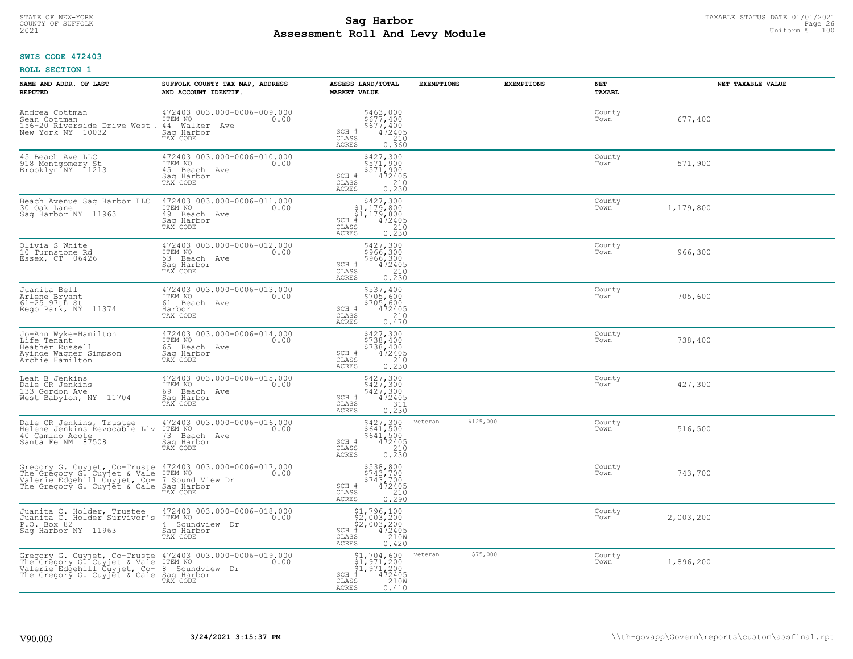# TAXABLE STATUS DATE 01/01/2021<br>COUNTY OF SUFFOLK Page 26 COUNTY OF SUFFOLK Page 26 **Assessment Roll And Levy Module Example 2021** Uniform  $\frac{1}{8}$  = 100

## **SWIS CODE 472403**

| NAME AND ADDR. OF LAST<br><b>REPUTED</b>                                                                                                                                                                | SUFFOLK COUNTY TAX MAP, ADDRESS<br>AND ACCOUNT IDENTIF.                                    | ASSESS LAND/TOTAL<br><b>MARKET VALUE</b>                                                                                                | <b>EXEMPTIONS</b>    | <b>EXEMPTIONS</b> | NET<br><b>TAXABL</b> | NET TAXABLE VALUE |
|---------------------------------------------------------------------------------------------------------------------------------------------------------------------------------------------------------|--------------------------------------------------------------------------------------------|-----------------------------------------------------------------------------------------------------------------------------------------|----------------------|-------------------|----------------------|-------------------|
| Andrea Cottman<br>Sean Cottman<br>156-20 Riverside Drive West<br>New York NY 10032                                                                                                                      | 472403 003.000-0006-009.000<br>ITEM NO<br>0.00<br>44 Walker Ave<br>Saq Harbor<br>TAX CODE  | \$463,000<br>\$677,400<br>\$677,400<br>SCH #<br>$\frac{472405}{210}$<br>CLASS<br><b>ACRES</b><br>0.360                                  |                      |                   | County<br>Town       | 677,400           |
| 45 Beach Ave LLC<br>918 Montgomery St<br>Brooklyn NY 11213                                                                                                                                              | 472403 003.000-0006-010.000<br>ITEM NO<br>0.00<br>45 Beach Ave<br>Saq Harbor<br>TAX CODE   | \$427,300<br>\$571,900<br>\$571,900<br>SCH #<br>472405<br>CLASS<br>$\frac{210}{0.230}$<br><b>ACRES</b>                                  |                      |                   | County<br>Town       | 571,900           |
| Beach Avenue Sag Harbor LLC<br>30 Oak Lane<br>Saq Harbor NY 11963                                                                                                                                       | 472403 003.000-0006-011.000<br>ITEM NO<br>0.00<br>49 Beach Ave<br>Saq Harbor<br>TAX CODE   | $$427,300$<br>$$1,179,800$<br>$$1,179,800$<br>$$472405$<br>$SCH$ #<br>CLASS<br>$\frac{210}{0.230}$<br>ACRES                             |                      |                   | County<br>Town       | 1,179,800         |
| Olivia S White<br>10 Turnstone Rd<br>Essex, CT 06426                                                                                                                                                    | 472403 003.000-0006-012.000<br>TTEM NO 0.00<br>53 Beach Ave<br>Saq Harbor<br>TAX CODE      | \$427,300<br>\$966,300<br>\$966,300<br>472405<br>SCH #<br>CLASS<br>210<br>$0, \overline{2}\,\overline{3}\,\overline{0}$<br><b>ACRES</b> |                      |                   | County<br>Town       | 966,300           |
| Juanita Bell<br>Arlene Bryant<br>61-25_97th St<br>Rego Park, NY 11374                                                                                                                                   | 472403 003.000-0006-013.000<br>ITEM NO<br>0.00<br>61 Beach Ave<br>Harbor<br>TAX CODE       | \$537,400<br>\$705,600<br>\$705,600<br>\$72405<br>\$710<br>SCH #<br>CLASS<br>0.470<br><b>ACRES</b>                                      |                      |                   | County<br>Town       | 705,600           |
| Jo-Ann Wyke-Hamilton<br>Life Tenant<br>Heather Russell<br>Ayinde Wagner Simpson<br>Archie Hamilton                                                                                                      | 472403 003.000-0006-014.000<br>ITEM NO<br>0.00<br>65 Beach Ave<br>Saq Harbor<br>TAX CODE   | \$427,300<br>\$738,400<br>\$738,400<br>472405<br>SCH #<br>210<br>CLASS<br>0.230<br><b>ACRES</b>                                         |                      |                   | County<br>Town       | 738,400           |
| Leah B Jenkins<br>Dale CR Jenkins<br>133 Gordon Ave<br>West Babylon, NY 11704                                                                                                                           | 472403 003.000-0006-015.000<br>ITEM NO<br>0.00<br>69 Beach Ave<br>Saq Harbor<br>TAX CODE   | \$427,300<br>\$427,300<br>\$427,300<br>472405<br>SCH #<br>CLASS<br>311<br>0.230<br><b>ACRES</b>                                         |                      |                   | County<br>Town       | 427,300           |
| Dale CR Jenkins, Trustee<br>Helene Jenkins Revocable Liv<br>40 Camino Acote<br>Santa Fe NM 87508                                                                                                        | 472403 003.000-0006-016.000<br>0.00 0.00<br>73 Beach Ave<br>Saq Harbor<br>TAX CODE         | \$427,300<br>\$641,500<br>\$641,500<br>472405<br>SCH #<br>$\mathtt{CLASS}$<br>210<br><b>ACRES</b><br>0.230                              | \$125,000<br>veteran |                   | County<br>Town       | 516,500           |
| Gregory G. Cuyjet, Co-Truste 472403 003.000-0006-017.000<br>The Gregory G. Cuyjet & Vale ITEM NO<br>Valerie Edgehill Cuyjet, Co- 7 Sound View Dr<br>The Gregory G. Cuyjet & Cale Saq Harbor<br>TAX CODE |                                                                                            | $\begin{array}{r} 538,800 \\ 5743,700 \\ 5743,700 \\ 472405 \\ 210 \\ \end{array}$<br>SCH #<br>CLASS<br><b>ACRES</b><br>0.290           |                      |                   | County<br>Town       | 743,700           |
| Juanita C. Holder, Trustee<br>Juanita C. Holder Survivor's<br>P.O. Box 82<br>Saq Harbor NY 11963                                                                                                        | 472403 003.000-0006-018.000<br>ITEM NO<br>0.00<br>4 Soundview Dr<br>Saq Harbor<br>TAX CODE | \$1,796,100<br>\$2,003,200<br>\$2,003,200<br># 472405<br>\$5 210M<br>$SCH$ #<br>CLASS<br><b>ACRES</b><br>0.420                          |                      |                   | County<br>Town       | 2,003,200         |
| Gregory G. Cuyjet, Co-Truste 472403 003.000-0006-019.000<br>The Gregory G. Cuyjet & Vale ITEM NO<br>Valerie Edgehill Cuyjet, Co- 8 Soundview Dr<br>The Gregory G. Cuyjet & Cale Sag Harbor              | TAX CODE                                                                                   | $$1,704,600$<br>$$1,971,200$<br>$$1,971,200$<br>472405<br>210W<br>SCH #<br>CLASS<br><b>ACRES</b><br>0.410                               | \$75,000<br>veteran  |                   | County<br>Town       | 1,896,200         |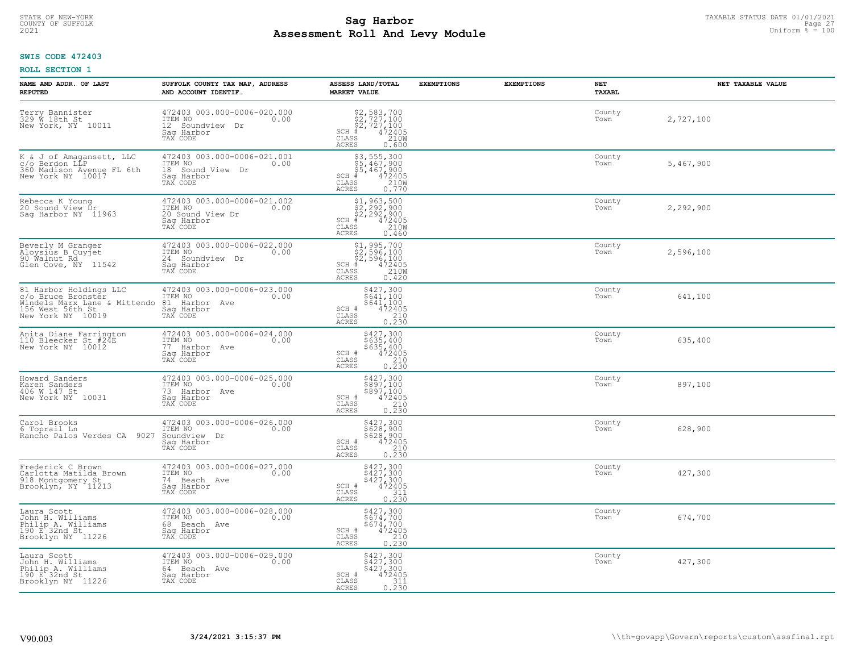# TAXABLE STATUS DATE 01/01/2021<br>COUNTY OF SUFFOLK Page 27 **Sag Harbor Sag Harbor Assessment Roll And Levy Module Example 2021** Uniform  $\frac{1}{8}$  = 100

## **SWIS CODE 472403**

| NAME AND ADDR. OF LAST<br><b>REPUTED</b>                                                                              | SUFFOLK COUNTY TAX MAP, ADDRESS<br>AND ACCOUNT IDENTIF.                                         | ASSESS LAND/TOTAL<br><b>MARKET VALUE</b>                                                                                                                                | <b>EXEMPTIONS</b> | <b>EXEMPTIONS</b> | <b>NET</b><br><b>TAXABL</b> | NET TAXABLE VALUE |
|-----------------------------------------------------------------------------------------------------------------------|-------------------------------------------------------------------------------------------------|-------------------------------------------------------------------------------------------------------------------------------------------------------------------------|-------------------|-------------------|-----------------------------|-------------------|
| Terry Bannister<br>329 W 18th St<br>New York, NY 10011                                                                | 472403 003.000-0006-020.000<br>ITEM NO<br>0.00<br>12 Soundview Dr<br>Saq Harbor<br>TAX CODE     | $$2, 583, 700$<br>$$2, 727, 100$<br>$$2, 727, 100$<br>$472405$<br>$$2100$<br>$SCH$ #<br>$\mathtt{CLASS}$<br><b>ACRES</b><br>0.600                                       |                   |                   | County<br>Town              | 2,727,100         |
| K & J of Amagansett, LLC<br>c/o Berdon LLP<br>360 Madison Avenue FL 6th<br>New York NY 10017                          | 472403 003.000-0006-021.001<br>ITEM NO<br>0.00<br>18 Sound View<br>Dr<br>Sag Harbor<br>TAX CODE | $\begin{array}{r} 53,555,300 \\ 55,467,900 \\ 55,467,900 \\ * \\ * \\ 55 & 210W \\ * \\ 55 & 0.770 \\ * \\ 65 & 0.770 \\ \end{array}$<br>SCH #<br>CLASS<br><b>ACRES</b> |                   |                   | County<br>Town              | 5,467,900         |
| Rebecca K Young<br>20 Sound View Dr<br>Saq Harbor NY 11963                                                            | 472403 003.000-0006-021.002<br>ITEM NO<br>0.00<br>20 Sound View Dr<br>Sag Harbor<br>TAX CODE    | $$2, 292, 900$<br>$$2, 292, 900$<br>$$2, 292, 900$<br>$472405$<br>$$210M$<br>SCH #<br>CLASS<br><b>ACRES</b><br>0.460                                                    |                   |                   | County<br>Town              | 2,292,900         |
| Beverly M Granger<br>Aloysius B Cuyjet<br>90 Walnut Rd<br>Glen Cove, NY 11542                                         | 472403 003.000-0006-022.000<br>ITEM NO<br>0.00<br>24 Soundview Dr<br>Saq Harbor<br>TAX CODE     | \$1,995,700<br>\$2,596,100<br>\$2,596,100<br># 472405<br>\$5 210M<br>$SCH$ #<br>CLASS<br><b>ACRES</b><br>0.420                                                          |                   |                   | County<br>Town              | 2,596,100         |
| 81 Harbor Holdings LLC<br>c/o Bruce Bronster<br>Windels Marx Lane & Mittendo<br>156 West 56th St<br>New York NY 10019 | 472403 003.000-0006-023.000<br>ITEM NO<br>0.00<br>81 Harbor Ave<br>Saq Harbor<br>TAX CODE       | \$427,300<br>\$641,100<br>\$641,100<br>472405<br>SCH #<br>CLASS<br>$\begin{array}{c} 210 \\ 0.230 \end{array}$<br><b>ACRES</b>                                          |                   |                   | County<br>Town              | 641,100           |
| Anita Diane Farrington<br>110 Bleecker St #24E<br>New York NY 10012                                                   | 472403 003.000-0006-024.000<br>10.00 0.00<br>77 Harbor Ave<br>Saq Harbor<br>TAX CODE            | \$427,300<br>\$635,400<br>\$635,400<br>472405<br>SCH #<br>CLASS<br>210<br>0.230<br><b>ACRES</b>                                                                         |                   |                   | County<br>Town              | 635,400           |
| Howard Sanders<br>Karen Sanders<br>406 W 147 St<br>New York NY 10031                                                  | 472403 003.000-0006-025.000<br>ITEM NO 0.00<br>73 Harbor Ave<br>Sag Harbor<br>TAX CODE          | \$427,300<br>\$897,100<br>\$897,100<br>472405<br>SCH #<br>CLASS<br>210<br>0.230<br><b>ACRES</b>                                                                         |                   |                   | County<br>Town              | 897,100           |
| Carol Brooks<br>6 Toprail Ln<br>Rancho Palos Verdes CA<br>9027                                                        | 472403 003.000-0006-026.000<br>0.00 0.00<br>Soundview Dr<br>Saq Harbor<br>TAX CODE              | \$427,300<br>\$628,900<br>\$628,900<br>472405<br>210<br>SCH #<br>CLASS<br><b>ACRES</b><br>0.230                                                                         |                   |                   | County<br>Town              | 628,900           |
| Frederick C Brown<br>Carlotta Matilda Brown<br>918 Montgomery St<br>Brooklyn, NY 11213                                | 472403 003.000-0006-027.000<br>TTEM NO 0.00<br>74 Beach Ave<br>Saq Harbor<br>TAX CODE           | \$427,300<br>\$427,300<br>\$427,300<br>SCH #<br>472405<br>CLASS<br>311<br><b>ACRES</b><br>0.230                                                                         |                   |                   | County<br>Town              | 427,300           |
| Laura Scott<br>John H. Williams<br>Philip A. Williams<br>190 E 32nd St<br>Brooklyn NY 11226                           | 472403 003.000-0006-028.000<br>ITEM NO<br>0.00<br>68 Beach Ave<br>Saq Harbor<br>TAX CODE        | \$427,300<br>\$674,700<br>\$674,700<br>472405<br>SCH #<br>CLASS<br>$\begin{array}{c} 210 \\ 0.230 \end{array}$<br><b>ACRES</b>                                          |                   |                   | County<br>Town              | 674,700           |
| Laura Scott<br>John H. Williams<br>Philip A. Williams<br>190 E <sup>2</sup> 32nd St<br>Brooklyn NY 11226              | 472403 003.000-0006-029.000<br>10.00 0.00<br>64 Beach Ave<br>Saq Harbor<br>TAX CODE             | \$427,300<br>\$427,300<br>\$427,300<br>SCH #<br>472405<br>CLASS<br>311<br>0.230<br><b>ACRES</b>                                                                         |                   |                   | County<br>Town              | 427,300           |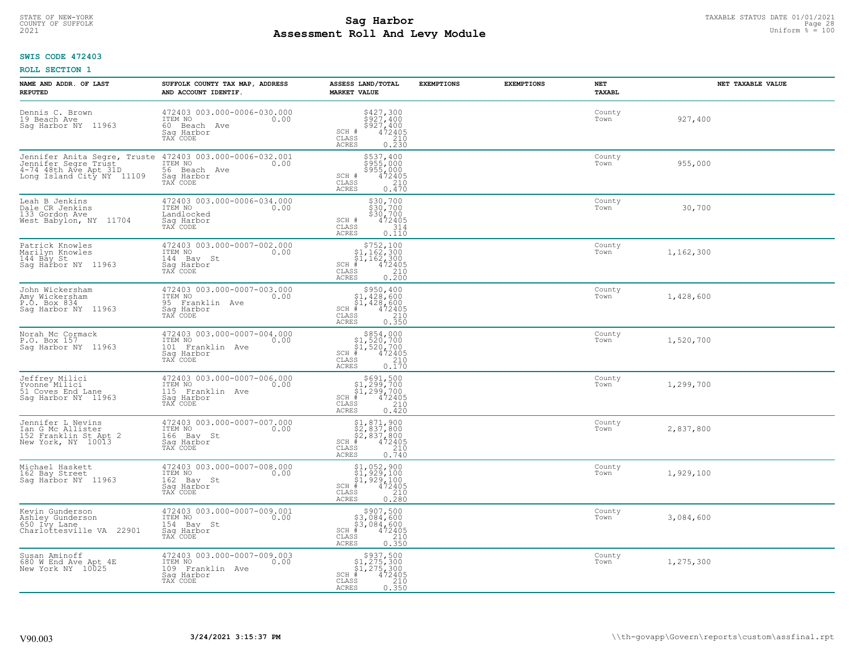# TAXABLE STATUS DATE 01/01/2021<br>COUNTY OF SUFFOLK Page 28 COUNTY OF SUFFOLK Page 28 **Assessment Roll And Levy Module Example 2021** Uniform  $\frac{1}{8}$  = 100

## **SWIS CODE 472403**

| NAME AND ADDR. OF LAST<br><b>REPUTED</b>                                                 | SUFFOLK COUNTY TAX MAP, ADDRESS<br>AND ACCOUNT IDENTIF.                                                                                 | ASSESS LAND/TOTAL<br><b>MARKET VALUE</b>                                                                                                                                                       | <b>EXEMPTIONS</b> | <b>EXEMPTIONS</b> | NET<br><b>TAXABL</b> | NET TAXABLE VALUE |
|------------------------------------------------------------------------------------------|-----------------------------------------------------------------------------------------------------------------------------------------|------------------------------------------------------------------------------------------------------------------------------------------------------------------------------------------------|-------------------|-------------------|----------------------|-------------------|
| Dennis C. Brown<br>19 Beach Ave<br>Sag Harbor NY 11963                                   | 472403 003.000-0006-030.000<br>ITEM NO<br>0.00<br>60 Beach Ave<br>Saq Harbor<br>TAX CODE                                                | $\begin{array}{c}\n $427,300 \\  $927,400 \\  $927,400 \\  $472405 \\  210\n \end{array}$<br>SCH #<br>CLASS<br><b>ACRES</b><br>0.230                                                           |                   |                   | County<br>Town       | 927,400           |
| 4-74 48th Ave Apt 31D<br>Long Island City NY 11109                                       | Jennifer Anita Segre, Truste 472403 003.000-0006-032.001<br>Jennifer Segre Trust ITEM NO 0.00<br>56 Beach Ave<br>Saq Harbor<br>TAX CODE | \$537,400<br>\$955,000<br>\$955,000<br>SCH #<br>472405<br>CLASS<br>210<br>0.470<br><b>ACRES</b>                                                                                                |                   |                   | County<br>Town       | 955,000           |
| Leah B Jenkins<br>Dale CR Jenkins<br>133 Gordon Ave<br>West Babylon, NY 11704            | 472403 003.000-0006-034.000<br>ITEM NO<br>0.00<br>Landlocked<br>Saq Harbor<br>TAX CODE                                                  | \$30,700<br>\$30,700<br>\$30,700<br>\$472405<br>SCH #<br>CLASS<br>314<br>0.110<br>ACRES                                                                                                        |                   |                   | County<br>Town       | 30,700            |
| Patrick Knowles<br>Marilyn Knowles<br>144 Bay St<br>Sag Harbor NY 11963                  | 472403 003.000-0007-002.000<br>TTEM NO 0.00<br>144 Bay St<br>Saq Harbor<br>TAX CODE                                                     | $$752,100$<br>$$1,162,300$<br>$$1,162,300$<br>$*1,162,300$<br>$*1,162,300$<br>$SCH$ #<br>CLASS<br>0.210<br><b>ACRES</b>                                                                        |                   |                   | County<br>Town       | 1,162,300         |
| John Wickersham<br>Amy Wickersham<br>P.O. Box 834<br>Sag Harbor NY 11963                 | 472403 003.000-0007-003.000<br>ITEM NO<br>0.00<br>95 Franklin Ave<br>Sag Harbor<br>TAX CODE                                             | $$950, 400$<br>$$1, 428, 600$<br>$$1, 428, 600$<br>$472405$<br>$$210$<br>$SCH$ #<br>CLASS<br>0.350<br><b>ACRES</b>                                                                             |                   |                   | County<br>Town       | 1,428,600         |
| Norah Mc Cormack<br>P.O. Box 157<br>Saq Harbor NY 11963                                  | 472403 003.000-0007-004.000<br>ITEM NO<br>0.00<br>101 Franklin Ave<br>Saq Harbor<br>TAX CODE                                            | $\begin{array}{r}  \  \  \, 854,000\\  \  \  51,520,700\\  \  \  51,520,700\\  \  \  \, 472405\\ \  \  \, 85\\ \  \  \, 85\\ \  \  \, 0.170\\ \end{array}$<br>$SCH$ #<br>CLASS<br><b>ACRES</b> |                   |                   | County<br>Town       | 1,520,700         |
| Jeffrey Milici<br>Yvonne <sup>-</sup> Milici<br>51 Coves End Lane<br>Sag Harbor NY 11963 | 472403 003.000-0007-006.000<br>ITEM NO<br>115 Franklin Ave<br>0.00<br>Saq Harbor<br>TAX CODE                                            | $$691,500$<br>$$1,299,700$<br>$$1,299,700$<br>$*1$<br>$472405$<br>$SCH$ #<br>CLASS<br>210<br>0.420<br><b>ACRES</b>                                                                             |                   |                   | County<br>Town       | 1,299,700         |
| Jennifer L Nevins<br>Ian G Mc Allister<br>152 Franklin St Apt 2<br>New York, NY 10013    | 472403 003.000-0007-007.000<br>TTEM NO 0.00<br>166 Bay St<br>Saq Harbor<br>TAX CODE                                                     | $$1,871,900$<br>$$2,837,800$<br>$$2,837,800$<br>$$472405$<br>$SCH$ #<br>CLASS<br>210<br><b>ACRES</b><br>0.740                                                                                  |                   |                   | County<br>Town       | 2,837,800         |
| Michael Haskett<br>162 Bay Street<br>Saq Harbor NY 11963                                 | $\begin{array}{cccc}\n472403 & 003.000-0007-008.000 \\ \text{ITEM NO} & 0.00\n\end{array}$<br>162 Bay St<br>Saq Harbor<br>TAX CODE      | $$1, 052, 900$<br>$$1, 929, 100$<br>$$1, 929, 100$<br>$*$ 472405<br>$SCH$ #<br>CLASS<br>210<br><b>ACRES</b><br>0.280                                                                           |                   |                   | County<br>Town       | 1,929,100         |
| Kevin Gunderson<br>Ashley Gunderson<br>650 Ivy Lane<br>Charlottesville VA 22901          | 472403 003.000-0007-009.001<br>ITEM NO<br>0.00<br>154 Bay St<br>Sag Harbor<br>TAX CODE                                                  | $$907,500$<br>$$3,084,600$<br>$$3,084,600$<br>$$472405$<br>$$35$<br>$$210$<br>$SCH$ #<br>CLASS<br>0.350<br><b>ACRES</b>                                                                        |                   |                   | County<br>Town       | 3,084,600         |
| Susan Aminoff<br>680 W End Ave Apt 4E<br>New York NY 10025                               | 472403 003.000-0007-009.003<br>ITEM NO<br>0.00<br>109 Franklin Ave<br>Sag Harbor<br>TAX CODE                                            | $$937,500$<br>$$1,275,300$<br>$$1,275,300$<br>$$472405$<br>$SCH$ #<br>CLASS<br>210<br><b>ACRES</b><br>0.350                                                                                    |                   |                   | County<br>Town       | 1,275,300         |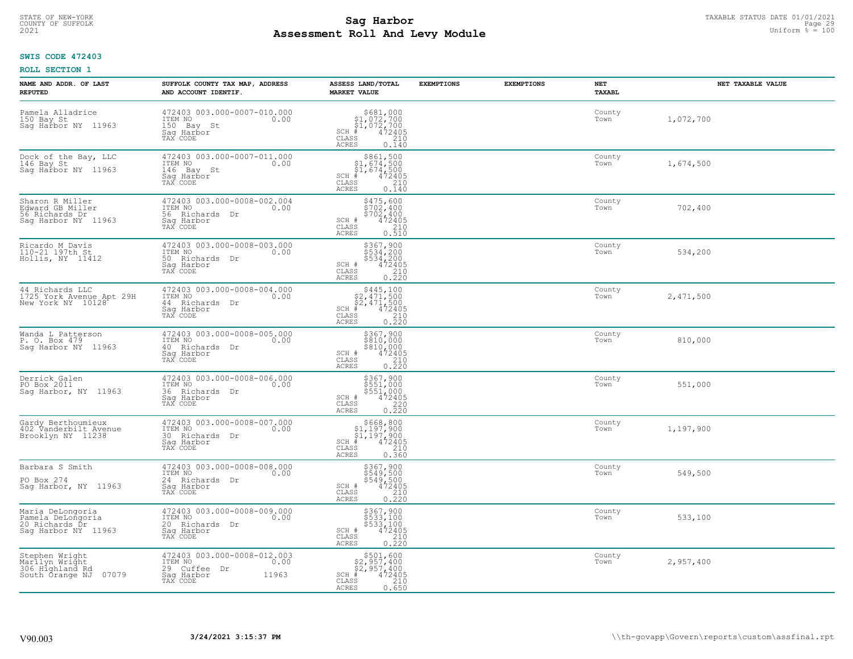# TAXABLE STATUS DATE 01/01/2021 **Sag Harbor** COUNTY OF SUFFOLK Page 29 **Assessment Roll And Levy Module Example 2021** Uniform  $\frac{1}{8}$  = 100

## **SWIS CODE 472403**

| NAME AND ADDR. OF LAST<br><b>REPUTED</b>                                        | SUFFOLK COUNTY TAX MAP, ADDRESS<br>AND ACCOUNT IDENTIF.                                           | ASSESS LAND/TOTAL<br><b>MARKET VALUE</b>                                                                                                      | <b>EXEMPTIONS</b> | <b>EXEMPTIONS</b> | NET<br><b>TAXABL</b> | NET TAXABLE VALUE |
|---------------------------------------------------------------------------------|---------------------------------------------------------------------------------------------------|-----------------------------------------------------------------------------------------------------------------------------------------------|-------------------|-------------------|----------------------|-------------------|
| Pamela Alladrice<br>150 Bay St<br>Sag Harbor NY 11963                           | 472403 003.000-0007-010.000<br>ITEM NO<br>0.00<br>150 Bay St<br>Saq Harbor<br>TAX CODE            | $$681,000$<br>$$1,072,700$<br>$$1,072,700$<br>$472405$<br>$$240$<br>$$240$<br>$SCH$ #<br>CLASS<br><b>ACRES</b><br>0.140                       |                   |                   | County<br>Town       | 1,072,700         |
| Dock of the Bay, LLC<br>146 Bay St<br>Saq Harbor NY 11963                       | 472403 003.000-0007-011.000<br>ITEM NO<br>0.00<br>146 Bay St<br>Sag Harbor<br>TAX CODE            | $$861,500$<br>$$1,674,500$<br>$$1,674,500$<br>$*1,674,500$<br>$*1,472405$<br>SCH #<br>CLASS<br>210<br>0.140<br>ACRES                          |                   |                   | County<br>Town       | 1,674,500         |
| Sharon R Miller<br>Edward GB Miller<br>56 Richards Dr<br>Sag Harbor NY 11963    | 472403 003.000-0008-002.004<br>ITEM NO<br>0.00<br>56 Richards Dr<br>Sag Harbor<br>TAX CODE        | $$702, 400$<br>$$702, 400$<br>$$702, 400$<br>$$472405$<br>$$210$<br>SCH #<br>CLASS<br>0.510<br><b>ACRES</b>                                   |                   |                   | County<br>Town       | 702,400           |
| Ricardo M Davis<br>110-21 197th St<br>Hollis, NY 11412                          | 472403 003.000-0008-003.000<br>ITEM NO<br>0.00<br>50 Richards Dr<br>Saq Harbor<br>TAX CODE        | \$367,900<br>\$534,200<br>\$534,200<br>SCH #<br>$^{472}_{210}$<br>0.220<br>0.220<br>CLASS<br><b>ACRES</b>                                     |                   |                   | County<br>Town       | 534,200           |
| 44 Richards LLC<br>1725 York Avenue Apt 29H<br>New York NY 10128                | 472403 003.000-0008-004.000<br>ITEM NO<br>0.00<br>44 Richards Dr<br>Saq Harbor<br>TAX CODE        | $$445,100$<br>$$2,471,500$<br>$$2,471,500$<br>$*$ $472405$<br>$SCH$ #<br>CLASS<br>$\begin{array}{c} 210 \\ 0.220 \end{array}$<br><b>ACRES</b> |                   |                   | County<br>Town       | 2,471,500         |
| Wanda L Patterson<br>P. O. Box 479<br>Sag Harbor NY<br>11963                    | 472403 003.000-0008-005.000<br>ITEM NO<br>0.00<br>40 Richards<br>Dr<br>Saq Harbor<br>TAX CODE     | \$367,900<br>\$810,000<br>\$810,000<br>472405<br>SCH #<br>CLASS<br>$\frac{210}{0.220}$<br>ACRES                                               |                   |                   | County<br>Town       | 810,000           |
| Derrick Galen<br>PO Box 2011<br>Sag Harbor, NY 11963                            | 472403 003.000-0008-006.000<br>TTEM NO 0.00<br>36 Richards Dr<br>Sag Harbor<br>TAX CODE           | \$367,900<br>\$551,000<br>\$551,000<br>472405<br>SCH #<br>CLASS<br>$\begin{array}{c} 220 \\ 0.220 \end{array}$<br><b>ACRES</b>                |                   |                   | County<br>Town       | 551,000           |
| Gardy Berthoumieux<br>402 Vanderbilt Avenue<br>Brooklyn NY 11238                | 472403 003.000-0008-007.000<br>ITEM NO<br>0.00<br>30 Richards<br>Dr<br>Saq Harbor<br>TAX CODE     | $$668, 800$<br>$$1, 197, 900$<br>$$1, 197, 900$<br>$472405$<br>$$210$<br>$SCH$ #<br>CLASS<br><b>ACRES</b><br>0.360                            |                   |                   | County<br>Town       | 1,197,900         |
| Barbara S Smith<br>PO Box 274<br>Sag Harbor, NY 11963                           | 472403 003.000-0008-008.000<br>ITEM NO<br>0.00<br>24 Richards Dr<br>Saq Harbor<br>TAX CODE        | \$367,900<br>\$549,500<br>\$549,500<br>SCH #<br>472405<br>CLASS<br>$\frac{210}{0.220}$<br><b>ACRES</b>                                        |                   |                   | County<br>Town       | 549,500           |
| Maria DeLongoria<br>Pamela DeLongoria<br>20 Richards Dr<br>Saq Harbor NY 11963  | 472403 003.000-0008-009.000<br>ITEM NO<br>0.00<br>20 Richards Dr<br>Saq Harbor<br>TAX CODE        | \$367,900<br>\$533,100<br>\$533,100<br>472405<br>SCH #<br>CLASS<br>$\frac{210}{0.220}$<br><b>ACRES</b>                                        |                   |                   | County<br>Town       | 533,100           |
| Stephen Wright<br>Marllyn Wright<br>306 Hìghland Rd<br>07079<br>South Örange NJ | 472403 003.000-0008-012.003<br>ITEM NO<br>0.00<br>29 Cuffee Dr<br>Sag Harbor<br>11963<br>TAX CODE | $$501,600$<br>$$2,957,400$<br>$$2,957,400$<br>$$472405$<br>$SCH$ $#$<br>CLASS<br>210<br>ACRES<br>0.650                                        |                   |                   | County<br>Town       | 2,957,400         |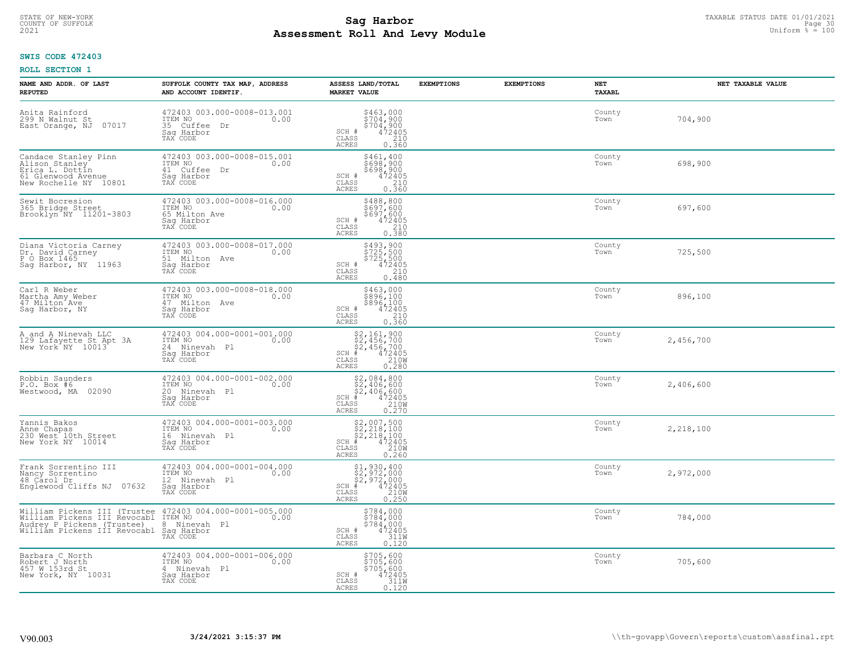# TAXABLE STATUS DATE 01/01/2021<br>COUNTY OF SUFFOLK Page 30 COUNTY OF SUFFOLK Page 30 **Assessment Roll And Levy Module Example 2021** Uniform  $\frac{1}{8}$  = 100

## **SWIS CODE 472403**

| NAME AND ADDR. OF LAST<br><b>REPUTED</b>                                                                                                          | SUFFOLK COUNTY TAX MAP, ADDRESS<br>AND ACCOUNT IDENTIF.                                     | ASSESS LAND/TOTAL<br><b>MARKET VALUE</b>                                                                                    | <b>EXEMPTIONS</b> | <b>EXEMPTIONS</b> | NET<br>TAXABL  | NET TAXABLE VALUE |
|---------------------------------------------------------------------------------------------------------------------------------------------------|---------------------------------------------------------------------------------------------|-----------------------------------------------------------------------------------------------------------------------------|-------------------|-------------------|----------------|-------------------|
| Anita Rainford<br>299 N Walnut St<br>East Orange, NJ<br>07017                                                                                     | 472403 003.000-0008-013.001<br>ITEM NO<br>0.00<br>35 Cuffee<br>Dr<br>Saq Harbor<br>TAX CODE | $$463,000$<br>$$704,900$<br>$$704,900$<br>$$472405$<br>210<br>SCH #<br>CLASS<br><b>ACRES</b><br>0.360                       |                   |                   | County<br>Town | 704,900           |
| Candace Stanley Pinn<br>Alison Stanley<br>Erica L. Dottin<br>61 Glenwood Avenue<br>New Rochelle NY 10801                                          | 472403 003.000-0008-015.001<br>ITEM NO<br>0.00<br>41 Cuffee Dr<br>Saq Harbor<br>TAX CODE    | \$461,400<br>\$698,900<br>\$698,900<br>$\frac{472405}{210}$<br>SCH #<br>CLASS<br><b>ACRES</b><br>0.360                      |                   |                   | County<br>Town | 698,900           |
| Sewit Bocresion<br>365 Bridge Street<br>Brooklyn NY 11201-3803                                                                                    | 472403 003.000-0008-016.000<br>ITEM NO<br>0.00<br>65 Milton Ave<br>Saq Harbor<br>TAX CODE   | \$488,800<br>\$697,600<br>\$697,600<br>SCH #<br>472405<br>210<br>CLASS<br>0.380<br>ACRES                                    |                   |                   | County<br>Town | 697,600           |
| Diana Victoria Carney<br>Dr. David Carney<br>P O Box 1465<br>Sag Harbor, NY 11963                                                                 | 472403 003.000-0008-017.000<br>TTEM NO 0.00<br>51 Milton Ave<br>Sag Harbor<br>TAX CODE      | \$493,900<br>\$725,500<br>\$725,500<br>\$72405<br>\$210<br>SCH #<br>CLASS<br>ACRES<br>0.480                                 |                   |                   | County<br>Town | 725,500           |
| Carl R Weber<br>Martha Amy Weber<br>47 Milton Ave<br>Saq Harbor, NY                                                                               | 472403 003.000-0008-018.000<br>ITEM NO<br>0.00<br>47 Milton Ave<br>Saq Harbor<br>TAX CODE   | \$463,000<br>$\begin{array}{r} 7896,100 \\ 896,100 \\ 472405 \\ 210 \end{array}$<br>SCH #<br>CLASS<br><b>ACRES</b><br>0.360 |                   |                   | County<br>Town | 896,100           |
| A and A Ninevah LLC<br>129 Lafayette St Apt 3A<br>New York <sup>"</sup> NY 10013                                                                  | 472403 004.000-0001-001.000<br>ITEM NO<br>0.00<br>24 Ninevah Pl<br>Saq Harbor<br>TAX CODE   | $$2,161,900\n$2,456,700\n$2,456,700\n# 472405\n35 210M$<br>$SCH$ #<br>CLASS<br>0.280<br><b>ACRES</b>                        |                   |                   | County<br>Town | 2,456,700         |
| Robbin Saunders<br>P.O. Box #6<br>Westwood, MA 02090                                                                                              | 472403 004.000-0001-002.000<br>ITEM NO<br>0.00<br>20 Ninevah Pl<br>Saq Harbor<br>TAX CODE   | $$2,084,800$<br>$$2,406,600$<br>$$4,406,600$<br>$472405$<br>$$210M$<br>$SCH$ #<br>$\mathtt{CLASS}$<br>0.270<br><b>ACRES</b> |                   |                   | County<br>Town | 2,406,600         |
| Yannis Bakos<br>Anne Chapas<br>230 West 10th Street<br>New York NY 10014                                                                          | 472403 004.000-0001-003.000<br>ITEM NO<br>16 Ninevah Pl<br>Saq Harbor<br>TAX CODE           | $$2,007,500$<br>$$2,218,100$<br>$$2,218,100$<br>$472405$<br>$$210M$<br>$SCH$ #<br>CLASS<br><b>ACRES</b><br>0.260            |                   |                   | County<br>Town | 2,218,100         |
| Frank Sorrentino III<br>Nancy Sorrentino<br>48 Carol Dr<br>Englewood Cliffs NJ 07632                                                              | 472403 004.000-0001-004.000<br>TTEM NO 0.00<br>12 Ninevah Pl<br>Saq Harbor<br>TAX CODE      | $$2,972,000$<br>$$2,972,000$<br>$$4,972,000$<br>$$4,92405$<br>$$210M$<br>$SCH$ #<br>CLASS<br><b>ACRES</b><br>0.250          |                   |                   | County<br>Town | 2,972,000         |
| William Pickens III (Trustee<br>William Pickens III Revocabl<br>Audrey P Pickens (Trustee)<br>William Pickens III Revocabl Sag Harbor<br>TAX CODE | 472403 004.000-0001-005.000<br>ITEM NO<br>0.00<br>8 Ninevah Pl                              | $\begin{array}{c} $784,000 $784,000 $784,000 472405 3110 3110 \end{array}$<br>$SCH$ $#$<br>CLASS<br><b>ACRES</b><br>0.120   |                   |                   | County<br>Town | 784,000           |
| Barbara C North<br>Robert J North<br>457 W 153rd St<br>New York, NY 10031                                                                         | 472403 004.000-0001-006.000<br>ITEM NO<br>0.00<br>4 Ninevah Pl<br>Sag Harbor<br>TAX CODE    | \$705,600<br>\$705,600<br>\$705,600<br>SCH #<br>472405<br>311W<br>CLASS<br><b>ACRES</b><br>0.120                            |                   |                   | County<br>Town | 705,600           |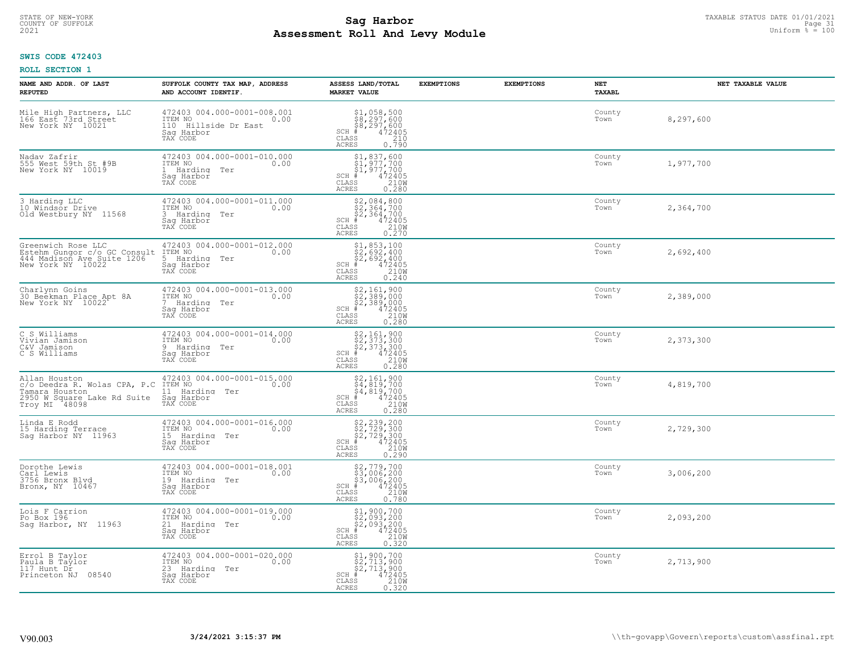# TAXABLE STATUS DATE 01/01/2021<br>COUNTY OF SUFFOLK Page 31 COUNTY OF SUFFOLK Page 31 **Assessment Roll And Levy Module Example 2021** Uniform  $\frac{1}{8}$  = 100

## **SWIS CODE 472403**

| NAME AND ADDR. OF LAST<br><b>REPUTED</b>                                                                        | SUFFOLK COUNTY TAX MAP, ADDRESS<br>AND ACCOUNT IDENTIF.                                          | ASSESS LAND/TOTAL<br><b>MARKET VALUE</b>                                                                                                                                                                                                        | <b>EXEMPTIONS</b> | <b>EXEMPTIONS</b> | NET<br><b>TAXABL</b> | NET TAXABLE VALUE |
|-----------------------------------------------------------------------------------------------------------------|--------------------------------------------------------------------------------------------------|-------------------------------------------------------------------------------------------------------------------------------------------------------------------------------------------------------------------------------------------------|-------------------|-------------------|----------------------|-------------------|
| Mile High Partners, LLC<br>166 East 73rd Street<br>New York NY 10021                                            | 472403 004.000-0001-008.001<br>ITEM NO<br>0.00<br>110 Hillside Dr East<br>Saq Harbor<br>TAX CODE | $$1,058,500$<br>$$8,297,600$<br>$$8,297,600$<br>$472405$<br>$$2405$<br>$$240$<br>$SCH$ #<br>CLASS<br><b>ACRES</b><br>0.790                                                                                                                      |                   |                   | County<br>Town       | 8,297,600         |
| Nadav Zafrir<br>555 West 59th St #9B<br>New York NY 10019                                                       | 472403 004.000-0001-010.000<br>ITEM NO<br>0.00<br>Harding Ter<br>Saq Harbor<br>TAX CODE          | $$1,837,600$<br>$$1,977,700$<br>$$1,977,700$<br>$*$<br>$472405$<br>$2100$<br>$SCH$ #<br>CLASS<br>0.280<br><b>ACRES</b>                                                                                                                          |                   |                   | County<br>Town       | 1,977,700         |
| 3 Harding LLC<br>10 Windsor Drive<br>Old Westbury NY 11568                                                      | 472403 004.000-0001-011.000<br>ITEM NO<br>0.00<br>3 Harding Ter<br>Saq Harbor<br>TAX CODE        | $$2,084,800$<br>$$2,364,700$<br>$$2,364,700$<br>$$472405$<br>$SCH$ #<br>CLASS<br>210W<br>0.270<br><b>ACRES</b>                                                                                                                                  |                   |                   | County<br>Town       | 2,364,700         |
| Greenwich Rose LLC<br>Estehm Gungor c/o GC Consult<br>444 Madison Ave Suite 1206<br>New York NY 10022           | 472403 004.000-0001-012.000<br>ITEM NO<br>0.00<br>5 Harding Ter<br>Saq Harbor<br>TAX CODE        | \$1,853,100<br>\$2,692,400<br>\$2,692,400<br>$SCH$ #<br>$\left[\begin{smallmatrix} \bar{4} & 7 & 2 & \bar{4} & 0 & 5 \\ 2 & 1 & 0 & 0 \\ 2 & 1 & 0 & 0 \end{smallmatrix}\right]$<br>CLASS<br><b>ACRES</b><br>0.240                              |                   |                   | County<br>Town       | 2,692,400         |
| Charlynn Goins<br>30 Beekman Place Apt 8A<br>New York NY 10022                                                  | 472403 004.000-0001-013.000<br>ITEM NO<br>0.00<br>7 Harding Ter<br>Saq Harbor<br>TAX CODE        | $\begin{array}{r} \texttt{\$2,161,900}\ \\ \texttt{\$2,389,000}\ \\ \texttt{\$2,389,000}\ \\ \texttt{\$472405}\ \\ \texttt{\$5} \qquad \qquad 210\text{W}\ \\ \texttt{\$5} \qquad \qquad 0.280 \end{array}$<br>$SCH$ #<br>CLASS<br><b>ACRES</b> |                   |                   | County<br>Town       | 2,389,000         |
| C S Williams<br>Vivian Jamison<br>C&V Jamison<br>C S Williams                                                   | 472403 004.000-0001-014.000<br>ITEM NO<br>0.00<br>9 Harding<br>Ter<br>Saq Harbor<br>TAX CODE     | $$2,161,900\n$2,373,300\n$2,373,300\n# 472405\n 472405\n 0.280$<br>SCH #<br>CLASS<br>ACRES                                                                                                                                                      |                   |                   | County<br>Town       | 2,373,300         |
| Allan Houston<br>c/o Deedra R. Wolas CPA, P.C<br>Tamara Houston<br>2950 W Square Lake Rd Suite<br>Troy MI 48098 | 472403 004.000-0001-015.000<br>ITEM NO<br>0.00<br>11 Harding Ter<br>Sag Harbor<br>TAX CODE       | $$2,161,900$<br>$$4,819,700$<br>$$4,819,700$<br>$472405$<br>$$2100$<br>$SCH$ #<br>CLASS<br>0.280<br><b>ACRES</b>                                                                                                                                |                   |                   | County<br>Town       | 4,819,700         |
| Linda E Rodd<br>15 Harding Terrace<br>Sag Harbor NY 11963                                                       | 472403 004.000-0001-016.000<br>ITEM NO<br>0.00<br>15 Harding<br>Ter<br>Saq Harbor<br>TAX CODE    | $$2, 239, 200$<br>$$2, 729, 300$<br>$$2, 729, 300$<br>$$472405$<br>$$2100$<br>SCH<br>CLASS<br><b>ACRES</b><br>0.290                                                                                                                             |                   |                   | County<br>Town       | 2,729,300         |
| Dorothe Lewis<br>Carl Lewis<br>3756 Bronx Blvd<br>Bronx, NY 10467                                               | 472403 004.000-0001-018.001<br>ITEM NO<br>0.00<br>19 Harding Ter<br>Saq Harbor<br>TAX CODE       | \$2,779,700<br>\$3,006,200<br>\$3,006,200<br>#472405<br>$SCH$ #<br>CLASS<br>210W<br><b>ACRES</b><br>0.780                                                                                                                                       |                   |                   | County<br>Town       | 3,006,200         |
| Lois F Carrion<br>Po Box 196<br>Sag Harbor, NY 11963                                                            | 472403 004.000-0001-019.000<br>ITEM NO<br>0.00<br>21 Harding<br>Ter<br>Sag Harbor<br>TAX CODE    | $$2,093,200\n$2,093,200\n$2,093,200\n# 472405\n35 210M$<br>$SCH$ #<br>CLASS<br><b>ACRES</b><br>0.320                                                                                                                                            |                   |                   | County<br>Town       | 2,093,200         |
| Errol B Taylor<br>Paula B Taylor<br>$117$ Hunt $D\hat{r}$<br>Princeton NJ 08540                                 | 472403 004.000-0001-020.000<br>ITEM NO<br>0.00<br>23 Harding Ter<br>Saq Harbor<br>TAX CODE       | \$1,900,700<br>\$2,713,900<br>\$2,713,900<br>472405<br>$SCH$ #<br>CLASS<br>210W<br><b>ACRES</b><br>0.320                                                                                                                                        |                   |                   | County<br>Town       | 2,713,900         |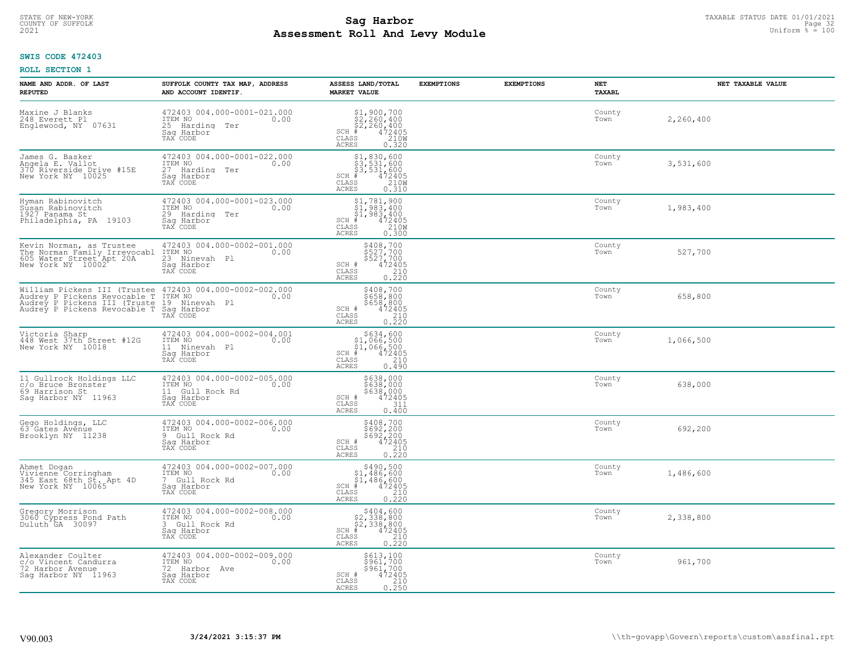# TAXABLE STATUS DATE 01/01/2021<br>COUNTY OF SUFFOLK Page 32 COUNTY OF SUFFOLK Page 32 **Assessment Roll And Levy Module Example 2021** Uniform  $\frac{1}{8}$  = 100

## **SWIS CODE 472403**

| NAME AND ADDR. OF LAST<br><b>REPUTED</b>                                                | SUFFOLK COUNTY TAX MAP, ADDRESS<br>AND ACCOUNT IDENTIF.                                                                                                                                                           | ASSESS LAND/TOTAL<br><b>MARKET VALUE</b>                                                                                                                                                                                                                                                                                                                                      | <b>EXEMPTIONS</b> | <b>EXEMPTIONS</b> | NET<br>TAXABL  | NET TAXABLE VALUE |
|-----------------------------------------------------------------------------------------|-------------------------------------------------------------------------------------------------------------------------------------------------------------------------------------------------------------------|-------------------------------------------------------------------------------------------------------------------------------------------------------------------------------------------------------------------------------------------------------------------------------------------------------------------------------------------------------------------------------|-------------------|-------------------|----------------|-------------------|
| Maxine J Blanks<br>248 Everett Pl<br>Englewood, NY 07631                                | 472403 004.000-0001-021.000<br>ITEM NO<br>0.00<br>25 Harding Ter<br>Saq Harbor<br>TAX CODE                                                                                                                        | $\begin{array}{l} \texttt{\$1,900,700}\ \\ \texttt{\$2,260,400}\ \\ \texttt{\$2,260,400}\ \\ \texttt{\$4\,2405}\ \\ \texttt{\$5}\qquad \qquad 210W \end{array}$<br>$SCH$ #<br>CLASS<br>210W<br>ACRES<br>0.320                                                                                                                                                                 |                   |                   | County<br>Town | 2,260,400         |
| James G. Basker<br>Angela E. Vallot<br>370 Riverside Drive #15E<br>New York NY 10025    | 472403 004.000-0001-022.000<br>ITEM NO<br>0.00<br>27 Harding Ter<br>Sag Harbor<br>TAX CODE                                                                                                                        | $\begin{array}{r} \texttt{\$1,830,600}\ \texttt{\$3,531,600}\ \texttt{\$3,531,600}\ \texttt{\$3,531,600}\ \texttt{\$472405}\ \texttt{\$83$} \end{array}\nonumber\\ \text{SS} \begin{array}{r} \texttt{810} & \texttt{472405}\ \texttt{210W}\ \texttt{0.310} \end{array}$<br>$SCH$ #<br>CLASS<br>ACRES                                                                         |                   |                   | County<br>Town | 3,531,600         |
| Hyman Rabinovitch<br>Sūsan Rabinovitch<br>1927 Panama St<br>Philadelphia, PA 19103      | 472403 004.000-0001-023.000<br>ITEM NO<br>0.00<br>29 Harding Ter<br>Sag Harbor<br>TAX CODE                                                                                                                        | $\begin{array}{l} \texttt{\$1,\,781,\,900}\ \texttt{\$1,\,983,\,400}\ \texttt{\$1,\,983,\,400}\ \texttt{\$1,\,983,\,400}\ \texttt{\$1,\,983,\,400}\ \texttt{\$12405}\ \texttt{\$210W}\ 0.300 \end{array}$<br>$SCH$ #<br>CLASS<br>ACRES                                                                                                                                        |                   |                   | County<br>Town | 1,983,400         |
|                                                                                         | Saq Harbor<br>TAX CODE                                                                                                                                                                                            | \$408,700<br>\$527,700<br>\$527,700<br>\$527,700<br>SCH #<br>CLASS<br>210<br>0.220<br>ACRES                                                                                                                                                                                                                                                                                   |                   |                   | County<br>Town | 527,700           |
|                                                                                         | William Pickens III (Trustee 472403 004.000-0002-002.000<br>Audrey P Pickens Revocable T ITEM NO<br>Audrey P Pickens III (Truste 19 Ninevah Pl<br>Audrey P Pickens Revocable T Saq Harbor<br>TAX CODE<br>TAX CODE | \$408,700<br>34058,800<br>\$658,800<br>\$658,800<br>SCH # 472405<br>CLASS 210<br>ACRES 0.220                                                                                                                                                                                                                                                                                  |                   |                   | County<br>Town | 658,800           |
| Victoria Sharp<br>448 West 37th Street #12G<br>New York NY 10018                        | 472403 004.000-0002-004.001<br>ITEM NO<br>0.00<br>11 Ninevah Pl<br>Saq Harbor<br>TAX CODE                                                                                                                         | $\begin{array}{r}  \  \  \, 5634, 600 \\  \  \, 51,066,500 \\  \  \, 51,066,500 \\  \  \  \, 472405 \\  \  \, 55 \\  \  \  \, 55 \\  \  \  \, 210 \\  \  \, 0 \\  \  \, 0 \\  \  \, 0 \\  \  \, 0 \\  \  \, 0 \\  \  \, 0 \\  \  \, 0 \\  \  \, 0 \\  \  \, 0 \\  \  \, 0 \\  \  \, 0 \\  \  \, 0 \\  \  \, 0 \\  \  \, 0 \\  \$<br>$SCH$ #<br>CLASS<br>0.490<br><b>ACRES</b> |                   |                   | County<br>Town | 1,066,500         |
| 11 Gullrock Holdings LLC<br>c/o Bruce Bronster<br>69 Harrison St<br>Sag Harbor NY 11963 | 472403 004.000-0002-005.000<br>TTEM NO 0.00<br>11 Gull Rock Rd<br>Sag Harbor<br>TAX CODE                                                                                                                          | \$638,000<br>\$638,000<br>\$638,000<br>\$638,000<br>SCH #<br>311<br>CLASS<br>0.400<br>ACRES                                                                                                                                                                                                                                                                                   |                   |                   | County<br>Town | 638,000           |
| Gego Holdings, LLC<br>63 Gates Avenue<br>Brooklyn NY 11238                              | 472403 004.000-0002-006.000<br>TTEM NO 0.00<br>9 Gull Rock Rd<br>Saq Harbor<br>TAX CODE                                                                                                                           | $5408,700$<br>$5692,200$<br>$5692,200$<br>SCH $*$<br>$472405$<br>CLASS<br>210<br>CLASS<br>210<br>ACRES<br>0.220                                                                                                                                                                                                                                                               |                   |                   | County<br>Town | 692,200           |
| Ahmet Dogan<br>Vivienne Corringham<br>345 East 68th St. Apt 4D<br>New York NY 10065     | 472403 004.000-0002-007.000<br>1TEM NO 0.00<br>7 Gull Rock Rd<br>Saq Harbor<br>TAX CODE                                                                                                                           | $\begin{array}{r} \texttt{\$490,500}\ \\ \texttt{\$1,486,600}\ \\ \texttt{\$1,486,600}\ \\ \texttt{\$1,486,600}\ \\ \texttt{\$1,486,2405}\ \\ \texttt{\$10}\ \\ \texttt{\$10}\ \\ \texttt{\$10}\ \\ \texttt{\$10}\ \\ \texttt{\$10}\ \\ \texttt{\$210}\end{array}$<br>$SCH$ #<br>CLASS<br><b>ACRES</b>                                                                        |                   |                   | County<br>Town | 1,486,600         |
| Gregory Morrison<br>3060 Cypress Pond Path<br>Duluth GA 30097                           | 472403 004.000-0002-008.000<br>ITEM NO<br>0.00<br>3 Gull Rock Rd<br>Sag Harbor<br>TAX CODE                                                                                                                        | $$404,600$<br>$$2,338,800$<br>$$2,338,800$<br>$472405$<br>ss<br>ss<br>210<br>$SCH$ #<br>CLASS<br><b>ACRES</b><br>0.220                                                                                                                                                                                                                                                        |                   |                   | County<br>Town | 2,338,800         |
| Alexander Coulter<br>c/o Vincent Candurra<br>72 Harbor Avenue<br>Saq Harbor NY 11963    | 472403 004.000-0002-009.000<br>ITEM NO<br>0.00<br>72 Harbor Ave<br>Saq Harbor<br>TAX CODE                                                                                                                         | \$613,100<br>\$961,700<br>\$961,700<br>472405<br>SCH #<br>CLASS<br>210<br>0.250<br><b>ACRES</b>                                                                                                                                                                                                                                                                               |                   |                   | County<br>Town | 961,700           |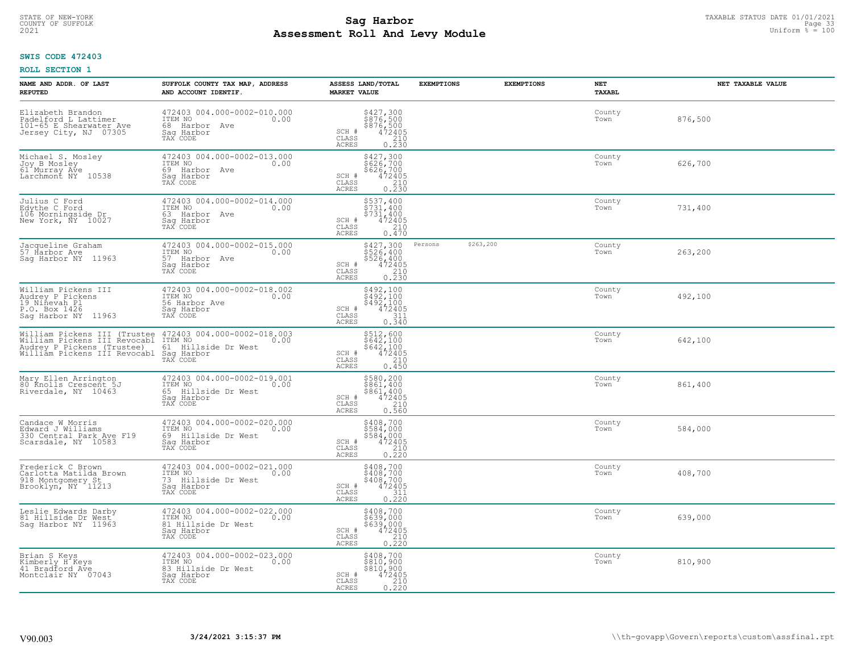# TAXABLE STATUS DATE 01/01/2021<br>COUNTY OF SUFFOLK Page 33 **Assessment Roll And Levy Module Example 2021** Uniform  $\frac{1}{8}$  = 100

## **SWIS CODE 472403**

| NAME AND ADDR. OF LAST<br><b>REPUTED</b>                                                                                                                                                           | SUFFOLK COUNTY TAX MAP, ADDRESS<br>AND ACCOUNT IDENTIF.                                                                 | ASSESS LAND/TOTAL<br><b>MARKET VALUE</b>                                                                         | <b>EXEMPTIONS</b>    | <b>EXEMPTIONS</b> | <b>NET</b><br>TAXABL | NET TAXABLE VALUE |
|----------------------------------------------------------------------------------------------------------------------------------------------------------------------------------------------------|-------------------------------------------------------------------------------------------------------------------------|------------------------------------------------------------------------------------------------------------------|----------------------|-------------------|----------------------|-------------------|
| Elizabeth Brandon<br>Padelford L Lattimer<br>101-65 E Shearwater Ave<br>Jersey City, NJ 07305                                                                                                      | 472403 004.000-0002-010.000<br>ITEM NO<br>0.00<br>68 Harbor Ave<br>Saq Harbor<br>TAX CODE                               | \$427,300<br>\$876,500<br>\$876,500<br>\$210<br>\$210<br>SCH #<br>CLASS<br><b>ACRES</b><br>0.230                 |                      |                   | County<br>Town       | 876,500           |
| Michael S. Mosley<br>Joy B Mosley<br>61 Murray Ave<br>Larchmont NY 10538                                                                                                                           | 472403 004.000-0002-013.000<br>ITEM NO<br>0.00<br>69 Harbor Ave<br>Saq Harbor<br>TAX CODE                               | \$427,300<br>\$626,700<br>\$626,700<br>$472405$<br>$210$<br>0.230<br>SCH #<br>CLASS<br><b>ACRES</b>              |                      |                   | County<br>Town       | 626,700           |
| Julius C Ford<br>Edythe C Ford<br>106 Morningside Dr<br>New York, NY 10027                                                                                                                         | 472403 004.000-0002-014.000<br>ITEM NO<br>0.00<br>63 Harbor Ave<br>Saq Harbor<br>TAX CODE                               | \$537,400<br>\$731,400<br>\$731,400<br>SCH #<br>472405<br>210<br>CLASS<br>0.470<br>ACRES                         |                      |                   | County<br>Town       | 731,400           |
| Jacqueline Graham<br>57 Harbor Ave<br>Saq Harbor NY 11963                                                                                                                                          | 472403 004.000-0002-015.000<br>TTEM NO 0.00<br>57 Harbor Ave<br>Saq Harbor<br>TAX CODE                                  | \$427,300<br>$$526,400$<br>$$526,400$<br>SCH #<br>$472405$<br>$210$<br>0.230<br>CLASS<br>ACRES                   | \$263,200<br>Persons |                   | County<br>Town       | 263,200           |
| William Pickens III<br>Audrey P Pickens<br>19 Niñevah Pl<br>P.O. Box 1426<br>Saq Harbor NY 11963                                                                                                   | 472403 004.000-0002-018.002<br>ITEM NO<br>0.00<br>56 Harbor Ave<br>Saq Harbor<br>TAX CODE                               | \$492,100<br>$$492,100$<br>$$492,100$<br>$472405$<br>$311$<br>SCH #<br>$\mathtt{CLASS}$<br>0.340<br><b>ACRES</b> |                      |                   | County<br>Town       | 492,100           |
| William Pickens III (Trustee 472403 004.000-0002-018.003<br>William Pickens III Revocabl ITEM NO 0.00<br>Audrey P Pickens (Trustee) 61 Hillside Dr West<br>William Pickens III Revocabl Sag Harbor | TAX CODE                                                                                                                | \$512,600<br>\$642,100<br>\$642,100<br>472405<br>SCH #<br>210<br>CLASS<br><b>ACRES</b><br>0.450                  |                      |                   | County<br>Town       | 642,100           |
| Mary Ellen Arrington<br>80 Knolls Crescent 5J<br>Riverdale, NY 10463                                                                                                                               | 472403 004.000-0002-019.001<br>ITEM NO<br>0.00<br>65<br>Hillside Dr West<br>Saq Harbor<br>TAX CODE                      | \$580,200<br>\$861,400<br>\$861,400<br>472405<br>SCH #<br>$\mathtt{CLASS}$<br>210<br><b>ACRES</b><br>0.560       |                      |                   | County<br>Town       | 861,400           |
| Candace W Morris<br>Edward J Williams<br>330 Central Park Ave F19<br>Scarsdale, NY 10583                                                                                                           | $\frac{472403}{1 \text{TEM NO}} \frac{004.000 - 0002 - 020.000}{0.00}$<br>69 Hillside Dr West<br>Saq Harbor<br>TAX CODE | \$408,700<br>\$584,000<br>\$584,000<br>472405<br>SCH #<br>CLASS<br>210<br><b>ACRES</b><br>0.220                  |                      |                   | County<br>Town       | 584,000           |
| Frederick C Brown<br>Carlotta Matilda Brown<br>918 Montgomery St<br>Brooklyn, NY 11213                                                                                                             | 472403 004.000-0002-021.000<br>TTEM NO 0.00<br>73 Hillside Dr West<br>Saq Harbor<br>TAX CODE                            | \$408,700<br>\$408,700<br>\$408,700<br>472405<br>SCH #<br>CLASS<br>311<br>0.220<br><b>ACRES</b>                  |                      |                   | County<br>Town       | 408,700           |
| Leslie Edwards Darby<br>81 Hillside Dr West<br>Sag Harbor NY 11963                                                                                                                                 | 472403 004.000-0002-022.000<br>ITEM NO<br>0.00<br>81 Hillside Dr West<br>Sag Harbor<br>TAX CODE                         | \$408,700<br>\$639,000<br>\$639,000<br>472405<br>$SCH$ $#$<br>210<br>CLASS<br>0.220<br><b>ACRES</b>              |                      |                   | County<br>Town       | 639,000           |
| Brian S Keys<br>Kimberly H Keys<br>41 Bradford Ave<br>Montclair NY 07043                                                                                                                           | 472403 004.000-0002-023.000<br>ITEM NO<br>0.00<br>83 Hillside Dr West<br>Sag Harbor<br>TAX CODE                         | \$408,700<br>\$810,900<br>\$810,900<br>472405<br>SCH #<br>$\frac{210}{0.220}$<br>CLASS<br><b>ACRES</b>           |                      |                   | County<br>Town       | 810,900           |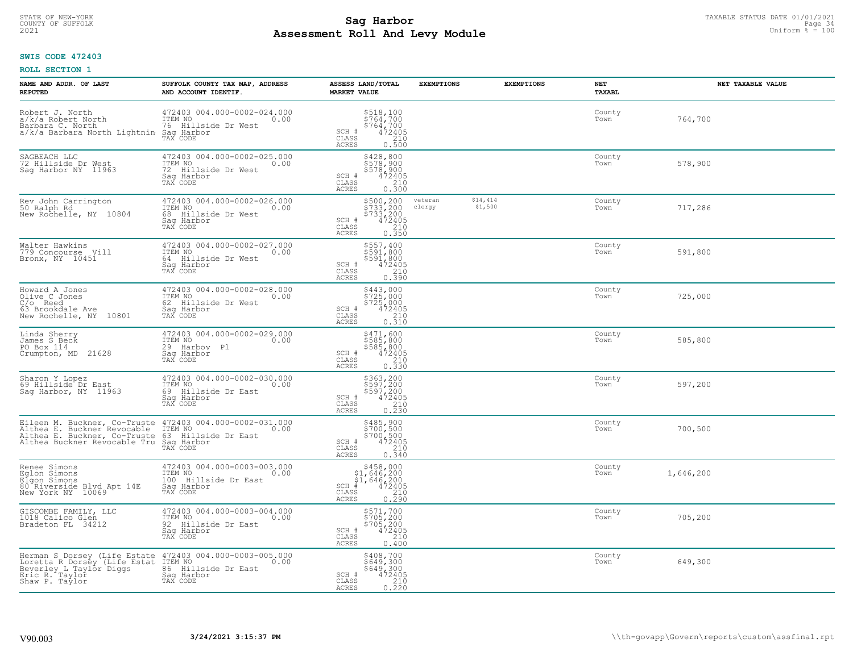# TAXABLE STATUS DATE 01/01/2021<br>COUNTY OF SUFFOLK Page 34 **Assessment Roll And Levy Module Example 2021** Uniform  $\frac{1}{8}$  = 100

## **SWIS CODE 472403**

| NAME AND ADDR. OF LAST<br><b>REPUTED</b>                                                                                                                                                       | SUFFOLK COUNTY TAX MAP, ADDRESS<br>AND ACCOUNT IDENTIF.                                            | ASSESS LAND/TOTAL<br><b>MARKET VALUE</b>                                                                                           | <b>EXEMPTIONS</b> | <b>EXEMPTIONS</b>   | <b>NET</b><br>TAXABL | NET TAXABLE VALUE |
|------------------------------------------------------------------------------------------------------------------------------------------------------------------------------------------------|----------------------------------------------------------------------------------------------------|------------------------------------------------------------------------------------------------------------------------------------|-------------------|---------------------|----------------------|-------------------|
| Robert J. North<br>a/k/a Robert North<br>Barbara C. North<br>a/k/a Barbara North Lightnin                                                                                                      | 472403 004.000-0002-024.000<br>ITEM NO<br>0.00<br>76 Hillside Dr West<br>Saq Harbor<br>TAX CODE    | \$518,100<br>\$764,700<br>\$764,700<br>472405<br>210<br>SCH #<br>CLASS<br><b>ACRES</b><br>0.500                                    |                   |                     | County<br>Town       | 764,700           |
| SAGBEACH LLC<br>72 Hillside Dr West<br>Saq Harbor NY 11963                                                                                                                                     | 472403 004.000-0002-025.000<br>ITEM NO<br>0.00<br>72 Hillside Dr West<br>Sag Harbor<br>TAX CODE    | \$428,800<br>\$578,900<br>\$578,900<br>472405<br>SCH #<br>CLASS<br><b>ACRES</b><br>0.300                                           |                   |                     | County<br>Town       | 578,900           |
| Rev John Carrington<br>50 Ralph Rd<br>New Rochelle, NY 10804                                                                                                                                   | 472403 004.000-0002-026.000<br>ITEM NO<br>0.00<br>68<br>Hillside Dr West<br>Sag Harbor<br>TAX CODE | \$500,200<br>\$733,200<br>\$733,200<br>472405<br>SCH #<br>$\begin{array}{c} 210 \\ 0.350 \end{array}$<br>$\mathtt{CLASS}$<br>ACRES | veteran<br>clergy | \$14,414<br>\$1,500 | County<br>Town       | 717,286           |
| Walter Hawkins<br>779 Concourse Vill<br>Bronx, NY 10451                                                                                                                                        | 472403 004.000-0002-027.000<br>ITEM NO<br>0.00<br>64 Hillside Dr West<br>Saq Harbor<br>TAX CODE    | \$557,400<br>\$591,800<br>\$591,800<br>SCH #<br>472405<br>CLASS<br>$\begin{array}{c} 210 \\ 0.390 \end{array}$<br><b>ACRES</b>     |                   |                     | County<br>Town       | 591,800           |
| Howard A Jones<br>Olive C Jones<br>$C/O$ Reed<br>63 Brookdale Ave<br>New Rochelle, NY 10801                                                                                                    | 472403 004.000-0002-028.000<br>ITEM NO<br>0.00<br>62 Hillside Dr West<br>Saq Harbor<br>TAX CODE    | \$443,000<br>\$725,000<br>$$725,000\n472405\n210\n0.310$<br>SCH #<br>CLASS<br>ACRES                                                |                   |                     | County<br>Town       | 725,000           |
| Linda Sherry<br>James S Beck<br>PO Box 114<br>Crumpton, MD<br>21628                                                                                                                            | 472403 004.000-0002-029.000<br>ITEM NO<br>0.00<br>29 Harboy Pl<br>Sag Harbor<br>TAX CODE           | \$471,600<br>\$585,800<br>\$585,800<br>\$585,800<br>\$72405<br>\$10<br>\$10.330<br>SCH #<br>CLASS<br><b>ACRES</b>                  |                   |                     | County<br>Town       | 585,800           |
| Sharon Y Lopez<br>69 Hillside Dr East<br>Saq Harbor, NY 11963                                                                                                                                  | 472403 004.000-0002-030.000<br>ITEM NO<br>0.00<br>69<br>Hillside Dr East<br>Saq Harbor<br>TAX CODE | \$363,200<br>\$597,200<br>\$597,200<br>472405<br>SCH #<br>$\begin{array}{c} 210 \\ 0.230 \end{array}$<br>CLASS<br>ACRES            |                   |                     | County<br>Town       | 597,200           |
| Eileen M. Buckner, Co-Truste 472403 004.000-0002-031.000<br>Althea E. Buckner Revocable TTEM NO<br>Althea E. Buckner, Co-Truste 63 Hillside Dr East<br>Althea Buckner Revocable Tru Sag Harbor | 0.00<br>Saq Harbor<br>TAX CODE                                                                     | \$485,900<br>\$700,500<br>\$700,500<br>472405<br>SCH #<br>CLASS<br>210<br>ACRES<br>0.340                                           |                   |                     | County<br>Town       | 700,500           |
| Renee Simons<br>Eglon Simons<br>Elgon Simons<br>80 Riverside Blvd Apt 14E<br>New York NY 10069                                                                                                 | 472403 004.000-0003-003.000<br>ITEM NO<br>0.00<br>100 Hillside Dr East<br>Saq Harbor<br>TAX CODE   | $$458,000$<br>$$1,646,200$<br>$$1,646,200$<br>$*$<br>$*$<br>$472405$<br>SCH<br>CLASS<br>$\frac{210}{0.290}$<br><b>ACRES</b>        |                   |                     | County<br>Town       | 1,646,200         |
| GISCOMBE FAMILY, LLC<br>1018 Calico Glen<br>Bradeton FL 34212                                                                                                                                  | 472403 004.000-0003-004.000<br>ITEM NO<br>0.00<br>92 Hillside Dr East<br>Sag Harbor<br>TAX CODE    | $\begin{array}{l} 5571,700 \\ 5705,200 \\ 5705,200 \\ 472405 \\ 210 \\ 210 \end{array}$<br>SCH #<br>CLASS<br><b>ACRES</b><br>0.400 |                   |                     | County<br>Town       | 705,200           |
| Herman S Dorsey (Life Estate 472403<br>Loretta R Dorsey (Life Estat ITEM NO<br>Beverley L Taylor Diggs<br>Eric R. Taylor<br>Shaw P. Taylor                                                     | 472403 004.000-0003-005.000<br>0.00<br>86 Hillside Dr East<br>Sag Harbor<br>TAX CODE               | \$408,700<br>\$649,300<br>\$649,300<br>$\frac{472405}{210}$<br>SCH #<br>CLASS<br>0.220<br><b>ACRES</b>                             |                   |                     | County<br>Town       | 649,300           |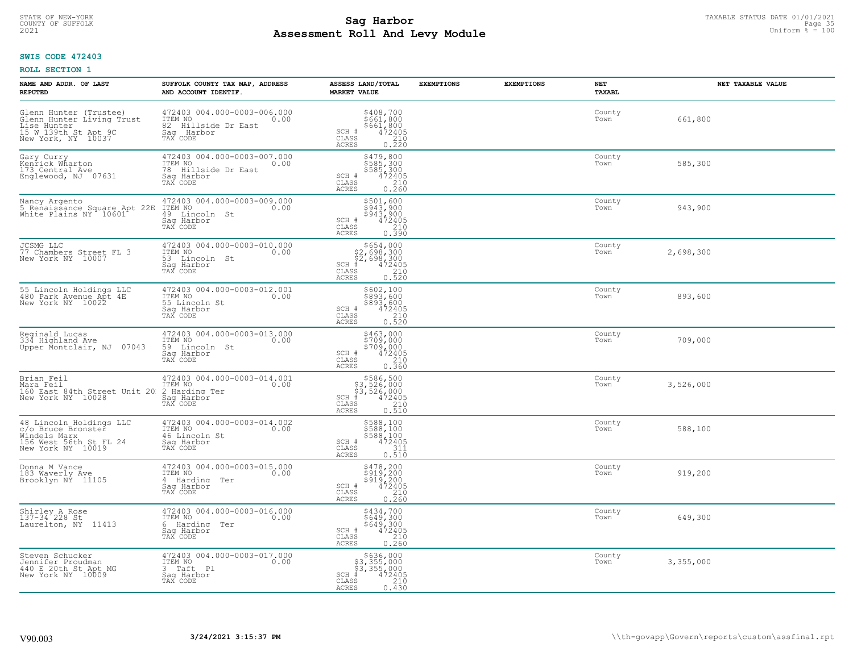# TAXABLE STATUS DATE 01/01/2021 **Sag Harbor** COUNTY OF SUFFOLK Page 35 **Assessment Roll And Levy Module Example 2021** Uniform  $\frac{1}{8}$  = 100

## **SWIS CODE 472403**

| NAME AND ADDR. OF LAST<br><b>REPUTED</b>                                                                         | SUFFOLK COUNTY TAX MAP, ADDRESS<br>AND ACCOUNT IDENTIF.                                         | ASSESS LAND/TOTAL<br><b>MARKET VALUE</b>                                                                                            | <b>EXEMPTIONS</b> | <b>EXEMPTIONS</b> | NET<br><b>TAXABL</b> | NET TAXABLE VALUE |
|------------------------------------------------------------------------------------------------------------------|-------------------------------------------------------------------------------------------------|-------------------------------------------------------------------------------------------------------------------------------------|-------------------|-------------------|----------------------|-------------------|
| Glenn Hunter (Trustee)<br>Glenn Hunter Living Trust<br>Lise Hunter<br>15 W 139th St Apt 9C<br>New York, NY 10037 | 472403 004.000-0003-006.000<br>TTEM NO 0.00<br>82 Hillside Dr East<br>Saq Harbor<br>TAX CODE    | $\begin{array}{c} 5408, 700 \\ 5661, 800 \\ 5661, 800 \\ 472405 \\ 210 \\ 0.220 \end{array}$<br>SCH #<br>CLASS<br>ACRES             |                   |                   | County<br>Town       | 661,800           |
| Gary Curry<br>Kenrick Wharton<br>173 Central Ave<br>Englewood, NJ 07631                                          | 472403 004.000-0003-007.000<br>ITEM NO<br>0.00<br>78 Hillside Dr East<br>Sag Harbor<br>TAX CODE | \$479,800<br>\$585,300<br>\$585,300<br>472405<br>SCH #<br>$\begin{array}{c} 210 \\ 0.260 \end{array}$<br>CLASS<br><b>ACRES</b>      |                   |                   | County<br>Town       | 585,300           |
| Nancy Argento<br>5 Renaissance Square Apt 22E<br>White Plains NY 10601                                           | 472403 004.000-0003-009.000<br>ITEM NO<br>0.00<br>49 Lincoln St<br>Sag Harbor<br>TAX CODE       | \$501,600<br>\$943,900<br>\$943,900<br>472405<br>SCH #<br>CLASS<br>$\begin{array}{c} 210 \\ 0.390 \end{array}$<br><b>ACRES</b>      |                   |                   | County<br>Town       | 943,900           |
| JCSMG LLC<br>77 Chambers Street FL 3<br>New York NY 10007                                                        | 472403 004.000-0003-010.000<br>ITEM NO<br>0.00<br>53 Lincoln St<br>Saq Harbor<br>TAX CODE       | $$654,000$<br>$$2,698,300$<br>$$2,698,300$<br>$472405$<br>$$2,00$<br>$$210$<br>SCH #<br>CLASS<br>ACRES<br>0.520                     |                   |                   | County<br>Town       | 2,698,300         |
| 55 Lincoln Holdings LLC<br>480 Park Avenue Apt 4E<br>New York NY 10022                                           | 472403 004.000-0003-012.001<br>ITEM NO 0.00<br>55 Lincoln St<br>Saq Harbor<br>TAX CODE          | \$602,100<br>ុខ្ញុំ ខ្ញុំ ខ្ញុំ ខ្ញុំ<br>\$893,600<br>SCH #<br>472405°<br>210<br>CLASS<br><b>ACRES</b><br>0.520                     |                   |                   | County<br>Town       | 893,600           |
| Reginald Lucas<br>334 Highland Ave<br>Upper Montclair, NJ 07043                                                  | 472403 004.000-0003-013.000<br>ITEM NO<br>0.00<br>59 Lincoln St<br>Sag Harbor<br>TAX CODE       | \$463,000<br>\$709,000<br>\$709,000<br>\$72405<br>\$210<br>SCH #<br>CLASS<br><b>ACRES</b><br>0.360                                  |                   |                   | County<br>Town       | 709,000           |
| Brian Feil<br>Mara Feil<br>160 East 84th Street Unit 20<br>New York NY 10028                                     | 472403 004.000-0003-014.001<br>ITEM NO<br>0.00<br>2 Harding Ter<br>Saq Harbor<br>TAX CODE       | \$586,500<br>\$3,526,000<br>\$3,526,000<br>$SCH$ #<br>472405<br>210<br>CLASS<br>0.510<br><b>ACRES</b>                               |                   |                   | County<br>Town       | 3,526,000         |
| 48 Lincoln Holdings LLC<br>c/o Bruce Bronster<br>Windels Marx<br>156 West 56th St FL 24<br>New York NY 10019     | 472403 004.000-0003-014.002<br>ITEM NO<br>0.00<br>46 Lincoln St<br>Saq Harbor<br>TAX CODE       | \$588,100<br>\$588,100<br>\$588,100<br>472405<br>SCH #<br>CLASS<br>311<br>0.510<br><b>ACRES</b>                                     |                   |                   | County<br>Town       | 588,100           |
| Donna M Vance<br>183 Waverly Ave<br>Brooklyn NY 11105                                                            | 472403 004.000-0003-015.000<br>ITEM NO<br>0.00<br>4 Harding Ter<br>Saq Harbor<br>TAX CODE       | \$478,200<br>\$919,200<br>\$919,200<br>472405<br>SCH #<br>CLASS<br>$\frac{210}{0.260}$<br><b>ACRES</b>                              |                   |                   | County<br>Town       | 919,200           |
| Shirley A Rose<br>137-34 228 St<br>Laurelton, NY 11413                                                           | 472403 004.000-0003-016.000<br>ITEM NO<br>0.00<br>6 Harding Ter<br>Sag Harbor<br>TAX CODE       | $5434,700$<br>$5649,300$<br>$5649,300$<br>$472405$<br>$210$<br>SCH #<br>CLASS<br><b>ACRES</b><br>0.260                              |                   |                   | County<br>Town       | 649,300           |
| Steven Schucker<br>Jennifer Proudman<br>440 E 20th St Apt MG<br>New York NY 10009                                | 472403 004.000-0003-017.000<br>ITEM NO<br>0.00<br>3 Taft Pl<br>Saq Harbor<br>TAX CODE           | $$636,000$<br>$$3,355,000$<br>$$3,355,000$<br>$$472405$<br>$SCH$ #<br>$\overline{210}$<br>$\mathtt{CLASS}$<br><b>ACRES</b><br>0.430 |                   |                   | County<br>Town       | 3,355,000         |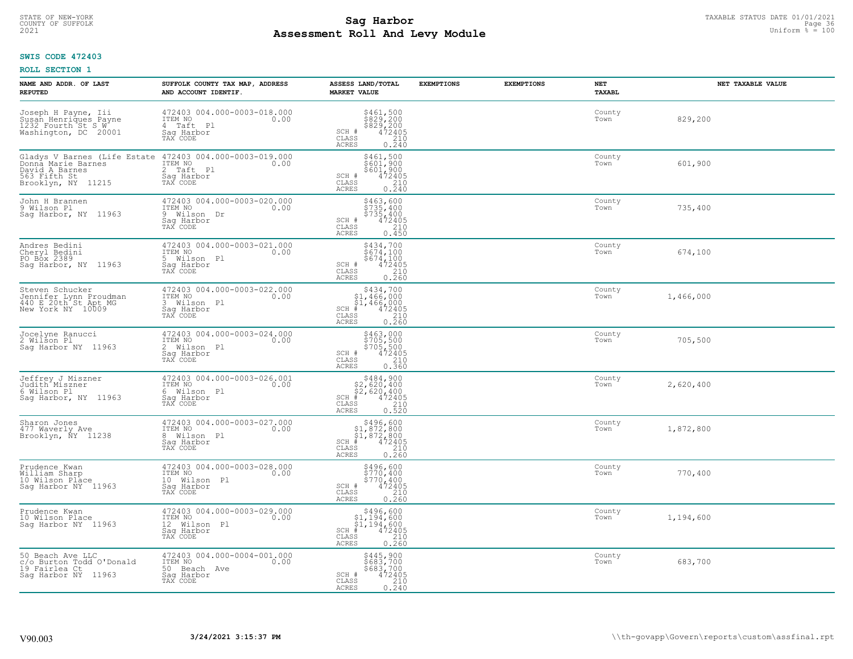# TAXABLE STATUS DATE 01/01/2021<br>COUNTY OF SUFFOLK Page 36 COUNTY OF SUFFOLK Page 36 **Assessment Roll And Levy Module Example 2021** Uniform  $\frac{1}{8}$  = 100

## **SWIS CODE 472403**

| NAME AND ADDR. OF LAST<br><b>REPUTED</b>                                                                   | SUFFOLK COUNTY TAX MAP, ADDRESS<br>AND ACCOUNT IDENTIF.                                               | ASSESS LAND/TOTAL<br><b>MARKET VALUE</b>                                                                                                           | <b>EXEMPTIONS</b> | <b>EXEMPTIONS</b> | NET<br>TAXABL  | NET TAXABLE VALUE |
|------------------------------------------------------------------------------------------------------------|-------------------------------------------------------------------------------------------------------|----------------------------------------------------------------------------------------------------------------------------------------------------|-------------------|-------------------|----------------|-------------------|
| Joseph H Payne, Iii<br>Susan Henriques Payne<br>1232 Fourth St S W <sup>1</sup><br>Washington, DC 20001    | 472403 004.000-0003-018.000<br>ITEM NO<br>0.00<br>4 Taft Pl<br>Saq Harbor<br>TAX CODE                 | \$461,500<br>\$829,200<br>\$829,200<br>472405<br>SCH #<br>CLASS<br>210<br>ACRES<br>0.240                                                           |                   |                   | County<br>Town | 829,200           |
| Gladys V Barnes (Life Estate<br>Donna Marie Barnes<br>David A Barnes<br>563 Fifth St<br>Brooklyn, NY 11215 | 472403 004.000-0003-019.000<br>ITEM NO<br>0.00<br>$\overline{2}$<br>Taft Pl<br>Saq Harbor<br>TAX CODE | \$461,500<br>\$601,900<br>$$601/900$<br>472405<br>SCH #<br>CLASS<br>$\frac{210}{0.240}$<br>ACRES                                                   |                   |                   | County<br>Town | 601,900           |
| John H Brannen<br>9 Wilson Pl<br>Sag Harbor, NY 11963                                                      | 472403 004.000-0003-020.000<br>ITEM NO<br>0.00<br>9 Wilson Dr<br>Sag Harbor<br>TAX CODE               | \$463,600<br>\$735,400<br>$$735,4004724052100.450$<br>SCH #<br>CLASS<br>ACRES                                                                      |                   |                   | County<br>Town | 735,400           |
| Andres Bedini<br>Cheryl Bedini<br>PO Box 2389<br>Saq Harbor, NY 11963                                      | 472403 004.000-0003-021.000<br>ITEM NO<br>0.00<br>5 Wilson Pl<br>Saq Harbor<br>TAX CODE               | $\begin{array}{c} 5434, 700 \\ 5674, 100 \\ 5674, 100 \\ 472405 \\ 210 \\ 0.260 \end{array}$<br>SCH #<br>CLASS<br><b>ACRES</b>                     |                   |                   | County<br>Town | 674,100           |
| Steven Schucker<br>Jennifer Lynn Proudman<br>440 E 20th St Apt MG<br>New York NY 10009                     | 472403 004.000-0003-022.000<br>ITEM NO<br>0.00<br>3 Wilson Pl<br>Saq Harbor<br>TAX CODE               | \$434,700<br>$$1,466,000$<br>$$1,466,000$<br>$*$ 472405<br>$SCH$ #<br>$\begin{array}{c} 210 \\ 0.260 \end{array}$<br>CLASS<br>ACRES                |                   |                   | County<br>Town | 1,466,000         |
| Jocelyne Ranucci<br>2 Wilson Pl<br>Sag Harbor NY 11963                                                     | 472403 004.000-0003-024.000<br>ITEM NO<br>0.00<br>2 Wilson Pl<br>Sag Harbor<br>TAX CODE               | \$463,000<br>\$705,500<br>\$705,500<br>472405<br>SCH #<br>$\mathtt{CLASS}$<br>210<br><b>ACRES</b><br>0.360                                         |                   |                   | County<br>Town | 705,500           |
| Jeffrey J Miszner<br>Judith <sup>*</sup> Miszner<br>6 Wilson Pl<br>Saq Harbor, NY 11963                    | 472403 004.000-0003-026.001<br>ITEM NO<br>0.00<br>6 Wilson Pl<br>Saq Harbor<br>TAX CODE               | $$484,900$<br>$$2,620,400$<br>$$2,620,400$<br>$$472405$<br>$SCH$ #<br>CLASS<br>$\frac{210}{0.520}$<br>ACRES                                        |                   |                   | County<br>Town | 2,620,400         |
| Sharon Jones<br>477 Waverly Ave<br>Brooklyn, ÑY 11238                                                      | 472403 004.000-0003-027.000<br>TTEM NO 0.00<br>8 Wilson Pl<br>Saq Harbor<br>TAX CODE                  | $$496,600$<br>$$1,872,800$<br>$$1,872,800$<br>$*$ $472405$<br>$\mbox{SCH}$<br>CLASS<br>$\begin{array}{c} 210 \\ 0.260 \end{array}$<br><b>ACRES</b> |                   |                   | County<br>Town | 1,872,800         |
| Prudence Kwan<br>William Sharp<br>10 Wilson Place<br>Saq Harbor NY 11963                                   | 472403 004.000-0003-028.000<br>TTEM NO 0.00<br>10 Wilson Pl<br>Saq Harbor<br>TAX CODE                 | \$496,600<br>\$770,400<br>\$770,400<br>SCH #<br>472405<br>CLASS<br>210<br>0.260<br>ACRES                                                           |                   |                   | County<br>Town | 770,400           |
| Prudence Kwan<br>10 Wilson Place<br>Sag Harbor NY 11963                                                    | 472403 004.000-0003-029.000<br>ITEM NO<br>0.00<br>12 Wilson Pl<br>Saq Harbor<br>TAX CODE              | \$496,600<br>$$1,194,600$<br>$$1,194,600$<br>$*$ 472405<br>SCH<br>210<br>CLASS<br>0.260<br>ACRES                                                   |                   |                   | County<br>Town | 1,194,600         |
| 50 Beach Ave LLC<br>c/o Burton Todd O'Donald<br>19 Fairlea Ct<br>Saq Harbor NY 11963                       | 472403 004.000-0004-001.000<br>ITEM NO<br>0.00<br>50 Beach Ave<br>Saq Harbor<br>TAX CODE              | \$445,900<br>\$683,700<br>\$683,700<br>SCH #<br>472405<br>210<br>CLASS<br>0.240<br><b>ACRES</b>                                                    |                   |                   | County<br>Town | 683,700           |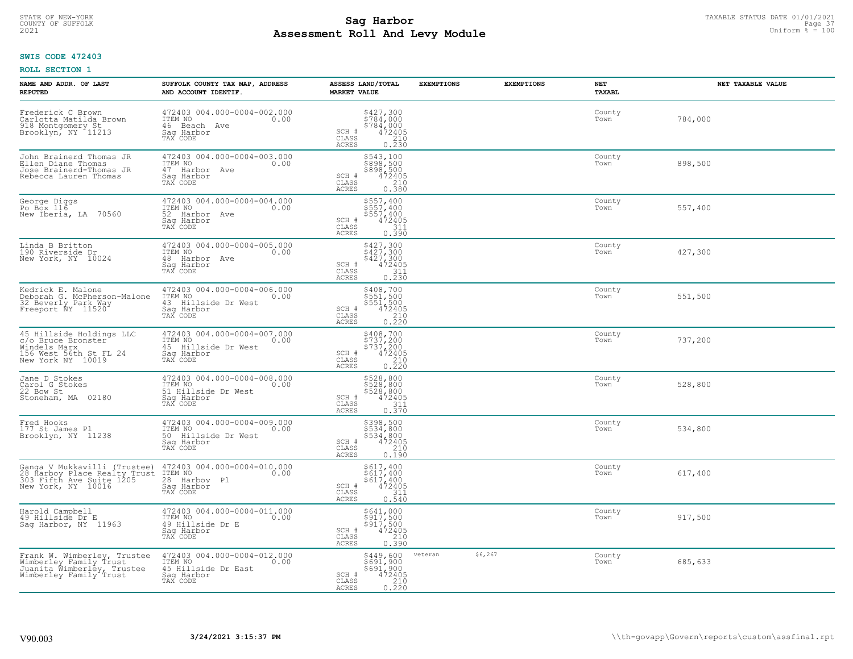# TAXABLE STATUS DATE 01/01/2021<br>COUNTY OF SUFFOLK Page 37 **Assessment Roll And Levy Module Example 100** Uniform  $\frac{1}{8}$  = 100

## **SWIS CODE 472403**

| NAME AND ADDR. OF LAST<br><b>REPUTED</b>                                                                       | SUFFOLK COUNTY TAX MAP, ADDRESS<br>AND ACCOUNT IDENTIF.                                         | ASSESS LAND/TOTAL<br><b>MARKET VALUE</b>                                                                                              | <b>EXEMPTIONS</b>   | <b>EXEMPTIONS</b> | <b>NET</b><br>TAXABL | NET TAXABLE VALUE |
|----------------------------------------------------------------------------------------------------------------|-------------------------------------------------------------------------------------------------|---------------------------------------------------------------------------------------------------------------------------------------|---------------------|-------------------|----------------------|-------------------|
| Frederick C Brown<br>Carlotta Matilda Brown<br>918 Montgomery St<br>Brooklyn, NY 11213                         | 472403 004.000-0004-002.000<br>ITEM NO<br>0.00<br>46 Beach Ave<br>Saq Harbor<br>TAX CODE        | $\begin{array}{c}\n $427,300 \\  $784,000 \\  $784,000 \\  $472405 \\  $210\n \end{array}$<br>SCH #<br>CLASS<br><b>ACRES</b><br>0.230 |                     |                   | County<br>Town       | 784,000           |
| John Brainerd Thomas JR<br>Ellen Diane Thomas<br>Jose Brainerd-Thomas JR<br>Rebecca Lauren Thomas              | 472403 004.000-0004-003.000<br>ITEM NO<br>0.00<br>47 Harbor Ave<br>Sag Harbor<br>TAX CODE       | \$543,100<br>\$898,500<br>\$898,500<br>$472405$<br>210<br>SCH #<br>CLASS<br><b>ACRES</b><br>0.380                                     |                     |                   | County<br>Town       | 898,500           |
| George Diggs<br>Po Box 116<br>New Iberia, LA 70560                                                             | 472403 004.000-0004-004.000<br>ITEM NO<br>0.00<br>52 Harbor Ave<br>Sag Harbor<br>TAX CODE       | \$557,400<br>\$557,400<br>\$557/400<br>SCH #<br>472405<br>311<br>CLASS<br>0.390<br>ACRES                                              |                     |                   | County<br>Town       | 557,400           |
| Linda B Britton<br>190 Riverside Dr<br>New York, NY 10024                                                      | 472403 004.000-0004-005.000<br>TTEM NO 0.00<br>48 Harbor Ave<br>Saq Harbor<br>TAX CODE          | $\begin{array}{c} 5427,300 \\ 5427,300 \\ 5427,300 \\ 472405 \\ 311 \\ 0.230 \end{array}$<br>SCH #<br>CLASS<br>ACRES                  |                     |                   | County<br>Town       | 427,300           |
| Kedrick E. Malone<br>Deborah G. McPherson-Malone<br>32 Beverly Park Way<br>Freeport NY 11520                   | 472403 004.000-0004-006.000<br>ITEM NO<br>0.00<br>43 Hillside Dr West<br>Saq Harbor<br>TAX CODE | $\begin{array}{r} 5408,700 \\ 5551,500 \\ 5551,500 \\ 472405 \\ 0.210 \\ \hline 0.220 \end{array}$<br>SCH #<br>CLASS<br><b>ACRES</b>  |                     |                   | County<br>Town       | 551,500           |
| 45 Hillside Holdings LLC<br>c/o Bruce Bronster<br>Windels Marx<br>156 West 56th St FL 24<br>New York NY 10019  | 472403 004.000-0004-007.000<br>ITEM NO<br>0.00<br>45 Hillside Dr West<br>Saq Harbor<br>TAX CODE | \$408,700<br>\$737,200<br>\$737,200<br>472405<br>SCH #<br>CLASS<br>$\frac{210}{0.220}$<br><b>ACRES</b>                                |                     |                   | County<br>Town       | 737,200           |
| Jane D Stokes<br>Carol G Stokes<br>22 Bow St<br>Stoneham, MA 02180                                             | 472403 004.000-0004-008.000<br>ITEM NO<br>0.00<br>51 Hillside Dr West<br>Saq Harbor<br>TAX CODE | \$528,800<br>\$528,800<br>\$528,800<br>\$472405<br>SCH #<br>CLASS<br>$\frac{311}{0.370}$<br><b>ACRES</b>                              |                     |                   | County<br>Town       | 528,800           |
| Fred Hooks<br>177 St James Pl<br>Brooklyn, NY 11238                                                            | 472403 004.000-0004-009.000<br>ITEM NO<br>50 Hillside Dr West<br>Saq Harbor<br>TAX CODE         | \$398,500<br>\$534,800<br>\$534,800<br>\$472405<br>SCH #<br>CLASS<br>210<br><b>ACRES</b><br>0.190                                     |                     |                   | County<br>Town       | 534,800           |
| Ganga V Mukkavilli (Trustee)<br>28 Harboy Place Realty Trust<br>303 Fifth Ave Suite 1205<br>New York, NY 10016 | 472403 004.000-0004-010.000<br>0.00 0.00<br>28 Harbov Pl<br>Saq Harbor<br>TAX CODE              | \$617,400<br>\$617,400<br>\$617,400<br>472405<br>SCH #<br>CLASS<br>311<br>ACRES<br>0.540                                              |                     |                   | County<br>Town       | 617,400           |
| Harold Campbell<br>49 Hillside Dr E<br>Sag Harbor, NY 11963                                                    | 472403 004.000-0004-011.000<br>ITEM NO<br>0.00<br>49 Hillside Dr E<br>Sag Harbor<br>TAX CODE    | \$641,000<br>\$917,500<br>\$917,500<br>472405<br>SCH #<br>210<br>CLASS<br>0.390<br><b>ACRES</b>                                       |                     |                   | County<br>Town       | 917,500           |
| Frank W. Wimberley, Trustee<br>Wimberley Family Trust<br>Juanita Wimberley, Trustee<br>Wimberley Family Trust  | 472403 004.000-0004-012.000<br>ITEM NO<br>0.00<br>45 Hillside Dr East<br>Sag Harbor<br>TAX CODE | \$449,600<br>\$691,900<br>\$691,900<br>$472405$<br>$210$<br>0.220<br>SCH #<br>CLASS<br><b>ACRES</b>                                   | \$6, 267<br>veteran |                   | County<br>Town       | 685,633           |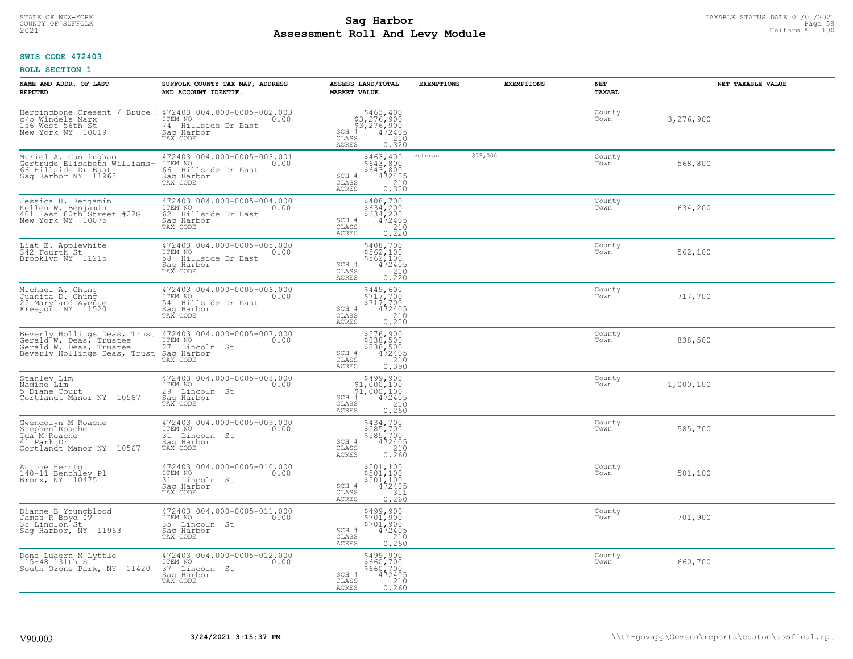# TAXABLE STATUS DATE 01/01/2021 **Sag Harbor** COUNTY OF SUFFOLK Page 38 **Assessment Roll And Levy Module Example 100** Uniform  $\frac{1}{8}$  = 100

## **SWIS CODE 472403**

| NAME AND ADDR. OF LAST<br><b>REPUTED</b>                                                                                                                    | SUFFOLK COUNTY TAX MAP, ADDRESS<br>AND ACCOUNT IDENTIF.                                         | ASSESS LAND/TOTAL<br><b>MARKET VALUE</b>                                                                                                                                                                                                                                                               | <b>EXEMPTIONS</b> | <b>EXEMPTIONS</b> | NET<br><b>TAXABL</b> | NET TAXABLE VALUE |
|-------------------------------------------------------------------------------------------------------------------------------------------------------------|-------------------------------------------------------------------------------------------------|--------------------------------------------------------------------------------------------------------------------------------------------------------------------------------------------------------------------------------------------------------------------------------------------------------|-------------------|-------------------|----------------------|-------------------|
| Herringbone Cresent / Bruce<br>c/o Windels Marx<br>156 West 56th St<br>New York NY 10019                                                                    | 472403 004.000-0005-002.003<br>ITEM NO<br>0.00<br>74 Hillside Dr East<br>Saq Harbor<br>TAX CODE | $$463, 400$<br>$$3, 276, 900$<br>$$3, 276, 900$<br>$472405$<br>$$210$<br>$$210$<br>$SCH$ #<br>CLASS<br><b>ACRES</b><br>0.320                                                                                                                                                                           |                   |                   | County<br>Town       | 3,276,900         |
| Muriel A. Cunningham<br>Gertrude Elisabeth Williams-<br>66 Hillside Dr East<br>Sag Harbor NY 11963                                                          | 472403 004.000-0005-003.001<br>ITEM NO<br>0.00<br>66 Hillside Dr East<br>Saq Harbor<br>TAX CODE | \$463,400<br>\$643,800<br>\$643,800<br>SCH #<br>472405<br>CLASS<br>$\frac{210}{0.320}$<br><b>ACRES</b>                                                                                                                                                                                                 | veteran           | \$75,000          | County<br>Town       | 568,800           |
| Jessica H. Benjamin<br>Kellen W. Benjamin<br>401 East 80th Street #22G<br>New York NY 10075                                                                 | 472403 004.000-0005-004.000<br>ITEM NO<br>0.00<br>62 Hillside Dr East<br>Saq Harbor<br>TAX CODE | \$408,700<br>$$634,200$<br>$$634,200$<br>SCH #<br>472405<br>CLASS<br>210<br>0.220<br><b>ACRES</b>                                                                                                                                                                                                      |                   |                   | County<br>Town       | 634,200           |
| Liat E. Applewhite<br>342 Fourth St<br>Brooklyn NY 11215                                                                                                    | 472403 004.000-0005-005.000<br>TTEM NO 0.00<br>58 Hillside Dr East<br>Saq Harbor<br>TAX CODE    | \$408,700<br>\$562,100<br>\$562,100<br>SCH #<br>472405<br>CLASS<br>210<br>$0.\overline{2}\overline{2}\overline{0}$<br><b>ACRES</b>                                                                                                                                                                     |                   |                   | County<br>Town       | 562,100           |
| Michael A. Chung<br>Juanita D. Chung<br>25 Maryland Avenue<br>Freeport NY 11520                                                                             | 472403 004.000-0005-006.000<br>ITEM NO<br>0.00<br>54 Hillside Dr East<br>Saq Harbor<br>TAX CODE | $$449,600$<br>$$717,700$<br>$\begin{array}{r} \frac{5}{2} & \frac{1}{2} & \frac{7}{2} & \frac{7}{2} & \frac{1}{2} \\ \frac{4}{2} & \frac{2}{2} & \frac{1}{2} & \frac{1}{2} \\ \frac{2}{2} & \frac{1}{2} & \frac{1}{2} & \frac{1}{2} \end{array}$<br>SCH #<br>$\mathtt{CLASS}$<br>0,220<br><b>ACRES</b> |                   |                   | County<br>Town       | 717,700           |
| Beverly Hollings Deas, Trust 472403 004.000-0005-007.000<br>Gerald <sup>'</sup> W. Deas, Trustee<br>Gerald W. Deas, Trustee<br>Beverly Hollings Deas, Trust | ITEM NO<br>27 Lincoln St<br>0.00<br>Saq Harbor<br>TAX CODE                                      | \$576,900<br>\$838,500<br>\$838,500<br>472405<br>210<br>SCH #<br>CLASS<br>0.390<br><b>ACRES</b>                                                                                                                                                                                                        |                   |                   | County<br>Town       | 838,500           |
| Stanley Lim<br>Nadine <sup>-</sup> Lim<br>5 Diane Court<br>Cortlandt Manor NY 10567                                                                         | 472403 004.000-0005-008.000<br>ITEM NO<br>0.00<br>29 Lincoln St<br>Saq Harbor<br>TAX CODE       | $\begin{array}{c} $499,900 $1,000,100 $1,000,100 # 472405 \end{array}$<br>$SCH$ #<br>CLASS<br>210<br>0.260<br><b>ACRES</b>                                                                                                                                                                             |                   |                   | County<br>Town       | 1,000,100         |
| Gwendolyn M Roache<br>Stephen <sup>-</sup> Roache<br>Ida M Roache<br>41 Park Dr<br>Cortlandt Manor NY 10567                                                 | 472403 004.000-0005-009.000<br>TTEM NO 0.00<br>31 Lincoln St<br>Saq Harbor<br>TAX CODE          | \$434,700<br>\$585,700<br>\$585,700<br>472405<br>SCH #<br>CLASS<br>210<br><b>ACRES</b><br>0.260                                                                                                                                                                                                        |                   |                   | County<br>Town       | 585,700           |
| Antone Hernton<br>140-11 Benchley Pl<br>Bronx, NY 10475                                                                                                     | 472403 004.000-0005-010.000<br>TTEM NO 0.00<br>31 Lincoln St<br>Saq Harbor<br>TAX CODE          | \$501,100<br>\$501,100<br>\$501,100<br>SCH #<br>472405<br>CLASS<br>311<br><b>ACRES</b><br>0.260                                                                                                                                                                                                        |                   |                   | County<br>Town       | 501,100           |
| Dianne B Youngblood<br>James R Boyd IV<br>35 Linclon St<br>Sag Harbor, NY 11963                                                                             | 472403 004.000-0005-011.000<br>ITEM NO<br>0.00<br>35 Lincoln St<br>Sag Harbor<br>TAX CODE       | \$499,900<br>\$701,900<br>\$701,900<br>\$704,2405<br>SCH #<br>210<br>CLASS<br><b>ACRES</b><br>0.260                                                                                                                                                                                                    |                   |                   | County<br>Town       | 701,900           |
| Dona Luaern M Lyttle<br>115-48 131th St<br>South Ozone Park, NY 11420                                                                                       | 472403 004.000-0005-012.000<br>ITEM NO<br>0.00<br>37 Lincoln St<br>Saq Harbor<br>TAX CODE       | \$499,900<br>\$660,700<br>\$660,700<br>SCH #<br>472405<br>CLASS<br>$\frac{210}{0.260}$<br><b>ACRES</b>                                                                                                                                                                                                 |                   |                   | County<br>Town       | 660,700           |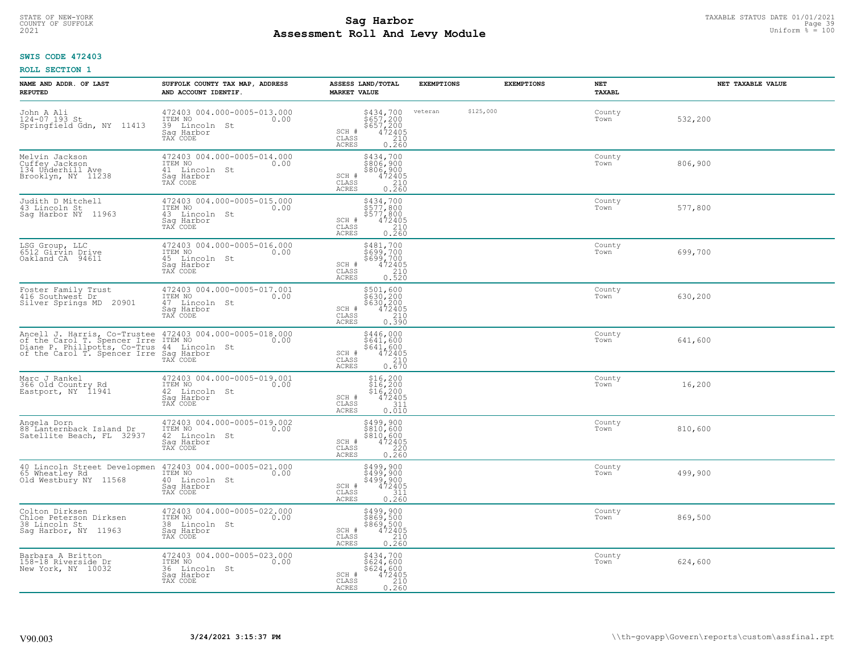# TAXABLE STATUS DATE 01/01/2021 **Sag Harbor** COUNTY OF SUFFOLK Page 39 **Assessment Roll And Levy Module Example 100** Uniform  $\frac{1}{8}$  = 100

## **SWIS CODE 472403**

| NAME AND ADDR. OF LAST<br><b>REPUTED</b>                                                                                                                                               | SUFFOLK COUNTY TAX MAP, ADDRESS<br>AND ACCOUNT IDENTIF.                                      | ASSESS LAND/TOTAL<br><b>MARKET VALUE</b>                                                                           | <b>EXEMPTIONS</b>    | <b>EXEMPTIONS</b><br>NET<br><b>TAXABL</b> |         | NET TAXABLE VALUE |
|----------------------------------------------------------------------------------------------------------------------------------------------------------------------------------------|----------------------------------------------------------------------------------------------|--------------------------------------------------------------------------------------------------------------------|----------------------|-------------------------------------------|---------|-------------------|
| John A Ali<br>124-07 193 St<br>Springfield Gdn, NY 11413                                                                                                                               | 472403 004.000-0005-013.000<br>ITEM NO<br>0.00<br>39 Lincoln<br>St<br>Saq Harbor<br>TAX CODE | \$434,700<br>\$657,200<br>\$657,200<br>472405<br>210<br>SCH #<br>CLASS<br><b>ACRES</b><br>0.260                    | \$125,000<br>veteran | County<br>Town                            | 532,200 |                   |
| Melvin Jackson<br>Cuffey Jackson<br>134 Underhill Ave<br>Brooklyn, NY 11238                                                                                                            | 472403 004.000-0005-014.000<br>ITEM NO<br>0.00<br>41 Lincoln St<br>Saq Harbor<br>TAX CODE    | \$434,700<br>\$806,900<br>\$806,900<br>472405<br>SCH #<br>CLASS<br>$\frac{210}{0.260}$<br><b>ACRES</b>             |                      | County<br>Town                            | 806,900 |                   |
| Judith D Mitchell<br>43 Lincoln St<br>Saq Harbor NY 11963                                                                                                                              | 472403 004.000-0005-015.000<br>ITEM NO<br>0.00<br>43 Lincoln St<br>Saq Harbor<br>TAX CODE    | \$434,700<br>\$577,800<br>$$577,800$<br>472405<br>SCH #<br>CLASS<br>$\frac{210}{0.260}$<br>ACRES                   |                      | County<br>Town                            | 577,800 |                   |
| LSG Group, LLC<br>6512 Girvin Drive<br>Oakland CA 94611                                                                                                                                | 472403 004.000-0005-016.000<br>TTEM NO 0.00<br>45 Lincoln St<br>Sag Harbor<br>TAX CODE       | \$481,700<br>\$699,700<br>\$699,700<br>472405<br>SCH #<br>CLASS<br>0.210<br><b>ACRES</b>                           |                      | County<br>Town                            | 699,700 |                   |
| Foster Family Trust<br>416 Southwest Dr<br>Silver Springs MD 20901                                                                                                                     | 472403 004.000-0005-017.001<br>ITEM NO<br>0.00<br>47 Lincoln St<br>Saq Harbor<br>TAX CODE    | \$501,600<br>\$630,200<br>\$630,200<br>\$630,200<br>472405<br>0.390<br>SCH #<br>CLASS<br><b>ACRES</b>              |                      | County<br>Town                            | 630,200 |                   |
| Ancell J. Harris, Co-Trustee 472403 004.000-0005-018.000<br>of the Carol T. Spencer Irre ITEM NO Diane P. Phillpotts, Co-Trus 44 Lincoln St<br>of the Carol T. Spencer Irre Sag Harbor | TAX CODE                                                                                     | $$446,000§641,600§641,600472405210$<br>SCH #<br>CLASS<br>0.670<br><b>ACRES</b>                                     |                      | County<br>Town                            | 641,600 |                   |
| Marc J Rankel<br>366 Old Country Rd<br>Eastport, NY 11941                                                                                                                              | 472403 004.000-0005-019.001<br>ITEM NO<br>0.00<br>42 Lincoln St<br>Sag Harbor<br>TAX CODE    | $$16, 200$<br>$$16, 200$<br>$$16, 200$<br>$$16, 200$<br>$472405$<br>SCH #<br>311<br>CLASS<br>0.010<br><b>ACRES</b> |                      | County<br>Town                            | 16,200  |                   |
| Angela Dorn<br>88 Lanternback Island Dr<br>Satellite Beach, FL 32937                                                                                                                   | 472403 004.000-0005-019.002<br>ITEM NO<br>0.00<br>42 Lincoln St<br>Saq Harbor<br>TAX CODE    | \$499,900<br>\$810,600<br>\$810,600<br>472405<br>SCH #<br>CLASS<br>220<br><b>ACRES</b><br>0.260                    |                      | County<br>Town                            | 810,600 |                   |
| 40 Lincoln Street Developmen<br>65 Wheatley Rd<br>Old Westbury NY 11568                                                                                                                | 472403 004.000-0005-021.000<br>ITEM NO 0.00<br>40 Lincoln St<br>Saq Harbor<br>TAX CODE       | \$499,900<br>\$499,900<br>\$499,900<br>\$499,900<br>SCH #<br>CLASS<br>311<br><b>ACRES</b><br>0.260                 |                      | County<br>Town                            | 499,900 |                   |
| Colton Dirksen<br>Chloe Peterson Dirksen<br>38 Lincoln St<br>Sag Harbor, NY 11963                                                                                                      | 472403 004.000-0005-022.000<br>ITEM NO<br>0.00<br>38 Lincoln St<br>Sag Harbor<br>TAX CODE    | \$499,900<br>\$869,500<br>\$869,500<br>472405<br>210<br>SCH #<br>CLASS<br>0.260<br><b>ACRES</b>                    |                      | County<br>Town                            | 869,500 |                   |
| Barbara A Britton<br>158-18 Riverside Dr<br>New York, NY 10032                                                                                                                         | 472403 004.000-0005-023.000<br>ITEM NO<br>0.00<br>36 Lincoln St<br>Sag Harbor<br>TAX CODE    | \$434,700<br>\$624,600<br>\$624,600<br>SCH #<br>472405<br>CLASS<br>0.260<br><b>ACRES</b>                           |                      | County<br>Town                            | 624,600 |                   |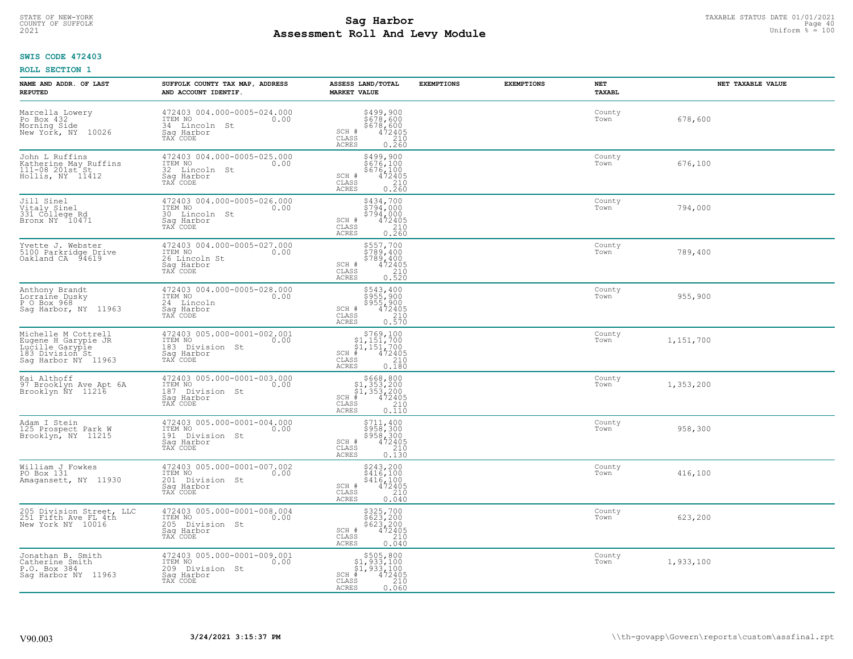#### **Sag Harbor** TAXABLE STATUS DATE 01/01/2021<br>
Poll and Louis Module **Assessment Roll And Levy Module Example 100** Uniform  $\frac{1}{8}$  = 100 COUNTY OF SUFFOLK **Example 10** and the country of sufficient of the country of sufficient  $\blacksquare$  and  $\blacksquare$  and  $\blacksquare$

## **SWIS CODE 472403**

| NAME AND ADDR. OF LAST<br><b>REPUTED</b>                                                                | SUFFOLK COUNTY TAX MAP, ADDRESS<br>AND ACCOUNT IDENTIF.                                        | ASSESS LAND/TOTAL<br><b>MARKET VALUE</b>                                                                                                   | <b>EXEMPTIONS</b> | <b>EXEMPTIONS</b> | <b>NET</b><br>TAXABL | NET TAXABLE VALUE |
|---------------------------------------------------------------------------------------------------------|------------------------------------------------------------------------------------------------|--------------------------------------------------------------------------------------------------------------------------------------------|-------------------|-------------------|----------------------|-------------------|
| Marcella Lowery<br>Po Box 432<br>Morning Side<br>New York, NY 10026                                     | 472403 004.000-0005-024.000<br>ITEM NO<br>0.00<br>34 Lincoln St<br>Saq Harbor<br>TAX CODE      | \$499,900<br>\$678,600<br>\$678,600<br>SCH #<br>472405<br>210<br>CLASS<br><b>ACRES</b><br>0.260                                            |                   |                   | County<br>Town       | 678,600           |
| John L Ruffins<br>Katherine May Ruffins<br>111-08 201st St<br>Hollis, NY 11412                          | 472403 004.000-0005-025.000<br>ITEM NO<br>0.00<br>32 Lincoln St<br>Saq Harbor<br>TAX CODE      | \$499,900<br>\$676,100<br>\$676,100<br>SCH #<br>$72405\n210\n0.260$<br>CLASS<br>ACRES                                                      |                   |                   | County<br>Town       | 676,100           |
| Jill Sinel<br>Vitaly Sinel<br>331 College Rd<br>Bronx NY 10471                                          | 472403 004.000-0005-026.000<br>ITEM NO<br>0.00<br>30<br>Lincoln St<br>Saq Harbor<br>TAX CODE   | \$434,700<br>\$794,000<br>\$794,000<br>SCH #<br>$\begin{smallmatrix} 472405\ 210\ 0.260 \end{smallmatrix}$<br>CLASS<br>ACRES               |                   |                   | County<br>Town       | 794,000           |
| Yvette J. Webster<br>5100 Parkridge Drive<br>Oakland CA 94619                                           | 472403 004.000-0005-027.000<br>ITEM NO<br>0.00<br>26 Lincoln St<br>Saq Harbor<br>TAX CODE      | \$557,700<br>\$789,400<br>\$789,400<br>SCH #<br>$72405\n210\n0.520$<br>CLASS<br>ACRES                                                      |                   |                   | County<br>Town       | 789,400           |
| Anthony Brandt<br>Lorraine Dusky<br>P O Box 968<br>Sag Harbor, NY 11963                                 | 472403 004.000-0005-028.000<br>ITEM NO<br>0.00<br>24 Lincoln<br>Saq Harbor<br>TAX CODE         | \$543,400<br>5955,900<br>$$955,900$ $472405$ $0.570$<br>SCH #<br>$\mathtt{CLASS}$<br>ACRES                                                 |                   |                   | County<br>Town       | 955,900           |
| Michelle M Cottrell<br>Eugene H Garypie JR<br>Lucille Garypie<br>183 Division St<br>Sag Harbor NY 11963 | 472403 005.000-0001-002.001<br>ITEM NO<br>0.00<br>183<br>Division St<br>Sag Harbor<br>TAX CODE | $$769,100$<br>$$1,151,700$<br>$$1,151,700$<br>$*1$<br>$*12405$<br>$SCH$ #<br>CLASS<br>$\begin{array}{c} 210 \\ 0.180 \end{array}$<br>ACRES |                   |                   | County<br>Town       | 1,151,700         |
| Kai Althoff<br>97 Brooklyn Ave Apt 6A<br>Brooklyn NY 11216                                              | 472403 005.000-0001-003.000<br>ITEM NO<br>0.00<br>187<br>Division St<br>Saq Harbor<br>TAX CODE | $$668, 800$<br>$$1, 353, 200$<br>$$1, 353, 200$<br>$$472405$<br>$SCH$ #<br>CLASS<br>210<br>ACRES<br>0.110                                  |                   |                   | County<br>Town       | 1,353,200         |
| Adam I Stein<br>125 Prospect Park W<br>Brooklyn, NY 11215                                               | 472403 005.000-0001-004.000<br>ITEM NO<br>0.00<br>191 Division St<br>Saq Harbor<br>TAX CODE    | $5711, 400$<br>$5958, 300$<br>$5958, 300$<br>$472405$<br>$210$<br>SCH #<br>CLASS<br><b>ACRES</b><br>0.130                                  |                   |                   | County<br>Town       | 958,300           |
| William J Fowkes<br>PO Box 131<br>Amagansett, NY 11930                                                  | 472403 005.000-0001-007.002<br>ITEM NO<br>0.00<br>201 Division St<br>Saq Harbor<br>TAX CODE    | \$243,200<br>\$416,100<br>\$416,100<br>472405<br>SCH #<br>CLASS<br>$\frac{210}{0.040}$<br>ACRES                                            |                   |                   | County<br>Town       | 416,100           |
| Division Street, LLC<br>205 Division Street,<br>251 Fifth Ave FL 4th<br>New York NY 10016               | 472403 005.000-0001-008.004<br>ITEM NO<br>0.00<br>205<br>Division St<br>Sag Harbor<br>TAX CODE | \$325,700<br>\$623,200<br>\$623,200<br>472405<br>SCH #<br>210<br>CLASS<br><b>ACRES</b><br>0.040                                            |                   |                   | County<br>Town       | 623,200           |
| Jonathan B. Smith<br>Catherine Smith<br>P.O. Box 384<br>Saq Harbor NY 11963                             | 472403 005.000-0001-009.001<br>ITEM NO<br>0.00<br>209 Division St<br>Sag Harbor<br>TAX CODE    | \$505,800<br>\$1,933,100<br>\$1,933,100<br>$SCH$ #<br>472405<br>210<br>CLASS<br><b>ACRES</b><br>0.060                                      |                   |                   | County<br>Town       | 1,933,100         |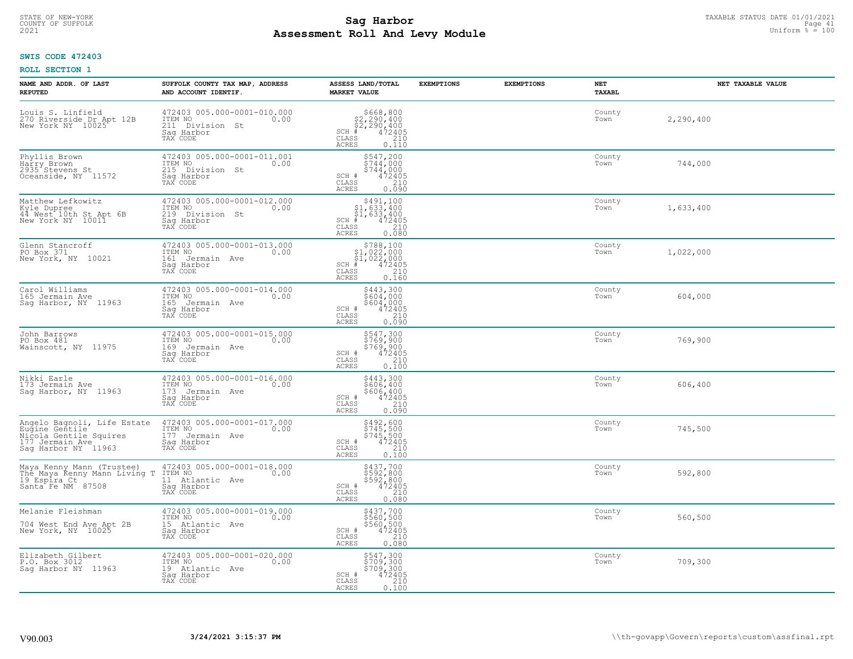#### **Sag Harbor** TAXABLE STATUS DATE 01/01/2021<br>
Poll and Louis Module **Assessment Roll And Levy Module Example 2021** Uniform  $\frac{1}{8}$  = 100 COUNTY OF SUFFOLK **Example 2018 COUNTY OF SUFFOLK** Page 41

## **SWIS CODE 472403**

| NAME AND ADDR. OF LAST<br><b>REPUTED</b>                                                                          | SUFFOLK COUNTY TAX MAP, ADDRESS<br>AND ACCOUNT IDENTIF.                                        | ASSESS LAND/TOTAL<br><b>MARKET VALUE</b>                                                                                     | <b>EXEMPTIONS</b> | <b>EXEMPTIONS</b> | NET<br><b>TAXABL</b> | NET TAXABLE VALUE |
|-------------------------------------------------------------------------------------------------------------------|------------------------------------------------------------------------------------------------|------------------------------------------------------------------------------------------------------------------------------|-------------------|-------------------|----------------------|-------------------|
| Louis S. Linfield<br>270 Riverside Dr Apt 12B<br>New York NY 10025                                                | 472403 005.000-0001-010.000<br>ITEM NO<br>0.00<br>211 Division St<br>Saq Harbor<br>TAX CODE    | $$668, 800$<br>$$2, 290, 400$<br>$$2, 290, 400$<br>$472405$<br>$$240$<br>$$240$<br>$SCH$ #<br>CLASS<br><b>ACRES</b><br>0.110 |                   |                   | County<br>Town       | 2,290,400         |
| Phyllis Brown<br>Harry Brown<br>2935 <sup>-</sup> Stevens St<br>Oceanside, NY 11572                               | 472403 005.000-0001-011.001<br>ITEM NO<br>0.00<br>215 Division St<br>Saq Harbor<br>TAX CODE    | \$547,200<br>\$744,000<br>\$744,000<br>SCH #<br>472405<br>CLASS<br>210<br><b>ACRES</b><br>0.090                              |                   |                   | County<br>Town       | 744,000           |
| Matthew Lefkowitz<br>Kyle Dupree<br>44 West 10th St Apt 6B<br>New York NY 10011                                   | 472403 005.000-0001-012.000<br>ITEM NO<br>0.00<br>219 Division St<br>Saq Harbor<br>TAX CODE    | \$491,100<br>\$1,633,400<br>\$1,633,400<br>#472405<br>$SCH$ #<br>CLASS<br>210<br>0.080<br><b>ACRES</b>                       |                   |                   | County<br>Town       | 1,633,400         |
| Glenn Stancroff<br>PO Box 371<br>New York, NY 10021                                                               | 472403 005.000-0001-013.000<br>TTEM NO 0.00<br>161 Jermain Ave<br>Saq Harbor<br>TAX CODE       | $$788,100$<br>$$1,022,000$<br>$$1,022,000$<br>$*$<br>$472405$<br>$SCH$ #<br>CLASS<br>210<br>ACRES<br>0.160                   |                   |                   | County<br>Town       | 1,022,000         |
| Carol Williams<br>165 Jermain Ave<br>Sag Harbor, NY 11963                                                         | 472403 005.000-0001-014.000<br>ITEM NO<br>0.00<br>165<br>Jermain Ave<br>Saq Harbor<br>TAX CODE | \$443,300<br>\$604,000<br>\$604,000<br>SCH #<br>$\frac{472405}{210}$<br>CLASS<br><b>ACRES</b><br>0.090                       |                   |                   | County<br>Town       | 604,000           |
| John Barrows<br>PO Box 481<br>Wainscott, NY 11975                                                                 | 472403 005.000-0001-015.000<br>ITEM NO<br>0.00<br>169 Jermain Ave<br>Saq Harbor<br>TAX CODE    | \$547,300<br>\$769,900<br>\$769,900<br>472405<br>210<br>SCH #<br>$\mathtt{CLASS}$<br>0.100<br><b>ACRES</b>                   |                   |                   | County<br>Town       | 769,900           |
| Nikki Earle<br>173 Jermain Ave<br>Sag Harbor, NY 11963                                                            | 472403 005.000-0001-016.000<br>ITEM NO<br>173 Jermain Ave<br>0.00<br>Saq Harbor<br>TAX CODE    | \$443,300<br>\$606,400<br>\$606,400<br>472405<br>SCH #<br>210<br>CLASS<br>0.090<br><b>ACRES</b>                              |                   |                   | County<br>Town       | 606,400           |
| Angelo Bagnoli, Life Estate<br>Eugine Gentile<br>Nicola Gentile Squires<br>177 Jermain Ave<br>Sag Harbor NY 11963 | 472403 005.000-0001-017.000<br>ITEM NO<br>0.00<br>177 Jermain Ave<br>Saq Harbor<br>TAX CODE    | \$492,600<br>\$745,500<br>\$745,500<br>472405<br>SCH #<br>CLASS<br>210<br><b>ACRES</b><br>0.100                              |                   |                   | County<br>Town       | 745,500           |
| Maya Kenny Mann (Trustee)<br>The Maya Kenny Mann Living T<br>19 Espira Ct<br>Santa Fe NM 87508                    | 472403 005.000-0001-018.000<br>10.00 0.00<br>11 Atlantic Ave<br>Saq Harbor<br>TAX CODE         | \$437,700<br>\$592,800<br>\$592,800<br>SCH #<br>472405<br>CLASS<br>210<br><b>ACRES</b><br>0.080                              |                   |                   | County<br>Town       | 592,800           |
| Melanie Fleishman<br>704 West End Ave Apt 2B<br>New York, NY 10025                                                | 472403 005.000-0001-019.000<br>ITEM NO<br>0.00<br>15 Atlantic Ave<br>Sag Harbor<br>TAX CODE    | \$437,700<br>\$560,500<br>\$560,500<br>472405<br>SCH #<br>210<br>CLASS<br><b>ACRES</b><br>0.080                              |                   |                   | County<br>Town       | 560,500           |
| Elizabeth Gilbert<br>P.O. Box 3012<br>Saq Harbor NY 11963                                                         | 472403 005.000-0001-020.000<br>ITEM NO<br>0.00<br>19 Atlantic Ave<br>Sag Harbor<br>TAX CODE    | \$547,300<br>\$709,300<br>\$709,300<br>SCH #<br>472405<br>CLASS<br>210<br><b>ACRES</b><br>0.100                              |                   |                   | County<br>Town       | 709,300           |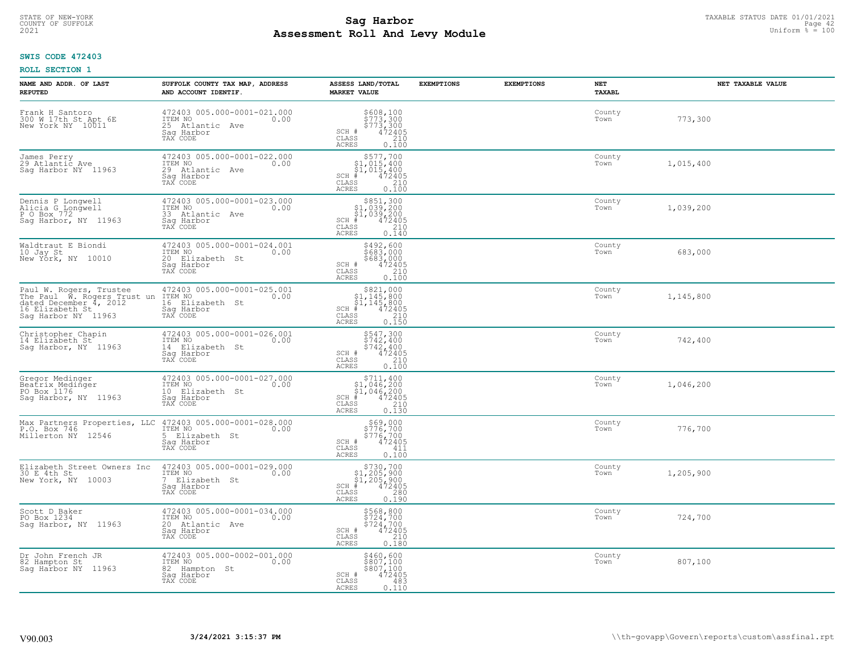# TAXABLE STATUS DATE 01/01/2021<br>COUNTY OF SUFFOLK Page 42 **Assessment Roll And Levy Module Example 2021** Uniform  $\frac{1}{8}$  = 100

## **SWIS CODE 472403**

| NAME AND ADDR. OF LAST<br><b>REPUTED</b>                                                                                   | SUFFOLK COUNTY TAX MAP, ADDRESS<br>AND ACCOUNT IDENTIF.                                     | ASSESS LAND/TOTAL<br><b>MARKET VALUE</b>                                                                                                                               | <b>EXEMPTIONS</b> | <b>EXEMPTIONS</b> | NET<br>TAXABL  | NET TAXABLE VALUE |
|----------------------------------------------------------------------------------------------------------------------------|---------------------------------------------------------------------------------------------|------------------------------------------------------------------------------------------------------------------------------------------------------------------------|-------------------|-------------------|----------------|-------------------|
| Frank H Santoro<br>300 W 17th St Apt 6E<br>New York NY 10011                                                               | 472403 005.000-0001-021.000<br>ITEM NO<br>0.00<br>25 Atlantic Ave<br>Saq Harbor<br>TAX CODE | \$608,100<br>\$773,300<br>\$773,300<br>472405<br>210<br>SCH #<br>CLASS<br><b>ACRES</b><br>0.100                                                                        |                   |                   | County<br>Town | 773,300           |
| James Perry<br>29 Atlantic Ave<br>Saq Harbor NY 11963                                                                      | 472403 005.000-0001-022.000<br>ITEM NO<br>0.00<br>29 Atlantic Ave<br>Saq Harbor<br>TAX CODE | \$577,700<br>\$1,015,400<br>\$1,015,400<br>$SCH$ #<br>472405<br>CLASS<br>210<br><b>ACRES</b><br>0.100                                                                  |                   |                   | County<br>Town | 1,015,400         |
| Dennis P Longwell<br>Alicia G Longwell<br>P O Box 772<br>Saq Harbor, NY 11963                                              | 472403 005.000-0001-023.000<br>ITEM NO<br>0.00<br>33 Atlantic Ave<br>Sag Harbor<br>TAX CODE | \$851,300<br>\$1,039,200<br>\$1,039,200<br>472405<br>$SCH$ #<br>CLASS<br>210<br>0.140<br>ACRES                                                                         |                   |                   | County<br>Town | 1,039,200         |
| Waldtraut E Biondi<br>10 Jay St<br>New York, NY 10010                                                                      | 472403 005.000-0001-024.001<br>ITEM NO<br>0.00<br>20 Elizabeth St<br>Sag Harbor<br>TAX CODE | \$492,600<br>\$683,000<br>$$683,000$<br>SCH #<br>$\frac{472405}{210}$<br>CLASS<br>ACRES<br>0.100                                                                       |                   |                   | County<br>Town | 683,000           |
| Paul W. Rogers, Trustee<br>The Paul W. Rogers Trust un<br>dated December 4, 2012<br>16 Elizabeth St<br>Sag Harbor NY 11963 | 472403 005.000-0001-025.001<br>ITEM NO<br>0.00<br>16 Elizabeth St<br>Saq Harbor<br>TAX CODE | \$821,000<br>\$1,145,800<br>$\begin{array}{r} 51,145,800 \\ 472405 \\ \text{is} \qquad \qquad 210 \end{array}$<br>$SCH$ #<br>$\mathtt{CLASS}$<br>0.150<br><b>ACRES</b> |                   |                   | County<br>Town | 1,145,800         |
| Christopher Chapin<br>14 Elizabeth St<br>Sag Harbor, NY 11963                                                              | 472403 005.000-0001-026.001<br>ITEM NO<br>0.00<br>14 Elizabeth St<br>Saq Harbor<br>TAX CODE | \$547,300<br>\$742,400<br>\$742,400<br>472405<br>SCH #<br>210<br>$\mathtt{CLASS}$<br>0.100<br><b>ACRES</b>                                                             |                   |                   | County<br>Town | 742,400           |
| Gregor Medinger<br>Beatrix Medinger<br>PO Box 1176<br>Sag Harbor, NY 11963                                                 | 472403 005.000-0001-027.000<br>ITEM NO<br>0.00<br>10 Elizabeth St<br>Saq Harbor<br>TAX CODE | \$711,400<br>$$1,046,200$<br>$$1,046,200$<br>$*$ 472405<br>$SCH$ #<br>$\mathtt{CLASS}$<br>210<br><b>ACRES</b><br>0.130                                                 |                   |                   | County<br>Town | 1,046,200         |
| Max Partners Properties, LLC<br>P.O. Box 746<br>Millerton NY<br>12546                                                      | 472403 005.000-0001-028.000<br>0.00 0.00<br>5 Elizabeth St<br>Saq Harbor<br>TAX CODE        | \$69,000<br>\$776,700<br>\$776,700<br>\$72405<br>SCH #<br>CLASS<br>411<br><b>ACRES</b><br>0.100                                                                        |                   |                   | County<br>Town | 776,700           |
| Elizabeth Street Owners Inc<br>30 E 4th St<br>New York, NY 10003                                                           | 472403 005.000-0001-029.000<br>TTEM NO 0.00<br>7 Elizabeth St<br>Saq Harbor<br>TAX CODE     | $$730,700$<br>$$1,205,900$<br>$$1,205,900$<br>$*$ 472405<br>$SCH$ $#$<br>CLASS<br>280<br>ACRES<br>0.190                                                                |                   |                   | County<br>Town | 1,205,900         |
| Scott D Baker<br>PO Box 1234<br>Sag Harbor, NY 11963                                                                       | 472403 005.000-0001-034.000<br>ITEM NO<br>0.00<br>20 Atlantic Ave<br>Sag Harbor<br>TAX CODE | \$568,800<br>\$724,700<br>\$724,700<br>472405<br>$SCH$ $#$<br>210<br>CLASS<br><b>ACRES</b><br>0.180                                                                    |                   |                   | County<br>Town | 724,700           |
| Dr John French JR<br>82 Hampton St<br>Saq Harbor NY 11963                                                                  | 472403 005.000-0002-001.000<br>ITEM NO<br>0.00<br>82 Hampton St<br>Sag Harbor<br>TAX CODE   | \$460,600<br>\$807,100<br>\$807,100<br>SCH #<br>472405<br>CLASS<br>483<br><b>ACRES</b><br>0.110                                                                        |                   |                   | County<br>Town | 807,100           |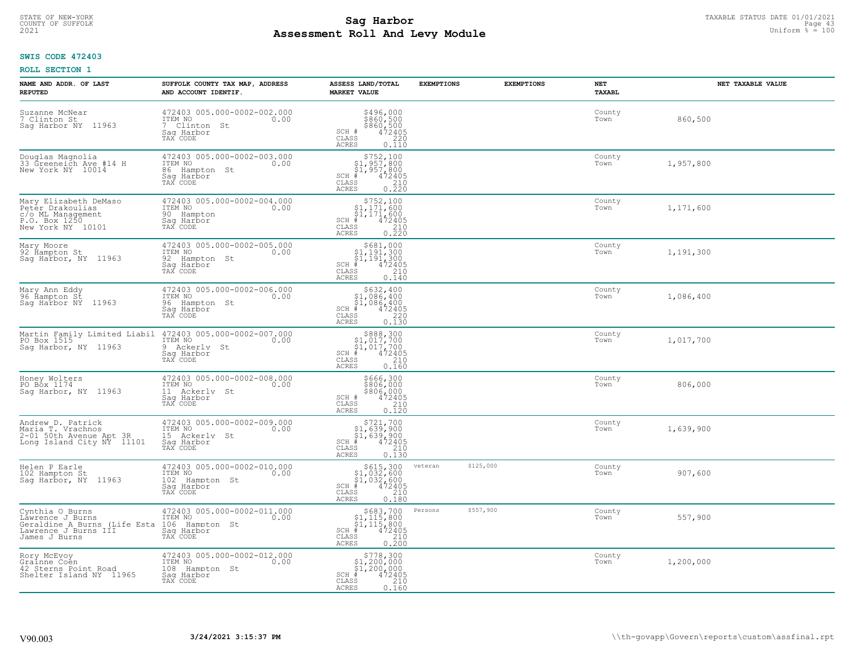# TAXABLE STATUS DATE 01/01/2021<br>COUNTY OF SUFFOLK Page 43 **Assessment Roll And Levy Module Example 2021** Uniform  $\frac{1}{8}$  = 100

## **SWIS CODE 472403**

| NAME AND ADDR. OF LAST<br><b>REPUTED</b>                                                                     | SUFFOLK COUNTY TAX MAP, ADDRESS<br>AND ACCOUNT IDENTIF.                                                               | ASSESS LAND/TOTAL<br><b>MARKET VALUE</b>                                                                                                          | <b>EXEMPTIONS</b>    | <b>EXEMPTIONS</b> | NET<br><b>TAXABL</b> | NET TAXABLE VALUE |
|--------------------------------------------------------------------------------------------------------------|-----------------------------------------------------------------------------------------------------------------------|---------------------------------------------------------------------------------------------------------------------------------------------------|----------------------|-------------------|----------------------|-------------------|
| Suzanne McNear<br>7 Clinton St<br>Sag Harbor NY 11963                                                        | 472403 005.000-0002-002.000<br>ITEM NO<br>0.00<br>7 Clinton St<br>Saq Harbor<br>TAX CODE                              | \$496,000<br>\$860,500<br>\$860,500<br>472405<br>SCH #<br>$\mathtt{CLASS}$<br>220<br><b>ACRES</b><br>0.110                                        |                      |                   | County<br>Town       | 860,500           |
| Douglas Magnolia<br>33 Greeneich Ave #14 H<br>New York NY 10014                                              | 472403 005.000-0002-003.000<br>ITEM NO<br>0.00<br>86 Hampton St<br>Sag Harbor<br>TAX CODE                             | $$752,100$<br>$$1,957,800$<br>$$1,957,800$<br>$*1$<br>$472405$<br>$SCH$ #<br>CLASS<br>$\begin{array}{c} 210 \\ 0.220 \end{array}$<br><b>ACRES</b> |                      |                   | County<br>Town       | 1,957,800         |
| Mary Elizabeth DeMaso<br>Petēr Drakoulias<br>c/o ML Management<br>P.O. Box 1250<br>New York NY 10101         | 472403 005.000-0002-004.000<br>ITEM NO<br>0.00<br>90 Hampton<br>Saq Harbor<br>TAX CODE                                | $$752,100$<br>$$1,171,600$<br>$$1,171,600$<br>$SCH$ #<br>472405<br>CLASS<br>210<br><b>ACRES</b><br>0.220                                          |                      |                   | County<br>Town       | 1,171,600         |
| Mary Moore<br>92 Hampton St<br>Sag Harbor, NY 11963                                                          | 472403 005.000-0002-005.000<br>ITEM NO<br>0.00<br>92 Hampton St<br>Saq Harbor<br>TAX CODE                             | $$681,000$<br>$$1,191,300$<br>$$1,191,300$<br>$*1$<br>$472405$<br>$SCH$ #<br>CLASS<br>210<br>ACRES<br>0.140                                       |                      |                   | County<br>Town       | 1,191,300         |
| Mary Ann Eddy<br>96 Hampton St<br>Sag Harbor NY<br>11963                                                     | 472403 005.000-0002-006.000<br>ITEM NO<br>0.00<br>96 Hampton St<br>Saq Harbor<br>TAX CODE                             | $$632, 400$<br>$$1, 086, 400$<br>$$1, 086, 400$<br>$472405$<br>$$220$<br>$SCH$ #<br>CLASS<br>0.130<br><b>ACRES</b>                                |                      |                   | County<br>Town       | 1,086,400         |
| PO Box 1515<br>Sag Harbor, NY 11963                                                                          | Martin Family Limited Liabil 472403 005.000-0002-007.000<br>ITEM NO<br>0.00<br>9 Ackerly St<br>Saq Harbor<br>TAX CODE | $$888,300$<br>$$1,017,700$<br>$$1,017,700$<br>$*1,017,700$<br>$*1,017,2405$<br>$SCH$ #<br>$\mathtt{CLASS}$<br>210<br>0.160<br><b>ACRES</b>        |                      |                   | County<br>Town       | 1,017,700         |
| Honey Wolters<br>PO Box 1174<br>Saq Harbor, NY 11963                                                         | 472403 005.000-0002-008.000<br>ITEM NO<br>0.00<br>11 Ackerly St<br>Saq Harbor<br>TAX CODE                             | \$666,300<br>\$806,000<br>\$806,000<br>472405<br>SCH #<br>CLASS<br>210<br>0.120<br>ACRES                                                          |                      |                   | County<br>Town       | 806,000           |
| Andrew D. Patrick<br>Maria T. Vrachnos<br>2-01 50th Avenue Apt 3R<br>Long Island City NY 11101               | 472403 005.000-0002-009.000<br>ITEM NO<br>0.00<br>15 Ackerly<br>St<br>Saq Harbor<br>TAX CODE                          | $$721,700$<br>$$1,639,900$<br>$$1,639,900$<br>$472405$<br>$$210$<br>$SCH$ #<br>CLASS<br><b>ACRES</b><br>0.130                                     |                      |                   | County<br>Town       | 1,639,900         |
| Helen P Earle<br>102 Hampton St<br>Sag Harbor, NY 11963                                                      | 472403 005.000-0002-010.000<br>ITEM NO<br>0.00<br>102 Hampton St<br>Sag Harbor<br>TAX CODE                            | \$615,300<br>\$1,032,600<br>\$1,032,600<br>$SCH$ #<br>472405<br>210<br>CLASS<br><b>ACRES</b><br>0.180                                             | \$125,000<br>veteran |                   | County<br>Town       | 907,600           |
| Cynthia O Burns<br>Lawrence J Burns<br>Geraldine A Burns (Life Esta<br>Lawrence J Burns III<br>James J Burns | 472403 005.000-0002-011.000<br>ITEM NO<br>0.00<br>106<br>Hampton St<br>Saq Harbor<br>TAX CODE                         | $$683,700$<br>$$1,115,800$<br>$$1,115,800$<br>$*1$<br>$472405$<br>$SCH$ #<br>CLASS<br>$\frac{210}{0.200}$<br><b>ACRES</b>                         | \$557,900<br>Persons |                   | County<br>Town       | 557,900           |
| Rory McEvoy<br>Grainne Coen<br>42 Sterns Point Road<br>Shelter Island NY 11965                               | 472403 005.000-0002-012.000<br>ITEM NO<br>0.00<br>108 Hampton St<br>Saq Harbor<br>TAX CODE                            | $$778,300$<br>$$1,200,000$<br>$$1,200,000$<br>$*1$<br>$472405$<br>SCH #<br>CLASS<br>210<br>ACRES<br>0.160                                         |                      |                   | County<br>Town       | 1,200,000         |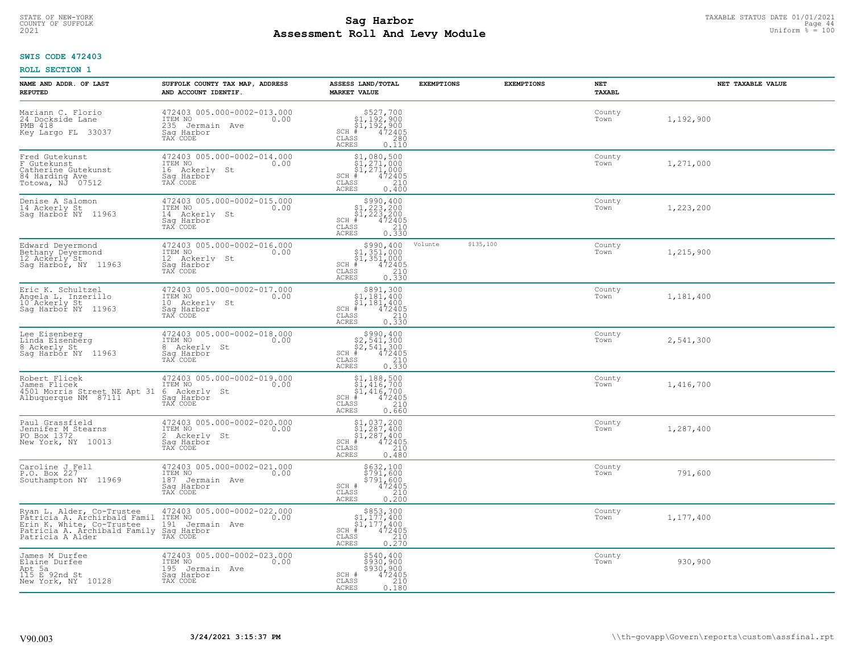# TAXABLE STATUS DATE 01/01/2021<br>COUNTY OF SUFFOLK Page 44 **Assessment Roll And Levy Module Example 2021** Uniform  $\frac{1}{8}$  = 100

## **SWIS CODE 472403**

| NAME AND ADDR. OF LAST<br><b>REPUTED</b>                                                                                                   | SUFFOLK COUNTY TAX MAP, ADDRESS<br>AND ACCOUNT IDENTIF.                                                                             | ASSESS LAND/TOTAL<br><b>MARKET VALUE</b>                                                                                                                                    | <b>EXEMPTIONS</b> | <b>EXEMPTIONS</b> | <b>NET</b><br>TAXABL | NET TAXABLE VALUE |
|--------------------------------------------------------------------------------------------------------------------------------------------|-------------------------------------------------------------------------------------------------------------------------------------|-----------------------------------------------------------------------------------------------------------------------------------------------------------------------------|-------------------|-------------------|----------------------|-------------------|
| Mariann C. Florio<br>24 Dockside Lane<br>PMB 418<br>Key Largo FL 33037                                                                     | 472403 005.000-0002-013.000<br>ITEM NO<br>0.00<br>235 Jermain Ave<br>Saq Harbor<br>TAX CODE                                         | $$527,700$<br>$$1,192,900$<br>$$1,192,900$<br>$472405$<br>$$280$<br>$$280$<br>$SCH$ #<br>CLASS<br><b>ACRES</b><br>0.110                                                     |                   |                   | County<br>Town       | 1,192,900         |
| Fred Gutekunst<br>F Gutekunst<br>Catherine Gutekunst<br>84 Harding Ave<br>Totowa, NJ 07512                                                 | 472403 005.000-0002-014.000<br>ITEM NO<br>0.00<br>16 Ackerly St<br>Saq Harbor<br>TAX CODE                                           | $$1,080,500$<br>$$1,271,000$<br>$$1,271,000$<br>$SCH$ #<br>472405<br>CLASS<br>210<br><b>ACRES</b><br>0.400                                                                  |                   |                   | County<br>Town       | 1,271,000         |
| Denise A Salomon<br>14 Ackerly St<br>Saq Harbor NY 11963                                                                                   | 472403 005.000-0002-015.000<br>ITEM NO<br>0.00<br>14 Ackerly St<br>Saq Harbor<br>TAX CODE                                           | $$990, 400$<br>$$1, 223, 200$<br>$$1, 223, 200$<br>$$1, 223, 200$<br>472405<br>$SCH$ #<br>$\begin{array}{c} 210 \\ 0.330 \end{array}$<br>CLASS<br>ACRES                     |                   |                   | County<br>Town       | 1,223,200         |
| Edward Deyermond<br>Bethany Deyermond<br>12 Ackerly St<br>Sag Harbor, NY 11963                                                             | 472403 005.000-0002-016.000<br>TTEM NO 0.00<br>12 Ackerly St<br>Saq Harbor<br>TAX CODE                                              | $$990, 400$<br>$$1, 351, 000$<br>$$1, 351, 000$<br>$$1, 351, 000$<br>$SCH$ #<br>$\begin{smallmatrix} 7472405 \\ 472405 \\ 210 \\ 0.330 \end{smallmatrix}$<br>CLASS<br>ACRES | Volunte           | \$135,100         | County<br>Town       | 1,215,900         |
| Eric K. Schultzel<br>Angela L. Inzerillo<br>10 Ackerly St<br>Sag Harbor NY 11963                                                           | 472403 005.000-0002-017.000<br>ITEM NO<br>0.00<br>10 Ackerly St<br>Saq Harbor<br>TAX CODE                                           | \$891,300<br>\$1,181,400<br>$\frac{1}{21}$ , 181, 400<br>$\frac{1}{4}$ , 472405<br>$\frac{210}{47}$<br>$SCH$ #<br>$\mathtt{CLASS}$<br>0.330<br><b>ACRES</b>                 |                   |                   | County<br>Town       | 1,181,400         |
| Lee Eisenberg<br>Linda Eisenberg<br>8 Ackerly St<br>Sag Harbor NY 11963                                                                    | 472403 005.000-0002-018.000<br>ITEM NO<br>0.00<br>8 Ackerly St<br>Sag Harbor<br>TAX CODE                                            | $$2,541,300$<br>$$2,541,300$<br>$$2,541,300$<br>$472405$<br>$SCH$ #<br>CLASS<br>$\begin{array}{c} 210 \\ 0.330 \end{array}$<br><b>ACRES</b>                                 |                   |                   | County<br>Town       | 2,541,300         |
| Robert Flicek<br>James Flicek<br>4501 Morris Street NE Apt 31<br>Albuquerque NM 87111                                                      | 472403 005.000-0002-019.000<br>ITEM NO<br>0.00<br>6<br>Ackerly St<br>Saq Harbor<br>TAX CODE                                         | $$1, 188, 500$<br>$$1, 416, 700$<br>$$1, 416, 700$<br>$$4, 412405$<br>SCH #<br>CLASS<br>210<br>ACRES<br>0.660                                                               |                   |                   | County<br>Town       | 1,416,700         |
| Paul Grassfield<br>Jennifer M Stearns<br>PO Box 1372<br>New York, NY 10013                                                                 | $\frac{472403}{17EM \ N0} \cdot \frac{005.000 - 0002 - 020}{0.00} \cdot \frac{000}{0.00}$<br>2 Ackerly St<br>Saq Harbor<br>TAX CODE | $$1,037,200$<br>$$1,287,400$<br>$$1,287,400$<br>$$472405$<br>$SCH$ #<br>CLASS<br>210<br><b>ACRES</b><br>0.480                                                               |                   |                   | County<br>Town       | 1,287,400         |
| Caroline J Fell<br>P.O. Box 227<br>Southampton NY 11969                                                                                    | 472403 005.000-0002-021.000<br>TTEM NO 0.00<br>187 Jermain Ave<br>Saq Harbor<br>TAX CODE                                            | \$632,100<br>\$791,600<br>\$791,600<br>SCH #<br>472405<br>CLASS<br>210<br>0.200<br>ACRES                                                                                    |                   |                   | County<br>Town       | 791,600           |
| Ryan L. Alder, Co-Trustee<br>Patricia A. Archirbald Famil<br>Erin K. White, Co-Trustee<br>Patricia A. Archibald Family<br>Patricia A Alder | 472403 005.000-0002-022.000<br>ITEM NO<br>0.00<br>191 Jermain Ave<br>Sag Harbor<br>TAX CODE                                         | \$853,300<br>\$1,177,400<br>$\frac{1}{4}$ , 177, 400<br>$\frac{1}{4}$ 472405<br>SCH #<br>$\mathtt{CLASS}$<br>210<br>0.270<br><b>ACRES</b>                                   |                   |                   | County<br>Town       | 1,177,400         |
| James M Durfee<br>Elaine Durfee<br>Apt 5a<br>115 E 92nd St<br>New York, NY 10128                                                           | 472403 005.000-0002-023.000<br>ITEM NO<br>0.00<br>195 Jermain Ave<br>Sag Harbor<br>TAX CODE                                         | \$540,400<br>\$930,900<br>\$930,900<br>SCH #<br>472405<br>210<br>CLASS<br><b>ACRES</b><br>0.180                                                                             |                   |                   | County<br>Town       | 930,900           |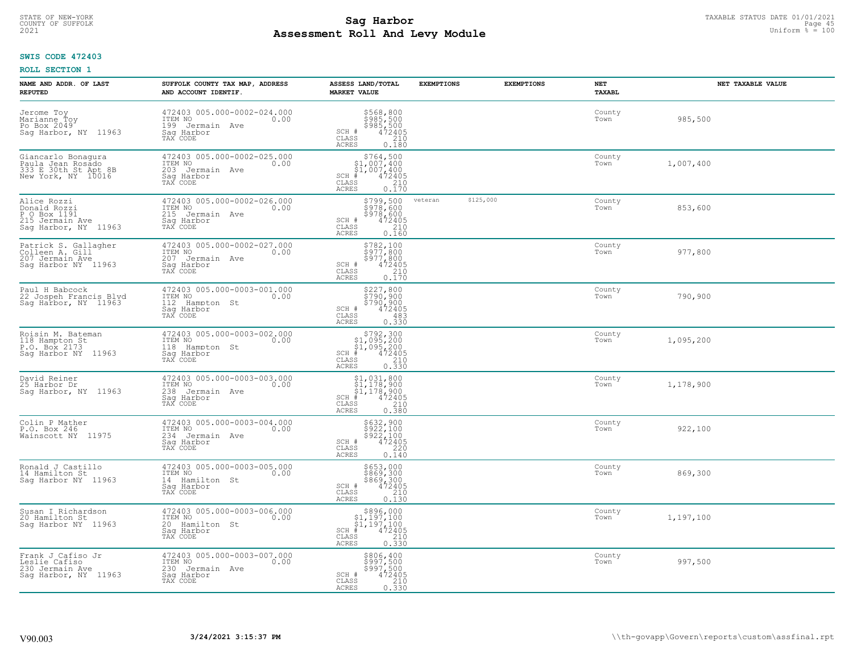# TAXABLE STATUS DATE 01/01/2021<br>COUNTY OF SUFFOLK Page 45 **Assessment Roll And Levy Module Example 2021** Uniform  $\frac{1}{8}$  = 100

## **SWIS CODE 472403**

| NAME AND ADDR. OF LAST<br><b>REPUTED</b>                                               | SUFFOLK COUNTY TAX MAP, ADDRESS<br>AND ACCOUNT IDENTIF.                                        | ASSESS LAND/TOTAL<br><b>MARKET VALUE</b>                                                                                                                                                                                                                                                                                             | <b>EXEMPTIONS</b> | <b>EXEMPTIONS</b> | NET<br>TAXABL  | NET TAXABLE VALUE |
|----------------------------------------------------------------------------------------|------------------------------------------------------------------------------------------------|--------------------------------------------------------------------------------------------------------------------------------------------------------------------------------------------------------------------------------------------------------------------------------------------------------------------------------------|-------------------|-------------------|----------------|-------------------|
| Jerome Toy<br>Marianne Toy<br>Po Box 2049<br>Sag Harbor, NY 11963                      | 472403 005.000-0002-024.000<br>ITEM NO<br>0.00<br>199 Jermain Ave<br>Saq Harbor<br>TAX CODE    | \$568,800<br>\$985,500<br>\$985,500<br>472405<br>SCH #<br>CLASS<br>210<br>ACRES<br>0.180                                                                                                                                                                                                                                             |                   |                   | County<br>Town | 985,500           |
| Giancarlo Bonaqura<br>Paula Jean Rosado<br>333 E 30th St Apt 8B<br>New York, NY 10016  | 472403 005.000-0002-025.000<br>ITEM NO<br>0.00<br>203 Jermain Ave<br>Saq Harbor<br>TAX CODE    | \$764,500<br>\$1,007,400<br>$\frac{1}{2}$ , 007, 400<br>472405<br>$SCH$ #<br>CLASS<br>$\frac{210}{0.170}$<br>ACRES                                                                                                                                                                                                                   |                   |                   | County<br>Town | 1,007,400         |
| Alice Rozzi<br>Donald Rozzi<br>P O Box 1191<br>215 Jermain Ave<br>Sag Harbor, NY 11963 | 472403 005.000-0002-026.000<br>ITEM NO<br>0.00<br>215<br>Jermain Ave<br>Sag Harbor<br>TAX CODE | \$799,500<br>5978,600<br>5978,600<br>$472405$<br>210<br>SCH #<br>CLASS<br>0.160<br>ACRES                                                                                                                                                                                                                                             | veteran           | \$125,000         | County<br>Town | 853,600           |
| Patrick S. Gallagher<br>Colleen A. Gill<br>207 Jermain Ave<br>Saq Harbor NY 11963      | 472403 005.000-0002-027.000<br>ITEM NO<br>0.00<br>207 Jermain Ave<br>Saq Harbor<br>TAX CODE    | \$782,100<br>\$977,800<br>$\begin{array}{r} \n 5977,800 \\  472405 \\  210 \\  0.170\n \end{array}$<br>SCH #<br>CLASS<br>ACRES                                                                                                                                                                                                       |                   |                   | County<br>Town | 977,800           |
| Paul H Babcock<br>22 Jospeh Francis Blvd<br>Sag Harbor, NY 11963                       | 472403 005.000-0003-001.000<br>ITEM NO<br>0.00<br>112<br>Hampton St<br>Saq Harbor<br>TAX CODE  | \$227,800<br>\$790,900<br>\$790,900<br>472405<br>SCH #<br>CLASS<br>483<br><b>ACRES</b><br>0.330                                                                                                                                                                                                                                      |                   |                   | County<br>Town | 790,900           |
| Roisin M. Bateman<br>118 Hampton St<br>P.O. Box 2173<br>Sag Harbor NY 11963            | 472403 005.000-0003-002.000<br>ITEM NO<br>0.00<br>118<br>Hampton St<br>Saq Harbor<br>TAX CODE  | $$792,300$<br>$$1,095,200$<br>$$1,095,200$<br>$$472405$<br>$SCH$ #<br>$\mathtt{CLASS}$<br>$\begin{array}{c} 210 \\ 0.330 \end{array}$<br>ACRES                                                                                                                                                                                       |                   |                   | County<br>Town | 1,095,200         |
| David Reiner<br>25 Harbor Dr<br>Sag Harbor, NY 11963                                   | 472403 005.000-0003-003.000<br>ITEM NO<br>0.00<br>238<br>Jermain Ave<br>Sag Harbor<br>TAX CODE | $$1,031,800$<br>$$1,178,900$<br>$$1,178,900$<br>$$1,178,900$<br>$472405$<br>SCH #<br>210<br>CLASS<br>0.380<br><b>ACRES</b>                                                                                                                                                                                                           |                   |                   | County<br>Town | 1,178,900         |
| Colin P Mather<br>P.O. Box 246<br>Wainscott NY<br>11975                                | 472403 005.000-0003-004.000<br>ITEM NO<br>0.00<br>234 Jermain Ave<br>Saq Harbor<br>TAX CODE    | $$632,900$<br>$$922,100$<br>$$922,100$<br>$$472405$<br>$$220$<br>SCH #<br>CLASS<br>ACRES<br>0.140                                                                                                                                                                                                                                    |                   |                   | County<br>Town | 922,100           |
| Ronald J Castillo<br>14 Hamilton St<br>Saq Harbor NY 11963                             | 472403 005.000-0003-005.000<br>ITEM NO<br>0.00<br>14 Hamilton St<br>Saq Harbor<br>TAX CODE     | \$653,000<br>\$869,300<br>\$869,300<br>472405<br>SCH #<br>CLASS<br>$\frac{210}{0.130}$<br><b>ACRES</b>                                                                                                                                                                                                                               |                   |                   | County<br>Town | 869,300           |
| Susan I Richardson<br>20 Hamilton St<br>Saq Harbor NY 11963                            | 472403 005.000-0003-006.000<br>ITEM NO<br>0.00<br>20 Hamilton St<br>Sag Harbor<br>TAX CODE     | $\begin{array}{r}  \  \  \,  \, 5896,000\\  \  \, 51,197,100\\  \  \, 51,197,100\\  \  \  \, 472405\\  \  \  \, 85\\  \  \  \, 210\\  \  \, 240\\  \  \, 250\\  \  \  \, 210\\  \  \, 220\\  \  \, 230\\  \  \, 240\\  \  \, 250\\  \  \, 220\\  \  \, 240\\  \  \, 250\\  \  \, 220\\  \  \, 220$<br>SCH<br>CLASS<br>0.330<br>ACRES |                   |                   | County<br>Town | 1,197,100         |
| Frank J Cafiso Jr<br>Leslie Cafiso<br>230 Jermain Ave<br>Saq Harbor, NY 11963          | 472403 005.000-0003-007.000<br>ITEM NO<br>0.00<br>230 Jermain Ave<br>Sag Harbor<br>TAX CODE    | \$806,400<br>\$997,500<br>\$997,500<br>472405<br>SCH #<br>210<br>CLASS<br>0.330<br><b>ACRES</b>                                                                                                                                                                                                                                      |                   |                   | County<br>Town | 997,500           |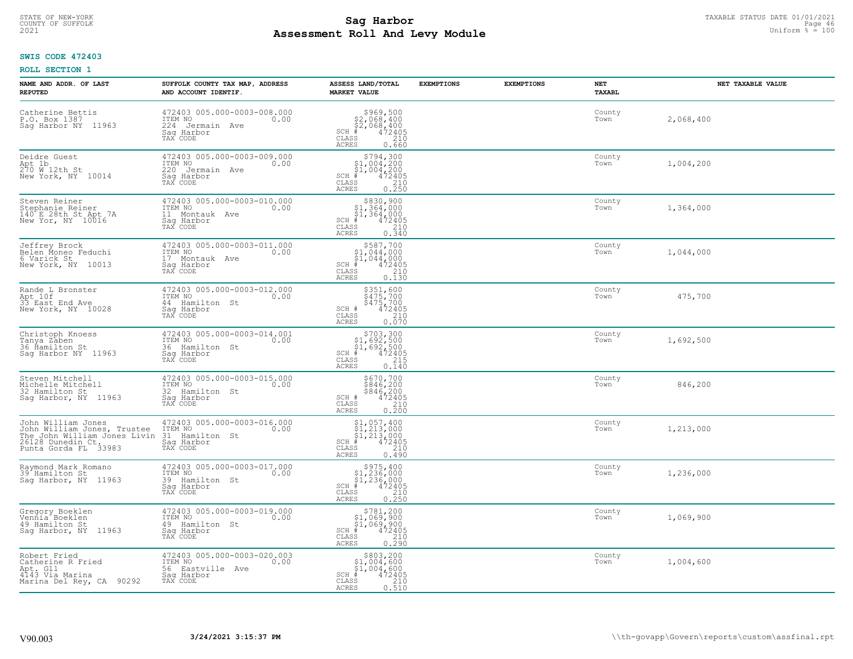#### **Sag Harbor** TAXABLE STATUS DATE 01/01/2021<br>
Poll and Louis Module 46 (Separate Delli and Louis Page 46 (Separate Delli and Louis Page 46 (Separate Deli **Assessment Roll And Levy Module Example 2021** Uniform  $\frac{1}{8}$  = 100 COUNTY OF SUFFOLK **Example 2018 Page 46 COUNTY COUNTY OF SUFFOLK** Page 46 **Page 46**

## **SWIS CODE 472403**

| NAME AND ADDR. OF LAST<br><b>REPUTED</b>                                                                                       | SUFFOLK COUNTY TAX MAP, ADDRESS<br>AND ACCOUNT IDENTIF.                                      | ASSESS LAND/TOTAL<br><b>MARKET VALUE</b>                                                                                              | <b>EXEMPTIONS</b> | <b>EXEMPTIONS</b> | NET<br>TAXABL  | NET TAXABLE VALUE |
|--------------------------------------------------------------------------------------------------------------------------------|----------------------------------------------------------------------------------------------|---------------------------------------------------------------------------------------------------------------------------------------|-------------------|-------------------|----------------|-------------------|
| Catherine Bettis<br>P.O. Box 1387<br>Saq Harbor NY 11963                                                                       | 472403 005.000-0003-008.000<br>ITEM NO<br>0.00<br>224 Jermain Ave<br>Saq Harbor<br>TAX CODE  | $$969,500\n$2,068,400\n$2,068,400\n# 472405\n35 210$<br>$SCH$ #<br>CLASS<br><b>ACRES</b><br>0.660                                     |                   |                   | County<br>Town | 2,068,400         |
| Deidre Guest<br>Apt 1b<br>270 W 12th St<br>New York, NY 10014                                                                  | 472403 005.000-0003-009.000<br>ITEM NO<br>0.00<br>220 Jermain Ave<br>Saq Harbor<br>TAX CODE  | $$794,300$<br>$$1,004,200$<br>$$1,004,200$<br>472405<br>$SCH$ #<br>$\mathtt{CLASS}$<br>$\frac{210}{0.250}$<br>ACRES                   |                   |                   | County<br>Town | 1,004,200         |
| Steven Reiner<br>Stephanie Reiner<br>140 E 28th St Apt 7A<br>New Yor, NY 10016                                                 | 472403 005.000-0003-010.000<br>ITEM NO<br>0.00<br>11 Montauk Ave<br>Saq Harbor<br>TAX CODE   | $$830,900$<br>$$1,364,000$<br>\$1,364,000<br>$SCH$ #<br>472405<br>210<br>CLASS<br>0.340<br>ACRES                                      |                   |                   | County<br>Town | 1,364,000         |
| Jeffrey Brock<br>Belen Moneo Feduchi<br>6 Varick St<br>New York, NY 10013                                                      | 472403 005.000-0003-011.000<br>ITEM NO<br>0.00<br>17 Montauk Ave<br>Saq Harbor<br>TAX CODE   | \$587,700<br>\$1,044,000<br>$SCH$ #<br>CLASS<br><b>ACRES</b><br>0.130                                                                 |                   |                   | County<br>Town | 1,044,000         |
| Rande L Bronster<br>Apt 10f<br>33 East End Ave<br>New York, NY 10028                                                           | 472403 005.000-0003-012.000<br>ITEM NO<br>0.00<br>44 Hamilton St<br>Saq Harbor<br>TAX CODE   | \$351,600<br>\$475,700<br>\$475,700<br>472405<br>SCH #<br>210<br>CLASS<br>0.070<br>ACRES                                              |                   |                   | County<br>Town | 475,700           |
| Christoph Knoess<br>Tanya Zaben<br>36 Ĥamilton St<br>Saq Harbor NY 11963                                                       | 472403 005.000-0003-014.001<br>ITEM NO<br>0.00<br>36 Hamilton St<br>Saq Harbor<br>TAX CODE   | $$703,300$<br>$$1,692,500$<br>$$1,692,500$<br>$$472405$<br>$SCH$ #<br>215<br>CLASS<br><b>ACRES</b><br>0.140                           |                   |                   | County<br>Town | 1,692,500         |
| Steven Mitchell<br>Michelle Mitchell<br>32 Hamilton St<br>Saq Harbor, NY 11963                                                 | 472403 005.000-0003-015.000<br>ITEM NO<br>0.00<br>32 Hamilton St<br>Saq Harbor<br>TAX CODE   | \$670,700<br>\$846,200<br>\$846,200<br>472405<br>SCH #<br>CLASS<br>$\frac{210}{0.200}$<br>ACRES                                       |                   |                   | County<br>Town | 846,200           |
| John William Jones<br>John William Jones, Trustee<br>The John William Jones Livin<br>26128 Dunedin Ct.<br>Punta Gorda FL 33983 | 472403 005.000-0003-016.000<br>10.00 0.00<br>31 Hamilton St<br>Saq Harbor<br>TAX CODE        | $$1,057,400$<br>$$1,213,000$<br>$$1,213,000$<br>$$472405$<br>$SCH$ #<br>$\mathtt{CLASS}$<br>210<br>ACRES<br>0.490                     |                   |                   | County<br>Town | 1,213,000         |
| Raymond Mark Romano<br>39 Hamilton St<br>Sag Harbor, NY 11963                                                                  | 472403 005.000-0003-017.000<br>ITEM NO<br>39 Hamilton St<br>Saq Harbor<br>TAX CODE           | $$975,400\n$1,236,000\n$1,236,000\n# 472405\n35\n210$<br>$SCH$ #<br>CLASS<br>ACRES<br>0.250                                           |                   |                   | County<br>Town | 1,236,000         |
| Gregory Boeklen<br>Vennia Boeklen<br>49 Hamilton St<br>Sag Harbor, NY 11963                                                    | 472403 005.000-0003-019.000<br>ITEM NO<br>0.00<br>49 Hamilton St<br>Sag Harbor<br>TAX CODE   | \$781,200<br>\$1,069,900<br>\$1,069,900<br>#472405<br>$SCH$ #<br>$\begin{array}{c} 210 \\ 0.290 \end{array}$<br>CLASS<br><b>ACRES</b> |                   |                   | County<br>Town | 1,069,900         |
| Robert Fried<br>Catherine R Fried<br>Apt. G11<br>4143 Via Marina<br>Marina Del Rey, CA 90292                                   | 472403 005.000-0003-020.003<br>ITEM NO<br>0.00<br>56 Eastville Ave<br>Saq Harbor<br>TAX CODE | \$803,200<br>\$1,004,600<br>\$1,004,600<br>$SCH$ #<br>472405<br>CLASS<br>210<br>ACRES<br>0.510                                        |                   |                   | County<br>Town | 1,004,600         |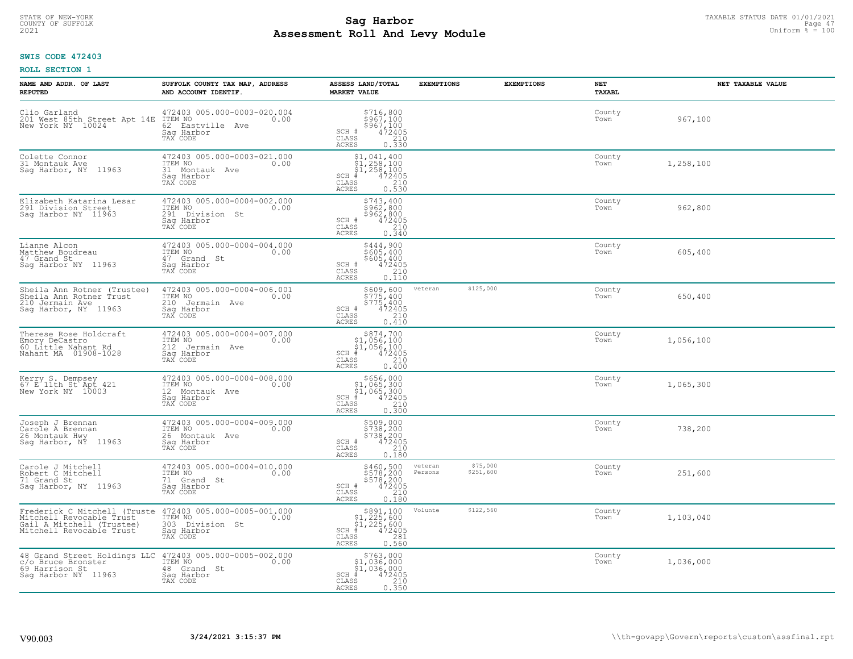# TAXABLE STATUS DATE 01/01/2021<br>COUNTY OF SUFFOLK Page 47 **Assessment Roll And Levy Module Example 2021** Uniform  $\frac{1}{8}$  = 100

## **SWIS CODE 472403**

| NAME AND ADDR. OF LAST<br><b>REPUTED</b>                                                                          | SUFFOLK COUNTY TAX MAP, ADDRESS<br>AND ACCOUNT IDENTIF.                                                              | ASSESS LAND/TOTAL<br><b>MARKET VALUE</b>                                                                                                     | <b>EXEMPTIONS</b>  | <b>EXEMPTIONS</b>     | NET<br><b>TAXABL</b> | NET TAXABLE VALUE |
|-------------------------------------------------------------------------------------------------------------------|----------------------------------------------------------------------------------------------------------------------|----------------------------------------------------------------------------------------------------------------------------------------------|--------------------|-----------------------|----------------------|-------------------|
| Clio Garland<br>201 West 85th Street Apt 14E<br>New York NY 10024                                                 | 472403 005.000-0003-020.004<br>ITEM NO<br>0.00<br>62 Eastville<br>Ave<br>Saq Harbor<br>TAX CODE                      | \$716,800<br>\$967,100<br>\$967,100<br>SCH #<br>$\frac{47\bar{2}\tilde{4}\tilde{0}5}{210}$<br>CLASS<br><b>ACRES</b><br>0.330                 |                    |                       | County<br>Town       | 967,100           |
| Colette Connor<br>31 Montauk Ave<br>Saq Harbor, NY 11963                                                          | 472403 005.000-0003-021.000<br>ITEM NO<br>0.00<br>31 Montauk Ave<br>Saq Harbor<br>TAX CODE                           | $$1,041,400$<br>$$1,258,100$<br>$$1,258,100$<br>$$472405$<br>$SCH$ #<br>CLASS<br>$\begin{array}{c} 210 \\ 0.530 \end{array}$<br><b>ACRES</b> |                    |                       | County<br>Town       | 1,258,100         |
| Elizabeth Katarina Lesar<br>291 Division Street<br>Saq Harbor NY 11963                                            | 472403 005.000-0004-002.000<br>ITEM NO<br>0.00<br>291<br>Division St<br>Saq Harbor<br>TAX CODE                       | \$743,400<br>\$962,800<br>\$962,800<br>SCH #<br>472405<br>CLASS<br>210<br>0.340<br><b>ACRES</b>                                              |                    |                       | County<br>Town       | 962,800           |
| Lianne Alcon<br>Matthew Boudreau<br>47 Grand St<br>Saq Harbor NY 11963                                            | 472403 005.000-0004-004.000<br>ITEM NO<br>0.00<br>47 Grand St<br>Saq Harbor<br>TAX CODE                              | \$444,900<br>\$605,400<br>\$605,400<br>SCH #<br>$\frac{472405}{210}$<br>CLASS<br><b>ACRES</b><br>0.110                                       |                    |                       | County<br>Town       | 605,400           |
| Sheila Ann Rotner (Trustee)<br>Sheila Ann Rotner Trust<br>210 Jermain Ave<br>Saq Harbor, NY 11963                 | 472403 005.000-0004-006.001<br>ITEM NO<br>0.00<br>210 Jermain Ave<br>Saq Harbor<br>TAX CODE                          | \$609,600<br>\$775,400<br>\$775,400<br>SCH #<br>$\frac{472405}{210}$<br>CLASS<br><b>ACRES</b><br>0.410                                       | veteran            | \$125,000             | County<br>Town       | 650,400           |
| Therese Rose Holdcraft<br>Emory DeCastro<br>60 Little Nahant Rd<br>Nahant MA 01908-1028                           | 472403 005.000-0004-007.000<br>ITEM NO<br>0.00<br>212 Jermain Ave<br>Saq Harbor<br>TAX CODE                          | $\begin{array}{c} $874,700 $1,056,100 $1,056,100 # 472405 \end{array}$<br>$SCH$ #<br>CLASS<br>210<br>0.400<br><b>ACRES</b>                   |                    |                       | County<br>Town       | 1,056,100         |
| Kerry S. Dempsey<br>67 E 11th St Apt 421<br>New York NY 10003                                                     | 472403 005.000-0004-008.000<br>TTEM NO 0.00<br>12 Montauk Ave<br>Sag Harbor<br>TAX CODE                              | $$656,000$<br>$$1,065,300$<br>$$1,065,300$<br>$*1,065,300$<br>$*1,0472405$<br>$SCH$ $#$<br>CLASS<br>210<br><b>ACRES</b><br>0.300             |                    |                       | County<br>Town       | 1,065,300         |
| Joseph J Brennan<br>Carole A Brennan<br>26 Montauk Hwy<br>Sag Harbor, NY 11963                                    | 472403 005.000-0004-009.000<br>ITEM NO<br>0.00<br>26 Montauk Ave<br>Saq Harbor<br>TAX CODE                           | \$509,000<br>\$738,200<br>\$738,200<br>SCH #<br>472405<br>210<br>CLASS<br><b>ACRES</b><br>0.180                                              |                    |                       | County<br>Town       | 738,200           |
| Carole J Mitchell<br>Robert C Mitchell<br>71 Grand St<br>Saq Harbor, NY 11963                                     | 472403 005.000-0004-010.000<br>ITEM NO<br>0.00<br>71 Grand St<br>Saq Harbor<br>TAX CODE                              | $$460,500$<br>$$578,200$<br>\$578,200<br>SCH #<br>472405<br>CLASS<br>210<br><b>ACRES</b><br>0.180                                            | veteran<br>Persons | \$75,000<br>\$251,600 | County<br>Town       | 251,600           |
| Frederick C Mitchell (Truste<br>Mitchell Revocable Trust<br>Gail A Mitchell (Trustee)<br>Mitchell Revocable Trust | 472403 005.000-0005-001.000<br>ITEM NO<br>0.00<br>303 Division St<br>Sag Harbor<br>TAX CODE                          | $$891,100$<br>$$1,225,600$<br>$$1,225,600$<br>$*1,225,600$<br>$*1,225,600$<br>$SCH$ #<br>CLASS<br>281<br>0.560<br><b>ACRES</b>               | Volunte            | \$122,560             | County<br>Town       | 1,103,040         |
| c/o Bruce Bronster<br>69 Harrison St<br>Saq Harbor NY 11963                                                       | 48 Grand Street Holdings LLC 472403 005.000-0005-002.000<br>ITEM NO<br>0.00<br>48 Grand St<br>Sag Harbor<br>TAX CODE | $$763,000$<br>$$1,036,000$<br>$$1,036,000$<br>SCH #<br>472405<br>210<br>CLASS<br>0.350<br>ACRES                                              |                    |                       | County<br>Town       | 1,036,000         |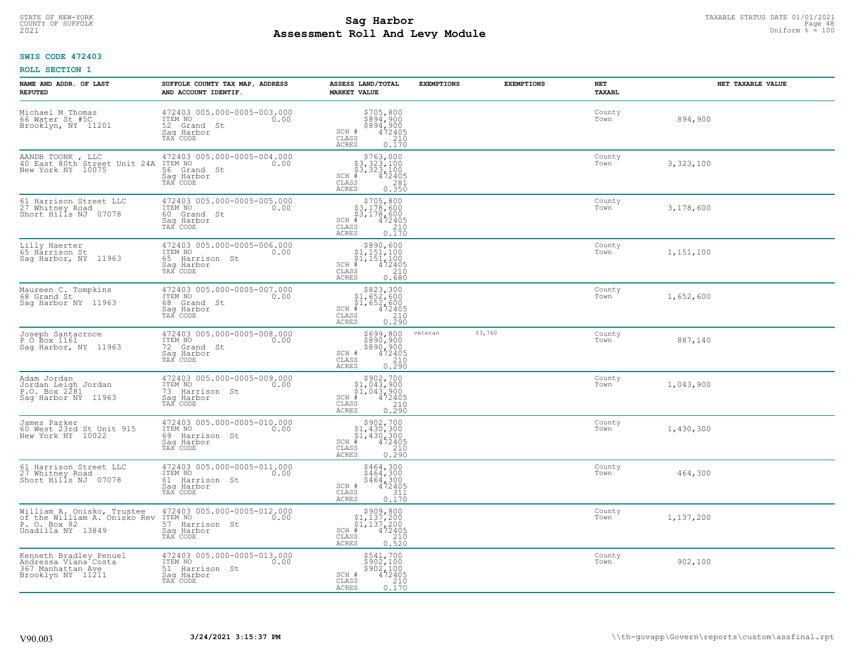#### **Sag Harbor** TAXABLE STATUS DATE 01/01/2021<br>
Poll and Louis Module **Assessment Roll And Levy Module Example 2021** Uniform  $\frac{1}{8}$  = 100 COUNTY OF SUFFOLK **Example 18** Page 48 **COUNTY COUNTY OF SUFFOLK** Page 48 Page 48 Page 48

## **SWIS CODE 472403**

| NAME AND ADDR. OF LAST<br><b>REPUTED</b>                                                        | SUFFOLK COUNTY TAX MAP, ADDRESS<br>AND ACCOUNT IDENTIF.                                         | ASSESS LAND/TOTAL<br><b>MARKET VALUE</b>                                                                                                    | <b>EXEMPTIONS</b> | <b>EXEMPTIONS</b> | NET<br><b>TAXABL</b> | NET TAXABLE VALUE |
|-------------------------------------------------------------------------------------------------|-------------------------------------------------------------------------------------------------|---------------------------------------------------------------------------------------------------------------------------------------------|-------------------|-------------------|----------------------|-------------------|
| Michael M Thomas<br>66 Water St #5C<br>Brooklyn, NY 11201                                       | 472403 005.000-0005-003.000<br>ITEM NO<br>0.00<br>52 Grand St<br>Saq Harbor<br>TAX CODE         | $\begin{array}{c} 5705, 800 \\ 5894, 900 \\ 5894, 900 \\ 472405 \\ 210 \end{array}$<br>SCH #<br>CLASS<br>ACRES<br>0.170                     |                   |                   | County<br>Town       | 894,900           |
| AANDB TOONK , LLC<br>40 East 80th Street Unit 24A<br>New York NY 10075                          | 472403 005.000-0005-004.000<br>ITEM NO<br>0.00<br>56 Grand St<br>Saq Harbor<br>TAX CODE         | $$763,000$<br>$$3,323,100$<br>$$3,323,100$<br>$$3,323,100$<br>472405<br>$SCH$ #<br>CLASS<br>281<br><b>ACRES</b><br>0.350                    |                   |                   | County<br>Town       | 3,323,100         |
| 61 Harrison Street LLC<br>27 Whitney Road<br>Short Hills NJ 07078                               | 472403 005.000-0005-005.000<br>ITEM NO<br>0.00<br>60 Grand St<br>Saq Harbor<br>TAX CODE         | \$705,800<br>\$3,178,600<br>\$3,178,600<br>#472405<br>$SCH$ #<br>CLASS<br>210<br><b>ACRES</b><br>0.170                                      |                   |                   | County<br>Town       | 3,178,600         |
| Lilly Haerter<br>65 Hårrison St<br>Saq Harbor, NY 11963                                         | 472403 005.000-0005-006.000<br>TTEM NO 0.00<br>0.00<br>65 Harrison St<br>Saq Harbor<br>TAX CODE | $\begin{array}{c} $890, 600 \\ $1, 151, 100 \\ $1, 151, 100 \\ \end{array}$<br>$SCH$ $#$<br>472405<br>CLASS<br>210<br><b>ACRES</b><br>0.680 |                   |                   | County<br>Town       | 1,151,100         |
| Maureen C. Tompkins<br>68 Grand St<br>Sag Harbor NY 11963                                       | 472403 005.000-0005-007.000<br>TTEM NO 0.00<br>68 Grand St<br>Saq Harbor<br>TAX CODE            | $$823,300$<br>$$1,652,600$<br>$$1,652,600$<br>$*$<br>$*$<br>$*$<br>$*$<br>$*$<br>$SCH$ #<br>CLASS<br>$\frac{210}{0.290}$<br><b>ACRES</b>    |                   |                   | County<br>Town       | 1,652,600         |
| Joseph Santacroce<br>P O Box 1161<br>Sag Harbor, NY 11963                                       | 472403 005.000-0005-008.000<br>ITEM NO<br>0.00<br>72 Grand St<br>Sag Harbor<br>TAX CODE         | \$699,800<br>\$890,900<br>\$890,900<br>472405<br>210<br>SCH #<br>CLASS<br>0.290<br><b>ACRES</b>                                             | veteran           | \$3,760           | County<br>Town       | 887,140           |
| Adam Jordan<br>Jordan Leigh Jordan<br>P.O. Box 2281<br>Sag Harbor NY 11963                      | 472403 005.000-0005-009.000<br>ITEM NO<br>0.00<br>73 Harrison St<br>Saq Harbor<br>TAX CODE      | $$902,700$<br>$$1,043,900$<br>$$1,043,900$<br>$472405$<br>$$240$<br>$$240$<br>SCH #<br>CLASS<br>0.290<br>ACRES                              |                   |                   | County<br>Town       | 1,043,900         |
| James Parker<br>60 West 23rd St Unit 915<br>New York NY 10022                                   | 472403 005.000-0005-010.000<br>ITEM NO<br>0.00<br>69 Harrison St<br>Saq Harbor<br>TAX CODE      | $$902,700\n$1,430,300\n$1,430,300\n# 472405\n35\n210$<br>$SCH$ #<br>CLASS<br>0.290<br>ACRES                                                 |                   |                   | County<br>Town       | 1,430,300         |
| 61 Harrison Street LLC<br>27 Whitney Road<br>Short Hills NJ 07078                               | 472403 005.000-0005-011.000<br>ITEM NO<br>0.00<br>61 Harrison St<br>Sag Harbor<br>TAX CODE      | \$464,300<br>\$464,300<br>\$464,300<br>472405<br>SCH #<br>CLASS<br>311<br><b>ACRES</b><br>0.170                                             |                   |                   | County<br>Town       | 464,300           |
| William A. Onisko, Trustee<br>of the William A. Onisko Rev<br>P. O. Box 82<br>Unadilla NY 13849 | 472403 005.000-0005-012.000<br>ITEM NO<br>0.00<br>57 Harrison St<br>Sag Harbor<br>TAX CODE      | $$909,800$<br>$$1,137,200$<br>$$1,137,200$<br>$*1$<br>$472405$<br>$SCH$ #<br>210<br>CLASS<br>0.520<br><b>ACRES</b>                          |                   |                   | County<br>Town       | 1,137,200         |
| Kenneth Bradley Penuel<br>Andressa Viana Costa<br>367 Manhattan Ave<br>Brooklyn NY 11211        | 472403 005.000-0005-013.000<br>ITEM NO 0.00<br>51 Harrison St<br>Sag Harbor<br>TAX CODE         | \$541,700<br>\$902,100<br>\$902,100<br>472405<br>SCH #<br>CLASS<br>210<br><b>ACRES</b><br>0.170                                             |                   |                   | County<br>Town       | 902,100           |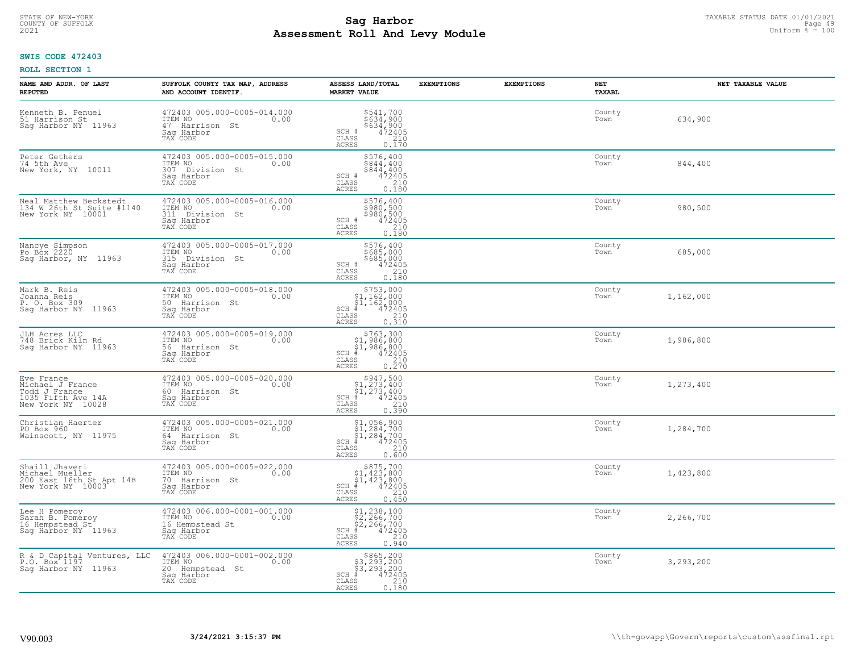#### **Sag Harbor** TAXABLE STATUS DATE 01/01/2021<br>
Poll and Louis Module **Assessment Roll And Levy Module Example 2021** Uniform  $\frac{1}{8}$  = 100 COUNTY OF SUFFOLK **Example 2018 COUNTY OF SUFFOLK** Page 49

## **SWIS CODE 472403**

| NAME AND ADDR. OF LAST<br><b>REPUTED</b>                                                   | SUFFOLK COUNTY TAX MAP, ADDRESS<br>AND ACCOUNT IDENTIF.                                        | ASSESS LAND/TOTAL<br><b>MARKET VALUE</b>                                                                                                   | <b>EXEMPTIONS</b> | <b>EXEMPTIONS</b> | NET<br><b>TAXABL</b> | NET TAXABLE VALUE |
|--------------------------------------------------------------------------------------------|------------------------------------------------------------------------------------------------|--------------------------------------------------------------------------------------------------------------------------------------------|-------------------|-------------------|----------------------|-------------------|
| Kenneth B. Penuel<br>51 Harrison St<br>Sag Harbor NY 11963                                 | 472403 005.000-0005-014.000<br>ITEM NO<br>0.00<br>47 Harrison<br>St<br>Saq Harbor<br>TAX CODE  | \$541,700<br>\$634,900<br>\$634,900<br>472405<br>SCH #<br>CLASS<br>210<br><b>ACRES</b><br>0.170                                            |                   |                   | County<br>Town       | 634,900           |
| Peter Gethers<br>74 5th Ave<br>New York, NY 10011                                          | 472403 005.000-0005-015.000<br>ITEM NO<br>0.00<br>307 Division St<br>Sag Harbor<br>TAX CODE    | \$576,400<br>\$844,400<br>$$844, 400$<br>$472405$<br>SCH #<br>CLASS<br>210<br><b>ACRES</b><br>0.180                                        |                   |                   | County<br>Town       | 844,400           |
| Neal Matthew Beckstedt<br>134 W 26th St Suite #1140<br>New York NY 10001                   | 472403 005.000-0005-016.000<br>ITEM NO<br>0.00<br>311<br>Division St<br>Saq Harbor<br>TAX CODE | \$576,400<br>\$980,500<br>\$980,500<br>SCH #<br>472405<br>CLASS<br>210<br>0.180<br><b>ACRES</b>                                            |                   |                   | County<br>Town       | 980,500           |
| Nancye Simpson<br>Po Box 2220<br>Saq Harbor, NY 11963                                      | 472403 005.000-0005-017.000<br>ITEM NO<br>0.00<br>315 Division St<br>Saq Harbor<br>TAX CODE    | \$576,400<br>\$685,000<br>\$685,000<br>SCH #<br>472405<br>CLASS<br>210<br><b>ACRES</b><br>0.180                                            |                   |                   | County<br>Town       | 685,000           |
| Mark B. Reis<br>Joanna Reis<br>P. O. Box 309<br>Saq Harbor NY 11963                        | 472403 005.000-0005-018.000<br>ITEM NO<br>0.00<br>50 Harrison St<br>Saq Harbor<br>TAX CODE     | $$753,000$<br>$$1,162,000$<br>$$1,162,000$<br>$*$<br>$*$ $472405$<br>$SCH$ #<br>$\mathtt{CLASS}$<br>210<br><b>ACRES</b><br>0.310           |                   |                   | County<br>Town       | 1,162,000         |
| JLH Acres LLC<br>748 Brick Kiln Rd<br>Saq Harbor NY 11963                                  | 472403 005.000-0005-019.000<br>ITEM NO<br>0.00<br>56 Harrison St<br>Saq Harbor<br>TAX CODE     | $$763,300$<br>$$1,986,800$<br>$$1,986,800$<br>$$472405$<br>$SCH$ #<br>$\begin{array}{c} 210 \\ 0.270 \end{array}$<br>CLASS<br><b>ACRES</b> |                   |                   | County<br>Town       | 1,986,800         |
| Eve France<br>Michael J France<br>Todd J France<br>1035 Fifth Ave 14A<br>New York NY 10028 | 472403 005.000-0005-020.000<br>ITEM NO<br>0.00<br>60 Harrison St<br>Saq Harbor<br>TAX CODE     | $$947,500$<br>$$1,273,400$<br>$$1,273,400$<br>$$472405$<br>$SCH$ #<br>CLASS<br>210<br>0.390<br><b>ACRES</b>                                |                   |                   | County<br>Town       | 1,273,400         |
| Christian Haerter<br>PO Box 960<br>Wainscott, NY 11975                                     | 472403 005.000-0005-021.000<br>TTEM NO 0.00<br>64 Harrison St<br>Saq Harbor<br>TAX CODE        | $$1,056,900$<br>$$1,284,700$<br>$$1,284,700$<br>$*$<br>$*$ 472405<br>SCH #<br>CLASS<br>210<br><b>ACRES</b><br>0.600                        |                   |                   | County<br>Town       | 1,284,700         |
| Shaill Jhaveri<br>Michael Mueller<br>200 East 16th St Apt 14B<br>New York NY 10003         | 472403 005.000-0005-022.000<br>TTEM NO 0.00<br>70 Harrison St<br>Saq Harbor<br>TAX CODE        | $$875,700$<br>$$1,423,800$<br>$$1,423,800$<br>$*$<br>$*$<br>$472405$<br>$SCH$ #<br>CLASS<br>210<br><b>ACRES</b><br>0.450                   |                   |                   | County<br>Town       | 1,423,800         |
| Lee H Pomeroy<br>Sarah B. Pomeroy<br>16 Hempstead St<br>Saq Harbor NY 11963                | 472403 006.000-0001-001.000<br>ITEM NO<br>0.00<br>16 Hempstead St<br>Saq Harbor<br>TAX CODE    | \$1,238,100<br>\$2,266,700<br>\$2,266,700<br>#472405<br>$SCH$ #<br>210<br>CLASS<br><b>ACRES</b><br>0.940                                   |                   |                   | County<br>Town       | 2,266,700         |
| R & D Capital Ventures, LLC<br>P.O. Box 1197<br>Saq Harbor NY 11963                        | 472403 006.000-0001-002.000<br>ITEM NO<br>0.00<br>20 Hempstead St<br>Saq Harbor<br>TAX CODE    | \$865,200<br>\$3,293,200<br>\$3,293,200<br>472405<br>SCH #<br>CLASS<br>210<br>0.180<br><b>ACRES</b>                                        |                   |                   | County<br>Town       | 3,293,200         |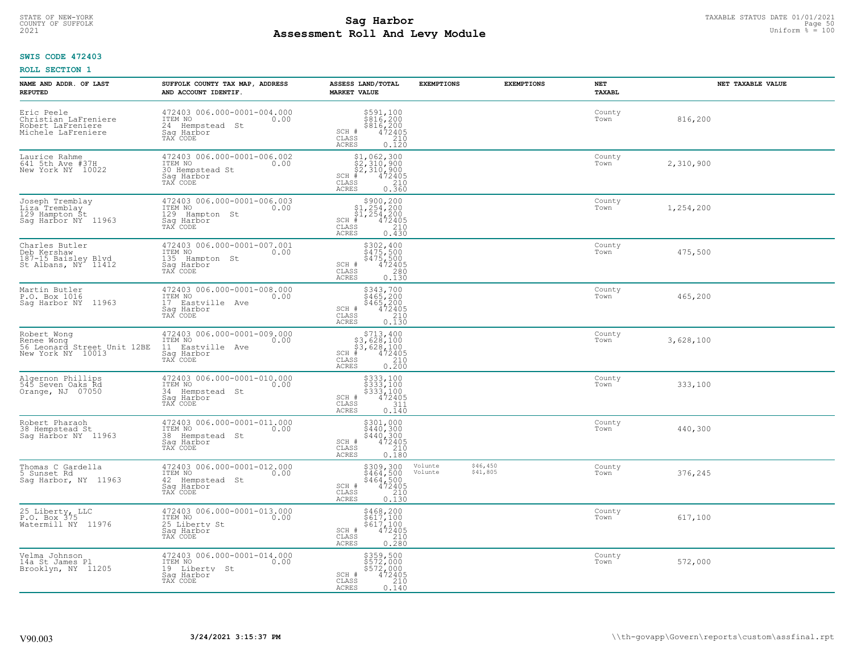# TAXABLE STATUS DATE 01/01/2021<br>COUNTY OF SUFFOLK Page 50 **Assessment Roll And Levy Module Example 2021** Uniform  $\frac{1}{8}$  = 100

## **SWIS CODE 472403**

| NAME AND ADDR. OF LAST<br><b>REPUTED</b>                                      | SUFFOLK COUNTY TAX MAP, ADDRESS<br>AND ACCOUNT IDENTIF.                                         | ASSESS LAND/TOTAL<br><b>MARKET VALUE</b>                                                                                                     | <b>EXEMPTIONS</b>                          | <b>EXEMPTIONS</b> | <b>NET</b><br><b>TAXABL</b> | NET TAXABLE VALUE |
|-------------------------------------------------------------------------------|-------------------------------------------------------------------------------------------------|----------------------------------------------------------------------------------------------------------------------------------------------|--------------------------------------------|-------------------|-----------------------------|-------------------|
| Eric Peele<br>Christian LaFreniere<br>Robert LaFreniere<br>Michele LaFreniere | 472403 006.000-0001-004.000<br>ITEM NO<br>0.00<br>24 Hempstead St<br>Saq Harbor<br>TAX CODE     | \$591,100<br>\$816,200<br>\$816,200<br>472405<br>210<br>SCH #<br>CLASS<br><b>ACRES</b><br>0.120                                              |                                            |                   | County<br>Town              | 816,200           |
| Laurice Rahme<br>641 5th Ave #37H<br>New York NY 10022                        | 472403 006.000-0001-006.002<br>ITEM NO<br>0.00<br>30 Hempstead St<br>Sag Harbor<br>TAX CODE     | $$1,062,300$<br>$$2,310,900$<br>$$2,310,900$<br>$$472405$<br>$SCH$ #<br>CLASS<br>$\begin{array}{c} 210 \\ 0.360 \end{array}$<br><b>ACRES</b> |                                            |                   | County<br>Town              | 2,310,900         |
| Joseph Tremblay<br>Liza Tremblay<br>129 Hampton St<br>Saq Harbor NY 11963     | 472403 006.000-0001-006.003<br>ITEM NO<br>0.00<br>129<br>Hampton St<br>Saq Harbor<br>TAX CODE   | $$300, 200$<br>$$1, 254, 200$<br>$$1, 254, 200$<br>$472405$<br>$SCH$ #<br>CLASS<br>210<br>0.430<br>ACRES                                     |                                            |                   | County<br>Town              | 1,254,200         |
| Charles Butler<br>Deb Kershaw<br>187-15 Baisley Blvd<br>St Albans, NY 11412   | 472403 006.000-0001-007.001<br>ITEM NO<br>0.00<br>135 Hampton St<br>Saq Harbor<br>TAX CODE      | \$302,400<br>\$475,500<br>\$475,500<br>472405<br>SCH #<br>CLASS<br>280<br><b>ACRES</b><br>0.130                                              |                                            |                   | County<br>Town              | 475,500           |
| Martin Butler<br>P.O. Box 1016<br>11963<br>Saq Harbor NY                      | 472403 006.000-0001-008.000<br>ITEM NO<br>0.00<br>17<br>Eastville Ave<br>Saq Harbor<br>TAX CODE | \$343,700<br>3465, 200<br>\$465, 200<br>\$465, 200<br>472405<br>0.130<br>SCH #<br>CLASS<br><b>ACRES</b>                                      |                                            |                   | County<br>Town              | 465,200           |
| Robert Wong<br>Renee Wong<br>56 Leonard Street Unit 12BE<br>New York NY 10013 | 472403 006.000-0001-009.000<br>ITEM NO<br>0.00<br>11 Eastville Ave<br>Sag Harbor<br>TAX CODE    | $$713, 400$<br>$$3, 628, 100$<br>$$3, 628, 100$<br>$# 472405$<br>$35$<br>$210$<br>$SCH$ #<br>CLASS<br>0.200<br>ACRES                         |                                            |                   | County<br>Town              | 3,628,100         |
| Algernon Phillips<br>545 Seven Oaks Rd<br>Orange, NJ 07050                    | 472403 006.000-0001-010.000<br>ITEM NO<br>0.00<br>34 Hempstead St<br>Saq Harbor<br>TAX CODE     | $$333,100$<br>$$333,100$<br>$$333,100$<br>$$472405$<br>$$311$<br>SCH #<br>CLASS<br>ACRES<br>0.140                                            |                                            |                   | County<br>Town              | 333,100           |
| Robert Pharaoh<br>38 Hempstead St<br>Saq Harbor NY 11963                      | 472403 006.000-0001-011.000<br>ITEM NO<br>0.00<br>38 Hempstead St<br>Saq Harbor<br>TAX CODE     | $\begin{array}{r} 5301,000 \\ 5440,300 \\ 5440,300 \\ 472405 \\ 210 \\ 0.180 \end{array}$<br>SCH #<br>CLASS<br><b>ACRES</b>                  |                                            |                   | County<br>Town              | 440,300           |
| Thomas C Gardella<br>5 Sunset Rd<br>Sag Harbor, NY 11963                      | 472403 006.000-0001-012.000<br>TTEM NO 0.00<br>42 Hempstead St<br>Saq Harbor<br>TAX CODE        | $\begin{array}{r} 5309,300 \\ 5464,500 \\ 5464,500 \\ 472405 \\ 210 \\ 0.130 \end{array}$<br>SCH #<br>$\mathtt{CLASS}$<br><b>ACRES</b>       | \$46,450<br>Volunte<br>\$41,805<br>Volunte |                   | County<br>Town              | 376,245           |
| 25 Liberty, LLC<br>P.O. Box 375<br>Watermill NY 11976                         | 472403 006.000-0001-013.000<br>ITEM NO<br>0.00<br>25 Liberty St<br>Sag Harbor<br>TAX CODE       | \$468,200<br>\$617,100<br>\$617,100<br>472405<br>SCH #<br>$\begin{array}{c} 210 \\ 0.280 \end{array}$<br>CLASS<br><b>ACRES</b>               |                                            |                   | County<br>Town              | 617,100           |
| Velma Johnson<br>14a St James Pl<br>Brooklyn, NY 11205                        | 472403 006.000-0001-014.000<br>ITEM NO<br>0.00<br>19 Liberty St<br>Saq Harbor<br>TAX CODE       | \$359,500<br>\$572,000<br>\$572,000<br>SCH #<br>472405<br>CLASS<br>210<br>ACRES<br>0.140                                                     |                                            |                   | County<br>Town              | 572,000           |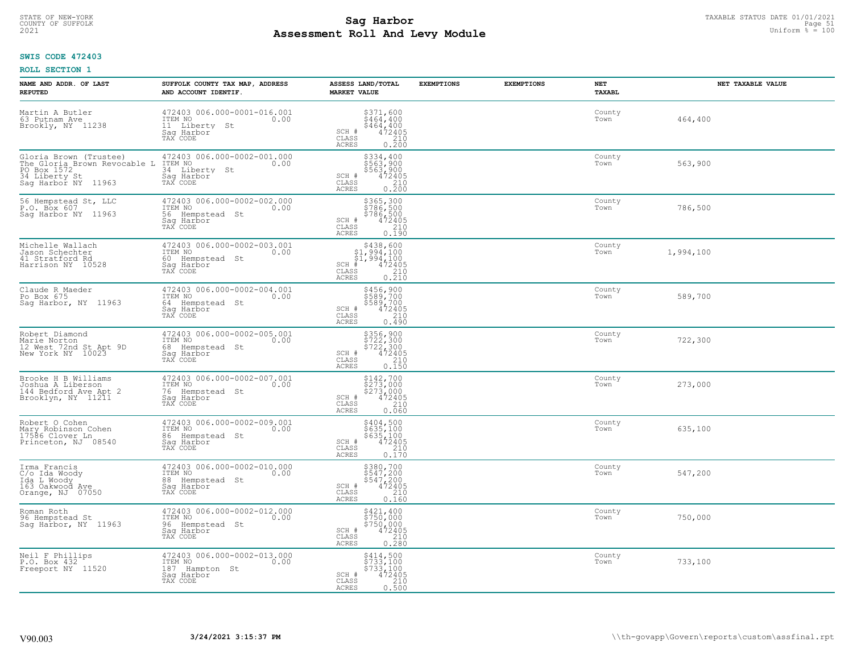# TAXABLE STATUS DATE 01/01/2021<br>COUNTY OF SUFFOLK Page 51 COUNTY OF SUFFOLK Page 51 **Assessment Roll And Levy Module Example 2021** Uniform  $\frac{1}{8}$  = 100

## **SWIS CODE 472403**

| NAME AND ADDR. OF LAST<br><b>REPUTED</b>                                                                      | SUFFOLK COUNTY TAX MAP, ADDRESS<br>AND ACCOUNT IDENTIF.                                        | ASSESS LAND/TOTAL<br><b>MARKET VALUE</b>                                                                                                                | <b>EXEMPTIONS</b> | <b>EXEMPTIONS</b> | NET<br><b>TAXABL</b> | NET TAXABLE VALUE |
|---------------------------------------------------------------------------------------------------------------|------------------------------------------------------------------------------------------------|---------------------------------------------------------------------------------------------------------------------------------------------------------|-------------------|-------------------|----------------------|-------------------|
| Martin A Butler<br>63 Putnam Ave<br>Brookly, NY 11238                                                         | 472403 006.000-0001-016.001<br>ITEM NO<br>0.00<br>11 Liberty<br>St<br>Saq Harbor<br>TAX CODE   | \$371,600<br>\$464,400<br>$\frac{1}{6464}$ , 400<br>472405<br>210<br>SCH #<br>$\mathtt{CLASS}$<br><b>ACRES</b><br>0.200                                 |                   |                   | County<br>Town       | 464,400           |
| Gloria Brown (Trustee)<br>The Gloria Brown Revocable L<br>PO Box 1572<br>34 Liberty St<br>Sag Harbor NY 11963 | 472403 006.000-0002-001.000<br>ITEM NO<br>0.00<br>34 Liberty St<br>Saq Harbor<br>TAX CODE      | \$334,400<br>\$563,900<br>$$563,900$<br>$472405$<br>SCH #<br>CLASS<br>$\frac{210}{0.200}$<br><b>ACRES</b>                                               |                   |                   | County<br>Town       | 563,900           |
| 56 Hempstead St, LLC<br>P.O. Box 607<br>Saq Harbor NY 11963                                                   | 472403 006.000-0002-002.000<br>ITEM NO<br>0.00<br>56<br>Hempstead St<br>Sag Harbor<br>TAX CODE | \$365,300<br>\$786,500<br>\$786,500<br>\$786,500<br>SCH #<br>CLASS<br>210<br>0.190<br>ACRES                                                             |                   |                   | County<br>Town       | 786,500           |
| Michelle Wallach<br>Jason Schechter<br>41 Stratford Rd<br>Harrison NY 10528                                   | 472403 006.000-0002-003.001<br>ITEM NO<br>0.00<br>60 Hempstead St<br>Saq Harbor<br>TAX CODE    | $$438,600$<br>$$1,994,100$<br>$$1,994,100$<br>$$1,994,100$<br>$SCH$ #<br>$\begin{array}{r} 472405 \\ 210 \\ 0.210 \end{array}$<br>CLASS<br><b>ACRES</b> |                   |                   | County<br>Town       | 1,994,100         |
| Claude R Maeder<br>Po Box 675<br>Sag Harbor, NY 11963                                                         | 472403 006.000-0002-004.001<br>ITEM NO<br>0.00<br>64 Hempstead St<br>Saq Harbor<br>TAX CODE    | \$456,900<br>$$589,700$<br>$$589,700$<br>SCH #<br>472405<br>210<br>CLASS<br><b>ACRES</b><br>0.490                                                       |                   |                   | County<br>Town       | 589,700           |
| Robert Diamond<br>Marie Norton<br>12 West 72nd St Apt 9D<br>New York NY 10023                                 | 472403 006.000-0002-005.001<br>ITEM NO<br>0.00<br>68 Hempstead St<br>Sag Harbor<br>TAX CODE    | \$356,900<br>\$722,300<br>\$722,300<br>\$72405<br>SCH #<br>$\mathtt{CLASS}$<br>$\begin{array}{c} 210 \\ 0.150 \end{array}$<br><b>ACRES</b>              |                   |                   | County<br>Town       | 722,300           |
| Brooke H B Williams<br>Joshua A Liberson<br>144 Bedford Ave Apt 2<br>Brooklyn, NY 11211                       | 472403 006.000-0002-007.001<br>ITEM NO<br>0.00<br>76<br>Hempstead St<br>Saq Harbor<br>TAX CODE | \$142,700<br>\$273,000<br>\$273,000<br>472405<br>SCH #<br>CLASS<br>210<br><b>ACRES</b><br>0.060                                                         |                   |                   | County<br>Town       | 273,000           |
| Robert O Cohen<br>Mary Robinson Cohen<br>17586 Clover Ln<br>Princeton, NJ 08540                               | 472403 006.000-0002-009.001<br>TTEM NO 0.00<br>86 Hempstead St<br>Saq Harbor<br>TAX CODE       | \$404,500<br>\$635,100<br>\$635,100<br>472405<br>SCH #<br>CLASS<br>210<br><b>ACRES</b><br>0.170                                                         |                   |                   | County<br>Town       | 635,100           |
| Irma Francis<br>C/o Ida Woody<br>Ida L Woody<br>163 Oakwood Ave<br>Orange, NJ 07050                           | 472403 006.000-0002-010.000<br>TTEM NO 0.00<br>88 Hempstead St<br>Saq Harbor<br>TAX CODE       | \$380,700<br>\$547,200<br>\$547,200<br>SCH #<br>472405<br>CLASS<br>210<br><b>ACRES</b><br>0.160                                                         |                   |                   | County<br>Town       | 547,200           |
| Roman Roth<br>96 Hempstead St<br>Sag Harbor, NY 11963                                                         | 472403 006.000-0002-012.000<br>ITEM NO<br>0.00<br>96 Hempstead St<br>Sag Harbor<br>TAX CODE    | $$750,000$<br>$$750,000$<br>$$472405$<br>$6.210$<br>SCH #<br>CLASS<br>0.280<br>ACRES                                                                    |                   |                   | County<br>Town       | 750,000           |
| Neil F Phillips<br>P.O. Box 432<br>Freeport NY 11520                                                          | 472403 006.000-0002-013.000<br>ITEM NO<br>0.00<br>187 Hampton St<br>Sag Harbor<br>TAX CODE     | \$414,500<br>\$733,100<br>\$733,100<br>SCH #<br>472405<br>CLASS<br>0.500<br><b>ACRES</b>                                                                |                   |                   | County<br>Town       | 733,100           |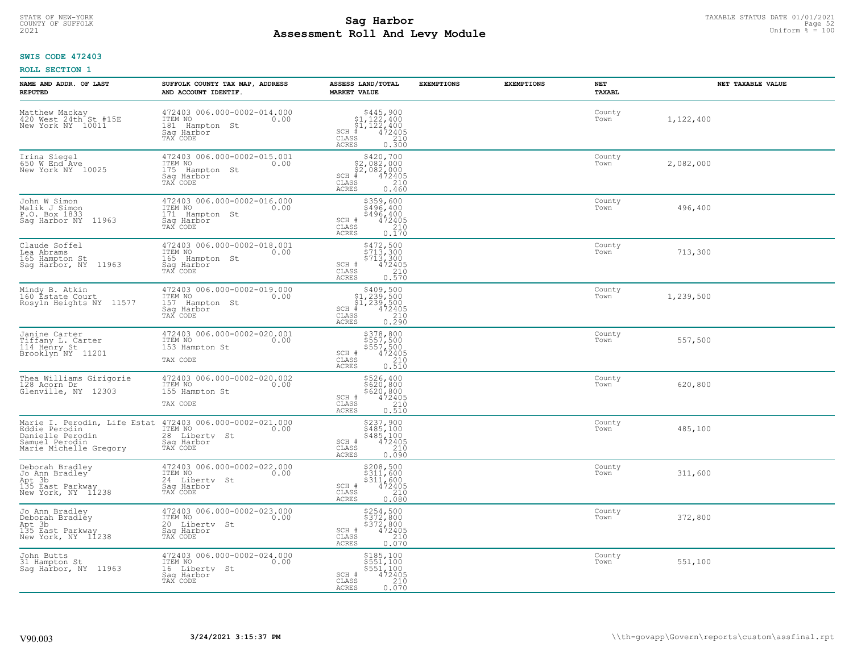# TAXABLE STATUS DATE 01/01/2021<br>COUNTY OF SUFFOLK Page 52 COUNTY OF SUFFOLK Page 52 **Assessment Roll And Levy Module Example 2021** Uniform  $\frac{1}{8}$  = 100

## **SWIS CODE 472403**

| NAME AND ADDR. OF LAST<br><b>REPUTED</b>                                              | SUFFOLK COUNTY TAX MAP, ADDRESS<br>AND ACCOUNT IDENTIF.                                       | ASSESS LAND/TOTAL<br><b>MARKET VALUE</b>                                                                                                                                | <b>EXEMPTIONS</b> | <b>EXEMPTIONS</b> | NET<br>TAXABL  | NET TAXABLE VALUE |
|---------------------------------------------------------------------------------------|-----------------------------------------------------------------------------------------------|-------------------------------------------------------------------------------------------------------------------------------------------------------------------------|-------------------|-------------------|----------------|-------------------|
| Matthew Mackay<br>420 West 24th St #15E<br>New York NY 10011                          | 472403 006.000-0002-014.000<br>ITEM NO<br>0.00<br>181 Hampton St<br>Saq Harbor<br>TAX CODE    | $$445,900$<br>$$1,122,400$<br>$$1,122,400$<br>$*$<br>$*$<br>$472405$<br>$SCH$ #<br>CLASS<br>210<br>ACRES<br>0.300                                                       |                   |                   | County<br>Town | 1,122,400         |
| Irina Siegel<br>650 W End Ave<br>New York NY 10025                                    | 472403 006.000-0002-015.001<br>ITEM NO<br>0.00<br>175 Hampton St<br>Saq Harbor<br>TAX CODE    | $$420,700$<br>$$2,082,000$<br>$$2,082,000$<br>$*$ 472405<br>$SCH$ #<br>CLASS<br>210<br>0.460<br>ACRES                                                                   |                   |                   | County<br>Town | 2,082,000         |
| John W Simon<br>Malik J Simon<br>P.O. Box 1833<br>11963<br>Sag Harbor NY              | 472403 006.000-0002-016.000<br>ITEM NO<br>0.00<br>Hampton St<br>171<br>Sag Harbor<br>TAX CODE | \$359,600<br>\$496, 400<br>\$496,400<br>$SCH$ #<br>$\frac{472405}{210}$<br>CLASS<br>0.170<br>ACRES                                                                      |                   |                   | County<br>Town | 496,400           |
| Claude Soffel<br>Lea Abrams<br>165 Hampton St<br>Sag Harbor, NY 11963                 | 472403 006.000-0002-018.001<br>ITEM NO<br>0.00<br>165 Hampton St<br>Saq Harbor<br>TAX CODE    | $\begin{array}{l} $472,500\\ $713,300\\ $713,300\\ $472405\\ 210\\ \end{array}$<br>SCH #<br>CLASS<br><b>ACRES</b><br>0.570                                              |                   |                   | County<br>Town | 713,300           |
| Mindy B. Atkin<br>160 Estate Court<br>Rosyln Heights NY 11577                         | 472403 006.000-0002-019.000<br>ITEM NO<br>0.00<br>157 Hampton St<br>Saq Harbor<br>TAX CODE    | \$409,500<br>$\begin{array}{r} 51,239,500 \\ 51,239,500 \\ + 472405 \end{array}$<br>$SCH$ #<br>$\mathtt{CLASS}$<br>$\begin{array}{c} 210 \\ 0.290 \end{array}$<br>ACRES |                   |                   | County<br>Town | 1,239,500         |
| Janine Carter<br>Tiffany L. Carter<br>114 Henry St<br>Brooklyn NY 11201               | 472403 006.000-0002-020.001<br>ITEM NO<br>0.00<br>153 Hampton St<br>TAX CODE                  | \$378,800<br>\$557,500<br>\$557,500<br>\$472405<br>SCH #<br>CLASS<br>210<br><b>ACRES</b><br>0.510                                                                       |                   |                   | County<br>Town | 557,500           |
| Thea Williams Girigorie<br>128 Acorn Dr<br>Glenville, NY 12303                        | 472403 006.000-0002-020.002<br>ITEM NO<br>0.00<br>155 Hampton St<br>TAX CODE                  | \$526,400<br>\$620,800<br>\$620,800<br>472405<br>SCH #<br>CLASS<br>210<br>0.510<br>ACRES                                                                                |                   |                   | County<br>Town | 620,800           |
| Eddie Perodin<br>Danielle Perodin<br>Samuel Perodin<br>Marie Michelle Gregory         | 28 Liberty St<br>Saq Harbor<br>TAX CODE                                                       | \$237,900<br>\$485,100<br>\$485,100<br>472405<br>SCH #<br>CLASS<br>210<br><b>ACRES</b><br>0.090                                                                         |                   |                   | County<br>Town | 485,100           |
| Deborah Bradley<br>Jo Ann Bradley<br>Not 3b<br>135 East Parkway<br>New York, NY 11238 | 472403 006.000-0002-022.000<br>TTEM NO 0.00<br>24 Liberty St<br>Saq Harbor<br>TAX CODE        | \$208,500<br>\$311,600<br>\$311,600<br>SCH #<br>472405<br>CLASS<br>210<br>ACRES<br>0.080                                                                                |                   |                   | County<br>Town | 311,600           |
| Jo Ann Bradley<br>Deborah Bradley<br>Apt 3b<br>135 East Parkway<br>New York, NY 11238 | 472403 006.000-0002-023.000<br>ITEM NO<br>0.00<br>20 Liberty St<br>Saq Harbor<br>TAX CODE     | \$254,500<br>\$372,800<br>\$372,800<br>\$472405<br>SCH #<br>210<br>CLASS<br>0.070<br><b>ACRES</b>                                                                       |                   |                   | County<br>Town | 372,800           |
| John Butts<br>31 Hampton St<br>Sag Harbor, NY 11963                                   | 472403 006.000-0002-024.000<br>ITEM NO<br>0.00<br>16 Liberty St<br>Sag Harbor<br>TAX CODE     | \$185,100<br>\$551,100<br>\$551,100<br>SCH #<br>472405<br>210<br>CLASS<br><b>ACRES</b><br>0.070                                                                         |                   |                   | County<br>Town | 551,100           |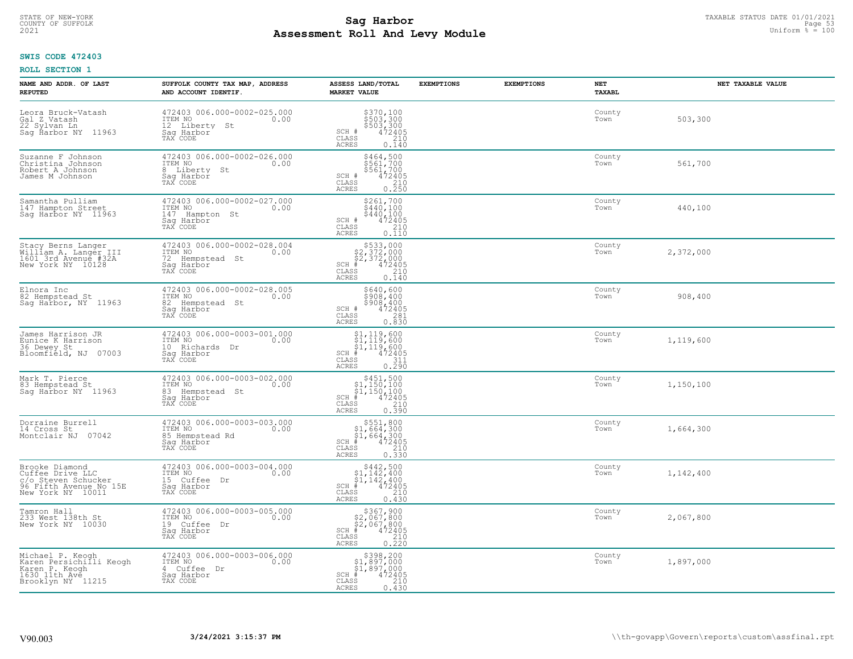# TAXABLE STATUS DATE 01/01/2021 **Sag Harbor** COUNTY OF SUFFOLK Page 53 **Assessment Roll And Levy Module Example 2021** Uniform  $\frac{1}{8}$  = 100

## **SWIS CODE 472403**

| NAME AND ADDR. OF LAST<br><b>REPUTED</b>                                                                 | SUFFOLK COUNTY TAX MAP, ADDRESS<br>AND ACCOUNT IDENTIF.                                        | ASSESS LAND/TOTAL<br><b>MARKET VALUE</b>                                                                                                  | <b>EXEMPTIONS</b> | <b>EXEMPTIONS</b> | NET<br><b>TAXABL</b> | NET TAXABLE VALUE |
|----------------------------------------------------------------------------------------------------------|------------------------------------------------------------------------------------------------|-------------------------------------------------------------------------------------------------------------------------------------------|-------------------|-------------------|----------------------|-------------------|
| Leora Bruck-Vatash<br>Gal Z Vatash<br>22 Sylvan Ln<br>Saq Ĥarbor NY 11963                                | 472403 006.000-0002-025.000<br>ITEM NO<br>0.00<br>12 Liberty<br>St<br>Saq Harbor<br>TAX CODE   | \$370,100<br>\$503,300<br>\$503,300<br>SCH #<br>$\frac{472405}{210}$<br>CLASS<br><b>ACRES</b><br>0.140                                    |                   |                   | County<br>Town       | 503,300           |
| Suzanne F Johnson<br>Christina Johnson<br>Robert A Johnson<br>James M Johnson                            | 472403 006.000-0002-026.000<br>ITEM NO<br>0.00<br>8 Liberty St<br>Saq Harbor<br>TAX CODE       | \$464,500<br>\$561,700<br>\$561,700<br>SCH #<br>472405<br>CLASS<br>$\frac{210}{0.250}$<br><b>ACRES</b>                                    |                   |                   | County<br>Town       | 561,700           |
| Samantha Pulliam<br>147 Hampton Street<br>Sag Harbor NY 11963                                            | 472403 006.000-0002-027.000<br>ITEM NO<br>0.00<br>147 Hampton St<br>Saq Harbor<br>TAX CODE     | \$261,700<br>\$440,100<br>$$440, 100$<br>$472405$<br>SCH #<br>CLASS<br>210<br>0.110<br>ACRES                                              |                   |                   | County<br>Town       | 440,100           |
| Stacy Berns Langer<br>William A. Langer III<br>1601 3rd Avenue #32A<br>New York NY 10128                 | 472403 006.000-0002-028.004<br>ITEM NO<br>0.00<br>72 Hempstead St<br>Saq Harbor<br>TAX CODE    | $$533,000$<br>$$2,372,000$<br>$$2,372,000$<br>$*$ 472405<br>SCH #<br>CLASS<br>210<br><b>ACRES</b><br>0.140                                |                   |                   | County<br>Town       | 2,372,000         |
| Elnora Inc<br>82 Hempstead St<br>Sag Harbor, NY 11963                                                    | 472403 006.000-0002-028.005<br>ITEM NO<br>0.00<br>82<br>Hempstead St<br>Saq Harbor<br>TAX CODE | \$640,600<br>\$908,400<br>\$908,400<br>472405<br>SCH #<br>CLASS<br>281<br>0.830<br><b>ACRES</b>                                           |                   |                   | County<br>Town       | 908,400           |
| James Harrison JR<br>Eunice K Harrison<br>36 Dewey St<br>Bloomfield, NJ<br>07003                         | 472403 006.000-0003-001.000<br>ITEM NO<br>0.00<br>10 Richards<br>Dr<br>Sag Harbor<br>TAX CODE  | $\begin{array}{l} $1,119,600 \ $1,119,600 \ $1,119,600 \ $1,119,600 \ \end{array}$<br>SCH #<br>CLASS<br>311<br>0.290<br><b>ACRES</b>      |                   |                   | County<br>Town       | 1,119,600         |
| Mark T. Pierce<br>83 Hempstead St<br>Saq Harbor NY 11963                                                 | 472403 006.000-0003-002.000<br>ITEM NO<br>0.00<br>83<br>Hempstead St<br>Saq Harbor<br>TAX CODE | $$451,500$<br>$$1,150,100$<br>$$1,150,100$<br>$*1,150,100$<br>$*1,472405$<br>$SCH$ #<br>CLASS<br>210<br>0.390<br><b>ACRES</b>             |                   |                   | County<br>Town       | 1,150,100         |
| Dorraine Burrell<br>14 Cross St<br>07042<br>Montclair NJ                                                 | 472403 006.000-0003-003.000<br>TTEM NO 0.00<br>85 Hempstead Rd<br>Saq Harbor<br>TAX CODE       | $$551,800$<br>$$1,664,300$<br>$$1,664,300$<br>$*1,664,300$<br>$*1,472405$<br>$SCH$ #<br>CLASS<br>210<br><b>ACRES</b><br>0.330             |                   |                   | County<br>Town       | 1,664,300         |
| Brooke Diamond<br>Cuffee Drive LLC<br>c/o Steven Schucker<br>96 Fifth Avenue No 15E<br>New York NY 10011 | 472403 006.000-0003-004.000<br>TTEM NO 0.00<br>15 Cuffee Dr<br>Saq Harbor<br>TAX CODE          | $$442,500$<br>$$1,142,400$<br>$$1,142,400$<br>$*1,142,400$<br>$*1,472405$<br>$SCH$ #<br>CLASS<br>210<br><b>ACRES</b><br>0.430             |                   |                   | County<br>Town       | 1,142,400         |
| Tamron Hall<br>233 West 138th St<br>New York NY 10030                                                    | 472403 006.000-0003-005.000<br>ITEM NO<br>0.00<br>19 Cuffee<br>Dr<br>Sag Harbor<br>TAX CODE    | $$367,900$<br>$$2,067,800$<br>$$2,067,800$<br>$*$ $472405$<br>SCH<br>$\begin{array}{c} 210 \\ 0.220 \end{array}$<br>CLASS<br><b>ACRES</b> |                   |                   | County<br>Town       | 2,067,800         |
| Michael P. Keogh<br>Karen Persichilli Keogh<br>Karen P. Keogh<br>1630 11th Ave<br>Brooklyn NY 11215      | 472403 006.000-0003-006.000<br>ITEM NO<br>0.00<br>4 Cuffee Dr<br>Sag Harbor<br>TAX CODE        | \$398,200<br>\$1,897,000<br>\$1,897,000<br>$SCH$ #<br>472405<br>$\mathtt{CLASS}$<br>210<br>ACRES<br>0.430                                 |                   |                   | County<br>Town       | 1,897,000         |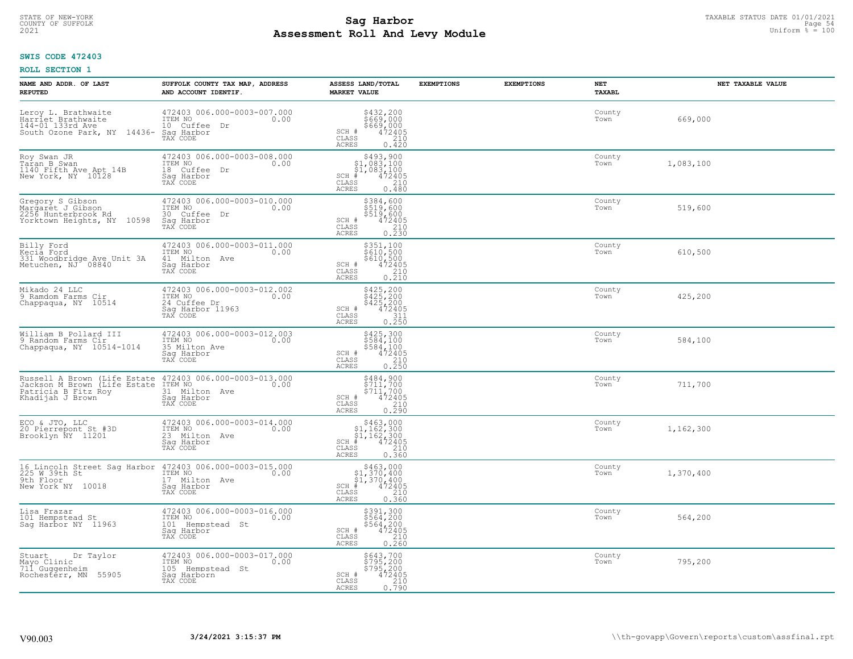# TAXABLE STATUS DATE 01/01/2021<br>COUNTY OF SUFFOLK Page 54 **Assessment Roll And Levy Module Example 2021** Uniform  $\frac{1}{8}$  = 100

## **SWIS CODE 472403**

| NAME AND ADDR. OF LAST<br><b>REPUTED</b>                                                                | SUFFOLK COUNTY TAX MAP, ADDRESS<br>AND ACCOUNT IDENTIF.                                          | ASSESS LAND/TOTAL<br><b>MARKET VALUE</b>                                                                                                                                                        | <b>EXEMPTIONS</b> | <b>EXEMPTIONS</b> | NET<br>TAXABL  | NET TAXABLE VALUE |
|---------------------------------------------------------------------------------------------------------|--------------------------------------------------------------------------------------------------|-------------------------------------------------------------------------------------------------------------------------------------------------------------------------------------------------|-------------------|-------------------|----------------|-------------------|
| Leroy L. Brathwaite<br>Harriet Brathwaite<br>144-01 133rd Ave<br>South Ozone Park, NY 14436-            | 472403 006.000-0003-007.000<br>ITEM NO<br>0.00<br>10 Cuffee<br>Dr<br>Saq Harbor<br>TAX CODE      | \$432,200<br>\$669,000<br>\$669,000<br>SCH #<br>472405<br>CLASS<br>210<br>ACRES<br>0.420                                                                                                        |                   |                   | County<br>Town | 669,000           |
| Roy Swan JR<br>Taran B Swan<br>1140 Fifth Ave Apt 14B<br>New York, NY 10128                             | 472403 006.000-0003-008.000<br>ITEM NO<br>0.00<br>18 Cuffee<br>Dr<br>Sag Harbor<br>TAX CODE      | $\begin{array}{r} 5493,900\\ 51,083,100\\ 51,083,100\\ *\\ *\\ 2405\\ *\\ \text{ss}\end{array}$<br>SCH #<br>CLASS<br>ACRES                                                                      |                   |                   | County<br>Town | 1,083,100         |
| Gregory S Gibson<br>Margaret J Gibson<br>2256 Hunterbrook Rd<br>Yorktown Heights, NY 10598              | 472403 006.000-0003-010.000<br>ITEM NO<br>0.00<br>30 Cuffee Dr<br>Sag Harbor<br>TAX CODE         | \$384,600<br>\$519,600<br>\$519,600<br>\$519,600<br>\$72405<br>\$210<br>\$230<br>SCH #<br>CLASS<br><b>ACRES</b>                                                                                 |                   |                   | County<br>Town | 519,600           |
| Billy Ford<br>Kecia Ford<br>331 Woodbridge Ave Unit 3A<br>Metuchen, NJ 08840                            | 472403 006.000-0003-011.000<br>ITEM NO<br>0.00<br>41 Milton Ave<br>Saq Harbor<br>TAX CODE        | \$351,100<br>\$610,500<br>\$610,500<br>\$612405<br>0.210<br>0.210<br>SCH #<br>CLASS<br><b>ACRES</b>                                                                                             |                   |                   | County<br>Town | 610,500           |
| Mikado 24 LLC<br>9 Ramdom Farms Cir<br>Chappaqua, NY 10514                                              | 472403 006.000-0003-012.002<br>ITEM NO<br>0.00<br>24 Cuffee Dr<br>Saq Harbor 11963<br>TAX CODE   | \$425,200<br>\$425,200<br>\$425,200<br>472405<br>SCH #<br>CLASS<br>$\begin{array}{c} 7.311 \\ 0.250 \end{array}$<br><b>ACRES</b>                                                                |                   |                   | County<br>Town | 425,200           |
| William B Pollard III<br>9 Random Farms Cir<br>Chappaqua, NY 10514-1014                                 | 472403 006.000-0003-012.003<br>ITEM NO<br>0.00<br>35 Milton Ave<br>Saq Harbor<br>TAX CODE        | \$425,300<br>\$584,100<br>\$584,100<br>\$584,100<br>\$72405<br>\$210<br>\$250<br>SCH #<br>CLASS<br>ACRES                                                                                        |                   |                   | County<br>Town | 584,100           |
| Russell A Brown (Life Estate<br>Jackson M Brown (Life Estate<br>Patricia B Fitz Roy<br>Khadijah J Brown | 472403 006.000-0003-013.000<br>ITEM NO<br>0.00<br>31 Milton Ave<br>Sag Harbor<br>TAX CODE        | \$484,900<br>\$711,700<br>\$711,700<br>472405<br>SCH #<br>$\begin{array}{c} 210 \\ 0.290 \end{array}$<br>CLASS<br>ACRES                                                                         |                   |                   | County<br>Town | 711,700           |
| ECO & JTO, LLC<br>20 Pierrepont St #3D<br>Brooklyn NY 11201                                             | 472403 006.000-0003-014.000<br>TTEM NO 0.00<br>23 Milton Ave<br>Sag Harbor<br>TAX CODE           | $\begin{array}{r}  \  \  \, 5463,000\\  \  \  51,162,300\\  \  \  51,162,300\\  \  \  \, 472405\\ \text{s} \\  \  \  \, 85 \\ \text{c} \\  \  \  \, 0.360 \end{array}$<br>SCH<br>CLASS<br>ACRES |                   |                   | County<br>Town | 1,162,300         |
| 16 Lincoln Street Sag Harbor<br>225 W 39th St<br>9th Floor<br>New York NY 10018                         | 472403 006.000-0003-015.000<br>0.00 0.00<br>17 Milton Ave<br>Saq Harbor<br>TAX CODE              | $$463,000$<br>$$1,370,400$<br>$$1,370,400$<br>$472405$<br>$$210$<br>SCH<br>CLASS<br>0.360<br><b>ACRES</b>                                                                                       |                   |                   | County<br>Town | 1,370,400         |
| Lisa Frazar<br>101 Hempstead St<br>Sag Harbor NY 11963                                                  | 472403 006.000-0003-016.000<br>ITEM NO<br>0.00<br>101<br>Hempstead St<br>Sag Harbor<br>TAX CODE  | \$391,300<br>\$564,200<br>\$564,200<br>472405<br>SCH #<br>210<br>CLASS<br>0.260<br>ACRES                                                                                                        |                   |                   | County<br>Town | 564,200           |
| Dr Taylor<br>Stuart<br>Mayo Clinic<br>711 Guggenheim<br>Rochesterr, MN<br>55905                         | 472403 006.000-0003-017.000<br>ITEM NO<br>0.00<br>105<br>Hempstead St<br>Sag Harborn<br>TAX CODE | \$643,700<br>\$795,200<br>\$795,200<br>472405<br>SCH #<br>$\frac{210}{0.790}$<br>CLASS<br><b>ACRES</b>                                                                                          |                   |                   | County<br>Town | 795,200           |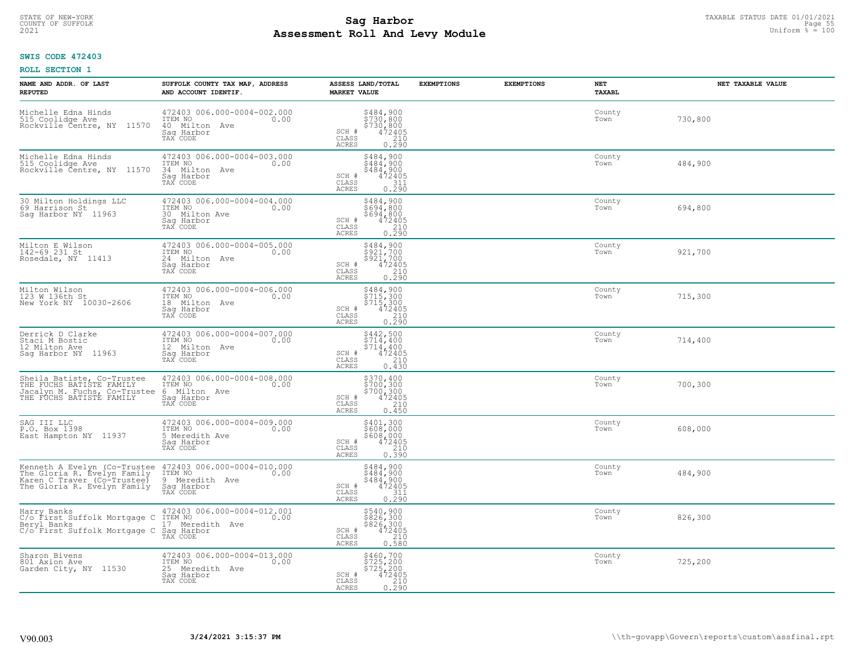# TAXABLE STATUS DATE 01/01/2021 **Sag Harbor** COUNTY OF SUFFOLK Page 55 **Assessment Roll And Levy Module Example 2021** Uniform  $\frac{1}{8}$  = 100

## **SWIS CODE 472403**

| NAME AND ADDR. OF LAST<br><b>REPUTED</b>                                                                                  | SUFFOLK COUNTY TAX MAP, ADDRESS<br>AND ACCOUNT IDENTIF.                                     | ASSESS LAND/TOTAL<br><b>MARKET VALUE</b>                                                                                    | <b>EXEMPTIONS</b> | <b>EXEMPTIONS</b><br><b>NET</b><br>TAXABL | NET TAXABLE VALUE |
|---------------------------------------------------------------------------------------------------------------------------|---------------------------------------------------------------------------------------------|-----------------------------------------------------------------------------------------------------------------------------|-------------------|-------------------------------------------|-------------------|
| Michelle Edna Hinds<br>515 Coolidge Ave<br>11570<br>Rockville Čentre, NY                                                  | 472403 006.000-0004-002.000<br>ITEM NO<br>0.00<br>40 Milton Ave<br>Saq Harbor<br>TAX CODE   | \$484,900<br>\$730,800<br>\$730,800<br>472405<br>210<br>SCH #<br>CLASS<br><b>ACRES</b><br>0.290                             |                   | County<br>Town                            | 730,800           |
| Michelle Edna Hinds<br>515 Coolidge Ave<br>Rockville Čentre, NY 11570                                                     | 472403 006.000-0004-003.000<br>ITEM NO<br>0.00<br>34 Milton Ave<br>Saq Harbor<br>TAX CODE   | \$484,900<br>\$484,900<br>\$484,900<br>472405<br>SCH #<br>CLASS<br>311<br>0.290<br>ACRES                                    |                   | County<br>Town                            | 484,900           |
| 30 Milton Holdings LLC<br>69 Harrison St<br>Saq Harbor NY 11963                                                           | 472403 006.000-0004-004.000<br>ITEM NO<br>0.00<br>30 Milton Ave<br>Saq Harbor<br>TAX CODE   | \$484,900<br>\$694,800<br>\$694,800<br>SCH #<br>$\begin{smallmatrix} 472405\ 210\ 2.90 \end{smallmatrix}$<br>CLASS<br>ACRES |                   | County<br>Town                            | 694,800           |
| Milton E Wilson<br>142-69 231 St<br>Rosedale, NY 11413                                                                    | 472403 006.000-0004-005.000<br>ITEM NO<br>0.00<br>24 Milton Ave<br>Saq Harbor<br>TAX CODE   | \$484,900<br>\$921,700<br>\$921/700<br>SCH #<br>$\begin{array}{r} 472405 \\ 210 \\ 0.290 \end{array}$<br>CLASS<br>ACRES     |                   | County<br>Town                            | 921,700           |
| Milton Wilson<br>123 W 136th St<br>New York NY 10030-2606                                                                 | 472403 006.000-0004-006.000<br>ITEM NO<br>0.00<br>18 Milton Ave<br>Saq Harbor<br>TAX CODE   | \$484,900<br>$5715,3005715,3004724050.290$<br>SCH #<br>$\mathtt{CLASS}$<br><b>ACRES</b>                                     |                   | County<br>Town                            | 715,300           |
| Derrick D Clarke<br>Staci M Bostic<br>12 Milton Ave<br>Saq Harbor NY 11963                                                | 472403 006.000-0004-007.000<br>ITEM NO<br>0.00<br>12 Milton Ave<br>Saq Harbor<br>TAX CODE   | \$442,500<br>\$714,400<br>$$714, 400$<br>$472405$<br>SCH #<br>210<br>CLASS<br><b>ACRES</b><br>0.430                         |                   | County<br>Town                            | 714,400           |
| Sheila Batiste, Co-Trustee<br>THE FUCHS BATISTE FAMILY<br>Jacalyn M. Fuchs, Co-Trustee<br>THE FUCHS BATISTE FAMILY        | 472403 006.000-0004-008.000<br>ITEM NO<br>0.00<br>Milton Ave<br>6<br>Sag Harbor<br>TAX CODE | \$370,400<br>\$700,300<br>\$700,300<br>472405<br>SCH #<br>CLASS<br>$\frac{210}{0.450}$<br>ACRES                             |                   | County<br>Town                            | 700,300           |
| SAG III LLC<br>P.O. Box 1398<br>East Hampton NY 11937                                                                     | 472403 006.000-0004-009.000<br>ITEM NO<br>0.00<br>5 Meredith Ave<br>Saq Harbor<br>TAX CODE  | \$401,300<br>\$608,000<br>\$608,000<br>472405<br>210<br>SCH #<br>CLASS<br>0.550<br>ACRES                                    |                   | County<br>Town                            | 608,000           |
| Kenneth A Evelyn (Co-Trustee<br>The Gloria R. Evelyn Family<br>Karen C Traver (Co-Trustee)<br>The Gloria R. Evelyn Family | 472403 006.000-0004-010.000<br>10.00 0.00<br>9<br>Meredith Ave<br>Saq Harbor<br>TAX CODE    | $$484,900$<br>$$484,900$<br>$$484,900$<br>$472405$<br>$$311$<br>SCH #<br>CLASS<br>0.290<br>ACRES                            |                   | County<br>Town                            | 484,900           |
| Harry Banks<br>C/o First Suffolk Mortgage C<br>Beryl Banks<br>C/o First Suffolk Mortgage C                                | 472403 006.000-0004-012.001<br>ITEM NO<br>0.00<br>17 Meredith Ave<br>Saq Harbor<br>TAX CODE | $$826, 300$<br>$$826, 300$<br>$$826, 300$<br>$472405$<br>210<br>SCH #<br>CLASS<br>0.580<br><b>ACRES</b>                     |                   | County<br>Town                            | 826,300           |
| Sharon Bivens<br>801 Axion Ave<br>Garden City, NY 11530                                                                   | 472403 006.000-0004-013.000<br>ITEM NO<br>0.00<br>25 Meredith Ave<br>Sag Harbor<br>TAX CODE | \$460,700<br>\$725,200<br>\$725,200<br>SCH #<br>$72405$<br>$210$<br>0.290<br>CLASS<br><b>ACRES</b>                          |                   | County<br>Town                            | 725,200           |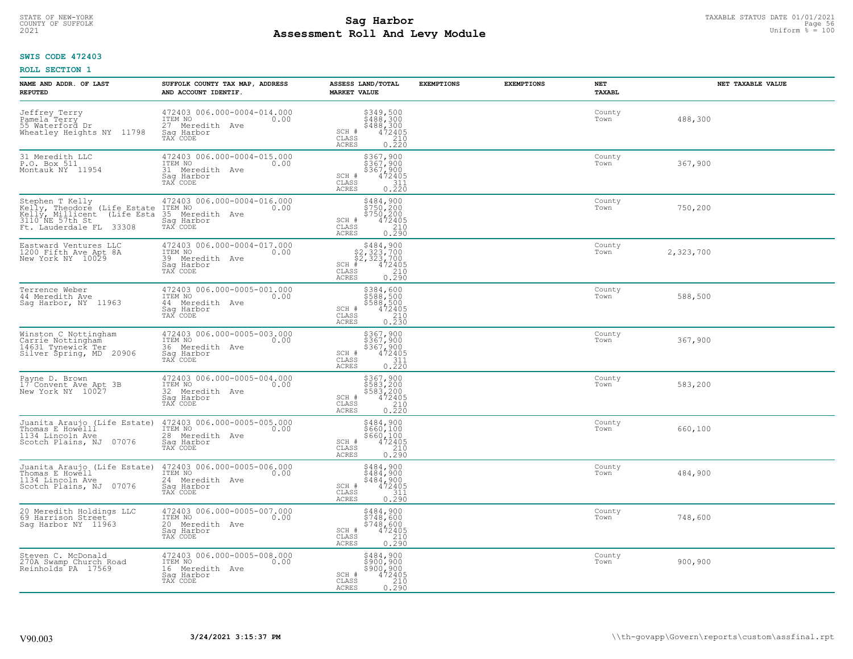# TAXABLE STATUS DATE 01/01/2021<br>COUNTY OF SUFFOLK Page 56 **Assessment Roll And Levy Module Example 2021** Uniform  $\frac{1}{8}$  = 100

## **SWIS CODE 472403**

| NAME AND ADDR. OF LAST<br><b>REPUTED</b>                                                                                                      | SUFFOLK COUNTY TAX MAP, ADDRESS<br>AND ACCOUNT IDENTIF.                                        | ASSESS LAND/TOTAL<br><b>MARKET VALUE</b>                                                                                       | <b>EXEMPTIONS</b> | <b>EXEMPTIONS</b> | <b>NET</b><br><b>TAXABL</b> | NET TAXABLE VALUE |
|-----------------------------------------------------------------------------------------------------------------------------------------------|------------------------------------------------------------------------------------------------|--------------------------------------------------------------------------------------------------------------------------------|-------------------|-------------------|-----------------------------|-------------------|
| Jeffrey Terry<br>Pamela Terry<br>55 Waterford Dr<br>Wheatley Heights NY 11798                                                                 | 472403 006.000-0004-014.000<br>ITEM NO<br>0.00<br>27 Meredith<br>Ave<br>Saq Harbor<br>TAX CODE | $$349,500$<br>$$488,300$<br>$$488,300$<br>$472405$<br>210<br>SCH #<br>CLASS<br>ACRES<br>0.220                                  |                   |                   | County<br>Town              | 488,300           |
| 31 Meredith LLC<br>P.O. Box 511<br>Montauk NY 11954                                                                                           | 472403 006.000-0004-015.000<br>ITEM NO<br>0.00<br>31 Meredith Ave<br>Saq Harbor<br>TAX CODE    | \$367,900<br>\$367,900<br>\$367,900<br>472405<br>SCH #<br>CLASS<br>$\begin{array}{c} 311 \\ 0.220 \end{array}$<br>ACRES        |                   |                   | County<br>Town              | 367,900           |
| Stephen T Kelly<br>Kelly, Theodore (Life Estate<br>Kelly, Millicent<br>(Life Esta)<br>3110 <sup>-</sup> NE 57th St<br>Ft. Lauderdale FL 33308 | 472403 006.000-0004-016.000<br>ITEM NO<br>0.00<br>35<br>Meredith Ave<br>Saq Harbor<br>TAX CODE | \$484,900<br>\$750,200<br>\$750,200<br>472405<br>SCH #<br>CLASS<br>$\frac{210}{0.290}$<br>ACRES                                |                   |                   | County<br>Town              | 750,200           |
| Eastward Ventures LLC<br>1200 Fifth Ave Apt 8A<br>New York NY 10029                                                                           | 472403 006.000-0004-017.000<br>ITEM NO<br>0.00<br>39 Meredith Ave<br>Saq Harbor<br>TAX CODE    | SCH #<br>$\mathtt{CLASS}$<br>ACRES                                                                                             |                   |                   | County<br>Town              | 2,323,700         |
| Terrence Weber<br>44 Meredith Ave<br>Sag Harbor, NY 11963                                                                                     | 472403 006.000-0005-001.000<br>ITEM NO<br>0.00<br>44 Meredith Ave<br>Saq Harbor<br>TAX CODE    | \$384,600<br>3588,500<br>\$588,500<br>\$588,500<br>472405<br>0.230<br>SCH #<br>CLASS<br>ACRES                                  |                   |                   | County<br>Town              | 588,500           |
| Winston C Nottingham<br>Carrie Nottingham<br>14631 Tynewick Ter<br>Silver Spring, MD 20906                                                    | 472403 006.000-0005-003.000<br>ITEM NO<br>0.00<br>36 Meredith Ave<br>Sag Harbor<br>TAX CODE    | \$367,900<br>\$367,900<br>\$367,900<br>\$472405<br>SCH #<br>$\frac{311}{0.220}$<br>CLASS<br><b>ACRES</b>                       |                   |                   | County<br>Town              | 367,900           |
| Payne D. Brown<br>17 Convent Ave Apt 3B<br>New York NY 10027                                                                                  | 472403 006.000-0005-004.000<br>ITEM NO<br>0.00<br>32<br>Meredith Ave<br>Saq Harbor<br>TAX CODE | \$367,900<br>\$583,200<br>\$583,200<br>472405<br>SCH #<br>$\frac{210}{0.220}$<br>CLASS<br>ACRES                                |                   |                   | County<br>Town              | 583,200           |
| Juanita Araujo (Life Estate)<br>Thomas E Howelll<br>1134 Lincoln Ave<br>07076<br>Scotch Plains, NJ                                            | 472403 006.000-0005-005.000<br>ITEM NO<br>0.00<br>28 Meredith Ave<br>Saq Harbor<br>TAX CODE    | \$484,900<br>\$660,100<br>\$660,100<br>472405<br>SCH #<br>CLASS<br>$\frac{210}{0.290}$<br><b>ACRES</b>                         |                   |                   | County<br>Town              | 660,100           |
| Juanita Araujo (Life Estate)<br>Thomas E Howell<br>1134 Lincoln Ave<br>Scotch Plains, NJ 07076                                                | 472403 006.000-0005-006.000<br>TTEM NO 0.00<br>24 Meredith Ave<br>Saq Harbor<br>TAX CODE       | \$484,900<br>\$484,900<br>\$484,900<br>472405<br>SCH #<br>CLASS<br>311<br>0.290<br>ACRES                                       |                   |                   | County<br>Town              | 484,900           |
| Meredith Holdings LLC<br>20 Meredith Holding<br>69 Harrison Street<br>Sag Harbor NY 11963                                                     | 472403 006.000-0005-007.000<br>ITEM NO<br>0.00<br>20 Meredith Ave<br>Sag Harbor<br>TAX CODE    | \$484,900<br>\$748,600<br>\$748,600<br>SCH #<br>$\frac{472405}{210}$<br>CLASS<br>0.290<br><b>ACRES</b>                         |                   |                   | County<br>Town              | 748,600           |
| Steven C. McDonald<br>270A Swamp Church Road<br>Reinholds PA 17569                                                                            | 472403 006.000-0005-008.000<br>ITEM NO<br>0.00<br>16 Meredith Ave<br>Saq Harbor<br>TAX CODE    | \$484,900<br>\$900,900<br>\$900,900<br>SCH #<br>472405<br>$\begin{array}{c} 210 \\ 0.290 \end{array}$<br>CLASS<br><b>ACRES</b> |                   |                   | County<br>Town              | 900,900           |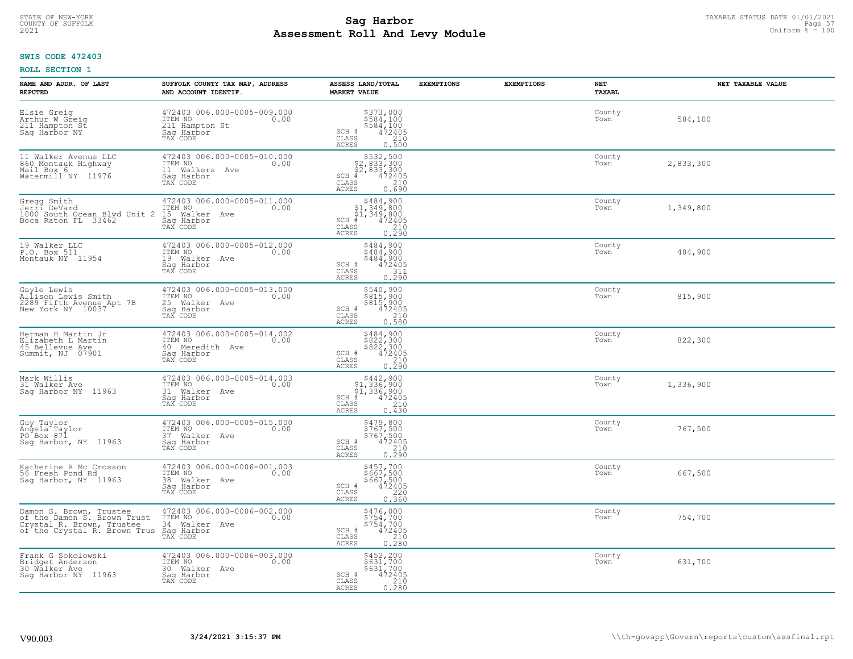# TAXABLE STATUS DATE 01/01/2021<br>COUNTY OF SUFFOLK Page 57 **Assessment Roll And Levy Module Example 2021** Uniform  $\frac{1}{8}$  = 100

## **SWIS CODE 472403**

| NAME AND ADDR. OF LAST<br><b>REPUTED</b>                                                                            | SUFFOLK COUNTY TAX MAP, ADDRESS<br>AND ACCOUNT IDENTIF.                                     | ASSESS LAND/TOTAL<br><b>MARKET VALUE</b>                                                                                      | <b>EXEMPTIONS</b> | <b>EXEMPTIONS</b> | NET<br>TAXABL  | NET TAXABLE VALUE |
|---------------------------------------------------------------------------------------------------------------------|---------------------------------------------------------------------------------------------|-------------------------------------------------------------------------------------------------------------------------------|-------------------|-------------------|----------------|-------------------|
| Elsie Greig<br>Arthur W Greig<br>211 Hampton St<br>Sag Harbor NY                                                    | 472403 006.000-0005-009.000<br>ITEM NO<br>0.00<br>211 Hampton St<br>Saq Harbor<br>TAX CODE  | $$584,100$584,100$584,100$472405210210$<br>SCH #<br>CLASS<br>ACRES<br>0.500                                                   |                   |                   | County<br>Town | 584,100           |
| 11 Walker Avenue LLC<br>860 Montauk Highway<br>Mail Box 6<br>Watermill NY 11976                                     | 472403 006.000-0005-010.000<br>ITEM NO<br>0.00<br>11 Walkers Ave<br>Saq Harbor<br>TAX CODE  | $$532,500$<br>$$2,833,300$<br>$$2,833,300$<br>$$472405$<br>$SCH$ #<br>CLASS<br>210<br>0.690<br>ACRES                          |                   |                   | County<br>Town | 2,833,300         |
| Gregg Smith<br>Jerrí DeVard<br>1000 South Ocean Blvd Unit 2<br>Boca Raton FL 33462                                  | 472403 006.000-0005-011.000<br>ITEM NO<br>0.00<br>15 Walker Ave<br>Sag Harbor<br>TAX CODE   | \$484,900<br>\$1,349,800<br>$\frac{51}{4}$ , 349, 800<br>$\frac{472405}{4}$<br>SCH #<br>CLASS<br>$\frac{210}{0.290}$<br>ACRES |                   |                   | County<br>Town | 1,349,800         |
| 19 Walker LLC<br>P.O. Box 511<br>Montauk NY 11954                                                                   | 472403 006.000-0005-012.000<br>ITEM NO<br>0.00<br>19 Walker Ave<br>Saq Harbor<br>TAX CODE   | \$484,900<br>\$484,900<br>\$484,900<br>SCH #<br>472405<br>311<br>CLASS<br><b>ACRES</b><br>0.290                               |                   |                   | County<br>Town | 484,900           |
| Gayle Lewis<br>Nilison Lewis Smith<br>2289 Fifth Avenue Apt 7B<br>New York NY 10037                                 | 472403 006.000-0005-013.000<br>ITEM NO<br>0.00<br>25 Walker Ave<br>Saq Harbor<br>TAX CODE   | \$540,900<br>\$815,900<br>\$815,900<br>472405<br>SCH #<br>210<br>CLASS<br>0.580<br>ACRES                                      |                   |                   | County<br>Town | 815,900           |
| Herman H Martin Jr<br>Elizabeth L Martin<br>45 Bellevue Ave<br>Summit, NJ 07901                                     | 472403 006.000-0005-014.002<br>ITEM NO<br>0.00<br>40 Meredith Ave<br>Sag Harbor<br>TAX CODE | \$484,900<br>\$822,300<br>\$822,300<br>472405<br>SCH #<br>CLASS<br>210<br>0.290<br><b>ACRES</b>                               |                   |                   | County<br>Town | 822,300           |
| Mark Willis<br>31 Walker Ave<br>Saq Harbor NY 11963                                                                 | 472403 006.000-0005-014.003<br>ITEM NO<br>0.00<br>31 Walker Ave<br>Saq Harbor<br>TAX CODE   | $$442,900$<br>$$1,336,900$<br>$$1,336,900$<br>$$472405$<br>$SCH$ #<br>$\mathtt{CLASS}$<br>210<br>0.430<br>ACRES               |                   |                   | County<br>Town | 1,336,900         |
| Guy Taylor<br>Angela Taylor<br>PO Box 871<br>Sag Harbor, NY 11963                                                   | 472403 006.000-0005-015.000<br>0.00 0.00<br>37 Walker Ave<br>Saq Harbor<br>TAX CODE         | \$479,800<br>\$767,500<br>\$767,500<br>472405<br>$SCH$ #<br>CLASS<br>210<br><b>ACRES</b><br>0.290                             |                   |                   | County<br>Town | 767,500           |
| Katherine R Mc Crosson<br>56 Fresh Pond Rd<br>Sag Harbor, NY 11963                                                  | 472403 006.000-0006-001.003<br>TTEM NO 0.00<br>38 Walker Ave<br>Saq Harbor<br>TAX CODE      | \$457,700<br>\$667,500<br>\$667,500<br>472405<br>SCH #<br>CLASS<br>220<br>0.360<br><b>ACRES</b>                               |                   |                   | County<br>Town | 667,500           |
| Damon S. Brown, Trustee<br>of the Damon S. Brown Trust<br>Crystal R. Brown, Trustee<br>of the Crystal R. Brown Trus | 472403 006.000-0006-002.000<br>ITEM NO<br>0.00<br>34 Walker Ave<br>Sag Harbor<br>TAX CODE   | \$476,000<br>\$754,700<br>\$754,700<br>472405<br>SCH #<br>CLASS<br>210<br><b>ACRES</b><br>0.280                               |                   |                   | County<br>Town | 754,700           |
| Frank G Sokolowski<br>Bridget Anderson<br>30 Wälker Ave<br>Saq Harbor NY 11963                                      | 472403 006.000-0006-003.000<br>ITEM NO<br>0.00<br>30 Walker Ave<br>Sag Harbor<br>TAX CODE   | \$452,200<br>\$631,700<br>\$631,700<br>SCH #<br>$\frac{472405}{210}$<br>CLASS<br><b>ACRES</b><br>0.280                        |                   |                   | County<br>Town | 631,700           |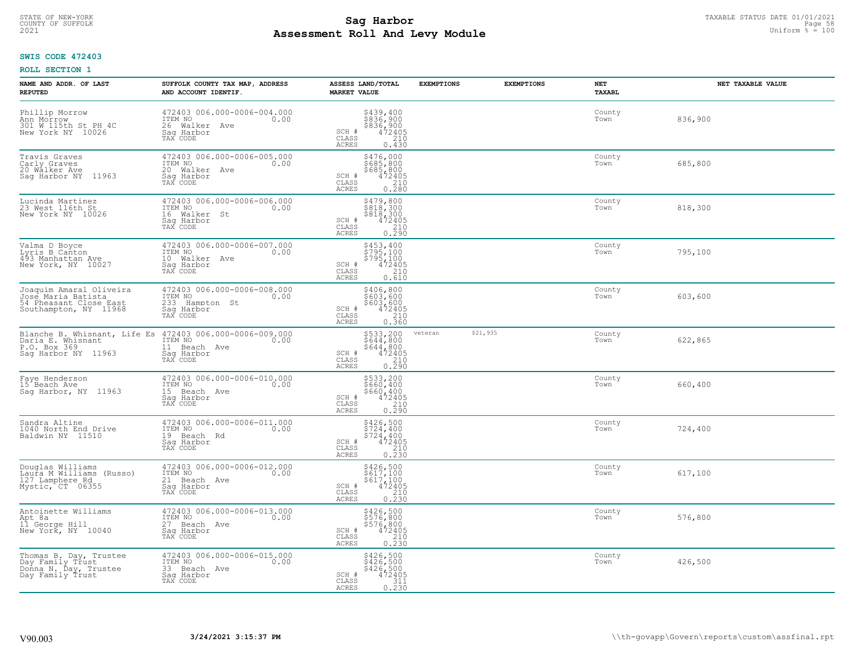# TAXABLE STATUS DATE 01/01/2021 **Sag Harbor** COUNTY OF SUFFOLK Page 58 **Assessment Roll And Levy Module Example 2021** Uniform  $\frac{1}{8}$  = 100

## **SWIS CODE 472403**

| NAME AND ADDR. OF LAST<br><b>REPUTED</b>                                                         | SUFFOLK COUNTY TAX MAP, ADDRESS<br>AND ACCOUNT IDENTIF.                                                               | ASSESS LAND/TOTAL<br><b>MARKET VALUE</b>                                                                                       | <b>EXEMPTIONS</b> | <b>EXEMPTIONS</b> | NET<br><b>TAXABL</b> | NET TAXABLE VALUE |
|--------------------------------------------------------------------------------------------------|-----------------------------------------------------------------------------------------------------------------------|--------------------------------------------------------------------------------------------------------------------------------|-------------------|-------------------|----------------------|-------------------|
| Phillip Morrow<br>Ann Morrow<br>301 W 115th St PH 4C<br>New York NY 10026                        | 472403 006.000-0006-004.000<br>ITEM NO<br>0.00<br>26 Walker Ave<br>Saq Harbor<br>TAX CODE                             | \$439,400<br>\$836,900<br>\$836,900<br>SCH #<br>$\frac{472405}{210}$<br>CLASS<br><b>ACRES</b><br>0.430                         |                   |                   | County<br>Town       | 836,900           |
| Travis Graves<br>Carly Graves<br>20 Walker Ave<br>Saq Harbor NY 11963                            | 472403 006.000-0006-005.000<br>ITEM NO<br>0.00<br>20 Walker Ave<br>Saq Harbor<br>TAX CODE                             | \$476,000<br>\$685,800<br>\$685,800<br>SCH #<br>472405<br>CLASS<br>$\begin{array}{c} 210 \\ 0.280 \end{array}$<br><b>ACRES</b> |                   |                   | County<br>Town       | 685,800           |
| Lucinda Martinez<br>23 West 116th St<br>New York NY 10026                                        | 472403 006.000-0006-006.000<br>ITEM NO<br>0.00<br>16 Walker St<br>Saq Harbor<br>TAX CODE                              | \$479,800<br>$\frac{5818}{300}$<br>$\frac{5818}{472405}$<br>SCH #<br>CLASS<br>$\frac{210}{0.290}$<br>ACRES                     |                   |                   | County<br>Town       | 818,300           |
| Valma D Boyce<br>Lyris B Canton<br>493 Manhattan Ave<br>New York, NY 10027                       | 472403 006.000-0006-007.000<br>10.00 0.00<br>10 Walker Ave<br>Sag Harbor<br>TAX CODE                                  | \$453,400<br>\$795,100<br>\$795,100<br>472405<br>SCH #<br>CLASS<br>210<br><b>ACRES</b><br>0.610                                |                   |                   | County<br>Town       | 795,100           |
| Joaquim Amaral Oliveira<br>Jose Maria Batista<br>54 Pheasant Close East<br>Southampton, NY 11968 | 472403 006.000-0006-008.000<br>ITEM NO<br>0.00<br>233 Hampton St<br>Saq Harbor<br>TAX CODE                            | \$406,800<br>\$603,600<br>\$603,600<br>\$603,600<br>472405<br>0.360<br>SCH #<br>$\mathtt{CLASS}$<br><b>ACRES</b>               |                   |                   | County<br>Town       | 603,600           |
| Daria E. Whisnant<br>P.O. Box 369<br>Sag Harbor NY 11963                                         | Blanche B. Whisnant, Life Es 472403 006.000-0006-009.000<br>ITEM NO<br>0.00<br>11 Beach Ave<br>Sag Harbor<br>TAX CODE | \$533,200<br>\$644,800<br>\$644,800<br>\$644,800<br>\$72405<br>0.290<br>SCH #<br>CLASS<br><b>ACRES</b>                         | veteran           | \$21,935          | County<br>Town       | 622,865           |
| Faye Henderson<br>15 Beach Ave<br>Sag Harbor, NY 11963                                           | 472403 006.000-0006-010.000<br>ITEM NO<br>0.00<br>15 Beach Ave<br>Saq Harbor<br>TAX CODE                              | \$533,200<br>\$660,400<br>\$660,400<br>472405<br>SCH #<br>$\mathtt{CLASS}$<br>0.290<br><b>ACRES</b>                            |                   |                   | County<br>Town       | 660,400           |
| Sandra Altine<br>1040 North End Drive<br>Baldwin NY 11510                                        | 472403 006.000-0006-011.000<br>ITEM NO 0.00<br>19 Beach Rd<br>Sag Harbor<br>TAX CODE                                  | \$426,500<br>\$724,400<br>\$724,400<br>\$724,400<br>SCH #<br>CLASS<br>210<br><b>ACRES</b><br>0.230                             |                   |                   | County<br>Town       | 724,400           |
| Douglas Williams<br>Laura M Williams (Russo)<br>127 Lamphere Rd<br>Mystic, CT 06355              | 472403 006.000-0006-012.000<br>TTEM NO 0.00<br>21 Beach Ave<br>Saq Harbor<br>TAX CODE                                 | \$426,500<br>\$617,100<br>\$617,100<br>472405<br>SCH #<br>CLASS<br>0.210<br><b>ACRES</b>                                       |                   |                   | County<br>Town       | 617,100           |
| Antoinette Williams<br>Apt 8a<br>11 George Hill<br>New York, NY 10040                            | 472403 006.000-0006-013.000<br>ITEM NO<br>0.00<br>27 Beach Ave<br>Saq Harbor<br>TAX CODE                              | \$426,500<br>\$576,800<br>$\begin{array}{r} 576,800 \\ 472405 \\ 210 \\ 0.230 \end{array}$<br>SCH #<br>CLASS<br><b>ACRES</b>   |                   |                   | County<br>Town       | 576,800           |
| Thomas B. Day, Trustee<br>Day Family Trust<br>Donna N. Day, Trustee<br>Day Family Trust          | 472403 006.000-0006-015.000<br>ITEM NO 0.00<br>33 Beach Ave<br>Sag Harbor<br>TAX CODE                                 | \$426,500<br>\$426,500<br>\$426,500<br>SCH #<br>472405<br>CLASS<br>311<br>ACRES<br>0.230                                       |                   |                   | County<br>Town       | 426,500           |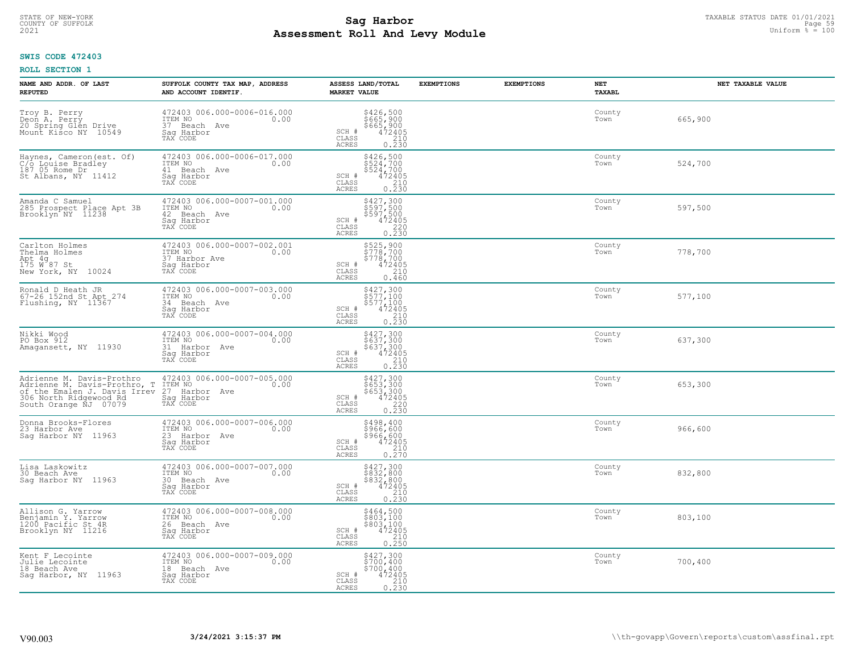# TAXABLE STATUS DATE 01/01/2021 **Sag Harbor** COUNTY OF SUFFOLK Page 59 **Assessment Roll And Levy Module Example 2021** Uniform  $\frac{1}{8}$  = 100

## **SWIS CODE 472403**

| NAME AND ADDR. OF LAST<br><b>REPUTED</b>                                                                                                     | SUFFOLK COUNTY TAX MAP, ADDRESS<br>AND ACCOUNT IDENTIF.                                     | ASSESS LAND/TOTAL<br><b>MARKET VALUE</b>                                                                                       | <b>EXEMPTIONS</b><br><b>EXEMPTIONS</b> | NET<br>TAXABL  | NET TAXABLE VALUE |
|----------------------------------------------------------------------------------------------------------------------------------------------|---------------------------------------------------------------------------------------------|--------------------------------------------------------------------------------------------------------------------------------|----------------------------------------|----------------|-------------------|
| Troy B. Perry<br>Deon A. Perry<br>20 Spring Glén Drive<br>Mount Kisco NY 10549                                                               | 472403 006.000-0006-016.000<br>ITEM NO<br>0.00<br>37 Beach Ave<br>Saq Harbor<br>TAX CODE    | \$426,500<br>\$665,900<br>\$665,900<br>472405<br>210<br>SCH #<br>CLASS<br>ACRES<br>0.230                                       |                                        | County<br>Town | 665,900           |
| Haynes, Cameron (est. Of)<br>C/o Louise Bradley<br>187 05 Rome Dr<br>St Albans, NY 11412                                                     | 472403 006.000-0006-017.000<br>TTEM NO 0.00<br>41 Beach Ave<br>Saq Harbor<br>TAX CODE       | \$426,500<br>\$524,700<br>\$524,700<br>$\begin{array}{r} 472405 \\ 210 \\ 0.230 \end{array}$<br>SCH #<br>CLASS<br>ACRES        |                                        | County<br>Town | 524,700           |
| Amanda C Samuel<br>285 Prospect Place Apt 3B<br>Brooklyn NY 11238                                                                            | 472403 006.000-0007-001.000<br>ITEM NO<br>0.00<br>42<br>Beach Ave<br>Sag Harbor<br>TAX CODE | \$427,300<br>\$597,500<br>\$597,500<br>\$597,500<br>472405<br>0.230<br>SCH #<br>CLASS<br>ACRES                                 |                                        | County<br>Town | 597,500           |
| Carlton Holmes<br>Thelma Holmes<br>Apt 4g<br>175 W 87 St<br>New York, NY 10024                                                               | 472403 006.000-0007-002.001<br>ITEM NO<br>0.00<br>37 Harbor Ave<br>Saq Harbor<br>TAX CODE   | \$525,900<br>\$778,700<br>\$778,700<br>SCH #<br>$472405$<br>210<br>CLASS<br>ACRES<br>0.460                                     |                                        | County<br>Town | 778,700           |
| Ronald D Heath JR<br>67-26 152nd St Apt 274<br>Flushing, NY 11367                                                                            | 472403 006.000-0007-003.000<br>ITEM NO<br>0.00<br>34 Beach Ave<br>Saq Harbor<br>TAX CODE    | \$427,300<br>\$577,100<br>\$577,100<br>\$577,100<br>\$210<br>0.230<br>SCH #<br>CLASS<br><b>ACRES</b>                           |                                        | County<br>Town | 577,100           |
| Nikki Wood<br>PO Box 912<br>Amagansett, NY 11930                                                                                             | 472403 006.000-0007-004.000<br>ITEM NO<br>0.00<br>31 Harbor Ave<br>Saq Harbor<br>TAX CODE   | \$427,300<br>\$637,300<br>\$637,300<br>\$637,300<br>472405<br>0.230<br>SCH #<br>CLASS<br><b>ACRES</b>                          |                                        | County<br>Town | 637,300           |
| Adrienne M. Davis-Prothro<br>Adrienne M. Davis-Prothro, T<br>of the Emalen J. Davis Irrev<br>306 North Ridgewood Rd<br>South Orange NJ 07079 | 472403 006.000-0007-005.000<br>ITEM NO<br>27 Harbor Ave<br>0.00<br>Sag Harbor<br>TAX CODE   | \$427,300<br>\$653,300<br>\$653,300<br>472405<br>SCH #<br>$\begin{array}{c} 220 \\ 0.230 \end{array}$<br>CLASS<br><b>ACRES</b> |                                        | County<br>Town | 653,300           |
| Donna Brooks-Flores<br>23 Harbor Ave<br>Saq Harbor NY 11963                                                                                  | 472403 006.000-0007-006.000<br>ITEM NO<br>0.00<br>23 Harbor Ave<br>Saq Harbor<br>TAX CODE   | \$498,400<br>\$966,600<br>\$966,600<br>\$966,600<br>0.270<br>0.270<br>SCH #<br>CLASS<br><b>ACRES</b>                           |                                        | County<br>Town | 966,600           |
| Lisa Laskowitz<br>30 Beach Ave<br>Sag Harbor NY 11963                                                                                        | 472403 006.000-0007-007.000<br>TTEM NO 0.00<br>30 Beach Ave<br>Sag Harbor<br>TAX CODE       | \$427,300<br>\$832,800<br>\$832,800<br>\$832,800<br>\$72405<br>\$210<br>\$230<br>SCH #<br>CLASS<br><b>ACRES</b>                |                                        | County<br>Town | 832,800           |
| Allison G. Yarrow<br>Benjamin Y. Yarrow<br>1200 Pacific St.4R<br>Brooklyn NY 11216                                                           | 472403 006.000-0007-008.000<br>ITEM NO<br>0.00<br>26 Beach Ave<br>Sag Harbor<br>TAX CODE    | $$464, 500$<br>$$803, 100$<br>$$803, 100$<br>$472405$<br>$$210$<br>SCH #<br>CLASS<br>0.250<br>ACRES                            |                                        | County<br>Town | 803,100           |
| Kent F Lecointe<br>Julie Lecointe<br>18 Beach Ave<br>Saq Harbor, NY 11963                                                                    | 472403 006.000-0007-009.000<br>ITEM NO<br>0.00<br>18 Beach Ave<br>Saq Harbor<br>TAX CODE    | \$427,300<br>\$700,400<br>\$700,400<br>$472405$<br>210<br>SCH #<br>CLASS<br>0.230<br>ACRES                                     |                                        | County<br>Town | 700,400           |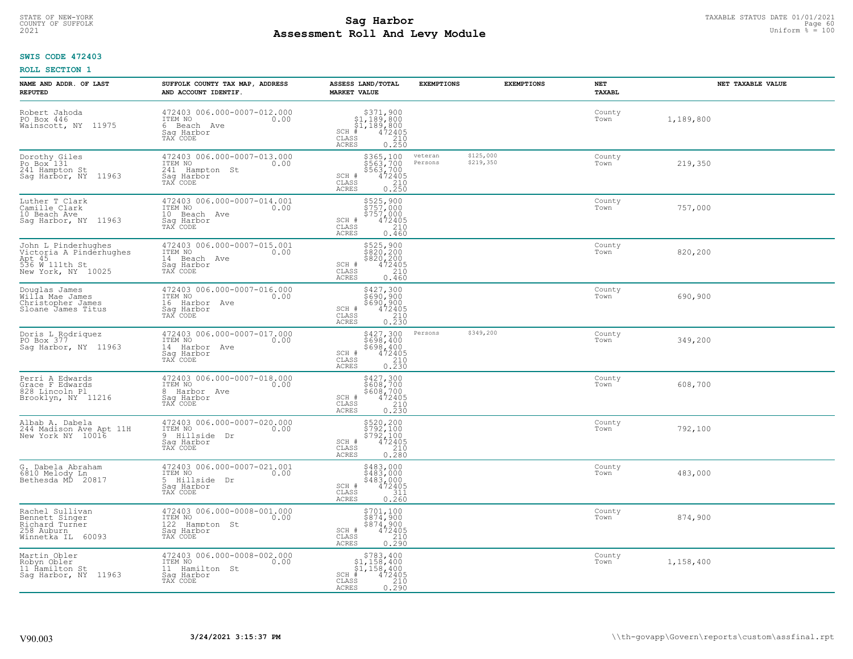#### **Sag Harbor** TAXABLE STATUS DATE 01/01/2021<br>
Poll and Louis Module **Assessment Roll And Levy Module Example 2021** Uniform  $\frac{1}{8}$  = 100 COUNTY OF SUFFOLK **Example 19 Second COUNTY COUNTY OF SUFFOLK** Page 60

## **SWIS CODE 472403**

| NAME AND ADDR. OF LAST<br><b>REPUTED</b>                                                         | SUFFOLK COUNTY TAX MAP, ADDRESS<br>AND ACCOUNT IDENTIF.                                    | ASSESS LAND/TOTAL<br><b>MARKET VALUE</b>                                                                                                                  | <b>EXEMPTIONS</b>                            | <b>EXEMPTIONS</b> | NET<br>TAXABL  | NET TAXABLE VALUE |
|--------------------------------------------------------------------------------------------------|--------------------------------------------------------------------------------------------|-----------------------------------------------------------------------------------------------------------------------------------------------------------|----------------------------------------------|-------------------|----------------|-------------------|
| Robert Jahoda<br>PO Box 446<br>Wainscott, NY 11975                                               | 472403 006.000-0007-012.000<br>ITEM NO<br>0.00<br>6 Beach Ave<br>Saq Harbor<br>TAX CODE    | $\begin{array}{r} 3371,900 \\ 51,189,800 \\ 51,189,800 \\ * \\ 472405 \\ \text{ss} \\ 210 \\ \text{ss} \end{array}$<br>$SCH$ #<br>CLASS<br>ACRES<br>0.250 |                                              |                   | County<br>Town | 1,189,800         |
| Dorothy Giles<br>Po Box 131<br>241 Hampton St<br>Sag Harbor, NY 11963                            | 472403 006.000-0007-013.000<br>ITEM NO<br>0.00<br>241 Hampton St<br>Saq Harbor<br>TAX CODE | \$365,100<br>\$563,700<br>\$563,700<br>SCH #<br>$\frac{472405}{210}$<br>0.250<br>CLASS<br>ACRES                                                           | \$125,000<br>veteran<br>\$219,350<br>Persons |                   | County<br>Town | 219,350           |
| Luther T Clark<br>Camille Clark<br>10 Beach Ave<br>Saq Harbor, NY 11963                          | 472403 006.000-0007-014.001<br>ITEM NO<br>0.00<br>10 Beach Ave<br>Saq Harbor<br>TAX CODE   | \$525,900<br>\$757,000<br>5757,000<br>SCH #<br>472405<br>CLASS<br>210<br>0.460<br>ACRES                                                                   |                                              |                   | County<br>Town | 757,000           |
| John L Pinderhughes<br>Victoria A Pindérhughes<br>Apt 45<br>536 W 111th St<br>New York, NY 10025 | 472403 006.000-0007-015.001<br>TTEM NO 0.00<br>14 Beach Ave<br>Saq Harbor<br>TAX CODE      | \$525,900<br>\$820,200<br>\$820,200<br>\$924,2405<br>SCH #<br>CLASS<br>210<br>ACRES<br>0.460                                                              |                                              |                   | County<br>Town | 820,200           |
| Douglas James<br>Willa Mae James<br>Christopher James<br>Sloane James Titus                      | 472403 006.000-0007-016.000<br>ITEM NO<br>0.00<br>16 Harbor Ave<br>Saq Harbor<br>TAX CODE  | \$427,300<br>3690,900<br>$$690,900$ $472405$ $0.230$<br>SCH #<br>CLASS<br><b>ACRES</b>                                                                    |                                              |                   | County<br>Town | 690,900           |
| Doris L Rodriquez<br>PO Box 377<br>Sag Harbor, NY 11963                                          | 472403 006.000-0007-017.000<br>ITEM NO<br>0.00<br>14 Harbor Ave<br>Saq Harbor<br>TAX CODE  | \$427,300<br>\$698,400<br>\$698,400<br>472405<br>SCH #<br>$\begin{array}{c} 210 \\ 0.230 \end{array}$<br>CLASS<br>ACRES                                   | \$349,200<br>Persons                         |                   | County<br>Town | 349,200           |
| Perri A Edwards<br>Grace F Edwards<br>828 Lincoln Pl<br>Brooklyn, NY 11216                       | 472403 006.000-0007-018.000<br>ITEM NO<br>0.00<br>8 Harbor Ave<br>Sag Harbor<br>TAX CODE   | \$427,300<br>\$608,700<br>\$608,700<br>472405<br>SCH #<br>CLASS<br>210<br>0.230<br>ACRES                                                                  |                                              |                   | County<br>Town | 608,700           |
| Albab A. Dabela<br>244 Madison Ave Apt 11H<br>New York NY 10016                                  | 472403 006.000-0007-020.000<br>TTEM NO 0.00<br>9 Hillside Dr<br>Saq Harbor<br>TAX CODE     | \$520,200<br>\$792,100<br>\$792,100<br>472405<br>SCH #<br>CLASS<br>210<br>ACRES<br>0.280                                                                  |                                              |                   | County<br>Town | 792,100           |
| G. Dabela Abraham<br>6810 Melody Ln<br>Bethesda MD 20817                                         | 472403 006.000-0007-021.001<br>ITEM NO 0.00<br>5 Hillside Dr<br>Saq Harbor<br>TAX CODE     | \$483,000<br>\$483,000<br>\$483,000<br>472405<br>SCH #<br>CLASS<br>311<br>ACRES<br>0.260                                                                  |                                              |                   | County<br>Town | 483,000           |
| Rachel Sullivan<br>Bennett Singer<br>Richard Turner<br>258 Auburn<br>Winnetka IL 60093           | 472403 006.000-0008-001.000<br>ITEM NO<br>0.00<br>122 Hampton St<br>Sag Harbor<br>TAX CODE | \$701,100<br>$$874,900$<br>$$874,900$<br>$472405$<br>SCH #<br>CLASS<br>210<br><b>ACRES</b><br>0.290                                                       |                                              |                   | County<br>Town | 874,900           |
| Martin Obler<br>Robyn Obler<br>11 Ĥamilton St<br>Sag Harbor, NY 11963                            | 472403 006.000-0008-002.000<br>ITEM NO<br>0.00<br>11 Hamilton St<br>Sag Harbor<br>TAX CODE | \$783,400<br>$$1,158,400$<br>$$1,158,400$<br>$SCH$ #<br>472405<br>CLASS<br>$\frac{210}{0.290}$<br>ACRES                                                   |                                              |                   | County<br>Town | 1,158,400         |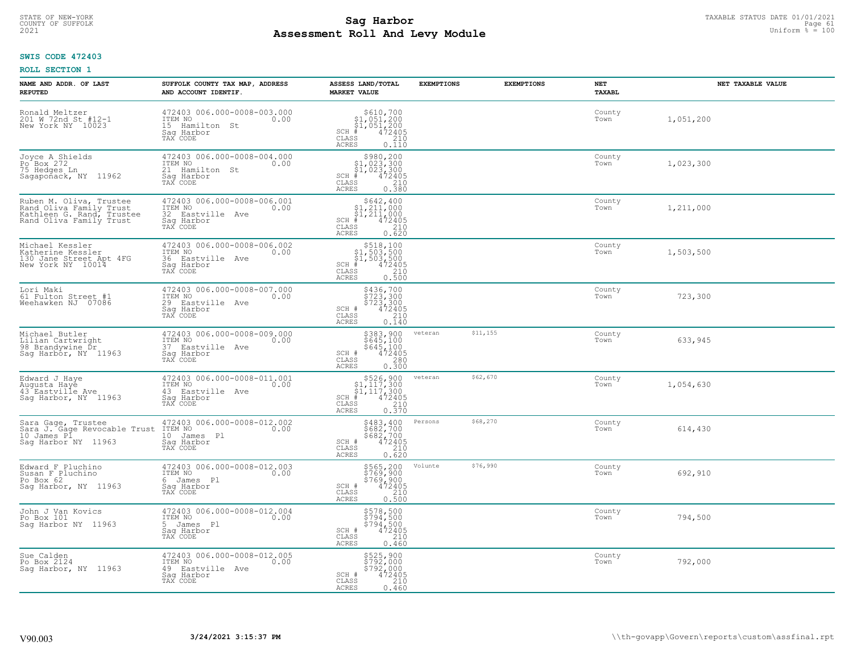#### **Sag Harbor** TAXABLE STATUS DATE 01/01/2021<br> **Poll And Louis Module Assessment Roll And Levy Module Example 2021** Uniform  $\frac{1}{8}$  = 100 COUNTY OF SUFFOLK **Example 19 Second 2008 Second 2009 Research Countries and Second 2009 Research Page 61**

## **SWIS CODE 472403**

| NAME AND ADDR. OF LAST<br><b>REPUTED</b>                                                                   | SUFFOLK COUNTY TAX MAP, ADDRESS<br>AND ACCOUNT IDENTIF.                                      | ASSESS LAND/TOTAL<br><b>MARKET VALUE</b>                                                                                                                                                                                                                                                                                                                                                                                                                      | <b>EXEMPTIONS</b> | <b>EXEMPTIONS</b> | NET<br>TAXABL  | NET TAXABLE VALUE |
|------------------------------------------------------------------------------------------------------------|----------------------------------------------------------------------------------------------|---------------------------------------------------------------------------------------------------------------------------------------------------------------------------------------------------------------------------------------------------------------------------------------------------------------------------------------------------------------------------------------------------------------------------------------------------------------|-------------------|-------------------|----------------|-------------------|
| Ronald Meltzer<br>201 W 72nd St #12-1<br>New York NY 10023                                                 | 472403 006.000-0008-003.000<br>ITEM NO<br>0.00<br>15 Hamilton St<br>Saq Harbor<br>TAX CODE   | $\begin{array}{r}  \  \  \, 5610,700 \\  \  \, 51,051,200 \\  \  \, 51,051,200 \\  \  \  \, 472405 \\  \  \, 35 \\  \  \  \, 210 \\  \  \, 0 \\  \  \, 210 \\  \  \, 0 \\  \  \, 0 \\  \  \, 0 \\  \  \, 0 \\  \  \, 0 \\  \  \, 0 \\  \  \, 0 \\  \  \, 0 \\  \  \, 0 \\  \  \, 0 \\  \  \, 0 \\  \  \, 0 \\  \  \, 0 \\  \  \$<br>$SCH$ #<br>CLASS<br>ACRES<br>0.110                                                                                        |                   |                   | County<br>Town | 1,051,200         |
| Joyce A Shields<br>Po <sup>-</sup> Box 272<br>75 Hedges Ln<br>Sagapoñack, NY 11962                         | 472403 006.000-0008-004.000<br>ITEM NO<br>0.00<br>21 Hamilton St<br>Saq Harbor<br>TAX CODE   | \$980,200<br>\$1,023,300<br>\$1,023,300<br>472405<br>$SCH$ #<br>CLASS<br>210<br>0.380<br>ACRES                                                                                                                                                                                                                                                                                                                                                                |                   |                   | County<br>Town | 1,023,300         |
| Ruben M. Oliva, Trustee<br>Rand Oliva Family Trust<br>Kathleen G. Rand, Trustee<br>Rand Oliva Family Trust | 472403 006.000-0008-006.001<br>ITEM NO<br>0.00<br>32 Eastville Ave<br>Saq Harbor<br>TAX CODE | $$642, 400$<br>$$1, 211, 000$<br>$$1, 211, 000$<br>$SCH$ #<br>472405<br>CLASS<br>210<br>0.620<br>ACRES                                                                                                                                                                                                                                                                                                                                                        |                   |                   | County<br>Town | 1,211,000         |
| Michael Kessler<br>Katherine Kessler<br>130 Jane Street Apt 4FG<br>New York NY 10014                       | 472403 006.000-0008-006.002<br>ITEM NO<br>0.00<br>36 Eastville Ave<br>Saq Harbor<br>TAX CODE | $\begin{array}{r} \texttt{\$518,100}\ \\ \texttt{\$1,503,500}\ \\ \texttt{\$1,503,500}\ \\ \texttt{\$1,503,500}\ \\ \texttt{\$1,2405}\ \\ \texttt{\$10}\ \\ \texttt{\$10}\ \\ \texttt{\$10}\ \\ \texttt{\$10}\ \\ \texttt{\$10}\ \\ \texttt{\$10}\ \\ \texttt{\$10}\ \\ \texttt{\$10}\ \\ \texttt{\$10}\ \\ \texttt{\$10}\ \\ \texttt{\$10}\ \\ \texttt{\$10}\ \\ \texttt{\$11}\ \\ \texttt{\$12}\ \\ \texttt{\$13}\ \\ \texttt$<br>$SCH$ #<br>CLASS<br>ACRES |                   |                   | County<br>Town | 1,503,500         |
| Lori Maki<br>61 Fulton Street #1<br>Weehawken NJ 07086                                                     | 472403 006.000-0008-007.000<br>ITEM NO<br>0.00<br>29 Eastville Ave<br>Saq Harbor<br>TAX CODE | $\begin{array}{c} 5436, 700 \\ 5723, 300 \\ 5723, 300 \\ 472405 \\ 210 \end{array}$<br>SCH #<br>CLASS<br>ACRES<br>0.140                                                                                                                                                                                                                                                                                                                                       |                   |                   | County<br>Town | 723,300           |
| Michael Butler<br>Lilian Cartwright<br>98 Brandywine Dr<br>Sag Harbor, NY 11963                            | 472403 006.000-0008-009.000<br>ITEM NO<br>0.00<br>37 Eastville Ave<br>Sag Harbor<br>TAX CODE | \$383,900<br>\$645,100<br>\$645,100<br>472405<br>SCH #<br>$\mathtt{CLASS}$<br>280<br>ACRES<br>0.300                                                                                                                                                                                                                                                                                                                                                           | veteran           | \$11,155          | County<br>Town | 633,945           |
| Edward J Haye<br>Augusta Haye<br>43 Eastville Ave<br>Saq Harbor, NY 11963                                  | 472403 006.000-0008-011.001<br>ITEM NO<br>0.00<br>43 Eastville Ave<br>Saq Harbor<br>TAX CODE | $$526, 900$<br>$$1, 117, 300$<br>$$1, 117, 300$<br>$*1$<br>$*12405$<br>$SCH$ #<br>CLASS<br>$\frac{210}{0.370}$<br>ACRES                                                                                                                                                                                                                                                                                                                                       | veteran           | \$62,670          | County<br>Town | 1,054,630         |
| Sara Gage, Trustee<br>Sara J. Gage Revocable Trust<br>10 James Pl<br>Saq Harbor NY 11963                   | 472403 006.000-0008-012.002<br>ITEM NO 0.00<br>10 James Pl<br>Saq Harbor<br>TAX CODE         | $5483, 400$<br>$5682, 700$<br>$5682, 700$<br>$472405$<br>$210$<br>SCH #<br>CLASS<br>ACRES<br>0.620                                                                                                                                                                                                                                                                                                                                                            | Persons           | \$68,270          | County<br>Town | 614,430           |
| Edward F Pluchino<br>Susan F Pluchino<br>Po Box 62<br>Sag Harbor, NY 11963                                 | 472403 006.000-0008-012.003<br>TTEM NO 0.00<br>6 James Pl<br>Saq Harbor<br>TAX CODE          | \$565,200<br>\$769,900<br>\$769,900<br>\$769,900<br>SCH #<br>CLASS<br>210<br>ACRES<br>0.500                                                                                                                                                                                                                                                                                                                                                                   | Volunte           | \$76,990          | County<br>Town | 692,910           |
| John J Van Kovics<br>Po Box 101<br>Sag Harbor NY 11963                                                     | 472403 006.000-0008-012.004<br>ITEM NO<br>0.00<br>5 James Pl<br>Sag Harbor<br>TAX CODE       | \$578,500<br>\$794,500<br>\$794,500<br>\$794,500<br>SCH #<br>210<br>CLASS<br><b>ACRES</b><br>0.460                                                                                                                                                                                                                                                                                                                                                            |                   |                   | County<br>Town | 794,500           |
| Sue Calden<br>Po Box 2124<br>Sag Harbor, NY 11963                                                          | 472403 006.000-0008-012.005<br>ITEM NO<br>0.00<br>49 Eastville Ave<br>Saq Harbor<br>TAX CODE | \$525,900<br>\$792,000<br>\$792,000<br>SCH #<br>472405<br>CLASS<br>210<br>ACRES<br>0.460                                                                                                                                                                                                                                                                                                                                                                      |                   |                   | County<br>Town | 792,000           |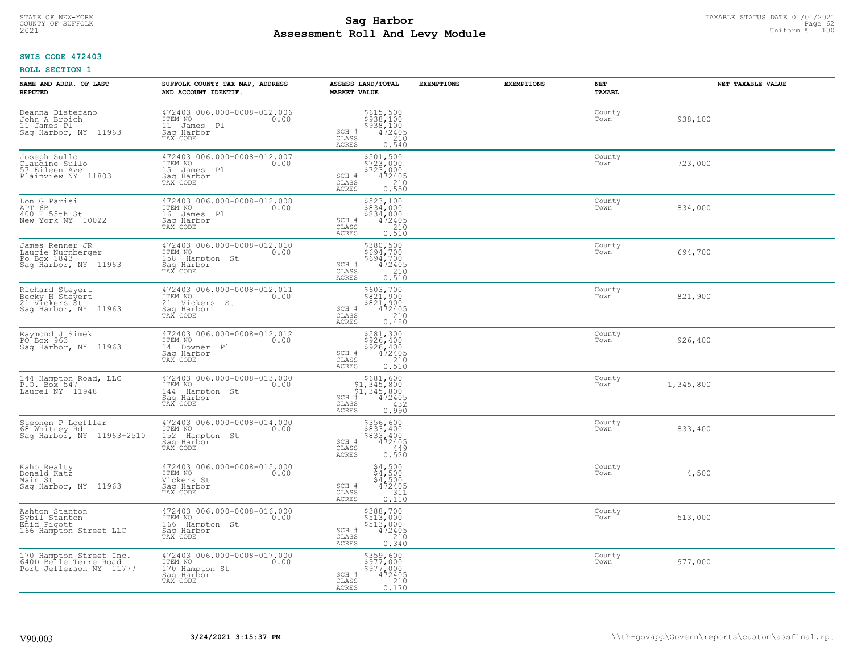# TAXABLE STATUS DATE 01/01/2021<br>COUNTY OF SUFFOLK Page 62 **Assessment Roll And Levy Module Example 2021** Uniform  $\frac{1}{8}$  = 100

## **SWIS CODE 472403**

| NAME AND ADDR. OF LAST<br><b>REPUTED</b>                                    | SUFFOLK COUNTY TAX MAP, ADDRESS<br>AND ACCOUNT IDENTIF.                                    | ASSESS LAND/TOTAL<br><b>MARKET VALUE</b>                                                                                                                | <b>EXEMPTIONS</b> | <b>EXEMPTIONS</b> | NET<br>TAXABL  | NET TAXABLE VALUE |
|-----------------------------------------------------------------------------|--------------------------------------------------------------------------------------------|---------------------------------------------------------------------------------------------------------------------------------------------------------|-------------------|-------------------|----------------|-------------------|
| Deanna Distefano<br>John A Broich<br>11 James Pl<br>Sag Harbor, NY 11963    | 472403 006.000-0008-012.006<br>ITEM NO<br>0.00<br>11 James Pl<br>Saq Harbor<br>TAX CODE    | \$615,500<br>\$938,100<br>\$938,100<br>472405<br>210<br>SCH #<br>CLASS<br><b>ACRES</b><br>0.540                                                         |                   |                   | County<br>Town | 938,100           |
| Joseph Sullo<br>Claudine Sullo<br>57 Eileen Ave<br>Plainview NY 11803       | 472403 006.000-0008-012.007<br>ITEM NO<br>0.00<br>15 James Pl<br>Saq Harbor<br>TAX CODE    | \$501,500<br>\$723,000<br>\$723,000<br>$\frac{472405}{210}$<br>SCH #<br>CLASS<br><b>ACRES</b><br>0.550                                                  |                   |                   | County<br>Town | 723,000           |
| Lon G Parisi<br>APT 6B<br>400 E 55th St<br>New York NY 10022                | 472403 006.000-0008-012.008<br>ITEM NO<br>0.00<br>16 James Pl<br>Saq Harbor<br>TAX CODE    | \$523,100<br>\$834,000<br>\$834,000<br>SCH #<br>472405<br>210<br>CLASS<br>0.510<br>ACRES                                                                |                   |                   | County<br>Town | 834,000           |
| James Renner JR<br>Laurie Nurnberger<br>Po Box 1843<br>Sag Harbor, NY 11963 | 472403 006.000-0008-012.010<br>ITEM NO<br>0.00<br>158 Hampton St<br>Saq Harbor<br>TAX CODE | \$380,500<br>\$694,700<br>\$694,700<br>SCH #<br>$72405\n210\n0.510$<br>CLASS<br>ACRES                                                                   |                   |                   | County<br>Town | 694,700           |
| Richard Steyert<br>Becky H Stevert<br>21 Vickers Št<br>Saq Harbor, NY 11963 | 472403 006.000-0008-012.011<br>ITEM NO<br>0.00<br>21 Vickers St<br>Saq Harbor<br>TAX CODE  | \$603,700<br>\$821,900<br>$\begin{array}{r} 8821,900 \\ 472405 \\ 210 \end{array}$<br>SCH #<br>$\mathtt{CLASS}$<br><b>ACRES</b><br>0.480                |                   |                   | County<br>Town | 821,900           |
| Raymond J Simek<br>PO <sup>+</sup> Box 963<br>Sag Harbor, NY 11963          | 472403 006.000-0008-012.012<br>ITEM NO<br>0.00<br>14 Downer Pl<br>Saq Harbor<br>TAX CODE   | \$581,300<br>\$926,400<br>$$5\bar{26}'$ , $400$<br>$472405$<br>SCH #<br>$\begin{array}{c} 210 \\ 0.510 \end{array}$<br>$\mathtt{CLASS}$<br><b>ACRES</b> |                   |                   | County<br>Town | 926,400           |
| 144 Hampton_Road, LLC<br>P.O. Box 547<br>Laurel NY 11948                    | 472403 006.000-0008-013.000<br>ITEM NO<br>0.00<br>144 Hampton St<br>Saq Harbor<br>TAX CODE | $\begin{array}{c} $681, 600 $1, 345, 800 $1, 345, 800 $472405 \end{array}$<br>$SCH$ #<br>$\mathtt{CLASS}$<br>432<br><b>ACRES</b><br>0.990               |                   |                   | County<br>Town | 1,345,800         |
| Stephen P Loeffler<br>68 Whitney Rd<br>Sag Harbor, NY 11963-2510            | 472403 006.000-0008-014.000<br>ITEM NO 0.00<br>152 Hampton St<br>Saq Harbor<br>TAX CODE    | \$356,600<br>\$833,400<br>\$833,400<br>472405<br>SCH #<br>CLASS<br>449<br><b>ACRES</b><br>0.520                                                         |                   |                   | County<br>Town | 833,400           |
| Kaho Realty<br>Donald Katz<br>Main St<br>Sag Harbor, NY 11963               | 472403 006.000-0008-015.000<br>TTEM NO 0.00<br>Vickers St<br>Saq Harbor<br>TAX CODE        | $$4,500$<br>$$4,500$<br>$$4,500$<br>$472405$<br>SCH #<br>CLASS<br>311<br><b>ACRES</b><br>0.110                                                          |                   |                   | County<br>Town | 4,500             |
| Ashton Stanton<br>Sybil Stanton<br>Eñid Pigott<br>166 Hampton Street LLC    | 472403 006.000-0008-016.000<br>ITEM NO<br>0.00<br>166 Hampton St<br>Sag Harbor<br>TAX CODE | \$388,700<br>\$513,000<br>$$513,000$<br>$472405$<br>$SCH$ $#$<br>CLASS<br>210<br><b>ACRES</b><br>0.340                                                  |                   |                   | County<br>Town | 513,000           |
| 170 Hampton Street Inc.<br>640D Belle Terre Road<br>Port Jefferson NY 11777 | 472403 006.000-0008-017.000<br>ITEM NO<br>0.00<br>170 Hampton St<br>Sag Harbor<br>TAX CODE | \$359,600<br>\$977,000<br>\$977,000<br>SCH #<br>472405<br>210<br>CLASS<br><b>ACRES</b><br>0.170                                                         |                   |                   | County<br>Town | 977,000           |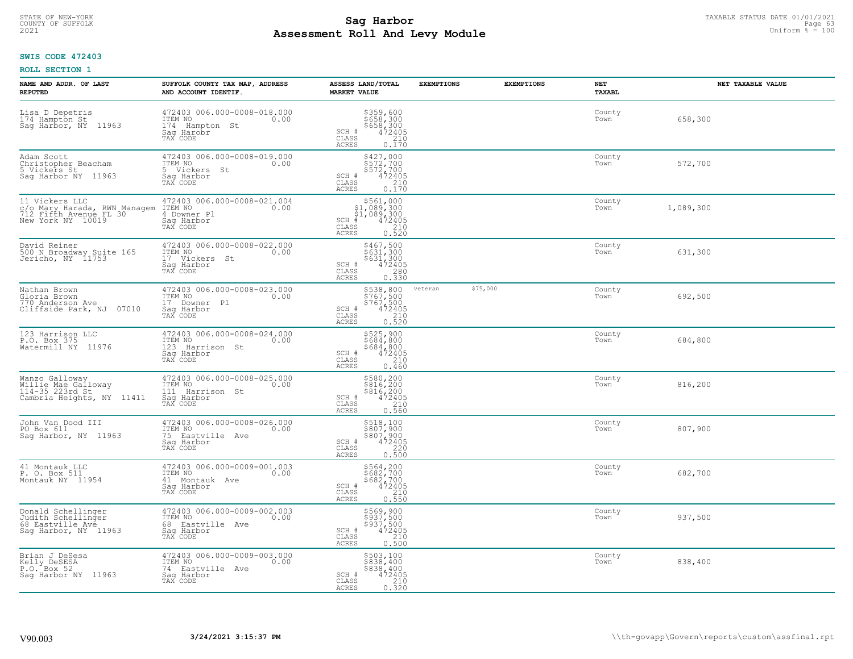#### **Sag Harbor** TAXABLE STATUS DATE 01/01/2021<br> **Poll And Lowy Module Assessment Roll And Levy Module Example 2021** Uniform  $\frac{1}{8}$  = 100 COUNTY OF SUFFOLK **Example 19 Second COUNTY COUNTY COUNTY OF SUFFOLK** Page 63

## **SWIS CODE 472403**

| NAME AND ADDR. OF LAST<br><b>REPUTED</b>                                                                            | SUFFOLK COUNTY TAX MAP, ADDRESS<br>AND ACCOUNT IDENTIF.                                      | ASSESS LAND/TOTAL<br><b>MARKET VALUE</b>                                                                                 | <b>EXEMPTIONS</b> | <b>EXEMPTIONS</b> | NET<br>TAXABL  | NET TAXABLE VALUE |
|---------------------------------------------------------------------------------------------------------------------|----------------------------------------------------------------------------------------------|--------------------------------------------------------------------------------------------------------------------------|-------------------|-------------------|----------------|-------------------|
| Lisa D Depetris<br>174 Hampton St<br>Sag Harbor, NY 11963                                                           | 472403 006.000-0008-018.000<br>ITEM NO<br>0.00<br>174 Hampton St<br>Saq Harobr<br>TAX CODE   | $$359,600$<br>$$658,300$<br>$$658,300$<br>$472405$<br>$$210$<br>SCH #<br>CLASS<br>ACRES<br>0.170                         |                   |                   | County<br>Town | 658,300           |
| Adam Scott<br>Christopher Beacham<br>5 Vickers St<br>Sag Harbor NY 11963                                            | 472403 006.000-0008-019.000<br>ITEM NO<br>0.00<br>5 Vickers St<br>Saq Harbor<br>TAX CODE     | \$427,000<br>\$572,700<br>\$572,700<br>472405<br>SCH #<br>CLASS<br>$\begin{bmatrix} 210 \\ 0.170 \end{bmatrix}$<br>ACRES |                   |                   | County<br>Town | 572,700           |
| 11 Vickers LLC<br>COMATY Harada, RWN Managem ITEM NO<br>712 Fifth Avenue FL 30 4 Downe<br>New York NY 10019 Sag Har | 472403 006.000-0008-021.004<br>0.00<br>4 Downer Pl<br>Sag Harbor<br>TAX CODE                 | \$561,000<br>\$1,089,300<br>\$1,089,300<br>#472405<br>$SCH$ #<br>CLASS<br>$\frac{210}{0.520}$<br>ACRES                   |                   |                   | County<br>Town | 1,089,300         |
| David Reiner<br>500 N Broadway Suite 165<br>Jericho, NY 11753                                                       | 472403 006.000-0008-022.000<br>ITEM NO<br>0.00<br>17 Vickers St<br>Saq Harbor<br>TAX CODE    | \$467,500<br>\$631,300<br>\$631,300<br>SCH #<br>472405<br>$\mathtt{CLASS}$<br>280<br>0.330<br>ACRES                      |                   |                   | County<br>Town | 631,300           |
| Nathan Brown<br>Gloria Brown<br>770 Anderson Ave<br>Cliffside Park, NJ 07010                                        | 472403 006.000-0008-023.000<br>ITEM NO<br>0.00<br>17 Downer Pl<br>Saq Harbor<br>TAX CODE     | \$538,800<br>$$767,500\n$767,500\n472405\n0.520$<br>SCH #<br>CLASS<br><b>ACRES</b>                                       | veteran           | \$75,000          | County<br>Town | 692,500           |
| 123 Harrison LLC<br>P.O. Box 375<br>Watermill NY 11976                                                              | 472403 006.000-0008-024.000<br>ITEM NO<br>0.00<br>123 Harrison St<br>Saq Harbor<br>TAX CODE  | \$525,900<br>\$684,800<br>\$684,800<br>472405<br>SCH #<br>CLASS<br>210<br>0.460<br><b>ACRES</b>                          |                   |                   | County<br>Town | 684,800           |
| Wanzo Galloway<br>Willie Mae Galloway<br>114-35 223rd St<br>Cambria Heights, NY 11411                               | 472403 006.000-0008-025.000<br>ITEM NO<br>0.00<br>111 Harrison St<br>Saq Harbor<br>TAX CODE  | \$580,200<br>\$816,200<br>\$816,200<br>472405<br>SCH #<br>CLASS<br>210<br>0.560<br>ACRES                                 |                   |                   | County<br>Town | 816,200           |
| John Van Dood III<br>PO Box 611<br>Sag Harbor, NY 11963                                                             | 472403 006.000-0008-026.000<br>TTEM NO 0.00<br>75 Eastville Ave<br>Saq Harbor<br>TAX CODE    | \$518,100<br>\$807,900<br>\$807,900<br>472405<br>SCH #<br>CLASS<br>$0.220$<br>$0.500$<br>ACRES                           |                   |                   | County<br>Town | 807,900           |
| 41 Montauk LLC<br>P. O. Box 511<br>Montauk NY 11954                                                                 | 472403 006.000-0009-001.003<br>ITEM NO<br>0.00<br>41 Montauk Ave<br>Saq Harbor<br>TAX CODE   | \$564,200<br>\$682,700<br>\$682,700<br>472405<br>SCH #<br>CLASS<br>210<br><b>ACRES</b><br>0.550                          |                   |                   | County<br>Town | 682,700           |
| Donald Schellinger<br>Judith Schellinger<br>68 Eastville Ave<br>Sag Harbor, NY 11963                                | 472403 006.000-0009-002.003<br>ITEM NO<br>0.00<br>68 Eastville Ave<br>Saq Harbor<br>TAX CODE | \$569,900<br>\$937,500<br>\$937,500<br>\$937,500<br>\$72405<br>0.500<br>SCH #<br>CLASS<br>ACRES                          |                   |                   | County<br>Town | 937,500           |
| Brian J DeSesa<br>Kelly DeSESA<br>P.O. Box 52<br>Saq Harbor NY 11963                                                | 472403 006.000-0009-003.000<br>ITEM NO<br>0.00<br>74 Eastville Ave<br>Sag Harbor<br>TAX CODE | \$503,100<br>\$838,400<br>\$838,400<br>SCH #<br>472405<br>CLASS<br>$\frac{210}{0.320}$<br><b>ACRES</b>                   |                   |                   | County<br>Town | 838,400           |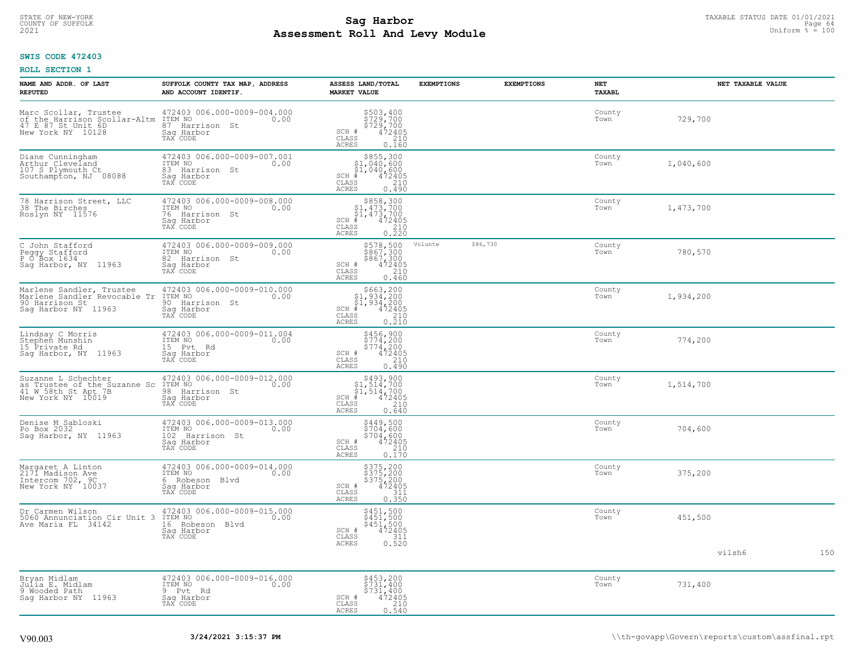#### **Sag Harbor** TAXABLE STATUS DATE 01/01/2021<br>
Poll and Louis Module **Assessment Roll And Levy Module Example 2021** Uniform  $\frac{1}{8}$  = 100 COUNTY OF SUFFOLK **Example 19 Second 2008 COUNTY COUNTY OF SUFFOLK** Page 64

## **SWIS CODE 472403**

| NAME AND ADDR. OF LAST<br><b>REPUTED</b>                                                          | SUFFOLK COUNTY TAX MAP, ADDRESS<br>AND ACCOUNT IDENTIF.                                        | ASSESS LAND/TOTAL<br><b>MARKET VALUE</b>                                                                                           | <b>EXEMPTIONS</b> | <b>EXEMPTIONS</b> | <b>NET</b><br><b>TAXABL</b> | NET TAXABLE VALUE |     |
|---------------------------------------------------------------------------------------------------|------------------------------------------------------------------------------------------------|------------------------------------------------------------------------------------------------------------------------------------|-------------------|-------------------|-----------------------------|-------------------|-----|
| Marc Scollar, Trustee<br>of the Harrison Scollar-Altm<br>47 E 87 St Unit 6D<br>New York NY 10128  | 472403 006.000-0009-004.000<br>ITEM NO<br>0.00<br>87 Harrison St<br>Saq Harbor<br>TAX CODE     | \$503,400<br>\$729,700<br>\$729,700<br>\$72405<br>SCH #<br>CLASS<br>210<br><b>ACRES</b><br>0.160                                   |                   |                   | County<br>Town              | 729,700           |     |
| Diane Cunningham<br>Arthur Cleveland<br>107 S Plymouth Ct<br>Southampton, NJ 08088                | 472403 006.000-0009-007.001<br>ITEM NO<br>0.00<br>83 Harrison St<br>Saq Harbor<br>TAX CODE     | $$855,300$<br>$$1,040,600$<br>$$1,040,600$<br>$*1$<br>$472405$<br>$SCH$ #<br>CLASS<br>210<br>0.490<br><b>ACRES</b>                 |                   |                   | County<br>Town              | 1,040,600         |     |
| 78 Harrison Street, LLC<br>38 The Birches<br>Roslyn NY 11576                                      | 472403 006.000-0009-008.000<br>ITEM NO<br>0.00<br>76<br>Harrison St<br>Saq Harbor<br>TAX CODE  | $$858,300$<br>$$1,473,700$<br>$$1,473,700$<br>$*1,473,700$<br>$*1,472405$<br>$SCH$ #<br>CLASS<br>$\frac{210}{0.220}$<br>ACRES      |                   |                   | County<br>Town              | 1,473,700         |     |
| C John Stafford<br>Peggy Stafford<br>P O Box 1634<br>Sag Harbor, NY 11963                         | 472403 006.000-0009-009.000<br>ITEM NO<br>0.00<br>82 Harrison St<br>Sag Harbor<br>TAX CODE     | \$578,500<br>\$867,300<br>\$867,300<br>\$472405<br>\$210<br>SCH #<br>CLASS<br><b>ACRES</b><br>0.460                                | Volunte           | \$86,730          | County<br>Town              | 780,570           |     |
| Marlene Sandler, Trustee<br>Marlene Sandler Revocable Tr<br>90 Harrison St<br>Saq Harbor NY 11963 | 472403 006.000-0009-010.000<br>ITEM NO<br>0.00<br>90 Harrison St<br>Saq Harbor<br>TAX CODE     | $$663, 200$<br>$$1, 934, 200$<br>$$1, 934, 200$<br>$472405$<br>$$210$<br>$SCH$ #<br>CLASS<br>0.210<br>ACRES                        |                   |                   | County<br>Town              | 1,934,200         |     |
| Lindsay C Morris<br>Stephen Munshin<br>15 Private Rd<br>Sag Harbor, NY 11963                      | 472403 006.000-0009-011.004<br>ITEM NO 0.00<br>15 Pvt Rd<br>Sag Harbor<br>TAX CODE             | \$456,900<br>\$774,200<br>\$774,200<br>SCH #<br>472405<br>CLASS<br>210<br>0.490<br>ACRES                                           |                   |                   | County<br>Town              | 774,200           |     |
| Suzanne L Schechter<br>Sa Trustee of the Suzanne Sc<br>41 W 58th St Apt 7B<br>New York NY 10019   | 472403 006.000-0009-012.000<br>ITEM NO<br>0.00<br>98<br>Harrison St<br>Saq Harbor<br>TAX CODE  | $$493,900$<br>$$1,514,700$<br>$$1,514,700$<br>$*1,514,7205$<br>$SCH$ #<br>CLASS<br>210<br>0.640<br>ACRES                           |                   |                   | County<br>Town              | 1,514,700         |     |
| Denise M Sabloski<br>Po Box 2032<br>Saq Harbor, NY 11963                                          | 472403 006.000-0009-013.000<br>ITEM NO<br>0.00<br>102<br>Harrison St<br>Saq Harbor<br>TAX CODE | \$449,500<br>\$704,600<br>5704.600<br>SCH #<br>$\begin{smallmatrix} 472405\ 210\ 0.170 \end{smallmatrix}$<br>CLASS<br><b>ACRES</b> |                   |                   | County<br>Town              | 704,600           |     |
| Margaret A Linton<br>2171 Madison Ave<br>Intercom 702, 9C<br>New York NY 10037                    | 472403 006.000-0009-014.000<br>ITEM NO<br>0.00<br>6 Robeson<br>Blvd<br>Saq Harbor<br>TAX CODE  | \$375,200<br>\$375,200<br>\$375,200<br>\$472405<br>\$110<br>SCH #<br>CLASS<br><b>ACRES</b><br>0.350                                |                   |                   | County<br>Town              | 375,200           |     |
| Dr Carmen Wilson<br>5060 Annunciation Cir Unit 3<br>Ave Maria FL 34142                            | 472403 006.000-0009-015.000<br>ITEM NO<br>0.00<br>16 Robeson Blvd<br>Sag Harbor<br>TAX CODE    | \$451,500<br>\$451,500<br>\$451,500<br>472405<br>SCH #<br>311<br>CLASS<br>0.520<br><b>ACRES</b>                                    |                   |                   | County<br>Town              | 451,500           |     |
|                                                                                                   |                                                                                                |                                                                                                                                    |                   |                   |                             | vilsh6            | 150 |
| Bryan Midlam<br>Julia E. Midlam<br>9 Wooded Path<br>Sag Harbor NY 11963                           | 472403 006.000-0009-016.000<br>ITEM NO<br>0.00<br>9 Pvt<br>Rd<br>Sag Harbor<br>TAX CODE        | \$453,200<br>\$731,400<br>\$731,400<br>472405<br>SCH #<br>$\mathtt{CLASS}$<br>210<br><b>ACRES</b><br>0.540                         |                   |                   | County<br>Town              | 731,400           |     |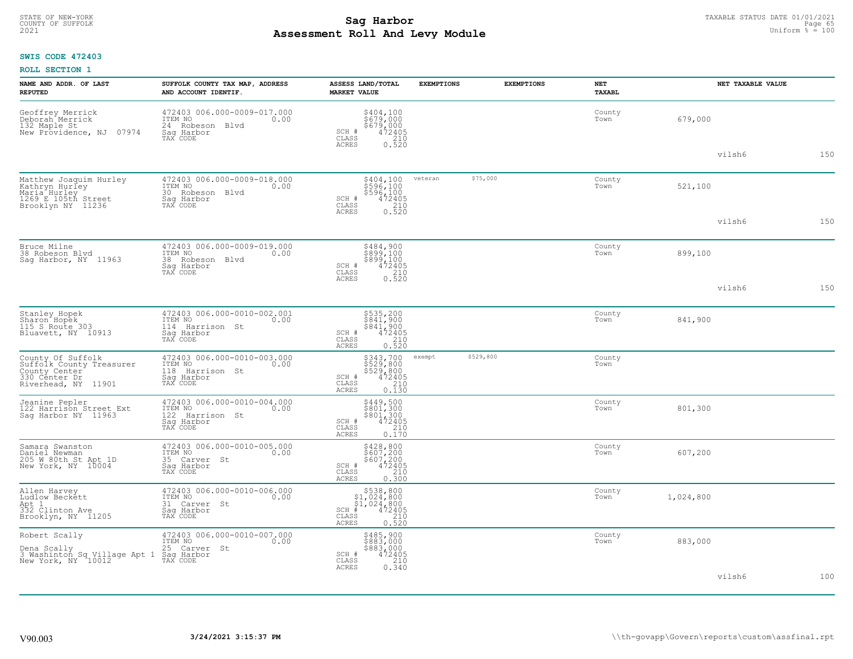#### **Sag Harbor** TAXABLE STATUS DATE 01/01/2021<br>
Poll and Louis Module **Assessment Roll And Levy Module Example 2021** Uniform  $\frac{1}{8}$  = 100 COUNTY OF SUFFOLK **Example 19 Second COUNTY COUNTY OF SUFFOLK** Page 65

## **SWIS CODE 472403**

| NAME AND ADDR. OF LAST<br><b>REPUTED</b>                                                                          | SUFFOLK COUNTY TAX MAP, ADDRESS<br>AND ACCOUNT IDENTIF.                                        | <b>ASSESS LAND/TOTAL</b><br><b>MARKET VALUE</b>                                                          | <b>EXEMPTIONS</b>   | <b>EXEMPTIONS</b> | NET<br><b>TAXABL</b> |           | NET TAXABLE VALUE |     |
|-------------------------------------------------------------------------------------------------------------------|------------------------------------------------------------------------------------------------|----------------------------------------------------------------------------------------------------------|---------------------|-------------------|----------------------|-----------|-------------------|-----|
| Geoffrey Merrick<br>Deborah Merrick<br>132 Maple St<br>07974<br>New Providence, NJ                                | 472403 006.000-0009-017.000<br>ITEM NO<br>0.00<br>24 Robeson Blvd<br>Saq Harbor<br>TAX CODE    | \$404,100<br>\$679,000<br>\$679,000<br>472405<br>SCH #<br>CLASS<br>210<br><b>ACRES</b><br>0.520          |                     |                   | County<br>Town       | 679,000   |                   |     |
|                                                                                                                   |                                                                                                |                                                                                                          |                     |                   |                      |           | vilsh6            | 150 |
| Matthew Joaquim Hurley<br>Kathryn Hurley<br>Maria <sup>-</sup> Hurley<br>1269 E 105th Street<br>Brooklyn NY 11236 | 472403 006.000-0009-018.000<br>ITEM NO<br>0.00<br>30 Robeson<br>Blvd<br>Saq Harbor<br>TAX CODE | \$404,100<br>\$596,100<br>\$596,100<br>472405<br>SCH #<br>CLASS<br>210<br><b>ACRES</b>                   | \$75,000<br>veteran |                   | County<br>Town       | 521,100   |                   |     |
|                                                                                                                   |                                                                                                | 0.520                                                                                                    |                     |                   |                      |           | vilsh6            | 150 |
| Bruce Milne<br>38 Robeson Blvd<br>Saq Harbor, NY 11963                                                            | 472403 006.000-0009-019.000<br>ITEM NO<br>0.00<br>38 Robeson<br>Blvd<br>Saq Harbor<br>TAX CODE | \$484,900<br>\$899,100<br>\$899,100<br>472405<br>SCH #<br>CLASS<br>210                                   |                     |                   | County<br>Town       | 899,100   |                   |     |
|                                                                                                                   |                                                                                                | <b>ACRES</b><br>0.520                                                                                    |                     |                   |                      |           | vilsh6            | 150 |
| Stanley Hopek<br>Sharon Hopek<br>115 S Route 303<br>Bluavett, NY 10913                                            | 472403 006.000-0010-002.001<br>ITEM NO<br>0.00<br>114 Harrison St<br>Saq Harbor<br>TAX CODE    | \$535,200<br>\$841,900<br>\$841,900<br>472405<br>SCH #<br>CLASS<br>210<br><b>ACRES</b><br>0.520          |                     |                   | County<br>Town       | 841,900   |                   |     |
| County Of Suffolk<br>Suffolk County Treasurer<br>County Center<br>330 Center Dr<br>Riverhead, NY 11901            | 472403 006.000-0010-003.000<br>ITEM NO<br>0.00<br>118 Harrison St<br>Saq Harbor<br>TAX CODE    | \$343,700<br>\$529,800<br>\$529,800<br>472405<br>SCH #<br>CLASS<br>210<br><b>ACRES</b><br>0.130          | \$529,800<br>exempt |                   | County<br>Town       |           |                   |     |
| Jeanine Pepler<br>122 Harrison Street Ext<br>Sag Harbor NY 11963                                                  | 472403 006.000-0010-004.000<br>ITEM NO<br>0.00<br>122 Harrison St<br>Sag Harbor<br>TAX CODE    | $$449,500$<br>$$801,300$<br>$$801,300$<br>$$472405$<br>$$210$<br>SCH #<br>CLASS<br><b>ACRES</b><br>0.170 |                     |                   | County<br>Town       | 801,300   |                   |     |
| Samara Swanston<br>Daniel Newman<br>205 W 80th St Apt 1D<br>New York, NY 10004                                    | 472403 006.000-0010-005.000<br>ITEM NO<br>0.00<br>35 Carver St<br>Saq Harbor<br>TAX CODE       | \$428,800<br>\$607,200<br>\$607,200<br>472405<br>SCH #<br>CLASS<br>210<br>ACRES<br>0.300                 |                     |                   | County<br>Town       | 607,200   |                   |     |
| Allen Harvey<br>Ludlow Beckett<br>Apt 1<br>332 Clinton Ave<br>Brooklyn, NY 11205                                  | 472403 006.000-0010-006.000<br>TTEM NO 0.00<br>0.00<br>31 Carver St<br>Saq Harbor<br>TAX CODE  | \$538,800<br>\$1,024,800<br>\$1,024,800<br>SCH<br>472405<br>CLASS<br>210<br><b>ACRES</b><br>0.520        |                     |                   | County<br>Town       | 1,024,800 |                   |     |
| Robert Scally<br>Dena Scally<br>3 Washinton Sq Village Apt 1<br>New York, NY 10012                                | 472403 006.000-0010-007.000<br>ITEM NO<br>0.00<br>25 Carver St<br>Sag Harbor<br>TAX CODE       | \$485,900<br>\$883,000<br>\$883,000<br>SCH #<br>472405<br>210<br>CLASS<br>0.340<br>ACRES                 |                     |                   | County<br>Town       | 883,000   |                   |     |
|                                                                                                                   |                                                                                                |                                                                                                          |                     |                   |                      |           | vilsh6            | 100 |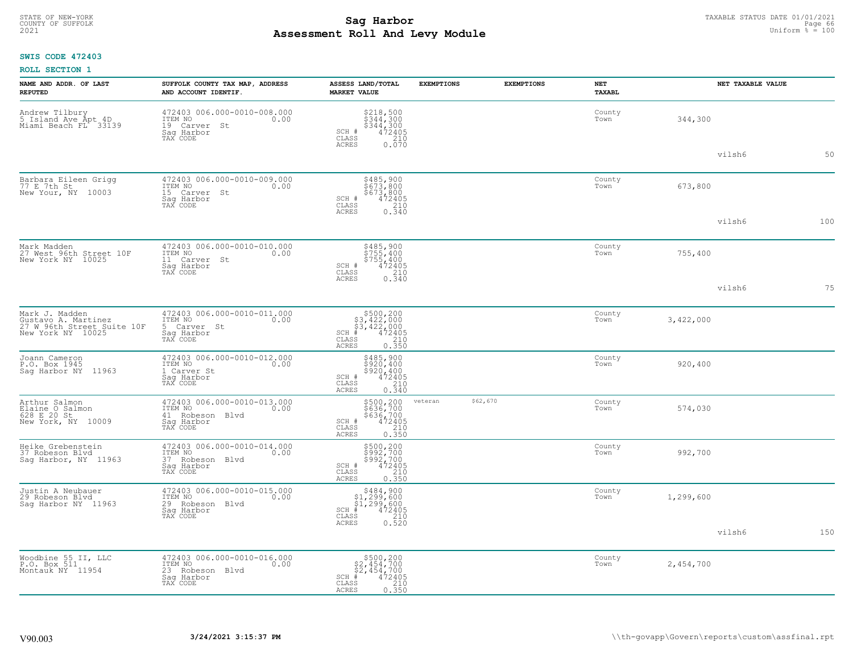# TAXABLE STATUS DATE 01/01/2021<br>COUNTY OF SUFFOLK Page 66 **Assessment Roll And Levy Module Example 2021** Uniform  $\frac{1}{8}$  = 100

## **SWIS CODE 472403**

|  | ROLL SECTION 1 |  |
|--|----------------|--|
|--|----------------|--|

| NAME AND ADDR. OF LAST<br><b>REPUTED</b>                                                 | SUFFOLK COUNTY TAX MAP, ADDRESS<br>AND ACCOUNT IDENTIF.                                     | ASSESS LAND/TOTAL<br><b>MARKET VALUE</b>                                                                                    | <b>EXEMPTIONS</b> | <b>EXEMPTIONS</b> | <b>NET</b><br><b>TAXABL</b> |           | NET TAXABLE VALUE |     |
|------------------------------------------------------------------------------------------|---------------------------------------------------------------------------------------------|-----------------------------------------------------------------------------------------------------------------------------|-------------------|-------------------|-----------------------------|-----------|-------------------|-----|
| Andrew Tilbury<br>5 Island Ave Apt 4D<br>Miami Beach FL 33139                            | 472403 006.000-0010-008.000<br>TTEM NO 0.00<br>19 Carver<br>St<br>Saq Harbor<br>TAX CODE    | $$344,300$<br>$$344,300$<br>$$344,300$<br>$472405$<br>210<br>SCH #<br>CLASS<br><b>ACRES</b><br>0.070                        |                   |                   | County<br>Town              | 344,300   |                   |     |
|                                                                                          |                                                                                             |                                                                                                                             |                   |                   |                             |           | vilsh6            | 50  |
| Barbara Eileen Grigg<br>77 E 7th St<br>New Your, NY 10003                                | 472403 006.000-0010-009.000<br>ITEM NO<br>0.00<br>15<br>Carver St<br>Saq Harbor<br>TAX CODE | \$485,900<br>\$673,800<br>\$673,800<br>472405<br>SCH #<br>$\mathtt{CLASS}$<br>210<br><b>ACRES</b><br>0.340                  |                   |                   | County<br>Town              | 673,800   |                   |     |
|                                                                                          |                                                                                             |                                                                                                                             |                   |                   |                             |           | vilsh6            | 100 |
| Mark Madden<br>27 West 96th Street 10F<br>New York NY 10025                              | 472403 006.000-0010-010.000<br>ITEM NO<br>0.00<br>11 Carver St<br>Saq Harbor<br>TAX CODE    | \$485,900<br>\$755,400<br>\$755,400<br>SCH #<br>472405<br>CLASS<br>$\begin{array}{c} 210 \\ 0.340 \end{array}$              |                   |                   | County<br>Town              | 755,400   |                   |     |
|                                                                                          |                                                                                             | ACRES                                                                                                                       |                   |                   |                             |           | vilsh6            | 75  |
| Mark J. Madden<br>Gustavo A. Martinez<br>27 W 96th Street Suite 10F<br>New York NY 10025 | 472403 006.000-0010-011.000<br>TTEM NO 0.00<br>5 Carver St<br>Saq Harbor<br>TAX CODE        | $$500, 200$<br>$$3, 422, 000$<br>$$3, 422, 000$<br>$$4, 472405$<br>$SCH$ #<br>CLASS<br>210<br>ACRES<br>0.350                |                   |                   | County<br>Town              | 3,422,000 |                   |     |
| Joann Cameron<br>P.O. Box 1945<br>Saq Harbor NY 11963                                    | 472403 006.000-0010-012.000<br>ITEM NO<br>0.00<br>1 Carver St<br>Saq Harbor<br>TAX CODE     | \$485,900<br>\$920,400<br>\$920, 400<br>SCH #<br>472405<br>CLASS<br>210<br>0.340<br><b>ACRES</b>                            |                   |                   | County<br>Town              | 920,400   |                   |     |
| Arthur Salmon<br>Elaine O Salmon<br>628 E 20 St<br>New York, NY 10009                    | 472403 006.000-0010-013.000<br>ITEM NO<br>0.00<br>41 Robeson Blvd<br>Sag Harbor<br>TAX CODE | \$500,200<br>\$636,700<br>\$636,700<br>\$472405<br>\$10<br>SCH #<br>CLASS<br>0.350<br><b>ACRES</b>                          | veteran           | \$62,670          | County<br>Town              | 574,030   |                   |     |
| Heike Grebenstein<br>37 Robeson Blvd<br>Saq Harbor, NY 11963                             | 472403 006.000-0010-014.000<br>ITEM NO<br>0.00<br>37 Robeson Blvd<br>Saq Harbor<br>TAX CODE | \$500,200<br>\$992,700<br>\$992,700<br>SCH #<br>$\frac{472405}{210}$<br>CLASS<br><b>ACRES</b><br>0.350                      |                   |                   | County<br>Town              | 992,700   |                   |     |
| Justin A Neubauer<br>29 Robeson Blvd<br>Sag Harbor NY 11963                              | 472403 006.000-0010-015.000<br>ITEM NO<br>0.00<br>29 Robeson Blvd<br>Saq Harbor<br>TAX CODE | $$484,900$<br>$$1,299,600$<br>$$1,299,600$<br>$*1,299,600$<br>$*1,2405$<br>$SCH$ #<br>CLASS<br>210<br><b>ACRES</b><br>0.520 |                   |                   | County<br>Town              | 1,299,600 |                   |     |
|                                                                                          |                                                                                             |                                                                                                                             |                   |                   |                             |           | vilsh6            | 150 |
| Woodbine 55 II, LLC<br>P.O. Box 511<br>Montauk NY 11954                                  | 472403 006.000-0010-016.000<br>ITEM NO<br>0.00<br>23 Robeson Blvd<br>Saq Harbor<br>TAX CODE | $$500, 200$<br>$$2, 454, 700$<br>$$2, 454, 700$<br>$SCH$ #<br>472405<br>CLASS<br>210<br>ACRES<br>0.350                      |                   |                   | County<br>Town              | 2,454,700 |                   |     |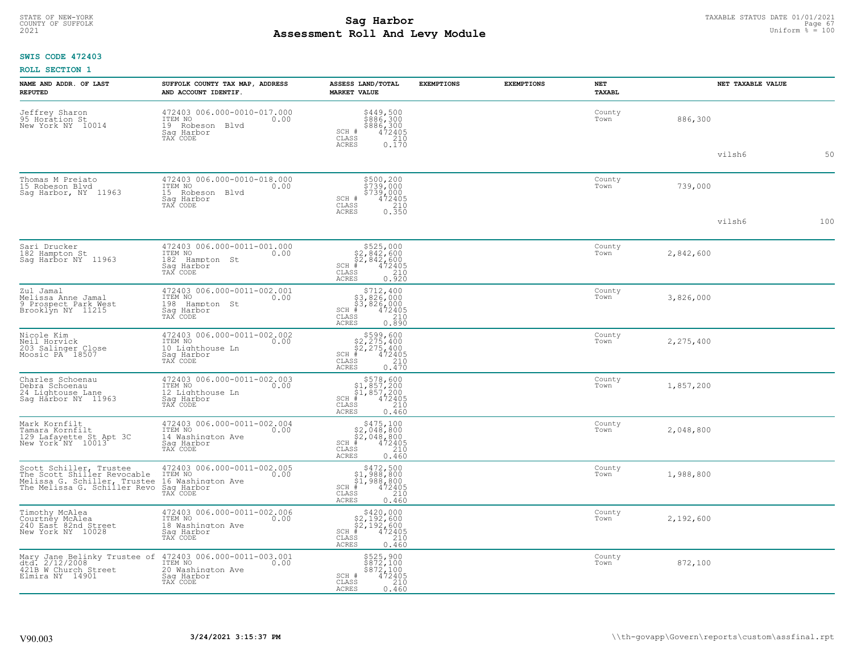#### **Sag Harbor** TAXABLE STATUS DATE 01/01/2021<br>
Poll and Louis Module (Equation & Equation & Equation & Equation & Equation & Equation & Equation & Equation & Equation & Equation & Equation & Equation & Equation & Equation & **Assessment Roll And Levy Module Example 2021** Uniform  $\frac{1}{8}$  = 100 COUNTY OF SUFFOLK **Example 19 Second COUNTY COUNTY COUNTY OF SUFFOLK** Page 67

## **SWIS CODE 472403**

| NAME AND ADDR. OF LAST<br><b>REPUTED</b>                                                                                                      | SUFFOLK COUNTY TAX MAP, ADDRESS<br>AND ACCOUNT IDENTIF.                                       | ASSESS LAND/TOTAL<br><b>MARKET VALUE</b>                                                                                       | <b>EXEMPTIONS</b> | <b>EXEMPTIONS</b> | <b>NET</b><br>TAXABL | NET TAXABLE VALUE |     |
|-----------------------------------------------------------------------------------------------------------------------------------------------|-----------------------------------------------------------------------------------------------|--------------------------------------------------------------------------------------------------------------------------------|-------------------|-------------------|----------------------|-------------------|-----|
| Jeffrey Sharon<br>95 Horation St<br>New York NY 10014                                                                                         | 472403 006.000-0010-017.000<br>ITEM NO<br>0.00<br>19 Robeson Blvd<br>Sag Harbor<br>TAX CODE   | \$449,500<br>\$886,300<br>\$886,300<br>472405<br>SCH #<br>CLASS<br>$\begin{array}{c} 210 \\ 0.170 \end{array}$<br><b>ACRES</b> |                   |                   | County<br>Town       | 886,300           |     |
|                                                                                                                                               |                                                                                               |                                                                                                                                |                   |                   |                      | vilsh6            | 50  |
| Thomas M Preiato<br>15 Robeson Blvd<br>Saq Harbor, NY 11963                                                                                   | 472403 006.000-0010-018.000<br>ITEM NO<br>0.00<br>15 Robeson Blvd<br>Saq Harbor<br>TAX CODE   | \$500,200<br>\$739,000<br>\$739,000<br>\$739,000<br>SCH #<br>CLASS<br>210<br><b>ACRES</b><br>0.350                             |                   |                   | County<br>Town       | 739,000           |     |
|                                                                                                                                               |                                                                                               |                                                                                                                                |                   |                   |                      | vilsh6            | 100 |
| Sari Drucker<br>182 Hampton St<br>Sag Harbor NY 11963                                                                                         | 472403 006.000-0011-001.000<br>ITEM NO<br>0.00<br>182 Hampton St<br>Saq Harbor<br>TAX CODE    | $$525,000$<br>$$2,842,600$<br>$$2,842,600$<br>$*$<br>$472405$<br>SCH #<br>CLASS<br>210<br>ACRES<br>0.920                       |                   |                   | County<br>Town       | 2,842,600         |     |
| Zul Jamal<br>Melissa Anne Jamal<br>9 Prospect Park West<br>Brooklyn NY 11215                                                                  | 472403 006.000-0011-002.001<br>ITEM NO<br>0.00<br>198<br>Hampton St<br>Sag Harbor<br>TAX CODE | $$712, 400\n$3, 826, 000\n$3, 826, 000\n# 472405\n85\n210$<br>SCH #<br>CLASS<br><b>ACRES</b><br>0.890                          |                   |                   | County<br>Town       | 3,826,000         |     |
| Nicole Kim<br>Neil Horvick<br>203 Salinger Close<br>Moosic PA 18507                                                                           | 472403 006.000-0011-002.002<br>ITEM NO<br>0.00<br>10 Lighthouse Ln<br>Saq Harbor<br>TAX CODE  | $$599,600$<br>$$2,275,400$<br>$$2,275,400$<br>$472405$<br>$$35$<br>$$210$<br>SCH #<br>CLASS<br>0.470<br>ACRES                  |                   |                   | County<br>Town       | 2,275,400         |     |
| Charles Schoenau<br>Debra Schoenau<br>24 Lightouse Lane<br>Sag Harbor NY 11963                                                                | 472403 006.000-0011-002.003<br>ITEM NO 0.00<br>12 Lighthouse Ln<br>Sag Harbor<br>TAX CODE     | $$578,600$<br>$$1,857,200$<br>$$1,857,200$<br>$*1$<br>$472405$<br>SCH #<br>CLASS<br>210<br><b>ACRES</b><br>0.460               |                   |                   | County<br>Town       | 1,857,200         |     |
| Mark Kornfilt<br>Tamara Kornfilt<br>129 Lafayette St Apt 3C<br>New York NY 10013                                                              | 472403 006.000-0011-002.004<br>ITEM NO 0.00<br>14 Washington Ave<br>Saq Harbor<br>TAX CODE    | $$475,100$<br>$$2,048,800$<br>$$2,048,800$<br>$*$ $472405$<br>$SCH$ #<br>CLASS<br>210<br><b>ACRES</b><br>0.460                 |                   |                   | County<br>Town       | 2,048,800         |     |
| Scott Schiller, Trustee<br>The Scott Shiller Revocable<br>Melissa G. Schiller, Trustee 16 Washingt<br>The Melissa G. Schiller Revo Sag Harbor | 472403 006.000-0011-002.005<br>ITEM NO<br>0.00<br>16 Washington Ave<br>TAX CODE               | $$472,500$<br>$$1,988,800$<br>$$1,988,800$<br>$472405$<br>$$210$<br>SCH #<br>$\mathtt{CLASS}$<br><b>ACRES</b><br>0.460         |                   |                   | County<br>Town       | 1,988,800         |     |
| Timothy McAlea<br>Courtney McAlea<br>240 East 82nd Street<br>New York NY 10028                                                                | 472403 006.000-0011-002.006<br>ITEM NO<br>0.00<br>18 Washington Ave<br>Sag Harbor<br>TAX CODE | \$420,000<br>$$2,192,600$<br>$$2,192,600$<br>$472405$<br>$SCH$ #<br>CLASS<br>210<br><b>ACRES</b><br>0.460                      |                   |                   | County<br>Town       | 2,192,600         |     |
| Mary Jane Belinky Trustee of<br>dtd. 2/12/2008<br>421B W Church Street<br>Elmira NY 14901                                                     | 472403 006.000-0011-003.001<br>ITEM NO<br>0.00<br>20 Washington Ave<br>Saq Harbor<br>TAX CODE | \$525,900<br>\$872,100<br>\$872,100<br>472405<br>SCH #<br>CLASS<br>210<br>ACRES<br>0.460                                       |                   |                   | County<br>Town       | 872,100           |     |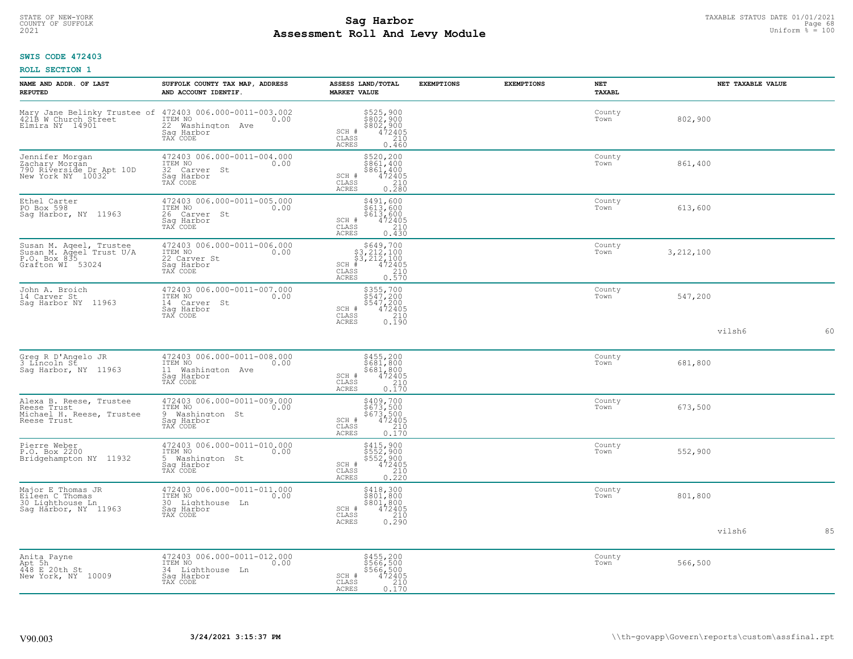# TAXABLE STATUS DATE 01/01/2021<br>COUNTY OF SUFFOLK Page 68 **Assessment Roll And Levy Module Example 2021** Uniform  $\frac{1}{8}$  = 100

## **SWIS CODE 472403**

|  | <b>ROLL SECTION 1</b> |  |
|--|-----------------------|--|
|--|-----------------------|--|

| NAME AND ADDR. OF LAST<br><b>REPUTED</b>                                                | SUFFOLK COUNTY TAX MAP, ADDRESS<br>AND ACCOUNT IDENTIF.                                                                                      | ASSESS LAND/TOTAL<br><b>MARKET VALUE</b>                                                                                                                                                                     | <b>EXEMPTIONS</b> | <b>EXEMPTIONS</b> | <b>NET</b><br>TAXABL |             | NET TAXABLE VALUE |    |
|-----------------------------------------------------------------------------------------|----------------------------------------------------------------------------------------------------------------------------------------------|--------------------------------------------------------------------------------------------------------------------------------------------------------------------------------------------------------------|-------------------|-------------------|----------------------|-------------|-------------------|----|
| Elmira NY 14901                                                                         | Mary Jane Belinky Trustee of 472403 006.000-0011-003.002<br>421B W Church Street ITEM NO 0.00<br>22 Washington Ave<br>Saq Harbor<br>TAX CODE | \$525,900<br>\$802,900<br>\$802,900<br>\$472405<br>\$410<br>SCH #<br>CLASS<br><b>ACRES</b><br>0.460                                                                                                          |                   |                   | County<br>Town       | 802,900     |                   |    |
| Jennifer Morgan<br>Zachary Morgán<br>790 Riverside Dr Apt 10D<br>New York NY 10032      | 472403 006.000-0011-004.000<br>ITEM NO<br>0.00<br>32 Carver St<br>Sag Harbor<br>TAX CODE                                                     | \$520,200<br>\$861,400<br>\$861,400<br>472405<br>SCH #<br>$\begin{array}{c} 210 \\ 0.280 \end{array}$<br>CLASS<br><b>ACRES</b>                                                                               |                   |                   | County<br>Town       | 861,400     |                   |    |
| Ethel Carter<br>PO Box 598<br>Sag Harbor, NY 11963                                      | 472403 006.000-0011-005.000<br>ITEM NO<br>0.00<br>26 Carver St<br>Sag Harbor<br>TAX CODE                                                     | \$491,600<br>\$613,600<br>\$613,600<br>472405<br>210<br>SCH #<br>CLASS<br>ACRES<br>0.430                                                                                                                     |                   |                   | County<br>Town       | 613,600     |                   |    |
| Susan M. Aqeel, Trustee<br>Susan M. Aqeel Trust U/A<br>P.O. Box 835<br>Grafton WI 53024 | 472403 006.000-0011-006.000<br>ITEM NO<br>0.00<br>22 Carver St<br>Saq Harbor<br>TAX CODE                                                     | $\begin{array}{r} 5649,700 \\ 53,212,100 \\ 53,212,100 \\ \frac{4}{3},212,100 \\ \frac{4}{3},212 \\ \frac{210}{3},210 \\ \frac{210}{3},210 \\ \frac{210}{3},210 \\ \end{array}$<br>$SCH$ #<br>CLASS<br>ACRES |                   |                   | County<br>Town       | 3, 212, 100 |                   |    |
| John A. Broich<br>14 Carver St<br>Saq Harbor NY 11963                                   | 472403 006.000-0011-007.000<br>ITEM NO<br>0.00<br>14 Carver St<br>Saq Harbor<br>TAX CODE                                                     | \$355,700<br>\$547,200<br>\$547,200<br>472405<br>SCH #<br>CLASS<br>$\begin{array}{c} 210 \\ 0.190 \end{array}$<br><b>ACRES</b>                                                                               |                   |                   | County<br>Town       | 547,200     |                   |    |
|                                                                                         |                                                                                                                                              |                                                                                                                                                                                                              |                   |                   |                      |             | vilsh6            | 60 |
| Greg R D'Angelo JR<br>3 Lincoln St<br>Saq Harbor, NY 11963                              | 472403 006.000-0011-008.000<br>TTEM NO 0.00<br>11 Washington Ave<br>Saq Harbor<br>TAX CODE                                                   | $$681,800$<br>$$681,800$<br>$$681,800$<br>$$472405$<br>$$210$<br>SCH #<br>CLASS<br>ACRES<br>0.170                                                                                                            |                   |                   | County<br>Town       | 681,800     |                   |    |
| Alexa B. Reese, Trustee<br>Reese Trust<br>Michael H. Reese, Trustee<br>Reese Trust      | 472403 006.000-0011-009.000<br>ITEM NO<br>0.00<br>9 Washington St<br>Sag Harbor<br>TAX CODE                                                  | \$409,700<br>\$673,500<br>\$673,500<br>472405<br>SCH #<br>CLASS<br>$\begin{array}{c} 210 \\ 0.170 \end{array}$<br><b>ACRES</b>                                                                               |                   |                   | County<br>Town       | 673,500     |                   |    |
| Pierre Weber<br>P.O. Box 2200<br>Bridgehampton NY 11932                                 | 472403 006.000-0011-010.000<br>ITEM NO<br>0.00<br>5 Washington St<br>Sag Harbor<br>TAX CODE                                                  | \$415,900<br>\$552,900<br>\$552,900<br>472405<br>SCH #<br>CLASS<br>$\frac{210}{0.220}$<br>ACRES                                                                                                              |                   |                   | County<br>Town       | 552,900     |                   |    |
| Major E Thomas JR<br>Eileen C Thomas<br>30 Lighthouse Ln<br>Sag Harbor, NY 11963        | 472403 006.000-0011-011.000<br>ITEM NO<br>0.00<br>30 Lighthouse Ln<br>Saq Harbor<br>TAX CODE                                                 | \$418,300<br>\$801,800<br>$$801, 800$<br>$472405$<br>$210$<br>SCH #<br>CLASS<br>0.290<br>ACRES                                                                                                               |                   |                   | County<br>Town       | 801,800     |                   |    |
|                                                                                         |                                                                                                                                              |                                                                                                                                                                                                              |                   |                   |                      |             | vilsh6            | 85 |
| Anita Payne<br>Apt 5h<br>448 E 20th St<br>New York, NY 10009                            | 472403 006.000-0011-012.000<br>ITEM NO<br>0.00<br>34 Lighthouse Ln<br>Saq Harbor<br>TAX CODE                                                 | $$455, 200$<br>$$566, 500$<br>$$566, 500$<br>$472405$<br>$$210$<br>SCH #<br>CLASS<br>ACRES<br>0.170                                                                                                          |                   |                   | County<br>Town       | 566,500     |                   |    |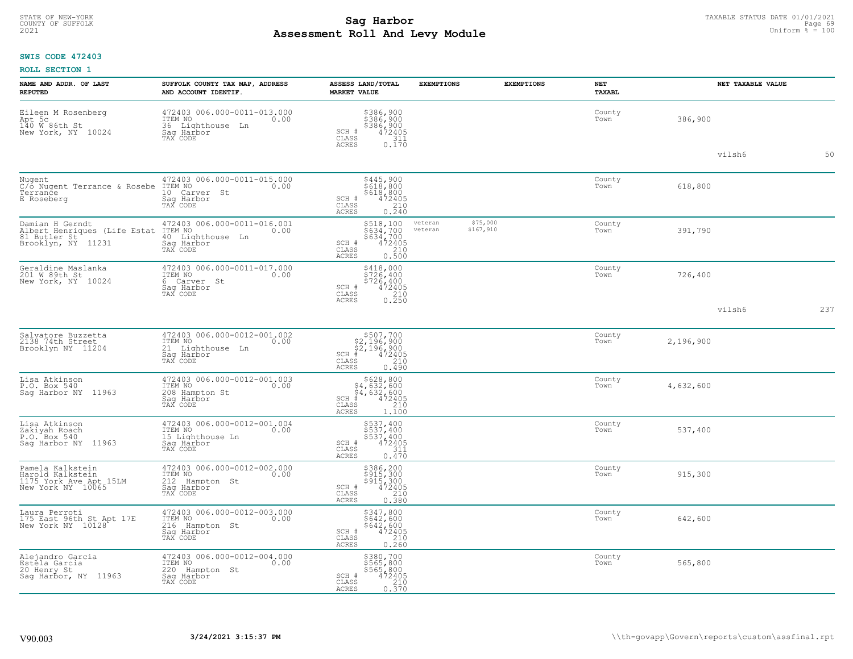#### **Sag Harbor** TAXABLE STATUS DATE 01/01/2021<br>
Poll and Louis Module **Assessment Roll And Levy Module Example 2021** Uniform  $\frac{1}{8}$  = 100 COUNTY OF SUFFOLK **Example 19 Second COUNTY COUNTY OF SUFFOLK** Page 69 Page 69

## **SWIS CODE 472403**

| NAME AND ADDR. OF LAST<br><b>REPUTED</b>                                                                 | SUFFOLK COUNTY TAX MAP, ADDRESS<br>AND ACCOUNT IDENTIF.                                       | ASSESS LAND/TOTAL<br><b>MARKET VALUE</b>                                                                                                        | <b>EXEMPTIONS</b><br><b>EXEMPTIONS</b> | <b>NET</b><br><b>TAXABL</b> | NET TAXABLE VALUE |     |
|----------------------------------------------------------------------------------------------------------|-----------------------------------------------------------------------------------------------|-------------------------------------------------------------------------------------------------------------------------------------------------|----------------------------------------|-----------------------------|-------------------|-----|
| Eileen M Rosenberg<br>Apt 5c<br>140 W 86th St<br>New York, NY 10024                                      | 472403 006.000-0011-013.000<br>TTEM NO 0.00<br>36 Lighthouse Ln<br>Saq Harbor<br>TAX CODE     | \$386,900<br>\$386,900<br>\$386,900<br>\$386,900<br>SCH #<br>CLASS<br>$\frac{311}{0.170}$<br>ACRES                                              |                                        | County<br>Town              | 386,900           |     |
|                                                                                                          |                                                                                               |                                                                                                                                                 |                                        |                             | vilsh6            | 50  |
| Nugent<br>C/o Nugent Terrance & Rosebe<br>Terrance<br>E Roseberg                                         | 472403 006.000-0011-015.000<br>ITEM NO<br>0.00<br>10 Carver St<br>Saq Harbor<br>TAX CODE      | \$445,900<br>\$618,800<br>\$618,800<br>\$618,2405<br>\$10 0.240<br>SCH #<br>CLASS<br><b>ACRES</b>                                               |                                        | County<br>Town              | 618,800           |     |
| Damian H Gerndt<br>Albert Henriques (Life Estat<br>81 Butler St <sup>1</sup> 11231<br>Brooklyn, NY 11231 | 472403 006.000-0011-016.001<br>ITEM NO<br>0.00<br>40 Lighthouse Ln<br>Sag Harbor<br>TAX CODE  | \$518,100<br>\$634,700<br>\$634,700<br>472405<br>210<br>veteran<br>veteran<br>SCH #<br>CLASS<br><b>ACRES</b><br>0.500                           | \$75,000<br>\$167,910                  | County<br>Town              | 391,790           |     |
| Geraldine Maslanka<br>201 W 89th St<br>New York, NY 10024                                                | 472403 006.000-0011-017.000<br>ITEM NO<br>0.00<br>6 Carver St<br>Sag Harbor<br>TAX CODE       | $$418,000$<br>$$726,400$<br>$$726,400$<br>$$726,400$<br>SCH #<br>472405<br>CLASS<br>$\begin{array}{c} 210 \\ 0.250 \end{array}$<br><b>ACRES</b> |                                        | County<br>Town              | 726,400           |     |
|                                                                                                          |                                                                                               |                                                                                                                                                 |                                        |                             | vilsh6            | 237 |
| Salvatore Buzzetta<br>2138 74th Street<br>Brooklyn NY 11204                                              | 472403 006.000-0012-001.002<br>ITEM NO<br>0.00<br>21 Lighthouse Ln<br>Sag Harbor<br>TAX CODE  | $$507,700$<br>$$2,196,900$<br>$$2,196,900$<br>$$472405$<br>SCH #<br>CLASS<br>210<br>0.490<br><b>ACRES</b>                                       |                                        | County<br>Town              | 2,196,900         |     |
| Lisa Atkinson<br>P.O. Box 540<br>Saq Harbor NY 11963                                                     | 472403 006.000-0012-001.003<br>TTEM NO 0.00<br>208 Hampton St<br>Saq Harbor<br>TAX CODE       | $$628, 800$<br>$$4, 632, 600$<br>$$4, 632, 600$<br>$$4, 632, 600$<br>$472405$<br>$SCH$ #<br>CLASS<br>210<br><b>ACRES</b><br>1.100               |                                        | County<br>Town              | 4,632,600         |     |
| Lisa Atkinson<br>Zakiyah Roach<br>P.O. Box 540<br>Saq Harbor NY 11963                                    | 472403 006.000-0012-001.004<br>TTEM NO 0.00<br>15 Lighthouse Ln<br>Saq Harbor<br>TAX CODE     | \$537,400<br>\$537,400<br>\$537,400<br>472405<br>SCH #<br>CLASS<br>311<br>ACRES<br>0.470                                                        |                                        | County<br>Town              | 537,400           |     |
| Pamela Kalkstein<br>Harold Kalkstein<br>1175 York Ave Apt 15LM<br>New York NY 10065                      | 472403 006.000-0012-002.000<br>ITEM NO<br>0.00<br>212 Hampton St<br>Sag Harbor<br>TAX CODE    | \$386,200<br>\$915,300<br>\$915,300<br>SCH #<br>472405<br>CLASS<br>210<br><b>ACRES</b><br>0.380                                                 |                                        | County<br>Town              | 915,300           |     |
| Laura Perroti<br>175 East 96th St Apt 17E<br>New York NY 10128                                           | 472403 006.000-0012-003.000<br>ITEM NO<br>0.00<br>216<br>Hampton St<br>Sag Harbor<br>TAX CODE | \$347,800<br>\$642,600<br>\$642,600<br>472405<br>SCH #<br>CLASS<br>210<br>0.260<br><b>ACRES</b>                                                 |                                        | County<br>Town              | 642,600           |     |
| Alejandro Garcia<br>Estela Garcia<br>20 Henry St<br>Saq Harbor, NY 11963                                 | 472403 006.000-0012-004.000<br>TTEM NO 0.00<br>220 Hampton St<br>Saq Harbor<br>TAX CODE       | \$380,700<br>\$565,800<br>\$565,800<br>SCH #<br>472405<br>CLASS<br>210<br>ACRES<br>0.370                                                        |                                        | County<br>Town              | 565,800           |     |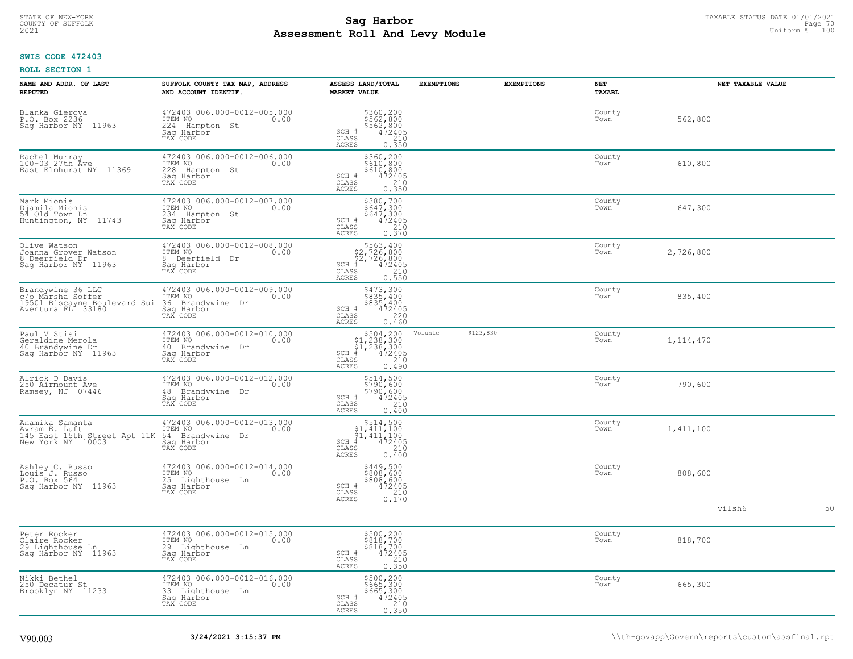# TAXABLE STATUS DATE 01/01/2021<br>COUNTY OF SUFFOLK Page 70 Page 70 **Assessment Roll And Levy Module Example 2021** Uniform  $\frac{1}{8}$  = 100

## **SWIS CODE 472403**

| NAME AND ADDR. OF LAST<br><b>REPUTED</b>                                                    | SUFFOLK COUNTY TAX MAP, ADDRESS<br>AND ACCOUNT IDENTIF.                                            | ASSESS LAND/TOTAL<br><b>MARKET VALUE</b>                                                                                                                                                                                                                                                                                                            | <b>EXEMPTIONS</b>    | <b>EXEMPTIONS</b> | <b>NET</b><br>TAXABL | NET TAXABLE VALUE |    |
|---------------------------------------------------------------------------------------------|----------------------------------------------------------------------------------------------------|-----------------------------------------------------------------------------------------------------------------------------------------------------------------------------------------------------------------------------------------------------------------------------------------------------------------------------------------------------|----------------------|-------------------|----------------------|-------------------|----|
| Blanka Gierova<br>P.O. Box 2236<br>11963<br>Saq Harbor NY                                   | 472403 006.000-0012-005.000<br>ITEM NO<br>0.00<br>224<br>Hampton St<br>Saq Harbor<br>TAX CODE      | \$360,200<br>\$562,800<br>\$562,800<br>\$562,800<br>\$72405<br>\$62,000<br>SCH #<br>CLASS<br><b>ACRES</b>                                                                                                                                                                                                                                           |                      |                   | County<br>Town       | 562,800           |    |
| Rachel Murray<br>100-03 27th Ave<br>East Elmhurst NY 11369                                  | 472403 006.000-0012-006.000<br>ITEM NO<br>0.00<br>228<br>Hampton St<br>Sag Harbor<br>TAX CODE      | $$360, 200$<br>$$610, 800$<br>$$610, 800$<br>$472405$<br>$$210$<br>SCH #<br>CLASS<br>0.350<br>ACRES                                                                                                                                                                                                                                                 |                      |                   | County<br>Town       | 610,800           |    |
| Mark Mionis<br>Djamila Mionis<br>54 Old Town Ln<br>Huntington, NY 11743                     | 472403 006.000-0012-007.000<br>ITEM NO<br>0.00<br>234<br>Hampton St<br>Saq Harbor<br>TAX CODE      | $\begin{array}{r} 5380, 700 \\ 5647, 300 \\ 5647, 300 \\ 472405 \\ 210 \\ 0.370 \end{array}$<br>SCH #<br>CLASS<br>ACRES                                                                                                                                                                                                                             |                      |                   | County<br>Town       | 647,300           |    |
| Olive Watson<br>Joanna Grover Watson<br>8 Deerfield Dr<br>Saq Harbor NY 11963               | 472403 006.000-0012-008.000<br>ITEM NO<br>0.00<br>8<br>Deerfield Dr<br>Saq Harbor<br>TAX CODE      | \$563,400<br>\$2,726,800<br>\$2,726,800<br>SCH<br>$\frac{472405}{210}$<br>0.550<br>CLASS<br><b>ACRES</b>                                                                                                                                                                                                                                            |                      |                   | County<br>Town       | 2,726,800         |    |
| Brandywine 36 LLC<br>C/o Marsha Soffer<br>19501 Biscayne Boulevard Sui<br>Aventura FL 33180 | 472403 006.000-0012-009.000<br>ITEM NO<br>0.00<br>36 Brandywine Dr<br>Saq Harbor<br>TAX CODE       | $$473,300$<br>$$835,400$<br>$$835,400$<br>$472405$<br>$$220$<br>SCH #<br>CLASS<br><b>ACRES</b><br>0.460                                                                                                                                                                                                                                             |                      |                   | County<br>Town       | 835,400           |    |
| Paul V Stisi<br>Geraldine Merola<br>40 Brandywine Dr<br>Saq Harbor NY 11963                 | 472403 006.000-0012-010.000<br>ITEM NO<br>0.00<br>40<br>Brandywine Dr<br>Sag Harbor<br>TAX CODE    | $$504, 200$<br>$$1, 238, 300$<br>$$1, 238, 300$<br>$$472405$<br>$SCH$ #<br>$\mathtt{CLASS}$<br>$\begin{array}{c} 210 \\ 0.490 \end{array}$<br>ACRES                                                                                                                                                                                                 | \$123,830<br>Volunte |                   | County<br>Town       | 1, 114, 470       |    |
| Alrick D Davis<br>250 Airmount Ave<br>Ramsey, NJ 07446                                      | 472403 006.000-0012-012.000<br>ITEM NO<br>0.00<br>48<br>Brandywine<br>Dr<br>Saq Harbor<br>TAX CODE | \$514,500<br>\$790,600<br>\$790,600<br>SCH #<br>$472405$<br>$210$<br>0.400<br>CLASS<br>ACRES                                                                                                                                                                                                                                                        |                      |                   | County<br>Town       | 790,600           |    |
| Anamika Samanta<br>Avram E. Luft<br>145 East 15th Street Apt 11K<br>New York NY 10003       | 472403 006.000-0012-013.000<br>ITEM NO<br>0.00<br>54 Brandywine Dr<br>Sag Harbor<br>TAX CODE       | $\begin{array}{r}  \  \  \, 514,500\\  \  \, 51,411,100\\  \  \, 51,411,100\\  \  \  \, 412,2405\\  \  \  \, 35\\  \  \  \, 210\\  \  \  \, 240\\  \  \  \, 240\\  \  \  \, 240\\  \  \  \, 240\\  \  \  \, 240\\  \  \  \, 240\\  \  \  \, 240\\  \  \  \, 240\\  \  \  \, 240\\  \  \  \, 240\\  \ $<br>SCH<br>$\mathtt{CLASS}$<br>ACRES<br>0.400 |                      |                   | County<br>Town       | 1,411,100         |    |
| Ashley C. Russo<br>Louis <sup>"</sup> J. Russo<br>P.O. Box 564<br>Saq Harbor NY 11963       | 472403 006.000-0012-014.000<br>ITEM NO<br>0.00<br>25 Lighthouse Ln<br>Saq Harbor<br>TAX CODE       | \$449,500<br>\$808,600<br>$\begin{array}{r} 3808,600 \\ 472405 \\ 210 \\ 0.170 \end{array}$<br>SCH #<br>CLASS<br><b>ACRES</b>                                                                                                                                                                                                                       |                      |                   | County<br>Town       | 808,600           |    |
|                                                                                             |                                                                                                    |                                                                                                                                                                                                                                                                                                                                                     |                      |                   |                      | vilsh6            | 50 |
| Peter Rocker<br>Claire Rocker<br>29 Lighthouse Ln<br>Sag Harbor NY 11963                    | 472403 006.000-0012-015.000<br>ITEM NO<br>0.00<br>29 Lighthouse Ln<br>Saq Harbor<br>TAX CODE       | $\begin{array}{c}\n$500,200 \\ $818,700 \\ $818,700 \\ $472405 \\ 8210\n\end{array}$<br>SCH #<br>CLASS<br>0.350<br>ACRES                                                                                                                                                                                                                            |                      |                   | County<br>Town       | 818,700           |    |
| Nikki Bethel<br>250 Decatur St<br>Brooklyn NY 11233                                         | 472403 006.000-0012-016.000<br>ITEM NO<br>0.00<br>33<br>Lighthouse Ln<br>Sag Harbor<br>TAX CODE    | \$500,200<br>\$665,300<br>\$665,300<br>\$665,300<br>\$72405<br>\$72405<br>\$750<br>\$750<br>SCH #<br>CLASS<br>ACRES                                                                                                                                                                                                                                 |                      |                   | County<br>Town       | 665,300           |    |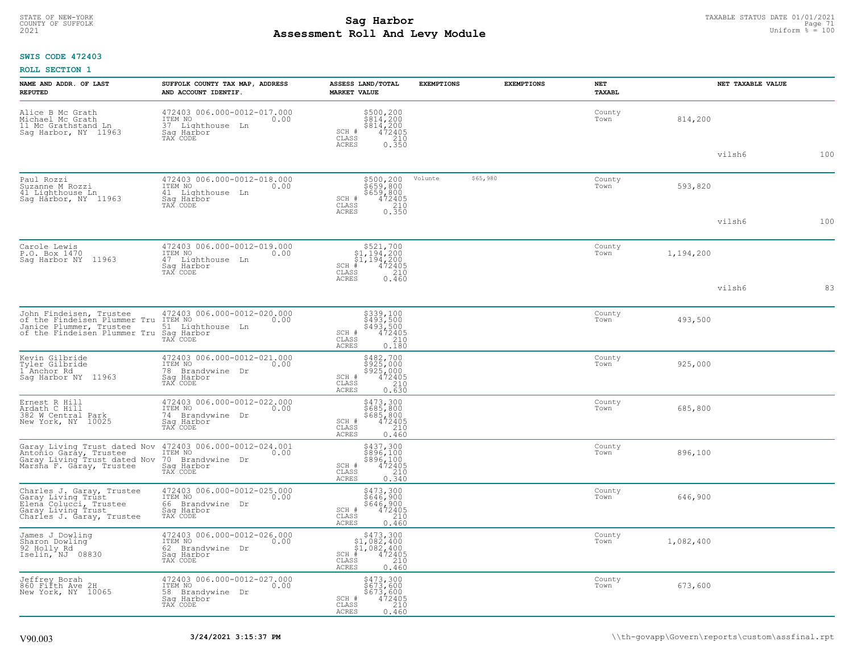# TAXABLE STATUS DATE 01/01/2021<br>COUNTY OF SUFFOLK Page 71 Page 71 **Assessment Roll And Levy Module Example 2021** Uniform  $\frac{1}{8}$  = 100

## **SWIS CODE 472403**

| NAME AND ADDR. OF LAST<br><b>REPUTED</b>                                                                                     | SUFFOLK COUNTY TAX MAP, ADDRESS<br>AND ACCOUNT IDENTIF.                                         | ASSESS LAND/TOTAL<br><b>MARKET VALUE</b>                                                                                       | <b>EXEMPTIONS</b> | <b>EXEMPTIONS</b> | NET<br><b>TAXABL</b> |           | NET TAXABLE VALUE |     |
|------------------------------------------------------------------------------------------------------------------------------|-------------------------------------------------------------------------------------------------|--------------------------------------------------------------------------------------------------------------------------------|-------------------|-------------------|----------------------|-----------|-------------------|-----|
| Alice B Mc Grath<br>Michael Mc Grath<br>11 Mc Grathstand Ln<br>Saq Harbor, NY 11963                                          | 472403 006.000-0012-017.000<br>10.00 0.00<br>0.00<br>37 Lighthouse Ln<br>Saq Harbor<br>TAX CODE | \$500,200<br>\$814,200<br>\$814,200<br>SCH #<br>472405<br>CLASS<br>$\begin{array}{c} 210 \\ 0.350 \end{array}$<br><b>ACRES</b> |                   |                   | County<br>Town       | 814,200   |                   |     |
|                                                                                                                              |                                                                                                 |                                                                                                                                |                   |                   |                      |           | vilsh6            | 100 |
| Paul Rozzi<br>Suzanne M Rozzi<br>41 Lighthouse Ln<br>Sag Harbor, NY 11963                                                    | 472403 006.000-0012-018.000<br>ITEM NO<br>0.00<br>41 Lighthouse Ln<br>Saq Harbor<br>TAX CODE    | \$500,200<br>$$659, 800$<br>$$659, 800$<br>$$472405$<br>$$210$<br>SCH #<br>CLASS                                               | Volunte           | \$65,980          | County<br>Town       | 593,820   |                   |     |
|                                                                                                                              |                                                                                                 | 0.350<br><b>ACRES</b>                                                                                                          |                   |                   |                      |           | vilsh6            | 100 |
| Carole Lewis<br>P.O. Box 1470<br>Saq Harbor NY 11963                                                                         | 472403 006.000-0012-019.000<br>ITEM NO<br>0.00<br>47 Lighthouse Ln<br>Saq Harbor<br>TAX CODE    | \$521,700<br>$\begin{array}{l} 51,194,200 \\ 51,194,200 \\ + 472405 \end{array}$<br>$SCH$ #<br>CLASS<br>210                    |                   |                   | County<br>Town       | 1,194,200 |                   |     |
|                                                                                                                              |                                                                                                 | 0.460<br><b>ACRES</b>                                                                                                          |                   |                   |                      |           | vilsh6            | 83  |
| John Findeisen, Trustee<br>of the Findeisen Plummer Tru<br>Janice Plummer, Trustee<br>of the Findeisen Plummer Tru           | 472403 006.000-0012-020.000<br>ITEM NO<br>0.00<br>51 Lighthouse Ln<br>Saq Harbor<br>TAX CODE    | \$339,100<br>\$493,500<br>\$493,500<br>472405<br>SCH #<br>CLASS<br>210<br>ACRES<br>0.180                                       |                   |                   | County<br>Town       | 493,500   |                   |     |
| Kevin Gilbride<br>Tyler Gilbride<br>1 <sup>-</sup> Anchor Rd<br>Saq Harbor NY 11963                                          | 472403 006.000-0012-021.000<br>ITEM NO<br>0.00<br>78<br>Brandywine Dr<br>Saq Harbor<br>TAX CODE | \$482,700<br>\$925,000<br>\$925,000<br>472405<br>SCH #<br>$\mathtt{CLASS}$<br>210<br><b>ACRES</b><br>0.630                     |                   |                   | County<br>Town       | 925,000   |                   |     |
| Ernest R Hill<br>Ardath C Hill<br>382 W Central Park<br>New York, NY 10025                                                   | 472403 006.000-0012-022.000<br>ITEM NO<br>0.00<br>74 Brandvwine<br>Dr<br>Sag Harbor<br>TAX CODE | \$473,300<br>\$685,800<br>\$685,800<br>SCH #<br>472405<br>CLASS<br>210<br><b>ACRES</b><br>0.460                                |                   |                   | County<br>Town       | 685,800   |                   |     |
| Garay Living Trust dated Nov<br>Antonio Garay, Trustee<br>Garay Living Trust dated Nov<br>Marsha F. Gāray, Trustee           | 472403 006.000-0012-024.001<br>ITEM NO<br>0.00<br>70 Brandywine Dr<br>Saq Harbor<br>TAX CODE    | \$437,300<br>\$896,100<br>\$896,100<br>472405<br>SCH #<br>CLASS<br>210<br>ACRES<br>0.340                                       |                   |                   | County<br>Town       | 896,100   |                   |     |
| Charles J. Garay, Trustee<br>Garay Living Trust<br>Elená Colucci, Trustee<br>Garay Living Trust<br>Charles J. Garay, Trustee | 472403 006.000-0012-025.000<br>ITEM NO<br>0.00<br>66 Brandywine Dr<br>Saq Harbor<br>TAX CODE    | \$473,300<br>\$646,900<br>\$646,900<br>SCH #<br>472405<br>CLASS<br>210<br><b>ACRES</b><br>0.460                                |                   |                   | County<br>Town       | 646,900   |                   |     |
| James J Dowling<br>Sharon Dowling<br>92 Holly Rd<br>Iselin, NJ 08830                                                         | 472403 006.000-0012-026.000<br>ITEM NO<br>0.00<br>62 Brandywine Dr<br>Sag Harbor<br>TAX CODE    | $$473,300$<br>$$1,082,400$<br>$$1,082,400$<br>$$472405$<br>$SCH$ #<br>CLASS<br>210<br>0.460<br>ACRES                           |                   |                   | County<br>Town       | 1,082,400 |                   |     |
| Jeffrey Borah<br>860 Fifth Ave 2H<br>New York, NY 10065                                                                      | 472403 006.000-0012-027.000<br>ITEM NO<br>0.00<br>58 Brandywine Dr<br>Sag Harbor<br>TAX CODE    | \$473,300<br>\$673,600<br>\$673,600<br>$\frac{472405}{210}$<br>SCH #<br>CLASS<br>0.460<br>ACRES                                |                   |                   | County<br>Town       | 673,600   |                   |     |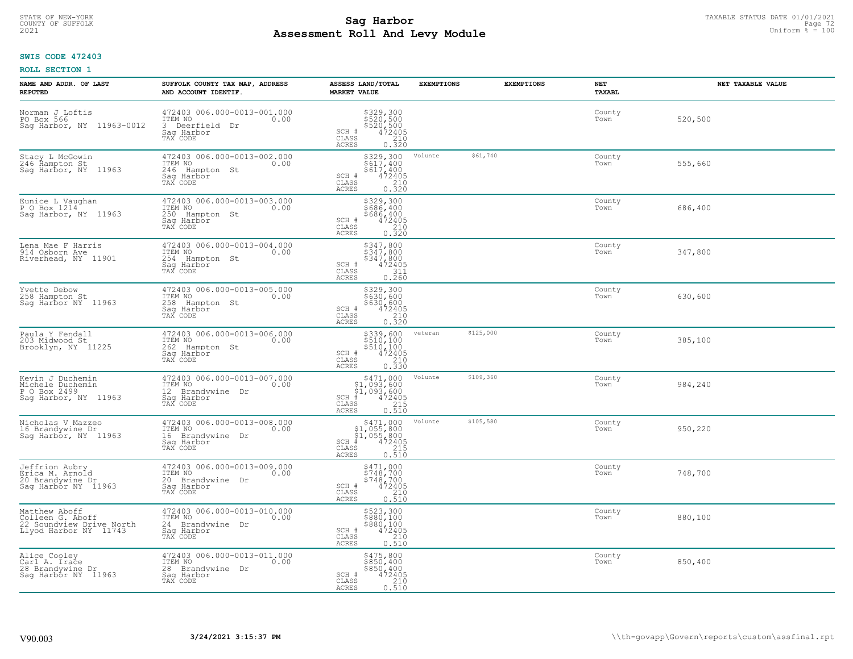# TAXABLE STATUS DATE 01/01/2021<br>COUNTY OF SUFFOLK Page 72 **Assessment Roll And Levy Module Example 2021** Uniform  $\frac{1}{8}$  = 100

## **SWIS CODE 472403**

| NAME AND ADDR. OF LAST<br><b>REPUTED</b>                                               | SUFFOLK COUNTY TAX MAP, ADDRESS<br>AND ACCOUNT IDENTIF.                                                      | ASSESS LAND/TOTAL<br><b>MARKET VALUE</b>                                                                                       | <b>EXEMPTIONS</b> | <b>EXEMPTIONS</b> | <b>NET</b><br><b>TAXABL</b> | NET TAXABLE VALUE |
|----------------------------------------------------------------------------------------|--------------------------------------------------------------------------------------------------------------|--------------------------------------------------------------------------------------------------------------------------------|-------------------|-------------------|-----------------------------|-------------------|
| Norman J Loftis<br>PO Box 566<br>Saq Harbor, NY 11963-0012                             | 472403 006.000-0013-001.000<br>ITEM NO<br>0.00<br>3 Deerfield<br>Dr<br>Saq Harbor<br>TAX CODE                | \$329,300<br>\$520,500<br>\$520,500<br>\$520,500<br>\$72405<br>\$210<br>\$220<br>SCH #<br>CLASS<br>ACRES                       |                   |                   | County<br>Town              | 520,500           |
| Stacy L McGowin<br>246 Hampton St<br>Sag Harbor, NY 11963                              | 472403 006.000-0013-002.000<br>ITEM NO<br>0.00<br>246<br>Hampton St<br>Saq Harbor<br>TAX CODE                | \$329,300<br>\$617,400<br>$\begin{array}{r} 5617,400 \\ 472405 \\ 210 \\ 0.320 \end{array}$<br>SCH #<br>CLASS<br><b>ACRES</b>  | Volunte           | \$61,740          | County<br>Town              | 555,660           |
| Eunice L Vaughan<br>P O Box 1214<br>Sag Harbor, NY 11963                               | 472403 006.000-0013-003.000<br>ITEM NO<br>0.00<br>250<br>Hampton St<br>Sag Harbor<br>TAX CODE                | \$329,300<br>\$686,400<br>\$686,400<br>472405<br>SCH #<br>$\begin{array}{c} 210 \\ 0.320 \end{array}$<br>CLASS<br><b>ACRES</b> |                   |                   | County<br>Town              | 686,400           |
| Lena Mae F Harris<br>914 Osborn Ave<br>Riverhead, NY 11901                             | 472403 006.000-0013-004.000<br>ITEM NO<br>0.00<br>254 Hampton St<br>Saq Harbor<br>TAX CODE                   | \$347,800<br>\$347,800<br>\$347,800<br>SCH #<br>$\frac{472405}{311}$<br>CLASS<br>ACRES<br>0.260                                |                   |                   | County<br>Town              | 347,800           |
| Yvette Debow<br>258 Hampton St<br>Sag Harbor NY 11963                                  | 472403 006.000-0013-005.000<br>ITEM NO<br>0.00<br>258<br>Hampton St<br>Saq Harbor<br>TAX CODE                | \$329,300<br>\$630,600<br>\$630,600<br>SCH #<br>$472405$<br>$210$<br>$0.320$<br>CLASS<br><b>ACRES</b>                          |                   |                   | County<br>Town              | 630,600           |
| Paula Y Fendall<br>203 Midwood St<br>Brooklyn, NY 11225                                | 472403 006.000-0013-006.000<br>ITEM NO<br>0.00<br>262<br>Hampton St<br>Sag Harbor<br>TAX CODE                | \$339,600<br>\$510,100<br>\$510,100<br>\$510,100<br>\$72405<br>0.330<br>SCH #<br>CLASS<br><b>ACRES</b>                         | veteran           | \$125,000         | County<br>Town              | 385,100           |
| Kevin J Duchemin<br>Michele Duchemin<br>P O Box 2499<br>Sag Harbor, NY 11963           | 472403 006.000-0013-007.000<br>ITEM NO<br>0.00<br>12 <sup>7</sup><br>Brandywine Dr<br>Saq Harbor<br>TAX CODE | \$471,000<br>SCH #<br>CLASS<br>ACRES                                                                                           | Volunte           | \$109,360         | County<br>Town              | 984,240           |
| Nicholas V Mazzeo<br>16 Brandywine Dr<br>Saq Harbor, NY 11963                          | 472403 006.000-0013-008.000<br>ITEM NO<br>0.00<br>16 Brandvwine Dr<br>Saq Harbor<br>TAX CODE                 | $$471,000$<br>$$1,055,800$<br>$$1,055,800$<br>$472405$<br>$$215$<br>SCH<br>CLASS<br><b>ACRES</b><br>0.510                      | Volunte           | \$105,580         | County<br>Town              | 950,220           |
| Jeffrion Aubry<br>Erica M. Arnold<br>20 Brandywine Dr<br>Sag Harbor NY 11963           | 472403 006.000-0013-009.000<br>ITEM NO<br>0.00<br>20 Brandvwine Dr<br>Saq Harbor<br>TAX CODE                 | \$471,000<br>\$748,700<br>\$748,700<br>472405<br>SCH #<br>CLASS<br>$\frac{210}{0.510}$<br><b>ACRES</b>                         |                   |                   | County<br>Town              | 748,700           |
| Matthew Aboff<br>Colleen G. Aboff<br>22 Soundview Drive North<br>Llyod Harbor NY 11743 | 472403 006.000-0013-010.000<br>ITEM NO<br>0.00<br>24 Brandvwine<br>Dr<br>Sag Harbor<br>TAX CODE              | \$523,300<br>\$880,100<br>\$880,100<br>472405<br>210<br>SCH #<br>CLASS<br><b>ACRES</b><br>0.510                                |                   |                   | County<br>Town              | 880,100           |
| Alice Cooley<br>Carl A. Irace<br>28 Brandywine Dr<br>Saq Harbor NY 11963               | 472403 006.000-0013-011.000<br>ITEM NO<br>0.00<br>28 Brandvwine Dr<br>Sag Harbor<br>TAX CODE                 | \$475,800<br>\$850,400<br>\$850,400<br>SCH #<br>472405<br>210<br>CLASS<br>0.510<br>ACRES                                       |                   |                   | County<br>Town              | 850,400           |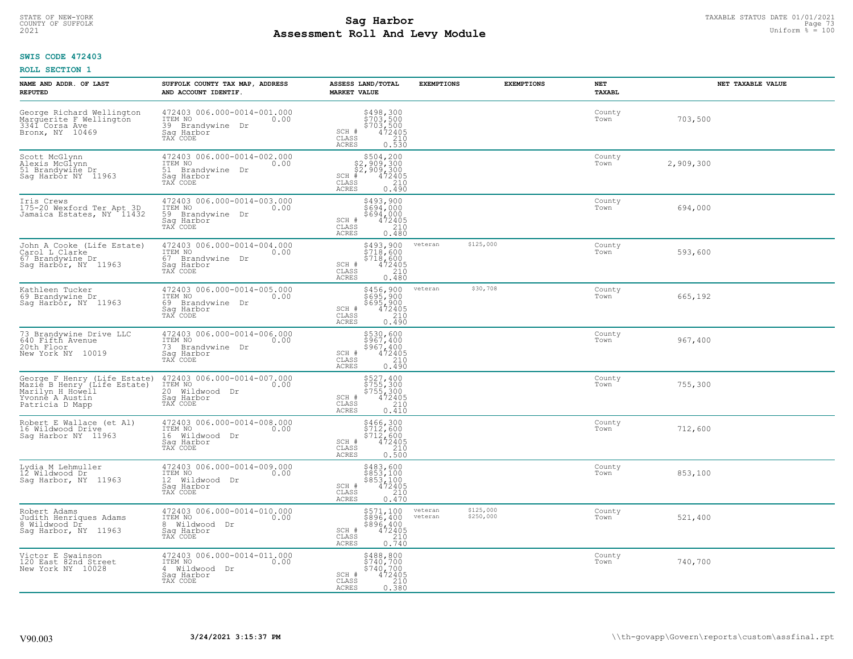# TAXABLE STATUS DATE 01/01/2021<br>COUNTY OF SUFFOLK Page 73 **Assessment Roll And Levy Module Example 2021** Uniform  $\frac{1}{8}$  = 100

# **SWIS CODE 472403**

| NAME AND ADDR. OF LAST<br><b>REPUTED</b>                                                                              | SUFFOLK COUNTY TAX MAP, ADDRESS<br>AND ACCOUNT IDENTIF.                                         | ASSESS LAND/TOTAL<br><b>MARKET VALUE</b>                                                                            | <b>EXEMPTIONS</b>  | <b>EXEMPTIONS</b>      | NET<br>TAXABL  | NET TAXABLE VALUE |
|-----------------------------------------------------------------------------------------------------------------------|-------------------------------------------------------------------------------------------------|---------------------------------------------------------------------------------------------------------------------|--------------------|------------------------|----------------|-------------------|
| George Richard Wellington<br>Marguerite F Wellington<br>3341 Corsa Ave<br>Bronx, NY 10469                             | 472403 006.000-0014-001.000<br>ITEM NO<br>0.00<br>39 Brandvwine<br>Dr<br>Saq Harbor<br>TAX CODE | \$498,300<br>\$703,500<br>\$703,500<br>\$472405<br>\$412<br>SCH #<br>CLASS<br><b>ACRES</b><br>0.530                 |                    |                        | County<br>Town | 703,500           |
| Scott McGlynn<br>Alexis McGlynn<br>51 Brandywine Dr.<br>Saq Harbor NY 11963                                           | 472403 006.000-0014-002.000<br>ITEM NO<br>0.00<br>51 Brandywine Dr<br>Saq Harbor<br>TAX CODE    | $$504, 200$<br>$$2, 909, 300$<br>$$2, 909, 300$<br>$$472405$<br>$SCH$ #<br>CLASS<br>210<br>ACRES<br>0.490           |                    |                        | County<br>Town | 2,909,300         |
| Iris Crews<br>175-20 Wexford Ter Apt 3D<br>Jamaica Estates, NY 11432                                                  | 472403 006.000-0014-003.000<br>ITEM NO<br>0.00<br>59 Brandywine Dr<br>Saq Harbor<br>TAX CODE    | \$493,900<br>\$694,000<br>\$694,000<br>SCH #<br>472405<br>210<br>CLASS<br>0.480<br>ACRES                            |                    |                        | County<br>Town | 694,000           |
| John A Cooke (Life Estate)<br>Carol L Clarke<br>67 Brandywine Dr<br>Saq Harbor, NY 11963                              | 472403 006.000-0014-004.000<br>ITEM NO<br>0.00<br>67 Brandvwine Dr<br>Saq Harbor<br>TAX CODE    | \$493,900<br>\$718,600<br>\$718,600<br>SCH #<br>$\frac{472405}{210}$<br>CLASS<br>0, 480<br><b>ACRES</b>             | veteran            | \$125,000              | County<br>Town | 593,600           |
| Kathleen Tucker<br>69 Brandywine Dr<br>Sag Harbor, NY 11963                                                           | 472403 006.000-0014-005.000<br>ITEM NO<br>0.00<br>69 Brandvwine Dr<br>Saq Harbor<br>TAX CODE    | \$456,900<br>$\frac{1}{695}$ , 900<br>$\frac{695}{472405}$<br>$\frac{210}{210}$<br>SCH #<br>CLASS<br>0.490<br>ACRES | veteran            | \$30,708               | County<br>Town | 665,192           |
| 73 Brandywine Drive LLC<br>640 Fifth Avenue<br>20th Floor<br>New York NY 10019                                        | 472403 006.000-0014-006.000<br>ITEM NO<br>0.00<br>73 Brandywine Dr<br>Saq Harbor<br>TAX CODE    | \$530,600<br>\$967,400<br>\$967,400<br>472405<br>SCH #<br>CLASS<br>210<br><b>ACRES</b><br>0.490                     |                    |                        | County<br>Town | 967,400           |
| George F Henry (Life Estate)<br>Mazie B Henry (Life Estate)<br>Marilyn H Howell<br>Yvonne A Austin<br>Patricia D Mapp | 472403 006.000-0014-007.000<br>ITEM NO<br>0.00<br>20 Wildwood Dr<br>Saq Harbor<br>TAX CODE      | \$527,400<br>\$755,300<br>\$755,300<br>\$755,300<br>SCH #<br>CLASS<br>210<br>0.410<br>ACRES                         |                    |                        | County<br>Town | 755,300           |
| Robert E Wallace (et Al)<br>16 Wildwood Drive<br>Sag Harbor NY 11963                                                  | 472403 006.000-0014-008.000<br>TTEM NO 0.00<br>16 Wildwood Dr<br>Saq Harbor<br>TAX CODE         | \$466,300<br>\$712,600<br>\$712,600<br>\$72405<br>\$210<br>SCH #<br>CLASS<br>ACRES<br>0.500                         |                    |                        | County<br>Town | 712,600           |
| Lydia M Lehmuller<br>12 Wildwood Dr<br>Sag Harbor, NY 11963                                                           | 472403 006.000-0014-009.000<br>TTEM NO 0.00<br>12 Wildwood Dr<br>Saq Harbor<br>TAX CODE         | \$483,600<br>\$853,100<br>\$853,100<br>SCH #<br>$\frac{472405}{210}$<br>CLASS<br>ACRES<br>0.470                     |                    |                        | County<br>Town | 853,100           |
| Robert Adams<br>Judith Henriques Adams<br>8 Wildwood Dr<br>Sag Harbor, NY 11963                                       | 472403 006.000-0014-010.000<br>ITEM NO<br>0.00<br>8 Wildwood Dr<br>Sag Harbor<br>TAX CODE       | \$571,100<br>\$896,400<br>\$896,400<br>472405<br>SCH #<br>$\frac{210}{0.740}$<br>CLASS<br><b>ACRES</b>              | veteran<br>veteran | \$125,000<br>\$250,000 | County<br>Town | 521,400           |
| Victor E Swainson<br>120 East 82nd Street<br>New York NY 10028                                                        | 472403 006.000-0014-011.000<br>ITEM NO<br>0.00<br>4 Wildwood Dr<br>Saq Harbor<br>TAX CODE       | \$488,800<br>\$740,700<br>\$740,700<br>SCH #<br>472405<br>CLASS<br>210<br>ACRES<br>0.380                            |                    |                        | County<br>Town | 740,700           |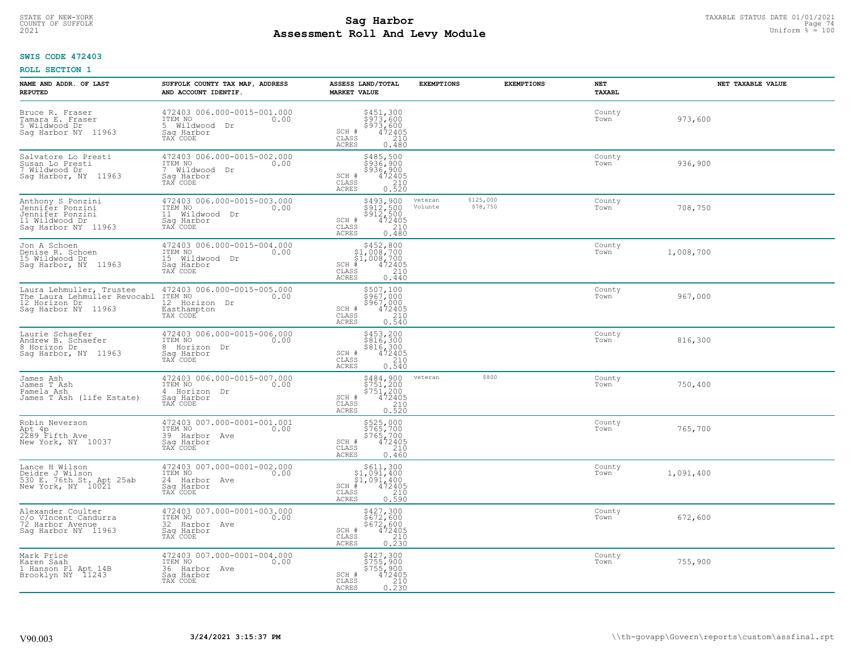# TAXABLE STATUS DATE 01/01/2021<br>COUNTY OF SUFFOLK Page 74 **Assessment Roll And Levy Module Example 2021** Uniform  $\frac{1}{8}$  = 100

# **SWIS CODE 472403**

| NAME AND ADDR. OF LAST<br><b>REPUTED</b>                                                            | SUFFOLK COUNTY TAX MAP, ADDRESS<br>AND ACCOUNT IDENTIF.                                       | ASSESS LAND/TOTAL<br><b>MARKET VALUE</b>                                                                                         | <b>EXEMPTIONS</b>  | <b>EXEMPTIONS</b>     | <b>NET</b><br>TAXABL | NET TAXABLE VALUE |
|-----------------------------------------------------------------------------------------------------|-----------------------------------------------------------------------------------------------|----------------------------------------------------------------------------------------------------------------------------------|--------------------|-----------------------|----------------------|-------------------|
| Bruce R. Fraser<br>Tamara E. Fraser<br>5 Wildwood Dr<br>Sag Harbor NY<br>11963                      | 472403 006.000-0015-001.000<br>ITEM NO<br>0.00<br>5 Wildwood<br>Dr<br>Saq Harbor<br>TAX CODE  | \$451,300<br>\$973,600<br>\$973,600<br>SCH #<br>$\frac{472405}{210}$<br>CLASS<br><b>ACRES</b><br>0.480                           |                    |                       | County<br>Town       | 973,600           |
| Salvatore Lo Presti<br>Susan Lo Presti<br>7 Wildwood Dr<br>Sag Harbor, NY 11963                     | 472403 006.000-0015-002.000<br>ITEM NO<br>0.00<br>Wildwood Dr<br>Saq Harbor<br>TAX CODE       | \$485,500<br>\$936,900<br>\$936,900<br>$\frac{472405}{210}$<br>SCH #<br>CLASS<br>ACRES<br>0.520                                  |                    |                       | County<br>Town       | 936,900           |
| Anthony S Ponzini<br>Jennifēr Ponzini<br>Jennifer Ponzini<br>11 Wildwood Dr<br>Sag Harbor NY 11963  | 472403 006.000-0015-003.000<br>ITEM NO<br>0.00<br>11<br>Wildwood Dr<br>Saq Harbor<br>TAX CODE | \$493,900<br>\$912,500<br>\$912,500<br>$\frac{72405}{210}$<br>SCH #<br>CLASS<br>0.480<br>ACRES                                   | veteran<br>Volunte | \$125,000<br>\$78,750 | County<br>Town       | 708,750           |
| Jon A Schoen<br>Denise R. Schoen<br>15 Wildwood Dr<br>Sag Harbor, NY<br>11963                       | 472403 006.000-0015-004.000<br>ITEM NO<br>0.00<br>15 Wildwood Dr<br>Saq Harbor<br>TAX CODE    | \$452,800<br>\$1,008,700<br>\$1,008,700<br>$SCH$ #<br>$\frac{472405}{210}$<br>CLASS<br>ACRES<br>0.440                            |                    |                       | County<br>Town       | 1,008,700         |
| Laura Lehmuller, Trustee<br>The Laura Lehmuller Revocabl<br>12 Horizon Dr<br>11963<br>Saq Harbor NY | 472403 006.000-0015-005.000<br>ITEM NO<br>0.00<br>12 Horizon Dr<br>Easthampton<br>TAX CODE    | \$507,100<br>3967,000<br>$$967,0004724052100.540$<br>SCH #<br>CLASS<br>ACRES                                                     |                    |                       | County<br>Town       | 967,000           |
| Laurie Schaefer<br>Andrew B. Schaefer<br>8 Horizon Dr<br>Saq Harbor, NY 11963                       | 472403 006.000-0015-006.000<br>ITEM NO<br>0.00<br>8 Horizon Dr<br>Sag Harbor<br>TAX CODE      | \$453,200<br>\$816,300<br>\$816,300<br>472405<br>SCH #<br>$\begin{array}{c} 210 \\ 0.540 \end{array}$<br>CLASS<br><b>ACRES</b>   |                    |                       | County<br>Town       | 816,300           |
| James Ash<br>James T Ash<br>Pamela Ash<br>James T Ash (life Estate)                                 | 472403 006.000-0015-007.000<br>ITEM NO<br>0.00<br>4<br>Horizon Dr<br>Saq Harbor<br>TAX CODE   | \$484,900<br>\$751,200<br>\$751,200<br>472405<br>SCH #<br>CLASS<br>$\frac{210}{0.520}$<br>ACRES                                  | veteran            | \$800                 | County<br>Town       | 750,400           |
| Robin Neverson<br>Apt 4p<br>2289 Fifth Ave<br>New York, NY 10037                                    | 472403 007.000-0001-001.001<br>ITEM NO<br>0.00<br>39 Harbor Ave<br>Saq Harbor<br>TAX CODE     | \$525,000<br>\$765,700<br>\$765,700<br>\$765,700<br>SCH #<br>CLASS<br>210<br><b>ACRES</b><br>0.460                               |                    |                       | County<br>Town       | 765,700           |
| Lance H Wilson<br>Deidre J Wilson<br>530 E. 76th St. Apt 25ab<br>New York, NY 10021                 | 472403 007.000-0001-002.000<br>TTEM NO 0.00<br>24 Harbor Ave<br>Saq Harbor<br>TAX CODE        | $$611,300$<br>$$1,091,400$<br>\$1,091,400<br>SCH<br>$\begin{smallmatrix} 472405\ 210\ 0.590 \end{smallmatrix}$<br>CLASS<br>ACRES |                    |                       | County<br>Town       | 1,091,400         |
| Alexander Coulter<br>c/o VIncent Candurra<br>72 Harbor Avenue<br>Sag Harbor NY 11963                | 472403 007.000-0001-003.000<br>ITEM NO<br>0.00<br>32 Harbor Ave<br>Sag Harbor<br>TAX CODE     | \$427,300<br>\$672,600<br>$$672, 600$<br>472405<br>210<br>SCH #<br>CLASS<br>0.230<br><b>ACRES</b>                                |                    |                       | County<br>Town       | 672,600           |
| Mark Price<br>Karen Saah<br>1 Hanson Pl Apt 14B<br>Brooklyn NY 11243                                | 472403 007.000-0001-004.000<br>ITEM NO<br>0.00<br>36 Harbor Ave<br>Saq Harbor<br>TAX CODE     | \$427,300<br>\$755,900<br>\$755,900<br>472405<br>SCH #<br>210<br>CLASS<br><b>ACRES</b><br>0.230                                  |                    |                       | County<br>Town       | 755,900           |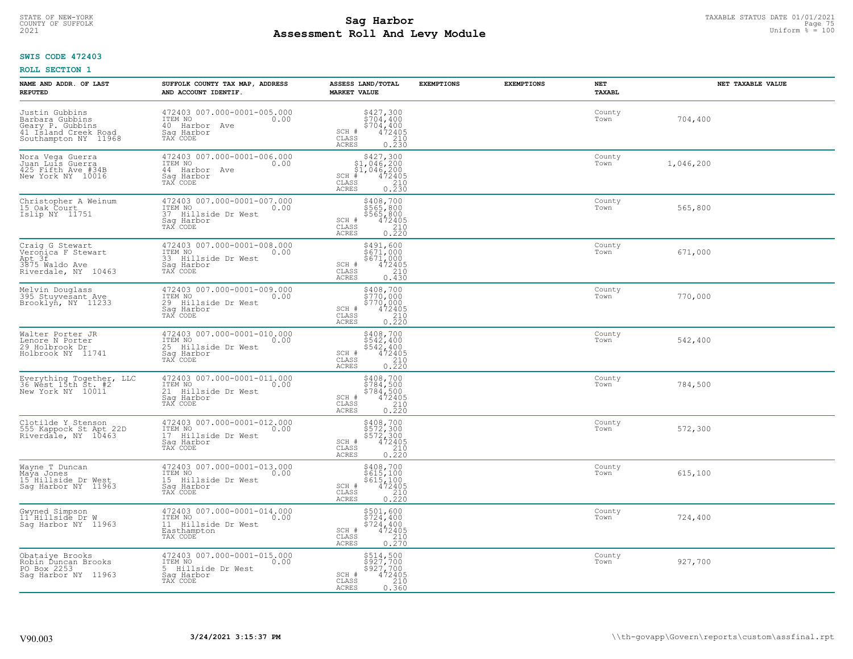# TAXABLE STATUS DATE 01/01/2021<br>COUNTY OF SUFFOLK Page 75 **Assessment Roll And Levy Module Example 2021** Uniform  $\frac{1}{8}$  = 100

# **SWIS CODE 472403**

| NAME AND ADDR. OF LAST<br><b>REPUTED</b>                                                              | SUFFOLK COUNTY TAX MAP, ADDRESS<br>AND ACCOUNT IDENTIF.                                            | ASSESS LAND/TOTAL<br><b>MARKET VALUE</b>                                                                                                                                                                                        | <b>EXEMPTIONS</b> | <b>EXEMPTIONS</b> | <b>NET</b><br>TAXABL | NET TAXABLE VALUE |
|-------------------------------------------------------------------------------------------------------|----------------------------------------------------------------------------------------------------|---------------------------------------------------------------------------------------------------------------------------------------------------------------------------------------------------------------------------------|-------------------|-------------------|----------------------|-------------------|
| Justin Gubbins<br>Barbara Gubbins<br>Geary P. Gubbins<br>41 Island Creek Road<br>Southampton NY 11968 | 472403 007.000-0001-005.000<br>ITEM NO<br>0.00<br>40 Harbor Ave<br>Saq Harbor<br>TAX CODE          | \$427,300<br>\$704,400<br>\$704,400<br>472405<br>SCH #<br>CLASS<br>210<br>ACRES<br>0.230                                                                                                                                        |                   |                   | County<br>Town       | 704,400           |
| Nora Vega Guerra<br>Juan Luis Guerra<br>425 Fifth Ave #34B<br>New York NY 10016                       | 472403 007.000-0001-006.000<br>ITEM NO<br>0.00<br>44 Harbor Ave<br>Saq Harbor<br>TAX CODE          | $$427,300$<br>$$1,046,200$<br>$$1,046,200$<br>$$472405$<br>$SCH$ #<br>CLASS<br>$\begin{array}{c} 210 \\ 0.230 \end{array}$<br>ACRES                                                                                             |                   |                   | County<br>Town       | 1,046,200         |
| Christopher A Weinum<br>15 Oak Court<br>Islip NY 11751                                                | 472403 007.000-0001-007.000<br>ITEM NO<br>0.00<br>37<br>Hillside Dr West<br>Sag Harbor<br>TAX CODE | \$408,700<br>\$565,800<br>$$565,800$ $472405$ $0.220$<br>SCH #<br>CLASS<br>ACRES                                                                                                                                                |                   |                   | County<br>Town       | 565,800           |
| Craig G Stewart<br>Veronica F Stewart<br>Apt 3f<br>3875 Waldo Ave<br>Riverdale, NY 10463              | 472403 007.000-0001-008.000<br>ITEM NO<br>0.00<br>33 Hillside Dr West<br>Sag Harbor<br>TAX CODE    | \$491,600<br>\$671,000<br>$$671,000$<br>472405<br>210<br>SCH #<br>CLASS<br>$0, \overline{4}30$<br><b>ACRES</b>                                                                                                                  |                   |                   | County<br>Town       | 671,000           |
| Melvin Douglass<br>395 Stuyvesant Ave<br>Brooklyn, NY 11233                                           | 472403 007.000-0001-009.000<br>ITEM NO<br>0.00<br>29<br>Hillside Dr West<br>Saq Harbor<br>TAX CODE | \$408,700<br>$\frac{1}{2}$ $\frac{1}{2}$ $\frac{1}{2}$ $\frac{1}{2}$ $\frac{1}{2}$ $\frac{1}{2}$ $\frac{1}{2}$<br>$\begin{array}{r} \frac{2}{5}770,000 \\ 472405 \\ 210 \\ 0.220 \end{array}$<br>SCH #<br>CLASS<br><b>ACRES</b> |                   |                   | County<br>Town       | 770,000           |
| Walter Porter JR<br>Lenore N Porter<br>29 Holbrook Dr<br>Holbrook NY 11741                            | 472403 007.000-0001-010.000<br>ITEM NO<br>0.00<br>25 Hillside Dr West<br>Sag Harbor<br>TAX CODE    | \$408,700<br>\$542,400<br>\$542,400<br>472405<br>SCH #<br>CLASS<br>$\begin{array}{c} 210 \\ 0.220 \end{array}$<br><b>ACRES</b>                                                                                                  |                   |                   | County<br>Town       | 542,400           |
| Everything Together, LLC<br>36 West 15th St. #2<br>New York NY 10011                                  | 472403 007.000-0001-011.000<br>ITEM NO<br>0.00<br>21<br>Hillside Dr West<br>Saq Harbor<br>TAX CODE | \$408,700<br>\$784,500<br>\$784,500<br>472405<br>SCH #<br>CLASS<br>$\frac{210}{0.220}$<br>ACRES                                                                                                                                 |                   |                   | County<br>Town       | 784,500           |
| Clotilde Y Stenson<br>555 Kappock St Apt 22D<br>Riverdale, NY 10463                                   | 472403 007.000-0001-012.000<br>TTEM NO 0.00<br>17 Hillside Dr West<br>Saq Harbor<br>TAX CODE       | \$408,700<br>\$572,300<br>\$572,300<br>472405<br>SCH #<br>CLASS<br>0.220<br><b>ACRES</b>                                                                                                                                        |                   |                   | County<br>Town       | 572,300           |
| Wayne T Duncan<br>Maya Jones<br>15 Hillside Dr West<br>Saq Harbor NY 11963                            | 472403 007.000-0001-013.000<br>ITEM NO<br>0.00<br>15 Hillside Dr West<br>Saq Harbor<br>TAX CODE    | \$408,700<br>\$615,100<br>\$615,100<br>472405<br>SCH #<br>CLASS<br>$\frac{210}{0.220}$<br><b>ACRES</b>                                                                                                                          |                   |                   | County<br>Town       | 615,100           |
| Gwyned Simpson<br>11 Hillside Dr W<br>Sag Harbor NY 11963                                             | 472403 007.000-0001-014.000<br>ITEM NO<br>0.00<br>11 Hillside Dr West<br>Easthampton<br>TAX CODE   | \$501,600<br>\$724,400<br>\$724,400<br>472405<br>SCH #<br>210<br>CLASS<br>0.270<br>ACRES                                                                                                                                        |                   |                   | County<br>Town       | 724,400           |
| Obataiye Brooks<br>Robin Ďuncan Brooks<br>PO Box 2253<br>Saq Harbor NY 11963                          | 472403 007.000-0001-015.000<br>ITEM NO<br>0.00<br>5 Hillside Dr West<br>Sag Harbor<br>TAX CODE     | \$514,500<br>\$927,700<br>\$927,700<br>$\frac{472405}{210}$<br>SCH #<br>CLASS<br><b>ACRES</b><br>0.360                                                                                                                          |                   |                   | County<br>Town       | 927,700           |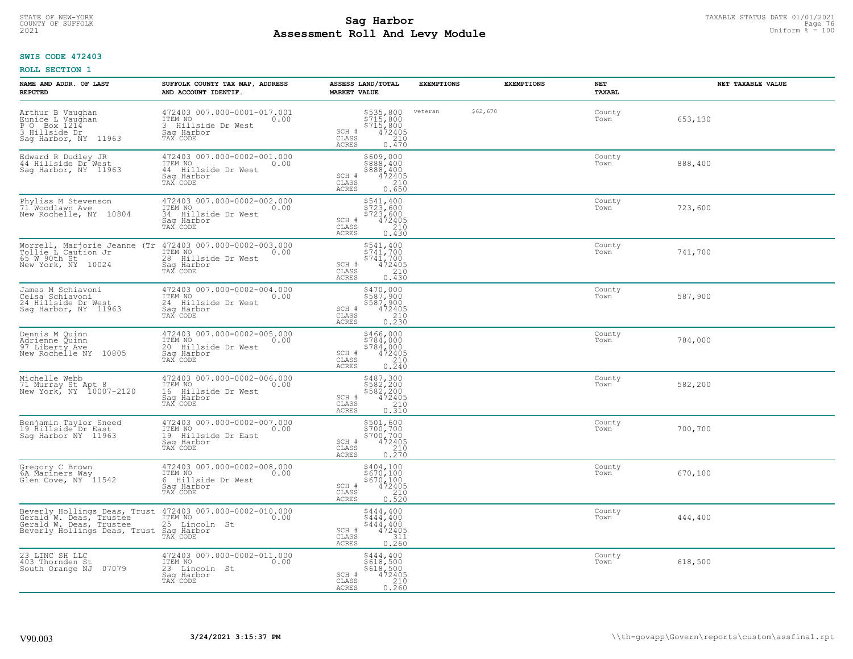# TAXABLE STATUS DATE 01/01/2021<br>COUNTY OF SUFFOLK Page 76 **Assessment Roll And Levy Module Example 2021** Uniform  $\frac{1}{8}$  = 100

### **SWIS CODE 472403**

| NAME AND ADDR. OF LAST<br><b>REPUTED</b>                                                                                                                             | SUFFOLK COUNTY TAX MAP, ADDRESS<br>AND ACCOUNT IDENTIF.                                            | ASSESS LAND/TOTAL<br><b>MARKET VALUE</b>                                                                                        | <b>EXEMPTIONS</b>   | <b>EXEMPTIONS</b> | NET<br>TAXABL  | NET TAXABLE VALUE |
|----------------------------------------------------------------------------------------------------------------------------------------------------------------------|----------------------------------------------------------------------------------------------------|---------------------------------------------------------------------------------------------------------------------------------|---------------------|-------------------|----------------|-------------------|
| Arthur B Vaughan<br>Eunice L Vaughan<br>P O Box 1214<br>3 Hillside Dr<br>Sag Harbor, NY 11963                                                                        | 472403 007.000-0001-017.001<br>ITEM NO<br>0.00<br>3 Hillside Dr West<br>Saq Harbor<br>TAX CODE     | \$535,800<br>\$715,800<br>$$7\bar{1}\bar{5}'$ , $8\bar{0}\bar{0}$<br>$472495$<br>SCH #<br>CLASS<br>210<br><b>ACRES</b><br>0.470 | veteran<br>\$62,670 |                   | County<br>Town | 653,130           |
| Edward R Dudley JR<br>44 Hillside Dr West<br>Saq Harbor, NY 11963                                                                                                    | 472403 007.000-0002-001.000<br>ITEM NO<br>0.00<br>44 Hillside Dr West<br>Saq Harbor<br>TAX CODE    | \$609,000<br>\$888,400<br>\$888,400<br>472405<br>SCH #<br>210<br>CLASS<br>0.650<br>ACRES                                        |                     |                   | County<br>Town | 888,400           |
| Phyliss M Stevenson<br>71 Woodlawn Ave<br>New Rochelle, NY 10804                                                                                                     | 472403 007.000-0002-002.000<br>ITEM NO<br>0.00<br>34<br>Hillside Dr West<br>Sag Harbor<br>TAX CODE | \$541,400<br>\$723,600<br>\$723,600<br>472405<br>SCH #<br>210<br>CLASS<br>0.430<br>ACRES                                        |                     |                   | County<br>Town | 723,600           |
| Worrell, Marjorie Jeanne (Tr<br>Tollie L Caution Jr<br>65 W 90th St<br>New York, NY<br>10024                                                                         | 472403 007.000-0002-003.000<br>1TEM NO 0.00<br>28 Hillside Dr West<br>Saq Harbor<br>TAX CODE       | \$541,400<br>\$741,700<br>\$741,700<br>SCH #<br>$\frac{472405}{210}$<br>CLASS<br><b>ACRES</b><br>0.430                          |                     |                   | County<br>Town | 741,700           |
| James M Schiavoni<br>Celsa Schiavoni<br>24 Hillside Dr West<br>Sag Harbor, NY 11963                                                                                  | 472403 007.000-0002-004.000<br>ITEM NO<br>0.00<br>24 Hillside Dr West<br>Saq Harbor<br>TAX CODE    | \$470,000<br>$\begin{array}{r} 787,900 \\ 587,900 \\ 472405 \\ 210 \end{array}$<br>SCH #<br>CLASS<br>0.230<br><b>ACRES</b>      |                     |                   | County<br>Town | 587,900           |
| Dennis M Quinn<br>Adrienne Quinn<br>97 Liberty Ave<br>10805<br>New Rochelle NY                                                                                       | 472403 007.000-0002-005.000<br>ITEM NO<br>0.00<br>20 Hillside Dr West<br>Sag Harbor<br>TAX CODE    | \$466,000<br>\$784,000<br>\$784,000<br>472405<br>SCH #<br>CLASS<br>210<br>0.240<br>ACRES                                        |                     |                   | County<br>Town | 784,000           |
| Michelle Webb<br>71 Murray St Apt 8<br>New York, NY 10007-2120                                                                                                       | 472403 007.000-0002-006.000<br>ITEM NO<br>0.00<br>16<br>Hillside Dr West<br>Sag Harbor<br>TAX CODE | \$487,300<br>\$582,200<br>\$582,200<br>472405<br>SCH #<br>210<br>CLASS<br><b>ACRES</b><br>0.310                                 |                     |                   | County<br>Town | 582,200           |
| Benjamin Taylor Sneed<br>19 Hillside Dr East<br>Sag Harbor NY 11963                                                                                                  | 472403 007.000-0002-007.000<br>ITEM NO<br>0.00<br>19 Hillside Dr East<br>Saq Harbor<br>TAX CODE    | \$501,600<br>\$700,700<br>\$700,700<br>472405<br>SCH #<br>CLASS<br>210<br><b>ACRES</b><br>0.270                                 |                     |                   | County<br>Town | 700,700           |
| Gregory C Brown<br>6A Mariners Way<br>Glen Cove, NY 11542                                                                                                            | 472403 007.000-0002-008.000<br>TTEM NO 0.00<br>6 Hillside Dr West<br>Saq Harbor<br>TAX CODE        | \$404,100<br>\$670,100<br>\$670,100<br>472405<br>SCH #<br>CLASS<br>$\frac{210}{0.520}$<br><b>ACRES</b>                          |                     |                   | County<br>Town | 670,100           |
| Beverly Hollings Deas, Trust 472403 007.000-0002-010.000<br>Gerald W. Deas, Trustee ITEM NO<br>Gerald W. Deas, Trustee 25 Lincoln St<br>Beverly Hollings Deas, Trust | Sag Harbor<br>TAX CODE                                                                             | $$444, 400$<br>$$444, 400$<br>$$444, 400$<br>$472405$<br>$$311$<br>SCH #<br>CLASS<br>ACRES<br>0.260                             |                     |                   | County<br>Town | 444,400           |
| 23 LINC SH LLC<br>403 Thornden St<br>South Orange NJ<br>07079                                                                                                        | 472403 007.000-0002-011.000<br>ITEM NO<br>0.00<br>23 Lincoln St<br>Sag Harbor<br>TAX CODE          | \$444,400<br>\$618,500<br>\$618,500<br>472405<br>SCH #<br>210<br>CLASS<br><b>ACRES</b><br>0.260                                 |                     |                   | County<br>Town | 618,500           |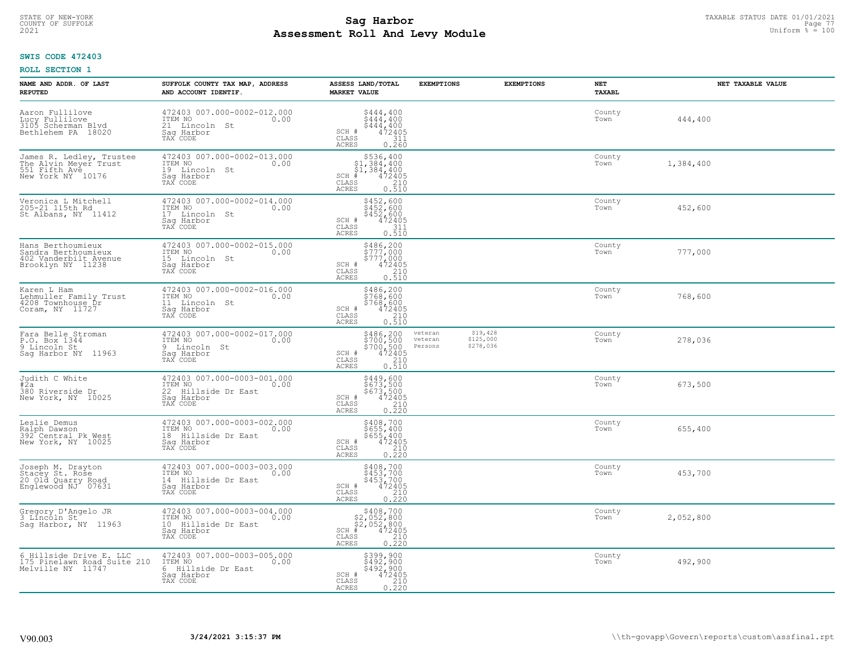# TAXABLE STATUS DATE 01/01/2021<br>COUNTY OF SUFFOLK Page 77 **Assessment Roll And Levy Module Example 2021** Uniform  $\frac{1}{8}$  = 100

# **SWIS CODE 472403**

| NAME AND ADDR. OF LAST<br><b>REPUTED</b>                                                | SUFFOLK COUNTY TAX MAP, ADDRESS<br>AND ACCOUNT IDENTIF.                                           | ASSESS LAND/TOTAL<br><b>MARKET VALUE</b>                                                                                    | <b>EXEMPTIONS</b>             | <b>EXEMPTIONS</b>                  | NET<br><b>TAXABL</b> | NET TAXABLE VALUE |
|-----------------------------------------------------------------------------------------|---------------------------------------------------------------------------------------------------|-----------------------------------------------------------------------------------------------------------------------------|-------------------------------|------------------------------------|----------------------|-------------------|
| Aaron Fullilove<br>Hucy Fullilove<br>3105 Scherman Blvd<br>Bethlehem PA 18020           | 472403 007.000-0002-012.000<br>ITEM NO<br>0.00<br>21 Lincoln<br>St<br>Saq Harbor<br>TAX CODE      | $$444, 400$<br>$$444, 400$<br>$$444, 400$<br>$$444, 400$<br>SCH #<br>$\frac{472405}{311}$<br>CLASS<br><b>ACRES</b><br>0.260 |                               |                                    | County<br>Town       | 444,400           |
| James R. Ledley, Trustee<br>The Alvin Meyer Trust<br>551 Fifth Ave<br>New York NY 10176 | 472403 007.000-0002-013.000<br>ITEM NO<br>0.00<br>19 Lincoln St<br>Saq Harbor<br>TAX CODE         | $$536,40051,384,40051,384,400472405$<br>$SCH$ #<br>CLASS<br>210<br>0.510<br><b>ACRES</b>                                    |                               |                                    | County<br>Town       | 1,384,400         |
| Veronica L Mitchell<br>205-21 115th Rd<br>St Albans, NY 11412                           | 472403 007.000-0002-014.000<br>ITEM NO<br>0.00<br>17 Lincoln St<br>Saq Harbor<br>TAX CODE         | \$452,600<br>\$452,600<br>\$452,600<br>SCH #<br>472405<br>CLASS<br>311<br>0.510<br>ACRES                                    |                               |                                    | County<br>Town       | 452,600           |
| Hans Berthoumieux<br>Sandra Berthoumieux<br>402 Vanderbilt Avenue<br>Brooklyn NY 11238  | 472403 007.000-0002-015.000<br>TTEM NO 0.00<br>15 Lincoln St<br>Saq Harbor<br>TAX CODE            | \$486,200<br>\$777,000<br>\$777,000<br>472405<br>SCH #<br>CLASS<br>210<br><b>ACRES</b><br>0.510                             |                               |                                    | County<br>Town       | 777,000           |
| Karen L Ham<br>Lehmuller Family Trust<br>4208 Townhouse Dr<br>Coram, NY 11727           | 472403 007.000-0002-016.000<br>ITEM NO<br>0.00<br>11 Lincoln St<br>Saq Harbor<br>TAX CODE         | \$486,200<br>\$768,600<br>$$768,600$<br>$472405$<br>210<br>SCH #<br>$\mathtt{CLASS}$<br>0.510<br><b>ACRES</b>               |                               |                                    | County<br>Town       | 768,600           |
| Fara Belle Stroman<br>P.O. Box 1344<br>9 Lincoln St<br>Saq Harbor NY 11963              | 472403 007.000-0002-017.000<br>ITEM NO<br>0.00<br>9 Lincoln St<br>Saq Harbor<br>TAX CODE          | \$486,200<br>\$700,500<br>\$700,500<br>\$72405<br>\$10<br>SCH #<br>CLASS<br>0.510<br><b>ACRES</b>                           | veteran<br>veteran<br>Persons | \$19,428<br>\$125,000<br>\$278,036 | County<br>Town       | 278,036           |
| Judith C White<br>#2a<br>380 Riverside Dr<br>New York, NY 10025                         | 472403 007.000-0003-001.000<br>ITEM NO<br>0.00<br>22 Hillside Dr East<br>Saq Harbor<br>TAX CODE   | \$449,600<br>\$673,500<br>\$673,500<br>472405<br>SCH #<br>CLASS<br>210<br>0.220<br><b>ACRES</b>                             |                               |                                    | County<br>Town       | 673,500           |
| Leslie Demus<br>Ralph Dawson<br>392 Central Pk West<br>New York, NY 10025               | 472403 007.000-0003-002.000<br>ITEM NO 0.00<br>18 Hillside Dr East<br>Saq Harbor<br>TAX CODE      | \$408,700<br>\$655,400<br>\$655,400<br>472405<br>SCH #<br>CLASS<br>210<br>ACRES<br>0.220                                    |                               |                                    | County<br>Town       | 655,400           |
| Joseph M. Drayton<br>Stacey St. Rose<br>20 Old Quarry Road<br>Englewood NJ 07631        | 472403 007.000-0003-003.000<br>10.00 0.00<br>14 Hillside Dr East<br>Saq Harbor<br>TAX CODE        | $5408, 700$<br>$5453, 700$<br>$5453, 700$<br>$472405$<br>$210$<br>SCH #<br>CLASS<br><b>ACRES</b><br>0.220                   |                               |                                    | County<br>Town       | 453,700           |
| Gregory D'Angelo JR<br>3 Lincoln St<br>Sag Harbor, NY 11963                             | 472403 007.000-0003-004.000<br>ITEM NO<br>0.00<br>10 Hillside Dr East<br>Saq Harbor<br>TAX CODE   | \$408,700<br>\$2,052,800<br>\$2,052,800<br>472405<br>$SCH$ #<br>CLASS<br>210<br><b>ACRES</b><br>0.220                       |                               |                                    | County<br>Town       | 2,052,800         |
| 6 Hillside Drive E. LLC<br>175 Pinelawn Road Suite 210<br>Melville NY 11747             | 472403 007.000-0003-005.000<br>ITEM NO<br>0.00<br>Hillside Dr East<br>6<br>Saq Harbor<br>TAX CODE | \$399,900<br>\$492,900<br>\$492,900<br>SCH #<br>472405<br>CLASS<br>$\frac{210}{0.220}$<br><b>ACRES</b>                      |                               |                                    | County<br>Town       | 492,900           |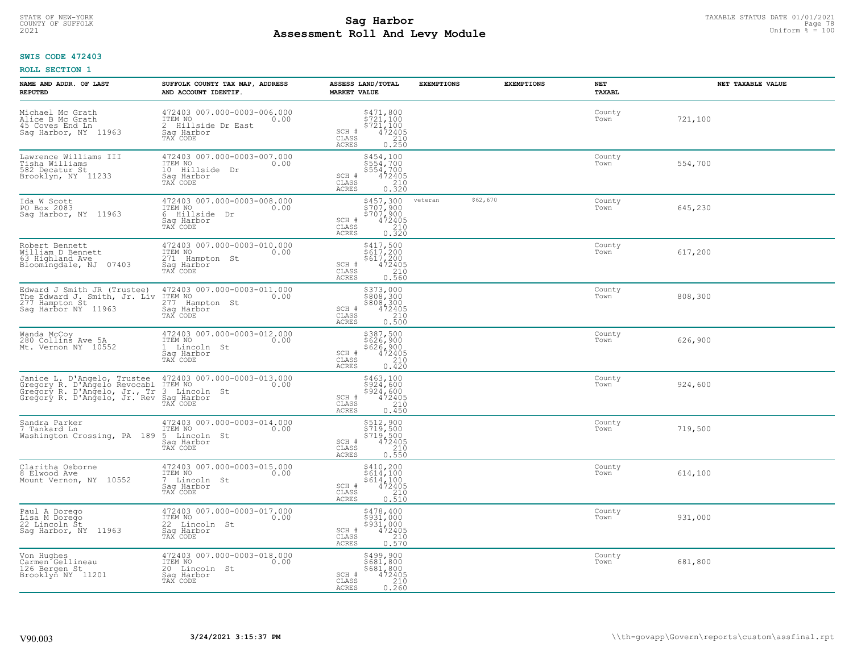# TAXABLE STATUS DATE 01/01/2021<br>COUNTY OF SUFFOLK Page 78 Page 78 **Assessment Roll And Levy Module Example 2021** Uniform  $\frac{1}{8}$  = 100

# **SWIS CODE 472403**

| NAME AND ADDR. OF LAST<br><b>REPUTED</b>                                                                                    | SUFFOLK COUNTY TAX MAP, ADDRESS<br>AND ACCOUNT IDENTIF.                                         | ASSESS LAND/TOTAL<br><b>MARKET VALUE</b>                                                                                | <b>EXEMPTIONS</b>   | <b>EXEMPTIONS</b> | <b>NET</b><br><b>TAXABL</b> | NET TAXABLE VALUE |
|-----------------------------------------------------------------------------------------------------------------------------|-------------------------------------------------------------------------------------------------|-------------------------------------------------------------------------------------------------------------------------|---------------------|-------------------|-----------------------------|-------------------|
| Michael Mc Grath<br>Alice B Mc Grath<br>45 Coves End Ln<br>Saq Harbor, NY 11963                                             | 472403 007.000-0003-006.000<br>ITEM NO<br>2 Hillside Dr East<br>Saq Harbor<br>TAX CODE          | $\begin{array}{c} 5471, 800 \\ 5721, 100 \\ 5721, 100 \\ 472405 \\ 210 \\ 0.250 \end{array}$<br>SCH #<br>CLASS<br>ACRES |                     |                   | County<br>Town              | 721,100           |
| Lawrence Williams III<br>Tisha Williams<br>582 Decatur St<br>Brooklyn, NY 11233                                             | 472403 007.000-0003-007.000<br>ITEM NO<br>0.00<br>10 Hillside Dr<br>Saq Harbor<br>TAX CODE      | \$454,100<br>\$554,700<br>\$554,700<br>472405<br>SCH #<br>$\frac{210}{0.320}$<br>CLASS<br><b>ACRES</b>                  |                     |                   | County<br>Town              | 554,700           |
| Ida W Scott<br>PO Box 2083<br>Sag Harbor, NY 11963                                                                          | 472403 007.000-0003-008.000<br>ITEM NO<br>0.00<br>6<br>Hillside<br>Dr<br>Sag Harbor<br>TAX CODE | \$457,300<br>\$707,900<br>\$707,900<br>472405<br>SCH #<br>CLASS<br>$\frac{210}{0.320}$<br><b>ACRES</b>                  | \$62,670<br>veteran |                   | County<br>Town              | 645,230           |
| Robert Bennett<br>William D Bennett<br>63 Highland Ave<br>Bloomingdale, NJ<br>07403                                         | 472403 007.000-0003-010.000<br>ITEM NO<br>0.00<br>271 Hampton St<br>Saq Harbor<br>TAX CODE      | \$417,500<br>\$617,200<br>\$617,200<br>SCH #<br>$472405$<br>$210$<br>0.560<br>CLASS<br>ACRES                            |                     |                   | County<br>Town              | 617,200           |
| Edward J Smith JR (Trustee)<br>The Edward J. Smith, Jr. Liv<br>277 Hampton St<br>Saq Harbor NY 11963                        | 472403 007.000-0003-011.000<br>ITEM NO<br>0.00<br>277<br>Hampton St<br>Saq Harbor<br>TAX CODE   | \$373,000<br>\$808,300<br>\$808,300<br>\$808,300<br>\$72405<br>\$210<br>\$210<br>\$500<br>SCH #<br>CLASS<br>ACRES       |                     |                   | County<br>Town              | 808,300           |
| Wanda McCoy<br>280 Collins Ave 5A<br>Mt. Vernon NY 10552                                                                    | 472403 007.000-0003-012.000<br>ITEM NO<br>0.00<br>1 Lincoln St<br>Sag Harbor<br>TAX CODE        | \$387,500<br>\$626,900<br>\$626,900<br>472405<br>210<br>SCH #<br>CLASS<br>ACRES<br>0.420                                |                     |                   | County<br>Town              | 626,900           |
| Janice L. D'Angelo, Trustee<br>Gregory R. D'Angelo Revocabl<br>Gregory R. D'Angelo, Jr., Tr<br>Gregory R. D'Angelo, Jr. Rev | 472403 007.000-0003-013.000<br>ITEM NO<br>0.00<br>3 Lincoln St<br>Saq Harbor<br>TAX CODE        | \$463,100<br>\$924,600<br>$$5\bar{2}4', 600$<br>$472405$<br>SCH #<br>$\frac{210}{0.450}$<br>CLASS<br><b>ACRES</b>       |                     |                   | County<br>Town              | 924,600           |
| Sandra Parker<br>7 Tankard Ln<br>Washington Crossing, PA 189                                                                | 472403 007.000-0003-014.000<br>ITEM NO<br>0.00<br>5 Lincoln St<br>Saq Harbor<br>TAX CODE        | \$512,900<br>\$719,500<br>\$719,500<br>472405<br>SCH #<br>CLASS<br>$\frac{210}{0.550}$<br><b>ACRES</b>                  |                     |                   | County<br>Town              | 719,500           |
| Claritha Osborne<br>8 Elwood Ave<br>Mount Vernon, NY 10552                                                                  | 472403 007.000-0003-015.000<br>TTEM NO 0.00<br>7 Lincoln St<br>Saq Harbor<br>TAX CODE           | \$410,200<br>\$614,100<br>\$614,100<br>472405<br>SCH #<br>CLASS<br>$0.210$<br>$0.510$<br>ACRES                          |                     |                   | County<br>Town              | 614,100           |
| Paul A Dorego<br>Lisa M Dorego<br>22 Lincoln St<br>Saq Harbor, NY 11963                                                     | 472403 007.000-0003-017.000<br>ITEM NO<br>0.00<br>22<br>Lincoln St<br>Sag Harbor<br>TAX CODE    | \$478,400<br>\$931,000<br>\$931,000<br>SCH #<br>$\frac{472405}{210}$<br>CLASS<br>0.570<br><b>ACRES</b>                  |                     |                   | County<br>Town              | 931,000           |
| Von Hughes<br>Carmen Gellineau<br>126 Bergen St<br>Brooklyn NY 11201                                                        | 472403 007.000-0003-018.000<br>ITEM NO<br>0.00<br>20 Lincoln St<br>Saq Harbor<br>TAX CODE       | \$499,900<br>\$681,800<br>\$681,800<br>SCH #<br>472405<br>$\frac{210}{0.260}$<br>CLASS<br><b>ACRES</b>                  |                     |                   | County<br>Town              | 681,800           |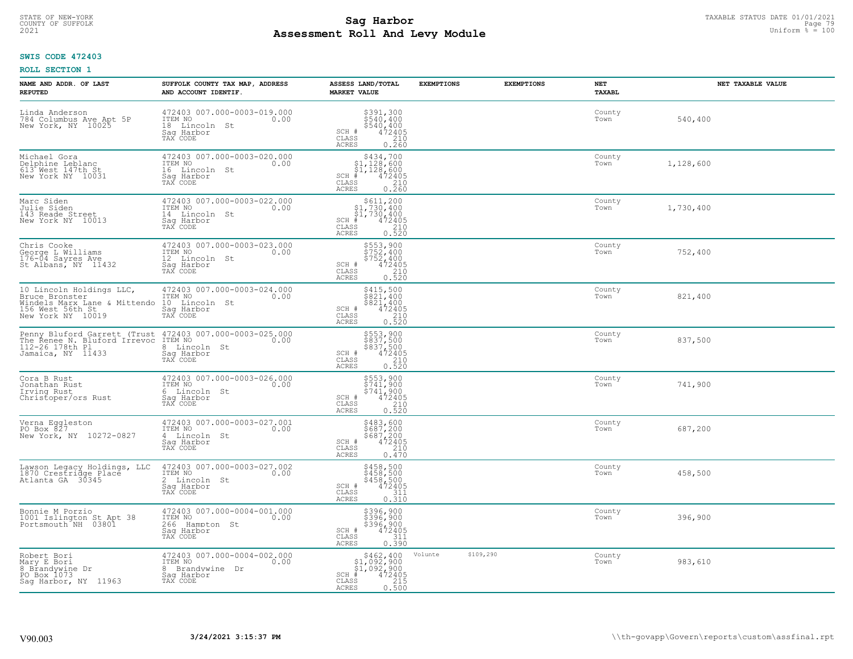# TAXABLE STATUS DATE 01/01/2021<br>COUNTY OF SUFFOLK Page 79 Page 79 **Assessment Roll And Levy Module Example 2021** Uniform  $\frac{1}{8}$  = 100

# **SWIS CODE 472403**

| NAME AND ADDR. OF LAST<br><b>REPUTED</b>                                                                            | SUFFOLK COUNTY TAX MAP, ADDRESS<br>AND ACCOUNT IDENTIF.                                     | ASSESS LAND/TOTAL<br><b>MARKET VALUE</b>                                                                                             | <b>EXEMPTIONS</b>    | <b>EXEMPTIONS</b> | NET<br>TAXABL  | NET TAXABLE VALUE |
|---------------------------------------------------------------------------------------------------------------------|---------------------------------------------------------------------------------------------|--------------------------------------------------------------------------------------------------------------------------------------|----------------------|-------------------|----------------|-------------------|
| Linda Anderson<br>784 Columbus Ave Apt 5P<br>New York, NY 10025                                                     | 472403 007.000-0003-019.000<br>ITEM NO<br>0.00<br>18 Lincoln St<br>Saq Harbor<br>TAX CODE   | $$391,300$<br>$$540,400$<br>$$540,400$<br>$472405$<br>210<br>SCH #<br>CLASS<br><b>ACRES</b><br>0.260                                 |                      |                   | County<br>Town | 540,400           |
| Michael Gora<br>Delphine Leblanc<br>613 West 147th St<br>New York NY 10031                                          | 472403 007.000-0003-020.000<br>ITEM NO<br>0.00<br>16 Lincoln St<br>Saq Harbor<br>TAX CODE   | \$434,700<br>$\begin{array}{r} 51,128,600 \\ 51,128,600 \\ + 472405 \end{array}$<br>$SCH$ #<br>CLASS<br>$\frac{210}{0.260}$<br>ACRES |                      |                   | County<br>Town | 1,128,600         |
| Marc Siden<br>Julie Siden<br>143 Reade Street<br>New York NY 10013                                                  | 472403 007.000-0003-022.000<br>ITEM NO<br>0.00<br>14 Lincoln St<br>Sag Harbor<br>TAX CODE   | $\begin{array}{c} $611,200 $1,730,400 $1,730,400 # 472405 \end{array}$<br>$SCH$ #<br>CLASS<br>$\frac{210}{0.520}$<br>ACRES           |                      |                   | County<br>Town | 1,730,400         |
| Chris Cooke<br>George L Williams<br>176-04 Sayres Ave<br>St Albans, NY 11432                                        | 472403 007.000-0003-023.000<br>ITEM NO<br>0.00<br>12 Lincoln St<br>Sag Harbor<br>TAX CODE   | \$553,900<br>\$752,400<br>\$752,400<br>\$752,400<br>SCH #<br>CLASS<br>0.210<br><b>ACRES</b>                                          |                      |                   | County<br>Town | 752,400           |
| 10 Lincoln Holdings LLC,<br>Bruce Bronster<br>Windels Marx Lane & Mittendo<br>156 West 56th St<br>New York NY 10019 | 472403 007.000-0003-024.000<br>ITEM NO<br>0.00<br>10 Lincoln St<br>Saq Harbor<br>TAX CODE   | \$415,500<br>3413, 300<br>\$821, 400<br>\$821, 400<br>472405<br>0. 520<br>SCH #<br>$\mathtt{CLASS}$<br><b>ACRES</b>                  |                      |                   | County<br>Town | 821,400           |
| 112-26 178th Pl<br>Jamaica, NY 11433                                                                                | 8 Lincoln St<br>Sag Harbor<br>TAX CODE                                                      | \$553,900<br>\$837,500<br>\$837,500<br>\$837,500<br>\$210<br>0.520<br>SCH #<br>CLASS<br>ACRES                                        |                      |                   | County<br>Town | 837,500           |
| Cora B Rust<br>Jonathan Rust<br>Irving Rust<br>Christoper/ors Rust                                                  | 472403 007.000-0003-026.000<br>ITEM NO<br>0.00<br>6 Lincoln St<br>Saq Harbor<br>TAX CODE    | \$553,900<br>\$741,900<br>\$741,900<br>472405<br>$SCH$ #<br>$\frac{210}{0.520}$<br>CLASS<br>ACRES                                    |                      |                   | County<br>Town | 741,900           |
| Verna Eggleston<br>PO Box 827<br>New York, NY 10272-0827                                                            | 472403 007.000-0003-027.001<br>ITEM NO 0.00<br>4 Lincoln St<br>Saq Harbor<br>TAX CODE       | \$483,600<br>\$687,200<br>\$687,200<br>472405<br>SCH #<br>CLASS<br>210<br><b>ACRES</b><br>0.470                                      |                      |                   | County<br>Town | 687,200           |
| Lawson Legacy Holdings, LLC<br>1870 Crestridge Place<br>Atlanta GA 30345                                            | 472403 007.000-0003-027.002<br>ITEM NO<br>0.00<br>2 Lincoln St<br>Saq Harbor<br>TAX CODE    | \$458,500<br>\$458,500<br>\$458,500<br>472405<br>SCH #<br>CLASS<br>311<br><b>ACRES</b><br>0.310                                      |                      |                   | County<br>Town | 458,500           |
| Bonnie M Porzio<br>1001 Islington St Apt 38<br>Portsmouth NH 03801                                                  | 472403 007.000-0004-001.000<br>ITEM NO<br>0.00<br>266 Hampton St<br>Saq Harbor<br>TAX CODE  | \$396,900<br>\$396,900<br>\$396,900<br>\$396,900<br>SCH #<br>311<br>CLASS<br><b>ACRES</b><br>0.390                                   |                      |                   | County<br>Town | 396,900           |
| Robert Bori<br>Mary E Bori<br>8 Brandywine Dr<br>PO Box 1073<br>Sag Harbor, NY 11963                                | 472403 007.000-0004-002.000<br>ITEM NO<br>0.00<br>8 Brandywine Dr<br>Sag Harbor<br>TAX CODE | $$462,40051,092,90051,092,900+ 472405$<br>$SCH$ #<br>0.500<br>CLASS<br><b>ACRES</b>                                                  | \$109,290<br>Volunte |                   | County<br>Town | 983,610           |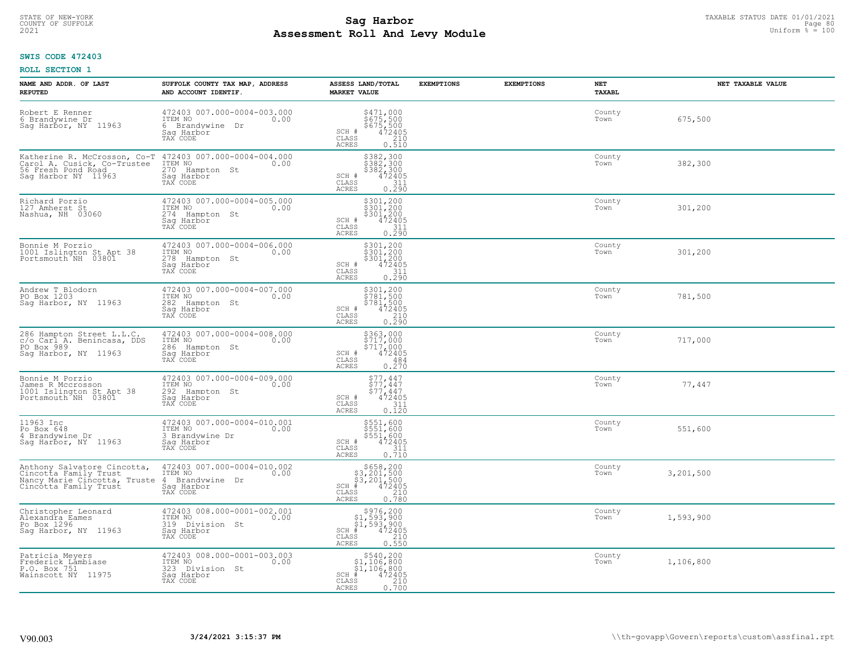# TAXABLE STATUS DATE 01/01/2021<br>COUNTY OF SUFFOLK Page 80 **Assessment Roll And Levy Module Example 2021** Uniform  $\frac{1}{8}$  = 100

### **SWIS CODE 472403**

| NAME AND ADDR. OF LAST<br><b>REPUTED</b>                                                                      | SUFFOLK COUNTY TAX MAP, ADDRESS<br>AND ACCOUNT IDENTIF.                                        | ASSESS LAND/TOTAL<br><b>MARKET VALUE</b>                                                                                                                                            | <b>EXEMPTIONS</b> | <b>EXEMPTIONS</b> | NET<br>TAXABL  | NET TAXABLE VALUE |
|---------------------------------------------------------------------------------------------------------------|------------------------------------------------------------------------------------------------|-------------------------------------------------------------------------------------------------------------------------------------------------------------------------------------|-------------------|-------------------|----------------|-------------------|
| Robert E Renner<br>6 Brandywine Dr<br>Sag Harbor, NY 11963                                                    | 472403 007.000-0004-003.000<br>ITEM NO<br>0.00<br>6 Brandvwine Dr<br>Saq Harbor<br>TAX CODE    | \$471,000<br>$\frac{5675}{675}$ , 500<br>\$675, 500<br>472405<br>$\frac{210}{675}$<br>SCH #<br>$\mathtt{CLASS}$<br>ACRES<br>0.510                                                   |                   |                   | County<br>Town | 675,500           |
| Katherine R. McCrosson, Co-T<br>Carol A. Cusick, Co-Trustee<br>56 Fresh Pond Road<br>Saq Harbor NY 11963      | 472403 007.000-0004-004.000<br>ITEM NO<br>0.00<br>270<br>Hampton St<br>Saq Harbor<br>TAX CODE  | \$382,300<br>\$382,300<br>\$382,300<br>\$472405<br>SCH #<br>CLASS<br>$\frac{311}{0.290}$<br>ACRES                                                                                   |                   |                   | County<br>Town | 382,300           |
| Richard Porzio<br>127 Amherst St<br>Nashua, NH 03060                                                          | 472403 007.000-0004-005.000<br>ITEM NO<br>0.00<br>274<br>Hampton St<br>Sag Harbor<br>TAX CODE  | \$301,200<br>\$301,200<br>\$301,200<br>472405<br>SCH #<br>311<br>CLASS<br>0.290<br>ACRES                                                                                            |                   |                   | County<br>Town | 301,200           |
| Bonnie M Porzio<br>1001 Islington St Apt 38<br>Portsmouth NH 03801                                            | 472403 007.000-0004-006.000<br>ITEM NO<br>0.00<br>278<br>Hampton St<br>Saq Harbor<br>TAX CODE  | $\begin{array}{r} 5301, 200 \\ 5301, 200 \\ 5301, 200 \\ 472405 \\ \underline{311} \\ 211 \end{array}$<br>SCH #<br>CLASS<br>0.290<br><b>ACRES</b>                                   |                   |                   | County<br>Town | 301,200           |
| Andrew T Blodorn<br>PO Box 1203<br>Sag Harbor, NY 11963                                                       | 472403 007.000-0004-007.000<br>ITEM NO<br>0.00<br>282<br>Hampton St<br>Saq Harbor<br>TAX CODE  | $\begin{array}{r} 5301, 200 \\ 5781, 500 \\ 5781, 500 \\ 472405 \\ 210 \\ 0.290 \end{array}$<br>SCH #<br>CLASS<br><b>ACRES</b>                                                      |                   |                   | County<br>Town | 781,500           |
| 286 Hampton Street L.L.C.<br>c/o Carl A. Benincasa, DDS<br>PO Box 989<br>Sag Harbor, NY 11963                 | 472403 007.000-0004-008.000<br>ITEM NO<br>0.00<br>286<br>Hampton St<br>Sag Harbor<br>TAX CODE  | \$363,000<br>\$717,000<br>\$717,000<br>472405<br>SCH #<br>CLASS<br>484<br><b>ACRES</b><br>0.270                                                                                     |                   |                   | County<br>Town | 717,000           |
| Bonnie M Porzio<br>James R Mccrosson<br>1001 Islington St Apt 38<br>Portsmouth NH 03801                       | 472403 007.000-0004-009.000<br>ITEM NO<br>0.00<br>292<br>Hampton St<br>Saq Harbor<br>TAX CODE  | $$77, 447$<br>$$77, 447$<br>$$77, 447$<br>$472405$<br>SCH #<br>CLASS<br>$\frac{311}{0.120}$<br>ACRES                                                                                |                   |                   | County<br>Town | 77,447            |
| 11963 Inc<br>Po Box 648<br>4 Brandywine Dr<br>Sag Harbor, NY 11963                                            | 472403 007.000-0004-010.001<br>TTEM NO 0.00<br>3 Brandywine Dr<br>Saq Harbor<br>TAX CODE       | \$551,600<br>\$551,600<br>\$551,600<br>472405<br>SCH #<br>CLASS<br>311<br>0.710<br><b>ACRES</b>                                                                                     |                   |                   | County<br>Town | 551,600           |
| Anthony Salvatore Cincotta,<br>Cincotta Family Trust<br>Nancy Marie Cincotta, Truste<br>Cincotta Family Trust | 472403 007.000-0004-010.002<br>ITEM NO<br>0.00<br>4 Brandywine Dr<br>Saq Harbor<br>TAX CODE    | $\begin{array}{r}  \  \  \, 5658,200\\  \  \, 3,201,500\\  \  \, 3,201,500\\  \  \  \, 472405\\ \  \  \, 85\\  \  \  \, 210\\  \  \  \, 0.780 \end{array}$<br>SCH<br>CLASS<br>ACRES |                   |                   | County<br>Town | 3,201,500         |
| Christopher Leonard<br>Alexandra Eames<br>Po Box 1296<br>Sag Harbor, NY 11963                                 | 472403 008.000-0001-002.001<br>ITEM NO<br>0.00<br>319<br>Division St<br>Saq Harbor<br>TAX CODE | $$976, 200$<br>$$1, 593, 900$<br>$$1, 593, 900$<br>$$472405$<br>$SCH$ #<br>210<br>CLASS<br>0.550<br>ACRES                                                                           |                   |                   | County<br>Town | 1,593,900         |
| Patricia Meyers<br>Frederick Lämbiase<br>P.O. Box 751<br>Wainscott NY 11975                                   | 472403 008.000-0001-003.003<br>ITEM NO<br>0.00<br>323<br>Division St<br>Sag Harbor<br>TAX CODE | \$540,200<br>\$1,106,800<br>\$1,106,800<br>472405<br>$SCH$ #<br>$\begin{array}{c} 210 \\ 0.700 \end{array}$<br>CLASS<br><b>ACRES</b>                                                |                   |                   | County<br>Town | 1,106,800         |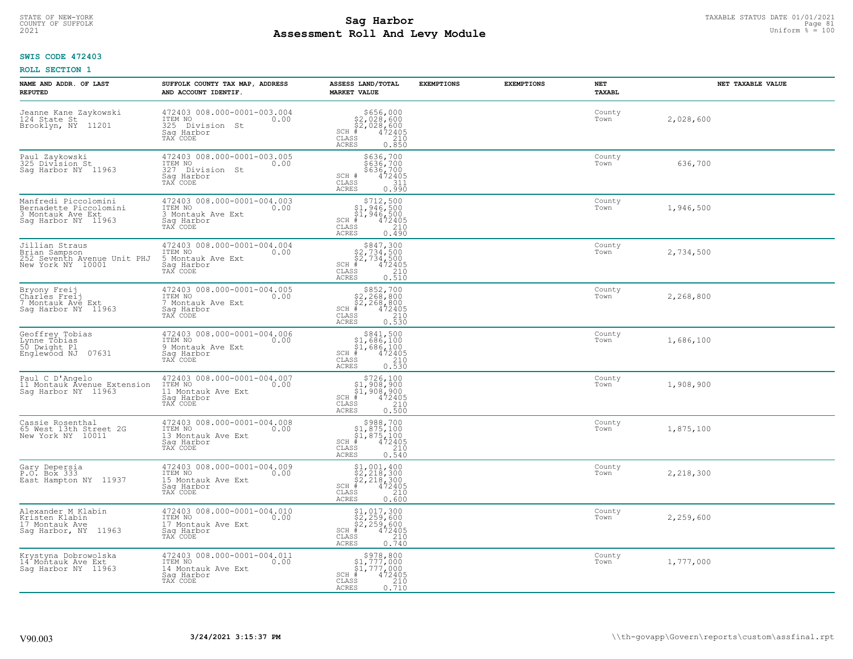#### **Sag Harbor** TAXABLE STATUS DATE 01/01/2021<br>
Poll and Louis Module **Assessment Roll And Levy Module Example 2021** Uniform  $\frac{1}{8}$  = 100 COUNTY OF SUFFOLK **Example 2018 COUNTY OF SUFFOLK** Page 81

# **SWIS CODE 472403**

| NAME AND ADDR. OF LAST<br><b>REPUTED</b>                                                   | SUFFOLK COUNTY TAX MAP, ADDRESS<br>AND ACCOUNT IDENTIF.                                        | ASSESS LAND/TOTAL<br><b>MARKET VALUE</b>                                                                                      | <b>EXEMPTIONS</b> | <b>EXEMPTIONS</b> | NET<br><b>TAXABL</b> | NET TAXABLE VALUE |
|--------------------------------------------------------------------------------------------|------------------------------------------------------------------------------------------------|-------------------------------------------------------------------------------------------------------------------------------|-------------------|-------------------|----------------------|-------------------|
| Jeanne Kane Zaykowski<br>124 State St<br>Brooklyn, NY<br>11201                             | 472403 008.000-0001-003.004<br>ITEM NO<br>0.00<br>325 Division St<br>Saq Harbor<br>TAX CODE    | $$656,000$<br>$$2,028,600$<br>$$2,028,600$<br>$472405$<br>$$210$<br>$SCH$ #<br>CLASS<br><b>ACRES</b><br>0.850                 |                   |                   | County<br>Town       | 2,028,600         |
| Paul Zaykowski<br>325 Division St<br>Saq Harbor NY 11963                                   | 472403 008.000-0001-003.005<br>ITEM NO<br>0.00<br>327 Division St<br>Saq Harbor<br>TAX CODE    | \$636,700<br>\$636,700<br>\$636,700<br>$SCH$ #<br>472405<br>CLASS<br>311<br>0.990<br>ACRES                                    |                   |                   | County<br>Town       | 636,700           |
| Manfredi Piccolomini<br>Bernadette Piccolomini<br>3 Montauk Ave Ext<br>Saq Harbor NY 11963 | 472403 008.000-0001-004.003<br>ITEM NO<br>0.00<br>3 Montauk Ave Ext<br>Saq Harbor<br>TAX CODE  | $$712,500$<br>$$1,946,500$<br>$$1,946,500$<br>$$472405$<br>$SCH$ #<br>CLASS<br>210<br><b>ACRES</b><br>0.490                   |                   |                   | County<br>Town       | 1,946,500         |
| Jillian Straus<br>Brian Sampson<br>252 Seventh Avenue Unit PHJ<br>New York NY 10001        | 472403 008.000-0001-004.004<br>ITEM NO<br>0.00<br>5 Montauk Ave Ext<br>Saq Harbor<br>TAX CODE  | $$847,300$<br>$$2,734,500$<br>$$2,734,500$<br>$*$<br>$472405$<br>$SCH$ #<br>CLASS<br>210<br><b>ACRES</b><br>0.510             |                   |                   | County<br>Town       | 2,734,500         |
| Bryony Freij<br>Charles Freij<br>7 Montauk Ave Ext<br>Saq Harbor NY 11963                  | 472403 008.000-0001-004.005<br>ITEM NO<br>0.00<br>7 Montauk Ave Ext<br>Saq Harbor<br>TAX CODE  | $$852,700$<br>$$2,268,800$<br>$$2,268,800$<br>$472405$<br>$$210$<br>$SCH$ #<br>CLASS<br><b>ACRES</b><br>0.530                 |                   |                   | County<br>Town       | 2,268,800         |
| Geoffrey Tobias<br>Lynne Tobias<br>50 Dwight Pl<br>Englewood NJ<br>07631                   | 472403 008.000-0001-004.006<br>ITEM NO<br>0.00<br>9 Montauk Ave Ext<br>Sag Harbor<br>TAX CODE  | $$841,500$<br>$$1,686,100$<br>$$1,686,100$<br>$*1,686,100$<br>$*1,472405$<br>$SCH$ #<br>CLASS<br>210<br>0.530<br><b>ACRES</b> |                   |                   | County<br>Town       | 1,686,100         |
| Paul C D'Angelo<br>11 Montauk Avenue Extension<br>Saq Harbor NY 11963                      | 472403 008.000-0001-004.007<br>ITEM NO<br>0.00<br>11 Montauk Ave Ext<br>Saq Harbor<br>TAX CODE | $$726,100$<br>$$1,908,900$<br>$$1,908,900$<br>$*1$<br>$472405$<br>$SCH$ #<br>CLASS<br>210<br>0.500<br><b>ACRES</b>            |                   |                   | County<br>Town       | 1,908,900         |
| Cassie Rosenthal<br>65 West 13th Street 2G<br>New York NY 10011                            | 472403 008.000-0001-004.008<br>TTEM NO 0.00<br>13 Montauk Ave Ext<br>Saq Harbor<br>TAX CODE    | $$988,700$<br>$$1,875,100$<br>$$1,875,100$<br>$*$<br>$472405$<br>SCH<br>$\mathtt{CLASS}$<br>210<br>ACRES<br>0.540             |                   |                   | County<br>Town       | 1,875,100         |
| Gary Depersia<br>P.O. Box 333<br>East Hampton NY 11937                                     | 472403 008.000-0001-004.009<br>ITEM NO 0.00<br>15 Montauk Ave Ext<br>Saq Harbor<br>TAX CODE    | $$2, 218, 300$<br>$$2, 218, 300$<br>$$2, 218, 300$<br>$*$ 472405<br>$SCH$ #<br>CLASS<br>210<br><b>ACRES</b><br>0.600          |                   |                   | County<br>Town       | 2,218,300         |
| Alexander M Klabin<br>Kristen Klabin<br>17 Montauk Ave<br>Sag Harbor, NY 11963             | 472403 008.000-0001-004.010<br>ITEM NO<br>0.00<br>17 Montauk Ave Ext<br>Saq Harbor<br>TAX CODE | \$1,017,300<br>\$2,259,600<br>\$2,259,600<br>#472405<br>$SCH$ #<br>CLASS<br>$\frac{210}{0.740}$<br><b>ACRES</b>               |                   |                   | County<br>Town       | 2,259,600         |
| Krystyna Dobrowolska<br>14 Montauk Ave Ext<br>Sag Harbor NY 11963                          | 472403 008.000-0001-004.011<br>ITEM NO<br>0.00<br>14 Montauk Ave Ext<br>Saq Harbor<br>TAX CODE | $\begin{array}{c} $978,800\n$1,777,000\n$1,777,000\n#242405 \end{array}$<br>SCH #<br>CLASS<br>210<br>0.710<br><b>ACRES</b>    |                   |                   | County<br>Town       | 1,777,000         |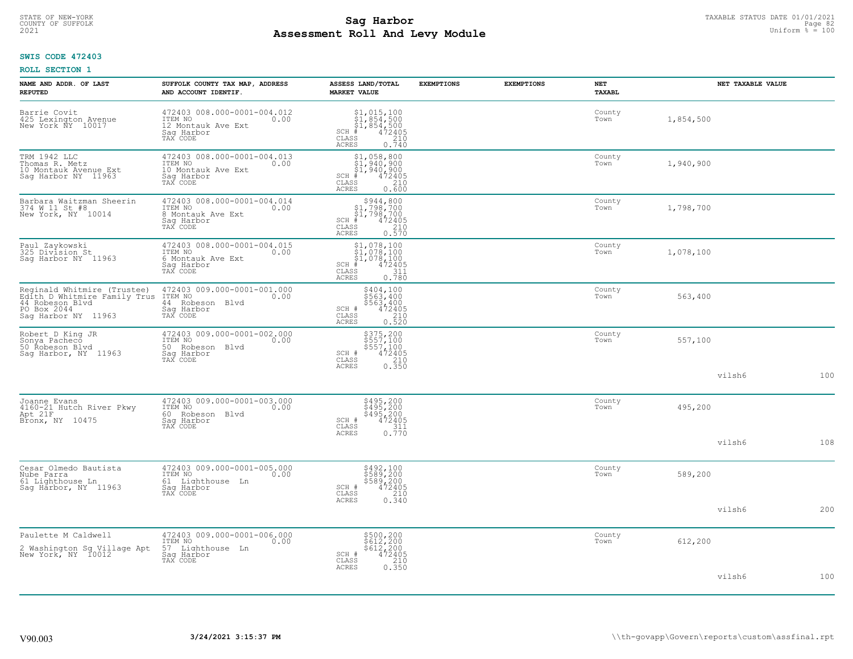# TAXABLE STATUS DATE 01/01/2021<br>COUNTY OF SUFFOLK Page 82 **Assessment Roll And Levy Module Example 2021** Uniform  $\frac{1}{8}$  = 100

# **SWIS CODE 472403**

| NAME AND ADDR. OF LAST<br><b>REPUTED</b>                                                                             | SUFFOLK COUNTY TAX MAP, ADDRESS<br>AND ACCOUNT IDENTIF.                                        | ASSESS LAND/TOTAL<br><b>MARKET VALUE</b>                                                                                  | <b>EXEMPTIONS</b> | <b>EXEMPTIONS</b> | NET<br><b>TAXABL</b> |           | NET TAXABLE VALUE |     |
|----------------------------------------------------------------------------------------------------------------------|------------------------------------------------------------------------------------------------|---------------------------------------------------------------------------------------------------------------------------|-------------------|-------------------|----------------------|-----------|-------------------|-----|
| Barrie Covit<br>425 Lexington Avenue<br>New York NY 10017                                                            | 472403 008.000-0001-004.012<br>ITEM NO<br>0.00<br>12 Montauk Ave Ext<br>Saq Harbor<br>TAX CODE | \$1,015,100<br>\$1,854,500<br>\$1,854,500<br>SCH<br>$\frac{472405}{210}$<br>CLASS<br>0.740<br>ACRES                       |                   |                   | County<br>Town       | 1,854,500 |                   |     |
| TRM 1942 LLC<br>Thomas R. Metz<br>10 Montauk Avenue Ext<br>Saq Harbor NY 11963                                       | 472403 008.000-0001-004.013<br>ITEM NO<br>0.00<br>10 Montauk Ave Ext<br>Sag Harbor<br>TAX CODE | $$1,940,900$<br>$$1,940,900$<br>$$1,940,900$<br>$*1,940,900$<br>$*1,940,900$<br>$SCH$ #<br>CLASS<br>210<br>0.600<br>ACRES |                   |                   | County<br>Town       | 1,940,900 |                   |     |
| Barbara Waitzman Sheerin<br>374 W 11 St #8<br>New York, NY 10014                                                     | 472403 008.000-0001-004.014<br>ITEM NO<br>0.00<br>8 Montauk Ave Ext<br>Sag Harbor<br>TAX CODE  | $$944,800$<br>$$1,798,700$<br>$$1,798,700$<br>$472405$<br>$$210$<br>SCH #<br>CLASS<br><b>ACRES</b><br>0.570               |                   |                   | County<br>Town       | 1,798,700 |                   |     |
| Paul Zaykowski<br>325 Division St<br>Sag Harbor NY 11963                                                             | 472403 008.000-0001-004.015<br>ITEM NO<br>0.00<br>6 Montauk Ave Ext<br>Saq Harbor<br>TAX CODE  | $$1,078,100$<br>$$1,078,100$<br>$$1,078,100$<br>$*$ 472405<br>SCH #<br>CLASS<br>$\frac{311}{0.780}$<br><b>ACRES</b>       |                   |                   | County<br>Town       | 1,078,100 |                   |     |
| Reginald Whitmire (Trustee)<br>Edith D Whitmire Family Trus<br>44 Robeson Blvd<br>PO Box 2044<br>Sag Harbor NY 11963 | 472403 009.000-0001-001.000<br>ITEM NO<br>0.00<br>44 Robeson Blvd<br>Saq Harbor<br>TAX CODE    | \$404,100<br>\$563,400<br>\$563,400<br>472405<br>SCH #<br>CLASS<br>0.520<br><b>ACRES</b>                                  |                   |                   | County<br>Town       | 563,400   |                   |     |
| Robert D King JR<br>Sonya Pacheco<br>50 Robeson Blvd<br>Sag Harbor, NY 11963                                         | 472403 009.000-0001-002.000<br>ITEM NO<br>0.00<br>50 Robeson Blvd<br>Sag Harbor<br>TAX CODE    | \$375,200<br>\$557,100<br>\$557,100<br>472405<br>SCH #<br>CLASS<br>$\frac{210}{0.350}$<br><b>ACRES</b>                    |                   |                   | County<br>Town       | 557,100   |                   |     |
|                                                                                                                      |                                                                                                |                                                                                                                           |                   |                   |                      |           | vilsh6            | 100 |
| Joanne Evans<br>4160-21 Hutch River Pkwy<br>Apt 21F<br>Bronx, NY 10475                                               | 472403 009.000-0001-003.000<br>ITEM NO<br>0.00<br>60<br>Robeson Blvd<br>Saq Harbor<br>TAX CODE | \$495,200<br>\$495,200<br>\$495,200<br>472405<br>SCH #<br>$\frac{311}{0.770}$<br>CLASS                                    |                   |                   | County<br>Town       | 495,200   |                   |     |
|                                                                                                                      |                                                                                                | <b>ACRES</b>                                                                                                              |                   |                   |                      |           | vilsh6            | 108 |
| Cesar Olmedo Bautista<br>Nube Parra<br>61 Lighthouse Ln<br>Saq Harbor, NY 11963                                      | 472403 009.000-0001-005.000<br>ITEM NO<br>0.00<br>61 Lighthouse Ln<br>Saq Harbor<br>TAX CODE   | \$492,100<br>\$589,200<br>\$589,200<br>$\frac{47\overline{2}\overline{405}}{210}$<br>SCH #<br>CLASS                       |                   |                   | County<br>Town       | 589,200   |                   |     |
|                                                                                                                      |                                                                                                | 0.340<br>ACRES                                                                                                            |                   |                   |                      |           | vilsh6            | 200 |
| Paulette M Caldwell<br>2 Washington Sq Village Apt<br>New York, NY 10012                                             | 472403 009.000-0001-006.000<br>ITEM NO<br>0.00<br>57 Lighthouse Ln<br>Sag Harbor<br>TAX CODE   | \$500,200<br>\$612,200<br>\$612,200<br>472405<br>SCH #<br>CLASS<br>0.350                                                  |                   |                   | County<br>Town       | 612,200   |                   |     |
|                                                                                                                      |                                                                                                | ACRES                                                                                                                     |                   |                   |                      |           | vilsh6            | 100 |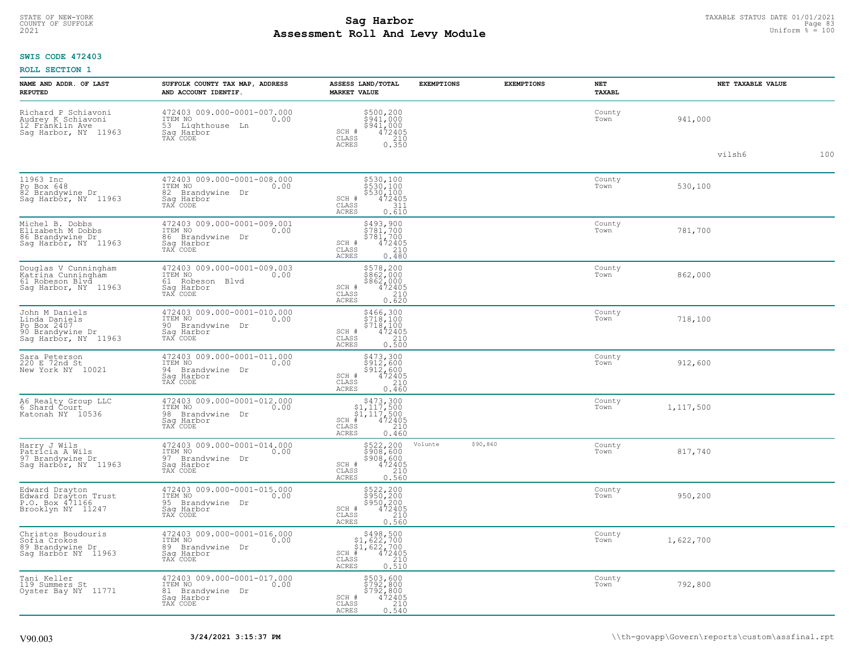# TAXABLE STATUS DATE 01/01/2021<br>COUNTY OF SUFFOLK Page 83 **Assessment Roll And Levy Module Example 2021** Uniform  $\frac{1}{8}$  = 100

### **SWIS CODE 472403**

| NAME AND ADDR. OF LAST<br><b>REPUTED</b>                                                   | SUFFOLK COUNTY TAX MAP, ADDRESS<br>AND ACCOUNT IDENTIF.                                                    | ASSESS LAND/TOTAL<br><b>MARKET VALUE</b>                                                                                                    | <b>EXEMPTIONS</b> | <b>EXEMPTIONS</b> | NET<br><b>TAXABL</b> | NET TAXABLE VALUE |     |
|--------------------------------------------------------------------------------------------|------------------------------------------------------------------------------------------------------------|---------------------------------------------------------------------------------------------------------------------------------------------|-------------------|-------------------|----------------------|-------------------|-----|
| Richard P Schiavoni<br>Audrey K Schiavoni<br>12 Franklin Ave<br>Saq Harbor, NY 11963       | 472403 009.000-0001-007.000<br>10.00 0.00<br>0.00<br>53 Lighthouse Ln<br>Sag Harbor<br>TAX CODE            | \$500,200<br>\$941,000<br>\$941,000<br>SCH #<br>472405<br>CLASS<br>$\begin{array}{c} 210 \\ 0.350 \end{array}$<br><b>ACRES</b>              |                   |                   | County<br>Town       | 941,000           |     |
|                                                                                            |                                                                                                            |                                                                                                                                             |                   |                   |                      | vilsh6            | 100 |
| 11963 Inc<br>Po Box 648<br>82 Brandywine Dr<br>Sag Harbor, NY <sup>-11963</sup>            | 472403 009.000-0001-008.000<br>ITEM NO<br>0.00<br>82<br>Brandywine Dr<br>Saq Harbor<br>TAX CODE            | \$530,100<br>\$530,100<br>\$530,100<br>472405<br>SCH #<br>CLASS<br>311<br><b>ACRES</b><br>0.610                                             |                   |                   | County<br>Town       | 530,100           |     |
| Michel B. Dobbs<br>Elizabeth M Dobbs<br>86 Brandywine Dr<br>Sag Harbor, NY 11963           | 472403 009.000-0001-009.001<br>ITEM NO<br>0.00<br>86<br>Brandywine<br>Dr<br>Harbor<br>Sag Hark<br>TAX CODE | \$493,900<br>\$781,700<br>\$781,700<br>$\frac{472405}{210}$<br>SCH #<br>CLASS<br><b>ACRES</b><br>0.480                                      |                   |                   | County<br>Town       | 781,700           |     |
| Douglas V Cunningham<br>Katrina Cunningham<br>61 Robeson Blvd<br>Sag Harbor, NY 11963      | 472403 009.000-0001-009.003<br>ITEM NO<br>0.00<br>61 Robeson Blvd<br>Saq Harbor<br>TAX CODE                | \$578,200<br>\$862,000<br>\$862,000<br>472405<br>SCH #<br>210<br>CLASS<br>0.620<br><b>ACRES</b>                                             |                   |                   | County<br>Town       | 862,000           |     |
| John M Daniels<br>Linda Daniels<br>Po Box 2407<br>90 Brandywine Dr<br>Sag Harbor, NY 11963 | 472403 009.000-0001-010.000<br>ITEM NO<br>0.00<br>90 Brandvwine Dr<br>Saq Harbor<br>TAX CODE               | \$466,300<br>\$718,100<br>\$718,100<br>SCH #<br>472405<br>CLASS<br>210<br><b>ACRES</b><br>0.500                                             |                   |                   | County<br>Town       | 718,100           |     |
| Sara Peterson<br>220 E 72nd St<br>New York NY 10021                                        | 472403 009.000-0001-011.000<br>ITEM NO<br>0.00<br>94<br>Brandywine Dr<br>Sag Harbor<br>TAX CODE            | \$473,300<br>\$912,600<br>\$912,600<br>472405<br>SCH #<br>CLASS<br>210<br>ACRES<br>0.460                                                    |                   |                   | County<br>Town       | 912,600           |     |
| A6 Realty Group LLC<br>6 Shard Court<br>Katonah NY 10536                                   | 472403 009.000-0001-012.000<br>ITEM NO<br>0.00<br>98<br>Brandywine Dr<br>Saq Harbor<br>TAX CODE            | $$473,300$<br>$$1,117,500$<br>$$1,117,500$<br>$472405$<br>$$240$<br>SCH #<br>CLASS<br>0.460<br><b>ACRES</b>                                 |                   |                   | County<br>Town       | 1,117,500         |     |
| Harry J Wils<br>Patricia A Wils<br>97 Brandywine Dr<br>Sag Harbor, NY 11963                | 472403 009.000-0001-014.000<br>ITEM NO<br>0.00<br>97<br>Brandvwine<br>Dr<br>Sag Harbor<br>TAX CODE         | \$522,200<br>\$908,600<br>\$908,600<br>\$472405<br>\$210<br>SCH #<br>CLASS<br>0.560<br><b>ACRES</b>                                         | Volunte           | \$90,860          | County<br>Town       | 817,740           |     |
| Edward Drayton<br>Edward Drayton Trust<br>P.O. Box 471166<br>Brooklyn NY 11247             | 472403 009.000-0001-015.000<br>ITEM NO 0.00<br>0.00<br>95 Brandywine Dr<br>Saq Harbor<br>TAX CODE          | \$522,200<br>\$950,200<br>\$950,200<br>\$950,200<br>\$472405<br>0.560<br>SCH #<br>$\mathtt{CLASS}$<br><b>ACRES</b>                          |                   |                   | County<br>Town       | 950,200           |     |
| Christos Boudouris<br>Sofia Crokos<br>89 Brandywine Dr<br>Sag Harbor NY 11963              | 472403 009.000-0001-016.000<br>0.00 0.00<br>0.00<br>89 Brandvwine Dr<br>Saq Harbor<br>TAX CODE             | $$498,500$<br>$$1,622,700$<br>$$1,622,700$<br>$*$ 472405<br>$SCH$ #<br>CLASS<br>$\begin{array}{c} 210 \\ 0.510 \end{array}$<br><b>ACRES</b> |                   |                   | County<br>Town       | 1,622,700         |     |
| Tani Keller<br>119 Summers St<br>Oyster Bay NY 11771                                       | 472403 009.000-0001-017.000<br>ITEM NO<br>0.00<br>81<br>Brandywine Dr<br>Saq Harbor<br>TAX CODE            | \$503,600<br>\$792,800<br>\$792,800<br>\$792,800<br>SCH #<br>CLASS<br>210<br>0.540<br>ACRES                                                 |                   |                   | County<br>Town       | 792,800           |     |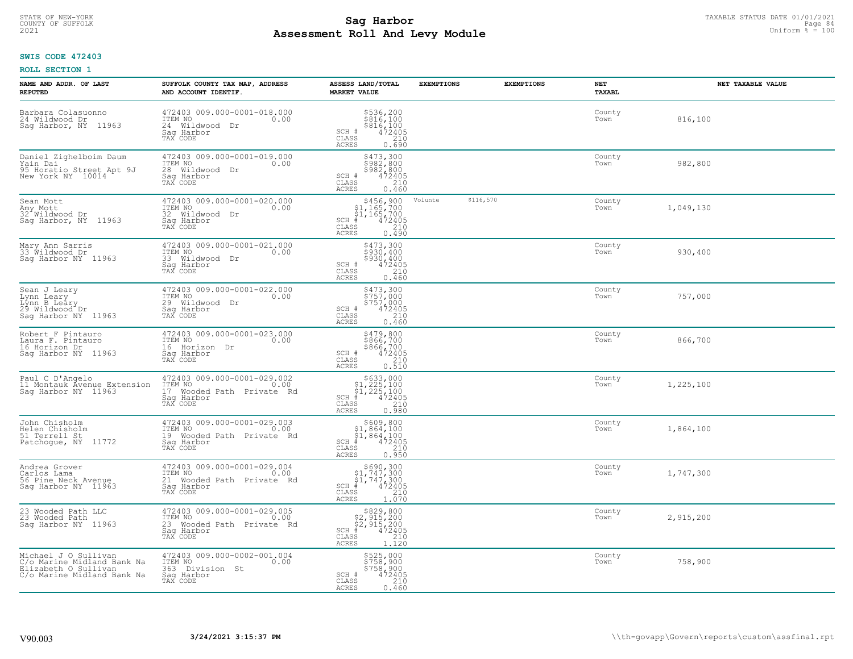# TAXABLE STATUS DATE 01/01/2021<br>COUNTY OF SUFFOLK Page 84 **Assessment Roll And Levy Module Example 2021** Uniform  $\frac{1}{8}$  = 100

# **SWIS CODE 472403**

| NAME AND ADDR. OF LAST<br><b>REPUTED</b>                                                                 | SUFFOLK COUNTY TAX MAP, ADDRESS<br>AND ACCOUNT IDENTIF.                                               | ASSESS LAND/TOTAL<br><b>MARKET VALUE</b>                                                                                                                            | <b>EXEMPTIONS</b>    | <b>EXEMPTIONS</b> | NET<br>TAXABL  | NET TAXABLE VALUE |
|----------------------------------------------------------------------------------------------------------|-------------------------------------------------------------------------------------------------------|---------------------------------------------------------------------------------------------------------------------------------------------------------------------|----------------------|-------------------|----------------|-------------------|
| Barbara Colasuonno<br>24 Wildwood Dr<br>Sag Harbor, NY<br>11963                                          | 472403 009.000-0001-018.000<br>ITEM NO<br>0.00<br>24 Wildwood<br>Dr<br>Saq Harbor<br>TAX CODE         | $5536, 200$<br>$5816, 100$<br>$5816, 100$<br>$472405$<br>$210$<br>SCH #<br>CLASS<br>ACRES<br>0.690                                                                  |                      |                   | County<br>Town | 816,100           |
| Daniel Zighelboim Daum<br>Yain Dai<br>95 Horatio Street Apt 9J<br>New York NY 10014                      | 472403 009.000-0001-019.000<br>ITEM NO<br>0.00<br>28 Wildwood Dr<br>Saq Harbor<br>TAX CODE            | \$473,300<br>\$982,800<br>\$982,800<br>SCH #<br>472405<br>CLASS<br>210<br><b>ACRES</b><br>0.460                                                                     |                      |                   | County<br>Town | 982,800           |
| Sean Mott<br>Amy Mott<br>32 Wildwood Dr<br>Sag Harbor, NY 11963                                          | 472403 009.000-0001-020.000<br>ITEM NO<br>0.00<br>32 Wildwood Dr<br>Saq Harbor<br>TAX CODE            | $$456,900$<br>$$1,165,700$<br>$$1,165,700$<br>$SCH$ #<br>$\frac{472405}{210}$<br>CLASS<br>0.490<br>ACRES                                                            | \$116,570<br>Volunte |                   | County<br>Town | 1,049,130         |
| Mary Ann Sarris<br>33 Wildwood Dr<br>Saq Harbor NY 11963                                                 | 472403 009.000-0001-021.000<br>ITEM NO<br>0.00<br>33 Wildwood Dr<br>Sag Harbor<br>TAX CODE            | \$473,300<br>\$930,400<br>\$930,400<br>SCH #<br>472405<br>CLASS<br>210<br>ACRES<br>0.460                                                                            |                      |                   | County<br>Town | 930,400           |
| Sean J Leary<br>Lynn Leary<br>Lýnn B Leáry<br>29 Wildwood Dr<br>Sag Harbor NY 11963                      | 472403 009.000-0001-022.000<br>ITEM NO<br>0.00<br>29 Wildwood Dr<br>Saq Harbor<br>TAX CODE            | \$473,300<br>\$757,000<br>$\begin{array}{r} 5757,000 \\ 472405 \\ 210 \end{array}$<br>SCH #<br>$\mathtt{CLASS}$<br><b>ACRES</b><br>0.460                            |                      |                   | County<br>Town | 757,000           |
| Robert F Pintauro<br>Laura F. Pintauro<br>16 Horizon Dr<br>Sag Harbor NY 11963                           | 472403 009.000-0001-023.000<br>ITEM NO<br>0.00<br>16 Horizon Dr<br>Saq Harbor<br>TAX CODE             | \$479,800<br>\$866,700<br>\$866,700<br>\$866,700<br>SCH #<br>$\begin{array}{c} 210 \\ 0.510 \end{array}$<br>CLASS<br><b>ACRES</b>                                   |                      |                   | County<br>Town | 866,700           |
| Paul C D'Angelo<br>11 Montauk Ávenue Extension<br>Sag Harbor NY 11963                                    | 472403 009.000-0001-029.002<br>ITEM NO 0.00<br>17 Wooded Path Private Rd<br>Saq Harbor<br>TAX CODE    | $\begin{array}{r}  \  \  \, 5633,000 \\  \  \, 51,225,100 \\  \  \, 51,225,100 \\  \  \, 472405 \\ \end{array}$<br>$SCH$ #<br>210<br>CLASS<br><b>ACRES</b><br>0.980 |                      |                   | County<br>Town | 1,225,100         |
| John Chisholm<br>Helen Chisholm<br>51 Terrell St<br>Patchogue, NY 11772                                  | 472403 009.000-0001-029.003<br>ITEM NO 0.00<br>19 Wooded Path Private Rd<br>Saq Harbor<br>TAX CODE    | $$609, 800$<br>$$1, 864, 100$<br>$$1, 864, 100$<br>$$472405$<br>$SCH$ #<br>CLASS<br>210<br><b>ACRES</b><br>0.950                                                    |                      |                   | County<br>Town | 1,864,100         |
| Andrea Grover<br>Carlos Lama<br>56 Pine Neck Avenue<br>Saq Harbor NY 11963                               | 472403 009.000-0001-029.004<br>ITEM NO 0.00<br>21 Wooded Path Private Rd<br>Saq Harbor<br>TAX CODE    | $$690, 300$<br>$$1, 747, 300$<br>$$1, 747, 300$<br>$*$ $472405$<br>SCH #<br>CLASS<br>210<br>1.070<br>ACRES                                                          |                      |                   | County<br>Town | 1,747,300         |
| 23 Wooded Path LLC<br>23 Wooded Path<br>Sag Harbor NY 11963                                              | 472403 009.000-0001-029.005<br>ITEM NO<br>0.00<br>23 Wooded Path Private Rd<br>Sag Harbor<br>TAX CODE | $$829,800$<br>$$2,915,200$<br>$$2,915,200$<br>$*$<br>$472405$<br>$*$<br>$SCH$ #<br>$\mathtt{CLASS}$<br>210<br><b>ACRES</b><br>1,120                                 |                      |                   | County<br>Town | 2,915,200         |
| Michael J O Sullivan<br>C/o Marine Midland Bank Na<br>Elizabeth O Sullivan<br>C/o Marine Midland Bank Na | 472403 009.000-0002-001.004<br>ITEM NO<br>0.00<br>363 Division St<br>Sag Harbor<br>TAX CODE           | \$525,000<br>\$758,900<br>\$758,900<br>SCH #<br>472405<br>CLASS<br>210<br><b>ACRES</b><br>0.460                                                                     |                      |                   | County<br>Town | 758,900           |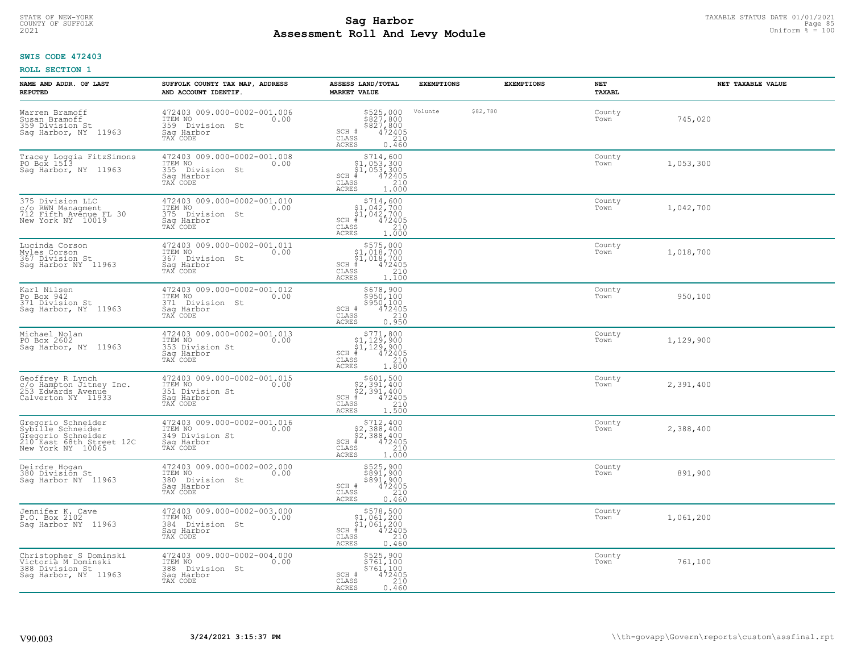# TAXABLE STATUS DATE 01/01/2021<br>COUNTY OF SUFFOLK Page 85 **Assessment Roll And Levy Module Example 2021** Uniform  $\frac{1}{8}$  = 100

### **SWIS CODE 472403**

| NAME AND ADDR. OF LAST<br><b>REPUTED</b>                                                                       | SUFFOLK COUNTY TAX MAP, ADDRESS<br>AND ACCOUNT IDENTIF.                                        | ASSESS LAND/TOTAL<br><b>MARKET VALUE</b>                                                                                                                                                                                                                                                                                                                           | <b>EXEMPTIONS</b> |          | <b>EXEMPTIONS</b> | NET<br>TAXABL  | NET TAXABLE VALUE |  |
|----------------------------------------------------------------------------------------------------------------|------------------------------------------------------------------------------------------------|--------------------------------------------------------------------------------------------------------------------------------------------------------------------------------------------------------------------------------------------------------------------------------------------------------------------------------------------------------------------|-------------------|----------|-------------------|----------------|-------------------|--|
| Warren Bramoff<br>Susan Bramoff<br>359 Division St<br>Sag Harbor, NY 11963                                     | 472403 009.000-0002-001.006<br>ITEM NO<br>0.00<br>359 Division St<br>Saq Harbor<br>TAX CODE    | \$525,000<br>\$827,800<br>\$827,800<br>472405<br>SCH #<br>CLASS<br>210<br>ACRES<br>0.460                                                                                                                                                                                                                                                                           | Volunte           | \$82,780 |                   | County<br>Town | 745,020           |  |
| Tracey Loggia FitzSimons<br>PO Box 1513<br>Saq Harbor, NY 11963                                                | 472403 009.000-0002-001.008<br>ITEM NO<br>0.00<br>355 Division St<br>Sag Harbor<br>TAX CODE    | $\begin{array}{r} \texttt{\$714$, 600} \\ \texttt{\$1$, 053, 300} \\ \texttt{\$1$, 053, 300} \\ \texttt{\$1$, 053, 300} \\ \texttt{\$1$} \\ \texttt{\$1$} \\ \texttt{\$1$} \\ \texttt{\$1$} \\ \texttt{\$1$} \\ \texttt{\$2405} \\ \texttt{\$1$} \\ \texttt{\$20} \\ \texttt{\$1$} \end{array}$<br>SCH #<br>CLASS<br>ACRES                                         |                   |          |                   | County<br>Town | 1,053,300         |  |
| 375 Division LLC<br>c/o RWN Managment<br>712 Fifth Avenue FL 30<br>New York NY 10019                           | 472403 009.000-0002-001.010<br>ITEM NO<br>0.00<br>375<br>Division St<br>Sag Harbor<br>TAX CODE | \$714,600<br>SCH #<br>CLASS<br>ACRES                                                                                                                                                                                                                                                                                                                               |                   |          |                   | County<br>Town | 1,042,700         |  |
| Lucinda Corson<br>Myles Corson<br>367 Division St<br>Saq Harbor NY 11963                                       | 472403 009.000-0002-001.011<br>ITEM NO<br>0.00<br>367 Division St<br>Sag Harbor<br>TAX CODE    | $\begin{array}{r}  \  \  \, 5575,000 \\  \  \, 51,018,700 \\  \  \, 51,018,700 \\  \  \  \, 472405 \\  \  \, 55 \\  \  \  \, 210 \\  \  \, 55 \\  \  \  \, 1.100 \end{array}$<br>$SCH$ #<br>$\mathtt{CLASS}$<br>ACRES                                                                                                                                              |                   |          |                   | County<br>Town | 1,018,700         |  |
| Karl Nilsen<br>Po Box 942<br>371 Division St<br>Sag Harbor, NY 11963                                           | 472403 009.000-0002-001.012<br>ITEM NO<br>0.00<br>371<br>Division St<br>Saq Harbor<br>TAX CODE | \$678,900<br>$\frac{5950,100}{3950,100}$<br>SCH #<br>CLASS<br>$\begin{array}{c} 210 \\ 0.950 \end{array}$<br><b>ACRES</b>                                                                                                                                                                                                                                          |                   |          |                   | County<br>Town | 950,100           |  |
| Michael Nolan<br>PO Box 2602<br>Sag Harbor, NY 11963                                                           | 472403 009.000-0002-001.013<br>ITEM NO<br>0.00<br>353 Division St<br>Saq Harbor<br>TAX CODE    | $\begin{array}{r}  \  \  \, 5771, 800 \\  \  \, 51, 129, 900 \\  \  \, 51, 129, 900 \\  \  \  \, 472405 \\  \  \, 85 \\  \  \  \, 210 \\  \  \, 240 \\  \  \, 0 \\  \  \, 0 \\  \  \, 0 \\  \  \, 0 \\  \  \, 0 \\  \  \, 0 \\  \  \, 0 \\  \  \, 0 \\  \  \, 0 \\  \  \, 0 \\  \  \, 0 \\  \  \, 0 \\  \  \, 0 \\  \  \, 0$<br>$SCH$ #<br>CLASS<br>ACRES<br>1,800 |                   |          |                   | County<br>Town | 1,129,900         |  |
| Geoffrey R Lynch<br>c/o Hampton Jitney Inc.<br>253 Edwards Avenue<br>Calverton NY 11933                        | 472403 009.000-0002-001.015<br>ITEM NO<br>0.00<br>351 Division St<br>Saq Harbor<br>TAX CODE    | $$601,500$<br>$$2,391,400$<br>$$2,391,400$<br>$$472405$<br>$SCH$ #<br>$\frac{210}{1.500}$<br>CLASS<br><b>ACRES</b>                                                                                                                                                                                                                                                 |                   |          |                   | County<br>Town | 2,391,400         |  |
| Gregorio Schneider<br>Sybille Schneider<br>Gregorio Schneider<br>210 East 68th Street 12C<br>New York NY 10065 | 472403 009.000-0002-001.016<br>ITEM NO<br>0.00<br>349 Division St<br>Saq Harbor<br>TAX CODE    | $\begin{array}{r} \text{\small $>$712$, 400} \\ \text{\small $>$2$, 388$, 400} \\ \text{\small $>$2$, 388, 400} \\ \text{\small $>$472405} \\ \text{\small $>$8$} \\ \text{\small $210} \\ \text{\small $25$} \\ \text{\small $210} \\ \text{\small $210} \\ \text{\small $210} \\ \end{array}$<br>SCH<br>CLASS<br>ACRES                                           |                   |          |                   | County<br>Town | 2,388,400         |  |
| Deirdre Hogan<br>380 Division St<br>Saq Harbor NY 11963                                                        | 472403 009.000-0002-002.000<br>TTEM NO 0.00<br>380 Division St<br>Saq Harbor<br>TAX CODE       | \$525,900<br>\$891,900<br>\$891,900<br>472405<br>SCH #<br>CLASS<br>210<br><b>ACRES</b><br>0.460                                                                                                                                                                                                                                                                    |                   |          |                   | County<br>Town | 891,900           |  |
| Jennifer K. Cave<br>P.O. Box 2102<br>Sag Harbor NY 11963                                                       | 472403 009.000-0002-003.000<br>ITEM NO<br>0.00<br>384 Division St<br>Saq Harbor<br>TAX CODE    | $$578,500$<br>$$1,061,200$<br>$$1,061,200$<br>$$472405$<br>SCH<br>210<br>CLASS<br>ACRES<br>0.460                                                                                                                                                                                                                                                                   |                   |          |                   | County<br>Town | 1,061,200         |  |
| Christopher S Dominski<br>Victoria M Dominski<br>388 Division St<br>Saq Harbor, NY 11963                       | 472403 009.000-0002-004.000<br>ITEM NO<br>0.00<br>388 Division St<br>Sag Harbor<br>TAX CODE    | \$525,900<br>\$761,100<br>\$761,100<br>SCH #<br>472405<br>210<br>CLASS<br><b>ACRES</b><br>0.460                                                                                                                                                                                                                                                                    |                   |          |                   | County<br>Town | 761,100           |  |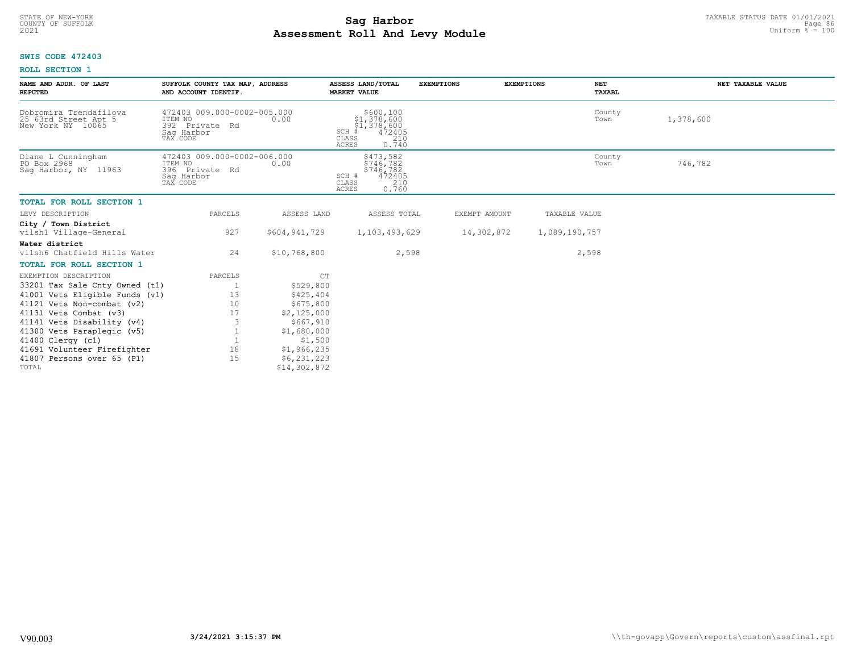# TAXABLE STATUS DATE 01/01/2021<br>COUNTY OF SUFFOLK Page 86 **Assessment Roll And Levy Module Example 2021** Uniform  $\frac{1}{8}$  = 100

# **SWIS CODE 472403**

| NAME AND ADDR. OF LAST<br><b>REPUTED</b>                            | SUFFOLK COUNTY TAX MAP, ADDRESS<br>AND ACCOUNT IDENTIF.                            |                        | ASSESS LAND/TOTAL<br><b>MARKET VALUE</b>                                                   | <b>EXEMPTIONS</b> | <b>EXEMPTIONS</b><br><b>NET</b><br>TAXABL | NET TAXABLE VALUE |
|---------------------------------------------------------------------|------------------------------------------------------------------------------------|------------------------|--------------------------------------------------------------------------------------------|-------------------|-------------------------------------------|-------------------|
| Dobromira Trendafilova<br>25 63rd Street Apt 5<br>New York NY 10065 | 472403 009.000-0002-005.000<br>ITEM NO<br>392 Private Rd<br>Saq Harbor<br>TAX CODE | 0.00                   | \$600,100<br>\$1,378,600<br>\$1,378,600<br>SCH<br>472405<br>CLASS<br>210<br>ACRES<br>0.740 |                   | County<br>Town                            | 1,378,600         |
| Diane L Cunningham<br>PO Box 2968<br>Saq Harbor, NY 11963           | 472403 009.000-0002-006.000<br>ITEM NO<br>396 Private Rd<br>Sag Harbor<br>TAX CODE | 0.00                   | \$473,582<br>\$746,782<br>\$746,782<br>472405<br>SCH #<br>CLASS<br>210<br>0.760<br>ACRES   |                   | County<br>Town                            | 746,782           |
| TOTAL FOR ROLL SECTION 1                                            |                                                                                    |                        |                                                                                            |                   |                                           |                   |
| LEVY DESCRIPTION                                                    | PARCELS                                                                            | ASSESS LAND            | ASSESS TOTAL                                                                               | EXEMPT AMOUNT     | TAXABLE VALUE                             |                   |
| City / Town District<br>vilsh1 Village-General                      | 927                                                                                | \$604,941,729          | 1,103,493,629                                                                              | 14,302,872        | 1,089,190,757                             |                   |
| Water district<br>vilsh6 Chatfield Hills Water                      | 24                                                                                 | \$10,768,800           | 2,598                                                                                      |                   | 2,598                                     |                   |
| TOTAL FOR ROLL SECTION 1                                            |                                                                                    |                        |                                                                                            |                   |                                           |                   |
| EXEMPTION DESCRIPTION                                               | PARCELS                                                                            | CT                     |                                                                                            |                   |                                           |                   |
| 33201 Tax Sale Cnty Owned (t1)                                      |                                                                                    | \$529,800              |                                                                                            |                   |                                           |                   |
| 41001 Vets Eligible Funds (v1)                                      | 13                                                                                 | \$425,404              |                                                                                            |                   |                                           |                   |
| 41121 Vets Non-combat (v2)                                          | 10                                                                                 | \$675,800              |                                                                                            |                   |                                           |                   |
| 41131 Vets Combat (v3)                                              | 17                                                                                 | \$2,125,000            |                                                                                            |                   |                                           |                   |
| 41141 Vets Disability (v4)                                          |                                                                                    | \$667,910              |                                                                                            |                   |                                           |                   |
| 41300 Vets Paraplegic (v5)                                          |                                                                                    | \$1,680,000<br>\$1,500 |                                                                                            |                   |                                           |                   |
| 41400 Clergy (c1)<br>41691 Volunteer Firefighter                    | 18                                                                                 | \$1,966,235            |                                                                                            |                   |                                           |                   |
| 41807 Persons over 65 (P1)                                          | 15                                                                                 | \$6,231,223            |                                                                                            |                   |                                           |                   |
| TOTAL                                                               |                                                                                    | \$14,302,872           |                                                                                            |                   |                                           |                   |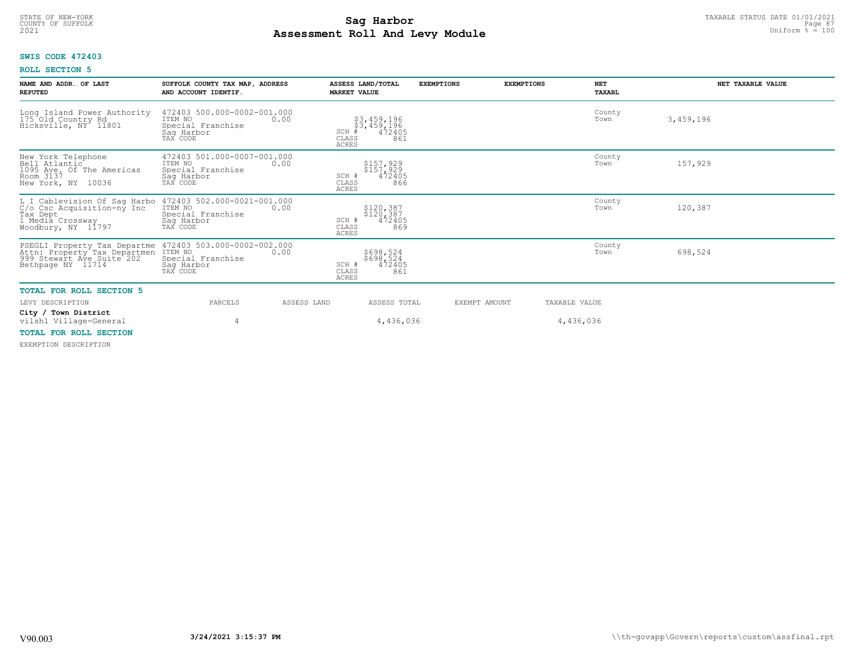#### **Sag Harbor** TAXABLE STATUS DATE 01/01/2021<br>
Poll and Louis Module 27 Consumer State of the State of the State of the State of the State of the State of the State of the State of the State 3 Consumer State of the State of **Assessment Roll And Levy Module Example 2021** Uniform  $\frac{1}{8}$  = 100 COUNTY OF SUFFOLK **Example 2018 Page 87 Page 87 Page 87 Page 87 Page 87 Page 87**

# **SWIS CODE 472403**

### **ROLL SECTION 5**

| NAME AND ADDR. OF LAST<br><b>REPUTED</b>                                                                                              | SUFFOLK COUNTY TAX MAP, ADDRESS<br>AND ACCOUNT IDENTIF.                                       | ASSESS LAND/TOTAL<br><b>MARKET VALUE</b>                                                                                 | <b>EXEMPTIONS</b> | <b>EXEMPTIONS</b><br><b>NET</b><br>TAXABL | NET TAXABLE VALUE |
|---------------------------------------------------------------------------------------------------------------------------------------|-----------------------------------------------------------------------------------------------|--------------------------------------------------------------------------------------------------------------------------|-------------------|-------------------------------------------|-------------------|
| Long Island Power Authority<br>175 Old Country Rd<br>Hicksville, NY 11801                                                             | 472403 500.000-0002-001.000<br>ITEM NO<br>0.00<br>Special Franchise<br>Saq Harbor<br>TAX CODE | \$3,459,196<br>$\frac{1}{4}$ $\frac{3}{4}$ , $\frac{459}{4}$ , $\frac{196}{2405}$<br>SCH<br>CLASS<br>861<br><b>ACRES</b> |                   | County<br>Town                            | 3,459,196         |
| New York Telephone<br>Bell Atlantic<br>1095 Ave. Of The Americas<br>Room 3137<br>New York, NY 10036                                   | 472403 501.000-0007-001.000<br>ITEM NO<br>0.00<br>Special Franchise<br>Saq Harbor<br>TAX CODE | \$157,929<br>\$157,929<br>472405<br>SCH #<br>866<br>CLASS<br><b>ACRES</b>                                                |                   | County<br>Town                            | 157,929           |
| L I Cablevision Of Sag Harbo<br>C/o Csc Acquisition-ny Inc<br>Tax Dept<br>Tax Let a Constant in The Tax Depta<br>Noodbury, NY 11797   | 472403 502.000-0021-001.000<br>ITEM NO<br>0.00<br>Special Franchise<br>Sag Harbor<br>TAX CODE | \$120,387<br>\$120, 387<br>472405<br>SCH #<br>869<br>CLASS<br><b>ACRES</b>                                               |                   | County<br>Town                            | 120,387           |
| PSEGLI Property Tax Departme 472403<br>Attn: Property Tax Departmen ITEM NO<br>999 Stewart Ave Suite 202 Special<br>Bethpage NY 11714 | 472403 503.000-0002-002.000<br>0.00<br>Special Franchise<br>Saq Harbor<br>TAX CODE            | \$698,524<br>\$698,524<br>472405<br>SCH #<br>CLASS<br>861<br><b>ACRES</b>                                                |                   | County<br>Town                            | 698,524           |
| <b>TOTAL FOR ROLL SECTION 5</b>                                                                                                       |                                                                                               |                                                                                                                          |                   |                                           |                   |
| LEVY DESCRIPTION                                                                                                                      | PARCELS<br>ASSESS LAND                                                                        | ASSESS TOTAL                                                                                                             | EXEMPT AMOUNT     | TAXABLE VALUE                             |                   |
| City / Town District<br>vilsh1 Village-General                                                                                        | 4                                                                                             | 4,436,036                                                                                                                |                   | 4,436,036                                 |                   |
| <b>TOTAL FOR ROLL SECTION</b>                                                                                                         |                                                                                               |                                                                                                                          |                   |                                           |                   |

EXEMPTION DESCRIPTION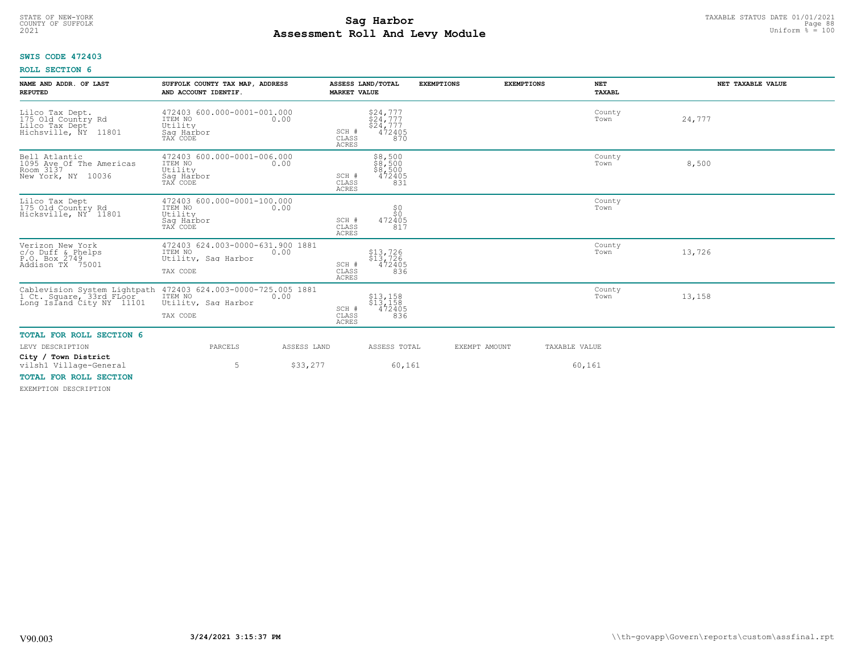# TAXABLE STATUS DATE 01/01/2021<br>COUNTY OF SUFFOLK Page 88 **Assessment Roll And Levy Module Example 2021** Uniform  $\frac{1}{8}$  = 100

# **SWIS CODE 472403**

| NAME AND ADDR. OF LAST<br><b>REPUTED</b>                                                     | SUFFOLK COUNTY TAX MAP, ADDRESS<br>AND ACCOUNT IDENTIF.                                                                                                             | ASSESS LAND/TOTAL<br><b>MARKET VALUE</b>                       | <b>EXEMPTIONS</b>                              | <b>EXEMPTIONS</b> | <b>NET</b><br>TAXABL | NET TAXABLE VALUE |
|----------------------------------------------------------------------------------------------|---------------------------------------------------------------------------------------------------------------------------------------------------------------------|----------------------------------------------------------------|------------------------------------------------|-------------------|----------------------|-------------------|
| Lilco Tax Dept.<br>175 Old Country Rd<br>Lilco Tax Dept <sup>4</sup><br>Hichsville, NY 11801 | 472403 600.000-0001-001.000<br>ITEM NO 0.00<br>Utility<br>Saq Harbor<br>TAX CODE                                                                                    | $$24,777$<br>$$24,777$<br>\$24,777<br>SCH #<br>CLASS<br>ACRES  | 472405<br>870                                  |                   | County<br>Town       | 24,777            |
| Bell Atlantic<br>1095 Ave Of The Americas<br>Room 3137<br>New York, NY 10036                 | 472403 600.000-0001-006.000<br>ITEM NO<br>0.00<br>Utility<br>Sag Harbor<br>TAX CODE                                                                                 | SCH #<br>CLASS<br>ACRES                                        | \$8,500<br>\$8,500<br>\$8,500<br>472405<br>831 |                   | County<br>Town       | 8,500             |
| Lilco Tax Dept<br>175 Old Country Rd<br>Hicksville, NY 11801                                 | 472403 600.000-0001-100.000<br>ITEM NO<br>0.00<br>Utility<br>Saq Harbor<br>TAX CODE                                                                                 | SCH #<br>CLASS<br><b>ACRES</b>                                 | \$0<br>\$Ò<br>472405<br>817                    |                   | County<br>Town       |                   |
| Verizon New York<br>c/o Duff & Phelps<br>P.O. Box 2749<br>Addison TX 75001                   | 472403 624.003-0000-631.900 1881<br>ITEM NO<br>0.00<br>Utility, Saq Harbor<br>TAX CODE                                                                              | $$13,726$<br>$$13,726$<br>SCH #<br>CLASS<br>ACRES              | 472405<br>836                                  |                   | County<br>Town       | 13,726            |
|                                                                                              | Cablevision System Lightpath 472403 624.003-0000-725.005 1881<br>1 Ct. Square, 33rd FLoor ITEM NO<br>Long Island City NY 11101 Utility, Saq Harbor 0.00<br>TAX CODE | $$13,158$<br>$$13,158$<br>$SCH$ $\pm$<br>CLASS<br><b>ACRES</b> | 472405<br>836                                  |                   | County<br>Town       | 13,158            |
| <b>TOTAL FOR ROLL SECTION 6</b>                                                              |                                                                                                                                                                     |                                                                |                                                |                   |                      |                   |
| LEVY DESCRIPTION                                                                             | PARCELS                                                                                                                                                             | ASSESS LAND                                                    | ASSESS TOTAL                                   | EXEMPT AMOUNT     | TAXABLE VALUE        |                   |
| City / Town District<br>vilsh1 Village-General                                               | 5                                                                                                                                                                   | \$33,277                                                       | 60,161                                         |                   | 60,161               |                   |
| TOTAL FOR ROLL SECTION                                                                       |                                                                                                                                                                     |                                                                |                                                |                   |                      |                   |
| EXEMPTION DESCRIPTION                                                                        |                                                                                                                                                                     |                                                                |                                                |                   |                      |                   |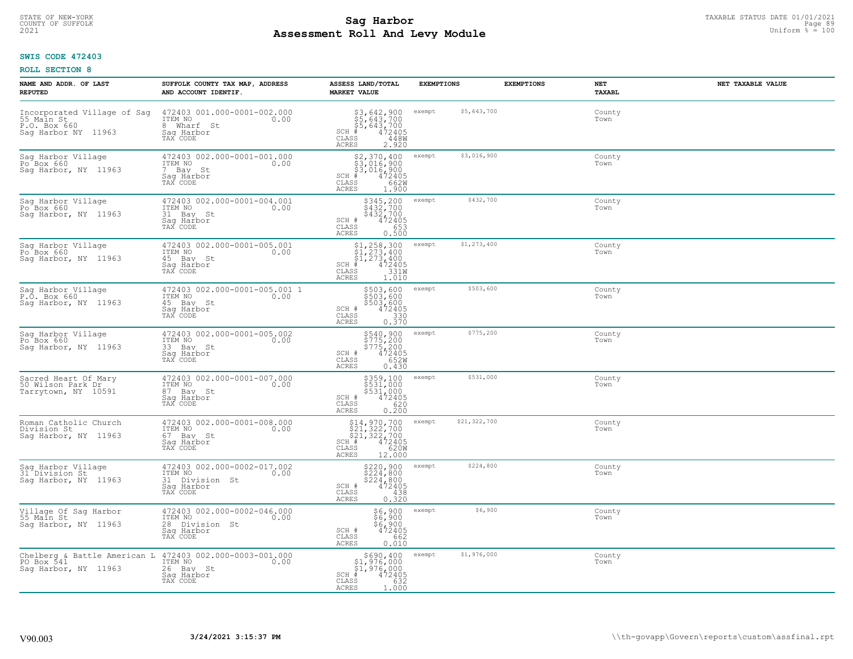# TAXABLE STATUS DATE 01/01/2021 **Sag Harbor** COUNTY OF SUFFOLK Page 89 **Assessment Roll And Levy Module Example 2021** Uniform  $\frac{1}{8}$  = 100

# **SWIS CODE 472403**

| NAME AND ADDR. OF LAST<br><b>REPUTED</b>                                         | SUFFOLK COUNTY TAX MAP, ADDRESS<br>AND ACCOUNT IDENTIF.                                    | ASSESS LAND/TOTAL<br><b>MARKET VALUE</b>                                                                                                         | <b>EXEMPTIONS</b>      | <b>EXEMPTIONS</b><br>NET | TAXABL | NET TAXABLE VALUE |
|----------------------------------------------------------------------------------|--------------------------------------------------------------------------------------------|--------------------------------------------------------------------------------------------------------------------------------------------------|------------------------|--------------------------|--------|-------------------|
| Incorporated Village of Sag<br>55 Main St<br>P.O. Box 660<br>Saq Harbor NY 11963 | 472403 001.000-0001-002.000<br>ITEM NO<br>0.00<br>8 Wharf St<br>Saq Harbor<br>TAX CODE     | \$3,642,900<br>\$5,643,700<br>\$5,643,700<br>#472405<br>$SCH$ #<br>CLASS<br>448W<br><b>ACRES</b><br>2.920                                        | \$5,643,700<br>exempt  | Town                     | County |                   |
| Sag Harbor Village<br>Po <sup>Box</sup> 660<br>Sag Harbor, NY 11963              | 472403 002.000-0001-001.000<br>ITEM NO<br>0.00<br>7 Bay St<br>Saq Harbor<br>TAX CODE       | \$2,370,400<br>\$3,016,900<br>\$3,016,900<br>472405<br>$SCH$ #<br>662W<br>CLASS<br><b>ACRES</b><br>1.900                                         | \$3,016,900<br>exempt  | Town                     | County |                   |
| Sag Harbor Village<br>Po <sup>6</sup> Box 660<br>Sag Harbor, NY 11963            | 472403 002.000-0001-004.001<br>ITEM NO<br>0.00<br>31 Bay St<br>Sag Harbor<br>TAX CODE      | \$345,200<br>$\frac{1}{2}$ $\frac{1}{4}$ $\frac{3}{2}$ , $\frac{7}{2}$ $\frac{0}{2}$<br>SCH #<br>472405<br>CLASS<br>653<br><b>ACRES</b><br>0.500 | \$432,700<br>exempt    | Town                     | County |                   |
| Sag Harbor Village<br>Po Box 660<br>Sag Harbor, NY 11963                         | 472403 002.000-0001-005.001<br>ITEM NO<br>0.00<br>45 Bay St<br>Saq Harbor<br>TAX CODE      | $$1, 258, 300$<br>$$1, 273, 400$<br>$$1, 273, 400$<br>$$1, 273, 400$<br>$SCH$ #<br>472405<br>CLASS<br>331W<br>ACRES<br>1.010                     | \$1,273,400<br>exempt  | Town                     | County |                   |
| Sag Harbor Village<br>P.O. Box 660<br>Sag Harbor, NY 11963                       | 472403 002.000-0001-005.001 1<br>ITEM NO<br>0.00<br>45 Bay St<br>Saq Harbor<br>TAX CODE    | \$503,600<br>\$503,600<br>\$503,600<br>472405<br>SCH #<br>CLASS<br>0.330<br>ACRES                                                                | \$503,600<br>exempt    | Town                     | County |                   |
| Sag Harbor Village<br>Po Box 660<br>Sag Harbor, NY 11963                         | 472403 002.000-0001-005.002<br>ITEM NO<br>0.00<br>33 Bay St<br>Saq Harbor<br>TAX CODE      | \$540,900<br>\$775,200<br>\$775,200<br>472405<br>SCH #<br>652W<br>$\mathtt{CLASS}$<br>ACRES<br>0.430                                             | \$775,200<br>exempt    | Town                     | County |                   |
| Sacred Heart Of Mary<br>50 Wilson Park Dr<br>Tarrytown, NY 10591                 | 472403 002.000-0001-007.000<br>ITEM NO<br>0.00<br>87 Bay St<br>Saq Harbor<br>TAX CODE      | \$359,100<br>\$531,000<br>\$531,000<br>472405<br>SCH #<br>CLASS<br>620<br>0.200<br><b>ACRES</b>                                                  | \$531,000<br>exempt    | Town                     | County |                   |
| Roman Catholic Church<br>Division St<br>Saq Harbor, NY 11963                     | 472403 002.000-0001-008.000<br>ITEM NO<br>0.00<br>67 Bay St<br>Saq Harbor<br>TAX CODE      | $$21, 322, 700$<br>$$21, 322, 700$<br>$$21, 322, 700$<br>$$472405$<br>$$85$<br>$$1, 6200$<br>SCH #<br>CLASS<br><b>ACRES</b><br>12.000            | \$21,322,700<br>exempt | Town                     | County |                   |
| Sag Harbor Village<br>31 Division St<br>Saq Harbor, NY 11963                     | 472403 002.000-0002-017.002<br>TTEM NO 0.00<br>31 Division St<br>Saq Harbor<br>TAX CODE    | \$220,900<br>\$224,800<br>\$224,800<br>\$224,800<br>SCH #<br>CLASS<br>438<br><b>ACRES</b><br>0.320                                               | \$224,800<br>exempt    | Town                     | County |                   |
| Village Of Sag Harbor<br>55 Main St<br>Sag Harbor, NY 11963                      | 472403 002.000-0002-046.000<br>ITEM NO<br>0.00<br>28 Division St<br>Sag Harbor<br>TAX CODE | $$6,900$<br>$$6,900$<br>$$6,900$<br>SCH #<br>472405<br>662<br>CLASS<br><b>ACRES</b><br>0.010                                                     | \$6,900<br>exempt      | Town                     | County |                   |
| Saq Harbor, NY 11963                                                             | 26 Bay St<br>Sag Harbor<br>TAX CODE                                                        | \$690,400<br>$$1,976,000$<br>$$1,976,000$<br>$*$ 472405<br>$SCH$ #<br>CLASS<br>632<br>ACRES<br>1.000                                             | \$1,976,000<br>exempt  | Town                     | County |                   |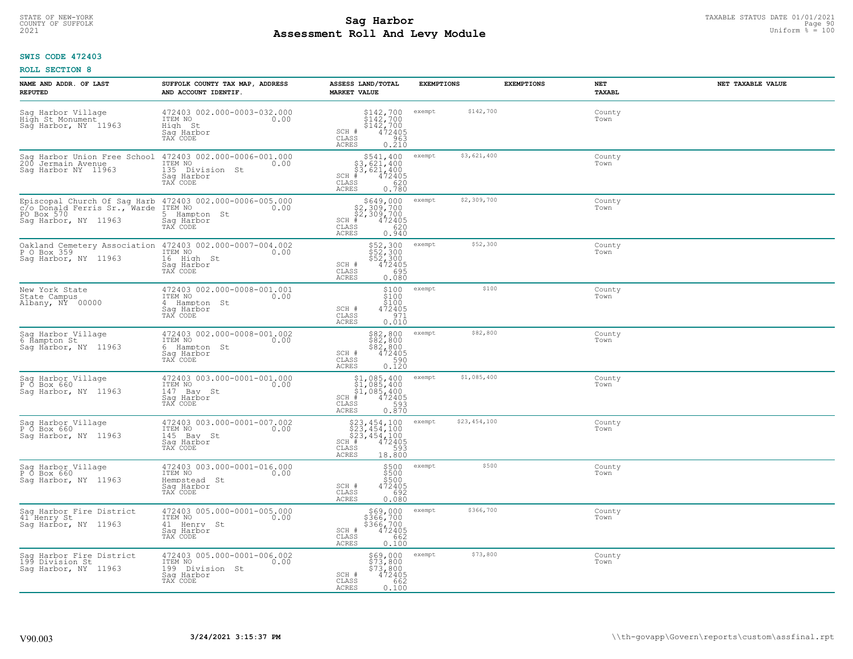# TAXABLE STATUS DATE 01/01/2021<br>COUNTY OF SUFFOLK Page 90 **Assessment Roll And Levy Module Example 2021** Uniform  $\frac{1}{8}$  = 100

### **SWIS CODE 472403**

| NAME AND ADDR. OF LAST<br><b>REPUTED</b>                                  | SUFFOLK COUNTY TAX MAP, ADDRESS<br>AND ACCOUNT IDENTIF.                                                                                         | ASSESS LAND/TOTAL<br><b>MARKET VALUE</b>                                                                                                                                                   | <b>EXEMPTIONS</b>      | <b>EXEMPTIONS</b> | NET<br><b>TAXABL</b> | NET TAXABLE VALUE |
|---------------------------------------------------------------------------|-------------------------------------------------------------------------------------------------------------------------------------------------|--------------------------------------------------------------------------------------------------------------------------------------------------------------------------------------------|------------------------|-------------------|----------------------|-------------------|
| Sag Harbor Village<br>High St Monument<br>Sag Harbor, NY 11963            | 472403 002.000-0003-032.000<br>ITEM NO<br>0.00<br>High St<br>Saq Harbor<br>TAX CODE                                                             | $$142,700$<br>$$142,700$<br>$$142,700$<br>$$472405$<br>$$953$<br>SCH #<br>CLASS<br>0.210<br>ACRES                                                                                          | \$142,700<br>exempt    |                   | County<br>Town       |                   |
| Sag Harbor Union Free School<br>200 Jermain Avenue<br>Sag Harbor NY 11963 | 472403 002.000-0006-001.000<br>ITEM NO<br>0.00<br>135 Division St<br>Saq Harbor<br>TAX CODE                                                     | \$541,400<br>\$3,621,400<br>\$3,621,400<br>#472405<br>$SCH$ #<br>CLASS<br>620<br>ACRES<br>0.780                                                                                            | \$3,621,400<br>exempt  |                   | County<br>Town       |                   |
| PO Box 570<br>Saq Harbor, NY 11963                                        | Episcopal Church Of Sag Harb 472403 002.000-0006-005.000<br>C/o_Donald Ferris Sr., Warde ITEM NO 0.00<br>5 Hampton St<br>Saq Harbor<br>TAX CODE | \$649,000<br>\$2,309,700<br>\$2,309,700<br>472405<br>$SCH$ #<br>CLASS<br>620<br>ACRES<br>0.940                                                                                             | \$2,309,700<br>exempt  |                   | County<br>Town       |                   |
| Saq Harbor, NY 11963                                                      | Oakland Cemetery Association 472403 002.000-0007-004.002<br>P 0 Box 359<br>16 High St<br>Saq Harbor<br>TAX CODE                                 | \$52,300<br>\$52,300<br>\$52,300<br>SCH #<br>472405<br>CLASS<br>695<br>ACRES<br>0.080                                                                                                      | \$52,300<br>exempt     |                   | County<br>Town       |                   |
| New York State<br>State Campus<br>Albany, NY 00000                        | 472403 002.000-0008-001.001<br>ITEM NO<br>0.00<br>4 Hampton St<br>Saq Harbor<br>TAX CODE                                                        | \$100<br>$\frac{1}{2}$ $\frac{1}{2}$ $\frac{0}{0}$<br>SCH #<br>$472405$<br>$971$<br>CLASS<br>0.010<br>ACRES                                                                                | \$100<br>exempt        |                   | County<br>Town       |                   |
| Sag Harbor Village<br>6 Hampton St<br>Sag Harbor, NY 11963                | 472403 002.000-0008-001.002<br>ITEM NO<br>0.00<br>6 Hampton St<br>Saq Harbor<br>TAX CODE                                                        | \$82,800<br>\$82,800<br>\$82,800<br>\$82,800<br>\$72405<br>\$90<br>\$90.120<br>SCH #<br>CLASS<br>ACRES                                                                                     | \$82,800<br>exempt     |                   | County<br>Town       |                   |
| Sag Harbor Village<br>P O Box 660<br>Saq Harbor, NY 11963                 | 472403 003.000-0001-001.000<br>ITEM NO<br>147 Bay St<br>0.00<br>Saq Harbor<br>TAX CODE                                                          | $$1,085,400$<br>$$1,085,400$<br>$$1,085,400$<br>$$472405$<br>$SCH$ #<br>$\mathtt{CLASS}$<br>593<br>0.870<br>ACRES                                                                          | \$1,085,400<br>exempt  |                   | County<br>Town       |                   |
| Sag Harbor Village<br>P O Box 660<br>Sag Harbor, NY 11963                 | 472403 003.000-0001-007.002<br>ITEM NO<br>0.00<br>145 Bay St<br>Saq Harbor<br>TAX CODE                                                          | $523, 454, 100$<br>$523, 454, 100$<br>$523, 454, 100$<br>$\text{A}^{\text{H}}$ $\overset{\text{H}}{4}$<br>$593$<br>$\overset{\text{S}}{2}$<br>SCH <sup>+</sup><br>CLASS<br>ACRES<br>18.800 | \$23,454,100<br>exempt |                   | County<br>Town       |                   |
| Sag Harbor Village<br>P O Box 660<br>Saq Harbor, NY 11963                 | 472403 003.000-0001-016.000<br>TTEM NO 0.00<br>Hempstead St<br>Saq Harbor<br>TAX CODE                                                           | $$500$<br>$$500$<br>$$500$<br>SCH #<br>472405<br>0.080<br>CLASS<br>ACRES                                                                                                                   | \$500<br>exempt        |                   | County<br>Town       |                   |
| Sag Harbor Fire District<br>41 Henry St<br>Sag Harbor, NY 11963           | 472403 005.000-0001-005.000<br>ITEM NO<br>0.00<br>41 Henry St<br>Sag Harbor<br>TAX CODE                                                         | \$69,000<br>\$366,700<br>\$366,700<br>SCH #<br>$\frac{472405}{662}$<br>CLASS<br>ACRES<br>0.100                                                                                             | \$366,700<br>exempt    |                   | County<br>Town       |                   |
| Sag Harbor Fire District<br>199 Division St<br>Saq Harbor, NY 11963       | 472403 005.000-0001-006.002<br>ITEM NO<br>0.00<br>199 Division St<br>Sag Harbor<br>TAX CODE                                                     | \$69,000<br>\$73,800<br>\$73,800<br>SCH #<br>472405<br>662<br>CLASS<br>ACRES<br>0.100                                                                                                      | \$73,800<br>exempt     |                   | County<br>Town       |                   |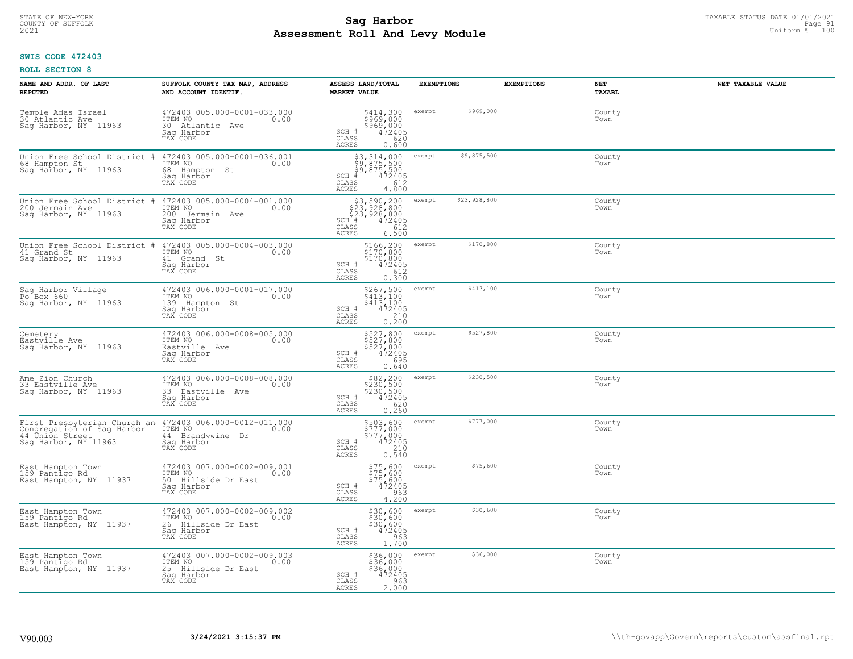# TAXABLE STATUS DATE 01/01/2021<br>COUNTY OF SUFFOLK Page 91 Page 91 **Assessment Roll And Levy Module Example 2021** Uniform  $\frac{1}{8}$  = 100

### **SWIS CODE 472403**

| NAME AND ADDR. OF LAST<br><b>REPUTED</b>                                                              | SUFFOLK COUNTY TAX MAP, ADDRESS<br>AND ACCOUNT IDENTIF.                                         | ASSESS LAND/TOTAL<br><b>MARKET VALUE</b>                                                                                     | <b>EXEMPTIONS</b>      | <b>EXEMPTIONS</b> | <b>NET</b><br>NET TAXABLE VALUE<br>TAXABL |
|-------------------------------------------------------------------------------------------------------|-------------------------------------------------------------------------------------------------|------------------------------------------------------------------------------------------------------------------------------|------------------------|-------------------|-------------------------------------------|
| Temple Adas Israel<br>30 Atlantic Ave<br>Saq Harbor, NY 11963                                         | 472403 005.000-0001-033.000<br>ITEM NO<br>0.00<br>30 Atlantic Ave<br>Saq Harbor<br>TAX CODE     | \$414,300<br>\$969,000<br>\$969,000<br>\$9620<br>620<br>SCH #<br>CLASS<br>ACRES<br>0.600                                     | \$969,000<br>exempt    |                   | County<br>Town                            |
| Union Free School District #<br>68 Hampton St<br>Sag Harbor, NY 11963                                 | 472403 005.000-0001-036.001<br>ITEM NO<br>0.00<br>68 Hampton St<br>Sag Harbor<br>TAX CODE       | \$3,314,000<br>\$9,875,500<br>\$9,875,500<br>#472405<br>$SCH$ #<br>CLASS<br>612<br><b>ACRES</b><br>4.800                     | \$9,875,500<br>exempt  |                   | County<br>Town                            |
| Union Free School District<br>#<br>200 Jermain Ave<br>Sag Harbor, NY 11963                            | 472403 005.000-0004-001.000<br>ITEM NO<br>0.00<br>200<br>Jermain Ave<br>Saq Harbor<br>TAX CODE  | \$3,590,200<br>\$23,928,800<br>\$23,928,800<br>472405<br>SCH #<br>CLASS<br>612<br>ACRES<br>6.500                             | \$23,928,800<br>exempt |                   | County<br>Town                            |
| Union Free School District<br>41 Grand St<br>Saq Harbor, NY 11963                                     | 472403 005.000-0004-003.000<br>ITEM NO<br>0.00<br>41 Grand St<br>Saq Harbor<br>TAX CODE         | \$166,200<br>\$170,800<br>$$170,800$<br>SCH #<br>CLASS<br>472405<br>612<br>ACRES<br>0.300                                    | \$170,800<br>exempt    |                   | County<br>Town                            |
| Sag Harbor Village<br>Po Box 660<br>Sag Harbor, NY 11963                                              | 472403 006.000-0001-017.000<br>ITEM NO<br>0.00<br>139<br>Hampton St<br>Saq Harbor<br>TAX CODE   | \$267,500<br>$\begin{array}{c}\n 2407,300 \\  5413,100 \\  472405 \\  0.200\n \end{array}$<br>SCH #<br>CLASS<br><b>ACRES</b> | \$413,100<br>exempt    |                   | County<br>Town                            |
| Cemetery<br>Eastville Ave<br>Sag Harbor, NY 11963                                                     | 472403 006.000-0008-005.000<br>ITEM NO<br>0.00<br>Eastville Ave<br>Saq Harbor<br>TAX CODE       | \$527,800<br>\$527,800<br>\$527,800<br>\$472405<br>\$695<br>SCH #<br>CLASS<br><b>ACRES</b><br>0.640                          | \$527,800<br>exempt    |                   | County<br>Town                            |
| Ame Zion Church<br>33 Eastville Ave<br>Sag Harbor, NY 11963                                           | 472403 006.000-0008-008.000<br>ITEM NO<br>0.00<br>33 Eastville Ave<br>Saq Harbor<br>TAX CODE    | \$82,200<br>\$230,500<br>\$230,500<br>472405<br>SCH #<br>620<br>CLASS<br>0.260<br>ACRES                                      | \$230,500<br>exempt    |                   | County<br>Town                            |
| First Presbyterian Church an<br>Congregation of Sag Harbor<br>44 Únión Street<br>Sag Harbor, NY 11963 | 472403 006.000-0012-011.000<br>ITEM NO<br>0.00<br>44 Brandywine Dr<br>Saq Harbor<br>TAX CODE    | \$503,600<br>\$777,000<br>\$777,000<br>\$777,000<br>0.540<br>0.540<br>SCH #<br>CLASS<br><b>ACRES</b>                         | \$777,000<br>exempt    |                   | County<br>Town                            |
| East Hampton Town<br>159 Pantigo Rd<br>East Hampton, NY 11937                                         | 472403 007.000-0002-009.001<br>TTEM NO 0.00<br>50 Hillside Dr East<br>Saq Harbor<br>TAX CODE    | \$75,600<br>\$75,600<br>\$75,600<br>\$472405<br>\$963<br>SCH #<br>CLASS<br>4.200<br><b>ACRES</b>                             | \$75,600<br>exempt     |                   | County<br>Town                            |
| East Hampton Town<br>159 Pantigo Rd<br>East Hampton, NY 11937                                         | 472403 007.000-0002-009.002<br>ITEM NO<br>0.00<br>26 Hillside Dr East<br>Sag Harbor<br>TAX CODE | \$30,600<br>$\frac{230}{330}$ , $\frac{600}{600}$<br>\$30, 600<br>SCH #<br>$\frac{963}{1.700}$<br>CLASS<br><b>ACRES</b>      | \$30,600<br>exempt     |                   | County<br>Town                            |
| East Hampton Town<br>159 Pantigo Rd<br>East Hampton, NY 11937                                         | 472403 007.000-0002-009.003<br>ITEM NO<br>0.00<br>25 Hillside Dr East<br>Saq Harbor<br>TAX CODE | \$36,000<br>\$36,000<br>\$36,000<br>472405<br>SCH #<br>CLASS<br>963<br>2.000<br>ACRES                                        | \$36,000<br>exempt     |                   | County<br>Town                            |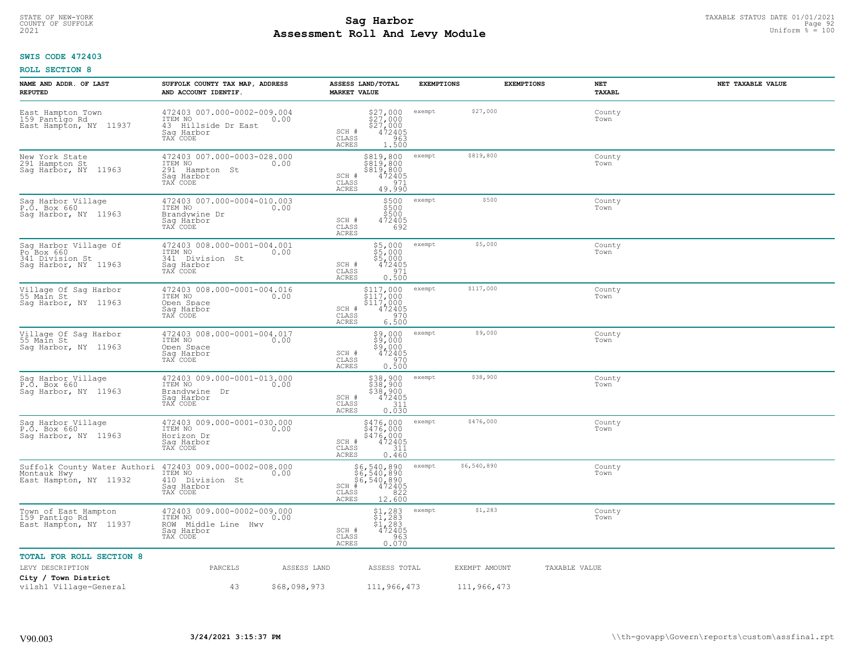# TAXABLE STATUS DATE 01/01/2021 **Sag Harbor** COUNTY OF SUFFOLK Page 92 **Assessment Roll And Levy Module Example 2021** Uniform  $\frac{1}{8}$  = 100

# **SWIS CODE 472403**

| NAME AND ADDR. OF LAST<br><b>REPUTED</b>                                       | SUFFOLK COUNTY TAX MAP, ADDRESS<br>AND ACCOUNT IDENTIF.                                         | <b>MARKET VALUE</b>            | ASSESS LAND/TOTAL                                                                             | <b>EXEMPTIONS</b> |               | <b>EXEMPTIONS</b> | NET<br><b>TAXABL</b> | NET TAXABLE VALUE |
|--------------------------------------------------------------------------------|-------------------------------------------------------------------------------------------------|--------------------------------|-----------------------------------------------------------------------------------------------|-------------------|---------------|-------------------|----------------------|-------------------|
| East Hampton Town<br>159 Pantigo Rd<br>East Hampton, NY 11937                  | 472403 007.000-0002-009.004<br>ITEM NO<br>0.00<br>43 Hillside Dr East<br>Saq Harbor<br>TAX CODE | SCH #<br>CLASS<br><b>ACRES</b> | $\begin{array}{c} $27,000\\ $27,000\\ $27,000\\ $27,000\\ 472405 \end{array}$<br>963<br>1,500 | exempt            | \$27,000      |                   | County<br>Town       |                   |
| New York State<br>291 Hampton St<br>Sag Harbor, NY 11963                       | 472403 007.000-0003-028.000<br>ITEM NO<br>0.00<br>291 Hampton St<br>Saq Harbor<br>TAX CODE      | SCH #<br>CLASS<br><b>ACRES</b> | \$819,800<br>\$819,800<br>\$819, 800<br>472405<br>971<br>49.990                               | exempt            | \$819,800     |                   | County<br>Town       |                   |
| Saq Harbor Village<br>P.O. Box 660<br>Sag Harbor, NY 11963                     | 472403 007.000-0004-010.003<br>ITEM NO<br>0.00<br>Brandywine Dr<br>Saq Harbor<br>TAX CODE       | SCH #<br>CLASS<br>ACRES        | $5500\n5500\n472405$<br>692                                                                   | exempt            | \$500         |                   | County<br>Town       |                   |
| Sag Harbor Village Of<br>Po Box 660<br>341 Division St<br>Sag Harbor, NY 11963 | 472403 008.000-0001-004.001<br>ITEM NO<br>0.00<br>341 Division St<br>Saq Harbor<br>TAX CODE     | SCH #<br>CLASS<br><b>ACRES</b> | \$5,000<br>\$5,000<br>\$5,000<br>472405<br>971<br>0.500                                       | exempt            | \$5,000       |                   | County<br>Town       |                   |
| Village Of Sag Harbor<br>55 Main St<br>Sag Harbor, NY 11963                    | 472403 008.000-0001-004.016<br>ITEM NO<br>0.00<br>Open Space<br>Saq Harbor<br>TAX CODE          | SCH #<br>CLASS<br><b>ACRES</b> | \$117,000<br>$\frac{1}{2}$ $\frac{1}{1}$ $\frac{7}{2}$ ,000<br>472405<br>970<br>6.500         | exempt            | \$117,000     |                   | County<br>Town       |                   |
| Village Of Sag Harbor<br>55 Main St<br>Sag Harbor, NY 11963                    | 472403 008.000-0001-004.017<br>ITEM NO<br>0.00<br>Open Space<br>Sag Harbor<br>TAX CODE          | SCH #<br>CLASS<br><b>ACRES</b> | $$9,000$<br>$$9,000$<br>$$9,000$<br>$$9,000$<br>472405<br>970<br>0.500                        | exempt            | \$9,000       |                   | County<br>Town       |                   |
| Sag Harbor Village<br>P.O. Box 660<br>Saq Harbor, NY 11963                     | 472403 009.000-0001-013.000<br>ITEM NO<br>0.00<br>Brandywine Dr<br>Sag Harbor<br>TAX CODE       | SCH #<br>CLASS<br><b>ACRES</b> | \$38,900<br>\$38,900<br>\$38,900<br>472405<br>311<br>0.030                                    | exempt            | \$38,900      |                   | County<br>Town       |                   |
| Sag Harbor Village<br>P.O. Box 660<br>Saq Harbor, NY 11963                     | 472403 009.000-0001-030.000<br>ITEM NO<br>0.00<br>Horizon Dr<br>Saq Harbor<br>TAX CODE          | SCH #<br>CLASS<br>ACRES        | \$476,000<br>$\frac{5476}{5476}$ , 000<br>\$476, 000<br>472405<br>311<br>0.460                | exempt            | \$476,000     |                   | County<br>Town       |                   |
| Suffolk County Water Authori<br>Montauk Hwy<br>East Hampton, NY 11932          | 472403 009.000-0002-008.000<br>ITEM NO<br>0.00<br>410 Division St<br>Saq Harbor<br>TAX CODE     | $SCH$ #<br>CLASS<br>ACRES      | \$6,540,890<br>\$6,540,890<br>\$6,540,890<br>#472405<br>\$8,540,892<br>12.600                 | exempt            | \$6,540,890   |                   | County<br>Town       |                   |
| Town of East Hampton<br>159 Pantigo Rd<br>East Hampton, NY 11937               | 472403 009.000-0002-009.000<br>ITEM NO<br>0.00<br>ROW Middle Line Hwy<br>Sag Harbor<br>TAX CODE | SCH #<br>CLASS<br>ACRES        | $$1,283$<br>$$1,283$<br>$$1,283$<br>$$1,283$<br>$472405$<br>963<br>0.070                      | exempt            | \$1,283       |                   | County<br>Town       |                   |
| TOTAL FOR ROLL SECTION 8                                                       |                                                                                                 |                                |                                                                                               |                   |               |                   |                      |                   |
| LEVY DESCRIPTION                                                               | PARCELS                                                                                         | ASSESS LAND                    | ASSESS TOTAL                                                                                  |                   | EXEMPT AMOUNT | TAXABLE VALUE     |                      |                   |
| City / Town District<br>vilsh1 Village-General                                 | 43                                                                                              | \$68,098,973                   | 111,966,473                                                                                   |                   | 111,966,473   |                   |                      |                   |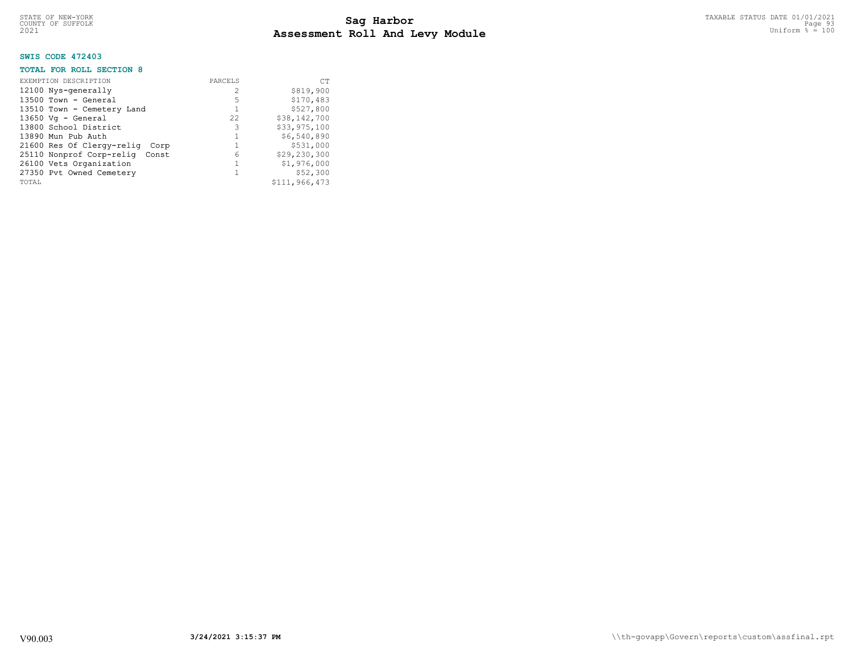# **SWIS CODE 472403**

### **TOTAL FOR ROLL SECTION 8**

| EXEMPTION DESCRIPTION          | PARCELS        | <b>CT</b>     |
|--------------------------------|----------------|---------------|
| 12100 Nys-generally            | $\mathfrak{D}$ | \$819,900     |
| $13500$ Town - General         | 5              | \$170,483     |
| 13510 Town - Cemetery Land     | $\mathbf{1}$   | \$527,800     |
| $13650$ Vg - General           | 22.            | \$38,142,700  |
| 13800 School District          | 3              | \$33,975,100  |
| 13890 Mun Pub Auth             |                | \$6,540,890   |
| 21600 Res Of Clergy-relig Corp |                | \$531,000     |
| 25110 Nonprof Corp-relig Const | 6              | \$29,230,300  |
| 26100 Vets Organization        |                | \$1,976,000   |
| 27350 Pvt Owned Cemetery       |                | \$52,300      |
| TOTAL                          |                | \$111,966,473 |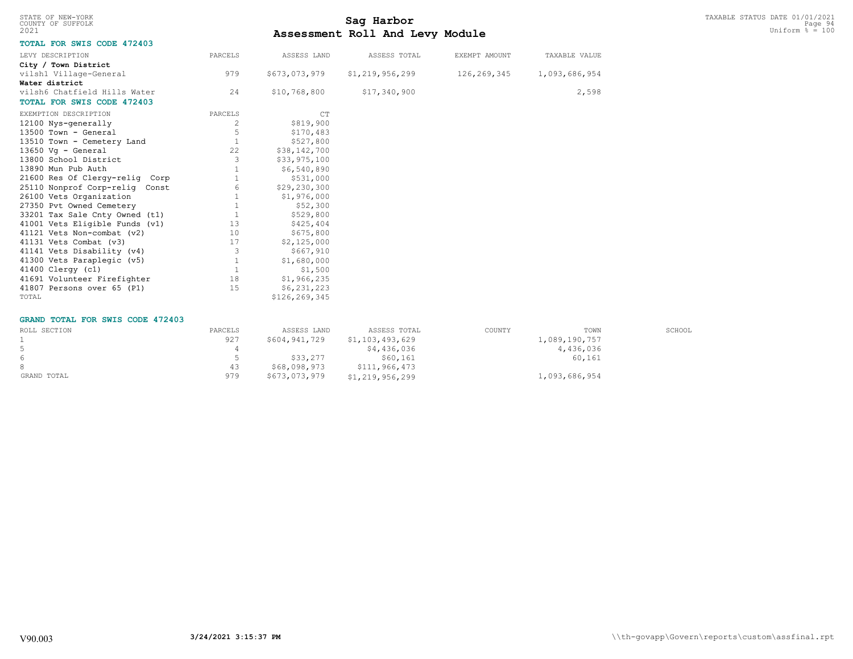|      | STATE OF NEW-YORK |
|------|-------------------|
|      | COUNTY OF SUFFOLK |
| 2021 |                   |

# TAXABLE STATUS DATE 01/01/2021<br>COUNTY OF SUFFOLK Page 94 **Assessment Roll And Levy Module Example 2021** Uniform  $\frac{1}{8}$  = 100

# **TOTAL FOR SWIS CODE 472403**

| LEVY DESCRIPTION                  | PARCELS      | ASSESS LAND   | ASSESS TOTAL       | EXEMPT AMOUNT | TAXABLE VALUE |
|-----------------------------------|--------------|---------------|--------------------|---------------|---------------|
| City / Town District              |              |               |                    |               |               |
| vilsh1 Village-General            | 979          | \$673,073,979 | \$1, 219, 956, 299 | 126, 269, 345 | 1,093,686,954 |
| Water district                    |              |               |                    |               |               |
| vilsh6 Chatfield Hills Water      | 24           | \$10,768,800  | \$17,340,900       |               | 2,598         |
| <b>TOTAL FOR SWIS CODE 472403</b> |              |               |                    |               |               |
| EXEMPTION DESCRIPTION             | PARCELS      | CT            |                    |               |               |
| 12100 Nys-generally               | 2            | \$819,900     |                    |               |               |
| $13500$ Town - General            | 5            | \$170,483     |                    |               |               |
| 13510 Town - Cemetery Land        |              | \$527,800     |                    |               |               |
| $13650 \text{ Vq}$ - General      | 22           | \$38,142,700  |                    |               |               |
| 13800 School District             | 3            | \$33,975,100  |                    |               |               |
| 13890 Mun Pub Auth                |              | \$6,540,890   |                    |               |               |
| 21600 Res Of Clergy-relig Corp    |              | \$531,000     |                    |               |               |
| 25110 Nonprof Corp-relig Const    | 6            | \$29,230,300  |                    |               |               |
| 26100 Vets Organization           |              | \$1,976,000   |                    |               |               |
| 27350 Pvt Owned Cemetery          | $\mathbf 1$  | \$52,300      |                    |               |               |
| 33201 Tax Sale Cnty Owned (t1)    |              | \$529,800     |                    |               |               |
| 41001 Vets Eligible Funds (v1)    | 13           | \$425,404     |                    |               |               |
| 41121 Vets Non-combat (v2)        | 10           | \$675,800     |                    |               |               |
| 41131 Vets Combat (v3)            | 17           | \$2,125,000   |                    |               |               |
| 41141 Vets Disability (v4)        | 3            | \$667,910     |                    |               |               |
| 41300 Vets Paraplegic (v5)        | $\mathbf{1}$ | \$1,680,000   |                    |               |               |
| 41400 Clergy (c1)                 | $\mathbf{1}$ | \$1,500       |                    |               |               |
| 41691 Volunteer Firefighter       | 18           | \$1,966,235   |                    |               |               |
| 41807 Persons over 65 (P1)        | 15           | \$6,231,223   |                    |               |               |
| TOTAL                             |              | \$126,269,345 |                    |               |               |

#### **GRAND TOTAL FOR SWIS CODE 472403**

| ROLL SECTION | PARCELS | ASSESS LAND   | ASSESS TOTAL    | COUNTY | TOWN          | SCHOOL |
|--------------|---------|---------------|-----------------|--------|---------------|--------|
|              | 927     | \$604,941,729 | \$1,103,493,629 |        | 1,089,190,757 |        |
|              |         |               | \$4,436,036     |        | 4,436,036     |        |
| 6            |         | \$33,277      | \$60.161        |        | 60,161        |        |
|              | 43      | \$68,098,973  | \$111,966,473   |        |               |        |
| GRAND TOTAL  | 979     | \$673,073,979 | \$1,219,956,299 |        | 1,093,686,954 |        |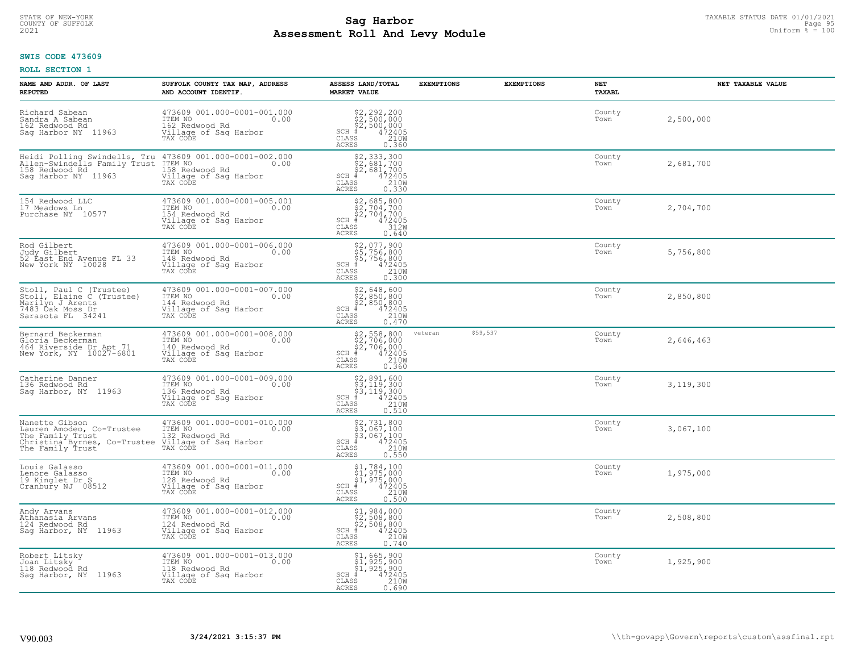# TAXABLE STATUS DATE 01/01/2021 **Sag Harbor** COUNTY OF SUFFOLK Page 95 **Assessment Roll And Levy Module Example 2021** Uniform  $\frac{1}{8}$  = 100

# **SWIS CODE 473609**

| NAME AND ADDR. OF LAST<br><b>REPUTED</b>                                                                                                                                                        | SUFFOLK COUNTY TAX MAP, ADDRESS<br>AND ACCOUNT IDENTIF.                                                                                                                               | ASSESS LAND/TOTAL<br><b>MARKET VALUE</b>                                                                                               | <b>EXEMPTIONS</b> | <b>EXEMPTIONS</b> | <b>NET</b><br>TAXABL | NET TAXABLE VALUE |
|-------------------------------------------------------------------------------------------------------------------------------------------------------------------------------------------------|---------------------------------------------------------------------------------------------------------------------------------------------------------------------------------------|----------------------------------------------------------------------------------------------------------------------------------------|-------------------|-------------------|----------------------|-------------------|
| Richard Sabean<br>Sandra A Sabean<br>162 Redwood Rd<br>Sag Harbor NY 11963                                                                                                                      | 473609 001.000-0001-001.000<br>ITEM NO<br>0.00<br>162 Redwood Rd<br>Village of Sag Harbor<br>TAX CODE                                                                                 | $$2,292,200$<br>$$2,500,000$<br>$$2,500,000$<br>$$472405$<br>$$210M$<br>$SCH$ #<br>CLASS<br>ACRES<br>0.360                             |                   |                   | County<br>Town       | 2,500,000         |
| Saq Harbor NY 11963                                                                                                                                                                             | Heidi Polling Swindells, Tru 473609 001.000-0001-002.000<br>Allen-Swindells Family Trust ITEM NO<br>158 Redwood Rd 158 Redwood Rd 158 Redwood Rd<br>Village of Sag Harbor<br>TAX CODE | \$2,333,300<br>\$2,681,700<br>\$2,681,700<br>SCH #<br>CLASS<br>$\frac{472405}{210}$<br>0.330<br><b>ACRES</b>                           |                   |                   | County<br>Town       | 2,681,700         |
| 154 Redwood LLC<br>17 Meadows Ln<br>Purchase NY 10577                                                                                                                                           | 473609 001.000-0001-005.001<br>ITEM NO<br>0.00<br>154 Redwood Rd<br>Village of Sag Harbor<br>TAX CODE                                                                                 | \$2,685,800<br>\$2,704,700<br>\$2,704,700<br>#472405<br>\$50,312W<br>$SCH$ #<br>CLASS<br><b>ACRES</b><br>0.640                         |                   |                   | County<br>Town       | 2,704,700         |
| Rod Gilbert<br>Judy Gilbert<br>52 East End Avenue FL 33<br>New York NY 10028                                                                                                                    | 473609 001.000-0001-006.000<br>TTEM NO 0.00<br>148 Redwood Rd<br>Village of Sag Harbor<br>TAX CODE                                                                                    | $$2,077,900$<br>$$5,756,800$<br>$$5,756,800$<br>$$472405$<br>$$2100$<br>$SCH$ #<br>CLASS<br><b>ACRES</b><br>0.300                      |                   |                   | County<br>Town       | 5,756,800         |
| Stoll, Paul C (Trustee)<br>Stoll, Elaine C (Trustee)<br>Marilyn J Arents<br>7483 Oak Moss Dr<br>Sarasota FL 34241                                                                               | 473609 001.000-0001-007.000<br>ITEM NO<br>0.00<br>144 Redwood Rd<br>Village of Sag Harbor<br>TAX CODE                                                                                 | $$2,648,600$<br>$$2,850,800$<br>$$2,850,800$<br>$$472405$<br>$$210W$<br>$SCH$ #<br>CLASS<br><b>ACRES</b><br>0.470                      |                   |                   | County<br>Town       | 2,850,800         |
| Bernard Beckerman<br>Gloria Beckerman<br>464 Riverside Dr Apt 71<br>New York, NY 10027-6801                                                                                                     | 473609 001.000-0001-008.000<br>ITEM NO<br>0.00<br>140 Redwood Rd<br>Village of Sag Harbor<br>TAX CODE                                                                                 | $$2, 558, 800$<br>$$2, 706, 000$<br>$$2, 706, 000$<br>$4 472405$<br>$$2100$<br>$SCH$ #<br>CLASS<br><b>ACRES</b><br>0.360               | veteran           | \$59,537          | County<br>Town       | 2,646,463         |
| Catherine Danner<br>136 Redwood Rd<br>Saq Harbor, NY 11963                                                                                                                                      | 473609 001.000-0001-009.000<br>ITEM NO<br>0.00<br>136 Redwood Rd<br>Village of Sag Harbor<br>TAX CODE                                                                                 | $$2,891,600$<br>$$3,119,300$<br>$$3,119,300$<br>$$472405$<br>$$210W$<br>$SCH$ #<br>$\mathtt{CLASS}$<br>0.510<br><b>ACRES</b>           |                   |                   | County<br>Town       | 3,119,300         |
| Nanette Gibson<br>Lauren Amodeo, Co-Trustee<br>The Family Trust<br>Christina Byrnes, Co-Trustee Village of Saq Harbor<br>Christina Byrnes, Co-Trustee Village of Saq Harbor<br>The Family Trust | 473609 001.000-0001-010.000<br>ITEM NO 0.00                                                                                                                                           | $$2,731,800$<br>$$3,067,100$<br>$$3,067,100$<br>$$472405$<br>$$210M$<br>SCH #<br>CLASS<br><b>ACRES</b><br>0.550                        |                   |                   | County<br>Town       | 3,067,100         |
| Louis Galasso<br>Lenore Galasso<br>19 Kinglet Dr S<br>Cranbury NJ 08512                                                                                                                         | 473609 001.000-0001-011.000<br>ITEM NO 0.00<br>128 Redwood Rd<br>Village of Sag Harbor<br>TAX CODE                                                                                    | $$^{51}_{51}, ^{784}_{975}, ^{100}_{900}$ \$1, 975,000<br>\$1, 975,000<br># 472405<br>\$3<br>$SCH$ #<br>CLASS<br><b>ACRES</b><br>0.500 |                   |                   | County<br>Town       | 1,975,000         |
| Andy Arvans<br>Athānasia Arvans<br>124 Redwood Rd<br>Sag Harbor, NY 11963                                                                                                                       | 473609 001.000-0001-012.000<br>ITEM NO<br>0.00<br>124 Redwood Rd<br>Village of Sag Harbor<br>TAX CODE                                                                                 | $$1, 984, 000$<br>$$2, 508, 800$<br>$$2, 508, 800$<br>$472405$<br>$$2100$<br>$SCH$ #<br>CLASS<br><b>ACRES</b><br>0.740                 |                   |                   | County<br>Town       | 2,508,800         |
| Robert Litsky<br>Joan Litsky<br>118 Redwood Rd<br>Sag Harbor, NY<br>11963                                                                                                                       | 473609 001.000-0001-013.000<br>ITEM NO<br>0.00<br>118 Redwood Rd<br>Village of Sag Harbor<br>TAX CODE                                                                                 | \$1,665,900<br>\$1,925,900<br>\$1,925,900<br>$SCH$ #<br>472405<br>CLASS<br>210W<br><b>ACRES</b><br>0.690                               |                   |                   | County<br>Town       | 1,925,900         |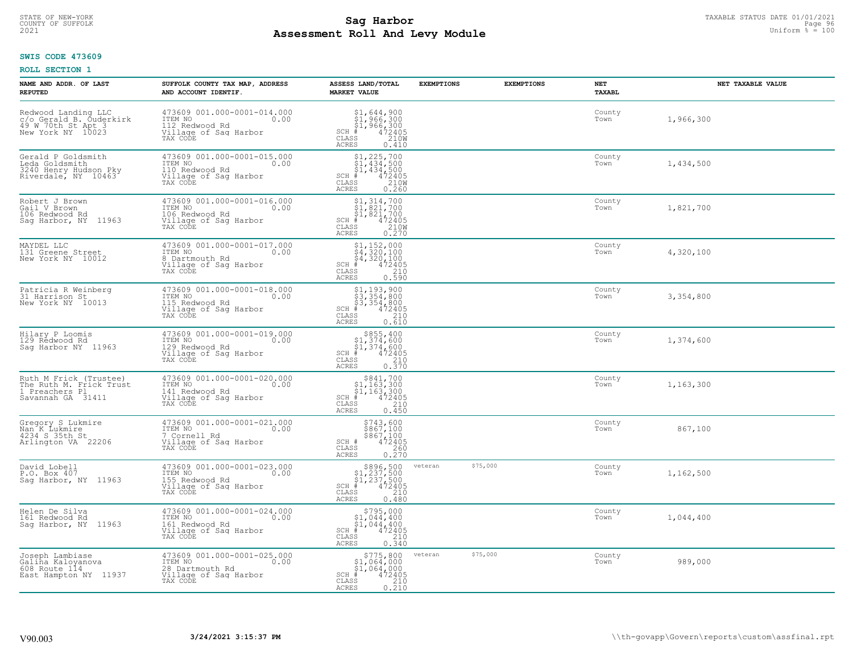# TAXABLE STATUS DATE 01/01/2021<br>COUNTY OF SUFFOLK Page 96 **Assessment Roll And Levy Module Example 2021** Uniform  $\frac{1}{8}$  = 100

# **SWIS CODE 473609**

| NAME AND ADDR. OF LAST<br><b>REPUTED</b>                                                  | SUFFOLK COUNTY TAX MAP, ADDRESS<br>AND ACCOUNT IDENTIF.                                                | ASSESS LAND/TOTAL<br><b>MARKET VALUE</b>                                                                                           | <b>EXEMPTIONS</b>   | <b>EXEMPTIONS</b> | NET<br><b>TAXABL</b> | NET TAXABLE VALUE |
|-------------------------------------------------------------------------------------------|--------------------------------------------------------------------------------------------------------|------------------------------------------------------------------------------------------------------------------------------------|---------------------|-------------------|----------------------|-------------------|
| Redwood Landing LLC<br>c/o Gerald B. Ouderkirk<br>49 W 70th St Apt 3<br>New York NY 10023 | 473609 001.000-0001-014.000<br>ITEM NO<br>0.00<br>112 Redwood Rd<br>Village of Sag Harbor<br>TAX CODE  | $$1,644,900$ $$1,966,300$ $$1,966,300$ $$472405$ $$210M$<br>SCH<br>CLASS<br><b>ACRES</b><br>0.410                                  |                     |                   | County<br>Town       | 1,966,300         |
| Gerald P Goldsmith<br>Leda Goldsmith<br>3240 Henry Hudson Pky<br>Riverdale, NY 10463      | 473609 001.000-0001-015.000<br>ITEM NO<br>0.00<br>110 Redwood Rd<br>Village of Sag Harbor<br>TAX CODE  | $$1, 225, 700$<br>$$1, 434, 500$<br>$$1, 434, 500$<br>$\frac{472405}{210}$<br>$SCH$ #<br>CLASS<br><b>ACRES</b><br>0.260            |                     |                   | County<br>Town       | 1,434,500         |
| Robert J Brown<br>Gail V Brown<br>106 Redwood Rd<br>Saq Harbor, NY 11963                  | 473609 001.000-0001-016.000<br>ITEM NO<br>0.00<br>106 Redwood Rd<br>Village of Sag Harbor<br>TAX CODE  | $$1,314,700$<br>$$1,821,700$<br>$$1,821,700$<br>$472405$<br>$$2100$<br>$SCH$ #<br>CLASS<br>0.270<br><b>ACRES</b>                   |                     |                   | County<br>Town       | 1,821,700         |
| MAYDEL LLC<br>131 Greene Street<br>New York NY 10012                                      | 473609 001.000-0001-017.000<br>ITEM NO<br>0.00<br>8 Dartmouth Rd<br>Village of Sag Harbor<br>TAX CODE  | $$4, 152, 000$<br>$$4, 320, 100$<br>$$4, 320, 100$<br>$*$<br>$*$<br>$*$<br>$*$<br>$SCH$ #<br>CLASS<br>210<br><b>ACRES</b><br>0.590 |                     |                   | County<br>Town       | 4,320,100         |
| Patricia R Weinberg<br>31 Harrison St<br>New York NY 10013                                | 473609 001.000-0001-018.000<br>ITEM NO<br>0.00<br>115 Redwood Rd<br>Village of Sag Harbor<br>TAX CODE  | $$3, 354, 800$<br>$$3, 354, 800$<br>$$3, 354, 800$<br>$472405$<br>$$210$<br>SCH #<br>CLASS<br><b>ACRES</b><br>0.610                |                     |                   | County<br>Town       | 3,354,800         |
| Hilary P Loomis<br>129 Redwood Rd<br>Saq Harbor NY 11963                                  | 473609 001.000-0001-019.000<br>ITEM NO<br>0.00<br>129 Redwood Rd<br>Village of Sag Harbor<br>TAX CODE  | $$855, 400$<br>$$1, 374, 600$<br>$$1, 374, 600$<br>$$472405$<br>$SCH$ #<br>210<br>CLASS<br>0.370<br><b>ACRES</b>                   |                     |                   | County<br>Town       | 1,374,600         |
| Ruth M Frick (Trustee)<br>The Ruth M. Frick Trust<br>1 Preachers Pl<br>Savannah GA 31411  | 473609 001.000-0001-020.000<br>ITEM NO<br>0.00<br>141 Redwood Rd<br>Village of Sag Harbor<br>TAX CODE  | $\begin{array}{c} $841,700 $1,163,300 $1,163,300 # 472405 \end{array}$<br>$SCH$ #<br>CLASS<br>210<br>0.450<br><b>ACRES</b>         |                     |                   | County<br>Town       | 1,163,300         |
| Gregory S Lukmire<br>Nan K Lukmire<br>4234 S 35th St<br>Arlington VA 22206                | 473609 001.000-0001-021.000<br>TTEM NO 0.00<br>7 Cornell Rd<br>Village of Sag Harbor<br>TAX CODE       | \$743,600<br>\$867,100<br>\$867,100<br>472405<br>SCH #<br>CLASS<br>260<br><b>ACRES</b><br>0.270                                    |                     |                   | County<br>Town       | 867,100           |
| David Lobell<br>P.O. Box 407<br>Saq Harbor, NY 11963                                      | 473609 001.000-0001-023.000<br>TTEM NO 0.00<br>155 Redwood Rd<br>Village of Saq Harbor<br>TAX CODE     | $$896,500$<br>$$1,237,500$<br>$$1,237,500$<br>$*$ 472405<br>$SCH$ #<br>CLASS<br>210<br>ACRES<br>0.480                              | \$75,000<br>veteran |                   | County<br>Town       | 1,162,500         |
| Helen De Silva<br>161 Redwood Rd<br>Sag Harbor, NY 11963                                  | 473609 001.000-0001-024.000<br>ITEM NO<br>0.00<br>161 Redwood Rd<br>Village of Sag Harbor<br>TAX CODE  | $$795,000$<br>$$1,044,400$<br>$$1,044,400$<br>SCH #<br>472405<br>210<br>CLASS<br><b>ACRES</b><br>0.340                             |                     |                   | County<br>Town       | 1,044,400         |
| Joseph Lambiase<br>Galiña Kaloyanova<br>608 Route 114<br>East Hampton NY 11937            | 473609 001.000-0001-025.000<br>ITEM NO<br>0.00<br>28 Dartmouth Rd<br>Village of Sag Harbor<br>TAX CODE | \$775,800<br>\$1,064,000<br>\$1,064,000<br>$SCH$ #<br>472405<br>CLASS<br>$\frac{210}{0.210}$<br><b>ACRES</b>                       | \$75,000<br>veteran |                   | County<br>Town       | 989,000           |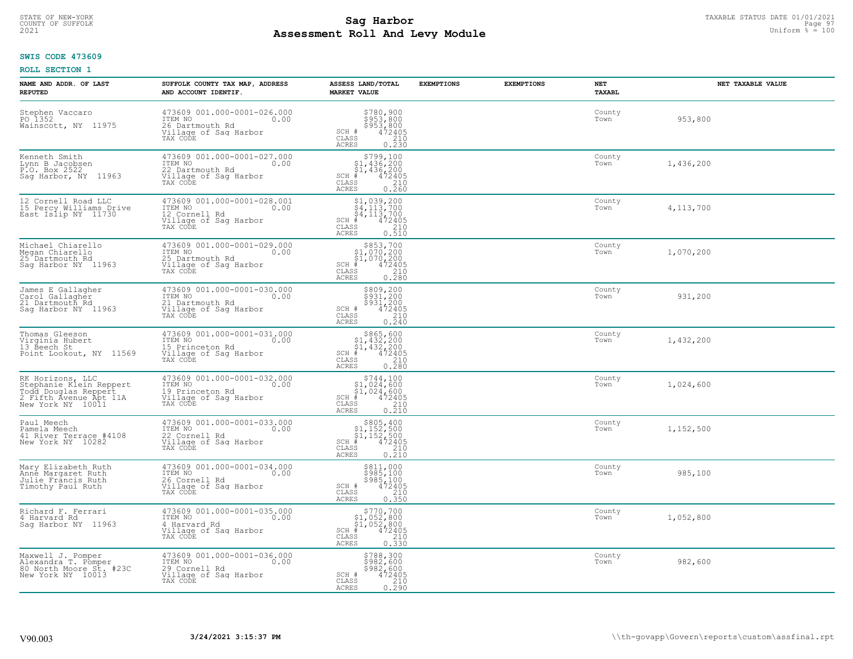# TAXABLE STATUS DATE 01/01/2021<br>COUNTY OF SUFFOLK Page 97 **Assessment Roll And Levy Module Example 2021** Uniform  $\frac{1}{8}$  = 100

#### **SWIS CODE 473609**

| NAME AND ADDR. OF LAST<br><b>REPUTED</b>                                                                           | SUFFOLK COUNTY TAX MAP, ADDRESS<br>AND ACCOUNT IDENTIF.                                                     | ASSESS LAND/TOTAL<br><b>MARKET VALUE</b>                                                                                               | <b>EXEMPTIONS</b> | <b>EXEMPTIONS</b> | NET<br><b>TAXABL</b> | NET TAXABLE VALUE |
|--------------------------------------------------------------------------------------------------------------------|-------------------------------------------------------------------------------------------------------------|----------------------------------------------------------------------------------------------------------------------------------------|-------------------|-------------------|----------------------|-------------------|
| Stephen Vaccaro<br>PO 1352<br>Wainscott, NY 11975                                                                  | 473609 001.000-0001-026.000<br>TTEM NO 0.00<br>0.00<br>26 Dartmouth Rd<br>Village of Sag Harbor<br>TAX CODE | \$780,900<br>\$953,800<br>\$953,800<br>\$953,800<br>SCH #<br>CLASS<br>210<br><b>ACRES</b><br>0.230                                     |                   |                   | County<br>Town       | 953,800           |
| Kenneth Smith<br>Lynn B Jacobsen<br>P.O. Box 2522<br>Sag Harbor, NY 11963                                          | 473609 001.000-0001-027.000<br>ITEM NO<br>0.00<br>22 Dartmouth Rd<br>Village of Sag Harbor<br>TAX CODE      | SCH #<br>CLASS<br><b>ACRES</b><br>0.260                                                                                                |                   |                   | County<br>Town       | 1,436,200         |
| 12 Cornell Road LLC<br>15 Percy Williams Drive<br>East Islip NY 11730                                              | 473609 001.000-0001-028.001<br>ITEM NO<br>0.00<br>12 Cornell Rd<br>Village of Sag Harbor<br>TAX CODE        | $$1,039,200$<br>$$4,113,700$<br>$$4,113,700$<br>472405<br>$SCH$ #<br>CLASS<br>210<br>0.510<br><b>ACRES</b>                             |                   |                   | County<br>Town       | 4, 113, 700       |
| Michael Chiarello<br>Megan Chiarello<br>25 <sup>-</sup> Dartmouth Rd<br>Sag Harbor NY 11963                        | 473609 001.000-0001-029.000<br>ITEM NO<br>0.00<br>25 Dartmouth Rd<br>Village of Saq Harbor<br>TAX CODE      | $$853,700$<br>$$1,070,200$<br>$$1,070,200$<br>$472405$<br>$$210$<br>$SCH$ #<br>CLASS<br>ACRES<br>0.280                                 |                   |                   | County<br>Town       | 1,070,200         |
| James E Gallagher<br>Carol Gallagher<br>21 Dartmouth Rd<br>Sag Harbor NY 11963                                     | 473609 001.000-0001-030.000<br>ITEM NO<br>0.00<br>21 Dartmouth Rd<br>Village of Sag Harbor<br>TAX CODE      | \$809,200<br>\$931,200<br>\$931,200<br>472405<br>SCH #<br>CLASS<br>$\frac{210}{0.240}$<br><b>ACRES</b>                                 |                   |                   | County<br>Town       | 931,200           |
| Thomas Gleeson<br>Virginia Hubert<br>13 Beech St<br>Point Lookout, NY 11569                                        | 473609 001.000-0001-031.000<br>ITEM NO<br>0.00<br>15 Princeton Rd<br>Village of Sag Harbor<br>TAX CODE      | $$865,600$<br>$$1,432,200$<br>$$1,432,200$<br>$SCH$ #<br>$472405$<br>210<br>CLASS<br>0.280<br><b>ACRES</b>                             |                   |                   | County<br>Town       | 1,432,200         |
| RK Horizons, LLC<br>Stephanie Klein Reppert<br>Todd Douglas Reppert<br>2 Fifth Avenue Apt 11A<br>New York NY 10011 | 473609 001.000-0001-032.000<br>ITEM NO<br>0.00<br>19 Princeton Rd<br>Village of Sag Harbor<br>TAX CODE      | \$744,100<br>$$1,024,600$<br>$$1,024,600$<br>$SCH$ #<br>472405<br>$\begin{array}{c} 210 \\ 0.210 \end{array}$<br>CLASS<br><b>ACRES</b> |                   |                   | County<br>Town       | 1,024,600         |
| Paul Meech<br>Pamela Meech<br>41 River Terrace #4108<br>New York NY 10282                                          | 473609 001.000-0001-033.000<br>ITEM NO<br>0.00<br>22 Cornell Rd<br>Village of Sag Harbor<br>TAX CODE        | $$805, 400$<br>$$1, 152, 500$<br>$$1, 152, 500$<br>$$472405$<br>$SCH$ #<br>CLASS<br>$\frac{210}{0.210}$<br>ACRES                       |                   |                   | County<br>Town       | 1,152,500         |
| Mary Elizabeth Ruth<br>Anne Margaret Ruth<br>Julie Francis Ruth<br>Timothy Paul Ruth                               | 473609 001.000-0001-034.000<br>ITEM NO<br>0.00<br>26 Cornell Rd<br>Village of Sag Harbor<br>TAX CODE        | \$811,000<br>\$985,100<br>\$985,100<br>472405<br>SCH #<br>CLASS<br>210<br><b>ACRES</b><br>0.350                                        |                   |                   | County<br>Town       | 985,100           |
| Richard F. Ferrari<br>4 Harvard Rd<br>Sag Harbor NY 11963                                                          | 473609 001.000-0001-035.000<br>ITEM NO<br>0.00<br>4 Harvard Rd<br>Village of Sag Harbor<br>TAX CODE         | $\texttt{SCH}_{\_}\#$<br>CLASS<br>0.330<br><b>ACRES</b>                                                                                |                   |                   | County<br>Town       | 1,052,800         |
| Maxwell J. Pomper<br>Alexandra T. Pomper<br>80 North Moore St. #23C<br>New York NY 10013                           | 473609 001.000-0001-036.000<br>ITEM NO<br>0.00<br>29 Cornell Rd<br>Village of Sag Harbor<br>TAX CODE        | \$788,300<br>\$982,600<br>\$982,600<br>SCH #<br>472405<br>210<br>CLASS<br><b>ACRES</b><br>0.290                                        |                   |                   | County<br>Town       | 982,600           |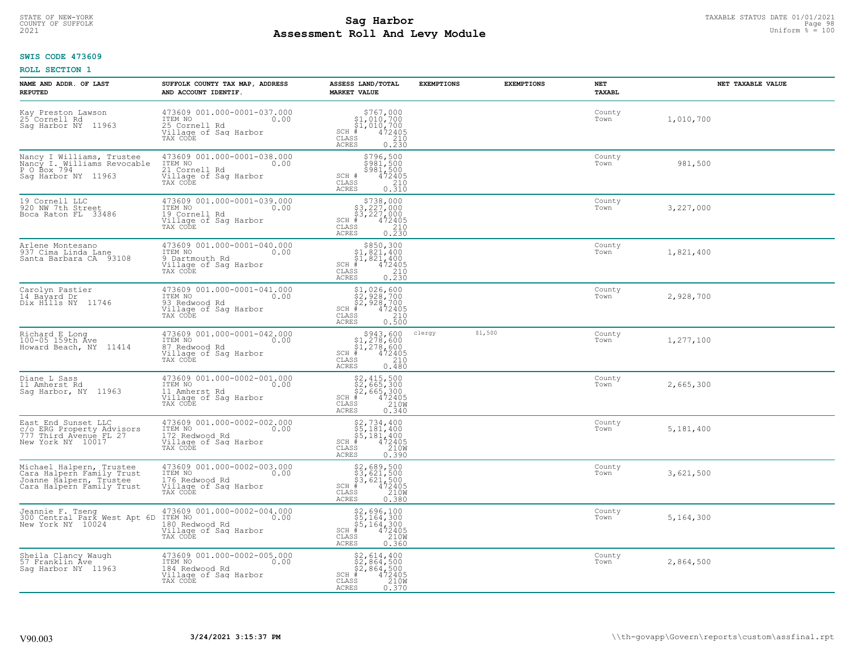# TAXABLE STATUS DATE 01/01/2021 **Sag Harbor** COUNTY OF SUFFOLK Page 98 **Assessment Roll And Levy Module Example 2021** Uniform  $\frac{1}{8}$  = 100

# **SWIS CODE 473609**

| NAME AND ADDR. OF LAST<br><b>REPUTED</b>                                                                      | SUFFOLK COUNTY TAX MAP, ADDRESS<br>AND ACCOUNT IDENTIF.                                                | ASSESS LAND/TOTAL<br><b>MARKET VALUE</b>                                                                                                    | <b>EXEMPTIONS</b> | <b>EXEMPTIONS</b> | NET<br>TAXABL  | NET TAXABLE VALUE |
|---------------------------------------------------------------------------------------------------------------|--------------------------------------------------------------------------------------------------------|---------------------------------------------------------------------------------------------------------------------------------------------|-------------------|-------------------|----------------|-------------------|
| Kay Preston Lawson<br>25 Cornell Rd<br>Saq Harbor NY<br>11963                                                 | 473609 001.000-0001-037.000<br>ITEM NO<br>0.00<br>25 Cornell Rd<br>Village of Sag Harbor<br>TAX CODE   | $$767,000§1,010,700§1,010,700# 472405§5210$<br>$SCH$ #<br>CLASS<br><b>ACRES</b><br>0.230                                                    |                   |                   | County<br>Town | 1,010,700         |
| Nancy I Williams, Trustee<br>Nancy I. Williams Revocable<br>P O Box 794<br>Sag Harbor NY 11963                | 473609 001.000-0001-038.000<br>ITEM NO<br>0.00<br>21 Cornell Rd<br>Village of Sag Harbor<br>TAX CODE   | \$796,500<br>\$981,500<br>\$981,500<br>SCH #<br>472405<br>CLASS<br>$\frac{210}{0.310}$<br>ACRES                                             |                   |                   | County<br>Town | 981,500           |
| 19 Cornell LLC<br>920 NW 7th Street<br>Boca Raton FL 33486                                                    | 473609 001.000-0001-039.000<br>ITEM NO<br>0.00<br>19 Cornell Rd<br>Village of Sag Harbor<br>TAX CODE   | $$738,000$<br>$$3,227,000$<br>$$3,227,000$<br>$$472405$<br>$SCH$ #<br>CLASS<br>210<br>0.230<br>ACRES                                        |                   |                   | County<br>Town | 3,227,000         |
| Arlene Montesano<br>937 Cima Linda Lane<br>Santa Barbara CA 93108                                             | $473609001.000-0001-040.000$<br>ITEM NO<br>0.00<br>9 Dartmouth Rd<br>Village of Sag Harbor<br>TAX CODE | $$850,300$<br>$$1,821,400$<br>$$1,821,400$<br>$*$<br>$*$<br>$472405$<br>$SCH$ #<br>CLASS<br>210<br>0.230<br><b>ACRES</b>                    |                   |                   | County<br>Town | 1,821,400         |
| Carolyn Pastier<br>14 Bayard Dr<br>Dix Hills NY 11746                                                         | 473609 001.000-0001-041.000<br>ITEM NO<br>0.00<br>93 Redwood Rd<br>Village of Sag Harbor<br>TAX CODE   | $$1,026,600$<br>$$2,928,700$<br>$$2,928,700$<br>$472405$<br>$$2,928$<br>$$210$<br>$SCH$ #<br>CLASS<br><b>ACRES</b><br>0.500                 |                   |                   | County<br>Town | 2,928,700         |
| Richard E Long<br>100-05 159th Ave<br>Howard Beach, NY 11414                                                  | 473609 001.000-0001-042.000<br>ITEM NO<br>0.00<br>87 Redwood Rd<br>Village of Sag Harbor<br>TAX CODE   | $\begin{array}{r} 5943, 600 \\ 51, 278, 600 \\ 51, 278, 600 \\ \pm 472405 \\ 55 & 210 \\ \end{array}$<br>$SCH$ #<br>CLASS<br>0.480<br>ACRES | clergy            | \$1,500           | County<br>Town | 1,277,100         |
| Diane L Sass<br>11 Amherst Rd<br>Saq Harbor, NY 11963                                                         | 473609 001.000-0002-001.000<br>ITEM NO<br>0.00<br>11 Amherst Rd<br>Village of Sag Harbor<br>TAX CODE   | \$2,415,500<br>\$2,665,300<br>\$2,665,300<br># 472405<br>\$5 210M<br>$SCH$ #<br>CLASS<br><b>ACRES</b><br>0.340                              |                   |                   | County<br>Town | 2,665,300         |
| East End Sunset LLC<br>c/o ERG Property Advisors<br>777 Third Avenue FL 27<br>New York NY 10017               | 473609 001.000-0002-002.000<br>TTEM NO 0.00<br>172 Redwood Rd<br>Village of Sag Harbor<br>TAX CODE     | $$2,734,400$<br>$$5,181,400$<br>$$5,181,400$<br>$472405$<br>$$2100$<br>$SCH$ #<br>CLASS<br><b>ACRES</b><br>0.390                            |                   |                   | County<br>Town | 5,181,400         |
| Michael Halpern, Trustee<br>Cara Halpern Family Trust<br>Joanne Halpern, Trustee<br>Cara Halpern Family Trust | 473609 001.000-0002-003.000<br>10.00 0.00<br>176 Redwood Rd<br>Village of Sag Harbor<br>TAX CODE       | $$2,689,500$<br>$$3,621,500$<br>$$3,621,500$<br>$$472405$<br>$$2100$<br>$SCH$ #<br>CLASS<br><b>ACRES</b><br>0.380                           |                   |                   | County<br>Town | 3,621,500         |
| Jeannie F. Tseng<br>300 Central Park West Apt 6D<br>New York NY 10024                                         | 473609 001.000-0002-004.000<br>ITEM NO<br>0.00<br>180 Redwood Rd<br>Village of Sag Harbor<br>TAX CODE  | \$2,696,100<br>\$5,164,300<br>\$5,164,300<br># 472405<br>\$8 210M<br>$SCH$ #<br>CLASS<br><b>ACRES</b><br>0.360                              |                   |                   | County<br>Town | 5,164,300         |
| Sheila Clancy Waugh<br>57 Franklin Ave<br>Sag Harbor NY 11963                                                 | 473609 001.000-0002-005.000<br>ITEM NO<br>0.00<br>184 Redwood Rd<br>Village of Sag Harbor<br>TAX CODE  | $$2,614,400$<br>$$2,864,500$<br>$$2,864,500$<br>$SCH$ #<br>472405<br>210W<br>CLASS<br>ACRES<br>0.370                                        |                   |                   | County<br>Town | 2,864,500         |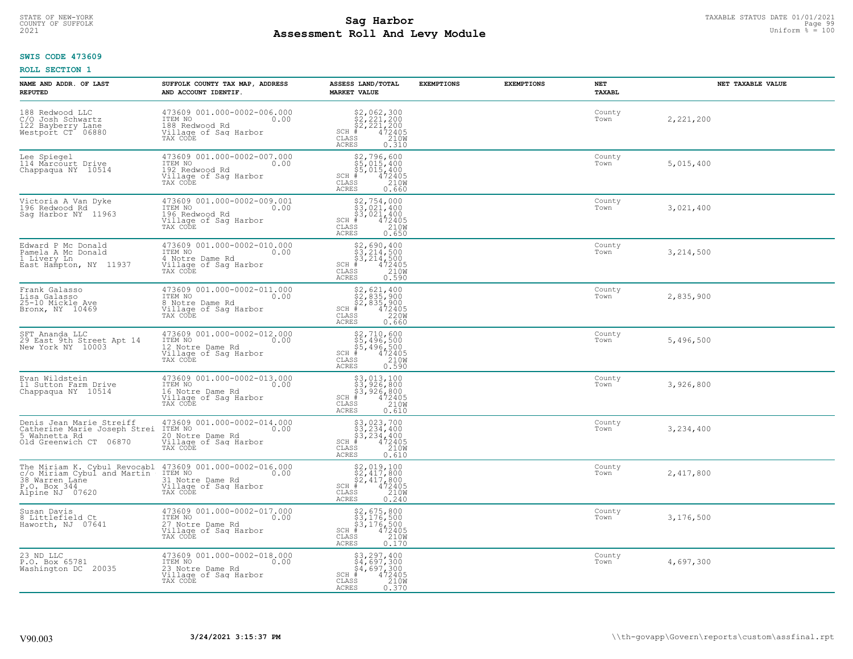# TAXABLE STATUS DATE 01/01/2021 **Sag Harbor** COUNTY OF SUFFOLK Page 99 **Assessment Roll And Levy Module Example 2021** Uniform  $\frac{1}{8}$  = 100

#### **SWIS CODE 473609**

| NAME AND ADDR. OF LAST<br><b>REPUTED</b>                                                                         | SUFFOLK COUNTY TAX MAP, ADDRESS<br>AND ACCOUNT IDENTIF.                                                 | ASSESS LAND/TOTAL<br><b>MARKET VALUE</b>                                                                                                    | <b>EXEMPTIONS</b> | <b>EXEMPTIONS</b> | NET<br>TAXABL  | NET TAXABLE VALUE |
|------------------------------------------------------------------------------------------------------------------|---------------------------------------------------------------------------------------------------------|---------------------------------------------------------------------------------------------------------------------------------------------|-------------------|-------------------|----------------|-------------------|
| 188 Redwood LLC<br>C/O Josh Schwartz<br>122 Bayberry Lane<br>Westport CT 06880                                   | 473609 001.000-0002-006.000<br>ITEM NO<br>0.00<br>188 Redwood Rd<br>Village of Sag Harbor<br>TAX CODE   | $$2,062,300$<br>$$2,221,200$<br>$$2,221,200$<br>$472405$<br>$$210M$<br>$SCH$ #<br>CLASS<br><b>ACRES</b><br>0.310                            |                   |                   | County<br>Town | 2,221,200         |
| Lee Spiegel<br>114 Marcourt Drive<br>Chappaqua NY 10514                                                          | 473609 001.000-0002-007.000<br>ITEM NO<br>0.00<br>192 Redwood Rd<br>Village of Sag Harbor<br>TAX CODE   | \$2,796,600<br>\$5,015,400<br>\$5,015,400<br>$\frac{472405}{2100}$<br>$SCH$ #<br>CLASS<br><b>ACRES</b><br>0.660                             |                   |                   | County<br>Town | 5,015,400         |
| Victoria A Van Dyke<br>196 Redwood Rd<br>Sag Harbor NY 11963                                                     | 473609 001.000-0002-009.001<br>ITEM NO<br>0.00<br>196 Redwood Rd<br>Village of Sag Harbor<br>TAX CODE   | \$2,754,000<br>\$3,021,400<br>\$3,021,400<br>$SCH$ #<br>$\frac{472405}{210W}$<br>CLASS<br>ACRES<br>0.650                                    |                   |                   | County<br>Town | 3,021,400         |
| Edward P Mc Donald<br>Pamela A Mc Donald<br>1 Livery Ln<br>East Hampton, NY 11937                                | 473609 001.000-0002-010.000<br>ITEM NO<br>0.00<br>4 Notre Dame Rd<br>Village of Sag Harbor<br>TAX CODE  | $$2,690,400$<br>$$3,214,500$<br>$$3,214,500$<br>$$472405$<br>$$2100$<br>$$2100$<br>$SCH$ #<br>CLASS<br><b>ACRES</b><br>0.590                |                   |                   | County<br>Town | 3,214,500         |
| Frank Galasso<br>Lisa Galasso<br>25-10 Mickle Ave<br>Bronx, NY 10469                                             | 473609 001.000-0002-011.000<br>ITEM NO<br>0.00<br>8 Notre Dame Rd<br>Village of Sag Harbor<br>TAX CODE  | $$2,621,400$<br>$$2,835,900$<br>$$2,835,900$<br>$$472405$<br>$$2200$<br>$SCH$ #<br>CLASS<br><b>ACRES</b><br>0.660                           |                   |                   | County<br>Town | 2,835,900         |
| SFT Ananda LLC<br>29 East 9th Street Apt 14<br>New York NY 10003                                                 | 473609 001.000-0002-012.000<br>ITEM NO<br>0.00<br>12 Notre Dame Rd<br>Village of Sag Harbor<br>TAX CODE | \$2,710,600<br>\$5,496,500<br>\$5,496,500<br># 472405<br>\$8 210M<br>$SCH$ #<br>CLASS<br><b>ACRES</b><br>0.590                              |                   |                   | County<br>Town | 5,496,500         |
| Evan Wildstein<br>11 Sutton Farm Drive<br>Chappaqua NY 10514                                                     | 473609 001.000-0002-013.000<br>ITEM NO<br>0.00<br>16 Notre Dame Rd<br>Village of Sag Harbor<br>TAX CODE | \$3,013,100<br>\$3,926,800<br>\$3,926,800<br># 472405<br>\$5 210M<br>$SCH$ #<br>CLASS<br><b>ACRES</b><br>0.610                              |                   |                   | County<br>Town | 3,926,800         |
| Denis Jean Marie Streiff<br>Catherine Marie Joseph Strei<br>5 Wahnetta Rd<br>Old Greenwich CT 06870              | 473609 001.000-0002-014.000<br>ITEM NO 0.00<br>20 Notre Dame Rd<br>Village of Sag Harbor<br>TAX CODE    | $\begin{array}{l} 53,023,700 \\ 53,234,400 \\ 53,234,400 \\ \pm 472405 \\ 55 & 210M \end{array}$<br>SCH #<br>CLASS<br><b>ACRES</b><br>0.610 |                   |                   | County<br>Town | 3,234,400         |
| The Miriam K. Cybul Revocabl<br>c/o_Miriam_Cybul and Martin<br>38 Warren Lane<br>P.O. Box 344<br>Alpine NJ 07620 | 473609 001.000-0002-016.000<br>ITEM NO 0.00<br>31 Notre Dame Rd<br>Village of Sag Harbor<br>TAX CODE    | $$2,019,100\n$2,417,800\n$2,417,800\n# 472405\n210M\n35$<br>SCH #<br>CLASS<br><b>ACRES</b><br>0.240                                         |                   |                   | County<br>Town | 2,417,800         |
| Susan Davis<br>8 Littlefield Ct<br>Haworth, NJ 07641                                                             | 473609 001.000-0002-017.000<br>ITEM NO<br>0.00<br>27 Notre Dame Rd<br>Village of Sag Harbor<br>TAX CODE | \$2,675,800<br>\$3,176,500<br>\$3,176,500<br># 472405<br>\$5 210M<br>$SCH$ #<br>CLASS<br><b>ACRES</b><br>0.170                              |                   |                   | County<br>Town | 3,176,500         |
| 23 ND LLC<br>P.O. Box 65781<br>Washington DC 20035                                                               | 473609 001.000-0002-018.000<br>ITEM NO<br>0.00<br>23 Notre Dame Rd<br>Village of Sag Harbor<br>TAX CODE | $$3,297,400$<br>$$4,697,300$<br>$$4,697,300$<br>$472405$<br>$$210M$<br>$SCH$ #<br>CLASS<br><b>ACRES</b><br>0.370                            |                   |                   | County<br>Town | 4,697,300         |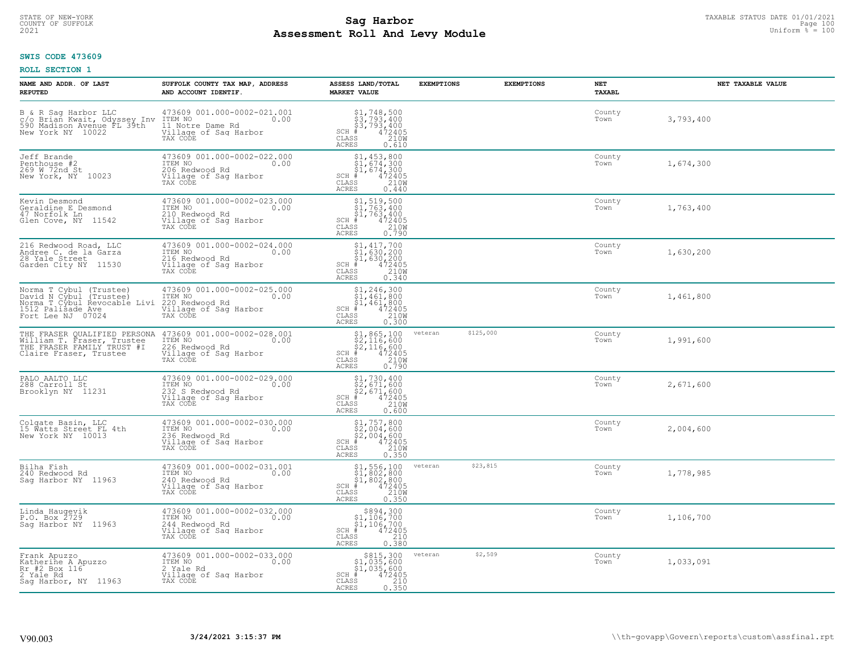# STATE OF NEW-YORK TAXABLE STATUS DATE 01/01/2021<br>COUNTY OF SUFFOLK Page 100 Page 100 **Assessment Roll And Levy Module Example 2021** Uniform  $\frac{1}{8}$  = 100

#### **SWIS CODE 473609**

| NAME AND ADDR. OF LAST<br><b>REPUTED</b>                                                                                            | SUFFOLK COUNTY TAX MAP, ADDRESS<br>AND ACCOUNT IDENTIF.                                                 | ASSESS LAND/TOTAL<br><b>MARKET VALUE</b>                                                                                                                                                                                                                                                                                                                                                             | <b>EXEMPTIONS</b> | <b>EXEMPTIONS</b> | NET<br><b>TAXABL</b> | NET TAXABLE VALUE |
|-------------------------------------------------------------------------------------------------------------------------------------|---------------------------------------------------------------------------------------------------------|------------------------------------------------------------------------------------------------------------------------------------------------------------------------------------------------------------------------------------------------------------------------------------------------------------------------------------------------------------------------------------------------------|-------------------|-------------------|----------------------|-------------------|
| B & R Sag Harbor LLC 473609<br>c/o Brian Kwait, Odyssey Inv ITEM NO<br>590 Madison Avenue FL 39th 11 Notr<br>New York NY 10022 1111 | 473609 001.000-0002-021.001<br>0.00<br>11 Notre Dame Rd<br>Village of Sag Harbor<br>TAX CODE            | $$ \begin{array}{l} $1,748,500 \ $3,793,400 \ $53,793,400 \ $4$ \end{array} \qquad \, \begin{array}{l} $400 \ $3,793,400 \ $4$ \end{array} \qquad \, \begin{array}{l} $42405 \ $2100 \ $4$ \end{array} \end{array} \nonumber$<br>$SCH$ #<br>CLASS<br><b>ACRES</b><br>0.610                                                                                                                           |                   |                   | County<br>Town       | 3,793,400         |
| Jeff Brande<br>Penthouse #2<br>269 W 72nd St<br>New York, NY 10023                                                                  | 473609 001.000-0002-022.000<br>ITEM NO<br>0.00<br>206 Redwood Rd<br>Village of Sag Harbor<br>TAX CODE   | $$1, 453, 800$<br>$$1, 674, 300$<br>$$1, 674, 300$<br>$$472405$<br>$SCH$ #<br>CLASS<br>210W<br><b>ACRES</b><br>0.440                                                                                                                                                                                                                                                                                 |                   |                   | County<br>Town       | 1,674,300         |
| Kevin Desmond<br>Geraldine E Desmond<br>47 Norfolk Ln<br>Glen Cove, NY<br>11542                                                     | 473609 001.000-0002-023.000<br>ITEM NO<br>0.00<br>210 Redwood Rd<br>Village of Sag Harbor<br>TAX CODE   | $$1, 519, 500$<br>$$1, 763, 400$<br>$$1, 763, 400$<br>$472405$<br>$$2100$<br>$$2100$<br>$SCH$ #<br>CLASS<br><b>ACRES</b><br>0.790                                                                                                                                                                                                                                                                    |                   |                   | County<br>Town       | 1,763,400         |
| 216 Redwood Road, LLC<br>Andree C. de la Garza<br>28 Yale Street<br>Garden City NY 11530                                            | 473609 001.000-0002-024.000<br>ITEM NO<br>0.00<br>216 Redwood Rd<br>Village of Sag Harbor<br>TAX CODE   | $\begin{array}{l} \text{\small $51$, $417$, 700} \\ \text{\small $51$, 630, 200} \\ \text{\small $51$, 630, 200} \\ \text{\small $4$} \\ \text{\small $72405} \\ \text{\small $58$} \\ \text{\small $210W$} \\ \text{\small $63$} \\ \text{\small $63$} \\ \text{\small $63$} \\ \text{\small $63$} \\ \text{\small $63$} \\ \text{\small $7340} \\ \end{array}$<br>$SCH$ #<br>CLASS<br><b>ACRES</b> |                   |                   | County<br>Town       | 1,630,200         |
| Norma T Cybul (Trustee)<br>David N Cybul (Trustee)<br>Norma T Cybul Revocable Livi<br>1512 Palisade Ave<br>Fort Lee NJ 07024        | 473609 001.000-0002-025.000<br>ITEM NO<br>0.00<br>220 Redwood Rd<br>Village of Sag Harbor<br>TAX CODE   | $$1, 246, 300$<br>$$1, 461, 800$<br>$$1, 461, 800$<br>$472405$<br>$$2100$<br>SCH #<br>CLASS<br><b>ACRES</b><br>0.300                                                                                                                                                                                                                                                                                 |                   |                   | County<br>Town       | 1,461,800         |
| THE FRASER QUALIFIED PERSONA<br>William T. Fraser, Trustee<br>THE FRASER FAMILY TRUST #I<br>Claire Fraser, Trustee                  | 473609 001.000-0002-028.001<br>ITEM NO<br>0.00<br>226 Redwood Rd<br>Village of Sag Harbor<br>TAX CODE   | $\begin{array}{r} \text{\small $51$, 865, 100} \\ \text{\small $52$, 116, 600} \\ \text{\small $52$, 116, 600} \\ \text{\small $4$} \\ \text{\small $72405} \\ \text{\small $85$} \\ \text{\small $210W} \\ \text{\small $15$} \\ \text{\small $25$} \\ \end{array}$<br>SCH #<br>CLASS<br><b>ACRES</b>                                                                                               | veteran           | \$125,000         | County<br>Town       | 1,991,600         |
| PALO AALTO LLC<br>288 Carroll St<br>Brooklyn NY 11231                                                                               | 473609 001.000-0002-029.000<br>ITEM NO<br>0.00<br>232 S Redwood Rd<br>Village of Sag Harbor<br>TAX CODE | $$1,730,400$<br>$$2,671,600$<br>$$2,671,600$<br>$$472405$<br>$SCH$ #<br>CLASS<br>210W<br><b>ACRES</b><br>0.600                                                                                                                                                                                                                                                                                       |                   |                   | County<br>Town       | 2,671,600         |
| Colgate Basin, LLC<br>15 Watts Street FL 4th<br>New York NY 10013                                                                   | 473609 001.000-0002-030.000<br>TTEM NO 0.00<br>236 Redwood Rd<br>Village of Sag Harbor<br>TAX CODE      | $$2,004,600$ $$2,004,600$ $$4,004$ $$472405$ $$2,004$ $$210M$<br>$SCH$ #<br>CLASS<br><b>ACRES</b><br>0.350                                                                                                                                                                                                                                                                                           |                   |                   | County<br>Town       | 2,004,600         |
| Bilha Fish<br>240 Redwood Rd<br>Sag Harbor NY 11963                                                                                 | 473609 001.000-0002-031.001<br>ITEM NO 0.00<br>240 Redwood Rd<br>Village of Sag Harbor<br>TAX CODE      | $$1,556,100$<br>$$1,802,800$<br>$$1,802,800$<br>$472405$<br>$$210M$<br>$SCH$ #<br>CLASS<br><b>ACRES</b><br>0.350                                                                                                                                                                                                                                                                                     | veteran           | \$23,815          | County<br>Town       | 1,778,985         |
| Linda Haugevik<br>P.O. Box 2729<br>Sag Harbor NY 11963                                                                              | 473609 001.000-0002-032.000<br>ITEM NO<br>0.00<br>244 Redwood Rd<br>Village of Sag Harbor<br>TAX CODE   | $$894,300\n$1,106,700\n$1,106,700\n# 472405\n85\n210$<br>$SCH$ #<br>CLASS<br>0.380<br><b>ACRES</b>                                                                                                                                                                                                                                                                                                   |                   |                   | County<br>Town       | 1,106,700         |
| Frank Apuzzo<br>Katherine A Apuzzo<br>Rr #2 Box 116<br>2 Yale Rd<br>Saq Harbor, NY 11963                                            | 473609 001.000-0002-033.000<br>ITEM NO<br>0.00<br>2 Yale Rd<br>Village of Sag Harbor<br>TAX CODE        | \$815,300<br>\$1,035,600<br>\$1,035,600<br>$SCH$ #<br>472405<br>CLASS<br>210<br><b>ACRES</b><br>0.350                                                                                                                                                                                                                                                                                                | veteran           | \$2,509           | County<br>Town       | 1,033,091         |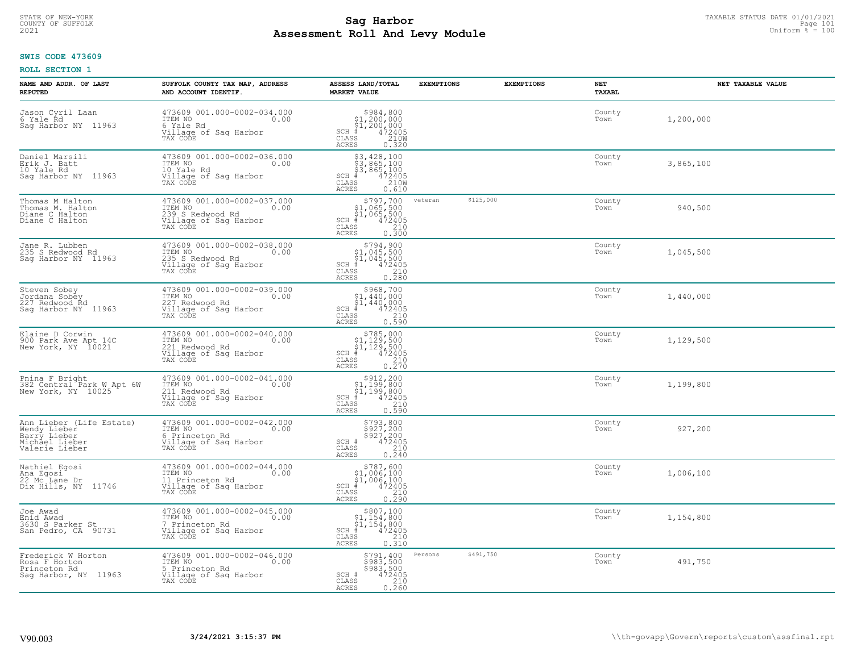# STATE OF NEW-YORK TAXABLE STATUS DATE 01/01/2021<br>COUNTY OF SUFFOLK Page 101 Page 101 **Assessment Roll And Levy Module Example 2021** Uniform  $\frac{1}{8}$  = 100

#### **SWIS CODE 473609**

| NAME AND ADDR. OF LAST<br><b>REPUTED</b>                                                     | SUFFOLK COUNTY TAX MAP, ADDRESS<br>AND ACCOUNT IDENTIF.                                                 | ASSESS LAND/TOTAL<br><b>MARKET VALUE</b>                                                                                                                           | <b>EXEMPTIONS</b> | <b>EXEMPTIONS</b> | NET<br><b>TAXABL</b> | NET TAXABLE VALUE |
|----------------------------------------------------------------------------------------------|---------------------------------------------------------------------------------------------------------|--------------------------------------------------------------------------------------------------------------------------------------------------------------------|-------------------|-------------------|----------------------|-------------------|
| Jason Cyril Laan<br>6 Yale Rd<br>Saq Harbor NY 11963                                         | 473609 001.000-0002-034.000<br>10.00 0.00<br>6 Yale Rd<br>Village of Sag Harbor<br>TAX CODE             | $$984,800\n$1,200,000\n$1,200,000\n# 472405\n35\n210M$<br>$SCH$ #<br>CLASS<br><b>ACRES</b><br>0.320                                                                |                   |                   | County<br>Town       | 1,200,000         |
| Daniel Marsili<br>Erik J. Batt<br>10 Yale Rd<br>Saq Harbor NY 11963                          | 473609 001.000-0002-036.000<br>ITEM NO<br>0.00<br>10 Yale Rd<br>Village of Sag Harbor<br>TAX CODE       | \$3,428,100<br>\$3,865,100<br>\$3,865,100<br># 472405<br>\$5 210M<br>$SCH$ #<br>CLASS<br><b>ACRES</b><br>0.610                                                     |                   |                   | County<br>Town       | 3,865,100         |
| Thomas M Halton<br>Thomas M. Halton<br>Diane C Halton<br>Diane C Halton                      | 473609 001.000-0002-037.000<br>ITEM NO<br>0.00<br>239 S Redwood Rd<br>Village of Sag Harbor<br>TAX CODE | \$797,700<br>$\begin{array}{c} $1,065,500\\ $1,065,500\\ * &472405 \end{array}$<br>$SCH$ #<br>CLASS<br>$\begin{array}{c} 210 \\ 0.300 \end{array}$<br><b>ACRES</b> | veteran           | \$125,000         | County<br>Town       | 940,500           |
| Jane R. Lubben<br>235 S Redwood Rd<br>Sag Harbor NY 11963                                    | 473609 001.000-0002-038.000<br>ITEM NO<br>0.00<br>235 S Redwood Rd<br>Village of Sag Harbor<br>TAX CODE | $$794,900$ $$1,045,500$ $$1,045,500$<br>SCH #<br>CLASS<br>472405<br>$\frac{210}{0.280}$<br>ACRES                                                                   |                   |                   | County<br>Town       | 1,045,500         |
| Steven Sobey<br>Jordana Sobey<br>227 Redwood Rd<br>Sag Harbor NY 11963                       | 473609 001.000-0002-039.000<br>ITEM NO<br>0.00<br>227 Redwood Rd<br>Village of Sag Harbor<br>TAX CODE   | \$968,700<br>\$1,440,000<br>$\frac{1}{4}$ , 440, 000<br>472405<br>$SCH$ $#$<br>CLASS<br>210<br><b>ACRES</b><br>0.590                                               |                   |                   | County<br>Town       | 1,440,000         |
| Elaine D Corwin<br>900 Park Ave Apt 14C<br>New York, NY 10021                                | 473609 001.000-0002-040.000<br>ITEM NO<br>0.00<br>221 Redwood Rd<br>Village of Sag Harbor<br>TAX CODE   | $$785,000$<br>$$1,129,500$<br>$$1,129,500$<br>$472405$<br>$$210$<br>$SCH$ #<br>CLASS<br>0.270<br><b>ACRES</b>                                                      |                   |                   | County<br>Town       | 1,129,500         |
| Pnina F Bright<br>382 Central Park W Apt 6W<br>New York, NY 10025                            | 473609 001.000-0002-041.000<br>ITEM NO<br>0.00<br>211 Redwood Rd<br>Village of Sag Harbor<br>TAX CODE   | $$^{5912}_{51},^{200}_{199},^{200}_{800}$<br>$$^{1}_{51},^{199},^{800}_{472405}$<br>$SCH$ #<br>210<br>CLASS<br>0.590<br><b>ACRES</b>                               |                   |                   | County<br>Town       | 1,199,800         |
| Ann Lieber (Life Estate)<br>Wendy Lieber<br>Barry Lieber<br>Michael Lieber<br>Valerie Lieber | 473609 001.000-0002-042.000<br>ITEM NO<br>0.00<br>6 Princeton Rd<br>Village of Sag Harbor<br>TAX CODE   | \$793,800<br>\$927,200<br>\$927,200<br>\$927,200<br>SCH #<br>CLASS<br>$\begin{array}{c} 210 \\ 0.240 \end{array}$<br><b>ACRES</b>                                  |                   |                   | County<br>Town       | 927,200           |
| Nathiel Egosi<br>Ana Egosi<br>22 Mc Lane Dr<br>Dix Hills, NY 11746                           | 473609 001.000-0002-044.000<br>ITEM NO<br>0.00<br>11 Princeton Rd<br>Village of Sag Harbor<br>TAX CODE  | $$787,600\$1,006,100\$1,006,100#1,0472405$<br>$SCH$ #<br>CLASS<br>$\frac{210}{0.290}$<br><b>ACRES</b>                                                              |                   |                   | County<br>Town       | 1,006,100         |
| Joe Awad<br>Enid Awad<br>3630 S Parker St<br>San Pedro, CA 90731                             | 473609 001.000-0002-045.000<br>ITEM NO<br>0.00<br>7 Princeton Rd<br>Village of Sag Harbor<br>TAX CODE   | \$807,100<br>\$1,154,800<br>$\frac{1}{6}$<br>$\frac{1}{4}$ , 154, 800<br>$\frac{1}{4}$<br>$\frac{2405}{210}$<br>$SCH$ #<br>CLASS<br><b>ACRES</b><br>0.310          |                   |                   | County<br>Town       | 1,154,800         |
| Frederick W Horton<br>Rosa F Horton<br>Princeton Rd<br>Sag Harbor, NY 11963                  | 473609 001.000-0002-046.000<br>ITEM NO<br>0.00<br>5 Princeton Rd<br>Village of Sag Harbor<br>TAX CODE   | \$791,400<br>\$983,500<br>\$983,500<br>472405<br>SCH #<br>210<br>CLASS<br><b>ACRES</b><br>0.260                                                                    | Persons           | \$491,750         | County<br>Town       | 491,750           |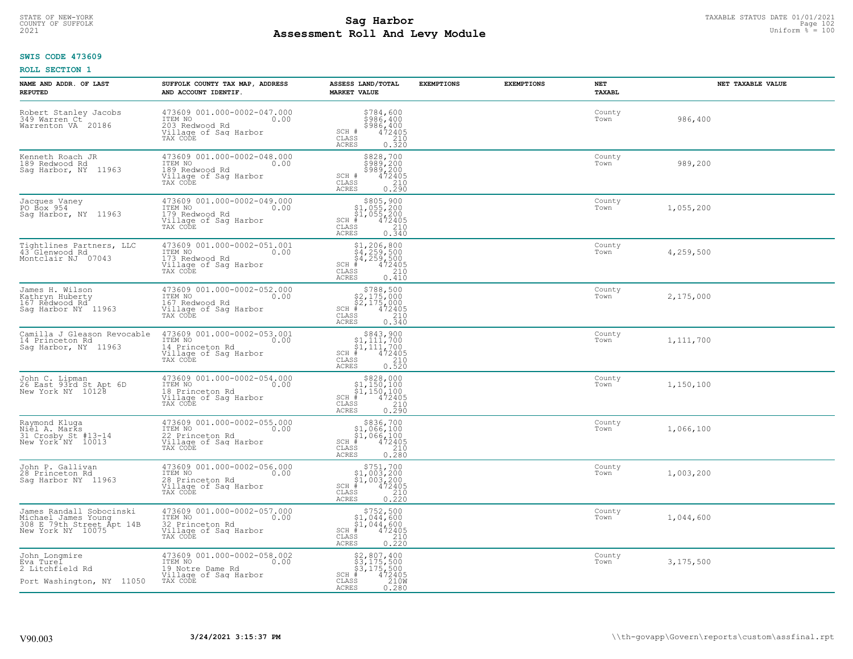# TAXABLE STATUS DATE 01/01/2021<br>COUNTY OF SUFFOLK Page 102 Page 102 **Assessment Roll And Levy Module Example 2021** Uniform  $\frac{1}{8}$  = 100

#### **SWIS CODE 473609**

| NAME AND ADDR. OF LAST<br><b>REPUTED</b>                                                          | SUFFOLK COUNTY TAX MAP, ADDRESS<br>AND ACCOUNT IDENTIF.                                                 | ASSESS LAND/TOTAL<br><b>MARKET VALUE</b>                                                                                                   | <b>EXEMPTIONS</b> | <b>EXEMPTIONS</b> | NET<br><b>TAXABL</b> | NET TAXABLE VALUE |
|---------------------------------------------------------------------------------------------------|---------------------------------------------------------------------------------------------------------|--------------------------------------------------------------------------------------------------------------------------------------------|-------------------|-------------------|----------------------|-------------------|
| Robert Stanley Jacobs<br>349 Warren Ct<br>Warrenton VA 20186                                      | 473609 001.000-0002-047.000<br>ITEM NO<br>0.00<br>203 Redwood Rd<br>Village of Sag Harbor<br>TAX CODE   | \$784,600<br>\$986,400<br>\$986,400<br>SCH #<br>$\frac{472405}{210}$<br>CLASS<br><b>ACRES</b><br>0.320                                     |                   |                   | County<br>Town       | 986,400           |
| Kenneth Roach JR<br>189 Redwood Rd<br>Sag Harbor, NY 11963                                        | 473609 001.000-0002-048.000<br>ITEM NO<br>0.00<br>189 Redwood Rd<br>Village of Sag Harbor<br>TAX CODE   | \$828,700<br>\$989,200<br>\$989,200<br>\$989,200<br>SCH #<br>CLASS<br>$\frac{210}{0.290}$<br><b>ACRES</b>                                  |                   |                   | County<br>Town       | 989,200           |
| Jacques Vaney<br>PO Box 954<br>Sag Harbor, NY 11963                                               | 473609 001.000-0002-049.000<br>ITEM NO<br>0.00<br>179 Redwood Rd<br>Village of Sag Harbor<br>TAX CODE   | $\begin{array}{c} $805,900 $1,055,200 $1,055,200 # 472405 \end{array}$<br>$SCH$ #<br>CLASS<br>210<br><b>ACRES</b><br>0.340                 |                   |                   | County<br>Town       | 1,055,200         |
| Tightlines Partners, LLC<br>43 Glenwood Rd<br>Montclair NJ 07043                                  | 473609 001.000-0002-051.001<br>ITEM NO<br>0.00<br>173 Redwood Rd<br>Village of Sag Harbor<br>TAX CODE   | $$1, 206, 800$<br>$$4, 259, 500$<br>$$4, 259, 500$<br>$$4, 259, 500$<br>$$4, 22405$<br>$SCH$ #<br>CLASS<br>210<br><b>ACRES</b><br>0.410    |                   |                   | County<br>Town       | 4,259,500         |
| James H. Wilson<br>Kathryn Huberty<br>167 Redwood Rd<br>Saq Harbor NY 11963                       | 473609 001.000-0002-052.000<br>ITEM NO<br>0.00<br>167 Redwood Rd<br>Village of Sag Harbor<br>TAX CODE   | \$788,500<br>$$2,175,000$<br>$$2,175,000$<br>$*$ 472405<br>$SCH$ #<br>CLASS<br>210<br><b>ACRES</b><br>0.340                                |                   |                   | County<br>Town       | 2,175,000         |
| Camilla J Gleason Revocable<br>14 Princeton Rd<br>Sag Harbor, NY 11963                            | 473609 001.000-0002-053.001<br>ITEM NO<br>0.00<br>14 Princeton Rd<br>Village of Sag Harbor<br>TAX CODE  | $$843,900$<br>$$1,111,700$<br>$$1,111,700$<br>$$1,111,700$<br>$472405$<br>SCH #<br>210<br>CLASS<br>0.520<br><b>ACRES</b>                   |                   |                   | County<br>Town       | 1,111,700         |
| John C. Lipman<br>26 East 93rd St Apt 6D<br>New York NY 10128                                     | 473609 001.000-0002-054.000<br>ITEM NO<br>0.00<br>18 Princeton Rd<br>Village of Sag Harbor<br>TAX CODE  | $$828,000$<br>$$1,150,100$<br>$$1,150,100$<br>$$472405$<br>$SCH$ #<br>$\begin{array}{c} 210 \\ 0.290 \end{array}$<br>CLASS<br><b>ACRES</b> |                   |                   | County<br>Town       | 1,150,100         |
| Raymond Kluqa<br>Niel A. Marks<br>31 Crosby St #13-14<br>New York NY 10013                        | 473609 001.000-0002-055.000<br>ITEM NO<br>0.00<br>22 Princeton Rd<br>Village of Sag Harbor<br>TAX CODE  | $$836,700$<br>$$1,066,100$<br>$$1,066,100$<br>$*$ 472405<br>$SCH$ #<br>CLASS<br>210<br>0.280<br><b>ACRES</b>                               |                   |                   | County<br>Town       | 1,066,100         |
| John P. Gallivan<br>28 Princeton Rd<br>Saq Harbor NY 11963                                        | 473609 001.000-0002-056.000<br>1TEM NO 0.00<br>28 Princeton Rd<br>Village of Sag Harbor<br>TAX CODE     | $$751,700$<br>$$1,003,200$<br>$$1,003,200$<br>$*$<br>$472405$<br>SCH #<br>CLASS<br>210<br><b>ACRES</b><br>0.220                            |                   |                   | County<br>Town       | 1,003,200         |
| James Randall Sobocinski<br>Michael James Young<br>308 E 79th Street Apt 14B<br>New York NY 10075 | 473609 001.000-0002-057.000<br>ITEM NO<br>0.00<br>32 Princeton Rd<br>Village of Sag Harbor<br>TAX CODE  | $$752,500$<br>$$1,044,600$<br>$$1,044,600$<br>$$472405$<br>$SCH$ #<br>CLASS<br>210<br><b>ACRES</b><br>0.220                                |                   |                   | County<br>Town       | 1,044,600         |
| John Longmire<br>Eva Turel<br>2 Litchfield Rd<br>Port Washington, NY 11050                        | 473609 001.000-0002-058.002<br>ITEM NO<br>0.00<br>19 Notre Dame Rd<br>Village of Sag Harbor<br>TAX CODE | $$2,807,400$<br>$$3,175,500$<br>$$3,175,500$<br>$472405$<br>$$2100$<br>$SCH$ #<br>CLASS<br><b>ACRES</b><br>0.280                           |                   |                   | County<br>Town       | 3,175,500         |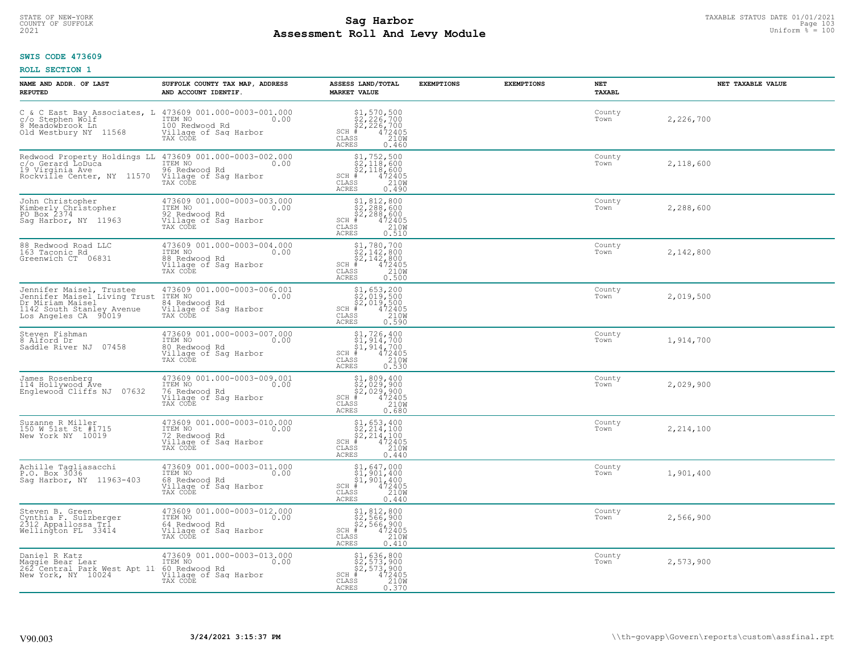# TAXABLE STATUS DATE 01/01/2021<br>COUNTY OF SUFFOLK Page 103 **Assessment Roll And Levy Module Example 2021** Uniform  $\frac{1}{8}$  = 100

#### **SWIS CODE 473609**

| NAME AND ADDR. OF LAST<br><b>REPUTED</b>                                                                                              | SUFFOLK COUNTY TAX MAP, ADDRESS<br>AND ACCOUNT IDENTIF.                                                                                          | ASSESS LAND/TOTAL<br><b>MARKET VALUE</b>                                                                                                                                                                                                                                                                                                                                                | <b>EXEMPTIONS</b> | <b>EXEMPTIONS</b> | <b>NET</b><br>TAXABL | NET TAXABLE VALUE |
|---------------------------------------------------------------------------------------------------------------------------------------|--------------------------------------------------------------------------------------------------------------------------------------------------|-----------------------------------------------------------------------------------------------------------------------------------------------------------------------------------------------------------------------------------------------------------------------------------------------------------------------------------------------------------------------------------------|-------------------|-------------------|----------------------|-------------------|
| C & C East Bay Associates, L 473609 001.000-0003-001.000 $\zeta$ o Stephen Wolf ITEM NO.<br>8 Meadowbrook Ln<br>Old Westbury NY 11568 | 100 Redwood Rd<br>Village of Sag Harbor<br>TAX CODE                                                                                              | $$2, 226, 700\n$2, 226, 700\n$2, 226, 700\n# 472405\n$38\n210M$<br>$SCH$ $#$<br>CLASS<br><b>ACRES</b><br>0.460                                                                                                                                                                                                                                                                          |                   |                   | County<br>Town       | 2,226,700         |
| 19 Virginia Ave<br>Rockville Center, NY 11570                                                                                         | Redwood Property Holdings LL 473609 001.000-0003-002.000<br>C/o Gerard LoDuca ITEM NO 0.00<br>96 Redwood Rd<br>Village of Sag Harbor<br>TAX CODE | $$2,118,600$<br>$$2,118,600$<br>$$2,118,600$<br>$*$<br>$472405$<br>$*$<br>$2100$<br>SCH #<br>CLASS<br><b>ACRES</b><br>0.490                                                                                                                                                                                                                                                             |                   |                   | County<br>Town       | 2,118,600         |
| John Christopher<br>Kimberly Christopher<br>PO Box 2374<br>Saq Harbor, NY 11963                                                       | 473609 001.000-0003-003.000<br>ITEM NO<br>0.00<br>12<br>92 Redwood Rd<br>Village of Sag Harbor<br>TAX CODE                                       | \$1,812,800<br>\$2,288,600<br>\$2,288,600<br># 472405<br>\$5 210M<br>SCH #<br>CLASS<br><b>ACRES</b><br>0.510                                                                                                                                                                                                                                                                            |                   |                   | County<br>Town       | 2,288,600         |
| 88 Redwood Road LLC<br>163 Taconic Rd<br>Greenwich CT 06831                                                                           | 473609 001.000-0003-004.000<br>ITEM NO<br>0.00<br>88 Redwood Rd<br>Village of Saq Harbor<br>TAX CODE                                             | $$ \begin{array}{l} $1,780,700 \\ $2,142,800 \\ $2,142,800 \\ {\small \#} & 472405 \\ $35 \end{array} $ \\ \begin{array}{l} \phantom{00} \end{array} $ \\ \begin{array}{l} $2100 \\ 2100 \\ \end{array} $ \end{array}$<br>$SCH$ #<br>CLASS<br><b>ACRES</b><br>0.500                                                                                                                     |                   |                   | County<br>Town       | 2,142,800         |
| Dr Miriam Maisel<br>1142 South Stanley Avenue<br>Los Angeles CA 90019                                                                 | 84 Redwood Rd<br><u>Village</u> of Saq Harbor<br>TAX CODE                                                                                        | $$1,653,200$<br>$$2,019,500$<br>$$2,019,500$<br>$472405$<br>$$210W$<br>$SCH$ #<br>CLASS<br><b>ACRES</b><br>0.590                                                                                                                                                                                                                                                                        |                   |                   | County<br>Town       | 2,019,500         |
| Steven Fishman<br>8 Alford Dr<br>07458<br>Saddle River NJ                                                                             | 473609 001.000-0003-007.000<br>ITEM NO<br>0.00<br>80 Redwood Rd<br>Village of Sag Harbor<br>TAX CODE                                             | $\begin{array}{l} $1,726,400\\ $1,914,700\\ $1,914,700\\ *\\ *\\ 210M\\ *\\ 22M\\ *\\ 210M\\ *\\ 210M\\ *\\ 210M\\ *\\ 210M\\ *\\ 210M\\ *\\ 22M\\ *\\ 22M\\ *\\ 22M\\ *\\ 22M\\ *\\ 22M\\ *\\ 2M\\ *\\ 2M\\ *\\ 2M\\ *\\ 2M\\ *\\ 2M\\ *\\ 2M\\ *\\ 2M\\ *\\ 2M\\ *\\ 2M\\ *\\ 2M\\ *\\ 2M\\ *\\ 2M\\ *\\ 2M\\ *\\ 2M\\ *\\ 2$<br>$SCH$ #<br>$\mathtt{CLASS}$<br><b>ACRES</b><br>0.530 |                   |                   | County<br>Town       | 1,914,700         |
| James Rosenberg<br>114 Hollywood Áve<br>Englewood Cliffs NJ 07632                                                                     | 473609 001.000-0003-009.001<br>TTEM NO 0.00<br>76 Redwood Rd<br>Village of Sag Harbor<br>TAX CODE                                                | $$2,029,900$<br>$$2,029,900$<br>$$2,029,900$<br>$*$ 472405<br>$$210M$<br>$SCH$ #<br>CLASS<br><b>ACRES</b><br>0.680                                                                                                                                                                                                                                                                      |                   |                   | County<br>Town       | 2,029,900         |
| Suzanne R Miller<br>150 W 51st St #1715<br>New York NY 10019                                                                          | 473609 001.000-0003-010.000<br>TTEM NO 0.00<br>72 Redwood Rd<br>Village of Sag Harbor<br>TAX CODE                                                | $$2, 214, 100$<br>$$2, 214, 100$<br>$$2, 214, 100$<br>$472405$<br>$$210W$<br>$SCH$ #<br>CLASS<br><b>ACRES</b><br>0.440                                                                                                                                                                                                                                                                  |                   |                   | County<br>Town       | 2,214,100         |
| Achille Tagliasacchi<br>P.O. Box 3036<br>Sag Harbor, NY 11963-403                                                                     | 473609 001.000-0003-011.000<br>ITEM NO 0.00<br>68 Redwood Rd<br>Village of Sag Harbor<br>TAX CODE                                                | $$1,647,000$<br>$$1,901,400$<br>$$1,901,400$<br>$SCH$ #<br>472405<br>210W<br>CLASS<br><b>ACRES</b><br>0.440                                                                                                                                                                                                                                                                             |                   |                   | County<br>Town       | 1,901,400         |
| Steven B. Green<br>Cynthia F. Sulzberger<br>2312 Appallossa Tri<br>Wellington FL 33414                                                | 473609 001.000-0003-012.000<br>ITEM NO<br>0.00<br>64 Redwood Rd<br>Village of Sag Harbor<br>TAX CODE                                             | $$1, 812, 800$<br>$$2, 566, 900$<br>$$2, 566, 900$<br>$472405$<br>$$210M$<br>$SCH$ #<br>CLASS<br><b>ACRES</b><br>0.410                                                                                                                                                                                                                                                                  |                   |                   | County<br>Town       | 2,566,900         |
| Daniel R Katz<br>Maggie Bear Lear [188]<br>262 Central Park West Apt 11 60 Redwood Rd<br>New York, NY 10024                           | 473609 001.000-0003-013.000<br>0.00<br>Village of Sag Harbor<br>TAX CODE                                                                         | \$1,636,800<br>\$2,573,900<br>\$2,573,900<br>$SCH$ #<br>472405<br>CLASS<br>210W<br><b>ACRES</b><br>0.370                                                                                                                                                                                                                                                                                |                   |                   | County<br>Town       | 2,573,900         |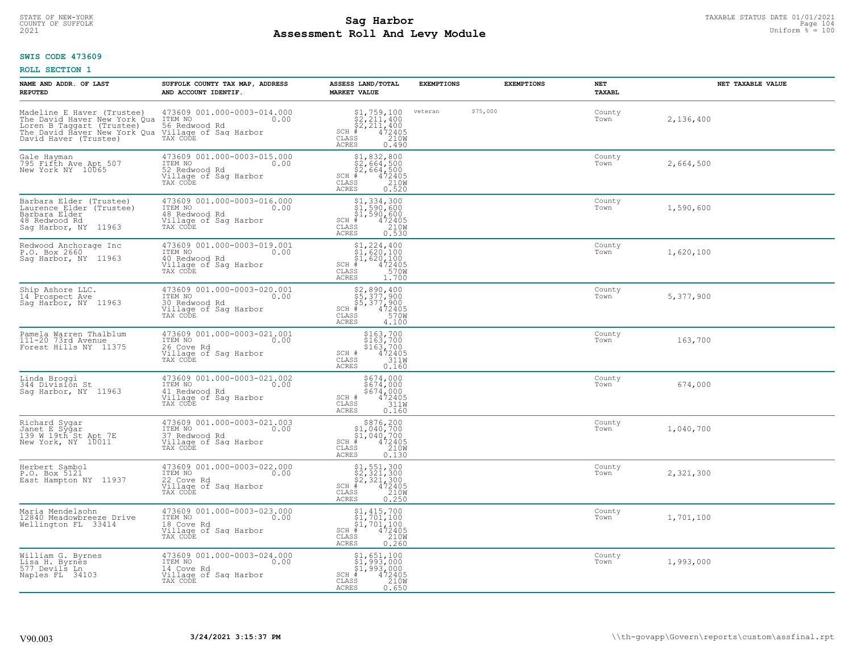# TAXABLE STATUS DATE 01/01/2021<br>COUNTY OF SUFFOLK Page 104 **Assessment Roll And Levy Module Example 2021** Uniform  $\frac{1}{8}$  = 100

# **SWIS CODE 473609**

| NAME AND ADDR. OF LAST<br><b>REPUTED</b>                                                                      | SUFFOLK COUNTY TAX MAP, ADDRESS<br>AND ACCOUNT IDENTIF.                                                                                                                                                                              | ASSESS LAND/TOTAL<br><b>MARKET VALUE</b>                                                                                      | <b>EXEMPTIONS</b> |          | <b>EXEMPTIONS</b> | <b>NET</b><br>TAXABL | NET TAXABLE VALUE |
|---------------------------------------------------------------------------------------------------------------|--------------------------------------------------------------------------------------------------------------------------------------------------------------------------------------------------------------------------------------|-------------------------------------------------------------------------------------------------------------------------------|-------------------|----------|-------------------|----------------------|-------------------|
| David Haver (Trustee)                                                                                         | Madeline E Haver (Trustee) 473609 001.000-0003-014.000<br>The David Haver New York Qua ITEM NO<br>Loren B Taggart (Trustee) 56 Redwood Rd<br>The David Haver New York Qua Village of Saq Harbor<br>Village of Sag Harbor<br>TAX CODE | $$2, 211, 400\n$2, 211, 400\n$2, 211, 400\n# 472405\n210M\n85\n86\n$2, 000$<br>$SCH$ $#$<br>CLASS<br><b>ACRES</b><br>0.490    | veteran           | \$75,000 |                   | County<br>Town       | 2,136,400         |
| Gale Hayman<br>795 Fifth Ave Apt 507<br>New York NY 10065                                                     | 473609 001.000-0003-015.000<br>ITEM NO<br>0.00<br>52 Redwood Rd<br>Village of Sag Harbor<br>TAX CODE                                                                                                                                 | $$2, 832, 800$<br>$$2, 664, 500$<br>$$2, 664, 500$<br>$472405$<br>$$210M$<br>$SCH$ #<br>CLASS<br>0.520<br><b>ACRES</b>        |                   |          |                   | County<br>Town       | 2,664,500         |
| Barbara Elder (Trustee)<br>Laurence Elder (Trustee)<br>Barbara Elder<br>48 Redwood Rd<br>Sag Harbor, NY 11963 | 473609 001.000-0003-016.000<br>ITEM NO<br>0.00<br>18 Redwood Rd<br>Village of Sag Harbor<br>TAX CODE                                                                                                                                 | \$1,334,300<br>\$1,590,600<br>\$1,590,600<br># 472405<br>\$5 210M<br>$SCH$ #<br>CLASS<br>0.530<br><b>ACRES</b>                |                   |          |                   | County<br>Town       | 1,590,600         |
| Redwood Anchorage Inc<br>P.O. Box 2660<br>Sag Harbor, NY 11963                                                | 473609 001.000-0003-019.001<br>ITEM NO<br>0.00<br>40 Redwood Rd<br>Village of Sag Harbor<br>TAX CODE                                                                                                                                 | $$1, 224, 400$<br>$$1, 620, 100$<br>$$1, 620, 100$<br>$472405$<br>$35$<br>$3700$<br>$SCH$ #<br>CLASS<br><b>ACRES</b><br>1,700 |                   |          |                   | County<br>Town       | 1,620,100         |
| Ship Ashore LLC.<br>14 Prospect Ave<br>Sag Harbor, NY 11963                                                   | 473609 001.000-0003-020.001<br>ITEM NO<br>0.00<br>10 Redwood Rd<br>Village of Sag Harbor<br>TAX CODE                                                                                                                                 | \$2,890,400<br>\$5,377,900<br>\$5,377,900<br>#472405<br>\$8,970M<br>$SCH$ #<br>$\mathtt{CLASS}$<br><b>ACRES</b><br>4.100      |                   |          |                   | County<br>Town       | 5,377,900         |
| Pamela Warren Thalblum<br>111-20 73rd Avenue<br>Forest Hills NY 11375                                         | 473609 001.000-0003-021.001<br>ITEM NO 0.00<br>26 Cove Rd<br>Village of Sag Harbor<br>Village of Sag Harbor<br>TAX CODE                                                                                                              | \$163,700<br>\$163,700<br>\$163,700<br>472405<br>311M<br>SCH #<br>CLASS<br><b>ACRES</b><br>0.160                              |                   |          |                   | County<br>Town       | 163,700           |
| Linda Broggi<br>344 Division St<br>Saq Harbor, NY 11963                                                       | 473609 001.000-0003-021.002<br>ITEM NO 0.00<br>41 Redwood Rd<br>Village of Sag Harbor<br>TAX CODE                                                                                                                                    | $$674,000$674,000$674,000$472405$311W$$<br>SCH #<br>CLASS<br><b>ACRES</b><br>0.160                                            |                   |          |                   | County<br>Town       | 674,000           |
| Richard Sygar<br>Janet E Sygar<br>139 W 19th St Apt 7E<br>New York, NY 10011                                  | 473609 001.000-0003-021.003<br>ITEM NO 0.00<br>0.00<br>37 Redwood Rd<br>Village of Sag Harbor<br>TAX CODE                                                                                                                            | $$876, 200$<br>$$1, 040, 700$<br>$$1, 040, 700$<br>$472405$<br>$$210M$<br>$SCH$ #<br>CLASS<br><b>ACRES</b><br>0.130           |                   |          |                   | County<br>Town       | 1,040,700         |
| Herbert Sambol<br>P.O. Box 5121<br>East Hampton NY 11937                                                      | 473609 001.000-0003-022.000<br>ITEM NO 0.00<br>22 Cove Rd<br>Village of Sag Harbor<br>TAX CODE                                                                                                                                       | $$2,321,300$<br>$$2,321,300$<br>$$2,321,300$<br>$$472405$<br>$$210M$<br>$SCH$ #<br>CLASS<br><b>ACRES</b><br>0.250             |                   |          |                   | County<br>Town       | 2,321,300         |
| Maria Mendelsohn<br>12840 Meadowbreeze Drive<br>Wellington FL 33414                                           | 473609 001.000-0003-023.000<br>ITEM NO<br>0.00<br>18 Cove Rd<br>Village of Sag Harbor<br>TAX CODE                                                                                                                                    | $$1, 415, 700$<br>$$1, 701, 100$<br>$$1, 701, 100$<br>$4$<br>$472405$<br>$2100$<br>$SCH$ #<br>CLASS<br><b>ACRES</b><br>0.260  |                   |          |                   | County<br>Town       | 1,701,100         |
| William G. Byrnes<br>Lisa H. Byrnes<br>577 Devils Ln<br>Naples FL 34103                                       | 473609 001.000-0003-024.000<br>ITEM NO 0.00<br>14 Cove Rd<br>Village of Sag Harbor<br>TAX CODE                                                                                                                                       | \$1,651,100<br>\$1,993,000<br>\$1,993,000<br>$SCH$ #<br>472405<br>210W<br>CLASS<br><b>ACRES</b><br>0.650                      |                   |          |                   | County<br>Town       | 1,993,000         |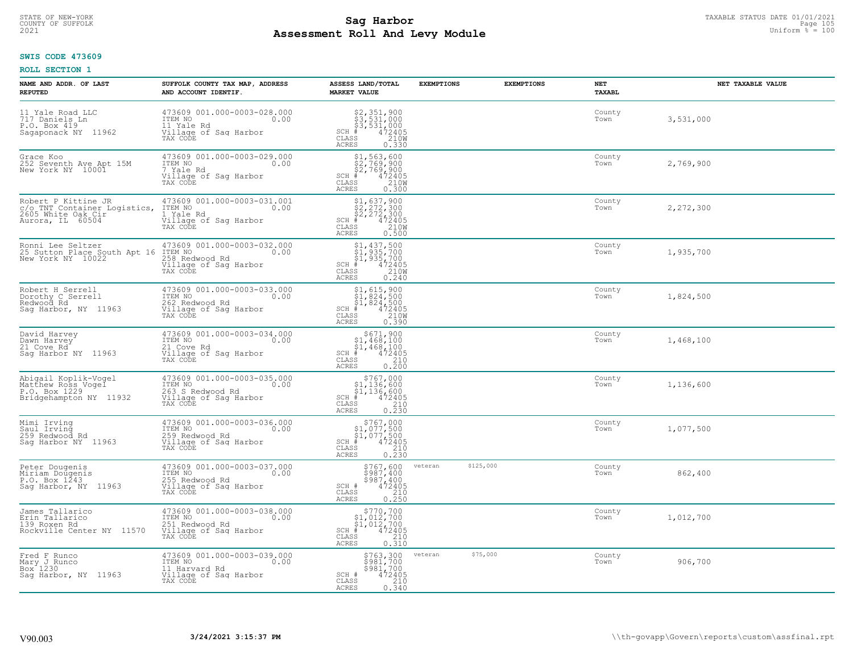# TAXABLE STATUS DATE 01/01/2021<br>COUNTY OF SUFFOLK Page 105 Page 105 **Assessment Roll And Levy Module Example 2021** Uniform  $\frac{1}{8}$  = 100

#### **SWIS CODE 473609**

| NAME AND ADDR. OF LAST<br><b>REPUTED</b>                                                      | SUFFOLK COUNTY TAX MAP, ADDRESS<br>AND ACCOUNT IDENTIF.                                               | ASSESS LAND/TOTAL<br><b>MARKET VALUE</b>                                                                                                                                                                                                     | <b>EXEMPTIONS</b>    | NET<br><b>EXEMPTIONS</b><br>TAXABL | NET TAXABLE VALUE |
|-----------------------------------------------------------------------------------------------|-------------------------------------------------------------------------------------------------------|----------------------------------------------------------------------------------------------------------------------------------------------------------------------------------------------------------------------------------------------|----------------------|------------------------------------|-------------------|
| 11 Yale Road LLC<br>717 Daniels Ln<br>P.O. Box 419<br>Sagaponack NY 11962                     | 473609 001.000-0003-028.000<br>ITEM NO<br>0.00<br>11 Yale Rd<br>Village of Sag Harbor<br>TAX CODE     | \$2,351,900<br>\$3,531,000<br>\$3,531,000<br># 472405<br>\$5 210M<br>$SCH$ #<br>CLASS<br>ACRES<br>0.330                                                                                                                                      |                      | County<br>Town                     | 3,531,000         |
| Grace Koo<br>252 Seventh Ave Apt 15M<br>New York NY 10001                                     | 473609 001.000-0003-029.000<br>ITEM NO<br>0.00<br>7 Yale Rd<br>Village of Sag Harbor<br>TAX CODE      | $\begin{array}{r} \texttt{\$1,563,600} \\ \texttt{\$2,769,900} \\ \texttt{\$2,769,900} \\ \texttt{\$4\,72405} \\ \texttt{\$85}\qquad \qquad 210\text{W} \\ \texttt{\$85}\qquad \qquad 0.300 \end{array}$<br>$SCH$ #<br>CLASS<br><b>ACRES</b> |                      | County<br>Town                     | 2,769,900         |
| Robert P Kittine JR<br>c/o TNT Container Logistics,<br>2605 White Oak Cir<br>Aurora, IL 60504 | 473609 001.000-0003-031.001<br>ITEM NO<br>0.00<br>1 Yale Rd<br>Village of Sag Harbor<br>TAX CODE      | $$2, 272, 300$<br>$$2, 272, 300$<br>$$2, 272, 300$<br>$472405$<br>$$2100$<br>$$2100$<br>SCH #<br>CLASS<br><b>ACRES</b><br>0.500                                                                                                              |                      | County<br>Town                     | 2,272,300         |
| Ronni Lee Seltzer<br>25 Sutton Place South Apt 16<br>New York NY 10022                        | 473609 001.000-0003-032.000<br>ITEM NO<br>0.00<br>258 Redwood Rd<br>Village of Sag Harbor<br>TAX CODE | \$1,437,500<br>\$1,935,700<br>\$1,935,700<br>SCH #<br>$\begin{smallmatrix} 472405\ 210W\ 0.240 \end{smallmatrix}$<br>CLASS<br><b>ACRES</b>                                                                                                   |                      | County<br>Town                     | 1,935,700         |
| Robert H Serrell<br>Dorothy C Serrell<br>Redwood Rd<br>Saq Harbor, NY 11963                   | 473609 001.000-0003-033.000<br>ITEM NO<br>0.00<br>262 Redwood Rd<br>Village of Sag Harbor<br>TAX CODE | $$1, 615, 900$<br>$$1, 824, 500$<br>$$1, 824, 500$<br>$472405$<br>$$2100$<br>$SCH$ #<br>CLASS<br><b>ACRES</b><br>0.390                                                                                                                       |                      | County<br>Town                     | 1,824,500         |
| David Harvey<br>Dawn Harvey<br>21 Cove Rd<br>Saq Harbor NY 11963                              | 473609 001.000-0003-034.000<br>ITEM NO<br>0.00<br>21 Cove Rd<br>Village of Sag Harbor<br>TAX CODE     | $\begin{array}{c} $671,900\n$1,468,100\n$1,468,100\n# 472405 \end{array}$<br>$SCH$ #<br>CLASS<br>210<br>0.200<br>ACRES                                                                                                                       |                      | County<br>Town                     | 1,468,100         |
| Abigail Koplik-Vogel<br>Matthew Ross Vogel<br>P.O. Box 1229<br>Bridgehampton NY 11932         | 473609 001.000-0003-035.000<br>TTEM NO 0.00<br>263 S Redwood Rd<br>Village of Sag Harbor<br>TAX CODE  | $$767,000$<br>$$1,136,600$<br>$$1,136,600$<br>$*1,136,600$<br>$*1,472405$<br>$SCH$ #<br>CLASS<br>210<br>0.230<br><b>ACRES</b>                                                                                                                |                      | County<br>Town                     | 1,136,600         |
| Mimi Irving<br>Saul Irving<br>259 Redwood Rd<br>Saq Harbor NY 11963                           | 473609 001.000-0003-036.000<br>TTEM NO 0.00<br>259 Redwood Rd<br>Village of Sag Harbor<br>TAX CODE    | $$767,000$<br>$$1,077,500$<br>$$1,077,500$<br>$*$ 472405<br>$SCH$ #<br>CLASS<br>210<br>ACRES<br>0.230                                                                                                                                        |                      | County<br>Town                     | 1,077,500         |
| Peter Dougenis<br>Miriam Doŭgenis<br>P.O. Box 1243<br>Saq Harbor, NY 11963                    | 473609 001.000-0003-037.000<br>TTEM NO 0.00<br>255 Redwood Rd<br>Village of Sag Harbor<br>TAX CODE    | \$767,600<br>\$987,400<br>\$987,400<br>SCH #<br>472405<br>CLASS<br>210<br><b>ACRES</b><br>0.250                                                                                                                                              | \$125,000<br>veteran | County<br>Town                     | 862,400           |
| James Tallarico<br>Erin Tallarico<br>139 Roxen Rd<br>Rockville Center NY 11570                | 473609 001.000-0003-038.000<br>ITEM NO<br>0.00<br>251 Redwood Rd<br>Village of Sag Harbor<br>TAX CODE | $$770,700$<br>$$1,012,700$<br>$$1,012,700$<br>$*$ 472405<br>SCH<br>210<br>CLASS<br>0.310<br><b>ACRES</b>                                                                                                                                     |                      | County<br>Town                     | 1,012,700         |
| Fred F Runco<br>Mary J Runco<br>Box <sup>1</sup> 230<br>Sag Harbor, NY 11963                  | 473609 001.000-0003-039.000<br>ITEM NO<br>0.00<br>11 Harvard Rd<br>Village of Sag Harbor<br>TAX CODE  | \$763,300<br>\$981,700<br>\$981,700<br>SCH #<br>472405<br>CLASS<br>$\begin{array}{c} 210 \\ 0.340 \end{array}$<br><b>ACRES</b>                                                                                                               | \$75,000<br>veteran  | County<br>Town                     | 906,700           |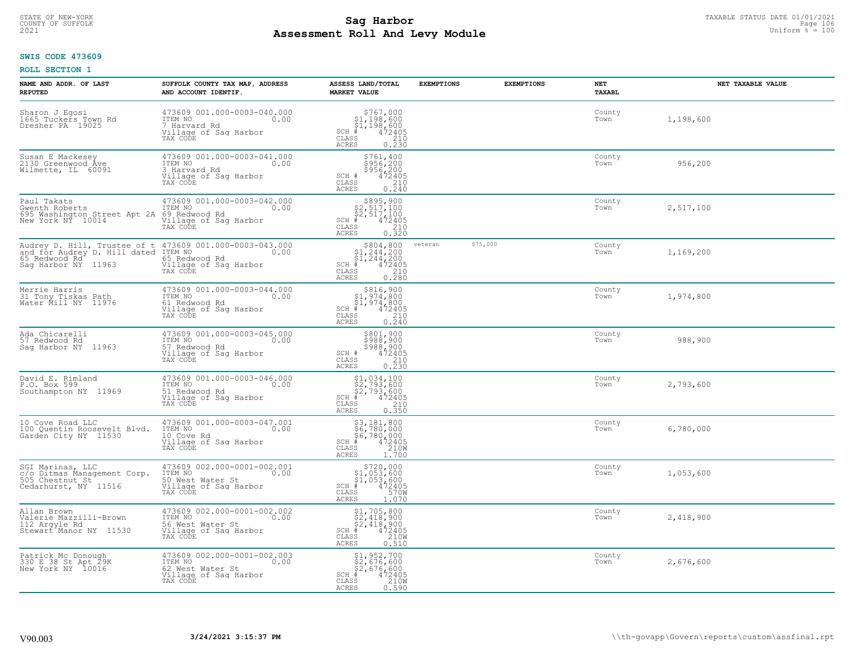# TAXABLE STATUS DATE 01/01/2021<br>COUNTY OF SUFFOLK Page 106 Page 106 **Assessment Roll And Levy Module Example 2021** Uniform  $\frac{1}{8}$  = 100

#### **SWIS CODE 473609**

| NAME AND ADDR. OF LAST<br><b>REPUTED</b>                                                                                                 | SUFFOLK COUNTY TAX MAP, ADDRESS<br>AND ACCOUNT IDENTIF.                                                 | ASSESS LAND/TOTAL<br><b>MARKET VALUE</b>                                                                                                | <b>EXEMPTIONS</b> | <b>EXEMPTIONS</b> | NET<br><b>TAXABL</b> | NET TAXABLE VALUE |
|------------------------------------------------------------------------------------------------------------------------------------------|---------------------------------------------------------------------------------------------------------|-----------------------------------------------------------------------------------------------------------------------------------------|-------------------|-------------------|----------------------|-------------------|
| Sharon J Egosi<br>1665 Tuckers Town Rd<br>Dresher PA 19025                                                                               | 473609 001.000-0003-040.000<br>TTEM NO 0.00<br>7 Harvard Rd<br>Village of Sag Harbor<br>TAX CODE        | $$767,000$<br>$$1,198,600$<br>$$1,198,600$<br>$$472405$<br>SCH #<br>CLASS<br>210<br>0.230<br>ACRES                                      |                   |                   | County<br>Town       | 1,198,600         |
| Susan E Mackesey<br>2130 Greenwood Ave<br>Wilmette, IL 60091                                                                             | 473609 001.000-0003-041.000<br>ITEM NO<br>0.00<br>3 Harvard Rd<br>Village of Sag Harbor<br>TAX CODE     | \$761,400<br>\$956,200<br>\$956,200<br>472405<br>SCH #<br>$\overline{210}$<br>CLASS<br>0.240<br><b>ACRES</b>                            |                   |                   | County<br>Town       | 956,200           |
| Paul Takats<br>Gwenth Roberts<br>695 Washington Street Apt 2A 69 Redwood Rd<br>New York NY 10014 Village of Sac                          | 473609 001.000-0003-042.000<br>ITEM NO 0.00<br>Village of Sag Harbor<br>TAX CODE                        | $$895,900$<br>$$2,517,100$<br>$$2,517,100$<br>$SCH$ #<br>472405<br>CLASS<br>210<br><b>ACRES</b><br>0.320                                |                   |                   | County<br>Town       | 2,517,100         |
| Audrey D. Hill, Trustee of t 473609 001.000-0003-043.000<br>and for Audrey D. Hill dated ITEM NO<br>65 Redwood Rd<br>Sag Harbor NY 11963 | 0.00<br>65 Redwood Rd<br>Village of Sag Harbor<br>TAX CODE                                              | \$804,800<br>$\frac{1}{21}, \frac{244}{244}, \frac{200}{200}$<br>SCH #<br>CLASS<br>$7472405\n210\n0.280$<br>ACRES                       | veteran           | \$75,000          | County<br>Town       | 1,169,200         |
| Merrie Harris<br>31 Tony Tiskas Path<br>Water Mill NY 11976                                                                              | 473609 001.000-0003-044.000<br>ITEM NO<br>0.00<br>61 Redwood Rd<br>Village of Sag Harbor<br>TAX CODE    | \$816,900<br>\$1,974,800<br>$\frac{51}{4}$ , 974, 800<br>$\frac{4}{4}$ 72405<br>$SCH$ #<br>CLASS<br>$\frac{210}{0.240}$<br><b>ACRES</b> |                   |                   | County<br>Town       | 1,974,800         |
| Ada Chicarelli<br>57 Redwood Rd<br>Saq Harbor NY 11963                                                                                   | 473609 001.000-0003-045.000<br>ITEM NO<br>0.00<br>57 Redwood Rd<br>Village of Sag Harbor<br>TAX CODE    | $\begin{array}{r} 5801, 900 \\ 5988, 900 \\ 5988, 900 \\ 472405 \\ 210 \\ 0.230 \end{array}$<br>SCH #<br>CLASS<br>ACRES                 |                   |                   | County<br>Town       | 988,900           |
| David E. Rimland<br>P.O. Box 599<br>Southampton NY 11969                                                                                 | 473609 001.000-0003-046.000<br>ITEM NO<br>0.00<br>51 Redwood Rd<br>Village of Sag Harbor<br>TAX CODE    | \$1,034,100<br>\$2,793,600<br>\$2,793,600<br>$SCH$ #<br>472405<br>CLASS<br>210<br>0.350<br><b>ACRES</b>                                 |                   |                   | County<br>Town       | 2,793,600         |
| 10 Cove Road LLC<br>100 Quentin Roosevelt Blvd.<br>Garden City NY 11530                                                                  | 473609 001.000-0003-047.001<br>ITEM NO<br>0.00<br>10 Cove Rd<br>Village of Sag Harbor<br>TAX CODE       | $$3,181,800$<br>$$6,780,000$<br>$$6,780,000$<br>$$472405$<br>$SCH$ #<br>CLASS<br>210W<br>ACRES<br>1,700                                 |                   |                   | County<br>Town       | 6,780,000         |
| SGI Marinas, LLC<br>c/o Ditmas Management Corp.<br>505 Chestnut St <sup>7</sup><br>Cedarhurst, NY 11516                                  | 473609 002.000-0001-002.001<br>1TEM NO 0.00<br>50 West Water St<br>Village of Sag Harbor<br>TAX CODE    | $$720,000$<br>$$1,053,600$<br>$\frac{1}{61}$ , 053, 600<br>$+$ 472405<br>SS 570W<br>$SCH$ #<br>CLASS<br><b>ACRES</b><br>1.070           |                   |                   | County<br>Town       | 1,053,600         |
| Allan Brown<br>Valerie Mazzilli-Brown<br>112 Argyle Rd<br>Stewart <sup>*</sup> Manor NY 11530                                            | 473609 002.000-0001-002.002<br>ITEM NO<br>0.00<br>56 West Water St<br>Village of Sag Harbor<br>TAX CODE | \$1,705,800<br>\$2,418,900<br>\$2,418,900<br>#472405<br>$SCH$ #<br>CLASS<br>210W<br><b>ACRES</b><br>0.510                               |                   |                   | County<br>Town       | 2,418,900         |
| Patrick Mc Donough<br>330 E 38 St Apt 29K<br>New York NY 10016                                                                           | 473609 002.000-0001-002.003<br>ITEM NO<br>0.00<br>62 West Water St<br>Village of Sag Harbor<br>TAX CODE | \$1,952,700<br>\$2,676,600<br>\$2,676,600<br>$SCH$ #<br>$\frac{472405}{210}$<br>CLASS<br>ACRES<br>0.590                                 |                   |                   | County<br>Town       | 2,676,600         |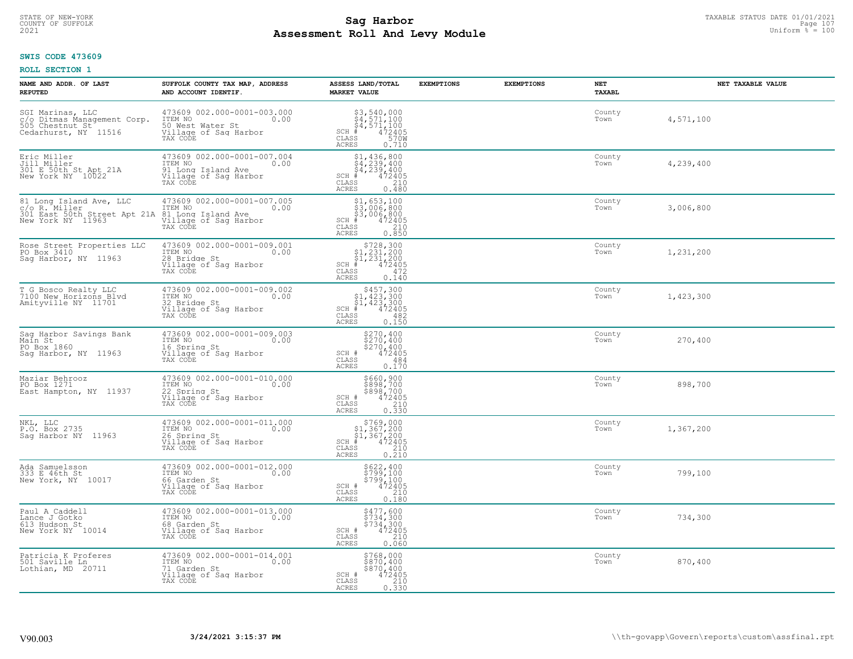# TAXABLE STATUS DATE 01/01/2021<br>COUNTY OF SUFFOLK Page 107 Page 107 **Assessment Roll And Levy Module Example 2021** Uniform  $\frac{1}{8}$  = 100

#### **SWIS CODE 473609**

| NAME AND ADDR. OF LAST<br><b>REPUTED</b>                                                      | SUFFOLK COUNTY TAX MAP, ADDRESS<br>AND ACCOUNT IDENTIF.                                                   | ASSESS LAND/TOTAL<br><b>MARKET VALUE</b>                                                                                                       | <b>EXEMPTIONS</b> | <b>EXEMPTIONS</b> | NET<br><b>TAXABL</b> | NET TAXABLE VALUE |
|-----------------------------------------------------------------------------------------------|-----------------------------------------------------------------------------------------------------------|------------------------------------------------------------------------------------------------------------------------------------------------|-------------------|-------------------|----------------------|-------------------|
| SGI Marinas, LLC<br>c/o Ditmas Management Corp.<br>505 Chestnut St<br>Cedarhurst, NY 11516    | 473609 002.000-0001-003.000<br>10.00 0.00<br>50 West Water St<br>Village of Sag Harbor<br>TAX CODE        | \$3,540,000<br>\$4,571,100<br>$\frac{34}{4}$ , 571, 100<br>$+$ 472405<br>SS 570W<br>SCH #<br>CLASS<br><b>ACRES</b><br>0.710                    |                   |                   | County<br>Town       | 4,571,100         |
| Eric Miller<br>Jill Miller<br>301 E 50th St Apt 21A<br>New York NY 10022                      | 473609 002.000-0001-007.004<br>ITEM NO<br>0.00<br>91 Long Island Ave<br>Village of Sag Harbor<br>TAX CODE | $\begin{array}{l} $1,436,800\\ $4,239,400\\ $4,239,400\\ \ast\\ $35 \end{array}$<br>$SCH$ #<br>CLASS<br><b>ACRES</b><br>0.480                  |                   |                   | County<br>Town       | 4,239,400         |
| 81 Long Island Ave, LLC<br>c/o R. Miller<br>301 East 50th Street Apt 21A<br>New York NY 11963 | 473609 002.000-0001-007.005<br>ITEM NO<br>0.00<br>81 Long Island Ave<br>Village of Sag Harbor<br>TAX CODE | \$1,653,100<br>\$3,006,800<br>\$3,006,800<br># 472405<br>\$5 210<br>$SCH$ #<br>CLASS<br><b>ACRES</b><br>0.850                                  |                   |                   | County<br>Town       | 3,006,800         |
| Rose Street Properties LLC<br>PO Box 3410<br>Sag Harbor, NY 11963                             | 473609 002.000-0001-009.001<br>ITEM NO<br>0.00<br>28 Bridge St<br>Village of Sag Harbor<br>TAX CODE       | $$728,300$<br>$$1,231,200$<br>$$1,231,200$<br>$472405$<br>$35$<br>$9472$<br>$SCH$ #<br>$\mathtt{CLASS}$<br><b>ACRES</b><br>0.140               |                   |                   | County<br>Town       | 1,231,200         |
| T G Bosco Realty LLC<br>7100 New Horizons Blvd<br>Amityville NY 11701                         | $473609002.000-0001-009002$<br>ITEM NO<br>0.00<br>32 Bridge St<br>Village of Sag Harbor<br>TAX CODE       | $$457,300$<br>$$1,423,300$<br>$$1,423,300$<br>$472405$<br>$SCH$ #<br>CLASS<br>482<br>0.150<br>ACRES                                            |                   |                   | County<br>Town       | 1,423,300         |
| Sag Harbor Savings Bank<br>Main St<br>PO Box 1860<br>Saq Harbor, NY 11963                     | 473609 002.000-0001-009.003<br>ITEM NO<br>0.00<br>16 Spring St<br>Village of Sag Harbor<br>TAX CODE       | \$270,400<br>\$270,400<br>\$270,400<br>472405<br>SCH #<br>CLASS<br>484<br>0.170<br><b>ACRES</b>                                                |                   |                   | County<br>Town       | 270,400           |
| Maziar Behrooz<br>PO Box 1271<br>East Hampton, NY 11937                                       | 473609 002.000-0001-010.000<br>TTEM NO 0.00<br>22 Spring St<br>Village of Sag Harbor<br>TAX CODE          | \$660,900<br>\$898,700<br>\$898,700<br>\$898,700<br>SCH #<br>$\mathtt{CLASS}$<br>$\frac{210}{0.330}$<br><b>ACRES</b>                           |                   |                   | County<br>Town       | 898,700           |
| NKL, LLC<br>P.O. Box 2735<br>Saq Harbor NY 11963                                              | 473609 002.000-0001-011.000<br>TTEM NO 0.00<br>26 Spring St<br>Village of Sag Harbor<br>TAX CODE          | $\begin{array}{r} 5769,000 \\ 51,367,200 \\ 51,367,200 \\ \pm \\ 472405 \\ \text{ss} \\ 210 \end{array}$<br>$SCH$ #<br>CLASS<br>ACRES<br>0.210 |                   |                   | County<br>Town       | 1,367,200         |
| Ada Samuelsson<br>333 E 46th St<br>New York, NY 10017                                         | 473609 002.000-0001-012.000<br>ITEM NO 0.00<br>66 Garden St<br>Village of Sag Harbor<br>TAX CODE          | \$622,400<br>\$799,100<br>\$799,100<br>SCH #<br>472405<br>CLASS<br>210<br><b>ACRES</b><br>0.180                                                |                   |                   | County<br>Town       | 799,100           |
| Paul A Caddell<br>Lance J Gotko<br>613 Hudson St<br>New York NY 10014                         | 473609 002.000-0001-013.000<br>ITEM NO<br>0.00<br>68 Garden St<br>Village of Sag Harbor<br>TAX CODE       | \$477,600<br>\$734,300<br>\$734,300<br>\$734,300<br>SCH #<br>210<br>CLASS<br>0.060<br>ACRES                                                    |                   |                   | County<br>Town       | 734,300           |
| Patricia K Proferes<br>501 Saville Ln<br>Lothian, MD 20711                                    | 473609 002.000-0001-014.001<br>ITEM NO<br>0.00<br>71 Garden St<br>Village of Sag Harbor<br>TAX CODE       | \$768,000<br>\$870,400<br>\$870,400<br>SCH #<br>472405<br>CLASS<br>210<br><b>ACRES</b><br>0.330                                                |                   |                   | County<br>Town       | 870,400           |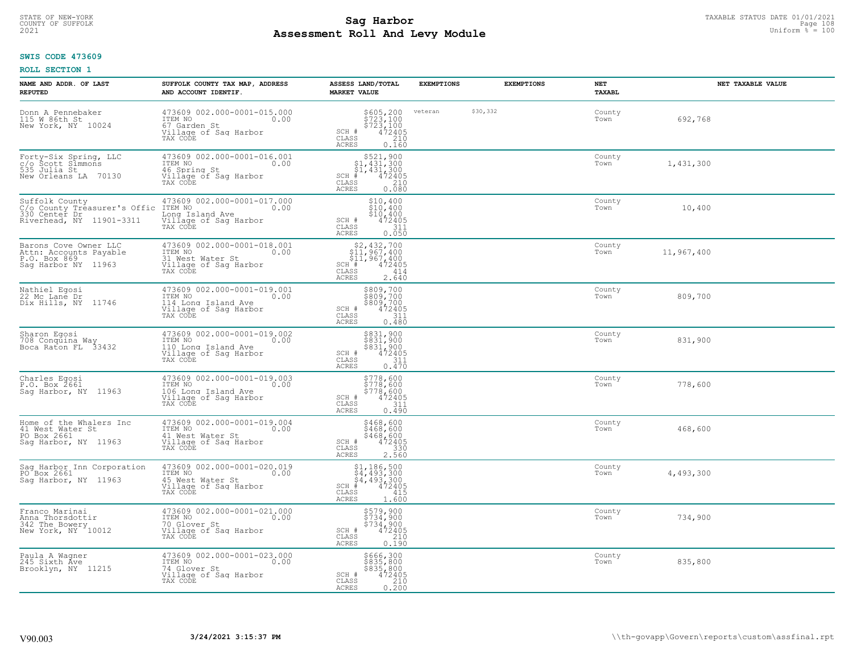# TAXABLE STATUS DATE 01/01/2021<br>COUNTY OF SUFFOLK Page 108 Page 108 **Assessment Roll And Levy Module Example 2021** Uniform  $\frac{1}{8}$  = 100

#### **SWIS CODE 473609**

| NAME AND ADDR. OF LAST<br><b>REPUTED</b>                                                    | SUFFOLK COUNTY TAX MAP, ADDRESS<br>AND ACCOUNT IDENTIF.                                                    | ASSESS LAND/TOTAL<br><b>MARKET VALUE</b>                                                                                               | <b>EXEMPTIONS</b> | <b>EXEMPTIONS</b> | NET<br>TAXABL  |            | NET TAXABLE VALUE |
|---------------------------------------------------------------------------------------------|------------------------------------------------------------------------------------------------------------|----------------------------------------------------------------------------------------------------------------------------------------|-------------------|-------------------|----------------|------------|-------------------|
| Donn A Pennebaker<br>115 W 86th St<br>New York, NY 10024                                    | 473609 002.000-0001-015.000<br>ITEM NO<br>0.00<br>67 Garden St<br>Village of Saq Harbor<br>TAX CODE        | \$605,200<br>\$723,100<br>\$723,100<br>472405<br>SCH #<br>$\mathtt{CLASS}$<br>210<br>ACRES<br>0.160                                    | veteran           | \$30,332          | County<br>Town | 692,768    |                   |
| Forty-Six Spring, LLC<br>c/o Scott Simmons<br>535 Julia St<br>70130<br>New Orleans LA       | 473609 002.000-0001-016.001<br>ITEM NO<br>0.00<br>46 Spring St<br>Village of Sag Harbor<br>TAX CODE        | $$521,900$<br>$$1,431,300$<br>$$1,431,300$<br>$$431,300$<br>$472405$<br>$SCH$ #<br>CLASS<br>0.080<br>ACRES                             |                   |                   | County<br>Town | 1,431,300  |                   |
| Suffolk County<br>C/o County Tréasurer's Offic<br>330 Center Dr<br>Riverhead, NY 11901-3311 | 473609 002.000-0001-017.000<br>ITEM NO<br>0.00<br>Long Island Ave<br>Village of Sag Harbor<br>TAX CODE     | \$10,400<br>\$10,400<br>\$10,400<br>SCH #<br>$\frac{472405}{311}$<br>CLASS<br>0.050<br>ACRES                                           |                   |                   | County<br>Town | 10,400     |                   |
| Barons Cove Owner LLC<br>Attn: Accounts Payable<br>P.O. Box 869<br>Saq Harbor NY 11963      | 473609 002.000-0001-018.001<br>ITEM NO<br>0.00<br>31 West Water St<br>Village of Sag Harbor<br>TAX CODE    | $$2,432,700$<br>$$11,967,400$<br>\$11,967,400<br><sup>1#</sup> 472405<br>ASS 414<br>SCH <sup>#</sup><br>CLASS<br><b>ACRES</b><br>2.640 |                   |                   | County<br>Town | 11,967,400 |                   |
| Nathiel Egosi<br>22 Mc Lane Dr<br>Dix Hills, NY<br>11746                                    | 473609 002.000-0001-019.001<br>ITEM NO<br>0.00<br>114 Long Island Ave<br>Village of Sag Harbor<br>TAX CODE | \$809,700<br>$\frac{2809,700}{809,700}$<br>\$809,700<br>$\frac{472405}{312}$<br>SCH #<br>CLASS<br>0.480<br>ACRES                       |                   |                   | County<br>Town | 809,700    |                   |
| Sharon Egosi<br>708 Conquina Way<br>Boca Raton FL 33432                                     | 473609 002.000-0001-019.002<br>ITEM NO<br>0.00<br>110 Long Island Ave<br>Village of Sag Harbor<br>TAX CODE | \$831,900<br>\$831,900<br>\$831,900<br>472405<br>SCH #<br>CLASS<br>311<br>0.470<br><b>ACRES</b>                                        |                   |                   | County<br>Town | 831,900    |                   |
| Charles Egosi<br>P.O. Box 2661<br>Sag Harbor, NY 11963                                      | 473609 002.000-0001-019.003<br>ITEM NO<br>0.00<br>106 Long Island Ave<br>Village of Sag Harbor<br>TAX CODE | \$778,600<br>\$778,600<br>\$778,600<br>SCH #<br>472405<br>$\mathtt{CLASS}$<br>$\frac{311}{0.490}$<br>ACRES                             |                   |                   | County<br>Town | 778,600    |                   |
| Home of the Whalers Inc<br>41 West Water St<br>PO Box 2661<br>Sag Harbor, NY 11963          | 473609 002.000-0001-019.004<br>TTEM NO 0.00<br>41 West Water St<br>Village of Sag Harbor<br>TAX CODE       | \$468,600<br>\$468,600<br>\$468,600<br>472405<br>$SCH$ #<br>CLASS<br>$\frac{330}{2.560}$<br><b>ACRES</b>                               |                   |                   | County<br>Town | 468,600    |                   |
| Sag Harbor Inn Corporation<br>PO Box 2661<br>Saq Harbor, NY 11963                           | 473609 002.000-0001-020.019<br>ITEM NO 0.00<br>45 West Water St<br>Village of Saq Harbor<br>TAX CODE       | $$4, 186, 500$<br>$$4, 493, 300$<br>$$4, 493, 300$<br>$$4, 493, 300$<br>$$4, 72405$<br>SCH<br>CLASS<br>415<br><b>ACRES</b><br>1.600    |                   |                   | County<br>Town | 4,493,300  |                   |
| Franco Marinai<br>Anna Thorsdottir<br>342 The Bowery<br>New York, NY 10012                  | 473609 002.000-0001-021.000<br>ITEM NO<br>0.00<br>70 Glover St<br>Village of Sag Harbor<br>TAX CODE        | \$579,900<br>\$734,900<br>\$734,900<br>\$734,900<br>SCH #<br>210<br>CLASS<br>0.190<br>ACRES                                            |                   |                   | County<br>Town | 734,900    |                   |
| Paula A Wagner<br>245 Sixth Ave<br>Brooklyn, NY 11215                                       | 473609 002.000-0001-023.000<br>ITEM NO<br>0.00<br>74 Glover St<br>Village of Sag Harbor<br>TAX CODE        | \$666,300<br>\$835,800<br>\$835,800<br>\$835,800<br>\$72405<br>\$210<br>\$200<br>SCH #<br>CLASS<br><b>ACRES</b>                        |                   |                   | County<br>Town | 835,800    |                   |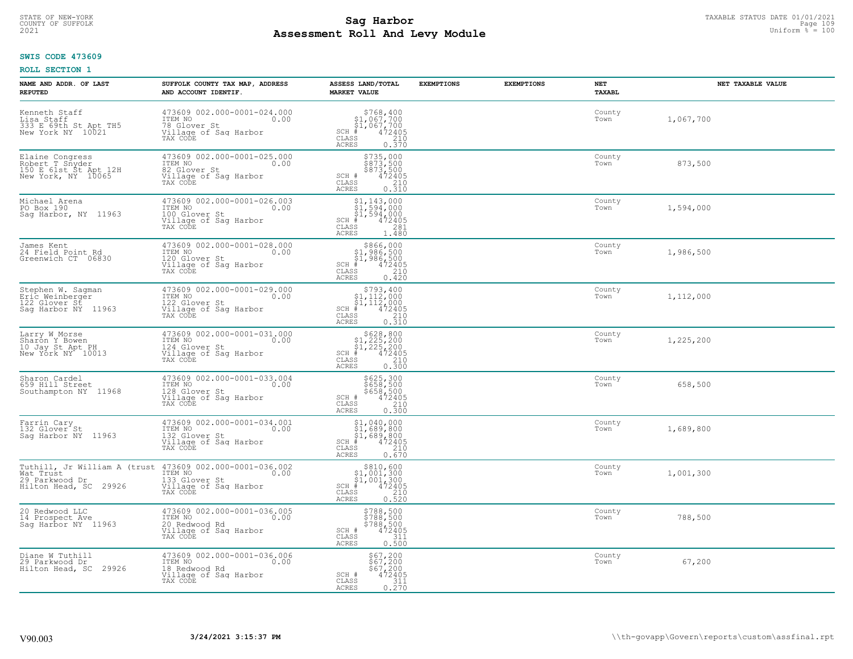# TAXABLE STATUS DATE 01/01/2021<br>COUNTY OF SUFFOLK Page 109 Page 109 **Assessment Roll And Levy Module Example 2021** Uniform  $\frac{1}{8}$  = 100

#### **SWIS CODE 473609**

| NAME AND ADDR. OF LAST<br><b>REPUTED</b>                                             | SUFFOLK COUNTY TAX MAP, ADDRESS<br>AND ACCOUNT IDENTIF.                                              | ASSESS LAND/TOTAL<br><b>MARKET VALUE</b>                                                                                                                                                                     | <b>EXEMPTIONS</b> | <b>EXEMPTIONS</b> | NET<br>TAXABL  | NET TAXABLE VALUE |
|--------------------------------------------------------------------------------------|------------------------------------------------------------------------------------------------------|--------------------------------------------------------------------------------------------------------------------------------------------------------------------------------------------------------------|-------------------|-------------------|----------------|-------------------|
| Kenneth Staff<br>Lisa Staff<br>333 E 69th St Apt TH5<br>New York NY 10021            | 473609 002.000-0001-024.000<br>ITEM NO<br>0.00<br>78 Glover St<br>Village of Saq Harbor<br>TAX CODE  | $$768, 400$<br>$$1, 067, 700$<br>$$1, 067, 700$<br>$*$ $472405$<br>$SCH$ #<br>CLASS<br>210<br>ACRES<br>0.370                                                                                                 |                   |                   | County<br>Town | 1,067,700         |
| Elaine Congress<br>Robert T Snyder<br>150 E 61st St Apt 12H<br>New York, NY 10065    | 473609 002.000-0001-025.000<br>ITEM NO<br>0.00<br>82 Glover St<br>Village of Sag Harbor<br>TAX CODE  | \$735,000<br>\$873,500<br>\$873,500<br>472405<br>SCH #<br>CLASS<br>$\frac{210}{0.310}$<br>ACRES                                                                                                              |                   |                   | County<br>Town | 873,500           |
| Michael Arena<br>PO Box 190<br>Saq Harbor, NY 11963                                  | 473609 002.000-0001-026.003<br>ITEM NO<br>0.00<br>100 Glover St<br>Village of Sag Harbor<br>TAX CODE | \$1,143,000<br>$\frac{51}{294}$ ,000<br>$\frac{1}{2}$ , 594, 000<br>$\frac{1}{4}$ , 72405<br>$SCH$ #<br>CLASS<br>281<br>ACRES<br>1.480                                                                       |                   |                   | County<br>Town | 1,594,000         |
| James Kent<br>24 Field Point Rd<br>Greenwich CT 06830                                | 473609 002.000-0001-028.000<br>ITEM NO<br>0.00<br>120 Glover St<br>Village of Sag Harbor<br>TAX CODE | $\begin{array}{r}  \  \  \, 8866,000\\  \  \, 91,986,500\\  \  \, 91,986,500\\  \  \  \, 472405\\ \text{s} \qquad \qquad 210\\ \text{s} \qquad \qquad 0.420 \end{array}$<br>$SCH$ #<br>CLASS<br><b>ACRES</b> |                   |                   | County<br>Town | 1,986,500         |
| Stephen W. Sagman<br>Eric Weinberger<br>122 Glover St<br>Sag Harbor NY 11963         | 473609 002.000-0001-029.000<br>ITEM NO<br>0.00<br>122 Glover St<br>Village of Sag Harbor<br>TAX CODE | \$793,400<br>$SCH$ #<br>CLASS<br>ACRES                                                                                                                                                                       |                   |                   | County<br>Town | 1,112,000         |
| Larry W Morse<br>Sharon Y Bowen<br>10 Jay St Apt PH<br>New York NY 10013             | 473609 002.000-0001-031.000<br>ITEM NO<br>0.00<br>124 Glover St<br>Village of Sag Harbor<br>TAX CODE | $$628, 800$<br>$$1, 225, 200$<br>$$1, 225, 200$<br>$$472405$<br>$SCH$ #<br>CLASS<br>$\begin{array}{c} 210 \\ 0.300 \end{array}$<br>ACRES                                                                     |                   |                   | County<br>Town | 1,225,200         |
| Sharon Cardel<br>659 Hill Street<br>Southampton NY 11968                             | 473609 002.000-0001-033.004<br>ITEM NO<br>0.00<br>128 Glover St<br>Village of Sag Harbor<br>TAX CODE | \$625,300<br>\$658,500<br>\$658,500<br>472405<br>SCH #<br>CLASS<br>210<br>0.300<br><b>ACRES</b>                                                                                                              |                   |                   | County<br>Town | 658,500           |
| Farrin Cary<br>132 Glover St<br>Sag Harbor NY 11963                                  | 473609 002.000-0001-034.001<br>ITEM NO<br>0.00<br>132 Glover St<br>Village of Sag Harbor<br>TAX CODE | $$1,040,000$<br>$$1,689,800$<br>$$1,689,800$<br>$472405$<br>$$210$<br>SCH #<br>CLASS<br>ACRES<br>0.670                                                                                                       |                   |                   | County<br>Town | 1,689,800         |
| Tuthill, Jr William A (trust<br>Wat Trust<br>29 Parkwood Dr<br>Hilton Head, SC 29926 | 473609 002.000-0001-036.002<br>ITEM NO<br>0.00<br>133 Glover St<br>Village of Sag Harbor<br>TAX CODE | $$810,600$<br>$$1,001,300$<br>$$1,001,300$<br>$*$<br>$*$ 472405<br>$SCH$ #<br>CLASS<br>$\frac{210}{0.520}$<br>ACRES                                                                                          |                   |                   | County<br>Town | 1,001,300         |
| 20 Redwood LLC<br>14 Prospect Ave<br>Sag Harbor NY 11963                             | 473609 002.000-0001-036.005<br>ITEM NO<br>0.00<br>20 Redwood Rd<br>Village of Sag Harbor<br>TAX CODE | \$788,500<br>\$788,500<br>\$788,500<br>\$72405<br>\$111<br>SCH #<br>CLASS<br>ACRES<br>0.500                                                                                                                  |                   |                   | County<br>Town | 788,500           |
| Diane W Tuthill<br>29 Parkwood Dr<br>Hilton Head, SC 29926                           | 473609 002.000-0001-036.006<br>ITEM NO<br>0.00<br>18 Redwood Rd<br>Village of Sag Harbor<br>TAX CODE | $$67, 200$<br>$$67, 200$<br>$$67, 200$<br>$472405$<br>$$311$<br>SCH #<br>$\mathtt{CLASS}$<br>0.270<br><b>ACRES</b>                                                                                           |                   |                   | County<br>Town | 67,200            |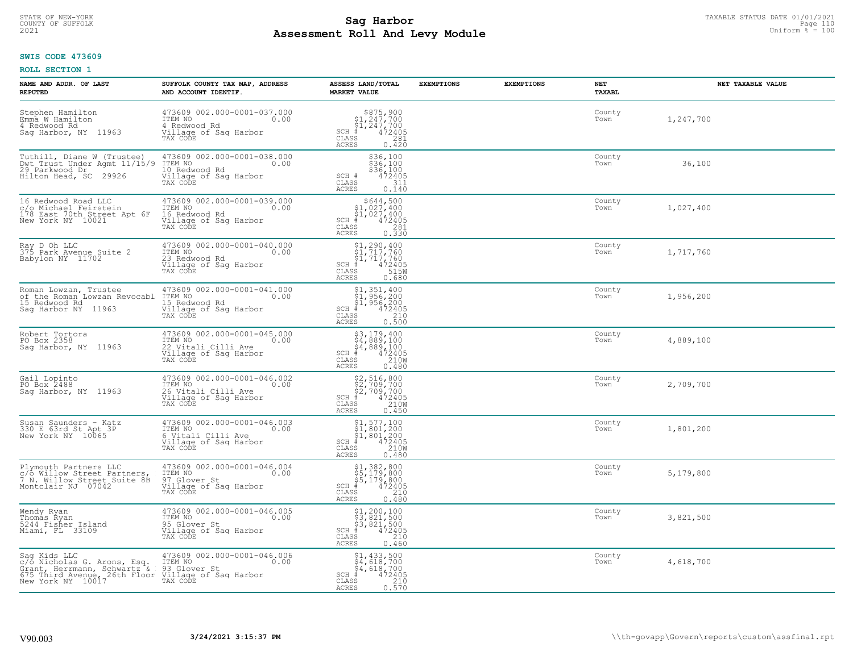#### **Sag Harbor**<br>**Poll And Low Module Assessment Roll And Levy Module Example 2021** Uniform  $\frac{1}{8}$  = 100 COUNTY OF SUFFOLK Page 110

## **SWIS CODE 473609**

| NAME AND ADDR. OF LAST<br><b>REPUTED</b>                                                                                                                                                        | SUFFOLK COUNTY TAX MAP, ADDRESS<br>AND ACCOUNT IDENTIF.                                                           | ASSESS LAND/TOTAL<br><b>MARKET VALUE</b>                                                                                                                                                                                                                                                                                                                                                                                                                                | <b>EXEMPTIONS</b> | <b>EXEMPTIONS</b> | NET<br>TAXABL  | NET TAXABLE VALUE |
|-------------------------------------------------------------------------------------------------------------------------------------------------------------------------------------------------|-------------------------------------------------------------------------------------------------------------------|-------------------------------------------------------------------------------------------------------------------------------------------------------------------------------------------------------------------------------------------------------------------------------------------------------------------------------------------------------------------------------------------------------------------------------------------------------------------------|-------------------|-------------------|----------------|-------------------|
| Stephen Hamilton<br>Emma W Hamilton<br>4 Redwood Rd<br>Saq Harbor, NY 11963                                                                                                                     | 473609 002.000-0001-037.000<br>ITEM NO 0.00<br>4 Redwood Rd<br>Village of Sag Harbor<br>TAX CODE                  | $\begin{array}{r} 8875,900 \\ 81,247,700 \\ 81,247,700 \\ * \\ * \\ \text{SS} \\ \text{S} \\ \text{S} \\ \text{S} \\ \text{S} \\ \text{S} \\ \text{S} \\ \text{S} \\ \text{S} \\ \text{S} \\ \text{S} \\ \text{S} \\ \text{S} \\ \text{S} \\ \text{S} \\ \text{S} \\ \text{S} \\ \text{S} \\ \text{S} \\ \text{S} \\ \text{S} \\ \text{S} \\ \text{S} \\ \text{S} \\ \text{S} \\ \text{S} \\ \text{S} \\ \text{S} \\ \text{S} \\ \$<br>SCH #<br>CLASS<br>ACRES<br>0.420 |                   |                   | County<br>Town | 1,247,700         |
| Tuthill, Diane W (Trustee)<br>Dwt Trust Under Agmt 11/15/9<br>29 Parkwood Dr<br>Hilton Head, SC 29926                                                                                           | 473609 002.000-0001-038.000<br>ITEM NO<br>0.00<br>10 Redwood Rd<br>Village of Sag Harbor<br>TAX CODE              | $$36,100$<br>$$36,100$<br>$$36,100$<br>$472405$<br>$$311$<br>SCH #<br>CLASS<br><b>ACRES</b><br>0.140                                                                                                                                                                                                                                                                                                                                                                    |                   |                   | County<br>Town | 36,100            |
| 16 Redwood Road LLC<br>r/o Michael Feirstein<br>178 East 70th Street Apt 6F<br>New York NY 10021                                                                                                | 473609 002.000-0001-039.000<br>0.00<br>ITEM NO<br>16 Redwood Rd<br>Village of Sag Harbor<br>TAX CODE              | $$644,500$<br>$$1,027,400$<br>$$4,027,400$<br>$$472405$<br>$$8$<br>$SCH$ #<br>CLASS<br>281<br>0.330<br><b>ACRES</b>                                                                                                                                                                                                                                                                                                                                                     |                   |                   | County<br>Town | 1,027,400         |
| Ray D Oh LLC<br>375 Park Avenue Suite 2<br>Babylon NY 11702                                                                                                                                     | 473609 002.000-0001-040.000<br>ITEM NO<br>0.00<br>23 Redwood Rd<br>Village of Sag Harbor<br>TAX CODE              | $$1, 290, 400$<br>$$1, 717, 760$<br>$$1, 717, 760$<br>$472405$<br>$$150$<br>$SCH$ #<br>CLASS<br><b>ACRES</b><br>0.680                                                                                                                                                                                                                                                                                                                                                   |                   |                   | County<br>Town | 1,717,760         |
| Roman Lowzan, Trustee<br>of the Roman Lowzan Revocabl<br>15 Redwood Rd<br>Sag Harbor NY 11963                                                                                                   | 473609 002.000-0001-041.000<br>ITEM NO 0.00<br>0.00<br>----<br>15 Redwood Rd<br>Village of Sag Harbor<br>TAX CODE | $$1,351,400$<br>$$1,956,200$<br>$$1,956,200$<br>$472405$<br>$$240$<br>$$240$<br>$SCH$ #<br>CLASS<br>0.500<br><b>ACRES</b>                                                                                                                                                                                                                                                                                                                                               |                   |                   | County<br>Town | 1,956,200         |
| Robert Tortora<br>PO Box 2358<br>Sag Harbor, NY 11963                                                                                                                                           | 473609 002.000-0001-045.000<br>ITEM NO<br>0.00<br>22 Vitali Cilli Ave<br>Village of Sag Harbor<br>TAX CODE        | \$3,179,400<br>\$4,889,100<br>\$4,889,100<br>#472405<br>\$5,210M<br>SCH #<br>CLASS<br><b>ACRES</b><br>0.480                                                                                                                                                                                                                                                                                                                                                             |                   |                   | County<br>Town | 4,889,100         |
| Gail Lopinto<br>PO Box 2488<br>Saq Harbor, NY 11963                                                                                                                                             | 473609 002.000-0001-046.002<br>ITEM NO 0.00<br>26 Vitali Cilli Ave 0.00<br>Village of Sag Harbor<br>TAX CODE      | \$2,516,800<br>\$2,709,700<br>\$2,709,700<br># 472405<br>\$8 210M<br>$SCH$ #<br>CLASS<br><b>ACRES</b><br>0.450                                                                                                                                                                                                                                                                                                                                                          |                   |                   | County<br>Town | 2,709,700         |
| Susan Saunders - Katz<br>330 E 63rd St Apt 3P<br>New York NY 10065                                                                                                                              | 473609 002.000-0001-046.003<br>TTEM NO 0.00<br>6 Vitali Cilli Ave<br>Village of Sag Harbor<br>TAX CODE            | $\begin{array}{l} $1,577,100\\ $1,801,200\\ $1,801,200\\ *\\ *\\ \text{ss} \end{array}$<br>$SCH$ #<br>CLASS<br><b>ACRES</b><br>0.480                                                                                                                                                                                                                                                                                                                                    |                   |                   | County<br>Town | 1,801,200         |
| Plymouth Partners LLC<br>c/o Willow Street Partners,<br>7 N. Willow Street Suite 8B<br>Montclair NJ 07042                                                                                       | 473609 002.000-0001-046.004<br>ITEM NO 0.00<br>97 Glover St<br>Village of Saq Harbor<br>TAX CODE                  | \$1,382,800<br>\$5,179,800<br>\$5,179,800<br>#472405<br>$SCH$ #<br>CLASS<br>210<br><b>ACRES</b><br>0.480                                                                                                                                                                                                                                                                                                                                                                |                   |                   | County<br>Town | 5,179,800         |
| Wendy Ryan<br>Thomas Ryan<br>5244 Fisher Island<br>Miami, FL 33109                                                                                                                              | 473609 002.000-0001-046.005<br>ITEM NO<br>0.00<br>95 Glover St<br>Village of Sag Harbor<br>TAX CODE               | $$3, 200, 100$<br>$$3, 821, 500$<br>$$3, 821, 500$<br>$$472405$<br>$SCH$ #<br>CLASS<br>210<br><b>ACRES</b><br>0.460                                                                                                                                                                                                                                                                                                                                                     |                   |                   | County<br>Town | 3,821,500         |
| Sag Kids LLC<br>C/O Nicholas G. Arons, Esq. TTEM NO<br>Grant, Herrmann, Schwartz & 93 Glover St<br>675 Third Avenue, 26th Floor Village of Sag Harbor<br>New York NY 10017<br>New York NY 10017 | 473609 002.000-0001-046.006<br>0.00                                                                               | \$1,433,500<br>\$4,618,700<br>\$4,618,700<br>$SCH$ #<br>472405<br>$\mathtt{CLASS}$<br>210<br>0.570<br>ACRES                                                                                                                                                                                                                                                                                                                                                             |                   |                   | County<br>Town | 4,618,700         |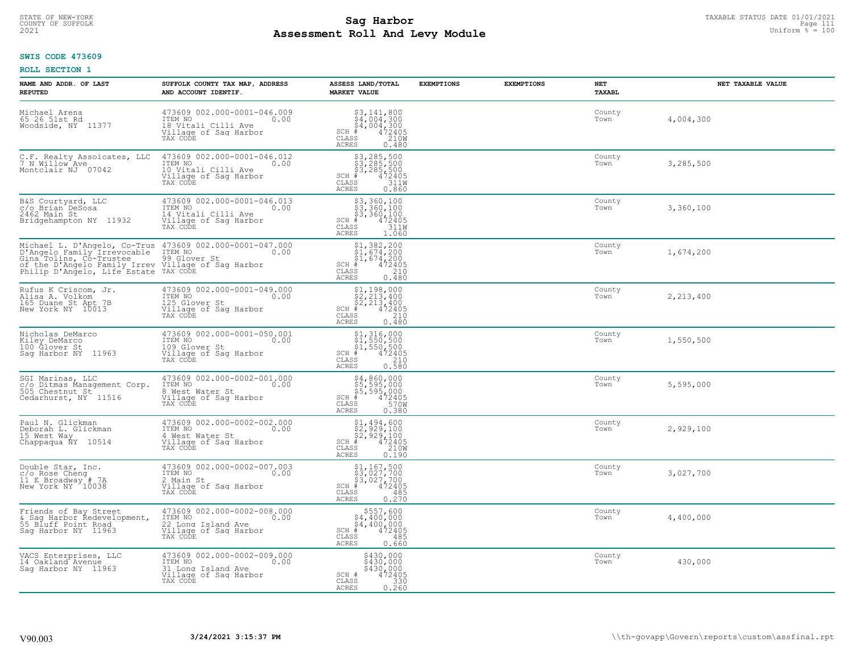#### **Sag Harbor** TAXABLE STATUS DATE 01/01/2021<br>Pall and Louis Module **Assessment Roll And Levy Module Example 2021** Uniform  $\frac{1}{8}$  = 100 COUNTY OF SUFFOLK Page 111

## **SWIS CODE 473609**

| NAME AND ADDR. OF LAST<br><b>REPUTED</b>                                                                                                                                                                                       | SUFFOLK COUNTY TAX MAP, ADDRESS<br>AND ACCOUNT IDENTIF.                                                         | ASSESS LAND/TOTAL<br><b>MARKET VALUE</b>                                                                                                                                                                                                                                                                                                                                | <b>EXEMPTIONS</b> | <b>EXEMPTIONS</b> | NET<br>TAXABL  | NET TAXABLE VALUE |
|--------------------------------------------------------------------------------------------------------------------------------------------------------------------------------------------------------------------------------|-----------------------------------------------------------------------------------------------------------------|-------------------------------------------------------------------------------------------------------------------------------------------------------------------------------------------------------------------------------------------------------------------------------------------------------------------------------------------------------------------------|-------------------|-------------------|----------------|-------------------|
| Michael Arena<br>65 26 51st Rd<br>Woodside, NY 11377                                                                                                                                                                           | 473609 002.000-0001-046.009<br>ITEM NO 0.00<br>0.00<br>18 Vitali Cilli Ave<br>Village of Sag Harbor<br>TAX CODE | $\begin{array}{l} 53,141,800 \\ 54,004,300 \\ 54,004,300 \\ * & 472405 \\ * & 2100 \\ * & 2100 \\ * & 2100 \\ * & 2100 \\ * & 2100 \\ * & 2100 \\ * & 2100 \\ * & 2100 \\ * & 2210 \\ * & 2210 \\ * & 2210 \\ * & 2210 \\ * & 2210 \\ * & 2210 \\ * & 2210 \\ * & 2210 \\ * & 2210 \\ * & 2210 \\ * & 2210 \\ * & 2210 \\ * & 2210$<br>SCH #<br>CLASS<br>ACRES<br>0.480 |                   |                   | County<br>Town | 4,004,300         |
| C.F. Realty Assoicates, LLC<br>7 N Willow Ave<br>Montclair NJ 07042                                                                                                                                                            | 473609 002.000-0001-046.012<br>ITEM NO<br>0.00<br>10 Vitali Cilli Ave<br>Village of Sag Harbor<br>TAX CODE      | $$3, 285, 500$<br>$$3, 285, 500$<br>$$3, 285, 500$<br>$472405$<br>$$3128$<br>SCH #<br>CLASS<br>ACRES<br>0.860                                                                                                                                                                                                                                                           |                   |                   | County<br>Town | 3,285,500         |
| B&S Courtyard, LLC<br>c/o Brian DeSosa<br>2462 Main St<br>Bridgehampton NY 11932                                                                                                                                               | 473609 002.000-0001-046.013<br>ITEM NO<br>0.00<br>14 Vitali Cilli Ave<br>Village of Sag Harbor<br>TAX CODE      | \$3,360,100<br>\$3,360,100<br>\$3,360,100<br>#472405<br>\$5 311M<br>SCH #<br>CLASS<br>ACRES<br>1.060                                                                                                                                                                                                                                                                    |                   |                   | County<br>Town | 3,360,100         |
| Michael L. D'Angelo, Co-Trus 473609 002.000-0001-047.000<br>D'Angelo Family Irrevocable ITEM NO 0.00<br>Gina Tolins, Co-Trustee<br>of the D'Angelo Family Irrev Village of Saq Harbor<br>Philip D'Angelo, Life Estate TAX CODE |                                                                                                                 | $$1,382,200$<br>$$1,674,200$<br>$$1,674,200$<br>$472405$<br>$35$<br>$210$<br>$SCH$ #<br>CLASS<br>ACRES<br>0.480                                                                                                                                                                                                                                                         |                   |                   | County<br>Town | 1,674,200         |
| Rufus K Criscom, Jr.<br>Alisa A. Volkom<br>165 Duane St Apt 7B<br>New York NY 10013                                                                                                                                            | $473609002.000-0001-049.000$<br>TTEM NO<br>125 Glover St<br>Village of Sag Harbor<br>TAX CODE<br>0.00           | $\begin{array}{l} $1,198,000\\ $2,213,400\\ $2,213,400\\ \ast\\ $35 \end{array}$<br>$SCH$ #<br>CLASS<br><b>ACRES</b><br>0.480                                                                                                                                                                                                                                           |                   |                   | County<br>Town | 2,213,400         |
| Nicholas DeMarco<br>Kiley DeMarco<br>100 Glover St<br>Saq Harbor NY 11963                                                                                                                                                      | 473609 002.000-0001-050.001<br>ITEM NO<br>0.00<br>109 Glover St<br>Village of Sag Harbor<br>TAX CODE            | \$1,316,000<br>\$1,550,500<br>\$1,550,500<br>#472405<br>$SCH$ #<br>CLASS<br>210<br>0.580<br>ACRES                                                                                                                                                                                                                                                                       |                   |                   | County<br>Town | 1,550,500         |
| SGI Marinas, LLC<br>c/o Ditmas Management Corp.<br>505 Chestnut St<br>Cedarhurst, NY 11516                                                                                                                                     | 473609 002.000-0002-001.000<br>ITEM NO<br>0.00<br>8 West Water St<br>Village of Sag Harbor<br>TAX CODE          | \$4,860,000<br>\$5,595,000<br>\$5,595,000<br>#472405<br>\$570M<br>$SCH$ #<br>CLASS<br><b>ACRES</b><br>0.380                                                                                                                                                                                                                                                             |                   |                   | County<br>Town | 5,595,000         |
| Paul N. Glickman<br>Deborah L. Glickman<br>15 West Way<br>Chappaqua ÑY 10514                                                                                                                                                   | 473609 002.000-0002-002.000<br>10.00 0.00<br>4 West Water St<br>Village of Sag Harbor<br>TAX CODE               | $$2,929,100$<br>$$2,929,100$<br>$$2,929,100$<br>$472405$<br>$$2100$<br>$$2100$<br>$SCH$ #<br>CLASS<br>ACRES<br>0.190                                                                                                                                                                                                                                                    |                   |                   | County<br>Town | 2,929,100         |
| Double Star, Inc.<br>c/o Rose Cheng<br>11 E Broadway # 7A<br>New York NY 10038                                                                                                                                                 | 473609 002.000-0002-007.003<br>ITEM NO 0.00<br>2 Main St<br>Village of Sag Harbor<br>TAX CODE                   | \$1,167,500<br>\$3,027,700<br>\$3,027,700<br>#472405<br>$SCH$ #<br>CLASS<br>485<br>ACRES<br>0.270                                                                                                                                                                                                                                                                       |                   |                   | County<br>Town | 3,027,700         |
| Friends of Bay Street<br>& Sag Harbor Redevelopment,<br>55 Bluff Point Road<br>Sag Harbor NY 11963                                                                                                                             | 473609 002.000-0002-008.000<br>ITEM NO<br>0.00<br>22 Long Island Ave<br>Village of Sag Harbor<br>TAX CODE       | \$557,600<br>$$4,400,000$<br>$$4,400,000$<br>$*$ 472405<br>$SCH$ #<br>CLASS<br>485<br>0.660<br><b>ACRES</b>                                                                                                                                                                                                                                                             |                   |                   | County<br>Town | 4,400,000         |
| VACS Enterprises, LLC<br>14 Oakland Avenue<br>Saq Harbor NY 11963                                                                                                                                                              | 473609 002.000-0002-009.000<br>ITEM NO<br>31 Long Island Ave<br>0.00<br>Village of Sag Harbor<br>TAX CODE       | \$430,000<br>\$430,000<br>\$430,000<br>SCH #<br>472405<br>CLASS<br>330<br>ACRES<br>0.260                                                                                                                                                                                                                                                                                |                   |                   | County<br>Town | 430,000           |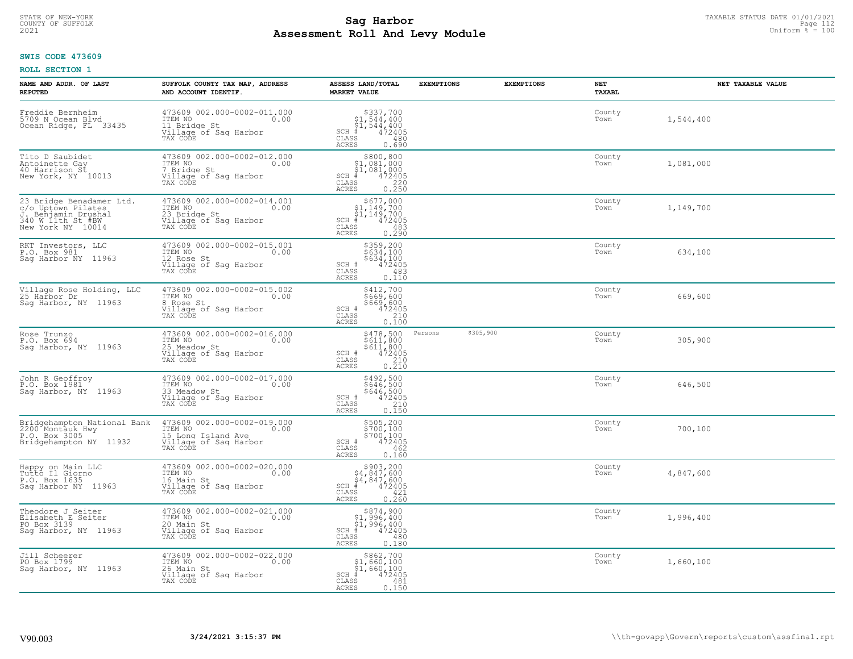# STATE OF NEW-YORK TAXABLE STATUS DATE 01/01/2021<br>COUNTY OF SUFFOLK Page 112 **Assessment Roll And Levy Module Example 2021** Uniform  $\frac{1}{8}$  = 100

### **SWIS CODE 473609**

| NAME AND ADDR. OF LAST<br><b>REPUTED</b>                                                                        | SUFFOLK COUNTY TAX MAP, ADDRESS<br>AND ACCOUNT IDENTIF.                                                                     | ASSESS LAND/TOTAL<br><b>MARKET VALUE</b>                                                                                                                                                                                               | <b>EXEMPTIONS</b> | <b>EXEMPTIONS</b> | NET<br>TAXABL  | NET TAXABLE VALUE |
|-----------------------------------------------------------------------------------------------------------------|-----------------------------------------------------------------------------------------------------------------------------|----------------------------------------------------------------------------------------------------------------------------------------------------------------------------------------------------------------------------------------|-------------------|-------------------|----------------|-------------------|
| Freddie Bernheim<br>5709 N Ocean Blvd<br>Ocean Ridge, FL 33435                                                  | 473609 002.000-0002-011.000<br>ITEM NO 0.00<br>11 Bridge St<br>11 Bridge St<br>Village of Sag Harbor<br>TAX CODE            | $\begin{array}{c} \texttt{5337,700} \\ \texttt{51,544,400} \\ \texttt{SCH} + 544,400 \\ \texttt{SCH} + 544,400 \\ \texttt{CLAS} + 472405 \\ \texttt{ACRES} - 0.690 \end{array}$<br>ACRES<br>0.690                                      |                   |                   | County<br>Town | 1,544,400         |
| Tito D Saubidet<br>Antoinette Gay<br>40 Harrison St<br>New York, NY 10013                                       | 473609 002.000-0002-012.000<br>ITEM NO 0.00<br>7 Bridge St<br>$\mathbf{r}$<br>Village of Sag Harbor<br>TAX CODE             | $$800, 800$<br>$$1, 081, 000$<br>$$1, 081, 000$<br>$$1, 081, 000$<br>$$1, 047405$<br>$$1, 081, 000$<br>$$1, 081, 000$<br>CLASS<br>0.250<br>ACRES                                                                                       |                   |                   | County<br>Town | 1,081,000         |
| 23 Bridge Benadamer Ltd.<br>c/o Uptown Pilates<br>J. Benjamin Drushal<br>340 W 11th St #BW<br>New York NY 10014 | 473609 002.000-0002-014.001<br>ITEM NO $\qquad \qquad 0.00$<br><sup>23</sup> Bridge St<br>Village of Sag Harbor<br>TAX CODE | \$677,000<br>\$1,149,700<br>\$1,149,700<br>\$1,149,700<br>\$1,149,700<br>\$1,149,700<br>\$1,149,700<br>\$1,149,700<br>0.290<br>ACRES                                                                                                   |                   |                   | County<br>Town | 1,149,700         |
| RKT Investors, LLC<br>P.O. Box 981<br>Sag Harbor NY 11963                                                       | 473609 002.000-0002-015.001<br>ITEM NO 0.00<br>12 Rose St<br>Village of Saq Harbor<br>TAX CODE                              | $5359,200$<br>$5634,100$<br>$5634,100$<br>$5634,100$<br>CLASS<br>$472405$<br>CLASS<br>$\begin{array}{r} 483 \\ 0.110 \end{array}$<br><b>ACRES</b>                                                                                      |                   |                   | County<br>Town | 634,100           |
| Village Rose Holding, LLC<br>25 Harbor Dr<br>Sag Harbor, NY 11963                                               | 473609 002.000-0002-015.002<br>ITEM NO 0.00<br>8 Rose St<br>Village of Saq Harbor<br>TAX CODE                               | \$412,700<br>\$669,600<br>$SCH$ $\frac{1}{2}669,600$<br>CLASS<br>$\begin{array}{c} 210 \\ 0.100 \end{array}$<br>ACRES                                                                                                                  |                   |                   | County<br>Town | 669,600           |
| Rose Trunzo<br>P.O. Box 694<br>Sag Harbor, NY 11963                                                             | 473609 002.000-0002-016.000<br>ITEM NO 0.00<br>11mm<br>25 Meadow St<br>Village of Sag Harbor<br>TAX CODE                    | \$478,500<br>\$611,800<br>\$611,800<br>472405<br>$SCH$ $#$<br>CLASS<br>$\frac{210}{0.210}$<br><b>ACRES</b>                                                                                                                             | Persons           | \$305,900         | County<br>Town | 305,900           |
| John R Geoffroy<br>P.O. Box 1981<br>Saq Harbor, NY 11963                                                        | 473609 002.000-0002-017.000<br>ITEM NO 0.00<br>33 Mordow St<br>33 Meadow St<br>Village of Sag Harbor<br>TAX CODE            | $5492,5005646,5005646,500472405ST368$<br>CLASS<br>210<br>0.150<br><b>ACRES</b>                                                                                                                                                         |                   |                   | County<br>Town | 646,500           |
| Bridgehampton National Bank<br>2200 Montauk_Hwy<br>P.O. Box 3005<br>Bridgehampton NY 11932                      | 473609 002.000-0002-019.000<br>ITEM NO 0.00<br>15 Long Island Ave<br>Village of Sag Harbor<br>TAX CODE                      | \$505,200<br>\$700,100<br>\$700,100<br>SCH # 472405<br>CLASS 462<br>ACRES 0.160<br>0.160                                                                                                                                               |                   |                   | County<br>Town | 700,100           |
| Happy on Main LLC<br>Tutto Il Giorno<br>P.O. Box 1635<br>Sag Harbor NY 11963                                    | 473609 002.000-0002-020.000<br>ITEM NO 0.00<br>16 Main St<br>16 Main St<br>Village of Saq Harbor<br>TAX CODE                | $\begin{array}{c} \texttt{\$903,200} \\ \texttt{\$4,847,600} \\ \texttt{SGH} \begin{array}{c} \texttt{\$4,847,600} \\ \texttt{\$4,847,600} \\ \texttt{\$4,2405} \\ \texttt{\$CLAS} \\ \texttt{ACRES} \end{array} \end{array}$<br>0.260 |                   |                   | County<br>Town | 4,847,600         |
| Theodore J Seiter<br>Elisabeth E Seiter<br>PO Box 3139<br>Saq Harbor, NY 11963                                  | 473609 002.000-0002-021.000<br>ITEM NO<br>20 Main St<br>20 Main St<br>30 Tech verbors<br>Village of Sag Harbor<br>TAX CODE  | $\begin{array}{r} \hline \text{S874, 900} \\ \text{S1, 996, 400} \\ \text{S1, 996, 400} \\ \text{SCH} & 472405 \\ \text{SCH} & 472405 \\ \text{S1, 80} \end{array}$<br>CLASS<br>480<br>ACRES<br>0.180                                  |                   |                   | County<br>Town | 1,996,400         |
| Jill Scheerer<br>PO Box 1799<br>Sag Harbor, NY 11963                                                            | 473609 002.000-0002-022.000<br>ITEM NO 0.00<br>26 Main St<br>Village of Sag Harbor<br>TAX CODE                              | $$862,700$<br>$$1,660,100$<br>$$1,660,100$<br>sch # 472405<br>CLASS<br>481<br>0.150<br>ACRES                                                                                                                                           |                   |                   | County<br>Town | 1,660,100         |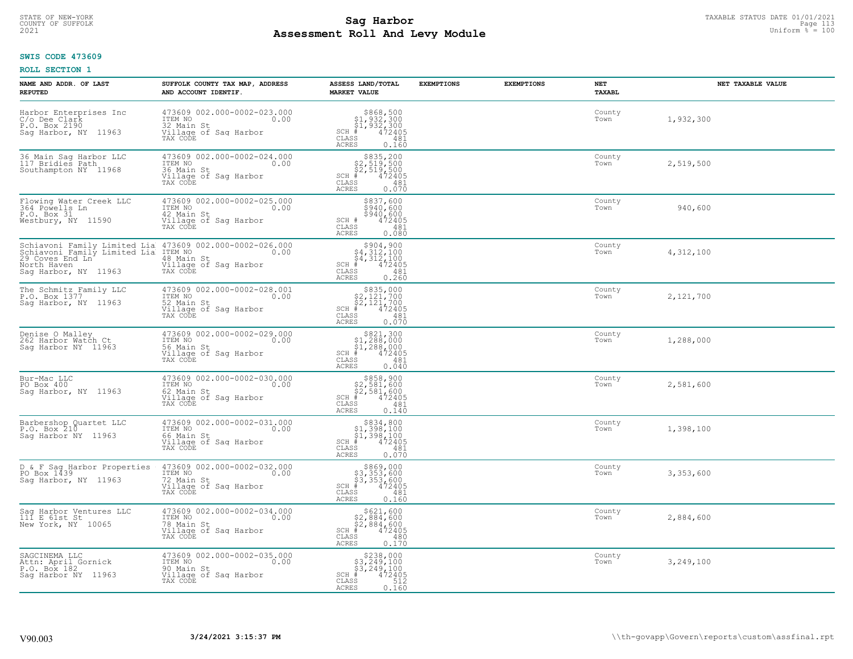# STATE OF NEW-YORK TAXABLE STATUS DATE 01/01/2021<br>COUNTY OF SUFFOLK Page 113 **Assessment Roll And Levy Module Example 2021** Uniform  $\frac{1}{8}$  = 100

#### **SWIS CODE 473609**

| NAME AND ADDR. OF LAST<br><b>REPUTED</b>                                         | SUFFOLK COUNTY TAX MAP, ADDRESS<br>AND ACCOUNT IDENTIF.                                                                                                             | ASSESS LAND/TOTAL<br><b>MARKET VALUE</b>                                                                                               | <b>EXEMPTIONS</b> | <b>EXEMPTIONS</b> | NET<br>TAXABL  | NET TAXABLE VALUE |
|----------------------------------------------------------------------------------|---------------------------------------------------------------------------------------------------------------------------------------------------------------------|----------------------------------------------------------------------------------------------------------------------------------------|-------------------|-------------------|----------------|-------------------|
| Harbor Enterprises Inc<br>C/o Dee Clark<br>P.O. Box 2190<br>Sag Harbor, NY 11963 | 473609 002.000-0002-023.000<br>ITEM NO<br>0.00<br>32 Main St<br>Village of Sag Harbor<br>TAX CODE                                                                   | $$868,500$<br>$$1,932,300$<br>$$1,932,300$<br>$$472405$<br>$SCH$ $#$<br>CLASS<br>481<br>ACRES<br>0.160                                 |                   |                   | County<br>Town | 1,932,300         |
| 36 Main Sag Harbor LLC<br>117 Bridies Path<br>Southampton NY 11968               | 473609 002.000-0002-024.000<br>ITEM NO 0.00<br>36 Main St<br>Village of Sag Harbor<br>TAX CODE                                                                      | $$835, 200$<br>$$2, 519, 500$<br>$$2, 519, 500$<br>$$472405$<br>$SCH$ #<br>CLASS<br>481<br>0.070<br>ACRES                              |                   |                   | County<br>Town | 2,519,500         |
| Flowing Water Creek LLC<br>364 Powells Ln<br>P.O. Box 31<br>Westbury, NY 11590   | 473609 002.000-0002-025.000<br>ITEM NO<br>0.00<br>42 Main St<br>Village of Sag Harbor<br>TAX CODE                                                                   | \$837,600<br>3940,600<br>\$940,600<br>472405<br>SCH #<br>CLASS<br>481<br>0.080<br>ACRES                                                |                   |                   | County<br>Town | 940,600           |
| North Haven<br>Saq Harbor, NY 11963                                              | Schiavoni Family Limited Lia 473609 002.000-0002-026.000<br>Schiavoni Family Limited Lia ITEM NO<br>29 Coves End Ln 48 Main St<br>Village of Sag Harbor<br>TAX CODE | \$904,900<br>$\begin{array}{l} 54,312,100 \\ 4,312,100 \\ +1 & 472405 \end{array}$<br>$SCH$ #<br>CLASS<br>481<br><b>ACRES</b><br>0.260 |                   |                   | County<br>Town | 4,312,100         |
| The Schmitz Family LLC<br>P.O. Box 1377<br>Saq Harbor, NY 11963                  | 473609 002.000-0002-028.001<br>ITEM NO<br>0.00<br>52 Main St<br>Village of Saq Harbor<br>TAX CODE                                                                   | \$835,000<br>$$2,121,700$<br>$$2,121,700$<br>$472405$<br>$SCH$ #<br>CLASS<br>481<br>0.070<br>ACRES                                     |                   |                   | County<br>Town | 2,121,700         |
| Denise O Malley<br>262 Harbor Watch Ct<br>Saq Harbor NY 11963                    | 473609 002.000-0002-029.000<br>ITEM NO<br>0.00<br>56 Main St<br>Village of Sag Harbor<br>TAX CODE                                                                   | $\begin{array}{c} $821,300 $1,288,000 $1,288,000 # 472405 \end{array}$<br>$SCH$ #<br>CLASS<br>481<br><b>ACRES</b><br>0.040             |                   |                   | County<br>Town | 1,288,000         |
| Bur-Mac LLC<br>PO Box 400<br>Sag Harbor, NY 11963                                | 473609 002.000-0002-030.000<br>ITEM NO<br>0.00<br>62 Main St<br>Village of Sag Harbor<br>TAX CODE                                                                   | $$858,900$<br>$$2,581,600$<br>$$2,581,600$<br>$$472405$<br>$SCH$ #<br>CLASS<br>481<br>0.140<br>ACRES                                   |                   |                   | County<br>Town | 2,581,600         |
| Barbershop Quartet LLC<br>P.O. Box 210<br>Saq Harbor NY 11963                    | 473609 002.000-0002-031.000<br>TTEM NO 0.00<br>66 Main St<br>Village of Sag Harbor<br>TAX CODE                                                                      | $SCH \#$<br>CLASS<br>481<br>ACRES<br>0.070                                                                                             |                   |                   | County<br>Town | 1,398,100         |
| D & F Sag Harbor Properties<br>PO Box 1439<br>Saq Harbor, NY 11963               | 473609 002.000-0002-032.000<br>ITEM NO 0.00<br>72 Main St<br>Village of Sag Harbor<br>TAX CODE                                                                      | \$869,000<br>\$3,353,600<br>\$3,353,600<br>#472405<br>$SCH$ #<br>CLASS<br>481<br>ACRES<br>0.160                                        |                   |                   | County<br>Town | 3,353,600         |
| Sag Harbor Ventures LLC<br>111 E 61st St<br>New York, NY 10065                   | 473609 002.000-0002-034.000<br>ITEM NO<br>0.00<br>78 Main St<br>Village of Sag Harbor<br>TAX CODE                                                                   | \$621,600<br>\$2,884,600<br>\$2,884,600<br>#472405<br>$SCH$ #<br>CLASS<br>480<br>0.170<br><b>ACRES</b>                                 |                   |                   | County<br>Town | 2,884,600         |
| SAGCINEMA LLC<br>Attn: April Gornick<br>P.O. Box 182<br>Saq Harbor NY 11963      | 473609 002.000-0002-035.000<br>ITEM NO<br>0.00<br>90 Main St<br>Village of Sag Harbor<br>TAX CODE                                                                   | $$238,000$<br>$$3,249,100$<br>$$3,249,100$<br>$$3,249,100$<br>$SCH$ #<br>472405<br>CLASS<br>512<br>ACRES<br>0.160                      |                   |                   | County<br>Town | 3,249,100         |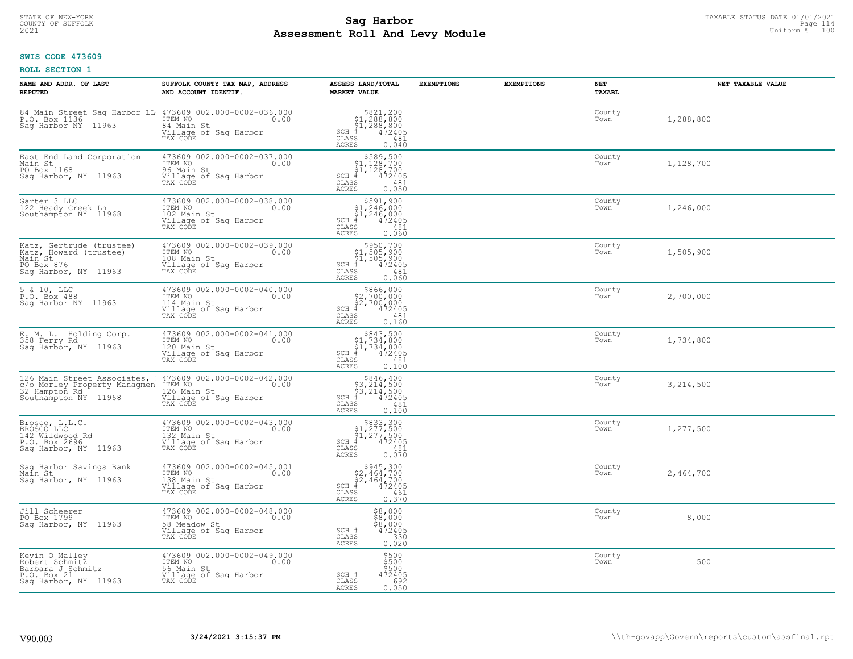#### **Sag Harbor** TAXABLE STATUS DATE 01/01/2021<br>Pall and Louis Module **Assessment Roll And Levy Module Example 2021** Uniform  $\frac{1}{8}$  = 100 COUNTY OF SUFFOLK Page 114

## **SWIS CODE 473609**

| NAME AND ADDR. OF LAST<br><b>REPUTED</b>                                                                            | SUFFOLK COUNTY TAX MAP, ADDRESS<br>AND ACCOUNT IDENTIF.                                                   | ASSESS LAND/TOTAL<br><b>MARKET VALUE</b>                                                                                          | <b>EXEMPTIONS</b> | <b>EXEMPTIONS</b> | NET<br>TAXABL  | NET TAXABLE VALUE |
|---------------------------------------------------------------------------------------------------------------------|-----------------------------------------------------------------------------------------------------------|-----------------------------------------------------------------------------------------------------------------------------------|-------------------|-------------------|----------------|-------------------|
| 84 Main Street Sag Harbor LL 473609 002.000-0002-036.000<br>P.O. Box 1136 20000 ITEM NO 0.00<br>Sag Harbor NY 11963 | 84 Main St<br>Village of Sag Harbor<br>TAX CODE                                                           | $$321, 200$<br>$$1, 288, 800$<br>$$1, 288, 800$<br>$*1, 288, 800$<br>$*1, 2405$<br>$SCH$ #<br>CLASS<br>481<br>ACRES<br>0.040      |                   |                   | County<br>Town | 1,288,800         |
| East End Land Corporation<br>Main St<br>PO Box 1168<br>Saq Harbor, NY 11963                                         | 473609 002.000-0002-037.000<br>TTEM NO 0.00<br>96 Main St<br>Village of Sag Harbor<br>TAX CODE            | $$589,500$<br>$$1,128,700$<br>$$1,128,700$<br>$$1,128,700$<br>$SCH$ #<br>$\mathtt{CLASS}$<br>481<br>0.050<br><b>ACRES</b>         |                   |                   | County<br>Town | 1,128,700         |
| Garter 3 LLC<br>122 Heady Creek Ln<br>Southampton NY 11968                                                          | 473609 002.000-0002-038.000<br>ITEM NO<br>0.00<br>102 Main St<br>Village of Sag Harbor<br>TAX CODE        | $$591,900$<br>$$1,246,000$<br>$$1,246,000$<br>$*1,246,000$<br>$*1,2405$<br>$$5$<br>SCH #<br>CLASS<br>481<br>0.060<br>ACRES        |                   |                   | County<br>Town | 1,246,000         |
| Katz, Gertrude (trustee)<br>Katz, Howard (trustee)<br>Main St<br>PO Box 876<br>Saq Harbor, NY 11963                 | 473609 002.000-0002-039.000<br>TTEM NO 0.00<br>108 Main St<br>Village of Sag Harbor<br>TAX CODE           | $$950, 700$<br>$$1, 505, 900$<br>$$1, 505, 900$<br>$*$ $472405$<br>$SCH$ #<br>CLASS<br>481<br>0.060<br><b>ACRES</b>               |                   |                   | County<br>Town | 1,505,900         |
| 5 & 10, LLC<br>P.O. Box 488<br>Sag Harbor NY 11963                                                                  | 473609 002.000-0002-040.000<br>ITEM NO<br>0.00<br>114 Main St<br>Village of Saq Harbor<br>TAX CODE        | $$2,700,000$<br>$$2,700,000$<br>$$472,905$<br>$\frac{472,905}{9}$<br>$SCH$ #<br>CLASS<br>481<br><b>ACRES</b><br>0.160             |                   |                   | County<br>Town | 2,700,000         |
| E. M. L. Holding Corp.<br>358 Ferry Rd.<br>Sag Harbor, NY 11963                                                     | 473609 002.000-0002-041.000<br>ITEM NO<br>$\sim$ 0.00<br>120 Main St<br>Village of Sag Harbor<br>TAX CODE | $$843,500$<br>$$1,734,800$<br>$$1,734,800$<br>$$472405$<br>$SCH$ #<br>CLASS<br>481<br>0.100<br><b>ACRES</b>                       |                   |                   | County<br>Town | 1,734,800         |
| 126 Main Street Associates,<br>c/o Morley Property Managmen<br>32 Hampton Rd<br>Southampton NY 11968                | 473609 002.000-0002-042.000<br>ITEM NO<br>JVI<br>0.00<br>126 Main St<br>Village of Sag Harbor<br>TAX CODE | $\begin{array}{r} $846,400\n$3,214,500\n$3,214,500\n# 472405 \end{array}$<br>$SCH$ #<br>$\mathtt{CLASS}$<br>481<br>0.100<br>ACRES |                   |                   | County<br>Town | 3,214,500         |
| Brosco, L.L.C.<br>BROSCO LLC<br>142 Wildwood Rd<br>P.O. Box 2696<br>Sag Harbor, NY 11963                            | 473609 002.000-0002-043.000<br>ITEM NO 0.00<br>132 Main St<br>Village of Sag Harbor<br>TAX CODE           | $$833,300$<br>$$1,277,500$<br>$$1,277,500$<br>$*$ 472405<br>SCH #<br>CLASS<br>481<br><b>ACRES</b><br>0.070                        |                   |                   | County<br>Town | 1,277,500         |
| Sag Harbor Savings Bank<br>Main St<br>Saq Harbor, NY 11963                                                          | 473609 002.000-0002-045.001<br>ITEM NO 0.00<br>138 Main St<br>Village of Sag Harbor<br>TAX CODE           | $$2,464,700$<br>$$2,464,700$<br>$$2,464,700$<br>$472405$<br>$SCH$ #<br>CLASS<br>461<br><b>ACRES</b><br>0.370                      |                   |                   | County<br>Town | 2,464,700         |
| Jill Scheerer<br>PO Box 1799<br>Sag Harbor, NY 11963                                                                | 473609 002.000-0002-048.000<br>ITEM NO<br>0.00<br>58 Meadow St<br>Village of Sag Harbor<br>TAX CODE       | $$8,000$<br>$$8,000$<br>$$9,000$<br>SCH #<br>472405<br>330<br>CLASS<br>0.020<br>ACRES                                             |                   |                   | County<br>Town | 8,000             |
| Kevin O Malley<br>Robert Schmitz<br>Barbara J Schmitz<br>P.O. Box 21<br>Sag Harbor, NY 11963                        | 473609 002.000-0002-049.000<br>ITEM NO<br>0.00<br>56 Main St<br>Village of Sag Harbor<br>TAX CODE         | \$500<br>\$500<br>\$500<br>SCH #<br>472405<br>CLASS<br>692<br><b>ACRES</b><br>0.050                                               |                   |                   | County<br>Town | 500               |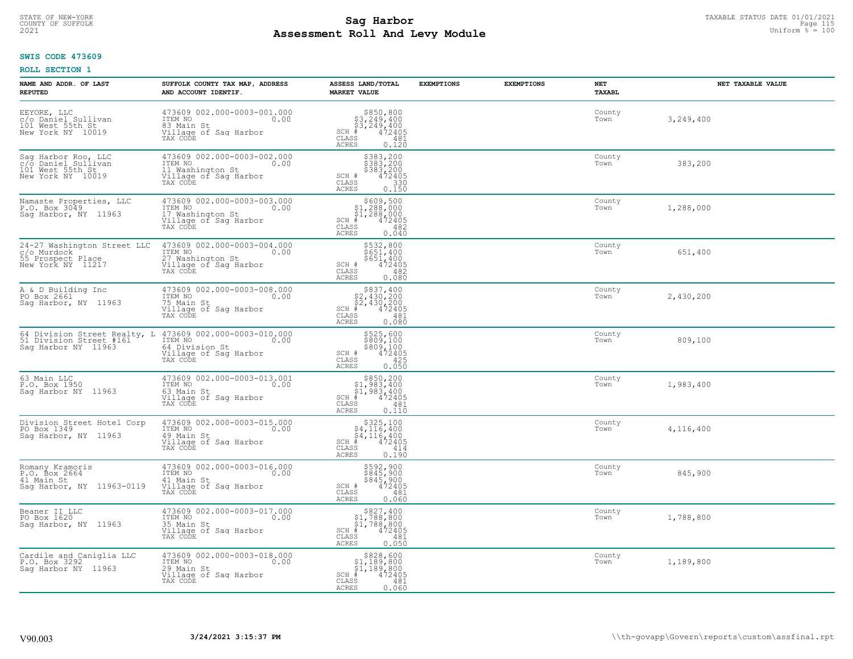# STATE OF NEW-YORK TAXABLE STATUS DATE 01/01/2021<br>COUNTY OF SUFFOLK Page 115 **Assessment Roll And Levy Module Example 2021** Uniform  $\frac{1}{8}$  = 100

#### **SWIS CODE 473609**

| NAME AND ADDR. OF LAST<br><b>REPUTED</b>                                             | SUFFOLK COUNTY TAX MAP, ADDRESS<br>AND ACCOUNT IDENTIF.                                                                            | ASSESS LAND/TOTAL<br><b>MARKET VALUE</b>                                                                                             | <b>EXEMPTIONS</b> | <b>EXEMPTIONS</b> | NET<br>TAXABL  | NET TAXABLE VALUE |
|--------------------------------------------------------------------------------------|------------------------------------------------------------------------------------------------------------------------------------|--------------------------------------------------------------------------------------------------------------------------------------|-------------------|-------------------|----------------|-------------------|
| EEYORE, LLC<br>c/o Daniel Sullivan<br>101 Mest 55th.St.<br>New York NY 10019         | 473609 002.000-0003-001.000<br>ITEM NO 0.00<br>83 Main St<br>Village of Sag Harbor<br>TAX CODE                                     | $$3, 249, 400$<br>$$3, 249, 400$<br>$$4, 249, 400$<br>$\frac{4}{15}$<br>$472405$<br>$SCH$ #<br>CLASS<br>481<br>ACRES<br>0.120        |                   |                   | County<br>Town | 3,249,400         |
| Sag Harbor Roo, LLC<br>c/o Daniel_Sullivan<br>101 West 55th St<br>New York NY 10019  | 473609 002.000-0003-002.000<br>ITEM NO<br>11 Washington St<br>$\sim$ 0.00<br>Village of Sag Harbor<br>TAX CODE                     | \$383,200<br>\$383,200<br>\$383,200<br>\$383,200<br>SCH #<br>CLASS<br>330<br>ACRES<br>0.150                                          |                   |                   | County<br>Town | 383,200           |
| Namaste Properties, LLC<br>P.O. Box 3049<br>Sag Harbor, NY 11963                     | 473609 002.000-0003-003.000<br>ITEM NO 0.00<br>17 Washington St<br>Village of Sag Harbor<br>TAX CODE                               | \$609,500<br>\$1,288,000<br>\$1,288,000<br>$SCH$ #<br>472405<br>CLASS<br>482<br>0.040<br>ACRES                                       |                   |                   | County<br>Town | 1,288,000         |
| 24-27 Washington Street LLC<br>c/o Murdock<br>55 Prospect Place<br>New York NY 11217 | 473609 002.000-0003-004.000<br>ITEM NO 0.00<br>27 Washington St<br>Village of Sag Harbor<br>TAX CODE                               | \$532,800<br>\$651,400<br>\$651/400<br>SCH #<br>472405<br>CLASS<br>482<br>ACRES<br>0.080                                             |                   |                   | County<br>Town | 651,400           |
| A & D Building Inc<br>PO Box 2661<br>Sag Harbor, NY 11963                            | 473609 002.000-0003-008.000<br>ITEM NO<br>0.00<br>75 Main St<br>Village of Sag Harbor<br>TAX CODE                                  | \$837,400<br>$\begin{array}{l} 52,430,200 \\ 52,430,200 \\ + 472405 \end{array}$<br>$SCH$ #<br>CLASS<br>481<br><b>ACRES</b><br>0.080 |                   |                   | County<br>Town | 2,430,200         |
| 51 Division Street #161<br>Saq Harbor NY 11963                                       | 64 Division Street Realty, L 473609 002.000-0003-010.000<br>ITEM NO<br>0.00<br>64 Division St<br>Village of Sag Harbor<br>TAX CODE | \$525,600<br>\$809,100<br>\$809,100<br>472405<br>SCH #<br>$\mathtt{CLASS}$<br>425<br>0.050<br><b>ACRES</b>                           |                   |                   | County<br>Town | 809,100           |
| 63 Main LLC<br>P.O. Box 1950<br>Saq Harbor NY 11963                                  | 473609 002.000-0003-013.001<br>ITEM NO<br>0.00<br>63 Main St<br>Village of Sag Harbor<br>TAX CODE                                  | \$850,200<br>$$1,983,400$<br>$$1,983,400$<br>$472405$<br>$SCH$ #<br>CLASS<br>481<br>0.110<br>ACRES                                   |                   |                   | County<br>Town | 1,983,400         |
| Division Street Hotel Corp<br>PO Box 1349<br>Sag Harbor, NY 11963                    | 473609 002.000-0003-015.000<br>ITEM NO 0.00<br>49 Main St<br>Village of Sag Harbor<br>TAX CODE                                     | $\begin{array}{c} $325,100 $4,116,400 $4,116,400 + $4,12405 \end{array}$<br>SCH ∯<br>CLASS<br>414<br>ACRES<br>0.190                  |                   |                   | County<br>Town | 4,116,400         |
| Romany Kramoris<br>$P.0.$ Box 2664<br>41 Main St<br>Saq Harbor, NY 11963-0119        | 473609 002.000-0003-016.000<br>ITEM NO 0.00<br>41 Main St<br>Village of Sag Harbor<br>TAX CODE                                     | \$592,900<br>\$845,900<br>\$845,900<br>472405<br>SCH #<br>CLASS<br>481<br>ACRES<br>0.060                                             |                   |                   | County<br>Town | 845,900           |
| Beaner II LLC<br>PO Box 1620<br>Sag Harbor, NY 11963                                 | 473609 002.000-0003-017.000<br>ITEM NO<br>0.00<br>35 Main St<br>Village of Sag Harbor<br>TAX CODE                                  | \$827,400<br>\$1,788,800<br>$\frac{1}{4}$ , 788, 800<br># 472405<br>$SCH$ #<br>CLASS<br>481<br><b>ACRES</b><br>0.050                 |                   |                   | County<br>Town | 1,788,800         |
| Cardile and Caniglia LLC<br>P.O. Box 3292<br>Sag Harbor NY 11963                     | 473609 002.000-0003-018.000<br>ITEM NO 0.00<br>29 Main St<br>Village of Sag Harbor<br>TAX CODE                                     | \$828,600<br>$$1,189,800$<br>$$1,189,800$<br>$SCH$ #<br>472405<br>CLASS<br>481<br>ACRES<br>0.060                                     |                   |                   | County<br>Town | 1,189,800         |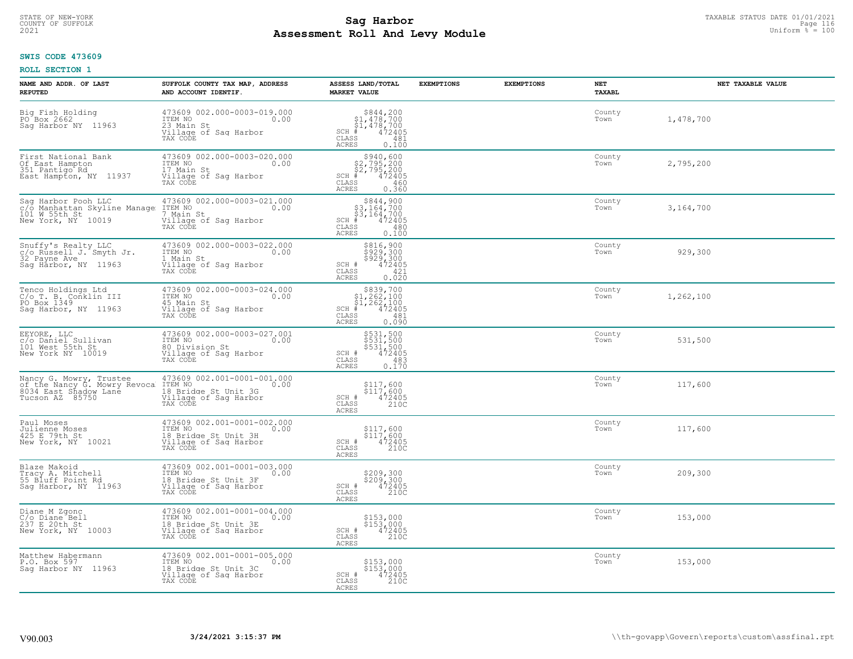# STATE OF NEW-YORK TAXABLE STATUS DATE 01/01/2021<br>COUNTY OF SUFFOLK Page 116 Page 116 **Assessment Roll And Levy Module Example 2021** Uniform  $\frac{1}{8}$  = 100

#### **SWIS CODE 473609**

| NAME AND ADDR. OF LAST<br><b>REPUTED</b>                                                            | SUFFOLK COUNTY TAX MAP, ADDRESS<br>AND ACCOUNT IDENTIF.                                                     | ASSESS LAND/TOTAL<br><b>MARKET VALUE</b>                                                                                      | <b>EXEMPTIONS</b> | <b>EXEMPTIONS</b> | NET<br>TAXABL  | NET TAXABLE VALUE |
|-----------------------------------------------------------------------------------------------------|-------------------------------------------------------------------------------------------------------------|-------------------------------------------------------------------------------------------------------------------------------|-------------------|-------------------|----------------|-------------------|
| Big Fish Holding<br>PO Box 2662<br>Saq Harbor NY 11963                                              | 473609 002.000-0003-019.000<br>ITEM NO<br>0.00<br>23 Main St<br>Village of Sag Harbor<br>TAX CODE           | $$344,200\n$1,478,700\n$1,478,700\n$472405$<br>$SCH$ #<br>CLASS<br>481<br>ACRES<br>0.100                                      |                   |                   | County<br>Town | 1,478,700         |
| First National Bank<br>Of East Hampton<br>351 Pantigo Rd<br>East Hampton, NY 11937                  | 473609 002.000-0003-020.000<br>ITEM NO<br>17 Main St<br>0.00<br>Village of Sag Harbor<br>TAX CODE           | $$940,600$<br>$$2,795,200$<br>$$2,795,200$<br>$$472405$<br>$SCH$ #<br>CLASS<br>460<br><b>ACRES</b><br>0.360                   |                   |                   | County<br>Town | 2,795,200         |
| Sag Harbor Pooh LLC<br>c/o Manhattan Skyline Manage<br>101 W 55th St<br>New York, NY 10019          | 473609 002.000-0003-021.000<br>ITEM NO<br>0.00<br>7 Main St<br>Village of Sag Harbor<br>TAX CODE            | $$844,900$<br>$$3,164,700$<br>$$3,164,700$<br>$$3,164,700$<br>$SCH$ #<br>472405<br>CLASS<br>480<br>ACRES<br>0.100             |                   |                   | County<br>Town | 3,164,700         |
| Snuffy's Realty LLC<br>c/o_Russell J. Smyth Jr.<br>32 Payne Ave<br>Sag Harbor, NY 11963             | 473609 002.000-0003-022.000<br>ITEM NO<br>0.00<br>1 Main St<br>Village of Sag Harbor<br>TAX CODE            | \$816,900<br>\$929,300<br>\$929,300<br>SCH #<br>472405<br><b>CLASS</b><br>421<br><b>ACRES</b><br>0.020                        |                   |                   | County<br>Town | 929,300           |
| Tenco Holdings Ltd<br>C/o T. B. Conklin III<br>PO Box 1349<br>Saq Harbor, NY 11963                  | 473609 002.000-0003-024.000<br>ITEM NO<br>0.00<br>45 Main St<br>Village of Sag Harbor<br>TAX CODE           | $\begin{array}{c} $839,700\n$1,262,100\n$1,262,100\n# 472405 \end{array}$<br>$SCH$ #<br>CLASS<br>481<br><b>ACRES</b><br>0.090 |                   |                   | County<br>Town | 1,262,100         |
| EEYORE, LLC<br>c/o Daniel Sullivan<br>101 West 55th St<br>New York NY 10019                         | 473609 002.000-0003-027.001<br>ITEM NO<br>0.00<br>80 Division St<br>Village of Sag Harbor<br>TAX CODE       | \$531,500<br>\$531,500<br>\$531,500<br>472405<br>SCH #<br>483<br>CLASS<br><b>ACRES</b><br>0.170                               |                   |                   | County<br>Town | 531,500           |
| Nancy G. Mowry, Trustee<br>of the Nancy G. Mowry Revoca<br>8034 East Shadow Lane<br>Tucson AZ 85750 | 473609 002.001-0001-001.000<br>ITEM NO<br>0.00<br>18 Bridge St Unit 3G<br>Village of Sag Harbor<br>TAX CODE | \$117,600<br>\$117,600<br>472405<br>SCH #<br>210C<br>CLASS<br>ACRES                                                           |                   |                   | County<br>Town | 117,600           |
| Paul Moses<br>Julienne Moses<br>425 E 79th St<br>New York, NY 10021                                 | 473609 002.001-0001-002.000<br>ITEM NO<br>0.00<br>18 Bridge St Unit 3H<br>Village of Sag Harbor<br>TAX CODE | \$117,600<br>\$117,600<br>472405<br>SCH #<br>CLASS<br>210C<br>ACRES                                                           |                   |                   | County<br>Town | 117,600           |
| Blaze Makoid<br>Tracy A. Mitchell<br>55 Bluff Point Rd<br>Sag Harbor, NY 11963                      | 473609 002.001-0001-003.000<br>TTEM NO 0.00<br>18 Bridge St Unit 3F<br>Village of Sag Harbor<br>TAX CODE    | \$209,300<br>\$209,300<br>472405<br>SCH #<br>CLASS<br>210C<br><b>ACRES</b>                                                    |                   |                   | County<br>Town | 209,300           |
| Diane M Zgonc<br>C/o Diane Bell<br>237 E 20th St<br>New York, NY 10003                              | 473609 002.001-0001-004.000<br>ITEM NO<br>0.00<br>18 Bridge St Unit 3E<br>Village of Sag Harbor<br>TAX CODE | \$153,000<br>$$153,000$<br>472405<br>210C<br>$\begin{array}{c} \text{SCH} \ \# \\ \text{CLASS} \end{array}$<br>ACRES          |                   |                   | County<br>Town | 153,000           |
| Matthew Habermann<br>P.O. Box 597<br>Saq Harbor NY 11963                                            | 473609 002.001-0001-005.000<br>ITEM NO<br>0.00<br>18 Bridge St Unit 3C<br>Village of Sag Harbor<br>TAX CODE | \$153,000<br>\$153,000<br>SCH #<br>472405<br>210C<br>CLASS<br>ACRES                                                           |                   |                   | County<br>Town | 153,000           |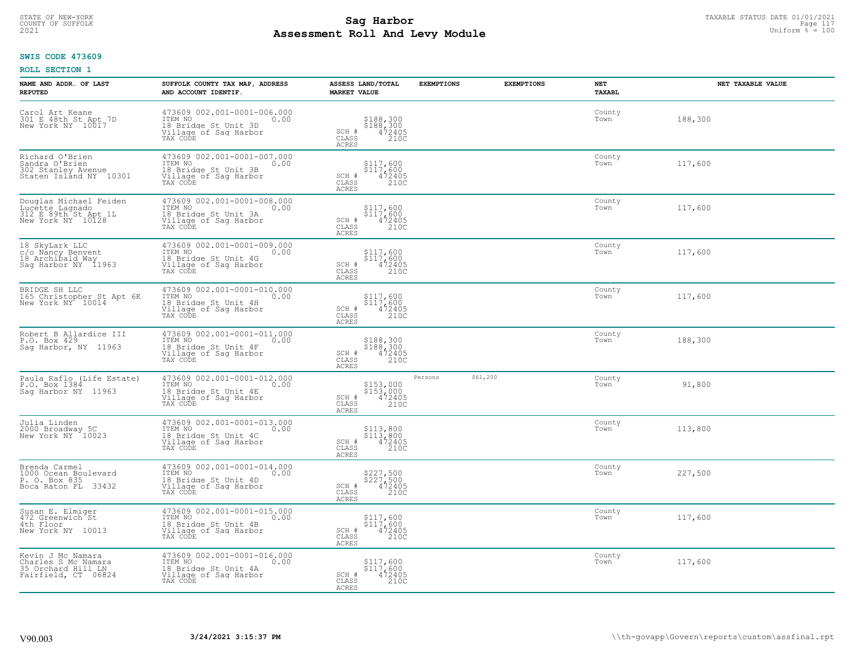# STATE OF NEW-YORK TAXABLE STATUS DATE 01/01/2021<br>COUNTY OF SUFFOLK Page 117 **Assessment Roll And Levy Module Example 2021** Uniform  $\frac{1}{8}$  = 100

### **SWIS CODE 473609**

| <b>NAME AND ADDR. OF LAST</b><br><b>REPUTED</b>                                        | SUFFOLK COUNTY TAX MAP, ADDRESS<br>AND ACCOUNT IDENTIF.                                                     | ASSESS LAND/TOTAL<br><b>EXEMPTIONS</b><br><b>MARKET VALUE</b>                                                           | <b>EXEMPTIONS</b> | <b>NET</b><br>TAXABL | NET TAXABLE VALUE |
|----------------------------------------------------------------------------------------|-------------------------------------------------------------------------------------------------------------|-------------------------------------------------------------------------------------------------------------------------|-------------------|----------------------|-------------------|
| Carol Art Keane<br>301 E 48th St Apt 7D<br>New York NY 10017                           | 473609 002.001-0001-006.000<br>ITEM NO<br>0.00<br>18 Bridge St Unit 3D<br>Village of Sag Harbor<br>TAX CODE | \$188,300<br>\$188,300<br>472405<br>SCH #<br>CLASS<br>210C<br><b>ACRES</b>                                              |                   | County<br>Town       | 188,300           |
| Richard O'Brien<br>Sandra O'Brien<br>302 Stanley Avenue<br>Staten Islånd NY 10301      | 473609 002.001-0001-007.000<br>ITEM NO<br>0.00<br>18 Bridge St Unit 3B<br>Village of Sag Harbor<br>TAX CODE | \$117,600<br>\$117,600<br>SCH #<br>$\frac{472405}{2100}$<br>CLASS<br>ACRES                                              |                   | County<br>Town       | 117,600           |
| Douglas Michael Feiden<br>Lucette Lagnado<br>312 E 89th St Apt 1L<br>New York NY 10128 | 473609 002.001-0001-008.000<br>ITEM NO<br>0.00<br>18 Bridge St Unit 3A<br>Village of Sag Harbor<br>TAX CODE | \$117,600<br>$\begin{array}{r} \xi \bar{1}\bar{1}\bar{7}, 600 \\ 472405 \\ 2100 \end{array}$<br>SCH #<br>CLASS<br>ACRES |                   | County<br>Town       | 117,600           |
| 18 SkyLark LLC<br>c/o Nåncy Benvent<br>18 Archibald Way<br>Sag Harbor NY 11963         | 473609 002.001-0001-009.000<br>ITEM NO<br>0.00<br>18 Bridge St Unit 4G<br>Village of Sag Harbor<br>TAX CODE | \$117,600<br>$$117,600$<br>$472405$<br>SCH #<br>CLASS<br>210C<br><b>ACRES</b>                                           |                   | County<br>Town       | 117,600           |
| BRIDGE SH LLC<br>165 Christopher St Apt 6K<br>New York NY 10014                        | 473609 002.001-0001-010.000<br>ITEM NO<br>0.00<br>18 Bridge St Unit 4H<br>Village of Sag Harbor<br>TAX CODE | \$117,600<br>\$117,600<br>472405<br>SCH #<br>CLASS<br>210C<br>ACRES                                                     |                   | County<br>Town       | 117,600           |
| Robert B Allardice III<br>P.O. Box 429<br>Saq Harbor, NY 11963                         | 473609 002.001-0001-011.000<br>ITEM NO<br>0.00<br>18 Bridge St Unit 4F<br>Village of Sag Harbor<br>TAX CODE | \$188,300<br>\$188,300<br>SCH #<br>$\frac{472405}{2100}$<br>CLASS<br>ACRES                                              |                   | County<br>Town       | 188,300           |
| Paula Raflo (Life Estate)<br>P.O. Box 1384<br>Saq Harbor NY 11963                      | 473609 002.001-0001-012.000<br>ITEM NO<br>0.00<br>18 Bridge St Unit 4E<br>Village of Sag Harbor<br>TAX CODE | Persons<br>\$153,000<br>\$153,000<br>472405<br>210C<br>SCH #<br>CLASS<br>ACRES                                          | \$61,200          | County<br>Town       | 91,800            |
| Julia Linden<br>2000 Broadway 5C<br>New York NY 10023                                  | 473609 002.001-0001-013.000<br>ITEM NO<br>0.00<br>18 Bridge St Unit 4C<br>Village of Sag Harbor<br>TAX CODE | \$113,800<br>\$113,800<br>472405<br>SCH #<br>CLASS<br>210C<br>ACRES                                                     |                   | County<br>Town       | 113,800           |
| Brenda Carmel<br>1000 Ocean Boulevard<br>P. O. Box 835<br>Boca Raton FL 33432          | 473609 002.001-0001-014.000<br>ITEM NO<br>0.00<br>18 Bridge St Unit 4D<br>Village of Sag Harbor<br>TAX CODE | \$227,500<br>\$227,500<br>472405<br>SCH #<br>CLASS<br>210C<br><b>ACRES</b>                                              |                   | County<br>Town       | 227,500           |
| Susan E. Elmiger<br>472 Greenwich St<br>4th Floor<br>New York NY 10013                 | 473609 002.001-0001-015.000<br>ITEM NO<br>0.00<br>18 Bridge St Unit 4B<br>Village of Sag Harbor<br>TAX CODE | \$117,600<br>\$117,600<br>472405<br>210C<br>SCH #<br>CLASS<br>ACRES                                                     |                   | County<br>Town       | 117,600           |
| Kevin J Mc Namara<br>Charles S Mc Namara<br>35 Orchard Hill LN<br>Fairfield, CT 06824  | 473609 002.001-0001-016.000<br>ITEM NO<br>0.00<br>18 Bridge St Unit 4A<br>Village of Sag Harbor<br>TAX CODE | \$117,600<br>\$117,600<br>472405<br>SCH #<br>$\overline{210C}$<br>CLASS<br>ACRES                                        |                   | County<br>Town       | 117,600           |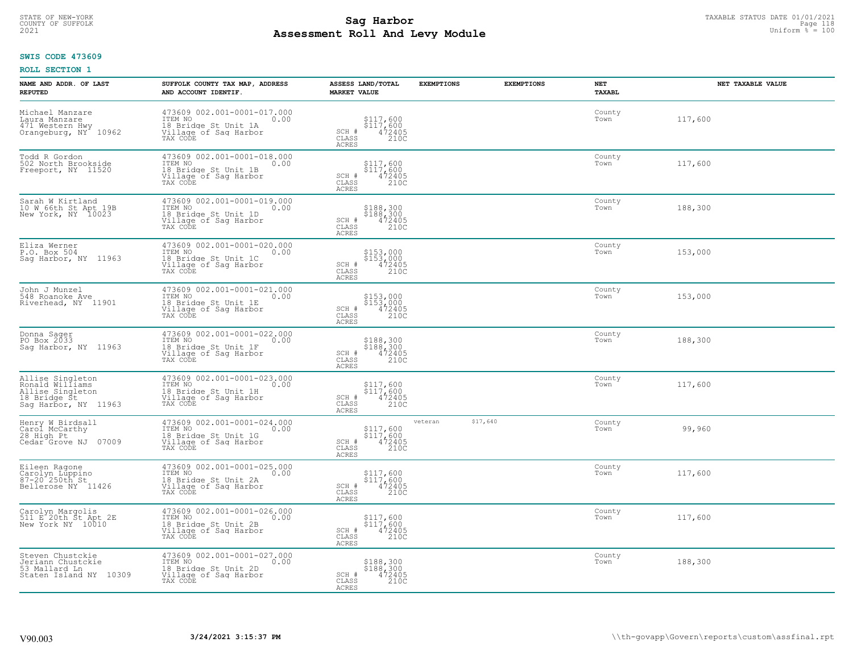# STATE OF NEW-YORK TAXABLE STATUS DATE 01/01/2021<br>COUNTY OF SUFFOLK Page 118 **Assessment Roll And Levy Module Example 2021** Uniform  $\frac{1}{8}$  = 100

## **SWIS CODE 473609**

| NAME AND ADDR. OF LAST<br><b>REPUTED</b>                                                        | SUFFOLK COUNTY TAX MAP, ADDRESS<br>AND ACCOUNT IDENTIF.                                                     | ASSESS LAND/TOTAL<br><b>MARKET VALUE</b>                                                          | <b>EXEMPTIONS</b>   | <b>EXEMPTIONS</b> | <b>NET</b><br>TAXABL | NET TAXABLE VALUE |
|-------------------------------------------------------------------------------------------------|-------------------------------------------------------------------------------------------------------------|---------------------------------------------------------------------------------------------------|---------------------|-------------------|----------------------|-------------------|
| Michael Manzare<br>Laura Manzare<br>471 Western Hwy<br>Orangeburg, NY <sup>-</sup> 10962        | 473609 002.001-0001-017.000<br>ITEM NO<br>0.00<br>18 Bridge St Unit 1A<br>Village of Saq Harbor<br>TAX CODE | $$117,600$<br>$$117,600$<br>$$117,600$<br>SCH #<br>$\frac{472405}{2100}$<br>CLASS<br><b>ACRES</b> |                     |                   | County<br>Town       | 117,600           |
| Todd R Gordon<br>502 North Brookside<br>Freeport, NY 11520                                      | 473609 002.001-0001-018.000<br>ITEM NO<br>0.00<br>18 Bridge St Unit 1B<br>Village of Sag Harbor<br>TAX CODE | \$117,600<br>\$117,600<br>472405<br>210C<br>SCH #<br>CLASS<br>ACRES                               |                     |                   | County<br>Town       | 117,600           |
| Sarah W Kirtland<br>10 W 66th St Apt 19B<br>New York, NY 10023                                  | 473609 002.001-0001-019.000<br>ITEM NO<br>0.00<br>18 Bridge St Unit 1D<br>Village of Sag Harbor<br>TAX CODE | \$188,300<br>\$188,300<br>472405<br>210C<br>SCH #<br>CLASS<br>ACRES                               |                     |                   | County<br>Town       | 188,300           |
| Eliza Werner<br>P.O. Box 504<br>Sag Harbor, NY 11963                                            | 473609 002.001-0001-020.000<br>TTEM NO 0.00<br>18 Bridge St Unit 1C<br>Village of Sag Harbor<br>TAX CODE    | \$153,000<br>\$153,000<br>472405<br>SCH #<br>CLASS<br>210C<br><b>ACRES</b>                        |                     |                   | County<br>Town       | 153,000           |
| John J Munzel<br>548 Roanoke Ave<br>Riverhead, NY 11901                                         | 473609 002.001-0001-021.000<br>TTEM NO 0.00<br>18 Bridge St Unit 1E<br>Village of Sag Harbor<br>TAX CODE    | \$153,000<br>\$153,000<br>472405<br>SCH #<br>CLASS<br>210C<br>ACRES                               |                     |                   | County<br>Town       | 153,000           |
| Donna Sager<br>PO Box 2033<br>Sag Harbor, NY 11963                                              | 473609 002.001-0001-022.000<br>ITEM NO<br>0.00<br>18 Bridge St Unit 1F<br>Village of Sag Harbor<br>TAX CODE | \$188,300<br>\$188,300<br>472405<br>SCH #<br>210C<br>$\mathtt{CLASS}$<br><b>ACRES</b>             |                     |                   | County<br>Town       | 188,300           |
| Allise Singleton<br>Ronald Williams<br>Allise Singleton<br>18 Bridge St<br>Sag Harbor, NY 11963 | 473609 002.001-0001-023.000<br>ITEM NO<br>0.00<br>18 Bridge St Unit 1H<br>Village of Sag Harbor<br>TAX CODE | \$117,600<br>$$117,600$<br>472405<br>SCH #<br>210C<br>CLASS<br>ACRES                              |                     |                   | County<br>Town       | 117,600           |
| Henry W Birdsall<br>Carol McCarthy<br>28 High Pt<br>07009<br>Cedar Grove NJ                     | 473609 002.001-0001-024.000<br>ITEM NO<br>0.00<br>18 Bridge St Unit 1G<br>Village of Sag Harbor<br>TAX CODE | \$117,600<br>\$117,600<br>472405<br>SCH #<br>CLASS<br>210C<br><b>ACRES</b>                        | \$17,640<br>veteran |                   | County<br>Town       | 99,960            |
| Eileen Ragone<br>Carolyn Luppino<br>87-20 <sup>-</sup> 250th St<br>Bellerose NY 11426           | 473609 002.001-0001-025.000<br>TTEM NO 0.00<br>18 Bridge St Unit 2A<br>Village of Saq Harbor<br>TAX CODE    | \$117,600<br>$$1\overline{17}, 600$<br>$472405$<br>SCH #<br>CLASS<br>210C<br>ACRES                |                     |                   | County<br>Town       | 117,600           |
| Carolyn Margolis<br>511 E 20th St Apt 2E<br>New York NY 10010                                   | 473609 002.001-0001-026.000<br>ITEM NO<br>0.00<br>18 Bridge St Unit 2B<br>Village of Sag Harbor<br>TAX CODE | \$117,600<br>\$117,600<br>472405<br>210C<br>SCH #<br>CLASS<br><b>ACRES</b>                        |                     |                   | County<br>Town       | 117,600           |
| Steven Chustckie<br>Jeriann Chustckie<br>53 Mallard Ln<br>Staten Island NY 10309                | 473609 002.001-0001-027.000<br>ITEM NO<br>0.00<br>18 Bridge St Unit 2D<br>Village of Sag Harbor<br>TAX CODE | \$188,300<br>\$188,300<br>472405<br>SCH #<br>210C<br>CLASS<br>ACRES                               |                     |                   | County<br>Town       | 188,300           |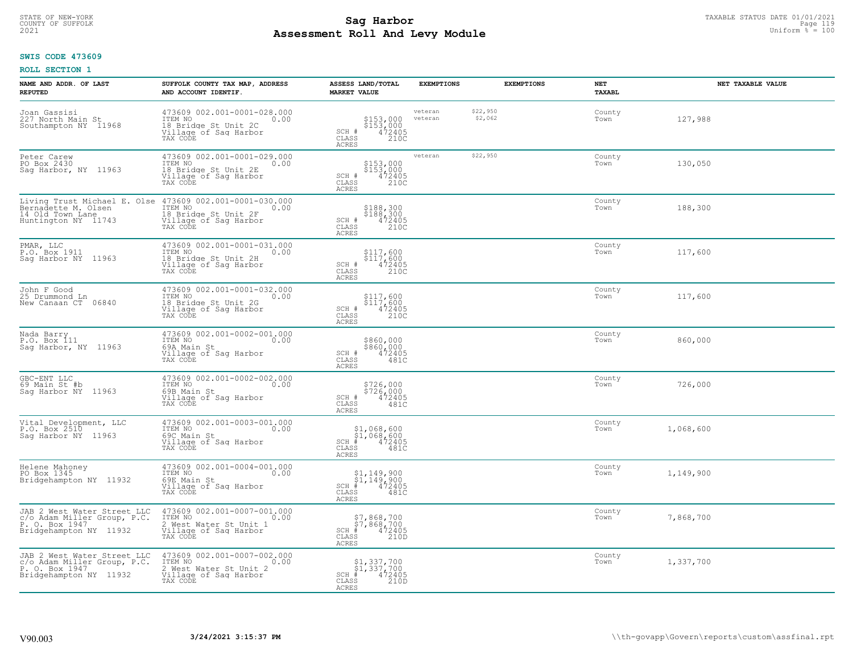#### **Sag Harbor**<br>**Poll And Low Module**<br>
Poll And Low Module **Assessment Roll And Levy Module Example 2021** Uniform  $\frac{1}{8}$  = 100 COUNTY OF SUFFOLK Page 119

#### **SWIS CODE 473609**

| NAME AND ADDR. OF LAST<br><b>REPUTED</b>                                                               | SUFFOLK COUNTY TAX MAP, ADDRESS<br>AND ACCOUNT IDENTIF.                                                       | ASSESS LAND/TOTAL<br><b>MARKET VALUE</b>                                                                               | <b>EXEMPTIONS</b>  | <b>EXEMPTIONS</b>   | NET<br>TAXABL  | NET TAXABLE VALUE |
|--------------------------------------------------------------------------------------------------------|---------------------------------------------------------------------------------------------------------------|------------------------------------------------------------------------------------------------------------------------|--------------------|---------------------|----------------|-------------------|
| Joan Gassisi<br>227 North Main St<br>Southampton NY 11968                                              | 473609 002.001-0001-028.000<br>TTEM NO 0.00<br>18 Bridge St Unit 2C<br>Village of Sag Harbor<br>TAX CODE      | \$153,000<br>\$153,000<br>472405<br>210C<br>SCH #<br>CLASS<br><b>ACRES</b>                                             | veteran<br>veteran | \$22,950<br>\$2,062 | County<br>Town | 127,988           |
| Peter Carew<br>PO Box 2430<br>Sag Harbor, NY 11963                                                     | 473609 002.001-0001-029.000<br>ITEM NO<br>0.00<br>18 Bridge St Unit 2E<br>Village of Sag Harbor<br>TAX CODE   | \$153,000<br>\$153,000<br>472405<br>210C<br>SCH #<br>CLASS<br><b>ACRES</b>                                             | veteran            | \$22,950            | County<br>Town | 130,050           |
| Living Trust Michael E. Olse<br>Bernadette M. Olsen<br>14 Old Town Lane<br>Huntington NY 11743         | 473609 002.001-0001-030.000<br>ITEM NO<br>0.00<br>18 Bridge St Unit 2F<br>Village of Sag Harbor<br>TAX CODE   | \$188,300<br>\$188,300<br>472405<br>210C<br>SCH #<br>CLASS<br>ACRES                                                    |                    |                     | County<br>Town | 188,300           |
| PMAR, LLC<br>P.O. Box 1911<br>Saq Harbor NY 11963                                                      | 473609 002.001-0001-031.000<br>ITEM NO<br>0.00<br>18 Bridge St Unit 2H<br>Village of Sag Harbor<br>TAX CODE   | \$117,600<br>\$117,600<br>472405<br>210C<br>SCH #<br>CLASS<br>ACRES                                                    |                    |                     | County<br>Town | 117,600           |
| John F Good<br>25 Drummond Ln<br>New Canaan CT 06840                                                   | 473609 002.001-0001-032.000<br>ITEM NO 0.00<br>18 Bridge St Unit 2G<br>Village of Saq Harbor<br>TAX CODE      | \$117,600<br>\$117,600<br>472405<br>210C<br>SCH #<br>CLASS<br><b>ACRES</b>                                             |                    |                     | County<br>Town | 117,600           |
| Nada Barry<br>P.O. Box 111<br>Sag Harbor, NY 11963                                                     | 473609 002.001-0002-001.000<br>ITEM NO<br>0.00<br>69A Main St<br>Village of Sag Harbor<br>TAX CODE            | \$860,000<br>\$860,000<br>SCH #<br>472405<br>CLASS<br>481C<br>ACRES                                                    |                    |                     | County<br>Town | 860,000           |
| GBC-ENT LLC<br>69 Main St #b<br>Saq Harbor NY 11963                                                    | 473609 002.001-0002-002.000<br>ITEM NO<br>0.00<br>69B Main St<br>Village of Sag Harbor<br>TAX CODE            | \$726,000<br>\$726,000<br>SCH #<br>472405<br>481C<br>CLASS<br><b>ACRES</b>                                             |                    |                     | County<br>Town | 726,000           |
| Vital Development, LLC<br>P.O. Box 2510<br>Saq Harbor NY 11963                                         | 473609 002.001-0003-001.000<br>ITEM NO<br>0.00<br>69C Main St<br>Village of Saq Harbor<br>TAX CODE            | $$1,068,600$<br>$$1,068,600$<br>$472405$<br>$SCH$ #<br>CLASS<br>481C<br>ACRES                                          |                    |                     | County<br>Town | 1,068,600         |
| Helene Mahoney<br>PO Box 1345<br>Bridgehampton NY 11932                                                | 473609 002.001-0004-001.000<br>ITEM NO 0.00<br>69E Main St<br>Village of Sag Harbor<br>TAX CODE               | $\begin{array}{c} $1,149,900 \ $1,149,900 \ \ast \ 4 \ 472405 \end{array}$<br>$SCH$ #<br>CLASS<br>481C<br><b>ACRES</b> |                    |                     | County<br>Town | 1,149,900         |
| JAB 2 West Water Street LLC<br>c/o Adam Miller Group, P.C.<br>P. O. Box 1947<br>Bridgehampton NY 11932 | 473609 002.001-0007-001.000<br>ITEM NO<br>0.00<br>2 West Water St Unit 1<br>Village of Sag Harbor<br>TAX CODE | \$7,868,700<br>\$7,868,700<br># 472405<br>\$ 210D<br>SCH #<br>CLASS<br><b>ACRES</b>                                    |                    |                     | County<br>Town | 7,868,700         |
| JAB 2 West Water Street LLC<br>c/o Adam Miller Group, P.C.<br>P. O. Box 1947<br>Bridgehampton NY 11932 | 473609 002.001-0007-002.000<br>ITEM NO<br>0.00<br>2 West Water St Unit 2<br>Village of Sag Harbor<br>TAX CODE | \$1,337,700<br>\$1,337,700<br># 472405<br>\$ 210D<br>SCH #<br>CLASS<br><b>ACRES</b>                                    |                    |                     | County<br>Town | 1,337,700         |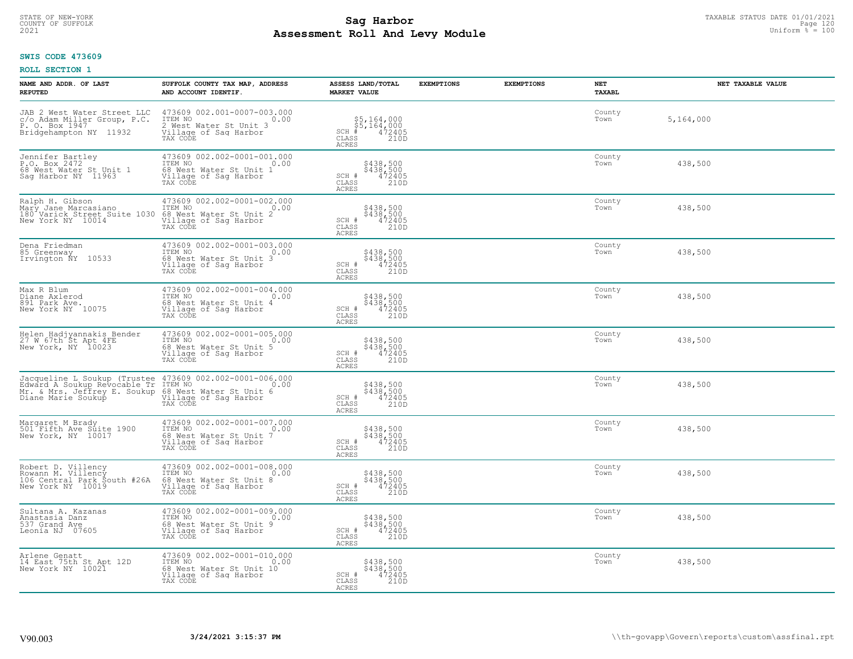# TAXABLE STATUS DATE 01/01/2021<br>COUNTY OF SUFFOLK Page 120 Page 120 **Assessment Roll And Levy Module Example 2021** Uniform  $\frac{1}{8}$  = 100

## **SWIS CODE 473609**

| NAME AND ADDR. OF LAST<br><b>REPUTED</b>                                                                                                                                                                                 | SUFFOLK COUNTY TAX MAP, ADDRESS<br>AND ACCOUNT IDENTIF.                                                                 | ASSESS LAND/TOTAL<br><b>MARKET VALUE</b>                                        | <b>EXEMPTIONS</b> | <b>EXEMPTIONS</b><br>NET<br><b>TAXABL</b> | NET TAXABLE VALUE |
|--------------------------------------------------------------------------------------------------------------------------------------------------------------------------------------------------------------------------|-------------------------------------------------------------------------------------------------------------------------|---------------------------------------------------------------------------------|-------------------|-------------------------------------------|-------------------|
| JAB 2 West Water Street LLC<br>c/o Adam Miller Group, P.C.<br>P. O. Box 1947<br>Bridgehampton NY 11932                                                                                                                   | 473609 002.001-0007-003.000<br>ITEM NO<br>2 West Water St Unit 3<br>Village of Saq Harbor<br>TAX CODE                   | \$5,164,000<br>\$5,164,000<br># 472405<br>\$8 210D<br>$SCH$ #<br>CLASS<br>ACRES |                   | County<br>Town                            | 5,164,000         |
| Jennifer Bartley<br>P.O. Box 2472<br>68 West Water St Unit 1<br>Sag Harbor NY 11963                                                                                                                                      | 473609 002.002-0001-001.000<br>TTEM NO<br>68 West Water St Unit 1<br>Village of Sag Harbor<br>TAX CODE<br>0.00          | \$438,500<br>\$438,500<br>SCH #<br>472405<br>CLASS<br>210D<br><b>ACRES</b>      |                   | County<br>Town                            | 438,500           |
| Ralph H. Gibson<br>Mary Jane Marcasiano<br>180 Varick Street Suite 1030<br>New York NY 10014                                                                                                                             | 473609 002.002-0001-002.000<br>TEM NO<br>68 West Water St Unit 2<br>Village of Sag Harbor<br>TAX CODE<br>0.00           | \$438,500<br>\$438,500<br>472405<br>210D<br>SCH #<br>CLASS<br>ACRES             |                   | County<br>Town                            | 438,500           |
| Dena Friedman<br>85 Greenway<br>Irvington NY 10533                                                                                                                                                                       | 473609 002.002-0001-003.000<br>TTEM NO 0.00<br>11211 No<br>68 West Water St Unit 3<br>Village of Sag Harbor<br>TAX CODE | \$438,500<br>\$438,500<br>472405<br>210D<br>SCH #<br>CLASS<br>ACRES             |                   | County<br>Town                            | 438,500           |
| Max R Blum<br>Diane Axlerod<br>891 Park Ave.<br>New York NY 10075                                                                                                                                                        | 473609 002.002-0001-004.000<br>TTEM NO 0.00<br>68 West Water St Unit 4<br>Village of Saq Harbor<br>TAX CODE             | \$438,500<br>\$438,500<br>472405<br>210D<br>SCH #<br>CLASS<br>ACRES             |                   | County<br>Town                            | 438,500           |
| Helen Hadjyannakis Bender<br>27 W 67th St Apt 4FE<br>New York, NY 10023                                                                                                                                                  | 473609 002.002-0001-005.000<br>ITEM NO<br>0.00<br>Find West Water St Unit 5<br>Village of Sag Harbor<br>TAX CODE        | \$438,500<br>\$438,500<br>472405<br>210D<br>SCH #<br>$\mathtt{CLASS}$<br>ACRES  |                   | County<br>Town                            | 438,500           |
| Jacqueline L Soukup (Trustee 473609 002.002-0001-006.000<br>Edward A Soukup Revocable Tr ITEM NO<br>Mr. & Mrs. Jeffrey E. Soukup 68 West Water St Unit 6<br>Diane Marie Soukup 68 West Willage of Sag Harbor<br>TAX CODE |                                                                                                                         | \$438,500<br>\$438,500<br>472405<br>210D<br>SCH #<br>CLASS<br><b>ACRES</b>      |                   | County<br>Town                            | 438,500           |
| Margaret M Brady<br>501 Fifth Ave Suite 1900<br>New York, NY 10017                                                                                                                                                       | 473609 002.002-0001-007.000<br>TTEM NO 0.00<br>11211 No<br>68 West Water St Unit 7<br>Village of Sag Harbor<br>TAX CODE | \$438,500<br>\$438,500<br>472405<br>210D<br>SCH #<br>CLASS<br>ACRES             |                   | County<br>Town                            | 438,500           |
| Robert D. Villency<br>Rowann M. Villency<br>106 Central Park South #26A<br>New York NY 10019                                                                                                                             | 473609 002.002-0001-008.000<br>TTEM NO 0.00<br>11211 No<br>68 West Water St Unit 8<br>Village of Sag Harbor<br>TAX CODE | \$438,500<br>\$438,500<br>472405<br>SCH #<br>CLASS<br>210D<br><b>ACRES</b>      |                   | County<br>Town                            | 438,500           |
| Sultana A. Kazanas<br>Anastasia Danz<br>537 Grand Ave<br>Leonia NJ 07605                                                                                                                                                 | 473609 002.002-0001-009.000<br>10.00 0.00<br>68 West Water St Unit 9<br>Village of Sag Harbor<br>TAX CODE               | \$438,500<br>\$438,500<br>472405<br>210D<br>SCH #<br>CLASS<br>ACRES             |                   | County<br>Town                            | 438,500           |
| Arlene Genatt<br>14 East 75th St Apt 12D<br>New York NY 10021                                                                                                                                                            | 473609 002.002-0001-010.000<br>ITEM NO 0.00<br>68 West Water St Unit 10<br>Village of Sag Harbor<br>TAX CODE            | \$438,500<br>\$438,500<br>472405<br>SCH #<br>CLASS<br>210D<br><b>ACRES</b>      |                   | County<br>Town                            | 438,500           |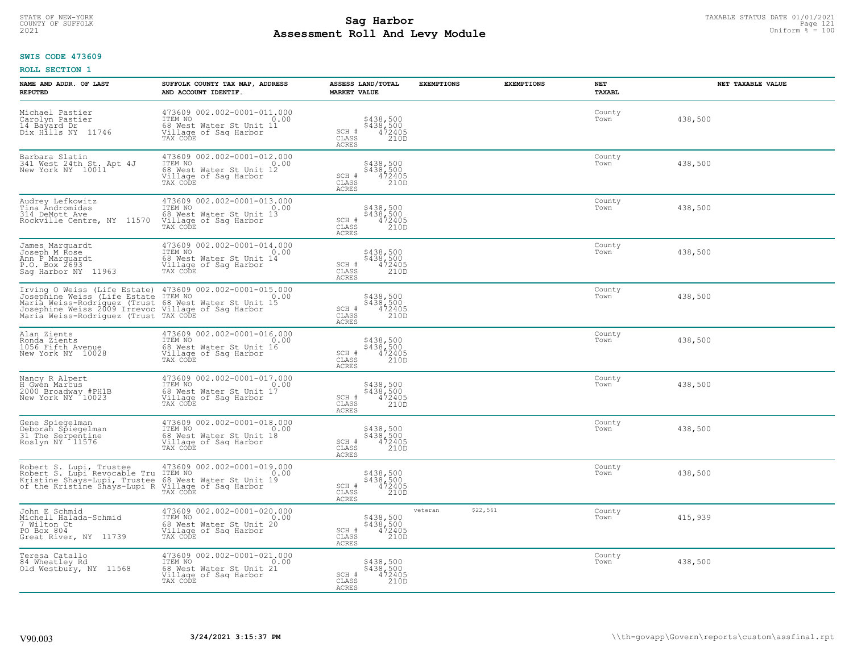# STATE OF NEW-YORK TAXABLE STATUS DATE 01/01/2021<br>COUNTY OF SUFFOLK Page 121 Page 121 **Assessment Roll And Levy Module Example 2021** Uniform  $\frac{1}{8}$  = 100

## **SWIS CODE 473609**

| NAME AND ADDR. OF LAST<br><b>REPUTED</b>                                                                                                                                                                                                                                            | SUFFOLK COUNTY TAX MAP, ADDRESS<br>AND ACCOUNT IDENTIF.                                                                      | ASSESS LAND/TOTAL<br><b>MARKET VALUE</b>                                       | <b>EXEMPTIONS</b>   | <b>EXEMPTIONS</b> | <b>NET</b><br>TAXABL | NET TAXABLE VALUE |
|-------------------------------------------------------------------------------------------------------------------------------------------------------------------------------------------------------------------------------------------------------------------------------------|------------------------------------------------------------------------------------------------------------------------------|--------------------------------------------------------------------------------|---------------------|-------------------|----------------------|-------------------|
| Michael Pastier<br>Carolyn Pastier<br>14 Bayard Dr<br>Dix Hills NY 11746                                                                                                                                                                                                            | 473609 002.002-0001-011.000<br>ITEM NO<br>0.00<br>68 West Water St Unit 11<br>Village of Sag Harbor<br>TAX CODE              | \$438,500<br>\$438,500<br>472405<br>210D<br>SCH #<br>CLASS<br>ACRES            |                     |                   | County<br>Town       | 438,500           |
| Barbara Slatin<br>341 West 24th St. Apt 4J<br>New York NY 10011                                                                                                                                                                                                                     | 473609 002.002-0001-012.000<br>ITEM NO<br>0.00<br>68 West Water St Unit 12<br>Village of Sag Harbor<br>TAX CODE              | \$438,500<br>\$438,500<br>472405<br>SCH #<br>$\mathtt{CLASS}$<br>210D<br>ACRES |                     |                   | County<br>Town       | 438,500           |
| Audrey Lefkowitz<br>Tina Andromidas<br>314 DeMott Ave<br>Rockville Centre, NY 11570                                                                                                                                                                                                 | 473609 002.002-0001-013.000<br>0.00 0.00<br>ITEM NO<br>0.00<br>68 West Water St Unit 13<br>Village of Sag Harbor<br>TAX CODE | \$438,500<br>\$438,500<br>472405<br>210D<br>SCH #<br>CLASS<br>ACRES            |                     |                   | County<br>Town       | 438,500           |
| James Marquardt<br>Joseph M Rose<br>Ann P Marquardt<br>P.O. Box 2693<br>Saq Harbor NY 11963                                                                                                                                                                                         | 473609 002.002-0001-014.000<br>TTEM NO 0.00<br>68 West Water St Unit 14<br>Village of Sag Harbor<br>TAX CODE                 | \$438,500<br>\$438,500<br>472405<br>210D<br>SCH #<br>$\mathtt{CLASS}$<br>ACRES |                     |                   | County<br>Town       | 438,500           |
| Irving O Weiss (Life Estate) 473609 002.002-0001-015.000<br>Josephine Weiss (Life Estate ITEM NO 002.002-0001-015.000<br>Maria Weiss-Rodriguez (Trust 68 West Water St Unit 15<br>Josephine Weiss 2009 Irrevoc Willage of Saq Harbor<br>Mo<br>Maria Weiss-Rodriguez (Trust TAX CODE |                                                                                                                              | \$438,500<br>\$438,500<br>472405<br>210D<br>SCH #<br>CLASS<br>ACRES            |                     |                   | County<br>Town       | 438,500           |
| Alan Zients<br>Ronda Zients<br>1056 Fifth Avenue<br>New York NY 10028                                                                                                                                                                                                               | 473609 002.002-0001-016.000<br>ITEM NO<br>0.00<br>68 West Water St Unit 16<br>Village of Sag Harbor<br>TAX CODE              | \$438,500<br>\$438,500<br>472405<br>210D<br>SCH #<br>CLASS<br>ACRES            |                     |                   | County<br>Town       | 438,500           |
| Nancy R Alpert<br>H Gwen Marcus<br>2000 Broadway #PH1B<br>New York NY 10023                                                                                                                                                                                                         | 473609 002.002-0001-017.000<br>ITEM NO<br>0.00<br>68 West Water St Unit 17<br>Village of Sag Harbor<br>TAX CODE              | \$438,500<br>\$438,500<br>472405<br>210D<br>SCH #<br>$\mathtt{CLASS}$<br>ACRES |                     |                   | County<br>Town       | 438,500           |
| Gene Spiegelman<br>Deborah Spiegelman<br>31 The Serpentine<br>Roslyn NY 11576                                                                                                                                                                                                       | 473609 002.002-0001-018.000<br>ITEM NO<br>0.00<br>For the Water St Unit 18<br>Village of Sag Harbor<br>TAX CODE              | \$438,500<br>\$438,500<br>472405<br>SCH #<br>CLASS<br>210D<br><b>ACRES</b>     |                     |                   | County<br>Town       | 438,500           |
| Robert S. Lupi, Trustee<br>Robert S. Lupi Revocable Tru<br>Kristine Shays-Lupi, Trustee<br>of the Kristine Shays-Lupi R Village of Sag Harbor                                                                                                                                       | 473609 002.002-0001-019.000<br>0.00 0.00<br>68 West Water St Unit 19<br>TAX CODE                                             | \$438,500<br>\$438,500<br>472405<br>$SCH$ #<br>CLASS<br>210D<br>ACRES          |                     |                   | County<br>Town       | 438,500           |
| John E Schmid<br>Michell Halada-Schmid<br>7 Wilton Ct<br>PO Box 804<br>Great River, NY 11739                                                                                                                                                                                        | 473609 002.002-0001-020.000<br>ITEM NO<br>0.00<br>68 West Water St Unit 20<br>Village of Sag Harbor<br>TAX CODE              | \$438,500<br>\$438,500<br>472405<br>SCH #<br>210D<br>CLASS<br><b>ACRES</b>     | \$22,561<br>veteran |                   | County<br>Town       | 415,939           |
| Teresa Catallo<br>84 Wheatley Rd<br>Old Westbury, NY 11568                                                                                                                                                                                                                          | 473609 002.002-0001-021.000<br>ITEM NO<br>0.00<br>68 West Water St Unit 21<br>Village of Sag Harbor<br>TAX CODE              | \$438,500<br>\$438,500<br>SCH #<br>472405<br>CLASS<br>210D<br>ACRES            |                     |                   | County<br>Town       | 438,500           |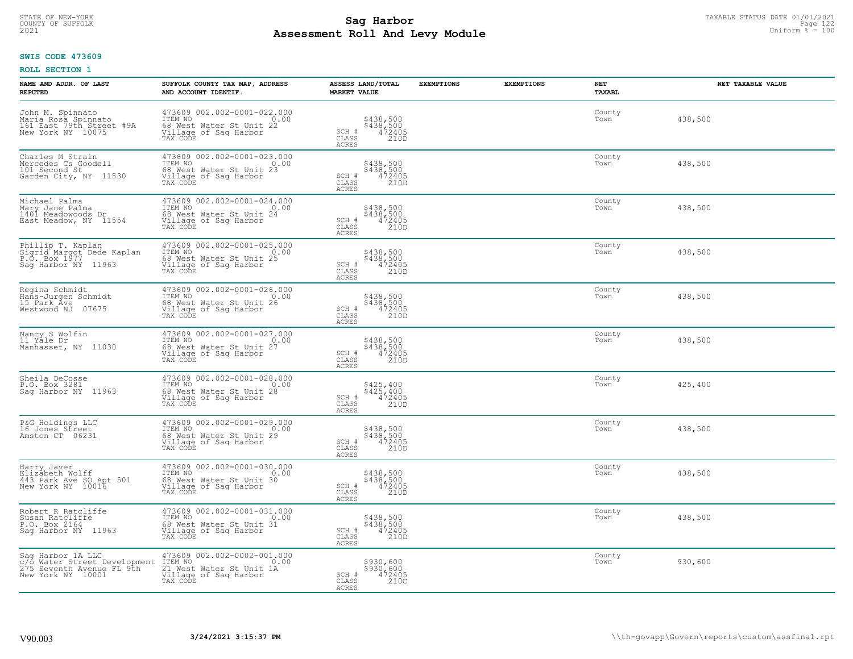# TAXABLE STATUS DATE 01/01/2021<br>COUNTY OF SUFFOLK Page 122 Page 122 **Assessment Roll And Levy Module Example 2021** Uniform  $\frac{1}{8}$  = 100

## **SWIS CODE 473609**

| NAME AND ADDR. OF LAST<br><b>REPUTED</b>                                                            | SUFFOLK COUNTY TAX MAP, ADDRESS<br>AND ACCOUNT IDENTIF.                                                                                    | ASSESS LAND/TOTAL<br><b>MARKET VALUE</b>                                              | <b>EXEMPTIONS</b> | <b>EXEMPTIONS</b> | NET<br>TAXABL  | NET TAXABLE VALUE |
|-----------------------------------------------------------------------------------------------------|--------------------------------------------------------------------------------------------------------------------------------------------|---------------------------------------------------------------------------------------|-------------------|-------------------|----------------|-------------------|
| John M. Spinnato<br>Maria Rosa Spinnato<br>161 East 79th Street #9A<br>New York NY 10075            | 473609 002.002-0001-022.000<br>ITEM NO<br>0.00<br>68 West Water St Unit 22<br>Village of Sag Harbor<br>TAX CODE                            | \$438,500<br>\$438,500<br>472405<br>210D<br>SCH #<br>$\mathtt{CLASS}$<br><b>ACRES</b> |                   |                   | County<br>Town | 438,500           |
| Charles M Strain<br>Mercedes Cs Goodell<br>101 Second St<br>Garden City, NY 11530                   | 473609 002.002-0001-023.000<br>ITEM NO<br>0.00<br>68 West Water St Unit 23<br>Village of Sag Harbor<br>TAX CODE                            | \$438,500<br>\$438,500<br>472405<br>210D<br>SCH #<br>CLASS<br>ACRES                   |                   |                   | County<br>Town | 438,500           |
| Michael Palma<br>Mary Jane Palma<br>1401 Meadowoods Dr<br>East Meadow, NY 11554                     | 473609 002.002-0001-024.000<br>TTEM NO 0.00<br>68 West Water St Unit 24<br>Village of Sag Harbor<br>TAX CODE                               | \$438,500<br>\$438,500<br>472405<br>210D<br>$SCH$ #<br>CLASS<br><b>ACRES</b>          |                   |                   | County<br>Town | 438,500           |
| Phillip T. Kaplan<br>Sigrid Margot Dede Kaplan<br>P.O. Box 1977, 11063<br>Sag Harbor NY 11963       | 473609 002.002-0001-025.000<br>ITEM NO 0.00<br>For The Water St Unit 25<br>Village of Saq Harbor<br>TAX CODE                               | \$438,500<br>\$438,500<br>472405<br>210D<br>SCH #<br>CLASS<br><b>ACRES</b>            |                   |                   | County<br>Town | 438,500           |
| Regina Schmidt<br>Hans-Jurgen Schmidt<br>15 Park Áve<br>Westwood NJ 07675                           | 473609 002.002-0001-026.000<br>TEM NO<br>68 West Water St Unit 26<br>68 West Water St Unit 26<br>Village of Saq Harbor<br>TAX CODE<br>0.00 | \$438,500<br>\$438,500<br>472405<br>210D<br>SCH #<br>CLASS<br>ACRES                   |                   |                   | County<br>Town | 438,500           |
| Nancy S Wolfin<br>11 Yale Dr<br>Manhasset, NY 11030                                                 | 473609 002.002-0001-027.000<br>ITEM NO<br>0.00<br>68 West Water St Unit 27<br>Village of Sag Harbor<br>TAX CODE                            | \$438,500<br>\$438,500<br>472405<br>SCH #<br>CLASS<br>210D<br><b>ACRES</b>            |                   |                   | County<br>Town | 438,500           |
| Sheila DeCosse<br>P.O. Box 3281<br>Saq Harbor NY 11963                                              | 473609 002.002-0001-028.000<br>ITEM NO 0.00<br>ITEM NO<br>0.00<br>68 West Water St Unit 28<br>Village of Sag Harbor<br>TAX CODE            | \$425,400<br>\$425,400<br>472405<br>210D<br>SCH #<br>$\mathtt{CLASS}$<br><b>ACRES</b> |                   |                   | County<br>Town | 425,400           |
| P&G Holdings LLC<br>16 Jones Street<br>Amston CT 06231                                              | 473609 002.002-0001-029.000<br>ITEM NO 0.00<br>Find Not Water St Unit 29<br>Village of Saq Harbor<br>TAX CODE                              | \$438,500<br>\$438,500<br>472405<br>210D<br>SCH #<br>CLASS<br><b>ACRES</b>            |                   |                   | County<br>Town | 438,500           |
| Harry Javer<br>Elizabeth Wolff<br>443 Park Ave SO Apt 501<br>New York NY 10016                      | 473609 002.002-0001-030.000<br>TTEM NO 0.00<br>68 West Water St Unit 30<br>Village of Sag Harbor<br>TAX CODE                               | \$438,500<br>\$438,500<br>472405<br>SCH #<br>CLASS<br>210D<br>ACRES                   |                   |                   | County<br>Town | 438,500           |
| Robert R Ratcliffe<br>Susan Ratcliffe<br>P.O. Box 2164<br>Saq Harbor NY 11963                       | 473609 002.002-0001-031.000<br>ITEM NO<br>0.00<br>Fax The Water St Unit 31<br>Village of Sag Harbor<br>TAX CODE                            | \$438,500<br>\$438,500<br>472405<br>SCH #<br>210D<br>CLASS<br>ACRES                   |                   |                   | County<br>Town | 438,500           |
| Sag Harbor 1A LLC<br>c/o Water Street Development<br>275 Seventh Avenue FL 9th<br>New York NY 10001 | 473609 002.002-0002-001.000<br>ITEM NO 0.<br>21 West Water St Unit 1A<br>0.00<br>Village of Sag Harbor<br>TAX CODE                         | \$930,600<br>\$930,600<br>472405<br>SCH #<br>CLASS<br>210C<br>ACRES                   |                   |                   | County<br>Town | 930,600           |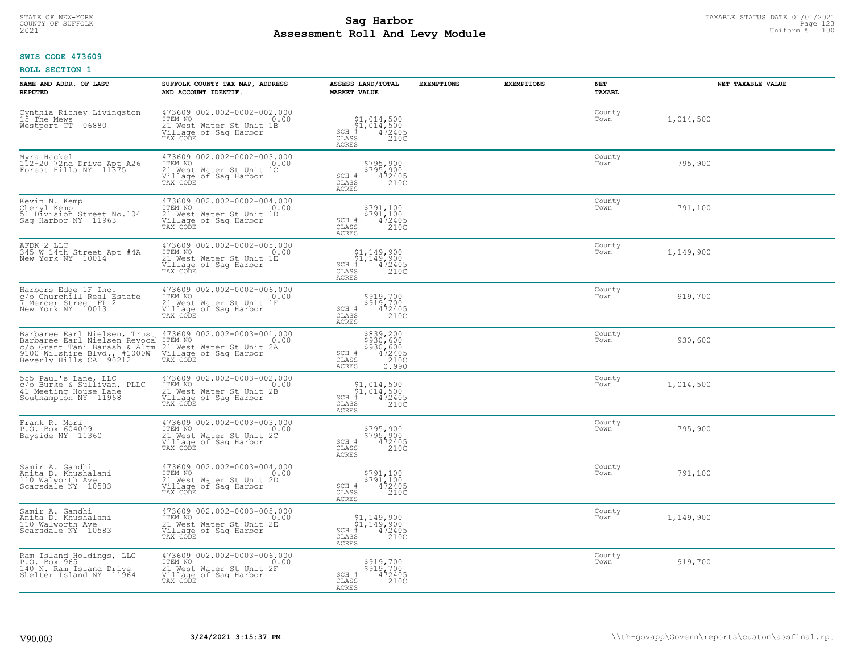# TAXABLE STATUS DATE 01/01/2021<br>COUNTY OF SUFFOLK Page 123 Page 123 **Assessment Roll And Levy Module Example 2021** Uniform  $\frac{1}{8}$  = 100

### **SWIS CODE 473609**

| NAME AND ADDR. OF LAST<br><b>REPUTED</b>                                                                                                      | SUFFOLK COUNTY TAX MAP, ADDRESS<br>AND ACCOUNT IDENTIF.                                                        | ASSESS LAND/TOTAL<br><b>MARKET VALUE</b>                                                                                                                                                | <b>EXEMPTIONS</b> | <b>EXEMPTIONS</b> | NET<br>TAXABL  | NET TAXABLE VALUE |
|-----------------------------------------------------------------------------------------------------------------------------------------------|----------------------------------------------------------------------------------------------------------------|-----------------------------------------------------------------------------------------------------------------------------------------------------------------------------------------|-------------------|-------------------|----------------|-------------------|
| Cynthia Richey Livingston<br>15 The Mews<br>Westport CT 06880                                                                                 | 473609 002.002-0002-002.000<br>TTEM NO 0.00<br>21 West Water St Unit 1B<br>Village of Saq Harbor<br>TAX CODE   | $$1,014,500$<br>$$1,014,500$<br>$472405$<br>$SCH \#$<br>CLASS<br>210C<br>ACRES                                                                                                          |                   |                   | County<br>Town | 1,014,500         |
| Myra Hackel<br>112-20 72nd Drive Apt A26<br>Forest Hills NY 11375                                                                             | 473609 002.002-0002-003.000<br>ITEM NO 0.00<br>21 West Water St Unit 1C<br>Village of Sag Harbor<br>TAX CODE   | \$795,900<br>\$795,900<br>472405<br>SCH #<br>CLASS<br>210C<br><b>ACRES</b>                                                                                                              |                   |                   | County<br>Town | 795,900           |
| Kevin N. Kemp<br>Cheryl Kemp<br>51 Division Street No.104<br>Saq Harbor NY 11963                                                              | $473609$ 002.002-0002-004.000<br>ITEM NO 0.00<br>21 West Water St Unit 1D<br>Village of Sag Harbor<br>TAX CODE | \$791,100<br>\$791,100<br>472405<br>210C<br>SCH #<br>CLASS<br><b>ACRES</b>                                                                                                              |                   |                   | County<br>Town | 791,100           |
| AFDK 2 LLC<br>345 W 14th Street Apt #4A<br>New York NY 10014                                                                                  | 473609 002.002-0002-005.000<br>ITEM NO<br>21 West Water St Unit 1E<br>Village of Saq Harbor<br>TAX CODE        | $\begin{array}{c} \texttt{\$1,149,900}\ \\ \texttt{SCH} & \texttt{\$1,149,900}\ \\ \texttt{SCH} & \texttt{\$472405}\ \\ \texttt{CLASS} & 210C \end{array}$<br>$SCH$ #<br>CLASS<br>ACRES |                   |                   | County<br>Town | 1,149,900         |
| Harbors Edge 1F Inc.<br>c/o Churchill Real Estate<br>7 Mercer Street FL 2<br>New York NY 10013                                                | 473609 002.002-0002-006.000<br>ITEM NO<br>21 West Water St Unit 1F<br>Village of Saq Harbor<br>TAX CODE        | \$919,700<br>$$519,700$<br>$472405$<br>SCH #<br>CLASS<br>210C<br><b>ACRES</b>                                                                                                           |                   |                   | County<br>Town | 919,700           |
| C/O Grant Tani Barash & Altm 21 West Water St Unit 2A<br>9100 Wilshire Blvd., #1000W Village of Sag Harbor<br>Beverly Hills CA 90212 TAX CODE |                                                                                                                | \$839,200<br>\$930,600<br>$\begin{array}{r} 5930,600 \\ 472405 \\ 210C \\ 0.990 \end{array}$<br>SCH #<br>CLASS<br>ACRES                                                                 |                   |                   | County<br>Town | 930,600           |
| 555 Paul's Lane, LLC<br>c/o Burke & Sullivan, PLLC<br>41 Meeting House Lane<br>Southampton NY 11968                                           | 473609 002.002-0003-002.000<br>ITEM NO 0.00<br>The Nature St Unit 2B<br>Village of Sag Harbor<br>TAX CODE      | $$1,014,500$<br>$$1,014,500$<br>$$1,014,500$<br>$$1,014,2405$<br>210C<br>CLASS<br><b>ACRES</b>                                                                                          |                   |                   | County<br>Town | 1,014,500         |
| Frank R. Mori<br>P.O. Box 604009<br>Bayside NY 11360                                                                                          | 473609 002.002-0003-003.000<br>TTEM NO 0.00<br>The Nest Water St Unit 2C<br>Village of Sag Harbor<br>TAX CODE  | \$795,900<br>\$795,900<br>472405<br>SCH #<br>CLASS<br>210C<br><b>ACRES</b>                                                                                                              |                   |                   | County<br>Town | 795,900           |
| Samir A. Gandhi<br>Anita D. Khushalani<br>110 Walworth Ave<br>Scarsdale NY 10583                                                              | 473609 002.002-0003-004.000<br>TTEM NO 0.00<br>21 West Water St Unit 2D<br>Village of Sag Harbor<br>TAX CODE   | \$791,100<br>\$791,100<br>472405<br>210C<br>$\begin{array}{c} \text{SCH} \ \text{\#} \\ \text{CLASS} \end{array}$<br><b>ACRES</b>                                                       |                   |                   | County<br>Town | 791,100           |
| Samir A. Gandhi<br>Anita D. Khushalani<br>110 Walworth Ave<br>Scarsdale NY 10583                                                              | 473609 002.002-0003-005.000<br>ITEM NO 0.00<br>21 West Water St Unit 2E<br>Village of Sag Harbor<br>TAX CODE   | \$1,149,900<br>\$1,149,900<br># 472405<br>\$2 210C<br>$SCH$ #<br>CLASS<br><b>ACRES</b>                                                                                                  |                   |                   | County<br>Town | 1,149,900         |
| Ram Island Holdings, LLC<br>P.O. Box 965<br>140 N. Ram Island Drive<br>Shelter Island NY 11964                                                | 473609 002.002-0003-006.000<br>ITEM NO 0.00<br>21 West Water St Unit 2F<br>Village of Sag Harbor<br>TAX CODE   | \$919,700<br>\$919,700<br>SCH #<br>472405<br>210C<br>CLASS<br><b>ACRES</b>                                                                                                              |                   |                   | County<br>Town | 919,700           |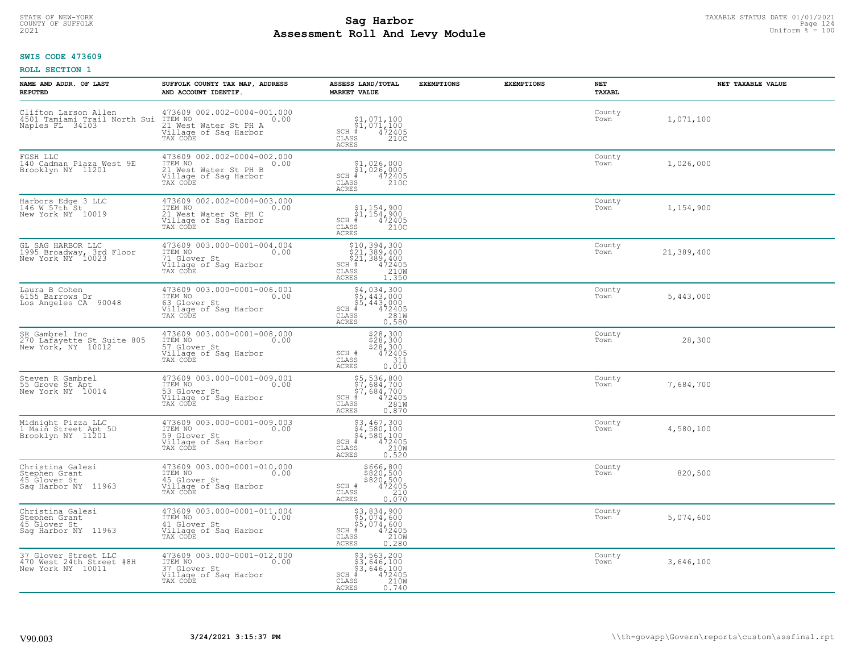# STATE OF NEW-YORK TAXABLE STATUS DATE 01/01/2021<br>COUNTY OF SUFFOLK Page 124 **Assessment Roll And Levy Module Example 2021** Uniform  $\frac{1}{8}$  = 100

## **SWIS CODE 473609**

| NAME AND ADDR. OF LAST<br><b>REPUTED</b>                                 | SUFFOLK COUNTY TAX MAP, ADDRESS<br>AND ACCOUNT IDENTIF.                                                                                                | ASSESS LAND/TOTAL<br><b>MARKET VALUE</b>                                                                                                                                                   | <b>EXEMPTIONS</b> | <b>EXEMPTIONS</b> | NET<br><b>TAXABL</b> | NET TAXABLE VALUE |
|--------------------------------------------------------------------------|--------------------------------------------------------------------------------------------------------------------------------------------------------|--------------------------------------------------------------------------------------------------------------------------------------------------------------------------------------------|-------------------|-------------------|----------------------|-------------------|
| Naples FL 34103                                                          | Clifton Larson Allen 473609 002.002-0004-001.000<br>4501 Tamiami Trail North Sui ITEM NO<br>21 West Water St PH A<br>Village of Saq Harbor<br>TAX CODE | \$1,071,100<br>$\begin{array}{l} 51,071,100 \\ * & 472405 \\ * & 2100 \end{array}$<br>$SCH$ #<br>CLASS<br>ACRES                                                                            |                   |                   | County<br>Town       | 1,071,100         |
| FGSH LLC<br>140 Cadman Plaza West 9E<br>Brooklyn NY 11201                | 473609 002.002-0004-002.000<br>ITEM NO<br>0.00<br>21 West Water St PH B<br>Village of Sag Harbor<br>TAX CODE                                           | $\begin{array}{c} \texttt{\$1,026,000}\ \\ \texttt{\$1,026,000}\ \\ \texttt{\tiny CH} & 472405 \\\ \texttt{\tiny LASS} & 210C \end{array}$<br>$SCH$ #<br>CLASS<br>ACRES                    |                   |                   | County<br>Town       | 1,026,000         |
| Harbors Edge 3 LLC<br>146 W 57th St<br>New York NY 10019                 | 473609 002.002-0004-003.000<br>ITEM NO<br>0.00<br>21 West Water St PH C<br>Village of Sag Harbor<br>TAX CODE                                           | $\begin{array}{l} $1,154,900 \ $1,154,900 \ $4$ \hline \end{array}$<br>$\begin{array}{l} $154,900 \ $472405 \ $2100 \end{array}$<br>$SCH$ #<br>CLASS<br>ACRES                              |                   |                   | County<br>Town       | 1,154,900         |
| GL SAG HARBOR LLC<br>1995 Broadway, 3rd Floor<br>New York NY 10023       | 473609 003.000-0001-004.004<br>TTEM NO 0.00<br>71 Glover St<br>Village of Sag Harbor<br>TAX CODE                                                       | $\begin{array}{l} 510,394,300 \\ 521,389,400 \\ 521,389,400 \\ \text{H} \ \texttt{H} \ \texttt{472405} \\ \texttt{ASS} \ \texttt{1210M} \end{array}$<br>$SCH$ #<br>CLASS<br>ACRES<br>1.350 |                   |                   | County<br>Town       | 21,389,400        |
| Laura B Cohen<br>6155 Barrows Dr<br>Los Angeles CA 90048                 | 473609 003.000-0001-006.001<br>ITEM NO<br>0.00<br>63 Glover St<br>Village of Saq Harbor<br>TAX CODE                                                    | $$4,034,300$<br>$$5,443,000$<br>$$5,443,000$<br>$472405$<br>$$2810$<br>$SCH$ #<br>CLASS<br>ACRES<br>0.580                                                                                  |                   |                   | County<br>Town       | 5,443,000         |
| SR Gambrel Inc<br>270 Lafayette St Suite 805<br>New York, NY 10012       | 473609 003.000-0001-008.000<br>ITEM NO<br>0.00<br>57 Glover St<br>Village of Sag Harbor<br>TAX CODE                                                    | \$28,300<br>\$28,300<br>\$28,300<br>\$2405<br>SCH #<br>CLASS<br>311<br>0.010<br><b>ACRES</b>                                                                                               |                   |                   | County<br>Town       | 28,300            |
| Steven R Gambrel<br>55 Grove St Apt<br>New York NY 10014                 | 473609 003.000-0001-009.001<br>ITEM NO<br>0.00<br>53 Glover St<br>Village of Sag Harbor<br>TAX CODE                                                    | \$5,536,800<br>\$7,684,700<br>\$7,684,700<br># 472405<br>\$8 281M<br>$SCH$ #<br>CLASS<br><b>ACRES</b><br>0.870                                                                             |                   |                   | County<br>Town       | 7,684,700         |
| Midnight Pizza LLC<br>1 Main Street Apt 5D<br>Brooklyn NY 11201          | 473609 003.000-0001-009.003<br>TTEM NO 0.00<br>59 Glover St<br>Village of Saq Harbor<br>TAX CODE                                                       | $$3,467,300$<br>$$4,580,100$<br>$$4,580,100$<br>$472405$<br>$$2100$<br>$SCH$ #<br>CLASS<br>ACRES<br>0.520                                                                                  |                   |                   | County<br>Town       | 4,580,100         |
| Christina Galesi<br>Stephen Grant<br>45 Glover St<br>Saq Harbor NY 11963 | 473609 003.000-0001-010.000<br>ITEM NO 0.00<br>45 Glover St<br>Village of Sag Harbor<br>TAX CODE                                                       | \$666,800<br>\$820,500<br>\$820,500<br>SCH #<br>$\frac{472405}{210}$<br>CLASS<br><b>ACRES</b><br>0.070                                                                                     |                   |                   | County<br>Town       | 820,500           |
| Christina Galesi<br>Stephen Grant<br>45 Glover St<br>Sag Harbor NY 11963 | 473609 003.000-0001-011.004<br>ITEM NO<br>0.00<br>41 Glover St<br>Village of Sag Harbor<br>TAX CODE                                                    | \$3,834,900<br>\$5,074,600<br>\$5,074,600<br>472405<br>210W<br>$SCH$ #<br>CLASS<br><b>ACRES</b><br>0.280                                                                                   |                   |                   | County<br>Town       | 5,074,600         |
| 37 Glover Street LLC<br>470 West 24th Street #8H<br>New York NY 10011    | 473609 003.000-0001-012.000<br>ITEM NO<br>0.00<br>37 Glover St<br>Village of Sag Harbor<br>TAX CODE                                                    | \$3,563,200<br>\$3,646,100<br>\$3,646,100<br>$SCH$ #<br>472405<br>210W<br>CLASS<br><b>ACRES</b><br>0.740                                                                                   |                   |                   | County<br>Town       | 3,646,100         |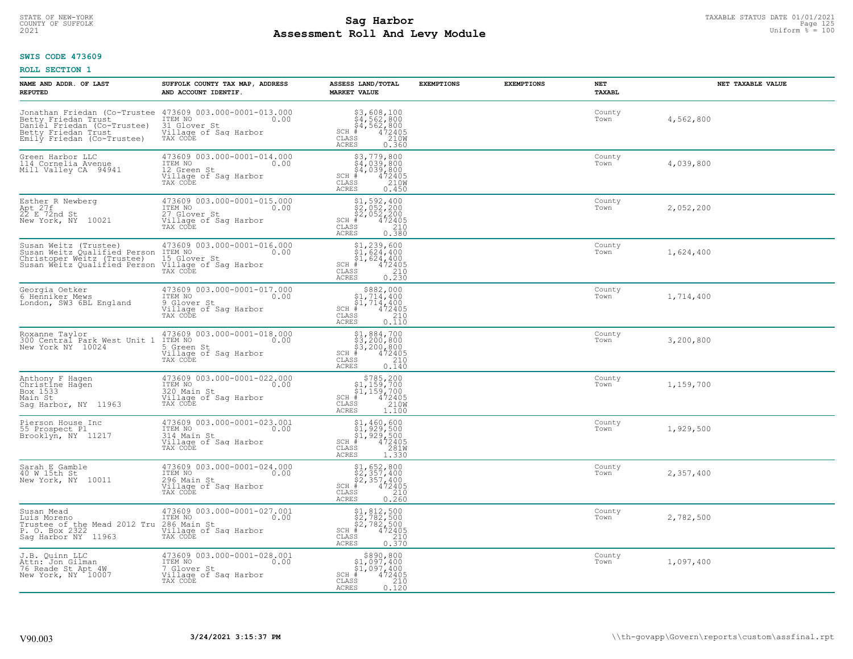# TAXABLE STATUS DATE 01/01/2021<br>COUNTY OF SUFFOLK Page 125 and the state of the state of the state of the state of the state of the state of th **Assessment Roll And Levy Module Example 2021** Uniform  $\frac{1}{8}$  = 100

#### **SWIS CODE 473609**

| NAME AND ADDR. OF LAST<br><b>REPUTED</b>                                                                                                   | SUFFOLK COUNTY TAX MAP, ADDRESS<br>AND ACCOUNT IDENTIF.                                                                                           | ASSESS LAND/TOTAL<br><b>MARKET VALUE</b>                                                                                          | <b>EXEMPTIONS</b> | <b>EXEMPTIONS</b> | NET<br>TAXABL  | NET TAXABLE VALUE |
|--------------------------------------------------------------------------------------------------------------------------------------------|---------------------------------------------------------------------------------------------------------------------------------------------------|-----------------------------------------------------------------------------------------------------------------------------------|-------------------|-------------------|----------------|-------------------|
| Betty Friedan Trust<br>Daniel_Friedan (Co-Trustee)<br>Betty Friedan Trust<br>Emily Friedan (Co-Trustee)                                    | Jonathan Friedan (Co-Trustee 473609 003.000-0001-013.000<br>Betty Friedan Trust ITEM NO 0.00<br>31 Glover St<br>Village of Saq Harbor<br>TAX CODE | $$3,608,100$<br>$$4,562,800$<br>$$4,562,800$<br>$472405$<br>$$210M$<br>SCH #<br>CLASS<br><b>ACRES</b><br>0.360                    |                   |                   | County<br>Town | 4,562,800         |
| Green Harbor LLC<br>114 Cornelia Avenue<br>Mill Valley CA 94941                                                                            | 473609 003.000-0001-014.000<br>ITEM NO<br>0.00<br>12 Green St<br>Village of Sag Harbor<br>TAX CODE                                                | $$3,779,800$<br>$$4,039,800$<br>$$4,039,800$<br>$$4,039,800$<br>$$472405$<br>$$2100$<br>$SCH$ #<br>CLASS<br><b>ACRES</b><br>0.450 |                   |                   | County<br>Town | 4,039,800         |
| Esther R Newberg<br>Apt 27f<br>22 E 72nd St<br>New York, NY 10021                                                                          | 473609 003.000-0001-015.000<br>ITEM NO<br>0.00<br>27 Glover St<br>Village of Sag Harbor<br>TAX CODE                                               | $$2,052,200$<br>$$2,052,200$<br>$$2,052,200$<br>$472405$<br>$$35$<br>$$2,00$<br>$SCH$ #<br>CLASS<br><b>ACRES</b><br>0.380         |                   |                   | County<br>Town | 2,052,200         |
| Susan Weitz (Trustee) 473609 003.000<br>Susan Weitz Qualified Person ITEM NO<br>Christoper Weitz (Trustee)<br>Susan Weitz Qualified Person | 473609 003.000-0001-016.000<br>0.00<br>15 Glover St<br>Village of Saq Harbor<br>TAX CODE                                                          | $$1, 239, 600$<br>$$1, 624, 400$<br>$$1, 624, 400$<br>$472405$<br>$$210$<br>$SCH$ #<br>CLASS<br><b>ACRES</b><br>0.230             |                   |                   | County<br>Town | 1,624,400         |
| Georgia Oetker<br>6 Henniker Mews<br>London, SW3 6BL England                                                                               | 473609 003.000-0001-017.000<br>ITEM NO<br>0.00<br>9 Glover St<br>Village of Saq Harbor<br>TAX CODE                                                | $SCH$ #<br>CLASS<br>210<br><b>ACRES</b><br>0.110                                                                                  |                   |                   | County<br>Town | 1,714,400         |
| Roxanne Taylor<br>300 Central Park West Unit 1<br>New York NY 10024                                                                        | 473609 003.000-0001-018.000<br>ITEM NO<br>0.00<br>5 Green St<br>Village of Sag Harbor<br>TAX CODE                                                 | $$1,884,700$<br>$$3,200,800$<br>$$3,200,800$<br>$$472405$<br>$SCH$ #<br>$\mathtt{CLASS}$<br>210<br>0.140<br><b>ACRES</b>          |                   |                   | County<br>Town | 3,200,800         |
| Anthony F Hagen<br>Christine Hağen<br>Box 1533<br>Main St<br>Saq Harbor, NY 11963                                                          | 473609 003.000-0001-022.000<br>TTEM NO 0.00<br>320 Main St<br>Village of Sag Harbor<br>TAX CODE                                                   | $$785, 200$<br>$$1, 159, 700$<br>$$1, 159, 700$<br>$472405$<br>$$210M$<br>$SCH$ #<br>CLASS<br><b>ACRES</b><br>1,100               |                   |                   | County<br>Town | 1,159,700         |
| Pierson House Inc<br>55 Prospect Pl<br>Brooklyn, NY 11217                                                                                  | 473609 003.000-0001-023.001<br>ITEM NO 0.00<br>314 Main St<br>Village of Sag Harbor<br>TAX CODE                                                   | $$1,460,600$<br>$$1,929,500$<br>$$1,929,500$<br>$472405$<br>$329,700$<br>$329,00$<br>$SCH$ #<br>CLASS<br><b>ACRES</b><br>1.330    |                   |                   | County<br>Town | 1,929,500         |
| Sarah E Gamble<br>40 W 15th St<br>New York, NY 10011                                                                                       | 473609 003.000-0001-024.000<br>ITEM NO 0.00<br>296 Main St<br>Village of Sag Harbor<br>TAX CODE                                                   | $$2, 652, 800$<br>$$2, 357, 400$<br>$$2, 357, 400$<br>$$472405$<br>$SCH$ #<br>CLASS<br>210<br><b>ACRES</b><br>0.260               |                   |                   | County<br>Town | 2,357,400         |
| Susan Mead<br>Luis Moreno<br>Trustee of the Mead 2012 Tru 286 Main St<br>P. O. Box 2322  Village of S<br>Sag Harbor NY 11963               | 473609 003.000-0001-027.001<br>ITEM NO<br>0.00<br>Village of Sag Harbor<br>TAX CODE                                                               | $$1, 812, 500$<br>$$2, 782, 500$<br>$$2, 782, 500$<br>$$472405$<br>$SCH$ #<br>CLASS<br>$\frac{210}{0.370}$<br><b>ACRES</b>        |                   |                   | County<br>Town | 2,782,500         |
| J.B. Quinn LLC<br>Attn: Jon Gilman<br>76 Reade St Apt 4W<br>New York, NY 10007                                                             | 473609 003.000-0001-028.001<br>ITEM NO<br>0.00<br>7 Glover St<br>Village of Sag Harbor<br>TAX CODE                                                | \$890,800<br>$$1,097,400$<br>$$1,097,400$<br>$SCH$ #<br>472405<br>CLASS<br>$\frac{210}{0.120}$<br><b>ACRES</b>                    |                   |                   | County<br>Town | 1,097,400         |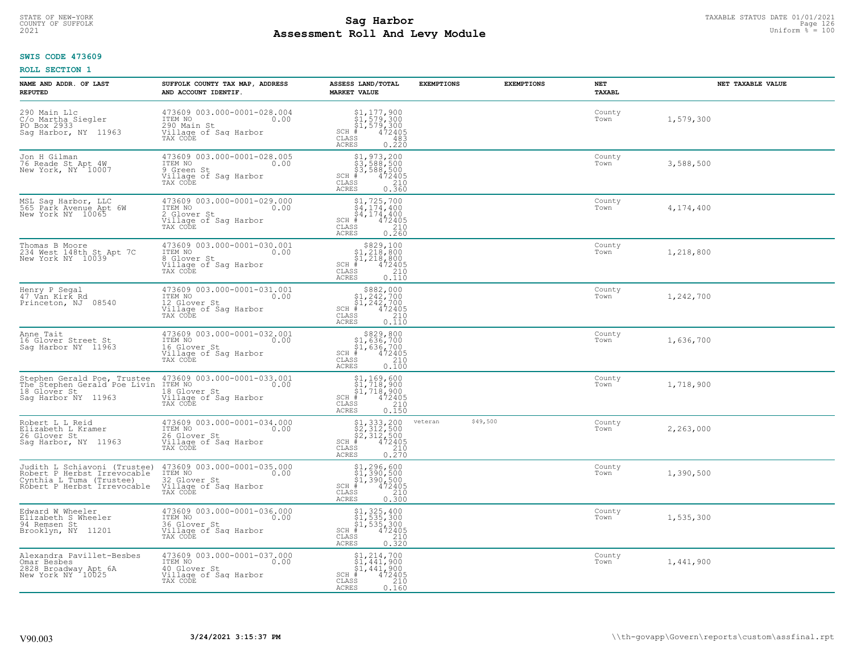# TAXABLE STATUS DATE 01/01/2021<br>COUNTY OF SUFFOLK Page 126 Page 126 **Assessment Roll And Levy Module Example 2021** Uniform  $\frac{1}{8}$  = 100

#### **SWIS CODE 473609**

| NAME AND ADDR. OF LAST<br><b>REPUTED</b>                                                                               | SUFFOLK COUNTY TAX MAP, ADDRESS<br>AND ACCOUNT IDENTIF.                                             | ASSESS LAND/TOTAL<br><b>MARKET VALUE</b>                                                                                                              | <b>EXEMPTIONS</b>   | <b>EXEMPTIONS</b> | <b>NET</b><br><b>TAXABL</b> | NET TAXABLE VALUE |
|------------------------------------------------------------------------------------------------------------------------|-----------------------------------------------------------------------------------------------------|-------------------------------------------------------------------------------------------------------------------------------------------------------|---------------------|-------------------|-----------------------------|-------------------|
| 290 Main Llc<br>C/o_Martha Siegler<br>PO Box 2933<br>Saq Harbor, NY 11963                                              | 473609 003.000-0001-028.004<br>ITEM NO<br>0.00<br>290 Main St<br>Village of Sag Harbor<br>TAX CODE  | \$1,177,900<br>$\begin{array}{l} 51,579,300 \\ 51,579,300 \\ + 472405 \end{array}$<br>SCH #<br>CLASS<br>483<br><b>ACRES</b><br>0.220                  |                     |                   | County<br>Town              | 1,579,300         |
| Jon H Gilman<br>76 Reade St Apt 4W<br>New York, NY 10007                                                               | 473609 003.000-0001-028.005<br>ITEM NO<br>0.00<br>9 Green St<br>Village of Sag Harbor<br>TAX CODE   | $$3, 588, 500$<br>$$3, 588, 500$<br>$$3, 588, 500$<br>$472405$<br>ss<br>$$210$<br>$SCH$ #<br><b>CLASS</b><br>ACRES<br>0.360                           |                     |                   | County<br>Town              | 3,588,500         |
| MSL Saq Harbor, LLC<br>565 Park Avenue Apt 6W<br>New York NY 10065                                                     | 473609 003.000-0001-029.000<br>ITEM NO<br>0.00<br>2 Glover St<br>Village of Sag Harbor<br>TAX CODE  | $\begin{array}{l} $1,725,700 \\ $4,174,400 \\ $4,174,400 \\ {\scriptstyle *} \\ $55 \end{array}$<br>$SCH$ #<br>CLASS<br><b>ACRES</b><br>0.260         |                     |                   | County<br>Town              | 4,174,400         |
| Thomas B Moore<br>234 West 148th St Apt 7C<br>New York NY 10039                                                        | 473609 003.000-0001-030.001<br>ITEM NO<br>0.00<br>8 Glover St<br>Village of Sag Harbor<br>TAX CODE  | $\begin{array}{r} 8829,100 \\ 51,218,800 \\ 51,218,800 \\ \pm \\ 472405 \\ \text{ss} \\ 210 \end{array}$<br>$SCH$ #<br>CLASS<br><b>ACRES</b><br>0.110 |                     |                   | County<br>Town              | 1,218,800         |
| Henry P Segal<br>47 Vån Kirk Rd<br>Princeton, NJ 08540                                                                 | 473609 003.000-0001-031.001<br>ITEM NO<br>0.00<br>12 Glover St<br>Village of Sag Harbor<br>TAX CODE | $$882,000$<br>$$1,242,700$<br>$$1,242,700$<br>$$1,242,700$<br>$$1,242,700$<br>CLASS<br>210<br>0.110<br><b>ACRES</b>                                   |                     |                   | County<br>Town              | 1,242,700         |
| Anne Tait<br>16 Glover Street St<br>Sag Harbor NY 11963                                                                | 473609 003.000-0001-032.001<br>ITEM NO<br>0.00<br>16 Glover St<br>Village of Sag Harbor<br>TAX CODE | $$829, 800$<br>$$1, 636, 700$<br>$$1, 636, 700$<br>$$1, 636, 700$<br>$$472405$<br>$SCH$ #<br>CLASS<br>210<br><b>ACRES</b><br>0.100                    |                     |                   | County<br>Town              | 1,636,700         |
| Stephen Gerald Poe, Trustee 473609<br>The Stephen Gerald Poe Livin ITEM NO<br>18 Glover St<br>Saq Harbor NY 11963      | 473609 003.000-0001-033.001<br>0.00<br>18 Glover St<br>Village of Sag Harbor<br>TAX CODE            | $$1, 169, 600$<br>$$1, 718, 900$<br>$$1, 718, 900$<br>$*1, 718, 900$<br>$*1, 472405$<br>$SCH$ #<br>CLASS<br>210<br>0.150<br><b>ACRES</b>              |                     |                   | County<br>Town              | 1,718,900         |
| Robert L L Reid<br>Elizabeth L Kramer<br>26 Glover St<br>Sag Harbor, NY 11963                                          | 473609 003.000-0001-034.000<br>ITEM NO 0.00<br>26 Glover St<br>Village of Sag Harbor<br>TAX CODE    | $$2,333,200$<br>$$2,312,500$<br>$$2,312,500$<br>$472405$<br>$$2,210$<br>$SCH$ #<br>CLASS<br><b>ACRES</b><br>0.270                                     | \$49,500<br>veteran |                   | County<br>Town              | 2,263,000         |
| Judith L Schiavoni (Trustee)<br>Robert P Herbst Irrevocable<br>Cynthia L Tuma (Trustee)<br>Robert P Herbst Irrevocable | 473609 003.000-0001-035.000<br>ITEM NO<br>32 Glover St 0.00<br>Willage of Saq Harbor<br>TAX CODE    | \$1,296,600<br>\$1,390,500<br>\$1,390,500<br>$SCH$ #<br>472405<br>CLASS<br>210<br><b>ACRES</b><br>0.300                                               |                     |                   | County<br>Town              | 1,390,500         |
| Edward W Wheeler<br>Elizabeth S Wheeler<br>94 Remsen St<br>Brooklyn, NY 11201                                          | 473609 003.000-0001-036.000<br>ITEM NO<br>0.00<br>36 Glover St<br>Village of Sag Harbor<br>TAX CODE | \$1,325,400<br>\$1,535,300<br>\$1,535,300<br>#472405<br>$SCH$ #<br>CLASS<br>210<br><b>ACRES</b><br>0.320                                              |                     |                   | County<br>Town              | 1,535,300         |
| Alexandra Pavillet-Besbes<br>Omar Besbes<br>2828 Broadway Apt 6A<br>New York NY 10025                                  | 473609 003.000-0001-037.000<br>ITEM NO<br>0.00<br>40 Glover St<br>Village of Sag Harbor<br>TAX CODE | $$1, 214, 700$<br>$$1, 441, 900$<br>$$1, 441, 900$<br>$SCH$ #<br>472405<br>CLASS<br>210<br>0.160<br>ACRES                                             |                     |                   | County<br>Town              | 1,441,900         |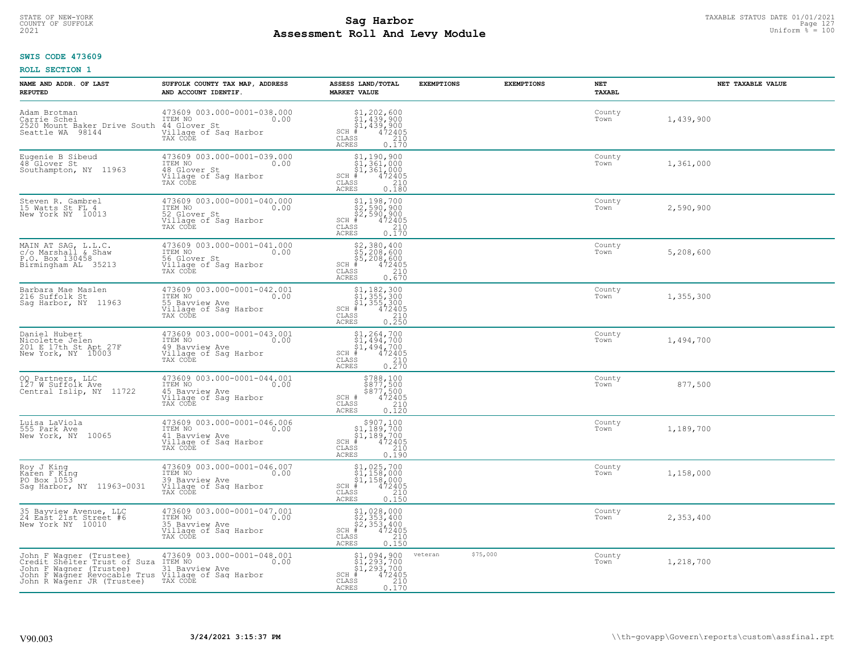# STATE OF NEW-YORK TAXABLE STATUS DATE 01/01/2021<br>COUNTY OF SUFFOLK Page 127 Page 127 **Assessment Roll And Levy Module Example 2021** Uniform  $\frac{1}{8}$  = 100

#### **SWIS CODE 473609**

| NAME AND ADDR. OF LAST<br><b>REPUTED</b>                                                                                                                                       | SUFFOLK COUNTY TAX MAP, ADDRESS<br>AND ACCOUNT IDENTIF.                                               | ASSESS LAND/TOTAL<br><b>MARKET VALUE</b>                                                                                                                                                                                                                                                                                                                                                                                                                      | <b>EXEMPTIONS</b>   | <b>EXEMPTIONS</b> | NET<br>TAXABL  | NET TAXABLE VALUE |
|--------------------------------------------------------------------------------------------------------------------------------------------------------------------------------|-------------------------------------------------------------------------------------------------------|---------------------------------------------------------------------------------------------------------------------------------------------------------------------------------------------------------------------------------------------------------------------------------------------------------------------------------------------------------------------------------------------------------------------------------------------------------------|---------------------|-------------------|----------------|-------------------|
| Adam Brotman<br>Carrie Schei<br>2520 Mount Baker Drive South 44 Glover St<br>Seattle WA 98144                                                                                  | 473609 003.000-0001-038.000<br>ITEM NO<br>0.00<br>Village of Saq Harbor<br>TAX CODE                   | $$1, 202, 600$<br>$$1, 439, 900$<br>$$1, 439, 900$<br>$472405$<br>$$210$<br>$SCH$ #<br>CLASS<br><b>ACRES</b><br>0.170                                                                                                                                                                                                                                                                                                                                         |                     |                   | County<br>Town | 1,439,900         |
| Eugenie B Sibeud<br>48 Glover St<br>Southampton, NY 11963                                                                                                                      | 473609 003.000-0001-039.000<br>ITEM NO<br>0.00<br>48 Glover St<br>Village of Sag Harbor<br>TAX CODE   | $$1,190,900$<br>$$1,361,000$<br>$$1,361,000$<br>$$1,361,000$<br>$SCH$ #<br>$\begin{smallmatrix} 472405\ 472405\ 210\ 0.180 \end{smallmatrix}$<br>CLASS<br>ACRES                                                                                                                                                                                                                                                                                               |                     |                   | County<br>Town | 1,361,000         |
| Steven R. Gambrel<br>15 Watts St FL 4<br>New York NY 10013                                                                                                                     | 473609 003.000-0001-040.000<br>ITEM NO<br>0.00<br>52 Glover St<br>Village of Sag Harbor<br>TAX CODE   | \$1,198,700<br>$\frac{52}{22}, \frac{590}{590}, \frac{900}{200}$<br>$SCH$ #<br>472405<br>210<br>CLASS<br>0.170<br>ACRES                                                                                                                                                                                                                                                                                                                                       |                     |                   | County<br>Town | 2,590,900         |
| MAIN AT SAG, L.L.C.<br>c/o Marshall & Shaw<br>P.O. Box 130458<br>Birmingham AL 35213                                                                                           | 473609 003.000-0001-041.000<br>ITEM NO 0.00<br>56 Glover St<br>Village of Sag Harbor<br>TAX CODE      | $\begin{array}{r} 52,380,400 \\ 55,208,600 \\ 55,208,600 \\ \pm \\ 472405 \\ \text{ss} \\ 210 \\ \text{ss} \\ 25 \\ \end{array}$<br>$SCH$ $#$<br>CLASS<br>ACRES                                                                                                                                                                                                                                                                                               |                     |                   | County<br>Town | 5,208,600         |
| Barbara Mae Maslen<br>216 Suffolk St<br>Sag Harbor, NY 11963                                                                                                                   | 473609 003.000-0001-042.001<br>ITEM NO<br>0.00<br>55 Bavview Ave<br>Village of Sag Harbor<br>TAX CODE | \$1,182,300<br>$\begin{array}{r} 1,152,300 \\ 51,355,300 \\ 4,355,300 \\ * & 472405 \\ * & 210 \\ * & 210 \\ * & 210 \\ * & 210 \\ * & 210 \\ * & 210 \\ * & 210 \\ * & 210 \\ * & 210 \\ * & 210 \\ * & 210 \\ * & 210 \\ * & 210 \\ * & 210 \\ * & 210 \\ * & 210 \\ * & 210 \\ * & 210 \\ * & 210 \\ * & 210 \\ * & 210 \\ * & 210 \\ * & 210 \\ * & 210 \\ *$<br>$SCH$ #<br>CLASS<br>ACRES                                                                |                     |                   | County<br>Town | 1,355,300         |
| Daniel Hubert<br>Nicolette Jelen<br>201 E 17th St Apt 27F<br>New York, NY 10003                                                                                                | 473609 003.000-0001-043.001<br>ITEM NO<br>0.00<br>49 Bayview Ave<br>Village of Sag Harbor<br>TAX CODE | $$1, 264, 700$<br>$$1, 494, 700$<br>$$1, 494, 700$<br>$$494, 700$<br>$472405$<br>$SCH$ #<br>CLASS<br>$\begin{array}{c} 210 \\ 0.270 \end{array}$<br>ACRES                                                                                                                                                                                                                                                                                                     |                     |                   | County<br>Town | 1,494,700         |
| 00 Partners, LLC<br>127 W Suffolk Ave<br>Central Islip, NY 11722                                                                                                               | 473609 003.000-0001-044.001<br>ITEM NO<br>0.00<br>45 Bayview Ave<br>Village of Sag Harbor<br>TAX CODE | $\begin{array}{c} $788,100 $877,500 $877,500 472405 210 210 \end{array}$<br>SCH #<br>CLASS<br>0.120<br>ACRES                                                                                                                                                                                                                                                                                                                                                  |                     |                   | County<br>Town | 877,500           |
| Luisa LaViola<br>555 Park Ave<br>New York, NY 10065                                                                                                                            | 473609 003.000-0001-046.006<br>TTEM NO 0.00<br>41 Bavview Ave<br>Village of Sag Harbor<br>TAX CODE    | $\begin{array}{r} \texttt{\$907,100}\ \\ \texttt{\$1,189,700}\ \\ \texttt{\$1,189,700}\ \\ \texttt{\$1,189,700}\ \\ \texttt{\$1,2405}\ \\ \texttt{\$10}\ \\ \texttt{\$10}\ \\ \texttt{\$10}\ \\ \texttt{\$19}\ \\ \texttt{\$10}\ \\ \texttt{\$19}\ \\ \texttt{\$19}\ \\ \texttt{\$19}\ \\ \texttt{\$19}\ \\ \texttt{\$19}\ \\ \texttt{\$19}\ \\ \texttt{\$19}\ \\ \texttt{\$19}\ \\ \texttt{\$19}\ \\ \texttt{\$19}\ \\ \texttt$<br>$SCH$ #<br>CLASS<br>ACRES |                     |                   | County<br>Town | 1,189,700         |
| Roy J King<br>Karen F King<br>PO Box 1053<br>Sag Harbor, NY 11963-0031                                                                                                         | 473609 003.000-0001-046.007<br>ITEM NO<br>0.00<br>39 Bavview Ave<br>Village of Sag Harbor<br>TAX CODE | $$1,025,700$<br>$$1,158,000$<br>$$1,158,000$<br>$472405$<br>$$210$<br>$SCH$ #<br>CLASS<br><b>ACRES</b><br>0.150                                                                                                                                                                                                                                                                                                                                               |                     |                   | County<br>Town | 1,158,000         |
| 35 Bayview Avenue, LLC<br>24 East 21st Street #6<br>New York NY 10010                                                                                                          | 473609 003.000-0001-047.001<br>ITEM NO<br>0.00<br>35 Bayview Ave<br>Village of Sag Harbor<br>TAX CODE | $$2, 353, 400$<br>$$2, 353, 400$<br>$$2, 353, 400$<br>$$472405$<br>$SCH$ #<br>$\mathtt{CLASS}$<br>$\begin{array}{c} 210 \\ 0.150 \end{array}$<br><b>ACRES</b>                                                                                                                                                                                                                                                                                                 |                     |                   | County<br>Town | 2,353,400         |
| John F Wagner (Trustee)<br>Credit Shelter Trust of Suza ITEM NO<br>John F Wagner (Trustee)<br>John F Wagner Revocable Trus Village of Sag Harbor<br>John R Wagenr JR (Trustee) | 473609 003.000-0001-048.001<br>0.00<br>31 Bayview Ave<br>TAX CODE                                     | $$1,094,900$<br>$$1,293,700$<br>$$1,293,700$<br>$472405$<br>210<br>$SCH$ #<br>CLASS<br>ACRES<br>0.170                                                                                                                                                                                                                                                                                                                                                         | \$75,000<br>veteran |                   | County<br>Town | 1,218,700         |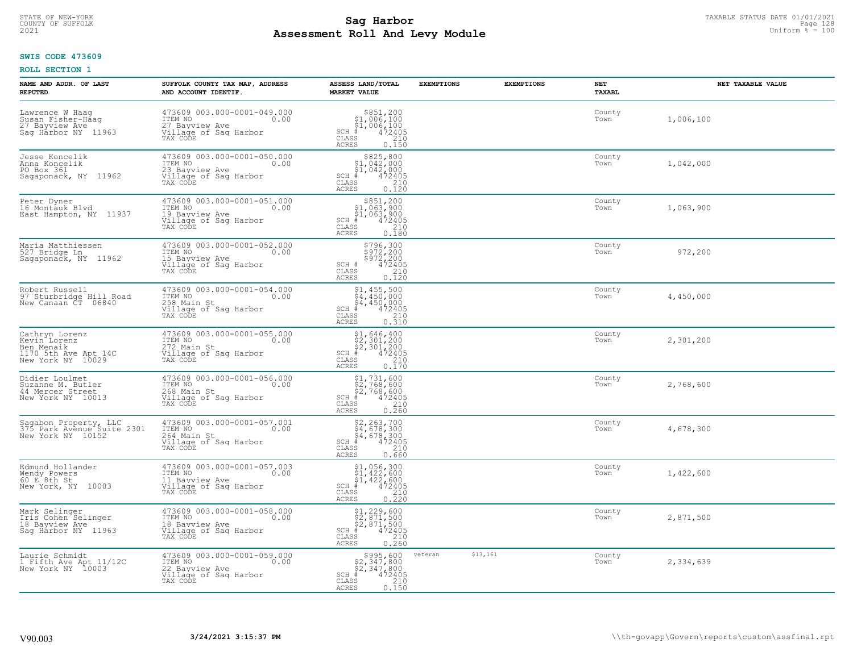# TAXABLE STATUS DATE 01/01/2021<br>COUNTY OF SUFFOLK Page 128 Page 128 **Assessment Roll And Levy Module Example 2021** Uniform  $\frac{1}{8}$  = 100

#### **SWIS CODE 473609**

| NAME AND ADDR. OF LAST<br><b>REPUTED</b>                                                               | SUFFOLK COUNTY TAX MAP, ADDRESS<br>AND ACCOUNT IDENTIF.                                               | ASSESS LAND/TOTAL<br><b>MARKET VALUE</b>                                                                                                                                                                                                                                                          | <b>EXEMPTIONS</b>   | <b>EXEMPTIONS</b> | <b>NET</b><br>TAXABL | NET TAXABLE VALUE |
|--------------------------------------------------------------------------------------------------------|-------------------------------------------------------------------------------------------------------|---------------------------------------------------------------------------------------------------------------------------------------------------------------------------------------------------------------------------------------------------------------------------------------------------|---------------------|-------------------|----------------------|-------------------|
| Lawrence W Haag<br>Susan Fisher-Haag<br>27 Bayview Ave<br>Sag Hårbor NY 11963                          | 473609 003.000-0001-049.000<br>ITEM NO<br>0.00<br>27 Bavview Ave<br>Village of Sag Harbor<br>TAX CODE | $$851,200\n$1,006,100\n$1,006,100\n# 472405\n 472405\n 210$<br>$SCH$ #<br>CLASS<br><b>ACRES</b><br>0.150                                                                                                                                                                                          |                     |                   | County<br>Town       | 1,006,100         |
| Jesse Koncelik<br>Anna Koncelik<br>PO Box 361<br>Sagaponack, NY 11962                                  | 473609 003.000-0001-050.000<br>ITEM NO<br>0.00<br>23 Bayview Ave<br>Village of Sag Harbor<br>TAX CODE | $$825, 800$<br>$$1, 042, 000$<br>$$1, 042, 000$<br>$SCH$ #<br>$472405$<br>$210$<br>0.120<br>CLASS<br>ACRES                                                                                                                                                                                        |                     |                   | County<br>Town       | 1,042,000         |
| Peter Dyner<br>16 Montāuk Blvd<br>East Hampton, NY 11937                                               | 473609 003.000-0001-051.000<br>ITEM NO<br>0.00<br>19 Bayview Ave<br>Village of Sag Harbor<br>TAX CODE | \$851,200<br>\$1,063,900<br>\$1,063,900<br>$SCH$ #<br>472405<br>210<br>CLASS<br>0.180<br>ACRES                                                                                                                                                                                                    |                     |                   | County<br>Town       | 1,063,900         |
| Maria Matthiessen<br>527 Bridge Ln<br>Sagaponack, NY 11962                                             | 473609 003.000-0001-052.000<br>ITEM NO<br>0.00<br>15 Bayview Ave<br>Village of Sag Harbor<br>TAX CODE | \$796,300<br>\$972,200<br>\$972,200<br>\$972,200<br>\$210<br>\$210<br>\$210<br>\$120<br>SCH #<br>CLASS<br>ACRES                                                                                                                                                                                   |                     |                   | County<br>Town       | 972,200           |
| Robert Russell<br>97 Sturbridge Hill Road<br>New Canaan CT 06840                                       | 473609 003.000-0001-054.000<br>ITEM NO<br>0.00<br>258 Main St<br>Village of Saq Harbor<br>TAX CODE    | \$1,455,500<br>\$4,450,000<br>$\begin{array}{r} 54,450,000 \\ * & 472405 \\ * & 210 \\ * & 210 \\ * & 0.310 \end{array}$<br>$SCH$ #<br>CLASS<br><b>ACRES</b>                                                                                                                                      |                     |                   | County<br>Town       | 4,450,000         |
| Cathryn Lorenz<br>Kevin <sup>-</sup> Lorenz<br>Ben Menaik<br>1170 5th Ave Apt 14C<br>New York NY 10029 | 473609 003.000-0001-055.000<br>ITEM NO<br>272 Main St<br>0.00<br>Village of Sag Harbor<br>TAX CODE    | $$1,646,400$<br>$$2,301,200$<br>$$2,301,200$<br>$$472405$<br>$SCH$ #<br>$\begin{bmatrix} 210 \\ 0.170 \end{bmatrix}$<br>CLASS<br><b>ACRES</b>                                                                                                                                                     |                     |                   | County<br>Town       | 2,301,200         |
| Didier Loulmet<br>Suzanne M. Butler<br>44 Mercer Street<br>New York NY 10013                           | 473609 003.000-0001-056.000<br>ITEM NO<br>0.00<br>268 Main St<br>Village of Sag Harbor<br>TAX CODE    | \$1,731,600<br>\$2,768,600<br>\$2,768,600<br>$SCH$ #<br>472405<br>CLASS<br>0.260<br>ACRES                                                                                                                                                                                                         |                     |                   | County<br>Town       | 2,768,600         |
| Sagabon Property, LLC<br>375 Park Avenue Suite 2301<br>New York NY 10152                               | 473609 003.000-0001-057.001<br>ITEM NO<br>0.00<br>264 Main St<br>Village of Sag Harbor<br>TAX CODE    | \$2,263,700<br>\$4,678,300<br>\$4,678,300<br># 472405<br>\$8 210<br>$SCH$ #<br>CLASS<br><b>ACRES</b><br>0.660                                                                                                                                                                                     |                     |                   | County<br>Town       | 4,678,300         |
| Edmund Hollander<br>Wendy Powers<br>60 E 8th St<br>New York, NY 10003                                  | 473609 003.000-0001-057.003<br>TTEM NO 0.00<br>11 Bavview Ave<br>Village of Sag Harbor<br>TAX CODE    | $\begin{array}{r} \texttt{\$1,056,300}\ \\ \texttt{\$1,422,600}\ \\ \texttt{\$1,422,600}\ \\ \texttt{\$1,422,600}\ \\ \texttt{\$1,42405}\ \\ \texttt{\$10}\ \\ \texttt{\$10}\ \\ \texttt{\$10}\ \\ \texttt{\$210}\ \\ \texttt{\$10}\ \\ \texttt{\$22}\end{array}$<br>SCH<br>CLASS<br><b>ACRES</b> |                     |                   | County<br>Town       | 1,422,600         |
| Mark Selinger<br>Iris Cohen Selinger<br>18 Bayview Ave<br>Saq Harbor NY 11963                          | 473609 003.000-0001-058.000<br>ITEM NO<br>0.00<br>18 Bayview Ave<br>Village of Sag Harbor<br>TAX CODE | $$1, 229, 600$<br>$$2, 871, 500$<br>$$2, 871, 500$<br>$$472405$<br>SCH<br>210<br>CLASS<br><b>ACRES</b><br>0.260                                                                                                                                                                                   |                     |                   | County<br>Town       | 2,871,500         |
| Laurie Schmidt<br>1 Fifth Ave Apt 11/12C<br>New York NY 10003                                          | 473609 003.000-0001-059.000<br>ITEM NO<br>0.00<br>22 Bayview Ave<br>Village of Sag Harbor<br>TAX CODE | $$995,600$<br>$$2,347,800$<br>$$2,347,800$<br>$$472405$<br>$SCH$ #<br>210<br>CLASS<br>ACRES<br>0.150                                                                                                                                                                                              | \$13,161<br>veteran |                   | County<br>Town       | 2,334,639         |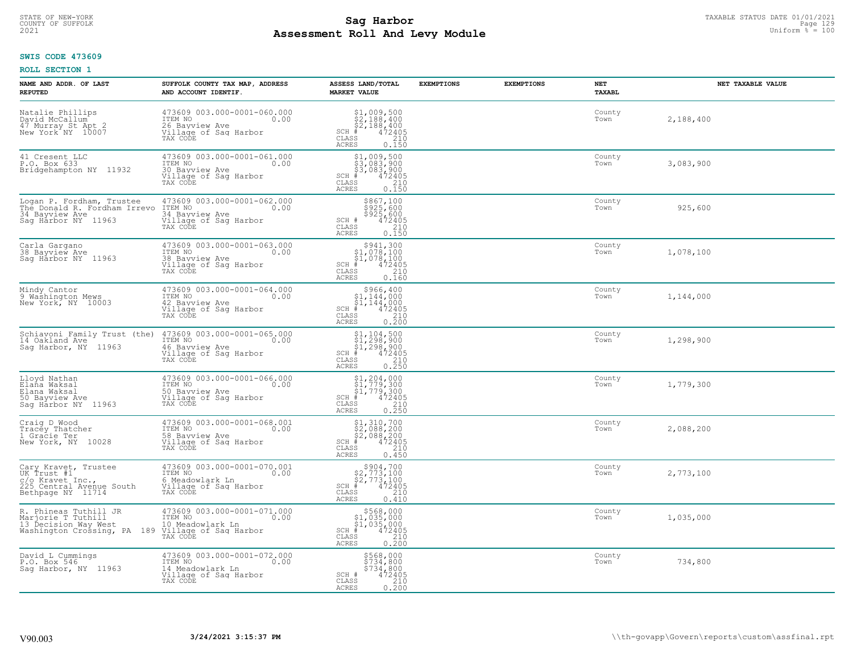# TAXABLE STATUS DATE 01/01/2021<br>COUNTY OF SUFFOLK Page 129 Page 129 **Assessment Roll And Levy Module Example 2021** Uniform  $\frac{1}{8}$  = 100

#### **SWIS CODE 473609**

| NAME AND ADDR. OF LAST<br><b>REPUTED</b>                                                                                 | SUFFOLK COUNTY TAX MAP, ADDRESS<br>AND ACCOUNT IDENTIF.                                                                            | ASSESS LAND/TOTAL<br><b>MARKET VALUE</b>                                                                                                                                                                                                                                                     | <b>EXEMPTIONS</b> | <b>EXEMPTIONS</b> | NET<br>TAXABL  | NET TAXABLE VALUE |
|--------------------------------------------------------------------------------------------------------------------------|------------------------------------------------------------------------------------------------------------------------------------|----------------------------------------------------------------------------------------------------------------------------------------------------------------------------------------------------------------------------------------------------------------------------------------------|-------------------|-------------------|----------------|-------------------|
| Natalie Phillips<br>David McCallum <sup>-</sup><br>47 Murray St Apt 2<br>New York NY 10007                               | 473609 003.000-0001-060.000<br>ITEM NO<br>0.00<br>26 Bavview Ave<br>Village of Sag Harbor<br>TAX CODE                              | $$2,188,400$<br>$$2,188,400$<br>$$2,188,400$<br>$*$<br>$*$<br>$*$<br>$*$<br>$*$<br>$SCH$ #<br>CLASS<br>210<br>ACRES<br>0.150                                                                                                                                                                 |                   |                   | County<br>Town | 2,188,400         |
| 41 Cresent LLC<br>P.O. Box 633<br>Bridgehampton NY 11932                                                                 | 473609 003.000-0001-061.000<br>ITEM NO<br>0.00<br>30 Bayview Ave<br>Village of Sag Harbor<br>TAX CODE                              | \$1,009,500<br>\$3,083,900<br>\$3,083,900<br>$SCH$ #<br>472405<br>CLASS<br>$\frac{210}{0.150}$<br>ACRES                                                                                                                                                                                      |                   |                   | County<br>Town | 3,083,900         |
| Logan P. Fordham, Trustee<br>The Donald R. Fordham Irrevo<br>34 Bayview Ave<br>Sag Harbor NY 11963                       | 473609 003.000-0001-062.000<br>0.00 00:00<br>34 Bayview Ave<br>Village of Sag Harbor<br>TAX CODE                                   | \$867,100<br>\$925,600<br>\$925,600<br>\$925,600<br>SCH #<br>CLASS<br>210<br>0.150<br>ACRES                                                                                                                                                                                                  |                   |                   | County<br>Town | 925,600           |
| Carla Gargano<br>38 Bayview Ave<br>Saq Harbor NY 11963                                                                   | 473609 003.000-0001-063.000<br>TTEM NO 0.00<br>0.00<br>38 Bayview Ave<br>Village of Sag Harbor<br>TAX CODE                         | $$1,078,1001,078,1001,078,1001,078,10015,073,105$<br>$SCH$ #<br>CLASS<br>210<br>ACRES<br>0.160                                                                                                                                                                                               |                   |                   | County<br>Town | 1,078,100         |
| Mindy Cantor<br>9 Washington Mews<br>New York, NY 10003                                                                  | 473609 003.000-0001-064.000<br>ITEM NO<br>0.00<br>42 Bavview Ave<br>Village of Sag Harbor<br>TAX CODE                              | \$966,400<br>$$1,144,000$<br>$$1,144,000$<br>$SCH$ #<br>472405<br>210<br>CLASS<br>0.200<br><b>ACRES</b>                                                                                                                                                                                      |                   |                   | County<br>Town | 1,144,000         |
| 14 Oakland Ave<br>Sag Harbor, NY 11963                                                                                   | Schiavoni Family Trust (the) 473609 003.000-0001-065.000<br>ITEM NO<br>0.00<br>46 Bayview Ave<br>Village of Sag Harbor<br>TAX CODE | $\begin{array}{r} \texttt{\$1,104,500}\ \\ \texttt{\$1,298,900}\ \\ \texttt{\$1,298,900}\ \\ \texttt{\$1,298,900}\ \\ \texttt{\$1,2405}\ \\ \texttt{\$10}\ \\ \texttt{\$10}\ \\ \texttt{\$10}\ \\ \texttt{\$10}\ \\ \texttt{\$10}\ \\ \texttt{\$11}\end{array}$<br>$SCH$ #<br>CLASS<br>ACRES |                   |                   | County<br>Town | 1,298,900         |
| Lloyd Nathan<br>Elaña Waksal<br>Elana Waksal<br>50 Bayview Ave<br>Saq Harbor NY 11963                                    | 473609 003.000-0001-066.000<br>ITEM NO<br>0.00<br>50 Bavview Ave<br>Village of Sag Harbor<br>TAX CODE                              | $$1, 204, 000$<br>$$1, 779, 300$<br>$$1, 779, 300$<br>$$472405$<br>$SCH$ #<br>CLASS<br>$\begin{array}{c} 210 \\ 0.250 \end{array}$<br><b>ACRES</b>                                                                                                                                           |                   |                   | County<br>Town | 1,779,300         |
| Craig D Wood<br>Tracey Thatcher<br>1 Gracie Ter<br>New York, NY 10028                                                    | 473609 003.000-0001-068.001<br>ITEM NO<br>0.00<br>58 Bayview Ave<br>Village of Saq Harbor<br>TAX CODE                              | $$1,310,700$<br>$$2,088,200$<br>$$2,088,200$<br>$$472405$<br>SCH #<br>CLASS<br>210<br><b>ACRES</b><br>0.450                                                                                                                                                                                  |                   |                   | County<br>Town | 2,088,200         |
| Cary Kravet, Trustee<br>UK Trust #1<br>c/o Kravet Inc.,<br>225 Central Avenue South<br>Bethpage NY 11714                 | 473609 003.000-0001-070.001<br>ITEM NO 0.00<br>6 Meadowlark Ln<br>Village of Sag Harbor<br>TAX CODE                                | $$2,773,100$<br>$$2,773,100$<br>$$472,905$<br>$\frac{1}{15}$<br>$SCH$ #<br>CLASS<br>210<br><b>ACRES</b><br>0.410                                                                                                                                                                             |                   |                   | County<br>Town | 2,773,100         |
| R. Phineas Tuthill JR<br>Marjorie T Tuthill<br>13 Decision Way West<br>Washington Crossing, PA 189 Village of Sag Harbor | 473609 003.000-0001-071.000<br>ITEM NO<br>0.00<br>10 Meadowlark Ln<br>TAX CODE                                                     | $$568,000$<br>$$1,035,000$<br>$$1,035,000$<br>$*1,035,000$<br>$*1,035,000$<br>$SCH$ #<br>$^-210$<br>CLASS<br><b>ACRES</b><br>0.200                                                                                                                                                           |                   |                   | County<br>Town | 1,035,000         |
| David L Cummings<br>P.O. Box 546<br>Saq Harbor, NY 11963                                                                 | 473609 003.000-0001-072.000<br>ITEM NO<br>0.00<br>14 Meadowlark Ln<br>Village of Sag Harbor<br>TAX CODE                            | \$568,000<br>\$734,800<br>\$734,800<br>SCH #<br>472405<br>210<br>CLASS<br><b>ACRES</b><br>0.200                                                                                                                                                                                              |                   |                   | County<br>Town | 734,800           |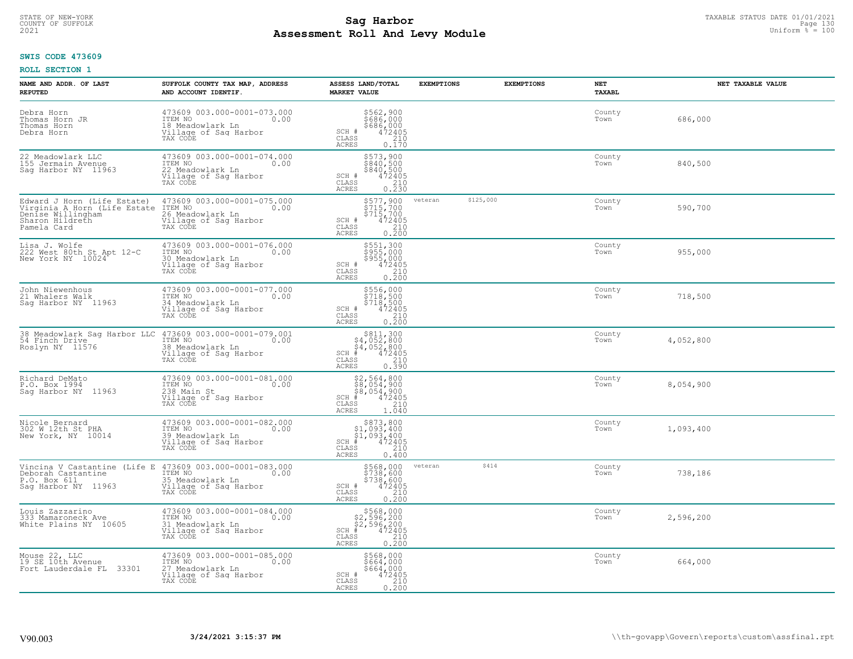# TAXABLE STATUS DATE 01/01/2021<br>COUNTY OF SUFFOLK Page 130 Page 130 **Assessment Roll And Levy Module Example 2021** Uniform  $\frac{1}{8}$  = 100

#### **SWIS CODE 473609**

| NAME AND ADDR. OF LAST<br><b>REPUTED</b>                                                                           | SUFFOLK COUNTY TAX MAP, ADDRESS<br>AND ACCOUNT IDENTIF.                                                 | ASSESS LAND/TOTAL<br><b>MARKET VALUE</b>                                                                                | <b>EXEMPTIONS</b>    | <b>EXEMPTIONS</b> | NET<br><b>TAXABL</b> | NET TAXABLE VALUE |
|--------------------------------------------------------------------------------------------------------------------|---------------------------------------------------------------------------------------------------------|-------------------------------------------------------------------------------------------------------------------------|----------------------|-------------------|----------------------|-------------------|
| Debra Horn<br>Thomas Horn JR<br>Thomas Horn<br>Debra Horn                                                          | 473609 003.000-0001-073.000<br>TTEM NO 0.00<br>18 Meadowlark Ln<br>Village of Sag Harbor<br>TAX CODE    | \$562,900<br>\$686,000<br>\$686,000<br>\$472405<br>\$410<br>SCH #<br>CLASS<br>ACRES<br>0.170                            |                      |                   | County<br>Town       | 686,000           |
| 22 Meadowlark LLC<br>155 Jermain Avenue<br>Saq Harbor NY 11963                                                     | 473609 003.000-0001-074.000<br>ITEM NO<br>0.00<br>22 Meadowlark Ln<br>Village of Sag Harbor<br>TAX CODE | \$573,900<br>\$840,500<br>\$840,500<br>472405<br>210<br>SCH #<br>CLASS<br><b>ACRES</b><br>0.230                         |                      |                   | County<br>Town       | 840,500           |
| Edward J Horn (Life Estate)<br>Virginia A Horn (Life Estate<br>Denise Willingham<br>Sharon Hildreth<br>Pamela Card | 473609 003.000-0001-075.000<br>ITEM NO<br>0.00<br>26 Meadowlark Ln<br>Village of Sag Harbor<br>TAX CODE | \$577,900<br>\$715,700<br>\$715,700<br>$\frac{1}{4}72\frac{3}{4}05$<br>210<br>SCH #<br>CLASS<br>0.200<br><b>ACRES</b>   | \$125,000<br>veteran |                   | County<br>Town       | 590,700           |
| Lisa J. Wolfe<br>222 West 80th St Apt 12-C<br>New York NY 10024                                                    | 473609 003.000-0001-076.000<br>ITEM NO<br>0.00<br>30 Meadowlark Ln<br>Village of Sag Harbor<br>TAX CODE | \$551,300<br>\$955,000<br>\$955,000<br>SCH #<br>$\frac{472405}{210}$<br>CLASS<br>ACRES<br>0.200                         |                      |                   | County<br>Town       | 955,000           |
| John Niewenhous<br>21 Whalers Walk<br>Saq Harbor NY 11963                                                          | 473609 003.000-0001-077.000<br>ITEM NO<br>0.00<br>34 Meadowlark Ln<br>Village of Sag Harbor<br>TAX CODE | \$556,000<br>\$718,500<br>\$718,500<br>SCH #<br>472405<br>CLASS<br>$\frac{210}{0.200}$<br>ACRES                         |                      |                   | County<br>Town       | 718,500           |
| 38 Meadowlark Saq Harbor LLC 473609 003.000-0001-079.001<br>54 Finch Drive<br>Roslyn NY 11576                      | ITEM NO<br>0.00<br>38 Meadowlark Ln<br>Village of Sag Harbor<br>TAX CODE                                | $$811,300\n$4,052,800\n$4,052,800\n# 472405\n85\n210$<br>$SCH$ #<br>CLASS<br>ACRES<br>0.390                             |                      |                   | County<br>Town       | 4,052,800         |
| Richard DeMato<br>P.O. Box 1994<br>Saq Harbor NY 11963                                                             | 473609 003.000-0001-081.000<br>ITEM NO<br>0.00<br>238 Main St<br>Village of Sag Harbor<br>TAX CODE      | $$2,564,800$<br>$$8,054,900$<br>$$8,054,900$<br>$SCH$ #<br>472405<br>210<br>CLASS<br><b>ACRES</b><br>1.040              |                      |                   | County<br>Town       | 8,054,900         |
| Nicole Bernard<br>302 W 12th St PHA<br>New York, NY 10014                                                          | 473609 003.000-0001-082.000<br>ITEM NO<br>0.00<br>39 Meadowlark Ln<br>Village of Sag Harbor<br>TAX CODE | $$873,800$<br>$$1,093,400$<br>$$1,093,400$<br>$*1,093,400$<br>$*1,093,400$<br>$SCH$ #<br>CLASS<br>210<br>ACRES<br>0.400 |                      |                   | County<br>Town       | 1,093,400         |
| Vincina V Castantine (Life E<br>Deborah Castantine<br>P.O. Box 611<br>Saq Harbor NY 11963                          | 473609 003.000-0001-083.000<br>ITEM NO<br>0.00<br>35 Meadowlark Ln<br>Village of Sag Harbor<br>TAX CODE | \$568,000<br>\$738,600<br>\$738,600<br>\$738,600<br>SCH #<br>CLASS<br>0.200<br><b>ACRES</b>                             | \$414<br>veteran     |                   | County<br>Town       | 738,186           |
| Louis Zazzarino<br>333 Mamaroneck Ave<br>White Plains NY 10605                                                     | 473609 003.000-0001-084.000<br>ITEM NO<br>0.00<br>31 Meadowlark Ln<br>Village of Sag Harbor<br>TAX CODE | \$568,000<br>\$2,596,200<br>\$2,596,200<br>#472405<br>\$2,210<br>$SCH$ #<br>CLASS<br><b>ACRES</b><br>0.200              |                      |                   | County<br>Town       | 2,596,200         |
| Mouse 22, LLC<br>19 SE_10th Avenue<br>Fort Lauderdale FL<br>33301                                                  | 473609 003.000-0001-085.000<br>ITEM NO<br>0.00<br>27 Meadowlark Ln<br>Village of Sag Harbor<br>TAX CODE | \$568,000<br>\$664,000<br>\$664,000<br>472405<br>SCH #<br>210<br>CLASS<br><b>ACRES</b><br>0.200                         |                      |                   | County<br>Town       | 664,000           |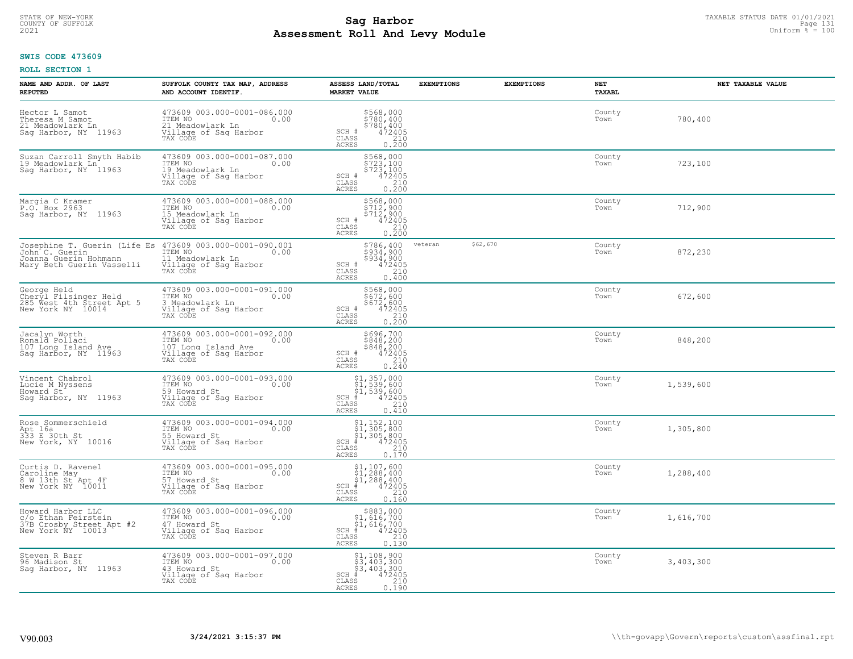# STATE OF NEW-YORK TAXABLE STATUS DATE 01/01/2021<br>COUNTY OF SUFFOLK Page 131 Page 131 **Assessment Roll And Levy Module Example 2021** Uniform  $\frac{1}{8}$  = 100

#### **SWIS CODE 473609**

| NAME AND ADDR. OF LAST<br><b>REPUTED</b>                                                             | SUFFOLK COUNTY TAX MAP, ADDRESS<br>AND ACCOUNT IDENTIF.                                                    | ASSESS LAND/TOTAL<br><b>MARKET VALUE</b>                                                                                | <b>EXEMPTIONS</b> | <b>EXEMPTIONS</b> | NET<br>TAXABL  | NET TAXABLE VALUE |
|------------------------------------------------------------------------------------------------------|------------------------------------------------------------------------------------------------------------|-------------------------------------------------------------------------------------------------------------------------|-------------------|-------------------|----------------|-------------------|
| Hector L Samot<br>Theresa M Samot<br>21 Meadowlark Ln<br>Sag Harbor, NY 11963                        | 473609 003.000-0001-086.000<br>ITEM NO<br>0.00<br>21 Meadowlark Ln<br>Village of Sag Harbor<br>TAX CODE    | \$568,000<br>\$780,400<br>\$780,400<br>472405<br>SCH #<br>CLASS<br>210<br>ACRES<br>0.200                                |                   |                   | County<br>Town | 780,400           |
| Suzan Carroll Smyth Habib<br>19 Meadowlark Ln<br>Sag Harbor, NY 11963                                | 473609 003.000-0001-087.000<br>ITEM NO<br>0.00<br>19 Meadowlark Ln<br>Village of Sag Harbor<br>TAX CODE    | \$568,000<br>\$723,100<br>\$723,100<br>472405<br>SCH #<br>CLASS<br>$\frac{210}{0.200}$<br>ACRES                         |                   |                   | County<br>Town | 723,100           |
| Margia C Kramer<br>P.O. Box 2963<br>Saq Harbor, NY 11963                                             | 473609 003.000-0001-088.000<br>ITEM NO<br>0.00<br>15 Meadowlark Ln<br>Village of Sag Harbor<br>TAX CODE    | \$568,000<br>\$712,900<br>$$7\bar{1}\bar{2}'$ ,900<br>472405<br>SCH #<br>CLASS<br>$\frac{210}{0.200}$<br>ACRES          |                   |                   | County<br>Town | 712,900           |
| Josephine T. Guerin (Life Es<br>John C. Guerin<br>Joanna Guerin Hohmann<br>Mary Beth Guerin Vasselli | 473609 003.000-0001-090.001<br>ITEM NO<br>0.00<br>11 Meadowlark Ln<br>Village of Sag Harbor<br>TAX CODE    | \$786,400<br>5934,900<br>$$934, 900$<br>472405<br>210<br>SCH #<br>CLASS<br>0.400<br><b>ACRES</b>                        | veteran           | \$62,670          | County<br>Town | 872,230           |
| George Held<br>Cheryl Filsinger Held<br>285 West 4th Street Apt 5<br>New York NY 10014               | 473609 003.000-0001-091.000<br>ITEM NO<br>0.00<br>3 Meadowlark Ln<br>Village of Saq Harbor<br>TAX CODE     | \$568,000<br>\$672,600<br>\$672,600<br>472405<br>SCH #<br>$\begin{array}{c} 210 \\ 0.200 \end{array}$<br>CLASS<br>ACRES |                   |                   | County<br>Town | 672,600           |
| Jacalyn Worth<br>Ronald Pollaci<br>107 Long Island Ave<br>Sag Harbor, NY 11963                       | 473609 003.000-0001-092.000<br>ITEM NO<br>107 Long Island Ave<br>0.00<br>Village of Sag Harbor<br>TAX CODE | \$696,700<br>\$848,200<br>\$848,200<br>472405<br>SCH #<br>$\mathtt{CLASS}$<br>210<br>0.240<br><b>ACRES</b>              |                   |                   | County<br>Town | 848,200           |
| Vincent Chabrol<br>Lucie M Nyssens<br>Howard St<br>Saq Harbor, NY 11963                              | 473609 003.000-0001-093.000<br>ITEM NO<br>0.00<br>59 Howard St<br>Village of Sag Harbor<br>TAX CODE        | \$1,357,000<br>\$1,539,600<br>\$1,539,600<br>$SCH$ #<br>472405<br>CLASS<br>210<br>0.410<br>ACRES                        |                   |                   | County<br>Town | 1,539,600         |
| Rose Sommerschield<br>Apt 16a<br>333 E 30th St<br>New York, NY 10016                                 | 473609 003.000-0001-094.000<br>TTEM NO 0.00<br>55 Howard St<br>Village of Saq Harbor<br>TAX CODE           | $$1, 152, 100$<br>$$1, 305, 800$<br>$$1, 305, 800$<br>$*$<br>$*$<br>$*$<br>$*$<br>SCH<br>CLASS<br>210<br>ACRES<br>0.170 |                   |                   | County<br>Town | 1,305,800         |
| Curtis D. Ravenel<br>Caroline May<br>8 W 13th St Apt 4F<br>New York NY 10011                         | 473609 003.000-0001-095.000<br>TTEM NO 0.00<br>57 Howard St<br>Village of Sag Harbor<br>TAX CODE           | $$1, 107, 600$<br>$$1, 288, 400$<br>$$1, 288, 400$<br>$*$ 472405<br>SCH<br>CLASS<br>210<br><b>ACRES</b><br>0.160        |                   |                   | County<br>Town | 1,288,400         |
| Howard Harbor LLC<br>c/o Ethan Feirstein<br>37B Crosby Street Apt #2<br>New York NY 10013            | 473609 003.000-0001-096.000<br>ITEM NO<br>0.00<br>47 Howard St<br>Village of Sag Harbor<br>TAX CODE        | $$883,000$<br>$$1,616,700$<br>$$1,616,700$<br>$$472405$<br>$SCH$ #<br>210<br>CLASS<br>ACRES<br>0.130                    |                   |                   | County<br>Town | 1,616,700         |
| Steven R Barr<br>96 Madison St<br>Saq Harbor, NY 11963                                               | 473609 003.000-0001-097.000<br>ITEM NO<br>0.00<br>43 Howard St<br>Village of Sag Harbor<br>TAX CODE        | \$1,108,900<br>\$3,403,300<br>\$3,403,300<br>472405<br>$SCH$ #<br>210<br>CLASS<br>ACRES<br>0.190                        |                   |                   | County<br>Town | 3,403,300         |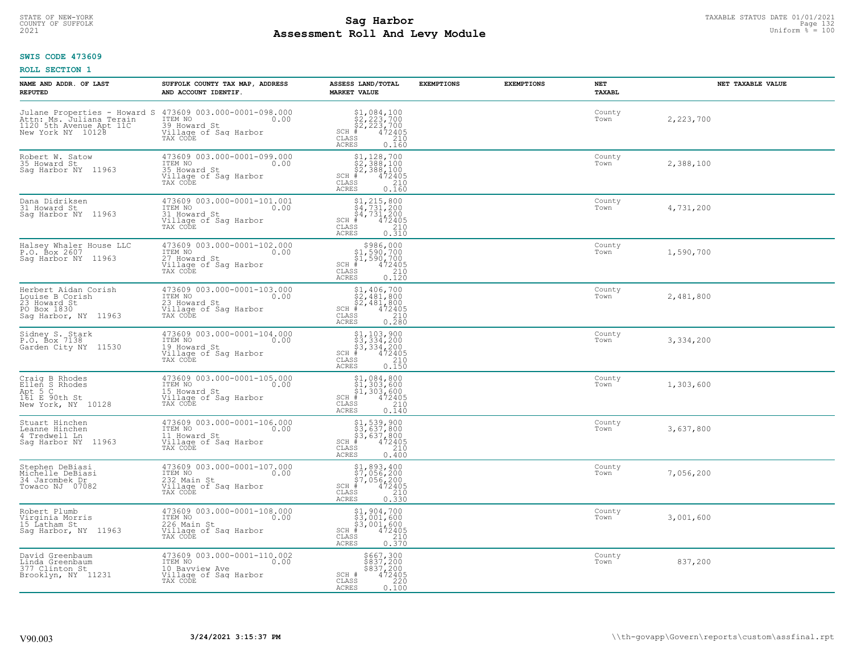# TAXABLE STATUS DATE 01/01/2021<br>COUNTY OF SUFFOLK Page 132 **Assessment Roll And Levy Module Example 2021** Uniform  $\frac{1}{8}$  = 100

#### **SWIS CODE 473609**

| NAME AND ADDR. OF LAST<br><b>REPUTED</b>                                                       | SUFFOLK COUNTY TAX MAP, ADDRESS<br>AND ACCOUNT IDENTIF.                                                                                                                                          | ASSESS LAND/TOTAL<br><b>MARKET VALUE</b>                                                                                                                                                                                                                                                                                                                                   | <b>EXEMPTIONS</b> | <b>EXEMPTIONS</b> | <b>NET</b><br><b>TAXABL</b> | NET TAXABLE VALUE |
|------------------------------------------------------------------------------------------------|--------------------------------------------------------------------------------------------------------------------------------------------------------------------------------------------------|----------------------------------------------------------------------------------------------------------------------------------------------------------------------------------------------------------------------------------------------------------------------------------------------------------------------------------------------------------------------------|-------------------|-------------------|-----------------------------|-------------------|
|                                                                                                | Julane Properties - Howard S 473609 003.000-0001-098.000<br>Attn: Ms. Juliana Terain ITEM NO 0.00<br>1120 5th Avenue Apt 11C 39 Howard St<br>New York NY 10128 Willage of Saq Harbor<br>TAX CODE | $$1,084,100$<br>$$2,223,700$<br>$$2,223,700$<br>$$472405$<br>$SCH$ $#$<br>CLASS<br>210<br><b>ACRES</b><br>0.160                                                                                                                                                                                                                                                            |                   |                   | County<br>Town              | 2,223,700         |
| Robert W. Satow<br>35 Howard St<br>Saq Harbor NY 11963                                         | 473609 003.000-0001-099.000<br>ITEM NO<br>0.00<br>35 Howard St<br>Village of Sag Harbor<br>TAX CODE                                                                                              | $\begin{array}{l} $1,128,700\\ $2,388,100\\ $2,388,100\\ * &472405\\ * &2240\\ * &220\\ * &220\\ * &220\\ * &220\\ * &220\\ * &220\\ * &220\\ * &220\\ * &220\\ * &220\\ * &220\\ * &220\\ * &220\\ * &220\\ * &220\\ * &220\\ * &220\\ * &220\\ * &220\\ * &220\\ * &220\\ * &220\\ * &220\\ * &220\\ * &220\\ * &220\\ * &220\\ * &$<br>SCH #<br>CLASS<br>ACRES<br>0.160 |                   |                   | County<br>Town              | 2,388,100         |
| Dana Didriksen<br>31 Howard St<br>Saq Harbor NY 11963                                          | 473609 003.000-0001-101.001<br>ITEM NO<br>0.00<br>31 Howard St<br>Village of Sag Harbor<br>TAX CODE                                                                                              | $$4, 731, 200$<br>$$4, 731, 200$<br>$$4, 731, 200$<br>$$4, 731, 200$<br>$$4, 72405$<br>$SCH$ #<br>210<br>CLASS<br>0.310<br>ACRES                                                                                                                                                                                                                                           |                   |                   | County<br>Town              | 4,731,200         |
| Halsey Whaler House LLC<br>P.O. Box 2607<br>Sag Harbor NY 11963                                | 473609 003.000-0001-102.000<br>ITEM NO<br>0.00<br>The Novard St<br>Village of Saq Harbor<br>TAX CODE                                                                                             | $$986,000$<br>$$1,590,700$<br>$$1,590,700$<br>$472405$<br>$$240$<br>$SCH$ #<br>CLASS<br>0.120<br><b>ACRES</b>                                                                                                                                                                                                                                                              |                   |                   | County<br>Town              | 1,590,700         |
| Herbert Aidan Corish<br>Louise B Corish<br>23 Howard St<br>PO Box 1830<br>Saq Harbor, NY 11963 | 473609 003.000-0001-103.000<br>ITEM NO<br>0.00<br>The Novard St<br>Village of Saq Harbor<br>TAX CODE                                                                                             | $\begin{array}{l} $1,406,700\\ $2,481,800\\ $2,481,800\\ $4,472405 \end{array}$<br>$SCH$ #<br>CLASS<br>210<br>0.280<br>ACRES                                                                                                                                                                                                                                               |                   |                   | County<br>Town              | 2,481,800         |
| Sidney S. Stark<br>P.O. Box 7138<br>Garden City NY 11530                                       | 473609 003.000-0001-104.000<br>TTEM NO 0.00<br>19 Howard St<br>Village of Sag Harbor<br>TAX CODE                                                                                                 | $\begin{array}{l} $1,103,900\\ $3,334,200\\ $3,334,200\\ $4,200\\ * \end{array}$<br>$SCH$ #<br>$\mathtt{CLASS}$<br>210<br>0.150<br>ACRES                                                                                                                                                                                                                                   |                   |                   | County<br>Town              | 3,334,200         |
| Craig B Rhodes<br>Ellen S Rhodes<br>Apt 5 C<br>161 E 90th St<br>New York, NY 10128             | 473609 003.000-0001-105.000<br>TTEM NO 0.00<br>15 Howard St<br>Uillage of Sag Harbor<br>Tillage of Sag Harbor<br>TAX CODE                                                                        | $$1, 084, 800$<br>$$1, 303, 600$<br>$$1, 303, 600$<br>$$472405$<br>SCH #<br>CLASS<br>210<br>0.140<br>ACRES                                                                                                                                                                                                                                                                 |                   |                   | County<br>Town              | 1,303,600         |
| Stuart Hinchen<br>Leanne Hinchen<br>4 Tredwell Ln<br>Saq Harbor NY 11963                       | 473609 003.000-0001-106.000<br>TTEM NO 0.00<br>11 Howard St<br>Village of Sag Harbor<br>TAX CODE                                                                                                 | \$1,539,900<br>\$3,637,800<br>\$3,637,800<br>#472405<br>$SCH$ #<br>CLASS<br>210<br>ACRES<br>0.400                                                                                                                                                                                                                                                                          |                   |                   | County<br>Town              | 3,637,800         |
| Stephen DeBiasi<br>Michelle DeBiasi<br>34 Jarombek Dr<br>Towaco NJ 07082                       | 473609 003.000-0001-107.000<br>ITEM NO 0.00<br>232 Main St<br>Village of Sag Harbor<br>TAX CODE                                                                                                  | \$1,893,400<br>\$7,056,200<br>\$7,056,200<br>$SCH$ #<br>472405<br>CLASS<br>210<br>ACRES<br>0.330                                                                                                                                                                                                                                                                           |                   |                   | County<br>Town              | 7,056,200         |
| Robert Plumb<br>Virginia Morris<br>15 Latham St<br>Sag Harbor, NY 11963                        | 473609 003.000-0001-108.000<br>ITEM NO<br>226 Main St<br>0.00<br>Village of Sag Harbor<br>TAX CODE                                                                                               | $\begin{array}{l} \texttt{\$1,904,700}\ \\ \texttt{\$3,001,600}\ \\ \texttt{\$3,001,600}\ \\ \texttt{\$4\,72405}\ \\ \texttt{\$s$} \end{array}$<br>$SCH$ #<br>CLASS<br>ACRES                                                                                                                                                                                               |                   |                   | County<br>Town              | 3,001,600         |
| David Greenbaum<br>Linda Greenbaum<br>377 Clinton St<br>Brooklyn, NY 11231                     | 473609 003.000-0001-110.002<br>ITEM NO<br>10 Bayview Ave<br>0.00<br>Village of Sag Harbor<br>TAX CODE                                                                                            | \$667,300<br>\$837,200<br>\$837,200<br>SCH #<br>472405<br>CLASS<br>220<br>ACRES<br>0.100                                                                                                                                                                                                                                                                                   |                   |                   | County<br>Town              | 837,200           |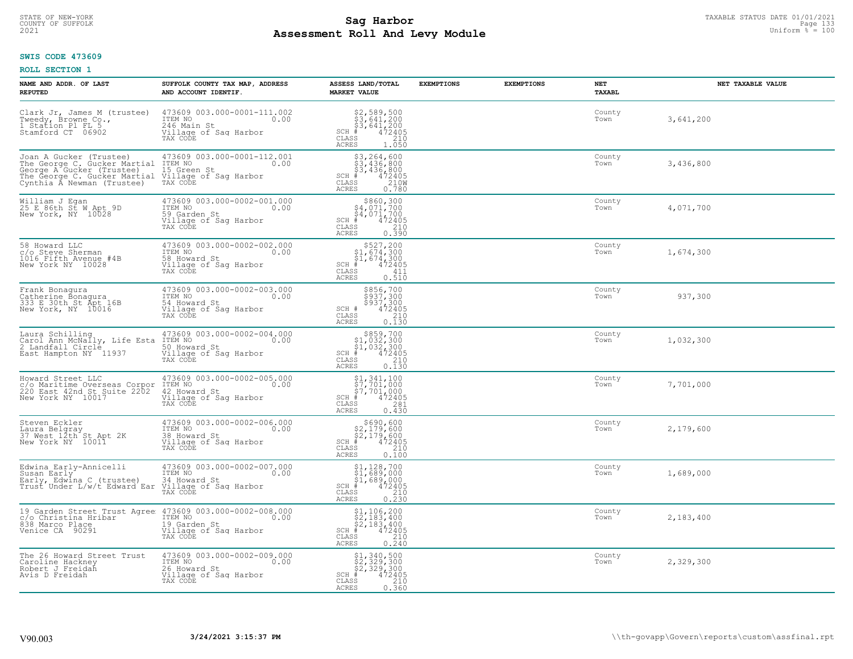# TAXABLE STATUS DATE 01/01/2021<br>COUNTY OF SUFFOLK Page 133 **Assessment Roll And Levy Module Example 2021** Uniform  $\frac{1}{8}$  = 100

#### **SWIS CODE 473609**

| NAME AND ADDR. OF LAST<br><b>REPUTED</b>                                                                                                           | SUFFOLK COUNTY TAX MAP, ADDRESS<br>AND ACCOUNT IDENTIF.                                             | ASSESS LAND/TOTAL<br><b>MARKET VALUE</b>                                                                                                           | <b>EXEMPTIONS</b> | <b>EXEMPTIONS</b> | <b>NET</b><br>TAXABL | NET TAXABLE VALUE |
|----------------------------------------------------------------------------------------------------------------------------------------------------|-----------------------------------------------------------------------------------------------------|----------------------------------------------------------------------------------------------------------------------------------------------------|-------------------|-------------------|----------------------|-------------------|
| Clark Jr, James M (trustee)<br>Tweedy, Browne Co.,<br>1 Station Pl FL 5<br>Stamford CT 06902                                                       | 473609 003.000-0001-111.002<br>ITEM NO<br>0.00<br>246 Main St<br>Village of Sag Harbor<br>TAX CODE  | $$2,589,500$<br>$$3,641,200$<br>$$3,641,200$<br>$$472405$<br>$SCH$ #<br>CLASS<br>210<br>ACRES<br>1.050                                             |                   |                   | County<br>Town       | 3,641,200         |
| Joan A Gucker (Trustee)<br>The George C. Gucker Martial<br>George A Gucker (Trustee)<br>The George C. Gucker Martial<br>Cynthia À Newman (Trustee) | 473609 003.000-0001-112.001<br>ITEM NO<br>0.00<br>15 Green St<br>Village of Sag Harbor<br>TAX CODE  | \$3,264,600<br>\$3,436,800<br>\$3,436,800<br># 472405<br>\$5 210M<br>$SCH$ #<br>CLASS<br>0.780<br>ACRES                                            |                   |                   | County<br>Town       | 3,436,800         |
| William J Egan<br>25 E 86th St W Apt 9D<br>New York, NY 10028                                                                                      | 473609 003.000-0002-001.000<br>ITEM NO<br>0.00<br>59 Garden St<br>Village of Sag Harbor<br>TAX CODE | $$860, 300$<br>$$4, 071, 700$<br>$$4, 071, 700$<br>$*$ $472405$<br>$SCH$ #<br>$\begin{array}{c} 210 \\ 0.390 \end{array}$<br>CLASS<br><b>ACRES</b> |                   |                   | County<br>Town       | 4,071,700         |
| 58 Howard LLC<br>c/o Steve Sherman<br>1016 Fifth Avenue #4B<br>New York NY 10028                                                                   | 473609 003.000-0002-002.000<br>ITEM NO<br>0.00<br>58 Howard St<br>Village of Sag Harbor<br>TAX CODE | $$527, 200$<br>$$1, 674, 300$<br>$$1, 674, 300$<br>$$472405$<br>$SCH$ #<br>CLASS<br>411<br><b>ACRES</b><br>0.510                                   |                   |                   | County<br>Town       | 1,674,300         |
| Frank Bonagura<br>Catherine Bonagura<br>333 E 30th St Apt 16B<br>New York, NY 10016                                                                | 473609 003.000-0002-003.000<br>ITEM NO<br>0.00<br>54 Howard St<br>Village of Sag Harbor<br>TAX CODE | \$856,700<br>\$937,300<br>\$937,300<br>472405<br>SCH #<br>CLASS<br>$\begin{array}{c} 210 \\ 0.130 \end{array}$<br>ACRES                            |                   |                   | County<br>Town       | 937,300           |
| Laura Schilling<br>Carol Ann McNally, Life Esta<br>2 Landfall Circle<br>East Hampton NY 11937                                                      | 473609 003.000-0002-004.000<br>ITEM NO<br>0.00<br>50 Howard St<br>Village of Sag Harbor<br>TAX CODE | $$859,700$<br>$$1,032,300$<br>$$1,032,300$<br>$$472405$<br>$SCH$ #<br>CLASS<br>210<br>0.130<br>ACRES                                               |                   |                   | County<br>Town       | 1,032,300         |
| Howard Street LLC<br>c/o Maritime Overseas Corpor<br>220 East 42nd St Suite 2202<br>New York NY 10017                                              | 473609 003.000-0002-005.000<br>0.00<br>ITEM NO<br>42 Howard St<br>Village of Sag Harbor<br>TAX CODE | $$1,341,100$<br>$$7,701,000$<br>$$7,701,000$<br>$SCH$ #<br>472405<br>CLASS<br>281<br>0.430<br>ACRES                                                |                   |                   | County<br>Town       | 7,701,000         |
| Steven Eckler<br>Laura Belgray<br>37 West 12th St Apt 2K<br>New York NY 10011                                                                      | 473609 003.000-0002-006.000<br>TTEM NO 0.00<br>38 Howard St<br>Village of Sag Harbor<br>TAX CODE    | $$690, 600$<br>$$2,179, 600$<br>$$2,179, 600$<br>$$472405$<br>$$2,100$<br>$SCH$ #<br>CLASS<br><b>ACRES</b><br>0.100                                |                   |                   | County<br>Town       | 2,179,600         |
| Edwina Early-Annicelli<br>Susan Early<br>Early, Edwina C (trustee)<br>Trust Under L/w/t Edward Ear                                                 | 473609 003.000-0002-007.000<br>ITEM NO<br>0.00<br>34 Howard St<br>Village of Sag Harbor<br>TAX CODE | $$1, 128, 700$<br>$$1, 689, 000$<br>$$1, 689, 000$<br>$*$ $472405$<br>$SCH$ #<br>CLASS<br>210<br>0.230<br><b>ACRES</b>                             |                   |                   | County<br>Town       | 1,689,000         |
| 19 Garden Street Trust Agree 473609 003.000-0002-008.000<br>c/o Christina Hribar<br>838 Marco Place<br>Venice CA 90291                             | ITEM NO<br>0.00<br>19 Garden St<br>Village of Sag Harbor<br>TAX CODE                                | $$1, 106, 200$<br>$$2, 183, 400$<br>$$2, 183, 400$<br>$$472405$<br>$SCH$ #<br>210<br>CLASS<br>0.240<br><b>ACRES</b>                                |                   |                   | County<br>Town       | 2,183,400         |
| The 26 Howard Street Trust<br>Caroline Hackney<br>Robert J Freidah<br>Avis D Freidah                                                               | 473609 003.000-0002-009.000<br>ITEM NO<br>0.00<br>26 Howard St<br>Village of Sag Harbor<br>TAX CODE | \$1,340,500<br>\$2,329,300<br>\$2,329,300<br>$SCH$ #<br>472405<br>CLASS<br>210<br><b>ACRES</b><br>0.360                                            |                   |                   | County<br>Town       | 2,329,300         |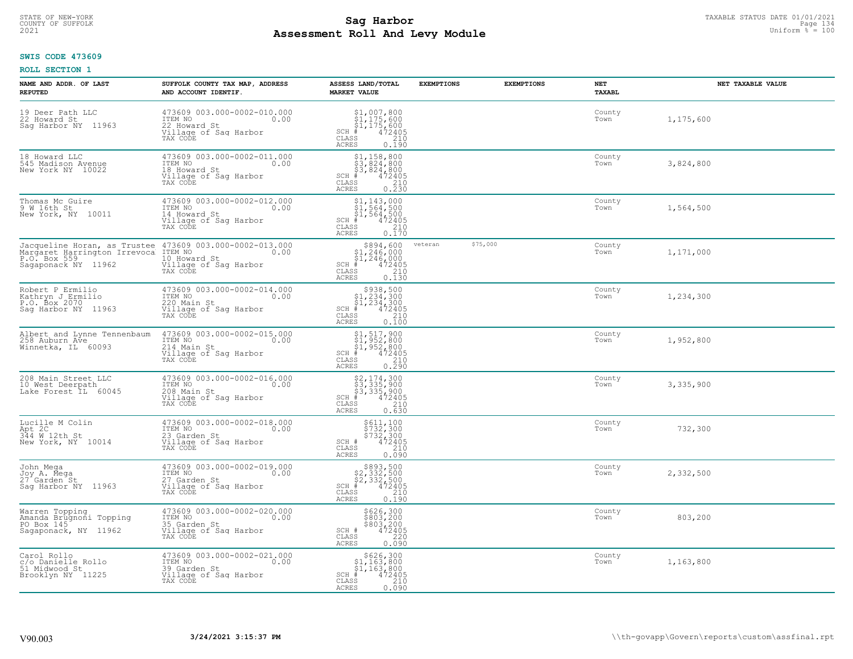# STATE OF NEW-YORK TAXABLE STATUS DATE 01/01/2021<br>COUNTY OF SUFFOLK Page 134 **Assessment Roll And Levy Module Example 2021** Uniform  $\frac{1}{8}$  = 100

#### **SWIS CODE 473609**

| NAME AND ADDR. OF LAST<br><b>REPUTED</b>                                                     | SUFFOLK COUNTY TAX MAP, ADDRESS<br>AND ACCOUNT IDENTIF.                                                                                                         | ASSESS LAND/TOTAL<br><b>MARKET VALUE</b>                                                                                                    | <b>EXEMPTIONS</b>   | <b>EXEMPTIONS</b> | NET<br>TAXABL  | NET TAXABLE VALUE |
|----------------------------------------------------------------------------------------------|-----------------------------------------------------------------------------------------------------------------------------------------------------------------|---------------------------------------------------------------------------------------------------------------------------------------------|---------------------|-------------------|----------------|-------------------|
| 19 Deer Path LLC<br>22 Howard St<br>Saq Harbor NY 11963                                      | 473609 003.000-0002-010.000<br>ITEM NO 0.00<br>22 Howard St<br>Village of Saq Harbor<br>TAX CODE                                                                | $$1,007,800$<br>$$1,175,600$<br>$$1,175,600$<br>$472405$<br>$$2,10$<br>$$2,10$<br>$SCH$ $#$<br>CLASS<br><b>ACRES</b><br>0.190               |                     |                   | County<br>Town | 1,175,600         |
| 18 Howard LLC<br>545 Madison Avenue<br>New York NY 10022                                     | 473609 003.000-0002-011.000<br>ITEM NO<br>18 Howard St<br>18 Howard St<br>Village of Sag Harbor<br>TAX CODE                                                     | $$1,158,800$<br>$$3,824,800$<br>$$3,824,800$<br>$$3,824,800$<br>$SCH$ #<br>472405<br>CLASS<br>$\frac{210}{0.230}$<br>ACRES                  |                     |                   | County<br>Town | 3,824,800         |
| Thomas Mc Guire<br>9 W 16th St<br>New York, NY 10011                                         | 473609 003.000-0002-012.000<br>ITEM NO 0.00<br>14 Howard St<br>Village of Sag Harbor<br>TAX CODE                                                                | \$1,143,000<br>$\begin{array}{r} 51,564,500 \\ 51,564,500 \\ +1,564,500 \\ +8,500 \end{array}$<br>$SCH$ #<br>CLASS<br>210<br>0.170<br>ACRES |                     |                   | County<br>Town | 1,564,500         |
| P.O. Box 559<br>Sagaponack NY 11962                                                          | Jacqueline Horan, as Trustee 473609 003.000-0002-013.000<br>Margaret Harrington Irrevoca ITEM NO 1.00 0.00<br>10 Howard St<br>Village of Sag Harbor<br>TAX CODE | \$894,600<br>$$1,246,000$<br>$$1,246,000$<br>$472405$<br>$SCH$ #<br>CLASS<br>$\frac{210}{0.130}$<br>ACRES                                   | \$75,000<br>veteran |                   | County<br>Town | 1,171,000         |
| Robert P Ermilio<br>Kathryn J Ermilio<br>P.O. Box 2070<br>Saq Harbor NY 11963                | 473609 003.000-0002-014.000<br>ITEM NO<br>0.00<br>220 Main St<br>Village of Saq Harbor<br>TAX CODE                                                              | $$938,500$<br>$$1,234,300$<br>$$1,234,300$<br>$$1,234,300$<br>$$472405$<br>$$210$<br>$SCH \#$<br>CLASS<br>0,100<br>ACRES                    |                     |                   | County<br>Town | 1,234,300         |
| Albert and Lynne Tennenbaum<br>258 Auburn Ave<br>Winnetka, IL 60093                          | 473609 003.000-0002-015.000<br>ITEM NO 0.00<br>$214$ Main St<br>Village of Sag Harbor<br>TAX CODE                                                               | \$1,517,900<br>\$1,952,800<br>\$1,952,800<br>\$4,952,800<br>$SCH$ #<br>$\frac{210}{0.290}$<br>CLASS<br><b>ACRES</b>                         |                     |                   | County<br>Town | 1,952,800         |
| 208 Main Street LLC<br>10 West Deerpath<br>Lake Forest IL 60045                              | 473609 003.000-0002-016.000<br>ITEM NO<br>208 Main St<br>Village of Sag Harbor<br>TAX CODE                                                                      | \$2,174,300<br>\$3,335,900<br>\$3,335,900<br>\$4,472405<br>$SCH$ #<br>CLASS<br>210<br>ACRES<br>0.630                                        |                     |                   | County<br>Town | 3,335,900         |
| Lucille M Colin<br>Apt 2C<br>344 W 12th St<br>New York, NY 10014                             | 473609 003.000-0002-018.000<br>ITEM NO 0.00<br>23 Garden St<br>Village of Sag Harbor<br>TAX CODE                                                                | \$611,100<br>\$732,300<br>\$732,300<br>472405<br>$SCH$ $#$<br>CLASS<br>210<br>ACRES<br>0.090                                                |                     |                   | County<br>Town | 732,300           |
| John Mega<br>Joy A. Mega<br>27 Garden St<br>Saq Harbor NY 11963                              | 473609 003.000-0002-019.000<br>ITEM NO 0.00<br>0.00<br>27 Garden St<br>Village of Sag Harbor<br>TAX CODE                                                        | $$893,500$<br>$$2,332,500$<br>$$2,332,500$<br>$$472495$<br>$SCH$ #<br>CLASS<br>210<br>ACRES<br>0.190                                        |                     |                   | County<br>Town | 2,332,500         |
| Warren Topping<br>Amanda Brugnoni Topping<br>PO Box 145 <sup>-</sup><br>Sagaponack, NY 11962 | 473609 003.000-0002-020.000<br>ITEM NO<br>0.00<br>35 Garden St<br>Village of Sag Harbor<br>TAX CODE                                                             | \$626,300<br>\$803,200<br>\$803,200<br>472405<br>SCH #<br>$-220$<br>CLASS<br><b>ACRES</b><br>0.090                                          |                     |                   | County<br>Town | 803,200           |
| Carol Rollo<br>c/o Danielle Rollo<br>51 Midwood St<br>Brooklyn NY 11225                      | 473609 003.000-0002-021.000<br>ITEM NO<br>0.00<br>39 Garden St<br>Village of Sag Harbor<br>TAX CODE                                                             | \$626,300<br>\$1,163,800<br>\$1,163,800<br>$SCH$ #<br>472405<br>CLASS<br>210<br>ACRES<br>0.090                                              |                     |                   | County<br>Town | 1,163,800         |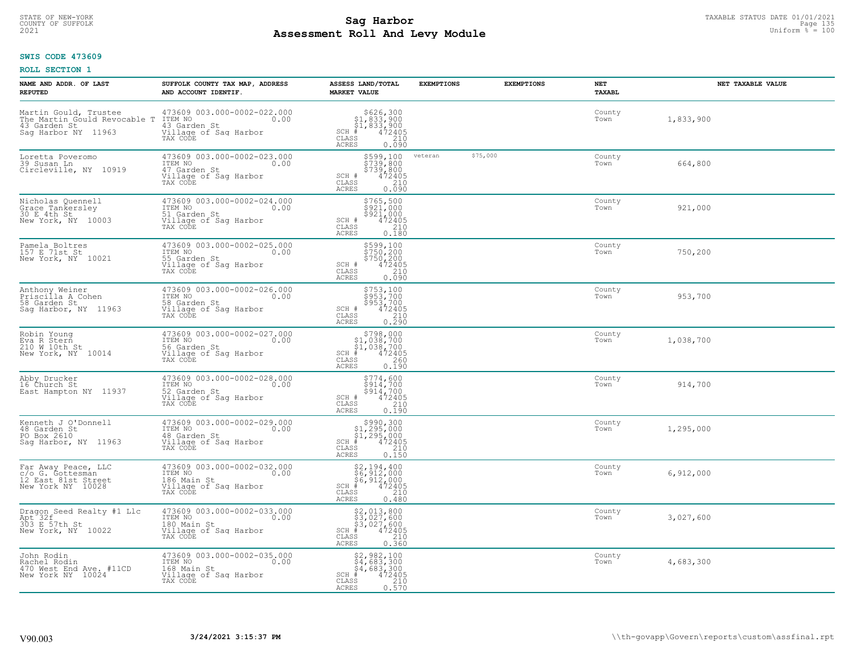# TAXABLE STATUS DATE 01/01/2021<br>COUNTY OF SUFFOLK Page 135 **Assessment Roll And Levy Module Example 2021** Uniform  $\frac{1}{8}$  = 100

#### **SWIS CODE 473609**

| NAME AND ADDR. OF LAST<br><b>REPUTED</b>                                                     | SUFFOLK COUNTY TAX MAP, ADDRESS<br>AND ACCOUNT IDENTIF.                                                        | ASSESS LAND/TOTAL<br><b>MARKET VALUE</b>                                                                                             | <b>EXEMPTIONS</b> | <b>EXEMPTIONS</b> | NET<br>TAXABL  | NET TAXABLE VALUE |
|----------------------------------------------------------------------------------------------|----------------------------------------------------------------------------------------------------------------|--------------------------------------------------------------------------------------------------------------------------------------|-------------------|-------------------|----------------|-------------------|
| Martin Gould, Trustee<br>The Martin Gould Revocable T<br>43 Garden St<br>Sag Harbor NY 11963 | 473609 003.000-0002-022.000<br>ITEM NO<br>0.00<br>-------<br>13 Garden St<br>Village of Sag Harbor<br>TAX CODE | $$626,300$<br>$$1,833,900$<br>$$1,833,900$<br>$472405$<br>$$210$<br>$$210$<br>$SCH$ #<br>CLASS<br><b>ACRES</b><br>0.090              |                   |                   | County<br>Town | 1,833,900         |
| Loretta Poveromo<br>39 Susan Ln<br>Circleville, NY 10919                                     | 473609 003.000-0002-023.000<br>ITEM NO<br>47 Garden St<br>0.00<br>Village of Sag Harbor<br>TAX CODE            | \$599,100<br>\$739,800<br>\$739,800<br>$\frac{472405}{210}$<br>SCH #<br>CLASS<br>0.090<br>ACRES                                      | veteran           | \$75,000          | County<br>Town | 664,800           |
| Nicholas Quennell<br>Grace Tankersley<br>30 E 4th St<br>New York, NY 10003                   | 473609 003.000-0002-024.000<br>ITEM NO<br>0.00<br>51 Garden St<br>Village of Sag Harbor<br>TAX CODE            | \$765,500<br>š921,000<br>\$921,000<br>SCH #<br>472405<br>210<br>CLASS<br>0.180<br>ACRES                                              |                   |                   | County<br>Town | 921,000           |
| Pamela Boltres<br>157 E 71st St<br>New York, NY 10021                                        | 473609 003.000-0002-025.000<br>ITEM NO<br>0.00<br>55 Garden St<br>Village of Sag Harbor<br>TAX CODE            | \$599,100<br>\$750,200<br>\$750,200<br>\$750,200<br>\$72405<br>\$210<br>\$210<br>SCH #<br>CLASS<br>ACRES                             |                   |                   | County<br>Town | 750,200           |
| Anthony Weiner<br>Priscilla A Cohen<br>58 Garden St<br>Sag Harbor, NY 11963                  | 473609 003.000-0002-026.000<br>ITEM NO<br>0.00<br>58 Garden St<br>Village of Saq Harbor<br>TAX CODE            | \$753,100<br>$$953,700$ $$953,700$ $472405$ $0.290$<br>SCH #<br>CLASS<br>ACRES                                                       |                   |                   | County<br>Town | 953,700           |
| Robin Young<br>Eva R Stern<br>210 W 10th St<br>New York, NY 10014                            | 473609 003.000-0002-027.000<br>ITEM NO<br>0.00<br>56 Garden St<br>Village of Sag Harbor<br>TAX CODE            | $$798,000$<br>$$1,038,700$<br>$$1,038,700$<br>$$472405$<br>$SCH$ #<br>CLASS<br>260<br>0.190<br><b>ACRES</b>                          |                   |                   | County<br>Town | 1,038,700         |
| Abby Drucker<br>16 Church St<br>East Hampton NY 11937                                        | 473609 003.000-0002-028.000<br>ITEM NO<br>0.00<br>52 Garden St<br>Village of Sag Harbor<br>TAX CODE            | \$774,600<br>\$914,700<br>\$914,700<br>472405<br>SCH #<br>CLASS<br>210<br>0.190<br>ACRES                                             |                   |                   | County<br>Town | 914,700           |
| Kenneth J O'Donnell<br>48 Garden St<br>PO Box 2610<br>Saq Harbor, NY 11963                   | 473609 003.000-0002-029.000<br>TTEM NO 0.00<br>48 Garden St<br>Village of Sag Harbor<br>TAX CODE               | $$990,300$<br>$$1,295,000$<br>$$1,295,000$<br>$*$ 472405<br>$SCH$ #<br>CLASS<br>210<br>ACRES<br>0.150                                |                   |                   | County<br>Town | 1,295,000         |
| Far Away Peace, LLC<br>c/o G. Gottesman<br>12 East 81st Street<br>New York NY 10028          | 473609 003.000-0002-032.000<br>TTEM NO 0.00<br>186 Main St<br>Village of Sag Harbor<br>TAX CODE                | $$2,194,400$<br>$$6,912,000$<br>$$6,912,000$<br>$$472405$<br>$SCH$ #<br>CLASS<br>210<br>ACRES<br>0.480                               |                   |                   | County<br>Town | 6,912,000         |
| Dragon Seed Realty #1 Llc<br>Apt 32f<br>303 E 57th St<br>New York, NY 10022                  | 473609 003.000-0002-033.000<br>ITEM NO<br>0.00<br>180 Main St<br>Village of Sag Harbor<br>TAX CODE             | \$2,013,800<br>\$3,027,600<br>\$3,027,600<br>#472405<br>$SCH$ #<br>210<br>CLASS<br><b>ACRES</b><br>0.360                             |                   |                   | County<br>Town | 3,027,600         |
| John Rodin<br>Rachel Rodin<br>470 West End Ave. #11CD<br>New York NY 10024                   | 473609 003.000-0002-035.000<br>ITEM NO<br>0.00<br>168 Main St<br>Village of Sag Harbor<br>TAX CODE             | $$2, 982, 100$<br>$$4, 683, 300$<br>$$4, 683, 300$<br>$$4, 683, 300$<br>$472405$<br>$SCH$ #<br>CLASS<br>$\frac{210}{0.570}$<br>ACRES |                   |                   | County<br>Town | 4,683,300         |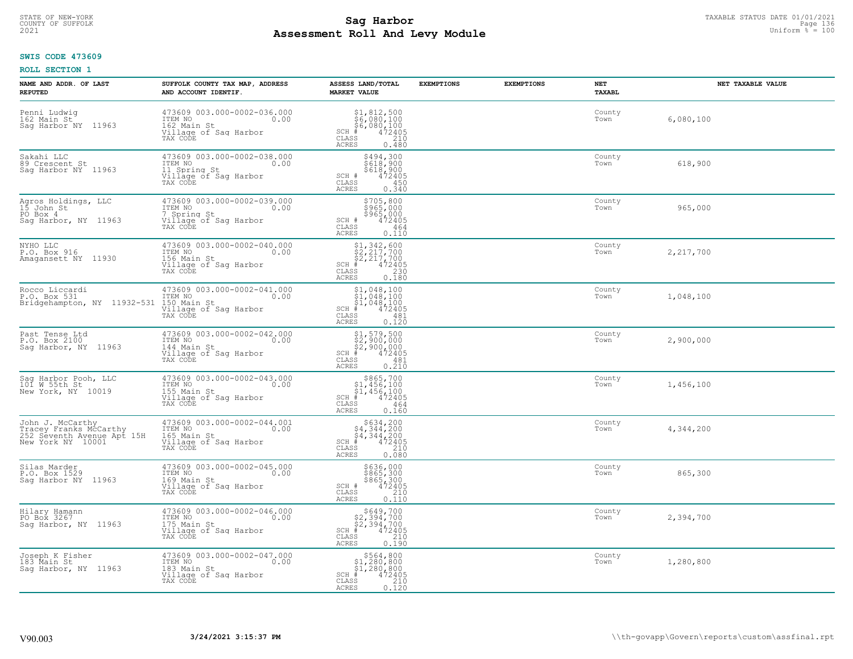# TAXABLE STATUS DATE 01/01/2021<br>COUNTY OF SUFFOLK Page 136 Page 136 **Assessment Roll And Levy Module Example 2021** Uniform  $\frac{1}{8}$  = 100

#### **SWIS CODE 473609**

| NAME AND ADDR. OF LAST<br><b>REPUTED</b>                                                      | SUFFOLK COUNTY TAX MAP, ADDRESS<br>AND ACCOUNT IDENTIF.                                               | ASSESS LAND/TOTAL<br><b>MARKET VALUE</b>                                                                                                    | <b>EXEMPTIONS</b><br><b>EXEMPTIONS</b> | NET<br>TAXABL  | NET TAXABLE VALUE |
|-----------------------------------------------------------------------------------------------|-------------------------------------------------------------------------------------------------------|---------------------------------------------------------------------------------------------------------------------------------------------|----------------------------------------|----------------|-------------------|
| Penni Ludwig<br>162 Main St<br>Saq Harbor NY 11963                                            | 473609 003.000-0002-036.000<br>ITEM NO 0.00<br>162 Main St<br>Village of Saq Harbor<br>TAX CODE       | $$51,812,500$<br>$$6,080,100$<br>$$6,080,100$<br>$472405$<br>ss $$210$<br>$SCH$ $#$<br>CLASS<br><b>ACRES</b><br>0.480                       |                                        | County<br>Town | 6,080,100         |
| Sakahi LLC<br>89 Crescent St<br>Sag Harbor NY 11963                                           | 473609 003.000-0002-038.000<br>ITEM NO 0.00<br>11 Spring St 0.00<br>Village of Sag Harbor<br>TAX CODE | \$494,300<br>\$618,900<br>\$618,900<br>$SCH$ $#$<br>472405<br>CLASS<br>450<br>ACRES<br>0.340                                                |                                        | County<br>Town | 618,900           |
| Agros Holdings, LLC<br>15 John St<br>PO Box 4<br>Saq Harbor, NY 11963                         | 473609 003.000-0002-039.000<br>ITEM NO 0.00<br>7 Spring St<br>Village of Sag Harbor<br>TAX CODE       | \$705,800<br>\$965,000<br>\$965,000<br>SCH #<br>472405<br>CLASS<br>464<br>0.110<br>ACRES                                                    |                                        | County<br>Town | 965,000           |
| NYHO LLC<br>P.O. Box 916<br>Amagansett NY 11930                                               | 473609 003.000-0002-040.000<br>ITEM NO 0.00<br>156 Main St<br>Village of Sag Harbor<br>TAX CODE       | $$1, 342, 600$<br>$$2, 217, 700$<br>$$2, 217, 700$<br>$$472405$<br>$SCH$ #<br>CLASS<br>$\begin{array}{c} 230 \\ 0.180 \end{array}$<br>ACRES |                                        | County<br>Town | 2,217,700         |
| Rocco Liccardi<br>P.O. Box 531<br>Bridgehampton, NY 11932-531 150 Main St                     | 473609 003.000-0002-041.000<br>ITEM NO<br>0.00<br>Village of Sag Harbor<br>TAX CODE                   | $$1,048,100$<br>$$1,048,100$<br>$$1,048,100$<br>$$1,048,100$<br>$$472405$<br>$SCH \#$<br>CLASS<br>481<br>ACRES<br>0.120                     |                                        | County<br>Town | 1,048,100         |
| Past Tense Ltd<br>P.O. Box 2100<br>Sag Harbor, NY 11963                                       | 473609 003.000-0002-042.000<br>ITEM NO 0.00<br>144 Main St<br>Village of Sag Harbor<br>TAX CODE       | \$1,579,500<br>\$2,900,000<br>\$2,900,000<br>#472405<br>$SCH$ #<br>481<br>CLASS<br><b>ACRES</b><br>0.210                                    |                                        | County<br>Town | 2,900,000         |
| Sag Harbor Pooh, LLC<br>101 W 55th St<br>New York, NY 10019                                   | 473609 003.000-0002-043.000<br>ITEM NO $0.00$<br>155 Main St<br>Village of Sag Harbor<br>TAX CODE     | \$865,700<br>$$1,456,100$<br>$$1,456,100$<br>$472405$<br>$SCH$ #<br>CLASS<br>464<br>0.160<br>ACRES                                          |                                        | County<br>Town | 1,456,100         |
| John J. McCarthy<br>Tracey Franks McCarthy<br>252 Seventh Avenue Apt 15H<br>New York NY 10001 | 473609 003.000-0002-044.001<br>ITEM NO.00<br>165 Main St<br>Village of Sag Harbor<br>TAX CODE         | $5634, 200$<br>$54, 344, 200$<br>$54, 344, 200$<br>$+4, 344, 200$<br>SCH ∯<br>CLASS<br>210<br>ACRES<br>0.080                                |                                        | County<br>Town | 4,344,200         |
| Silas Marder<br>P.O. Box 1529<br>Sag Harbor NY 11963                                          | 473609 003.000-0002-045.000<br>ITEM NO 0.00<br>169 Main St<br>Village of Sag Harbor<br>TAX CODE       | \$636,000<br>\$865,300<br>\$865,300<br>\$965,300<br>SCH #<br>CLASS<br>210<br>ACRES<br>0.110                                                 |                                        | County<br>Town | 865,300           |
| Hilary Hamann<br>PO Box 3267<br>Sag Harbor, NY 11963                                          | 473609 003.000-0002-046.000<br>ITEM NO<br>0.00<br>175 Main St<br>Village of Sag Harbor<br>TAX CODE    | $$649,700$<br>$$2,394,700$<br>$$2,394,700$<br>$*$<br>$472405$<br>$*$<br>$SCH$ #<br>CLASS<br>210<br><b>ACRES</b><br>0.190                    |                                        | County<br>Town | 2,394,700         |
| Joseph K Fisher<br>183 Main St<br>Sag Harbor, NY 11963                                        | 473609 003.000-0002-047.000<br>ITEM NO<br>183 Main St<br>Village of Sag Harbor<br>TAX CODE            | \$564,800<br>\$1,280,800<br>\$1,280,800<br>$SCH$ #<br>472405<br>CLASS<br>210<br>ACRES<br>0.120                                              |                                        | County<br>Town | 1,280,800         |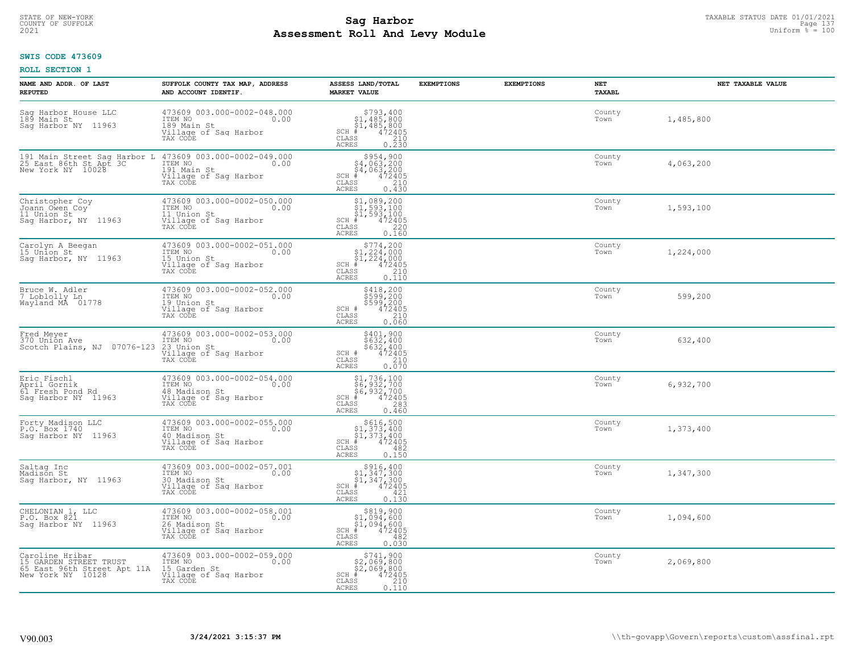# STATE OF NEW-YORK TAXABLE STATUS DATE 01/01/2021<br>COUNTY OF SUFFOLK Page 137 **Assessment Roll And Levy Module Example 2021** Uniform  $\frac{1}{8}$  = 100

#### **SWIS CODE 473609**

| NAME AND ADDR. OF LAST<br><b>REPUTED</b>                                                      | SUFFOLK COUNTY TAX MAP, ADDRESS<br>AND ACCOUNT IDENTIF.                                              | ASSESS LAND/TOTAL<br><b>MARKET VALUE</b>                                                                                                                                                              | <b>EXEMPTIONS</b> | <b>EXEMPTIONS</b> | <b>NET</b><br>TAXABL | NET TAXABLE VALUE |
|-----------------------------------------------------------------------------------------------|------------------------------------------------------------------------------------------------------|-------------------------------------------------------------------------------------------------------------------------------------------------------------------------------------------------------|-------------------|-------------------|----------------------|-------------------|
| Sag Harbor House LLC<br>189 Main St<br>Sag Harbor NY 11963                                    | 473609 003.000-0002-048.000<br>ITEM NO<br>0.00<br>189 Main St<br>Village of Sag Harbor<br>TAX CODE   | $\begin{array}{r}  \  \  \, 5793,400 \\  \  \, 51,485,800 \\  \  \, 51,485,800 \\  \  \  \, 4972405 \\  \  \, 85 \\  \  \  \, 85 \\  \  \, 0.230 \end{array}$<br>$SCH$ #<br>$\mathtt{CLASS}$<br>ACRES |                   |                   | County<br>Town       | 1,485,800         |
| 191 Main Street Sag Harbor L<br>25 East 86th St Apt 3C<br>New York NY 10028                   | 473609 003.000-0002-049.000<br>0.00 0.00<br>191 Main St<br>Village of Sag Harbor<br>TAX CODE         | $$954,900\n$4,063,200\n$4,063,200\n$4,063,200\n+ 472405$<br>SCH #<br>CLASS<br>$\begin{bmatrix} 210 \\ 0.430 \end{bmatrix}$<br>ACRES                                                                   |                   |                   | County<br>Town       | 4,063,200         |
| Christopher Coy<br>Joann Owen Coy<br>11 Union St<br>Saq Harbor, NY 11963                      | 473609 003.000-0002-050.000<br>ITEM NO<br>0.00<br>11 Union St<br>Village of Sag Harbor<br>TAX CODE   | $$1,089,200$<br>$$1,593,100$<br>$$1,593,100$<br>$472405$<br>$35$<br>$220$<br>$SCH$ #<br>CLASS<br>0.160<br><b>ACRES</b>                                                                                |                   |                   | County<br>Town       | 1,593,100         |
| Carolyn A Beegan<br>15 Union St<br>Sag Harbor, NY 11963                                       | 473609 003.000-0002-051.000<br>ITEM NO<br>0.00<br>15 Union St<br>Village of Saq Harbor<br>TAX CODE   | $$774, 200$<br>$$1, 224, 000$<br>$$1, 224, 000$<br>$472405$<br>$$240$<br>$$240$<br>$SCH$ #<br>CLASS<br>0.110<br><b>ACRES</b>                                                                          |                   |                   | County<br>Town       | 1,224,000         |
| Bruce W. Adler<br>7 Loblolly Ln<br>Wayland MA 01778                                           | 473609 003.000-0002-052.000<br>ITEM NO<br>0.00<br>19 Union St<br>Village of Saq Harbor<br>TAX CODE   | \$418,200<br>\$599,200<br>\$599,200<br>472405<br>SCH #<br>CLASS<br>210<br>0.060<br><b>ACRES</b>                                                                                                       |                   |                   | County<br>Town       | 599,200           |
| Fred Meyer<br>370 Union Ave<br>Scotch Plains, NJ 07076-123                                    | 473609 003.000-0002-053.000<br>ITEM NO<br>0.00<br>23 Union St<br>Village of Sag Harbor<br>TAX CODE   | \$401,900<br>\$632,400<br>\$632,400<br>472405<br>SCH #<br>CLASS<br>210<br>0.070<br><b>ACRES</b>                                                                                                       |                   |                   | County<br>Town       | 632,400           |
| Eric Fischl<br>April Gornik<br>61 Fresh Pond Rd<br>Saq Harbor NY 11963                        | 473609 003.000-0002-054.000<br>10.00 0.00<br>48 Madison St<br>Village of Sag Harbor<br>TAX CODE      | \$1,736,100<br>\$6,932,700<br>\$6,932,700<br>#472405<br>$SCH$ #<br>CLASS<br>283<br>0.460<br><b>ACRES</b>                                                                                              |                   |                   | County<br>Town       | 6,932,700         |
| Forty Madison LLC<br>P.O. Box 1740<br>Sag Harbor NY 11963                                     | 473609 003.000-0002-055.000<br>0.00 0.00<br>40 Madison St<br>Village of Sag Harbor<br>TAX CODE       | $SCH$ #<br>CLASS<br>482<br><b>ACRES</b><br>0.150                                                                                                                                                      |                   |                   | County<br>Town       | 1,373,400         |
| Saltag Inc<br>Madison St<br>Sag Harbor, NY 11963                                              | 473609 003.000-0002-057.001<br>ITEM NO 0.00<br>30 Madison St<br>Village of Saq Harbor<br>TAX CODE    | $\begin{array}{c} $916,400\n$1,347,300\n$1,347,300\n# 472405 \end{array}$<br>$SCH$ #<br>CLASS<br>421<br><b>ACRES</b><br>0.130                                                                         |                   |                   | County<br>Town       | 1,347,300         |
| CHELONIAN 1, LLC<br>P.O. Box 821<br>Sag Harbor NY 11963                                       | 473609 003.000-0002-058.001<br>ITEM NO<br>0.00<br>26 Madison St<br>Village of Sag Harbor<br>TAX CODE | \$819,900<br>$$1,094,600$<br>$$1,094,600$<br>$SCH$ #<br>472405<br>CLASS<br>482<br><b>ACRES</b><br>0.030                                                                                               |                   |                   | County<br>Town       | 1,094,600         |
| Caroline Hribar<br>15 GARDEN STREET TRUST<br>65 East 96th Street Apt 11A<br>New York NY 10128 | 473609 003.000-0002-059.000<br>ITEM NO<br>0.00<br>15 Garden St<br>Village of Sag Harbor<br>TAX CODE  | $$741,900$2,069,800$2,069,800$<br>$SCH$ #<br>472405<br>CLASS<br>210<br>0.110<br>ACRES                                                                                                                 |                   |                   | County<br>Town       | 2,069,800         |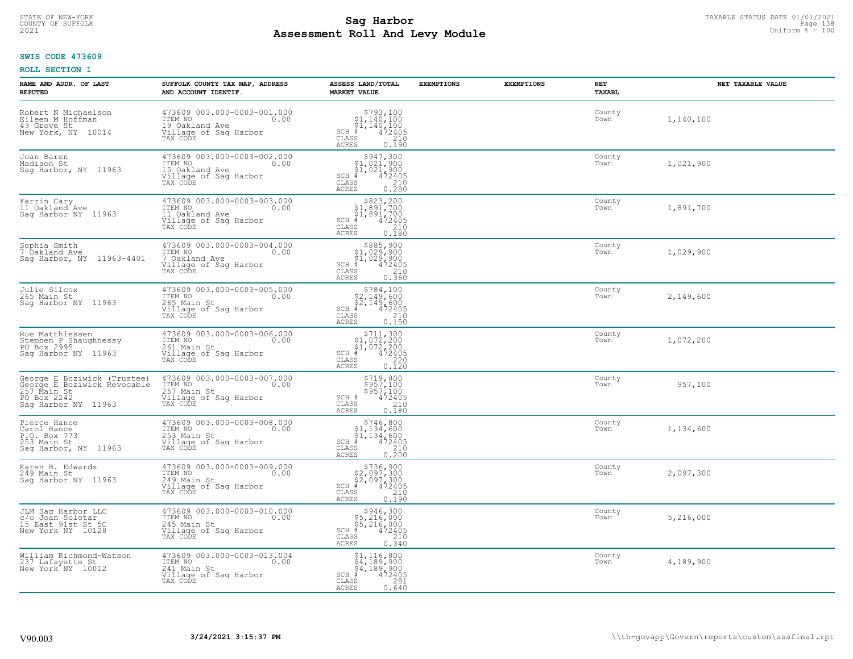# TAXABLE STATUS DATE 01/01/2021<br>COUNTY OF SUFFOLK Page 138 Page 138 **Assessment Roll And Levy Module Example 2021** Uniform  $\frac{1}{8}$  = 100

#### **SWIS CODE 473609**

| NAME AND ADDR. OF LAST<br><b>REPUTED</b>                                                                        | SUFFOLK COUNTY TAX MAP, ADDRESS<br>AND ACCOUNT IDENTIF.                                               | ASSESS LAND/TOTAL<br><b>MARKET VALUE</b>                                                                                                                                                                                                                                                                                                                                      | <b>EXEMPTIONS</b> | <b>EXEMPTIONS</b> | NET<br>TAXABL  | NET TAXABLE VALUE |
|-----------------------------------------------------------------------------------------------------------------|-------------------------------------------------------------------------------------------------------|-------------------------------------------------------------------------------------------------------------------------------------------------------------------------------------------------------------------------------------------------------------------------------------------------------------------------------------------------------------------------------|-------------------|-------------------|----------------|-------------------|
| Robert N Michaelson<br>Eileen M Hoffman<br>49 Grove St<br>New York, NY 10014                                    | 473609 003.000-0003-001.000<br>ITEM NO<br>0.00<br>19 Oakland Ave<br>Village of Sag Harbor<br>TAX CODE | $\begin{array}{r}  \  \  \, 5793,100 \\  \  \, 51,140,100 \\  \  \, 51,140,100 \\  \  \  \, 472405 \\  \  \, 35 \\  \  \  \, 210 \\  \  \, 0 \\  \  \, 240 \\  \  \, 0 \\  \  \, 0 \\  \  \, 0 \\  \  \, 0 \\  \  \, 0 \\  \  \, 0 \\  \  \, 0 \\  \  \, 0 \\  \  \, 0 \\  \  \, 0 \\  \  \, 0 \\  \  \, 0 \\  \  \, 0 \\  \  \$<br>$SCH$ #<br>CLASS<br><b>ACRES</b><br>0.190 |                   |                   | County<br>Town | 1,140,100         |
| Joan Baren<br>Madison St<br>Sag Harbor, NY 11963                                                                | 473609 003.000-0003-002.000<br>ITEM NO<br>0.00<br>15 Oakland Ave<br>Village of Sag Harbor<br>TAX CODE | $\begin{array}{c} $947,300 \\ $1,021,900 \\ $1,021,900 \end{array}$<br>$SCH$ #<br>472405<br>CLASS<br>$\begin{array}{c} 210 \\ 0.280 \end{array}$<br><b>ACRES</b>                                                                                                                                                                                                              |                   |                   | County<br>Town | 1,021,900         |
| Farrin Cary<br>11 Oakland <sup>-</sup> Ave<br>Sag Harbor NY 11963                                               | 473609 003.000-0003-003.000<br>ITEM NO<br>0.00<br>11 Oakland Ave<br>Village of Sag Harbor<br>TAX CODE | \$823,200<br>\$1,891,700<br>\$1,891,700<br>$SCH$ #<br>472405<br>CLASS<br>210<br><b>ACRES</b><br>0.180                                                                                                                                                                                                                                                                         |                   |                   | County<br>Town | 1,891,700         |
| Sophia Smith<br>7 Oakland Ave<br>Saq Harbor, NY 11963-4401                                                      | 473609 003.000-0003-004.000<br>ITEM NO<br>0.00<br>7 Oakland Ave<br>Village of Sag Harbor<br>TAX CODE  | $$885,900$<br>$$1,029,900$<br>$$1,029,900$<br>$$1,029,900$<br>$SCH$ #<br>$\begin{smallmatrix} 472405\ 472405\ 210\ 0.360 \end{smallmatrix}$<br>CLASS<br><b>ACRES</b>                                                                                                                                                                                                          |                   |                   | County<br>Town | 1,029,900         |
| Julie Silcox<br>265 Main St<br>Sag Harbor NY 11963                                                              | 473609 003.000-0003-005.000<br>ITEM NO<br>0.00<br>265 Main St<br>Village of Sag Harbor<br>TAX CODE    | \$784,100<br>$\begin{array}{r} 2,149,600 \\ 52,149,600 \\ *2,149,600 \\ *35 & 472405 \\ *55 & 210 \\ *50 & 0.150 \end{array}$<br>$SCH$ #<br>CLASS<br><b>ACRES</b>                                                                                                                                                                                                             |                   |                   | County<br>Town | 2,149,600         |
| Rue Matthiessen<br>Stephen P Shaughnessy<br>PO Box 2995<br>Saq Harbor NY 11963                                  | 473609 003.000-0003-006.000<br>ITEM NO<br>0.00<br>261 Main St<br>Village of Sag Harbor<br>TAX CODE    | $\begin{array}{c} $711,300 $1,072,200 $1,072,200 # 472405 \end{array}$<br>$SCH$ #<br>$\mathtt{CLASS}$<br>220<br>0.120<br><b>ACRES</b>                                                                                                                                                                                                                                         |                   |                   | County<br>Town | 1,072,200         |
| George E Boziwick (Trustee)<br>George E Boziwick Revocable<br>257 Main St<br>PO Box 2242<br>Sag Harbor NY 11963 | 473609 003.000-0003-007.000<br>ITEM NO<br>0.00<br>257 Main St<br>Village of Sag Harbor<br>TAX CODE    | \$719,800<br>\$957,100<br>\$957,100<br>472405<br>SCH #<br>$\mathtt{CLASS}$<br>210<br><b>ACRES</b><br>0.180                                                                                                                                                                                                                                                                    |                   |                   | County<br>Town | 957,100           |
| Pierce Hance<br>Carol Hance<br>P.O. Box 773<br>253 Main St<br>Sag Harbor, NY 11963                              | 473609 003.000-0003-008.000<br>TTEM NO 0.00<br>253 Main St<br>Village of Sag Harbor<br>TAX CODE       | $$746,800$<br>$$1,134,600$<br>$$1,134,600$<br>$$472405$<br>SCH #<br>CLASS<br>210<br><b>ACRES</b><br>0.200                                                                                                                                                                                                                                                                     |                   |                   | County<br>Town | 1,134,600         |
| Karen B. Edwards<br>249 Main St<br>Saq Harbor NY 11963                                                          | 473609 003.000-0003-009.000<br>ITEM NO 0.00<br>249 Main St<br>Village of Sag Harbor<br>TAX CODE       | $$736, 900$<br>$$2, 097, 300$<br>$$2, 097, 300$<br>$\stackrel{4}{*}$<br>$472405$<br>$SCH$ #<br>CLASS<br>210<br><b>ACRES</b><br>0.190                                                                                                                                                                                                                                          |                   |                   | County<br>Town | 2,097,300         |
| JLM Sag Harbor LLC<br>c/o Joan Solotar<br>15 East 91st St 5C<br>New York NY 10128                               | 473609 003.000-0003-010.000<br>ITEM NO<br>0.00<br>245 Main St<br>Village of Sag Harbor<br>TAX CODE    | $$5,216,000$<br>$$5,216,000$<br>$$5,216,000$<br>$\frac{4}{5}$<br>$472405$<br>$SCH$ #<br>CLASS<br>210<br><b>ACRES</b><br>0.340                                                                                                                                                                                                                                                 |                   |                   | County<br>Town | 5,216,000         |
| William Richmond-Watson<br>237 Lafayette St<br>New York <sup>-</sup> NY 10012                                   | 473609 003.000-0003-013.004<br>ITEM NO<br>0.00<br>241 Main St<br>Village of Sag Harbor<br>TAX CODE    | $$4,116,800$<br>$$4,189,900$<br>$$4,189,900$<br>472405<br>$SCH$ #<br>CLASS<br>281<br><b>ACRES</b><br>0.640                                                                                                                                                                                                                                                                    |                   |                   | County<br>Town | 4,189,900         |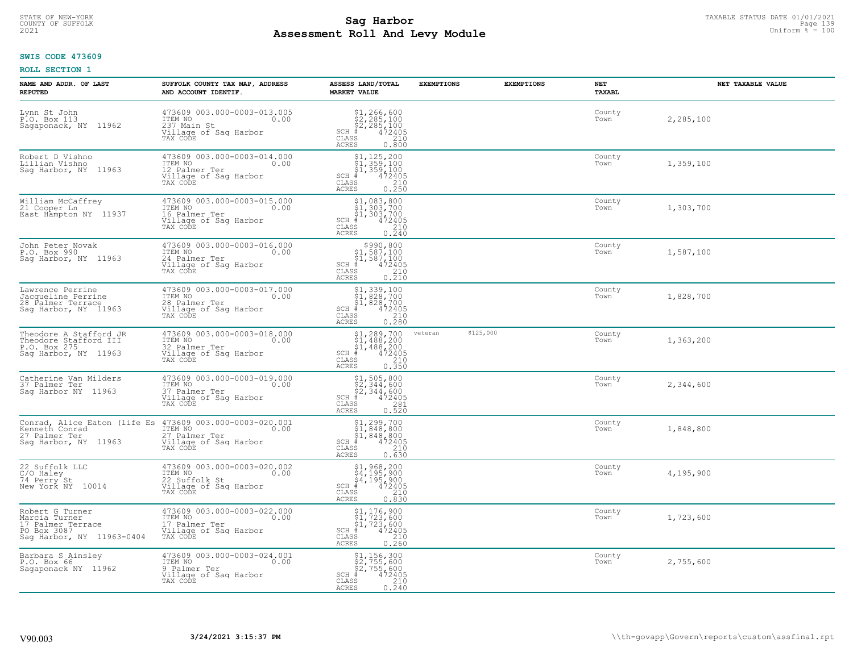# TAXABLE STATUS DATE 01/01/2021<br>COUNTY OF SUFFOLK Page 139 Page 139 **Assessment Roll And Levy Module Example 2021** Uniform  $\frac{1}{8}$  = 100

### **SWIS CODE 473609**

| NAME AND ADDR. OF LAST<br><b>REPUTED</b>                                                          | SUFFOLK COUNTY TAX MAP, ADDRESS<br>AND ACCOUNT IDENTIF.                                                                                       | ASSESS LAND/TOTAL<br><b>MARKET VALUE</b>                                                                                                                                                                                                                                                                                                                               | <b>EXEMPTIONS</b> | <b>EXEMPTIONS</b> | NET<br>TAXABL  | NET TAXABLE VALUE |
|---------------------------------------------------------------------------------------------------|-----------------------------------------------------------------------------------------------------------------------------------------------|------------------------------------------------------------------------------------------------------------------------------------------------------------------------------------------------------------------------------------------------------------------------------------------------------------------------------------------------------------------------|-------------------|-------------------|----------------|-------------------|
| Lynn St John<br>P.O. Box 113<br>Sagaponack, NY 11962                                              | 473609 003.000-0003-013.005<br>ITEM NO<br>0.00<br>237 Main St<br>Village of Sag Harbor<br>TAX CODE                                            | $\begin{array}{l} $1,266,600\\ $2,285,100\\ $2,285,100\\ *\\ 472405\\ *\\ 250\\ *\\ 210\\ *\\ 2240\\ *\\ 240\\ *\\ 250\\ *\\ 260\\ *\\ 280\\ *\\ 290\\ *\\ 290\\ *\\ 290\\ *\\ 290\\ *\\ 290\\ *\\ 290\\ *\\ 290\\ *\\ 290\\ *\\ 290\\ *\\ 290\\ *\\ 290\\ *\\ 290\\ *\\ 290\\ *\\ 290\\ *\\ 290\\ *\\ 290\\ *\\ 290\\ *$<br>$SCH$ #<br>CLASS<br><b>ACRES</b><br>0.800 |                   |                   | County<br>Town | 2,285,100         |
| Robert D Vishno<br>Lillian Vishno<br>Saq Harbor, NY 11963                                         | 473609 003.000-0003-014.000<br>ITEM NO<br>0.00<br>12 Palmer Ter<br>Village of Sag Harbor<br>TAX CODE                                          | $$1, 125, 200$<br>$$1, 359, 100$<br>$$1, 359, 100$<br>$$472495$<br>SCH #<br>CLASS<br>0.210<br>ACRES                                                                                                                                                                                                                                                                    |                   |                   | County<br>Town | 1,359,100         |
| William McCaffrey<br>21 Cooper Ln<br>East Hampton NY 11937                                        | 473609 003.000-0003-015.000<br>ITEM NO<br>0.00<br>16 Palmer Ter<br>Village of Sag Harbor<br>TAX CODE                                          | $$1, 083, 800$<br>$$1, 303, 700$<br>$$1, 303, 700$<br>$$472405$<br>$SCH$ #<br>CLASS<br>$\begin{array}{c} 210 \\ 0.240 \end{array}$<br><b>ACRES</b>                                                                                                                                                                                                                     |                   |                   | County<br>Town | 1,303,700         |
| John Peter Novak<br>P.O. Box 990<br>Saq Harbor, NY 11963                                          | 473609 003.000-0003-016.000<br>ITEM NO<br>0.00<br>24 Palmer Ter<br>Village of Sag Harbor<br>TAX CODE                                          | $$990,800\n$1,587,100\n$1,587,100\n# 472405\n35 210$<br>$SCH$ #<br>CLASS<br>0.210<br><b>ACRES</b>                                                                                                                                                                                                                                                                      |                   |                   | County<br>Town | 1,587,100         |
| Lawrence Perrine<br>Jacqueline Perrine<br>28 Palmer Terrace<br>Sag Harbor, NY 11963               | 473609 003.000-0003-017.000<br>ITEM NO<br>0.00<br>28 Palmer Ter<br>Village of Sag Harbor<br>TAX CODE                                          | \$1,339,100<br>\$1,828,700<br>\$1,828,700<br>$SCH$ #<br>$\frac{472405}{210}$<br>CLASS<br><b>ACRES</b><br>0.280                                                                                                                                                                                                                                                         |                   |                   | County<br>Town | 1,828,700         |
| Theodore A Stafford JR<br>Theodore Stafford III<br>P.O. Box 275<br>Saq Harbor, NY 11963           | 473609 003.000-0003-018.000<br>ITEM NO<br>0.00<br>32 Palmer Ter<br>Village of Sag Harbor<br>TAX CODE                                          | $$1,289,700$<br>$$1,488,200$<br>$$1,488,200$<br>$472405$<br>$$210$<br>$SCH$ #<br>CLASS<br>0.350<br><b>ACRES</b>                                                                                                                                                                                                                                                        | veteran           | \$125,000         | County<br>Town | 1,363,200         |
| Catherine Van Milders<br>37 Palmer Ter<br>Saq Harbor NY 11963                                     | 473609 003.000-0003-019.000<br>TTEM NO 0.00<br>37 Palmer Ter<br>Village of Sag Harbor<br>TAX CODE                                             | $$1, 505, 800$<br>$$2, 344, 600$<br>$$2, 344, 600$<br>$$472405$<br>$SCH$ #<br>CLASS<br>$\begin{array}{c} 281 \\ 0.520 \end{array}$<br><b>ACRES</b>                                                                                                                                                                                                                     |                   |                   | County<br>Town | 2,344,600         |
| 27 Palmer Ter<br>Sag Harbor, NY 11963                                                             | Conrad, Alice Eaton (life Es 473609 003.000-0003-020.001<br>Kenneth Conrad ITEM NO 0.00<br>27 Palmer Ter<br>Village of Saq Harbor<br>TAX CODE | \$1,299,700<br>\$1,848,800<br>\$1,848,800<br>$SCH$ #<br>472405<br>210<br>CLASS<br><b>ACRES</b><br>0.630                                                                                                                                                                                                                                                                |                   |                   | County<br>Town | 1,848,800         |
| 22 Suffolk LLC<br>C/O Haley<br>74 Perry St<br>New York NY 10014                                   | 473609 003.000-0003-020.002<br>ITEM NO<br>0.00<br>22 Suffolk St<br>Village of Saq Harbor<br>TAX CODE                                          | $$1,968,200$<br>$$4,195,900$<br>$$4,195,900$<br>$SCH$ #<br>472405<br>CLASS<br>210<br><b>ACRES</b><br>0.830                                                                                                                                                                                                                                                             |                   |                   | County<br>Town | 4,195,900         |
| Robert G Turner<br>Marcia Turner<br>17 Palmer Terrace<br>PO Box 3087<br>Sag Harbor, NY 11963-0404 | 473609 003.000-0003-022.000<br>ITEM NO<br>0.00<br>17 Palmer Ter<br>Village of Sag Harbor<br>TAX CODE                                          | \$1,176,900<br>\$1,723,600<br>\$1,723,600<br>#472405<br>$SCH$ #<br>CLASS<br>$\begin{array}{c} 210 \\ 0.260 \end{array}$<br><b>ACRES</b>                                                                                                                                                                                                                                |                   |                   | County<br>Town | 1,723,600         |
| Barbara S Ainsley<br>P.O. Box 66<br>Sagaponack NY 11962                                           | 473609 003.000-0003-024.001<br>ITEM NO<br>0.00<br>9 Palmer Ter<br>Village of Sag Harbor<br>TAX CODE                                           | \$1,156,300<br>\$2,755,600<br>\$2,755,600<br>#472405<br>SCH #<br>CLASS<br>0.210<br>ACRES                                                                                                                                                                                                                                                                               |                   |                   | County<br>Town | 2,755,600         |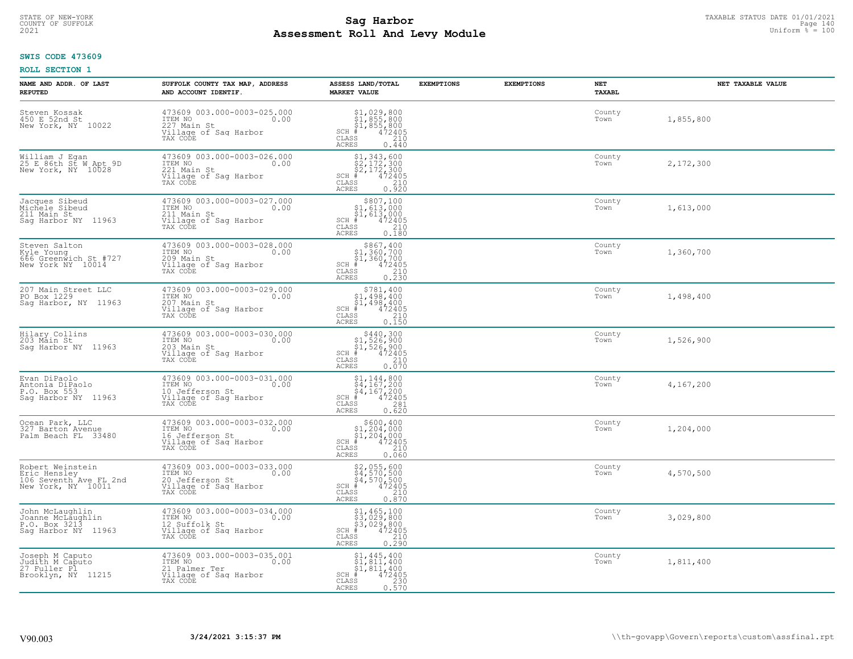# TAXABLE STATUS DATE 01/01/2021<br>COUNTY OF SUFFOLK Page 140 **Assessment Roll And Levy Module Example 2021** Uniform  $\frac{1}{8}$  = 100

#### **SWIS CODE 473609**

| NAME AND ADDR. OF LAST<br><b>REPUTED</b>                                         | SUFFOLK COUNTY TAX MAP, ADDRESS<br>AND ACCOUNT IDENTIF.                                                | ASSESS LAND/TOTAL<br><b>MARKET VALUE</b>                                                                                                                | <b>EXEMPTIONS</b> | <b>EXEMPTIONS</b> | NET<br>TAXABL  | NET TAXABLE VALUE |
|----------------------------------------------------------------------------------|--------------------------------------------------------------------------------------------------------|---------------------------------------------------------------------------------------------------------------------------------------------------------|-------------------|-------------------|----------------|-------------------|
| Steven Kossak<br>450 E 52nd St<br>New York, NY 10022                             | 473609 003.000-0003-025.000<br>ITEM NO<br>0.00<br>227 Main St<br>Village of Saq Harbor<br>TAX CODE     | $$1, 029, 800$<br>$$1, 855, 800$<br>$$1, 855, 800$<br>$472405$<br>$35$<br>$$210$<br>$SCH$ #<br>CLASS<br><b>ACRES</b><br>0.440                           |                   |                   | County<br>Town | 1,855,800         |
| William J Egan<br>25 E 86th St W Apt 9D<br>New York, NY 10028                    | 473609 003.000-0003-026.000<br>ITEM NO<br>0.00<br>221 Main St<br>Village of Sag Harbor<br>TAX CODE     | $$1, 343, 600$<br>$$2, 172, 300$<br>$$2, 172, 300$<br>$$472405$<br>$SCH$ #<br>CLASS<br>210<br>0.920<br><b>ACRES</b>                                     |                   |                   | County<br>Town | 2,172,300         |
| Jacques Sibeud<br>Michele Sibeud<br>211 Main St<br>Sag Harbor NY 11963           | 473609 003.000-0003-027.000<br>ITEM NO<br>0.00<br>211 Main St<br>Village of Sag Harbor<br>TAX CODE     | \$807,100<br>\$1,613,000<br>$\frac{1}{2}$ , $\frac{1}{2}$ , $\frac{1}{2}$ , $\frac{1}{2}$<br>$SCH$ #<br>472405<br>CLASS<br>210<br>0.180<br>ACRES        |                   |                   | County<br>Town | 1,613,000         |
| Steven Salton<br>Kyle Young<br>666 Greenwich St #727<br>New York NY 10014        | 473609 003.000-0003-028.000<br>ITEM NO<br>0.00<br>209 Main St<br>Village of Sag Harbor<br>TAX CODE     | \$867,400<br>\$1,360,700<br>\$1,360,700<br>$SCH$ #<br>$\begin{smallmatrix} 472405 \\ 472405 \\ 210 \\ 0.230 \end{smallmatrix}$<br>CLASS<br><b>ACRES</b> |                   |                   | County<br>Town | 1,360,700         |
| 207 Main Street LLC<br>PO Box 1229<br>Sag Harbor, NY 11963                       | 473609 003.000-0003-029.000<br>ITEM NO<br>0.00<br>207 Main St<br>Village of Saq Harbor<br>TAX CODE     | \$781,400<br>\$1,498,400<br>$\frac{1}{21}$ , 498, 400<br>$\frac{1}{4}$ , 498, 400<br>$\frac{210}{4}$<br>$SCH$ #<br>CLASS<br>0.150<br><b>ACRES</b>       |                   |                   | County<br>Town | 1,498,400         |
| Hilary Collins<br>203 Måin St<br>Saq Harbor NY 11963                             | 473609 003.000-0003-030.000<br>ITEM NO<br>0.00<br>203 Main St<br>Village of Sag Harbor<br>TAX CODE     | $$440,300$<br>$$1,526,900$<br>$$1,526,900$<br>$$472405$<br>$SCH$ #<br>CLASS<br>210<br>0.070<br><b>ACRES</b>                                             |                   |                   | County<br>Town | 1,526,900         |
| Evan DiPaolo<br>Antonia DiPaolo<br>P.O. Box 553<br>Saq Harbor NY 11963           | 473609 003.000-0003-031.000<br>ITEM NO<br>0.00<br>10 Jefferson St<br>Village of Sag Harbor<br>TAX CODE | $$1, 144, 800$<br>$$4, 167, 200$<br>$$4, 167, 200$<br>$$4, 167, 200$<br>$472405$<br>$SCH$ #<br>$\mathtt{CLASS}$<br>281<br><b>ACRES</b><br>0.620         |                   |                   | County<br>Town | 4,167,200         |
| Ocean Park, LLC<br>327 Barton Avenue<br>Palm Beach FL 33480                      | 473609 003.000-0003-032.000<br>16 Jefferson St<br>Village of Sag Harbor<br>TAX CODE                    | $$600, 400$<br>$$1, 204, 000$<br>$$1, 204, 000$<br>$*1, 204, 000$<br>$*1, 472405$<br>SCH #<br>CLASS<br>210<br><b>ACRES</b><br>0.060                     |                   |                   | County<br>Town | 1,204,000         |
| Robert Weinstein<br>Eric Hensley<br>106 Seventh Ave FL 2nd<br>New York, NY 10011 | 473609 003.000-0003-033.000<br>TTEM NO 0.00<br>20 Jefferson St<br>Village of Sag Harbor<br>TAX CODE    | $$2,055,600$<br>$$4,570,500$<br>$$4,570,500$<br>$$4,570,500$<br>$$4,72405$<br>$SCH$ #<br>CLASS<br>210<br><b>ACRES</b><br>0.870                          |                   |                   | County<br>Town | 4,570,500         |
| John McLaughlin<br>Joanne McLaughlin<br>P.O. Box 3213<br>Saq Harbor NY 11963     | 473609 003.000-0003-034.000<br>ITEM NO<br>0.00<br>12 Suffolk St<br>Village of Sag Harbor<br>TAX CODE   | \$1,465,100<br>$\begin{array}{r} 53,029,800 \\ 53,029,800 \\ +242405 \end{array}$<br>$SCH$ #<br>CLASS<br>210<br><b>ACRES</b><br>0.290                   |                   |                   | County<br>Town | 3,029,800         |
| Joseph M Caputo<br>Judith M Caputo<br>27 Fuller Pl<br>Brooklyn, NY 11215         | 473609 003.000-0003-035.001<br>ITEM NO<br>0.00<br>21 Palmer Ter<br>Village of Sag Harbor<br>TAX CODE   | $$1,445,400$<br>$$1,811,400$<br>\$1,811,400<br>$SCH$ #<br>472405<br>230<br>CLASS<br><b>ACRES</b><br>0.570                                               |                   |                   | County<br>Town | 1,811,400         |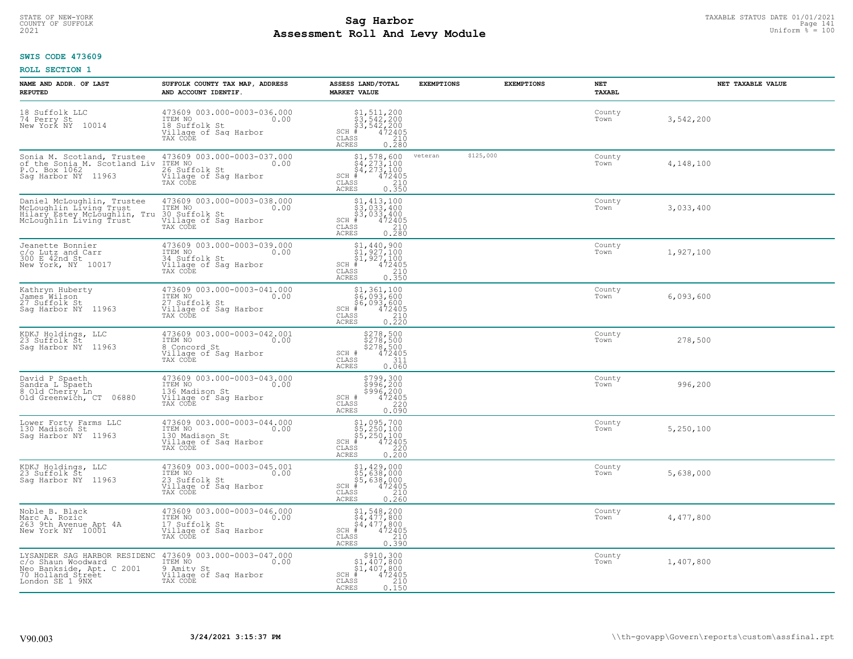#### **Sag Harbor** TAXABLE STATUS DATE 01/01/2021<br>Pall and Louis Module **Assessment Roll And Levy Module Example 2021** Uniform  $\frac{1}{8}$  = 100 COUNTY OF SUFFOLK Page 141

### **SWIS CODE 473609**

| NAME AND ADDR. OF LAST<br><b>REPUTED</b>                                                                                | SUFFOLK COUNTY TAX MAP, ADDRESS<br>AND ACCOUNT IDENTIF.                                               | ASSESS LAND/TOTAL<br><b>MARKET VALUE</b>                                                                                                                          | <b>EXEMPTIONS</b> | <b>EXEMPTIONS</b> | NET<br><b>TAXABL</b> | NET TAXABLE VALUE |
|-------------------------------------------------------------------------------------------------------------------------|-------------------------------------------------------------------------------------------------------|-------------------------------------------------------------------------------------------------------------------------------------------------------------------|-------------------|-------------------|----------------------|-------------------|
| 18 Suffolk LLC<br>74 Perry St<br>New York NY<br>10014                                                                   | 473609 003.000-0003-036.000<br>ITEM NO<br>0.00<br>18 Suffolk St<br>Village of Sag Harbor<br>TAX CODE  | $$1, 511, 200$<br>$$3, 542, 200$<br>$$3, 542, 200$<br>$472405$<br>$$240$<br>$SCH$ #<br>CLASS<br><b>ACRES</b><br>0.280                                             |                   |                   | County<br>Town       | 3,542,200         |
| Sonia M. Scotland, Trustee 473609<br>of the Sonia M. Scotland Liv ITEM NO<br>P.O. Box 1062<br>Sag Harbor NY 11963       | 473609 003.000-0003-037.000<br>0.00<br>26 Suffolk St<br>Village of Sag Harbor<br>TAX CODE             | $$1, 578, 600$<br>$$4, 273, 100$<br>$$4, 273, 100$<br>$$4, 273, 100$<br>$472405$<br>SCH #<br>CLASS<br>$\begin{array}{c} 210 \\ 0.350 \end{array}$<br><b>ACRES</b> | veteran           | \$125,000         | County<br>Town       | 4,148,100         |
| Daniel McLoughlin, Trustee<br>McLoughlin Living Trust<br>Hilarý Estey McLoughlin, Tru<br>McLoughlin Living Trust        | 473609 003.000-0003-038.000<br>ITEM NO<br>0.00<br>30 Suffolk St<br>Village of Sag Harbor<br>TAX CODE  | $$3, 413, 100$<br>$$3, 033, 400$<br>$$3, 033, 400$<br>$$472405$<br>SCH #<br>CLASS<br>$\frac{210}{0.280}$<br><b>ACRES</b>                                          |                   |                   | County<br>Town       | 3,033,400         |
| Jeanette Bonnier<br>c/o Lutz and Carr<br>300 E 42nd St<br>New York, NY 10017                                            | 473609 003.000-0003-039.000<br>ITEM NO<br>0.00<br>34 Suffolk St<br>Village of Sag Harbor<br>TAX CODE  | $$1,440,900$<br>$$1,927,100$<br>$$1,927,100$<br>$472405$<br>$$210$<br>$SCH$ #<br>CLASS<br><b>ACRES</b><br>0.350                                                   |                   |                   | County<br>Town       | 1,927,100         |
| Kathryn Huberty<br>James Wilson<br>27 Suffolk St<br>Saq Harbor NY 11963                                                 | 473609 003.000-0003-041.000<br>ITEM NO<br>0.00<br>27 Suffolk St<br>Village of Saq Harbor<br>TAX CODE  | $$1,361,100$<br>$$6,093,600$<br>$$6,093,600$<br>$472405$<br>$35$<br>$210$<br>SCH #<br>CLASS<br>0.220<br><b>ACRES</b>                                              |                   |                   | County<br>Town       | 6,093,600         |
| KDKJ Holdings, LLC<br>23 Suffolk St<br>Sag Harbor NY 11963                                                              | 473609 003.000-0003-042.001<br>ITEM NO<br>0.00<br>8 Concord St<br>Village of Sag Harbor<br>TAX CODE   | \$278,500<br>\$278,500<br>\$278,500<br>\$278,500<br>SCH #<br>CLASS<br>311<br>0.060<br><b>ACRES</b>                                                                |                   |                   | County<br>Town       | 278,500           |
| David P Spaeth<br>Sandra L Spaeth<br>8 Old Cherry Ln<br>Old Greenwich, CT 06880                                         | 473609 003.000-0003-043.000<br>ITEM NO<br>0.00<br>136 Madison St<br>Village of Sag Harbor<br>TAX CODE | \$799,300<br>\$996,200<br>\$996,200<br>\$996,200<br>SCH #<br>CLASS<br>220<br>0.090<br><b>ACRES</b>                                                                |                   |                   | County<br>Town       | 996,200           |
| Lower Forty Farms LLC<br>130 Madison St<br>Saq Harbor NY 11963                                                          | 473609 003.000-0003-044.000<br>TTEM NO 0.00<br>130 Madison St<br>Village of Sag Harbor<br>TAX CODE    | $$1,095,700$<br>$$5,250,100$<br>$$5,250,100$<br>$*$<br>$*$ 472405<br>$SCH$ #<br>CLASS<br>220<br><b>ACRES</b><br>0.200                                             |                   |                   | County<br>Town       | 5,250,100         |
| KDKJ Holdings, LLC<br>23 Suffolk St<br>Sag Harbor NY 11963                                                              | 473609 003.000-0003-045.001<br>TTEM NO 0.00<br>23 Suffolk St<br>Village of Saq Harbor<br>TAX CODE     | $$5, 429, 000$<br>$$5, 638, 000$<br>$$5, 638, 000$<br>$*$ 472405<br>$SCH$ #<br>CLASS<br>210<br><b>ACRES</b><br>0.260                                              |                   |                   | County<br>Town       | 5,638,000         |
| Noble B. Black<br>Marc A. Rozic<br>263 9th Avenue Apt 4A<br>New York NY 10001                                           | 473609 003.000-0003-046.000<br>ITEM NO<br>0.00<br>17 Suffolk St<br>Village of Sag Harbor<br>TAX CODE  | $$1,548,200$<br>$$4,477,800$<br>$\frac{1}{4}$ , 477, 800<br># 472405<br>SCH<br>210<br>CLASS<br>0.390<br><b>ACRES</b>                                              |                   |                   | County<br>Town       | 4,477,800         |
| LYSANDER SAG HARBOR RESIDENC<br>c/o Shaun Woodward<br>Neo Bankside, Apt. C 2001<br>70 Holland Street<br>London SE 1 9NX | 473609 003.000-0003-047.000<br>ITEM NO<br>0.00<br>9 Amity St<br>Village of Sag Harbor<br>TAX CODE     | \$910,300<br>\$1,407,800<br>\$1,407,800<br>$SCH$ #<br>472405<br>CLASS<br>210<br>ACRES<br>0.150                                                                    |                   |                   | County<br>Town       | 1,407,800         |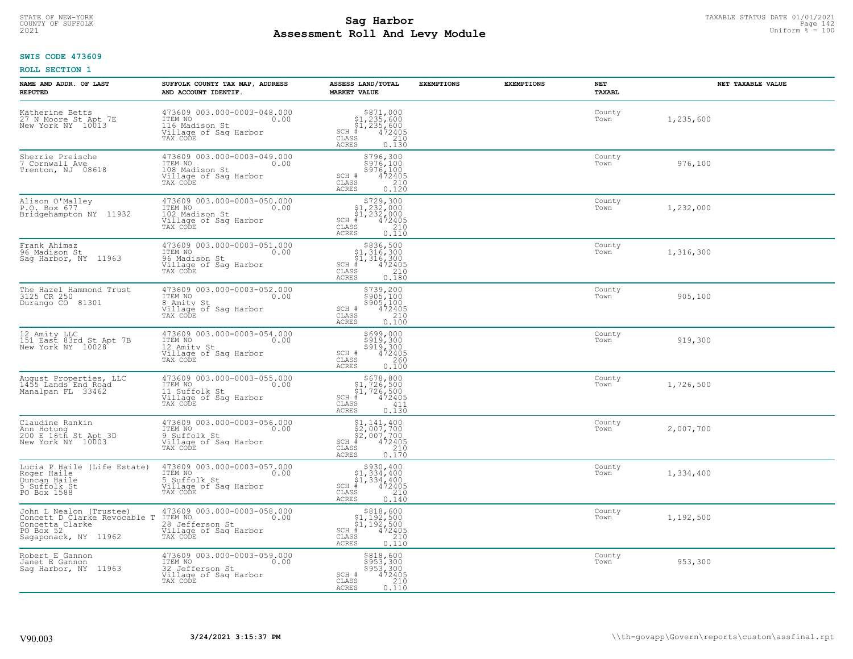# STATE OF NEW-YORK TAXABLE STATUS DATE 01/01/2021<br>241 Page 142 Page 142 **Assessment Roll And Levy Module Example 2021** Uniform  $\frac{1}{8}$  = 100

#### **SWIS CODE 473609**

| NAME AND ADDR. OF LAST<br><b>REPUTED</b>                                                                        | SUFFOLK COUNTY TAX MAP, ADDRESS<br>AND ACCOUNT IDENTIF.                                                | ASSESS LAND/TOTAL<br><b>MARKET VALUE</b>                                                                                                    | <b>EXEMPTIONS</b> | <b>EXEMPTIONS</b> | NET<br>TAXABL  | NET TAXABLE VALUE |
|-----------------------------------------------------------------------------------------------------------------|--------------------------------------------------------------------------------------------------------|---------------------------------------------------------------------------------------------------------------------------------------------|-------------------|-------------------|----------------|-------------------|
| Katherine Betts<br>27 N Moore St Apt 7E<br>New York NY 10013                                                    | 473609 003.000-0003-048.000<br>ITEM NO<br>0.00<br>116 Madison St<br>Village of Sag Harbor<br>TAX CODE  | $$871,000\n$1,235,600\n$1,235,600\n# 472405\n35\n210$<br>$SCH$ #<br>CLASS<br><b>ACRES</b><br>0.130                                          |                   |                   | County<br>Town | 1,235,600         |
| Sherrie Preische<br>7 Cornwall Ave<br>Trenton, NJ 08618                                                         | 473609 003.000-0003-049.000<br>ITEM NO<br>0.00<br>108 Madison St<br>Village of Sag Harbor<br>TAX CODE  | \$796,300<br>\$976,100<br>\$976,100<br>SCH #<br>472405<br>CLASS<br>210<br>0.120<br>ACRES                                                    |                   |                   | County<br>Town | 976,100           |
| Alison O'Malley<br>P.O. Box 677<br>Bridgehampton NY 11932                                                       | 473609 003.000-0003-050.000<br>ITEM NO<br>0.00<br>102 Madison St<br>Village of Sag Harbor<br>TAX CODE  | $$729,300$<br>$$1,232,000$<br>$$1,232,000$<br>$$1,232,000$<br>$SCH$ #<br>472405<br>CLASS<br>210<br><b>ACRES</b><br>0.110                    |                   |                   | County<br>Town | 1,232,000         |
| Frank Ahimaz<br>96 Madison St<br>Saq Harbor, NY 11963                                                           | 473609 003.000-0003-051.000<br>ITEM NO<br>0.00<br>96 Madison St<br>Village of Saq Harbor<br>TAX CODE   | $$836,500$<br>$$1,316,300$<br>$$1,316,300$<br>$$1,316,300$<br>$SCH$ #<br>$\frac{1472405}{210}$<br>CLASS<br><b>ACRES</b><br>0.180            |                   |                   | County<br>Town | 1,316,300         |
| The Hazel Hammond Trust<br>3125 CR 250<br>Durango CO 81301                                                      | 473609 003.000-0003-052.000<br>ITEM NO<br>0.00<br>8 Amity St<br>Village of Sag Harbor<br>TAX CODE      | \$739,200<br>$$905,100$<br>$$905,100$<br>$472405$<br>SCH #<br>$\begin{array}{c} 210 \\ 0.100 \end{array}$<br>CLASS<br>ACRES                 |                   |                   | County<br>Town | 905,100           |
| 12 Amity LLC<br>151 East 83rd St Apt 7B<br>New York NY 10028                                                    | 473609 003.000-0003-054.000<br>ITEM NO<br>0.00<br>12 Amity St<br>Village of Sag Harbor<br>TAX CODE     | \$699,000<br>\$919,300<br>\$919,300<br>\$919,300<br>SCH #<br>CLASS<br>260<br><b>ACRES</b><br>0.100                                          |                   |                   | County<br>Town | 919,300           |
| August Properties, LLC<br>1455 Lands End Road<br>Manalpan FL 33462                                              | 473609 003.000-0003-055.000<br>ITEM NO<br>0.00<br>11 Suffolk St<br>Village of Sag Harbor<br>TAX CODE   | $\begin{array}{c} $678,800\n$1,726,500\n$1,726,500\n# 472405 \end{array}$<br>$SCH$ #<br>CLASS<br>411<br>ACRES<br>0.130                      |                   |                   | County<br>Town | 1,726,500         |
| Claudine Rankin<br>Ann Hotung<br>200 E 16th St Apt 3D<br>New York NY 10003                                      | 473609 003.000-0003-056.000<br>ITEM NO<br>0.00<br>9 Suffolk St<br>Village of Sag Harbor<br>TAX CODE    | $\begin{array}{l} $1,141,400\\ $2,007,700\\ $2,007,700\\ $472405\\ $472405 \end{array}$<br>$SCH$ #<br>CLASS<br>210<br><b>ACRES</b><br>0.170 |                   |                   | County<br>Town | 2,007,700         |
| Lucia P Haile (Life Estate)<br>Roger Haile<br>Duncan Haile<br>5 Suffolk St<br>PO Box 1588                       | 473609 003.000-0003-057.000<br>TTEM NO 0.00<br>5 Suffolk St<br>Village of Saq Harbor<br>TAX CODE       | $\begin{array}{c} $930,400\\ $1,334,400\\ $1,334,400\\ \end{array}$<br>$SCH$ #<br>472405<br>CLASS<br>210<br><b>ACRES</b><br>0.140           |                   |                   | County<br>Town | 1,334,400         |
| John L Nealon (Trustee)<br>Concett D Clarke Revocable T<br>Concetta Clarke<br>PO Box 52<br>Sagaponack, NY 11962 | 473609 003.000-0003-058.000<br>ITEM NO<br>0.00<br>28 Jefferson St<br>Village of Sag Harbor<br>TAX CODE | $$818,600$<br>$$1,192,500$<br>$$1,192,500$<br>$$472405$<br>$SCH$ #<br>$\frac{210}{0.110}$<br>CLASS<br><b>ACRES</b>                          |                   |                   | County<br>Town | 1,192,500         |
| Robert E Gannon<br>Janet E Gannon<br>Sag Harbor, NY 11963                                                       | 473609 003.000-0003-059.000<br>ITEM NO<br>0.00<br>32 Jefferson St<br>Village of Sag Harbor<br>TAX CODE | \$818,600<br>\$953,300<br>\$953,300<br>472405<br>SCH #<br>CLASS<br>210<br>ACRES<br>0.110                                                    |                   |                   | County<br>Town | 953,300           |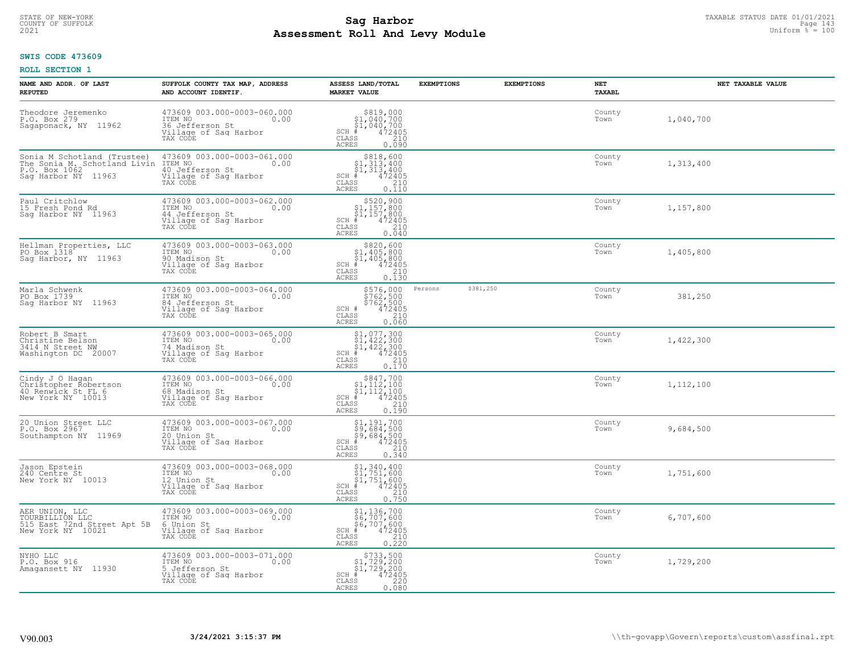# TAXABLE STATUS DATE 01/01/2021<br>COUNTY OF SUFFOLK Page 143 **Assessment Roll And Levy Module Example 2021** Uniform  $\frac{1}{8}$  = 100

#### **SWIS CODE 473609**

| NAME AND ADDR. OF LAST<br><b>REPUTED</b>                                                                                    | SUFFOLK COUNTY TAX MAP, ADDRESS<br>AND ACCOUNT IDENTIF.                                                | ASSESS LAND/TOTAL<br><b>MARKET VALUE</b>                                                                                                                   | <b>EXEMPTIONS</b> | <b>EXEMPTIONS</b> | <b>NET</b><br>TAXABL | NET TAXABLE VALUE |
|-----------------------------------------------------------------------------------------------------------------------------|--------------------------------------------------------------------------------------------------------|------------------------------------------------------------------------------------------------------------------------------------------------------------|-------------------|-------------------|----------------------|-------------------|
| Theodore Jeremenko<br>P.O. Box 279<br>Sagaponack, NY<br>11962                                                               | 473609 003.000-0003-060.000<br>ITEM NO<br>0.00<br>36 Jefferson St<br>Village of Saq Harbor<br>TAX CODE | $\begin{array}{r} $819,000 $1,040,700 $1,040,700 # 472405 $5210$<br>$SCH$ #<br>CLASS<br><b>ACRES</b><br>0.090                                              |                   |                   | County<br>Town       | 1,040,700         |
| Sonia M Schotland (Trustee)<br>The Sonia M. Schotland Livin ITEM NO<br>P.O. Box 1062 40 Jefferson St<br>Sag Harbor NY 11963 | 473609 003.000-0003-061.000<br>0.00<br>Village of Sag Harbor<br>TAX CODE                               | $$818,600$<br>$$1,313,400$<br>$$1,313,400$<br>$$1,313,400$<br>$\begin{array}{r} 472405 \\ 472405 \\ 210 \\ 0.110 \end{array}$<br>$SCH$ #<br>CLASS<br>ACRES |                   |                   | County<br>Town       | 1,313,400         |
| Paul Critchlow<br>15 Fresh Pond Rd<br>Sag Harbor NY 11963                                                                   | 473609 003.000-0003-062.000<br>ITEM NO<br>0.00<br>44 Jefferson St<br>Village of Sag Harbor<br>TAX CODE | $$520,900$<br>$$1,157,800$<br>$$1,157,800$<br>$SCH$ #<br>472405<br>210<br>CLASS<br>0.040<br>ACRES                                                          |                   |                   | County<br>Town       | 1,157,800         |
| Hellman Properties, LLC<br>PO Box 1318<br>Saq Harbor, NY 11963                                                              | 473609 003.000-0003-063.000<br>ITEM NO<br>0.00<br>90 Madison St<br>Village of Sag Harbor<br>TAX CODE   | \$820,600<br>\$1,405,800<br>$\frac{1}{2}$ 1,405,800<br>$SCH$ #<br>$\begin{array}{r} 472405 \\ 210 \\ 0.130 \end{array}$<br>CLASS<br><b>ACRES</b>           |                   |                   | County<br>Town       | 1,405,800         |
| Marla Schwenk<br>PO Box 1739<br>Sag Harbor NY 11963                                                                         | 473609 003.000-0003-064.000<br>ITEM NO<br>0.00<br>84 Jefferson St<br>Village of Saq Harbor<br>TAX CODE | \$576,000<br>$$762,500$<br>$$762,500$<br>$$472405$<br>0.060<br>SCH #<br>CLASS<br><b>ACRES</b>                                                              | Persons           | \$381,250         | County<br>Town       | 381,250           |
| Robert B Smart<br>Christine Belson<br>3414 N Street NW<br>Washington DC 20007                                               | 473609 003.000-0003-065.000<br>ITEM NO<br>0.00<br>74 Madison St<br>Village of Sag Harbor<br>TAX CODE   | $$1, 077, 300$<br>$$1, 422, 300$<br>$$1, 422, 300$<br>$$422, 300$<br>$472405$<br>$SCH$ #<br>$\begin{bmatrix} 210 \\ 0.170 \end{bmatrix}$<br>CLASS<br>ACRES |                   |                   | County<br>Town       | 1,422,300         |
| Cindy J O Hagan<br>Christopher Robertson<br>40 Renwick St FL 6<br>New York NY 10013                                         | 473609 003.000-0003-066.000<br>ITEM NO<br>0.00<br>68 Madison St<br>Village of Sag Harbor<br>TAX CODE   | $\begin{array}{c} $847,700 $1,112,100 $1,112,100 # 472405 \end{array}$<br>$SCH$ #<br>CLASS<br>210<br>0.190<br>ACRES                                        |                   |                   | County<br>Town       | 1,112,100         |
| 20 Union Street LLC<br>P.O. Box 2967<br>Southampton NY 11969                                                                | 473609 003.000-0003-067.000<br>TTEM NO 0.00<br>20 Union St<br>Village of Saq Harbor<br>TAX CODE        | \$1,191,700<br>\$9,684,500<br>\$9,684,500<br># 472405<br>\$8 210<br>$SCH$ #<br>CLASS<br>0.340<br>ACRES                                                     |                   |                   | County<br>Town       | 9,684,500         |
| Jason Epstein<br>240 Centre St<br>New York NY 10013                                                                         | 473609 003.000-0003-068.000<br>TTEM NO 0.00<br>12 Union St<br>Village of Sag Harbor<br>TAX CODE        | \$1,340,400<br>\$1,751,600<br>\$1,751,600<br>SCH<br>$\begin{smallmatrix} 7472405\ 472405\ 210\ 0.750 \end{smallmatrix}$<br>CLASS<br><b>ACRES</b>           |                   |                   | County<br>Town       | 1,751,600         |
| AER UNION, LLC<br>TOURBILLION LLC<br>515 East 72nd Street Apt 5B<br>New York NY 10021                                       | 473609 003.000-0003-069.000<br>ITEM NO<br>0.00<br>6 Union St<br>Village of Sag Harbor<br>TAX CODE      | \$1,136,700<br>\$6,707,600<br>$\frac{1}{6}$ 6, 707, 600<br>$\frac{1}{6}$ 472405<br>$\frac{210}{6}$<br>$SCH$ #<br>CLASS<br>0.220<br><b>ACRES</b>            |                   |                   | County<br>Town       | 6,707,600         |
| NYHO LLC<br>P.O. Box 916<br>Amagansett NY 11930                                                                             | 473609 003.000-0003-071.000<br>ITEM NO<br>0.00<br>5 Jefferson St<br>Village of Sag Harbor<br>TAX CODE  | $$733,500$<br>$$1,729,200$<br>$$1,729,200$<br>$472405$<br>$$220$<br>$$220$<br>$SCH$ #<br>CLASS<br>ACRES<br>0.080                                           |                   |                   | County<br>Town       | 1,729,200         |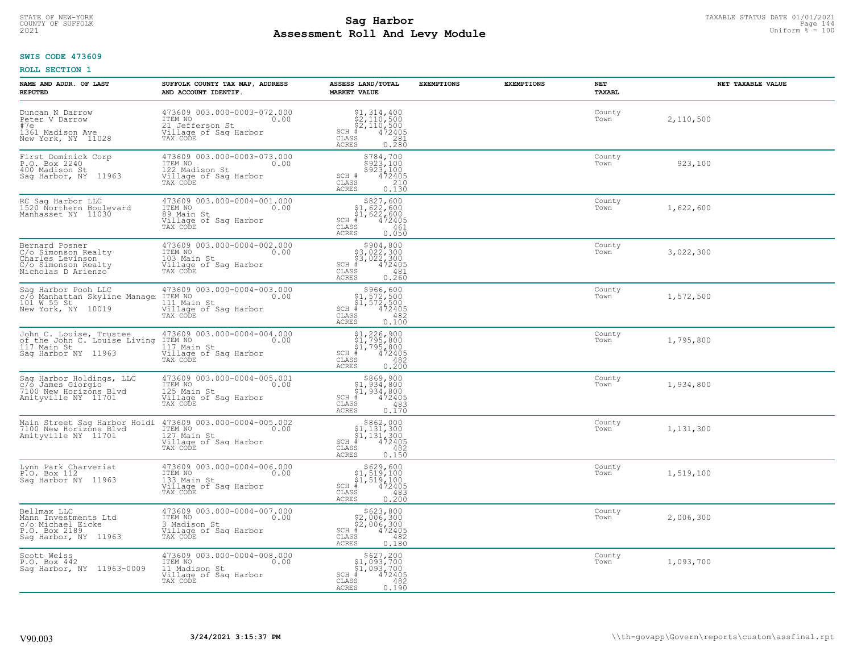# STATE OF NEW-YORK TAXABLE STATUS DATE 01/01/2021<br>Page 144 **Sag Harbor** Supering Data Page 144 **Assessment Roll And Levy Module Example 2021** Uniform  $\frac{1}{8}$  = 100

#### **SWIS CODE 473609**

| NAME AND ADDR. OF LAST<br><b>REPUTED</b>                                                               | SUFFOLK COUNTY TAX MAP, ADDRESS<br>AND ACCOUNT IDENTIF.                                                | ASSESS LAND/TOTAL<br><b>MARKET VALUE</b>                                                                             | <b>EXEMPTIONS</b> | <b>EXEMPTIONS</b> | NET<br>TAXABL  | NET TAXABLE VALUE |
|--------------------------------------------------------------------------------------------------------|--------------------------------------------------------------------------------------------------------|----------------------------------------------------------------------------------------------------------------------|-------------------|-------------------|----------------|-------------------|
| Duncan N Darrow<br>Peter V Darrow<br>#7e<br>1361 Madison Ave<br>New York, NY 11028                     | 473609 003.000-0003-072.000<br>ITEM NO<br>0.00<br>21 Jefferson St<br>Village of Saq Harbor<br>TAX CODE | $$2, 314, 400$<br>$$2, 110, 500$<br>$$2, 110, 500$<br>$*$ 472405<br>$SCH$ #<br>CLASS<br>281<br>ACRES<br>0.280        |                   |                   | County<br>Town | 2,110,500         |
| First Dominick Corp<br>P.O. Box 2240<br>400 Madison St<br>Saq Harbor, NY 11963                         | 473609 003.000-0003-073.000<br>ITEM NO<br>0.00<br>122 Madison St<br>Village of Sag Harbor<br>TAX CODE  | \$784,700<br>\$923,100<br>\$923,100<br>SCH #<br>472405<br>CLASS<br>210<br>0.130<br>ACRES                             |                   |                   | County<br>Town | 923,100           |
| RC Sag Harbor LLC<br>1520 Northern Boulevard<br>Manhasset NY 11030                                     | 473609 003.000-0004-001.000<br>ITEM NO<br>0.00<br>89 Main St<br>Village of Sag Harbor<br>TAX CODE      | $$327,60051,622,60051,622,600+ 472405$<br>SCH #<br>CLASS<br>461<br>0.050<br>ACRES                                    |                   |                   | County<br>Town | 1,622,600         |
| Bernard Posner<br>C/o Simonson Realty<br>Charles Levinson<br>C/o Simonson Realty<br>Nicholas D Arienzo | 473609 003.000-0004-002.000<br>ITEM NO<br>0.00<br>103 Main St<br>Village of Saq Harbor<br>TAX CODE     | $$3,022,300$<br>$$3,022,300$<br>$$472405$<br>$85$<br>$882$<br>$821$<br>$SCH$ #<br>CLASS<br><b>ACRES</b><br>0.260     |                   |                   | County<br>Town | 3,022,300         |
| Sag Harbor Pooh LLC<br>c/o Manhattan Skyline Manage<br>101 W 55 St<br>New York, NY 10019               | 473609 003.000-0004-003.000<br>ITEM NO<br>0.00<br>111 Main St<br>Village of Saq Harbor<br>TAX CODE     | \$966,600<br>$$1,572,500$<br>$$1,572,500$<br>$*$ 472405<br>$SCH$ #<br>CLASS<br>482<br>0.100<br>ACRES                 |                   |                   | County<br>Town | 1,572,500         |
| John C. Louise, Trustee<br>of the John C. Louise Living<br>117 Main St<br>Saq Harbor NY 11963          | 473609 003.000-0004-004.000<br>ITEM NO<br>117 Main St<br>0.00<br>Village of Sag Harbor<br>TAX CODE     | \$1,226,900<br>\$1,795,800<br>\$1,795,800<br>#472405<br>$SCH$ #<br>CLASS<br>482<br><b>ACRES</b><br>0.200             |                   |                   | County<br>Town | 1,795,800         |
| Sag Harbor Holdings, LLC<br>c/o James Giorgio<br>7100 New Horizons Blvd<br>Amityville NY 11701         | 473609 003.000-0004-005.001<br>TEM NO<br>125 Main St<br>Village of Sag Harbor<br>0.00<br>TAX CODE      | \$869,900<br>\$1,934,800<br>\$1,934,800<br>$SCH$ #<br>472405<br>$\mathtt{CLASS}$<br>483<br>0.170<br>ACRES            |                   |                   | County<br>Town | 1,934,800         |
| Main Street Sag Harbor Holdi<br>7100 New Horizons Blvd<br>Amityville NY 11701                          | 473609 003.000-0004-005.002<br>TTEM NO 0.00<br>127 Main St<br>Village of Sag Harbor<br>TAX CODE        | $$862,000$<br>$$1,131,300$<br>$$1,131,300$<br>$*1$<br>$472405$<br>$SCH$ $#$<br>CLASS<br>482<br><b>ACRES</b><br>0.150 |                   |                   | County<br>Town | 1,131,300         |
| Lynn Park Charveriat<br>P.O. Box 112<br>Sag Harbor NY 11963                                            | 473609 003.000-0004-006.000<br>ITEM NO 0.00<br>133 Main St<br>Village of Sag Harbor<br>TAX CODE        | $$629,600$<br>$$1,519,100$<br>$$1,519,100$<br>$$472405$<br>$SCH$ #<br>CLASS<br>483<br><b>ACRES</b><br>0.200          |                   |                   | County<br>Town | 1,519,100         |
| Bellmax LLC<br>Mann Investments Ltd<br>c/o Michael Eicke<br>P.O. Box 2189<br>Sag Harbor, NY 11963      | 473609 003.000-0004-007.000<br>ITEM NO<br>0.00<br>3 Madison St<br>Village of Sag Harbor<br>TAX CODE    | $$623, 800$<br>$$2, 006, 300$<br>$$2, 006, 300$<br>$*$ 472405<br>$SCH$ #<br>CLASS<br>482<br><b>ACRES</b><br>0.180    |                   |                   | County<br>Town | 2,006,300         |
| Scott Weiss<br>P.O. Box 442<br>Saq Harbor, NY 11963-0009                                               | 473609 003.000-0004-008.000<br>ITEM NO<br>0.00<br>11 Madison St<br>Village of Sag Harbor<br>TAX CODE   | \$627,200<br>\$1,093,700<br>\$1,093,700<br>$SCH$ #<br>472405<br>CLASS<br>482<br><b>ACRES</b><br>0.190                |                   |                   | County<br>Town | 1,093,700         |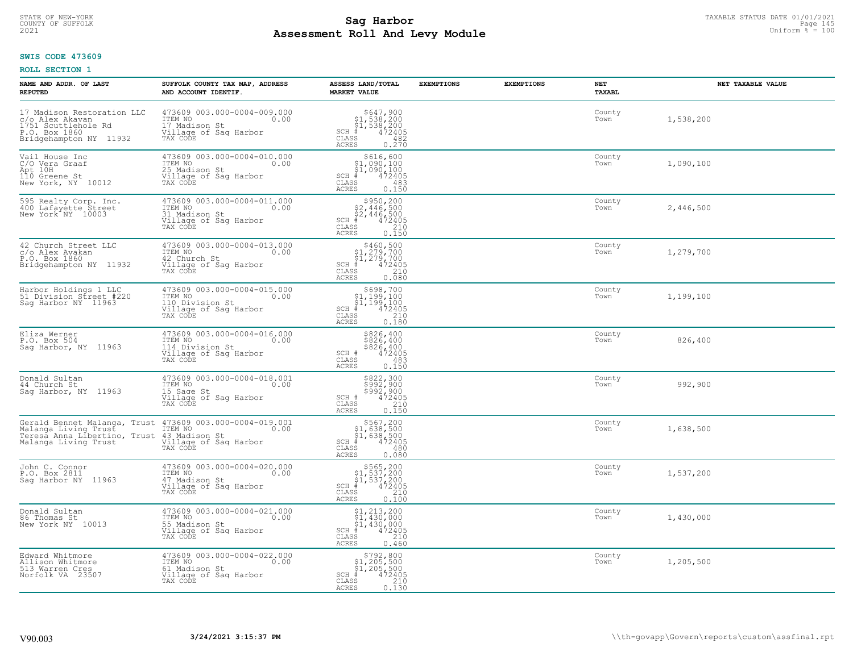# TAXABLE STATUS DATE 01/01/2021<br>COUNTY OF SUFFOLK Page 145 **Assessment Roll And Levy Module Example 2021** Uniform  $\frac{1}{8}$  = 100

#### **SWIS CODE 473609**

| NAME AND ADDR. OF LAST<br><b>REPUTED</b>                                                                        | SUFFOLK COUNTY TAX MAP, ADDRESS<br>AND ACCOUNT IDENTIF.                                                | ASSESS LAND/TOTAL<br><b>MARKET VALUE</b>                                                                                                                                                                                          | <b>EXEMPTIONS</b> | <b>EXEMPTIONS</b> | NET<br>TAXABL  | NET TAXABLE VALUE |
|-----------------------------------------------------------------------------------------------------------------|--------------------------------------------------------------------------------------------------------|-----------------------------------------------------------------------------------------------------------------------------------------------------------------------------------------------------------------------------------|-------------------|-------------------|----------------|-------------------|
| 17 Madison Restoration LLC<br>c/o Alex Akavan<br>1751 Scuttlehole Rd<br>P.O. Box 1860<br>Bridgehampton NY 11932 | 473609 003.000-0004-009.000<br>ITEM NO<br>0.00<br>17 Madison St<br>Village of Sag Harbor<br>TAX CODE   | $$647,900$<br>$$1,538,200$<br>$$1,538,200$<br>$*$ 472405<br>$SCH$ #<br>CLASS<br>482<br>ACRES<br>0.270                                                                                                                             |                   |                   | County<br>Town | 1,538,200         |
| Vail House Inc<br>C/O Vera Graaf<br>Apt 10H<br>110 Greene St<br>New York, NY 10012                              | 473609 003.000-0004-010.000<br>ITEM NO<br>0.00<br>25 Madison St<br>Village of Sag Harbor<br>TAX CODE   | $$616,600$<br>$$1,090,100$<br>$$1,090,100$<br>$*$ 472405<br>$SCH$ #<br>CLASS<br>483<br>0.150<br>ACRES                                                                                                                             |                   |                   | County<br>Town | 1,090,100         |
| 595 Realty Corp. Inc.<br>400 Lafayette Street<br>New York NY 10003                                              | 473609 003.000-0004-011.000<br>ITEM NO<br>0.00<br>31 Madison St<br>Village of Sag Harbor<br>TAX CODE   | $\begin{array}{r}  \  \  \, 5950,200 \\  \  \, 52,446,500 \\  \  \, 52,446,500 \\  \  \  \, 446,500 \\  \  \  \, 472405 \\  \  \  \, 550 \\  \  \  \, 210 \\  \  \, 550 \\  \  \, 0.150 \end{array}$<br>$SCH$ #<br>CLASS<br>ACRES |                   |                   | County<br>Town | 2,446,500         |
| 42 Church Street LLC<br>c/o Alex Avakan<br>P.O. Box 1860<br>Bridgehampton NY 11932                              | 473609 003.000-0004-013.000<br>ITEM NO<br>0.00<br>42 Church St<br>Village of Saq Harbor<br>TAX CODE    | $$460,500$<br>$$1,279,700$<br>$$1,279,700$<br>$472405$<br>$35$<br>$$210$<br>$SCH$ #<br>CLASS<br>ACRES<br>0.080                                                                                                                    |                   |                   | County<br>Town | 1,279,700         |
| Harbor Holdings 1 LLC<br>51 Division Street #220<br>Sag Harbor NY 11963                                         | 473609 003.000-0004-015.000<br>ITEM NO<br>0.00<br>110 Division St<br>Village of Saq Harbor<br>TAX CODE | \$698,700<br>$\begin{array}{c} 51,199,100 \\ 51,199,100 \\ \pm 472405 \end{array}$<br>$SCH$ $#$<br>CLASS<br>$\begin{array}{c} 210 \\ 0.180 \end{array}$<br><b>ACRES</b>                                                           |                   |                   | County<br>Town | 1,199,100         |
| Eliza Werner<br>P.O. Box 504<br>Sag Harbor, NY 11963                                                            | 473609 003.000-0004-016.000<br>ITEM NO<br>0.00<br>114 Division St<br>Village of Sag Harbor<br>TAX CODE | \$826,400<br>\$826,400<br>\$826,400<br>472405<br>SCH #<br>CLASS<br>483<br>0.150<br>ACRES                                                                                                                                          |                   |                   | County<br>Town | 826,400           |
| Donald Sultan<br>44 Church St<br>Saq Harbor, NY 11963                                                           | 473609 003.000-0004-018.001<br>TTEM NO 0.00<br>$15$ Sage St<br>Village of Sag Harbor<br>TAX CODE       | \$822,300<br>\$992,900<br>\$992,900<br>\$992,900<br>SCH #<br>CLASS<br>$\frac{210}{0.150}$<br><b>ACRES</b>                                                                                                                         |                   |                   | County<br>Town | 992,900           |
| Gerald Bennet Malanga, Trust<br>Malanga Living Trust<br>Teresa Anna Libertino, Trust<br>Malanga Living Trust    | 473609 003.000-0004-019.001<br>0.00 0.00<br>43 Madison St<br>Village of Saq Harbor<br>TAX CODE         | $$567, 200$<br>$$1, 638, 500$<br>$$1, 638, 500$<br>$*$ 472405<br>$SCH$ #<br>$\mathtt{CLASS}$<br>480<br>ACRES<br>0.080                                                                                                             |                   |                   | County<br>Town | 1,638,500         |
| John C. Connor<br>P.O. Box 2811<br>Sag Harbor NY 11963                                                          | 473609 003.000-0004-020.000<br>TTEM NO 0.00<br>47 Madison St<br>Village of Sag Harbor<br>TAX CODE      | $$565, 200$<br>$$1, 537, 200$<br>$$1, 537, 200$<br>$*$<br>$*$<br>$*$<br>$*$<br>$SCH$ #<br>CLASS<br>210<br><b>ACRES</b><br>0.100                                                                                                   |                   |                   | County<br>Town | 1,537,200         |
| Donald Sultan<br>86 Thomas St<br>New York NY 10013                                                              | 473609 003.000-0004-021.000<br>ITEM NO<br>0.00<br>55 Madison St<br>Village of Sag Harbor<br>TAX CODE   | $$1, 213, 200$<br>$$1, 430, 000$<br>$$1, 430, 000$<br>$$472405$<br>$SCH$ #<br>210<br>CLASS<br><b>ACRES</b><br>0.460                                                                                                               |                   |                   | County<br>Town | 1,430,000         |
| Edward Whitmore<br>Allison Whitmore<br>513 Warren Cres<br>Norfolk VA 23507                                      | 473609 003.000-0004-022.000<br>ITEM NO<br>61 Madison St<br>0.00<br>Village of Sag Harbor<br>TAX CODE   | \$792,800<br>\$1,205,500<br>\$1,205,500<br>$SCH$ #<br>472405<br>CLASS<br>210<br><b>ACRES</b><br>0.130                                                                                                                             |                   |                   | County<br>Town | 1,205,500         |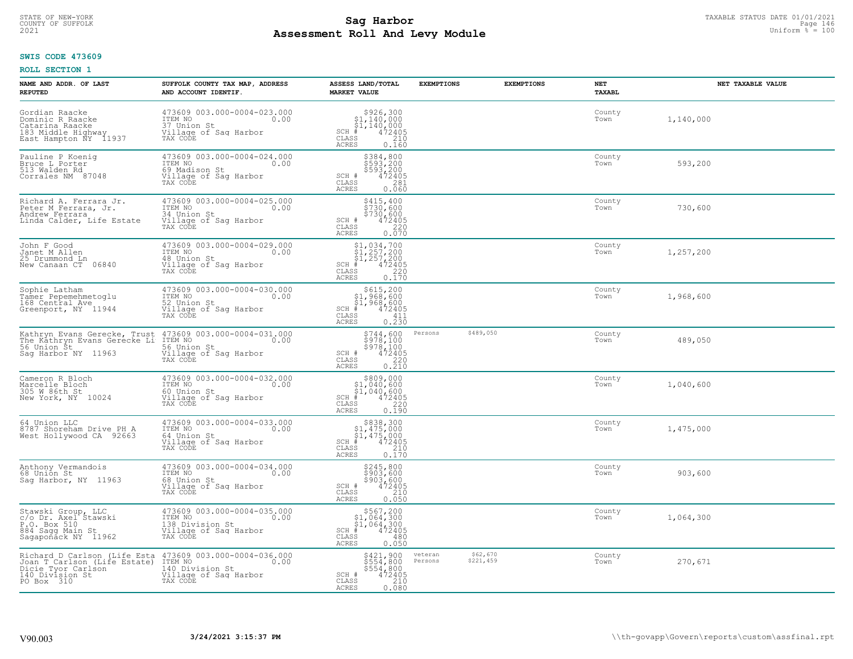# TAXABLE STATUS DATE 01/01/2021<br>COUNTY OF SUFFOLK Page 146 Page 146 **Assessment Roll And Levy Module Example 2021** Uniform  $\frac{1}{8}$  = 100

#### **SWIS CODE 473609**

| NAME AND ADDR. OF LAST<br><b>REPUTED</b>                                                                                                        | SUFFOLK COUNTY TAX MAP, ADDRESS<br>AND ACCOUNT IDENTIF.                                                | ASSESS LAND/TOTAL<br><b>MARKET VALUE</b>                                                                                                            | <b>EXEMPTIONS</b>                           | <b>EXEMPTIONS</b> | <b>NET</b><br>TAXABL | NET TAXABLE VALUE |
|-------------------------------------------------------------------------------------------------------------------------------------------------|--------------------------------------------------------------------------------------------------------|-----------------------------------------------------------------------------------------------------------------------------------------------------|---------------------------------------------|-------------------|----------------------|-------------------|
| Gordian Raacke<br>Dominic R Raacke<br>Catarina Raacke<br>183 Middle Highway<br>East Hampton NY 11937                                            | 473609 003.000-0004-023.000<br>ITEM NO<br>0.00<br>37 Union St<br>Village of Saq Harbor<br>TAX CODE     | $$926,30051,140,00051,140,000# 47240535 210$<br>$SCH$ #<br>CLASS<br><b>ACRES</b><br>0.160                                                           |                                             |                   | County<br>Town       | 1,140,000         |
| Pauline P Koenig<br>Bruce L Porter<br>513 Walden Rd<br>Corrales NM 87048                                                                        | 473609 003.000-0004-024.000<br>ITEM NO<br>0.00<br>69 Madison St<br>Village of Sag Harbor<br>TAX CODE   | \$384,800<br>\$593,200<br>\$593,200<br>\$472405<br>SCH #<br>CLASS<br>281<br><b>ACRES</b><br>0.060                                                   |                                             |                   | County<br>Town       | 593,200           |
| Richard A. Ferrara Jr.<br>Peter M Ferrara, Jr.<br>Andrew Ferrara<br>Linda Calder, Life Estate                                                   | 473609 003.000-0004-025.000<br>ITEM NO<br>0.00<br>34 Union St<br>Village of Sag Harbor<br>TAX CODE     | \$415,400<br>$\frac{1}{2}$ 730,600<br>\$730,600<br>SCH #<br>$\frac{472405}{220}$<br>CLASS<br><b>ACRES</b><br>0.070                                  |                                             |                   | County<br>Town       | 730,600           |
| John F Good<br>Janet M Allen<br>25 Drummond Ln<br>New Canaan CT 06840                                                                           | 473609 003.000-0004-029.000<br>TTEM NO 0.00<br>48 Union St<br>Village of Sag Harbor<br>TAX CODE        | $$1,034,700$<br>$$1,257,200$<br>$$1,257,200$<br>$472405$<br>$$250$<br>$$220$<br>$SCH$ #<br>CLASS<br><b>ACRES</b><br>0.170                           |                                             |                   | County<br>Town       | 1,257,200         |
| Sophie Latham<br>Tamer Pepemehmetoglu<br>168 Central Ave<br>Greenport, NY 11944                                                                 | 473609 003.000-0004-030.000<br>ITEM NO<br>0.00<br>52 Union St<br>Village of Saq Harbor<br>TAX CODE     | \$615,200<br>51,968,600<br>$\begin{array}{r} 51,968,600 \\ 472405 \\ \text{is} \qquad 411 \end{array}$<br>$SCH$ #<br>CLASS<br>0.230<br><b>ACRES</b> |                                             |                   | County<br>Town       | 1,968,600         |
| Kathryn Evans Gerecke, Trust 473609 003.000-0004-031.000<br>The Kathryn Evans Gerecke Li<br>56 Union Št<br>Saq Harbor NY 11963                  | ITEM NO<br>0.00<br>56 Union St<br>Village of Sag Harbor<br>TAX CODE                                    | \$744,600<br>\$978,100<br>\$978,100<br>\$978,100<br>\$220<br>\$220<br>\$210<br>SCH #<br>CLASS<br><b>ACRES</b>                                       | \$489,050<br>Persons                        |                   | County<br>Town       | 489,050           |
| Cameron R Bloch<br>Marcelle Bloch<br>305 W 86th St<br>New York, NY 10024                                                                        | 473609 003.000-0004-032.000<br>ITEM NO<br>0.00<br>60 Union St<br>Village of Sag Harbor<br>TAX CODE     | $$309,000$1,040,600$1,040,600472405$<br>$SCH$ #<br>$\mathtt{CLASS}$<br>220<br><b>ACRES</b><br>0.190                                                 |                                             |                   | County<br>Town       | 1,040,600         |
| 64 Union LLC<br>8787 Shoreham Drive PH A<br>West Hollywood CA 92663                                                                             | 473609 003.000-0004-033.000<br>TTEM NO 0.00<br>64 Union St<br>Village of Sag Harbor<br>TAX CODE        | $$838,300$<br>$$1,475,000$<br>$$1,475,000$<br>$*1,475,000$<br>$*1,472405$<br>SCH #<br>CLASS<br>210<br><b>ACRES</b><br>0.170                         |                                             |                   | County<br>Town       | 1,475,000         |
| Anthony Vermandois<br>68 Union St<br>Saq Harbor, NY 11963                                                                                       | 473609 003.000-0004-034.000<br>TTEM NO 0.00<br>68 Union St<br>Village of Saq Harbor<br>TAX CODE        | \$245,800<br>\$903,600<br>\$903,600<br>\$903,600<br>SCH #<br>CLASS<br>210<br>0.050<br><b>ACRES</b>                                                  |                                             |                   | County<br>Town       | 903,600           |
| Stawski Group, LLC<br>c/o Dr. Axel Stawski<br>P.O. Box 510<br>884 Sagg Main St<br>Sagapoñáck NY 11962                                           | 473609 003.000-0004-035.000<br>ITEM NO<br>0.00<br>138 Division St<br>Village of Sag Harbor<br>TAX CODE | $$567, 200$<br>$$1, 064, 300$<br>$$1, 064, 300$<br>$*1, 064, 300$<br>$*1, 0472405$<br>$SCH$ #<br>CLASS<br>480<br>0.050<br><b>ACRES</b>              |                                             |                   | County<br>Town       | 1,064,300         |
| Richard D Carlson (Life Esta 473609 003.000-0004-036.000<br>Joan T Carlson (Life Estate)<br>Dicie Tyor Carlson<br>140 Division St<br>PO Box 310 | ITEM NO<br>140 Division St<br>0.00<br>Village of Sag Harbor<br>TAX CODE                                | \$421,900<br>$\begin{array}{r} 7554,800 \\ 5554,800 \\ 472405 \\ 210 \end{array}$<br>SCH #<br>CLASS<br><b>ACRES</b><br>0.080                        | \$62,670<br>veteran<br>\$221,459<br>Persons |                   | County<br>Town       | 270,671           |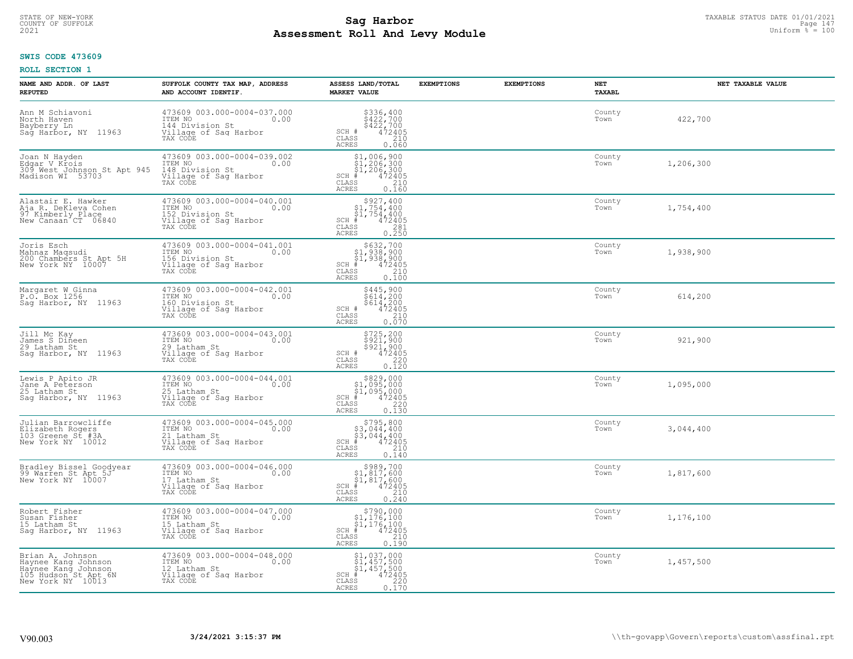# STATE OF NEW-YORK TAXABLE STATUS DATE 01/01/2021<br>COUNTY OF SUFFOLK Page 147 **Assessment Roll And Levy Module Example 2021** Uniform  $\frac{1}{8}$  = 100

#### **SWIS CODE 473609**

| NAME AND ADDR. OF LAST<br><b>REPUTED</b>                                                                    | SUFFOLK COUNTY TAX MAP, ADDRESS<br>AND ACCOUNT IDENTIF.                                                | ASSESS LAND/TOTAL<br><b>MARKET VALUE</b>                                                                                                     | <b>EXEMPTIONS</b> | <b>EXEMPTIONS</b> | NET<br><b>TAXABL</b> | NET TAXABLE VALUE |
|-------------------------------------------------------------------------------------------------------------|--------------------------------------------------------------------------------------------------------|----------------------------------------------------------------------------------------------------------------------------------------------|-------------------|-------------------|----------------------|-------------------|
| Ann M Schiavoni<br>North Haven<br>Bayberry Ln<br>Sag Harbor, NY 11963                                       | 473609 003.000-0004-037.000<br>10.00 0.00<br>144 Division St<br>Village of Sag Harbor<br>TAX CODE      | $\begin{array}{r} 5336, 400 \\ 5422, 700 \\ 5422, 700 \\ 472405 \\ 210 \end{array}$<br>SCH #<br>CLASS<br><b>ACRES</b><br>0.060               |                   |                   | County<br>Town       | 422,700           |
| Joan N Hayden<br>Edgar V Krois<br>309 West Johnson St Apt 945<br>Madison WI 53703                           | 473609 003.000-0004-039.002<br>ITEM NO<br>0.00<br>148 Division St<br>Village of Sag Harbor<br>TAX CODE | $$1,006,900$<br>$$1,206,300$<br>$$1,206,300$<br>$$1,206,300$<br>$472405$<br>$SCH$ #<br>210<br>CLASS<br><b>ACRES</b><br>0.160                 |                   |                   | County<br>Town       | 1,206,300         |
| Alastair E. Hawker<br>Aja R. DeKleva Cohen<br>97 Kimberly Place<br>New Canaan CT 06840                      | 473609 003.000-0004-040.001<br>ITEM NO<br>0.00<br>152 Division St<br>Village of Sag Harbor<br>TAX CODE | $$927, 400$<br>$$1, 754, 400$<br>$$1, 754, 400$<br>$SCH$ #<br>472405<br>CLASS<br>$\begin{array}{c} 281 \\ 0.250 \end{array}$<br><b>ACRES</b> |                   |                   | County<br>Town       | 1,754,400         |
| Joris Esch<br>Mahnaz Maqsudi<br>200 Chambers St Apt 5H<br>New York NY 10007                                 | 473609 003.000-0004-041.001<br>ITEM NO<br>0.00<br>156 Division St<br>Village of Sag Harbor<br>TAX CODE | \$632,700<br>\$1,938,900<br>\$1,938,900<br>SCH #<br>CLASS<br>472405<br>210<br><b>ACRES</b><br>0.100                                          |                   |                   | County<br>Town       | 1,938,900         |
| Margaret W Ginna<br>P.O. Box 1256<br>Saq Harbor, NY 11963                                                   | 473609 003.000-0004-042.001<br>ITEM NO<br>0.00<br>160 Division St<br>Village of Sag Harbor<br>TAX CODE | \$445,900<br>$$614,200$<br>$$614,200$<br>$472405$<br>$$210$<br>SCH #<br>CLASS<br>0.070<br>ACRES                                              |                   |                   | County<br>Town       | 614,200           |
| Jill Mc Kay<br>James S Dineen<br>29 Latham St<br>Saq Harbor, NY 11963                                       | 473609 003.000-0004-043.001<br>ITEM NO<br>0.00<br>29 Latham St<br>Village of Sag Harbor<br>TAX CODE    | $$725, 200$<br>$$921, 900$<br>$$921, 900$<br>$$472405$<br>$$220$<br>SCH #<br>$\mathtt{CLASS}$<br>0.120<br>ACRES                              |                   |                   | County<br>Town       | 921,900           |
| Lewis P Apito JR<br>Jane A Peterson<br>25 Latham St<br>Sag Harbor, NY 11963                                 | 473609 003.000-0004-044.001<br>ITEM NO<br>0.00<br>25 Latham St<br>Village of Sag Harbor<br>TAX CODE    | \$829,000<br>\$1,095,000<br>\$1,095,000<br>472405<br>$SCH$ #<br>CLASS<br>220<br><b>ACRES</b><br>0.130                                        |                   |                   | County<br>Town       | 1,095,000         |
| Julian Barrowcliffe<br>Elizabeth Rogers<br>103 Greene St #3A<br>New York NY 10012                           | 473609 003.000-0004-045.000<br>TTEM NO 0.00<br>21 Latham St<br>Village of Sag Harbor<br>TAX CODE       | $$795,800$<br>$$3,044,400$<br>$$3,044,400$<br>$$472405$<br>SCH #<br>CLASS<br>210<br><b>ACRES</b><br>0.140                                    |                   |                   | County<br>Town       | 3,044,400         |
| Bradley Bissel Goodyear<br>99 Warren St Apt 5J<br>New York NY 10007                                         | 473609 003.000-0004-046.000<br>10.00 0.00<br>17 Latham St<br>Village of Sag Harbor<br>TAX CODE         | $$989,700$<br>$$1,817,600$<br>$$1,817,600$<br>$*$ 472405<br>SCH #<br>CLASS<br>210<br><b>ACRES</b><br>0.240                                   |                   |                   | County<br>Town       | 1,817,600         |
| Robert Fisher<br>Susan Fisher<br>15 Latham St<br>Saq Harbor, NY 11963                                       | 473609 003.000-0004-047.000<br>ITEM NO<br>0.00<br>15 Latham St<br>Village of Sag Harbor<br>TAX CODE    | $$790,000$<br>$$1,176,100$<br>$$1,176,100$<br>$*1,176,100$<br>$*6,1005$<br>$SCH$ #<br>CLASS<br>210<br><b>ACRES</b><br>0.190                  |                   |                   | County<br>Town       | 1,176,100         |
| Brian A. Johnson<br>Haynee Kang Johnson<br>Haynee Kang Johnson<br>105 Hudson St Apt 6N<br>New York NY 10013 | 473609 003.000-0004-048.000<br>ITEM NO<br>0.00<br>12 Latham St<br>Village of Sag Harbor<br>TAX CODE    | $$1,037,000$<br>$$1,457,500$<br>$$1,457,500$<br>$$457,500$<br>$$472405$<br>$SCH$ #<br>220<br>CLASS<br><b>ACRES</b><br>0.170                  |                   |                   | County<br>Town       | 1,457,500         |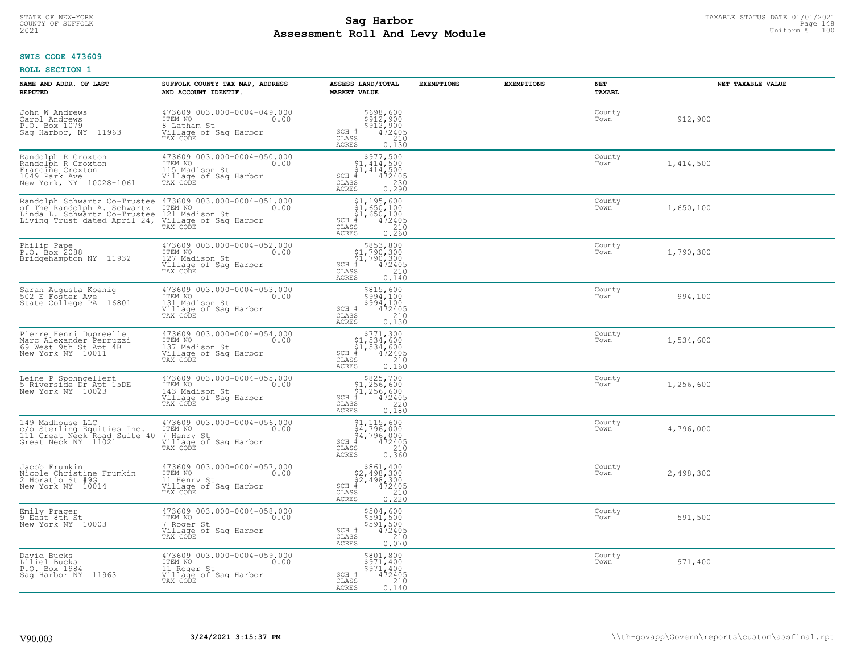# TAXABLE STATUS DATE 01/01/2021<br>COUNTY OF SUFFOLK Page 148 **Assessment Roll And Levy Module Example 2021** Uniform  $\frac{1}{8}$  = 100

#### **SWIS CODE 473609**

| NAME AND ADDR. OF LAST<br><b>REPUTED</b>                                                                                    | SUFFOLK COUNTY TAX MAP, ADDRESS<br>AND ACCOUNT IDENTIF.                                               | ASSESS LAND/TOTAL<br><b>MARKET VALUE</b>                                                                                                                                           | <b>EXEMPTIONS</b> | <b>EXEMPTIONS</b> | NET<br>TAXABL  | NET TAXABLE VALUE |
|-----------------------------------------------------------------------------------------------------------------------------|-------------------------------------------------------------------------------------------------------|------------------------------------------------------------------------------------------------------------------------------------------------------------------------------------|-------------------|-------------------|----------------|-------------------|
| John W Andrews<br>Carol Andrews<br>P.O. Box 1079<br>Sag Harbor, NY 11963                                                    | 473609 003.000-0004-049.000<br>ITEM NO<br>0.00<br>8 Latham St<br>Village of Saq Harbor<br>TAX CODE    | \$698,600<br>$\frac{5912}{900}$<br>$\frac{912}{472405}$<br>SCH #<br>CLASS<br>210<br>ACRES<br>0.130                                                                                 |                   |                   | County<br>Town | 912,900           |
| Randolph R Croxton<br>Randolph R Croxton<br>Francine Croxton<br>1049 Park Ave<br>New York, NY 10028-1061                    | 473609 003.000-0004-050.000<br>ITEM NO<br>0.00<br>115 Madison St<br>Village of Sag Harbor<br>TAX CODE | $\begin{array}{c} $977,500\n$1,414,500\n$1,414,500\n#1472405 \end{array}$<br>$SCH$ #<br>CLASS<br>0.230<br>ACRES                                                                    |                   |                   | County<br>Town | 1,414,500         |
| Randolph Schwartz Co-Trustee<br>of The Randolph A. Schwartz<br>Linda L. Schwartz Co-Trustee<br>Living Trust dated April 24, | 473609 003.000-0004-051.000<br>ITEM NO<br>0.00<br>121 Madison St<br>Village of Sag Harbor<br>TAX CODE | \$1,195,600<br>$\begin{array}{r} 51,650,100 \\ 51,650,100 \\ + 472405 \end{array}$<br>$SCH$ #<br>CLASS<br>$0.210$<br>$0.260$<br>ACRES                                              |                   |                   | County<br>Town | 1,650,100         |
| Philip Pape<br>P.O. Box 2088<br>Bridgehampton NY 11932                                                                      | 473609 003.000-0004-052.000<br>ITEM NO<br>0.00<br>127 Madison St<br>Village of Sag Harbor<br>TAX CODE | $$853, 800$<br>$$1, 790, 300$<br>$$1, 790, 300$<br>$* 472405$<br>$$240$<br>$$140$<br>$SCH$ #<br>$\mathtt{CLASS}$<br>ACRES<br>0.140                                                 |                   |                   | County<br>Town | 1,790,300         |
| Sarah Augusta Koenig<br>502 E Foster Ave<br>State College PA 16801                                                          | 473609 003.000-0004-053.000<br>ITEM NO<br>0.00<br>131 Madison St<br>Village of Sag Harbor<br>TAX CODE | \$815,600<br>$\frac{1}{2}$ $\frac{1}{2}$ $\frac{1}{2}$ $\frac{1}{2}$ $\frac{1}{2}$<br>$\begin{array}{r} 5994,100 \\ 472405 \\ 210 \\ 0.130 \end{array}$<br>SCH #<br>CLASS<br>ACRES |                   |                   | County<br>Town | 994,100           |
| Pierre Henri Dupreelle<br>Marc Alexander Perruzzi<br>69 West 9th St Apt 4B<br>New York NY 10011                             | 473609 003.000-0004-054.000<br>ITEM NO<br>0.00<br>137 Madison St<br>Village of Sag Harbor<br>TAX CODE | $$771,300$<br>$$1,534,600$<br>$$1,534,600$<br>$$472405$<br>$SCH$ #<br>$\begin{array}{c} 210 \\ 0.160 \end{array}$<br>CLASS<br>ACRES                                                |                   |                   | County<br>Town | 1,534,600         |
| Leine P Spohngellert<br>5 Riverside Dr Apt 15DE<br>New York NY 10023                                                        | 473609 003.000-0004-055.000<br>ITEM NO<br>143 Madison St<br>0.00<br>Village of Sag Harbor<br>TAX CODE | $$825,700$<br>$$1,256,600$<br>$$1,256,600$<br>$*1,256,600$<br>$*1,2405$<br>$SCH$ #<br>$\mathtt{CLASS}$<br>220<br><b>ACRES</b><br>0.180                                             |                   |                   | County<br>Town | 1,256,600         |
| 149 Madhouse LLC<br>c/o Sterling Equities Inc.<br>111 Great Neck Road Suite 40<br>Great Neck NY 11021                       | 473609 003.000-0004-056.000<br>ITEM NO<br>0.00<br>7 Henry St<br>Village of Saq Harbor<br>TAX CODE     | $$1, 115, 600$<br>$$4, 796, 000$<br>$$4, 796, 000$<br>$*$ $472405$<br>$SCH$ #<br>CLASS<br>210<br>ACRES<br>0.360                                                                    |                   |                   | County<br>Town | 4,796,000         |
| Jacob Frumkin<br>Nicole Christine Frumkin<br>2 Horatio St #9G<br>New York NY 10014                                          | 473609 003.000-0004-057.000<br>TTEM NO 0.00<br>11 Henry St<br>Village of Sag Harbor<br>TAX CODE       | $$861, 400$<br>$$2, 498, 300$<br>$$2, 498, 300$<br>$*$ $472405$<br>$SCH$ #<br>CLASS<br>$\frac{210}{0.220}$<br><b>ACRES</b>                                                         |                   |                   | County<br>Town | 2,498,300         |
| Emily Prager<br>9 East 8th St<br>New York NY 10003                                                                          | 473609 003.000-0004-058.000<br>ITEM NO<br>0.00<br>7 Roger St<br>Village of Sag Harbor<br>TAX CODE     | $$594, 600$<br>$$591, 500$<br>$$591, 500$<br>$$472405$<br>$$210$<br>SCH #<br>CLASS<br><b>ACRES</b><br>0.070                                                                        |                   |                   | County<br>Town | 591,500           |
| David Bucks<br>Liliel Bucks<br>P.O. Box 1984<br>Saq Harbor NY<br>11963                                                      | 473609 003.000-0004-059.000<br>ITEM NO<br>0.00<br>11 Roger St<br>Village of Sag Harbor<br>TAX CODE    | \$801,800<br>\$971,400<br>\$971,400<br>SCH #<br>472405<br>210<br>CLASS<br>ACRES<br>0.140                                                                                           |                   |                   | County<br>Town | 971,400           |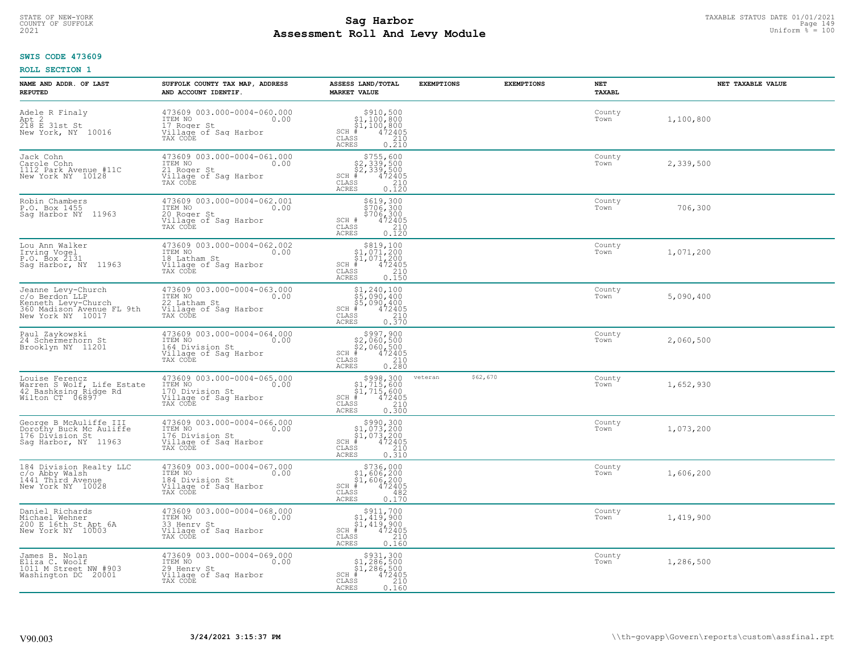# TAXABLE STATUS DATE 01/01/2021<br>COUNTY OF SUFFOLK Page 149 Page 149 **Assessment Roll And Levy Module Example 2021** Uniform  $\frac{1}{8}$  = 100

#### **SWIS CODE 473609**

| NAME AND ADDR. OF LAST<br><b>REPUTED</b>                                                                      | SUFFOLK COUNTY TAX MAP, ADDRESS<br>AND ACCOUNT IDENTIF.                                                | ASSESS LAND/TOTAL<br><b>MARKET VALUE</b>                                                                                                                                                                                                                                                                                                                          | <b>EXEMPTIONS</b> | <b>EXEMPTIONS</b> | NET<br>TAXABL  | NET TAXABLE VALUE |
|---------------------------------------------------------------------------------------------------------------|--------------------------------------------------------------------------------------------------------|-------------------------------------------------------------------------------------------------------------------------------------------------------------------------------------------------------------------------------------------------------------------------------------------------------------------------------------------------------------------|-------------------|-------------------|----------------|-------------------|
| Adele R Finaly<br>Apt 2<br>218 E 31st St<br>New York, NY 10016                                                | 473609 003.000-0004-060.000<br>10.00 0.00<br>0.00<br>17 Roger St<br>Village of Sag Harbor<br>TAX CODE  | $\begin{array}{r}  \  \  \,  \, 910,500 \\  \  \, 91,100,800 \\  \  \, 91,100,800 \\  \  \  \, 472405 \\  \  \, 935 \\  \  \  \, 010 \\  \  \, 010 \\  \  \, 010 \\  \  \, 010 \\  \  \, 010 \\  \  \, 010 \\  \  \, 010 \\  \  \, 010 \\  \  \, 010 \\  \  \, 010 \\  \  \, 010 \\  \  \, 010 \\  \  \, 010 \\  \ $<br>$SCH$ #<br>CLASS<br><b>ACRES</b><br>0.210 |                   |                   | County<br>Town | 1,100,800         |
| Jack Cohn<br>Carole Cohn<br>1112 Park Avenue #11C<br>New York NY 10128                                        | 473609 003.000-0004-061.000<br>ITEM NO<br>0.00<br>21 Roger St<br>Village of Sag Harbor<br>TAX CODE     | $$755,600$<br>$$2,339,500$<br>$$2,339,500$<br>$$472405$<br>$SCH$ #<br>CLASS<br>$\frac{210}{0.120}$<br>ACRES                                                                                                                                                                                                                                                       |                   |                   | County<br>Town | 2,339,500         |
| Robin Chambers<br>P.O. Box 1455<br>Saq Harbor NY 11963                                                        | 473609 003.000-0004-062.001<br>ITEM NO<br>0.00<br>20 Roger St<br>Village of Sag Harbor<br>TAX CODE     | \$619,300<br>\$706,300<br>\$706,300<br>\$72405<br>SCH #<br>CLASS<br>210<br><b>ACRES</b><br>0.120                                                                                                                                                                                                                                                                  |                   |                   | County<br>Town | 706,300           |
| Lou Ann Walker<br>Irving Vogel<br>P.O. Box 2131<br>Sag Harbor, NY 11963                                       | 473609 003.000-0004-062.002<br>ITEM NO<br>0.00<br>18 Latham St<br>Village of Sag Harbor<br>TAX CODE    | $\begin{array}{c} $819,100 $1,071,200 $1,071,200 # 472405 \end{array}$<br>SCH #<br>CLASS<br>210<br><b>ACRES</b><br>0.150                                                                                                                                                                                                                                          |                   |                   | County<br>Town | 1,071,200         |
| Jeanne Levy-Church<br>c/o Berdon LLP<br>Kenneth Levy-Church<br>360 Madison Avenue FL 9th<br>New York NY 10017 | 473609 003.000-0004-063.000<br>ITEM NO<br>0.00<br>22 Latham St<br>Village of Sag Harbor<br>TAX CODE    | $\begin{array}{r} \texttt{\$1,240,100}\ \\ \texttt{\$5,090,400}\ \\ \texttt{\$5,090,400}\ \\ \texttt{\$472405}\ \\ \texttt{\$s$} \end{array}\nonumber\\ \begin{array}{r} \texttt{\$1,2405}\ \\ \texttt{\$210}\ \\ \texttt{\$210}\ \\ \texttt{\$370}\end{array}\nonumber\\$<br>$SCH$ #<br>CLASS<br><b>ACRES</b>                                                    |                   |                   | County<br>Town | 5,090,400         |
| Paul Zaykowski<br>24 Schermerhorn St<br>Brooklyn NY 11201                                                     | 473609 003.000-0004-064.000<br>ITEM NO<br>0.00<br>164 Division St<br>Village of Sag Harbor<br>TAX CODE | $$997,900$<br>$$2,060,500$<br>$$2,060,500$<br>$$472405$<br>$$38$<br>$$240$<br>SCH #<br>CLASS<br>0.280<br>ACRES                                                                                                                                                                                                                                                    |                   |                   | County<br>Town | 2,060,500         |
| Louise Ferencz<br>Narren S Wolf, Life Estate<br>42 Bashksing Ridge Rd<br>Wilton CT 06897                      | 473609 003.000-0004-065.000<br>ITEM NO<br>0.00<br>170 Division St<br>Village of Sag Harbor<br>TAX CODE | $$998,300$ $$1,715,600$ $$1,715,600$ $$472405$<br>$SCH$ #<br>CLASS<br>210<br><b>ACRES</b><br>0.300                                                                                                                                                                                                                                                                | veteran           | \$62,670          | County<br>Town | 1,652,930         |
| George B McAuliffe III<br>Dorothy Buck Mc Auliffe<br>176 Division St<br>Saq Harbor, NY 11963                  | 473609 003.000-0004-066.000<br>ITEM NO<br>0.00<br>176 Division St<br>Village of Sag Harbor<br>TAX CODE | $$990, 300$<br>$$1, 073, 200$<br>$$1, 073, 200$<br>$*$ 472405<br>SCH #<br>CLASS<br>210<br><b>ACRES</b><br>0.310                                                                                                                                                                                                                                                   |                   |                   | County<br>Town | 1,073,200         |
| 184 Division Realty LLC<br>c/o Abby Walsh<br>1441 Third Avenue<br>New York NY 10028                           | 473609 003.000-0004-067.000<br>TTEM NO 0.00<br>184 Division St<br>Village of Sag Harbor<br>TAX CODE    | $$736,000$<br>$$1,606,200$<br>$$1,606,200$<br>$*$ 472405<br>$SCH$ #<br>CLASS<br>482<br><b>ACRES</b><br>0.170                                                                                                                                                                                                                                                      |                   |                   | County<br>Town | 1,606,200         |
| Daniel Richards<br>Michael Wehner<br>200 E 16th St Apt 6A<br>New York NY 10003                                | 473609 003.000-0004-068.000<br>ITEM NO<br>0.00<br>33 Henry St<br>Village of Sag Harbor<br>TAX CODE     | \$911,700<br>$$1,419,900$<br>$$1,419,900$<br>$472405$<br>$SCH$ #<br>CLASS<br>210<br><b>ACRES</b><br>0.160                                                                                                                                                                                                                                                         |                   |                   | County<br>Town | 1,419,900         |
| James B. Nolan<br>Eliza C. Woolf<br>1011 M Street NW #903<br>Washington DC 20001                              | 473609 003.000-0004-069.000<br>ITEM NO<br>0.00<br>29 Henry St<br>Village of Sag Harbor<br>TAX CODE     | \$931,300<br>\$1,286,500<br>\$1,286,500<br>$SCH$ #<br>472405<br>210<br>CLASS<br><b>ACRES</b><br>0.160                                                                                                                                                                                                                                                             |                   |                   | County<br>Town | 1,286,500         |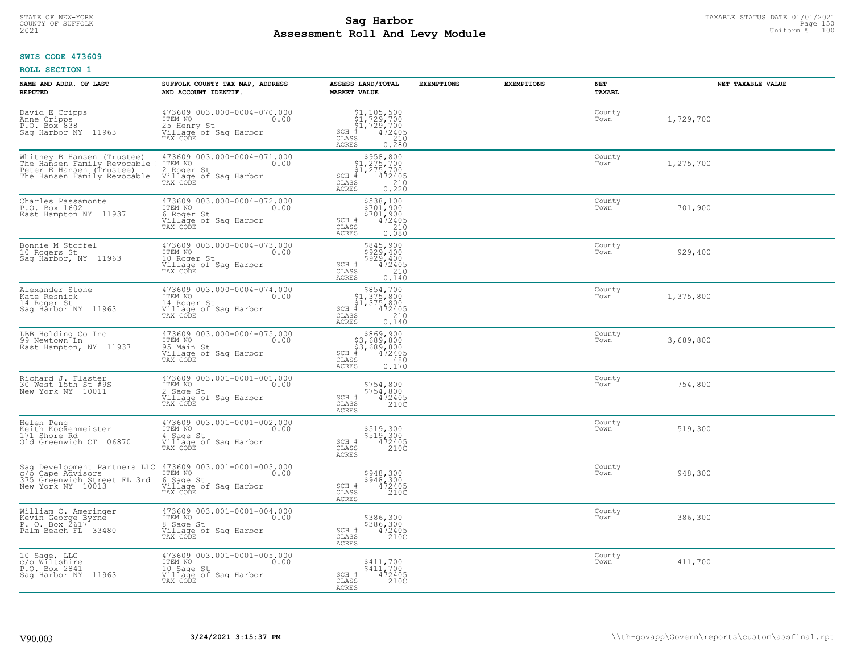# TAXABLE STATUS DATE 01/01/2021<br>COUNTY OF SUFFOLK Page 150 Page 150 **Assessment Roll And Levy Module Example 2021** Uniform  $\frac{1}{8}$  = 100

#### **SWIS CODE 473609**

| NAME AND ADDR. OF LAST<br><b>REPUTED</b>                                                                                    | SUFFOLK COUNTY TAX MAP, ADDRESS<br>AND ACCOUNT IDENTIF.                                            | ASSESS LAND/TOTAL<br><b>MARKET VALUE</b>                                                                                                                                                                                                                                                                               | <b>EXEMPTIONS</b> | <b>EXEMPTIONS</b> | NET<br><b>TAXABL</b> | NET TAXABLE VALUE |
|-----------------------------------------------------------------------------------------------------------------------------|----------------------------------------------------------------------------------------------------|------------------------------------------------------------------------------------------------------------------------------------------------------------------------------------------------------------------------------------------------------------------------------------------------------------------------|-------------------|-------------------|----------------------|-------------------|
| David E Cripps<br>Anne Cripps<br>P.O. Box 838<br>Saq Harbor NY 11963                                                        | 473609 003.000-0004-070.000<br>TTEM NO 0.00<br>25 Henry St<br>Village of Sag Harbor<br>TAX CODE    | $\begin{array}{c} \texttt{\$1,105,500} \\ \texttt{\$1,729,700} \\ \texttt{\$1,729,700} \\ \texttt{\$1,729,700} \\ \texttt{\$1,72405} \\ \texttt{\$10} \\ \texttt{\$10} \\ \texttt{\$10} \\ \texttt{\$10} \\ \texttt{\$10} \\ \texttt{\$210} \\ \texttt{\$12} \\ \texttt{\$28} \\ \end{array}$<br>SCH<br>CLASS<br>ACRES |                   |                   | County<br>Town       | 1,729,700         |
| Whitney B Hansen (Trustee)<br>The Hansen Family Revocable<br>Peter E Hansen (Trustee)<br>The Hansen Family Revocable        | 473609 003.000-0004-071.000<br>ITEM NO<br>0.00<br>2 Roger St<br>Village of Sag Harbor<br>TAX CODE  | $$958, 800$<br>$$1, 275, 700$<br>$$1, 275, 700$<br>$\begin{array}{r} \n 472405 \\  210 \\  0.220\n \end{array}$<br>$SCH$ #<br>CLASS<br>ACRES                                                                                                                                                                           |                   |                   | County<br>Town       | 1,275,700         |
| Charles Passamonte<br>P.O. Box 1602<br>East Hampton NY 11937                                                                | 473609 003.000-0004-072.000<br>ITEM NO<br>0.00<br>6 Roger St<br>Village of Sag Harbor<br>TAX CODE  | \$538,100<br>\$701,900<br>\$701,900<br>472405<br>SCH #<br>CLASS<br>210<br><b>ACRES</b><br>0.080                                                                                                                                                                                                                        |                   |                   | County<br>Town       | 701,900           |
| Bonnie M Stoffel<br>10 Rogers St<br>Saq Harbor, NY 11963                                                                    | 473609 003.000-0004-073.000<br>ITEM NO<br>0.00<br>10 Roger St<br>Village of Sag Harbor<br>TAX CODE | \$845,900<br>\$929,400<br>\$929,400<br>SCH #<br>$472405$<br>210<br>CLASS<br><b>ACRES</b><br>0.140                                                                                                                                                                                                                      |                   |                   | County<br>Town       | 929,400           |
| Alexander Stone<br>Kate Resnick<br>14 Roger St<br>Sag Harbor NY 11963                                                       | 473609 003.000-0004-074.000<br>ITEM NO<br>0.00<br>14 Roger St<br>Village of Sag Harbor<br>TAX CODE | $$854,700$<br>$$1,375,800$<br>$$1,375,800$<br>$472405$<br>$$240$<br>$$240$<br>$SCH$ #<br>CLASS<br><b>ACRES</b><br>0.140                                                                                                                                                                                                |                   |                   | County<br>Town       | 1,375,800         |
| LBB Holding Co Inc<br>99 Newtown Ln<br>East Hampton, NY 11937                                                               | 473609 003.000-0004-075.000<br>ITEM NO<br>0.00<br>95 Main St<br>Village of Sag Harbor<br>TAX CODE  | \$869,900<br>\$3,689,800<br>\$3,689,800<br>#492405<br>\$5,480<br>$SCH$ #<br>CLASS<br><b>ACRES</b><br>0.170                                                                                                                                                                                                             |                   |                   | County<br>Town       | 3,689,800         |
| Richard J. Flaster<br>30 West 15th St #9S<br>New York NY 10011                                                              | 473609 003.001-0001-001.000<br>ITEM NO<br>0.00<br>2 Sage St<br>Village of Sag Harbor<br>TAX CODE   | \$754,800<br>\$754,800<br>472405<br>210C<br>SCH #<br>CLASS<br>ACRES                                                                                                                                                                                                                                                    |                   |                   | County<br>Town       | 754,800           |
| Helen Peng<br>Keith Kockenmeister<br>171 Shore Rd<br>Old Greenwich CT 06870                                                 | 473609 003.001-0001-002.000<br>ITEM NO<br>0.00<br>4 Sage St<br>Village of Saq Harbor<br>TAX CODE   | \$519,300<br>\$519,300<br>472405<br>210C<br>SCH #<br>CLASS<br><b>ACRES</b>                                                                                                                                                                                                                                             |                   |                   | County<br>Town       | 519,300           |
| Sag Development Partners LLC<br>c/o Cape Advisors<br>375 Greenwich Stre<br>375 Greenwich Street FL 3rd<br>New York NY 10013 | 473609 003.001-0001-003.000<br>TTEM NO 0.00<br>6 Sage St<br>Village of Sag Harbor<br>TAX CODE      | \$948,300<br>\$948,300<br>472405<br>210C<br>SCH #<br>CLASS<br><b>ACRES</b>                                                                                                                                                                                                                                             |                   |                   | County<br>Town       | 948,300           |
| William C. Ameringer<br>Kevin George Byrne<br>P. 0. Box 2617<br>Palm Beach FL 33480                                         | 473609 003.001-0001-004.000<br>ITEM NO<br>0.00<br>8 Sage St<br>Village of Sag Harbor<br>TAX CODE   | \$386,300<br>\$386,300<br>472405<br>210C<br>$SCH$ $#$<br>CLASS<br>ACRES                                                                                                                                                                                                                                                |                   |                   | County<br>Town       | 386,300           |
| 10 Sage, LLC<br>c/o Wiltshire<br>P.O. Box 2841<br>Saq Harbor NY 11963                                                       | 473609 003.001-0001-005.000<br>ITEM NO<br>0.00<br>10 Sage St<br>Village of Sag Harbor<br>TAX CODE  | \$411,700<br>\$411,700<br>$\frac{472405}{2100}$<br>SCH #<br>CLASS<br>ACRES                                                                                                                                                                                                                                             |                   |                   | County<br>Town       | 411,700           |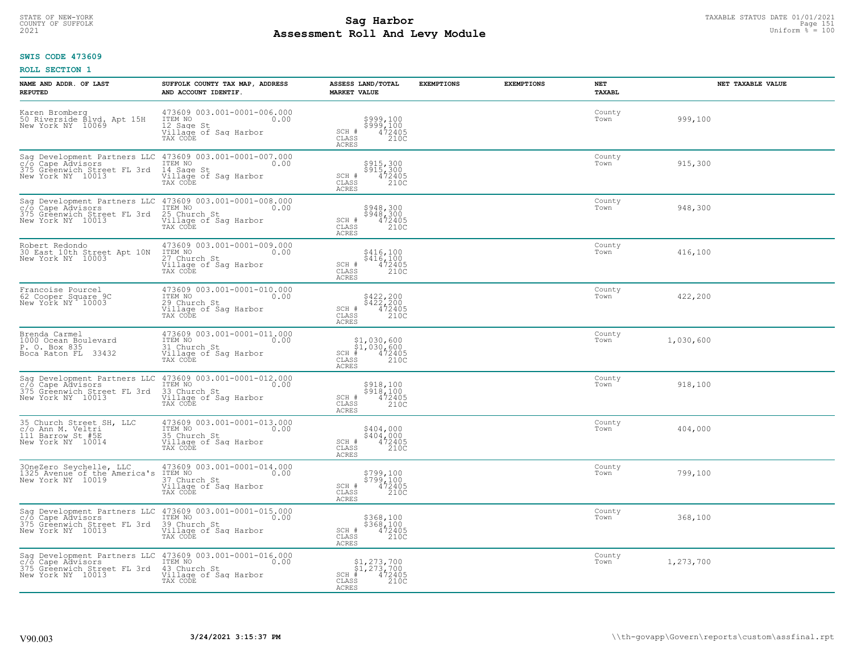# STATE OF NEW-YORK TAXABLE STATUS DATE 01/01/2021<br>COUNTY OF SUFFOLK Page 151 Page 151 **Assessment Roll And Levy Module Example 2021** Uniform  $\frac{1}{8}$  = 100

### **SWIS CODE 473609**

| NAME AND ADDR. OF LAST<br><b>REPUTED</b>                                                                                      | SUFFOLK COUNTY TAX MAP, ADDRESS<br>AND ACCOUNT IDENTIF.                                                                          | ASSESS LAND/TOTAL<br><b>MARKET VALUE</b>                                                  | <b>EXEMPTIONS</b> | <b>EXEMPTIONS</b> | <b>NET</b><br><b>TAXABL</b> | NET TAXABLE VALUE |
|-------------------------------------------------------------------------------------------------------------------------------|----------------------------------------------------------------------------------------------------------------------------------|-------------------------------------------------------------------------------------------|-------------------|-------------------|-----------------------------|-------------------|
| Karen Bromberg<br>50 Riverside Blvd. Apt 15H<br>New York NY 10069                                                             | 473609 003.001-0001-006.000<br>1TEM NO 0.00<br>12 Sage St<br>Village of Sag Harbor<br>TAX CODE                                   | \$999,100<br>\$999,100<br>472405<br>$SCH$ #<br>CLASS<br>210C<br><b>ACRES</b>              |                   |                   | County<br>Town              | 999,100           |
| c/o Cape Advisors<br>375 Greenwich Street FL 3rd<br>New York NY 10013                                                         | Sag Development Partners LLC 473609 003.001-0001-007.000<br>ITEM NO<br>0.00<br>14 Sage St<br>Village of Sag Harbor<br>TAX CODE   | \$915,300<br>\$915,300<br>SCH #<br>472405<br>210C<br>CLASS<br>ACRES                       |                   |                   | County<br>Town              | 915,300           |
| c/o Cape Advisors<br>375 Greenwich Street FL 3rd<br>New York NY 10013                                                         | Saq Development Partners LLC 473609 003.001-0001-008.000<br>ITEM NO<br>25 Church St<br>Village of Sag Harbor<br>TAX CODE         | \$948,300<br>\$948,300<br>SCH #<br>$\frac{472405}{2100}$<br>CLASS<br><b>ACRES</b>         |                   |                   | County<br>Town              | 948,300           |
| Robert Redondo<br>30 East 10th Street Apt 10N<br>New York NY 10003                                                            | 473609 003.001-0001-009.000<br>ITEM NO<br>0.00<br>27 Church St<br>Village of Sag Harbor<br>TAX CODE                              | \$416,100<br>\$416/100<br>SCH #<br>$\frac{472405}{2100}$<br>CLASS<br>ACRES                |                   |                   | County<br>Town              | 416,100           |
| Francoise Pourcel<br>62 Cooper Square 9C<br>New York NY 10003                                                                 | 473609 003.001-0001-010.000<br>ITEM NO 0.00<br>29 Church St<br>Village of Sag Harbor<br>TAX CODE                                 | \$422,200<br>\$422,200<br>472405<br>SCH #<br>CLASS<br>210C<br>ACRES                       |                   |                   | County<br>Town              | 422,200           |
| Brenda Carmel<br>1000 Ocean Boulevard<br>P. O. Box 835<br>Boca Raton FL 33432                                                 | 473609 003.001-0001-011.000<br>ITEM NO<br>0.00<br>31 Church St<br>Village of Sag Harbor<br>TAX CODE                              | $$1,030,600$<br>$$1,030,600$<br>$472405$<br>$SCH$ #<br>CLASS<br>210C<br><b>ACRES</b>      |                   |                   | County<br>Town              | 1,030,600         |
| Sag Development Partners LLC<br>c/o Cape Advisors<br>375 Greenwich Street FL 3rd<br>New York NY 10013                         | 473609 003.001-0001-012.000<br>ITEM NO<br>0.00<br>33 Church St<br>Village of Sag Harbor<br>TAX CODE                              | \$918,100<br>\$918,100<br>472405<br>SCH #<br>210C<br>CLASS<br><b>ACRES</b>                |                   |                   | County<br>Town              | 918,100           |
| 35 Church Street SH, LLC<br>c/o Ann M. Veltri<br>111 Barrow St #5E<br>New York NY 10014                                       | 473609 003.001-0001-013.000<br>ITEM NO 0.00<br>35 Church St<br>Village of Sag Harbor<br>TAX CODE                                 | \$404,000<br>\$404,000<br>472405<br>SCH #<br>CLASS<br>210C<br><b>ACRES</b>                |                   |                   | County<br>Town              | 404,000           |
| 30neZero Seychelle, LLC 473609 003.001-0001-014.000<br>1325 Avenue of the America's ITEM NO<br>New York NY 10019 37 Church St | Village of Saq Harbor<br>TAX CODE                                                                                                | \$799,100<br>\$799,100<br>472405<br>210C<br>SCH #<br>CLASS<br><b>ACRES</b>                |                   |                   | County<br>Town              | 799,100           |
| c/o Cape Advisors<br>375 Greenwich Street FL 3rd<br>New York NY 10013                                                         | Saq Development Partners LLC 473609 003.001-0001-015.000<br>ITEM NO<br>0.00<br>39 Church St<br>Village of Sag Harbor<br>TAX CODE | \$368,100<br>$$368/100$<br>$472405$<br>SCH #<br>CLASS<br>210C<br><b>ACRES</b>             |                   |                   | County<br>Town              | 368,100           |
| c/o Cape Advisors<br>375 Greenwich Street FL 3rd<br>New York NY 10013                                                         | Sag Development Partners LLC 473609 003.001-0001-016.000<br>ITEM NO<br>0.00<br>43 Church St<br>Village of Sag Harbor<br>TAX CODE | $$1, 273, 700$<br>$$1, 273, 700$<br>$$CH_*$ $472405$<br>$SCH$ #<br>CLASS<br>210C<br>ACRES |                   |                   | County<br>Town              | 1,273,700         |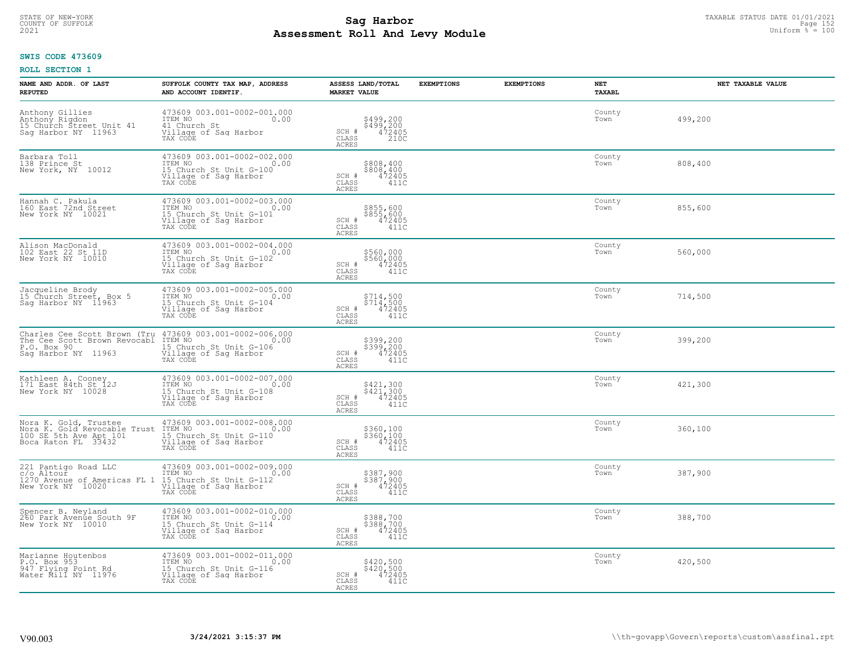# TAXABLE STATUS DATE 01/01/2021<br>COUNTY OF SUFFOLK Page 152 Page 152 **Assessment Roll And Levy Module Example 2021** Uniform  $\frac{1}{8}$  = 100

#### **SWIS CODE 473609**

| NAME AND ADDR. OF LAST<br><b>REPUTED</b>                                                                                       | SUFFOLK COUNTY TAX MAP, ADDRESS<br>AND ACCOUNT IDENTIF.                                                             | ASSESS LAND/TOTAL<br><b>MARKET VALUE</b>                                              | <b>EXEMPTIONS</b> | <b>EXEMPTIONS</b> | <b>NET</b><br>TAXABL | NET TAXABLE VALUE |
|--------------------------------------------------------------------------------------------------------------------------------|---------------------------------------------------------------------------------------------------------------------|---------------------------------------------------------------------------------------|-------------------|-------------------|----------------------|-------------------|
| Anthony Gillies<br>Anthony Rigdon<br>15 Church Street Unit 41<br>Sag Harbor NY 11963                                           | 473609 003.001-0002-001.000<br>ITEM NO<br>0.00<br>41 Church St<br>Village of Sag Harbor<br>TAX CODE                 | \$499,200<br>\$499,200<br>472405<br>SCH #<br>CLASS<br>210C<br><b>ACRES</b>            |                   |                   | County<br>Town       | 499,200           |
| Barbara Toll<br>138 Prince St<br>New York, NY 10012                                                                            | 473609 003.001-0002-002.000<br>TTEM NO 0.00<br>15 Church St Unit G-100<br>Village of Sag Harbor<br>TAX CODE         | \$808,400<br>\$808,400<br>472405<br>SCH #<br>CLASS<br>411C<br><b>ACRES</b>            |                   |                   | County<br>Town       | 808,400           |
| Hannah C. Pakula<br>160 East 72nd Street<br>New York NY 10021                                                                  | 473609 003.001-0002-003.000<br>ITEM NO<br>0.00<br>15 Church St Unit G-101<br>Village of Sag Harbor<br>TAX CODE      | \$855,600<br>\$855,600<br>472405<br>SCH #<br>$\mathtt{CLASS}$<br>411C<br><b>ACRES</b> |                   |                   | County<br>Town       | 855,600           |
| Alison MacDonald<br>102 East 22 St 11D<br>New York NY 10010                                                                    | 473609 003.001-0002-004.000<br>ITEM NO<br>L5 Church St Unit G-102<br>Village of Saq Harbor<br>TAX CODE              | \$560,000<br>\$560,000<br>472405<br>411C<br>SCH #<br>CLASS<br>ACRES                   |                   |                   | County<br>Town       | 560,000           |
| Jacqueline Brody<br>15 Church Street, Box 5<br>Sag Harbor NY 11963                                                             | 473609 003.001-0002-005.000<br>TTEM NO 0.00<br>0.00<br>15 Church St Unit G-104<br>Village of Sag Harbor<br>TAX CODE | \$714,500<br>\$714,500<br>472405<br>SCH #<br>CLASS<br>411C<br>ACRES                   |                   |                   | County<br>Town       | 714,500           |
| Charles Cee Scott Brown (Tru 473609 003.001-0002-006.000<br>The Cee Scott Brown Revocabl<br>P.O. Box 90<br>Saq Harbor NY 11963 | ITEM NO<br>0.00<br>15 Church St Unit G-106<br>Village of Sag Harbor<br>TAX CODE                                     | \$399,200<br>\$399,200<br>472405<br>SCH #<br>CLASS<br>411C<br>ACRES                   |                   |                   | County<br>Town       | 399,200           |
| Kathleen A. Cooney<br>171 East 84th St 12J<br>New York NY 10028                                                                | 473609 003.001-0002-007.000<br>ITEM NO<br>0.00<br>15 Church St Unit G-108<br>Village of Sag Harbor<br>TAX CODE      | \$421,300<br>\$421,300<br>472405<br>SCH #<br>CLASS<br>411C<br>ACRES                   |                   |                   | County<br>Town       | 421,300           |
| Nora K. Gold, Trustee<br>Nora K. Gold Revocable Trust<br>100 SE 5th Ave Apt 101<br>Boca Raton FL 33432                         | 473609 003.001-0002-008.000<br>0.00 0.00<br>11ER No<br>15 Church St Unit G-110<br>Village of Sag Harbor<br>TAX CODE | \$360,100<br>\$360,100<br>472405<br>SCH #<br>CLASS<br>411C<br>ACRES                   |                   |                   | County<br>Town       | 360,100           |
| 221 Pantigo Road LLC<br>c/o Altour<br>1270 Avenue of Americas FL 1<br>New York NY 10020                                        | 473609 003.001-0002-009.000<br>ITEM NO<br>0.00<br>15 Church St Unit G-112<br>Village of Sag Harbor<br>TAX CODE      | \$387,900<br>\$387,900<br>472405<br>SCH #<br>CLASS<br>411C<br><b>ACRES</b>            |                   |                   | County<br>Town       | 387,900           |
| Spencer B. Neyland<br>260 Park Avenue South 9F<br>New York NY 10010                                                            | 473609 003.001-0002-010.000<br>ITEM NO<br>0.00<br>15 Church St Unit G-114<br>Village of Sag Harbor<br>TAX CODE      | \$388,700<br>\$388,700<br>472405<br>$SCH$ $#$<br>CLASS<br>411C<br><b>ACRES</b>        |                   |                   | County<br>Town       | 388,700           |
| Marianne Houtenbos<br>P.O. Box 953<br>947 Flying Point Rd<br>Water Mill NY 11976                                               | 473609 003.001-0002-011.000<br>ITEM NO<br>0.00<br>15 Church St Unit G-116<br>Village of Sag Harbor<br>TAX CODE      | \$420,500<br>\$420,500<br>472405<br>SCH #<br>CLASS<br>411C<br>ACRES                   |                   |                   | County<br>Town       | 420,500           |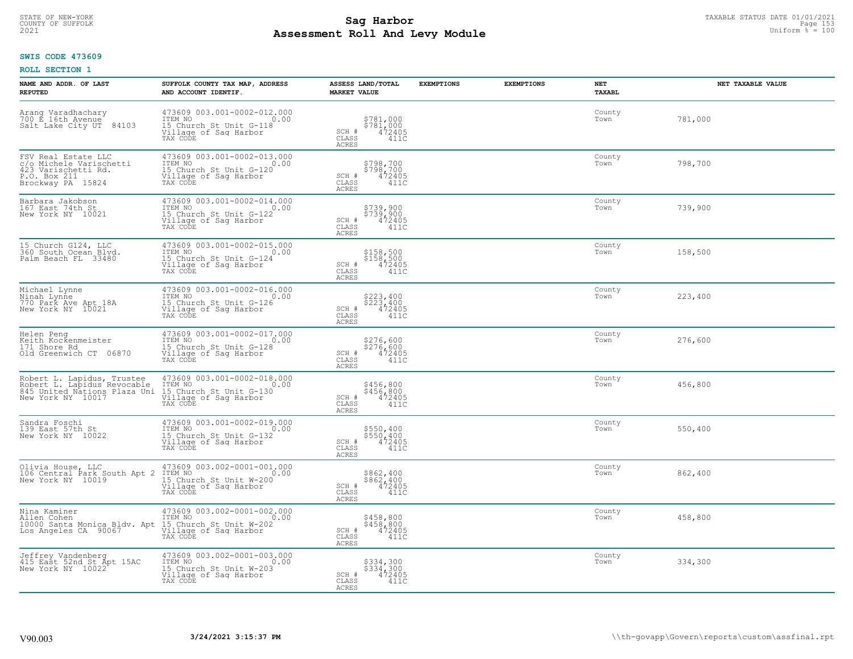# TAXABLE STATUS DATE 01/01/2021<br>COUNTY OF SUFFOLK Page 153 **Assessment Roll And Levy Module Example 2021** Uniform  $\frac{1}{8}$  = 100

#### **SWIS CODE 473609**

| NAME AND ADDR. OF LAST<br><b>REPUTED</b>                                                                        | SUFFOLK COUNTY TAX MAP, ADDRESS<br>AND ACCOUNT IDENTIF.                                                        | ASSESS LAND/TOTAL<br><b>MARKET VALUE</b>                                                                            | <b>EXEMPTIONS</b> | <b>EXEMPTIONS</b> | NET<br><b>TAXABL</b> | NET TAXABLE VALUE |
|-----------------------------------------------------------------------------------------------------------------|----------------------------------------------------------------------------------------------------------------|---------------------------------------------------------------------------------------------------------------------|-------------------|-------------------|----------------------|-------------------|
| Arang Varadhachary<br>700 E_16th_Avenue<br>84103<br>Salt Lake City UT                                           | 473609 003.001-0002-012.000<br>ITEM NO<br>0.00<br>15 Church St Unit G-118<br>Village of Sag Harbor<br>TAX CODE | \$781,000<br>\$781,000<br>472405<br>$\begin{array}{c} \text{SCH} \ \# \\ \text{CLASS} \end{array}$<br>411C<br>ACRES |                   |                   | County<br>Town       | 781,000           |
| FSV Real Estate LLC<br>c/o Michele Varischetti<br>423 Varischetti Rd.<br>P.O. Box 211<br>Brockway PA 15824      | 473609 003.001-0002-013.000<br>ITEM NO<br>0.00<br>15 Church St Unit G-120<br>Village of Sag Harbor<br>TAX CODE | \$798,700<br>\$798,700<br>472405<br>SCH #<br>CLASS<br>411C<br>ACRES                                                 |                   |                   | County<br>Town       | 798,700           |
| Barbara Jakobson<br>167 East 74th St<br>New York NY 10021                                                       | 473609 003.001-0002-014.000<br>ITEM NO<br>0.00<br>15 Church St Unit G-122<br>Village of Sag Harbor<br>TAX CODE | \$739,900<br>\$739,900<br>472405<br>411C<br>SCH #<br>CLASS<br>ACRES                                                 |                   |                   | County<br>Town       | 739,900           |
| 15 Church G124, LLC<br>360 South Ocean Blyd.<br>Palm Beach FL 33480                                             | 473609 003.001-0002-015.000<br>TTEM NO 0.00<br>15 Church St Unit G-124<br>Village of Sag Harbor<br>TAX CODE    | \$158,500<br>\$158,500<br>472405<br>SCH #<br>CLASS<br>411C<br>ACRES                                                 |                   |                   | County<br>Town       | 158,500           |
| Michael Lynne<br>Ninah Lynne<br>770 Park Ave Apt 18A<br>New York NY 10021                                       | 473609 003.001-0002-016.000<br>ITEM NO<br>0.00<br>15 Church St Unit G-126<br>Village of Sag Harbor<br>TAX CODE | \$223,400<br>\$223,400<br>472405<br>SCH #<br>CLASS<br>411C<br><b>ACRES</b>                                          |                   |                   | County<br>Town       | 223,400           |
| Helen Peng<br>Keith Kockenmeister<br>171 Shore Rd<br>Old Greenwich CT 06870                                     | 473609 003.001-0002-017.000<br>ITEM NO<br>0.00<br>15 Church St Unit G-128<br>Village of Sag Harbor<br>TAX CODE | \$276,600<br>\$276,600<br>472405<br>SCH #<br>CLASS<br>411C<br>ACRES                                                 |                   |                   | County<br>Town       | 276,600           |
| Robert L. Lapidus, Trustee<br>Robert L. Lapidus Revocable<br>845 United Nations Plaza United Nations Plaza Unit | 473609 003.001-0002-018.000<br>ITEM NO<br>0.00<br>15 Church St Unit G-130<br>Village of Sag Harbor<br>TAX CODE | \$456,800<br>$$456,800$<br>$472405$<br>SCH #<br>$\mathtt{CLASS}$<br>411C<br><b>ACRES</b>                            |                   |                   | County<br>Town       | 456,800           |
| Sandra Foschi<br>139 East 57th St<br>New York NY 10022                                                          | 473609 003.001-0002-019.000<br>ITEM NO<br>0.00<br>15 Church St Unit G-132<br>Village of Sag Harbor<br>TAX CODE | \$550,400<br>\$550,400<br>472405<br>SCH #<br>CLASS<br>411C<br>ACRES                                                 |                   |                   | County<br>Town       | 550,400           |
| Olivia House, LLC<br>106 Central Park South Apt 2<br>New York NY 10019                                          | 473609 003.002-0001-001.000<br>ITEM NO<br>0.00<br>15 Church St Unit W-200<br>Village of Sag Harbor<br>TAX CODE | \$862,400<br>\$862,400<br>472405<br>SCH #<br>CLASS<br>411C<br><b>ACRES</b>                                          |                   |                   | County<br>Town       | 862,400           |
| Nina Kaminer<br>Allen Cohen<br>10000 Santa Monica Bldv. Apt<br>Los Angeles CA 90067                             | 473609 003.002-0001-002.000<br>ITEM NO<br>0.00<br>15 Church St Unit W-202<br>Village of Sag Harbor<br>TAX CODE | \$458,800<br>\$458,800<br>472405<br>SCH #<br>CLASS<br>411C<br>ACRES                                                 |                   |                   | County<br>Town       | 458,800           |
| Jeffrey Vandenberg<br>415 East 52nd St Apt 15AC<br>New York NY 10022                                            | 473609 003.002-0001-003.000<br>ITEM NO<br>0.00<br>15 Church St Unit W-203<br>Village of Sag Harbor<br>TAX CODE | \$334,300<br>\$334,300<br>472405<br>SCH #<br>CLASS<br>411C<br>ACRES                                                 |                   |                   | County<br>Town       | 334,300           |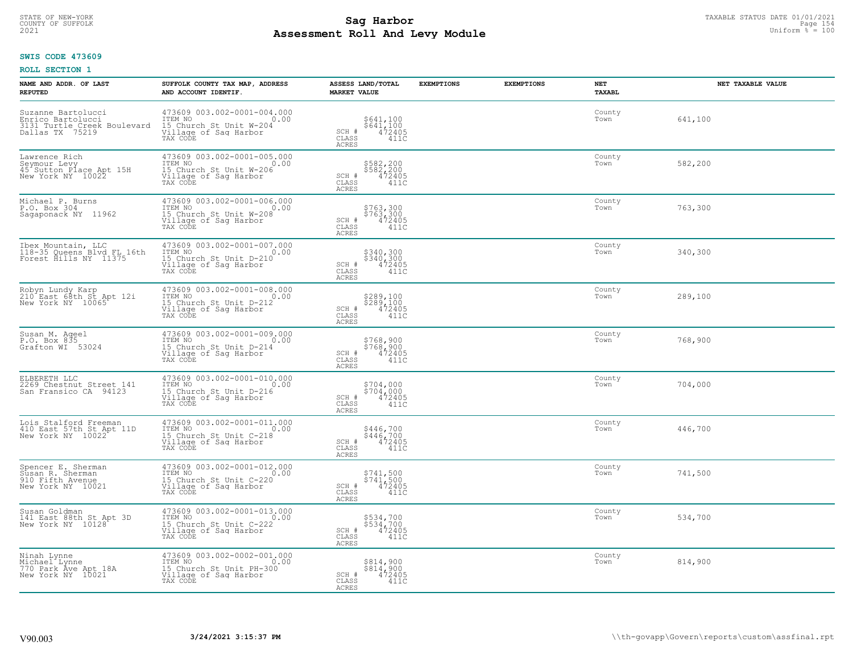# TAXABLE STATUS DATE 01/01/2021<br>COUNTY OF SUFFOLK Page 154 **Assessment Roll And Levy Module Example 2021** Uniform  $\frac{1}{8}$  = 100

### **SWIS CODE 473609**

| NAME AND ADDR. OF LAST<br><b>REPUTED</b>                                                   | SUFFOLK COUNTY TAX MAP, ADDRESS<br>AND ACCOUNT IDENTIF.                                                         | ASSESS LAND/TOTAL<br><b>MARKET VALUE</b>                                                                            | <b>EXEMPTIONS</b> | <b>EXEMPTIONS</b> | NET<br><b>TAXABL</b> | NET TAXABLE VALUE |
|--------------------------------------------------------------------------------------------|-----------------------------------------------------------------------------------------------------------------|---------------------------------------------------------------------------------------------------------------------|-------------------|-------------------|----------------------|-------------------|
| Suzanne Bartolucci<br>Enrico Bartolucci<br>3131 Turtle Creek Boulevard<br>Dallas TX 75219  | 473609 003.002-0001-004.000<br>TTEM NO 0.00<br>15 Church St Unit W-204<br>Village of Saq Harbor<br>TAX CODE     | \$641,100<br>\$641,100<br>472405<br>$\begin{array}{c} \text{SCH} \ \# \\ \text{CLASS} \end{array}$<br>411C<br>ACRES |                   |                   | County<br>Town       | 641,100           |
| Lawrence Rich<br>Seymour Levy<br>45 <sup>-</sup> Sutton Place Apt 15H<br>New York NY 10022 | 473609 003.002-0001-005.000<br>ITEM NO<br>0.00<br>15 Church St Unit W-206<br>Village of Sag Harbor<br>TAX CODE  | \$582,200<br>\$582,200<br>472405<br>SCH #<br>CLASS<br>411C<br>ACRES                                                 |                   |                   | County<br>Town       | 582,200           |
| Michael P. Burns<br>P.O. Box 304<br>Sagaponack NY 11962                                    | 473609 003.002-0001-006.000<br>ITEM NO<br>0.00<br>IS Church St Unit W-208<br>Village of Sag Harbor<br>TAX CODE  | \$763,300<br>\$763,300<br>472405<br>411C<br>SCH #<br>CLASS<br>ACRES                                                 |                   |                   | County<br>Town       | 763,300           |
| Ibex Mountain, LLC<br>118-35 Queens Blvd FL 16th<br>Forest Hills NY 11375                  | 473609 003.002-0001-007.000<br>ITEM NO<br>0.00<br>115 Church St Unit D-210<br>Village of Saq Harbor<br>TAX CODE | \$340,300<br>\$340,300<br>472405<br>SCH #<br>CLASS<br>411C<br>ACRES                                                 |                   |                   | County<br>Town       | 340,300           |
| Robyn Lundy Karp<br>210 East 68th St Apt 12i<br>New York NY 10065                          | 473609 003.002-0001-008.000<br>ITEM NO<br>0.00<br>15 Church St Unit D-212<br>Village of Sag Harbor<br>TAX CODE  | \$289,100<br>\$289,100<br>472405<br>SCH #<br>CLASS<br>411C<br><b>ACRES</b>                                          |                   |                   | County<br>Town       | 289,100           |
| Susan M. Aqeel<br>P.O. Box 835<br>Grafton WI 53024                                         | 473609 003.002-0001-009.000<br>ITEM NO<br>0.00<br>15 Church St Unit D-214<br>Village of Sag Harbor<br>TAX CODE  | \$768,900<br>\$768,900<br>472405<br>SCH #<br>CLASS<br>411C<br>ACRES                                                 |                   |                   | County<br>Town       | 768,900           |
| ELBERETH LLC<br>2269 Chestnut Street 141<br>San Fransico CA 94123                          | 473609 003.002-0001-010.000<br>ITEM NO<br>0.00<br>15 Church St Unit D-216<br>Village of Sag Harbor<br>TAX CODE  | \$704,000<br>\$704,000<br>472405<br>SCH #<br>$\mathtt{CLASS}$<br>411C<br><b>ACRES</b>                               |                   |                   | County<br>Town       | 704,000           |
| Lois Stalford Freeman<br>410 East 57th St Apt 11D<br>New York NY 10022                     | 473609 003.002-0001-011.000<br>ITEM NO<br>0.00<br>15 Church St Unit C-218<br>Village of Saq Harbor<br>TAX CODE  | \$446,700<br>\$446,700<br>472405<br>SCH #<br>CLASS<br>411C<br>ACRES                                                 |                   |                   | County<br>Town       | 446,700           |
| Spencer E. Sherman<br>Susan R. Sherman<br>910 Fifth Avenue<br>New York NY 10021            | 473609 003.002-0001-012.000<br>ITEM NO<br>0.00<br>15 Church St Unit C-220<br>Village of Saq Harbor<br>TAX CODE  | \$741,500<br>\$741,500<br>472405<br>SCH #<br>CLASS<br>411C<br><b>ACRES</b>                                          |                   |                   | County<br>Town       | 741,500           |
| Susan Goldman<br>141 East 88th St Apt 3D<br>New York NY 10128                              | 473609 003.002-0001-013.000<br>ITEM NO<br>0.00<br>15 Church St Unit C-222<br>Village of Sag Harbor<br>TAX CODE  | \$534,700<br>\$534,700<br>472405<br>SCH #<br>CLASS<br>411C<br>ACRES                                                 |                   |                   | County<br>Town       | 534,700           |
| Ninah Lynne<br>Michael Lynne<br>770 Park Ave Apt 18A<br>New York NY 10021                  | 473609 003.002-0002-001.000<br>ITEM NO<br>0.00<br>15 Church St Unit PH-300<br>Village of Sag Harbor<br>TAX CODE | \$814,900<br>\$814,900<br>472405<br>SCH #<br>CLASS<br>411C<br>ACRES                                                 |                   |                   | County<br>Town       | 814,900           |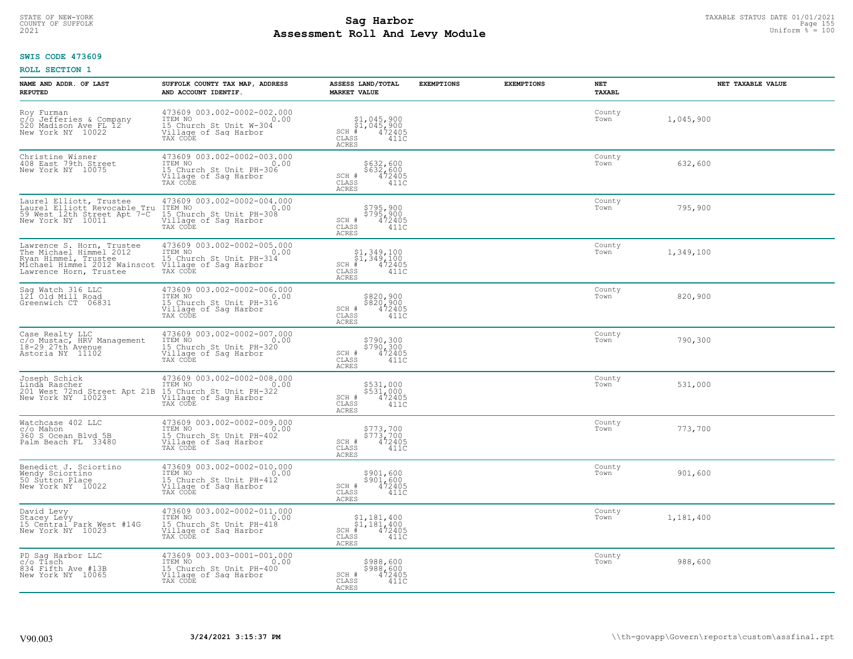# TAXABLE STATUS DATE 01/01/2021<br>COUNTY OF SUFFOLK Page 155 **Assessment Roll And Levy Module Example 2021** Uniform  $\frac{1}{8}$  = 100

#### **SWIS CODE 473609**

| NAME AND ADDR. OF LAST<br><b>REPUTED</b>                                                                                               | SUFFOLK COUNTY TAX MAP, ADDRESS<br>AND ACCOUNT IDENTIF.                                                                                 | ASSESS LAND/TOTAL<br><b>MARKET VALUE</b>                                                                               | <b>EXEMPTIONS</b> | <b>EXEMPTIONS</b> | <b>NET</b><br>TAXABL | NET TAXABLE VALUE |
|----------------------------------------------------------------------------------------------------------------------------------------|-----------------------------------------------------------------------------------------------------------------------------------------|------------------------------------------------------------------------------------------------------------------------|-------------------|-------------------|----------------------|-------------------|
| Roy Furman<br>c/o Jefferies & Company<br>520 Madison Ave FL 12<br>New York NY 10022                                                    | 473609 003.002-0002-002.000<br>ITEM NO<br>0.00<br>15 Church St Unit W-304<br>Village of Saq Harbor<br>TAX CODE                          | $\begin{array}{c} $1,045,900 \ $1,045,900 \ \ast \ 4 \ 472405 \end{array}$<br>$SCH$ #<br>CLASS<br>411C<br><b>ACRES</b> |                   |                   | County<br>Town       | 1,045,900         |
| Christine Wisner<br>408 East 79th Street<br>New York NY 10075                                                                          | 473609 003.002-0002-003.000<br>ITEM NO<br>0.00<br>15 Church St Unit PH-306<br>Village of Sag Harbor<br>TAX CODE                         | \$632,600<br>\$632,600<br>472405<br>SCH #<br>CLASS<br>411C<br><b>ACRES</b>                                             |                   |                   | County<br>Town       | 632,600           |
| Laurel Elliott, Trustee<br>Laurel Elliott Revocable Tru<br>59 West 12th Street Apt 7-C<br>New York NY 10011                            | 473609 003.002-0002-004.000<br>ITEM NO<br>15 Church St Unit PH-308<br>Village of Sag Harbor<br>TAX CODE                                 | \$795,900<br>\$795,900<br>472405<br>SCH #<br>$\mathtt{CLASS}$<br>411C<br><b>ACRES</b>                                  |                   |                   | County<br>Town       | 795,900           |
| Lawrence S. Horn, Trustee<br>The Michael Himmel 2012<br>Ryan Himmel, Trustee<br>Michael Himmel 2012 Wainscot<br>Lawrence Horn, Trustee | 473609 003.002-0002-005.000<br>ITEM NO<br>15 Church St Unit PH-314<br>Village of Saq Harbor<br>TAX CODE                                 | $\begin{array}{c} $1,349,100 \ $1,349,100 \ \pm \ 472405 \end{array}$<br>$SCH$ #<br>CLASS<br>411C<br>ACRES             |                   |                   | County<br>Town       | 1,349,100         |
| Sag Watch 316 LLC<br>121 Old Mill Road<br>Greenwich CT 06831                                                                           | 473609 003.002-0002-006.000<br>ITEM NO<br>0.00<br>15 Church St Unit PH-316<br>Village of Saq Harbor                                     | \$820,900<br>\$820,900<br>472405<br>SCH #<br>CLASS<br>411C<br>ACRES                                                    |                   |                   | County<br>Town       | 820,900           |
| Case Realty LLC<br>c/o Mustac, HRV Management<br>18-29 27th Avenue<br>Astoria NY 11102                                                 | 473609 003.002-0002-007.000<br>ITEM NO<br>0.00<br>15 Church St Unit PH-320<br>Village of Sag Harbor<br>TAX CODE                         | \$790,300<br>\$790,300<br>472405<br>SCH #<br>CLASS<br>411C<br>ACRES                                                    |                   |                   | County<br>Town       | 790,300           |
| Joseph Schick<br>Linda Rascher<br>201 West 72nd Street Apt 21B<br>New York NY 10023                                                    | 473609 003.002-0002-008.000<br>ITEM NO<br>0.00<br>15 Church St Unit PH-322<br>Village of Sag Harbor<br>TAX CODE                         | \$531,000<br>\$531,000<br>472405<br>SCH #<br>CLASS<br>411C<br>ACRES                                                    |                   |                   | County<br>Town       | 531,000           |
| Watchcase 402 LLC<br>c/o Mahon<br>360 S Ocean Blvd 5B<br>Palm Beach FL 33480                                                           | 473609 003.002-0002-009.000<br>TTEM NO 0.00<br>0.00<br>15 Church St Unit PH-402<br>Village of Sag Harbor<br>TAX CODE                    | \$773,700<br>\$773,700<br>472405<br>SCH #<br>CLASS<br>411C<br><b>ACRES</b>                                             |                   |                   | County<br>Town       | 773,700           |
| Benedict J. Sciortino<br>Wendy Sciortino<br>50 Sutton Place<br>New York NY 10022                                                       | 473609 003.002-0002-010.000<br>TTEM NO 0.00<br>15 Church St Unit PH-412<br>Village of Saq Harbor<br>TAX CODE                            | \$901,600<br>\$901,600<br>472405<br>SCH #<br>CLASS<br>411C<br><b>ACRES</b>                                             |                   |                   | County<br>Town       | 901,600           |
| David Levy<br>Stacey Levy<br>15 Central Park West #14G<br>New York NY 10023                                                            | 473609 003.002-0002-011.000<br>ITEM NO<br>0.00<br>15 Church St Unit PH-418<br>Village of Sag Harbor<br>TAX CODE                         | $\begin{array}{c} $1,181,400 \ $1,181,400 \ $1,4905 \ \end{array}$<br>$SCH$ #<br>CLASS<br>411C<br>ACRES                |                   |                   | County<br>Town       | 1,181,400         |
| PD Sag Harbor LLC<br>c/o Tisch<br>834 Fifth Ave #13B<br>New York NY 10065                                                              | 473609 003.003-0001-001.000<br>TEM NO<br>IS Church St Unit PH-400<br>Village of Sag Harbor<br>Village of Sag Harbor<br>TAX CODE<br>0.00 | \$988,600<br>\$988,600<br>472405<br>SCH #<br>CLASS<br>411C<br>ACRES                                                    |                   |                   | County<br>Town       | 988,600           |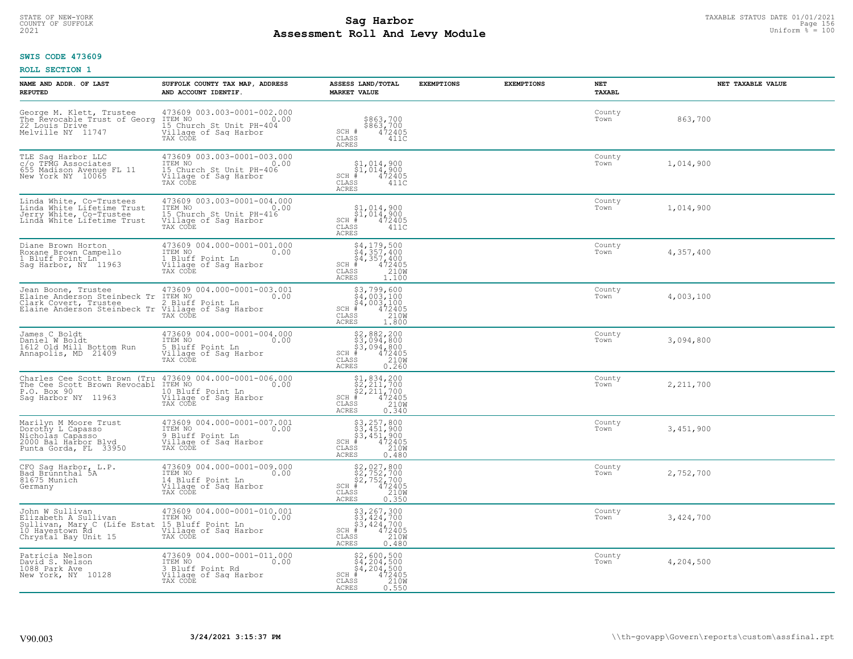# TAXABLE STATUS DATE 01/01/2021<br>COUNTY OF SUFFOLK Page 156 **Assessment Roll And Levy Module Example 2021** Uniform  $\frac{1}{8}$  = 100

#### **SWIS CODE 473609**

| NAME AND ADDR. OF LAST<br><b>REPUTED</b>                                                                           | SUFFOLK COUNTY TAX MAP, ADDRESS<br>AND ACCOUNT IDENTIF.                                                         | ASSESS LAND/TOTAL<br><b>MARKET VALUE</b>                                                                                                         | <b>EXEMPTIONS</b> | <b>EXEMPTIONS</b> | NET<br><b>TAXABL</b> | NET TAXABLE VALUE |
|--------------------------------------------------------------------------------------------------------------------|-----------------------------------------------------------------------------------------------------------------|--------------------------------------------------------------------------------------------------------------------------------------------------|-------------------|-------------------|----------------------|-------------------|
| George M. Klett, Trustee<br>The Revocable Trust of Georg<br>22 Louis Drive<br>Melville NY 11747                    | 473609 003.003-0001-002.000<br>ITEM NO<br>0.00<br>15 Church St Unit PH-404<br>Village of Saq Harbor<br>TAX CODE | \$863,700<br>\$863,700<br>472405<br>SCH #<br>CLASS<br>411C<br><b>ACRES</b>                                                                       |                   |                   | County<br>Town       | 863,700           |
| TLE Saq Harbor LLC<br>c/o TFMG Associates<br>655 Madison Avenue FL 11<br>New York NY 10065                         | 473609 003.003-0001-003.000<br>ITEM NO<br>0.00<br>15 Church St Unit PH-406<br>Village of Sag Harbor<br>TAX CODE | $$1,014,900$<br>$$1,014,900$<br>472405<br>SCH #<br>CLASS<br>411C<br><b>ACRES</b>                                                                 |                   |                   | County<br>Town       | 1,014,900         |
| Linda White, Co-Trustees<br>Linda White Lifetime Trust<br>Jerry White, Co-Trustee<br>Linda White Lifetime Trust    | 473609 003.003-0001-004.000<br>ITEM NO<br>0.00<br>15 Church St Unit PH-416<br>Village of Sag Harbor<br>TAX CODE | \$1,014,900<br>$\frac{5}{4}$ 1,014,900<br># 472405<br>$SCH$ #<br>CLASS<br>411C<br>ACRES                                                          |                   |                   | County<br>Town       | 1,014,900         |
| Diane Brown Horton<br>Roxane Brown Campello<br>1 Bluff Point Ln <sup>2</sup><br>Sag Harbor, NY 11963               | 473609 004.000-0001-001.000<br>ITEM NO<br>0.00<br>1 Bluff Point Ln<br>Village of Sag Harbor<br>TAX CODE         | \$4,179,500<br>\$4,357,400<br>$\begin{array}{r} 34,357,400 \\ * & 472405 \\ * & 210W \\ * & 1.100 \end{array}$<br>SCH #<br>CLASS<br><b>ACRES</b> |                   |                   | County<br>Town       | 4,357,400         |
| Jean Boone, Trustee<br>Elaine Anderson Steinbeck Tr<br>Clark Covert, Trustee<br>Elaine Anderson Steinbeck Tr       | 473609 004.000-0001-003.001<br>ITEM NO<br>0.00<br>2 Bluff Point Ln<br>Village of Sag Harbor<br>TAX CODE         | \$3,799,600<br>$\frac{5}{4}$ , 003, 100<br>$\frac{1}{4}$ , 003, 100<br>$+$ 472405<br>SS 210W<br>$SCH$ #<br>CLASS<br><b>ACRES</b><br>1.800        |                   |                   | County<br>Town       | 4,003,100         |
| James C Boldt<br>Daniel W Boldt<br>1612 Old Mill Bottom Run<br>Annapolis, MD 21409                                 | 473609 004.000-0001-004.000<br>ITEM NO<br>0.00<br>5 Bluff Point Ln<br>Village of Sag Harbor<br>TAX CODE         | \$2,882,200<br>\$3,094,800<br>\$3,094,800<br># 472405<br>\$5 210M<br>$SCH$ #<br>CLASS<br><b>ACRES</b><br>0.260                                   |                   |                   | County<br>Town       | 3,094,800         |
| Charles Cee Scott Brown (Tru<br>The Cee Scott Brown Revocabl<br>P.O. Box 90<br>Saq Harbor NY 11963                 | 473609 004.000-0001-006.000<br>ITEM NO<br>0.00<br>10 Bluff Point Ln<br>Village of Sag Harbor<br>TAX CODE        | $$1,834,200$<br>$$2,211,700$<br>$$2,211,700$<br>$$472405$<br>$SCH$ #<br>210W<br>CLASS<br><b>ACRES</b><br>0.340                                   |                   |                   | County<br>Town       | 2,211,700         |
| Marilyn M Moore Trust<br>Dorothy L Capasso<br>Nicholas Capasso<br>2000 Bal Harbor Blyd<br>Punta Gorda, FL 33950    | 473609 004.000-0001-007.001<br>TTEM NO 0.00<br>9 Bluff Point Ln<br>Village of Saq Harbor<br>TAX CODE            | $$3, 257, 800$<br>$$3, 451, 900$<br>$$451, 900$<br>$$472405$<br>SCH #<br>CLASS<br>210W<br><b>ACRES</b><br>0.480                                  |                   |                   | County<br>Town       | 3,451,900         |
| CFO Sag Harbor, L.P.<br>Bad_Brunnthal 5A<br>81675 Munich<br>Germany                                                | 473609 004.000-0001-009.000<br>TTEM NO 0.00<br>14 Bluff Point Ln<br>Village of Sag Harbor<br>TAX CODE           | $$2,027,800$<br>$$2,752,700$<br>$$472405$<br>$$472405$<br>$$210M$<br>$SCH$ #<br>CLASS<br><b>ACRES</b><br>0.350                                   |                   |                   | County<br>Town       | 2,752,700         |
| John W Sullivan<br>Elizabeth A Sullivan<br>Sullivan, Mary C (Life Estat<br>10 Hayestown Rd<br>Chrystal Bay Unit 15 | 473609 004.000-0001-010.001<br>ITEM NO<br>0.00<br>15 Bluff Point Ln<br>Village of Sag Harbor<br>TAX CODE        | \$3,267,300<br>\$3,424,700<br>\$3,424,700<br># 472405<br>\$5 210M<br>SCH<br>CLASS<br><b>ACRES</b><br>0.480                                       |                   |                   | County<br>Town       | 3,424,700         |
| Patricia Nelson<br>David S. Nelson<br>1088 Park Ave<br>New York, NY 10128                                          | 473609 004.000-0001-011.000<br>ITEM NO<br>0.00<br>3 Bluff Point Rd<br>Village of Sag Harbor<br>TAX CODE         | $$4, 204, 500$<br>$$4, 204, 500$<br>$$4, 204, 500$<br>$SCH$ #<br>472405<br>210W<br>CLASS<br><b>ACRES</b><br>0.550                                |                   |                   | County<br>Town       | 4,204,500         |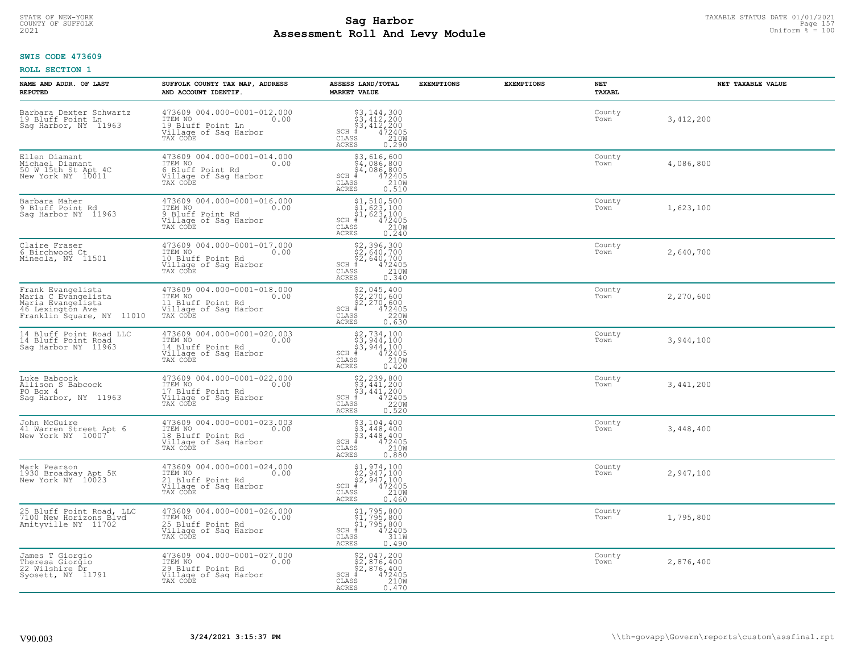# TAXABLE STATUS DATE 01/01/2021<br>COUNTY OF SUFFOLK Page 157 **Assessment Roll And Levy Module Example 2021** Uniform  $\frac{1}{8}$  = 100

#### **SWIS CODE 473609**

| NAME AND ADDR. OF LAST<br><b>REPUTED</b>                                                                                                         | SUFFOLK COUNTY TAX MAP, ADDRESS<br>AND ACCOUNT IDENTIF.                                                                    | ASSESS LAND/TOTAL<br><b>MARKET VALUE</b>                                                                                       | <b>EXEMPTIONS</b> | <b>EXEMPTIONS</b> | NET<br>TAXABL  | NET TAXABLE VALUE |
|--------------------------------------------------------------------------------------------------------------------------------------------------|----------------------------------------------------------------------------------------------------------------------------|--------------------------------------------------------------------------------------------------------------------------------|-------------------|-------------------|----------------|-------------------|
| Barbara Dexter Schwartz<br>19 Bluff Point Ln<br>Sag Harbor, NY 11963                                                                             | 473609 004.000-0001-012.000<br>ITEM NO <sub>200</sub><br>19 Bluff Point Ln<br>Village of Sag Harbor<br>TAX CODE            | $$3, 144, 300$<br>$$3, 412, 200$<br>$$3, 412, 200$<br>$472405$<br>$$210W$<br>$SCH$ #<br>CLASS<br>ACRES<br>0.290                |                   |                   | County<br>Town | 3,412,200         |
| Ellen Diamant<br>Michael Diamant<br>50 W 15th St Apt 4C<br>New York NY 10011                                                                     | 473609 004.000-0001-014.000<br>TTEM NO<br>6 Bluff Point Rd<br>Village of Sag Harbor<br>TAX CODE                            | $$3,616,600$<br>$$4,086,800$<br>$$4,086,800$<br>$$4,086,800$<br>$SCH$ #<br>472405<br>210W<br>CLASS<br><b>ACRES</b><br>0.510    |                   |                   | County<br>Town | 4,086,800         |
| Barbara Maher<br>9 Bluff Point Rd<br>Sag Harbor NY 11963                                                                                         | 473609 004.000-0001-016.000<br>ITEM NO 0.00<br>9 Bluff Point Rd<br>Village of Sag Harbor<br>TAX CODE                       | $$1, 510, 500$<br>$$1, 623, 100$<br>$$1, 623, 100$<br>$$CH_*$<br>$$472405$<br>CLASS $$210W$<br>ACRES<br>0.240                  |                   |                   | County<br>Town | 1,623,100         |
| Claire Fraser<br>6 Birchwood Ct<br>Mineola, NY 11501                                                                                             | 473609 004.000-0001-017.000<br>ITEM NO 0.00<br>10 Bluff Point Rd<br>Village of Sag Harbor<br>TAX CODE                      | $$2,396,300$<br>$$2,640,700$<br>$$2,640,700$<br>$$2,640,700$<br>$SCH \#$<br>$472405$<br>210W<br>CLASS<br><b>ACRES</b><br>0.340 |                   |                   | County<br>Town | 2,640,700         |
| Frank Evangelista<br>Maria C Evangelista<br>Maria Evangelista<br>46 Lexington Ave by Tillage of Saq Harbor<br>Franklin Square, NY 11010 TAX CODE | 473609 004.000-0001-018.000<br>ITEM NO 0.00<br>0.00<br>11 Bluff Point Rd                                                   | $$52,045,400$<br>$$2,270,600$<br>$$2,270,600$<br>$$2405$<br>$$172405$<br>$$22000$<br>ACRES<br>0.630                            |                   |                   | County<br>Town | 2,270,600         |
| 14 Bluff Point Road LLC<br>14 Bluff Point Road<br>Sag Harbor NY 11963                                                                            | 473609 004.000-0001-020.003<br>ITEM NO<br>0.00<br>14 Bluff Point Rd<br>Village of Sag Harbor<br>TAX CODE                   | $$2,734,100$<br>$$3,944,100$<br>$$3,944,100$<br>$$5,944,100$<br>$$CLAS$<br>$$240M$<br>$$240M$<br>ACRES<br>0.420                |                   |                   | County<br>Town | 3,944,100         |
| Luke Babcock<br>Allison S Babcock<br>PO Box 4<br>Saq Harbor, NY 11963                                                                            | 473609 004.000-0001-022.000<br>TEM NO<br>17 Bluff Point Rd<br>Village of Sag Harbor<br>TAX CODE                            | $52,239,800$<br>$53,441,200$<br>$53,441,200$<br>SCH $472405$<br>CLASS 220W<br>0.520<br>ACRES                                   |                   |                   | County<br>Town | 3,441,200         |
| John McGuire<br>41 Warren Street Apt 6<br>New York NY 10007                                                                                      | 473609 004.000-0001-023.003<br>ITEM NO 0.00<br>18 Bluff Point Rd<br>Village of Sag Harbor<br>TAX CODE                      | $$3,104,400$<br>$$3,448,400$<br>$$3,448,400$<br>$$5,448,400$<br>$$472405$<br>CLASS<br>210W<br><b>ACRES</b><br>0.880            |                   |                   | County<br>Town | 3,448,400         |
| Mark Pearson<br>1930 Broadway Apt 5K<br>New York NY 10023                                                                                        | 473609 004.000-0001-024.000<br>ITEM NO 0.00<br>21 Bluff Point Rd<br>21 Bluff Point Rd<br>Village of Sag Harbor<br>TAX CODE | $$1,974,100$<br>$$2,947,100$<br>$$2,947,100$<br>$$2,947,100$<br>$$472405$<br>CLASS<br>210W<br>ACRES<br>0.460                   |                   |                   | County<br>Town | 2,947,100         |
| 25 Bluff Point Road, LLC<br>7100 New Horizons Blvd<br>Amityville NY 11702                                                                        | 473609 004.000-0001-026.000<br>ITEM NO<br>$\sim$ 0.00<br>25 Bluff Point Rd<br>Village of Sag Harbor<br>TAX CODE            | $$1, 795, 800$<br>$$1, 795, 800$<br>$$1, 795, 800$<br>$*$ 472405<br>ss 311M<br>SCH #<br>CLASS<br><b>ACRES</b><br>0.490         |                   |                   | County<br>Town | 1,795,800         |
| James T Giorgio<br>Theresa Giorgio<br>22 Wilshire Dr<br>Syosett, NY 11791                                                                        | 473609 004.000-0001-027.000<br>ITEM NO <sub>200</sub><br>29 Bluff Point Rd<br>Village of Sag Harbor<br>TAX CODE            | \$2,047,200<br>\$2,876,400<br>\$2,876,400<br>$SCH$ #<br>$\frac{472405}{210W}$<br>CLASS<br>ACRES<br>0.470                       |                   |                   | County<br>Town | 2,876,400         |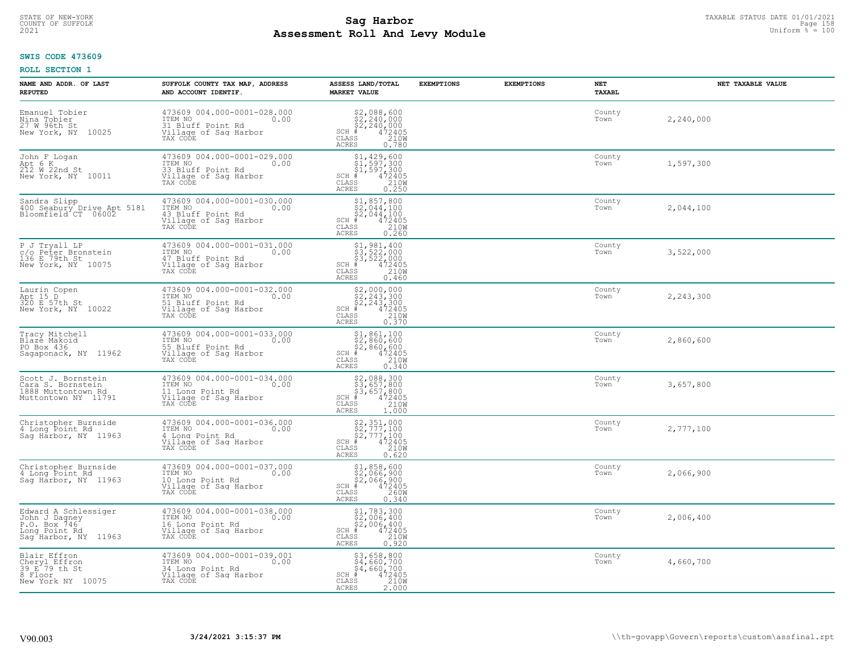# TAXABLE STATUS DATE 01/01/2021<br>COUNTY OF SUFFOLK Page 158 Page 158 **Assessment Roll And Levy Module Example 2021** Uniform  $\frac{1}{8}$  = 100

#### **SWIS CODE 473609**

| NAME AND ADDR. OF LAST<br><b>REPUTED</b>                                                       | SUFFOLK COUNTY TAX MAP, ADDRESS<br>AND ACCOUNT IDENTIF.                                                  | ASSESS LAND/TOTAL<br><b>MARKET VALUE</b>                                                                                                                                                                                                                                                                                                                                        | <b>EXEMPTIONS</b> | <b>EXEMPTIONS</b> | NET<br><b>TAXABL</b> | NET TAXABLE VALUE |
|------------------------------------------------------------------------------------------------|----------------------------------------------------------------------------------------------------------|---------------------------------------------------------------------------------------------------------------------------------------------------------------------------------------------------------------------------------------------------------------------------------------------------------------------------------------------------------------------------------|-------------------|-------------------|----------------------|-------------------|
| Emanuel Tobier<br>Nina Tobier<br>27 W 96th St<br>New York, NY<br>10025                         | 473609 004.000-0001-028.000<br>ITEM NO<br>0.00<br>31 Bluff Point Rd<br>Village of Sag Harbor<br>TAX CODE | $\begin{array}{r} \text{\small $52$, 088$, 600} \\ \text{\small $52$, 240, 000} \\ \text{\small $52$, 240, 000} \\ \text{\small $4$} \\ \text{\small $72405} \\ \text{\small $85$} \\ \text{\small $15$} \\ \text{\small $15$} \\ \text{\small $18$} \\ \text{\small $18$} \\ \text{\small $18$} \\ \text{\small $18$} \\ \end{array}$<br>SCH<br>CLASS<br><b>ACRES</b>          |                   |                   | County<br>Town       | 2,240,000         |
| John F Logan<br>Apt 6 K<br>212 W 22nd St<br>New York, NY 10011                                 | 473609 004.000-0001-029.000<br>ITEM NO<br>0.00<br>33 Bluff Point Rd<br>Village of Sag Harbor<br>TAX CODE | $$1,429,600\n$1,597,300\n$1,597,300\n# 472405\n 210M\n$<br>SCH<br>CLASS<br><b>ACRES</b><br>0.250                                                                                                                                                                                                                                                                                |                   |                   | County<br>Town       | 1,597,300         |
| Sandra Slipp<br>400 Seabury Drive Apt 5181<br>Bloomfield CT 06002                              | 473609 004.000-0001-030.000<br>ITEM NO<br>0.00<br>43 Bluff Point Rd<br>Village of Sag Harbor<br>TAX CODE | $$2,044,100\n$2,044,100\n$2,044,100\n# 472405\n 210M$<br>$SCH$ #<br>CLASS<br>0.260<br>ACRES                                                                                                                                                                                                                                                                                     |                   |                   | County<br>Town       | 2,044,100         |
| P J Tryall LP<br>c/o Peter Bronstein<br>136 E 79th St<br>New York, NY 10075                    | 473609 004.000-0001-031.000<br>ITEM NO<br>0.00<br>47 Bluff Point Rd<br>Village of Sag Harbor<br>TAX CODE | \$1,981,400<br>\$3,522,000<br>\$3,522,000<br>SCH #<br>$\frac{472405}{210}$<br>CLASS<br>ACRES<br>0.460                                                                                                                                                                                                                                                                           |                   |                   | County<br>Town       | 3,522,000         |
| Laurin Copen<br>Apt 15 D<br>320 E 57th St<br>New York, NY 10022                                | 473609 004.000-0001-032.000<br>ITEM NO<br>0.00<br>51 Bluff Point Rd<br>Village of Sag Harbor<br>TAX CODE | $$2,000,000\n$2,243,300\n$2,243,300\n# 472405\n$38\n210M\n$29M$<br>$SCH$ #<br>CLASS<br><b>ACRES</b><br>0.370                                                                                                                                                                                                                                                                    |                   |                   | County<br>Town       | 2,243,300         |
| Tracy Mitchell<br>Blazė Makoid<br>PO Box 436<br>Sagaponack, NY 11962                           | 473609 004.000-0001-033.000<br>ITEM NO<br>0.00<br>55 Bluff Point Rd<br>Village of Sag Harbor<br>TAX CODE | $$ \begin{array}{l} $1,861,100 \\ $2,860,600 \\ $2,860,600 \\ $4$ & 472405 \\ $5$ & 210M \\ $7$ & 10M \\ $8$ & 210M \\ $9$ & 210M \\ $10$ & 210M \\ $10$ & 210M \\ $10$ & 22M \\ $10$ & 210M \\ $10$ & 22M \\ $10$ & 22M \\ $10$ & 22M \\ $10$ & 22M \\ $10$ & 22M \\ $10$ & 22M \\ $10$ & 22M \\ $10$ & 22M \\ $10$ &$<br>$SCH$ #<br>$\mathtt{CLASS}$<br>0.340<br><b>ACRES</b> |                   |                   | County<br>Town       | 2,860,600         |
| Scott J. Bornstein<br>Cara S. Bornstein<br>1888 Muttontown Rd<br>Muttontown NY 11791           | 473609 004.000-0001-034.000<br>ITEM NO<br>0.00<br>11 Long Point Rd<br>Village of Sag Harbor<br>TAX CODE  | \$2,088,300<br>\$3,657,800<br>\$3,657,800<br># 472405<br>\$5 1210M<br>$SCH$ #<br>CLASS<br>1.000<br>ACRES                                                                                                                                                                                                                                                                        |                   |                   | County<br>Town       | 3,657,800         |
| Christopher Burnside<br>4 Long Point Rd<br>Saq Harbor, NY 11963                                | 473609 004.000-0001-036.000<br>ITEM NO<br>0.00<br>4 Long Point Rd<br>Village of Sag Harbor<br>TAX CODE   | $$2,351,000$<br>$$2,777,100$<br>$$472405$<br>$$210W$<br>$$210W$<br>SCH<br>CLASS<br><b>ACRES</b><br>0.620                                                                                                                                                                                                                                                                        |                   |                   | County<br>Town       | 2,777,100         |
| Christopher Burnside<br>4 Long Point Rd<br>Saq Harbor, NY 11963                                | 473609 004.000-0001-037.000<br>TTEM NO 0.00<br>10 Long Point Rd<br>Village of Sag Harbor<br>TAX CODE     | $$1,858,600$<br>$$2,066,900$<br>$$2,066,900$<br>$*$<br>$472405$<br>$2600$<br>$*$<br>$2600$<br>SCH<br>CLASS<br><b>ACRES</b><br>0.340                                                                                                                                                                                                                                             |                   |                   | County<br>Town       | 2,066,900         |
| Edward A Schlessiger<br>John J Dagney<br>P.O. Box 746<br>Long Point Rd<br>Sag Harbor, NY 11963 | 473609 004.000-0001-038.000<br>ITEM NO<br>0.00<br>16 Long Point Rd<br>Village of Sag Harbor<br>TAX CODE  | \$1,783,300<br>\$2,006,400<br>\$2,006,400<br># 472405<br>\$8 210M<br>SCH<br>CLASS<br><b>ACRES</b><br>0.920                                                                                                                                                                                                                                                                      |                   |                   | County<br>Town       | 2,006,400         |
| Blair Effron<br>Cheryl Effron<br>39 E 79 th St<br>8 Floor<br>New York NY 10075                 | 473609 004.000-0001-039.001<br>ITEM NO<br>0.00<br>34 Long Point Rd<br>Village of Sag Harbor<br>TAX CODE  | \$3,658,800<br>\$4,660,700<br>\$4,660,700<br>$SCH$ #<br>472405<br>210W<br>CLASS<br><b>ACRES</b><br>2.000                                                                                                                                                                                                                                                                        |                   |                   | County<br>Town       | 4,660,700         |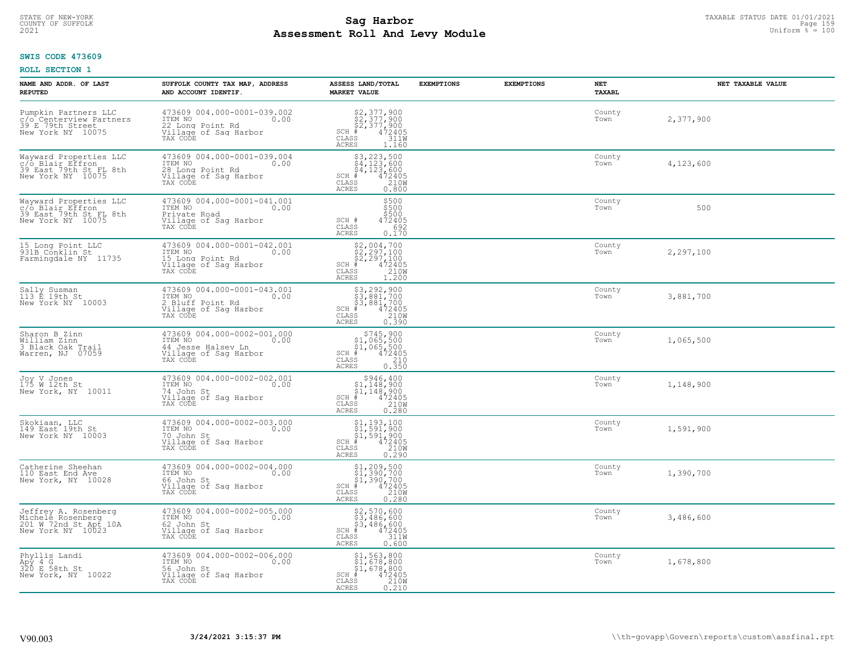# TAXABLE STATUS DATE 01/01/2021<br>COUNTY OF SUFFOLK Page 159 Page 159 **Assessment Roll And Levy Module Example 2021** Uniform  $\frac{1}{8}$  = 100

#### **SWIS CODE 473609**

| NAME AND ADDR. OF LAST<br><b>REPUTED</b>                                                   | SUFFOLK COUNTY TAX MAP, ADDRESS<br>AND ACCOUNT IDENTIF.                                                   | ASSESS LAND/TOTAL<br><b>MARKET VALUE</b>                                                                                                                                                                                                                                                                                                                                                 | <b>EXEMPTIONS</b> | <b>EXEMPTIONS</b> | NET<br>TAXABL  | NET TAXABLE VALUE |
|--------------------------------------------------------------------------------------------|-----------------------------------------------------------------------------------------------------------|------------------------------------------------------------------------------------------------------------------------------------------------------------------------------------------------------------------------------------------------------------------------------------------------------------------------------------------------------------------------------------------|-------------------|-------------------|----------------|-------------------|
| Pumpkin Partners LLC<br>c/o Centerview Partners<br>39 E 79th Street<br>New York NY 10075   | 473609 004.000-0001-039.002<br>ITEM NO<br>0.00<br>22 Long Point Rd<br>Village of Sag Harbor<br>TAX CODE   | $$2,377,900$<br>$$2,377,900$<br>$$472405$<br>$$311W$<br>$SCH$ #<br>CLASS<br>ACRES<br>1.160                                                                                                                                                                                                                                                                                               |                   |                   | County<br>Town | 2,377,900         |
| Wayward Properties LLC<br>"C/o Blair Effron<br>39 East 79th St FL 8th<br>New York NY 10075 | 473609 004.000-0001-039.004<br>ITEM NO<br>0.00<br>28 Long Point Rd<br>Village of Sag Harbor<br>TAX CODE   | $$3, 223, 500$<br>$$4, 123, 600$<br>$$4, 123, 600$<br>$*$<br>$472405$<br>$*$<br>$2100$<br>$SCH$ #<br>CLASS<br>ACRES<br>0.800                                                                                                                                                                                                                                                             |                   |                   | County<br>Town | 4,123,600         |
| Wayward Properties LLC<br>c/o Blair Effron<br>39 East 79th St FL 8th<br>New York NY 10075  | 473609 004.000-0001-041.001<br>ITEM NO<br>0.00<br>Private Road<br>Village of Sag Harbor<br>TAX CODE       | \$500<br>\$500<br>\$500<br>SCH #<br>472405<br>CLASS<br>692<br>ACRES<br>0.170                                                                                                                                                                                                                                                                                                             |                   |                   | County<br>Town | 500               |
| 15 Long Point LLC<br>931B Conklin St<br>Farmingdale NY 11735                               | 473609 004.000-0001-042.001<br>ITEM NO<br>0.00<br>15 Long Point Rd<br>Village of Sag Harbor<br>TAX CODE   | $\begin{array}{c} \text{\$2,004,700} \\ \text{\$2,297,100} \\ \text{\$2,297,100} \\ \text{\$472405} \\ \text{\$8$8$} \\ \text{\$120W} \\ \text{\$1200} \\ \text{\$1200} \end{array}$<br>$SCH$ #<br>CLASS<br><b>ACRES</b>                                                                                                                                                                 |                   |                   | County<br>Town | 2,297,100         |
| Sally Susman<br>113 E 19th St<br>New York NY 10003                                         | 473609 004.000-0001-043.001<br>ITEM NO<br>0.00<br>2 Bluff Point Rd<br>Village of Sag Harbor<br>TAX CODE   | \$3,292,900<br>\$3,881,700<br>\$3,881,700<br># 472405<br>\$5 210M<br>$SCH$ #<br>CLASS<br>ACRES<br>0.390                                                                                                                                                                                                                                                                                  |                   |                   | County<br>Town | 3,881,700         |
| Sharon B Zinn<br>William Zinn<br>3 Black Oak Trail<br>Warren, NJ 07059                     | 473609 004.000-0002-001.000<br>ITEM NO<br>0.00<br>44 Jesse Halsey Ln<br>Village of Sag Harbor<br>TAX CODE | $$745,900$<br>$$1,065,500$<br>$$1,065,500$<br>$$472405$<br>$SCH$ #<br>CLASS<br>$\frac{210}{0.350}$<br>ACRES                                                                                                                                                                                                                                                                              |                   |                   | County<br>Town | 1,065,500         |
| Joy V Jones<br>175 W 12th St<br>New York, NY 10011                                         | 473609 004.000-0002-002.001<br>ITEM NO<br>0.00<br>74 John St<br>Village of Sag Harbor<br>TAX CODE         | $$946,400\n$1,148,900\n$1,148,900\n# 472405\n 210M\n$<br>$SCH$ #<br>CLASS<br><b>ACRES</b><br>0.280                                                                                                                                                                                                                                                                                       |                   |                   | County<br>Town | 1,148,900         |
| Skokiaan, LLC<br>149 East 19th St<br>New York NY 10003                                     | 473609 004.000-0002-003.000<br>ITEM NO 0.00<br>70 John St<br>Village of Sag Harbor<br>TAX CODE            | $$1, 193, 100$<br>$$1, 591, 900$<br>$$1, 591, 900$<br>$472405$<br>$$2100$<br>$$2100$<br>SCH #<br>CLASS<br>ACRES<br>0.290                                                                                                                                                                                                                                                                 |                   |                   | County<br>Town | 1,591,900         |
| Catherine Sheehan<br>110 East End Ave<br>New York, NY 10028                                | 473609 004.000-0002-004.000<br>TTEM NO 0.00<br>66 John St<br>Village of Sag Harbor<br>TAX CODE            | $\begin{array}{l} \begin{array}{c} \text{\$1,209,500} \\ \text{\$1,390,700} \\ \text{\$1,390,700} \\ \text{\$4,72405} \\ \text{\$5} \\ \text{\$1,890,700} \\ \text{\$1,900,700} \\ \text{\$1,900,700} \\ \text{\$1,900,700} \\ \text{\$1,900,700} \\ \text{\$1,900,700} \\ \text{\$1,900,700} \\ \text{\$1,900,700} \\ \text{\$1,900,700} \\ \text{\$1,$<br>SCH<br>CLASS<br><b>ACRES</b> |                   |                   | County<br>Town | 1,390,700         |
| Jeffrey A. Rosenberg<br>Michele Rosenberg<br>201 W 72nd St.Apt.10A<br>New York NY 10023    | 473609 004.000-0002-005.000<br>ITEM NO<br>0.00<br>62 John St<br>Village of Sag Harbor<br>TAX CODE         | \$2,570,600<br>\$3,486,600<br>\$3,486,600<br>#472405<br>\$8,486,600<br>SCH<br>$\mathtt{CLASS}$<br>ACRES<br>0.600                                                                                                                                                                                                                                                                         |                   |                   | County<br>Town | 3,486,600         |
| Phyllis Landi<br>Apy 4 G<br>320 E 58th St<br>New York, NY 10022                            | 473609 004.000-0002-006.000<br>ITEM NO<br>0.00<br>56 John St<br>Village of Sag Harbor<br>TAX CODE         | \$1,563,800<br>\$1,678,800<br>\$1,678,800<br># 472405<br>\$5 210M<br>$SCH$ #<br>CLASS<br>ACRES<br>0.210                                                                                                                                                                                                                                                                                  |                   |                   | County<br>Town | 1,678,800         |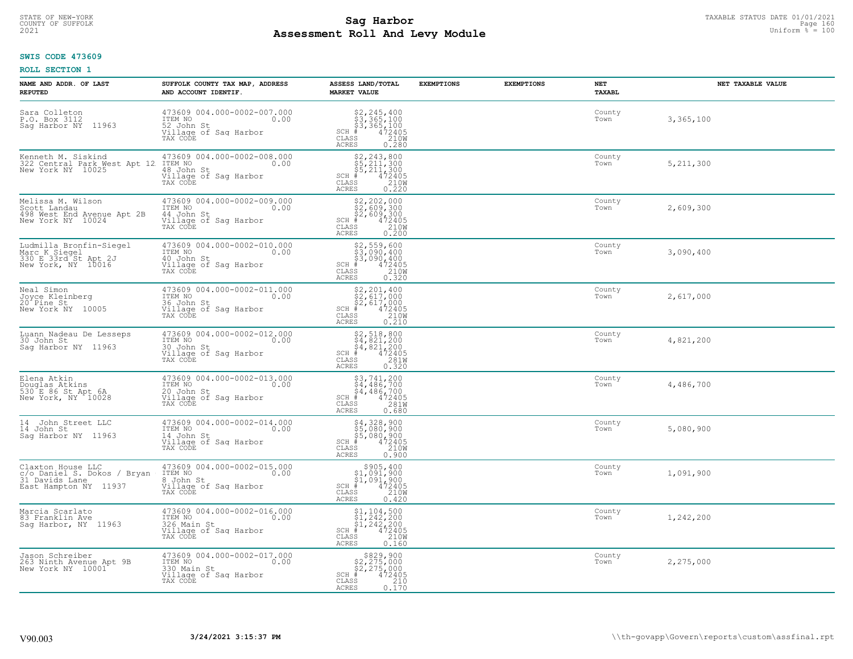# TAXABLE STATUS DATE 01/01/2021<br>COUNTY OF SUFFOLK Page 160 Page 160 **Assessment Roll And Levy Module Example 2021** Uniform  $\frac{1}{8}$  = 100

#### **SWIS CODE 473609**

| NAME AND ADDR. OF LAST<br><b>REPUTED</b>                                                    | SUFFOLK COUNTY TAX MAP, ADDRESS<br>AND ACCOUNT IDENTIF.                                                                 | ASSESS LAND/TOTAL<br><b>MARKET VALUE</b>                                                                                                                                                                                                                       | <b>EXEMPTIONS</b> | <b>EXEMPTIONS</b> | <b>NET</b><br><b>TAXABL</b> | NET TAXABLE VALUE |
|---------------------------------------------------------------------------------------------|-------------------------------------------------------------------------------------------------------------------------|----------------------------------------------------------------------------------------------------------------------------------------------------------------------------------------------------------------------------------------------------------------|-------------------|-------------------|-----------------------------|-------------------|
| Sara Colleton<br>P.O. Box 3112<br>Sag Harbor NY 11963                                       | 473609 004.000-0002-007.000<br>ITEM NO<br>0.00<br>52 John St<br>Village of Sag Harbor<br>TAX CODE                       | $$2, 245, 400$<br>$$3, 365, 100$<br>$$4, 2405$<br>$$2, 200$<br>$$2, 00$<br>$SCH$ #<br>CLASS<br><b>ACRES</b><br>0.280                                                                                                                                           |                   |                   | County<br>Town              | 3,365,100         |
| Kenneth M. Siskind<br>322 Central Park West Apt 12<br>New York NY 10025                     | 473609 004.000-0002-008.000<br>ITEM NO<br>0.00<br>48 John St<br>Village of Sag Harbor<br>TAX CODE                       | $\begin{array}{r} \texttt{\$2,243,800}\ \\ \texttt{\$5,211,300}\ \\ \texttt{\$5,211,300}\ \\ \texttt{\$472405}\ \\ \texttt{\$8S} \end{array} \\ \begin{array}{r} \texttt{\$210W}\ \\ \texttt{\$210W}\ \\ \texttt{\$220}\end{array}$<br>SCH #<br>CLASS<br>ACRES |                   |                   | County<br>Town              | 5, 211, 300       |
| Melissa M. Wilson<br>Scott Landau<br>498 West End Avenue Apt 2B<br>New York NY 10024        | 473609 004.000-0002-009.000<br>ITEM NO<br>0.00<br>14 John St<br>Village of Sag Harbor<br>TAX CODE                       | $$2,202,000$<br>$$2,609,300$<br>$$2,609,300$<br>$*$ 472405<br>$$2100$<br>35 21000<br>$SCH$ #<br>CLASS<br>0.200<br>ACRES                                                                                                                                        |                   |                   | County<br>Town              | 2,609,300         |
| Ludmilla Bronfin-Siegel<br>Marc_K_Siegel<br>330 E 33rd St Apt 2J<br>New York, NY 10016      | 473609 004.000-0002-010.000<br>ITEM NO<br>0.00<br>40 John St<br>Village of Saq Harbor<br>TAX CODE                       | $$2,559,600$<br>$$3,090,400$<br>$$3,090,400$<br>$$472405$<br>$$2100$<br>$SCH$ #<br>CLASS<br><b>ACRES</b><br>0.320                                                                                                                                              |                   |                   | County<br>Town              | 3,090,400         |
| Neal Simon<br>Joyce Kleinberg<br>20 Pine St<br>New York NY 10005                            | 473609 004.000-0002-011.000<br>ITEM NO<br>0.00<br>36 John St<br>Village of Saq Harbor<br>TAX CODE                       | $$2, 201, 400$<br>$$2, 617, 000$<br>$$2, 617, 000$<br>$472405$<br>$$210M$<br>$SCH$ #<br>CLASS<br><b>ACRES</b><br>0.210                                                                                                                                         |                   |                   | County<br>Town              | 2,617,000         |
| Luann Nadeau De Lesseps<br>30 John St<br>Saq Harbor NY 11963                                | 473609 004.000-0002-012.000<br>TTEM NO 0.00<br>30 John St<br>Village of Sag Harbor<br>TAX CODE                          | $$2,518,800$<br>$$4,821,200$<br>$$4,821,200$<br>$$4,821,200$<br>$472405$<br>$SCH$ #<br>CLASS<br>281W<br>0.320<br><b>ACRES</b>                                                                                                                                  |                   |                   | County<br>Town              | 4,821,200         |
| Elena Atkin<br>Douglas Atkins<br>530 E 86 St Apt 6A<br>New York, NY 10028                   | 473609 004.000-0002-013.000<br>TTEM NO 0.00<br>20 John St<br>Village of Sag Harbor<br>Village of Sag Harbor<br>TAX CODE | $\begin{array}{l} 53, 741, 200 \\ 54, 486, 700 \\ 54, 486, 700 \\ \frac{4}{3} & 472405 \\ \end{array}$<br>$SCH$ #<br>CLASS<br>281W<br><b>ACRES</b><br>0.680                                                                                                    |                   |                   | County<br>Town              | 4,486,700         |
| 14<br>John Street LLC<br>14 John St<br>Sag Harbor NY 11963                                  | 473609 004.000-0002-014.000<br>TTEM NO 0.00<br>14 John St<br>Village of Sag Harbor<br>TAX CODE                          | \$4,328,900<br>\$5,080,900<br>\$5,080,900<br>#472405<br>\$5,0210M<br>$SCH$ #<br>CLASS<br>ACRES<br>0.900                                                                                                                                                        |                   |                   | County<br>Town              | 5,080,900         |
| Claxton House LLC<br>c/o Daniel S. Dokos / Bryan<br>31 Davids Lane<br>East Hampton NY 11937 | 473609 004.000-0002-015.000<br>ITEM NO<br>0.00<br>8 John St<br>Village of Sag Harbor<br>TAX CODE                        | $\begin{array}{c} $905,400\\ $1,091,900\\ $1,091,900 \end{array}$<br>$SCH$ #<br>$\frac{472405}{2100}$<br>CLASS<br><b>ACRES</b><br>0.420                                                                                                                        |                   |                   | County<br>Town              | 1,091,900         |
| Marcia Scarlato<br>83 Franklin Ave<br>Sag Harbor, NY 11963                                  | 473609 004.000-0002-016.000<br>ITEM NO<br>326 Main St<br>0.00<br>Village of Sag Harbor<br>TAX CODE                      | $\begin{array}{l} 51,104,500 \\ 51,242,200 \\ 51,242,200 \\ \pm 4,242,200 \\ \pm 4,22405 \end{array}$<br>$SCH$ #<br>CLASS<br>210W<br>ACRES<br>0.160                                                                                                            |                   |                   | County<br>Town              | 1,242,200         |
| Jason Schreiber<br>263 Ninth Avenue Apt 9B<br>New York NY 10001                             | 473609 004.000-0002-017.000<br>ITEM NO<br>330 Main St<br>0.00<br>Village of Sag Harbor<br>TAX CODE                      | $$829,900$<br>$$2,275,000$<br>$$2,275,000$<br>$*172405$<br>$SCH$ #<br>CLASS<br>$\begin{bmatrix} 210 \\ 0.170 \end{bmatrix}$<br>ACRES                                                                                                                           |                   |                   | County<br>Town              | 2,275,000         |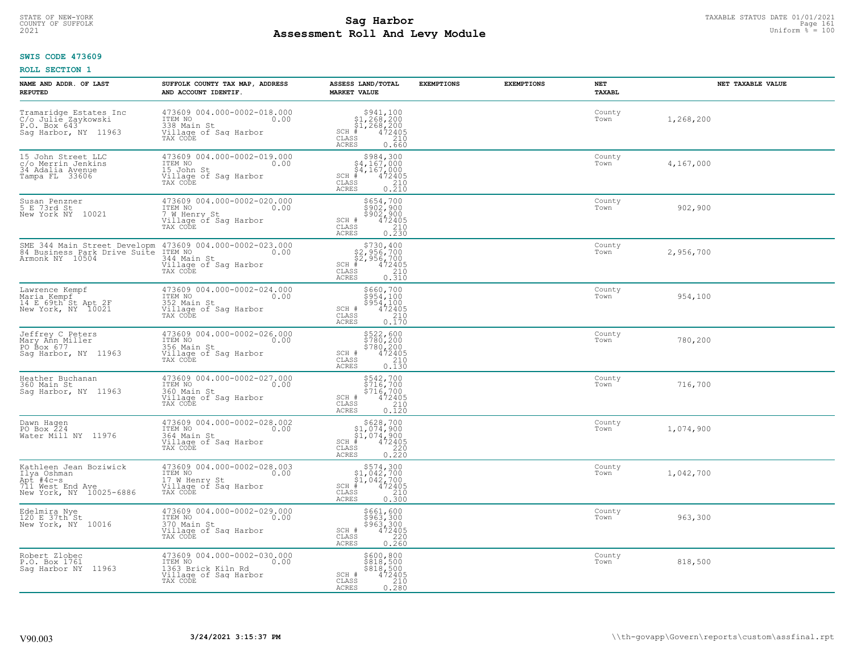#### **Sag Harbor**<br>**Poll And Low Module**<br>
Poll And Low Module **Assessment Roll And Levy Module Example 2021** Uniform  $\frac{1}{8}$  = 100 COUNTY OF SUFFOLK Page 161

#### **SWIS CODE 473609**

| NAME AND ADDR. OF LAST<br><b>REPUTED</b>                                                          | SUFFOLK COUNTY TAX MAP, ADDRESS<br>AND ACCOUNT IDENTIF.                                                                                                 | ASSESS LAND/TOTAL<br><b>MARKET VALUE</b>                                                                                                            | <b>EXEMPTIONS</b><br><b>EXEMPTIONS</b> | NET<br>TAXABL  | NET TAXABLE VALUE |
|---------------------------------------------------------------------------------------------------|---------------------------------------------------------------------------------------------------------------------------------------------------------|-----------------------------------------------------------------------------------------------------------------------------------------------------|----------------------------------------|----------------|-------------------|
| Tramaridge Estates Inc<br>C/o Julie Zaykowski<br>P.O. Box 643<br>Sag Harbor, NY 11963             | 473609 004.000-0002-018.000<br>ITEM NO<br>0.00<br>1338 Main St<br>Village of Sag Harbor<br>TAX CODE                                                     | $\begin{array}{r} 5941,100 \\ 51,268,200 \\ 51,268,200 \\ \frac{4}{5} & 472405 \end{array}$<br>$SCH$ #<br>CLASS<br>210<br>ACRES<br>0.660            |                                        | County<br>Town | 1,268,200         |
| 15 John Street LLC<br>c/o Merrin Jenkins<br>34 Adalia Avenue<br>Tampa FL 33606                    | 473609 004.000-0002-019.000<br>ITEM NO<br>15 John St<br>0.00<br>Village of Sag Harbor<br>TAX CODE                                                       | \$984,300<br>\$4,167,000<br>$\frac{54}{4}$ , 167, 000<br># 472405<br>$SCH$ #<br>CLASS<br>$\frac{210}{0.210}$<br>ACRES                               |                                        | County<br>Town | 4,167,000         |
| Susan Penzner<br>5 E 73rd St<br>New York NY 10021                                                 | 473609 004.000-0002-020.000<br>ITEM NO<br>0.00<br>7 W Henry St<br>Village of Sag Harbor<br>TAX CODE                                                     | <b>\$654,700</b><br>sãos, ago<br>\$902,900<br>SCH #<br>$\begin{array}{r} 472405 \\ 210 \\ 0.230 \end{array}$<br>CLASS<br>ACRES                      |                                        | County<br>Town | 902,900           |
| Armonk NY 10504                                                                                   | SME 344 Main Street Developm 473609 004.000-0002-023.000<br>84 Business Park Drive Suite ITEM NO.00<br>344 Main St<br>Village of Sag Harbor<br>TAX CODE | $\begin{array}{r} 5730, 400 \\ 52, 956, 700 \\ 52, 956, 700 \\ * \\ * \\ 55 & 210 \\ * \\ * \\ 59 & 0.310 \end{array}$<br>$SCH$ #<br>CLASS<br>ACRES |                                        | County<br>Town | 2,956,700         |
| Lawrence Kempf<br>Maria Kempf<br>14 E 69th St Apt 2F<br>New York, NY 10021                        | 473609 004.000-0002-024.000<br>ITEM NO<br>0.00<br>352 Main St<br>Village of Saq Harbor<br>TAX CODE                                                      | \$660,700<br>$\begin{matrix} 2954,100 \\ 5954,100 \\ 472405 \\ 210 \\ 0.170 \end{matrix}$<br>SCH #<br>CLASS<br><b>ACRES</b>                         |                                        | County<br>Town | 954,100           |
| Jeffrey C Peters<br>Mary Ann Miller<br>PO Box 677<br>Sag Harbor, NY 11963                         | 473609 004.000-0002-026.000<br>ITEM NO<br>0.00<br>356 Main St<br>Village of Sag Harbor<br>TAX CODE                                                      | \$522,600<br>\$780,200<br>\$780,200<br>\$780,200<br>SCH #<br>CLASS<br>$\begin{array}{c} 210 \\ 0.130 \end{array}$<br><b>ACRES</b>                   |                                        | County<br>Town | 780,200           |
| Heather Buchanan<br>360 Main St<br>Sag Harbor, NY 11963                                           | 473609 004.000-0002-027.000<br>ITEM NO<br>0.00<br>360 Main St<br>Village of Sag Harbor<br>TAX CODE                                                      | \$542,700<br>\$716,700<br>\$716,700<br>472405<br>SCH #<br>CLASS<br>210<br><b>ACRES</b><br>0.120                                                     |                                        | County<br>Town | 716,700           |
| Dawn Hagen<br>PO Box 224<br>Water Mill NY 11976                                                   | 473609 004.000-0002-028.002<br>ITEM NO<br>0.00<br>364 Main St<br>Village of Sag Harbor<br>TAX CODE                                                      | $$628,700$<br>$$1,074,900$<br>$$1,074,900$<br>$*$<br>$472405$<br>$*$<br>$220$<br>SCH #<br>CLASS<br>ACRES<br>0.220                                   |                                        | County<br>Town | 1,074,900         |
| Kathleen Jean Boziwick<br>Ilya Oshman<br>Apt #4c-s<br>711 West End Ave<br>New York, NY 10025-6886 | 473609 004.000-0002-028.003<br>ITEM NO 0.00<br>17 W Henry St<br>Village of Sag Harbor<br>TAX CODE                                                       | $$574,300$<br>$$1,042,700$<br>$$1,042,700$<br>$*$<br>$*$<br>$*$<br>$*$<br>$SCH$ #<br>CLASS<br>$\frac{210}{0.300}$<br><b>ACRES</b>                   |                                        | County<br>Town | 1,042,700         |
| Edelmira Nye<br>120 E 37th St<br>New York, NY 10016                                               | 473609 004.000-0002-029.000<br>ITEM NO<br>0.00<br>370 Main St<br>Village of Sag Harbor<br>TAX CODE                                                      | \$661,600<br>\$963,300<br>\$963,300<br>472405<br>220<br>SCH #<br>CLASS<br>ACRES<br>0.260                                                            |                                        | County<br>Town | 963,300           |
| Robert Zlobec<br>P.O. Box 1761<br>Saq Harbor NY 11963                                             | 473609 004.000-0002-030.000<br>ITEM NO<br>0.00<br>1363 Brick Kiln Rd<br>Village of Sag Harbor<br>TAX CODE                                               | \$600,800<br>\$818,500<br>\$818,500<br>472405<br>SCH #<br>210<br>CLASS<br>0.280<br>ACRES                                                            |                                        | County<br>Town | 818,500           |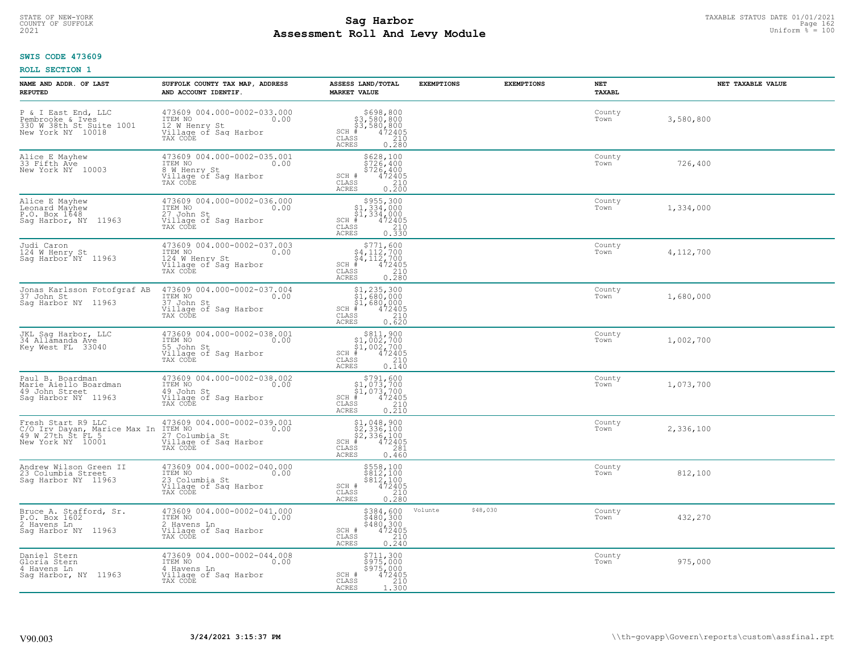# STATE OF NEW-YORK TAXABLE STATUS DATE 01/01/2021<br>COUNTY OF SUFFOLK Page 162 **Assessment Roll And Levy Module Example 2021** Uniform  $\frac{1}{8}$  = 100

#### **SWIS CODE 473609**

| NAME AND ADDR. OF LAST<br><b>REPUTED</b>                                                     | SUFFOLK COUNTY TAX MAP, ADDRESS<br>AND ACCOUNT IDENTIF.                                               | ASSESS LAND/TOTAL<br><b>MARKET VALUE</b>                                                                                                                                                                       | <b>EXEMPTIONS</b>   | <b>EXEMPTIONS</b> | <b>NET</b><br>TAXABL | NET TAXABLE VALUE |
|----------------------------------------------------------------------------------------------|-------------------------------------------------------------------------------------------------------|----------------------------------------------------------------------------------------------------------------------------------------------------------------------------------------------------------------|---------------------|-------------------|----------------------|-------------------|
| P & I East End, LLC<br>Pembrooke & Ives<br>330 W 38th St Suite 1001<br>New York NY 10018     | 473609 004.000-0002-033.000<br>ITEM NO<br>0.00<br>12 W Henry St<br>Village of Sag Harbor<br>TAX CODE  | \$698,800<br>\$3,580,800<br>\$3,580,800<br>#472405<br>\$5,900,210<br>$SCH$ #<br>CLASS<br><b>ACRES</b><br>0.280                                                                                                 |                     |                   | County<br>Town       | 3,580,800         |
| Alice E Mayhew<br>33 Fifth Ave<br>New York NY 10003                                          | 473609 004.000-0002-035.001<br>ITEM NO<br>0.00<br>8 W Henry St<br>Village of Sag Harbor<br>TAX CODE   | \$628,100<br>\$726,400<br>\$726,400<br>SCH #<br>$\begin{array}{r} 472405 \\ 210 \\ 0.200 \end{array}$<br>$\mathtt{CLASS}$<br>ACRES                                                                             |                     |                   | County<br>Town       | 726,400           |
| Alice E Mayhew<br>Leonard Mayhew<br>P.O. Box 1648<br>Saq Harbor, NY 11963                    | 473609 004.000-0002-036.000<br>ITEM NO<br>0.00<br>27 John St<br>Village of Sag Harbor<br>TAX CODE     | \$955,300<br>$$1,334,000$<br>$$1,334,000$<br>$SCH$ #<br>472405<br>$\begin{array}{c} 210 \\ 0.330 \end{array}$<br>CLASS<br>ACRES                                                                                |                     |                   | County<br>Town       | 1,334,000         |
| Judi Caron<br>124 W Henry St<br>Saq Harbor <sup>1</sup> NY 11963                             | 473609 004.000-0002-037.003<br>ITEM NO<br>0.00<br>124 W Henry St<br>Village of Sag Harbor<br>TAX CODE | $\begin{array}{r} \texttt{\$771,600} \\ \texttt{\$4,112,700} \\ \texttt{\$4,112,700} \\ \texttt{\$4,112,700} \\ \texttt{\$4,72405} \\ \texttt{\$5S} \end{array}$<br>$SCH$ #<br>CLASS<br>ACRES                  |                     |                   | County<br>Town       | 4,112,700         |
| Jonas Karlsson Fotofgraf AB<br>37 John St<br>Sag Harbor NY 11963                             | 473609 004.000-0002-037.004<br>ITEM NO<br>0.00<br>37 John St<br>Village of Sag Harbor<br>TAX CODE     | \$1,235,300<br>$\begin{array}{r} 1,233,3000\\ 51,680,000\\ 1,680,000\\ * &472405\\ \text{ss} &210\\ 0.620 \end{array}$<br>$SCH$ #<br>CLASS<br>ACRES                                                            |                     |                   | County<br>Town       | 1,680,000         |
| JKL Sag Harbor, LLC<br>34 Allamanda Ave<br>Key West FL 33040                                 | 473609 004.000-0002-038.001<br>ITEM NO<br>0.00<br>55 John St<br>Village of Sag Harbor<br>TAX CODE     | $\begin{array}{c} $811,900 $1,002,700 $1,002,700 # 472405 \end{array}$<br>$SCH$ #<br>CLASS<br>210<br>ACRES<br>0.140                                                                                            |                     |                   | County<br>Town       | 1,002,700         |
| Paul B. Boardman<br>Marie Aiello Boardman<br>49 John Street<br>Saq Harbor NY 11963           | 473609 004.000-0002-038.002<br>ITEM NO<br>0.00<br>49 John St<br>Village of Sag Harbor<br>TAX CODE     | $\begin{array}{r}  \  \  \,  \, 5791,600\\  \  \  51,073,700\\  \  \  51,073,700\\  \  \  \, 472405\\  \  \  \, 85\\  \  \  \, 210\\  \  \  \, 210\\  \  \  \, 0.210 \end{array}$<br>$SCH$ #<br>CLASS<br>ACRES |                     |                   | County<br>Town       | 1,073,700         |
| Fresh Start R9 LLC<br>C/O Irv Dayan, Marice Max In<br>49 W 27th St FL 5<br>New York NY 10001 | 473609 004.000-0002-039.001<br>ITEM NO<br>0.00<br>27 Columbia St<br>Village of Saq Harbor<br>TAX CODE | $$2,336,100$<br>$$2,336,100$<br>$$2,336,100$<br>$$472405$<br>$$2,81$<br>$$291$<br>SCH<br>CLASS<br>ACRES<br>0.460                                                                                               |                     |                   | County<br>Town       | 2,336,100         |
| Andrew Wilson Green II<br>23 Columbia Street<br>Sag Harbor NY 11963                          | 473609 004.000-0002-040.000<br>TTEM NO 0.00<br>23 Columbia St<br>Village of Saq Harbor<br>TAX CODE    | $$558,100$<br>$$812,100$<br>$$812,100$<br>$472405$<br>210<br>SCH #<br>CLASS<br><b>ACRES</b><br>0.280                                                                                                           |                     |                   | County<br>Town       | 812,100           |
| Bruce A. Stafford, Sr.<br>P.O. Box 1602<br>2 Havens Ln<br>Saq Harbor NY 11963                | 473609 004.000-0002-041.000<br>ITEM NO<br>0.00<br>2 Havens Ln<br>Village of Sag Harbor<br>TAX CODE    | \$384,600<br>$$480,300$<br>$$480,300$<br>$472405$<br>SCH #<br>$\begin{array}{c} 210 \\ 0.240 \end{array}$<br>CLASS<br><b>ACRES</b>                                                                             | Volunte<br>\$48,030 |                   | County<br>Town       | 432,270           |
| Daniel Stern<br>Gloria Stern<br>4 Havens Ln<br>Sag Harbor, NY 11963                          | 473609 004.000-0002-044.008<br>ITEM NO<br>0.00<br>4 Havens Ln<br>Village of Sag Harbor<br>TAX CODE    | \$711,300<br>\$975,000<br>$$975/000$<br>SCH #<br>472405<br>CLASS<br>210<br>ACRES<br>1.300                                                                                                                      |                     |                   | County<br>Town       | 975,000           |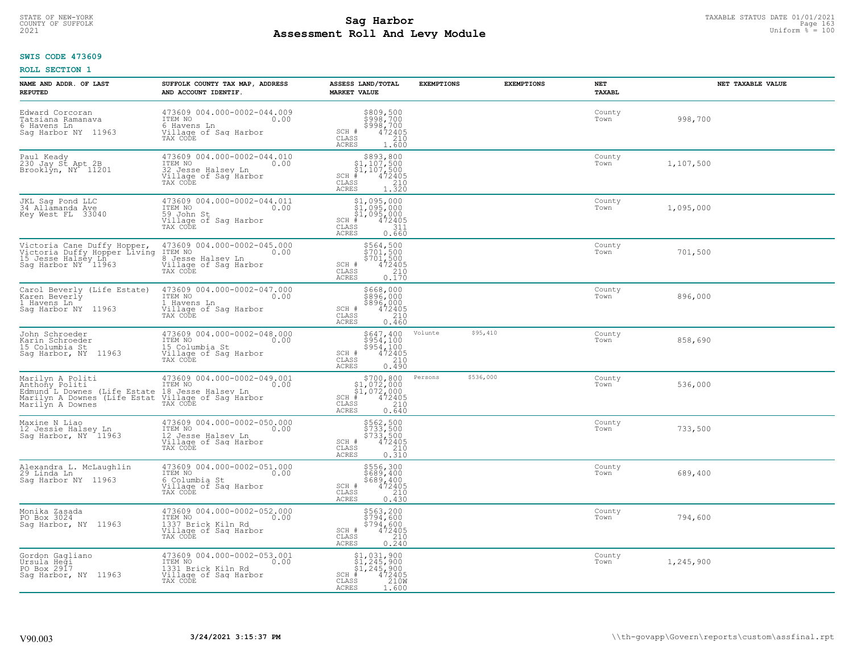# TAXABLE STATUS DATE 01/01/2021<br>COUNTY OF SUFFOLK Page 163 **Assessment Roll And Levy Module Example 2021** Uniform  $\frac{1}{8}$  = 100

#### **SWIS CODE 473609**

| NAME AND ADDR. OF LAST<br><b>REPUTED</b>                                                                               | SUFFOLK COUNTY TAX MAP, ADDRESS<br>AND ACCOUNT IDENTIF.                                                   | ASSESS LAND/TOTAL<br><b>MARKET VALUE</b>                                                                                          | <b>EXEMPTIONS</b> | <b>EXEMPTIONS</b> | NET<br><b>TAXABL</b> | NET TAXABLE VALUE |
|------------------------------------------------------------------------------------------------------------------------|-----------------------------------------------------------------------------------------------------------|-----------------------------------------------------------------------------------------------------------------------------------|-------------------|-------------------|----------------------|-------------------|
| Edward Corcoran<br>Tatsiana Ramanava<br>6 Havens Ln<br>Saq Harbor NY 11963                                             | 473609 004.000-0002-044.009<br>TTEM NO 0.00<br>6 Havens Ln<br>Village of Sag Harbor<br>TAX CODE           | \$809,500<br>\$998,700<br>\$998,700<br>472405<br>210<br>SCH #<br>CLASS<br><b>ACRES</b><br>1.600                                   |                   |                   | County<br>Town       | 998,700           |
| Paul Keady<br>230 Jay St Apt 2B<br>Brooklyn, NY 11201                                                                  | 473609 004.000-0002-044.010<br>ITEM NO<br>0.00<br>32 Jesse Halsey Ln<br>Village of Sag Harbor<br>TAX CODE | $$893, 800$<br>$$1, 107, 500$<br>$$1, 107, 500$<br>$*1$<br>$*107, 500$<br>$SCH$ #<br>CLASS<br>$\frac{210}{1.320}$<br><b>ACRES</b> |                   |                   | County<br>Town       | 1,107,500         |
| JKL Sag Pond LLC<br>34 Allamanda Ave<br>Key West FL 33040                                                              | 473609 004.000-0002-044.011<br>ITEM NO<br>0.00<br>59 John St<br>Village of Sag Harbor<br>TAX CODE         | \$1,095,000<br>$\frac{1}{2}$ , 095, 000<br>\$1,095,000<br>$SCH$ #<br>472405<br>CLASS<br>311<br><b>ACRES</b><br>0.660              |                   |                   | County<br>Town       | 1,095,000         |
| Victoria Cane Duffy Hopper,<br>Victoria Duffy Hopper Living<br>15 Jesse Halsey Ln<br>Saq Harbor NY 11963               | 473609 004.000-0002-045.000<br>ITEM NO<br>0.00<br>8 Jesse Halsev Ln<br>Village of Sag Harbor<br>TAX CODE  | \$564,500<br>\$701,500<br>\$701,500<br>SCH #<br>CLASS<br>472405<br>210<br><b>ACRES</b><br>0.170                                   |                   |                   | County<br>Town       | 701,500           |
| Carol Beverly (Life Estate)<br>Karen Beverly<br>1 Havens Ln<br>Saq Harbor NY 11963                                     | 473609 004.000-0002-047.000<br>TTEM NO 0.00<br>1 Havens Ln<br>Village of Sag Harbor<br>TAX CODE           | \$668,000<br>şğğç, ööö<br>$$896,000$<br>472405<br>210<br>SCH #<br>CLASS<br><b>ACRES</b><br>0.460                                  |                   |                   | County<br>Town       | 896,000           |
| John Schroeder<br>Karin Schroeder<br>15 Columbia St<br>Saq Harbor, NY 11963                                            | 473609 004.000-0002-048.000<br>ITEM NO<br>0.00<br>15 Columbia St<br>Village of Sag Harbor<br>TAX CODE     | $$954,100$<br>$$954,100$<br>$$954,100$<br>$472405$<br>210<br>SCH #<br>CLASS<br>ACRES<br>0.490                                     | Volunte           | \$95,410          | County<br>Town       | 858,690           |
| Marilyn A Politi<br>Anthony Politi<br>Edmund L Downes (Life Estate<br>Marilyn A Downes (Life Estat<br>Marilyn A Downes | 473609 004.000-0002-049.001<br>ITEM NO<br>0.00<br>18 Jesse Halsev Ln<br>Village of Sag Harbor<br>TAX CODE | \$700,800<br>$$1,072,000$<br>$$1,072,000$<br>$*$ 472405<br>$SCH$ #<br>CLASS<br>210<br><b>ACRES</b><br>0.640                       | Persons           | \$536,000         | County<br>Town       | 536,000           |
| Maxine N Liao<br>12 Jessie Halsey Ln<br>Sag Harbor, NY 11963                                                           | 473609 004.000-0002-050.000<br>TTEM NO 0.00<br>12 Jesse Halsey Ln<br>Village of Saq Harbor<br>TAX CODE    | \$562,500<br>\$733,500<br>\$733,500<br>\$733,500<br>SCH #<br>CLASS<br>210<br><b>ACRES</b><br>0.310                                |                   |                   | County<br>Town       | 733,500           |
| Alexandra L. McLaughlin<br>29 Linda Ln<br>Saq Harbor NY 11963                                                          | 473609 004.000-0002-051.000<br>TTEM NO 0.00<br>6 Columbia St<br>Village of Sag Harbor<br>TAX CODE         | \$556,300<br>\$689,400<br>\$689,400<br>472405<br>SCH #<br>CLASS<br>210<br><b>ACRES</b><br>0.430                                   |                   |                   | County<br>Town       | 689,400           |
| Monika Zasada<br>PO Box 3024<br>Saq Harbor, NY 11963                                                                   | 473609 004.000-0002-052.000<br>ITEM NO<br>0.00<br>1337 Brick Kiln Rd<br>Village of Sag Harbor<br>TAX CODE | \$563,200<br>\$794,600<br>$$794, 600$<br>$472405$<br>210<br>SCH #<br>CLASS<br><b>ACRES</b><br>0.240                               |                   |                   | County<br>Town       | 794,600           |
| Gordon Gagliano<br>Ursula Heği<br>PO Box 2917<br>Saq Harbor, NY 11963                                                  | 473609 004.000-0002-053.001<br>ITEM NO<br>0.00<br>1331 Brick Kiln Rd<br>Village of Sag Harbor<br>TAX CODE | \$1,031,900<br>\$1,245,900<br>\$1,245,900<br>472405<br>210W<br>$SCH$ #<br>CLASS<br><b>ACRES</b><br>1.600                          |                   |                   | County<br>Town       | 1,245,900         |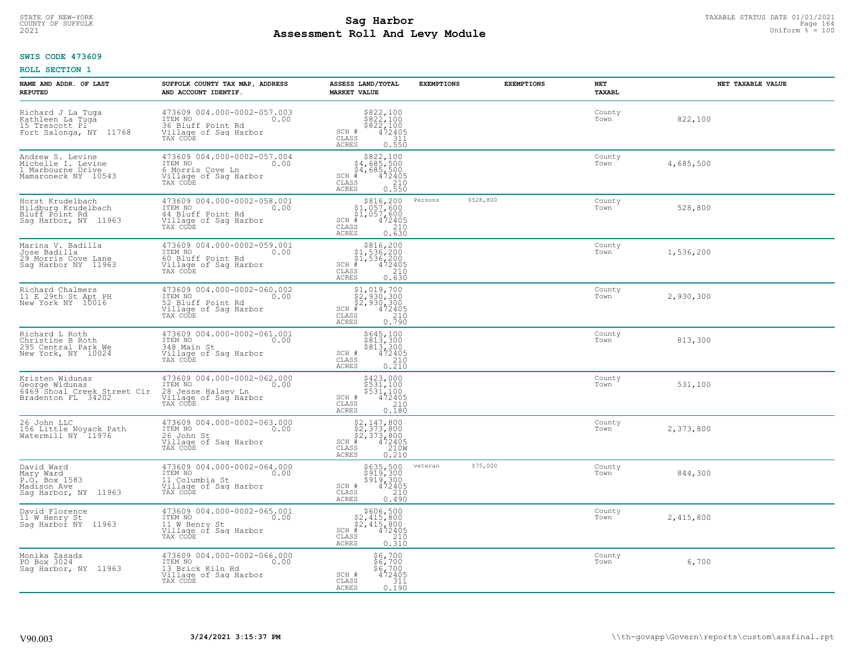# TAXABLE STATUS DATE 01/01/2021<br>COUNTY OF SUFFOLK Page 164 **Assessment Roll And Levy Module Example 2021** Uniform  $\frac{1}{8}$  = 100

### **SWIS CODE 473609**

| NAME AND ADDR. OF LAST<br><b>REPUTED</b>                                               | SUFFOLK COUNTY TAX MAP, ADDRESS<br>AND ACCOUNT IDENTIF.                                                   | ASSESS LAND/TOTAL<br><b>MARKET VALUE</b>                                                                                       | <b>EXEMPTIONS</b> | <b>EXEMPTIONS</b> | NET<br><b>TAXABL</b> | NET TAXABLE VALUE |
|----------------------------------------------------------------------------------------|-----------------------------------------------------------------------------------------------------------|--------------------------------------------------------------------------------------------------------------------------------|-------------------|-------------------|----------------------|-------------------|
| Richard J La Tuga<br>Kathleen La Tuga<br>15 Trescott Pl<br>Fort Salonga, NY 11768      | 473609 004.000-0002-057.003<br>ITEM NO<br>0.00<br>36 Bluff Point Rd<br>Village of Sag Harbor<br>TAX CODE  | $$822,100$<br>$$822,100$<br>$$822,100$<br>$$472405$<br>$$311$<br>SCH #<br>CLASS<br>ACRES<br>0.550                              |                   |                   | County<br>Town       | 822,100           |
| Andrew S. Levine<br>Michelle I. Levine<br>1 Marbourne Drive<br>Mamaroneck NY 10543     | 473609 004.000-0002-057.004<br>ITEM NO<br>0.00<br>6 Morris Cove Ln<br>Village of Sag Harbor<br>TAX CODE   | $$822,100$<br>$$4,685,500$<br>$$4,685,500$<br>$$4,685,500$<br>$SCH$ #<br>472405<br>CLASS<br>210<br>ACRES<br>0.550              |                   |                   | County<br>Town       | 4,685,500         |
| Horst Krudelbach<br>Hildburg Krudelbach<br>Bluff Point Rd<br>Sag Harbor, NY 11963      | 473609 004.000-0002-058.001<br>ITEM NO<br>0.00<br>44 Bluff Point Rd<br>Village of Sag Harbor<br>TAX CODE  | \$816,200<br>\$1,057,600<br>\$1,057,600<br>"472405<br>$SCH$ #<br>CLASS<br>210<br>0.630<br>ACRES                                | Persons           | \$528,800         | County<br>Town       | 528,800           |
| Marina V. Badilla<br>Jose Badilla<br>29 Morris Cove Lane<br>Saq Harbor NY 11963        | 473609 004.000-0002-059.001<br>ITEM NO<br>0.00<br>60 Bluff Point Rd<br>Village of Sag Harbor<br>TAX CODE  | $$316, 200$<br>$$1, 536, 200$<br>$$1, 536, 200$<br>$*1, 536, 200$<br>$*1, 472405$<br>$SCH$ #<br>CLASS<br>210<br>ACRES<br>0.630 |                   |                   | County<br>Town       | 1,536,200         |
| Richard Chalmers<br>11 E 29th St Apt PH<br>New York NY 10016                           | 473609 004.000-0002-060.002<br>ITEM NO<br>0.00<br>52 Bluff Point Rd<br>Village of Sag Harbor<br>TAX CODE  | $$2,930,300$<br>$$2,930,300$<br>$$2,930,300$<br>$$472405$<br>ss $$210$<br>$SCH$ #<br>CLASS<br>0.790<br>ACRES                   |                   |                   | County<br>Town       | 2,930,300         |
| Richard L Roth<br>Christine B Roth<br>295 Central Park We<br>New York, NY 10024        | 473609 004.000-0002-061.001<br>ITEM NO<br>0.00<br>348 Main St<br>Village of Sag Harbor<br>TAX CODE        | \$645,100<br>\$813,300<br>\$813,300<br>472405<br>0.210<br>0.210<br>SCH #<br>CLASS<br><b>ACRES</b>                              |                   |                   | County<br>Town       | 813,300           |
| Kristen Widunas<br>George Widunas<br>6469 Shoal Creek Street Cir<br>Bradenton FL 34202 | 473609 004.000-0002-062.000<br>ITEM NO<br>0.00<br>28 Jesse Halsey Ln<br>Village of Sag Harbor<br>TAX CODE | \$423,000<br>\$531,100<br>\$531,100<br>472405<br>$SCH$ #<br>CLASS<br>210<br>0.180<br><b>ACRES</b>                              |                   |                   | County<br>Town       | 531,100           |
| 26 John LLC<br>156 Little Noyack Path<br>Watermill NY 11976                            | 473609 004.000-0002-063.000<br>TTEM NO 0.00<br>26 John St<br>Village of Sag Harbor<br>TAX CODE            | $$2,147,800$<br>$$2,373,800$<br>$$2,373,800$<br>$472405$<br>$$210M$<br>$SCH$ #<br>CLASS<br><b>ACRES</b><br>0.210               |                   |                   | County<br>Town       | 2,373,800         |
| David Ward<br>Mary Ward<br>P.O. Box 1583<br>Madison Ave<br>Sag Harbor, NY 11963        | 473609 004.000-0002-064.000<br>TTEM NO 0.00<br>11 Columbia St<br>Village of Saq Harbor<br>TAX CODE        | \$635,500<br>\$919,300<br>\$919,300<br>472405<br>SCH #<br>CLASS<br>210<br>ACRES<br>0.490                                       | veteran           | \$75,000          | County<br>Town       | 844,300           |
| David Florence<br>11 W Henry St<br>Sag Harbor NY 11963                                 | 473609 004.000-0002-065.001<br>ITEM NO<br>0.00<br>11 W Henry St<br>Village of Sag Harbor<br>TAX CODE      | $$606,500$<br>$$2,415,800$<br>$$2,415,800$<br>$$472405$<br>$SCH$ #<br>210<br>CLASS<br>0.310<br><b>ACRES</b>                    |                   |                   | County<br>Town       | 2,415,800         |
| Monika Zasada<br>PO Box 3024<br>Saq Harbor, NY 11963                                   | 473609 004.000-0002-066.000<br>ITEM NO<br>0.00<br>13 Brick Kiln Rd<br>Village of Sag Harbor<br>TAX CODE   | $$6,700$<br>$$6,700$<br>$$6,700$<br>SCH #<br>472405<br>CLASS<br>311<br>ACRES<br>0.190                                          |                   |                   | County<br>Town       | 6,700             |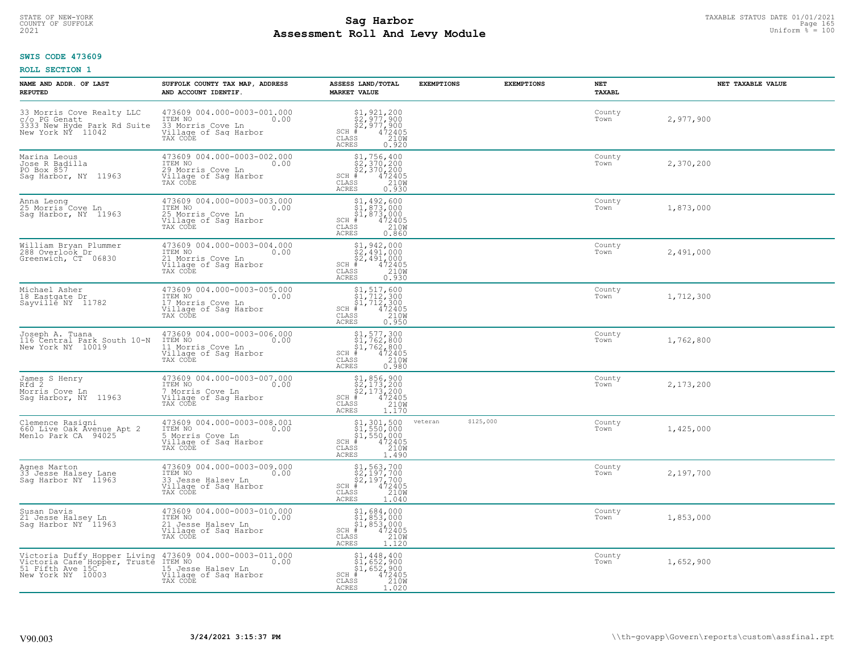# TAXABLE STATUS DATE 01/01/2021<br>COUNTY OF SUFFOLK Page 165 **Assessment Roll And Levy Module Example 2021** Uniform  $\frac{1}{8}$  = 100

#### **SWIS CODE 473609**

| NAME AND ADDR. OF LAST<br><b>REPUTED</b>                                                                             | SUFFOLK COUNTY TAX MAP, ADDRESS<br>AND ACCOUNT IDENTIF.                                                   | ASSESS LAND/TOTAL<br><b>MARKET VALUE</b>                                                                                          | <b>EXEMPTIONS</b><br><b>EXEMPTIONS</b> | NET<br><b>TAXABL</b> | NET TAXABLE VALUE |
|----------------------------------------------------------------------------------------------------------------------|-----------------------------------------------------------------------------------------------------------|-----------------------------------------------------------------------------------------------------------------------------------|----------------------------------------|----------------------|-------------------|
| 33 Morris Cove Realty LLC<br>C/o PG Genatt<br>3333 New Hyde Park Rd Suite<br>New York NY 11042                       | 473609 004.000-0003-001.000<br>ITEM NO<br>0.00<br>33 Morris Cove Ln<br>Village of Saq Harbor<br>TAX CODE  | $$2,921,200$<br>$$2,977,900$<br>$$472405$<br>$$35$<br>$$210M$<br>$SCH$ #<br>CLASS<br><b>ACRES</b><br>0.920                        |                                        | County<br>Town       | 2,977,900         |
| Marina Leous<br>Jose R Badilla<br>PO Box 857<br>Saq Harbor, NY 11963                                                 | 473609 004.000-0003-002.000<br>ITEM NO<br>0.00<br>29 Morris Cove Ln<br>Village of Sag Harbor<br>TAX CODE  | $$2,370,200$<br>$$2,370,200$<br>$$4,2405$<br>$$472405$<br>$$2109$<br>$SCH$ #<br>CLASS<br><b>ACRES</b><br>0.930                    |                                        | County<br>Town       | 2,370,200         |
| Anna Leong<br>25 Morris Cove Ln<br>Sag Harbor, NY 11963                                                              | 473609 004.000-0003-003.000<br>ITEM NO<br>0.00<br>25 Morris Cove Ln<br>Village of Sag Harbor<br>TAX CODE  | $$1,492,600$<br>$$1,873,000$<br>$$1,873,000$<br>$$472405$<br>SCH #<br>CLASS<br>210W<br>ACRES<br>0.860                             |                                        | County<br>Town       | 1,873,000         |
| William Bryan Plummer<br>288 Overloök Dr<br>Greenwich, CT 06830                                                      | 473609 004.000-0003-004.000<br>TTEM NO 0.00<br>21 Morris Cove Ln<br>Village of Sag Harbor<br>TAX CODE     | $$2, 491, 000$<br>$$2, 491, 000$<br>$$2, 491, 000$<br>$472405$<br>$$2100$<br>$$2100$<br>$SCH$ #<br>CLASS<br><b>ACRES</b><br>0.930 |                                        | County<br>Town       | 2,491,000         |
| Michael Asher<br>18 Eastgate Dr<br>Sayville NY 11782                                                                 | 473609 004.000-0003-005.000<br>ITEM NO<br>0.00<br>17 Morris Cove Ln<br>Village of Sag Harbor<br>TAX CODE  | $$1, 517, 600$<br>$$1, 712, 300$<br>$$1, 712, 300$<br>$472405$<br>$$2100$<br>$SCH$ #<br>CLASS<br>0.950<br><b>ACRES</b>            |                                        | County<br>Town       | 1,712,300         |
| Joseph A. Tuana<br>116 Central Park South 10-N<br>New York NY 10019                                                  | 473609 004.000-0003-006.000<br>ITEM NO<br>0.00<br>11 Morris Cove Ln<br>Village of Sag Harbor<br>TAX CODE  | $$1, 577, 300$<br>$$1, 762, 800$<br>$$1, 762, 800$<br>$472405$<br>$$2100$<br>$SCH$ #<br>CLASS<br>0.980<br><b>ACRES</b>            |                                        | County<br>Town       | 1,762,800         |
| James S Henry<br>Rfd 2<br>Morris Cove Ln<br>Sag Harbor, NY 11963                                                     | 473609 004.000-0003-007.000<br>ITEM NO<br>0.00<br>7 Morris Cove Ln<br>Village of Sag Harbor<br>TAX CODE   | $$1, 856, 900$<br>$$2, 173, 200$<br>$$2, 173, 200$<br>$$472405$<br>SCH #<br>CLASS<br>210W<br><b>ACRES</b><br>1.170                |                                        | County<br>Town       | 2,173,200         |
| Clemence Rasigni<br>660 Live Oak Avenue Apt 2<br>Menlo Park CA 94025                                                 | 473609 004.000-0003-008.001<br>TTEM NO 0.00<br>5 Morris Cove Ln<br>Village of Sag Harbor<br>TAX CODE      | \$1,301,500<br>\$1,550,000<br>\$1,550,000<br># 472405<br>\$5 1210M<br>$SCH$ #<br>CLASS<br><b>ACRES</b><br>1.490                   | \$125,000<br>veteran                   | County<br>Town       | 1,425,000         |
| Agnes Marton<br>33 Jesse Halsey Lane<br>Sag Harbor NY 11963                                                          | 473609 004.000-0003-009.000<br>10.00 0.00<br>33 Jesse Halsey Ln<br>Village of Sag Harbor<br>TAX CODE      | $$2,197,700$<br>$$2,197,700$<br>$$2,197,700$<br>$*$ 472405<br>$SCH$ #<br>CLASS<br>210W<br><b>ACRES</b><br>1.040                   |                                        | County<br>Town       | 2,197,700         |
| Susan Davis<br>21 Jesse Halsey Ln<br>Sag Harbor NY 11963                                                             | 473609 004.000-0003-010.000<br>ITEM NO<br>0.00<br>21 Jesse Halsey Ln<br>Village of Sag Harbor<br>TAX CODE | $$1,684,000$<br>$$1,853,000$<br>$$1,853,000$<br>$*$<br>$472405$<br>$*$<br>$2100$<br>SCH #<br>CLASS<br><b>ACRES</b><br>1.120       |                                        | County<br>Town       | 1,853,000         |
| Victoria Duffy Hopper Living 473609<br>Victoria Cane Hopper, Truste ITEM NO<br>51 Fifth Ave 15C<br>New York NY 10003 | 473609 004.000-0003-011.000<br>0.00<br>15 Jesse Halsey Ln<br>Village of Sag Harbor<br>TAX CODE            | $$1,448,400$<br>$$1,652,900$<br>$$1,652,900$<br>472405<br>210W<br>SCH #<br>CLASS<br>ACRES<br>1.020                                |                                        | County<br>Town       | 1,652,900         |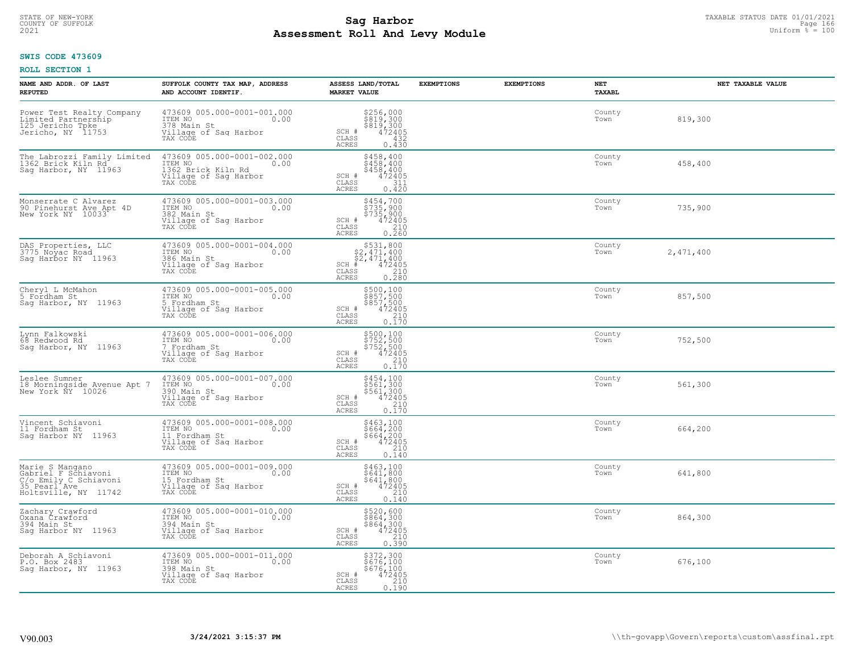# TAXABLE STATUS DATE 01/01/2021<br>COUNTY OF SUFFOLK Page 166 **Assessment Roll And Levy Module Example 2021** Uniform  $\frac{1}{8}$  = 100

#### **SWIS CODE 473609**

| NAME AND ADDR. OF LAST<br><b>REPUTED</b>                                                                | SUFFOLK COUNTY TAX MAP, ADDRESS<br>AND ACCOUNT IDENTIF.                                                   | ASSESS LAND/TOTAL<br><b>MARKET VALUE</b>                                                                                           | <b>EXEMPTIONS</b> | <b>EXEMPTIONS</b> | <b>NET</b><br>TAXABL | NET TAXABLE VALUE |
|---------------------------------------------------------------------------------------------------------|-----------------------------------------------------------------------------------------------------------|------------------------------------------------------------------------------------------------------------------------------------|-------------------|-------------------|----------------------|-------------------|
| Power Test Realty Company<br>Limited Partnership<br>125 Jericho Tpke<br>Jericho, NY 11753               | 473609 005.000-0001-001.000<br>ITEM NO<br>0.00<br>378 Main St<br>Village of Sag Harbor<br>TAX CODE        | $$256,000$<br>$$819,300$<br>$$819,300$<br>$472405$<br>$$432$<br>SCH #<br>CLASS<br><b>ACRES</b><br>0.430                            |                   |                   | County<br>Town       | 819,300           |
| The Labrozzi Family Limited<br>1362 Brick Kiln Rd<br>Sag Harbor, NY 11963                               | 473609 005.000-0001-002.000<br>ITEM NO<br>1362 Brick Kiln Rd<br>0.00<br>Village of Sag Harbor<br>TAX CODE | \$458,400<br>\$458,400<br>\$458,400<br>472405<br>SCH #<br>CLASS<br>311<br>ACRES<br>0.420                                           |                   |                   | County<br>Town       | 458,400           |
| Monserrate C Alvarez<br>90 Pinehurst Ave Apt 4D<br>New York NY 10033                                    | 473609 005.000-0001-003.000<br>ITEM NO<br>0.00<br>382 Main St<br>Village of Sag Harbor<br>TAX CODE        | \$454,700<br>\$735,900<br>\$735,900<br>SCH #<br>$\begin{smallmatrix} 472405\ 210\ 2.60 \end{smallmatrix}$<br>CLASS<br><b>ACRES</b> |                   |                   | County<br>Town       | 735,900           |
| DAS Properties, LLC<br>3775 Noyac Road<br>Sag Harbor NY 11963                                           | 473609 005.000-0001-004.000<br>ITEM NO<br>0.00<br>386 Main St<br>Village of Sag Harbor<br>TAX CODE        | $$2,471,400$<br>$$2,471,400$<br>$$2,471,400$<br>$SCH$ #<br>$\begin{array}{r} 472405 \\ 210 \\ 0.280 \end{array}$<br>CLASS<br>ACRES |                   |                   | County<br>Town       | 2,471,400         |
| Cheryl L McMahon<br>5 Fordham St<br>Sag Harbor, NY 11963                                                | 473609 005.000-0001-005.000<br>ITEM NO<br>0.00<br>5 Fordham St<br>Village of Saq Harbor<br>TAX CODE       | \$500,100<br>\$857,500<br>\$857,500<br>\$857,500<br>\$72405<br>0.170<br>SCH #<br>CLASS<br><b>ACRES</b>                             |                   |                   | County<br>Town       | 857,500           |
| Lynn Falkowski<br>68 Redwood Rd<br>Sag Harbor, NY 11963                                                 | 473609 005.000-0001-006.000<br>ITEM NO<br>0.00<br>7 Fordham St<br>Village of Sag Harbor<br>TAX CODE       | \$500,100<br>\$752,500<br>\$752,500<br>\$752,500<br>SCH #<br>CLASS<br>$\begin{bmatrix} 210 \\ 0.170 \end{bmatrix}$<br><b>ACRES</b> |                   |                   | County<br>Town       | 752,500           |
| Leslee Sumner<br>18 Morningside Avenue Apt 7<br>New York NY 10026                                       | 473609 005.000-0001-007.000<br>ITEM NO<br>0.00<br>390 Main St<br>Village of Sag Harbor<br>TAX CODE        | \$454,100<br>\$561,300<br>\$561,300<br>472405<br>SCH #<br>CLASS<br>$\frac{210}{0.170}$<br>ACRES                                    |                   |                   | County<br>Town       | 561,300           |
| Vincent Schiavoni<br>11 Fordham St<br>Saq Harbor NY 11963                                               | 473609 005.000-0001-008.000<br>TTEM NO 0.00<br>11 Fordham St<br>Village of Sag Harbor<br>TAX CODE         | \$463,100<br>\$664,200<br>\$664,200<br>472405<br>210<br>SCH #<br>CLASS<br>ACRES<br>0.140                                           |                   |                   | County<br>Town       | 664,200           |
| Marie S Mangano<br>Gabriel F Schiavoni<br>C/o Emily C Schiavoni<br>35 Pearl Ave<br>Holtsville, NY 11742 | 473609 005.000-0001-009.000<br>TTEM NO 0.00<br>15 Fordham St<br>Village of Sag Harbor<br>TAX CODE         | \$463,100<br>\$641,800<br>\$641,800<br>SCH #<br>472405<br>CLASS<br>210<br>ACRES<br>0.140                                           |                   |                   | County<br>Town       | 641,800           |
| Zachary Crawford<br>Oxana Crawford<br>394 Main St<br>Sag Harbor NY 11963                                | 473609 005.000-0001-010.000<br>ITEM NO<br>0.00<br>394 Main St<br>Village of Sag Harbor<br>TAX CODE        | $$520,600$864,300$864,300$472405210230$<br>SCH #<br>CLASS<br>0.390<br><b>ACRES</b>                                                 |                   |                   | County<br>Town       | 864,300           |
| Deborah A Schiavoni<br>P.O. Box 2483<br>Saq Harbor, NY 11963                                            | 473609 005.000-0001-011.000<br>ITEM NO<br>0.00<br>398 Main St<br>Village of Sag Harbor<br>TAX CODE        | \$372,300<br>\$676,100<br>\$676,100<br>SCH #<br>472405<br>210<br>CLASS<br>ACRES<br>0.190                                           |                   |                   | County<br>Town       | 676,100           |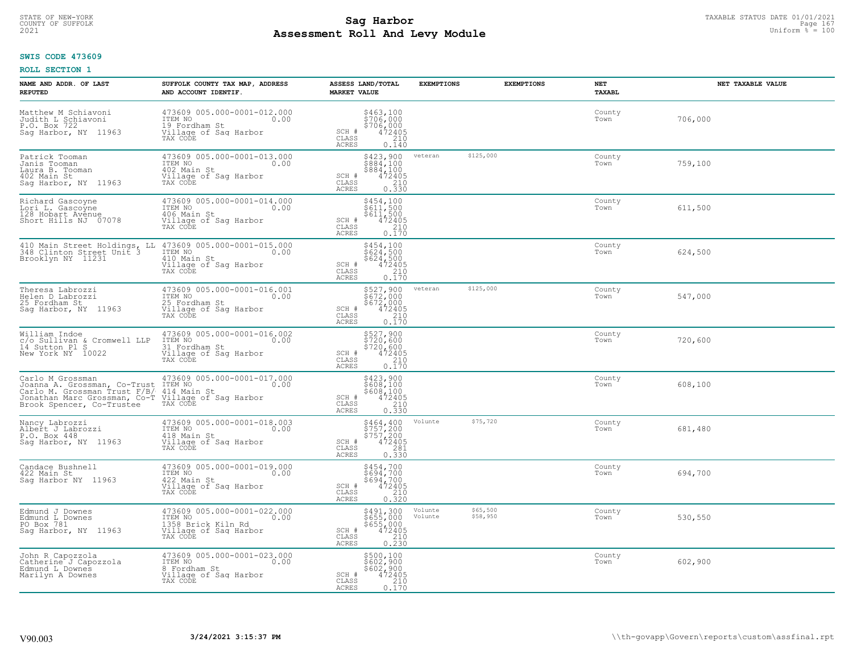#### **Sag Harbor**<br>**Poll And Low Module**<br>
Poll And Low Module **Assessment Roll And Levy Module Example 2021** Uniform  $\frac{1}{8}$  = 100 COUNTY OF SUFFOLK Page 167

#### **SWIS CODE 473609**

| NAME AND ADDR. OF LAST<br><b>REPUTED</b>                                                                                                                                                | SUFFOLK COUNTY TAX MAP, ADDRESS<br>AND ACCOUNT IDENTIF.                                                     | ASSESS LAND/TOTAL<br><b>MARKET VALUE</b>                                                                                       | <b>EXEMPTIONS</b>                          | <b>EXEMPTIONS</b> | NET<br>TAXABL  | NET TAXABLE VALUE |
|-----------------------------------------------------------------------------------------------------------------------------------------------------------------------------------------|-------------------------------------------------------------------------------------------------------------|--------------------------------------------------------------------------------------------------------------------------------|--------------------------------------------|-------------------|----------------|-------------------|
| Matthew M Schiavoni<br>Judith L Schiavoni<br>P.O. Box 722<br>Sag Harbor, NY 11963                                                                                                       | 473609 005.000-0001-012.000<br>ITEM NO<br>0.00<br>19 Fordham St<br>Village of Sag Harbor<br>TAX CODE        | \$463,100<br>\$706,000<br>\$706,000<br>\$72405<br>\$710<br>SCH #<br>CLASS<br><b>ACRES</b><br>0.140                             |                                            |                   | County<br>Town | 706,000           |
| Patrick Tooman<br>Janis Tooman<br>Laura B. Tooman<br>402 Main St<br>Sag Harbor, NY 11963                                                                                                | 473609 005.000-0001-013.000<br>ITEM NO<br>0.00<br>402 Main St<br>Village of Sag Harbor<br>TAX CODE          | \$423,900<br>\$884,100<br>\$884,100<br>SCH #<br>472405<br>$\mathtt{CLASS}$<br>$\frac{210}{0.330}$<br>ACRES                     | \$125,000<br>veteran                       |                   | County<br>Town | 759,100           |
| Richard Gascoyne<br>Lori L. Gascoyne<br>128 Hobart Avenue<br>Short Hills NJ 07078                                                                                                       | 473609 005.000-0001-014.000<br>ITEM NO<br>0.00<br>406 Main St<br>Village of Sag Harbor<br>TAX CODE          | \$454,100<br>$\frac{5611}{611}$ , 500<br>$5611$ , 500<br>SCH #<br>472405<br>210<br>CLASS<br><b>ACRES</b><br>0.170              |                                            |                   | County<br>Town | 611,500           |
| 410 Main Street Holdings, LL 473609 005.000-0001-015.000<br>348 Clinton Street Unit 3 ITEM NO<br>Brooklyn NY 11231 410 Main St                                                          | Village of Saq Harbor<br>TAX CODE                                                                           | \$454,100<br>\$624,500<br>\$624,500<br>SCH #<br>$\frac{472405}{210}$<br>CLASS<br><b>ACRES</b><br>0.170                         |                                            |                   | County<br>Town | 624,500           |
| Theresa Labrozzi<br>Helen D Labrozzi<br>25 Fordham St<br>Sag Harbor, NY 11963                                                                                                           | 473609 005.000-0001-016.001<br>ITEM NO<br>0.00<br>25 Fordham St<br>Village of Sag Harbor<br>TAX CODE        | \$527,900<br>$$672,000$<br>$$672,000$<br>$472405$<br>$0.170$<br>SCH #<br>CLASS<br>ACRES                                        | \$125,000<br>veteran                       |                   | County<br>Town | 547,000           |
| William Indoe<br>C/O Sullivan & Cromwell LLP<br>14 Sutton Pl S<br>New York NY 10022                                                                                                     | 473609 005.000-0001-016.002<br>ITEM NO<br>0.00<br>31 Fordham St<br>Village of Sag Harbor<br>TAX CODE        | \$527,900<br>\$720,600<br>\$720,600<br>\$72405<br>SCH #<br>CLASS<br>210<br><b>ACRES</b><br>0.170                               |                                            |                   | County<br>Town | 720,600           |
| Carlo M Grossman<br>Joanna A. Grossman, Co-Trust ITEM NO<br>Carlo M. Grossman Trust F/B/ 414 Main St<br>Jonathan Marc Grossman, Co-T Village of Sag Harbor<br>Brook Spencer, Co-Trustee | 473609 005.000-0001-017.000<br>0.00<br>TAX CODE                                                             | \$423,900<br>\$608,100<br>\$608,100<br>472405<br>SCH #<br>CLASS<br>$\frac{210}{0.330}$<br>ACRES                                |                                            |                   | County<br>Town | 608,100           |
| Nancy Labrozzi<br>Albert J Labrozzi<br>P.O. Box 448<br>Sag Harbor, NY 11963                                                                                                             | 473609 005.000-0001-018.003<br>TTEM NO 0.00<br>418 Main St<br>Village of Sag Harbor<br>TAX CODE             | \$464,400<br>\$757,200<br>\$757,200<br>\$757,200<br>472405<br>0.330<br>SCH #<br>$\mathtt{CLASS}$<br><b>ACRES</b>               | \$75,720<br>Volunte                        |                   | County<br>Town | 681,480           |
| Candace Bushnell<br>422 Main St<br>Saq Harbor NY 11963                                                                                                                                  | 473609 005.000-0001-019.000<br>ITEM NO 0.00<br>422 Main St<br>Village of Saq Harbor<br>TAY CODE<br>TAX CODE | \$454,700<br>\$694,700<br>\$694,700<br>472405<br>SCH #<br>CLASS<br>210<br><b>ACRES</b><br>0.320                                |                                            |                   | County<br>Town | 694,700           |
| Edmund J Downes<br>Edmund L Downes<br>PO Box 781<br>Sag Harbor, NY 11963                                                                                                                | 473609 005.000-0001-022.000<br>ITEM NO<br>0.00<br>1358 Brick Kiln Rd<br>Village of Sag Harbor<br>TAX CODE   | \$491,300<br>\$655,000<br>\$655,000<br>472405<br>SCH #<br>$\begin{array}{c} 210 \\ 0.230 \end{array}$<br>CLASS<br><b>ACRES</b> | \$65,500<br>Volunte<br>\$58,950<br>Volunte |                   | County<br>Town | 530,550           |
| John R Capozzola<br>Catherine J Capozzola<br>Edmund L Downes<br>Marilyn A Downes                                                                                                        | 473609 005.000-0001-023.000<br>ITEM NO<br>0.00<br>8 Fordham St<br>Village of Sag Harbor<br>TAX CODE         | \$500,100<br>\$602,900<br>\$602,900<br>SCH #<br>472405<br>$\mathtt{CLASS}$<br>210<br>ACRES<br>0.170                            |                                            |                   | County<br>Town | 602,900           |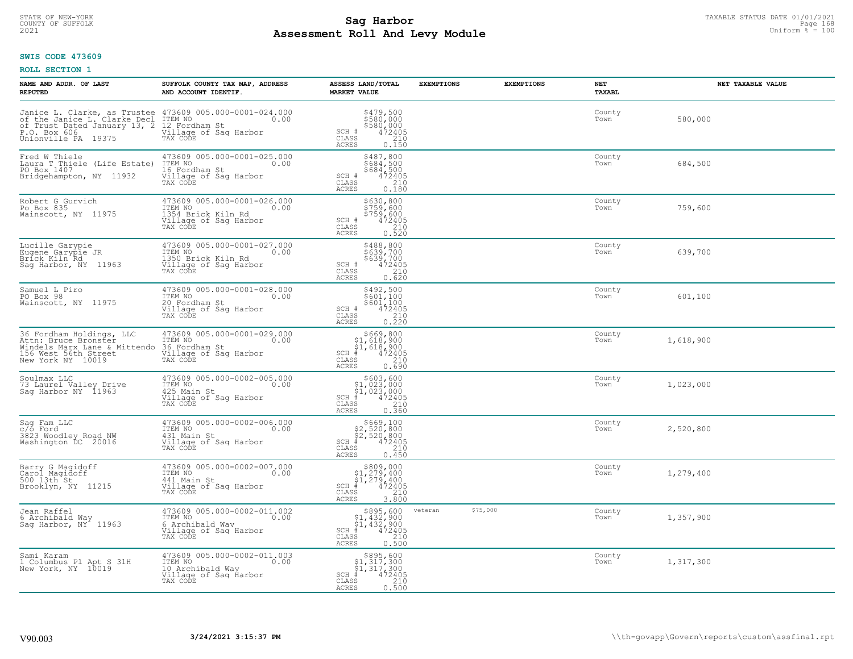# TAXABLE STATUS DATE 01/01/2021<br>COUNTY OF SUFFOLK Page 168 **Assessment Roll And Levy Module Example 2021** Uniform  $\frac{1}{8}$  = 100

#### **SWIS CODE 473609**

| NAME AND ADDR. OF LAST<br><b>REPUTED</b>                                                                                                                                 | SUFFOLK COUNTY TAX MAP, ADDRESS<br>AND ACCOUNT IDENTIF.                                                                     | ASSESS LAND/TOTAL<br><b>MARKET VALUE</b>                                                                                | <b>EXEMPTIONS</b> | <b>EXEMPTIONS</b> | <b>NET</b><br>TAXABL | NET TAXABLE VALUE |
|--------------------------------------------------------------------------------------------------------------------------------------------------------------------------|-----------------------------------------------------------------------------------------------------------------------------|-------------------------------------------------------------------------------------------------------------------------|-------------------|-------------------|----------------------|-------------------|
| Janice L. Clarke, as Trustee 473609 005.000-0001-024.000<br>of the Janice L. Clarke Decl ITEM NO.<br>of Trust Dated January 13, 2<br>P.O. Box 606<br>Unionville PA 19375 | 12 Fordham St<br>Village of Sag Harbor<br>TAX CODE                                                                          | \$479,500<br>\$580,000<br>\$580,000<br>SCH #<br>472405<br>210<br>CLASS<br><b>ACRES</b><br>0.150                         |                   |                   | County<br>Town       | 580,000           |
| Fred W Thiele<br>Laura T Thiele (Life Estate)<br>PO Box 1407<br>Bridgehampton, NY 11932                                                                                  | 473609 005.000-0001-025.000<br>ITEM NO<br>0.00<br>16 Fordham St<br>Village of Sag Harbor<br>TAX CODE                        | \$487,800<br>\$684,500<br>\$684,500<br>472405<br>SCH #<br>CLASS<br>$\frac{210}{0.180}$<br><b>ACRES</b>                  |                   |                   | County<br>Town       | 684,500           |
| Robert G Gurvich<br>Po Box 835<br>Wainscott, NY 11975                                                                                                                    | 473609 005.000-0001-026.000<br>ITEM NO<br>0.00<br>1354 Brick Kiln Rd<br>Village of Sag Harbor<br>TAX CODE                   | \$630,800<br>\$759,600<br>$$759,600$<br>472405<br>472405<br>0.520<br>SCH #<br>CLASS<br><b>ACRES</b>                     |                   |                   | County<br>Town       | 759,600           |
| Lucille Garypie<br>Eugene Garypie JR<br>Brick Kiln Rd<br>Sag Harbor, NY 11963                                                                                            | 473609 005.000-0001-027.000<br>ITEM NO<br>0.00<br>1350 Brick Kiln Rd<br>Village of Sag Harbor<br>TAX CODE                   | \$488,800<br>\$639,700<br>\$639,700<br>472405<br>210<br>SCH #<br>CLASS<br>ACRES<br>0.620                                |                   |                   | County<br>Town       | 639,700           |
| Samuel L Piro<br>PO Box 98<br>Wainscott, NY 11975                                                                                                                        | 473609 005.000-0001-028.000<br>ITEM NO<br>0.00<br>20 Fordham St<br>Village of Sag Harbor<br>TAX CODE                        | \$492,500<br>\$601,100<br>\$601,100<br>472405<br>SCH #<br>CLASS<br>$0.210$<br>$0.220$<br><b>ACRES</b>                   |                   |                   | County<br>Town       | 601,100           |
| 36 Fordham Holdings, LLC<br>Attn: Bruce Bronster<br>Windels Marx Lane & Mittendo<br>156 West 56th Street<br>New York NY 10019                                            | 473609 005.000-0001-029.000<br>TTEM NO 0.00<br>36 Fordham St<br>Village of Sag Harbor<br>TAX CODE                           | $$669, 800$<br>$$1, 618, 900$<br>$$1, 618, 900$<br>$$472405$<br>SCH<br>CLASS<br>$0.210$<br>$0.690$<br><b>ACRES</b>      |                   |                   | County<br>Town       | 1,618,900         |
| Soulmax LLC<br>73 Laurel Valley Drive<br>Sag Harbor NY 11963                                                                                                             | 473609 005.000-0002-005.000<br>ITEM NO<br>0.00<br>425 Main St<br>Village of Sag Harbor<br>Tillage of Sag Harbor<br>TAX CODE | $$603, 600$<br>$$1, 023, 000$<br>$$1, 023, 000$<br>$$472405$<br>SCH<br>CLASS<br>0.360<br><b>ACRES</b>                   |                   |                   | County<br>Town       | 1,023,000         |
| Sag Fam LLC<br>c/o Ford<br>3823 Woodley Road NW<br>Washington DC 20016                                                                                                   | 473609 005.000-0002-006.000<br>ITEM NO<br>0.00<br>431 Main St<br>Village of Saq Harbor<br>TAX CODE                          | \$669,100<br>\$2,520,800<br>\$2,520,800<br>SCH<br>472405<br>$\mathtt{CLASS}$<br>210<br><b>ACRES</b><br>0.450            |                   |                   | County<br>Town       | 2,520,800         |
| Barry G Magidoff<br>Carol Magidoff<br>500 13th <sup>-st</sup><br>Brooklyn, NY 11215                                                                                      | 473609 005.000-0002-007.000<br>ITEM NO<br>0.00<br>441 Main St<br>Village of Sag Harbor<br>TAX CODE                          | $$809,000$<br>$$1,279,400$<br>$$1,279,400$<br>$*$ $472405$<br>SCH<br>CLASS<br>3.800<br><b>ACRES</b>                     |                   |                   | County<br>Town       | 1,279,400         |
| Jean Raffel<br>6 Archibald Way<br>Saq Harbor, NY <sup>4</sup> 11963                                                                                                      | 473609 005.000-0002-011.002<br>ITEM NO<br>0.00<br>6 Archibald Way<br>Village of Sag Harbor<br>TAX CODE                      | $$895,600$<br>$$1,432,900$<br>$$1,432,900$<br>$$472405$<br>SCH #<br>CLASS<br>0.500<br><b>ACRES</b>                      | veteran           | \$75,000          | County<br>Town       | 1,357,900         |
| Sami Karam<br>1 Columbus P1 Apt S 31H<br>New York, NY 10019                                                                                                              | 473609 005.000-0002-011.003<br>ITEM NO<br>0.00<br>10 Archibald Way<br>Village of Sag Harbor<br>TAX CODE                     | $$895,600$<br>$$1,317,300$<br>$$1,317,300$<br>$*1,317,300$<br>$*6$<br>$*72405$<br>SCH<br>CLASS<br>210<br>0.500<br>ACRES |                   |                   | County<br>Town       | 1,317,300         |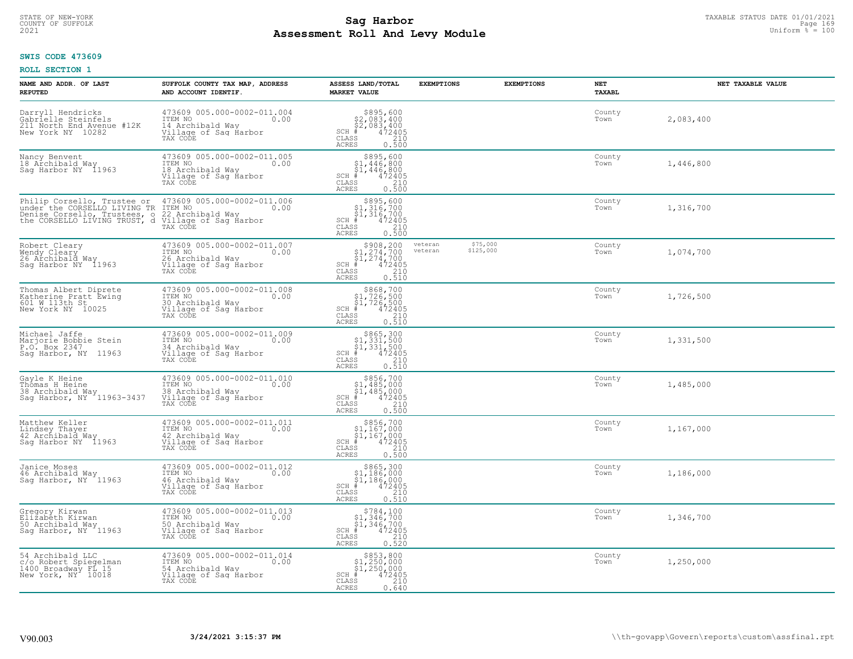#### **Sag Harbor**<br>**Poll And Low Module**<br>
Poll And Low Module **Assessment Roll And Levy Module Example 2021** Uniform  $\frac{1}{8}$  = 100 COUNTY OF SUFFOLK Page 169

#### **SWIS CODE 473609**

| NAME AND ADDR. OF LAST<br><b>REPUTED</b>                                                                                       | SUFFOLK COUNTY TAX MAP, ADDRESS<br>AND ACCOUNT IDENTIF.                                                 | ASSESS LAND/TOTAL<br><b>MARKET VALUE</b>                                                                                                                                  | <b>EXEMPTIONS</b>  | <b>EXEMPTIONS</b>     | NET<br>TAXABL  | NET TAXABLE VALUE |
|--------------------------------------------------------------------------------------------------------------------------------|---------------------------------------------------------------------------------------------------------|---------------------------------------------------------------------------------------------------------------------------------------------------------------------------|--------------------|-----------------------|----------------|-------------------|
| Darryll Hendricks<br>Gabrielle Steinfels<br>211 North End Avenue #12K<br>New York NY 10282                                     | 473609 005.000-0002-011.004<br>ITEM NO<br>0.00<br>14 Archibald Way<br>Village of Sag Harbor<br>TAX CODE | $$895,600$<br>$$2,083,400$<br>$$2,083,400$<br>$*$ 472405<br>$SCH$ #<br>CLASS<br>210<br><b>ACRES</b><br>0.500                                                              |                    |                       | County<br>Town | 2,083,400         |
| Nancy Benvent<br>18 Archibald Way<br>Saq Harbor NY 11963                                                                       | 473609 005.000-0002-011.005<br>ITEM NO<br>0.00<br>18 Archibald Way<br>Village of Sag Harbor<br>TAX CODE | $$895,600$<br>$$1,446,800$<br>$$1,446,800$<br>$$1,446,800$<br>$472405$<br>$SCH$ #<br>CLASS<br>$\begin{bmatrix} 210 \\ 0.500 \end{bmatrix}$<br><b>ACRES</b>                |                    |                       | County<br>Town | 1,446,800         |
| Philip Corsello, Trustee or<br>under the CORSELLO LIVING TR<br>Denise Corsello, Trustees, o<br>the CORSELLO LIVING TRUST,<br>d | 473609 005.000-0002-011.006<br>ITEM NO<br>0.00<br>22 Archibald Way<br>Village of Sag Harbor<br>TAX CODE | \$895,600<br>\$1,316,700<br>$\frac{1}{4}$ , 316, 700<br># 472405<br>$SCH$ #<br>CLASS<br>0.210<br><b>ACRES</b>                                                             |                    |                       | County<br>Town | 1,316,700         |
| Robert Cleary<br>Wendy Cleary<br>26 Archibald Way<br>Saq Harbor NY 11963                                                       | 473609 005.000-0002-011.007<br>ITEM NO<br>0.00<br>26 Archibald Way<br>Village of Sag Harbor<br>TAX CODE | $$908,200$<br>$$1,274,700$<br>$$1,274,700$<br>$472405$<br>$$210$<br>SCH<br>CLASS<br><b>ACRES</b><br>0.510                                                                 | veteran<br>veteran | \$75,000<br>\$125,000 | County<br>Town | 1,074,700         |
| Thomas Albert Diprete<br>Katherine Pratt Ewing<br>601 W 113th St<br>New York NY 10025                                          | 473609 005.000-0002-011.008<br>ITEM NO<br>0.00<br>30 Archibald Way<br>Village of Saq Harbor<br>TAX CODE | \$868,700<br>\$1,726,500<br>\$1,726,500<br>SCH #<br>$\frac{472405}{210}$<br>CLASS<br><b>ACRES</b><br>0.510                                                                |                    |                       | County<br>Town | 1,726,500         |
| Michael Jaffe<br>Marjorie Bobbie Stein<br>P.O. Box 2347<br>Saq Harbor, NY 11963                                                | 473609 005.000-0002-011.009<br>ITEM NO<br>0.00<br>34 Archibald Way<br>Village of Sag Harbor<br>TAX CODE | $$865,300$<br>$$1,331,500$<br>$$1,331,500$<br>$*1$<br>$472405$<br>SCH<br>CLASS<br>210<br>0.510<br><b>ACRES</b>                                                            |                    |                       | County<br>Town | 1,331,500         |
| Gayle K Heine<br>Thomas H Heine<br>38 Archibald Way<br>Sag Harbor, NY 11963-3437                                               | 473609 005.000-0002-011.010<br>ITEM NO<br>0.00<br>38 Archibald Wav<br>Village of Sag Harbor<br>TAX CODE | $$856,700$<br>$$1,485,000$<br>$$1,485,000$<br>$*1,485,000$<br>$*1,472405$<br>$SCH$ #<br>CLASS<br>210<br>0.500<br><b>ACRES</b>                                             |                    |                       | County<br>Town | 1,485,000         |
| Matthew Keller<br>Lindsey Thayer<br>42 Archibald Way<br>Sag Harbor NY 11963                                                    | 473609 005.000-0002-011.011<br>ITEM NO 0.00<br>42 Archibald Way<br>Village of Sag Harbor<br>TAX CODE    | $$856,700$<br>$$1,167,000$<br>$$1,167,000$<br>$*1,167,000$<br>$*1,167,2405$<br>SCH<br>CLASS<br>210<br><b>ACRES</b><br>0.500                                               |                    |                       | County<br>Town | 1,167,000         |
| Janice Moses<br>46 Archibald Way<br>Sag Harbor, NY 11963                                                                       | 473609 005.000-0002-011.012<br>ITEM NO 0.00<br>46 Archibald Way<br>Village of Sag Harbor<br>TAX CODE    | \$865,300<br>\$1,186,000<br>$\frac{1}{4}$ , $\frac{1}{1}$ , $\frac{1}{4}$ , $\frac{1}{2}$ , $\frac{1}{2}$ , $\frac{1}{2}$<br>SCH<br>CLASS<br>210<br><b>ACRES</b><br>0.510 |                    |                       | County<br>Town | 1,186,000         |
| Gregory Kirwan<br>Elizabeth Kirwan<br>50 Archibald Way<br>Sag Harbor, NY 11963                                                 | 473609 005.000-0002-011.013<br>ITEM NO<br>0.00<br>50 Archibald Wav<br>Village of Sag Harbor<br>TAX CODE | $$784,100$<br>$$1,346,700$<br>$$1,346,700$<br>$*1,346,700$<br>$*1,472405$<br>SCH<br>210<br>CLASS<br>0.520<br><b>ACRES</b>                                                 |                    |                       | County<br>Town | 1,346,700         |
| 54 Archibald LLC<br>c/o Robert Spiegelman<br>1400 Broadway FL 15<br>New York, NY <sup>-</sup> 10018                            | 473609 005.000-0002-011.014<br>ITEM NO<br>0.00<br>54 Archibald Way<br>Village of Sag Harbor<br>TAX CODE | \$853,800<br>\$1,250,000<br>\$1,250,000<br>$SCH$ #<br>472405<br>CLASS<br>210<br><b>ACRES</b><br>0.640                                                                     |                    |                       | County<br>Town | 1,250,000         |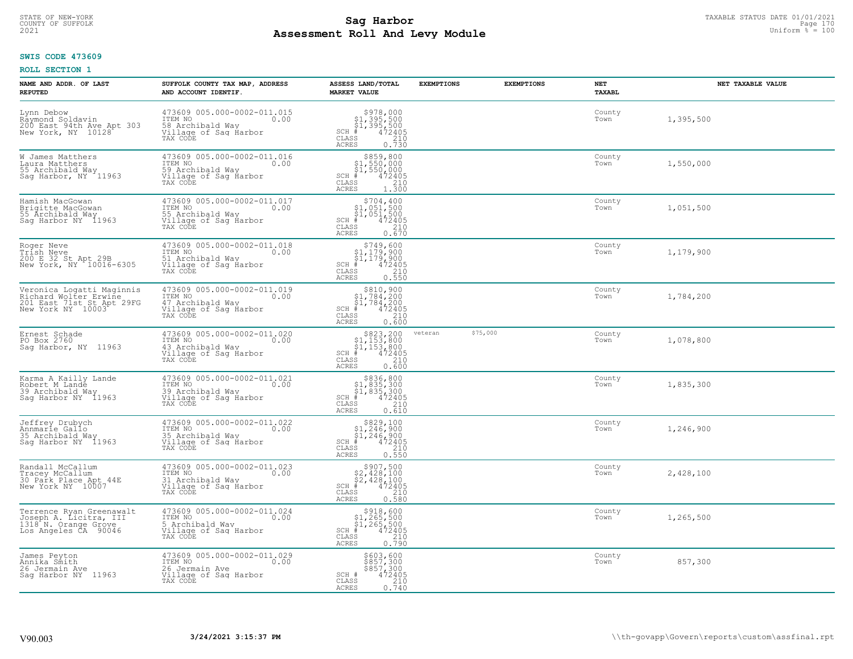# TAXABLE STATUS DATE 01/01/2021<br>COUNTY OF SUFFOLK Page 170 Page 170 **Assessment Roll And Levy Module Example 2021** Uniform  $\frac{1}{8}$  = 100

#### **SWIS CODE 473609**

| NAME AND ADDR. OF LAST<br><b>REPUTED</b>                                                             | SUFFOLK COUNTY TAX MAP, ADDRESS<br>AND ACCOUNT IDENTIF.                                                 | ASSESS LAND/TOTAL<br><b>MARKET VALUE</b>                                                                                                                                                               | <b>EXEMPTIONS</b> | <b>EXEMPTIONS</b> | NET<br>TAXABL  | NET TAXABLE VALUE |
|------------------------------------------------------------------------------------------------------|---------------------------------------------------------------------------------------------------------|--------------------------------------------------------------------------------------------------------------------------------------------------------------------------------------------------------|-------------------|-------------------|----------------|-------------------|
| Lynn Debow<br>Rāymond Soldavin<br>200 East 94th Ave Apt 303<br>New York, NY 10128                    | 473609 005.000-0002-011.015<br>ITEM NO<br>0.00<br>58 Archibald Way<br>Village of Saq Harbor<br>TAX CODE | $$978,000$<br>$$1,395,500$<br>$$1,395,500$<br>$*$ 472405<br>SCH #<br>CLASS<br>$\frac{210}{0.730}$<br><b>ACRES</b>                                                                                      |                   |                   | County<br>Town | 1,395,500         |
| W James Matthers<br>Laura Matthers<br>55 Archibald Way<br>Sag Harbor, NY 11963                       | 473609 005.000-0002-011.016<br>ITEM NO<br>0.00<br>59 Archibald Way<br>Village of Sag Harbor<br>TAX CODE | $\begin{array}{r}  \  \  \, 5859,800\\  \  \, 51,550,000\\  \  \, 51,550,000\\  \  \  \, 472405\\ \text{ss} \\  \  \, 210\\ \text{ss} \\  \  \, 1.300\\ \end{array}$<br>SCH #<br>CLASS<br><b>ACRES</b> |                   |                   | County<br>Town | 1,550,000         |
| Hamish MacGowan<br>Brigitte MacGowan<br>55 Archibald Way<br>Sag Harbor NY 11963                      | 473609 005.000-0002-011.017<br>ITEM NO<br>0.00<br>55 Archibald Way<br>Village of Sag Harbor<br>TAX CODE | \$704,400<br>$$1,051,500$<br>$$1,051,500$<br>$*$ 472405<br>$$210$<br>$SCH$ #<br>CLASS<br><b>ACRES</b><br>0.670                                                                                         |                   |                   | County<br>Town | 1,051,500         |
| Roger Neve<br>Trish Neve<br>200 E 32 St Apt 29B<br>New York, NY 10016-6305                           | 473609 005.000-0002-011.018<br>ITEM NO<br>0.00<br>51 Archibald Wav<br>Village of Sag Harbor<br>TAX CODE | $$749,600$<br>$$1,179,900$<br>$$1,179,900$<br>$472405$<br>$$210$<br>$SCH$ #<br>CLASS<br>ACRES<br>0.550                                                                                                 |                   |                   | County<br>Town | 1,179,900         |
| Veronica Logatti Maginnis<br>Richard Wolter Erwine<br>201 East 71st St Apt 29FG<br>New York NY 10003 | 473609 005.000-0002-011.019<br>ITEM NO<br>0.00<br>47 Archibald Wav<br>Village of Sag Harbor<br>TAX CODE | $\begin{array}{r} 5810,900 \\ 51,784,200 \\ 51,784,200 \\ \frac{4}{5} & 472405 \end{array}$<br>$SCH$ #<br>CLASS<br>210<br><b>ACRES</b><br>0.600                                                        |                   |                   | County<br>Town | 1,784,200         |
| Ernest Schade<br>PO Box 2760<br>Saq Harbor, NY 11963                                                 | 473609 005.000-0002-011.020<br>ITEM NO<br>0.00<br>43 Archibald Way<br>Village of Sag Harbor<br>TAX CODE | $\begin{array}{r} $823,200 $1,153,800 $1,153,800 $472405 \end{array}$<br>$SCH$ #<br>CLASS<br>210<br>0.600<br>ACRES                                                                                     | veteran           | \$75,000          | County<br>Town | 1,078,800         |
| Karma A Kailly Lande<br>Robert M Lande<br>39 Archibald Way<br>Sag Harbor NY 11963                    | 473609 005.000-0002-011.021<br>ITEM NO<br>0.00<br>39 Archibald Way<br>Village of Sag Harbor<br>TAX CODE | $$336,800$<br>$$1,835,300$<br>$$1,835,300$<br>$*1,835,300$<br>$*1,935,300$<br>$SCH$ #<br>CLASS<br>210<br>0.610<br><b>ACRES</b>                                                                         |                   |                   | County<br>Town | 1,835,300         |
| Jeffrey Drubych<br>Annmarie Gallo<br>35 Archibald Way<br>Sag Harbor NY 11963                         | 473609 005.000-0002-011.022<br>ITEM NO 0.00<br>35 Archibald Way<br>Village of Sag Harbor<br>TAX CODE    | $$829,100$<br>$$1,246,900$<br>$$1,246,900$<br>$*1,246,900$<br>$*1,2405$<br>$SCH$ #<br>CLASS<br>210<br><b>ACRES</b><br>0.550                                                                            |                   |                   | County<br>Town | 1,246,900         |
| Randall McCallum<br>Tracey McCallum<br>30 Park Place Apt 44E<br>New York NY 10007                    | 473609 005.000-0002-011.023<br>ITEM NO<br>0.00<br>31 Archibald Way<br>Village of Sag Harbor<br>TAX CODE | $$907,500$<br>$$2,428,100$<br>$$2,428,100$<br>$$2,428,100$<br>$SCH$ #<br>472405<br>CLASS<br>210<br><b>ACRES</b><br>0.580                                                                               |                   |                   | County<br>Town | 2,428,100         |
| Terrence Ryan Greenawalt<br>Joseph A. Licitra, III<br>1318 N. Orange Grove<br>Los Angeles ČA 90046   | 473609 005.000-0002-011.024<br>ITEM NO<br>0.00<br>5 Archibald Wav<br>Village of Sag Harbor<br>TAX CODE  | $$318,60051,265,50051,265,500472405$<br>$SCH$ #<br>CLASS<br>210<br>0.790<br>ACRES                                                                                                                      |                   |                   | County<br>Town | 1,265,500         |
| James Peyton<br>Annika Smith<br>26 Jermain Ave<br>Saq Harbor NY 11963                                | 473609 005.000-0002-011.029<br>ITEM NO<br>0.00<br>26 Jermain Ave<br>Village of Sag Harbor<br>TAX CODE   | \$603,600<br>\$857,300<br>\$857,300<br>472405<br>SCH #<br>$\frac{210}{0.740}$<br>CLASS<br><b>ACRES</b>                                                                                                 |                   |                   | County<br>Town | 857,300           |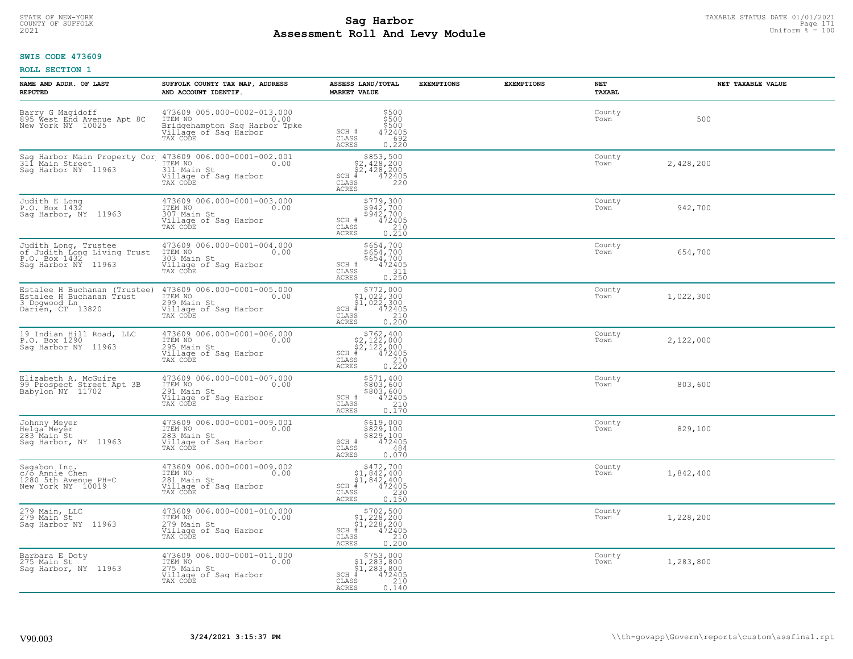# STATE OF NEW-YORK TAXABLE STATUS DATE 01/01/2021<br>COUNTY OF SUFFOLK Page 171 **Assessment Roll And Levy Module Example 2021** Uniform  $\frac{1}{8}$  = 100

#### **SWIS CODE 473609**

| NAME AND ADDR. OF LAST<br><b>REPUTED</b>                                                     | SUFFOLK COUNTY TAX MAP, ADDRESS<br>AND ACCOUNT IDENTIF.                                                                                       | ASSESS LAND/TOTAL<br><b>MARKET VALUE</b>                                                                                                                                                     | <b>EXEMPTIONS</b> | <b>EXEMPTIONS</b> | NET<br>TAXABL  | NET TAXABLE VALUE |
|----------------------------------------------------------------------------------------------|-----------------------------------------------------------------------------------------------------------------------------------------------|----------------------------------------------------------------------------------------------------------------------------------------------------------------------------------------------|-------------------|-------------------|----------------|-------------------|
| Barry G Magidoff<br>895 West End Avenue Apt 8C<br>New York NY 10025                          | 473609 005.000-0002-013.000<br>ITEM NO 0.00<br>Bridgehampton Sag Harbor Tpke<br>Village of Sag Harbor<br>TAX CODE                             | \$500<br>\$500<br>\$500<br>SCH #<br>CLASS<br>472405<br>692<br>ACRES<br>0.220                                                                                                                 |                   |                   | County<br>Town | 500               |
| Sag Harbor NY 11963                                                                          | Sag Harbor Main Property Cor 473609 006.000-0001-002.001<br>311 Main Street  ITEM NO 0.00<br>311 Main St<br>Village of Sag Harbor<br>TAX CODE | $$853,500$<br>$$2,428,200$<br>$$2,428,200$<br>SCH # 472405<br>CLASS 220<br>ACRES                                                                                                             |                   |                   | County<br>Town | 2,428,200         |
| Judith E Long<br>P.O. Box 1432<br>Sag Harbor, NY 11963                                       | 473609 006.000-0001-003.000<br>ITEM NO.<br>0.00<br>107 Main St<br>Village of Sag Harbor<br>TAX CODE                                           | \$779,300<br>\$942,700<br>\$942,700<br>SCH $*$ $472405$<br>CLASS 210<br>ACRES<br>0.210                                                                                                       |                   |                   | County<br>Town | 942,700           |
| Judith Long, Trustee<br>of Judith Long Living Trust<br>P.O. Box 1432<br>Sag Harbor NY 11963  | 473609 006.000-0001-004.000<br>ITEM NO 0.00<br>303 Main St<br>303 Main St<br>Village of Saq Harbor<br>TAX CODE                                | $SCH + 654,700$<br>$$654,700$<br>$$654,700$<br>$472405$<br>$472405$<br>CLASS<br>311<br><b>ACRES</b><br>0.250                                                                                 |                   |                   | County<br>Town | 654,700           |
| Estalee H Buchanan (Trustee)<br>Estalee H Buchanan Trust<br>3 Dogwood Ln<br>Darien, CT 13820 | 473609 006.000-0001-005.000<br>ITEM NO 0.00<br>299 Main St<br>112.<br>299 Main St<br>Village of Saq Harbor<br>TAX CODE                        | $\begin{array}{c} \texttt{5772,000} \\ \texttt{\$1,022,300} \\ \texttt{51,022,300} \\ \texttt{SCH} \texttt{+} \\ \texttt{CLAS} \texttt{972405} \\ \texttt{ACRES} \texttt{0.200} \end{array}$ |                   |                   | County<br>Town | 1,022,300         |
| 19 Indian Hill Road, LLC<br>P.O. Box 1290<br>Sag Harbor NY 11963                             | 473609 006.000-0001-006.000<br>0.00<br>ITEM NO<br>295 Main St<br>Village of Sag Harbor<br>TAX CODE                                            | $$762, 400$<br>$$2, 122, 000$<br>$$2, 122, 000$<br>$$2, 122, 000$<br>$$3, 124, 05$<br>CLASS<br>210<br>0,220<br><b>ACRES</b>                                                                  |                   |                   | County<br>Town | 2,122,000         |
| Elizabeth A. McGuire<br>99 Prospect Street Apt 3B<br>Babylon NY 11702                        | 473609 006.000-0001-007.000<br>ITEM NO 0.00<br>291 Main St<br>291 Main St<br>Village of Sag Harbor<br>TAX CODE                                | \$571,400<br>\$803,600<br>\$803,600<br>472405<br>SCH #<br>CLASS<br>210<br>0.170<br>ACRES                                                                                                     |                   |                   | County<br>Town | 803,600           |
| Johnny Meyer<br>Helga Meyer<br>283 Main St<br>Sag Harbor, NY 11963                           | 473609 006.000-0001-009.001<br>ITEM NO 0.00<br>283 Main St<br>Village of Saq Harbor<br>TAX CODE                                               | \$619,000<br>\$829,100<br>\$829,100<br>SCH # $472405$<br>CLASS $484$<br>0.070<br>ACRES                                                                                                       |                   |                   | County<br>Town | 829,100           |
| Sagabon Inc.<br>c/o Annie Chen<br>1280.5th Avenue PH-C<br>New York NY 10019                  | 473609 006.000-0001-009.002<br>ITEM NO<br>281 Main St<br>Village of Saq Harbor<br>TAX CODE                                                    | $$472,700$<br>$$1,842,400$<br>$$1,842,400$<br>$$1,842,400$<br>SCH # 472405<br>CLASS 230<br>$\begin{array}{c} 230 \\ 0.150 \end{array}$<br>ACRES                                              |                   |                   | County<br>Town | 1,842,400         |
| 279 Main, LLC<br>279 Main St<br>Sag Harbor NY 11963                                          | 473609 006.000-0001-010.000<br>ITEM NO<br>0.00<br>279 Main St<br>Village of Sag Harbor<br>TAX CODE                                            | $$702,500$<br>$$1,228,200$<br>$$1,228,200$<br>SCH $*$ 472405<br>CLASS 210<br>ACRES<br>0.200                                                                                                  |                   |                   | County<br>Town | 1,228,200         |
| Barbara E Doty<br>275 Main St<br>Sag Harbor, NY 11963                                        | 473609 006.000-0001-011.000<br>ITEM NO 0.00<br>275 Main St<br>Village of Sag Harbor<br>TAX CODE                                               | $$753,000$<br>$$1,283,800$<br>$$1,283,800$<br>$$1,283,800$<br>$SCH$ #<br>472405<br>CLASS<br>210<br>0.140<br>ACRES                                                                            |                   |                   | County<br>Town | 1,283,800         |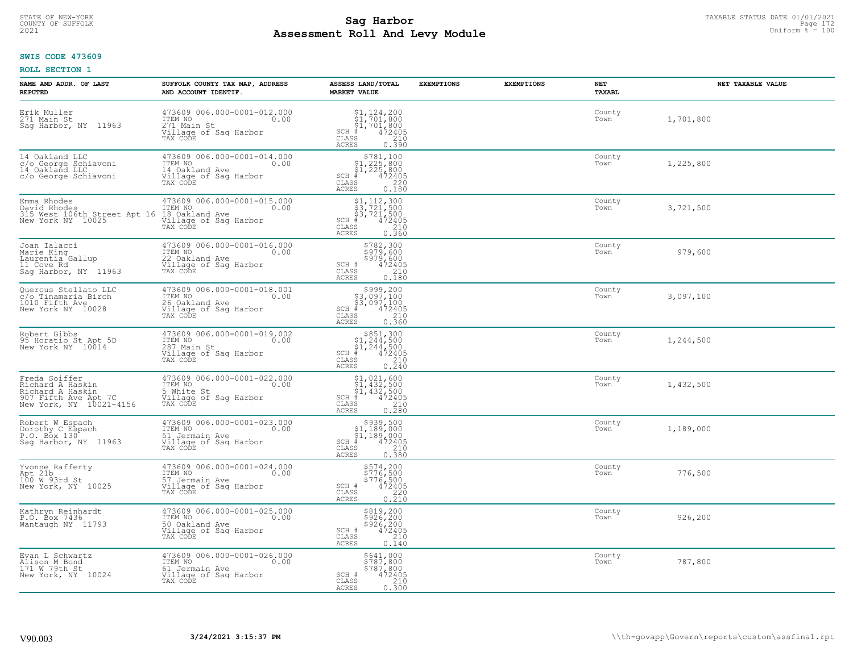# TAXABLE STATUS DATE 01/01/2021<br>COUNTY OF SUFFOLK Page 172 **Assessment Roll And Levy Module Example 2021** Uniform  $\frac{1}{8}$  = 100

#### **SWIS CODE 473609**

| NAME AND ADDR. OF LAST<br><b>REPUTED</b>                                                                 | SUFFOLK COUNTY TAX MAP, ADDRESS<br>AND ACCOUNT IDENTIF.                                               | ASSESS LAND/TOTAL<br><b>MARKET VALUE</b>                                                                                                                                                                                                                                                                                                                                                | <b>EXEMPTIONS</b> | <b>EXEMPTIONS</b> | NET<br><b>TAXABL</b> | NET TAXABLE VALUE |
|----------------------------------------------------------------------------------------------------------|-------------------------------------------------------------------------------------------------------|-----------------------------------------------------------------------------------------------------------------------------------------------------------------------------------------------------------------------------------------------------------------------------------------------------------------------------------------------------------------------------------------|-------------------|-------------------|----------------------|-------------------|
| Erik Muller<br>271 Main St<br>Saq Harbor, NY 11963                                                       | 473609 006.000-0001-012.000<br>TTEM NO 0.00<br>271 Main St<br>Village of Sag Harbor<br>TAX CODE       | $\begin{array}{l} $1,124,200\\ $1,701,800\\ $1,701,800\\ #\\ 82,100\\ $1,701,800\\ $1,72405\\ $210 \end{array}$<br>$SCH$ #<br>CLASS<br>ACRES<br>0.390                                                                                                                                                                                                                                   |                   |                   | County<br>Town       | 1,701,800         |
| 14 Oakland LLC<br>c/o George Schiavoni<br>14 Oakland LLC<br>c/o George Schiavoni                         | 473609 006.000-0001-014.000<br>ITEM NO<br>0.00<br>14 Oakland Ave<br>Village of Sag Harbor<br>TAX CODE | $\begin{array}{r}  \  \  \, 5781,100\\  \  \  51,225,800\\  \  \  51,225,800\\  \  \  \, 472405\\  \  \  \, 85\\  \  \  \, 220\\  \  \  \, 0.180\\ \end{array}$<br>$SCH$ #<br>CLASS<br><b>ACRES</b>                                                                                                                                                                                     |                   |                   | County<br>Town       | 1,225,800         |
| Emma Rhodes<br>David Rhodes<br>315 West 106th Street Apt 16<br>New York NY 10025                         | 473609 006.000-0001-015.000<br>ITEM NO<br>0.00<br>18 Oakland Ave<br>Village of Sag Harbor<br>TAX CODE | $$3, 721, 300$<br>$$3, 721, 500$<br>$$3, 721, 500$<br>472405<br>$SCH$ #<br>$\mathtt{CLASS}$<br>210<br>0.360<br>ACRES                                                                                                                                                                                                                                                                    |                   |                   | County<br>Town       | 3,721,500         |
| Joan Ialacci<br>Marie King<br>Laurentia Gallup<br>11 Cove Rd<br>Sag Harbor, NY 11963                     | 473609 006.000-0001-016.000<br>TTEM NO 0.00<br>22 Oakland Ave<br>Village of Sag Harbor<br>TAX CODE    | \$782,300<br>\$979,600<br>\$979,600<br>SCH #<br>472405<br>CLASS<br>210<br><b>ACRES</b><br>0.180                                                                                                                                                                                                                                                                                         |                   |                   | County<br>Town       | 979,600           |
| Quercus Stellato LLC<br>c/o Tinamaria Birch<br>1010 Fifth Ave<br>New York NY 10028                       | 473609 006.000-0001-018.001<br>ITEM NO<br>0.00<br>26 Oakland Ave<br>Village of Sag Harbor<br>TAX CODE | \$999,200<br>$\begin{array}{r} 3,097,100 \\ 53,097,100 \\ * & 472405 \\ * & 210 \end{array}$<br>$SCH$ #<br>CLASS<br><b>ACRES</b><br>0.360                                                                                                                                                                                                                                               |                   |                   | County<br>Town       | 3,097,100         |
| Robert Gibbs<br>95 Horatio St Apt 5D<br>New York NY 10014                                                | 473609 006.000-0001-019.002<br>ITEM NO<br>0.00<br>287 Main St<br>Village of Sag Harbor<br>TAX CODE    | $\begin{array}{r}  \  \  \, 8851,300 \\  \  \, 51,244,500 \\  \  \, 51,244,500 \\  \  \  \, 472405 \\  \  \, 85 \\  \  \  \, 85 \\  \  \  \, 210 \\  \  \, 0 \\  \  \, 210 \\  \  \, 0 \\  \  \, 0 \\  \  \, 0 \\  \  \, 0 \\  \  \, 0 \\  \  \, 0 \\  \  \, 0 \\  \  \, 0 \\  \  \, 0 \\  \  \, 0 \\  \  \, 0 \\  \  \, 0 \\ $<br>$SCH$ #<br>$\mathtt{CLASS}$<br><b>ACRES</b><br>0.240 |                   |                   | County<br>Town       | 1,244,500         |
| Freda Soiffer<br>Richard A Haskin<br>Richard A Haskin<br>907 Fifth Ave Apt 7C<br>New York, NY 10021-4156 | 473609 006.000-0001-022.000<br>ITEM NO<br>0.00<br>5 White St<br>Village of Sag Harbor<br>TAX CODE     | $$1,021,600$<br>$$1,432,500$<br>$$1,432,500$<br>$$1,432,500$<br>$472405$<br>$SCH$ #<br>CLASS<br>210<br>0.280<br>ACRES                                                                                                                                                                                                                                                                   |                   |                   | County<br>Town       | 1,432,500         |
| Robert W Espach<br>Dorothy C Espach<br>P.O. Box 130<br>Sag Harbor, NY 11963                              | 473609 006.000-0001-023.000<br>TTEM NO 0.00<br>51 Jermain Ave<br>Village of Sag Harbor<br>TAX CODE    | $SCH$ #<br>CLASS<br>$\frac{210}{0.380}$<br><b>ACRES</b>                                                                                                                                                                                                                                                                                                                                 |                   |                   | County<br>Town       | 1,189,000         |
| Yvonne Rafferty<br>Apt 21b<br>100 W 93rd St<br>New York, NY 10025                                        | 473609 006.000-0001-024.000<br>TTEM NO 0.00<br>57 Jermain Ave<br>Village of Saq Harbor<br>TAX CODE    | \$574,200<br>\$776,500<br>\$776,500<br>\$72405<br>\$220<br>SCH #<br>CLASS<br>0.210<br><b>ACRES</b>                                                                                                                                                                                                                                                                                      |                   |                   | County<br>Town       | 776,500           |
| Kathryn Reinhardt<br>P.O. Box 7436<br>Wantaugh NY 11793                                                  | 473609 006.000-0001-025.000<br>ITEM NO<br>0.00<br>50 Oakland Ave<br>Village of Sag Harbor<br>TAX CODE | \$819,200<br>\$926,200<br>\$926,200<br>472405<br>SCH #<br>210<br>CLASS<br><b>ACRES</b><br>0.140                                                                                                                                                                                                                                                                                         |                   |                   | County<br>Town       | 926,200           |
| Evan L Schwartz<br>Alison M Bond<br>171 W 79th St<br>New York, NY 10024                                  | 473609 006.000-0001-026.000<br>ITEM NO<br>0.00<br>61 Jermain Ave<br>Village of Sag Harbor<br>TAX CODE | \$641,000<br>\$787,800<br>\$787,800<br>SCH #<br>472405<br>CLASS<br>210<br>ACRES<br>0.300                                                                                                                                                                                                                                                                                                |                   |                   | County<br>Town       | 787,800           |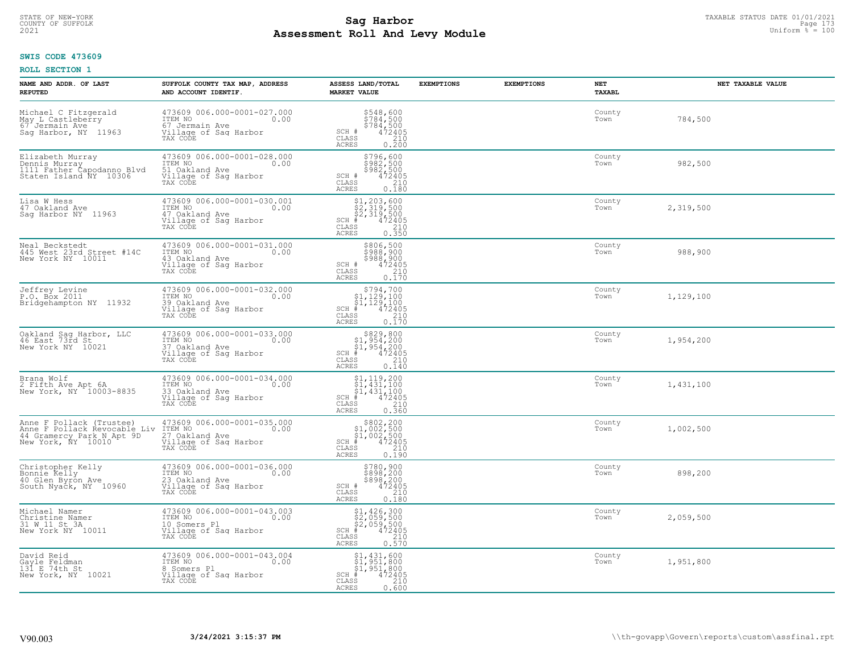# TAXABLE STATUS DATE 01/01/2021<br>COUNTY OF SUFFOLK Page 173 **Assessment Roll And Levy Module Example 2021** Uniform  $\frac{1}{8}$  = 100

#### **SWIS CODE 473609**

| NAME AND ADDR. OF LAST<br><b>REPUTED</b>                                                                    | SUFFOLK COUNTY TAX MAP, ADDRESS<br>AND ACCOUNT IDENTIF.                                               | ASSESS LAND/TOTAL<br><b>MARKET VALUE</b>                                                                                                                                                  | <b>EXEMPTIONS</b> | <b>EXEMPTIONS</b> | NET<br>TAXABL  | NET TAXABLE VALUE |
|-------------------------------------------------------------------------------------------------------------|-------------------------------------------------------------------------------------------------------|-------------------------------------------------------------------------------------------------------------------------------------------------------------------------------------------|-------------------|-------------------|----------------|-------------------|
| Michael C Fitzgerald<br>May L Castleberry<br>67 Jermain Ave<br>Saq Harbor, NY 11963                         | 473609 006.000-0001-027.000<br>ITEM NO<br>0.00<br>67 Jermain Ave<br>Village of Sag Harbor<br>TAX CODE | \$548,600<br>$\frac{5784}{5784}$ , 500<br>$\frac{5784}{472405}$<br>SCH #<br>CLASS<br>$\frac{210}{0.200}$<br><b>ACRES</b>                                                                  |                   |                   | County<br>Town | 784,500           |
| Elizabeth Murray<br>Dennis Murray<br>1111 Father Capodanno Blvd<br>Staten Island NY 10306                   | 473609 006.000-0001-028.000<br>ITEM NO<br>0.00<br>51 Oakland Ave<br>Village of Sag Harbor<br>TAX CODE | $\begin{array}{r} 5796, 600 \\ 5982, 500 \\ 5982, 500 \\ 472405 \\ 210 \\ 0.180 \end{array}$<br>SCH #<br>CLASS<br>ACRES                                                                   |                   |                   | County<br>Town | 982,500           |
| Lisa W Hess<br>47 Oakland Ave<br>Saq Harbor NY 11963                                                        | 473609 006.000-0001-030.001<br>ITEM NO<br>0.00<br>47 Oakland Ave<br>Village of Sag Harbor<br>TAX CODE | $\begin{array}{l} \text{\small $51$, $203$, $600$} \\ \text{\small $52$, $319$, $500$} \\ \text{\small $52$, $319$, $500$} \\ \text{\small $*$} \end{array}$<br>$SCH$ #<br>CLASS<br>ACRES |                   |                   | County<br>Town | 2,319,500         |
| Neal Beckstedt<br>445 West 23rd Street #14C<br>New York NY 10011                                            | 473609 006.000-0001-031.000<br>ITEM NO<br>0.00<br>43 Oakland Ave<br>Village of Sag Harbor<br>TAX CODE | \$806,500<br>\$988,900<br>\$988,900<br>\$988,900<br>\$72405<br>\$710<br>\$710<br>SCH #<br>$\mathtt{CLASS}$<br><b>ACRES</b>                                                                |                   |                   | County<br>Town | 988,900           |
| Jeffrey Levine<br>P.O. Box 2011<br>Bridgehampton NY 11932                                                   | 473609 006.000-0001-032.000<br>ITEM NO<br>0.00<br>39 Oakland Ave<br>Village of Sag Harbor<br>TAX CODE | $SCH$ #<br>CLASS<br>$\begin{bmatrix} 210 \\ 0.170 \end{bmatrix}$<br>ACRES                                                                                                                 |                   |                   | County<br>Town | 1,129,100         |
| Oakland Sag Harbor, LLC<br>46 East 73rd St<br>New York NY 10021                                             | 473609 006.000-0001-033.000<br>ITEM NO<br>0.00<br>37 Oakland Ave<br>Village of Sag Harbor<br>TAX CODE | $$829, 800$<br>$$1, 954, 200$<br>$$1, 954, 200$<br>$$472405$<br>$SCH$ #<br>$\mathtt{CLASS}$<br>210<br><b>ACRES</b><br>0.140                                                               |                   |                   | County<br>Town | 1,954,200         |
| Brana Wolf<br>2 Fifth Ave Apt 6A<br>New York, NY 10003-8835                                                 | 473609 006.000-0001-034.000<br>ITEM NO<br>0.00<br>33 Oakland Ave<br>Village of Sag Harbor<br>TAX CODE | $$1, 119, 200$<br>$$1, 431, 100$<br>$$1, 431, 100$<br>$$1, 431, 100$<br>$SCH$ #<br>$\begin{array}{r} 472405 \\ 210 \\ 0.360 \end{array}$<br>CLASS<br>ACRES                                |                   |                   | County<br>Town | 1,431,100         |
| Anne F Pollack (Trustee)<br>Anne F Pollack Revocable Liv<br>44 Gramercy Park N Apt 9D<br>New York, NY 10010 | 473609 006.000-0001-035.000<br>ITEM NO<br>0.00<br>27 Oakland Ave<br>Village of Sag Harbor<br>TAX CODE | $$802, 200$<br>$$1, 002, 500$<br>$$1, 002, 500$<br>$472405$<br>$$240$<br>$SCH$ #<br>CLASS<br>ACRES<br>0.190                                                                               |                   |                   | County<br>Town | 1,002,500         |
| Christopher Kelly<br>Bonnie Kelly<br>40 Glen Byron Ave<br>South Nyack, NY 10960                             | 473609 006.000-0001-036.000<br>TTEM NO 0.00<br>23 Oakland Ave<br>Village of Sag Harbor<br>TAX CODE    | $$780, 900$<br>$$898, 200$<br>$$898, 200$<br>$472405$<br>$$210$<br>SCH #<br>CLASS<br><b>ACRES</b><br>0.180                                                                                |                   |                   | County<br>Town | 898,200           |
| Michael Namer<br>Christine Namer<br>31 W 11 St 3A<br>New York NY 10011                                      | 473609 006.000-0001-043.003<br>ITEM NO<br>0.00<br>10 Somers Pl<br>Village of Sag Harbor<br>TAX CODE   | \$1,426,300<br>\$2,059,500<br>\$2,059,500<br>472405<br>$SCH$ #<br>CLASS<br>$\begin{array}{c} 210 \\ 0.570 \end{array}$<br>ACRES                                                           |                   |                   | County<br>Town | 2,059,500         |
| David Reid<br>Gayle Feldman<br>131 E 74th St<br>New York, NY 10021                                          | 473609 006.000-0001-043.004<br>ITEM NO<br>0.00<br>8 Somers Pl<br>Village of Sag Harbor<br>TAX CODE    | \$1,431,600<br>\$1,951,800<br>\$1,951,800<br>$SCH$ #<br>472405<br>CLASS<br>210<br>0.600<br>ACRES                                                                                          |                   |                   | County<br>Town | 1,951,800         |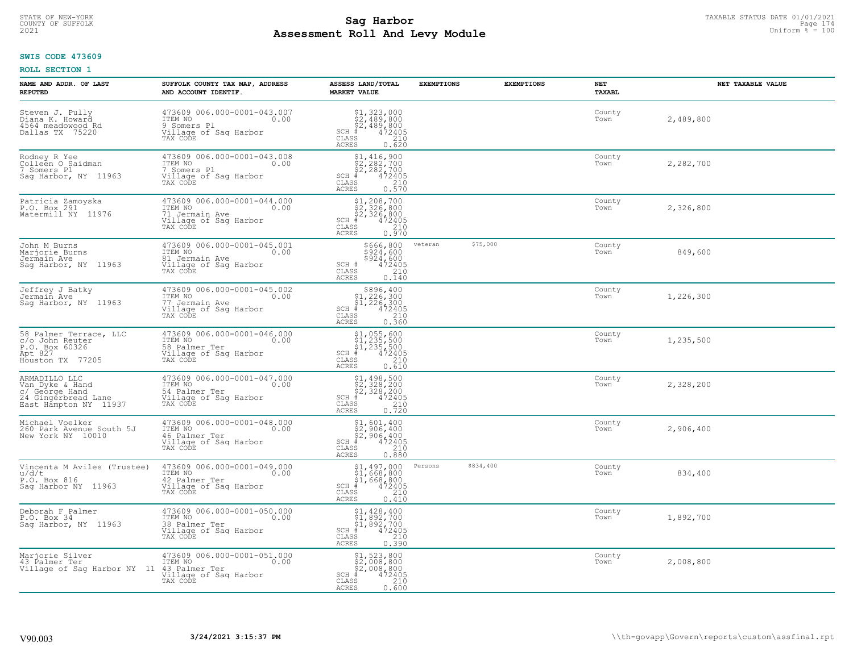# STATE OF NEW-YORK TAXABLE STATUS DATE 01/01/2021<br>COUNTY OF SUFFOLK Page 174 **Assessment Roll And Levy Module Example 2021** Uniform  $\frac{1}{8}$  = 100

#### **SWIS CODE 473609**

| NAME AND ADDR. OF LAST<br><b>REPUTED</b>                                                           | SUFFOLK COUNTY TAX MAP, ADDRESS<br>AND ACCOUNT IDENTIF.                                               | ASSESS LAND/TOTAL<br><b>MARKET VALUE</b>                                                                                                                                                                                                                                                                                                       | <b>EXEMPTIONS</b> | <b>EXEMPTIONS</b> | NET<br><b>TAXABL</b> | NET TAXABLE VALUE |
|----------------------------------------------------------------------------------------------------|-------------------------------------------------------------------------------------------------------|------------------------------------------------------------------------------------------------------------------------------------------------------------------------------------------------------------------------------------------------------------------------------------------------------------------------------------------------|-------------------|-------------------|----------------------|-------------------|
| Steven J. Pully<br>Diana K. Howard<br>4564 meadowood Rd<br>Dallas TX 75220                         | 473609 006.000-0001-043.007<br>ITEM NO<br>0.00<br>9 Somers Pl<br>Village of Sag Harbor<br>TAX CODE    | $$2,489,800$<br>$$2,489,800$<br>$$2,489,800$<br>$$472405$<br>$$210$<br>$SCH$ #<br>CLASS<br>ACRES<br>0.620                                                                                                                                                                                                                                      |                   |                   | County<br>Town       | 2,489,800         |
| Rodney R Yee<br>Colleen O Saidman<br>7 Somers Pl<br>Sag Harbor, NY 11963                           | 473609 006.000-0001-043.008<br>ITEM NO<br>0.00<br>7 Somers Pl<br>Village of Sag Harbor<br>TAX CODE    | $$2, 282, 700$<br>$$2, 282, 700$<br>$$2, 282, 700$<br>$SCH$ #<br>472405<br>CLASS<br>$\frac{210}{0.570}$<br><b>ACRES</b>                                                                                                                                                                                                                        |                   |                   | County<br>Town       | 2,282,700         |
| Patricia Zamoyska<br>P.O. Box 291<br>Watermill NY 11976                                            | 473609 006.000-0001-044.000<br>ITEM NO<br>0.00<br>71 Jermain Ave<br>Village of Sag Harbor<br>TAX CODE | \$1,208,700<br>\$2,326,800<br>\$2,326,800<br>$SCH$ #<br>472405<br>CLASS<br>210<br>0.970<br>ACRES                                                                                                                                                                                                                                               |                   |                   | County<br>Town       | 2,326,800         |
| John M Burns<br>Marjorie Burns<br>Jermain Ave<br>Sag Harbor, NY 11963                              | 473609 006.000-0001-045.001<br>ITEM NO<br>0.00<br>81 Jermain Ave<br>Village of Sag Harbor<br>TAX CODE | \$666,800<br>\$924,600<br>5924.600<br>SCH #<br>$\frac{472405}{210}$<br>CLASS<br>ACRES<br>0.140                                                                                                                                                                                                                                                 | veteran           | \$75,000          | County<br>Town       | 849,600           |
| Jeffrey J Batky<br>Jermain Ave<br>Sag Harbor, NY 11963                                             | 473609 006.000-0001-045.002<br>ITEM NO<br>0.00<br>77 Jermain Ave<br>Village of Sag Harbor<br>TAX CODE | \$896,400<br>$$1,226,300$<br>$$1,226,300$<br>$472405$<br>$SCH$ #<br>CLASS<br>$\begin{array}{c} 210 \\ 0.360 \end{array}$<br>ACRES                                                                                                                                                                                                              |                   |                   | County<br>Town       | 1,226,300         |
| 58 Palmer Terrace, LLC<br>c/o John Reuter<br>P.O. Box 60326<br>Apt 827<br>Houston TX 77205         | 473609 006.000-0001-046.000<br>ITEM NO<br>0.00<br>58 Palmer Ter<br>Village of Sag Harbor<br>TAX CODE  | \$1,055,600<br>\$1,235,500<br>\$1,235,500<br>#472405<br>$SCH$ #<br>CLASS<br>210<br>ACRES<br>0.610                                                                                                                                                                                                                                              |                   |                   | County<br>Town       | 1,235,500         |
| ARMADILLO LLC<br>Van Dyke & Hand<br>c/ George Hand<br>24 Gingerbread Lane<br>East Hampton NY 11937 | 473609 006.000-0001-047.000<br>ITEM NO<br>0.00<br>54 Palmer Ter<br>Village of Sag Harbor<br>TAX CODE  | $$2, 328, 200$<br>$$2, 328, 200$<br>$$2, 328, 200$<br>$$472405$<br>$SCH$ #<br>$\frac{210}{0.720}$<br>CLASS<br>ACRES                                                                                                                                                                                                                            |                   |                   | County<br>Town       | 2,328,200         |
| Michael Voelker<br>260 Park Avenue South 5J<br>New York NY 10010                                   | 473609 006.000-0001-048.000<br>TTEM NO 0.00<br>46 Palmer Ter<br>Village of Sag Harbor<br>TAX CODE     | $\begin{array}{l} $1,601,400 \ $2,906,400 \ $2,906,400 \ $4$ \\\m{52,906,400 \ $4$ \\\m{53 \\\m{54 \\\m{55 \\\m{56 \\\m{57 \\\m{58 \\\m{59 \\\m{59 \\\m{59 \\\m{59 \\\m{59 \\\m{59 \\\m{59 \\\m{59 \\\m{59 \\\m{59 \\\m{59 \\\m{59 \\\m{59 \\\m{59 \\\m{59 \\\m{59 \\\m{59 \\\m{59 \\\m{59 \\\m{59 \\\m$<br>$SCH$ #<br>CLASS<br>ACRES<br>0.880 |                   |                   | County<br>Town       | 2,906,400         |
| Vincenta M Aviles (Trustee)<br>u/d/t<br>P.O. Box 816<br>Saq Harbor NY 11963                        | 473609 006.000-0001-049.000<br>ITEM NO<br>0.00<br>42 Palmer Ter<br>Village of Saq Harbor<br>TAX CODE  | $$1,497,000$<br>$$1,668,800$<br>$$1,668,800$<br>$SCH$ #<br>$\frac{472405}{210}$<br>CLASS<br><b>ACRES</b><br>0.410                                                                                                                                                                                                                              | Persons           | \$834,400         | County<br>Town       | 834,400           |
| Deborah F Palmer<br>P.O. Box 34<br>Sag Harbor, NY 11963                                            | 473609 006.000-0001-050.000<br>ITEM NO<br>0.00<br>38 Palmer Ter<br>Village of Sag Harbor<br>TAX CODE  | $$1,428,400$<br>$$1,892,700$<br>$$1,892,700$<br>$SCH$ #<br>472405<br>$\mathtt{CLASS}$<br>210<br>0.390<br>ACRES                                                                                                                                                                                                                                 |                   |                   | County<br>Town       | 1,892,700         |
| Marjorie Silver<br>43 Palmer Ter<br>Village of Sag Harbor NY 11                                    | 473609 006.000-0001-051.000<br>ITEM NO<br>0.00<br>43 Palmer Ter<br>Village of Sag Harbor<br>TAX CODE  | \$1,523,800<br>\$2,008,800<br>\$2,008,800<br>$SCH$ #<br>$72405\n210\n0.600$<br>CLASS<br>ACRES                                                                                                                                                                                                                                                  |                   |                   | County<br>Town       | 2,008,800         |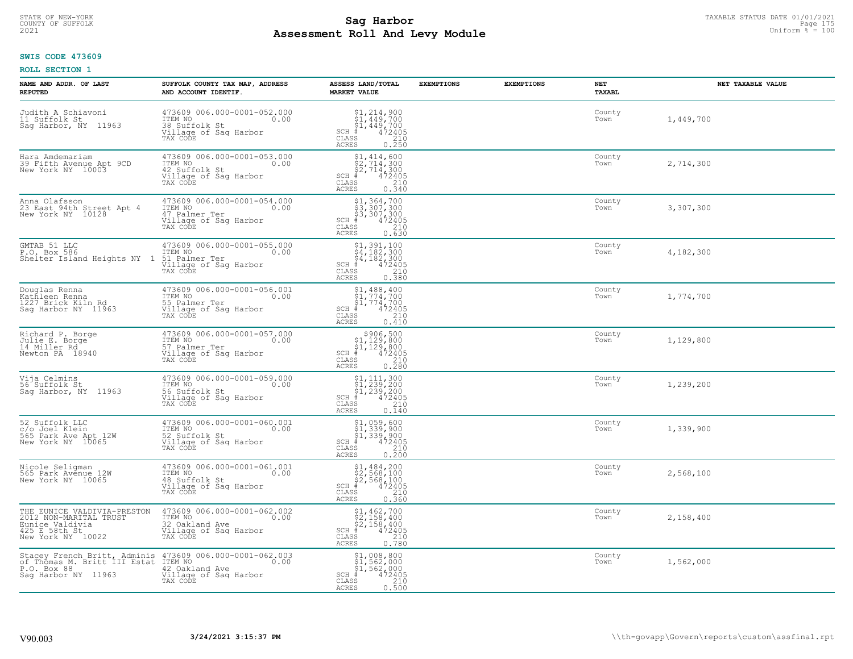# TAXABLE STATUS DATE 01/01/2021<br>COUNTY OF SUFFOLK Page 175 Page 175 **Assessment Roll And Levy Module Example 2021** Uniform  $\frac{1}{8}$  = 100

#### **SWIS CODE 473609**

| NAME AND ADDR. OF LAST<br><b>REPUTED</b>                                                                                                  | SUFFOLK COUNTY TAX MAP, ADDRESS<br>AND ACCOUNT IDENTIF.                                                      | ASSESS LAND/TOTAL<br><b>MARKET VALUE</b>                                                                                                                                                                                                                                                                                                                                                                                                                                   | <b>EXEMPTIONS</b> | <b>EXEMPTIONS</b> | NET<br>TAXABL  | NET TAXABLE VALUE |
|-------------------------------------------------------------------------------------------------------------------------------------------|--------------------------------------------------------------------------------------------------------------|----------------------------------------------------------------------------------------------------------------------------------------------------------------------------------------------------------------------------------------------------------------------------------------------------------------------------------------------------------------------------------------------------------------------------------------------------------------------------|-------------------|-------------------|----------------|-------------------|
| Judith A Schiavoni<br>11 Suffolk St<br>Sag Harbor, NY 11963                                                                               | 473609 006.000-0001-052.000<br>ITEM NO<br>0.00<br>38 Suffolk St<br>Village of Sag Harbor<br>TAX CODE         | $$1, 214, 900$<br>$$1, 449, 700$<br>$$1, 449, 700$<br>$472405$<br>$$210$<br>$SCH$ #<br>CLASS<br><b>ACRES</b><br>0.250                                                                                                                                                                                                                                                                                                                                                      |                   |                   | County<br>Town | 1,449,700         |
| Hara Amdemariam<br>39 Fifth Avenue Apt 9CD<br>New York NY 10003                                                                           | 473609 006.000-0001-053.000<br>ITEM NO<br>0.00<br>42 Suffolk St<br>Village of Sag Harbor<br>TAX CODE         | $$2, 714, 600$<br>$$2, 714, 300$<br>$$2, 714, 300$<br>$$472405$<br>$SCH$ #<br>CLASS<br>$\frac{210}{0.340}$<br><b>ACRES</b>                                                                                                                                                                                                                                                                                                                                                 |                   |                   | County<br>Town | 2,714,300         |
| Anna Olafsson<br>23 East 94th Street Apt 4<br>New York NY 10128                                                                           | 473609 006.000-0001-054.000<br>ITEM NO<br>0.00<br>47 Palmer Ter<br>Village of Sag Harbor<br>TAX CODE         | \$1,364,700<br>\$3,307,300<br>\$3,307,300<br>#472405<br>$SCH$ #<br>CLASS<br>210<br>0.630<br>ACRES                                                                                                                                                                                                                                                                                                                                                                          |                   |                   | County<br>Town | 3,307,300         |
| GMTAB 51 LLC<br>P.O. Box 586<br>Shelter Island Heights NY 1                                                                               | 473609 006.000-0001-055.000<br>ITEM NO COOPSOO<br>0.00<br>51 Palmer Ter<br>Village of Sag Harbor<br>TAX CODE | $\begin{array}{r} \texttt{\$1,391,100}\ \texttt{\$4,182,300}\ \texttt{\$4,182,300}\ \texttt{\$4,182,300}\ \texttt{\$4,182,300}\ \texttt{\#} \end{array}\, \\ \text{\tiny{188}} \\ \text{\tiny{188}} \\ \text{\tiny{189}} \\ \text{\tiny{189}} \\ \text{\tiny{189}} \\ \text{\tiny{189}} \\ \text{\tiny{189}} \\ \text{\tiny{189}} \\ \text{\tiny{189}} \\ \text{\tiny{189}} \\ \text{\tiny{189}} \\ \text{\tiny{189}} \\ \text{\tiny{$<br>$SCH$ #<br>CLASS<br><b>ACRES</b> |                   |                   | County<br>Town | 4,182,300         |
| Douglas Renna<br>Kathleen Renna<br>1227 Brick Kiln Rd<br>Saq Harbor NY 11963                                                              | 473609 006.000-0001-056.001<br>ITEM NO<br>0.00<br>55 Palmer Ter<br>Village of Sag Harbor<br>TAX CODE         | $\begin{array}{l} $1,488,400\\ $1,774,700\\ $1,774,700\\ $4,72405 \end{array}$<br>$SCH$ #<br>CLASS<br>$\frac{210}{ }$<br><b>ACRES</b><br>0.410                                                                                                                                                                                                                                                                                                                             |                   |                   | County<br>Town | 1,774,700         |
| Richard P. Borge<br>Julie E. Borge<br>14 Miller Rd<br>Newton PA 18940                                                                     | 473609 006.000-0001-057.000<br>ITEM NO<br>0.00<br>57 Palmer Ter<br>Village of Sag Harbor<br>TAX CODE         | $$306,500$<br>$$1,129,800$<br>$$1,129,800$<br>$$472405$<br>$SCH$ #<br>CLASS<br>$\frac{210}{0.280}$<br><b>ACRES</b>                                                                                                                                                                                                                                                                                                                                                         |                   |                   | County<br>Town | 1,129,800         |
| Vija Celmins<br>56 Suffolk St<br>Sag Harbor, NY 11963                                                                                     | 473609 006.000-0001-059.000<br>ITEM NO<br>0.00<br>56 Suffolk St<br>Village of Sag Harbor<br>TAX CODE         | $$1, 111, 300$<br>$$1, 239, 200$<br>$$1, 239, 200$<br>$$472405$<br>$SCH$ #<br>CLASS<br>210<br>ACRES<br>0.140                                                                                                                                                                                                                                                                                                                                                               |                   |                   | County<br>Town | 1,239,200         |
| 52 Suffolk LLC<br>c/o Joel Klein<br>565 Park Ave Apt 12W<br>New York NY 10065                                                             | 473609 006.000-0001-060.001<br>TTEM NO 0.00<br>52 Suffolk St<br>Village of Sag Harbor<br>TAX CODE            | \$1,059,600<br>\$1,339,900<br>\$1,339,900<br>#472405<br>SCH #<br>CLASS<br>210<br>ACRES<br>0.200                                                                                                                                                                                                                                                                                                                                                                            |                   |                   | County<br>Town | 1,339,900         |
| Nicole Seligman<br>565 Park Avenue 12W<br>New York NY 10065                                                                               | 473609 006.000-0001-061.001<br>ITEM NO 0.00<br>48 Suffolk St<br>Village of Sag Harbor<br>TAX CODE            | $$1,484,200$<br>$$2,568,100$<br>$$2,568,100$<br>$$472405$<br>$SCH$ #<br>CLASS<br>210<br><b>ACRES</b><br>0.360                                                                                                                                                                                                                                                                                                                                                              |                   |                   | County<br>Town | 2,568,100         |
| THE EUNICE VALDIVIA-PRESTON<br>2012 NON-MARITAL TRUST<br>Eunice Valdivia<br>$425$ E 58th St<br>New York NY 10022                          | 473609 006.000-0001-062.002<br>ITEM NO<br>0.00<br>32 Oakland Ave<br>Village of Sag Harbor<br>TAX CODE        | $$1, 462, 700$<br>$$2, 158, 400$<br>$$2, 158, 400$<br>$$472405$<br>$SCH$ #<br>CLASS<br>210<br>0.780<br><b>ACRES</b>                                                                                                                                                                                                                                                                                                                                                        |                   |                   | County<br>Town | 2,158,400         |
| Stacey French Britt, Adminis 473609 006.000-0001-062.003<br>of Thomas M. Britt III Estat ITEM NO. 1<br>P.O. Box 88<br>Saq Harbor NY 11963 | 42 Oakland Ave<br>Village of Sag Harbor<br>TAX CODE                                                          | \$1,008,800<br>\$1,562,000<br>\$1,562,000<br>$SCH$ #<br>472405<br>CLASS<br>210<br><b>ACRES</b><br>0.500                                                                                                                                                                                                                                                                                                                                                                    |                   |                   | County<br>Town | 1,562,000         |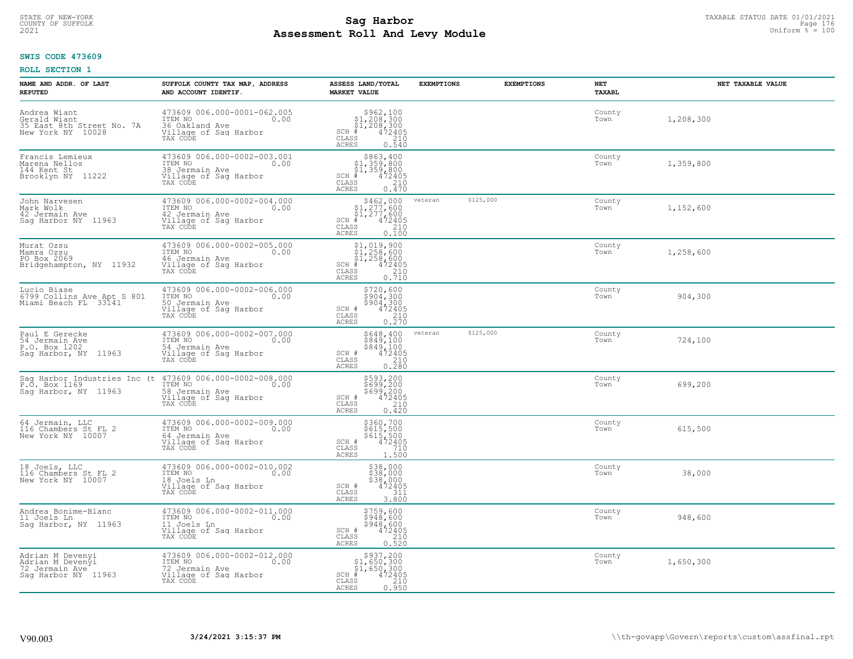# TAXABLE STATUS DATE 01/01/2021<br>COUNTY OF SUFFOLK Page 176 Page 176 **Assessment Roll And Levy Module Example 2021** Uniform  $\frac{1}{8}$  = 100

#### **SWIS CODE 473609**

| NAME AND ADDR. OF LAST<br><b>REPUTED</b>                                      | SUFFOLK COUNTY TAX MAP, ADDRESS<br>AND ACCOUNT IDENTIF.                                                                          | ASSESS LAND/TOTAL<br><b>MARKET VALUE</b>                                                                                                                                                                                                                                             | <b>EXEMPTIONS</b>    | <b>EXEMPTIONS</b> | NET<br>TAXABL  | NET TAXABLE VALUE |
|-------------------------------------------------------------------------------|----------------------------------------------------------------------------------------------------------------------------------|--------------------------------------------------------------------------------------------------------------------------------------------------------------------------------------------------------------------------------------------------------------------------------------|----------------------|-------------------|----------------|-------------------|
| Andrea Wiant<br>Gerald Wiant<br>35 East 8th Street No. 7A New York NY 10028   | 473609 006.000-0001-062.005<br>ITEM NO<br>0.00<br>36 Oakland Ave<br>Village of Sag Harbor<br>TAX CODE                            | $$962,100$<br>$$1,208,300$<br>$$1,208,300$<br>$*$<br>$472405$<br>$SCH$ #<br>CLASS<br>210<br>ACRES<br>0.540                                                                                                                                                                           |                      |                   | County<br>Town | 1,208,300         |
| Francis Lemieux<br>Marena Nellos<br>144 Kent St<br>Brooklyn NY 11222          | 473609 006.000-0002-003.001<br>ITEM NO<br>0.00<br>38 Jermain Ave<br>Village of Sag Harbor<br>TAX CODE                            | \$863,400<br>\$1,359,800<br>\$1,359,800<br>$SCH$ #<br>472405<br>CLASS<br>210<br>0.470<br><b>ACRES</b>                                                                                                                                                                                |                      |                   | County<br>Town | 1,359,800         |
| John Narvesen<br>Mark Wolk<br>42 Jermain Ave<br>Saq Harbor NY 11963           | 473609 006.000-0002-004.000<br>ITEM NO<br>0.00<br>42 Jermain Ave<br>Village of Sag Harbor<br>TAX CODE                            | $$462,00051,277,60051,277,600472405$<br>SCH #<br>CLASS<br>$\frac{210}{0.100}$<br><b>ACRES</b>                                                                                                                                                                                        | \$125,000<br>veteran |                   | County<br>Town | 1,152,600         |
| Murat Ozsu<br>Mamra Ozsu<br>PO Box 2069<br>Bridgehampton, NY 11932            | 473609 006.000-0002-005.000<br>ITEM NO<br>0.00<br>46 Jermain Ave<br>Village of Sag Harbor<br>TAX CODE                            | $\begin{array}{c} \texttt{\$1,019,900}\ \\ \texttt{\$1,258,600}\ \\ \texttt{\$1,258,600}\ \\ \texttt{\$1,258,600}\ \\ \texttt{\$1,258,210}\ \\ \texttt{\$10}\ \\ \texttt{\$10}\ \\ \texttt{\$10}\ \\ \texttt{\$10}\ \\ \texttt{\$11}\end{array}$<br>$SCH$ #<br>CLASS<br><b>ACRES</b> |                      |                   | County<br>Town | 1,258,600         |
| Lucio Biase<br>6799 Collins Ave Apt S 801<br>Miami Beach FL 33141             | 473609 006.000-0002-006.000<br>ITEM NO<br>0.00<br>50 Jermain Ave<br>Village of Saq Harbor<br>TAX CODE                            | \$720,600<br>$$904,3009904,3004724050.2100.270$<br>SCH #<br>CLASS<br>ACRES                                                                                                                                                                                                           |                      |                   | County<br>Town | 904,300           |
| Paul E Gerecke<br>54 Jermain Ave<br>P.O. Box 1202<br>Sag Harbor, NY 11963     | 473609 006.000-0002-007.000<br>ITEM NO<br>0.00<br>54 Jermain Ave<br>Village of Sag Harbor<br>TAX CODE                            | \$648,400<br>\$849,100<br>\$849,100<br>472405<br>SCH #<br>CLASS<br>210<br>0.280<br><b>ACRES</b>                                                                                                                                                                                      | \$125,000<br>veteran |                   | County<br>Town | 724,100           |
| Saq Harbor, NY 11963                                                          | Sag Harbor Industries Inc (t 473609 006.000-0002-008.000<br>P.O. Box 1169<br>58 Jermain Ave<br>Village of Sag Harbor<br>TAX CODE | \$593,200<br>\$699,200<br>\$699,200<br>472405<br>SCH #<br>$\mathtt{CLASS}$<br>210<br>0.420<br>ACRES                                                                                                                                                                                  |                      |                   | County<br>Town | 699,200           |
| 64 Jermain, LLC<br>116 Chambers St FL 2<br>New York NY 10007                  | 473609 006.000-0002-009.000<br>TTEM NO 0.00<br>64 Jermain Ave<br>Village of Sag Harbor<br>TAX CODE                               | \$360,700<br>\$615,500<br>\$615,500<br>472405<br>SCH #<br>CLASS<br>710<br><b>ACRES</b><br>1.500                                                                                                                                                                                      |                      |                   | County<br>Town | 615,500           |
| 18 Joels, LLC<br>116 Chambers St FL 2<br>New York NY 10007                    | 473609 006.000-0002-010.002<br>ITEM NO 0.00<br>18 Joels Ln<br>Village of Sag Harbor<br>TAX CODE                                  | \$38,000<br>\$38,000<br>\$38,000<br>\$38,000<br>472405<br>SCH #<br>CLASS<br>311<br><b>ACRES</b><br>3.800                                                                                                                                                                             |                      |                   | County<br>Town | 38,000            |
| Andrea Bonime-Blanc<br>11 Joels Ln<br>Sag Harbor, NY 11963                    | 473609 006.000-0002-011.000<br>ITEM NO<br>0.00<br>11 Joels Ln<br>Village of Sag Harbor<br>TAX CODE                               | \$759,600<br>\$948,600<br>\$948,600<br>472405<br>SCH #<br>210<br>CLASS<br><b>ACRES</b><br>0.520                                                                                                                                                                                      |                      |                   | County<br>Town | 948,600           |
| Adrian M Devenyi<br>Adrian M Devenyi<br>72 Jermain Ave<br>Saq Harbor NY 11963 | 473609 006.000-0002-012.000<br>ITEM NO<br>0.00<br>72 Jermain Ave<br>Village of Sag Harbor<br>TAX CODE                            | $$937, 200$<br>$$1, 650, 300$<br>$$1, 650, 300$<br>$$472405$<br>$SCH$ #<br>CLASS<br>210<br><b>ACRES</b><br>0.950                                                                                                                                                                     |                      |                   | County<br>Town | 1,650,300         |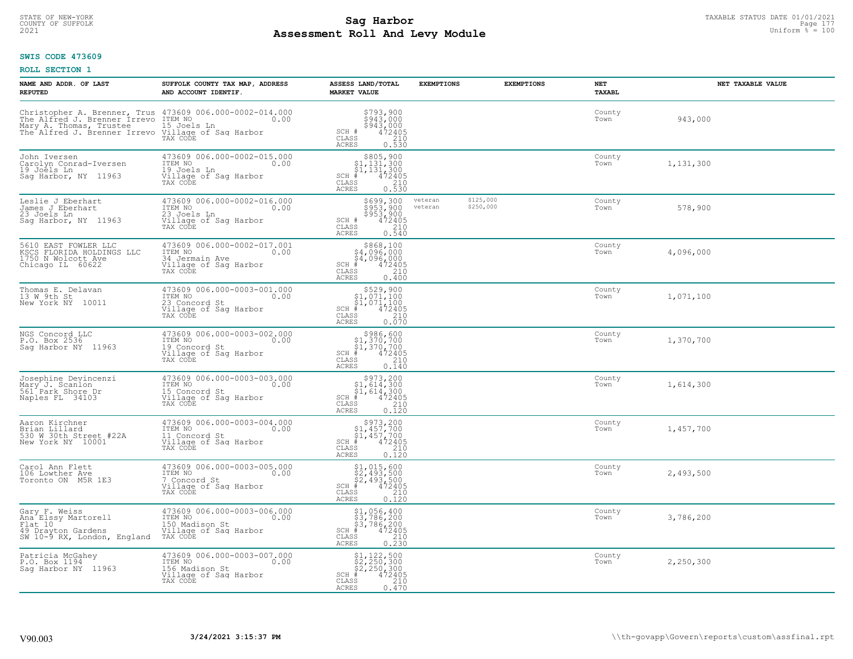# STATE OF NEW-YORK TAXABLE STATUS DATE 01/01/2021<br>COUNTY OF SUFFOLK Page 177 **Assessment Roll And Levy Module Example 2021** Uniform  $\frac{1}{8}$  = 100

#### **SWIS CODE 473609**

| NAME AND ADDR. OF LAST<br><b>REPUTED</b>                                                                                                                                            | SUFFOLK COUNTY TAX MAP, ADDRESS<br>AND ACCOUNT IDENTIF.                                               | ASSESS LAND/TOTAL<br><b>MARKET VALUE</b>                                                                                                                                  | <b>EXEMPTIONS</b>  |                        | <b>EXEMPTIONS</b> | <b>NET</b><br><b>TAXABL</b> | NET TAXABLE VALUE |
|-------------------------------------------------------------------------------------------------------------------------------------------------------------------------------------|-------------------------------------------------------------------------------------------------------|---------------------------------------------------------------------------------------------------------------------------------------------------------------------------|--------------------|------------------------|-------------------|-----------------------------|-------------------|
| Christopher A. Brenner, Trus $473609006.000-0002-014.000$<br>The Alfred J. Brenner Irrevo $I^{TEM}$ NO <sub>2</sub> 0.00<br>Mary A. Thomas, Trustee<br>The Alfred J. Brenner Irrevo | 15 Joels Ln<br>Village of Saq Harbor<br>TAX CODE                                                      | \$793,900<br>\$943,000<br>\$943,000<br>SCH #<br>$\frac{472405}{210}$<br>CLASS<br><b>ACRES</b><br>0.530                                                                    |                    |                        |                   | County<br>Town              | 943,000           |
| John Iversen<br>Carolyn Conrad-Iversen<br>19 Joels Ln<br>Saq Harbor, NY 11963                                                                                                       | 473609 006.000-0002-015.000<br>ITEM NO<br>0.00<br>19 Joels Ln<br>Village of Sag Harbor<br>TAX CODE    | $\begin{array}{c} $805,900\\ $1,131,300\\ $1,131,300 \end{array}$<br>$SCH$ #<br>472405<br>$\mathtt{CLASS}$<br>$\begin{array}{c} 210 \\ 0.530 \end{array}$<br><b>ACRES</b> |                    |                        |                   | County<br>Town              | 1,131,300         |
| Leslie J Eberhart<br>James J Eberhart<br>23 Joels Ln<br>Sag Harbor, NY 11963                                                                                                        | 473609 006.000-0002-016.000<br>ITEM NO<br>0.00<br>23 Joels Ln<br>Village of Sag Harbor<br>TAX CODE    | \$699,300<br>\$953,900<br>\$953/900<br>472405<br>SCH #<br>CLASS<br>$\frac{210}{0.540}$<br>ACRES                                                                           | veteran<br>veteran | \$125,000<br>\$250,000 |                   | County<br>Town              | 578,900           |
| 5610 EAST FOWLER LLC<br>KSCS FLORIDA HOLDINGS LLC<br>1750 N Wolcott Ave<br>Chicago IL 60622                                                                                         | 473609 006.000-0002-017.001<br>ITEM NO<br>0.00<br>34 Jermain Ave<br>Village of Sag Harbor<br>TAX CODE | \$868,100<br>\$4,096,000<br>$\frac{1}{4}$ , 096, 000<br>$\frac{4}{4}$ , 096, 000<br>SCH #<br>CLASS<br>210<br>ACRES<br>0.400                                               |                    |                        |                   | County<br>Town              | 4,096,000         |
| Thomas E. Delavan<br>13 W 9th St<br>New York NY 10011                                                                                                                               | 473609 006.000-0003-001.000<br>ITEM NO<br>0.00<br>23 Concord St<br>Village of Sag Harbor<br>TAX CODE  | \$529,900<br>$\begin{array}{c} 51,071,100 \\ 51,071,100 \\ +242405 \end{array}$<br>$SCH$ #<br>CLASS<br>210<br>0.070<br>ACRES                                              |                    |                        |                   | County<br>Town              | 1,071,100         |
| NGS Concord LLC<br>P.O. Box 2536<br>Saq Harbor NY 11963                                                                                                                             | 473609 006.000-0003-002.000<br>ITEM NO<br>0.00<br>19 Concord St<br>Village of Sag Harbor<br>TAX CODE  | $$986,600$<br>$$1,370,700$<br>$$1,370,700$<br>$*1,370,700$<br>$*1,472405$<br>$SCH$ #<br>CLASS<br>210<br>0.140<br><b>ACRES</b>                                             |                    |                        |                   | County<br>Town              | 1,370,700         |
| Josephine Devincenzi<br>Mary J. Scanlon<br>561 Park Shore Dr<br>Naples FL 34103                                                                                                     | 473609 006.000-0003-003.000<br>ITEM NO<br>0.00<br>15 Concord St<br>Village of Sag Harbor<br>TAX CODE  | $\begin{array}{c} $973,200 $1,614,300 $1,614,300 # 472405 \end{array}$<br>$SCH$ #<br>$\mathtt{CLASS}$<br>210<br>ACRES<br>0.120                                            |                    |                        |                   | County<br>Town              | 1,614,300         |
| Aaron Kirchner<br>Brian Lillard<br>530 W 30th Street #22A<br>New York NY 10001                                                                                                      | 473609 006.000-0003-004.000<br>TTEM NO 0.00<br>11 Concord St<br>Village of Sag Harbor<br>TAX CODE     | $\begin{array}{c} $973,200 $1,457,700 $1,457,700 # 472405 \end{array}$<br>$SCH$ #<br>CLASS<br>$\frac{210}{0.120}$<br><b>ACRES</b>                                         |                    |                        |                   | County<br>Town              | 1,457,700         |
| Carol Ann Flett<br>106 Lowther Ave<br>Toronto ON M5R 1E3                                                                                                                            | 473609 006.000-0003-005.000<br>TTEM NO 0.00<br>7 Concord St<br>Village of Sag Harbor<br>TAX CODE      | $$2, 493, 500$<br>$$2, 493, 500$<br>$$2, 493, 500$<br>$$493, 500$<br>$$472405$<br>SCH<br>CLASS<br>$\frac{210}{0.120}$<br>ACRES                                            |                    |                        |                   | County<br>Town              | 2,493,500         |
| Gary F. Weiss<br>Ana Elssy Martorell<br>Flat 10<br>49 Drayton Gardens<br>SW 10-9 RX, London, England                                                                                | 473609 006.000-0003-006.000<br>ITEM NO<br>0.00<br>150 Madison St<br>Village of Sag Harbor<br>TAX CODE | \$1,056,400<br>\$3,786,200<br>\$3,786,200<br>#472492<br>SCH<br>210<br>CLASS<br>0.230<br><b>ACRES</b>                                                                      |                    |                        |                   | County<br>Town              | 3,786,200         |
| Patricia McGahey<br>P.O. Box 1194<br>Saq Harbor NY 11963                                                                                                                            | 473609 006.000-0003-007.000<br>ITEM NO<br>0.00<br>156 Madison St<br>Village of Sag Harbor<br>TAX CODE | \$1,122,500<br>\$2,250,300<br>\$2,250,300<br>472405<br>$SCH$ #<br>210<br>CLASS<br><b>ACRES</b><br>0.470                                                                   |                    |                        |                   | County<br>Town              | 2,250,300         |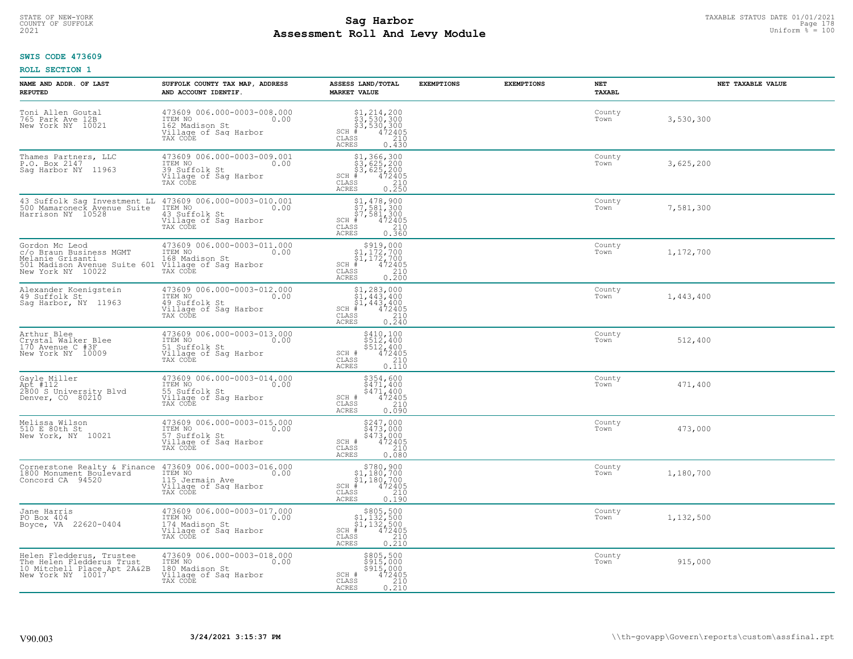# TAXABLE STATUS DATE 01/01/2021<br>COUNTY OF SUFFOLK Page 178 Page 178 **Assessment Roll And Levy Module Example 2021** Uniform  $\frac{1}{8}$  = 100

### **SWIS CODE 473609**

| NAME AND ADDR. OF LAST<br><b>REPUTED</b>                                                                                                                                           | SUFFOLK COUNTY TAX MAP, ADDRESS<br>AND ACCOUNT IDENTIF.                                               | ASSESS LAND/TOTAL<br><b>MARKET VALUE</b>                                                                                                                                    | <b>EXEMPTIONS</b> | <b>EXEMPTIONS</b> | NET<br>TAXABL  | NET TAXABLE VALUE |
|------------------------------------------------------------------------------------------------------------------------------------------------------------------------------------|-------------------------------------------------------------------------------------------------------|-----------------------------------------------------------------------------------------------------------------------------------------------------------------------------|-------------------|-------------------|----------------|-------------------|
| Toni Allen Goutal<br>765 Park Ave 12B<br>New York NY 10021                                                                                                                         | 473609 006.000-0003-008.000<br>ITEM NO<br>162 Madison St<br>Village of Sag Harbor<br>TAX CODE         | $$1, 214, 200$<br>$$3, 530, 300$<br>$$3, 530, 300$<br>$$472405$<br>$SCH$ #<br>CLASS<br>210<br>ACRES<br>0.430                                                                |                   |                   | County<br>Town | 3,530,300         |
| Thames Partners, LLC<br>P.O. Box 2147<br>Saq Harbor NY 11963                                                                                                                       | 473609 006.000-0003-009.001<br>ITEM NO<br>0.00<br>39 Suffolk St<br>Village of Sag Harbor<br>TAX CODE  | \$1,366,300<br>\$3,625,200<br>\$3,625,200<br>\$4,472405<br>SCH #<br>CLASS<br>0.210<br><b>ACRES</b>                                                                          |                   |                   | County<br>Town | 3,625,200         |
| 43 Suffolk Sag Investment LL 473609 006.000-0003-010.001<br>500 Mamaroneck Avenue Suite ITEM NO<br>Harrison NY 10528 43 Suffolk St                                                 | 43 Suffolk St<br>Village of Sag Harbor<br>TAX CODE                                                    | $$1,478,900$<br>$$7,581,300$<br>$$7,581,300$<br>$$4,300$<br>$SCH$ #<br>472405<br>CLASS<br>210<br>0.360<br><b>ACRES</b>                                                      |                   |                   | County<br>Town | 7,581,300         |
| Gordon Mc Leod<br>c/o Braun Business MGMT<br>Melanie Grisantic Communication of the Madison St<br>501 Madison Avenue Suite 601 Village of Saq Harbor<br>New York NY 10022 TAX CODE | 473609 006.000-0003-011.000<br>ITEM NO 0.00                                                           | $$919,000\n$1,172,700\n$1,172,700\n# 472405\n$220\n$35\n210$<br>$SCH$ #<br>CLASS<br>ACRES<br>0.200                                                                          |                   |                   | County<br>Town | 1,172,700         |
| Alexander Koenigstein<br>49 Suffolk St<br>Sag Harbor, NY 11963                                                                                                                     | 473609 006.000-0003-012.000<br>ITEM NO 0.00<br>19 Suffolk St<br>Village of Saq Harbor<br>TAX CODE     | $\begin{array}{r} $1,283,000 $1,443,400 $1,443,400 $1,443,400 $1,443,400 CIASS 472405\n\end{array}$<br>CLASS<br>$\begin{array}{c} 210 \\ 0.240 \end{array}$<br><b>ACRES</b> |                   |                   | County<br>Town | 1,443,400         |
| Arthur Blee<br>Crystal Walker Blee<br>170 Avenue C #3F<br>New York NY 10009                                                                                                        | 473609 006.000-0003-013.000<br>ITEM NO<br>0.00<br>51 Suffolk St<br>Village of Sag Harbor<br>TAX CODE  | \$410,100<br>\$512,400<br>\$512,400<br>472405<br>SCH #<br>CLASS<br>210<br>0.110<br><b>ACRES</b>                                                                             |                   |                   | County<br>Town | 512,400           |
| Gayle Miller<br>Apt #112<br>2800 S University Blvd<br>Denver, CO 80210                                                                                                             | 473609 006.000-0003-014.000<br>TTEM NO 0.00<br>55 Suffolk St<br>Village of Sag Harbor<br>TAX CODE     | \$354,600<br>\$471,400<br>\$471,400<br>472405<br>SCH #<br>CLASS<br>210<br>0.090<br><b>ACRES</b>                                                                             |                   |                   | County<br>Town | 471,400           |
| Melissa Wilson<br>510 E 80th St<br>New York, NY 10021                                                                                                                              | 57 Suffolk St<br>Village of Sag Harbor<br>TAX CODE                                                    | \$247,000<br>\$473,000<br>\$473,000<br>472405<br>SCH #<br>CLASS<br>210<br><b>ACRES</b><br>0.080                                                                             |                   |                   | County<br>Town | 473,000           |
| Cornerstone Realty & Finance<br>1800 Monument Boulevard<br>Concord CA 94520                                                                                                        | 473609 006.000-0003-016.000<br>ITEM NO 0.00<br>115 Jermain Ave<br>Village of Sag Harbor<br>TAX CODE   | $$1,180,700$<br>$$1,180,700$<br>$$1,180,700$<br>$$1,180,700$<br>$$5$<br>$SCH$ #<br>CLASS<br>210<br><b>ACRES</b><br>0.190                                                    |                   |                   | County<br>Town | 1,180,700         |
| Jane Harris<br>PO Box 404<br>Boyce, VA 22620-0404                                                                                                                                  | 473609 006.000-0003-017.000<br>ITEM NO<br>0.00<br>174 Madison St<br>Village of Sag Harbor<br>TAX CODE | $\begin{array}{r} 5005,500 \\ 51,132,500 \\ 51,132,500 \\ \text{\#} & 472405 \\ \text{\#} & 210 \\ \text{\#} & 0.210 \\ \end{array}$<br>$SCH$ #<br>CLASS<br><b>ACRES</b>    |                   |                   | County<br>Town | 1,132,500         |
| Helen Fledderus, Trustee<br>The Helen Fledderus Trust<br>10 Mitchell Place Apt 2A&2B<br>New York NY 10017                                                                          | 473609 006.000-0003-018.000<br>ITEM NO<br>180 Madison St<br>0.00<br>Village of Sag Harbor<br>TAX CODE | \$805,500<br>\$915,000<br>\$915,000<br>SCH #<br>472405<br>CLASS<br>$\frac{210}{0.210}$<br><b>ACRES</b>                                                                      |                   |                   | County<br>Town | 915,000           |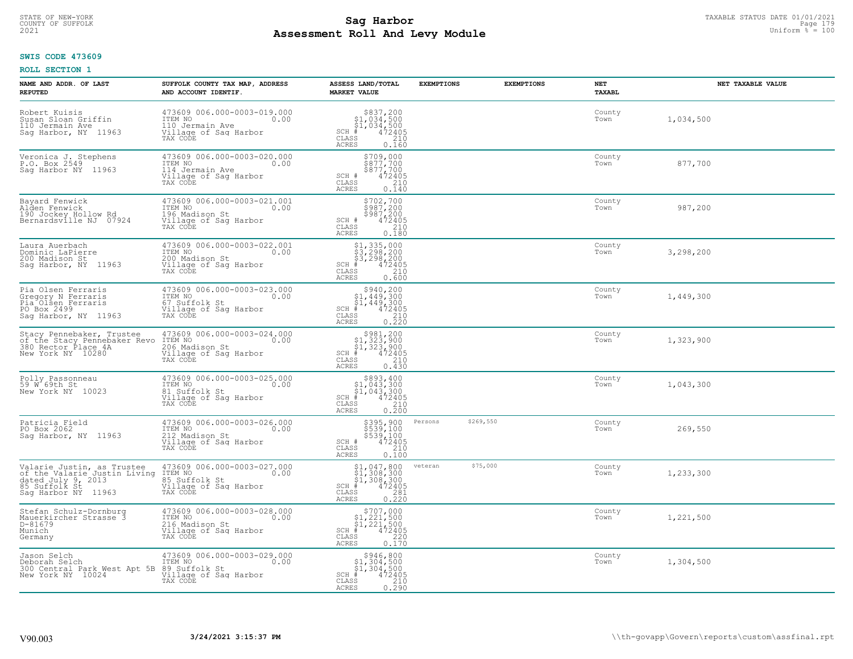# TAXABLE STATUS DATE 01/01/2021<br>COUNTY OF SUFFOLK Page 179 Page 179 **Assessment Roll And Levy Module Example 2021** Uniform  $\frac{1}{8}$  = 100

#### **SWIS CODE 473609**

| NAME AND ADDR. OF LAST<br><b>REPUTED</b>                                                                         | SUFFOLK COUNTY TAX MAP, ADDRESS<br>AND ACCOUNT IDENTIF.                                                | ASSESS LAND/TOTAL<br><b>MARKET VALUE</b>                                                                                                                       | <b>EXEMPTIONS</b>    | <b>EXEMPTIONS</b> | NET<br>TAXABL  | NET TAXABLE VALUE |
|------------------------------------------------------------------------------------------------------------------|--------------------------------------------------------------------------------------------------------|----------------------------------------------------------------------------------------------------------------------------------------------------------------|----------------------|-------------------|----------------|-------------------|
| Robert Kuisis<br>Suşan Sloan Griffin<br>110 Jermain Ave<br>Sag Harbor, NY 11963                                  | 473609 006.000-0003-019.000<br>ITEM NO<br>0.00<br>110 Jermain Ave<br>Village of Sag Harbor<br>TAX CODE | $$337,200$<br>$$1,034,500$<br>$$1,034,500$<br>$*$<br>$472405$<br>$SCH$ #<br>CLASS<br>210<br>ACRES<br>0.160                                                     |                      |                   | County<br>Town | 1,034,500         |
| Veronica J. Stephens<br>P.O. Box 2549<br>Saq Harbor NY 11963                                                     | 473609 006.000-0003-020.000<br>ITEM NO<br>0.00<br>114 Jermain Ave<br>Village of Sag Harbor<br>TAX CODE | \$709,000<br>\$877,700<br>\$877,700<br>472405<br>SCH #<br>CLASS<br>210<br>0.140<br><b>ACRES</b>                                                                |                      |                   | County<br>Town | 877,700           |
| Bayard Fenwick<br>Alden Fenwick<br>190 Jockey Hollow Rd<br>Bernardsville NJ 07924                                | 473609 006.000-0003-021.001<br>ITEM NO<br>0.00<br>196 Madison St<br>Village of Sag Harbor<br>TAX CODE  | \$702,700<br>$$987,200$<br>$$987,200$<br>$472405$<br>SCH #<br>CLASS<br>210<br>0.180<br>ACRES                                                                   |                      |                   | County<br>Town | 987,200           |
| Laura Auerbach<br>Dominic LaPierre<br>200 Madison St<br>Saq Harbor, NY 11963                                     | 473609 006.000-0003-022.001<br>ITEM NO<br>0.00<br>200 Madison St<br>Village of Sag Harbor<br>TAX CODE  | \$1,335,000<br>\$3,298,200<br>\$3,298,200<br>$SCH$ #<br>$\frac{47\bar{2}\bar{4}\bar{0}5}{210}$<br>CLASS<br><b>ACRES</b><br>0.600                               |                      |                   | County<br>Town | 3,298,200         |
| Pia Olsen Ferraris<br>Gregory N Ferraris<br>Pia <sup>Olsen</sup> Ferraris<br>PO Box 2499<br>Saq Harbor, NY 11963 | 473609 006.000-0003-023.000<br>ITEM NO<br>0.00<br>67 Suffolk St<br>Village of Sag Harbor<br>TAX CODE   | \$940,200<br>$\begin{array}{r} 51,449,300 \\ 51,449,300 \\ \pm 472405 \end{array}$<br>$SCH$ #<br>$\begin{array}{c} 210 \\ 0.220 \end{array}$<br>CLASS<br>ACRES |                      |                   | County<br>Town | 1,449,300         |
| Stacy Pennebaker, Trustee<br>of the Stacy Pennebaker Revo<br>380 Rector Place 4A<br>New York NY 10280            | 473609 006.000-0003-024.000<br>ITEM NO<br>0.00<br>206 Madison St<br>Village of Sag Harbor<br>TAX CODE  | $\begin{array}{c} $981,200 $1,323,900 $1,323,900 # 472405 \end{array}$<br>$SCH$ #<br>CLASS<br>210<br><b>ACRES</b><br>0.430                                     |                      |                   | County<br>Town | 1,323,900         |
| Polly Passonneau<br>59 W 69th St<br>New York NY 10023                                                            | 473609 006.000-0003-025.000<br>ITEM NO<br>0.00<br>81 Suffolk St<br>Village of Sag Harbor<br>TAX CODE   | $$393,40051,043,30051,043,300+ 472405$<br>$SCH$ #<br>CLASS<br>210<br>0.200<br>ACRES                                                                            |                      |                   | County<br>Town | 1,043,300         |
| Patricia Field<br>PO Box 2062<br>Saq Harbor, NY 11963                                                            | 473609 006.000-0003-026.000<br>0.00 0.00<br>212 Madison St<br>Village of Sag Harbor<br>TAX CODE        | \$395,900<br>\$539,100<br>\$539,100<br>472405<br>$SCH$ #<br>CLASS<br>210<br><b>ACRES</b><br>0.100                                                              | \$269,550<br>Persons |                   | County<br>Town | 269,550           |
| Valarie Justin, as Trustee<br>of the Valarie Justin Living<br>dated July 9, 2013<br>Saq Harbor NY 11963          | 473609 006.000-0003-027.000<br>0.00 0.00<br>85 Suffolk St<br>Village of Sag Harbor<br>TAX CODE         | \$1,047,800<br>\$1,308,300<br>\$1,308,300<br>#472405<br>$SCH$ #<br>CLASS<br>$\frac{281}{0.220}$<br><b>ACRES</b>                                                | \$75,000<br>veteran  |                   | County<br>Town | 1,233,300         |
| Stefan Schulz-Dornburg<br>Mauerkircher Strasse 3<br>D-81679<br>Munich<br>Germany                                 | 473609 006.000-0003-028.000<br>ITEM NO<br>0.00<br>216 Madison St<br>Village of Sag Harbor<br>TAX CODE  | $$707,000$<br>$$1,221,500$<br>$$1,221,500$<br>$$472405$<br>$SCH$ #<br>220<br>CLASS<br>ACRES<br>0.170                                                           |                      |                   | County<br>Town | 1,221,500         |
| Jason Selch<br>Deborah Selch<br>300 Central Park West Apt 5B<br>New York NY 10024                                | 473609 006.000-0003-029.000<br>ITEM NO<br>0.00<br>89 Suffolk St<br>Village of Sag Harbor<br>TAX CODE   | $\begin{array}{c} $946, 800 \\ $1, 304, 500 \\ $1, 304, 500 \end{array}$<br>$SCH$ #<br>472405<br>210<br>CLASS<br><b>ACRES</b><br>0.290                         |                      |                   | County<br>Town | 1,304,500         |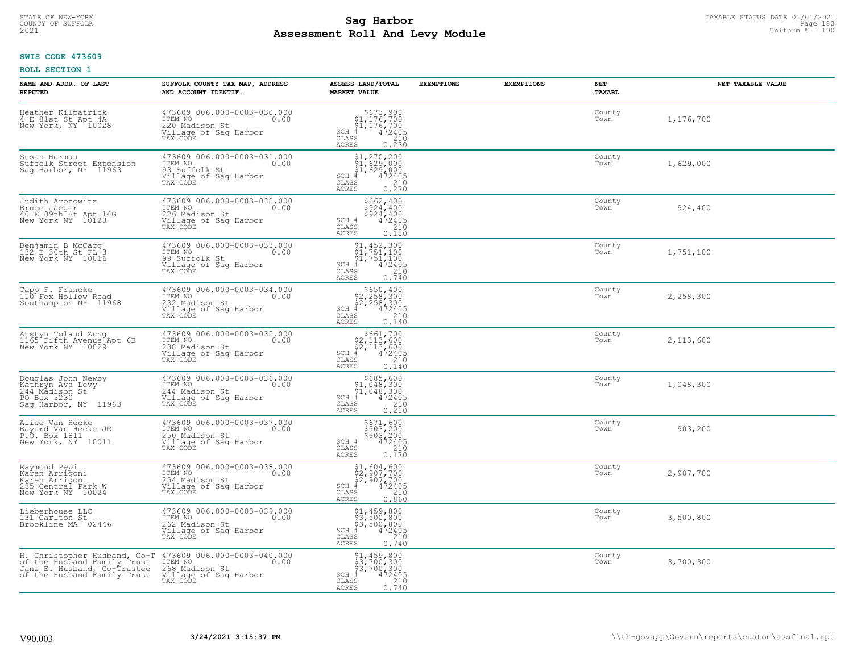# TAXABLE STATUS DATE 01/01/2021<br>COUNTY OF SUFFOLK Page 180 Page 180 **Assessment Roll And Levy Module Example 2021** Uniform  $\frac{1}{8}$  = 100

#### **SWIS CODE 473609**

| NAME AND ADDR. OF LAST<br><b>REPUTED</b>                                                                                  | SUFFOLK COUNTY TAX MAP, ADDRESS<br>AND ACCOUNT IDENTIF.                                               | ASSESS LAND/TOTAL<br><b>MARKET VALUE</b>                                                                                           | <b>EXEMPTIONS</b> | <b>EXEMPTIONS</b> | NET<br>TAXABL  | NET TAXABLE VALUE |
|---------------------------------------------------------------------------------------------------------------------------|-------------------------------------------------------------------------------------------------------|------------------------------------------------------------------------------------------------------------------------------------|-------------------|-------------------|----------------|-------------------|
| Heather Kilpatrick<br>4 E 81st St Apt 4A<br>New York, NY 10028                                                            | 473609 006.000-0003-030.000<br>10.00 0.00<br>220 Madison St<br>Village of Sag Harbor<br>TAX CODE      | $$673,900$<br>$$1,176,700$<br>$$1,176,700$<br>$472405$<br>$$210$<br>$$210$<br>$SCH$ #<br>CLASS<br>0.230<br><b>ACRES</b>            |                   |                   | County<br>Town | 1,176,700         |
| Susan Herman<br>Suffolk Street Extension<br>Sag Harbor, NY 11963                                                          | 473609 006.000-0003-031.000<br>ITEM NO<br>0.00<br>93 Suffolk St<br>Village of Sag Harbor<br>TAX CODE  | $$1, 270, 200$<br>$$1, 629, 000$<br>$$1, 629, 000$<br>$$472405$<br>$SCH$ #<br>CLASS<br>$\frac{210}{0.270}$<br><b>ACRES</b>         |                   |                   | County<br>Town | 1,629,000         |
| Judith Aronowitz<br>Bruce Jaeger<br>40 E 89th St Apt 14G<br>New York NY 10128                                             | 473609 006.000-0003-032.000<br>ITEM NO<br>0.00<br>226 Madison St<br>Village of Sag Harbor<br>TAX CODE | \$662,400<br>\$924,400<br>\$924,400<br>SCH #<br>472405<br>CLASS<br>210<br>0.180<br>ACRES                                           |                   |                   | County<br>Town | 924,400           |
| Benjamin B McCagg<br>132 E 30th St FL 3<br>New York NY 10016                                                              | 473609 006.000-0003-033.000<br>ITEM NO<br>0.00<br>99 Suffolk St<br>Village of Sag Harbor<br>TAX CODE  | $$1,452,300$<br>$$1,751,100$<br>$\frac{1}{4}$ , 751, 100<br>$\frac{1}{4}$ 472405<br>SCH #<br>CLASS<br>$\frac{210}{0.740}$<br>ACRES |                   |                   | County<br>Town | 1,751,100         |
| Tapp F. Francke<br>110 Fox Hollow Road<br>Southampton NY 11968                                                            | 473609 006.000-0003-034.000<br>ITEM NO<br>0.00<br>232 Madison St<br>Village of Sag Harbor<br>TAX CODE | $$650, 400$<br>$$2, 258, 300$<br>$$2, 258, 300$<br>$472405$<br>$$210$<br>$SCH$ #<br>CLASS<br><b>ACRES</b><br>0.140                 |                   |                   | County<br>Town | 2,258,300         |
| Austyn Toland Zung<br>1165 Fifth Avenue Apt 6B<br>New York NY 10029                                                       | 473609 006.000-0003-035.000<br>ITEM NO<br>0.00<br>238 Madison St<br>Village of Sag Harbor<br>TAX CODE | $$661,700$<br>$$2,113,600$<br>$$2,113,600$<br>$$472405$<br>$SCH$ #<br>CLASS<br>210<br>0.140<br><b>ACRES</b>                        |                   |                   | County<br>Town | 2,113,600         |
| Douglas John Newby<br>Kathryn Ava Levy<br>244 Mādison St<br>PO Box 3230<br>Sag Harbor, NY 11963                           | 473609 006.000-0003-036.000<br>ITEM NO<br>0.00<br>244 Madison St<br>Village of Sag Harbor<br>TAX CODE | $$685,60051,048,30051,048,300+ 472405$<br>$SCH$ #<br>CLASS<br>$\frac{210}{0.210}$<br>ACRES                                         |                   |                   | County<br>Town | 1,048,300         |
| Alice Van Hecke<br>Bayard Van Hecke JR<br>P.O. Box 1811<br>New York, NY 10011                                             | 473609 006.000-0003-037.000<br>ITEM NO<br>0.00<br>250 Madison St<br>Village of Sag Harbor<br>TAX CODE | \$671,600<br>\$903,200<br>\$903,200<br>472405<br>SCH #<br>CLASS<br>210<br><b>ACRES</b><br>0.170                                    |                   |                   | County<br>Town | 903,200           |
| Raymond Pepi<br>Karen Arrigoni<br>Karen Arrigoni<br>285 Central Park W<br>New York NY 10024                               | 473609 006.000-0003-038.000<br>0.00 0.00<br>254 Madison St<br>Village of Saq Harbor<br>TAX CODE       | $$2,907,700$<br>$$2,907,700$<br>$$2,907,700$<br>$$472405$<br>$$210$<br>$SCH$ #<br>CLASS<br><b>ACRES</b><br>0.860                   |                   |                   | County<br>Town | 2,907,700         |
| Lieberhouse LLC<br>131 Carlton St<br>Brookline MA 02446                                                                   | 473609 006.000-0003-039.000<br>ITEM NO<br>0.00<br>262 Madison St<br>Village of Sag Harbor<br>TAX CODE | \$1,459,800<br>\$3,500,800<br>\$3,500,800<br>#472405<br>$SCH$ #<br>$\mathtt{CLASS}$<br>$\frac{210}{0.740}$<br><b>ACRES</b>         |                   |                   | County<br>Town | 3,500,800         |
| H. Christopher Husband, Co-T<br>of the Husband Family Trust<br>Jane E. Husband, Co-Trustee<br>of the Husband Family Trust | 473609 006.000-0003-040.000<br>ITEM NO<br>0.00<br>268 Madison St<br>Village of Sag Harbor<br>TAX CODE | $$1,459,800$<br>$$3,700,300$<br>$$3,700,300$<br>472405<br>$SCH$ #<br>CLASS<br>210<br>0.740<br>ACRES                                |                   |                   | County<br>Town | 3,700,300         |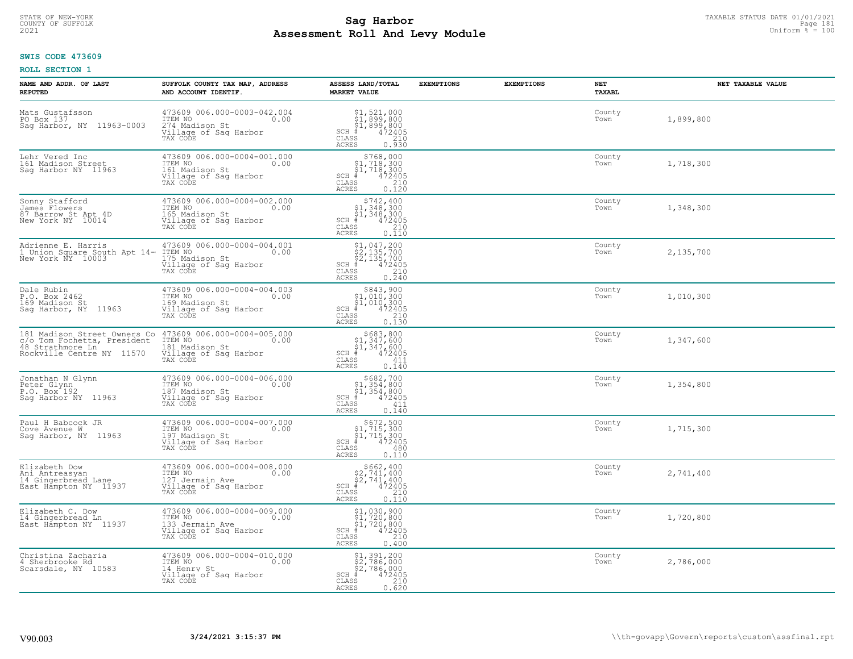# STATE OF NEW-YORK TAXABLE STATUS DATE 01/01/2021<br>COUNTY OF SUFFOLK Page 181 **Assessment Roll And Levy Module Example 2021** Uniform  $\frac{1}{8}$  = 100

### **SWIS CODE 473609**

| NAME AND ADDR. OF LAST<br><b>REPUTED</b>                                                                     | SUFFOLK COUNTY TAX MAP, ADDRESS<br>AND ACCOUNT IDENTIF.                                                | ASSESS LAND/TOTAL<br><b>MARKET VALUE</b>                                                                                 | <b>EXEMPTIONS</b> | <b>EXEMPTIONS</b> | NET<br><b>TAXABL</b> | NET TAXABLE VALUE |
|--------------------------------------------------------------------------------------------------------------|--------------------------------------------------------------------------------------------------------|--------------------------------------------------------------------------------------------------------------------------|-------------------|-------------------|----------------------|-------------------|
| Mats Gustafsson<br>PO Box 137<br>Saq Harbor, NY 11963-0003                                                   | 473609 006.000-0003-042.004<br>ITEM NO<br>0.00<br>274 Madison St<br>Village of Sag Harbor<br>TAX CODE  | $$1,521,000$<br>$$1,899,800$<br>$$1,899,800$<br>$472405$<br>$$210$<br>$SCH$ #<br>CLASS<br><b>ACRES</b><br>0.930          |                   |                   | County<br>Town       | 1,899,800         |
| Lehr Vered Inc<br>161 Madison Street<br>Saq Harbor NY 11963                                                  | 473609 006.000-0004-001.000<br>ITEM NO<br>0.00<br>161 Madison St<br>Village of Sag Harbor<br>TAX CODE  | $$768,000$<br>$$1,718,300$<br>$$1,718,300$<br>$SCH$ #<br>472405<br>CLASS<br>$\frac{210}{0.120}$<br><b>ACRES</b>          |                   |                   | County<br>Town       | 1,718,300         |
| Sonny Stafford<br>James Flowers<br>87 Barrow St Apt 4D<br>New York NY 10014                                  | 473609 006.000-0004-002.000<br>ITEM NO<br>0.00<br>165 Madison St<br>Village of Sag Harbor<br>TAX CODE  | \$742,400<br>$$1,348,300$<br>$$1,348,300$<br>$*$ 472405<br>$SCH$ #<br>CLASS<br>$\frac{210}{0.110}$<br>ACRES              |                   |                   | County<br>Town       | 1,348,300         |
| Adrienne E. Harris<br>1 Union Square South Apt 14-<br>New York NY 10003                                      | 473609 006.000-0004-004.001<br>ITEM NO<br>0.00<br>175 Madison St<br>Village of Sag Harbor<br>TAX CODE  | $$1,047,200$<br>$$2,135,700$<br>$$2,135,700$<br>$*$ 472405<br>$SCH$ #<br>CLASS<br>0.210<br><b>ACRES</b>                  |                   |                   | County<br>Town       | 2,135,700         |
| Dale Rubin<br>P.O. Box 2462<br>169 Madison St<br>Sag Harbor, NY 11963                                        | 473609 006.000-0004-004.003<br>ITEM NO<br>0.00<br>169 Madison St<br>Village of Sag Harbor<br>TAX CODE  | $$843,900$<br>$$1,010,300$<br>$$1,010,300$<br>$*$ 472405<br>$SCH$ #<br>CLASS<br>210<br><b>ACRES</b><br>0.130             |                   |                   | County<br>Town       | 1,010,300         |
| 181 Madison Street Owners Co<br>c/o Tom Fochetta, President<br>48 Strathmore Ln<br>Rockville Centre NY 11570 | 473609 006.000-0004-005.000<br>ITEM NO<br>0.00<br>181 Madison St<br>Village of Sag Harbor<br>TAX CODE  | $$683, 800$<br>$$1, 347, 600$<br>$$1, 347, 600$<br>$$472405$<br>$SCH$ #<br>CLASS<br>411<br>0.140<br><b>ACRES</b>         |                   |                   | County<br>Town       | 1,347,600         |
| Jonathan N Glynn<br>Peter Glynn<br>P.O. Box <sup>-192</sup><br>Saq Harbor NY 11963                           | 473609 006.000-0004-006.000<br>ITEM NO<br>187 Madison St<br>0.00<br>Village of Sag Harbor<br>TAX CODE  | $$682,700$<br>$$1,354,800$<br>$$1,354,800$<br>$$472405$<br>$SCH$ #<br>CLASS<br>411<br>0.140<br><b>ACRES</b>              |                   |                   | County<br>Town       | 1,354,800         |
| Paul H Babcock JR<br>Cove Avenue W<br>Sag Harbor, NY 11963                                                   | 473609 006.000-0004-007.000<br>ITEM NO<br>197 Madison St<br>Village of Sag Harbor<br>TAX CODE          | $$672,500$<br>$$1,715,300$<br>$$1,715,300$<br>$*1$<br>$472405$<br>$SCH$ #<br>CLASS<br>480<br><b>ACRES</b><br>0.110       |                   |                   | County<br>Town       | 1,715,300         |
| Elizabeth Dow<br>Ani Antreasyan<br>14 Gingerbread Lane<br>East Hampton NY 11937                              | 473609 006.000-0004-008.000<br>TTEM NO 0.00<br>127 Jermain Ave<br>Village of Saq Harbor<br>TAX CODE    | $$662, 400$<br>$$2, 741, 400$<br>$$2, 741, 400$<br>$*$ $472405$<br>$SCH$ #<br>CLASS<br>210<br><b>ACRES</b><br>0.110      |                   |                   | County<br>Town       | 2,741,400         |
| Elizabeth C. Dow<br>14 Gingerbread Ln<br>East Hampton NY 11937                                               | 473609 006.000-0004-009.000<br>ITEM NO<br>0.00<br>133 Jermain Ave<br>Village of Sag Harbor<br>TAX CODE | $$1,030,900$<br>$$1,720,800$<br>$$1,720,800$<br>$$1,720,800$<br>$472405$<br>SCH<br>CLASS<br>210<br><b>ACRES</b><br>0.400 |                   |                   | County<br>Town       | 1,720,800         |
| Christina Zacharia<br>4 Sherbrooke Rd<br>Scarsdale, NY 10583                                                 | 473609 006.000-0004-010.000<br>ITEM NO<br>0.00<br>14 Henry St<br>Village of Sag Harbor<br>TAX CODE     | \$1,391,200<br>\$2,786,000<br>\$2,786,000<br>$SCH$ #<br>472405<br>CLASS<br>210<br><b>ACRES</b><br>0.620                  |                   |                   | County<br>Town       | 2,786,000         |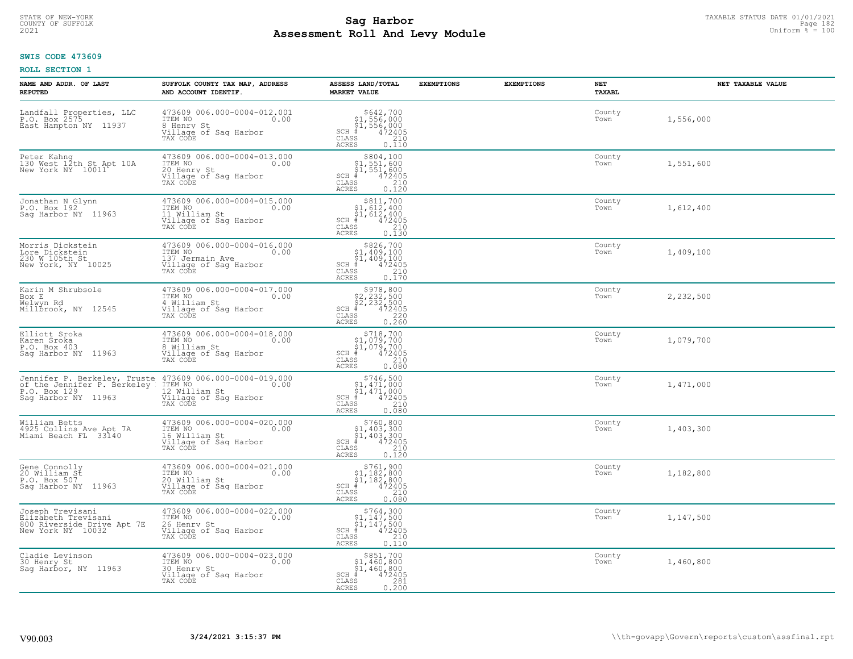# TAXABLE STATUS DATE 01/01/2021<br>COUNTY OF SUFFOLK Page 182 **Assessment Roll And Levy Module Example 2021** Uniform  $\frac{1}{8}$  = 100

### **SWIS CODE 473609**

| NAME AND ADDR. OF LAST<br><b>REPUTED</b>                                                           | SUFFOLK COUNTY TAX MAP, ADDRESS<br>AND ACCOUNT IDENTIF.                                                 | ASSESS LAND/TOTAL<br><b>MARKET VALUE</b>                                                                                 | <b>EXEMPTIONS</b> | <b>EXEMPTIONS</b> | NET<br>TAXABL  | NET TAXABLE VALUE |
|----------------------------------------------------------------------------------------------------|---------------------------------------------------------------------------------------------------------|--------------------------------------------------------------------------------------------------------------------------|-------------------|-------------------|----------------|-------------------|
| Landfall Properties, LLC<br>P.O. Box 2575<br>East Hampton NY 11937                                 | 473609 006.000-0004-012.001<br>ITEM NO<br>0.00<br>8 Henry St<br>Village of Sag Harbor<br>TAX CODE       | $$642,700$<br>$$1,556,000$<br>$$1,556,000$<br>$*$ $472405$<br>$SCH$ #<br>CLASS<br>210<br>ACRES<br>0.110                  |                   |                   | County<br>Town | 1,556,000         |
| Peter Kahng<br>130 West 12th St Apt 10A<br>New York NY 10011                                       | 473609 006.000-0004-013.000<br>ITEM NO<br>0.00<br>20 Henry St<br>Village of Sag Harbor<br>TAX CODE      | $$804,100$<br>$$1,551,600$<br>$$1,551,600$<br>$$1,551,600$<br>472405<br>$SCH$ #<br>CLASS<br>210<br>0.120<br><b>ACRES</b> |                   |                   | County<br>Town | 1,551,600         |
| Jonathan N Glynn<br>P.O. Box 192<br>Sag Harbor NY 11963                                            | 473609 006.000-0004-015.000<br>ITEM NO<br>0.00<br>11 William St<br>Village of Sag Harbor<br>TAX CODE    | $$311,70051,612,40051,612,400+1,612,400+1,472405$<br>$SCH$ #<br>CLASS<br>210<br>0.130<br>ACRES                           |                   |                   | County<br>Town | 1,612,400         |
| Morris Dickstein<br>Lore Dickstein<br>230 W 105th St<br>New York, NY 10025                         | $473609006.000-0004-016.000$<br>ITEM NO<br>0.00<br>137 Jermain Ave<br>Village of Sag Harbor<br>TAX CODE | $$826,700$<br>$$1,409,100$<br>$$1,409,100$<br>$# 472405$<br>$$210$<br>$$38$<br>$SCH$ #<br>CLASS<br><b>ACRES</b><br>0.170 |                   |                   | County<br>Town | 1,409,100         |
| Karin M Shrubsole<br>Box E<br>Welwyn Rd<br>Millbrook, NY 12545                                     | 473609 006.000-0004-017.000<br>ITEM NO<br>0.00<br>4 William St<br>Village of Saq Harbor<br>TAX CODE     | $$978,800$<br>$$2,232,500$<br>$$2,232,500$<br>$472405$<br>$$220$<br>$SCH$ #<br>CLASS<br><b>ACRES</b><br>0.260            |                   |                   | County<br>Town | 2,232,500         |
| Elliott Sroka<br>Karen Sroka<br>P.O. Box 403<br>Saq Harbor NY 11963                                | 473609 006.000-0004-018.000<br>ITEM NO<br>0.00<br>8 William St<br>Village of Sag Harbor<br>TAX CODE     | $SCH$ #<br>CLASS<br><b>ACRES</b><br>0.080                                                                                |                   |                   | County<br>Town | 1,079,700         |
| Jennifer P. Berkeley, Truste<br>of the Jennifer P. Berkeley<br>P.O. Box 129<br>Saq Harbor NY 11963 | 473609 006.000-0004-019.000<br>ITEM NO<br>0.00<br>12 William St<br>Village of Sag Harbor<br>TAX CODE    | $$746,500$<br>$$1,471,000$<br>$$1,471,000$<br>$*1,472405$<br>$SCH$ #<br>$\mathtt{CLASS}$<br>210<br>0.080<br><b>ACRES</b> |                   |                   | County<br>Town | 1,471,000         |
| William Betts<br>4925 Collins Ave Apt 7A<br>Miami Beach FL 33140                                   | 473609 006.000-0004-020.000<br>TTEM NO 0.00<br>16 William St<br>Village of Sag Harbor<br>TAX CODE       | SCH #<br>CLASS<br>210<br><b>ACRES</b><br>0.120                                                                           |                   |                   | County<br>Town | 1,403,300         |
| Gene Connolly<br>20 William St<br>P.O. Box 507<br>Sag Harbor NY 11963                              | 473609 006.000-0004-021.000<br>ITEM NO 0.00<br>20 William St<br>Village of Sag Harbor<br>TAX CODE       | $$761, 900$<br>$$1, 182, 800$<br>$$1, 182, 800$<br>$$472405$<br>$SCH$ #<br>CLASS<br>210<br><b>ACRES</b><br>0.080         |                   |                   | County<br>Town | 1,182,800         |
| Joseph Trevisani<br>Elizabeth Trevisani<br>800 Riverside Drive Apt 7E<br>New York NY 10032         | 473609 006.000-0004-022.000<br>ITEM NO<br>0.00<br>26 Henry St<br>Village of Sag Harbor<br>TAX CODE      | $$764,300$<br>$$1,147,500$<br>$$1,147,500$<br>$$472405$<br>$SCH$ #<br>210<br>CLASS<br>0.110<br><b>ACRES</b>              |                   |                   | County<br>Town | 1,147,500         |
| Cladie Levinson<br>30 Henry St<br>Saq Harbor, NY 11963                                             | 473609 006.000-0004-023.000<br>ITEM NO<br>0.00<br>30 Henry St<br>Village of Sag Harbor<br>TAX CODE      | \$851,700<br>$$1,460,800$<br>$$1,460,800$<br>$SCH$ #<br>472405<br>CLASS<br>281<br><b>ACRES</b><br>0.200                  |                   |                   | County<br>Town | 1,460,800         |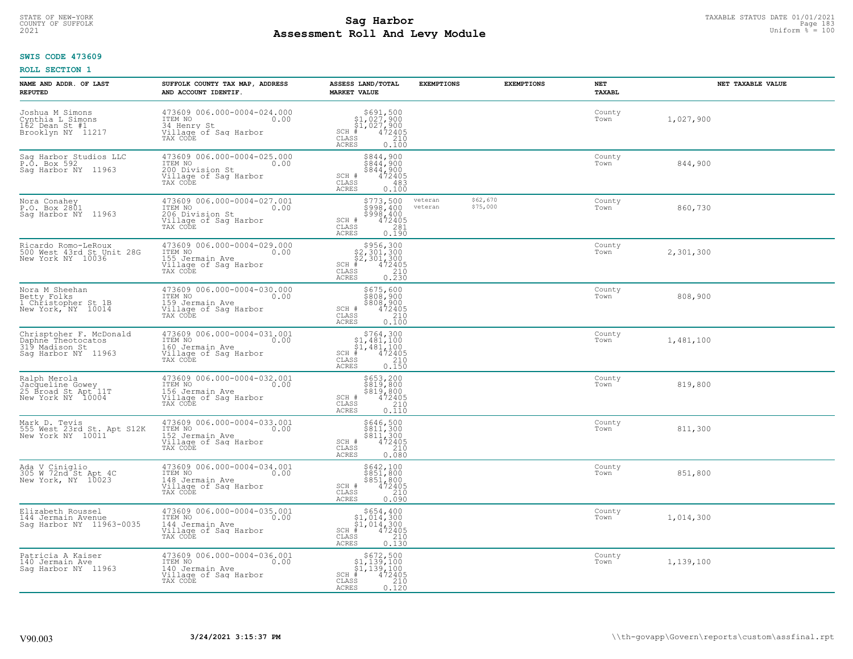# TAXABLE STATUS DATE 01/01/2021<br>COUNTY OF SUFFOLK Page 183 **Assessment Roll And Levy Module Example 2021** Uniform  $\frac{1}{8}$  = 100

### **SWIS CODE 473609**

| NAME AND ADDR. OF LAST<br><b>REPUTED</b>                                     | SUFFOLK COUNTY TAX MAP, ADDRESS<br>AND ACCOUNT IDENTIF.                                                | ASSESS LAND/TOTAL<br><b>MARKET VALUE</b>                                                                                                                                                                                                                                                                                                                              | <b>EXEMPTIONS</b>  | <b>EXEMPTIONS</b>    | <b>NET</b><br><b>TAXABL</b> | NET TAXABLE VALUE |
|------------------------------------------------------------------------------|--------------------------------------------------------------------------------------------------------|-----------------------------------------------------------------------------------------------------------------------------------------------------------------------------------------------------------------------------------------------------------------------------------------------------------------------------------------------------------------------|--------------------|----------------------|-----------------------------|-------------------|
| Joshua M Simons<br>Cynthia L Simons<br>162 Dean St #1<br>Brooklyn NY 11217   | 473609 006.000-0004-024.000<br>TTEM NO 0.00<br>34 Henry St<br>Village of Sag Harbor<br>TAX CODE        | $\begin{array}{r}  \  \  \, 5691,500 \\  \  \, 51,027,900 \\  \  \, 51,027,900 \\  \  \  \, 472405 \\  \  \, 55 \\  \  \  \, 210 \\  \  \, 55 \\  \  \  \, 0 \\  \  \, 210 \\  \  \, 0 \\  \  \, 0 \\  \  \, 0 \\  \  \, 0 \\  \  \, 0 \\  \  \, 0 \\  \  \, 0 \\  \  \, 0 \\  \  \, 0 \\  \  \, 0 \\  \  \, 0 \\  \  \, 0 \\ $<br>$SCH$ #<br>CLASS<br>ACRES<br>0.100 |                    |                      | County<br>Town              | 1,027,900         |
| Sag Harbor Studios LLC<br>P.O. Box 592<br>Saq Harbor NY 11963                | 473609 006.000-0004-025.000<br>ITEM NO<br>0.00<br>200 Division St<br>Village of Sag Harbor<br>TAX CODE | \$844,900<br>\$844,900<br>\$844,900<br>472405<br>SCH #<br>483<br>CLASS<br>0.100<br><b>ACRES</b>                                                                                                                                                                                                                                                                       |                    |                      | County<br>Town              | 844,900           |
| Nora Conahey<br>P.O. Box 2801<br>Saq Harbor NY 11963                         | 473609 006.000-0004-027.001<br>ITEM NO<br>0.00<br>206 Division St<br>Village of Sag Harbor<br>TAX CODE | \$773,500<br>\$998,400<br>\$998,400<br>472405<br>SCH #<br>CLASS<br>281<br>0.190<br>ACRES                                                                                                                                                                                                                                                                              | veteran<br>veteran | \$62,670<br>\$75,000 | County<br>Town              | 860,730           |
| Ricardo Romo-LeRoux<br>500 West 43rd St Unit 28G<br>New York NY 10036        | 473609 006.000-0004-029.000<br>TTEM NO 0.00<br>155 Jermain Ave<br>Village of Sag Harbor<br>TAX CODE    | $$956, 300$<br>$$2, 301, 300$<br>$$2, 301, 300$<br>$SCH$ #<br>$^{472405}_{210}$<br>0.230<br>CLASS<br>ACRES                                                                                                                                                                                                                                                            |                    |                      | County<br>Town              | 2,301,300         |
| Nora M Sheehan<br>Betty Folks<br>1 Christopher St 1B<br>New York, NY 10014   | 473609 006.000-0004-030.000<br>ITEM NO<br>0.00<br>159 Jermain Ave<br>Village of Sag Harbor<br>TAX CODE | \$675,600<br><u>ššoš, šoo</u><br>$\begin{array}{r} 5808,900 \\ 472405 \\ 210 \\ 0.100 \end{array}$<br>SCH #<br>CLASS<br>ACRES                                                                                                                                                                                                                                         |                    |                      | County<br>Town              | 808,900           |
| Chrisptoher F. McDonald<br>Daphne Theotocatos<br>Saq Harbor NY 11963         | 473609 006.000-0004-031.001<br>ITEM NO<br>0.00<br>160 Jermain Ave<br>Village of Sag Harbor<br>TAX CODE | $$764,300$<br>$$1,481,100$<br>$$1,481,100$<br>$# 472405$<br>$35$<br>$210$<br>$SCH$ #<br>CLASS<br>0.150<br>ACRES                                                                                                                                                                                                                                                       |                    |                      | County<br>Town              | 1,481,100         |
| Ralph Merola<br>Jacqueline Gowey<br>25 Broad St Apt 11T<br>New York NY 10004 | 473609 006.000-0004-032.001<br>ITEM NO<br>0.00<br>156 Jermain Ave<br>Village of Sag Harbor<br>TAX CODE | \$653,200<br>\$819,800<br>\$819,800<br>$\frac{472405}{210}$<br>SCH #<br>$\mathtt{CLASS}$<br>0.110<br>ACRES                                                                                                                                                                                                                                                            |                    |                      | County<br>Town              | 819,800           |
| Mark D. Tevis<br>555 West 23rd St. Apt S12K<br>New York NY 10011             | 473609 006.000-0004-033.001<br>ITEM NO<br>0.00<br>152 Jermain Ave<br>Village of Sag Harbor<br>TAX CODE | $\begin{array}{c} 5646, 500 \\ 5811, 300 \\ 5811, 300 \\ 472405 \\ 210 \\ 0.080 \end{array}$<br>SCH #<br>CLASS<br>ACRES                                                                                                                                                                                                                                               |                    |                      | County<br>Town              | 811,300           |
| Ada V Ciniglio<br>305 W 72nd St Apt 4C<br>New York, NY 10023                 | 473609 006.000-0004-034.001<br>TTEM NO 0.00<br>148 Jermain Ave<br>Village of Sag Harbor<br>TAX CODE    | \$642,100<br>\$851,800<br>\$851,800<br>472405<br>210<br>SCH #<br>CLASS<br><b>ACRES</b><br>0.090                                                                                                                                                                                                                                                                       |                    |                      | County<br>Town              | 851,800           |
| Elizabeth Roussel<br>144 Jermain Avenue<br>Sag Harbor NY 11963-0035          | 473609 006.000-0004-035.001<br>ITEM NO<br>0.00<br>144 Jermain Ave<br>Village of Sag Harbor<br>TAX CODE | $$654, 400$<br>$$1, 014, 300$<br>$$1, 014, 300$<br>$$472405$<br>$SCH$ #<br>$\begin{array}{c} 210 \\ 0.130 \end{array}$<br>CLASS<br><b>ACRES</b>                                                                                                                                                                                                                       |                    |                      | County<br>Town              | 1,014,300         |
| Patricia A Kaiser<br>140 Jermain Ave<br>Saq Harbor NY 11963                  | 473609 006.000-0004-036.001<br>ITEM NO<br>0.00<br>140 Jermain Ave<br>Village of Sag Harbor<br>TAX CODE | \$672,500<br>\$1,139,100<br>\$1,139,100<br>$SCH$ #<br>472405<br>CLASS<br>210<br>0.120<br>ACRES                                                                                                                                                                                                                                                                        |                    |                      | County<br>Town              | 1,139,100         |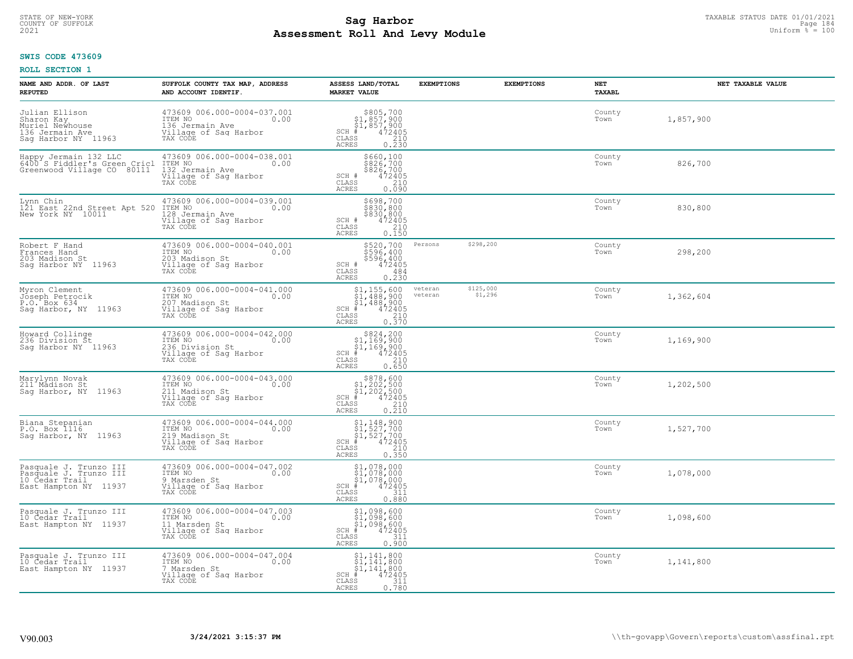# TAXABLE STATUS DATE 01/01/2021<br>COUNTY OF SUFFOLK Page 184 **Assessment Roll And Levy Module Example 2021** Uniform  $\frac{1}{8}$  = 100

#### **SWIS CODE 473609**

| NAME AND ADDR. OF LAST<br><b>REPUTED</b>                                                    | SUFFOLK COUNTY TAX MAP, ADDRESS<br>AND ACCOUNT IDENTIF.                                                | ASSESS LAND/TOTAL<br><b>MARKET VALUE</b>                                                                                                                                                            | <b>EXEMPTIONS</b>  | <b>EXEMPTIONS</b>    | NET<br>TAXABL  | NET TAXABLE VALUE |
|---------------------------------------------------------------------------------------------|--------------------------------------------------------------------------------------------------------|-----------------------------------------------------------------------------------------------------------------------------------------------------------------------------------------------------|--------------------|----------------------|----------------|-------------------|
| Julian Ellison<br>Sharon Kay<br>Muriel Newhouse<br>136 Jermain Ave<br>Sag Harbor NY 11963   | 473609 006.000-0004-037.001<br>ITEM NO<br>0.00<br>136 Jermain Ave<br>Village of Sag Harbor<br>TAX CODE | \$805,700<br>\$1,857,900<br>\$1,857,900<br>#472405<br>$SCH$ #<br>CLASS<br>$\frac{210}{0.230}$<br>ACRES                                                                                              |                    |                      | County<br>Town | 1,857,900         |
| Happy Jermain 132 LLC<br>6400 S Fiddler's Green Cricl<br>Greenwood Village CO 80111         | 473609 006.000-0004-038.001<br>ITEM NO<br>0.00<br>132 Jermain Ave<br>Village of Sag Harbor<br>TAX CODE | \$660,100<br>\$826,700<br>\$826,700<br>\$826,700<br>0.090<br>0.090<br>SCH #<br>CLASS<br><b>ACRES</b>                                                                                                |                    |                      | County<br>Town | 826,700           |
| Lynn Chin<br>121 East 22nd Street Apt 520<br>New York NY 10011                              | 473609 006.000-0004-039.001<br>ITEM NO<br>0.00<br>128 Jermain Ave<br>Village of Sag Harbor<br>TAX CODE | \$698,700<br>\$830,800<br>\$830,800<br>472405<br>SCH #<br>$\begin{array}{c} 210 \\ 0.150 \end{array}$<br>CLASS<br>ACRES                                                                             |                    |                      | County<br>Town | 830,800           |
| Robert F Hand<br>Frances Hand<br>203 Madison St<br>Sag Harbor NY 11963                      | 473609 006.000-0004-040.001<br>ITEM NO<br>0.00<br>203 Madison St<br>Village of Sag Harbor<br>TAX CODE  | \$520,700<br>\$596,400<br>\$596,400<br>472405<br>SCH #<br>CLASS<br>484<br><b>ACRES</b><br>0.230                                                                                                     | Persons            | \$298,200            | County<br>Town | 298,200           |
| Myron Clement<br>Joseph Petrocik<br>P.O. Box 634<br>Saq Harbor, NY 11963                    | 473609 006.000-0004-041.000<br>ITEM NO 0.00<br>207 Madison St<br>Village of Sag Harbor<br>TAX CODE     | $\begin{array}{r} $1,155,600 \ $1,488,900 \ $1,488,900 \ $472405 \ $15 \qquad \qquad 210 \qquad \qquad 0.370 \end{array}$<br>SCH #<br>CLASS<br><b>ACRES</b>                                         | veteran<br>veteran | \$125,000<br>\$1,296 | County<br>Town | 1,362,604         |
| Howard Collinge<br>236 Division St<br>Saq Harbor NY 11963                                   | 473609 006.000-0004-042.000<br>ITEM NO<br>0.00<br>236 Division St<br>Village of Sag Harbor<br>TAX CODE | $\begin{array}{r}  \  \  \, 824,200 \\  \  \, 51,169,900 \\  \  \, 51,169,900 \\  \  \  \, 472405 \\  \  \, 85 \\  \  \  \, 210 \\  \  \, 0 \end{array}$<br>SCH #<br>CLASS<br><b>ACRES</b><br>0.650 |                    |                      | County<br>Town | 1,169,900         |
| Marylynn Novak<br>211 Madison St<br>Saq Harbor, NY 11963                                    | 473609 006.000-0004-043.000<br>ITEM NO<br>0.00<br>211 Madison St<br>Village of Sag Harbor<br>TAX CODE  | $$878,600$<br>$$1,202,500$<br>$$1,202,500$<br>$472405$<br>$$210$<br>$$210$<br>$SCH$ #<br>CLASS<br>0.210<br><b>ACRES</b>                                                                             |                    |                      | County<br>Town | 1,202,500         |
| Biana Stepanian<br>P.O. Box 1116<br>Sag Harbor, NY 11963                                    | 473609 006.000-0004-044.000<br>ITEM NO<br>0.00<br>219 Madison St<br>Village of Sag Harbor<br>TAX CODE  | $$1, 148, 900$<br>$$1, 527, 700$<br>$$1, 527, 700$<br>$*1, 527, 700$<br>$*1, 472405$<br>$SCH$ #<br>CLASS<br>$\begin{array}{c} 210 \\ 0.350 \end{array}$<br>ACRES                                    |                    |                      | County<br>Town | 1,527,700         |
| Pasquale J. Trunzo III<br>Pasquale J. Trunzo III<br>10 Cedar Trail<br>East Hampton NY 11937 | 473609 006.000-0004-047.002<br>ITEM NO<br>0.00<br>9 Marsden St<br>Village of Sag Harbor<br>TAX CODE    | $$1,078,000$<br>$$1,078,000$<br>\$1,078,000<br>$SCH$ #<br>472405<br>CLASS<br>311<br><b>ACRES</b><br>0.880                                                                                           |                    |                      | County<br>Town | 1,078,000         |
| Pasquale J. Trunzo III<br>10 Cedar Trail<br>East Hampton NY 11937                           | 473609 006.000-0004-047.003<br>ITEM NO<br>0.00<br>11 Marsden St<br>Village of Sag Harbor<br>TAX CODE   | \$1,098,600<br>$$1,098,600$<br>$$1,098,600$<br>$$472405$<br>35<br>$SCH$ #<br>CLASS<br>0.900<br>ACRES                                                                                                |                    |                      | County<br>Town | 1,098,600         |
| Pasquale J. Trunzo III<br>10 Cedar Trail<br>East Hampton NY 11937                           | 473609 006.000-0004-047.004<br>ITEM NO<br>0.00<br>7 Marsden St<br>Village of Sag Harbor<br>TAX CODE    | $$1, 141, 800$<br>$$1, 141, 800$<br>$$1, 141, 800$<br>$$1, 141, 800$<br>$\frac{472405}{311}$<br>0.780<br>SCH #<br>CLASS<br>ACRES                                                                    |                    |                      | County<br>Town | 1,141,800         |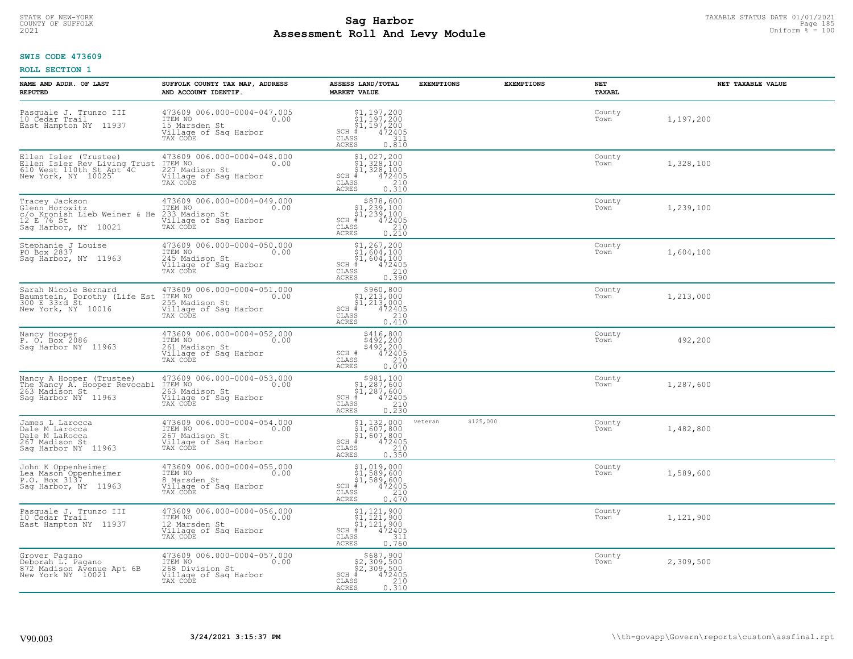# TAXABLE STATUS DATE 01/01/2021<br>COUNTY OF SUFFOLK Page 185 **Assessment Roll And Levy Module Example 2021** Uniform  $\frac{1}{8}$  = 100

#### **SWIS CODE 473609**

| NAME AND ADDR. OF LAST<br><b>REPUTED</b>                                                                | SUFFOLK COUNTY TAX MAP, ADDRESS<br>AND ACCOUNT IDENTIF.                                                       | ASSESS LAND/TOTAL<br><b>MARKET VALUE</b>                                                                                                                                                                                                                                                                                                    | <b>EXEMPTIONS</b>    | <b>EXEMPTIONS</b> | NET<br>TAXABL  | NET TAXABLE VALUE |
|---------------------------------------------------------------------------------------------------------|---------------------------------------------------------------------------------------------------------------|---------------------------------------------------------------------------------------------------------------------------------------------------------------------------------------------------------------------------------------------------------------------------------------------------------------------------------------------|----------------------|-------------------|----------------|-------------------|
| Pasquale J. Trunzo III<br>10 Cedar Trail<br>East Hampton NY 11937                                       | 473609 006.000-0004-047.005<br>ITEM NO 0.00<br>0.00<br>15 Marsden St<br>Village of Sag Harbor<br>TAX CODE     | $\begin{array}{l} $1,197,200 \ $1,197,200 \ $1,197,200 \ $1,197,200 \ \end{array}$<br>SCH #<br>CLASS<br>311<br><b>ACRES</b><br>0.810                                                                                                                                                                                                        |                      |                   | County<br>Town | 1,197,200         |
| Ellen Isler (Trustee)<br>Ellen Isler Rev Living Trust<br>610 West 110th St Apt 4C<br>New York, NY 10025 | 473609 006.000-0004-048.000<br>ITEM NO<br>0.00<br>227 Madison St<br>Village of Sag Harbor<br>TAX CODE         | $\begin{array}{c} \texttt{\$1,027,200} \\ \texttt{\$1,328,100} \\ \texttt{\$1,328,100} \\ \texttt{\$1,328,100} \\ \texttt{\$1,2405} \\ \texttt{\$18} \\ \texttt{\$18} \\ \texttt{\$19} \\ \texttt{\$19} \\ \texttt{\$10} \\ \texttt{\$10} \\ \texttt{\$10} \\ \texttt{\$10} \\ \texttt{\$10} \end{array}$<br>SCH #<br>CLASS<br><b>ACRES</b> |                      |                   | County<br>Town | 1,328,100         |
| Tracey Jackson<br>Glenn Horowitz<br>c/o Kronish Lieb Weiner & He<br>12 E 76 St<br>Sag Harbor, NY 10021  | 473609 006.000-0004-049.000<br>ITEM NO<br>0.00<br>233 Madison St<br>Village of Sag Harbor<br>TAX CODE         | \$878,600<br>$$1,239,100$<br>$$1,239,100$<br>$*$<br>$472405$<br>$85$<br>$*$<br>$*$<br>$SCH$ #<br>CLASS<br>0.210<br><b>ACRES</b>                                                                                                                                                                                                             |                      |                   | County<br>Town | 1,239,100         |
| Stephanie J Louise<br>PO Box 2837<br>Saq Harbor, NY 11963                                               | 473609 006.000-0004-050.000<br>ITEM NO<br>0.00<br>245 Madison St<br>Village of Sag Harbor<br>TAX CODE         | $$1, 267, 200$<br>$$1, 604, 100$<br>$$1, 604, 100$<br>$472405$<br>$$210$<br>$SCH$ #<br>CLASS<br><b>ACRES</b><br>0.390                                                                                                                                                                                                                       |                      |                   | County<br>Town | 1,604,100         |
| Sarah Nicole Bernard<br>Baumstein, Dorothy (Life Est<br>300 E 33rd St<br>New York, NY 10016             | 473609 006.000-0004-051.000<br>ITEM NO<br>0.00<br>1121<br>255 Madison St<br>Village of Sag Harbor<br>TAX CODE | $$960, 800$<br>$$1, 213, 000$<br>$$1, 213, 000$<br>$$472405$<br>$SCH$ #<br>$\mathtt{CLASS}$<br>210<br>0.410<br><b>ACRES</b>                                                                                                                                                                                                                 |                      |                   | County<br>Town | 1,213,000         |
| Nancy Hooper<br>P. O. Box 2086<br>Saq Harbor NY 11963                                                   | 473609 006.000-0004-052.000<br>ITEM NO<br>0.00<br>261 Madison St<br>Village of Sag Harbor<br>TAX CODE         | \$416,800<br>\$492,200<br>\$492,200<br>472405<br>SCH #<br>CLASS<br>210<br>0.070<br><b>ACRES</b>                                                                                                                                                                                                                                             |                      |                   | County<br>Town | 492,200           |
| Nancy A Hooper (Trustee)<br>The Nancy A. Hooper Revocabl<br>263 Madison St<br>Saq Harbor NY 11963       | 473609 006.000-0004-053.000<br>0.00 0.00<br>263 Madison St<br>Village of Sag Harbor<br>TAX CODE               | $$981,10051,287,60051,287,600472405$<br>$SCH$ #<br>CLASS<br>$\frac{210}{0.230}$<br><b>ACRES</b>                                                                                                                                                                                                                                             |                      |                   | County<br>Town | 1,287,600         |
| James L Larocca<br>Dale M Larocca<br>Dale M LaRocca<br>267 Madison St<br>Saq Harbor NY 11963            | 473609 006.000-0004-054.000<br>0.00 0.00<br>267 Madison St<br>Village of Sag Harbor<br>TAX CODE               | $$1,132,000$<br>$$1,607,800$<br>$$1,607,800$<br>$472405$<br>$$210$<br>$SCH$ #<br>CLASS<br>0.350<br><b>ACRES</b>                                                                                                                                                                                                                             | \$125,000<br>veteran |                   | County<br>Town | 1,482,800         |
| John K Oppenheimer<br>Lea Mason Oppenheimer<br>P.O. Box 3137<br>Saq Harbor, NY 11963                    | 473609 006.000-0004-055.000<br>TTEM NO 0.00<br>8 Marsden St<br>Village of Saq Harbor<br>TAX CODE              | $$1, 019, 000$<br>$$1, 589, 600$<br>$$1, 589, 600$<br>$*1, 589, 600$<br>$*1, 472405$<br>$SCH$ #<br>CLASS<br>210<br><b>ACRES</b><br>0.470                                                                                                                                                                                                    |                      |                   | County<br>Town | 1,589,600         |
| Pasquale J. Trunzo III<br>10 Cedar Trail<br>East Hampton NY 11937                                       | 473609 006.000-0004-056.000<br>ITEM NO<br>0.00<br>12 Marsden St<br>Village of Sag Harbor<br>TAX CODE          | $\begin{array}{l} $1,121,900 \ $1,121,900 \ $1,121,900 \ $1,121,900 \ \end{array}$<br>$SCH$ #<br>CLASS<br>311<br>0.760<br><b>ACRES</b>                                                                                                                                                                                                      |                      |                   | County<br>Town | 1,121,900         |
| Grover Pagano<br>Deborah L. Pagano<br>872 Madison Avenue Apt 6B<br>New York NY 10021                    | 473609 006.000-0004-057.000<br>ITEM NO<br>0.00<br>268 Division St<br>Village of Sag Harbor<br>TAX CODE        | \$687,900<br>\$2,309,500<br>\$2,309,500<br>$SCH$ #<br>472405<br>CLASS<br>210<br>0.310<br>ACRES                                                                                                                                                                                                                                              |                      |                   | County<br>Town | 2,309,500         |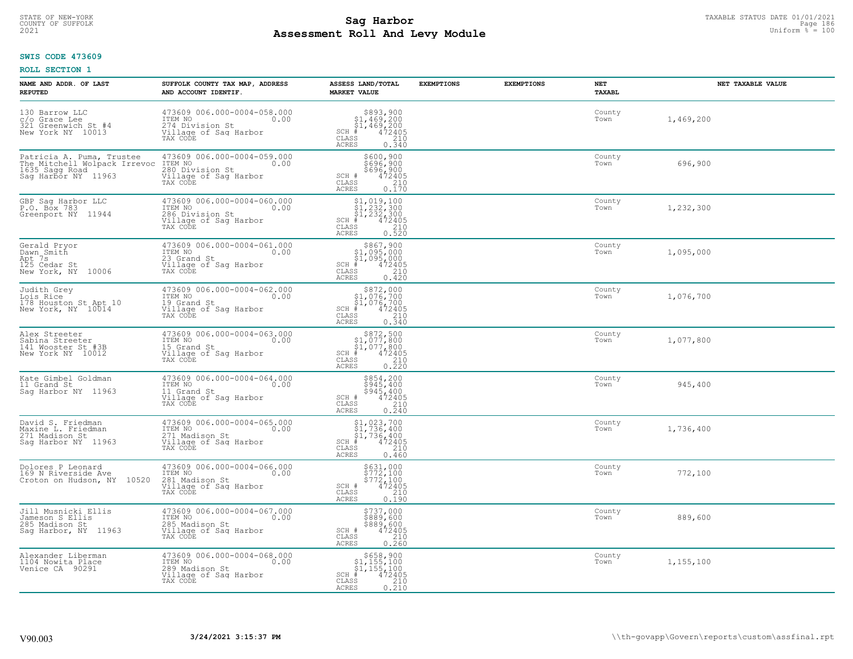# TAXABLE STATUS DATE 01/01/2021<br>COUNTY OF SUFFOLK Page 186 **Assessment Roll And Levy Module Example 2021** Uniform  $\frac{1}{8}$  = 100

### **SWIS CODE 473609**

| NAME AND ADDR. OF LAST<br><b>REPUTED</b>                                                           | SUFFOLK COUNTY TAX MAP, ADDRESS<br>AND ACCOUNT IDENTIF.                                                | ASSESS LAND/TOTAL<br><b>MARKET VALUE</b>                                                                                                                       | <b>EXEMPTIONS</b> | <b>EXEMPTIONS</b> | NET<br>TAXABL  | NET TAXABLE VALUE |
|----------------------------------------------------------------------------------------------------|--------------------------------------------------------------------------------------------------------|----------------------------------------------------------------------------------------------------------------------------------------------------------------|-------------------|-------------------|----------------|-------------------|
| 130 Barrow LLC<br>c/o Grace Lee<br>321 Greenwich St #4<br>New York NY 10013                        | 473609 006.000-0004-058.000<br>ITEM NO<br>0.00<br>274 Division St<br>Village of Saq Harbor<br>TAX CODE | $$893,900$<br>$$1,469,200$<br>$$1,469,200$<br>$*$<br>$*$<br>$472405$<br>$SCH$ #<br>CLASS<br>210<br>ACRES<br>0.340                                              |                   |                   | County<br>Town | 1,469,200         |
| Patricia A. Puma, Trustee<br>The Mitchell Wolpack Irrevoc<br>1635 Sagg Road<br>Saq Harbor NY 11963 | 473609 006.000-0004-059.000<br>ITEM NO<br>0.00<br>280 Division St<br>Village of Sag Harbor<br>TAX CODE | \$600,900<br>\$696,900<br>\$696,900<br>472405<br>SCH #<br>CLASS<br>$\frac{210}{0.170}$<br>ACRES                                                                |                   |                   | County<br>Town | 696,900           |
| GBP Sag Harbor LLC<br>P.O. Box 783<br>Greenport NY 11944                                           | 473609 006.000-0004-060.000<br>ITEM NO<br>0.00<br>286 Division St<br>Village of Sag Harbor<br>TAX CODE | \$1,019,100<br>$\begin{array}{l} 31,232,300 \\ 51,232,300 \\ + 472405 \end{array}$<br>$SCH$ #<br>CLASS<br>$\begin{array}{c} 210 \\ 0.520 \end{array}$<br>ACRES |                   |                   | County<br>Town | 1,232,300         |
| Gerald Pryor<br>Dawn Smith<br>Apt 7s<br>125 Cedar St<br>New York, NY 10006                         | 473609 006.000-0004-061.000<br>ITEM NO<br>0.00<br>23 Grand St<br>Village of Sag Harbor<br>TAX CODE     | \$867,900<br>\$1,095,000<br>\$1,095,000<br>$SCH$ #<br>$\frac{472405}{210}$<br>CLASS<br>$0.\bar{4}\bar{2}\bar{0}$<br><b>ACRES</b>                               |                   |                   | County<br>Town | 1,095,000         |
| Judith Grey<br>Lois Rice<br>178 Houston St Apt 10<br>New York, NY 10014                            | 473609 006.000-0004-062.000<br>ITEM NO<br>0.00<br>19 Grand St<br>Village of Saq Harbor<br>TAX CODE     | \$872,000<br>$$1,076,700$<br>$$1,076,700$<br>$472405$<br>$SCH$ #<br>CLASS<br>$\begin{array}{c} 210 \\ 0.340 \end{array}$<br><b>ACRES</b>                       |                   |                   | County<br>Town | 1,076,700         |
| Alex Streeter<br>Sabina Streeter<br>141 Wooster St #3B<br>New York NY 10012                        | 473609 006.000-0004-063.000<br>ITEM NO<br>0.00<br>15 Grand St<br>Village of Sag Harbor<br>TAX CODE     | $$872,500$<br>$$1,077,800$<br>$$1,077,800$<br>$$472405$<br>$SCH$ #<br>CLASS<br>$\begin{array}{c} 210 \\ 0.220 \end{array}$<br><b>ACRES</b>                     |                   |                   | County<br>Town | 1,077,800         |
| Kate Gimbel Goldman<br>11 Grand St<br>Saq Harbor NY 11963                                          | 473609 006.000-0004-064.000<br>ITEM NO<br>0.00<br>11 Grand St<br>Village of Sag Harbor<br>TAX CODE     | \$854,200<br>\$945,400<br>\$945,400<br>472405<br>SCH #<br>CLASS<br>$\frac{210}{0.240}$<br>ACRES                                                                |                   |                   | County<br>Town | 945,400           |
| David S. Friedman<br>Maxine L. Friedman<br>271 Madison St<br>Sag Harbor NY 11963                   | 473609 006.000-0004-065.000<br>TTEM NO 0.00<br>271 Madison St<br>Village of Sag Harbor<br>TAX CODE     | $$1,023,700$<br>$$1,736,400$<br>$$1,736,400$<br>$*$<br>$*$<br>$*$<br>$*$<br>$SCH$ #<br>CLASS<br>210<br>ACRES<br>0.460                                          |                   |                   | County<br>Town | 1,736,400         |
| Dolores P Leonard<br>169 N Riverside Ave<br>Croton on Hudson, NY 10520                             | 473609 006.000-0004-066.000<br>TTEM NO 0.00<br>281 Madison St<br>Village of Sag Harbor<br>TAX CODE     | \$631,000<br>\$772,100<br>\$772,100<br>SCH #<br>472405<br>CLASS<br>210<br>0.190<br><b>ACRES</b>                                                                |                   |                   | County<br>Town | 772,100           |
| Jill Musnicki Ellis<br>Jameson S Ellis<br>285 Madison St<br>Sag Harbor, NY 11963                   | 473609 006.000-0004-067.000<br>ITEM NO<br>0.00<br>285 Madison St<br>Village of Sag Harbor<br>TAX CODE  | \$737,000<br>\$889,600<br>$$889, 600$<br>472405<br>210<br>SCH #<br>CLASS<br>0.260<br>ACRES                                                                     |                   |                   | County<br>Town | 889,600           |
| Alexander Liberman<br>1104 Nowita Place<br>Venice CA 90291                                         | 473609 006.000-0004-068.000<br>ITEM NO<br>0.00<br>289 Madison St<br>Village of Sag Harbor<br>TAX CODE  | $$658,900$<br>$$1,155,100$<br>$$1,155,100$<br>$$1,155,100$<br>$SCH$ #<br>472405<br>CLASS<br>$\frac{210}{0.210}$<br>ACRES                                       |                   |                   | County<br>Town | 1,155,100         |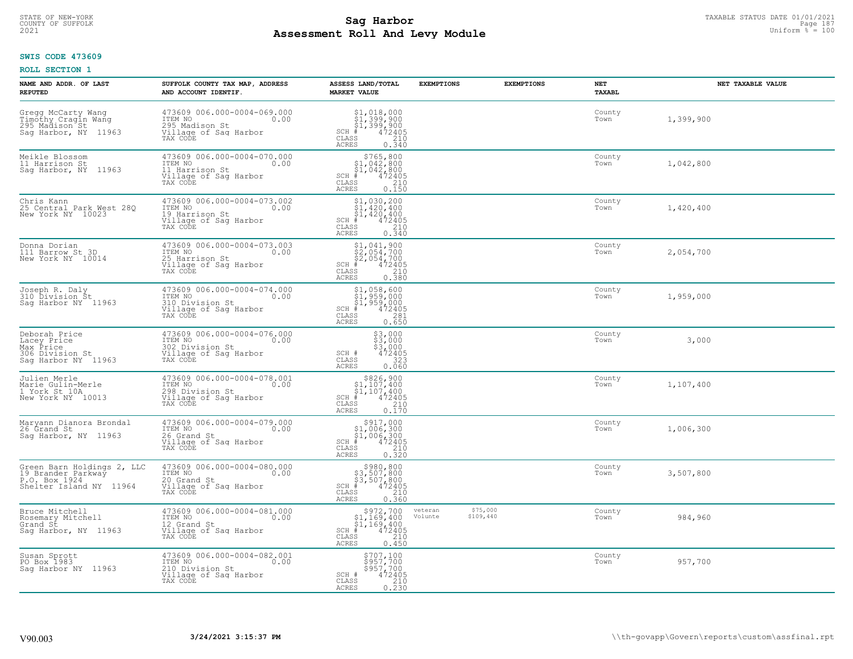# STATE OF NEW-YORK TAXABLE STATUS DATE 01/01/2021<br>COUNTY OF SUFFOLK Page 187 **Assessment Roll And Levy Module Example 2021** Uniform  $\frac{1}{8}$  = 100

#### **SWIS CODE 473609**

| NAME AND ADDR. OF LAST<br><b>REPUTED</b>                                                     | SUFFOLK COUNTY TAX MAP, ADDRESS<br>AND ACCOUNT IDENTIF.                                                | ASSESS LAND/TOTAL<br><b>MARKET VALUE</b>                                                                                                       | <b>EXEMPTIONS</b>                           | <b>EXEMPTIONS</b> | NET<br>TAXABL  | NET TAXABLE VALUE |
|----------------------------------------------------------------------------------------------|--------------------------------------------------------------------------------------------------------|------------------------------------------------------------------------------------------------------------------------------------------------|---------------------------------------------|-------------------|----------------|-------------------|
| Gregg McCarty Wang<br>Timóthy Cragin Wang<br>295 Madison St<br>Sag Harbor, NY 11963          | 473609 006.000-0004-069.000<br>ITEM NO<br>0.00<br>295 Madison St<br>Village of Sag Harbor<br>TAX CODE  | \$1,018,000<br>$\begin{array}{r} 31,399,900 \\ 51,399,900 \\ +1,399,900 \\ +2,472405 \end{array}$<br>$SCH$ #<br>CLASS<br>210<br>ACRES<br>0.340 |                                             |                   | County<br>Town | 1,399,900         |
| Meikle Blossom<br>11 Harrison St<br>Saq Harbor, NY 11963                                     | 473609 006.000-0004-070.000<br>ITEM NO<br>0.00<br>11 Harrison St<br>Village of Sag Harbor<br>TAX CODE  | $$765, 800$<br>$$1, 042, 800$<br>$$1, 042, 800$<br>$$1, 042, 800$<br>$$472405$<br>$SCH$ #<br>CLASS<br>210<br><b>ACRES</b><br>0.150             |                                             |                   | County<br>Town | 1,042,800         |
| Chris Kann<br>25 Central Park West 28Q<br>New York NY 10023                                  | 473609 006.000-0004-073.002<br>ITEM NO<br>0.00<br>19 Harrison St<br>Village of Sag Harbor<br>TAX CODE  | $$1,030,200$<br>$$1,420,400$<br>$$1,420,400$<br>$SCH$ #<br>472405<br>210<br>CLASS<br><b>ACRES</b><br>0.340                                     |                                             |                   | County<br>Town | 1,420,400         |
| Donna Dorian<br>111 Barrow St 3D<br>New York NY 10014                                        | 473609 006.000-0004-073.003<br>ITEM NO<br>0.00<br>25 Harrison St<br>Village of Sag Harbor<br>TAX CODE  | $\begin{array}{l} $1,041,900 \ $2,054,700 \ $2,054,700 \ $4$ \\\mbox{s1} \end{array}$<br>$SCH$ #<br>CLASS<br><b>ACRES</b><br>0.380             |                                             |                   | County<br>Town | 2,054,700         |
| Joseph R. Daly<br>310 Division St<br>Saq Harbor NY 11963                                     | 473609 006.000-0004-074.000<br>ITEM NO 0.00<br>310 Division St<br>Village of Sag Harbor<br>TAX CODE    | $$1,058,600$<br>$$1,959,000$<br>$$1,959,000$<br>$$CH_{10}$<br>$$1,959,000$<br>$$1,959,000$<br>$\mathtt{CLASS}$<br>281<br>0.650<br><b>ACRES</b> |                                             |                   | County<br>Town | 1,959,000         |
| Deborah Price<br>Lacey Price<br>Max Price<br>306 Division St<br>Saq Harbor NY 11963          | 473609 006.000-0004-076.000<br>10.00 0.00<br>302 Division St<br>Village of Sag Harbor<br>TAX CODE      | $\begin{array}{l} 53,000 \\ 53,000 \\ 53,000 \\ 472405 \end{array}$<br>SCH #<br>CLASS<br>323<br>0.060<br><b>ACRES</b>                          |                                             |                   | County<br>Town | 3,000             |
| Julien Merle<br>Marie Gulin-Merle<br>1 York St 10A<br>New York NY 10013                      | 473609 006.000-0004-078.001<br>ITEM NO<br>0.00<br>298 Division St<br>Village of Sag Harbor<br>TAX CODE | $$326, 900$<br>$$1, 107, 400$<br>$$1, 107, 400$<br>$*1, 107, 400$<br>$*1, 472405$<br>$SCH$ #<br>CLASS<br>210<br>0.170<br><b>ACRES</b>          |                                             |                   | County<br>Town | 1,107,400         |
| Maryann Dianora Brondal<br>26 Grand St<br>Sag Harbor, NY 11963                               | 473609 006.000-0004-079.000<br>ITEM NO<br>0.00<br>26 Grand St<br>Village of Sag Harbor<br>TAX CODE     | $$917,000$<br>$$1,006,300$<br>$$1,006,300$<br>$*$<br>$*$ 472405<br>$SCH$ #<br>CLASS<br>210<br><b>ACRES</b><br>0.320                            |                                             |                   | County<br>Town | 1,006,300         |
| Green Barn Holdings 2, LLC<br>19 Brander Parkway<br>P.O. Box 1924<br>Shelter Island NY 11964 | 473609 006.000-0004-080.000<br>ITEM NO<br>0.00<br>20 Grand St<br>Village of Sag Harbor<br>TAX CODE     | \$980,800<br>\$3,507,800<br>\$3,507,800<br>$SCH$ #<br>472405<br>CLASS<br>210<br><b>ACRES</b><br>0.360                                          |                                             |                   | County<br>Town | 3,507,800         |
| Bruce Mitchell<br>Rosemary Mitchell<br>Grand St<br>Saq Harbor, NY 11963                      | 473609 006.000-0004-081.000<br>ITEM NO<br>0.00<br>12 Grand St<br>Village of Sag Harbor<br>TAX CODE     | \$972,700<br>$$1,169,400$<br>$$1,169,400$<br>$*$ 472405<br>$SCH$ #<br>CLASS<br>210<br><b>ACRES</b><br>0.450                                    | \$75,000<br>veteran<br>\$109,440<br>Volunte |                   | County<br>Town | 984,960           |
| Susan Sprott<br>PO Box 1983<br>Saq Harbor NY 11963                                           | 473609 006.000-0004-082.001<br>ITEM NO<br>0.00<br>210 Division St<br>Village of Sag Harbor<br>TAX CODE | \$707,100<br>\$957,700<br>\$957,700<br>472405<br>SCH #<br>$\mathtt{CLASS}$<br>210<br>0.230<br>ACRES                                            |                                             |                   | County<br>Town | 957,700           |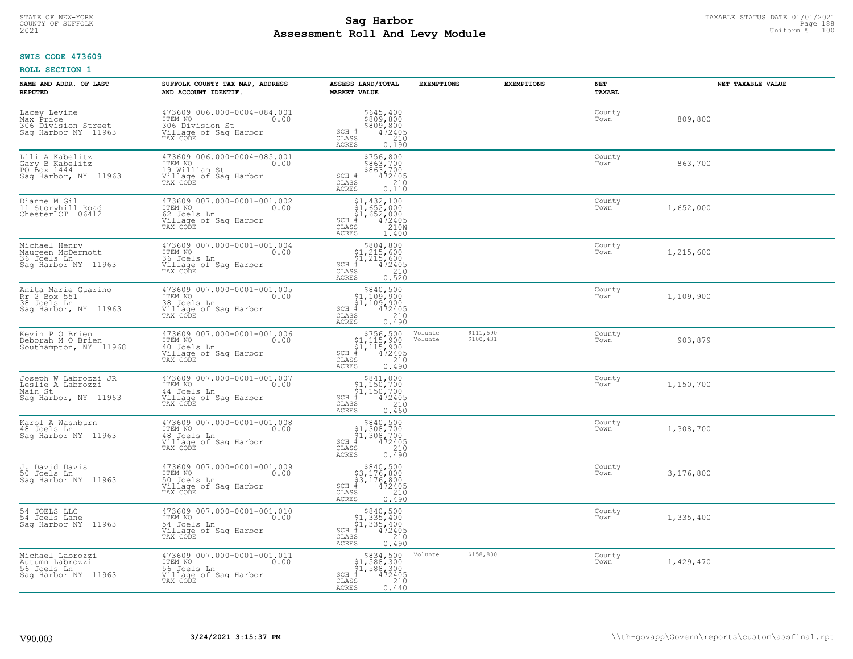# TAXABLE STATUS DATE 01/01/2021<br>COUNTY OF SUFFOLK Page 188 **Assessment Roll And Levy Module Example 2021** Uniform  $\frac{1}{8}$  = 100

#### **SWIS CODE 473609**

| NAME AND ADDR. OF LAST<br><b>REPUTED</b>                                     | SUFFOLK COUNTY TAX MAP, ADDRESS<br>AND ACCOUNT IDENTIF.                                              | ASSESS LAND/TOTAL<br><b>MARKET VALUE</b>                                                                                      | <b>EXEMPTIONS</b>                            | <b>EXEMPTIONS</b> | NET<br><b>TAXABL</b> | NET TAXABLE VALUE |
|------------------------------------------------------------------------------|------------------------------------------------------------------------------------------------------|-------------------------------------------------------------------------------------------------------------------------------|----------------------------------------------|-------------------|----------------------|-------------------|
| Lacey Levine<br>Max Price<br>306 Division Street<br>Sag Harbor NY 11963      | 473609 006.000-0004-084.001<br>TTEM NO 0.00<br>306 Division St<br>Village of Sag Harbor<br>TAX CODE  | \$645,400<br>\$809,800<br>\$809,800<br>472405<br>SCH #<br>CLASS<br>210<br><b>ACRES</b><br>0.190                               |                                              |                   | County<br>Town       | 809,800           |
| Lili A Kabelitz<br>Gary B Kabelitz<br>PO Box 1444<br>Sag Harbor, NY 11963    | 473609 006.000-0004-085.001<br>ITEM NO<br>0.00<br>19 William St<br>Village of Sag Harbor<br>TAX CODE | $5756,800$<br>$5863,700$<br>$5863,700$<br>$472405$<br>$210$<br>SCH #<br>CLASS<br><b>ACRES</b><br>0.110                        |                                              |                   | County<br>Town       | 863,700           |
| Dianne M Gil<br>11 Storyhill Road<br>Chester <sup>-</sup> CT 06412           | 473609 007.000-0001-001.002<br>ITEM NO<br>0.00<br>62 Joels Ln<br>Village of Sag Harbor<br>TAX CODE   | $$1,432,100$<br>$$1,652,000$<br>$$1,652,000$<br>$*$<br>$472405$<br>$*$<br>$2100$<br>$SCH$ #<br>CLASS<br><b>ACRES</b><br>1.400 |                                              |                   | County<br>Town       | 1,652,000         |
| Michael Henry<br>Maureen McDermott<br>36 Joels Ln<br>Saq Harbor NY 11963     | 473609 007.000-0001-001.004<br>ITEM NO<br>0.00<br>36 Joels Ln<br>Village of Sag Harbor<br>TAX CODE   | \$804,800<br>\$1,215,600<br>\$1,215,600<br>$SCH$ #<br>$\frac{472405}{210}$<br>CLASS<br>ACRES<br>0.520                         |                                              |                   | County<br>Town       | 1,215,600         |
| Anita Marie Guarino<br>Rr 2 Box 551<br>38 Joels Ln<br>Saq Harbor, NY 11963   | 473609 007.000-0001-001.005<br>ITEM NO<br>0.00<br>38 Joels Ln<br>Village of Sag Harbor<br>TAX CODE   | \$840,500<br>\$1,109,900<br>\$1,109,900<br>$SCH$ #<br>472405<br>CLASS<br>210<br>ACRES<br>0.490                                |                                              |                   | County<br>Town       | 1,109,900         |
| Kevin P O Brien<br>Deborah M O Brien<br>Southampton, NY 11968                | 473609 007.000-0001-001.006<br>ITEM NO<br>0.00<br>40 Joels Ln<br>Village of Sag Harbor<br>TAX CODE   | \$756,500<br>$$1,115,900$<br>$$1,115,900$<br>$*$ 472405<br>$$2,10$<br>$SCH$ #<br>CLASS<br>0.490<br><b>ACRES</b>               | \$111,590<br>Volunte<br>\$100,431<br>Volunte |                   | County<br>Town       | 903,879           |
| Joseph W Labrozzi JR<br>Leslie A Labrozzi<br>Main St<br>Sag Harbor, NY 11963 | 473609 007.000-0001-001.007<br>ITEM NO<br>0.00<br>44 Joels Ln<br>Village of Sag Harbor<br>TAX CODE   | \$841,000<br>\$1,150,700<br>\$1,150,700<br>$SCH$ #<br>472405<br>210<br>CLASS<br><b>ACRES</b><br>0.460                         |                                              |                   | County<br>Town       | 1,150,700         |
| Karol A Washburn<br>48 Joels Ln<br>Sag Harbor NY 11963                       | 473609 007.000-0001-001.008<br>ITEM NO<br>0.00<br>48 Joels Ln<br>Village of Sag Harbor<br>TAX CODE   | $$840,500$<br>$$1,308,700$<br>$$1,308,700$<br>$*1,308,700$<br>$*1,472405$<br>$SCH$ #<br>CLASS<br>210<br><b>ACRES</b><br>0.490 |                                              |                   | County<br>Town       | 1,308,700         |
| J. David Davis<br>50 Joels Ln<br>Saq Harbor NY 11963                         | 473609 007.000-0001-001.009<br>ITEM NO<br>0.00<br>50 Joels Ln<br>Village of Sag Harbor<br>TAX CODE   | $$840,500$<br>$$3,176,800$<br>$$3,176,800$<br>$$472405$<br>$SCH$ #<br>CLASS<br>210<br><b>ACRES</b><br>0.490                   |                                              |                   | County<br>Town       | 3,176,800         |
| 54 JOELS LLC<br>54 Joels Lane<br>11963<br>Saq Harbor NY                      | 473609 007.000-0001-001.010<br>ITEM NO<br>0.00<br>54 Joels Ln<br>Village of Sag Harbor<br>TAX CODE   | $SCH$ #<br>CLASS<br><b>ACRES</b><br>0.490                                                                                     |                                              |                   | County<br>Town       | 1,335,400         |
| Michael Labrozzi<br>Autumn Labrozzi<br>56 Joels Ln<br>Saq Harbor NY 11963    | 473609 007.000-0001-001.011<br>ITEM NO<br>0.00<br>56 Joels Ln<br>Village of Sag Harbor<br>TAX CODE   | $$834,500$<br>$$1,588,300$<br>$$1,588,300$<br>$$472405$<br>$SCH$ #<br>210<br>$\mathtt{CLASS}$<br><b>ACRES</b><br>0.440        | \$158,830<br>Volunte                         |                   | County<br>Town       | 1,429,470         |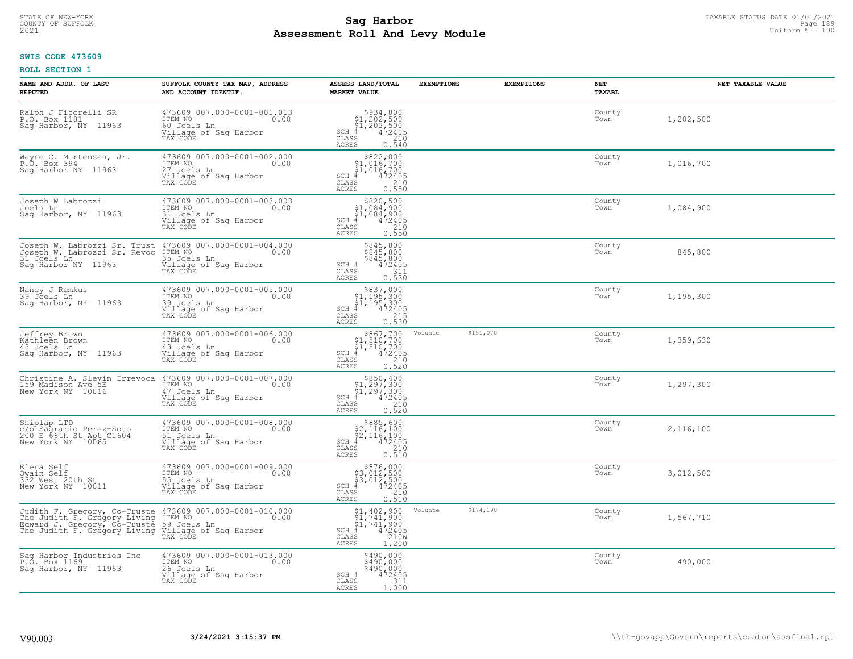# TAXABLE STATUS DATE 01/01/2021<br>COUNTY OF SUFFOLK Page 189 Page 189 **Assessment Roll And Levy Module Example 2021** Uniform  $\frac{1}{8}$  = 100

### **SWIS CODE 473609**

| NAME AND ADDR. OF LAST<br><b>REPUTED</b>                                                           | SUFFOLK COUNTY TAX MAP, ADDRESS<br>AND ACCOUNT IDENTIF.                                                                                                                                                                    | ASSESS LAND/TOTAL<br><b>MARKET VALUE</b>                                                                                                                                                                                 | <b>EXEMPTIONS</b> | <b>EXEMPTIONS</b> | <b>NET</b><br>TAXABL | NET TAXABLE VALUE |
|----------------------------------------------------------------------------------------------------|----------------------------------------------------------------------------------------------------------------------------------------------------------------------------------------------------------------------------|--------------------------------------------------------------------------------------------------------------------------------------------------------------------------------------------------------------------------|-------------------|-------------------|----------------------|-------------------|
| Ralph J Ficorelli SR<br>P.O. Box 1181<br>Saq Harbor, NY 11963                                      | 473609 007.000-0001-001.013<br>ITEM NO<br>0.00<br>60 Joels Ln<br>Village of Sag Harbor<br>TAX CODE                                                                                                                         | $\begin{array}{r} 5934, 800 \\ 51, 202, 500 \\ 51, 202, 500 \\ \text{\#} \hspace{2.5cm} 472405 \\ \text{\#} \hspace{2.5cm} 210 \\ \text{\#} \hspace{2.5cm} 210 \end{array}$<br>$SCH$ #<br>CLASS<br><b>ACRES</b><br>0.540 |                   |                   | County<br>Town       | 1,202,500         |
| Wayne C. Mortensen, Jr.<br>P.O. Box 394<br>Saq Harbor NY 11963                                     | 473609 007.000-0001-002.000<br>ITEM NO<br>0.00<br>27 Joels Ln<br>Village of Sag Harbor<br>TAX CODE                                                                                                                         | \$822,000<br>\$1,016,700<br>\$1,016,700<br>$SCH$ #<br>472405<br>CLASS<br>210<br>0.550<br>ACRES                                                                                                                           |                   |                   | County<br>Town       | 1,016,700         |
| Joseph W Labrozzi<br>Joels Ln<br>Saq Harbor, NY 11963                                              | 473609 007.000-0001-003.003<br>ITEM NO<br>0.00<br>31 Joels Ln<br>Village of Sag Harbor<br>TAX CODE                                                                                                                         | \$820,500<br>$$1,084,900$<br>$$1,084,900$<br>$472405$<br>$SCH$ #<br>CLASS<br>210<br>0.550<br><b>ACRES</b>                                                                                                                |                   |                   | County<br>Town       | 1,084,900         |
| Joseph W. Labrozzi Sr. Trust<br>Joseph W. Labrozzi Sr. Revoc<br>31 Joels Ln<br>Sag Harbor NY 11963 | 473609 007.000-0001-004.000<br>ITEM NO 0.00<br>ITEM NO<br>35 Joels Ln<br>Village of Saq Harbor<br>TAX CODE                                                                                                                 | $\begin{array}{r} 8845, 800 \\ 845, 800 \\ 845, 800 \\ 472405 \\ 311 \\ \end{array}$<br>SCH #<br>CLASS<br><b>ACRES</b><br>0.530                                                                                          |                   |                   | County<br>Town       | 845,800           |
| Nancy J Remkus<br>39 Jõels Ln<br>Sag Harbor, NY 11963                                              | 473609 007.000-0001-005.000<br>ITEM NO<br>0.00<br>39 Joels Ln<br>Village of Sag Harbor<br>TAX CODE                                                                                                                         | $\begin{array}{r} 5837,000\\ 51,195,300\\ 51,195,300\\ *\\ *\\ 215\\ 215\\ 0.530 \end{array}$<br>$SCH$ #<br>$\mathtt{CLASS}$<br>ACRES                                                                                    |                   |                   | County<br>Town       | 1,195,300         |
| Jeffrey Brown<br>Kathleen Brown<br>43 Joels Ln<br>Sag Harbor, NY 11963                             | 473609 007.000-0001-006.000<br>ITEM NO<br>0.00<br>43 Joels Ln<br>Willage of Sag Harbor<br>Village of Sag Harbor<br>TAX CODE                                                                                                | $\begin{array}{r} 5867, 700 \\ 51, 510, 700 \\ 51, 510, 700 \\ * \\ * \\ 55 \\ 210 \\ 520 \\ \end{array}$<br>$SCH$ #<br>CLASS<br><b>ACRES</b>                                                                            | Volunte           | \$151,070         | County<br>Town       | 1,359,630         |
| Christine A. Slevin Irrevoca<br>159 Madison Ave 5E<br>New York NY 10016                            | 473609 007.000-0001-007.000<br>ITEM NO<br>0.00<br>47 Joels Ln<br>Village of Sag Harbor<br>TAX CODE                                                                                                                         | $$850, 400$<br>$$1, 297, 300$<br>$$1, 297, 300$<br>$$472405$<br>$SCH$ #<br>CLASS<br>210<br><b>ACRES</b><br>0.520                                                                                                         |                   |                   | County<br>Town       | 1,297,300         |
| Shiplap LTD<br>c/o Sagrario Perez-Soto<br>200 E 66th St Apt C1604<br>New York NY 10065             | 473609 007.000-0001-008.000<br>ITEM NO<br>0.00<br>51 Joels Ln<br>Village of Saq Harbor<br>TAX CODE                                                                                                                         | $$885,600$<br>$$2,116,100$<br>$$2,116,100$<br>$472405$<br>$$210$<br>$SCH$ #<br>CLASS<br><b>ACRES</b><br>0.510                                                                                                            |                   |                   | County<br>Town       | 2,116,100         |
| Elena Self<br>Owain Self<br>332 West 20th St<br>New York NY 10011                                  | 473609 007.000-0001-009.000<br>TTEM NO<br>55 Joels Ln<br><u>Village</u> of Saq Harbor<br>0.00<br>TAX CODE                                                                                                                  | \$876,000<br>\$3,012,500<br>\$3,012,500<br>$SCH$ #<br>472405<br>CLASS<br>$\begin{array}{c} 210 \\ 0.510 \end{array}$<br>ACRES                                                                                            |                   |                   | County<br>Town       | 3,012,500         |
|                                                                                                    | Judith F. Gregory, Co-Truste 473609 007.000-0001-010.000<br>The Judith F. Gregory Living ITEM NO ROWARD 0.00<br>Edward J. Gregory, Co-Truste 59 Joels Ln<br>The Judith F. Gregory Living Village of Sag Harbor<br>TAX CODE | $$1, 402, 900$<br>$$1, 741, 900$<br>$$1, 741, 900$<br>$472405$<br>$12100$<br>SCH #<br>CLASS<br>1.200<br><b>ACRES</b>                                                                                                     | Volunte           | \$174,190         | County<br>Town       | 1,567,710         |
| Saq Harbor Industries Inc<br>P.O. Box 1169<br>Sag Harbor, NY 11963                                 | 473609 007.000-0001-013.000<br>ITEM NO<br>0.00<br>26 Joels Ln<br>Village of Sag Harbor<br>TAX CODE                                                                                                                         | $$490,000$<br>$$490,000$<br>\$490,000<br>SCH #<br>$472405$<br>311<br>CLASS<br>ACRES<br>1.000                                                                                                                             |                   |                   | County<br>Town       | 490,000           |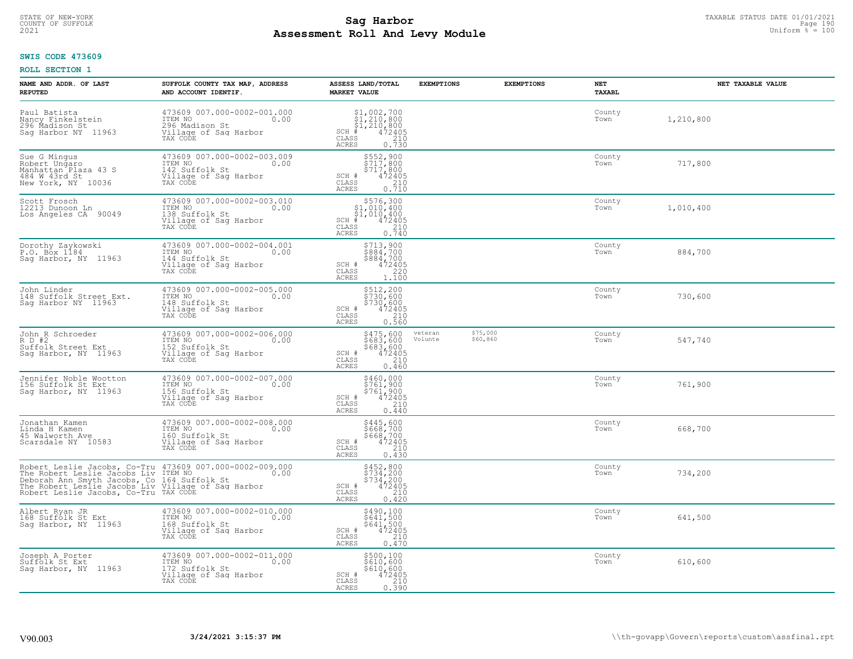# TAXABLE STATUS DATE 01/01/2021<br>COUNTY OF SUFFOLK Page 190 **Assessment Roll And Levy Module Example 2021** Uniform  $\frac{1}{8}$  = 100

#### **SWIS CODE 473609**

| NAME AND ADDR. OF LAST<br><b>REPUTED</b>                                                                                                                                                                                              | SUFFOLK COUNTY TAX MAP, ADDRESS<br>AND ACCOUNT IDENTIF.                                               | ASSESS LAND/TOTAL<br><b>MARKET VALUE</b>                                                                                              | <b>EXEMPTIONS</b>  | <b>EXEMPTIONS</b>    | NET<br>TAXABL  | NET TAXABLE VALUE |
|---------------------------------------------------------------------------------------------------------------------------------------------------------------------------------------------------------------------------------------|-------------------------------------------------------------------------------------------------------|---------------------------------------------------------------------------------------------------------------------------------------|--------------------|----------------------|----------------|-------------------|
| Paul Batista<br>Nancy Finkelstein<br>296 Madison St<br>Sag Harbor NY 11963                                                                                                                                                            | 473609 007.000-0002-001.000<br>ITEM NO<br>0.00<br>296 Madison St<br>Village of Saq Harbor<br>TAX CODE | \$1,002,700<br>\$1,210,800<br>\$1,210,800<br>$SCH$ #<br>472405<br>CLASS<br>$\frac{210}{0.730}$<br><b>ACRES</b>                        |                    |                      | County<br>Town | 1,210,800         |
| Sue G Mingus<br>Robert Ungaro<br>Manhattan Plaza 43 S<br>484 W 43rd St<br>New York, NY 10036                                                                                                                                          | 473609 007.000-0002-003.009<br>ITEM NO<br>0.00<br>142 Suffolk St<br>Village of Sag Harbor<br>TAX CODE | \$552,900<br>\$717,800<br>$\begin{array}{r} \n 5717,800 \\  472405 \\  210 \\  0.710\n \end{array}$<br>SCH #<br>CLASS<br><b>ACRES</b> |                    |                      | County<br>Town | 717,800           |
| Scott Frosch<br>12213 Dunoon Ln<br>Los Angeles CA 90049                                                                                                                                                                               | 473609 007.000-0002-003.010<br>ITEM NO<br>0.00<br>138 Suffolk St<br>Village of Sag Harbor<br>TAX CODE | \$576,300<br>\$1,010,400<br>\$1,010,400<br>$SCH$ #<br>472405<br>210<br>CLASS<br>0.740<br><b>ACRES</b>                                 |                    |                      | County<br>Town | 1,010,400         |
| Dorothy Zaykowski<br>P.O. Box 1184<br>Saq Harbor, NY 11963                                                                                                                                                                            | 473609 007.000-0002-004.001<br>ITEM NO<br>0.00<br>144 Suffolk St<br>Village of Sag Harbor<br>TAX CODE | \$713,900<br>\$884,700<br>\$884,700<br>SCH #<br>$\begin{array}{r} 472405 \\ 220 \\ 1.100 \end{array}$<br>CLASS<br><b>ACRES</b>        |                    |                      | County<br>Town | 884,700           |
| John Linder<br>148 Suffolk Street Ext.<br>Sag Harbor NY 11963                                                                                                                                                                         | 473609 007.000-0002-005.000<br>ITEM NO<br>0.00<br>148 Suffolk St<br>Village of Sag Harbor<br>TAX CODE | \$512,200<br>\$730,600<br>\$730,600<br>472405<br>SCH #<br>210<br>CLASS<br><b>ACRES</b><br>0.560                                       |                    |                      | County<br>Town | 730,600           |
| John R Schroeder<br>R D #2<br>Suffolk Street Ext<br>Saq Harbor, NY 11963                                                                                                                                                              | 473609 007.000-0002-006.000<br>ITEM NO<br>0.00<br>152 Suffolk St<br>Village of Sag Harbor<br>TAX CODE | \$475,600<br>\$683,600<br>\$683,600<br>472405<br>SCH #<br>CLASS<br>210<br>0.460<br>ACRES                                              | veteran<br>Volunte | \$75,000<br>\$60,860 | County<br>Town | 547,740           |
| Jennifer Noble Wootton<br>156 Suffolk St Ext<br>Sag Harbor, NY 11963                                                                                                                                                                  | 473609 007.000-0002-007.000<br>ITEM NO<br>0.00<br>156 Suffolk St<br>Village of Sag Harbor<br>TAX CODE | \$460,000<br>\$761,900<br>\$761,900<br>\$761,900<br>SCH #<br>CLASS<br>210<br>0.440<br>ACRES                                           |                    |                      | County<br>Town | 761,900           |
| Jonathan Kamen<br>Linda H Kamen<br>45 Walworth Ave<br>Scarsdale NY 10583                                                                                                                                                              | 473609 007.000-0002-008.000<br>10.00 0.00<br>160 Suffolk St<br>Village of Sag Harbor<br>TAX CODE      | \$445,600<br>\$668,700<br>\$668,700<br>472405<br>SCH #<br>$\mathtt{CLASS}$<br>210<br><b>ACRES</b><br>0.430                            |                    |                      | County<br>Town | 668,700           |
| Robert Leslie Jacobs, Co-Tru 473609 007.000-0002-009.000<br>The Robert Leslie Jacobs Liv ITEM NO<br>Deborah Ann Smyth Jacobs, Co 164 Suffolk St<br>The Robert Leslie Jacobs, Co-Tru TAX CODE<br>Robert Leslie Jacobs, Co-Tru TAX CODE |                                                                                                       | \$452,800<br>\$734,200<br>\$734,200<br>SCH #<br>472405<br>CLASS<br>210<br><b>ACRES</b><br>0.420                                       |                    |                      | County<br>Town | 734,200           |
| Albert Ryan JR<br>168 Suffolk St Ext<br>Sag Harbor, NY 11963                                                                                                                                                                          | 473609 007.000-0002-010.000<br>ITEM NO<br>0.00<br>168 Suffolk St<br>Village of Sag Harbor<br>TAX CODE | \$490,100<br>\$641,500<br>\$641,500<br>472405<br>SCH #<br>CLASS<br>210<br><b>ACRES</b><br>0.470                                       |                    |                      | County<br>Town | 641,500           |
| Joseph A Porter<br>Suffolk St Ext<br>Saq Harbor, NY 11963                                                                                                                                                                             | 473609 007.000-0002-011.000<br>ITEM NO<br>0.00<br>172 Suffolk St<br>Village of Sag Harbor<br>TAX CODE | \$500,100<br>\$610,600<br>\$610,600<br>SCH #<br>472405<br>210<br>CLASS<br><b>ACRES</b><br>0.390                                       |                    |                      | County<br>Town | 610,600           |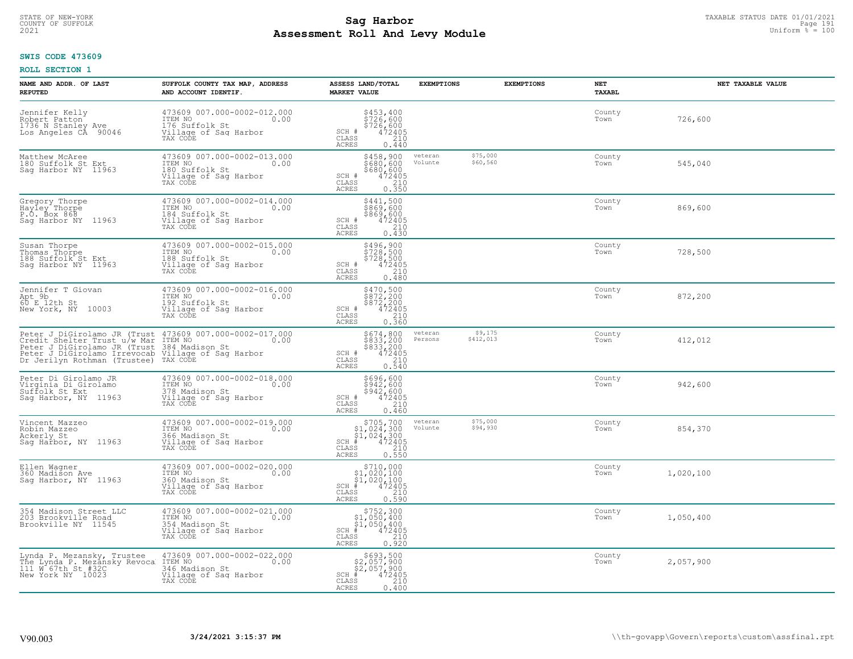# STATE OF NEW-YORK TAXABLE STATUS DATE 01/01/2021<br>COUNTY OF SUFFOLK Page 191 **Assessment Roll And Levy Module Example 2021** Uniform  $\frac{1}{8}$  = 100

#### **SWIS CODE 473609**

| NAME AND ADDR. OF LAST<br><b>REPUTED</b>                                                                                                                                                                                                        | SUFFOLK COUNTY TAX MAP, ADDRESS<br>AND ACCOUNT IDENTIF.                                               | ASSESS LAND/TOTAL<br><b>MARKET VALUE</b>                                                                                                                    | <b>EXEMPTIONS</b>               | <b>EXEMPTIONS</b>    | NET<br><b>TAXABL</b> | NET TAXABLE VALUE |
|-------------------------------------------------------------------------------------------------------------------------------------------------------------------------------------------------------------------------------------------------|-------------------------------------------------------------------------------------------------------|-------------------------------------------------------------------------------------------------------------------------------------------------------------|---------------------------------|----------------------|----------------------|-------------------|
| Jennifer Kelly<br>Robert Patton <sup>7</sup><br>1736 N Stanley Ave<br>Los Angeles CA 90046                                                                                                                                                      | 473609 007.000-0002-012.000<br>TTEM NO 0.00<br>176 Suffolk St<br>Village of Sag Harbor<br>TAX CODE    | \$453,400<br>\$726,600<br>\$726,600<br>\$72405<br>SCH #<br>CLASS<br>210<br><b>ACRES</b><br>0.440                                                            |                                 |                      | County<br>Town       | 726,600           |
| Matthew McAree<br>180 Suffolk St Ext<br>Saq Harbor NY 11963                                                                                                                                                                                     | 473609 007.000-0002-013.000<br>ITEM NO<br>0.00<br>180 Suffolk St<br>Village of Sag Harbor<br>TAX CODE | \$458,900<br>\$680,600<br>\$680,600<br>SCH #<br>$\frac{472405}{210}$<br>CLASS<br>0.350<br><b>ACRES</b>                                                      | veteran<br>Volunte              | \$75,000<br>\$60,560 | County<br>Town       | 545,040           |
| Gregory Thorpe<br>Hayley Thorpe<br>P.O. Box 868<br>Sag Harbor NY 11963                                                                                                                                                                          | 473609 007.000-0002-014.000<br>ITEM NO<br>0.00<br>184 Suffolk St<br>Village of Sag Harbor<br>TAX CODE | \$441,500<br>\$869,600<br>\$869,600<br>472405<br>SCH #<br>CLASS<br>210<br><b>ACRES</b><br>0.430                                                             |                                 |                      | County<br>Town       | 869,600           |
| Susan Thorpe<br>Thomas Thorpe<br>188 Suffolk St Ext<br>Saq Harbor NY 11963                                                                                                                                                                      | 473609 007.000-0002-015.000<br>ITEM NO<br>0.00<br>188 Suffolk St<br>Village of Sag Harbor<br>TAX CODE | \$496,900<br>\$728,500<br>\$728,500<br>SCH #<br>472405<br>CLASS<br>210<br><b>ACRES</b><br>0.480                                                             |                                 |                      | County<br>Town       | 728,500           |
| Jennifer T Giovan<br>Apt 9b<br>60 E 12th St<br>New York, NY 10003                                                                                                                                                                               | 473609 007.000-0002-016.000<br>ITEM NO<br>0.00<br>192 Suffolk St<br>Village of Sag Harbor<br>TAX CODE | \$470,500<br>\$872,200<br>\$872,200<br>472405<br>SCH #<br>CLASS<br>210<br>ACRES<br>0.360                                                                    |                                 |                      | County<br>Town       | 872,200           |
| Peter J DiGirolamo JR (Trust 473609 007.000-0002-017.000<br>Credit Shelter Trust u/w Mar ITEM NO.<br>Peter J DiGirolamo JR (Trust 384 Madison St<br>Peter J DiGirolamo Irrevocab Village of Sag Harbor<br>Dr Jerilyn Rothman (Trustee) TAX CODE |                                                                                                       | $$674, 800$<br>$$833, 200$<br>$$833, 200$<br>$472405$<br>$$210$<br>SCH #<br>CLASS<br><b>ACRES</b><br>0.540                                                  | veteran<br>\$412,013<br>Persons | \$9,175              | County<br>Town       | 412,012           |
| Peter Di Girolamo JR<br>Virginia Di Girolamo<br>Suffolk St Ext<br>Sag Harbor, NY 11963                                                                                                                                                          | 473609 007.000-0002-018.000<br>ITEM NO<br>0.00<br>378 Madison St<br>Village of Sag Harbor<br>TAX CODE | \$696,600<br>$$942,600$<br>$$942,600$<br>SCH #<br>472405<br>210<br>CLASS<br><b>ACRES</b><br>0.460                                                           |                                 |                      | County<br>Town       | 942,600           |
| Vincent Mazzeo<br>Robin Mazzeo<br>Ackerly St<br>Sag Harbor, NY 11963                                                                                                                                                                            | 473609 007.000-0002-019.000<br>ITEM NO<br>0.00<br>366 Madison St<br>Village of Sag Harbor<br>TAX CODE | $$705,700$<br>$$1,024,300$<br>$$1,024,300$<br>$*1,024,300$<br>$*1,02405$<br>$SCH$ #<br>CLASS<br>$\begin{array}{c} 210 \\ 0.550 \end{array}$<br><b>ACRES</b> | veteran<br>Volunte              | \$75,000<br>\$94,930 | County<br>Town       | 854,370           |
| Ellen Wagner<br>360 Madison Ave<br>Saq Harbor, NY 11963                                                                                                                                                                                         | 473609 007.000-0002-020.000<br>ITEM NO<br>0.00<br>360 Madison St<br>Village of Sag Harbor<br>TAX CODE | $\begin{array}{c} $710,000$ \\ $1,020,100$ \\ $1,020,100$ \\ \ast \end{array}$<br>$SCH$ #<br>CLASS<br>210<br><b>ACRES</b><br>0.590                          |                                 |                      | County<br>Town       | 1,020,100         |
| 354 Madison Street LLC<br>203 Brookville Road<br>Brookville NY 11545                                                                                                                                                                            | 473609 007.000-0002-021.000<br>ITEM NO<br>0.00<br>354 Madison St<br>Village of Sag Harbor<br>TAX CODE | $SCH$ #<br>CLASS<br><b>ACRES</b><br>0.920                                                                                                                   |                                 |                      | County<br>Town       | 1,050,400         |
| Lynda P. Mezansky, Trustee<br>The Lynda P. Mezansky Revoca<br>111 M 67th St #32C<br>New York NY 10023                                                                                                                                           | 473609 007.000-0002-022.000<br>ITEM NO<br>0.00<br>346 Madison St<br>Village of Sag Harbor<br>TAX CODE | $$693,500$<br>$$2,057,900$<br>$$2,057,900$<br>$$472405$<br>$SCH$ #<br>CLASS<br>210<br><b>ACRES</b><br>0.400                                                 |                                 |                      | County<br>Town       | 2,057,900         |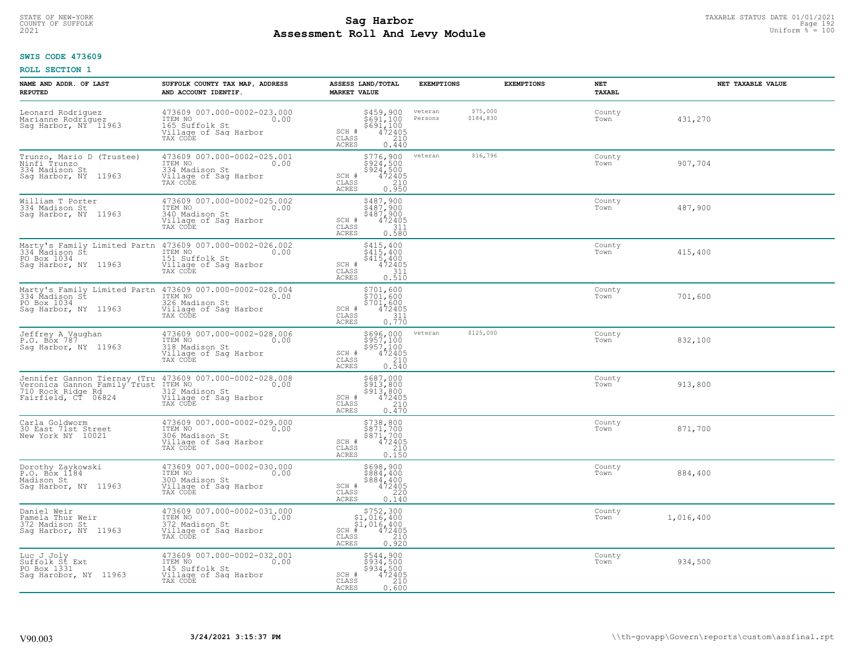# TAXABLE STATUS DATE 01/01/2021<br>COUNTY OF SUFFOLK Page 192 **Assessment Roll And Levy Module Example 2021** Uniform  $\frac{1}{8}$  = 100

#### **SWIS CODE 473609**

| NAME AND ADDR. OF LAST<br><b>REPUTED</b>                                            | SUFFOLK COUNTY TAX MAP, ADDRESS<br>AND ACCOUNT IDENTIF.                                                                                                 | ASSESS LAND/TOTAL<br><b>MARKET VALUE</b>                                                                                             | <b>EXEMPTIONS</b>                           | <b>EXEMPTIONS</b><br>NET<br><b>TAXABL</b> |           | NET TAXABLE VALUE |
|-------------------------------------------------------------------------------------|---------------------------------------------------------------------------------------------------------------------------------------------------------|--------------------------------------------------------------------------------------------------------------------------------------|---------------------------------------------|-------------------------------------------|-----------|-------------------|
| Leonard Rodriguez<br>Marianne Rodriguez<br>Sag Harbor, NY 11963                     | 473609 007.000-0002-023.000<br>TTEM NO 0.00<br>165 Suffolk St<br>Village of Sag Harbor<br>TAX CODE                                                      | \$459,900<br>\$691,100<br>\$691,100<br>472405<br>SCH #<br>CLASS<br>210<br>ACRES<br>0.440                                             | \$75,000<br>veteran<br>\$184,830<br>Persons | County<br>Town                            | 431,270   |                   |
| Trunzo, Mario D (Trustee)<br>Ninfi Trunzo<br>334 Madison St<br>Sag Harbor, NY 11963 | 473609 007.000-0002-025.001<br>ITEM NO<br>0.00<br>334 Madison St<br>Village of Sag Harbor<br>TAX CODE                                                   | $5776, 900$<br>$5924, 500$<br>$5924, 500$<br>$472405$<br>$210$<br>SCH #<br>CLASS<br><b>ACRES</b><br>0.950                            | \$16,796<br>veteran                         | County<br>Town                            | 907,704   |                   |
| William T Porter<br>334 Madison St<br>Sag Harbor, NY 11963                          | 473609 007.000-0002-025.002<br>ITEM NO<br>0.00<br>340 Madison St<br>Village of Sag Harbor<br>TAX CODE                                                   | \$487,900<br>\$487,900<br>\$487,900<br>472405<br>SCH #<br>311<br>CLASS<br>0.580<br>ACRES                                             |                                             | County<br>Town                            | 487,900   |                   |
| PO Box 1034<br>Sag Harbor, NY 11963                                                 | Marty's Family Limited Partn 473609 007.000-0002-026.002<br>334_Madison St ITEM NO<br>151 Suffolk St<br>Village of Sag Harbor<br>TAX CODE               | \$415,400<br>\$415,400<br>\$415,400<br>SCH #<br>472405<br>CLASS<br>311<br><b>ACRES</b><br>0.510                                      |                                             | County<br>Town                            | 415,400   |                   |
| PO Box 1034<br>Sag Harbor, NY 11963                                                 | Marty's Family Limited Partn 473609 007.000-0002-028.004<br>334 Madison St [TEM NO] 0.00<br>326 Madison St<br>Village of Sag Harbor<br>TAX CODE         | \$701,600<br>\$701,600<br>\$701,600<br>SCH #<br>472405<br>CLASS<br>$\frac{311}{0.770}$<br><b>ACRES</b>                               |                                             | County<br>Town                            | 701,600   |                   |
| Jeffrey A_Vaughan<br>P.O. Box 787<br>Saq Harbor, NY 11963                           | 473609 007.000-0002-028.006<br>ITEM NO<br>0.00<br>318 Madison St<br>Village of Sag Harbor<br>TAX CODE                                                   | \$696,000<br>\$957,100<br>\$957,100<br>472405<br>SCH #<br>$\overline{210}$<br>CLASS<br><b>ACRES</b><br>0.540                         | \$125,000<br>veteran                        | County<br>Town                            | 832,100   |                   |
| 710 Rock Ridge Rd<br>Fairfield, CT 06824                                            | Jennifer Gannon Tiernay (Tru 473609 007.000-0002-028.008<br>Veronica Gannon Family Trust ITEM NO<br>312 Madison St<br>Village of Sag Harbor<br>TAX CODE | \$687,000<br>\$913,800<br>\$913,800<br>472405<br>SCH #<br>210<br>CLASS<br>0.470<br><b>ACRES</b>                                      |                                             | County<br>Town                            | 913,800   |                   |
| Carla Goldworm<br>30 East 71st Street<br>New York NY 10021                          | 473609 007.000-0002-029.000<br>TTEM NO 0.00<br>306 Madison St<br>Village of Sag Harbor<br>TAX CODE                                                      | \$738,800<br>\$871,700<br>\$871,700<br>472405<br>SCH #<br>CLASS<br>210<br><b>ACRES</b><br>0.150                                      |                                             | County<br>Town                            | 871,700   |                   |
| Dorothy Zaykowski<br>P.O. Box 1184<br>Madison St<br>Sag Harbor, NY 11963            | 473609 007.000-0002-030.000<br>TTEM NO 0.00<br>300 Madison St<br>Village of Sag Harbor<br>TAX CODE                                                      | \$698,900<br>\$884,400<br>\$884,400<br>SCH #<br>472405<br>CLASS<br>220<br><b>ACRES</b><br>0.140                                      |                                             | County<br>Town                            | 884,400   |                   |
| Daniel Weir<br>Pamela Thur Weir<br>372 Madison St<br>Sag Harbor, NY 11963           | 473609 007.000-0002-031.000<br>ITEM NO<br>0.00<br>372 Madison St<br>Village of Sag Harbor<br>TAX CODE                                                   | \$752,300<br>\$1,016,400<br>$\frac{1}{4}$ , $\frac{016}{4}$ , $\frac{400}{2405}$<br>$SCH$ #<br>CLASS<br>210<br><b>ACRES</b><br>0.920 |                                             | County<br>Town                            | 1,016,400 |                   |
| Luc J Joly<br>Suffolk St Ext<br>PO Box 1331<br>Sag Harobor, NY 11963                | 473609 007.000-0002-032.001<br>ITEM NO<br>0.00<br>145 Suffolk St<br>Village of Sag Harbor<br>TAX CODE                                                   | \$544,900<br>\$934,500<br>\$934,500<br>SCH #<br>472405<br>CLASS<br>210<br><b>ACRES</b><br>0.600                                      |                                             | County<br>Town                            | 934,500   |                   |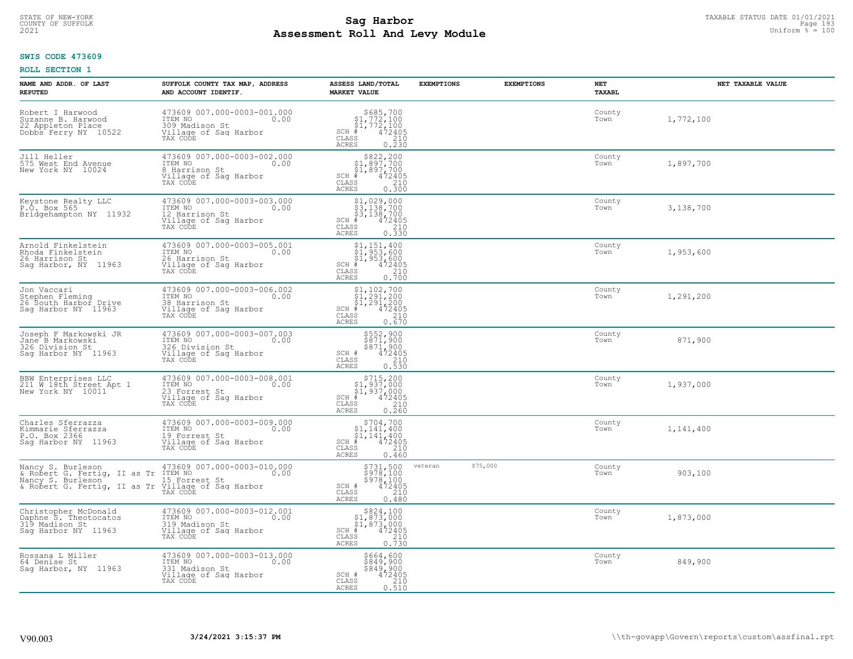# TAXABLE STATUS DATE 01/01/2021<br>COUNTY OF SUFFOLK Page 193 **Assessment Roll And Levy Module Example 2021** Uniform  $\frac{1}{8}$  = 100

#### **SWIS CODE 473609**

| NAME AND ADDR. OF LAST<br><b>REPUTED</b>                                                                                             | SUFFOLK COUNTY TAX MAP, ADDRESS<br>AND ACCOUNT IDENTIF.                                                | ASSESS LAND/TOTAL<br><b>MARKET VALUE</b>                                                                                                                           | <b>EXEMPTIONS</b><br><b>EXEMPTIONS</b> | NET<br>TAXABL  | NET TAXABLE VALUE |
|--------------------------------------------------------------------------------------------------------------------------------------|--------------------------------------------------------------------------------------------------------|--------------------------------------------------------------------------------------------------------------------------------------------------------------------|----------------------------------------|----------------|-------------------|
| Robert I Harwood<br>Suzanne B. Harwood<br>22 Appleton Place<br>Dobbs Ferry NY 10522                                                  | 473609 007.000-0003-001.000<br>TTEM NO 0.00<br>309 Madison St<br>Village of Sag Harbor<br>TAX CODE     | $$685,700$<br>$$1,772,100$<br>$$1,772,100$<br>$472405$<br>$$210$<br>$$210$<br>$SCH$ #<br>CLASS<br>0.230<br>ACRES                                                   |                                        | County<br>Town | 1,772,100         |
| Jill Heller<br>575 West End Avenue<br>New York NY 10024                                                                              | 473609 007.000-0003-002.000<br>ITEM NO<br>0.00<br>8 Harrison St<br>Village of Sag Harbor<br>TAX CODE   | $$822, 200$<br>$$1, 897, 700$<br>$$1, 897, 700$<br>472405<br>$SCH$ #<br>CLASS<br>$\begin{array}{c} 210 \\ 0.300 \end{array}$<br><b>ACRES</b>                       |                                        | County<br>Town | 1,897,700         |
| Keystone Realty LLC<br>P.O. Box 565<br>Bridgehampton NY 11932                                                                        | 473609 007.000-0003-003.000<br>ITEM NO<br>0.00<br>12 Harrison St<br>Village of Sag Harbor<br>TAX CODE  | \$1,029,000<br>\$3,138,700<br>\$3,138,700<br>$SCH$ #<br>472405<br>CLASS<br>$\begin{array}{c} 210 \\ 0.330 \end{array}$<br><b>ACRES</b>                             |                                        | County<br>Town | 3,138,700         |
| Arnold Finkelstein<br>Rhoda Finkelstein<br>26 Harrison St<br>Saq Harbor, NY 11963                                                    | 473609 007.000-0003-005.001<br>ITEM NO<br>0.00<br>26 Harrison St<br>Village of Sag Harbor<br>TAX CODE  | \$1,151,400<br>\$1,953,600<br>\$1,953,600<br>SCH #<br>CLASS<br>472405<br>$\frac{210}{0.700}$<br><b>ACRES</b>                                                       |                                        | County<br>Town | 1,953,600         |
| Jon Vaccari<br>Stephen Fleming<br>26 South Harbor Drive<br>Sag Harbor NY 11963                                                       | 473609 007.000-0003-006.002<br>ITEM NO<br>0.00<br>38 Harrison St<br>Village of Sag Harbor<br>TAX CODE  | $$1, 102, 700$<br>$$1, 291, 200$<br>$$1, 291, 200$<br>$$472405$<br>$SCH$ $#$<br>CLASS<br>210<br><b>ACRES</b><br>0.670                                              |                                        | County<br>Town | 1,291,200         |
| Joseph F Markowski JR<br>Jane <sup>+</sup> B Markowski<br>326 Division St<br>Saq Harbor NY 11963                                     | 473609 007.000-0003-007.003<br>ITEM NO<br>0.00<br>326 Division St<br>Village of Sag Harbor<br>TAX CODE | $$552,900$<br>$$871,900$<br>$$871,900$<br>$$472405$<br>210<br>SCH #<br>CLASS<br><b>ACRES</b><br>0.530                                                              |                                        | County<br>Town | 871,900           |
| BBW Enterprises LLC<br>211 W 18th Street Apt 1<br>New York NY 10011                                                                  | 473609 007.000-0003-008.001<br>ITEM NO<br>0.00<br>23 Forrest St<br>Village of Sag Harbor<br>TAX CODE   | $\begin{array}{c} $715,200 $1,937,000 $1,937,000 # 472405 \end{array}$<br>SCH #<br>$\begin{array}{c} 210 \\ 0.260 \end{array}$<br>$\mathtt{CLASS}$<br><b>ACRES</b> |                                        | County<br>Town | 1,937,000         |
| Charles Sferrazza<br>Kimmarie Sferrazza<br>P.O. Box 2366<br>Saq Harbor NY<br>11963                                                   | 473609 007.000-0003-009.000<br>ITEM NO<br>0.00<br>19 Forrest St<br>Village of Sag Harbor<br>TAX CODE   | $$704,700$<br>$$1,141,400$<br>$\frac{1}{4}$ , 141, 400<br>$\frac{4}{4}$ , 400<br>$SCH$ #<br>CLASS<br>210<br><b>ACRES</b><br>0.460                                  |                                        | County<br>Town | 1,141,400         |
| Nancy S. Burleson<br>& Robert G. Fertig, II as Tr ITEM NO<br>Nancy S. Burleson<br>& Robert G. Fertig, II as Tr Village of Sag Harbor | 473609 007.000-0003-010.000<br>0.00<br>15 Forrest St<br>TAX CODE                                       | \$731,500<br>\$978,100<br>\$978,100<br>472405<br>SCH #<br>CLASS<br>210<br><b>ACRES</b><br>0.480                                                                    | \$75,000<br>veteran                    | County<br>Town | 903,100           |
| Christopher McDonald<br>Daphne S. Theotocatos<br>319 Madison St<br>Sag Harbor NY 11963                                               | 473609 007.000-0003-012.001<br>ITEM NO<br>0.00<br>319 Madison St<br>Village of Sag Harbor<br>TAX CODE  | $$824,100\n$1,873,000\n$1,873,000\n# 472405\n85\n210$<br>$SCH$ #<br>CLASS<br><b>ACRES</b><br>0.730                                                                 |                                        | County<br>Town | 1,873,000         |
| Rossana L Miller<br>64 Denise St<br>Saq Harbor, NY 11963                                                                             | 473609 007.000-0003-013.000<br>ITEM NO<br>0.00<br>331 Madison St<br>Village of Sag Harbor<br>TAX CODE  | \$664,600<br>\$849,900<br>\$849,900<br>472405<br>SCH #<br>210<br>CLASS<br><b>ACRES</b><br>0.510                                                                    |                                        | County<br>Town | 849,900           |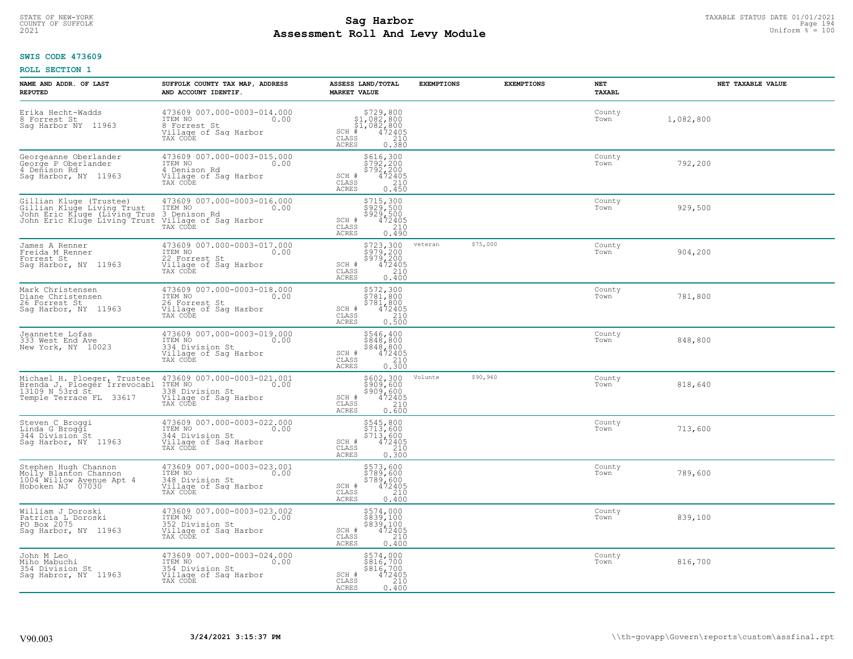# TAXABLE STATUS DATE 01/01/2021<br>COUNTY OF SUFFOLK Page 194 **Assessment Roll And Levy Module Example 2021** Uniform  $\frac{1}{8}$  = 100

# **SWIS CODE 473609**

| NAME AND ADDR. OF LAST<br><b>REPUTED</b>                                                                                                                                                             | SUFFOLK COUNTY TAX MAP, ADDRESS<br>AND ACCOUNT IDENTIF.                                                | ASSESS LAND/TOTAL<br><b>MARKET VALUE</b>                                                                                        | <b>EXEMPTIONS</b> | <b>EXEMPTIONS</b> | NET<br><b>TAXABL</b> | NET TAXABLE VALUE |
|------------------------------------------------------------------------------------------------------------------------------------------------------------------------------------------------------|--------------------------------------------------------------------------------------------------------|---------------------------------------------------------------------------------------------------------------------------------|-------------------|-------------------|----------------------|-------------------|
| Erika Hecht-Wadds<br>8 Forrest St<br>Saq Harbor NY 11963                                                                                                                                             | 473609 007.000-0003-014.000<br>ITEM NO<br>0.00<br>8 Forrest St<br>Village of Sag Harbor<br>TAX CODE    | $$729,800$<br>$$1,082,800$<br>$$1,082,800$<br>$*$<br>$472405$<br>$*$<br>$$210$<br>$SCH$ #<br>$\mathtt{CLASS}$<br>ACRES<br>0.380 |                   |                   | County<br>Town       | 1,082,800         |
| Georgeanne Oberlander<br>George P Oberlander<br>4 Denison Rd<br>Sag Harbor, NY 11963                                                                                                                 | 473609 007.000-0003-015.000<br>ITEM NO<br>0.00<br>4 Denison Rd<br>Village of Sag Harbor<br>TAX CODE    | \$616,300<br>\$792,200<br>\$792,200<br>472405<br>SCH #<br>CLASS<br>210<br>0.450<br><b>ACRES</b>                                 |                   |                   | County<br>Town       | 792,200           |
| Gillian Kluge (Trustee)<br>Gillian Kluge Living Trust<br>John Eric Kluge (Living Trus 3 Denison Rd<br>John Eric Kluge Living Trus 3 Denison Rd<br>John Eric Kluge Living Trust Village of Sag Harbor | 473609 007.000-0003-016.000<br>ITEM NO<br>0.00<br>TAX CODE                                             | \$715,300<br>\$929,500<br>\$929,500<br>472405<br>SCH #<br>CLASS<br>210<br><b>ACRES</b><br>0.490                                 |                   |                   | County<br>Town       | 929,500           |
| James A Renner<br>Freida M Renner<br>Forrest St<br>Sag Harbor, NY 11963                                                                                                                              | 473609 007.000-0003-017.000<br>ITEM NO<br>0.00<br>22 Forrest St<br>Village of Sag Harbor<br>TAX CODE   | \$723,300<br>\$979,200<br>\$979,200<br>SCH #<br>472405<br>210<br>CLASS<br><b>ACRES</b><br>0.400                                 | veteran           | \$75,000          | County<br>Town       | 904,200           |
| Mark Christensen<br>Diane Christensen<br>26 Forrest St<br>Saq Harbor, NY 11963                                                                                                                       | 473609 007.000-0003-018.000<br>ITEM NO<br>0.00<br>The Norrest St<br>Village of Sag Harbor<br>TAX CODE  | \$572,300<br>\$781,800<br>\$781,800<br>SCH #<br>472405<br>210<br>CLASS<br><b>ACRES</b><br>0.500                                 |                   |                   | County<br>Town       | 781,800           |
| Jeannette Lofas<br>333 West End Ave<br>New York, NY 10023                                                                                                                                            | 473609 007.000-0003-019.000<br>0.00<br>ITEM NO<br>334 Division St<br>Village of Sag Harbor<br>TAX CODE | \$546,400<br>\$848,800<br>\$848,800<br>472405<br>SCH #<br>CLASS<br>210<br>0.300<br>ACRES                                        |                   |                   | County<br>Town       | 848,800           |
| Michael H. Ploeger, Trustee<br>Brenda J. Ploeger Irrevocabl<br>13109 N 53rd St<br>Temple Terrace FL 33617                                                                                            | 473609 007.000-0003-021.001<br>ITEM NO 0.00<br>338 Division St<br>Village of Sag Harbor<br>TAX CODE    | \$602,300<br>\$909,600<br>\$909,600<br>\$909,600<br>SCH #<br>CLASS<br>210<br><b>ACRES</b><br>0.600                              | Volunte           | \$90,960          | County<br>Town       | 818,640           |
| Steven C Broggi<br>Linda G Broggi<br>344 Division St<br>Saq Harbor, NY 11963                                                                                                                         | 473609 007.000-0003-022.000<br>ITEM NO 0.00<br>344 Division St<br>Village of Sag Harbor<br>TAX CODE    | \$545,800<br>\$713,600<br>\$713,600<br>SCH #<br>472405<br>CLASS<br>210<br><b>ACRES</b><br>0.300                                 |                   |                   | County<br>Town       | 713,600           |
| Stephen Hugh Channon<br>Molly Blanton Channon<br>1004 Willow Ayenue Apt 4<br>Hoboken NJ 07030                                                                                                        | 473609 007.000-0003-023.001<br>ITEM NO 0.00<br>348 Division St<br>Village of Sag Harbor<br>TAX CODE    | \$573,600<br>\$789,600<br>\$789,600<br>SCH #<br>472405<br>CLASS<br>210<br><b>ACRES</b><br>0.400                                 |                   |                   | County<br>Town       | 789,600           |
| William J Doroski<br>Patricia L Doroski<br>PO Box 2075<br>Sag Harbor, NY 11963                                                                                                                       | 473609 007.000-0003-023.002<br>ITEM NO<br>0.00<br>352 Division St<br>Village of Sag Harbor<br>TAX CODE | \$574,000<br>\$839,100<br>\$839,100<br>SCH #<br>472405<br>CLASS<br>210<br><b>ACRES</b><br>0.400                                 |                   |                   | County<br>Town       | 839,100           |
| John M Leo<br>Miho Mabuchi<br>354 Division St<br>Saq Habror, NY 11963                                                                                                                                | 473609 007.000-0003-024.000<br>ITEM NO<br>0.00<br>354 Division St<br>Village of Sag Harbor<br>TAX CODE | \$574,000<br>\$816,700<br>\$816,700<br>SCH #<br>472405<br>CLASS<br>210<br>0.400<br><b>ACRES</b>                                 |                   |                   | County<br>Town       | 816,700           |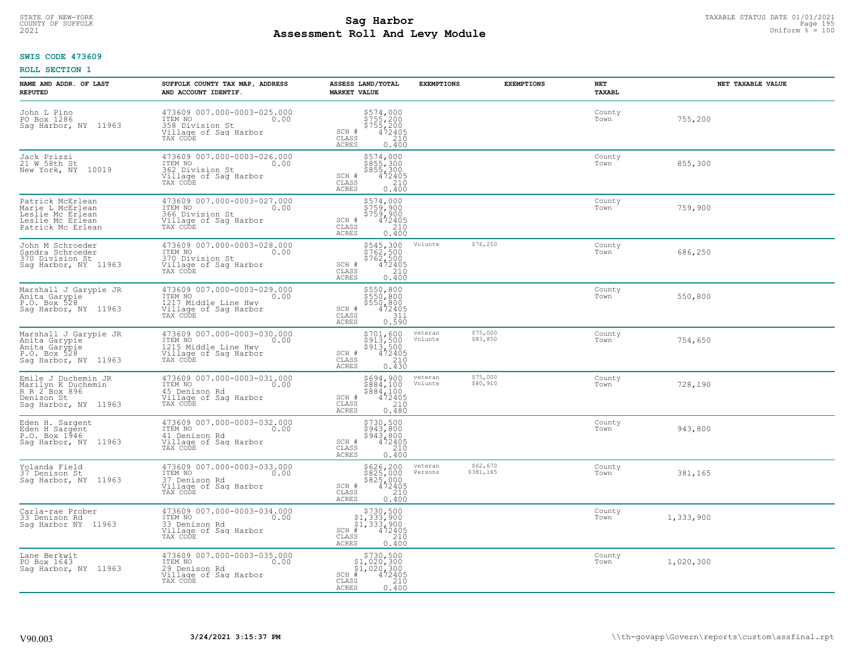# TAXABLE STATUS DATE 01/01/2021<br>COUNTY OF SUFFOLK Page 195 **Assessment Roll And Levy Module Example 2021** Uniform  $\frac{1}{8}$  = 100

#### **SWIS CODE 473609**

| NAME AND ADDR. OF LAST<br><b>REPUTED</b>                                                          | SUFFOLK COUNTY TAX MAP, ADDRESS<br>AND ACCOUNT IDENTIF.                                                     | ASSESS LAND/TOTAL<br><b>MARKET VALUE</b>                                                                           | <b>EXEMPTIONS</b>  | <b>EXEMPTIONS</b>     | NET<br>TAXABL  | NET TAXABLE VALUE |
|---------------------------------------------------------------------------------------------------|-------------------------------------------------------------------------------------------------------------|--------------------------------------------------------------------------------------------------------------------|--------------------|-----------------------|----------------|-------------------|
| John L Pino<br>PO Box 1286<br>Sag Harbor, NY 11963                                                | 473609 007.000-0003-025.000<br>358 Division St<br>Village of Sag Harbor<br>TAX CODE                         | \$574,000<br>\$755,200<br>\$755,200<br>\$755,200<br>SCH #<br>CLASS<br>210<br><b>ACRES</b><br>0.400                 |                    |                       | County<br>Town | 755,200           |
| Jack Prizzi<br>21 W 58th St<br>New York, NY 10019                                                 | 473609 007.000-0003-026.000<br>ITEM NO<br>0.00<br>362 Division St<br>Village of Sag Harbor<br>TAX CODE      | \$574,000<br>\$855,300<br>\$855,300<br>472405<br>SCH #<br>CLASS<br>210<br><b>ACRES</b><br>0.400                    |                    |                       | County<br>Town | 855,300           |
| Patrick McErlean<br>Marie L McErlean<br>Leslie Mc Erlean<br>Leslie Mc Erlean<br>Patrick Mc Erlean | 473609 007.000-0003-027.000<br>ITEM NO<br>0.00<br>366 Division St<br>Village of Sag Harbor<br>TAX CODE      | \$574,000<br>\$759,900<br>\$759,900<br>\$759,900<br>SCH #<br>CLASS<br>210<br><b>ACRES</b><br>0.400                 |                    |                       | County<br>Town | 759,900           |
| John M Schroeder<br>Sandra Schroeder<br>370 Division St<br>Saq Harbor, NY 11963                   | 473609 007.000-0003-028.000<br>ITEM NO<br>0.00<br>370 Division St<br>Village of Sag Harbor<br>TAX CODE      | \$545,300<br>\$762,500<br>\$762,500<br>SCH #<br>CLASS<br>$\frac{472405}{210}$<br>ACRES<br>0.400                    | Volunte            | \$76,250              | County<br>Town | 686,250           |
| Marshall J Garypie JR<br>Anita Garypie<br>P.O. Box 528<br>Sag Harbor, NY 11963                    | 473609 007.000-0003-029.000<br>ITEM NO<br>0.00<br>1217 Middle Line Hwy<br>Village of Sag Harbor<br>TAX CODE | \$550,800<br>\$550,800<br>\$550,800<br>SCH #<br>472405<br>CLASS<br>311<br><b>ACRES</b><br>0.590                    |                    |                       | County<br>Town | 550,800           |
| Marshall J Garypie JR<br>Anita Garypie<br>Anita Garypie<br>P.O. Box 528<br>Sag Harbor, NY 11963   | 473609 007.000-0003-030.000<br>ITEM NO<br>0.00<br>1215 Middle Line Hwy<br>Village of Sag Harbor<br>TAX CODE | $$701, 600$<br>$$913, 500$<br>$$913, 500$<br>$472405$<br>$$210$<br>SCH #<br>CLASS<br>0.430<br>ACRES                | veteran<br>Volunte | \$75,000<br>\$83,850  | County<br>Town | 754,650           |
| Emile J Duchemin JR<br>Marilyn K Duchemin<br>R R 2 Box 896<br>Denison St<br>Sag Harbor, NY 11963  | 473609 007.000-0003-031.000<br>ITEM NO<br>0.00<br>45 Denison Rd<br>Village of Sag Harbor<br>TAX CODE        | \$694,900<br>\$884,100<br>\$884,100<br>472405<br>SCH #<br>210<br>CLASS<br><b>ACRES</b><br>0.480                    | veteran<br>Volunte | \$75,000<br>\$80,910  | County<br>Town | 728,190           |
| Eden H. Sargent<br>Eden H Sargent<br>P.O. Box 1946<br>Sag Harbor, NY 11963                        | 473609 007.000-0003-032.000<br>ITEM NO<br>0.00<br>41 Denison Rd<br>Village of Sag Harbor<br>TAX CODE        | \$730,500<br>\$943,800<br>\$943,800<br>472405<br>SCH #<br>CLASS<br>210<br><b>ACRES</b><br>0.400                    |                    |                       | County<br>Town | 943,800           |
| Yolanda Field<br>37 Denison St<br>Saq Harbor, NY 11963                                            | 473609 007.000-0003-033.000<br>TTEM NO 0.00<br>37 Denison Rd<br>Village of Saq Harbor<br>TAX CODE           | \$626,200<br>\$825,000<br>\$825,000<br>\$210<br>\$210<br>SCH #<br>CLASS<br><b>ACRES</b><br>0.400                   | veteran<br>Persons | \$62,670<br>\$381,165 | County<br>Town | 381,165           |
| Carla-rae Prober<br>33 Denison Rd<br>Sag Harbor NY 11963                                          | 473609 007.000-0003-034.000<br>ITEM NO<br>0.00<br>33 Denison Rd<br>Village of Sag Harbor<br>TAX CODE        | $$730,500$<br>$$1,333,900$<br>$$1,333,900$<br>$*1$<br>$*12405$<br>$SCH$ #<br>210<br>CLASS<br>0.400<br><b>ACRES</b> |                    |                       | County<br>Town | 1,333,900         |
| Lane Berkwit<br>PO Box 1643<br>Saq Harbor, NY 11963                                               | 473609 007.000-0003-035.000<br>ITEM NO<br>0.00<br>29 Denison Rd<br>Village of Sag Harbor<br>TAX CODE        | $$730,500$<br>$$1,020,300$<br>$$1,020,300$<br>$SCH$ #<br>472405<br>CLASS<br>210<br>ACRES<br>0.400                  |                    |                       | County<br>Town | 1,020,300         |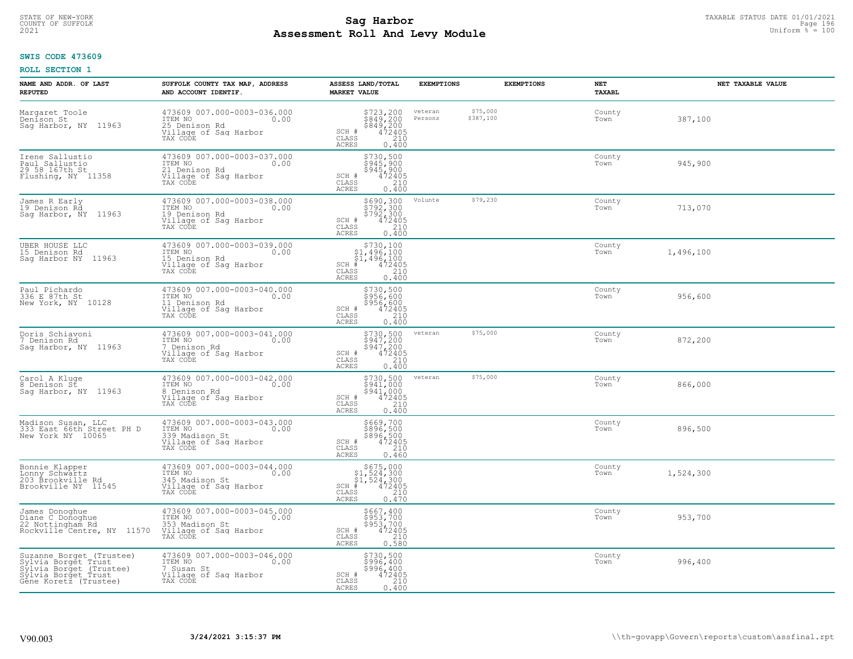# TAXABLE STATUS DATE 01/01/2021<br>COUNTY OF SUFFOLK Page 196 **Assessment Roll And Levy Module Example 2021** Uniform  $\frac{1}{8}$  = 100

#### **SWIS CODE 473609**

| NAME AND ADDR. OF LAST<br><b>REPUTED</b>                                                                                   | SUFFOLK COUNTY TAX MAP, ADDRESS<br>AND ACCOUNT IDENTIF.                                               | ASSESS LAND/TOTAL<br><b>MARKET VALUE</b>                                                                                      | <b>EXEMPTIONS</b>  | <b>EXEMPTIONS</b>     | NET<br>TAXABL  | NET TAXABLE VALUE |
|----------------------------------------------------------------------------------------------------------------------------|-------------------------------------------------------------------------------------------------------|-------------------------------------------------------------------------------------------------------------------------------|--------------------|-----------------------|----------------|-------------------|
| Margaret Toole<br>Denison St<br>Sag Harbor, NY 11963                                                                       | 473609 007.000-0003-036.000<br>ITEM NO<br>0.00<br>25 Denison Rd<br>Village of Sag Harbor<br>TAX CODE  | \$723,200<br>\$849,200<br>\$849,200<br>472405<br>SCH #<br>CLASS<br>210<br><b>ACRES</b><br>0.400                               | veteran<br>Persons | \$75,000<br>\$387,100 | County<br>Town | 387,100           |
| Irene Sallustio<br>Paul Sallustio<br>29 58 167th St<br>Flushing, NY 11358                                                  | 473609 007.000-0003-037.000<br>ITEM NO<br>0.00<br>21 Denison Rd<br>Village of Sag Harbor<br>TAX CODE  | \$730,500<br>\$945,900<br>\$945,900<br>\$945,900<br>SCH #<br>CLASS<br>210<br><b>ACRES</b><br>0.400                            |                    |                       | County<br>Town | 945,900           |
| James R Early<br>19 Denison Râ<br>Saq Harbor, NY 11963                                                                     | 473609 007.000-0003-038.000<br>ITEM NO<br>0.00<br>19 Denison Rd<br>Village of Sag Harbor<br>TAX CODE  | \$690,300<br>\$792,300<br>\$792,300<br>\$472405<br>\$410<br>SCH #<br>CLASS<br>ACRES<br>0.400                                  | Volunte            | \$79,230              | County<br>Town | 713,070           |
| UBER HOUSE LLC<br>15 Denison Rd<br>Sag Harbor NY 11963                                                                     | 473609 007.000-0003-039.000<br>ITEM NO<br>0.00<br>15 Denison Rd<br>Village of Sag Harbor<br>TAX CODE  | $\begin{array}{c} $730,100 \\ $1,496,100 \\ $1,496,100 \end{array}$<br>472405<br>$SCH$ #<br>CLASS<br>210<br>ACRES<br>0.400    |                    |                       | County<br>Town | 1,496,100         |
| Paul Pichardo<br>336 E 87th St<br>New York, NY 10128                                                                       | 473609 007.000-0003-040.000<br>ITEM NO<br>0.00<br>11 Denison Rd<br>Village of Sag Harbor<br>TAX CODE  | \$730,500<br>\$956,600<br>\$956,600<br>472405<br>SCH #<br>CLASS<br>210<br><b>ACRES</b><br>0.400                               |                    |                       | County<br>Town | 956,600           |
| Doris Schiavoni<br>7 Denison Rd<br>Sag Harbor, NY 11963                                                                    | 473609 007.000-0003-041.000<br>ITEM NO<br>0.00<br>7 Denison Rd<br>Village of Sag Harbor<br>TAX CODE   | $$730, 500$<br>$$947, 200$<br>$$947, 200$<br>$472405$<br>$$210$<br>SCH #<br>CLASS<br>ACRES<br>0.400                           | veteran            | \$75,000              | County<br>Town | 872,200           |
| Carol A Kluge<br>8 Denison St<br>Sag Harbor, NY 11963                                                                      | 473609 007.000-0003-042.000<br>ITEM NO<br>0.00<br>8 Denison Rd<br>Village of Sag Harbor<br>TAX CODE   | \$730,500<br>\$941,000<br>$\frac{5941,000}{472405}$<br>SCH #<br>CLASS<br>0.400<br><b>ACRES</b>                                | veteran            | \$75,000              | County<br>Town | 866,000           |
| Madison Susan, LLC<br>333 East 66th Street PH D<br>New York NY 10065                                                       | 473609 007.000-0003-043.000<br>ITEM NO<br>0.00<br>339 Madison St<br>Village of Sag Harbor<br>TAX CODE | \$669,700<br>\$896,500<br>\$896,500<br>472405<br>SCH #<br>CLASS<br>210<br><b>ACRES</b><br>0.460                               |                    |                       | County<br>Town | 896,500           |
| Bonnie Klapper<br>Lonny Schwartz<br>203 Brookville Rd<br>Brookville NY 11545                                               | 473609 007.000-0003-044.000<br>TTEM NO 0.00<br>345 Madison St<br>Village of Sag Harbor<br>TAX CODE    | $$675,000$<br>$$1,524,300$<br>$$1,524,300$<br>$*1,524,300$<br>$*1,472405$<br>$SCH$ #<br>CLASS<br>210<br><b>ACRES</b><br>0.470 |                    |                       | County<br>Town | 1,524,300         |
| James Donoghue<br>Diane C Donoghue<br>22 Nottingham Rd<br>Rockville Centre, NY 11570                                       | 473609 007.000-0003-045.000<br>ITEM NO<br>0.00<br>353 Madison St<br>Village of Sag Harbor<br>TAX CODE | \$667,400<br>\$953,700<br>\$953,700<br>$\frac{472405}{210}$<br>SCH #<br>CLASS<br><b>ACRES</b><br>0.580                        |                    |                       | County<br>Town | 953,700           |
| Suzanne Borget (Trustee)<br>Sylvia Borget Trust<br>Sylvia Borget (Trustee)<br>Sylvia Borget Trust<br>Gêne Koretz (Trustee) | 473609 007.000-0003-046.000<br>ITEM NO<br>0.00<br>7 Susan St<br>Village of Sag Harbor<br>TAX CODE     | \$730,500<br>\$996,400<br>\$996,400<br>SCH #<br>472405<br>CLASS<br>210<br><b>ACRES</b><br>0.400                               |                    |                       | County<br>Town | 996,400           |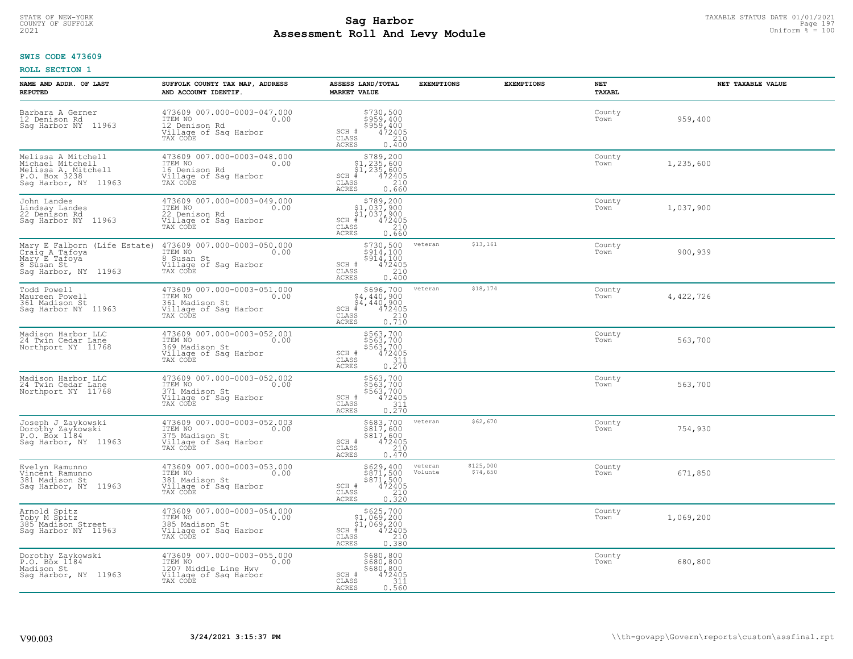# TAXABLE STATUS DATE 01/01/2021<br>COUNTY OF SUFFOLK Page 197 **Assessment Roll And Levy Module Example 2021** Uniform  $\frac{1}{8}$  = 100

### **SWIS CODE 473609**

| NAME AND ADDR. OF LAST<br><b>REPUTED</b>                                                               | SUFFOLK COUNTY TAX MAP, ADDRESS<br>AND ACCOUNT IDENTIF.                                                                     | ASSESS LAND/TOTAL<br><b>MARKET VALUE</b>                                                                                                            | <b>EXEMPTIONS</b>  | <b>EXEMPTIONS</b>     | NET<br>TAXABL  | NET TAXABLE VALUE |
|--------------------------------------------------------------------------------------------------------|-----------------------------------------------------------------------------------------------------------------------------|-----------------------------------------------------------------------------------------------------------------------------------------------------|--------------------|-----------------------|----------------|-------------------|
| Barbara A Gerner<br>12 Denison Rd<br>Saq Harbor NY<br>11963                                            | 473609 007.000-0003-047.000<br>ITEM NO<br>0.00<br>12 Denison Rd<br>Village of Saq Harbor<br>TAX CODE                        | \$730,500<br>\$959,400<br>\$959,400<br>SCH #<br>$\frac{472405}{210}$<br>CLASS<br><b>ACRES</b><br>0.400                                              |                    |                       | County<br>Town | 959,400           |
| Melissa A Mitchell<br>Michael Mitchell<br>Melissa A. Mitchell<br>P.O. Box 3238<br>Sag Harbor, NY 11963 | 473609 007.000-0003-048.000<br>ITEM NO<br>0.00<br>16 Denison Rd<br>Village of Sag Harbor<br>TAX CODE                        | \$789,200<br>$$1,235,600$<br>$$1,235,600$<br>$SCH$ #<br>472405<br>CLASS<br>210<br>ACRES<br>0.660                                                    |                    |                       | County<br>Town | 1,235,600         |
| John Landes<br>Lindsay Landes<br>22 Denison Rd<br>Saq Harbor NY 11963                                  | 473609 007.000-0003-049.000<br>ITEM NO<br>0.00<br>22 Denison Rd<br>Village of Sag Harbor<br>TAX CODE                        | $$789, 200$<br>$$1, 037, 900$<br>$$1, 037, 900$<br>$$1, 037, 900$<br>$SCH$ #<br>472405<br>210<br>CLASS<br><b>ACRES</b><br>0.660                     |                    |                       | County<br>Town | 1,037,900         |
| Mary E Falborn (Life Estate)<br>Craig A Tafoya<br>Mary E Tafoya<br>8 Sūsan St<br>Sag Harbor, NY 11963  | 473609 007.000-0003-050.000<br>ITEM NO<br>0.00<br>8 Susan St<br>Village of Sag Harbor<br>TAX CODE                           | $$730,500$<br>$$914,100$<br>$$914,100$<br>$$914,100$<br>SCH #<br>$\begin{array}{r} 472405 \\ 210 \\ 0.400 \end{array}$<br>CLASS<br><b>ACRES</b>     | veteran            | \$13,161              | County<br>Town | 900,939           |
| Todd Powell<br>Maureen Powell<br>361 Madison St<br>Saq Harbor NY 11963                                 | 473609 007.000-0003-051.000<br>ITEM NO<br>0.00<br>361 Madison St<br>Village of Sag Harbor<br>TAX CODE                       | \$696,700<br>\$4,440,900<br>$\begin{array}{r} 54,440,900 \\ * & 472405 \\ * & 210 \\ * & 210 \\ * & 0.710 \end{array}$<br>$SCH$ #<br>CLASS<br>ACRES | veteran            | \$18,174              | County<br>Town | 4,422,726         |
| Madison Harbor LLC<br>24 Twin Cedar Lane<br>Northport NY 11768                                         | 473609 007.000-0003-052.001<br>ITEM NO<br>0.00<br>369 Madison St<br>Village of Sag Harbor<br>TAX CODE                       | \$563,700<br>\$563,700<br>\$563,700<br>\$563,700<br>SCH #<br>CLASS<br>$\begin{array}{c} 0.211 \\ 0.270 \end{array}$<br><b>ACRES</b>                 |                    |                       | County<br>Town | 563,700           |
| Madison Harbor LLC<br>24 Twin Cedar Lane<br>Northport NY 11768                                         | 473609 007.000-0003-052.002<br>ITEM NO<br>0.00<br>371 Madison St<br>Village of Sag Harbor<br>TAX CODE                       | \$563,700<br>\$563,700<br>\$563,700<br>\$563,700<br>SCH #<br>CLASS<br>$\frac{311}{0.270}$<br>ACRES                                                  |                    |                       | County<br>Town | 563,700           |
| Joseph J Zaykowski<br>Dorothy Zaykowski<br>P.O. Box 1184<br>Sag Harbor, NY 11963                       | 473609 007.000-0003-052.003<br>TTEM NO 0.00<br>375 Madison St<br>Village of Saq Harbor<br>Tillage of Saq Harbor<br>TAX CODE | \$683,700<br>\$817,600<br>\$817,600<br>\$472405<br>\$10<br>SCH #<br>CLASS<br>ACRES<br>0.470                                                         | veteran            | \$62,670              | County<br>Town | 754,930           |
| Evelyn Ramunno<br>Vincent Ramunno<br>381 Madison St<br>Sag Harbor, NY 11963                            | 473609 007.000-0003-053.000<br>TTEM NO 0.00<br>381 Madison St<br>Village of Saq Harbor<br>TAX CODE                          | $\begin{array}{c}\n $629,400 \\  $871,500 \\  $871,500 \\  $472405 \\  210\n \end{array}$<br>SCH #<br>CLASS<br><b>ACRES</b><br>0.320                | veteran<br>Volunte | \$125,000<br>\$74,650 | County<br>Town | 671,850           |
| Arnold Spitz<br>Toby M Spitz<br>385 Madison Street<br>Saq Harbor NY 11963                              | 473609 007.000-0003-054.000<br>ITEM NO<br>0.00<br>385 Madison St<br>Village of Sag Harbor<br>TAX CODE                       | $$625,700$<br>$$1,069,200$<br>$$1,069,200$<br>$*1$<br>$472405$<br>$SCH$ #<br>$\begin{array}{c} 210 \\ 0.380 \end{array}$<br>CLASS<br><b>ACRES</b>   |                    |                       | County<br>Town | 1,069,200         |
| Dorothy Zaykowski<br>P.O. Box 1184<br>Madison St<br>Sag Harbor, NY 11963                               | 473609 007.000-0003-055.000<br>ITEM NO<br>0.00<br>1207 Middle Line Hwy<br>Village of Sag Harbor<br>TAX CODE                 | \$680,800<br>\$680,800<br>\$680,800<br>SCH #<br>472405<br>CLASS<br>311<br>ACRES<br>0.560                                                            |                    |                       | County<br>Town | 680,800           |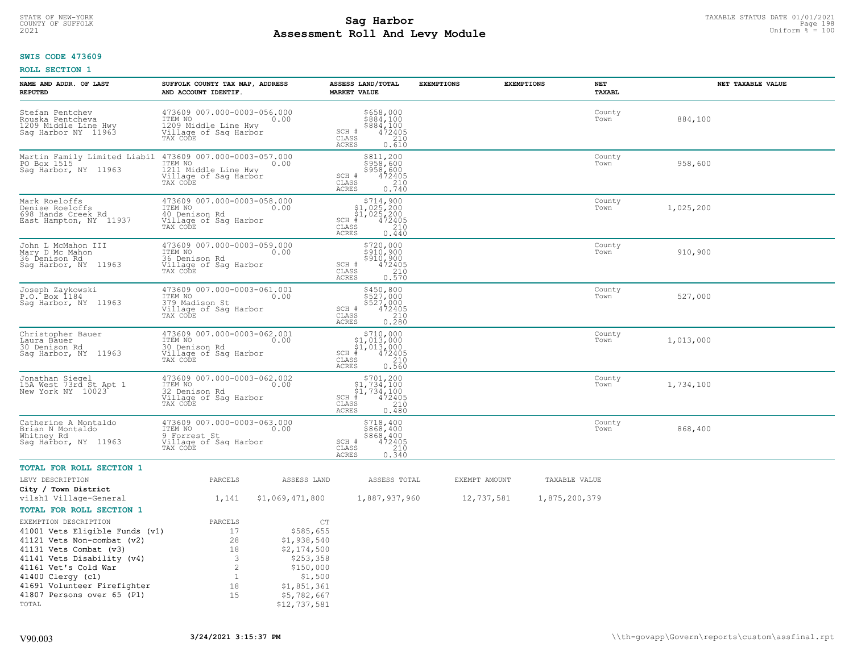# TAXABLE STATUS DATE 01/01/2021<br>COUNTY OF SUFFOLK Page 198 **Assessment Roll And Levy Module Example 2021** Uniform  $\frac{1}{8}$  = 100

# **SWIS CODE 473609**

| NAME AND ADDR. OF LAST<br><b>REPUTED</b>                                           | SUFFOLK COUNTY TAX MAP, ADDRESS<br>AND ACCOUNT IDENTIF.                                             |                                            | ASSESS LAND/TOTAL<br><b>MARKET VALUE</b>                                                                       | <b>EXEMPTIONS</b> | <b>EXEMPTIONS</b><br>NET | TAXABL              | NET TAXABLE VALUE |
|------------------------------------------------------------------------------------|-----------------------------------------------------------------------------------------------------|--------------------------------------------|----------------------------------------------------------------------------------------------------------------|-------------------|--------------------------|---------------------|-------------------|
| Stefan Pentchev<br>Rouska Pentcheva<br>1209 Middle Line Hwy<br>Sag Harbor NY 11963 | 473609 007.000-0003-056.000<br>ITEM NO<br>1209 Middle Line Hwy<br>Village of Sag Harbor<br>TAX CODE | 0.00                                       | \$658,000<br>\$884,100<br>\$884,100<br>SCH #<br>472405<br>CLASS<br>210<br><b>ACRES</b><br>0.610                |                   | Town                     | County<br>884,100   |                   |
| Martin Family Limited Liabil<br>PO Box 1515<br>Sag Harbor, NY 11963                | 473609 007.000-0003-057.000<br>ITEM NO<br>1211 Middle Line Hwy<br>Village of Sag Harbor<br>TAX CODE | 0.00                                       | \$811,200<br>\$958,600<br>\$958,600<br>472405<br>SCH #<br>210<br>CLASS<br>0.740<br>ACRES                       |                   | Town                     | County<br>958,600   |                   |
| Mark Roeloffs<br>Denise Roeloffs<br>698 Hands Creek Rd<br>East Hampton, NY 11937   | 473609 007.000-0003-058.000<br>ITEM NO<br>40 Denison Rd<br>Village of Sag Harbor<br>TAX CODE        | 0.00                                       | $$714,900$<br>$$1,025,200$<br>$$1,025,200$<br>SCH #<br>472405<br>CLASS<br>210<br>0.440<br>ACRES                |                   | Town                     | County<br>1,025,200 |                   |
| John L McMahon III<br>Mary D Mc Mahon<br>36 Ďenison Rd<br>Sag Harbor, NY 11963     | 473609 007.000-0003-059.000<br>ITEM NO<br>36 Denison Rd<br>Village of Saq Harbor<br>TAX CODE        | 0.00                                       | \$720,000<br>\$910,900<br>\$910,900<br>472405<br>SCH #<br>CLASS<br>210<br>ACRES<br>0.570                       |                   | Town                     | County<br>910,900   |                   |
| Joseph Zaykowski<br>P.O. Box 1184<br>Saq Harbor, NY 11963                          | 473609 007.000-0003-061.001<br>ITEM NO<br>379 Madison St<br>Village of Sag Harbor<br>TAX CODE       | 0.00                                       | \$450,800<br>\$527,000<br>$$5\bar{2}7,000$<br>472405<br>SCH #<br>CLASS<br>$\frac{210}{0.280}$<br><b>ACRES</b>  |                   | Town                     | County<br>527,000   |                   |
| Christopher Bauer<br>Laura Bauer<br>30 Denison Rd<br>Sag Harbor, NY 11963          | 473609 007.000-0003-062.001<br>ITEM NO<br>30 Denison Rd<br>Village of Sag Harbor<br>TAX CODE        | 0.00                                       | $$710,000$<br>$$1,013,000$<br>$$1,013,000$<br>SCH<br>472405<br>210<br>CLASS<br>ACRES<br>0.560                  |                   | Town                     | County<br>1,013,000 |                   |
| Jonathan Siegel<br>15A West 73rd St Apt 1<br>New York NY 10023                     | 473609 007.000-0003-062.002<br>ITEM NO<br>32 Denison Rd<br>Village of Sag Harbor<br>TAX CODE        | 0.00                                       | $\begin{array}{c} $701,200 $1,734,100 $1,734,100 $472405 \end{array}$<br>SCH<br>CLASS<br>210<br>0.480<br>ACRES |                   | Town                     | County<br>1,734,100 |                   |
| Catherine A Montaldo<br>Brian N Montaldo<br>Whitney Rd<br>Sag Harbor, NY 11963     | 473609 007.000-0003-063.000<br>ITEM NO<br>9 Forrest St<br>Village of Sag Harbor<br>TAX CODE         | 0.00                                       | \$718,400<br>\$868,400<br>\$868,400<br>SCH #<br>472405<br>CLASS<br>210<br>ACRES<br>0.340                       |                   | Town                     | County<br>868,400   |                   |
| TOTAL FOR ROLL SECTION 1                                                           |                                                                                                     |                                            |                                                                                                                |                   |                          |                     |                   |
| LEVY DESCRIPTION<br>City / Town District                                           | PARCELS                                                                                             | ASSESS LAND                                | ASSESS TOTAL                                                                                                   | EXEMPT AMOUNT     | TAXABLE VALUE            |                     |                   |
| vilsh1 Village-General                                                             | 1,141                                                                                               | \$1,069,471,800                            | 1,887,937,960                                                                                                  | 12,737,581        | 1,875,200,379            |                     |                   |
| TOTAL FOR ROLL SECTION 1                                                           |                                                                                                     |                                            |                                                                                                                |                   |                          |                     |                   |
| EXEMPTION DESCRIPTION<br>41001 Vets Eligible Funds (v1)                            | PARCELS<br>17                                                                                       | CT<br>\$585,655                            |                                                                                                                |                   |                          |                     |                   |
| 41121 Vets Non-combat (v2)                                                         | 28                                                                                                  | \$1,938,540                                |                                                                                                                |                   |                          |                     |                   |
| 41131 Vets Combat (v3)                                                             | 18                                                                                                  | \$2,174,500                                |                                                                                                                |                   |                          |                     |                   |
| 41141 Vets Disability (v4)<br>41161 Vet's Cold War                                 | 3<br>2                                                                                              | \$253,358<br>\$150,000                     |                                                                                                                |                   |                          |                     |                   |
| 41400 Clergy (c1)                                                                  | 1                                                                                                   | \$1,500                                    |                                                                                                                |                   |                          |                     |                   |
| 41691 Volunteer Firefighter<br>41807 Persons over 65 (P1)<br>TOTAL                 | 18<br>15                                                                                            | \$1,851,361<br>\$5,782,667<br>\$12,737,581 |                                                                                                                |                   |                          |                     |                   |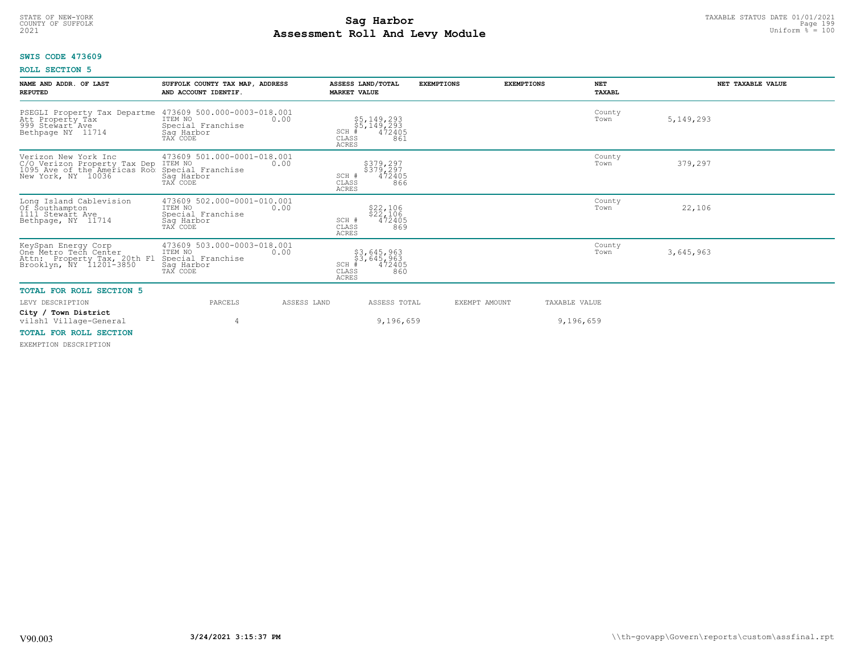### **Sag Harbor**<br>**Poll And Low Module**<br>
Poll And Low Module **Assessment Roll And Levy Module Example 2021** Uniform  $\frac{1}{8}$  = 100 COUNTY OF SUFFOLK Page 199

# **SWIS CODE 473609**

# **ROLL SECTION 5**

| NAME AND ADDR. OF LAST<br><b>REPUTED</b>                                                                                   | SUFFOLK COUNTY TAX MAP, ADDRESS<br>AND ACCOUNT IDENTIF.                                       | ASSESS LAND/TOTAL<br><b>MARKET VALUE</b>                                        | <b>EXEMPTIONS</b> | <b>NET</b><br><b>EXEMPTIONS</b><br>TAXABL | NET TAXABLE VALUE |
|----------------------------------------------------------------------------------------------------------------------------|-----------------------------------------------------------------------------------------------|---------------------------------------------------------------------------------|-------------------|-------------------------------------------|-------------------|
| PSEGLI Property Tax Departme<br>Att Property Tax<br>999 Stewart Ave<br>Bethpage NY 11714                                   | 473609 500.000-0003-018.001<br>ITEM NO<br>0.00<br>Special Franchise<br>Saq Harbor<br>TAX CODE | $$5,149,293$<br>$$5,149,293$<br>$472405$<br>SCH<br>CLASS<br>861<br><b>ACRES</b> |                   | County<br>Town                            | 5, 149, 293       |
| Verizon New York Inc<br>C/O Verizon Property Tax Dep ITEM NO<br>1095 Ave of the Americas Roo Special<br>New York, NY 10036 | 473609 501.000-0001-018.001<br>0.00<br>Special Franchise<br>Sag Harbor<br>TAX CODE            | \$379,297<br>\$379,297<br>472405<br>SCH #<br>CLASS<br>866<br><b>ACRES</b>       |                   | County<br>Town                            | 379,297           |
| Long Island Cablevision<br>Of Southampton<br>1111 Stewart Ave<br>Bethpage, NY 11714                                        | 473609 502.000-0001-010.001<br>ITEM NO<br>0.00<br>Special Franchise<br>Sag Harbor<br>TAX CODE | \$22,106<br>\$22,106<br>472405<br>SCH #<br>CLASS<br>869<br><b>ACRES</b>         |                   | County<br>Town                            | 22,106            |
| KeySpan Energy Corp<br>One Metro Tech Center<br>Attn: Property Tax, 20th Fl<br>Brooklyn, NY 11201-3850                     | 473609 503.000-0003-018.001<br>ITEM NO<br>0.00<br>Special Franchise<br>Saq Harbor<br>TAX CODE | $$3,645,963$<br>$$3,645,963$<br>$472405$<br>SCH<br>CLASS<br>860<br><b>ACRES</b> |                   | County<br>Town                            | 3,645,963         |
| <b>TOTAL FOR ROLL SECTION 5</b>                                                                                            |                                                                                               |                                                                                 |                   |                                           |                   |
| LEVY DESCRIPTION                                                                                                           | PARCELS                                                                                       | ASSESS LAND<br>ASSESS TOTAL                                                     | EXEMPT AMOUNT     | TAXABLE VALUE                             |                   |
| City / Town District<br>vilsh1 Village-General<br>MOMAT ROD DOIT CROMION                                                   | 4                                                                                             | 9,196,659                                                                       |                   | 9,196,659                                 |                   |

# **TOTAL FOR ROLL SECTION**

EXEMPTION DESCRIPTION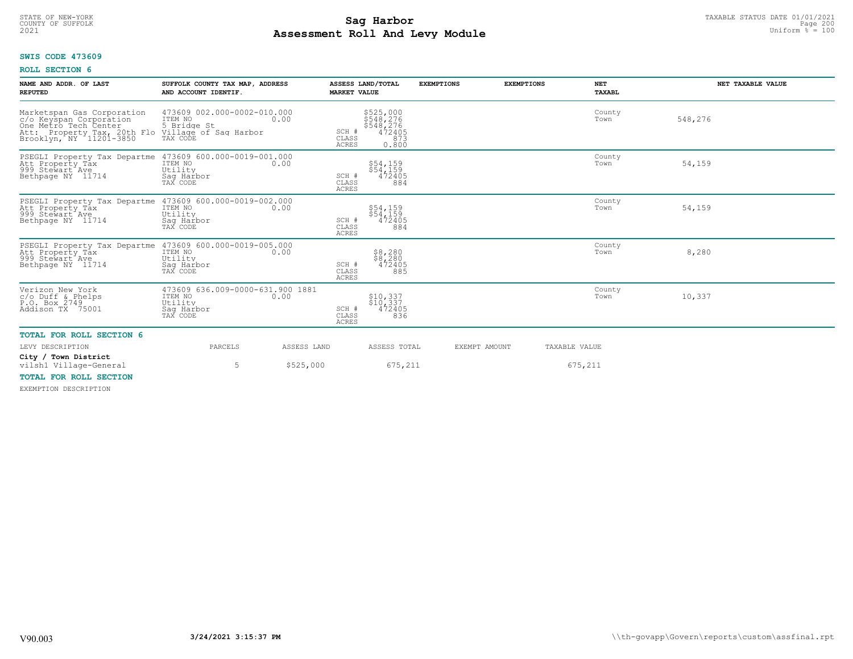# TAXABLE STATUS DATE 01/01/2021<br>COUNTY OF SUFFOLK Page 200 **Assessment Roll And Levy Module Example 2021** Uniform  $\frac{1}{8}$  = 100

# **SWIS CODE 473609**

# **ROLL SECTION 6**

| NAME AND ADDR. OF LAST<br><b>REPUTED</b>                                                                                                                                                                                                                                                                               | SUFFOLK COUNTY TAX MAP, ADDRESS<br>AND ACCOUNT IDENTIF.                          |             | ASSESS LAND/TOTAL<br><b>MARKET VALUE</b>                                                        | <b>EXEMPTIONS</b> | <b>EXEMPTIONS</b> | <b>NET</b><br>TAXABL | NET TAXABLE VALUE |
|------------------------------------------------------------------------------------------------------------------------------------------------------------------------------------------------------------------------------------------------------------------------------------------------------------------------|----------------------------------------------------------------------------------|-------------|-------------------------------------------------------------------------------------------------|-------------------|-------------------|----------------------|-------------------|
| Marketspan Gas Corporation<br>c/o Keyspan Corporation<br>One Metro Tech Center<br>and the section of the section of the section of the section of the section of the section of the section of t<br>Brooklyn, NY 11201-3850 TAX CODE TO THE SECTION OF THE SECTION OF THE SECTION OF THE SECTION OF THE SECTION OF<br> | 473609 002.000-0002-010.000<br>ITEM NO                                           | 0.00        | \$525,000<br>\$548,276<br>\$548,276<br>472405<br>SCH #<br>CLASS<br>873<br><b>ACRES</b><br>0.800 |                   |                   | County<br>Town       | 548,276           |
| PSEGLI Property Tax Departme 473609 600.000-0019-001.000<br>Att Property Tax<br>999 Stewart Ave<br>Bethpage NY 11714                                                                                                                                                                                                   | ITEM NO<br>Utility<br>Saq Harbor<br>TAX CODE                                     | 0.00        | \$54,159<br>\$54,159<br>SCH #<br>472405<br>884<br>CLASS<br><b>ACRES</b>                         |                   |                   | County<br>Town       | 54,159            |
| PSEGLI Property Tax Departme 473609 600.000-0019-002.000<br>Att Property Tax<br>999 Stewart Ave<br>Bethpage NY 11714                                                                                                                                                                                                   | ITEM NO<br>Utility<br>Saq Harbor<br>TAX CODE                                     | 0.00        | \$54,159<br>\$54,159<br>472405<br>SCH #<br>884<br>CLASS<br><b>ACRES</b>                         |                   |                   | County<br>Town       | 54,159            |
| PSEGLI Property Tax Departme 473609 600.000-0019-005.000<br>Att Property Tax ITEM NO 100<br>Att Property Tåx<br>999 Stewart Ave<br>Bethpage NY 11714                                                                                                                                                                   | Utility<br>Saq Harbor<br>TAX CODE                                                |             | $$8,280$<br>$$8,280$<br>472405<br>SCH #<br>CLASS<br>885<br><b>ACRES</b>                         |                   |                   | County<br>Town       | 8,280             |
| Verizon New York<br>$c/O$ Duff & Phelps<br>P.O. Box 2749<br>Addison TX 75001                                                                                                                                                                                                                                           | 473609 636.009-0000-631.900 1881<br>ITEM NO<br>Utility<br>Saq Harbor<br>TAX CODE | 0.00        | \$10,337<br>\$10,337<br>SCH #<br>472405<br>CLASS<br>836<br><b>ACRES</b>                         |                   |                   | County<br>Town       | 10,337            |
| <b>TOTAL FOR ROLL SECTION 6</b>                                                                                                                                                                                                                                                                                        |                                                                                  |             |                                                                                                 |                   |                   |                      |                   |
| LEVY DESCRIPTION                                                                                                                                                                                                                                                                                                       | PARCELS                                                                          | ASSESS LAND | ASSESS TOTAL                                                                                    | EXEMPT AMOUNT     |                   | TAXABLE VALUE        |                   |
| City / Town District<br>vilsh1 Village-General                                                                                                                                                                                                                                                                         | 5                                                                                | \$525,000   | 675,211                                                                                         |                   |                   | 675,211              |                   |
| <b>TOTAL FOR ROLL SECTION</b><br>EVEMBELOM BECOBIBEOM                                                                                                                                                                                                                                                                  |                                                                                  |             |                                                                                                 |                   |                   |                      |                   |

EXEMPTION DESCRIPTION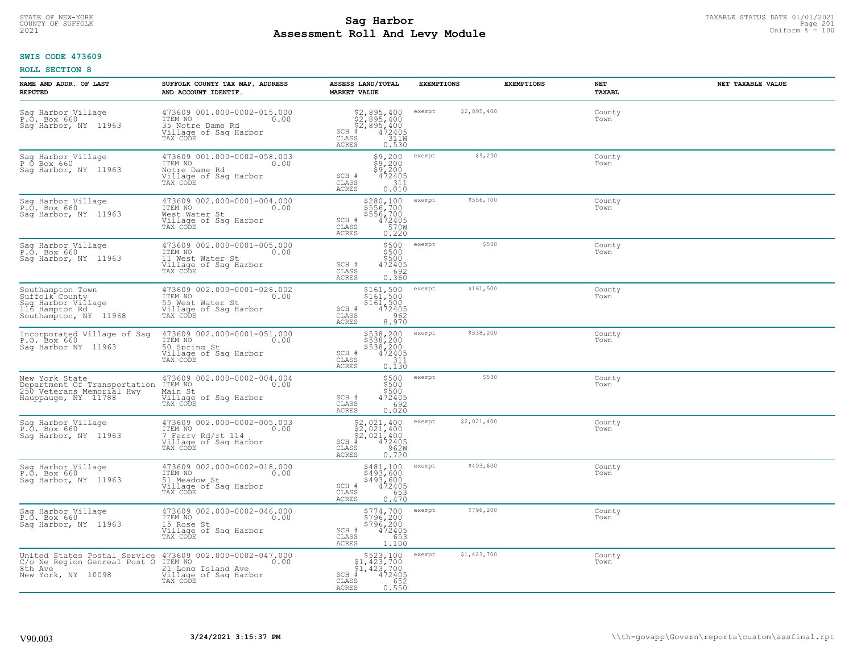# STATE OF NEW-YORK TAXABLE STATUS DATE 01/01/2021<br>COUNTY OF SUFFOLK Page 201 **Assessment Roll And Levy Module Example 2021** Uniform  $\frac{1}{8}$  = 100

# **SWIS CODE 473609**

| NAME AND ADDR. OF LAST<br><b>REPUTED</b>                                                                                                             | SUFFOLK COUNTY TAX MAP, ADDRESS<br>AND ACCOUNT IDENTIF.                                                 | ASSESS LAND/TOTAL<br><b>MARKET VALUE</b>                                                                                         | <b>EXEMPTIONS</b>     | <b>EXEMPTIONS</b><br>NET<br>TAXABL | NET TAXABLE VALUE |
|------------------------------------------------------------------------------------------------------------------------------------------------------|---------------------------------------------------------------------------------------------------------|----------------------------------------------------------------------------------------------------------------------------------|-----------------------|------------------------------------|-------------------|
| Sag Harbor Village<br>P.O. Box 660<br>Sag Harbor, NY 11963                                                                                           | 473609 001.000-0002-015.000<br>TTEM NO 0.00<br>35 Notre Dame Rd<br>Village of Sag Harbor<br>TAX CODE    | $$2,895,400$<br>$$2,895,400$<br>$$472405$<br>$$311W$<br>$SCH$ #<br>CLASS<br>0.530<br>ACRES                                       | \$2,895,400<br>exempt | County<br>Town                     |                   |
| Sag Harbor Village<br>P Ő Box 660<br>Sag Harbor, NY 11963                                                                                            | 473609 001.000-0002-058.003<br>ITEM NO<br>0.00<br>Notre Dame Rd<br>Village of Sag Harbor<br>TAX CODE    | $$9,200$<br>$$9,200$<br>$$9,200$<br>$472405$<br>SCH #<br>$\begin{array}{c} 0.7511 \\ 0.010 \end{array}$<br>CLASS<br><b>ACRES</b> | \$9,200<br>exempt     | County<br>Town                     |                   |
| Sag Harbor Village<br>P.O. Box 660<br>Sag Harbor, NY 11963                                                                                           | 473609 002.000-0001-004.000<br>ITEM NO<br>0.00<br>West Water St<br>Village of Sag Harbor<br>TAX CODE    | \$280,100<br>\$556,700<br>\$556,700<br>472405<br>570W<br>SCH #<br>CLASS<br>0.220<br>ACRES                                        | \$556,700<br>exempt   | County<br>Town                     |                   |
| Sag Harbor Village<br>P.O. Box 660<br>Saq Harbor, NY 11963                                                                                           | 473609 002.000-0001-005.000<br>ITEM NO 0.00<br>11 West Water St<br>Village of Sag Harbor<br>TAX CODE    | \$500<br>\$500<br>\$500<br>SCH #<br>472405<br>CLASS<br>692<br>ACRES<br>0.360                                                     | \$500<br>exempt       | County<br>Town                     |                   |
| Southampton Town<br>Suffolk County<br>Sag Harbor Village<br>116 Hampton Rd<br>Southampton, NY 11968                                                  | 473609 002.000-0001-026.002<br>ITEM NO<br>0.00<br>55 West Water St<br>Village of Sag Harbor<br>TAX CODE | \$161,500 exempt<br>$\frac{1}{3161}$ , 500<br>$\frac{1}{472405}$<br>SCH #<br>$\mathtt{CLASS}$<br>962<br>8.970<br>ACRES           | \$161,500             | County<br>Town                     |                   |
| Incorporated Village of Sag<br>P.O. Box 660<br>Saq Harbor NY 11963                                                                                   | 473609 002.000-0001-051.000<br>ITEM NO<br>0.00<br>50 Spring St<br>Village of Sag Harbor<br>TAX CODE     | \$538,200<br>\$538,200<br>\$538,200<br>\$538,200<br>\$72405<br>\$111<br>\$110.130<br>SCH #<br>CLASS<br><b>ACRES</b>              | \$538,200<br>exempt   | County<br>Town                     |                   |
| New York State<br>Department Of Transportation<br>250 Veterans Memorial Hwy<br>Hauppauge, NY 11788                                                   | 473609 002.000-0002-004.004<br>ITEM NO<br>0.00<br>Main St<br>Village of Sag Harbor<br>TAX CODE          | \$500<br>\$500<br>\$500<br>472405<br>SCH #<br>692<br>CLASS<br>0.020<br>ACRES                                                     | \$500<br>exempt       | County<br>Town                     |                   |
| Sag Harbor Village<br>P.O. Box 660<br>Saq Harbor, NY 11963                                                                                           | 473609 002.000-0002-005.003<br>TTEM NO 0.00<br>7 Ferry Rd/rt 114<br>Village of Sag Harbor<br>TAX CODE   | \$2,021,400<br>\$2,021,400<br>\$2,021,400<br>#472405<br>$SCH$ #<br>CLASS<br>962W<br>0.720<br>ACRES                               | \$2,021,400<br>exempt | County<br>Town                     |                   |
| Sag Harbor Village<br>P.O. Box 660<br>Sag Harbor, NY 11963                                                                                           | 473609 002.000-0002-018.000<br>TTEM NO 0.00<br>51 Meadow St<br>Village of Sag Harbor<br>TAX CODE        | \$481,100<br>\$493,600<br>\$493,600<br>472405<br>SCH #<br>CLASS<br>653<br><b>ACRES</b><br>0.470                                  | \$493,600<br>exempt   | County<br>Town                     |                   |
| Saq Harbor Village<br>P.O. Box 660<br>Sag Harbor, NY 11963                                                                                           | 473609 002.000-0002-046.000<br>ITEM NO<br>0.00<br>15 Rose St<br>Village of Sag Harbor<br>TAX CODE       | \$774,700<br>\$796,200<br>\$796,200<br>472405<br>SCH #<br>653<br>CLASS<br><b>ACRES</b><br>1.100                                  | \$796,200<br>exempt   | County<br>Town                     |                   |
| United States Postal Service 473609 002.000-0002-047.000<br>C/o Ne Region Genreal Post O ITEM NO<br>8th Ave 21 Long Island Ave<br>New York, NY 10098 | 0.00<br>Village of Sag Harbor<br>TAX CODE                                                               | $$523,100$<br>$$1,423,700$<br>$$1,423,700$<br>$SCH$ #<br>472405<br>CLASS<br>652<br>ACRES<br>0.550                                | \$1,423,700<br>exempt | County<br>Town                     |                   |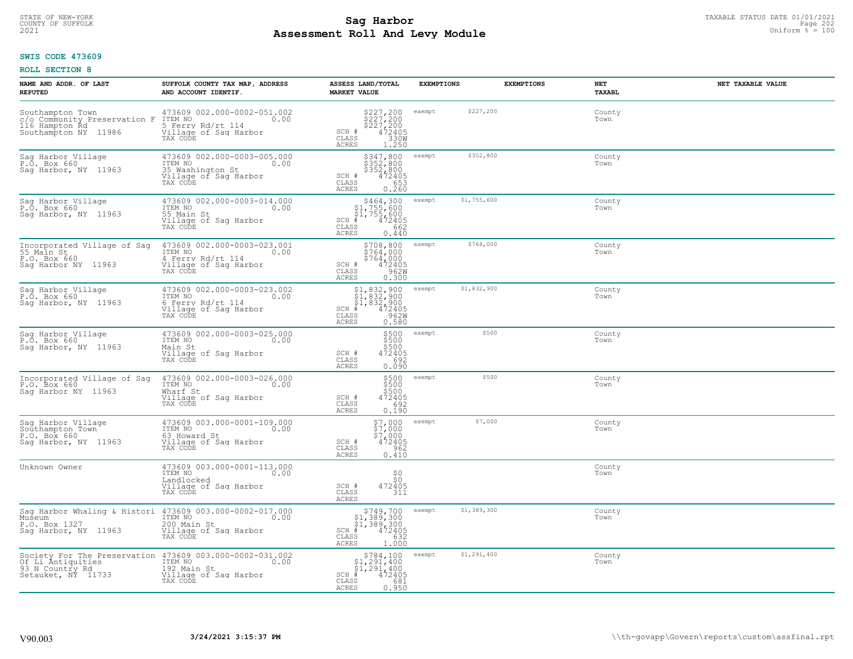# TAXABLE STATUS DATE 01/01/2021<br>COUNTY OF SUFFOLK Page 202 **Assessment Roll And Levy Module Example 2021** Uniform  $\frac{1}{8}$  = 100

# **SWIS CODE 473609**

| NAME AND ADDR. OF LAST<br><b>REPUTED</b>                                                                    | SUFFOLK COUNTY TAX MAP, ADDRESS<br>AND ACCOUNT IDENTIF.                                                  | ASSESS LAND/TOTAL<br><b>MARKET VALUE</b>                                                                                 | <b>EXEMPTIONS</b>     | <b>EXEMPTIONS</b><br>NET<br><b>TAXABL</b> | NET TAXABLE VALUE |
|-------------------------------------------------------------------------------------------------------------|----------------------------------------------------------------------------------------------------------|--------------------------------------------------------------------------------------------------------------------------|-----------------------|-------------------------------------------|-------------------|
| Southampton Town<br>c/o Community Preservation F<br>116 Hampton Rd<br>Southampton NY 11986                  | 473609 002.000-0002-051.002<br>ITEM NO<br>0.00<br>5 Ferry Rd/rt 114<br>Village of Sag Harbor<br>TAX CODE | \$227,200<br>\$227,200<br>\$227,200<br>\$227,200<br>\$330W<br>\$330W<br>\$1.250<br>SCH #<br>CLASS<br>ACRES               | \$227,200<br>exempt   | Town                                      | County            |
| Sag Harbor Village<br>P.O. Box 660<br>Sag Harbor, NY 11963                                                  | 473609 002.000-0003-005.000<br>ITEM NO<br>0.00<br>35 Washington St<br>Village of Sag Harbor<br>TAX CODE  | \$347,800<br>\$352,800<br>\$352,800<br>SCH #<br>$472405$<br>653<br>CLASS<br>ACRES<br>0.260                               | \$352,800<br>exempt   | County<br>Town                            |                   |
| Sag Harbor Village<br>P.O. Box 660<br>Sag Harbor, NY 11963                                                  | 473609 002.000-0003-014.000<br>ITEM NO<br>0.00<br>55 Main St<br>Village of Sag Harbor<br>TAX CODE        | \$464,300<br>\$1,755,600<br>$\frac{1}{31}$ , 755, 600<br>$+$ 472405<br>38 662<br>$SCH$ #<br>CLASS<br>0.440<br>ACRES      | \$1,755,600<br>exempt | County<br>Town                            |                   |
| Incorporated Village of Saq<br>55 Main St<br>P.O. Box 660<br>Sag Harbor NY 11963                            | 473609 002.000-0003-023.001<br>ITEM NO<br>0.00<br>4 Ferry Rd/rt 114<br>Village of Sag Harbor<br>TAX CODE | \$708,800<br>\$764,000<br>\$764,000<br>$\frac{472405}{9620}$<br>SCH #<br>CLASS<br><b>ACRES</b><br>0.300                  | \$764,000<br>exempt   | County<br>Town                            |                   |
| Sag Harbor Village<br>P.O. Box 660<br>Sag Harbor, NY 11963                                                  | 473609 002.000-0003-023.002<br>ITEM NO<br>0.00<br>6 Ferry Rd/rt 114<br>Village of Sag Harbor<br>TAX CODE | \$1,832,900<br>\$1,832,900<br>\$1,832,900<br>#472405<br>\$5,962M<br>$SCH$ #<br>CLASS<br><b>ACRES</b><br>0.580            | \$1,832,900<br>exempt | Town                                      | County            |
| Sag Harbor Village<br>P.O. Box 660<br>Sag Harbor, NY 11963                                                  | 473609 002.000-0003-025.000<br>ITEM NO<br>0.00<br>Main St<br>Village of Sag Harbor<br>TAX CODE           | $\begin{array}{c} 5500 \\ 5500 \\ 5500 \\ \end{array}$<br>SCH #<br>472405<br>692<br>CLASS<br>0.090<br>ACRES              | \$500<br>exempt       | County<br>Town                            |                   |
| Incorporated Village of Sag<br>P.O. Box 660<br>Saq Harbor NY 11963                                          | 473609 002.000-0003-026.000<br>ITEM NO<br>0.00<br>Wharf St<br>Village of Sag Harbor<br>TAX CODE          | \$500<br>\$500<br>\$500<br>472405<br>692<br>SCH #<br>CLASS<br>0.190<br><b>ACRES</b>                                      | \$500<br>exempt       | County<br>Town                            |                   |
| Saq Harbor Village<br>Southampton Town<br>P.O. Box 660<br>Saq Harbor, NY 11963                              | 473609 003.000-0001-109.000<br>ITEM NO<br>0.00<br>63 Howard St<br>Village of Saq Harbor<br>TAX CODE      | $$7,000$<br>$$7,000$<br>$$7,000$<br>$472405$<br>$962$<br>SCH #<br>CLASS<br>ACRES<br>0.410                                | \$7,000<br>exempt     | County<br>Town                            |                   |
| Unknown Owner                                                                                               | 473609 003.000-0001-113.000<br>ITEM NO<br>0.00<br>Landlocked<br>Village of Sag Harbor<br>TAX CODE        | $\frac{50}{50}$<br>SCH #<br>472405<br>CLASS<br>311<br>ACRES                                                              |                       | County<br>Town                            |                   |
| Sag Harbor Whaling & Histori 473609 003.000-0002-017.000<br>Museum<br>P.O. Box 1327<br>Sag Harbor, NY 11963 | ITEM NO<br>0.00<br>200 Main St<br>Village of Sag Harbor<br>TAX CODE                                      | $$749,700$<br>$$1,389,300$<br>$$1,389,300$<br>$472405$<br>$$382$<br>$$632$<br>$SCH$ #<br>CLASS<br>1.000<br>ACRES         | \$1,389,300<br>exempt | County<br>Town                            |                   |
| Society For The Preservation<br>Of Li Antiquities<br>93 N Country Rd<br>Setauket, NY 11733                  | 473609 003.000-0002-031.002<br>ITEM NO<br>0.00<br>192 Main St<br>Village of Sag Harbor<br>TAX CODE       | $$784,100$<br>$$1,291,400$<br>$$1,291,400$<br>$$1,291,400$<br>$SCH$ #<br>$\frac{472405}{681}$<br>CLASS<br>0.950<br>ACRES | \$1,291,400<br>exempt | County<br>Town                            |                   |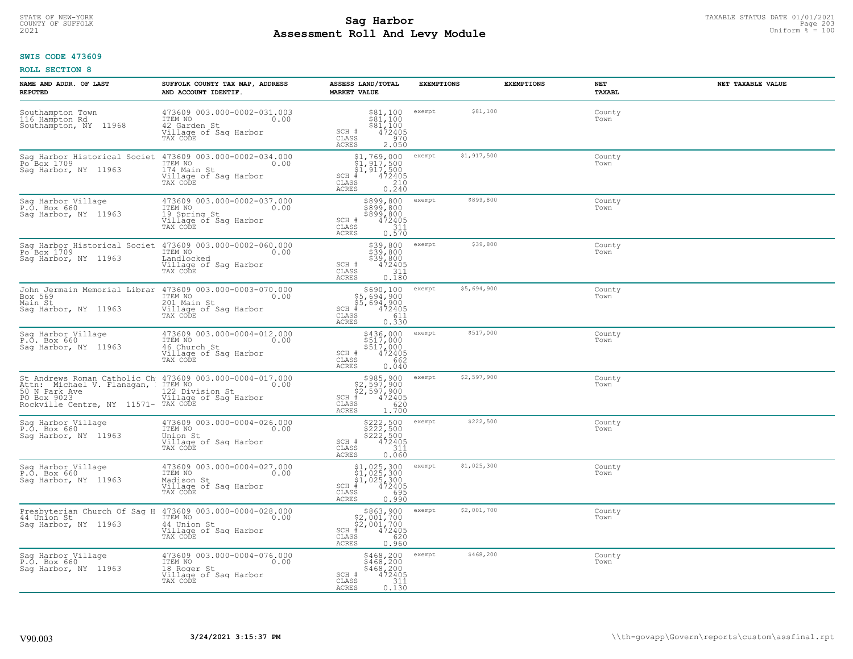# TAXABLE STATUS DATE 01/01/2021<br>COUNTY OF SUFFOLK Page 203 **Assessment Roll And Levy Module Example 2021** Uniform  $\frac{1}{8}$  = 100

# **SWIS CODE 473609**

| NAME AND ADDR. OF LAST<br><b>REPUTED</b>                                                                                                                       | SUFFOLK COUNTY TAX MAP, ADDRESS<br>AND ACCOUNT IDENTIF.                                             | ASSESS LAND/TOTAL<br><b>MARKET VALUE</b>                                                                                            | <b>EXEMPTIONS</b>     | <b>EXEMPTIONS</b><br>NET | NET TAXABLE VALUE<br><b>TAXABL</b> |
|----------------------------------------------------------------------------------------------------------------------------------------------------------------|-----------------------------------------------------------------------------------------------------|-------------------------------------------------------------------------------------------------------------------------------------|-----------------------|--------------------------|------------------------------------|
| Southampton Town<br>116 Hampton Rd<br>Southampton, NY 11968                                                                                                    | 473609 003.000-0002-031.003<br>ITEM NO<br>0.00<br>42 Garden St<br>Village of Sag Harbor<br>TAX CODE | $\begin{array}{l} $81,100 \\ $81,100 \\ $81,100 \\ $472405 \end{array}$<br>SCH #<br>CLASS<br>970<br>ACRES<br>2.050                  | \$81,100<br>exempt    | Town                     | County                             |
| Sag Harbor Historical Societ<br>Po Box 1709<br>Sag Harbor, NY 11963                                                                                            | 473609 003.000-0002-034.000<br>ITEM NO<br>0.00<br>174 Main St<br>Village of Sag Harbor<br>TAX CODE  | $$1, 769, 000$<br>$$1, 917, 500$<br>$$1, 917, 500$<br>$472405$<br>$$210$<br>$SCH$ #<br>CLASS<br>0.240<br>ACRES                      | \$1,917,500<br>exempt | Town                     | County                             |
| Saq Harbor Village<br>P.O. Box 660<br>Sag Harbor, NY 11963                                                                                                     | 473609 003.000-0002-037.000<br>ITEM NO<br>0.00<br>19 Spring St<br>Village of Sag Harbor<br>TAX CODE | \$899,800<br>\$899,800<br>\$899,800<br>472405<br>111<br>SCH #<br>CLASS<br>0.570<br>ACRES                                            | \$899,800<br>exempt   | Town                     | County                             |
| Sag Harbor Historical Societ<br>Po <sup>-</sup> Box 1709<br>Saq Harbor, NY 11963                                                                               | 473609 003.000-0002-060.000<br>ITEM NO<br>0.00<br>Landlocked<br>Village of Sag Harbor<br>TAX CODE   | \$39,800 exempt<br>\$39,800<br>\$39,800<br>SCH #<br>472405<br>CLASS<br>311<br>ACRES<br>0.180                                        | \$39,800              | Town                     | County                             |
| John Jermain Memorial Librar 473609 003.000-0003-070.000<br>Box 569<br>Main St<br>Saq Harbor, NY 11963                                                         | ITEM NO<br>0.00<br>201 Main St<br>Village of Sag Harbor<br>TAX CODE                                 | \$690,100<br>\$5,694,900<br>\$5,694,900<br># 472405<br>$SCH$ $#$<br>CLASS<br>$\begin{array}{c} 611 \\ 0.330 \end{array}$<br>ACRES   | \$5,694,900<br>exempt | Town                     | County                             |
| Sag Harbor Village<br>P.O. Box 660<br>Sag Harbor, NY 11963                                                                                                     | 473609 003.000-0004-012.000<br>ITEM NO<br>0.00<br>46 Church St<br>Village of Sag Harbor<br>TAX CODE | \$436,000<br>\$517,000<br>\$517,000<br>\$62<br>\$62<br>SCH #<br>CLASS<br>ACRES<br>0.040                                             | \$517,000<br>exempt   | Town                     | County                             |
| St Andrews Roman Catholic Ch 473609 003.000-0004-017.000<br>Attn: Michael V. Flanagan,<br>50 N Park Ave<br>PO Box 9023<br>Rockville Centre, NY 11571- TAX CODE | ITEM NO<br>0.00<br>122 Division St<br>Village of Sag Harbor                                         | $$985, 900$<br>$$2, 597, 900$<br>$$2, 597, 900$<br>$$472405$<br>$SCH$ #<br>$\frac{620}{1.700}$<br>CLASS<br>ACRES                    | \$2,597,900<br>exempt | Town                     | County                             |
| Sag Harbor Village<br>P.O. Box 660<br>Saq Harbor, NY 11963                                                                                                     | 473609 003.000-0004-026.000<br>ITEM NO<br>0.00<br>Union St<br>Village of Sag Harbor<br>TAX CODE     | \$222,500<br>\$222,500<br>\$222,500<br>\$224,500<br>SCH #<br>CLASS<br>311<br><b>ACRES</b><br>0.060                                  | \$222,500<br>exempt   | Town                     | County                             |
| Sag Harbor Village<br>P.O. Box 660<br>Saq Harbor, NY 11963                                                                                                     | 473609 003.000-0004-027.000<br>ITEM NO<br>0.00<br>Madison St<br>Village of Sag Harbor<br>TAX CODE   | $$1,025,300$<br>$$1,025,300$<br>$$1,025,300$<br>$*$<br>$*$<br>$*$<br>$*$<br>$*$<br>$*$<br>$SCH$ #<br>CLASS<br>695<br>ACRES<br>0.990 | \$1,025,300<br>exempt | Town                     | County                             |
| Presbyterian Church Of Sag H 473609 003.000-0004-028.000<br>44 Unlon St<br>Sag Harbor, NY 11963                                                                | ITEM NO<br>0.00<br>44 Union St<br>Village of Sag Harbor<br>TAX CODE                                 | $$863,900$<br>$$2,001,700$<br>$$2,001,700$<br>$472405$<br>ss<br>ss<br>ago<br>$SCH$ #<br>CLASS<br>ACRES<br>0.960                     | \$2,001,700<br>exempt | Town                     | County                             |
| Saq Harbor Village<br>P.O. Box 660<br>Saq Harbor, NY 11963                                                                                                     | 473609 003.000-0004-076.000<br>ITEM NO<br>0.00<br>18 Roger St<br>Village of Sag Harbor<br>TAX CODE  | \$468,200<br>\$468,200<br>\$468,200<br>472405<br>SCH #<br>311<br>CLASS<br>ACRES<br>0.130                                            | \$468,200<br>exempt   | Town                     | County                             |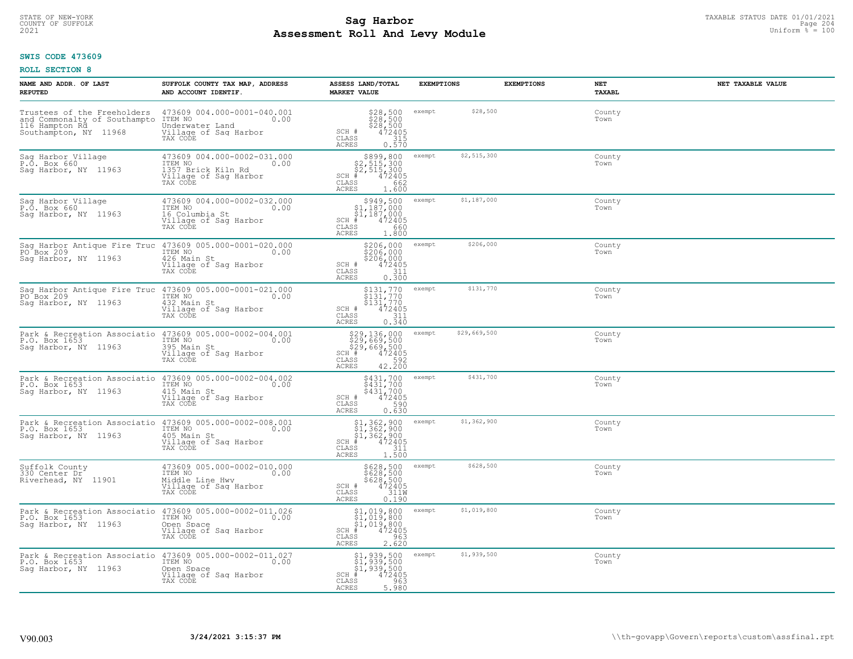# TAXABLE STATUS DATE 01/01/2021<br>COUNTY OF SUFFOLK Page 204 **Assessment Roll And Levy Module Example 2021** Uniform  $\frac{1}{8}$  = 100

# **SWIS CODE 473609**

| NAME AND ADDR. OF LAST<br><b>REPUTED</b>                                                                       | SUFFOLK COUNTY TAX MAP, ADDRESS<br>AND ACCOUNT IDENTIF.                                                   | ASSESS LAND/TOTAL<br><b>MARKET VALUE</b>                                                                                                                                                                                                     | <b>EXEMPTIONS</b>      | <b>EXEMPTIONS</b><br>NET<br><b>TAXABL</b> | NET TAXABLE VALUE |
|----------------------------------------------------------------------------------------------------------------|-----------------------------------------------------------------------------------------------------------|----------------------------------------------------------------------------------------------------------------------------------------------------------------------------------------------------------------------------------------------|------------------------|-------------------------------------------|-------------------|
| Trustees of the Freeholders<br>and Commonalty of Southampto<br>116 Hampton Rd.<br>Southampton, NY 11968        | 473609 004.000-0001-040.001<br>1TEM NO 0.00<br>Underwater Land<br>Village of Sag Harbor<br>TAX CODE       | $\begin{array}{l} $28,500\$28,500\$28,500\n472405\n315 \end{array}$<br>SCH #<br>CLASS<br>ACRES<br>0.570                                                                                                                                      | \$28,500<br>exempt     | County<br>Town                            |                   |
| Sag Harbor Village<br>P.O. Box 660<br>Saq Harbor, NY 11963                                                     | 473609 004.000-0002-031.000<br>TTEM NO<br>1357 Brick Kiln Rd<br>Village of Sag Harbor<br>0.00<br>TAX CODE | $$899, 800$<br>$$2, 515, 300$<br>$$2, 515, 300$<br>$*1472405$<br>$SCH$ #<br>CLASS<br>662<br>ACRES<br>1.600                                                                                                                                   | \$2,515,300<br>exempt  | County<br>Town                            |                   |
| Sag Harbor Village<br>P.O. Box 660<br>Sag Harbor, NY 11963                                                     | 473609 004.000-0002-032.000<br>ITEM NO<br>0.00<br>16 Columbia St<br>Village of Sag Harbor<br>TAX CODE     | \$949,500<br>$$1,187,000$<br>$$1,187,000$<br>$*$ 472405<br>$SCH$ #<br>CLASS<br>660<br>ACRES<br>1,800                                                                                                                                         | \$1,187,000<br>exempt  | County<br>Town                            |                   |
| Sag Harbor Antique Fire Truc 473609 005.000-0001-020.000<br>PO Box 209<br>Saq Harbor, NY 11963                 | ITEM NO<br>0.00<br>426 Main St<br>Village of Sag Harbor<br>TAX CODE                                       | \$206,000<br>\$206,000<br>\$206,000<br>SCH #<br>472405<br>CLASS<br>0.311<br>ACRES                                                                                                                                                            | \$206,000<br>exempt    | County<br>Town                            |                   |
| Sag Harbor Antique Fire Truc 473609 005.000-0001-021.000<br>PO Box 209<br>Sag Harbor, NY 11963                 | ITEM NO<br>0.00<br>432 Main St<br>Village of Sag Harbor<br>TAX CODE                                       | \$131,770 exempt<br>\$131,770<br>\$131,770<br>SCH #<br>$\frac{472405}{311}$<br>CLASS<br>0.340<br><b>ACRES</b>                                                                                                                                | \$131,770              | County<br>Town                            |                   |
| Park & Recreation Associatio 473609 005.000-0002-004.001<br>P.O. Box 1653<br>Saq Harbor, NY 11963              | ITEM NO<br>0.00<br>395 Main St<br>Village of Sag Harbor<br>TAX CODE                                       | \$29,136,000<br>\$29,669,500<br>\$29,669,500<br># 472405<br>ASS 42.200<br>RES 42.200<br>SCH #<br>CLASS<br><b>ACRES</b>                                                                                                                       | \$29,669,500<br>exempt | County<br>Town                            |                   |
| Park & Recreation Associatio 473609 005.000-0002-004.002<br>P.O. Box 1653<br>Saq Harbor, NY 11963              | ITEM NO<br>0.00<br>415 Main St<br>Village of Sag Harbor<br>TAX CODE                                       | \$431,700<br>\$431,700<br>\$431,700<br>SCH #<br>472405<br>590<br>CLASS<br>0.630<br>ACRES                                                                                                                                                     | \$431,700<br>exempt    | County<br>Town                            |                   |
| Park & Recreation Associatio 473609 005.000-0002-008.001<br>P.O. Box 1653 TTEM NO 1000<br>Saq Harbor, NY 11963 | 405 Main St<br>Village of Sag Harbor<br>TAX CODE                                                          | $\begin{array}{l} \mathbf{\$1,362,900} \\ \mathbf{\$1,362,900} \\ \mathbf{\$1,362,900} \\ \mathbf{\$1,362,900} \\ \mathbf{\$1,362,900} \\ \mathbf{\$1,311} \\ \mathbf{\$1.500} \\ \mathbf{\$1.500} \end{array}$<br>$SCH$ #<br>CLASS<br>ACRES | \$1,362,900<br>exempt  | County<br>Town                            |                   |
| Suffolk County<br>330 Center Dr<br>Riverhead, NY 11901                                                         | 473609 005.000-0002-010.000<br>ITEM NO<br>0.00<br>Middle Line Hwy<br>Village of Sag Harbor<br>TAX CODE    | \$628,500<br>\$628,500<br>\$628,500<br>472405<br>311M<br>SCH #<br>CLASS<br><b>ACRES</b><br>0.190                                                                                                                                             | \$628,500<br>exempt    | County<br>Town                            |                   |
| Park & Recreation Associatio 473609 005.000-0002-011.026<br>P.O. Box 1653<br>Sag Harbor, NY 11963              | ITEM NO<br>0.00<br>Open Space<br>Village of Sag Harbor<br>TAX CODE                                        | \$1,019,800<br>\$1,019,800<br>\$1,019,800<br>#472405<br>$SCH$ #<br>963<br>CLASS<br><b>ACRES</b><br>2.620                                                                                                                                     | \$1,019,800<br>exempt  | County<br>Town                            |                   |
| Park & Recreation Associatio 473609 005.000-0002-011.027<br>P.O. Box 1653<br>Saq Harbor, NY 11963              | ITEM NO<br>0.00<br>Open Space<br>Village of Sag Harbor<br>TAX CODE                                        | \$1,939,500<br>\$1,939,500<br>\$1,939,500<br>472405<br>$SCH$ #<br>CLASS<br>963<br>5.980<br>ACRES                                                                                                                                             | \$1,939,500<br>exempt  | County<br>Town                            |                   |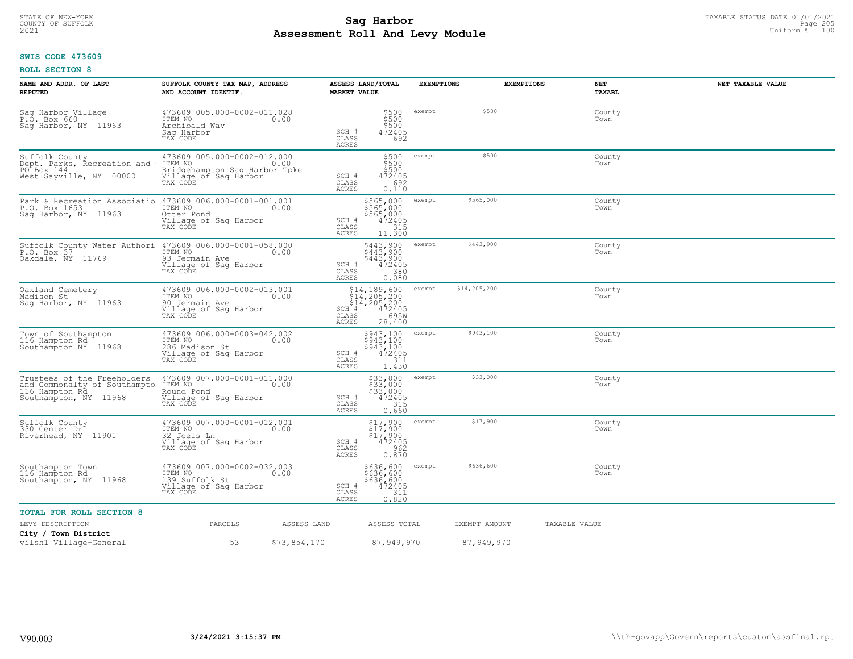# TAXABLE STATUS DATE 01/01/2021<br>COUNTY OF SUFFOLK Page 205 and the state of the state of the state of the state of the state of the state of th<br>Page 205 **Assessment Roll And Levy Module Example 2021** Uniform  $\frac{1}{8}$  = 100

#### **SWIS CODE 473609**

| NAME AND ADDR. OF LAST<br><b>REPUTED</b>                                                                                | SUFFOLK COUNTY TAX MAP, ADDRESS<br>AND ACCOUNT IDENTIF.                                                                      | <b>MARKET VALUE</b>                    | ASSESS LAND/TOTAL                                                                                                                                  | <b>EXEMPTIONS</b> |               | <b>EXEMPTIONS</b> | NET<br><b>TAXABL</b> | NET TAXABLE VALUE |
|-------------------------------------------------------------------------------------------------------------------------|------------------------------------------------------------------------------------------------------------------------------|----------------------------------------|----------------------------------------------------------------------------------------------------------------------------------------------------|-------------------|---------------|-------------------|----------------------|-------------------|
| Sag Harbor Village<br>P.O. Box 660<br>Saq Harbor, NY 11963                                                              | 473609 005.000-0002-011.028<br>ITEM NO<br>Archibald Wav<br>Saq Harbor<br>TAX CODE                                            | 0.00<br>SCH #<br>CLASS<br><b>ACRES</b> | \$500<br>\$500<br>\$500<br>472405<br>692                                                                                                           | exempt            | \$500         |                   | County<br>Town       |                   |
| Suffolk County<br>Dept. Parks, Recreation and<br>PO Box 144<br>West Sayville, NY 00000                                  | 473609 005.000-0002-012.000<br>TTEM NO 0.00<br>ITEM NO<br>Bridgehampton Saq Harbor Tpke<br>Village of Sag Harbor<br>TAX CODE | 0.00<br>SCH #<br>CLASS<br><b>ACRES</b> | \$500<br>\$500<br>\$500<br>472405<br>692<br>0.110                                                                                                  | exempt            | \$500         |                   | County<br>Town       |                   |
| Park & Recreation Associatio 473609 006.000-0001-001.001<br>P.O. Box 1653<br>Saq Harbor, NY 11963                       | ITEM NO<br>Otter Pond<br>Village of Sag Harbor<br>TAX CODE                                                                   | 0.00<br>SCH #<br>CLASS<br>ACRES        | \$565,000<br>$$565,000$<br>$$565,000$<br>$$472405$<br>$$15$<br>11.300                                                                              | exempt            | \$565,000     |                   | County<br>Town       |                   |
| Suffolk County Water Authori 473609 006.000-0001-058.000<br>P.O. Box 37 1TEM NO 100<br>P.O. Box 37<br>Oakdale, NY 11769 | 93 Jermain Ave<br>Village of Sag Harbor<br>TAX CODE                                                                          | SCH #<br>CLASS<br>ACRES                | \$443,900<br>\$443,900<br>\$443,900<br>472405<br>380<br>0.080                                                                                      | exempt            | \$443,900     |                   | County<br>Town       |                   |
| Oakland Cemetery<br>Madison St<br>Saq Harbor, NY 11963                                                                  | 473609 006.000-0002-013.001<br>TTEM NO 0.00<br>90 Jermain Ave<br>Village of Saq Harbor<br>TAX CODE                           | SCH #<br>CLASS<br>ACRES                | $514, 189, 600$ $514, 205, 200$<br>$514, 205, 200$<br>$\phantom{0}472405$<br>$\phantom{0}472405$<br>$\phantom{0}458$<br>$\phantom{0}695$<br>28.400 | exempt            | \$14,205,200  |                   | County<br>Town       |                   |
| Town of Southampton<br>116 Hampton Rd<br>Southampton NY 11968                                                           | 473609 006.000-0003-042.002<br>ITEM NO<br>286 Madison St<br>Village of Sag Harbor<br>TAX CODE                                | 0.00<br>SCH #<br>CLASS<br>ACRES        | \$943,100<br>\$943,100<br>\$943,100<br>472405<br>311<br>1.430                                                                                      | exempt            | \$943,100     |                   | County<br>Town       |                   |
| Trustees of the Freeholders<br>and Commonalty of Southampto<br>116 Hampton Rd<br>Southampton, NY 11968                  | 473609 007.000-0001-011.000<br>ITEM NO<br>Round Pond<br>Village of Sag Harbor<br>TAX CODE                                    | 0.00<br>SCH #<br>CLASS<br><b>ACRES</b> | \$33,000<br>$\frac{333,000}{333,000}$<br>\$33,000<br>315<br>0.660                                                                                  | exempt            | \$33,000      |                   | County<br>Town       |                   |
| Suffolk County<br>330 Center Dr<br>Riverhead, NY 11901                                                                  | 473609 007.000-0001-012.001<br>ITEM NO<br>0.00<br>32 Joels Ln<br>Village of Sag Harbor<br>TAX CODE                           | SCH #<br>CLASS<br>ACRES                | $$17,900$<br>$$17,900$<br>$$17,900$<br>$472405$<br>962<br>0.870                                                                                    | exempt            | \$17,900      |                   | County<br>Town       |                   |
| Southampton Town<br>116 Hampton Rd<br>Southampton, NY 11968                                                             | 473609 007.000-0002-032.003<br>ITEM NO<br>0.00<br>139 Suffolk St<br>Village of Sag Harbor<br>TAX CODE                        | SCH #<br>$\mathtt{CLASS}$<br>ACRES     | \$636,600<br>\$636,600<br>\$636,600<br>472405<br>311<br>0.820                                                                                      | exempt            | \$636,600     |                   | County<br>Town       |                   |
| <b>TOTAL FOR ROLL SECTION 8</b>                                                                                         |                                                                                                                              |                                        |                                                                                                                                                    |                   |               |                   |                      |                   |
| LEVY DESCRIPTION                                                                                                        | PARCELS                                                                                                                      | ASSESS LAND                            | ASSESS TOTAL                                                                                                                                       |                   | EXEMPT AMOUNT |                   | TAXABLE VALUE        |                   |
| City / Town District<br>vilsh1 Village-General                                                                          | 53                                                                                                                           | \$73,854,170                           | 87,949,970                                                                                                                                         |                   | 87,949,970    |                   |                      |                   |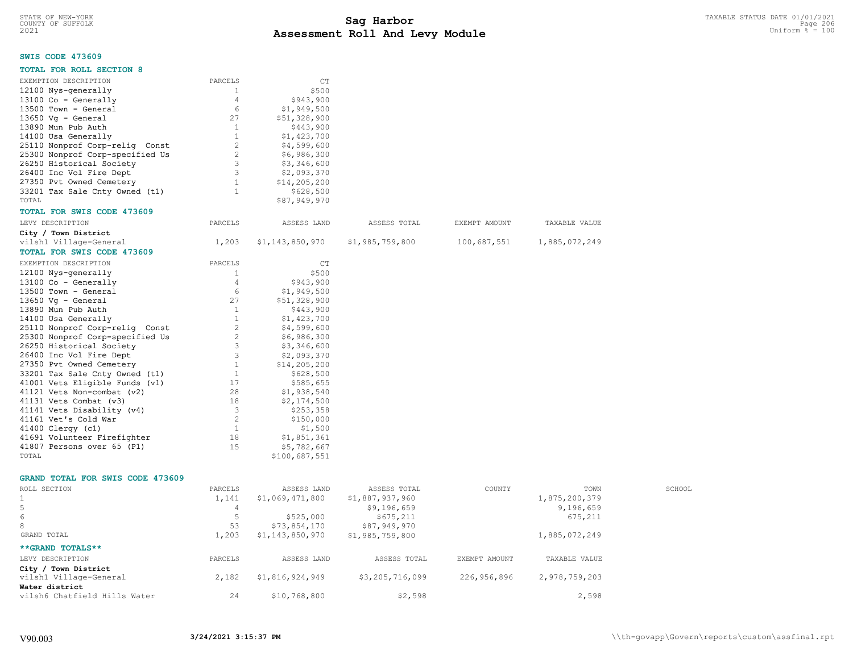# **SWIS CODE 473609**

| PARCELS        | CT                                                                                                                                                                         |                                                                                                                                                                                                                                                                                |                                 |                              |                                |
|----------------|----------------------------------------------------------------------------------------------------------------------------------------------------------------------------|--------------------------------------------------------------------------------------------------------------------------------------------------------------------------------------------------------------------------------------------------------------------------------|---------------------------------|------------------------------|--------------------------------|
| 1              | \$500                                                                                                                                                                      |                                                                                                                                                                                                                                                                                |                                 |                              |                                |
| 4              | \$943,900                                                                                                                                                                  |                                                                                                                                                                                                                                                                                |                                 |                              |                                |
| 6              | \$1,949,500                                                                                                                                                                |                                                                                                                                                                                                                                                                                |                                 |                              |                                |
| 27             |                                                                                                                                                                            |                                                                                                                                                                                                                                                                                |                                 |                              |                                |
| $\overline{1}$ | \$443,900                                                                                                                                                                  |                                                                                                                                                                                                                                                                                |                                 |                              |                                |
| 1              |                                                                                                                                                                            |                                                                                                                                                                                                                                                                                |                                 |                              |                                |
| 2              |                                                                                                                                                                            |                                                                                                                                                                                                                                                                                |                                 |                              |                                |
|                |                                                                                                                                                                            |                                                                                                                                                                                                                                                                                |                                 |                              |                                |
| $\mathbf{3}$   |                                                                                                                                                                            |                                                                                                                                                                                                                                                                                |                                 |                              |                                |
|                |                                                                                                                                                                            |                                                                                                                                                                                                                                                                                |                                 |                              |                                |
|                |                                                                                                                                                                            |                                                                                                                                                                                                                                                                                |                                 |                              |                                |
|                |                                                                                                                                                                            |                                                                                                                                                                                                                                                                                |                                 |                              |                                |
|                |                                                                                                                                                                            |                                                                                                                                                                                                                                                                                |                                 |                              |                                |
|                |                                                                                                                                                                            |                                                                                                                                                                                                                                                                                |                                 |                              |                                |
|                |                                                                                                                                                                            |                                                                                                                                                                                                                                                                                |                                 |                              |                                |
|                |                                                                                                                                                                            |                                                                                                                                                                                                                                                                                |                                 |                              |                                |
|                |                                                                                                                                                                            |                                                                                                                                                                                                                                                                                |                                 |                              |                                |
|                |                                                                                                                                                                            |                                                                                                                                                                                                                                                                                |                                 |                              |                                |
|                |                                                                                                                                                                            |                                                                                                                                                                                                                                                                                |                                 |                              |                                |
|                |                                                                                                                                                                            |                                                                                                                                                                                                                                                                                |                                 |                              |                                |
|                |                                                                                                                                                                            |                                                                                                                                                                                                                                                                                |                                 |                              |                                |
|                |                                                                                                                                                                            |                                                                                                                                                                                                                                                                                |                                 |                              |                                |
|                |                                                                                                                                                                            |                                                                                                                                                                                                                                                                                |                                 |                              |                                |
|                |                                                                                                                                                                            |                                                                                                                                                                                                                                                                                |                                 |                              |                                |
|                |                                                                                                                                                                            |                                                                                                                                                                                                                                                                                |                                 |                              |                                |
|                | \$1,423,700                                                                                                                                                                |                                                                                                                                                                                                                                                                                |                                 |                              |                                |
|                |                                                                                                                                                                            |                                                                                                                                                                                                                                                                                |                                 |                              |                                |
|                | \$6,986,300                                                                                                                                                                |                                                                                                                                                                                                                                                                                |                                 |                              |                                |
|                | \$3,346,600                                                                                                                                                                |                                                                                                                                                                                                                                                                                |                                 |                              |                                |
|                | \$2,093,370                                                                                                                                                                |                                                                                                                                                                                                                                                                                |                                 |                              |                                |
| <sup>1</sup>   | \$14, 205, 200                                                                                                                                                             |                                                                                                                                                                                                                                                                                |                                 |                              |                                |
| $\mathbf{1}$   | \$628,500                                                                                                                                                                  |                                                                                                                                                                                                                                                                                |                                 |                              |                                |
| 17             | \$585,655                                                                                                                                                                  |                                                                                                                                                                                                                                                                                |                                 |                              |                                |
| 28             | \$1,938,540                                                                                                                                                                |                                                                                                                                                                                                                                                                                |                                 |                              |                                |
| 18             | \$2,174,500                                                                                                                                                                |                                                                                                                                                                                                                                                                                |                                 |                              |                                |
| 3              | \$253,358                                                                                                                                                                  |                                                                                                                                                                                                                                                                                |                                 |                              |                                |
| 2              | \$150,000                                                                                                                                                                  |                                                                                                                                                                                                                                                                                |                                 |                              |                                |
| $\overline{1}$ | \$1,500                                                                                                                                                                    |                                                                                                                                                                                                                                                                                |                                 |                              |                                |
| 18             | \$1,851,361                                                                                                                                                                |                                                                                                                                                                                                                                                                                |                                 |                              |                                |
| 15             |                                                                                                                                                                            |                                                                                                                                                                                                                                                                                |                                 |                              |                                |
|                | \$100,687,551                                                                                                                                                              |                                                                                                                                                                                                                                                                                |                                 |                              |                                |
|                |                                                                                                                                                                            |                                                                                                                                                                                                                                                                                |                                 |                              |                                |
|                |                                                                                                                                                                            |                                                                                                                                                                                                                                                                                |                                 |                              |                                |
| PARCELS        | ASSESS LAND                                                                                                                                                                | ASSESS TOTAL                                                                                                                                                                                                                                                                   | COUNTY                          | TOWN                         | SCHOOL                         |
| 1,141          | \$1,069,471,800                                                                                                                                                            | \$1,887,937,960                                                                                                                                                                                                                                                                |                                 | 1,875,200,379                |                                |
| $\overline{4}$ |                                                                                                                                                                            | \$9,196,659                                                                                                                                                                                                                                                                    |                                 | 9,196,659                    |                                |
|                | 2<br>$\mathbf{3}$<br>1<br>$\mathbf{1}$<br>PARCELS<br>1,203<br>PARCELS<br>1<br>$\overline{4}$<br>6<br>27<br><sup>1</sup><br>1<br>$\overline{2}$<br>$\overline{2}$<br>3<br>3 | \$51,328,900<br>\$1,423,700<br>\$4,599,600<br>\$6,986,300<br>\$3,346,600<br>\$2,093,370<br>\$14, 205, 200<br>\$628,500<br>\$87,949,970<br>ASSESS LAND<br>\$1,143,850,970<br>CT<br>\$500<br>\$943,900<br>\$1,949,500<br>\$51,328,900<br>\$443,900<br>\$4,599,600<br>\$5,782,667 | ASSESS TOTAL<br>\$1,985,759,800 | EXEMPT AMOUNT<br>100,687,551 | TAXABLE VALUE<br>1,885,072,249 |

6 5 \$525,000 \$675,211 675,211 675,211

LEVY DESCRIPTION PARCELS ASSESS LAND ASSESS TOTAL EXEMPT AMOUNT TAXABLE VALUE

vilsh1 Village-General 2,182 \$1,816,924,949 \$3,205,716,099 226,956,896 2,978,759,203

vilsh6 Chatfield Hills Water 24 \$10,768,800 \$2,598 \$2,598 2,598

1,203 \$1,143,850,970 \$1,985,759,800 1,885,072,249

**\*\*GRAND TOTALS\*\***

**Water district**

**City / Town District**

8 53 \$73,854,170 \$87,949,970<br>GRAND TOTAL 600 51,203 \$1,143,850,970 \$1,985,759,800